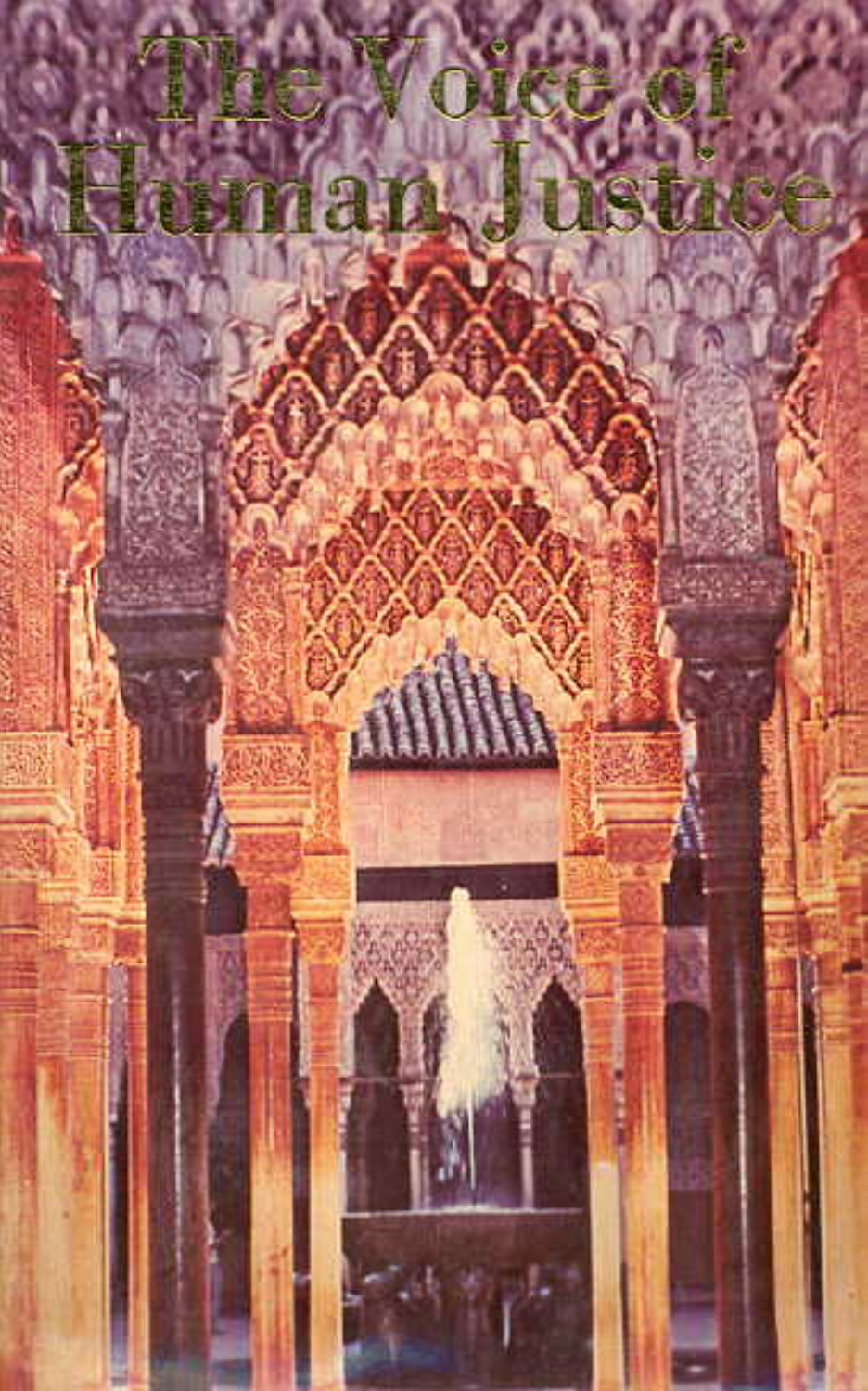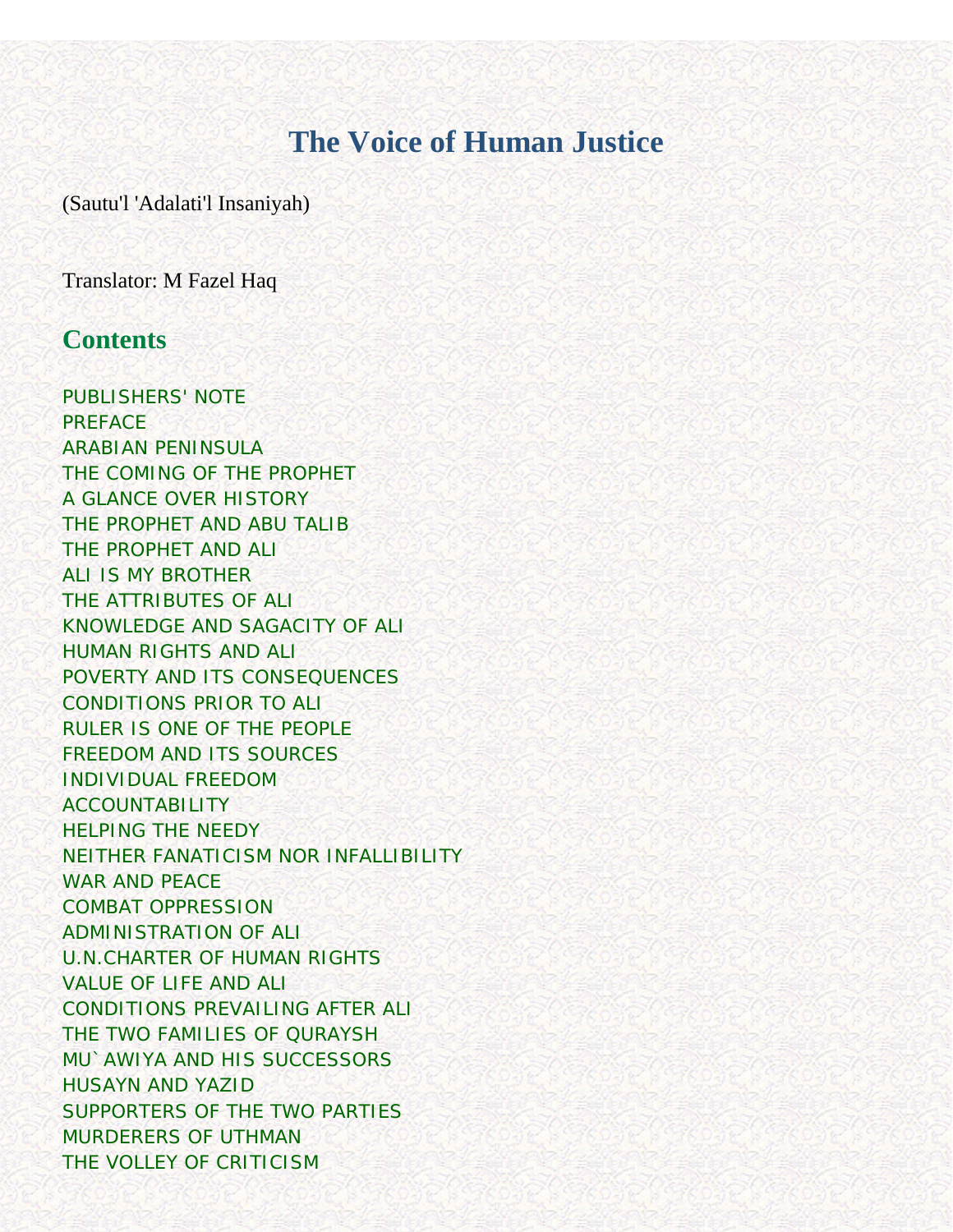### **The Voice of Human Justice**

(Sautu'l 'Adalati'l Insaniyah)

Translator: M Fazel Haq

#### **Contents**

[PUBLISHERS' NOTE](#page-3-0) **[PREFACE](#page-4-0)** [ARABIAN PENINSULA](#page-6-0) [THE COMING OF THE PROPHET](#page-8-0) [A GLANCE OVER HISTORY](#page-11-0) [THE PROPHET AND ABU TALIB](#page-18-0) [THE PROPHET AND ALI](#page-21-0) [ALI IS MY BROTHER](#page-23-0) [THE ATTRIBUTES OF ALI](#page-31-0) [KNOWLEDGE AND SAGACITY OF ALI](#page-50-0) [HUMAN RIGHTS AND ALI](#page-57-0) [POVERTY AND ITS CONSEQUENCES](#page-63-0) [CONDITIONS PRIOR TO ALI](#page-79-0) [RULER IS ONE OF THE PEOPLE](#page-91-0) [FREEDOM AND ITS SOURCES](#page-101-0) [INDIVIDUAL FREEDOM](#page-108-0) [ACCOUNTABILITY](#page-111-0) [HELPING THE NEEDY](#page-122-0) [NEITHER FANATICISM NOR INFALLIBILITY](#page-140-0) [WAR AND PEACE](#page-148-0) [COMBAT OPPRESSION](#page-160-0) [ADMINISTRATION OF ALI](#page-168-0) [U.N.CHARTER OF HUMAN RIGHTS](#page-183-0) [VALUE OF LIFE AND ALI](#page-189-0) [CONDITIONS PREVAILING AFTER ALI](#page-197-0) [THE TWO FAMILIES OF QURAYSH](#page-217-0) [MU`AWIYA AND HIS SUCCESSORS](#page-226-0) [HUSAYN AND YAZID](#page-243-0) [SUPPORTERS OF THE TWO PARTIES](#page-257-0) [MURDERERS OF UTHMAN](#page-285-0) [THE VOLLEY OF CRITICISM](#page-295-0)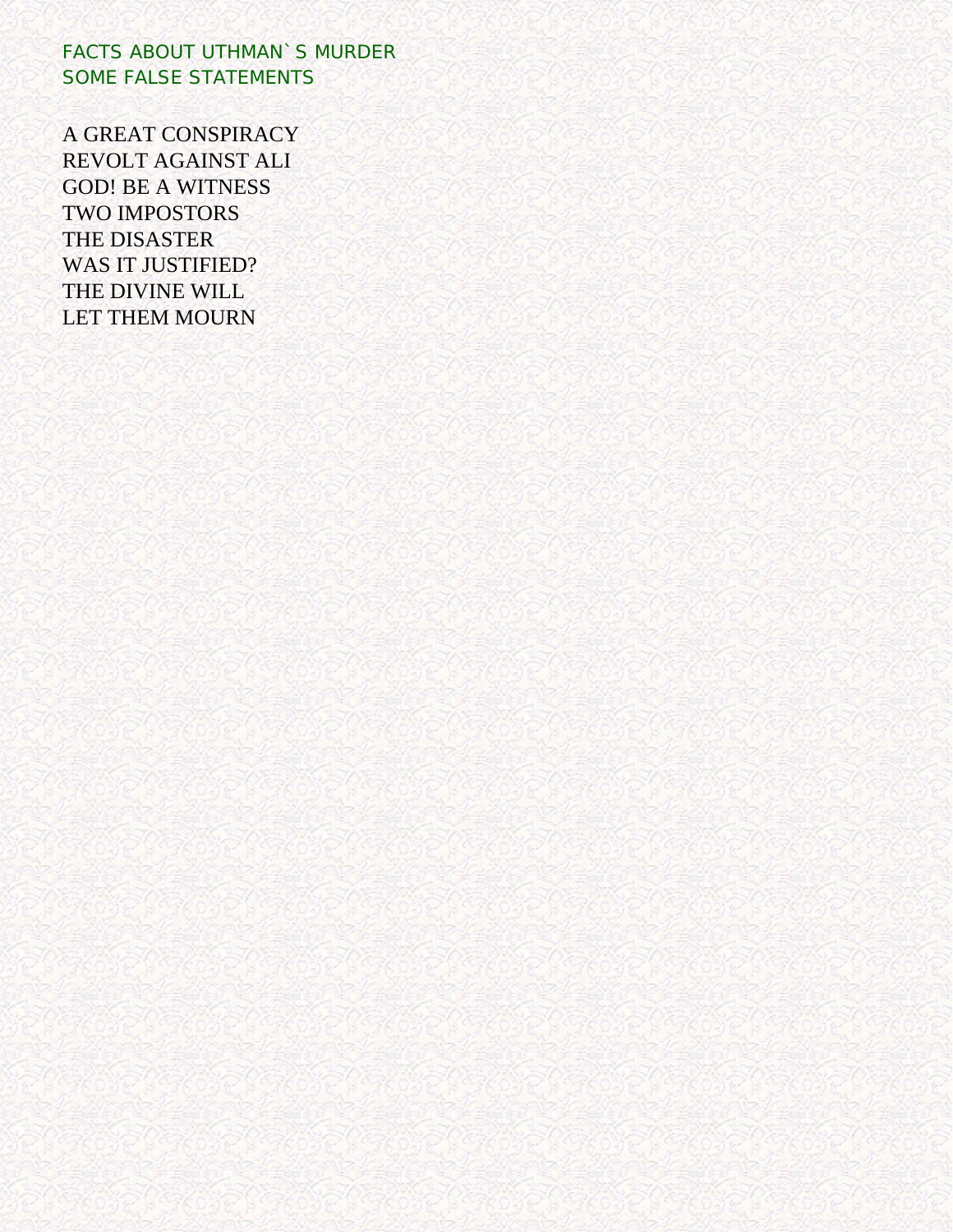[FACTS ABOUT UTHMAN`S MURDER](#page-317-0) [SOME FALSE STATEMENTS](#page-327-0)

A GREAT CONSPIRACY REVOLT AGAINST ALI GOD! BE A WITNESS TWO IMPOSTORS THE DISASTER WAS IT JUSTIFIED? THE DIVINE WILL LET THEM MOURN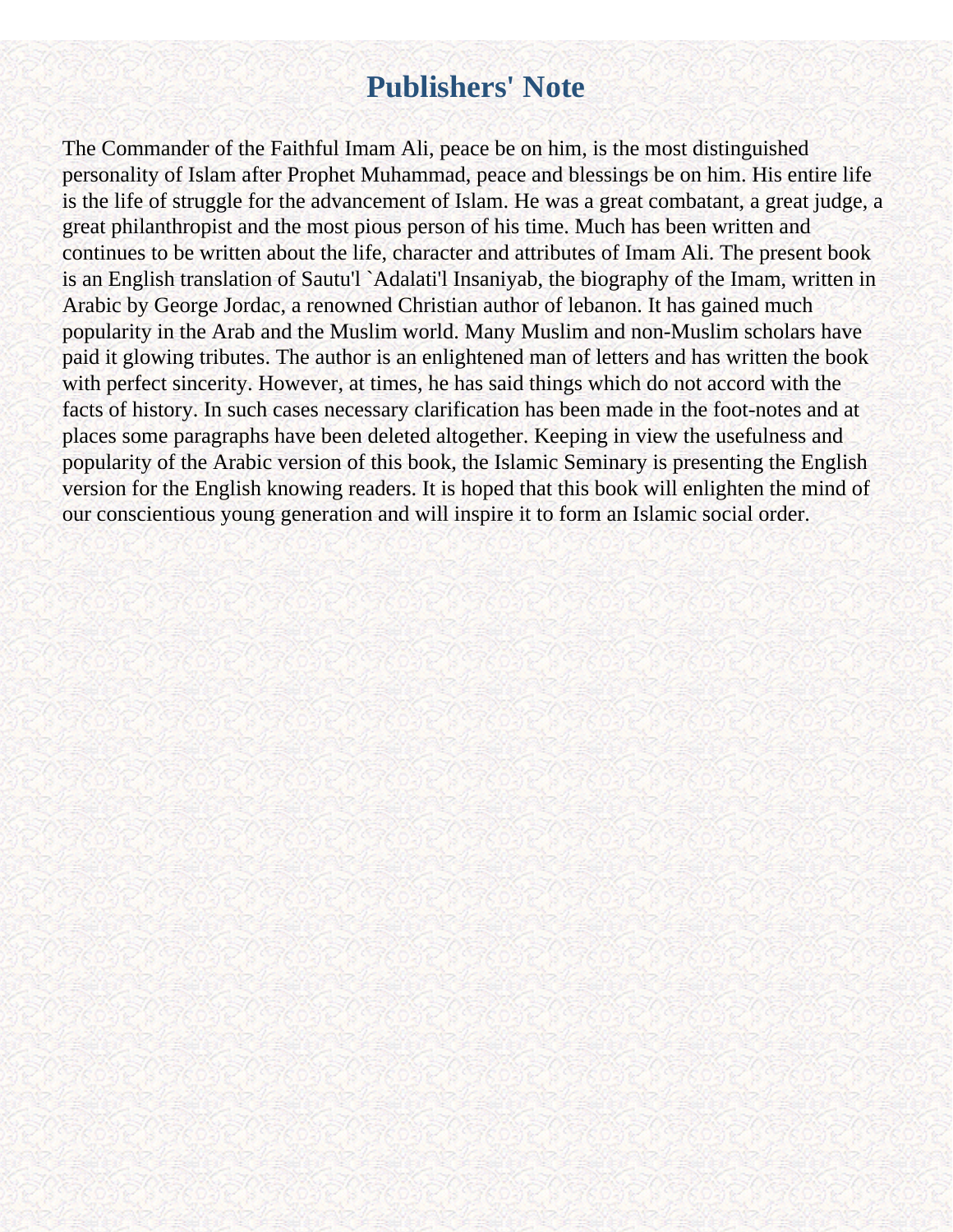# **Publishers' Note**

<span id="page-3-0"></span>The Commander of the Faithful Imam Ali, peace be on him, is the most distinguished personality of Islam after Prophet Muhammad, peace and blessings be on him. His entire life is the life of struggle for the advancement of Islam. He was a great combatant, a great judge, a great philanthropist and the most pious person of his time. Much has been written and continues to be written about the life, character and attributes of Imam Ali. The present book is an English translation of Sautu'l `Adalati'l Insaniyab, the biography of the Imam, written in Arabic by George Jordac, a renowned Christian author of lebanon. It has gained much popularity in the Arab and the Muslim world. Many Muslim and non-Muslim scholars have paid it glowing tributes. The author is an enlightened man of letters and has written the book with perfect sincerity. However, at times, he has said things which do not accord with the facts of history. In such cases necessary clarification has been made in the foot-notes and at places some paragraphs have been deleted altogether. Keeping in view the usefulness and popularity of the Arabic version of this book, the Islamic Seminary is presenting the English version for the English knowing readers. It is hoped that this book will enlighten the mind of our conscientious young generation and will inspire it to form an Islamic social order.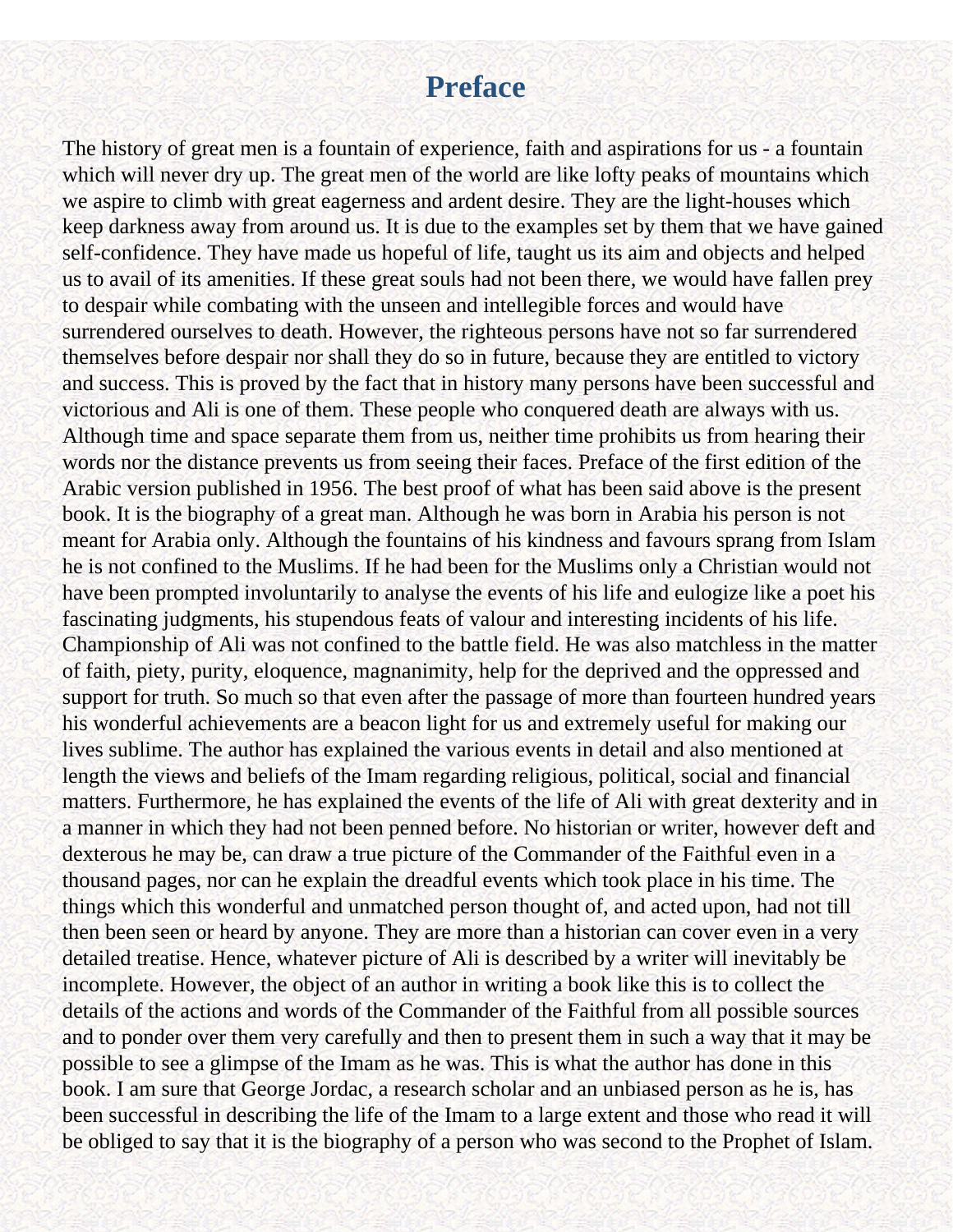#### **Preface**

<span id="page-4-0"></span>The history of great men is a fountain of experience, faith and aspirations for us - a fountain which will never dry up. The great men of the world are like lofty peaks of mountains which we aspire to climb with great eagerness and ardent desire. They are the light-houses which keep darkness away from around us. It is due to the examples set by them that we have gained self-confidence. They have made us hopeful of life, taught us its aim and objects and helped us to avail of its amenities. If these great souls had not been there, we would have fallen prey to despair while combating with the unseen and intellegible forces and would have surrendered ourselves to death. However, the righteous persons have not so far surrendered themselves before despair nor shall they do so in future, because they are entitled to victory and success. This is proved by the fact that in history many persons have been successful and victorious and Ali is one of them. These people who conquered death are always with us. Although time and space separate them from us, neither time prohibits us from hearing their words nor the distance prevents us from seeing their faces. Preface of the first edition of the Arabic version published in 1956. The best proof of what has been said above is the present book. It is the biography of a great man. Although he was born in Arabia his person is not meant for Arabia only. Although the fountains of his kindness and favours sprang from Islam he is not confined to the Muslims. If he had been for the Muslims only a Christian would not have been prompted involuntarily to analyse the events of his life and eulogize like a poet his fascinating judgments, his stupendous feats of valour and interesting incidents of his life. Championship of Ali was not confined to the battle field. He was also matchless in the matter of faith, piety, purity, eloquence, magnanimity, help for the deprived and the oppressed and support for truth. So much so that even after the passage of more than fourteen hundred years his wonderful achievements are a beacon light for us and extremely useful for making our lives sublime. The author has explained the various events in detail and also mentioned at length the views and beliefs of the Imam regarding religious, political, social and financial matters. Furthermore, he has explained the events of the life of Ali with great dexterity and in a manner in which they had not been penned before. No historian or writer, however deft and dexterous he may be, can draw a true picture of the Commander of the Faithful even in a thousand pages, nor can he explain the dreadful events which took place in his time. The things which this wonderful and unmatched person thought of, and acted upon, had not till then been seen or heard by anyone. They are more than a historian can cover even in a very detailed treatise. Hence, whatever picture of Ali is described by a writer will inevitably be incomplete. However, the object of an author in writing a book like this is to collect the details of the actions and words of the Commander of the Faithful from all possible sources and to ponder over them very carefully and then to present them in such a way that it may be possible to see a glimpse of the Imam as he was. This is what the author has done in this book. I am sure that George Jordac, a research scholar and an unbiased person as he is, has been successful in describing the life of the Imam to a large extent and those who read it will be obliged to say that it is the biography of a person who was second to the Prophet of Islam.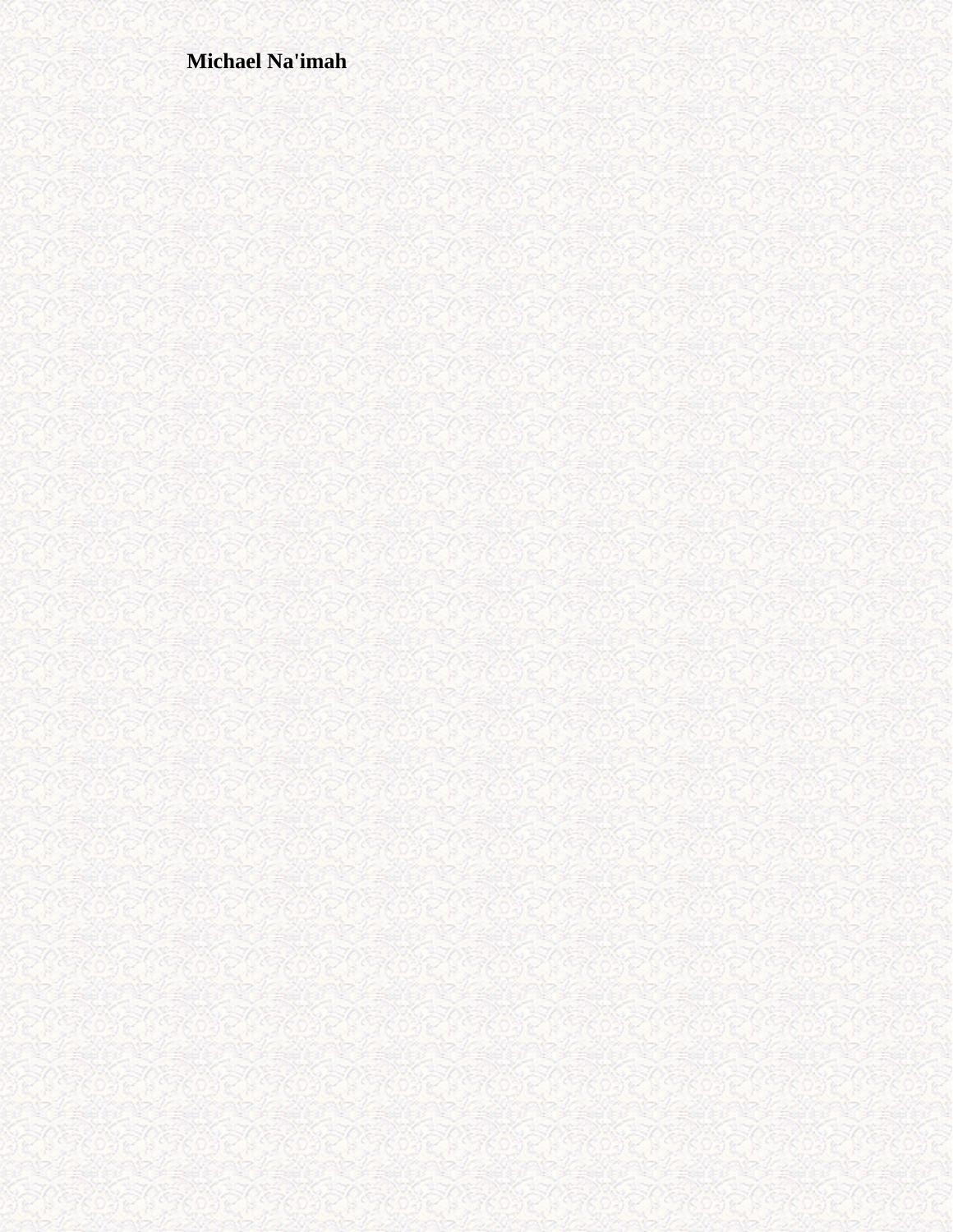#### **Michael Na'imah**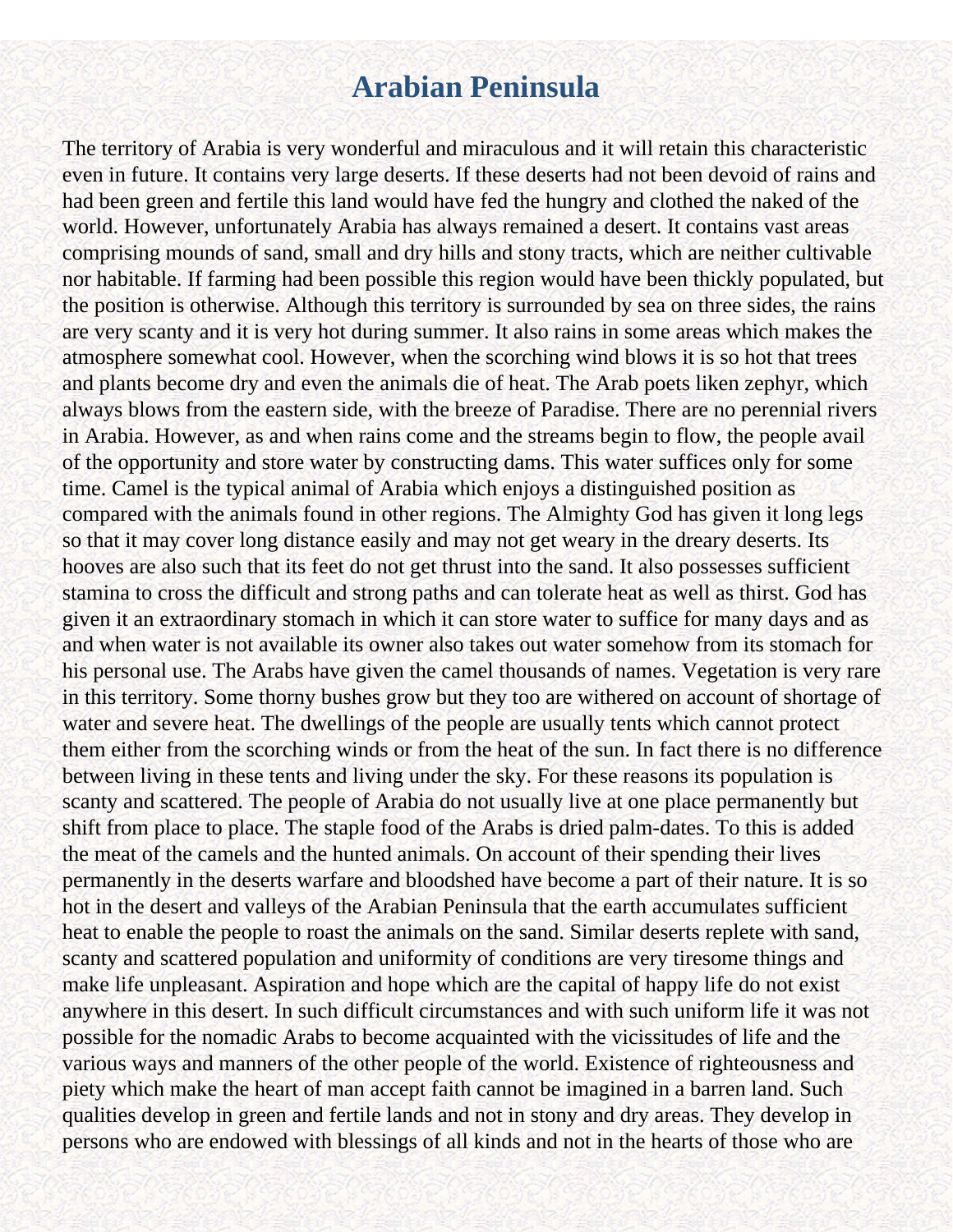## **Arabian Peninsula**

<span id="page-6-0"></span>The territory of Arabia is very wonderful and miraculous and it will retain this characteristic even in future. It contains very large deserts. If these deserts had not been devoid of rains and had been green and fertile this land would have fed the hungry and clothed the naked of the world. However, unfortunately Arabia has always remained a desert. It contains vast areas comprising mounds of sand, small and dry hills and stony tracts, which are neither cultivable nor habitable. If farming had been possible this region would have been thickly populated, but the position is otherwise. Although this territory is surrounded by sea on three sides, the rains are very scanty and it is very hot during summer. It also rains in some areas which makes the atmosphere somewhat cool. However, when the scorching wind blows it is so hot that trees and plants become dry and even the animals die of heat. The Arab poets liken zephyr, which always blows from the eastern side, with the breeze of Paradise. There are no perennial rivers in Arabia. However, as and when rains come and the streams begin to flow, the people avail of the opportunity and store water by constructing dams. This water suffices only for some time. Camel is the typical animal of Arabia which enjoys a distinguished position as compared with the animals found in other regions. The Almighty God has given it long legs so that it may cover long distance easily and may not get weary in the dreary deserts. Its hooves are also such that its feet do not get thrust into the sand. It also possesses sufficient stamina to cross the difficult and strong paths and can tolerate heat as well as thirst. God has given it an extraordinary stomach in which it can store water to suffice for many days and as and when water is not available its owner also takes out water somehow from its stomach for his personal use. The Arabs have given the camel thousands of names. Vegetation is very rare in this territory. Some thorny bushes grow but they too are withered on account of shortage of water and severe heat. The dwellings of the people are usually tents which cannot protect them either from the scorching winds or from the heat of the sun. In fact there is no difference between living in these tents and living under the sky. For these reasons its population is scanty and scattered. The people of Arabia do not usually live at one place permanently but shift from place to place. The staple food of the Arabs is dried palm-dates. To this is added the meat of the camels and the hunted animals. On account of their spending their lives permanently in the deserts warfare and bloodshed have become a part of their nature. It is so hot in the desert and valleys of the Arabian Peninsula that the earth accumulates sufficient heat to enable the people to roast the animals on the sand. Similar deserts replete with sand, scanty and scattered population and uniformity of conditions are very tiresome things and make life unpleasant. Aspiration and hope which are the capital of happy life do not exist anywhere in this desert. In such difficult circumstances and with such uniform life it was not possible for the nomadic Arabs to become acquainted with the vicissitudes of life and the various ways and manners of the other people of the world. Existence of righteousness and piety which make the heart of man accept faith cannot be imagined in a barren land. Such qualities develop in green and fertile lands and not in stony and dry areas. They develop in persons who are endowed with blessings of all kinds and not in the hearts of those who are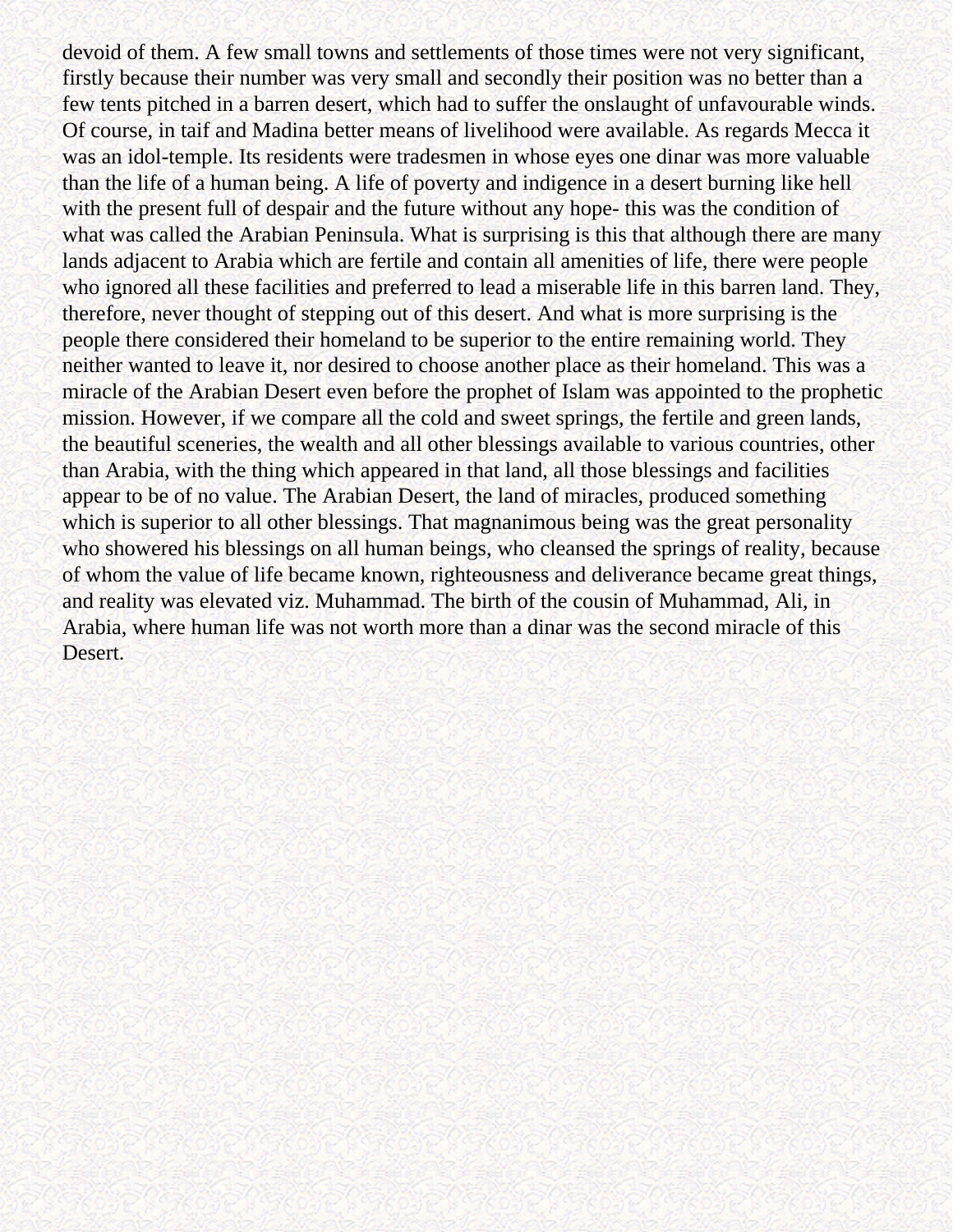devoid of them. A few small towns and settlements of those times were not very significant, firstly because their number was very small and secondly their position was no better than a few tents pitched in a barren desert, which had to suffer the onslaught of unfavourable winds. Of course, in taif and Madina better means of livelihood were available. As regards Mecca it was an idol-temple. Its residents were tradesmen in whose eyes one dinar was more valuable than the life of a human being. A life of poverty and indigence in a desert burning like hell with the present full of despair and the future without any hope- this was the condition of what was called the Arabian Peninsula. What is surprising is this that although there are many lands adjacent to Arabia which are fertile and contain all amenities of life, there were people who ignored all these facilities and preferred to lead a miserable life in this barren land. They, therefore, never thought of stepping out of this desert. And what is more surprising is the people there considered their homeland to be superior to the entire remaining world. They neither wanted to leave it, nor desired to choose another place as their homeland. This was a miracle of the Arabian Desert even before the prophet of Islam was appointed to the prophetic mission. However, if we compare all the cold and sweet springs, the fertile and green lands, the beautiful sceneries, the wealth and all other blessings available to various countries, other than Arabia, with the thing which appeared in that land, all those blessings and facilities appear to be of no value. The Arabian Desert, the land of miracles, produced something which is superior to all other blessings. That magnanimous being was the great personality who showered his blessings on all human beings, who cleansed the springs of reality, because of whom the value of life became known, righteousness and deliverance became great things, and reality was elevated viz. Muhammad. The birth of the cousin of Muhammad, Ali, in Arabia, where human life was not worth more than a dinar was the second miracle of this Desert.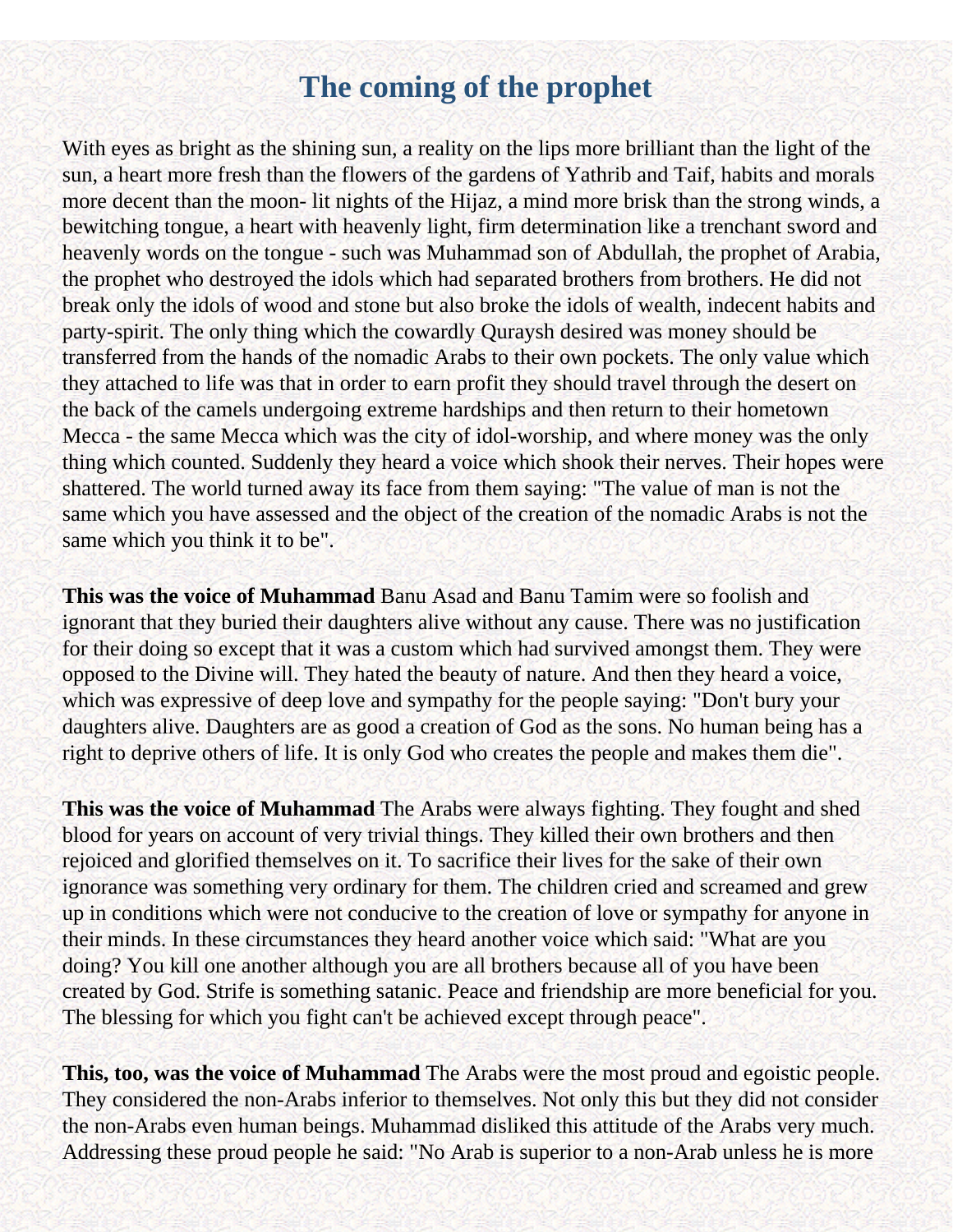## **The coming of the prophet**

<span id="page-8-0"></span>With eyes as bright as the shining sun, a reality on the lips more brilliant than the light of the sun, a heart more fresh than the flowers of the gardens of Yathrib and Taif, habits and morals more decent than the moon- lit nights of the Hijaz, a mind more brisk than the strong winds, a bewitching tongue, a heart with heavenly light, firm determination like a trenchant sword and heavenly words on the tongue - such was Muhammad son of Abdullah, the prophet of Arabia, the prophet who destroyed the idols which had separated brothers from brothers. He did not break only the idols of wood and stone but also broke the idols of wealth, indecent habits and party-spirit. The only thing which the cowardly Quraysh desired was money should be transferred from the hands of the nomadic Arabs to their own pockets. The only value which they attached to life was that in order to earn profit they should travel through the desert on the back of the camels undergoing extreme hardships and then return to their hometown Mecca - the same Mecca which was the city of idol-worship, and where money was the only thing which counted. Suddenly they heard a voice which shook their nerves. Their hopes were shattered. The world turned away its face from them saying: "The value of man is not the same which you have assessed and the object of the creation of the nomadic Arabs is not the same which you think it to be".

**This was the voice of Muhammad** Banu Asad and Banu Tamim were so foolish and ignorant that they buried their daughters alive without any cause. There was no justification for their doing so except that it was a custom which had survived amongst them. They were opposed to the Divine will. They hated the beauty of nature. And then they heard a voice, which was expressive of deep love and sympathy for the people saying: "Don't bury your daughters alive. Daughters are as good a creation of God as the sons. No human being has a right to deprive others of life. It is only God who creates the people and makes them die".

**This was the voice of Muhammad** The Arabs were always fighting. They fought and shed blood for years on account of very trivial things. They killed their own brothers and then rejoiced and glorified themselves on it. To sacrifice their lives for the sake of their own ignorance was something very ordinary for them. The children cried and screamed and grew up in conditions which were not conducive to the creation of love or sympathy for anyone in their minds. In these circumstances they heard another voice which said: "What are you doing? You kill one another although you are all brothers because all of you have been created by God. Strife is something satanic. Peace and friendship are more beneficial for you. The blessing for which you fight can't be achieved except through peace".

**This, too, was the voice of Muhammad** The Arabs were the most proud and egoistic people. They considered the non-Arabs inferior to themselves. Not only this but they did not consider the non-Arabs even human beings. Muhammad disliked this attitude of the Arabs very much. Addressing these proud people he said: "No Arab is superior to a non-Arab unless he is more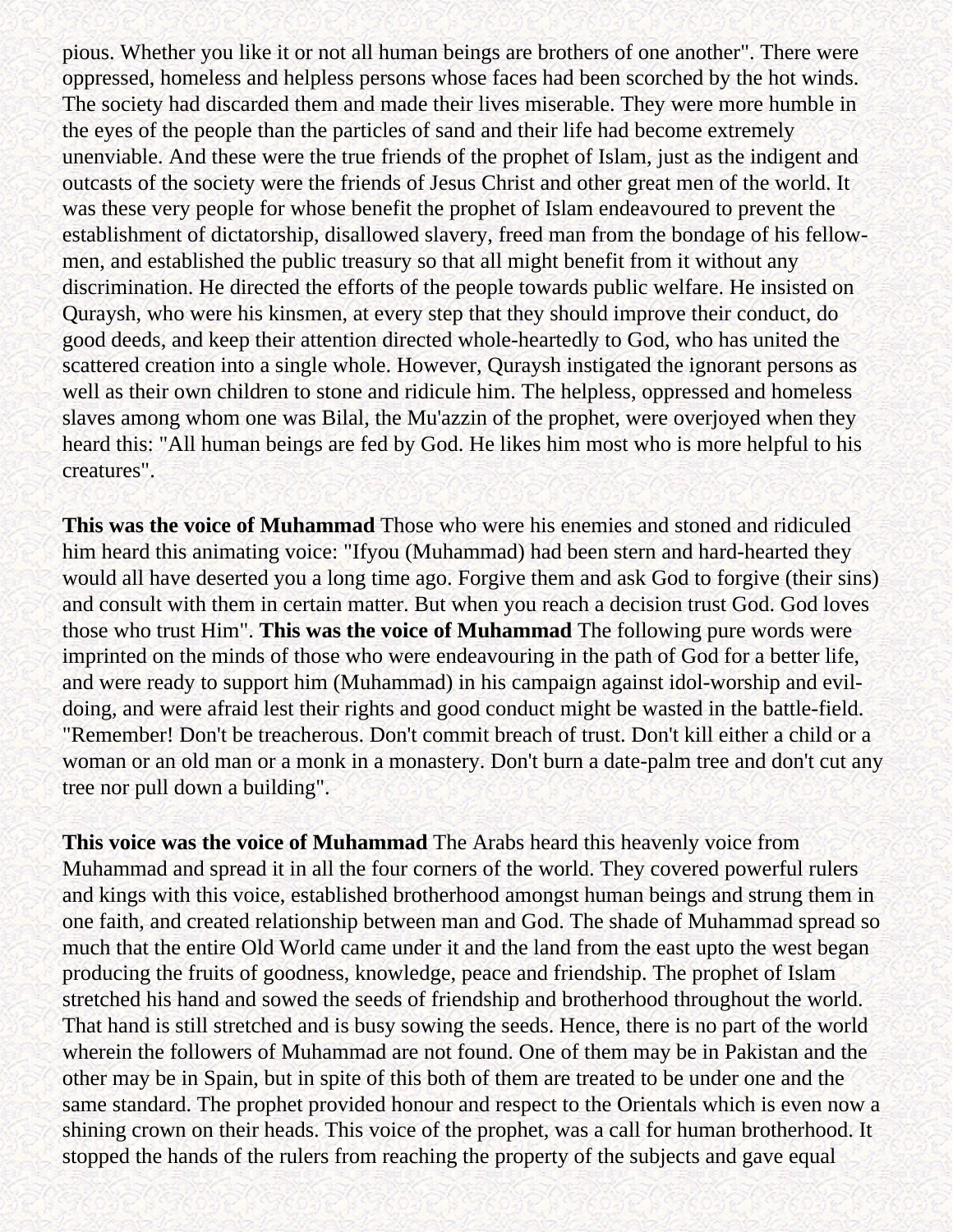pious. Whether you like it or not all human beings are brothers of one another". There were oppressed, homeless and helpless persons whose faces had been scorched by the hot winds. The society had discarded them and made their lives miserable. They were more humble in the eyes of the people than the particles of sand and their life had become extremely unenviable. And these were the true friends of the prophet of Islam, just as the indigent and outcasts of the society were the friends of Jesus Christ and other great men of the world. It was these very people for whose benefit the prophet of Islam endeavoured to prevent the establishment of dictatorship, disallowed slavery, freed man from the bondage of his fellowmen, and established the public treasury so that all might benefit from it without any discrimination. He directed the efforts of the people towards public welfare. He insisted on Quraysh, who were his kinsmen, at every step that they should improve their conduct, do good deeds, and keep their attention directed whole-heartedly to God, who has united the scattered creation into a single whole. However, Quraysh instigated the ignorant persons as well as their own children to stone and ridicule him. The helpless, oppressed and homeless slaves among whom one was Bilal, the Mu'azzin of the prophet, were overjoyed when they heard this: "All human beings are fed by God. He likes him most who is more helpful to his creatures".

**This was the voice of Muhammad** Those who were his enemies and stoned and ridiculed him heard this animating voice: "Ifyou (Muhammad) had been stern and hard-hearted they would all have deserted you a long time ago. Forgive them and ask God to forgive (their sins) and consult with them in certain matter. But when you reach a decision trust God. God loves those who trust Him". **This was the voice of Muhammad** The following pure words were imprinted on the minds of those who were endeavouring in the path of God for a better life, and were ready to support him (Muhammad) in his campaign against idol-worship and evildoing, and were afraid lest their rights and good conduct might be wasted in the battle-field. "Remember! Don't be treacherous. Don't commit breach of trust. Don't kill either a child or a woman or an old man or a monk in a monastery. Don't burn a date-palm tree and don't cut any tree nor pull down a building".

**This voice was the voice of Muhammad** The Arabs heard this heavenly voice from Muhammad and spread it in all the four corners of the world. They covered powerful rulers and kings with this voice, established brotherhood amongst human beings and strung them in one faith, and created relationship between man and God. The shade of Muhammad spread so much that the entire Old World came under it and the land from the east upto the west began producing the fruits of goodness, knowledge, peace and friendship. The prophet of Islam stretched his hand and sowed the seeds of friendship and brotherhood throughout the world. That hand is still stretched and is busy sowing the seeds. Hence, there is no part of the world wherein the followers of Muhammad are not found. One of them may be in Pakistan and the other may be in Spain, but in spite of this both of them are treated to be under one and the same standard. The prophet provided honour and respect to the Orientals which is even now a shining crown on their heads. This voice of the prophet, was a call for human brotherhood. It stopped the hands of the rulers from reaching the property of the subjects and gave equal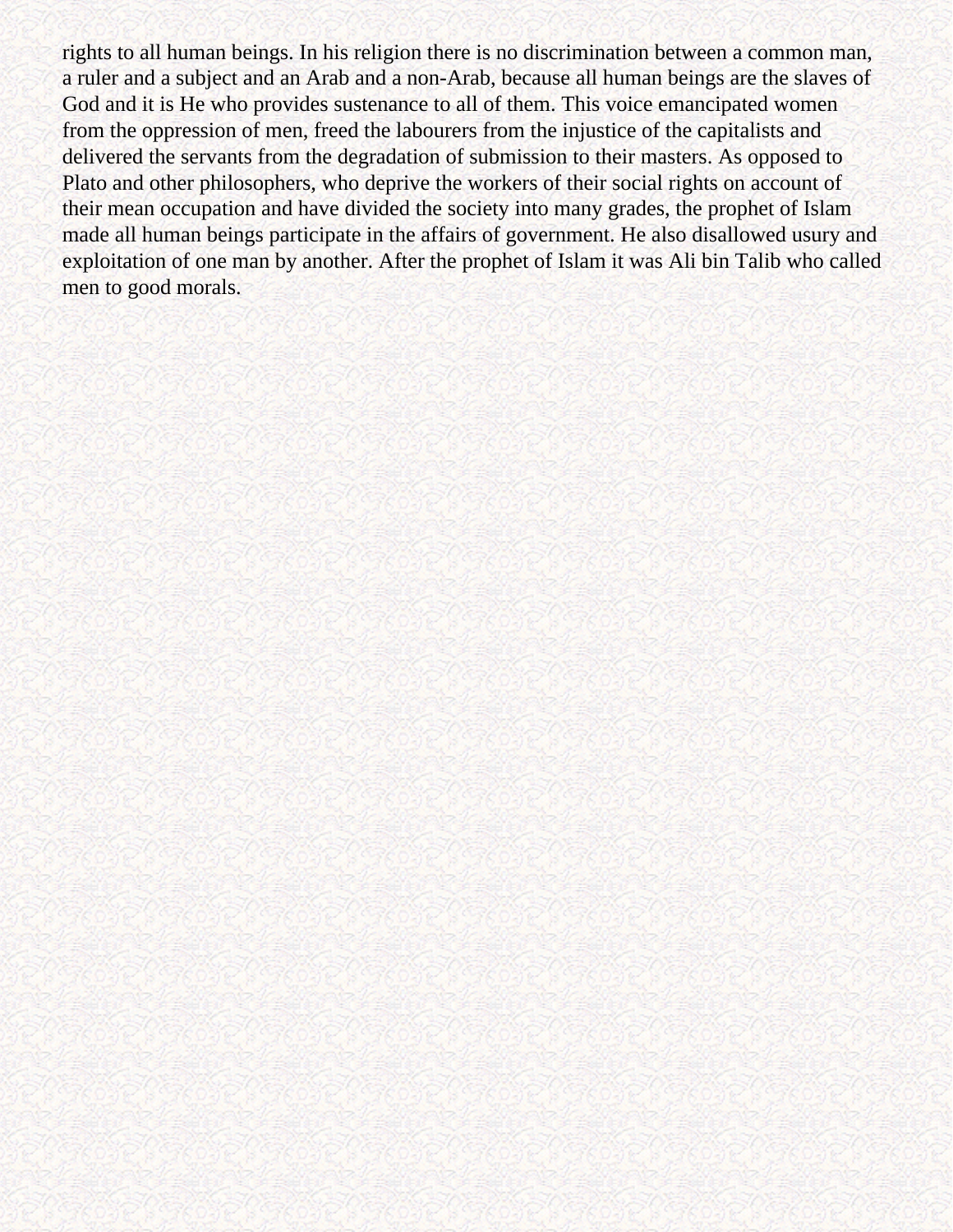rights to all human beings. In his religion there is no discrimination between a common man, a ruler and a subject and an Arab and a non-Arab, because all human beings are the slaves of God and it is He who provides sustenance to all of them. This voice emancipated women from the oppression of men, freed the labourers from the injustice of the capitalists and delivered the servants from the degradation of submission to their masters. As opposed to Plato and other philosophers, who deprive the workers of their social rights on account of their mean occupation and have divided the society into many grades, the prophet of Islam made all human beings participate in the affairs of government. He also disallowed usury and exploitation of one man by another. After the prophet of Islam it was Ali bin Talib who called men to good morals.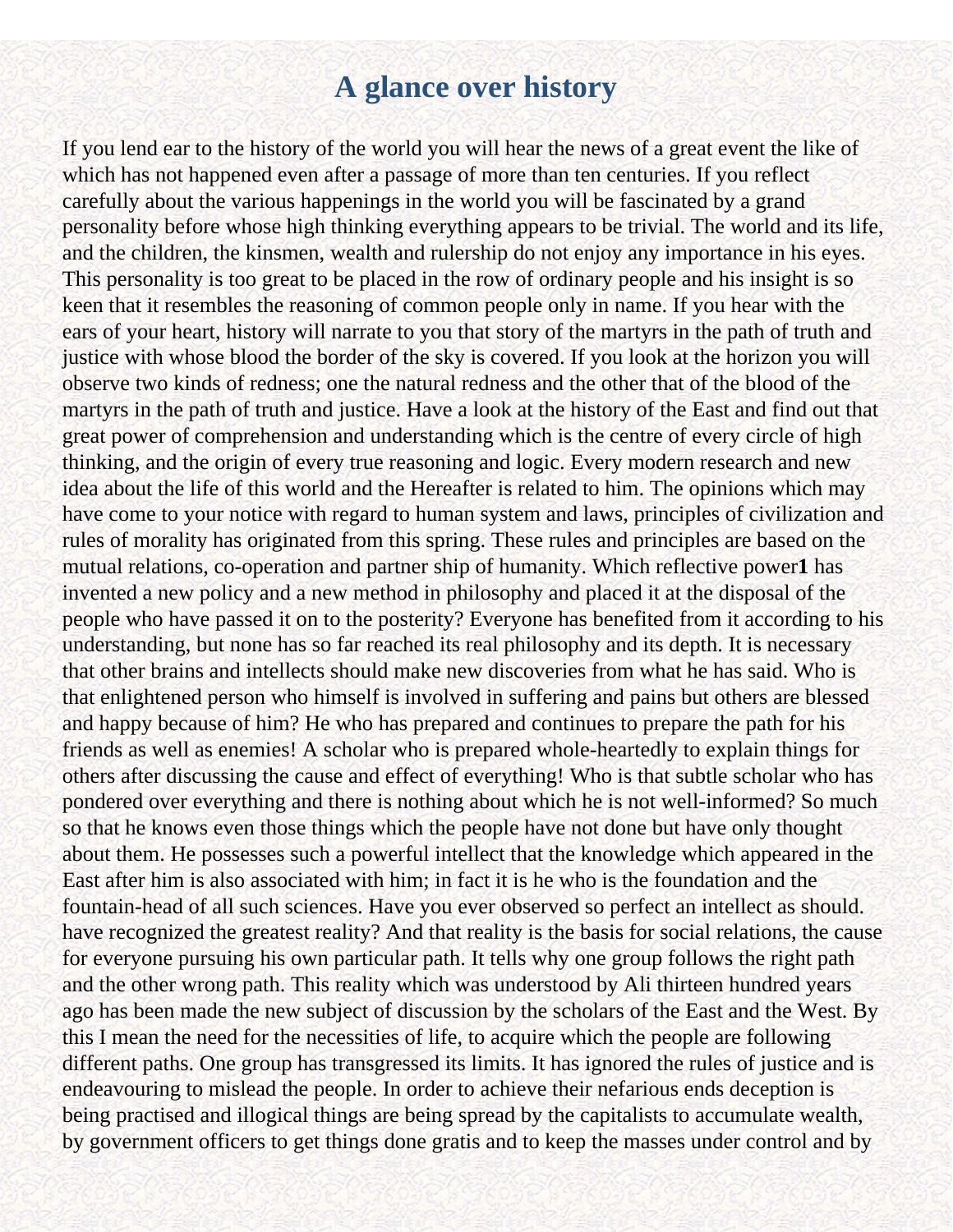## **A glance over history**

<span id="page-11-0"></span>If you lend ear to the history of the world you will hear the news of a great event the like of which has not happened even after a passage of more than ten centuries. If you reflect carefully about the various happenings in the world you will be fascinated by a grand personality before whose high thinking everything appears to be trivial. The world and its life, and the children, the kinsmen, wealth and rulership do not enjoy any importance in his eyes. This personality is too great to be placed in the row of ordinary people and his insight is so keen that it resembles the reasoning of common people only in name. If you hear with the ears of your heart, history will narrate to you that story of the martyrs in the path of truth and justice with whose blood the border of the sky is covered. If you look at the horizon you will observe two kinds of redness; one the natural redness and the other that of the blood of the martyrs in the path of truth and justice. Have a look at the history of the East and find out that great power of comprehension and understanding which is the centre of every circle of high thinking, and the origin of every true reasoning and logic. Every modern research and new idea about the life of this world and the Hereafter is related to him. The opinions which may have come to your notice with regard to human system and laws, principles of civilization and rules of morality has originated from this spring. These rules and principles are based on the mutual relations, co-operation and partner ship of humanity. Which reflective power**1** has invented a new policy and a new method in philosophy and placed it at the disposal of the people who have passed it on to the posterity? Everyone has benefited from it according to his understanding, but none has so far reached its real philosophy and its depth. It is necessary that other brains and intellects should make new discoveries from what he has said. Who is that enlightened person who himself is involved in suffering and pains but others are blessed and happy because of him? He who has prepared and continues to prepare the path for his friends as well as enemies! A scholar who is prepared whole-heartedly to explain things for others after discussing the cause and effect of everything! Who is that subtle scholar who has pondered over everything and there is nothing about which he is not well-informed? So much so that he knows even those things which the people have not done but have only thought about them. He possesses such a powerful intellect that the knowledge which appeared in the East after him is also associated with him; in fact it is he who is the foundation and the fountain-head of all such sciences. Have you ever observed so perfect an intellect as should. have recognized the greatest reality? And that reality is the basis for social relations, the cause for everyone pursuing his own particular path. It tells why one group follows the right path and the other wrong path. This reality which was understood by Ali thirteen hundred years ago has been made the new subject of discussion by the scholars of the East and the West. By this I mean the need for the necessities of life, to acquire which the people are following different paths. One group has transgressed its limits. It has ignored the rules of justice and is endeavouring to mislead the people. In order to achieve their nefarious ends deception is being practised and illogical things are being spread by the capitalists to accumulate wealth, by government officers to get things done gratis and to keep the masses under control and by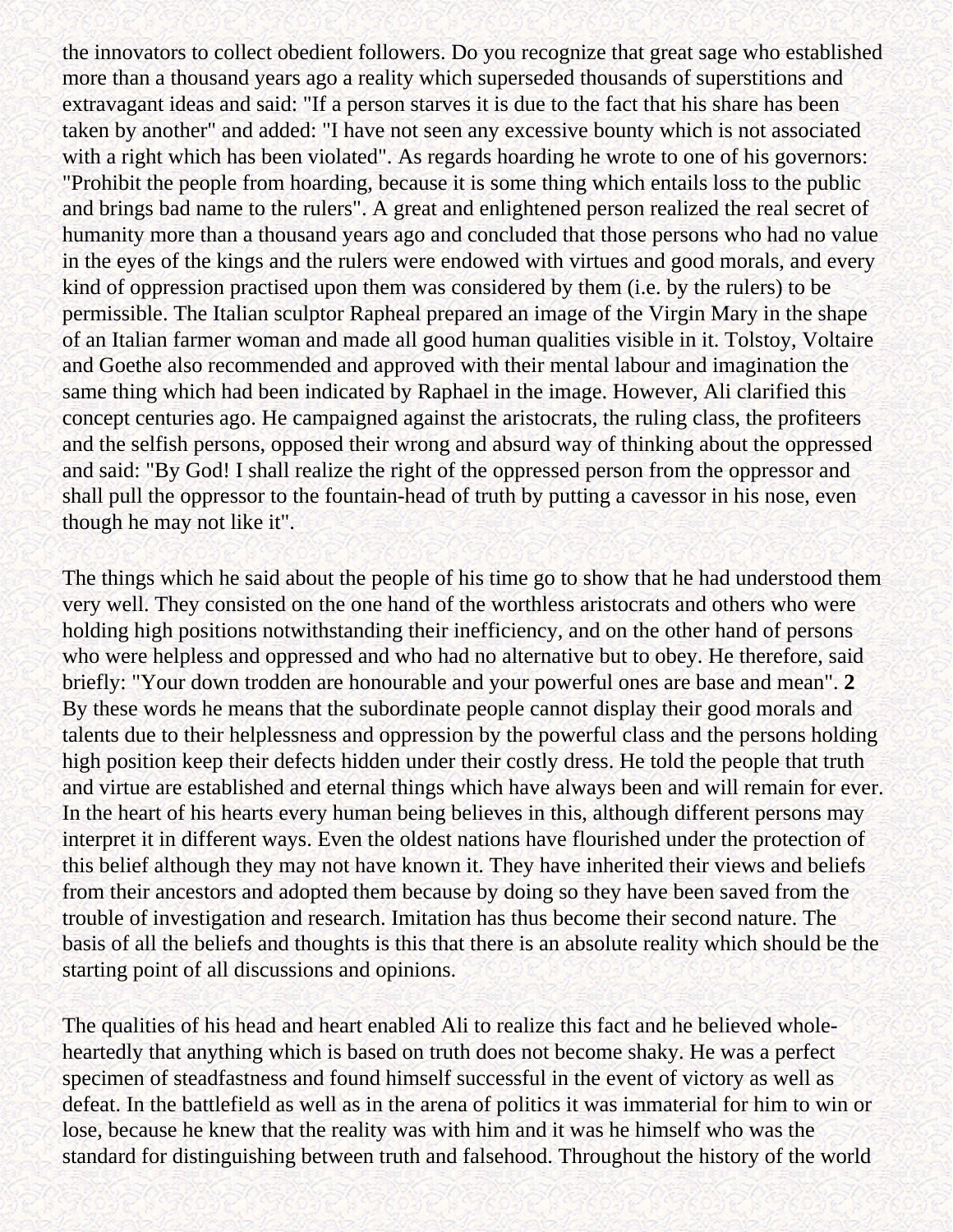the innovators to collect obedient followers. Do you recognize that great sage who established more than a thousand years ago a reality which superseded thousands of superstitions and extravagant ideas and said: "If a person starves it is due to the fact that his share has been taken by another" and added: "I have not seen any excessive bounty which is not associated with a right which has been violated". As regards hoarding he wrote to one of his governors: "Prohibit the people from hoarding, because it is some thing which entails loss to the public and brings bad name to the rulers". A great and enlightened person realized the real secret of humanity more than a thousand years ago and concluded that those persons who had no value in the eyes of the kings and the rulers were endowed with virtues and good morals, and every kind of oppression practised upon them was considered by them (i.e. by the rulers) to be permissible. The Italian sculptor Rapheal prepared an image of the Virgin Mary in the shape of an Italian farmer woman and made all good human qualities visible in it. Tolstoy, Voltaire and Goethe also recommended and approved with their mental labour and imagination the same thing which had been indicated by Raphael in the image. However, Ali clarified this concept centuries ago. He campaigned against the aristocrats, the ruling class, the profiteers and the selfish persons, opposed their wrong and absurd way of thinking about the oppressed and said: "By God! I shall realize the right of the oppressed person from the oppressor and shall pull the oppressor to the fountain-head of truth by putting a cavessor in his nose, even though he may not like it".

The things which he said about the people of his time go to show that he had understood them very well. They consisted on the one hand of the worthless aristocrats and others who were holding high positions notwithstanding their inefficiency, and on the other hand of persons who were helpless and oppressed and who had no alternative but to obey. He therefore, said briefly: "Your down trodden are honourable and your powerful ones are base and mean". **2** By these words he means that the subordinate people cannot display their good morals and talents due to their helplessness and oppression by the powerful class and the persons holding high position keep their defects hidden under their costly dress. He told the people that truth and virtue are established and eternal things which have always been and will remain for ever. In the heart of his hearts every human being believes in this, although different persons may interpret it in different ways. Even the oldest nations have flourished under the protection of this belief although they may not have known it. They have inherited their views and beliefs from their ancestors and adopted them because by doing so they have been saved from the trouble of investigation and research. Imitation has thus become their second nature. The basis of all the beliefs and thoughts is this that there is an absolute reality which should be the starting point of all discussions and opinions.

The qualities of his head and heart enabled Ali to realize this fact and he believed wholeheartedly that anything which is based on truth does not become shaky. He was a perfect specimen of steadfastness and found himself successful in the event of victory as well as defeat. In the battlefield as well as in the arena of politics it was immaterial for him to win or lose, because he knew that the reality was with him and it was he himself who was the standard for distinguishing between truth and falsehood. Throughout the history of the world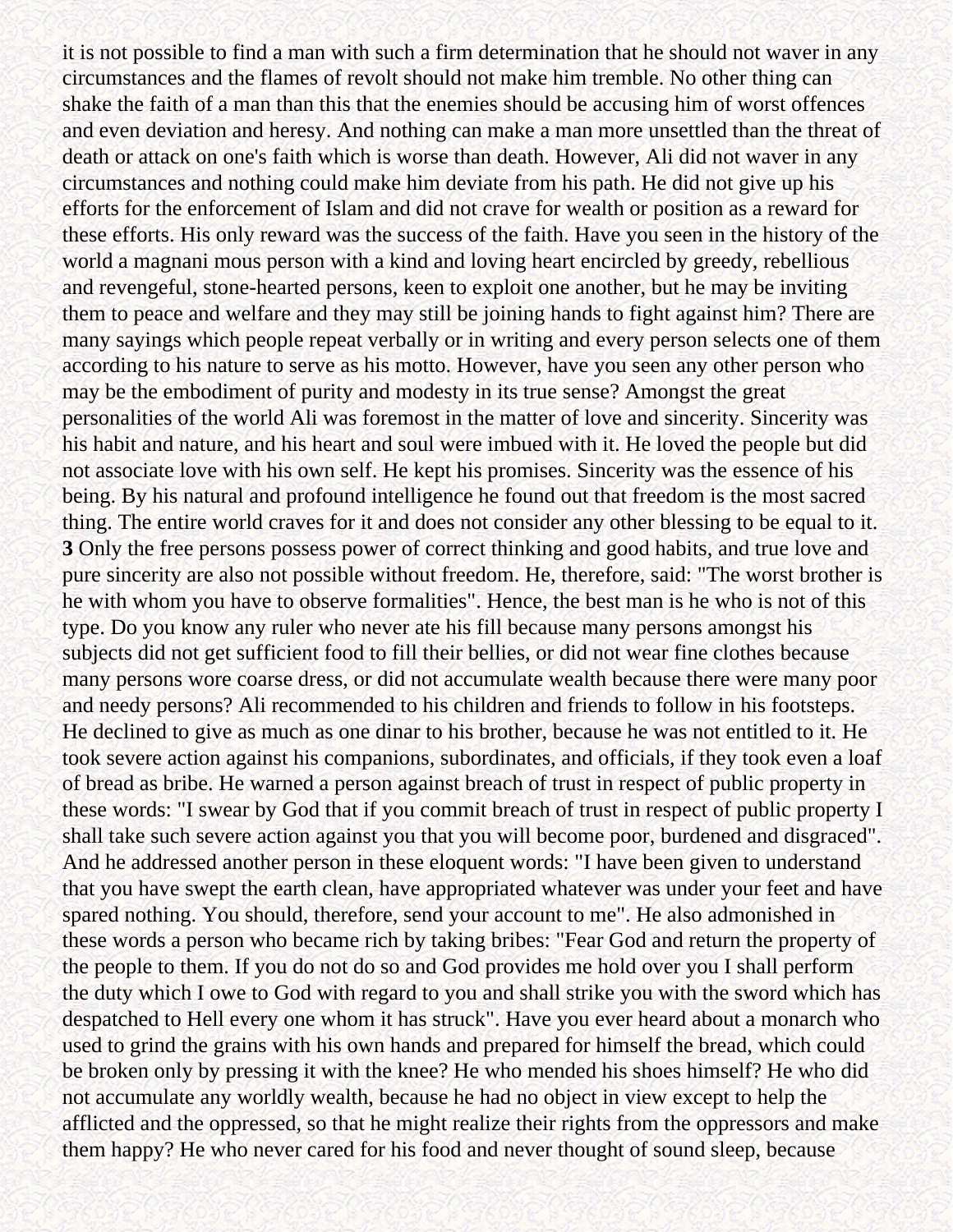it is not possible to find a man with such a firm determination that he should not waver in any circumstances and the flames of revolt should not make him tremble. No other thing can shake the faith of a man than this that the enemies should be accusing him of worst offences and even deviation and heresy. And nothing can make a man more unsettled than the threat of death or attack on one's faith which is worse than death. However, Ali did not waver in any circumstances and nothing could make him deviate from his path. He did not give up his efforts for the enforcement of Islam and did not crave for wealth or position as a reward for these efforts. His only reward was the success of the faith. Have you seen in the history of the world a magnani mous person with a kind and loving heart encircled by greedy, rebellious and revengeful, stone-hearted persons, keen to exploit one another, but he may be inviting them to peace and welfare and they may still be joining hands to fight against him? There are many sayings which people repeat verbally or in writing and every person selects one of them according to his nature to serve as his motto. However, have you seen any other person who may be the embodiment of purity and modesty in its true sense? Amongst the great personalities of the world Ali was foremost in the matter of love and sincerity. Sincerity was his habit and nature, and his heart and soul were imbued with it. He loved the people but did not associate love with his own self. He kept his promises. Sincerity was the essence of his being. By his natural and profound intelligence he found out that freedom is the most sacred thing. The entire world craves for it and does not consider any other blessing to be equal to it. **3** Only the free persons possess power of correct thinking and good habits, and true love and pure sincerity are also not possible without freedom. He, therefore, said: "The worst brother is he with whom you have to observe formalities". Hence, the best man is he who is not of this type. Do you know any ruler who never ate his fill because many persons amongst his subjects did not get sufficient food to fill their bellies, or did not wear fine clothes because many persons wore coarse dress, or did not accumulate wealth because there were many poor and needy persons? Ali recommended to his children and friends to follow in his footsteps. He declined to give as much as one dinar to his brother, because he was not entitled to it. He took severe action against his companions, subordinates, and officials, if they took even a loaf of bread as bribe. He warned a person against breach of trust in respect of public property in these words: "I swear by God that if you commit breach of trust in respect of public property I shall take such severe action against you that you will become poor, burdened and disgraced". And he addressed another person in these eloquent words: "I have been given to understand that you have swept the earth clean, have appropriated whatever was under your feet and have spared nothing. You should, therefore, send your account to me". He also admonished in these words a person who became rich by taking bribes: "Fear God and return the property of the people to them. If you do not do so and God provides me hold over you I shall perform the duty which I owe to God with regard to you and shall strike you with the sword which has despatched to Hell every one whom it has struck". Have you ever heard about a monarch who used to grind the grains with his own hands and prepared for himself the bread, which could be broken only by pressing it with the knee? He who mended his shoes himself? He who did not accumulate any worldly wealth, because he had no object in view except to help the afflicted and the oppressed, so that he might realize their rights from the oppressors and make them happy? He who never cared for his food and never thought of sound sleep, because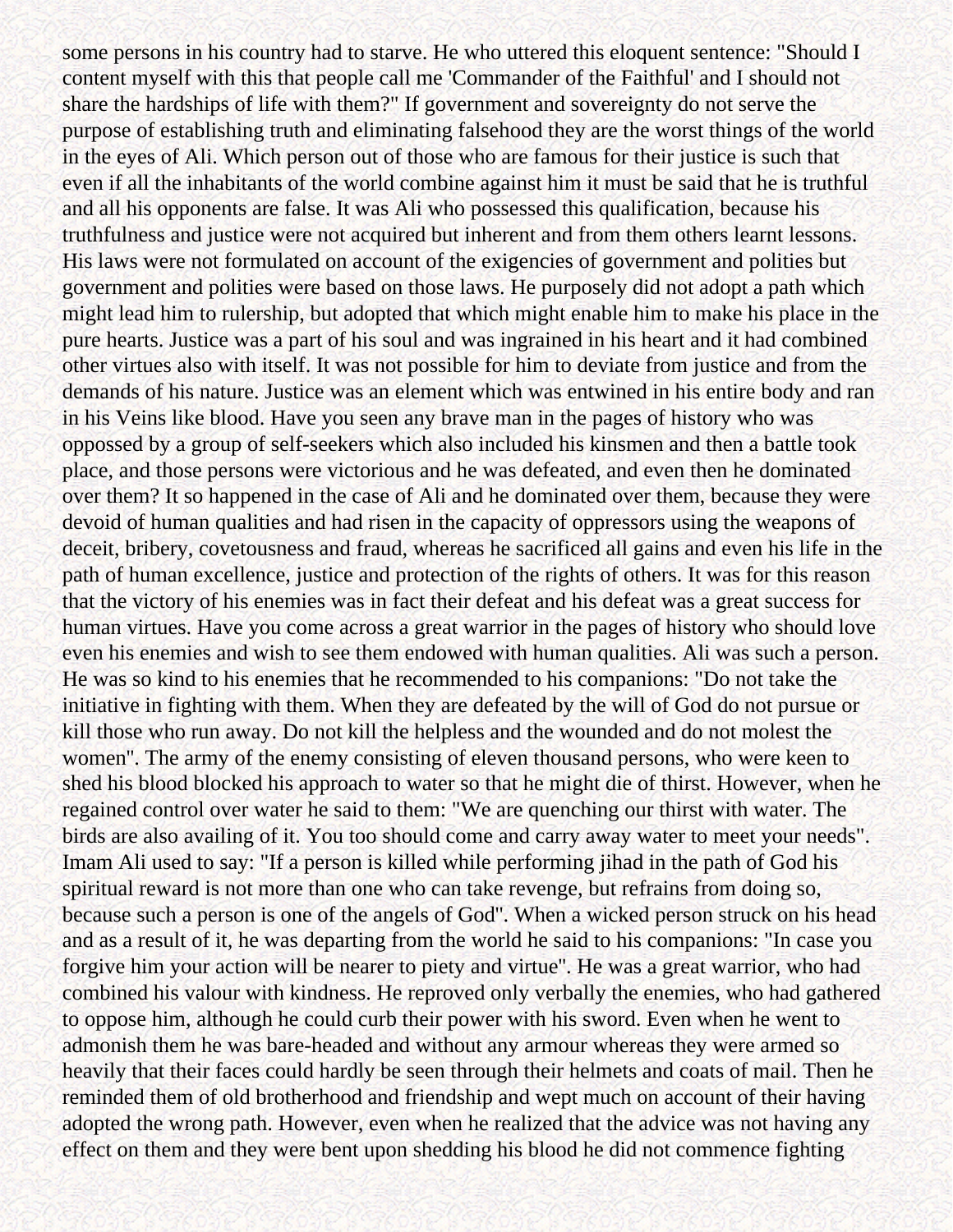some persons in his country had to starve. He who uttered this eloquent sentence: "Should I content myself with this that people call me 'Commander of the Faithful' and I should not share the hardships of life with them?" If government and sovereignty do not serve the purpose of establishing truth and eliminating falsehood they are the worst things of the world in the eyes of Ali. Which person out of those who are famous for their justice is such that even if all the inhabitants of the world combine against him it must be said that he is truthful and all his opponents are false. It was Ali who possessed this qualification, because his truthfulness and justice were not acquired but inherent and from them others learnt lessons. His laws were not formulated on account of the exigencies of government and polities but government and polities were based on those laws. He purposely did not adopt a path which might lead him to rulership, but adopted that which might enable him to make his place in the pure hearts. Justice was a part of his soul and was ingrained in his heart and it had combined other virtues also with itself. It was not possible for him to deviate from justice and from the demands of his nature. Justice was an element which was entwined in his entire body and ran in his Veins like blood. Have you seen any brave man in the pages of history who was oppossed by a group of self-seekers which also included his kinsmen and then a battle took place, and those persons were victorious and he was defeated, and even then he dominated over them? It so happened in the case of Ali and he dominated over them, because they were devoid of human qualities and had risen in the capacity of oppressors using the weapons of deceit, bribery, covetousness and fraud, whereas he sacrificed all gains and even his life in the path of human excellence, justice and protection of the rights of others. It was for this reason that the victory of his enemies was in fact their defeat and his defeat was a great success for human virtues. Have you come across a great warrior in the pages of history who should love even his enemies and wish to see them endowed with human qualities. Ali was such a person. He was so kind to his enemies that he recommended to his companions: "Do not take the initiative in fighting with them. When they are defeated by the will of God do not pursue or kill those who run away. Do not kill the helpless and the wounded and do not molest the women''. The army of the enemy consisting of eleven thousand persons, who were keen to shed his blood blocked his approach to water so that he might die of thirst. However, when he regained control over water he said to them: "We are quenching our thirst with water. The birds are also availing of it. You too should come and carry away water to meet your needs". Imam Ali used to say: "If a person is killed while performing jihad in the path of God his spiritual reward is not more than one who can take revenge, but refrains from doing so, because such a person is one of the angels of God''. When a wicked person struck on his head and as a result of it, he was departing from the world he said to his companions: "In case you forgive him your action will be nearer to piety and virtue''. He was a great warrior, who had combined his valour with kindness. He reproved only verbally the enemies, who had gathered to oppose him, although he could curb their power with his sword. Even when he went to admonish them he was bare-headed and without any armour whereas they were armed so heavily that their faces could hardly be seen through their helmets and coats of mail. Then he reminded them of old brotherhood and friendship and wept much on account of their having adopted the wrong path. However, even when he realized that the advice was not having any effect on them and they were bent upon shedding his blood he did not commence fighting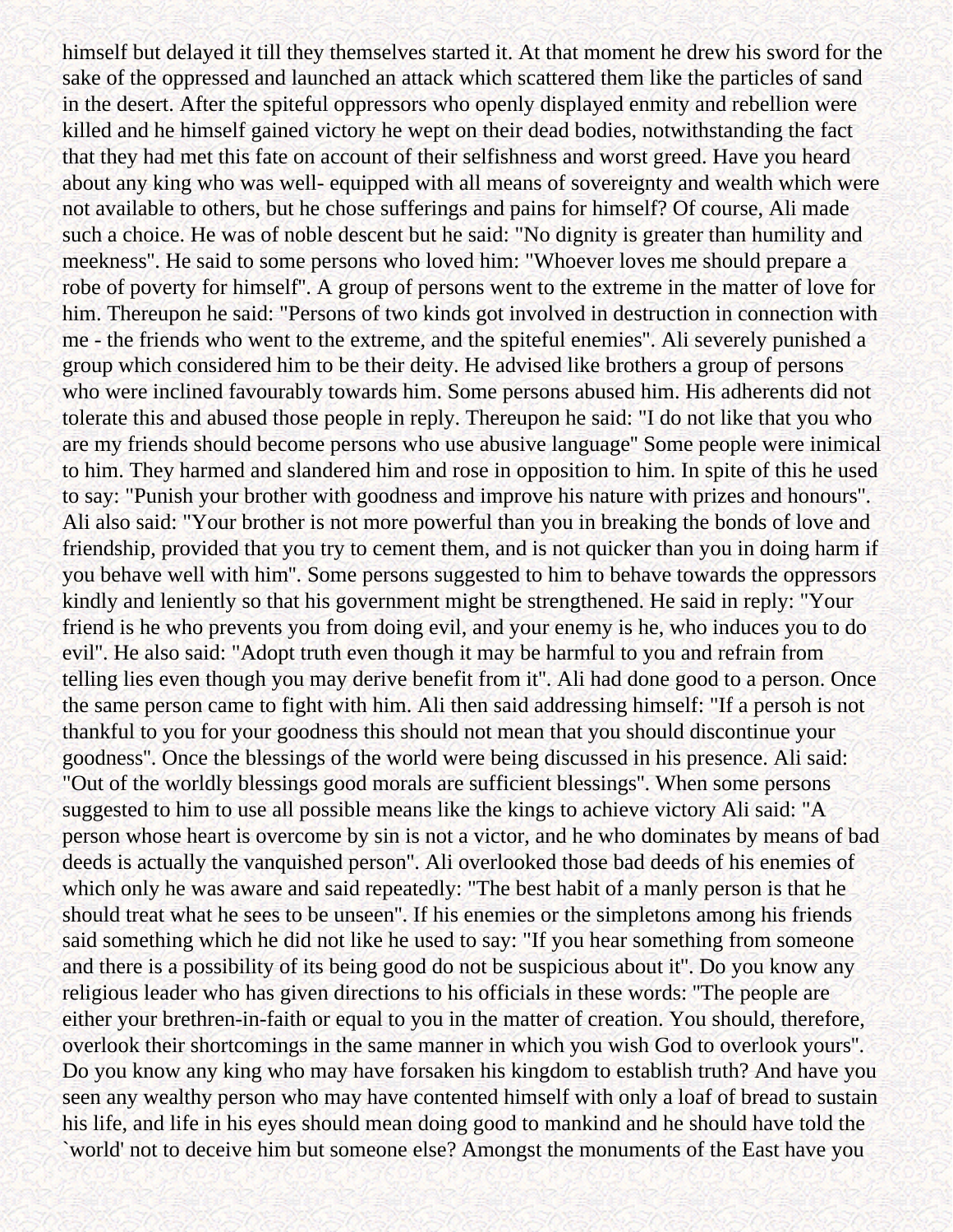himself but delayed it till they themselves started it. At that moment he drew his sword for the sake of the oppressed and launched an attack which scattered them like the particles of sand in the desert. After the spiteful oppressors who openly displayed enmity and rebellion were killed and he himself gained victory he wept on their dead bodies, notwithstanding the fact that they had met this fate on account of their selfishness and worst greed. Have you heard about any king who was well- equipped with all means of sovereignty and wealth which were not available to others, but he chose sufferings and pains for himself? Of course, Ali made such a choice. He was of noble descent but he said: "No dignity is greater than humility and meekness''. He said to some persons who loved him: "Whoever loves me should prepare a robe of poverty for himself''. A group of persons went to the extreme in the matter of love for him. Thereupon he said: "Persons of two kinds got involved in destruction in connection with me - the friends who went to the extreme, and the spiteful enemies''. Ali severely punished a group which considered him to be their deity. He advised like brothers a group of persons who were inclined favourably towards him. Some persons abused him. His adherents did not tolerate this and abused those people in reply. Thereupon he said: "I do not like that you who are my friends should become persons who use abusive language'' Some people were inimical to him. They harmed and slandered him and rose in opposition to him. In spite of this he used to say: "Punish your brother with goodness and improve his nature with prizes and honours''. Ali also said: "Your brother is not more powerful than you in breaking the bonds of love and friendship, provided that you try to cement them, and is not quicker than you in doing harm if you behave well with him''. Some persons suggested to him to behave towards the oppressors kindly and leniently so that his government might be strengthened. He said in reply: "Your friend is he who prevents you from doing evil, and your enemy is he, who induces you to do evil''. He also said: "Adopt truth even though it may be harmful to you and refrain from telling lies even though you may derive benefit from it''. Ali had done good to a person. Once the same person came to fight with him. Ali then said addressing himself: "If a persoh is not thankful to you for your goodness this should not mean that you should discontinue your goodness''. Once the blessings of the world were being discussed in his presence. Ali said: "Out of the worldly blessings good morals are sufficient blessings''. When some persons suggested to him to use all possible means like the kings to achieve victory Ali said: "A person whose heart is overcome by sin is not a victor, and he who dominates by means of bad deeds is actually the vanquished person''. Ali overlooked those bad deeds of his enemies of which only he was aware and said repeatedly: "The best habit of a manly person is that he should treat what he sees to be unseen''. If his enemies or the simpletons among his friends said something which he did not like he used to say: "If you hear something from someone and there is a possibility of its being good do not be suspicious about it''. Do you know any religious leader who has given directions to his officials in these words: ''The people are either your brethren-in-faith or equal to you in the matter of creation. You should, therefore, overlook their shortcomings in the same manner in which you wish God to overlook yours''. Do you know any king who may have forsaken his kingdom to establish truth? And have you seen any wealthy person who may have contented himself with only a loaf of bread to sustain his life, and life in his eyes should mean doing good to mankind and he should have told the `world' not to deceive him but someone else? Amongst the monuments of the East have you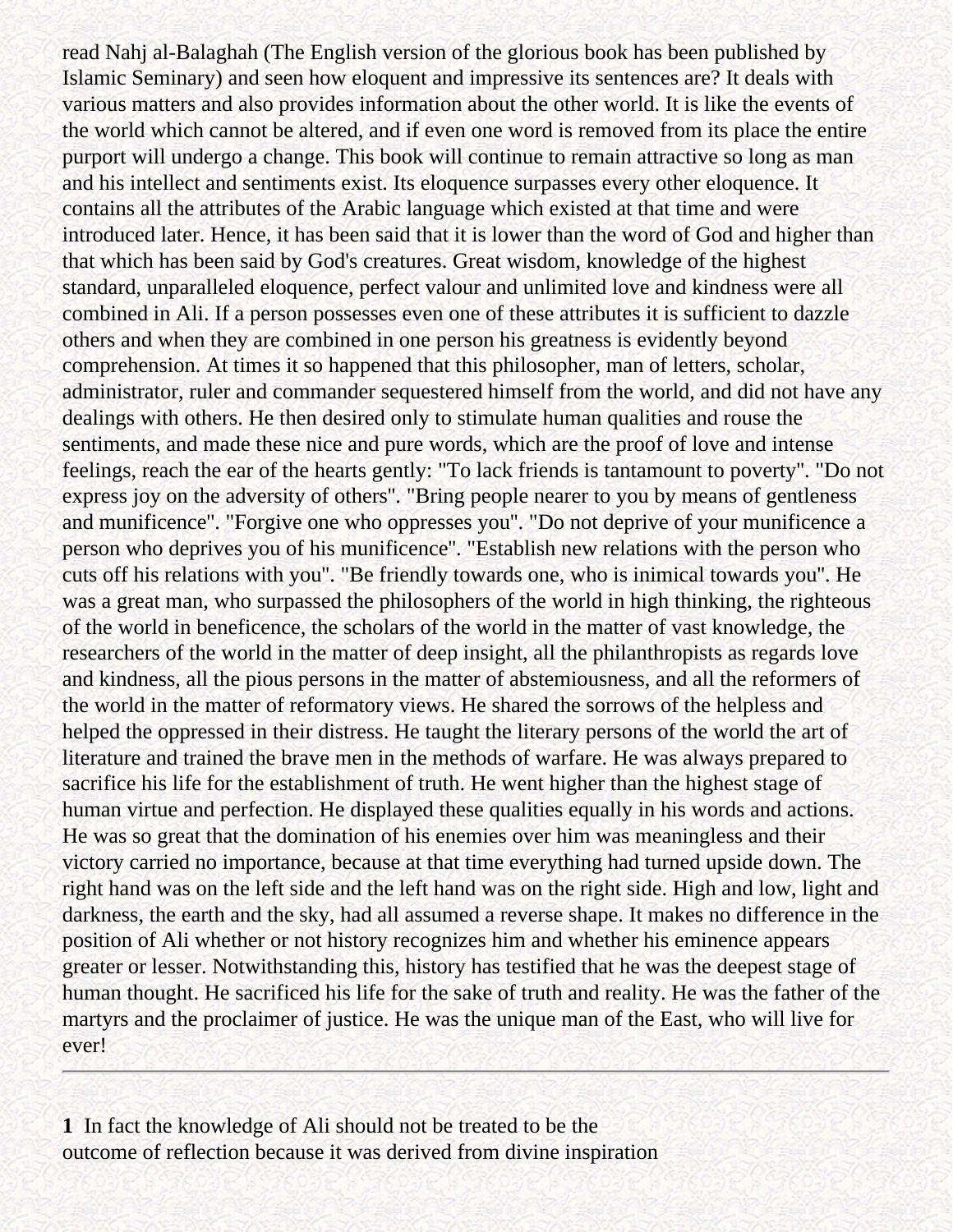read Nahj al-Balaghah (The English version of the glorious book has been published by Islamic Seminary) and seen how eloquent and impressive its sentences are? It deals with various matters and also provides information about the other world. It is like the events of the world which cannot be altered, and if even one word is removed from its place the entire purport will undergo a change. This book will continue to remain attractive so long as man and his intellect and sentiments exist. Its eloquence surpasses every other eloquence. It contains all the attributes of the Arabic language which existed at that time and were introduced later. Hence, it has been said that it is lower than the word of God and higher than that which has been said by God's creatures. Great wisdom, knowledge of the highest standard, unparalleled eloquence, perfect valour and unlimited love and kindness were all combined in Ali. If a person possesses even one of these attributes it is sufficient to dazzle others and when they are combined in one person his greatness is evidently beyond comprehension. At times it so happened that this philosopher, man of letters, scholar, administrator, ruler and commander sequestered himself from the world, and did not have any dealings with others. He then desired only to stimulate human qualities and rouse the sentiments, and made these nice and pure words, which are the proof of love and intense feelings, reach the ear of the hearts gently: "To lack friends is tantamount to poverty''. "Do not express joy on the adversity of others''. "Bring people nearer to you by means of gentleness and munificence''. "Forgive one who oppresses you''. "Do not deprive of your munificence a person who deprives you of his munificence''. "Establish new relations with the person who cuts off his relations with you''. "Be friendly towards one, who is inimical towards you''. He was a great man, who surpassed the philosophers of the world in high thinking, the righteous of the world in beneficence, the scholars of the world in the matter of vast knowledge, the researchers of the world in the matter of deep insight, all the philanthropists as regards love and kindness, all the pious persons in the matter of abstemiousness, and all the reformers of the world in the matter of reformatory views. He shared the sorrows of the helpless and helped the oppressed in their distress. He taught the literary persons of the world the art of literature and trained the brave men in the methods of warfare. He was always prepared to sacrifice his life for the establishment of truth. He went higher than the highest stage of human virtue and perfection. He displayed these qualities equally in his words and actions. He was so great that the domination of his enemies over him was meaningless and their victory carried no importance, because at that time everything had turned upside down. The right hand was on the left side and the left hand was on the right side. High and low, light and darkness, the earth and the sky, had all assumed a reverse shape. It makes no difference in the position of Ali whether or not history recognizes him and whether his eminence appears greater or lesser. Notwithstanding this, history has testified that he was the deepest stage of human thought. He sacrificed his life for the sake of truth and reality. He was the father of the martyrs and the proclaimer of justice. He was the unique man of the East, who will live for ever!

**1** In fact the knowledge of Ali should not be treated to be the outcome of reflection because it was derived from divine inspiration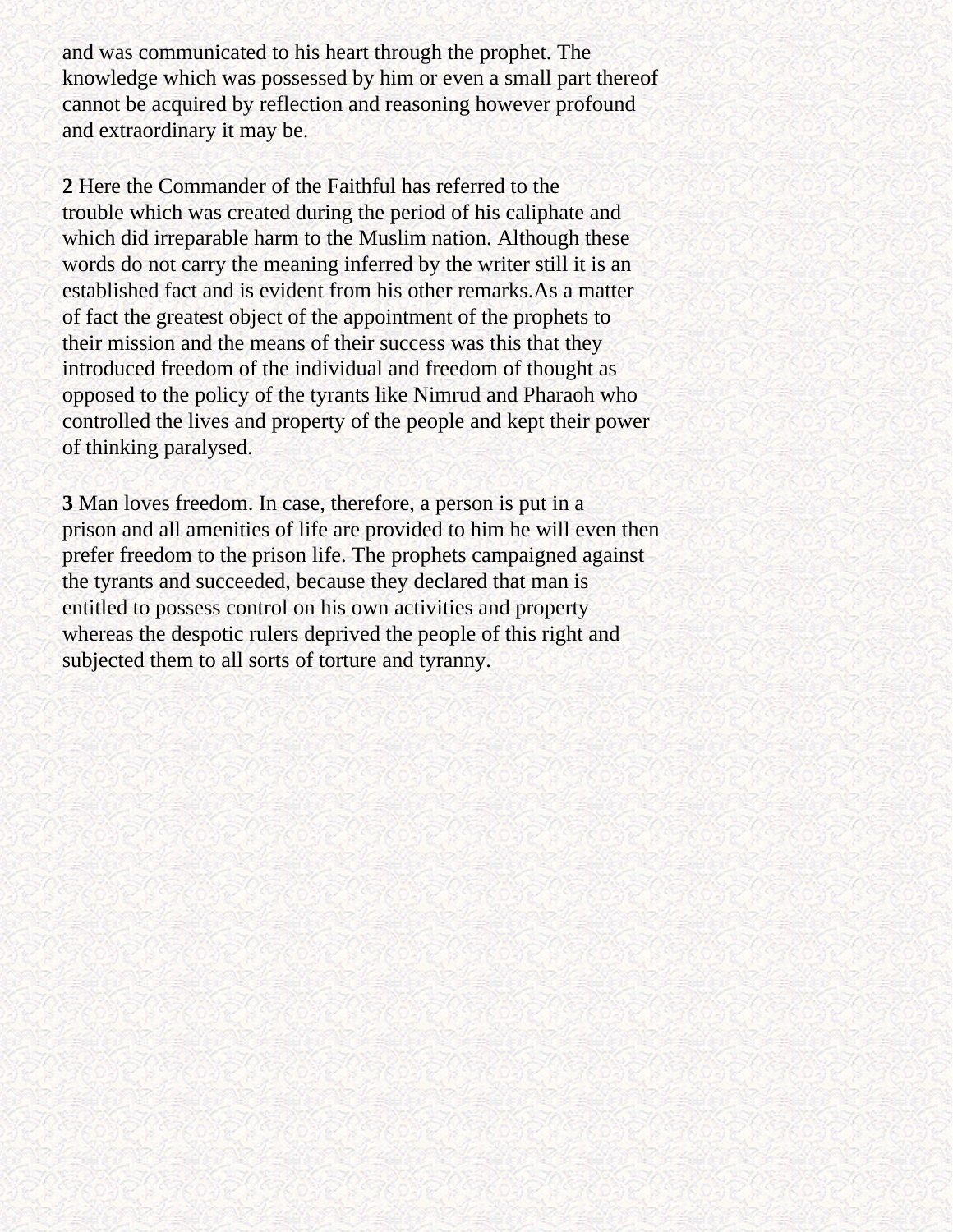and was communicated to his heart through the prophet. The knowledge which was possessed by him or even a small part thereof cannot be acquired by reflection and reasoning however profound and extraordinary it may be.

**2** Here the Commander of the Faithful has referred to the trouble which was created during the period of his caliphate and which did irreparable harm to the Muslim nation. Although these words do not carry the meaning inferred by the writer still it is an established fact and is evident from his other remarks.As a matter of fact the greatest object of the appointment of the prophets to their mission and the means of their success was this that they introduced freedom of the individual and freedom of thought as opposed to the policy of the tyrants like Nimrud and Pharaoh who controlled the lives and property of the people and kept their power of thinking paralysed.

**3** Man loves freedom. In case, therefore, a person is put in a prison and all amenities of life are provided to him he will even then prefer freedom to the prison life. The prophets campaigned against the tyrants and succeeded, because they declared that man is entitled to possess control on his own activities and property whereas the despotic rulers deprived the people of this right and subjected them to all sorts of torture and tyranny.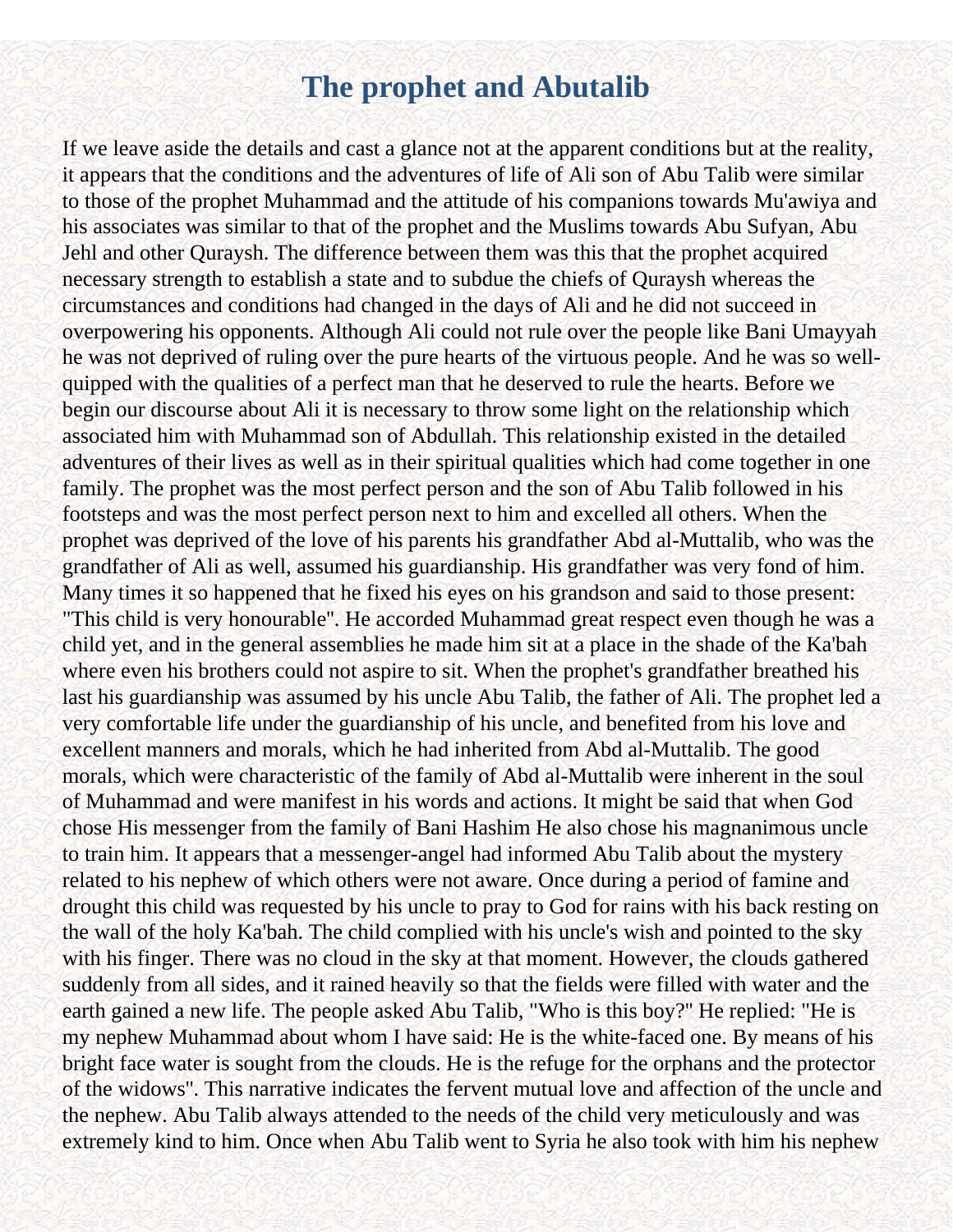### **The prophet and Abutalib**

<span id="page-18-0"></span>If we leave aside the details and cast a glance not at the apparent conditions but at the reality, it appears that the conditions and the adventures of life of Ali son of Abu Talib were similar to those of the prophet Muhammad and the attitude of his companions towards Mu'awiya and his associates was similar to that of the prophet and the Muslims towards Abu Sufyan, Abu Jehl and other Quraysh. The difference between them was this that the prophet acquired necessary strength to establish a state and to subdue the chiefs of Quraysh whereas the circumstances and conditions had changed in the days of Ali and he did not succeed in overpowering his opponents. Although Ali could not rule over the people like Bani Umayyah he was not deprived of ruling over the pure hearts of the virtuous people. And he was so wellquipped with the qualities of a perfect man that he deserved to rule the hearts. Before we begin our discourse about Ali it is necessary to throw some light on the relationship which associated him with Muhammad son of Abdullah. This relationship existed in the detailed adventures of their lives as well as in their spiritual qualities which had come together in one family. The prophet was the most perfect person and the son of Abu Talib followed in his footsteps and was the most perfect person next to him and excelled all others. When the prophet was deprived of the love of his parents his grandfather Abd al-Muttalib, who was the grandfather of Ali as well, assumed his guardianship. His grandfather was very fond of him. Many times it so happened that he fixed his eyes on his grandson and said to those present: "This child is very honourable''. He accorded Muhammad great respect even though he was a child yet, and in the general assemblies he made him sit at a place in the shade of the Ka'bah where even his brothers could not aspire to sit. When the prophet's grandfather breathed his last his guardianship was assumed by his uncle Abu Talib, the father of Ali. The prophet led a very comfortable life under the guardianship of his uncle, and benefited from his love and excellent manners and morals, which he had inherited from Abd al-Muttalib. The good morals, which were characteristic of the family of Abd al-Muttalib were inherent in the soul of Muhammad and were manifest in his words and actions. It might be said that when God chose His messenger from the family of Bani Hashim He also chose his magnanimous uncle to train him. It appears that a messenger-angel had informed Abu Talib about the mystery related to his nephew of which others were not aware. Once during a period of famine and drought this child was requested by his uncle to pray to God for rains with his back resting on the wall of the holy Ka'bah. The child complied with his uncle's wish and pointed to the sky with his finger. There was no cloud in the sky at that moment. However, the clouds gathered suddenly from all sides, and it rained heavily so that the fields were filled with water and the earth gained a new life. The people asked Abu Talib, "Who is this boy?'' He replied: "He is my nephew Muhammad about whom I have said: He is the white-faced one. By means of his bright face water is sought from the clouds. He is the refuge for the orphans and the protector of the widows''. This narrative indicates the fervent mutual love and affection of the uncle and the nephew. Abu Talib always attended to the needs of the child very meticulously and was extremely kind to him. Once when Abu Talib went to Syria he also took with him his nephew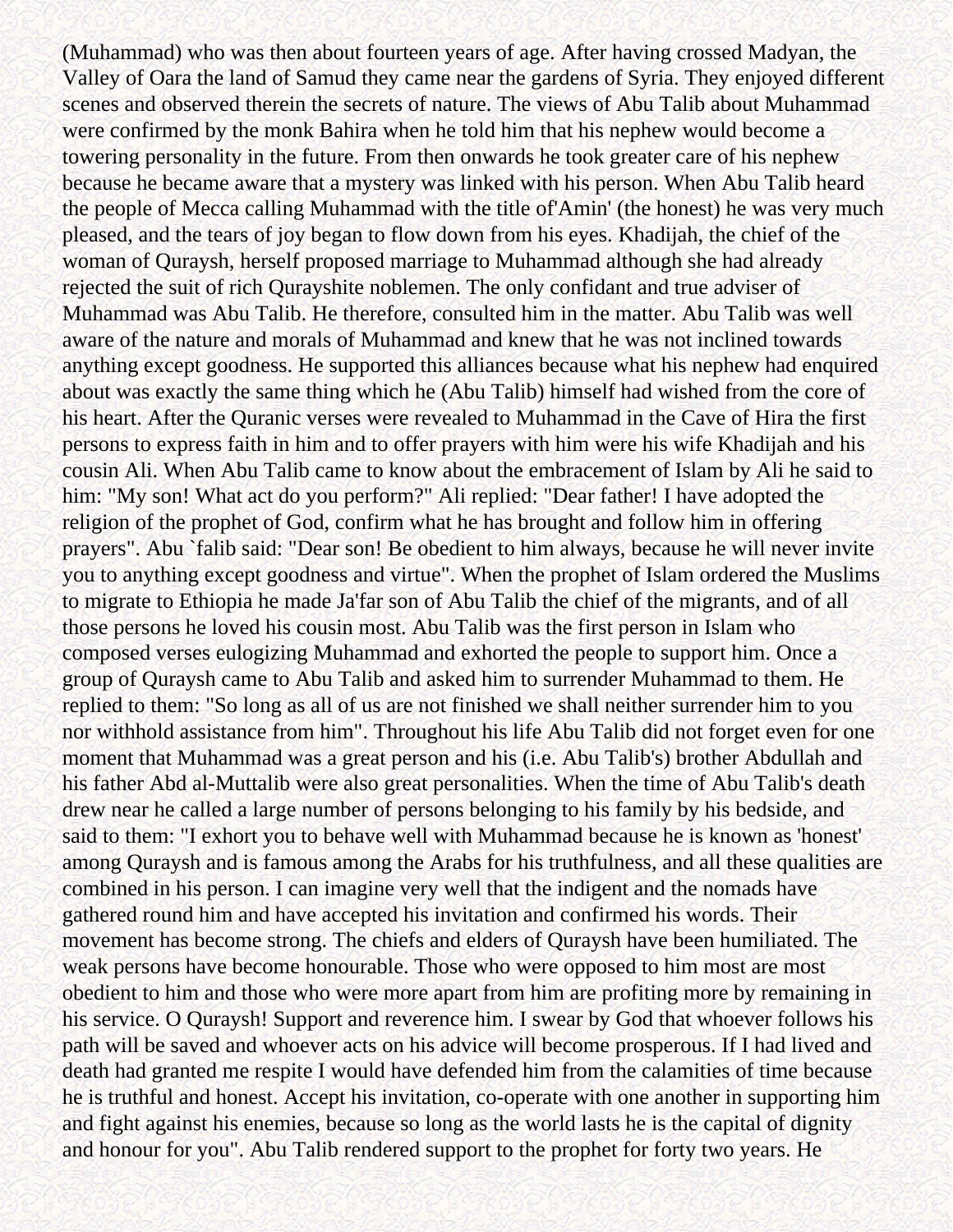(Muhammad) who was then about fourteen years of age. After having crossed Madyan, the Valley of Oara the land of Samud they came near the gardens of Syria. They enjoyed different scenes and observed therein the secrets of nature. The views of Abu Talib about Muhammad were confirmed by the monk Bahira when he told him that his nephew would become a towering personality in the future. From then onwards he took greater care of his nephew because he became aware that a mystery was linked with his person. When Abu Talib heard the people of Mecca calling Muhammad with the title of'Amin' (the honest) he was very much pleased, and the tears of joy began to flow down from his eyes. Khadijah, the chief of the woman of Quraysh, herself proposed marriage to Muhammad although she had already rejected the suit of rich Qurayshite noblemen. The only confidant and true adviser of Muhammad was Abu Talib. He therefore, consulted him in the matter. Abu Talib was well aware of the nature and morals of Muhammad and knew that he was not inclined towards anything except goodness. He supported this alliances because what his nephew had enquired about was exactly the same thing which he (Abu Talib) himself had wished from the core of his heart. After the Quranic verses were revealed to Muhammad in the Cave of Hira the first persons to express faith in him and to offer prayers with him were his wife Khadijah and his cousin Ali. When Abu Talib came to know about the embracement of Islam by Ali he said to him: "My son! What act do you perform?" Ali replied: "Dear father! I have adopted the religion of the prophet of God, confirm what he has brought and follow him in offering prayers". Abu `falib said: "Dear son! Be obedient to him always, because he will never invite you to anything except goodness and virtue". When the prophet of Islam ordered the Muslims to migrate to Ethiopia he made Ja'far son of Abu Talib the chief of the migrants, and of all those persons he loved his cousin most. Abu Talib was the first person in Islam who composed verses eulogizing Muhammad and exhorted the people to support him. Once a group of Quraysh came to Abu Talib and asked him to surrender Muhammad to them. He replied to them: "So long as all of us are not finished we shall neither surrender him to you nor withhold assistance from him". Throughout his life Abu Talib did not forget even for one moment that Muhammad was a great person and his (i.e. Abu Talib's) brother Abdullah and his father Abd al-Muttalib were also great personalities. When the time of Abu Talib's death drew near he called a large number of persons belonging to his family by his bedside, and said to them: "I exhort you to behave well with Muhammad because he is known as 'honest' among Quraysh and is famous among the Arabs for his truthfulness, and all these qualities are combined in his person. I can imagine very well that the indigent and the nomads have gathered round him and have accepted his invitation and confirmed his words. Their movement has become strong. The chiefs and elders of Quraysh have been humiliated. The weak persons have become honourable. Those who were opposed to him most are most obedient to him and those who were more apart from him are profiting more by remaining in his service. O Quraysh! Support and reverence him. I swear by God that whoever follows his path will be saved and whoever acts on his advice will become prosperous. If I had lived and death had granted me respite I would have defended him from the calamities of time because he is truthful and honest. Accept his invitation, co-operate with one another in supporting him and fight against his enemies, because so long as the world lasts he is the capital of dignity and honour for you". Abu Talib rendered support to the prophet for forty two years. He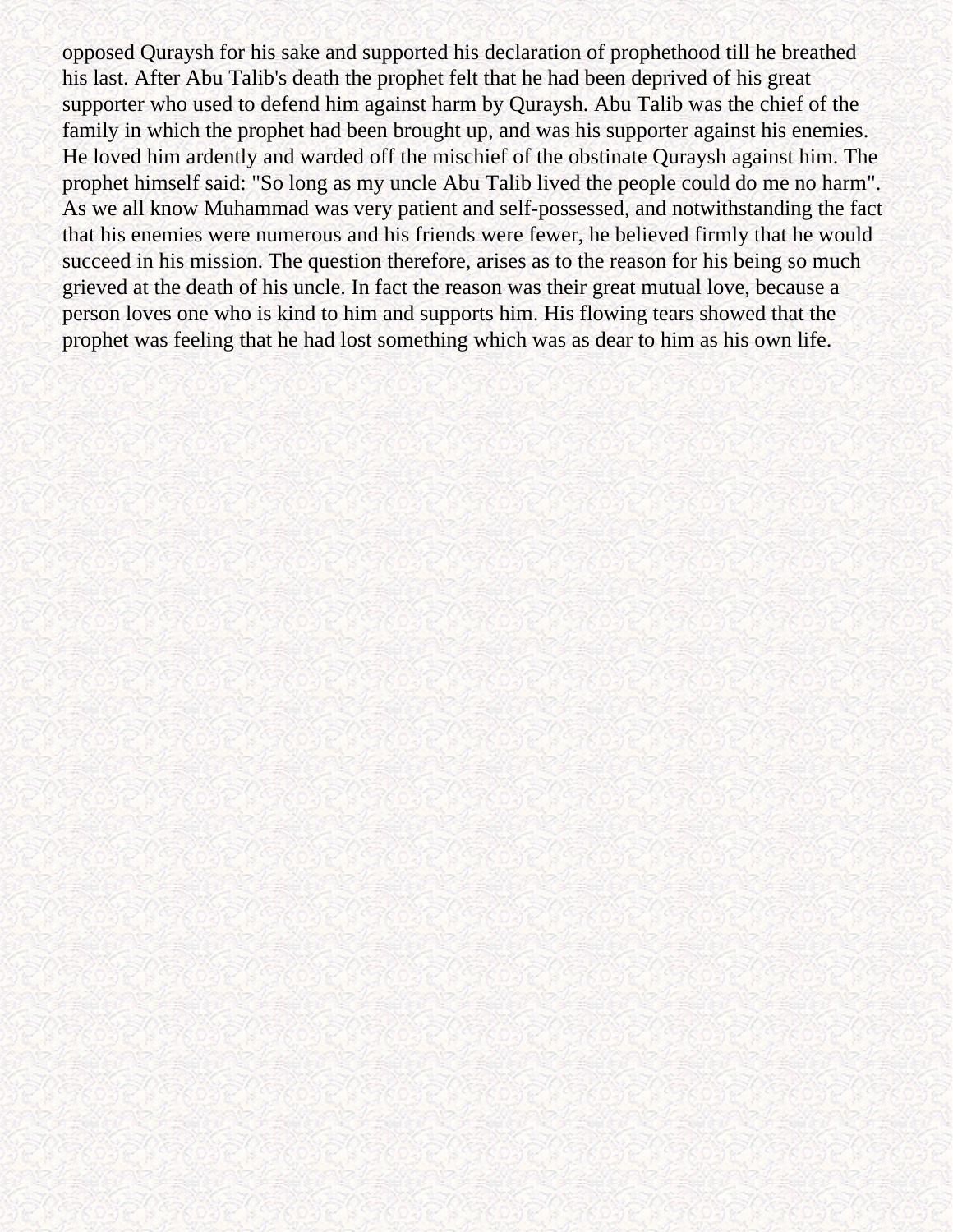opposed Quraysh for his sake and supported his declaration of prophethood till he breathed his last. After Abu Talib's death the prophet felt that he had been deprived of his great supporter who used to defend him against harm by Quraysh. Abu Talib was the chief of the family in which the prophet had been brought up, and was his supporter against his enemies. He loved him ardently and warded off the mischief of the obstinate Quraysh against him. The prophet himself said: "So long as my uncle Abu Talib lived the people could do me no harm". As we all know Muhammad was very patient and self-possessed, and notwithstanding the fact that his enemies were numerous and his friends were fewer, he believed firmly that he would succeed in his mission. The question therefore, arises as to the reason for his being so much grieved at the death of his uncle. In fact the reason was their great mutual love, because a person loves one who is kind to him and supports him. His flowing tears showed that the prophet was feeling that he had lost something which was as dear to him as his own life.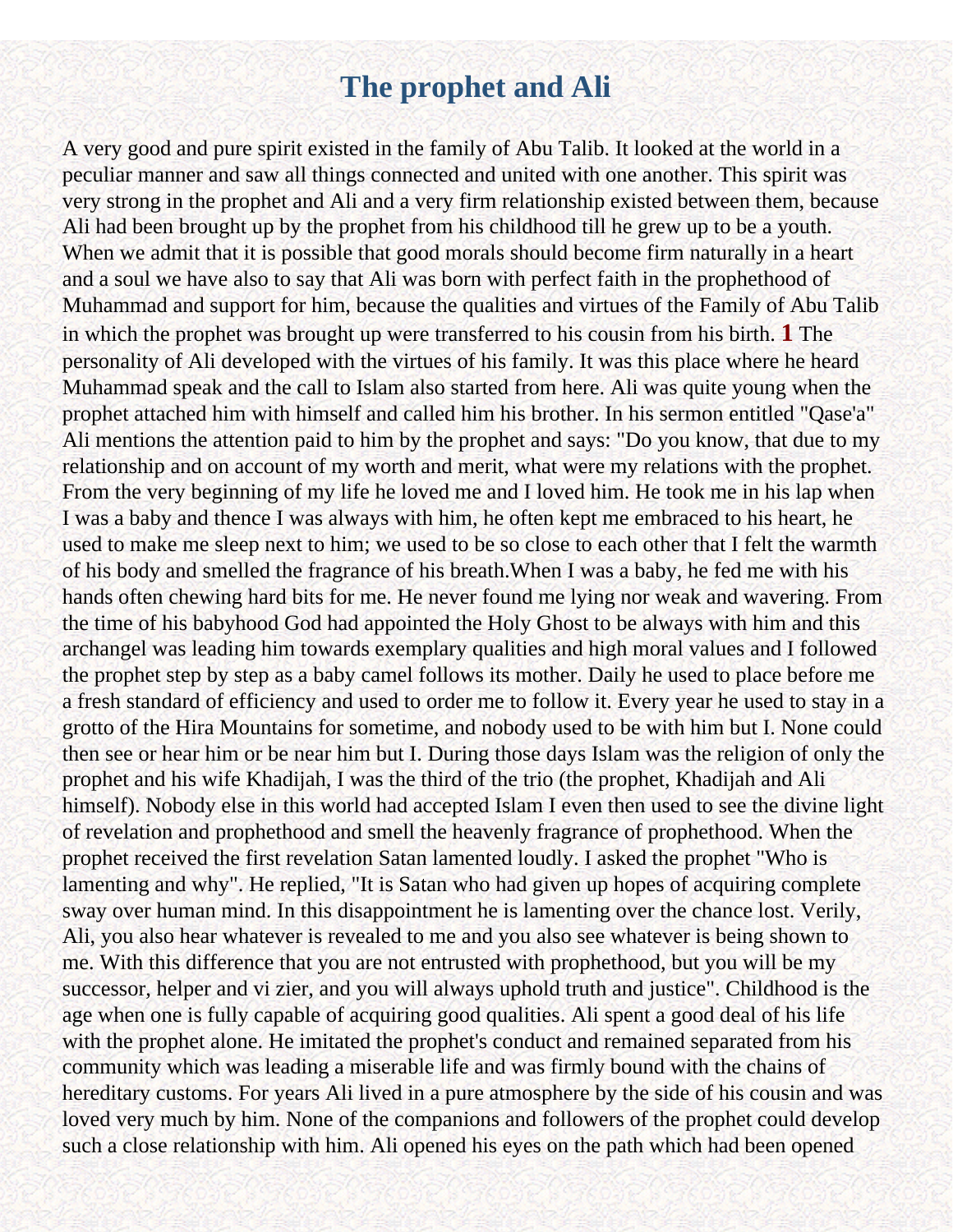## **The prophet and Ali**

<span id="page-21-0"></span>A very good and pure spirit existed in the family of Abu Talib. It looked at the world in a peculiar manner and saw all things connected and united with one another. This spirit was very strong in the prophet and Ali and a very firm relationship existed between them, because Ali had been brought up by the prophet from his childhood till he grew up to be a youth. When we admit that it is possible that good morals should become firm naturally in a heart and a soul we have also to say that Ali was born with perfect faith in the prophethood of Muhammad and support for him, because the qualities and virtues of the Family of Abu Talib in which the prophet was brought up were transferred to his cousin from his birth. **1** The personality of Ali developed with the virtues of his family. It was this place where he heard Muhammad speak and the call to Islam also started from here. Ali was quite young when the prophet attached him with himself and called him his brother. In his sermon entitled "Qase'a" Ali mentions the attention paid to him by the prophet and says: "Do you know, that due to my relationship and on account of my worth and merit, what were my relations with the prophet. From the very beginning of my life he loved me and I loved him. He took me in his lap when I was a baby and thence I was always with him, he often kept me embraced to his heart, he used to make me sleep next to him; we used to be so close to each other that I felt the warmth of his body and smelled the fragrance of his breath.When I was a baby, he fed me with his hands often chewing hard bits for me. He never found me lying nor weak and wavering. From the time of his babyhood God had appointed the Holy Ghost to be always with him and this archangel was leading him towards exemplary qualities and high moral values and I followed the prophet step by step as a baby camel follows its mother. Daily he used to place before me a fresh standard of efficiency and used to order me to follow it. Every year he used to stay in a grotto of the Hira Mountains for sometime, and nobody used to be with him but I. None could then see or hear him or be near him but I. During those days Islam was the religion of only the prophet and his wife Khadijah, I was the third of the trio (the prophet, Khadijah and Ali himself). Nobody else in this world had accepted Islam I even then used to see the divine light of revelation and prophethood and smell the heavenly fragrance of prophethood. When the prophet received the first revelation Satan lamented loudly. I asked the prophet "Who is lamenting and why". He replied, "It is Satan who had given up hopes of acquiring complete sway over human mind. In this disappointment he is lamenting over the chance lost. Verily, Ali, you also hear whatever is revealed to me and you also see whatever is being shown to me. With this difference that you are not entrusted with prophethood, but you will be my successor, helper and vi zier, and you will always uphold truth and justice". Childhood is the age when one is fully capable of acquiring good qualities. Ali spent a good deal of his life with the prophet alone. He imitated the prophet's conduct and remained separated from his community which was leading a miserable life and was firmly bound with the chains of hereditary customs. For years Ali lived in a pure atmosphere by the side of his cousin and was loved very much by him. None of the companions and followers of the prophet could develop such a close relationship with him. Ali opened his eyes on the path which had been opened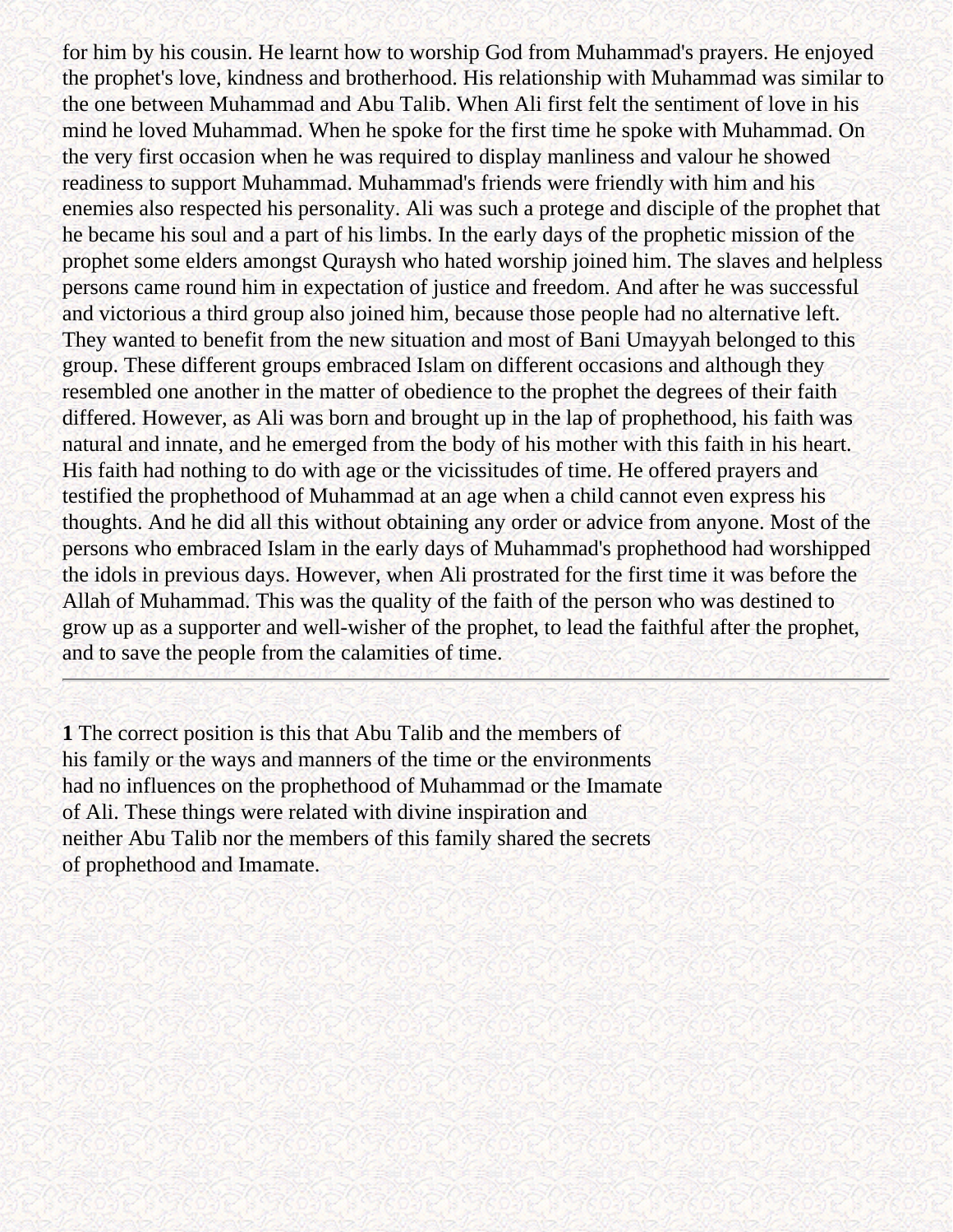for him by his cousin. He learnt how to worship God from Muhammad's prayers. He enjoyed the prophet's love, kindness and brotherhood. His relationship with Muhammad was similar to the one between Muhammad and Abu Talib. When Ali first felt the sentiment of love in his mind he loved Muhammad. When he spoke for the first time he spoke with Muhammad. On the very first occasion when he was required to display manliness and valour he showed readiness to support Muhammad. Muhammad's friends were friendly with him and his enemies also respected his personality. Ali was such a protege and disciple of the prophet that he became his soul and a part of his limbs. In the early days of the prophetic mission of the prophet some elders amongst Quraysh who hated worship joined him. The slaves and helpless persons came round him in expectation of justice and freedom. And after he was successful and victorious a third group also joined him, because those people had no alternative left. They wanted to benefit from the new situation and most of Bani Umayyah belonged to this group. These different groups embraced Islam on different occasions and although they resembled one another in the matter of obedience to the prophet the degrees of their faith differed. However, as Ali was born and brought up in the lap of prophethood, his faith was natural and innate, and he emerged from the body of his mother with this faith in his heart. His faith had nothing to do with age or the vicissitudes of time. He offered prayers and testified the prophethood of Muhammad at an age when a child cannot even express his thoughts. And he did all this without obtaining any order or advice from anyone. Most of the persons who embraced Islam in the early days of Muhammad's prophethood had worshipped the idols in previous days. However, when Ali prostrated for the first time it was before the Allah of Muhammad. This was the quality of the faith of the person who was destined to grow up as a supporter and well-wisher of the prophet, to lead the faithful after the prophet, and to save the people from the calamities of time.

**1** The correct position is this that Abu Talib and the members of his family or the ways and manners of the time or the environments had no influences on the prophethood of Muhammad or the Imamate of Ali. These things were related with divine inspiration and neither Abu Talib nor the members of this family shared the secrets of prophethood and Imamate.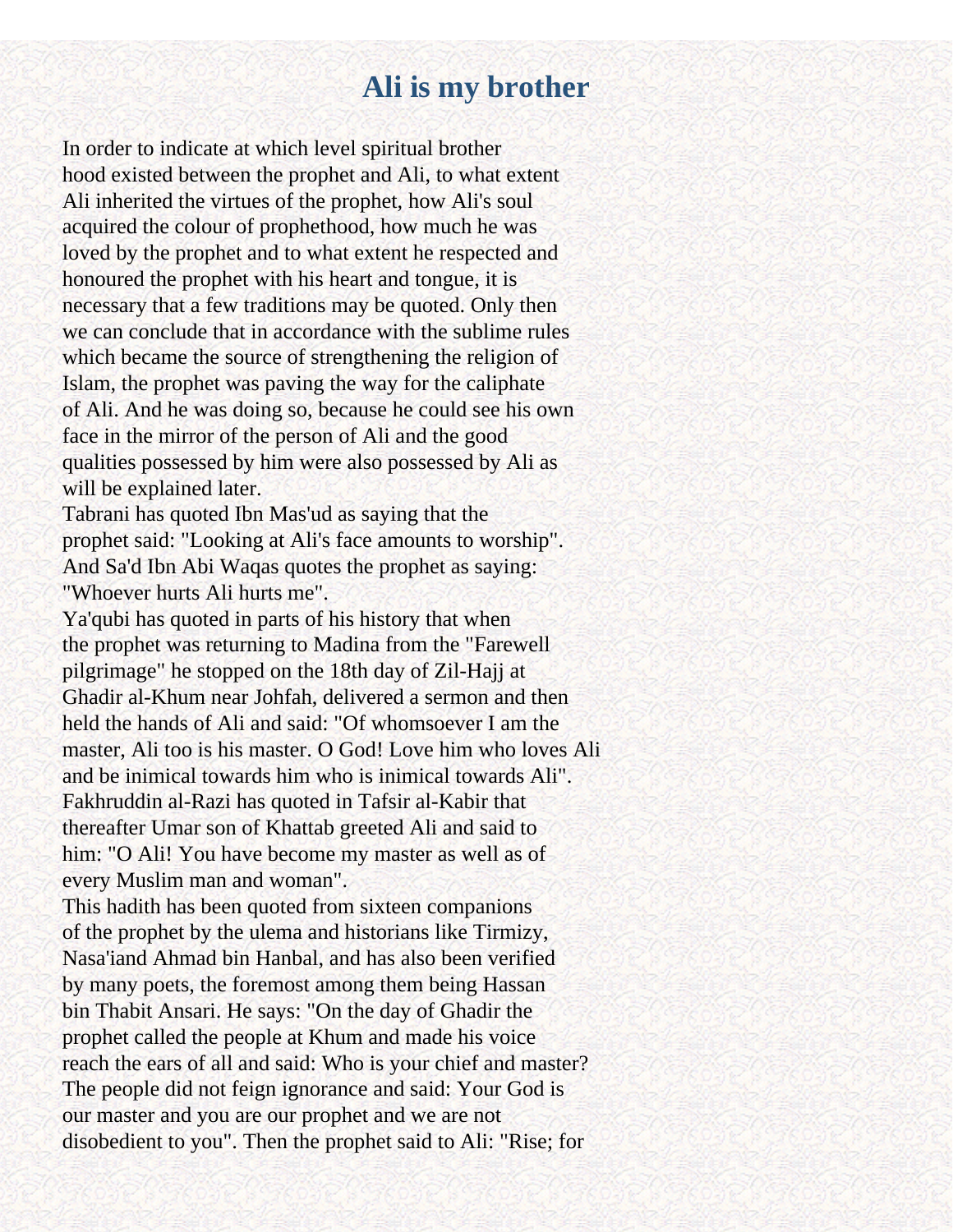#### **Ali is my brother**

<span id="page-23-0"></span>In order to indicate at which level spiritual brother hood existed between the prophet and Ali, to what extent Ali inherited the virtues of the prophet, how Ali's soul acquired the colour of prophethood, how much he was loved by the prophet and to what extent he respected and honoured the prophet with his heart and tongue, it is necessary that a few traditions may be quoted. Only then we can conclude that in accordance with the sublime rules which became the source of strengthening the religion of Islam, the prophet was paving the way for the caliphate of Ali. And he was doing so, because he could see his own face in the mirror of the person of Ali and the good qualities possessed by him were also possessed by Ali as will be explained later.

Tabrani has quoted Ibn Mas'ud as saying that the prophet said: "Looking at Ali's face amounts to worship". And Sa'd Ibn Abi Waqas quotes the prophet as saying: "Whoever hurts Ali hurts me".

Ya'qubi has quoted in parts of his history that when the prophet was returning to Madina from the "Farewell pilgrimage" he stopped on the 18th day of Zil-Hajj at Ghadir al-Khum near Johfah, delivered a sermon and then held the hands of Ali and said: "Of whomsoever I am the master, Ali too is his master. O God! Love him who loves Ali and be inimical towards him who is inimical towards Ali". Fakhruddin al-Razi has quoted in Tafsir al-Kabir that thereafter Umar son of Khattab greeted Ali and said to him: "O Ali! You have become my master as well as of every Muslim man and woman".

This hadith has been quoted from sixteen companions of the prophet by the ulema and historians like Tirmizy, Nasa'iand Ahmad bin Hanbal, and has also been verified by many poets, the foremost among them being Hassan bin Thabit Ansari. He says: "On the day of Ghadir the prophet called the people at Khum and made his voice reach the ears of all and said: Who is your chief and master? The people did not feign ignorance and said: Your God is our master and you are our prophet and we are not disobedient to you". Then the prophet said to Ali: "Rise; for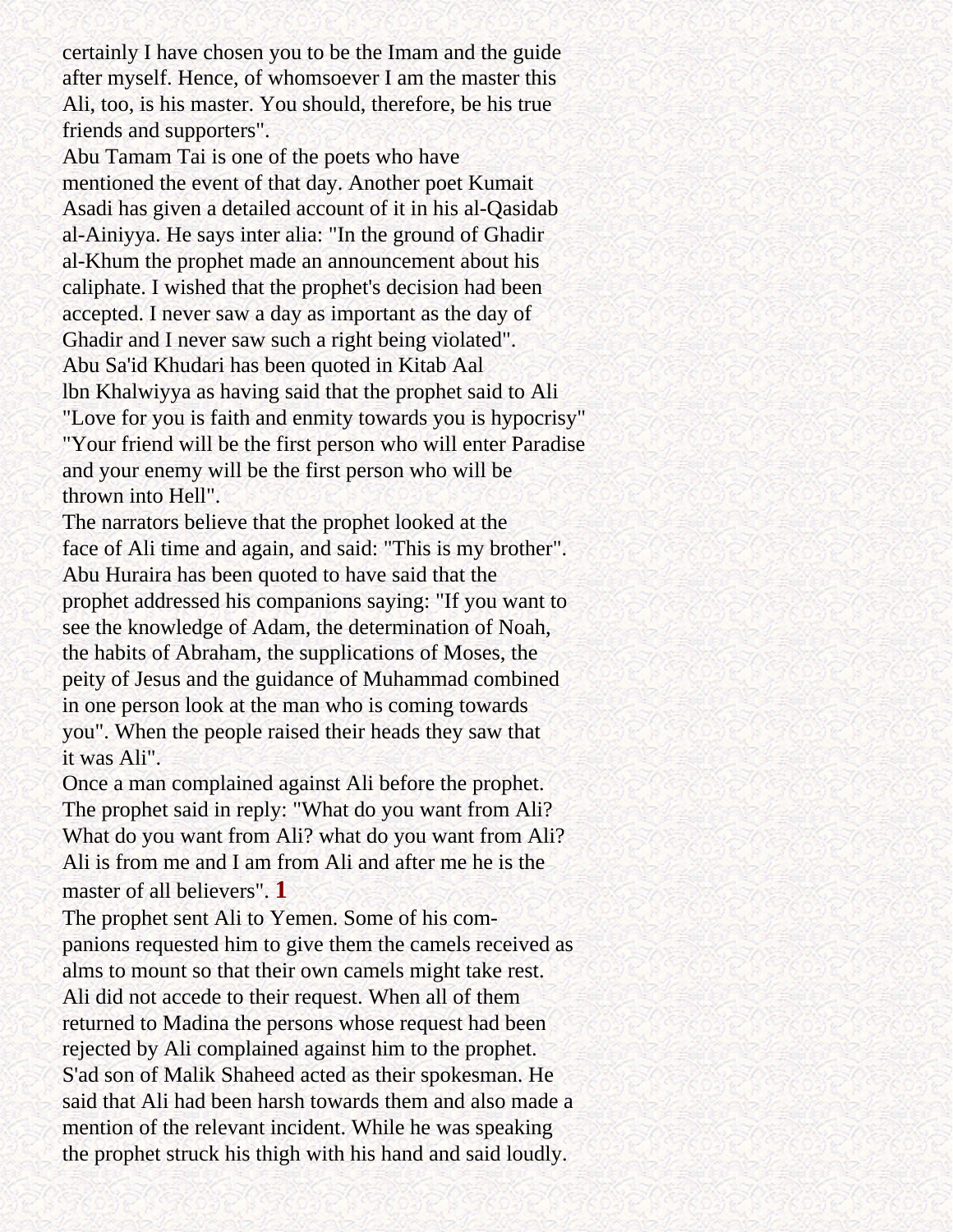certainly I have chosen you to be the Imam and the guide after myself. Hence, of whomsoever I am the master this Ali, too, is his master. You should, therefore, be his true friends and supporters".

Abu Tamam Tai is one of the poets who have mentioned the event of that day. Another poet Kumait Asadi has given a detailed account of it in his al-Qasidab al-Ainiyya. He says inter alia: "In the ground of Ghadir al-Khum the prophet made an announcement about his caliphate. I wished that the prophet's decision had been accepted. I never saw a day as important as the day of Ghadir and I never saw such a right being violated". Abu Sa'id Khudari has been quoted in Kitab Aal lbn Khalwiyya as having said that the prophet said to Ali "Love for you is faith and enmity towards you is hypocrisy" "Your friend will be the first person who will enter Paradise and your enemy will be the first person who will be thrown into Hell".

The narrators believe that the prophet looked at the face of Ali time and again, and said: "This is my brother". Abu Huraira has been quoted to have said that the prophet addressed his companions saying: "If you want to see the knowledge of Adam, the determination of Noah, the habits of Abraham, the supplications of Moses, the peity of Jesus and the guidance of Muhammad combined in one person look at the man who is coming towards you". When the people raised their heads they saw that it was Ali".

Once a man complained against Ali before the prophet. The prophet said in reply: "What do you want from Ali? What do you want from Ali? what do you want from Ali? Ali is from me and I am from Ali and after me he is the master of all believers". **1**

The prophet sent Ali to Yemen. Some of his companions requested him to give them the camels received as alms to mount so that their own camels might take rest. Ali did not accede to their request. When all of them returned to Madina the persons whose request had been rejected by Ali complained against him to the prophet. S'ad son of Malik Shaheed acted as their spokesman. He said that Ali had been harsh towards them and also made a mention of the relevant incident. While he was speaking the prophet struck his thigh with his hand and said loudly.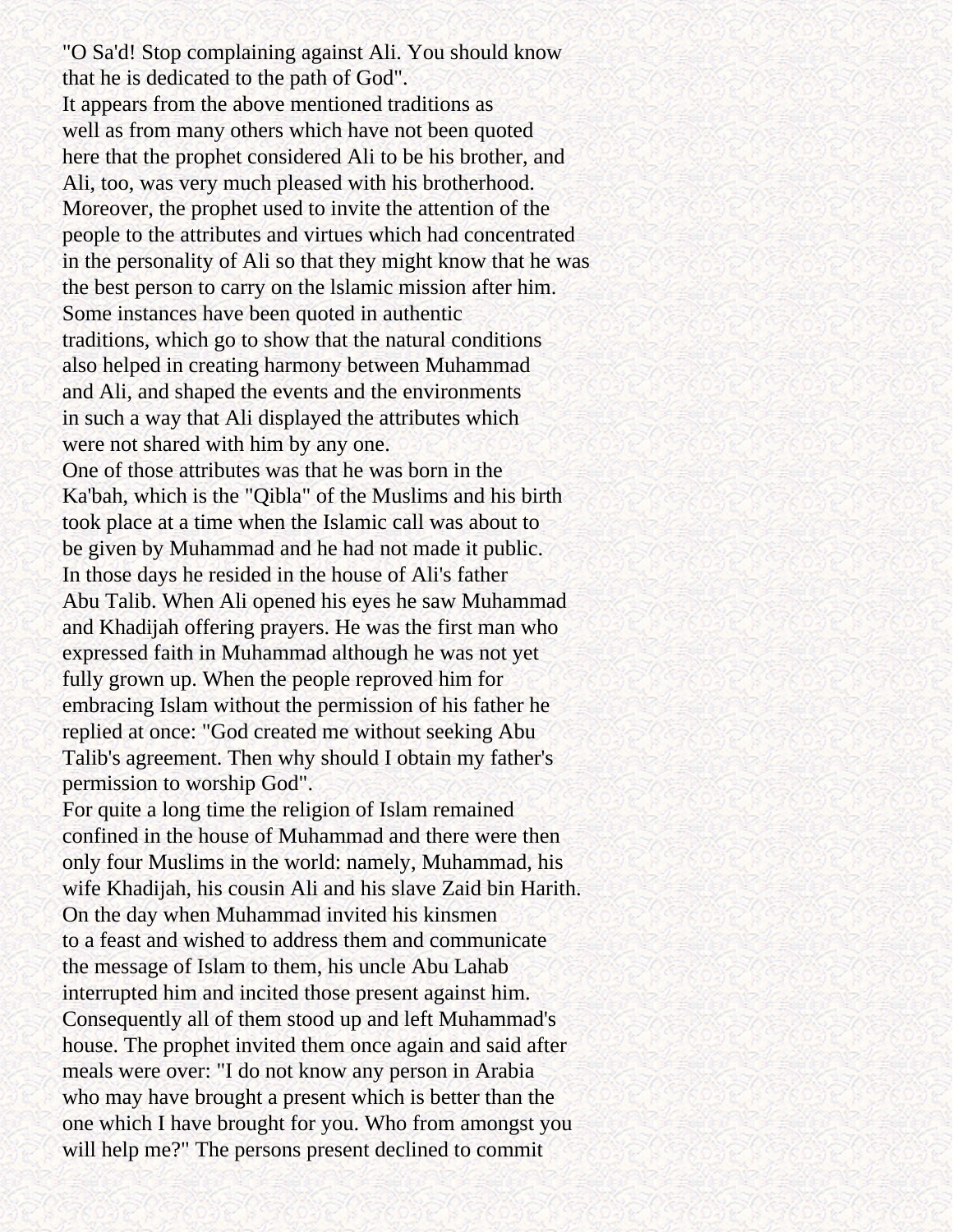"O Sa'd! Stop complaining against Ali. You should know that he is dedicated to the path of God". It appears from the above mentioned traditions as well as from many others which have not been quoted here that the prophet considered Ali to be his brother, and Ali, too, was very much pleased with his brotherhood. Moreover, the prophet used to invite the attention of the people to the attributes and virtues which had concentrated in the personality of Ali so that they might know that he was the best person to carry on the lslamic mission after him. Some instances have been quoted in authentic traditions, which go to show that the natural conditions also helped in creating harmony between Muhammad and Ali, and shaped the events and the environments in such a way that Ali displayed the attributes which were not shared with him by any one. One of those attributes was that he was born in the Ka'bah, which is the "Qibla" of the Muslims and his birth took place at a time when the Islamic call was about to be given by Muhammad and he had not made it public. In those days he resided in the house of Ali's father Abu Talib. When Ali opened his eyes he saw Muhammad and Khadijah offering prayers. He was the first man who expressed faith in Muhammad although he was not yet fully grown up. When the people reproved him for embracing Islam without the permission of his father he replied at once: "God created me without seeking Abu Talib's agreement. Then why should I obtain my father's permission to worship God".

For quite a long time the religion of Islam remained confined in the house of Muhammad and there were then only four Muslims in the world: namely, Muhammad, his wife Khadijah, his cousin Ali and his slave Zaid bin Harith. On the day when Muhammad invited his kinsmen to a feast and wished to address them and communicate the message of Islam to them, his uncle Abu Lahab interrupted him and incited those present against him. Consequently all of them stood up and left Muhammad's house. The prophet invited them once again and said after meals were over: "I do not know any person in Arabia who may have brought a present which is better than the one which I have brought for you. Who from amongst you will help me?" The persons present declined to commit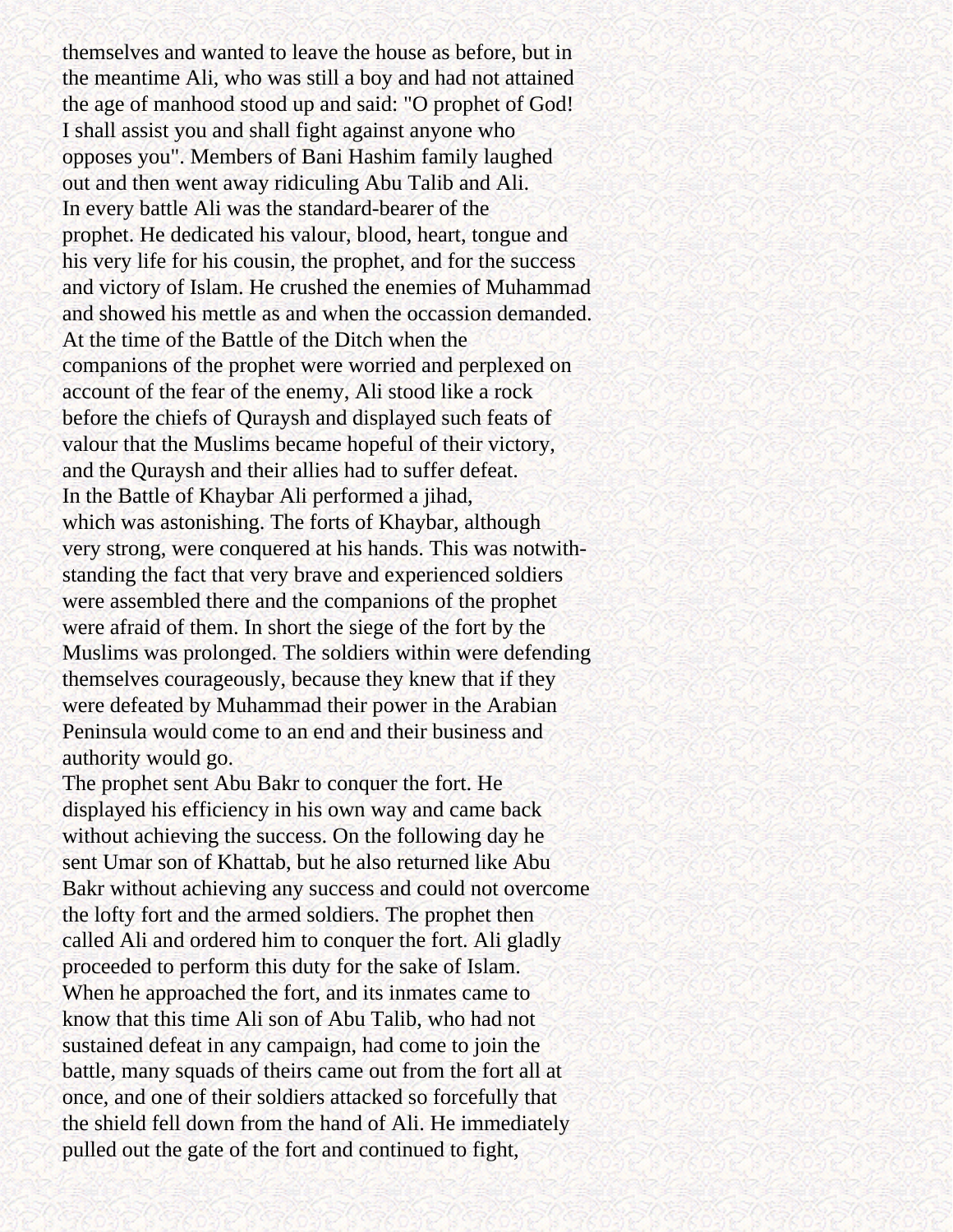themselves and wanted to leave the house as before, but in the meantime Ali, who was still a boy and had not attained the age of manhood stood up and said: "O prophet of God! I shall assist you and shall fight against anyone who opposes you". Members of Bani Hashim family laughed out and then went away ridiculing Abu Talib and Ali. In every battle Ali was the standard-bearer of the prophet. He dedicated his valour, blood, heart, tongue and his very life for his cousin, the prophet, and for the success and victory of Islam. He crushed the enemies of Muhammad and showed his mettle as and when the occassion demanded. At the time of the Battle of the Ditch when the companions of the prophet were worried and perplexed on account of the fear of the enemy, Ali stood like a rock before the chiefs of Quraysh and displayed such feats of valour that the Muslims became hopeful of their victory, and the Quraysh and their allies had to suffer defeat. In the Battle of Khaybar Ali performed a jihad, which was astonishing. The forts of Khaybar, although very strong, were conquered at his hands. This was notwithstanding the fact that very brave and experienced soldiers were assembled there and the companions of the prophet were afraid of them. In short the siege of the fort by the Muslims was prolonged. The soldiers within were defending themselves courageously, because they knew that if they were defeated by Muhammad their power in the Arabian Peninsula would come to an end and their business and authority would go.

The prophet sent Abu Bakr to conquer the fort. He displayed his efficiency in his own way and came back without achieving the success. On the following day he sent Umar son of Khattab, but he also returned like Abu Bakr without achieving any success and could not overcome the lofty fort and the armed soldiers. The prophet then called Ali and ordered him to conquer the fort. Ali gladly proceeded to perform this duty for the sake of Islam. When he approached the fort, and its inmates came to know that this time Ali son of Abu Talib, who had not sustained defeat in any campaign, had come to join the battle, many squads of theirs came out from the fort all at once, and one of their soldiers attacked so forcefully that the shield fell down from the hand of Ali. He immediately pulled out the gate of the fort and continued to fight,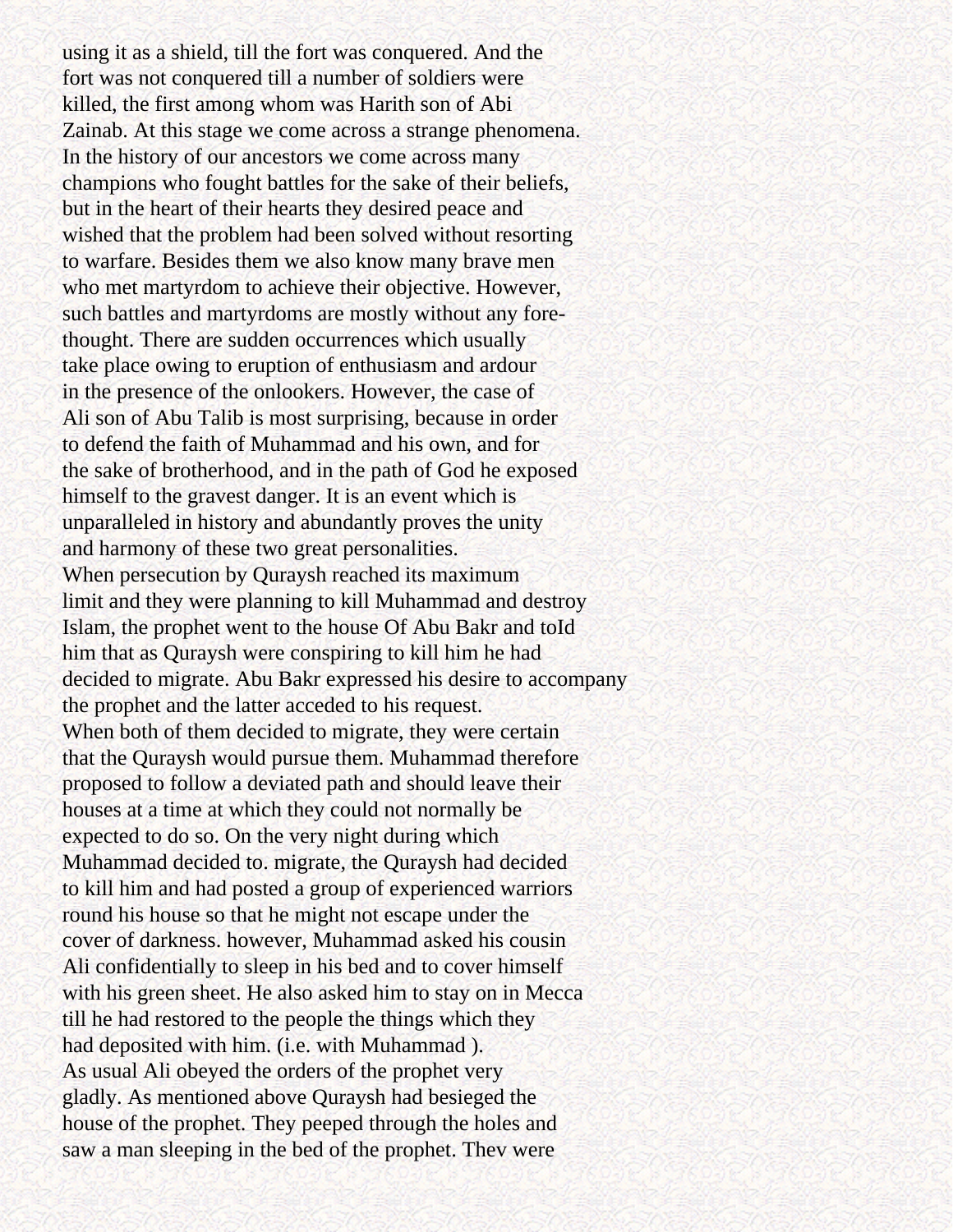using it as a shield, till the fort was conquered. And the fort was not conquered till a number of soldiers were killed, the first among whom was Harith son of Abi Zainab. At this stage we come across a strange phenomena. In the history of our ancestors we come across many champions who fought battles for the sake of their beliefs, but in the heart of their hearts they desired peace and wished that the problem had been solved without resorting to warfare. Besides them we also know many brave men who met martyrdom to achieve their objective. However, such battles and martyrdoms are mostly without any forethought. There are sudden occurrences which usually take place owing to eruption of enthusiasm and ardour in the presence of the onlookers. However, the case of Ali son of Abu Talib is most surprising, because in order to defend the faith of Muhammad and his own, and for the sake of brotherhood, and in the path of God he exposed himself to the gravest danger. It is an event which is unparalleled in history and abundantly proves the unity and harmony of these two great personalities. When persecution by Quraysh reached its maximum limit and they were planning to kill Muhammad and destroy Islam, the prophet went to the house Of Abu Bakr and toId him that as Quraysh were conspiring to kill him he had decided to migrate. Abu Bakr expressed his desire to accompany the prophet and the latter acceded to his request. When both of them decided to migrate, they were certain that the Quraysh would pursue them. Muhammad therefore proposed to follow a deviated path and should leave their houses at a time at which they could not normally be expected to do so. On the very night during which Muhammad decided to. migrate, the Quraysh had decided to kill him and had posted a group of experienced warriors round his house so that he might not escape under the cover of darkness. however, Muhammad asked his cousin Ali confidentially to sleep in his bed and to cover himself with his green sheet. He also asked him to stay on in Mecca till he had restored to the people the things which they had deposited with him. (i.e. with Muhammad ). As usual Ali obeyed the orders of the prophet very gladly. As mentioned above Quraysh had besieged the house of the prophet. They peeped through the holes and saw a man sleeping in the bed of the prophet. Thev were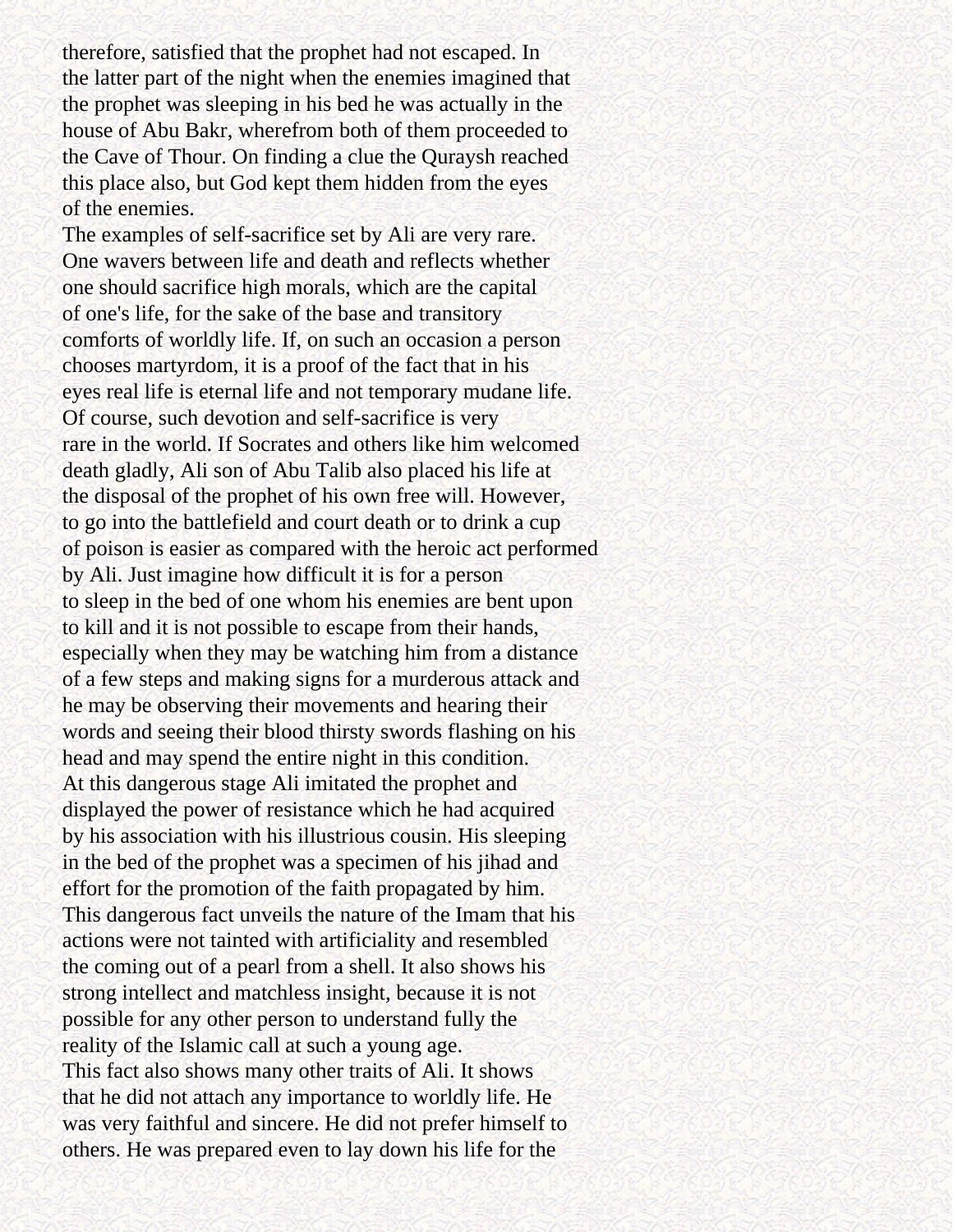therefore, satisfied that the prophet had not escaped. In the latter part of the night when the enemies imagined that the prophet was sleeping in his bed he was actually in the house of Abu Bakr, wherefrom both of them proceeded to the Cave of Thour. On finding a clue the Quraysh reached this place also, but God kept them hidden from the eyes of the enemies.

The examples of self-sacrifice set by Ali are very rare. One wavers between life and death and reflects whether one should sacrifice high morals, which are the capital of one's life, for the sake of the base and transitory comforts of worldly life. If, on such an occasion a person chooses martyrdom, it is a proof of the fact that in his eyes real life is eternal life and not temporary mudane life. Of course, such devotion and self-sacrifice is very rare in the world. If Socrates and others like him welcomed death gladly, Ali son of Abu Talib also placed his life at the disposal of the prophet of his own free will. However, to go into the battlefield and court death or to drink a cup of poison is easier as compared with the heroic act performed by Ali. Just imagine how difficult it is for a person to sleep in the bed of one whom his enemies are bent upon to kill and it is not possible to escape from their hands, especially when they may be watching him from a distance of a few steps and making signs for a murderous attack and he may be observing their movements and hearing their words and seeing their blood thirsty swords flashing on his head and may spend the entire night in this condition. At this dangerous stage Ali imitated the prophet and displayed the power of resistance which he had acquired by his association with his illustrious cousin. His sleeping in the bed of the prophet was a specimen of his jihad and effort for the promotion of the faith propagated by him. This dangerous fact unveils the nature of the Imam that his actions were not tainted with artificiality and resembled the coming out of a pearl from a shell. It also shows his strong intellect and matchless insight, because it is not possible for any other person to understand fully the reality of the Islamic call at such a young age. This fact also shows many other traits of Ali. It shows that he did not attach any importance to worldly life. He was very faithful and sincere. He did not prefer himself to others. He was prepared even to lay down his life for the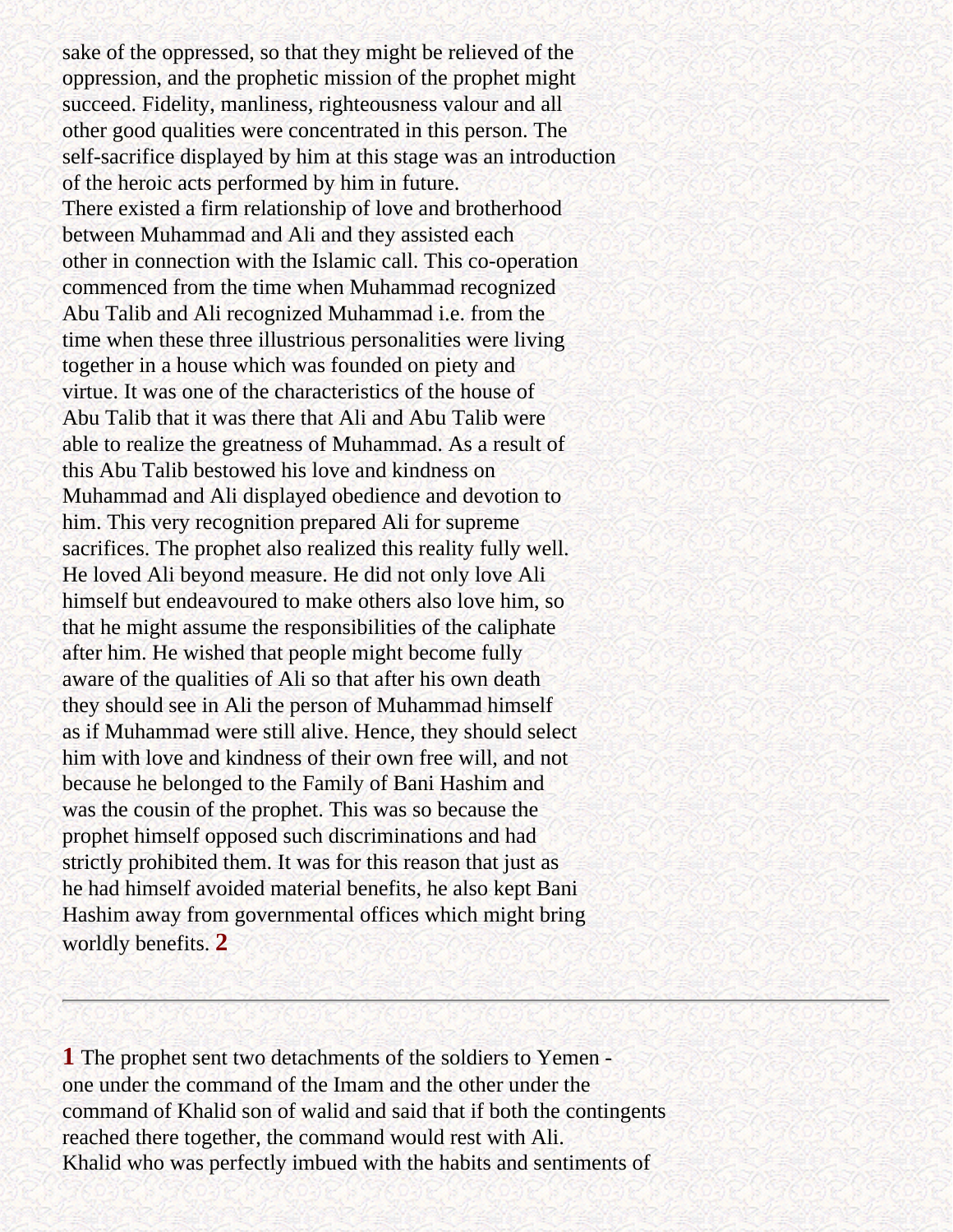sake of the oppressed, so that they might be relieved of the oppression, and the prophetic mission of the prophet might succeed. Fidelity, manliness, righteousness valour and all other good qualities were concentrated in this person. The self-sacrifice displayed by him at this stage was an introduction of the heroic acts performed by him in future. There existed a firm relationship of love and brotherhood between Muhammad and Ali and they assisted each other in connection with the Islamic call. This co-operation commenced from the time when Muhammad recognized Abu Talib and Ali recognized Muhammad i.e. from the time when these three illustrious personalities were living together in a house which was founded on piety and virtue. It was one of the characteristics of the house of Abu Talib that it was there that Ali and Abu Talib were able to realize the greatness of Muhammad. As a result of this Abu Talib bestowed his love and kindness on Muhammad and Ali displayed obedience and devotion to him. This very recognition prepared Ali for supreme sacrifices. The prophet also realized this reality fully well. He loved Ali beyond measure. He did not only love Ali himself but endeavoured to make others also love him, so that he might assume the responsibilities of the caliphate after him. He wished that people might become fully aware of the qualities of Ali so that after his own death they should see in Ali the person of Muhammad himself as if Muhammad were still alive. Hence, they should select him with love and kindness of their own free will, and not because he belonged to the Family of Bani Hashim and was the cousin of the prophet. This was so because the prophet himself opposed such discriminations and had strictly prohibited them. It was for this reason that just as he had himself avoided material benefits, he also kept Bani Hashim away from governmental offices which might bring worldly benefits. **2**

**1** The prophet sent two detachments of the soldiers to Yemen one under the command of the Imam and the other under the command of Khalid son of walid and said that if both the contingents reached there together, the command would rest with Ali. Khalid who was perfectly imbued with the habits and sentiments of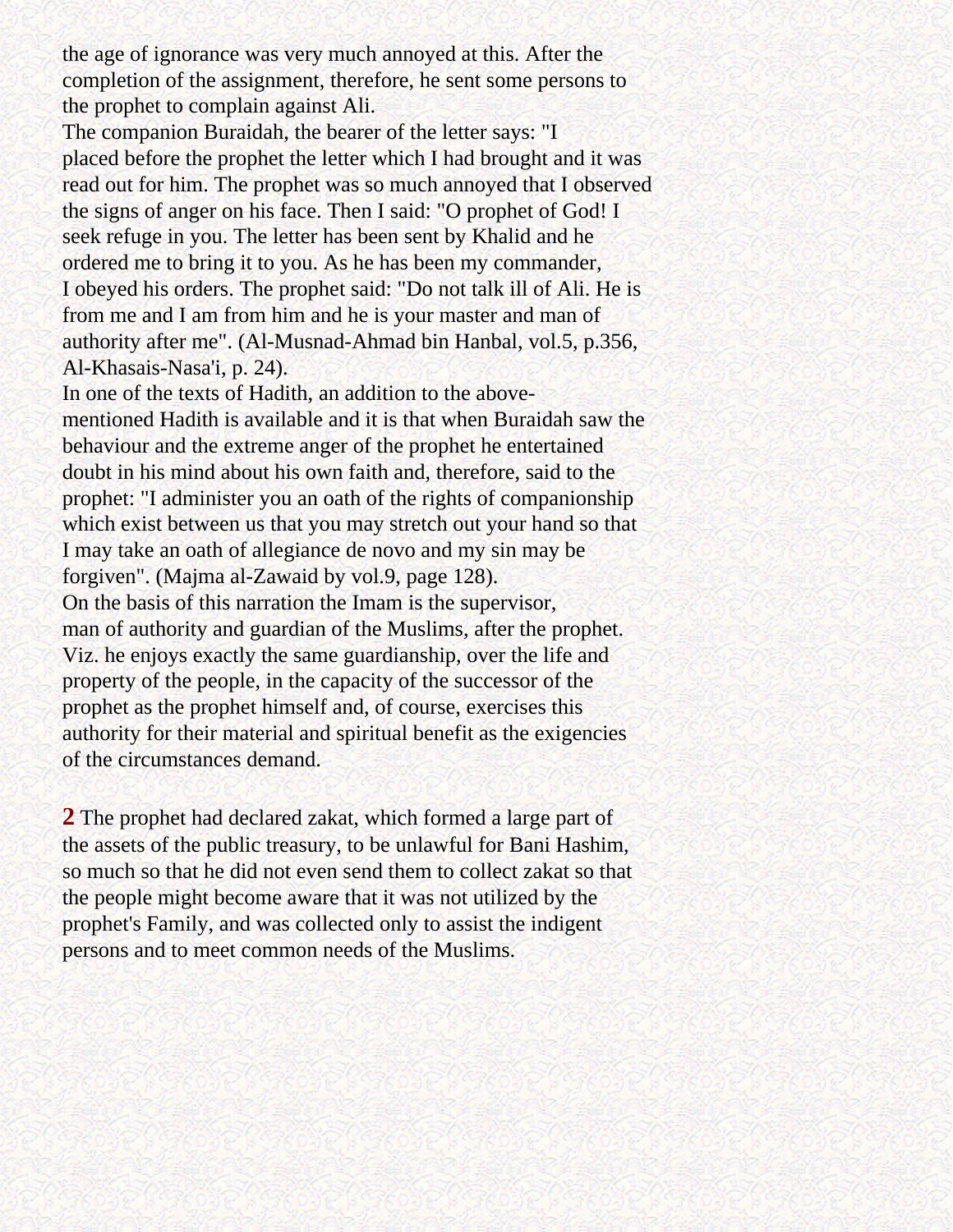the age of ignorance was very much annoyed at this. After the completion of the assignment, therefore, he sent some persons to the prophet to complain against Ali.

The companion Buraidah, the bearer of the letter says: "I placed before the prophet the letter which I had brought and it was read out for him. The prophet was so much annoyed that I observed the signs of anger on his face. Then I said: "O prophet of God! I seek refuge in you. The letter has been sent by Khalid and he ordered me to bring it to you. As he has been my commander, I obeyed his orders. The prophet said: "Do not talk ill of Ali. He is from me and I am from him and he is your master and man of authority after me". (Al-Musnad-Ahmad bin Hanbal, vol.5, p.356, Al-Khasais-Nasa'i, p. 24).

In one of the texts of Hadith, an addition to the abovementioned Hadith is available and it is that when Buraidah saw the behaviour and the extreme anger of the prophet he entertained doubt in his mind about his own faith and, therefore, said to the prophet: "I administer you an oath of the rights of companionship which exist between us that you may stretch out your hand so that I may take an oath of allegiance de novo and my sin may be forgiven". (Majma al-Zawaid by vol.9, page 128).

On the basis of this narration the Imam is the supervisor, man of authority and guardian of the Muslims, after the prophet. Viz. he enjoys exactly the same guardianship, over the life and property of the people, in the capacity of the successor of the prophet as the prophet himself and, of course, exercises this authority for their material and spiritual benefit as the exigencies of the circumstances demand.

**2** The prophet had declared zakat, which formed a large part of the assets of the public treasury, to be unlawful for Bani Hashim, so much so that he did not even send them to collect zakat so that the people might become aware that it was not utilized by the prophet's Family, and was collected only to assist the indigent persons and to meet common needs of the Muslims.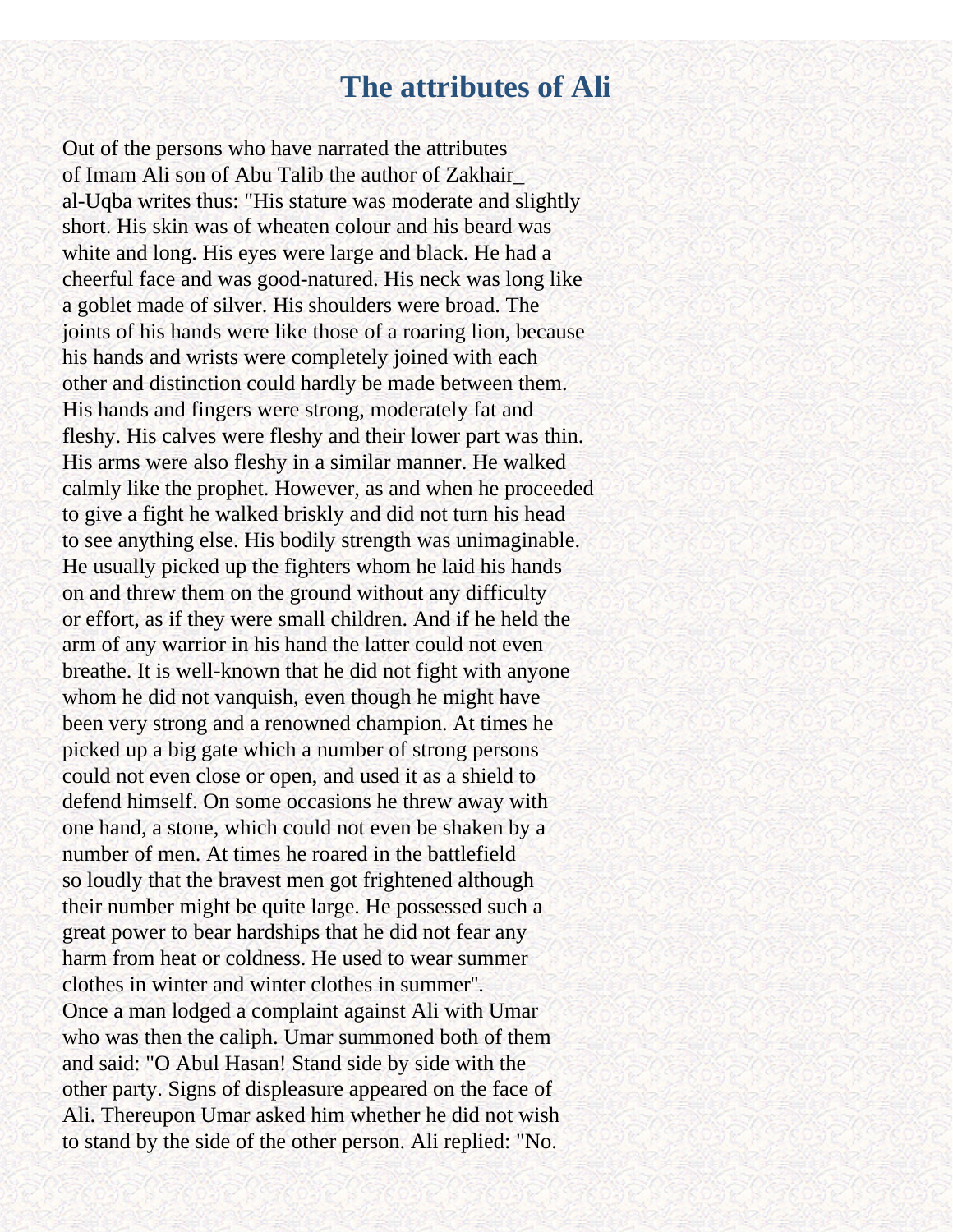#### **The attributes of Ali**

<span id="page-31-0"></span>Out of the persons who have narrated the attributes of Imam Ali son of Abu Talib the author of Zakhair\_ al-Uqba writes thus: "His stature was moderate and slightly short. His skin was of wheaten colour and his beard was white and long. His eyes were large and black. He had a cheerful face and was good-natured. His neck was long like a goblet made of silver. His shoulders were broad. The joints of his hands were like those of a roaring lion, because his hands and wrists were completely joined with each other and distinction could hardly be made between them. His hands and fingers were strong, moderately fat and fleshy. His calves were fleshy and their lower part was thin. His arms were also fleshy in a similar manner. He walked calmly like the prophet. However, as and when he proceeded to give a fight he walked briskly and did not turn his head to see anything else. His bodily strength was unimaginable. He usually picked up the fighters whom he laid his hands on and threw them on the ground without any difficulty or effort, as if they were small children. And if he held the arm of any warrior in his hand the latter could not even breathe. It is well-known that he did not fight with anyone whom he did not vanquish, even though he might have been very strong and a renowned champion. At times he picked up a big gate which a number of strong persons could not even close or open, and used it as a shield to defend himself. On some occasions he threw away with one hand, a stone, which could not even be shaken by a number of men. At times he roared in the battlefield so loudly that the bravest men got frightened although their number might be quite large. He possessed such a great power to bear hardships that he did not fear any harm from heat or coldness. He used to wear summer clothes in winter and winter clothes in summer''. Once a man lodged a complaint against Ali with Umar who was then the caliph. Umar summoned both of them and said: "O Abul Hasan! Stand side by side with the other party. Signs of displeasure appeared on the face of Ali. Thereupon Umar asked him whether he did not wish to stand by the side of the other person. Ali replied: "No.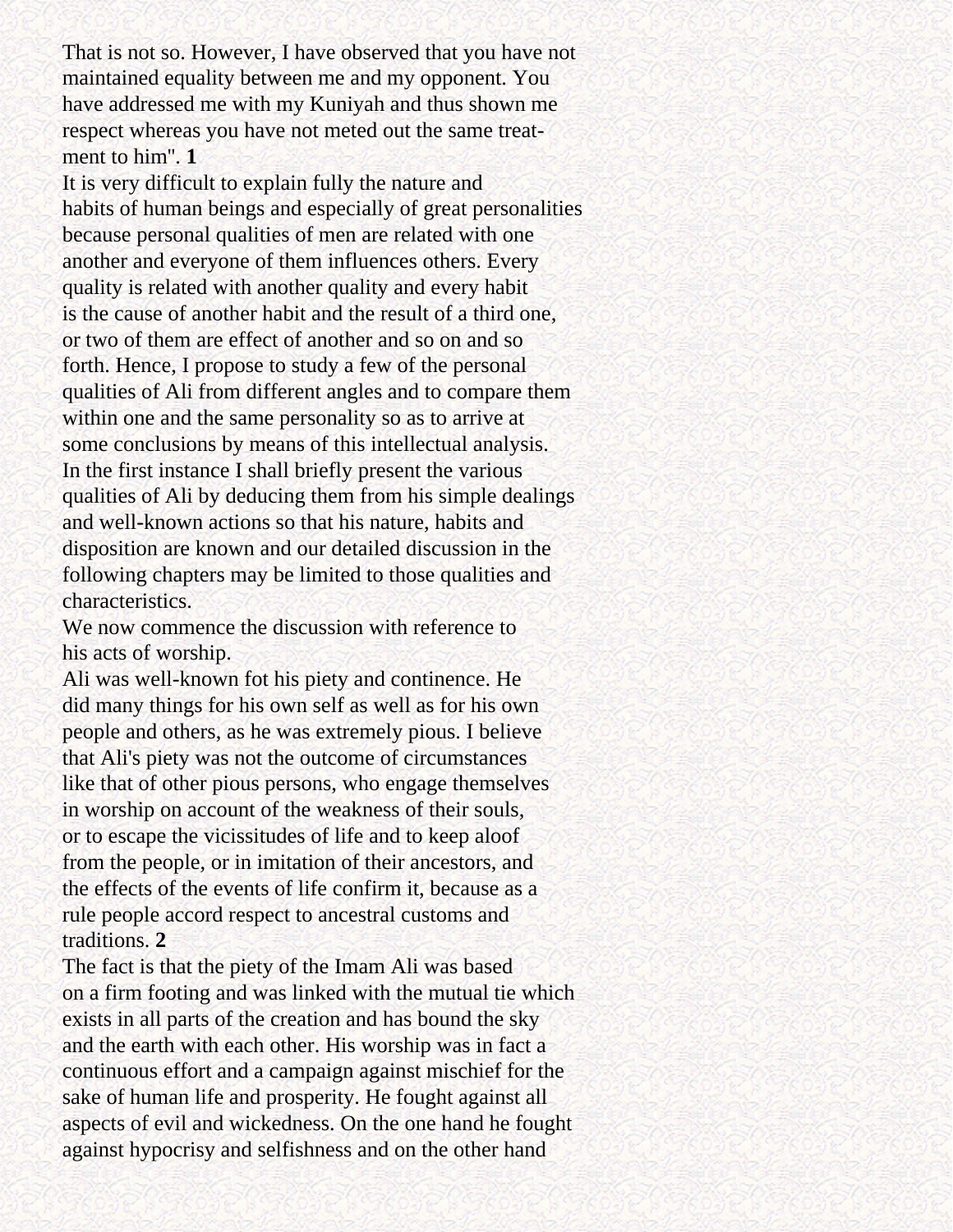That is not so. However, I have observed that you have not maintained equality between me and my opponent. You have addressed me with my Kuniyah and thus shown me respect whereas you have not meted out the same treatment to him''. **1**

It is very difficult to explain fully the nature and habits of human beings and especially of great personalities because personal qualities of men are related with one another and everyone of them influences others. Every quality is related with another quality and every habit is the cause of another habit and the result of a third one, or two of them are effect of another and so on and so forth. Hence, I propose to study a few of the personal qualities of Ali from different angles and to compare them within one and the same personality so as to arrive at some conclusions by means of this intellectual analysis. In the first instance I shall briefly present the various qualities of Ali by deducing them from his simple dealings and well-known actions so that his nature, habits and disposition are known and our detailed discussion in the following chapters may be limited to those qualities and characteristics.

We now commence the discussion with reference to his acts of worship.

Ali was well-known fot his piety and continence. He did many things for his own self as well as for his own people and others, as he was extremely pious. I believe that Ali's piety was not the outcome of circumstances like that of other pious persons, who engage themselves in worship on account of the weakness of their souls, or to escape the vicissitudes of life and to keep aloof from the people, or in imitation of their ancestors, and the effects of the events of life confirm it, because as a rule people accord respect to ancestral customs and traditions. **2**

The fact is that the piety of the Imam Ali was based on a firm footing and was linked with the mutual tie which exists in all parts of the creation and has bound the sky and the earth with each other. His worship was in fact a continuous effort and a campaign against mischief for the sake of human life and prosperity. He fought against all aspects of evil and wickedness. On the one hand he fought against hypocrisy and selfishness and on the other hand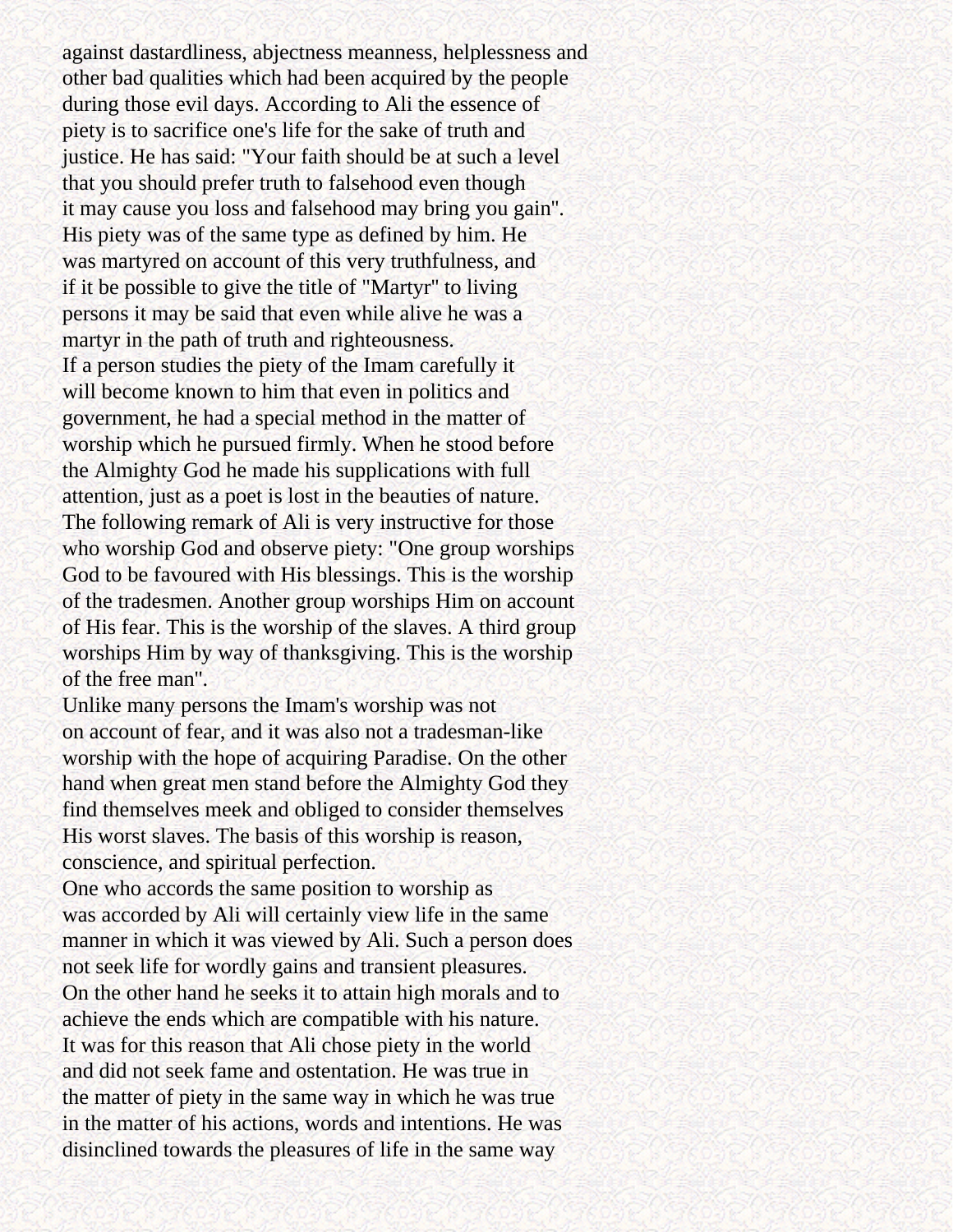against dastardliness, abjectness meanness, helplessness and other bad qualities which had been acquired by the people during those evil days. According to Ali the essence of piety is to sacrifice one's life for the sake of truth and justice. He has said: "Your faith should be at such a level that you should prefer truth to falsehood even though it may cause you loss and falsehood may bring you gain''. His piety was of the same type as defined by him. He was martyred on account of this very truthfulness, and if it be possible to give the title of "Martyr'' to living persons it may be said that even while alive he was a martyr in the path of truth and righteousness. If a person studies the piety of the Imam carefully it will become known to him that even in politics and government, he had a special method in the matter of worship which he pursued firmly. When he stood before the Almighty God he made his supplications with full attention, just as a poet is lost in the beauties of nature. The following remark of Ali is very instructive for those who worship God and observe piety: "One group worships God to be favoured with His blessings. This is the worship of the tradesmen. Another group worships Him on account of His fear. This is the worship of the slaves. A third group worships Him by way of thanksgiving. This is the worship of the free man''.

Unlike many persons the Imam's worship was not on account of fear, and it was also not a tradesman-like worship with the hope of acquiring Paradise. On the other hand when great men stand before the Almighty God they find themselves meek and obliged to consider themselves His worst slaves. The basis of this worship is reason, conscience, and spiritual perfection.

One who accords the same position to worship as was accorded by Ali will certainly view life in the same manner in which it was viewed by Ali. Such a person does not seek life for wordly gains and transient pleasures. On the other hand he seeks it to attain high morals and to achieve the ends which are compatible with his nature. It was for this reason that Ali chose piety in the world and did not seek fame and ostentation. He was true in the matter of piety in the same way in which he was true in the matter of his actions, words and intentions. He was disinclined towards the pleasures of life in the same way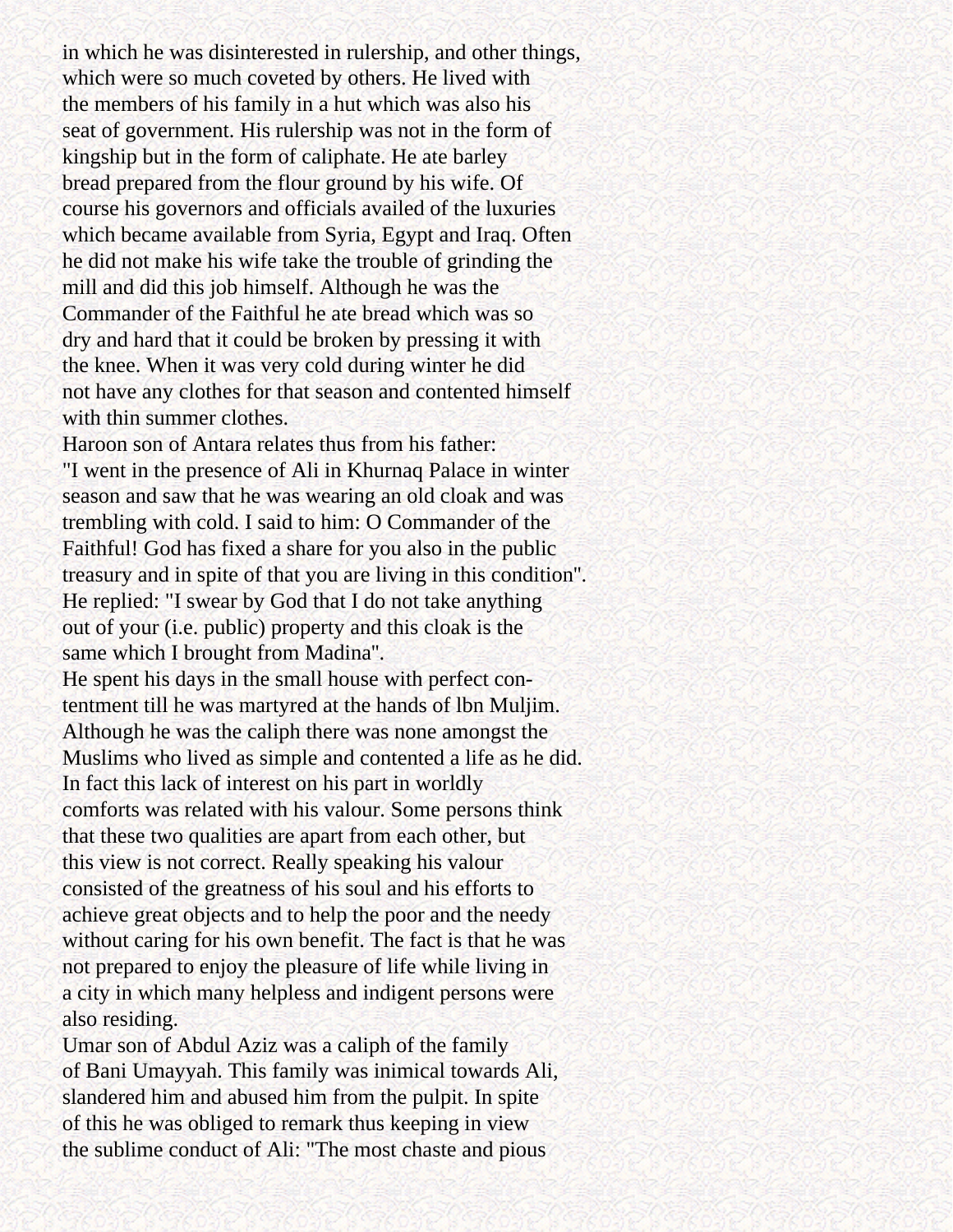in which he was disinterested in rulership, and other things, which were so much coveted by others. He lived with the members of his family in a hut which was also his seat of government. His rulership was not in the form of kingship but in the form of caliphate. He ate barley bread prepared from the flour ground by his wife. Of course his governors and officials availed of the luxuries which became available from Syria, Egypt and Iraq. Often he did not make his wife take the trouble of grinding the mill and did this job himself. Although he was the Commander of the Faithful he ate bread which was so dry and hard that it could be broken by pressing it with the knee. When it was very cold during winter he did not have any clothes for that season and contented himself with thin summer clothes.

Haroon son of Antara relates thus from his father: "I went in the presence of Ali in Khurnaq Palace in winter season and saw that he was wearing an old cloak and was trembling with cold. I said to him: O Commander of the Faithful! God has fixed a share for you also in the public treasury and in spite of that you are living in this condition''. He replied: "I swear by God that I do not take anything out of your (i.e. public) property and this cloak is the same which I brought from Madina''.

He spent his days in the small house with perfect contentment till he was martyred at the hands of lbn Muljim. Although he was the caliph there was none amongst the Muslims who lived as simple and contented a life as he did. In fact this lack of interest on his part in worldly comforts was related with his valour. Some persons think that these two qualities are apart from each other, but this view is not correct. Really speaking his valour consisted of the greatness of his soul and his efforts to achieve great objects and to help the poor and the needy without caring for his own benefit. The fact is that he was not prepared to enjoy the pleasure of life while living in a city in which many helpless and indigent persons were also residing.

Umar son of Abdul Aziz was a caliph of the family of Bani Umayyah. This family was inimical towards Ali, slandered him and abused him from the pulpit. In spite of this he was obliged to remark thus keeping in view the sublime conduct of Ali: "The most chaste and pious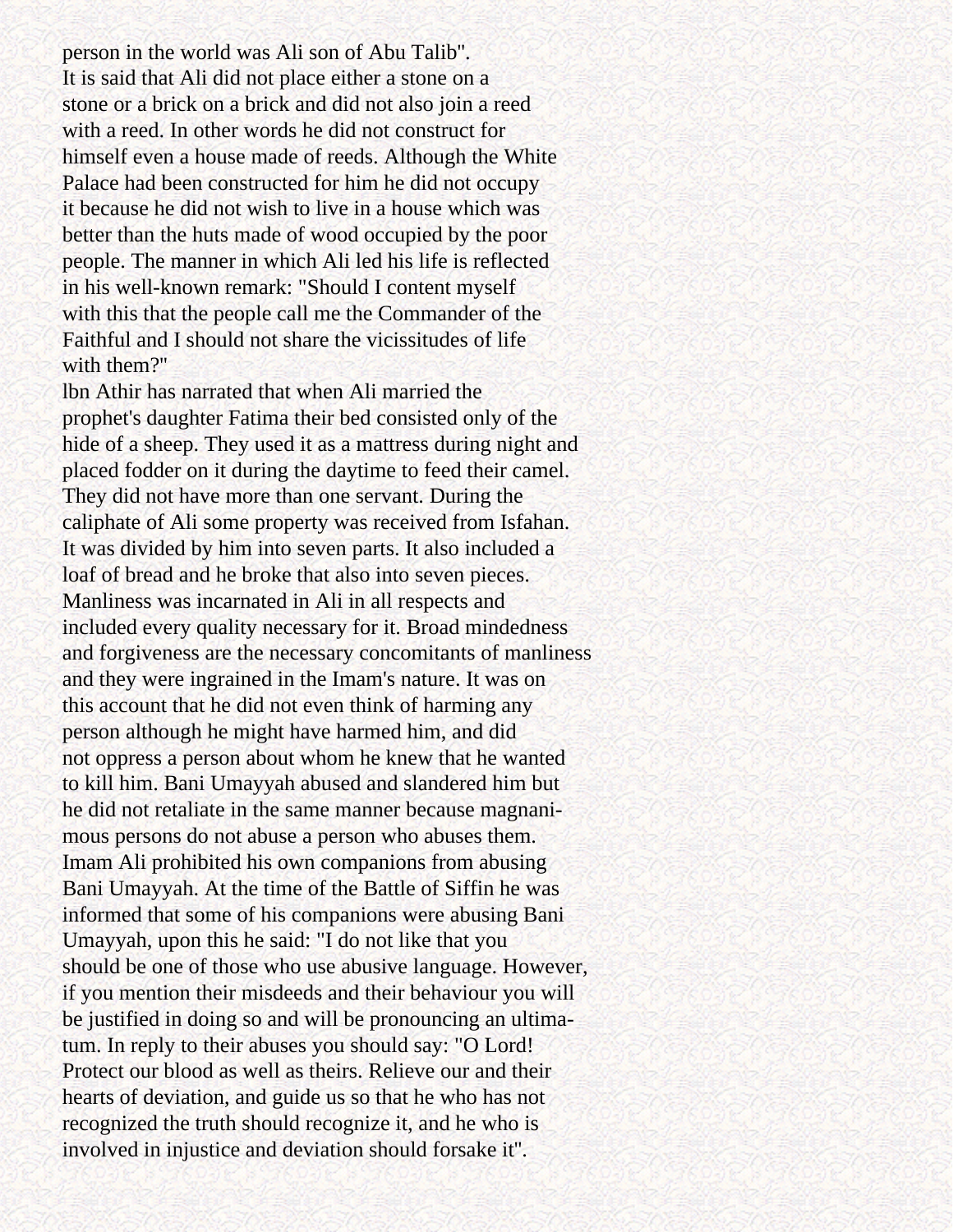person in the world was Ali son of Abu Talib''. It is said that Ali did not place either a stone on a stone or a brick on a brick and did not also join a reed with a reed. In other words he did not construct for himself even a house made of reeds. Although the White Palace had been constructed for him he did not occupy it because he did not wish to live in a house which was better than the huts made of wood occupied by the poor people. The manner in which Ali led his life is reflected in his well-known remark: "Should I content myself with this that the people call me the Commander of the Faithful and I should not share the vicissitudes of life with them?"

lbn Athir has narrated that when Ali married the prophet's daughter Fatima their bed consisted only of the hide of a sheep. They used it as a mattress during night and placed fodder on it during the daytime to feed their camel. They did not have more than one servant. During the caliphate of Ali some property was received from Isfahan. It was divided by him into seven parts. It also included a loaf of bread and he broke that also into seven pieces. Manliness was incarnated in Ali in all respects and included every quality necessary for it. Broad mindedness and forgiveness are the necessary concomitants of manliness and they were ingrained in the Imam's nature. It was on this account that he did not even think of harming any person although he might have harmed him, and did not oppress a person about whom he knew that he wanted to kill him. Bani Umayyah abused and slandered him but he did not retaliate in the same manner because magnanimous persons do not abuse a person who abuses them. Imam Ali prohibited his own companions from abusing Bani Umayyah. At the time of the Battle of Siffin he was informed that some of his companions were abusing Bani Umayyah, upon this he said: "I do not like that you should be one of those who use abusive language. However, if you mention their misdeeds and their behaviour you will be justified in doing so and will be pronouncing an ultimatum. In reply to their abuses you should say: "O Lord! Protect our blood as well as theirs. Relieve our and their hearts of deviation, and guide us so that he who has not recognized the truth should recognize it, and he who is involved in injustice and deviation should forsake it''.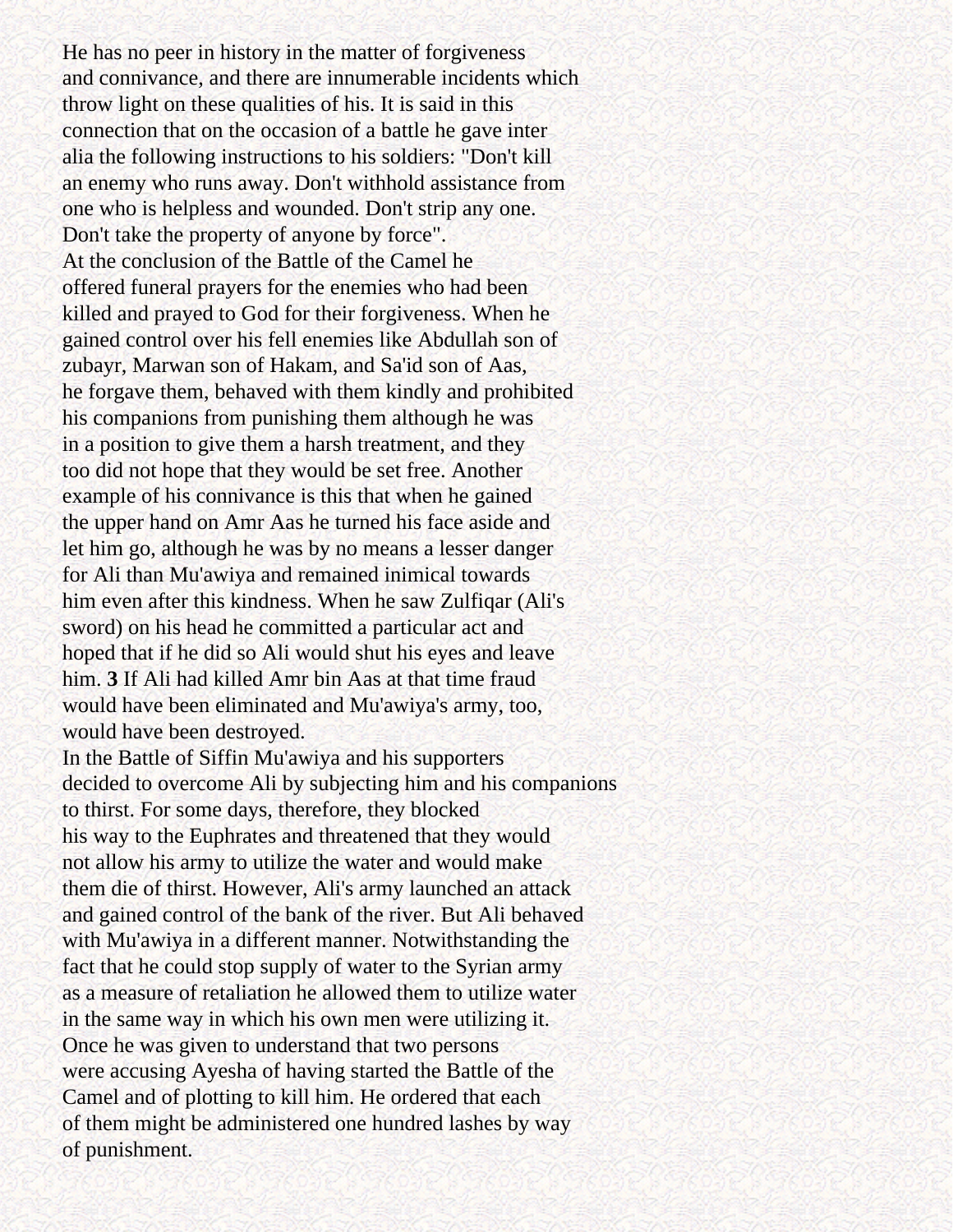He has no peer in history in the matter of forgiveness and connivance, and there are innumerable incidents which throw light on these qualities of his. It is said in this connection that on the occasion of a battle he gave inter alia the following instructions to his soldiers: "Don't kill an enemy who runs away. Don't withhold assistance from one who is helpless and wounded. Don't strip any one. Don't take the property of anyone by force". At the conclusion of the Battle of the Camel he offered funeral prayers for the enemies who had been killed and prayed to God for their forgiveness. When he gained control over his fell enemies like Abdullah son of zubayr, Marwan son of Hakam, and Sa'id son of Aas, he forgave them, behaved with them kindly and prohibited his companions from punishing them although he was in a position to give them a harsh treatment, and they too did not hope that they would be set free. Another example of his connivance is this that when he gained the upper hand on Amr Aas he turned his face aside and let him go, although he was by no means a lesser danger for Ali than Mu'awiya and remained inimical towards him even after this kindness. When he saw Zulfiqar (Ali's sword) on his head he committed a particular act and hoped that if he did so Ali would shut his eyes and leave him. **3** If Ali had killed Amr bin Aas at that time fraud would have been eliminated and Mu'awiya's army, too, would have been destroyed.

In the Battle of Siffin Mu'awiya and his supporters decided to overcome Ali by subjecting him and his companions to thirst. For some days, therefore, they blocked his way to the Euphrates and threatened that they would not allow his army to utilize the water and would make them die of thirst. However, Ali's army launched an attack and gained control of the bank of the river. But Ali behaved with Mu'awiya in a different manner. Notwithstanding the fact that he could stop supply of water to the Syrian army as a measure of retaliation he allowed them to utilize water in the same way in which his own men were utilizing it. Once he was given to understand that two persons were accusing Ayesha of having started the Battle of the Camel and of plotting to kill him. He ordered that each of them might be administered one hundred lashes by way of punishment.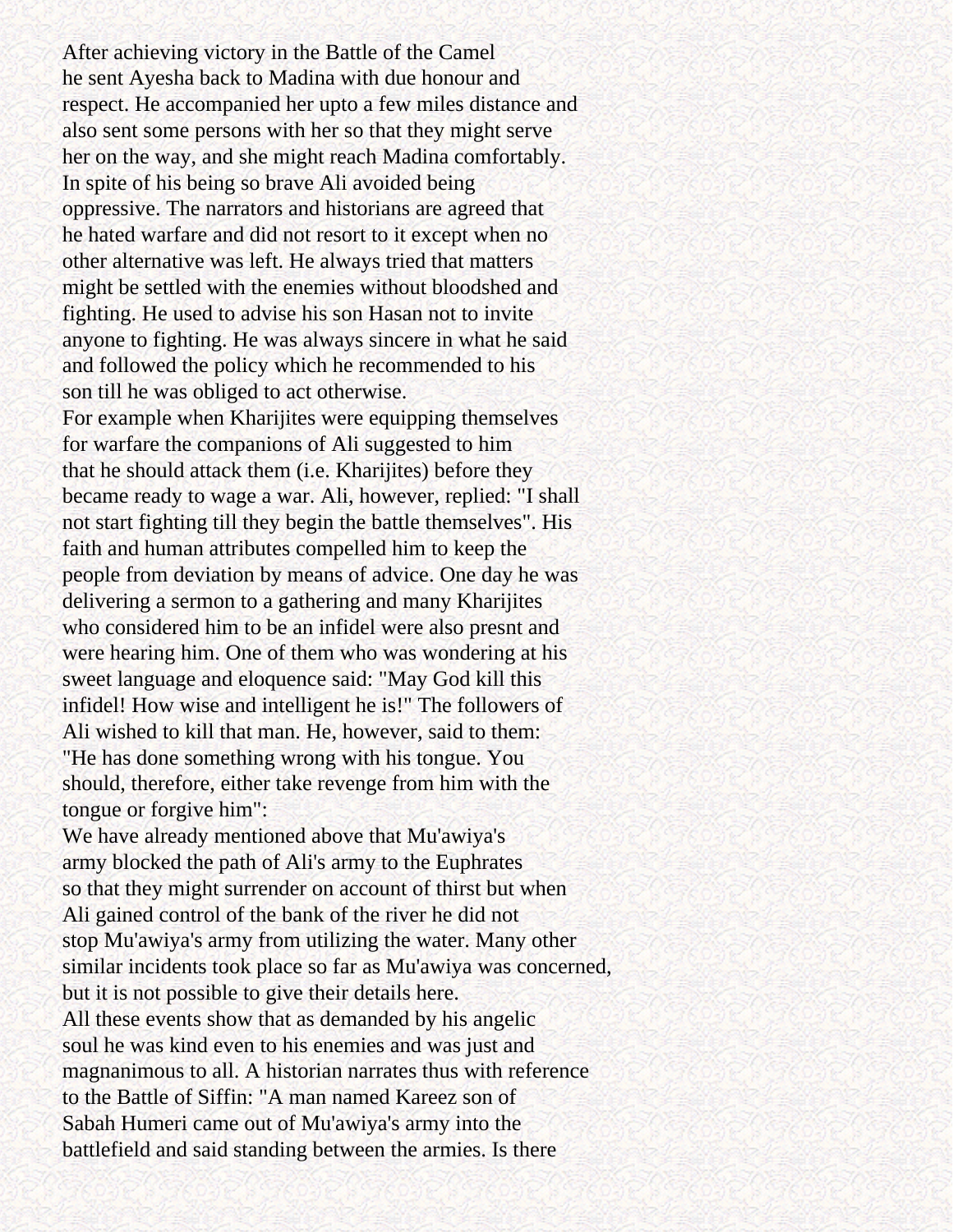After achieving victory in the Battle of the Camel he sent Ayesha back to Madina with due honour and respect. He accompanied her upto a few miles distance and also sent some persons with her so that they might serve her on the way, and she might reach Madina comfortably. In spite of his being so brave Ali avoided being oppressive. The narrators and historians are agreed that he hated warfare and did not resort to it except when no other alternative was left. He always tried that matters might be settled with the enemies without bloodshed and fighting. He used to advise his son Hasan not to invite anyone to fighting. He was always sincere in what he said and followed the policy which he recommended to his son till he was obliged to act otherwise. For example when Kharijites were equipping themselves for warfare the companions of Ali suggested to him that he should attack them (i.e. Kharijites) before they became ready to wage a war. Ali, however, replied: "I shall not start fighting till they begin the battle themselves". His faith and human attributes compelled him to keep the people from deviation by means of advice. One day he was delivering a sermon to a gathering and many Kharijites who considered him to be an infidel were also presnt and were hearing him. One of them who was wondering at his sweet language and eloquence said: "May God kill this infidel! How wise and intelligent he is!" The followers of Ali wished to kill that man. He, however, said to them: "He has done something wrong with his tongue. You should, therefore, either take revenge from him with the tongue or forgive him":

We have already mentioned above that Mu'awiya's army blocked the path of Ali's army to the Euphrates so that they might surrender on account of thirst but when Ali gained control of the bank of the river he did not stop Mu'awiya's army from utilizing the water. Many other similar incidents took place so far as Mu'awiya was concerned, but it is not possible to give their details here. All these events show that as demanded by his angelic soul he was kind even to his enemies and was just and magnanimous to all. A historian narrates thus with reference to the Battle of Siffin: "A man named Kareez son of Sabah Humeri came out of Mu'awiya's army into the battlefield and said standing between the armies. Is there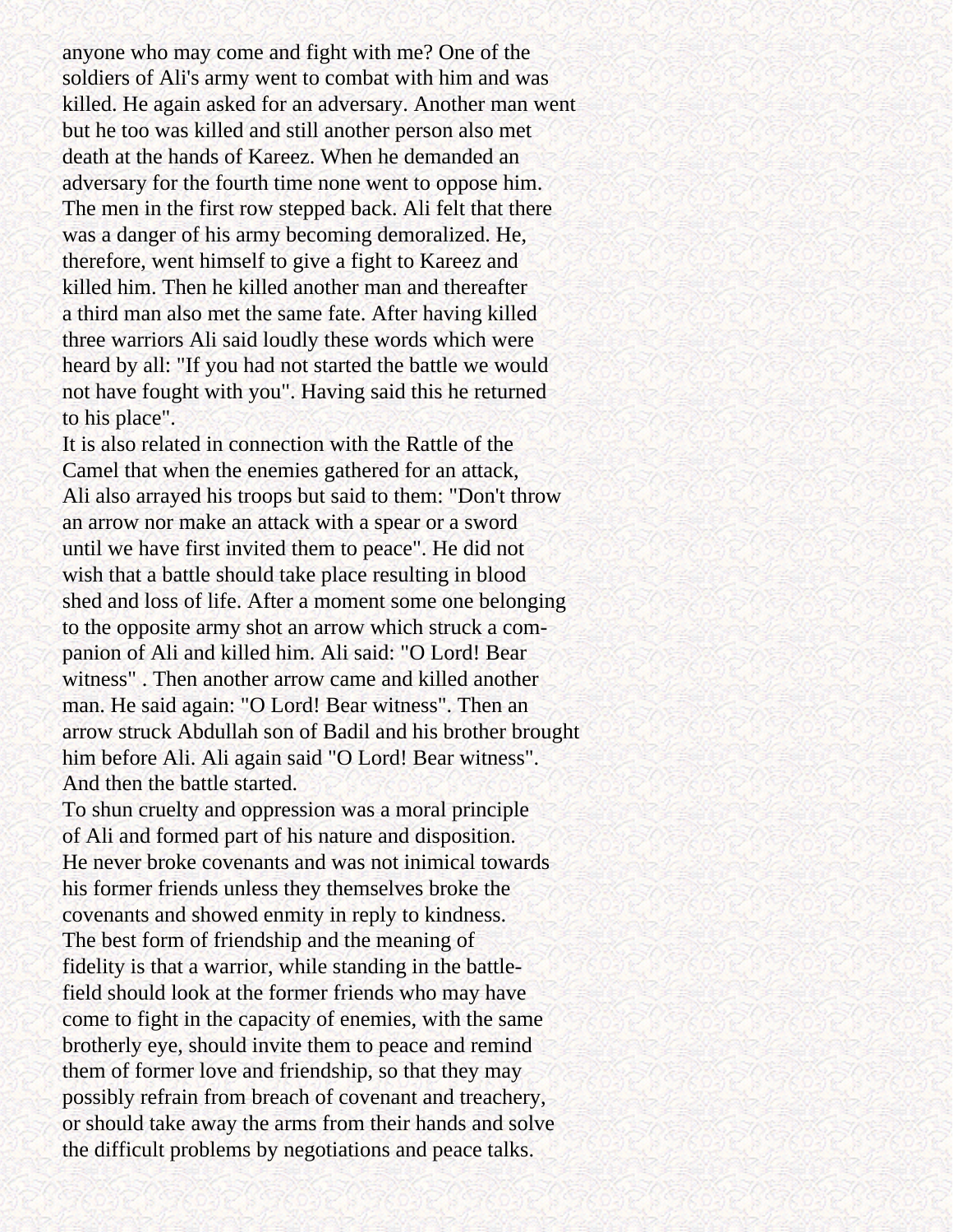anyone who may come and fight with me? One of the soldiers of Ali's army went to combat with him and was killed. He again asked for an adversary. Another man went but he too was killed and still another person also met death at the hands of Kareez. When he demanded an adversary for the fourth time none went to oppose him. The men in the first row stepped back. Ali felt that there was a danger of his army becoming demoralized. He, therefore, went himself to give a fight to Kareez and killed him. Then he killed another man and thereafter a third man also met the same fate. After having killed three warriors Ali said loudly these words which were heard by all: "If you had not started the battle we would not have fought with you". Having said this he returned to his place".

It is also related in connection with the Rattle of the Camel that when the enemies gathered for an attack, Ali also arrayed his troops but said to them: "Don't throw an arrow nor make an attack with a spear or a sword until we have first invited them to peace". He did not wish that a battle should take place resulting in blood shed and loss of life. After a moment some one belonging to the opposite army shot an arrow which struck a companion of Ali and killed him. Ali said: "O Lord! Bear witness" . Then another arrow came and killed another man. He said again: "O Lord! Bear witness". Then an arrow struck Abdullah son of Badil and his brother brought him before Ali. Ali again said "O Lord! Bear witness". And then the battle started.

To shun cruelty and oppression was a moral principle of Ali and formed part of his nature and disposition. He never broke covenants and was not inimical towards his former friends unless they themselves broke the covenants and showed enmity in reply to kindness. The best form of friendship and the meaning of fidelity is that a warrior, while standing in the battlefield should look at the former friends who may have come to fight in the capacity of enemies, with the same brotherly eye, should invite them to peace and remind them of former love and friendship, so that they may possibly refrain from breach of covenant and treachery, or should take away the arms from their hands and solve the difficult problems by negotiations and peace talks.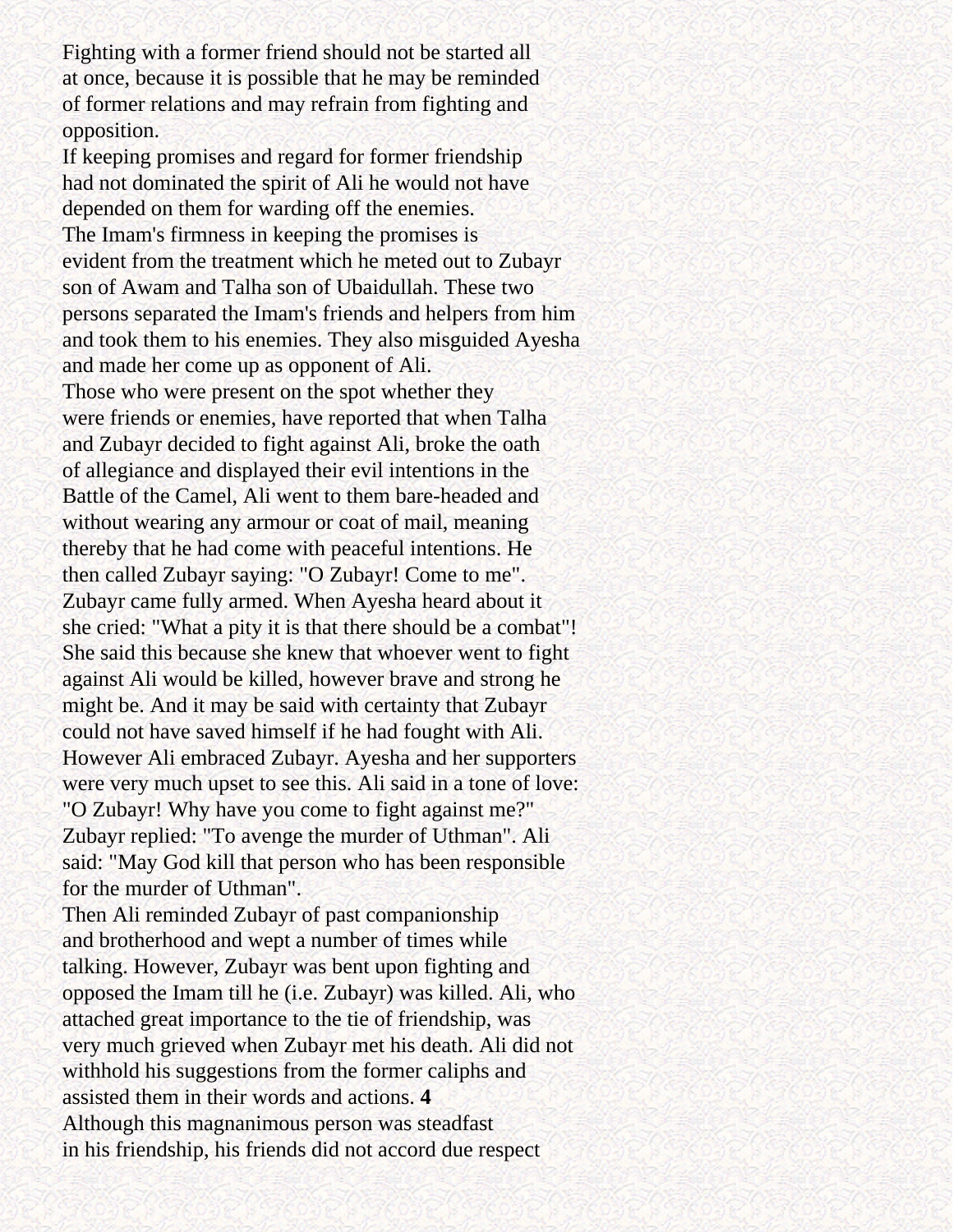Fighting with a former friend should not be started all at once, because it is possible that he may be reminded of former relations and may refrain from fighting and opposition.

If keeping promises and regard for former friendship had not dominated the spirit of Ali he would not have depended on them for warding off the enemies. The Imam's firmness in keeping the promises is evident from the treatment which he meted out to Zubayr son of Awam and Talha son of Ubaidullah. These two persons separated the Imam's friends and helpers from him and took them to his enemies. They also misguided Ayesha and made her come up as opponent of Ali. Those who were present on the spot whether they were friends or enemies, have reported that when Talha and Zubayr decided to fight against Ali, broke the oath of allegiance and displayed their evil intentions in the Battle of the Camel, Ali went to them bare-headed and without wearing any armour or coat of mail, meaning thereby that he had come with peaceful intentions. He then called Zubayr saying: "O Zubayr! Come to me". Zubayr came fully armed. When Ayesha heard about it she cried: "What a pity it is that there should be a combat"! She said this because she knew that whoever went to fight against Ali would be killed, however brave and strong he might be. And it may be said with certainty that Zubayr could not have saved himself if he had fought with Ali. However Ali embraced Zubayr. Ayesha and her supporters were very much upset to see this. Ali said in a tone of love: "O Zubayr! Why have you come to fight against me?" Zubayr replied: "To avenge the murder of Uthman". Ali said: "May God kill that person who has been responsible for the murder of Uthman".

Then Ali reminded Zubayr of past companionship and brotherhood and wept a number of times while talking. However, Zubayr was bent upon fighting and opposed the Imam till he (i.e. Zubayr) was killed. Ali, who attached great importance to the tie of friendship, was very much grieved when Zubayr met his death. Ali did not withhold his suggestions from the former caliphs and assisted them in their words and actions. **4** Although this magnanimous person was steadfast in his friendship, his friends did not accord due respect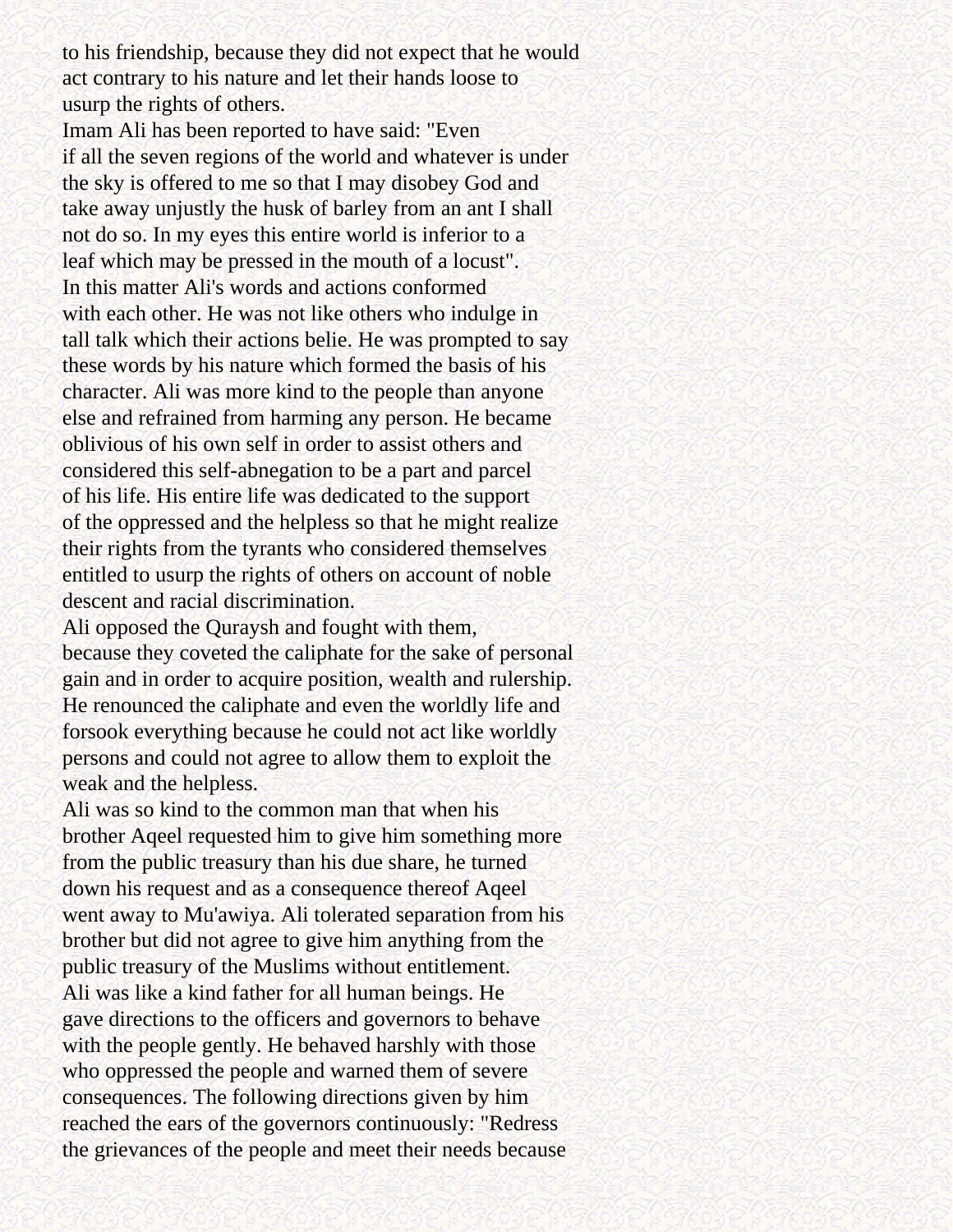to his friendship, because they did not expect that he would act contrary to his nature and let their hands loose to usurp the rights of others.

Imam Ali has been reported to have said: "Even if all the seven regions of the world and whatever is under the sky is offered to me so that I may disobey God and take away unjustly the husk of barley from an ant I shall not do so. In my eyes this entire world is inferior to a leaf which may be pressed in the mouth of a locust". In this matter Ali's words and actions conformed with each other. He was not like others who indulge in tall talk which their actions belie. He was prompted to say these words by his nature which formed the basis of his character. Ali was more kind to the people than anyone else and refrained from harming any person. He became oblivious of his own self in order to assist others and considered this self-abnegation to be a part and parcel of his life. His entire life was dedicated to the support of the oppressed and the helpless so that he might realize their rights from the tyrants who considered themselves entitled to usurp the rights of others on account of noble descent and racial discrimination.

Ali opposed the Quraysh and fought with them, because they coveted the caliphate for the sake of personal gain and in order to acquire position, wealth and rulership. He renounced the caliphate and even the worldly life and forsook everything because he could not act like worldly persons and could not agree to allow them to exploit the weak and the helpless.

Ali was so kind to the common man that when his brother Aqeel requested him to give him something more from the public treasury than his due share, he turned down his request and as a consequence thereof Aqeel went away to Mu'awiya. Ali tolerated separation from his brother but did not agree to give him anything from the public treasury of the Muslims without entitlement. Ali was like a kind father for all human beings. He gave directions to the officers and governors to behave with the people gently. He behaved harshly with those who oppressed the people and warned them of severe consequences. The following directions given by him reached the ears of the governors continuously: "Redress the grievances of the people and meet their needs because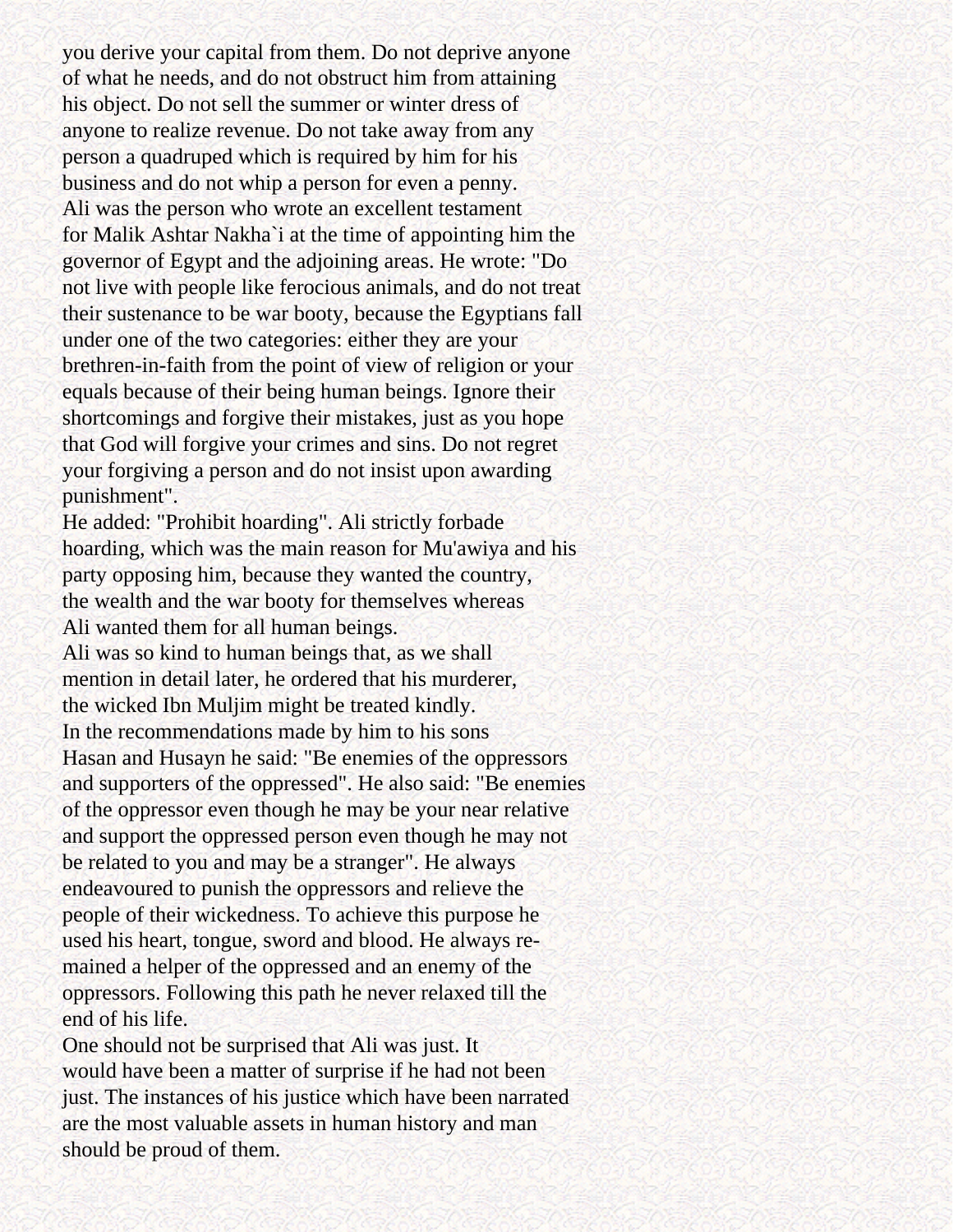you derive your capital from them. Do not deprive anyone of what he needs, and do not obstruct him from attaining his object. Do not sell the summer or winter dress of anyone to realize revenue. Do not take away from any person a quadruped which is required by him for his business and do not whip a person for even a penny. Ali was the person who wrote an excellent testament for Malik Ashtar Nakha`i at the time of appointing him the governor of Egypt and the adjoining areas. He wrote: "Do not live with people like ferocious animals, and do not treat their sustenance to be war booty, because the Egyptians fall under one of the two categories: either they are your brethren-in-faith from the point of view of religion or your equals because of their being human beings. Ignore their shortcomings and forgive their mistakes, just as you hope that God will forgive your crimes and sins. Do not regret your forgiving a person and do not insist upon awarding punishment".

He added: "Prohibit hoarding". Ali strictly forbade hoarding, which was the main reason for Mu'awiya and his party opposing him, because they wanted the country, the wealth and the war booty for themselves whereas Ali wanted them for all human beings.

Ali was so kind to human beings that, as we shall mention in detail later, he ordered that his murderer, the wicked Ibn Muljim might be treated kindly. In the recommendations made by him to his sons Hasan and Husayn he said: "Be enemies of the oppressors and supporters of the oppressed". He also said: "Be enemies of the oppressor even though he may be your near relative and support the oppressed person even though he may not be related to you and may be a stranger". He always endeavoured to punish the oppressors and relieve the people of their wickedness. To achieve this purpose he used his heart, tongue, sword and blood. He always remained a helper of the oppressed and an enemy of the oppressors. Following this path he never relaxed till the end of his life.

One should not be surprised that Ali was just. It would have been a matter of surprise if he had not been just. The instances of his justice which have been narrated are the most valuable assets in human history and man should be proud of them.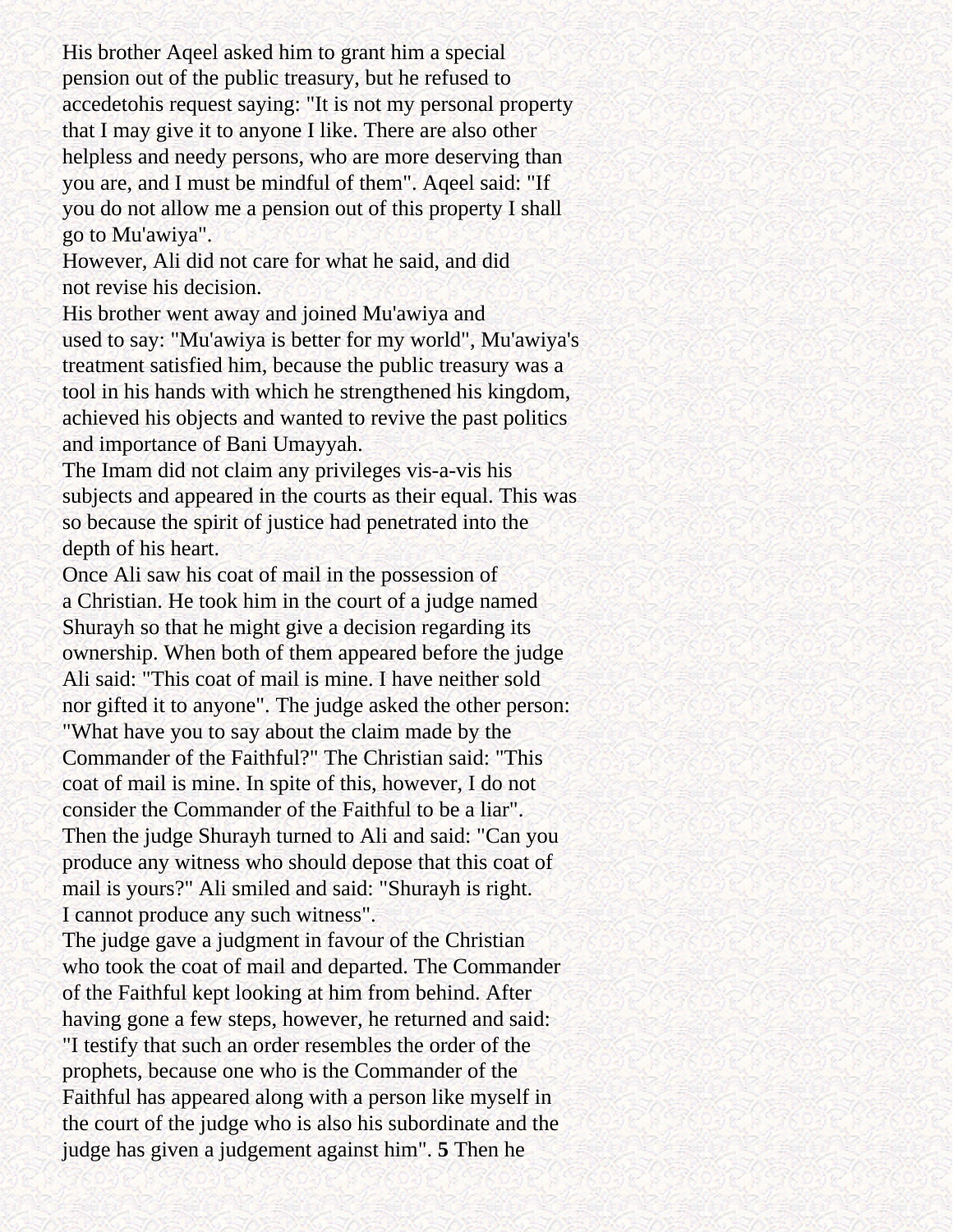His brother Aqeel asked him to grant him a special pension out of the public treasury, but he refused to accedetohis request saying: "It is not my personal property that I may give it to anyone I like. There are also other helpless and needy persons, who are more deserving than you are, and I must be mindful of them". Aqeel said: "If you do not allow me a pension out of this property I shall go to Mu'awiya".

However, Ali did not care for what he said, and did not revise his decision.

His brother went away and joined Mu'awiya and used to say: "Mu'awiya is better for my world", Mu'awiya's treatment satisfied him, because the public treasury was a tool in his hands with which he strengthened his kingdom, achieved his objects and wanted to revive the past politics and importance of Bani Umayyah.

The Imam did not claim any privileges vis-a-vis his subjects and appeared in the courts as their equal. This was so because the spirit of justice had penetrated into the depth of his heart.

Once Ali saw his coat of mail in the possession of a Christian. He took him in the court of a judge named Shurayh so that he might give a decision regarding its ownership. When both of them appeared before the judge Ali said: "This coat of mail is mine. I have neither sold nor gifted it to anyone". The judge asked the other person: "What have you to say about the claim made by the Commander of the Faithful?" The Christian said: "This coat of mail is mine. In spite of this, however, I do not consider the Commander of the Faithful to be a liar". Then the judge Shurayh turned to Ali and said: "Can you produce any witness who should depose that this coat of mail is yours?" Ali smiled and said: "Shurayh is right. I cannot produce any such witness".

The judge gave a judgment in favour of the Christian who took the coat of mail and departed. The Commander of the Faithful kept looking at him from behind. After having gone a few steps, however, he returned and said: "I testify that such an order resembles the order of the prophets, because one who is the Commander of the Faithful has appeared along with a person like myself in the court of the judge who is also his subordinate and the judge has given a judgement against him". **5** Then he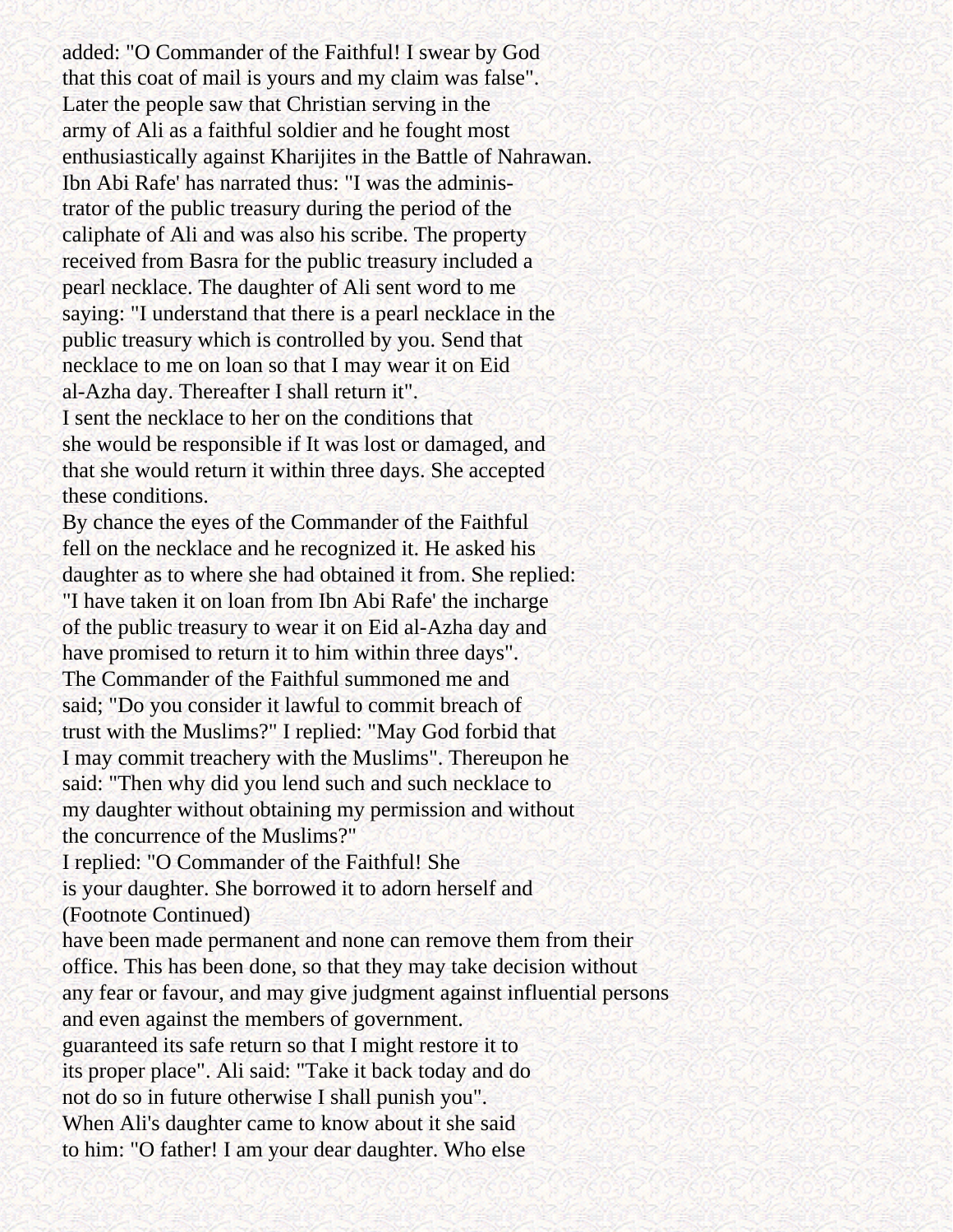added: "O Commander of the Faithful! I swear by God that this coat of mail is yours and my claim was false". Later the people saw that Christian serving in the army of Ali as a faithful soldier and he fought most enthusiastically against Kharijites in the Battle of Nahrawan. Ibn Abi Rafe' has narrated thus: "I was the administrator of the public treasury during the period of the caliphate of Ali and was also his scribe. The property received from Basra for the public treasury included a pearl necklace. The daughter of Ali sent word to me saying: "I understand that there is a pearl necklace in the public treasury which is controlled by you. Send that necklace to me on loan so that I may wear it on Eid al-Azha day. Thereafter I shall return it". I sent the necklace to her on the conditions that she would be responsible if It was lost or damaged, and that she would return it within three days. She accepted these conditions.

By chance the eyes of the Commander of the Faithful fell on the necklace and he recognized it. He asked his daughter as to where she had obtained it from. She replied: "I have taken it on loan from Ibn Abi Rafe' the incharge of the public treasury to wear it on Eid al-Azha day and have promised to return it to him within three days". The Commander of the Faithful summoned me and said; "Do you consider it lawful to commit breach of trust with the Muslims?" I replied: "May God forbid that I may commit treachery with the Muslims". Thereupon he said: "Then why did you lend such and such necklace to my daughter without obtaining my permission and without the concurrence of the Muslims?"

I replied: "O Commander of the Faithful! She is your daughter. She borrowed it to adorn herself and (Footnote Continued)

have been made permanent and none can remove them from their office. This has been done, so that they may take decision without any fear or favour, and may give judgment against influential persons and even against the members of government. guaranteed its safe return so that I might restore it to its proper place". Ali said: "Take it back today and do not do so in future otherwise I shall punish you". When Ali's daughter came to know about it she said to him: "O father! I am your dear daughter. Who else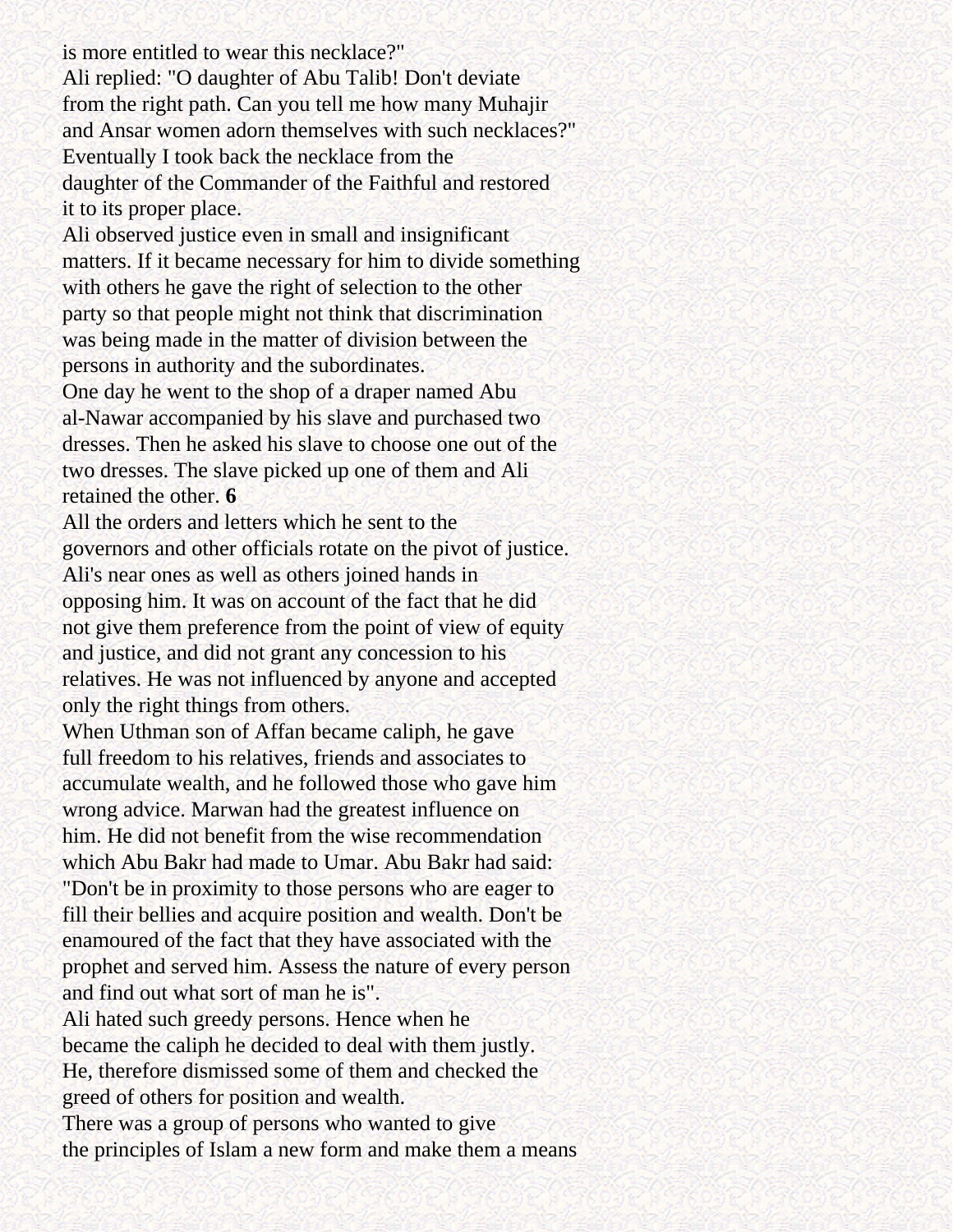is more entitled to wear this necklace?" Ali replied: "O daughter of Abu Talib! Don't deviate from the right path. Can you tell me how many Muhajir and Ansar women adorn themselves with such necklaces?" Eventually I took back the necklace from the daughter of the Commander of the Faithful and restored it to its proper place.

Ali observed justice even in small and insignificant matters. If it became necessary for him to divide something with others he gave the right of selection to the other party so that people might not think that discrimination was being made in the matter of division between the persons in authority and the subordinates.

One day he went to the shop of a draper named Abu al-Nawar accompanied by his slave and purchased two dresses. Then he asked his slave to choose one out of the two dresses. The slave picked up one of them and Ali retained the other. **6**

All the orders and letters which he sent to the governors and other officials rotate on the pivot of justice. Ali's near ones as well as others joined hands in opposing him. It was on account of the fact that he did not give them preference from the point of view of equity and justice, and did not grant any concession to his relatives. He was not influenced by anyone and accepted only the right things from others.

When Uthman son of Affan became caliph, he gave full freedom to his relatives, friends and associates to accumulate wealth, and he followed those who gave him wrong advice. Marwan had the greatest influence on him. He did not benefit from the wise recommendation which Abu Bakr had made to Umar. Abu Bakr had said: "Don't be in proximity to those persons who are eager to fill their bellies and acquire position and wealth. Don't be enamoured of the fact that they have associated with the prophet and served him. Assess the nature of every person and find out what sort of man he is".

Ali hated such greedy persons. Hence when he became the caliph he decided to deal with them justly. He, therefore dismissed some of them and checked the greed of others for position and wealth.

There was a group of persons who wanted to give the principles of Islam a new form and make them a means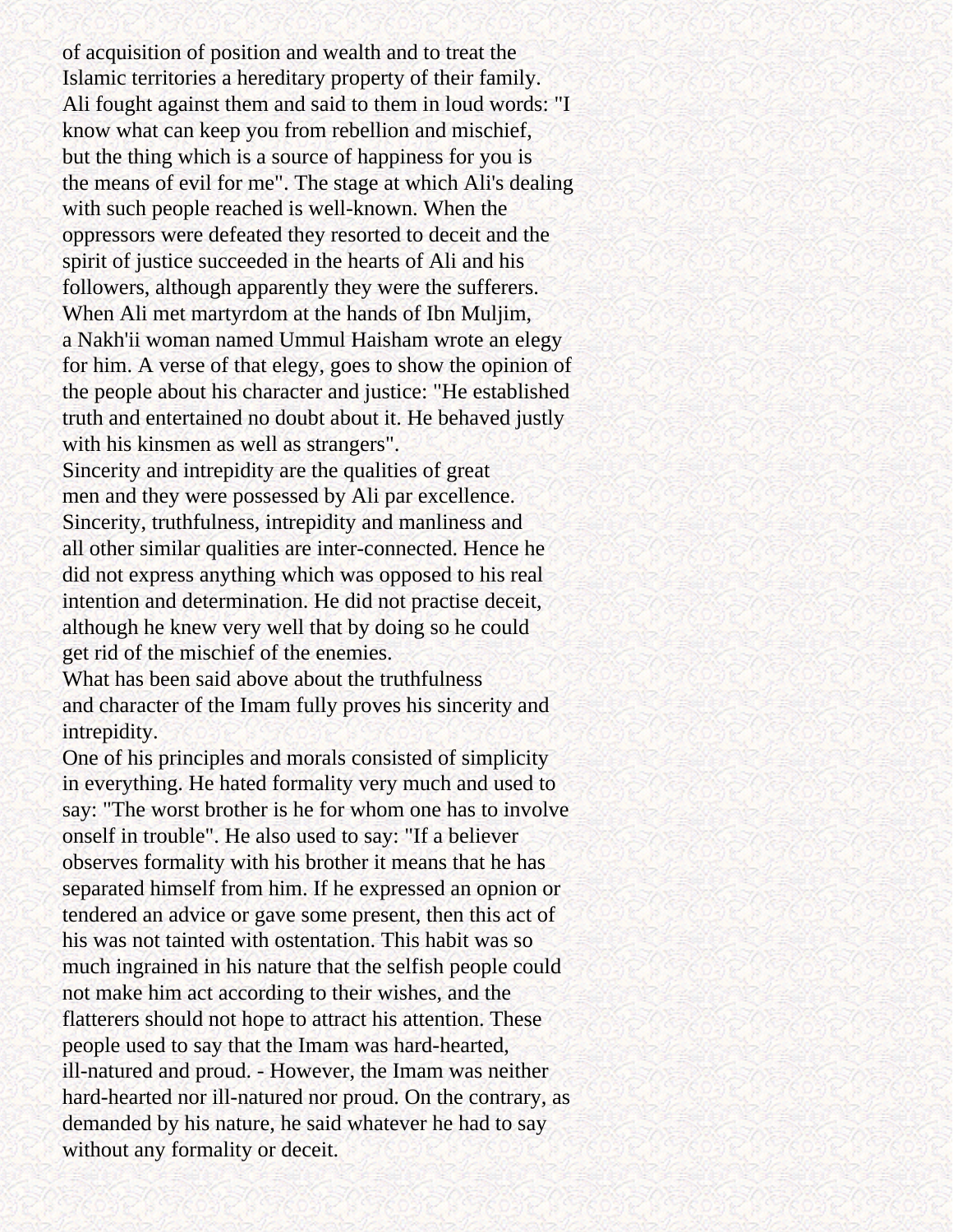of acquisition of position and wealth and to treat the Islamic territories a hereditary property of their family. Ali fought against them and said to them in loud words: "I know what can keep you from rebellion and mischief, but the thing which is a source of happiness for you is the means of evil for me". The stage at which Ali's dealing with such people reached is well-known. When the oppressors were defeated they resorted to deceit and the spirit of justice succeeded in the hearts of Ali and his followers, although apparently they were the sufferers. When Ali met martyrdom at the hands of Ibn Muljim, a Nakh'ii woman named Ummul Haisham wrote an elegy for him. A verse of that elegy, goes to show the opinion of the people about his character and justice: "He established truth and entertained no doubt about it. He behaved justly with his kinsmen as well as strangers".

Sincerity and intrepidity are the qualities of great men and they were possessed by Ali par excellence. Sincerity, truthfulness, intrepidity and manliness and all other similar qualities are inter-connected. Hence he did not express anything which was opposed to his real intention and determination. He did not practise deceit, although he knew very well that by doing so he could get rid of the mischief of the enemies.

What has been said above about the truthfulness and character of the Imam fully proves his sincerity and intrepidity.

One of his principles and morals consisted of simplicity in everything. He hated formality very much and used to say: "The worst brother is he for whom one has to involve onself in trouble". He also used to say: "If a believer observes formality with his brother it means that he has separated himself from him. If he expressed an opnion or tendered an advice or gave some present, then this act of his was not tainted with ostentation. This habit was so much ingrained in his nature that the selfish people could not make him act according to their wishes, and the flatterers should not hope to attract his attention. These people used to say that the Imam was hard-hearted, ill-natured and proud. - However, the Imam was neither hard-hearted nor ill-natured nor proud. On the contrary, as demanded by his nature, he said whatever he had to say without any formality or deceit.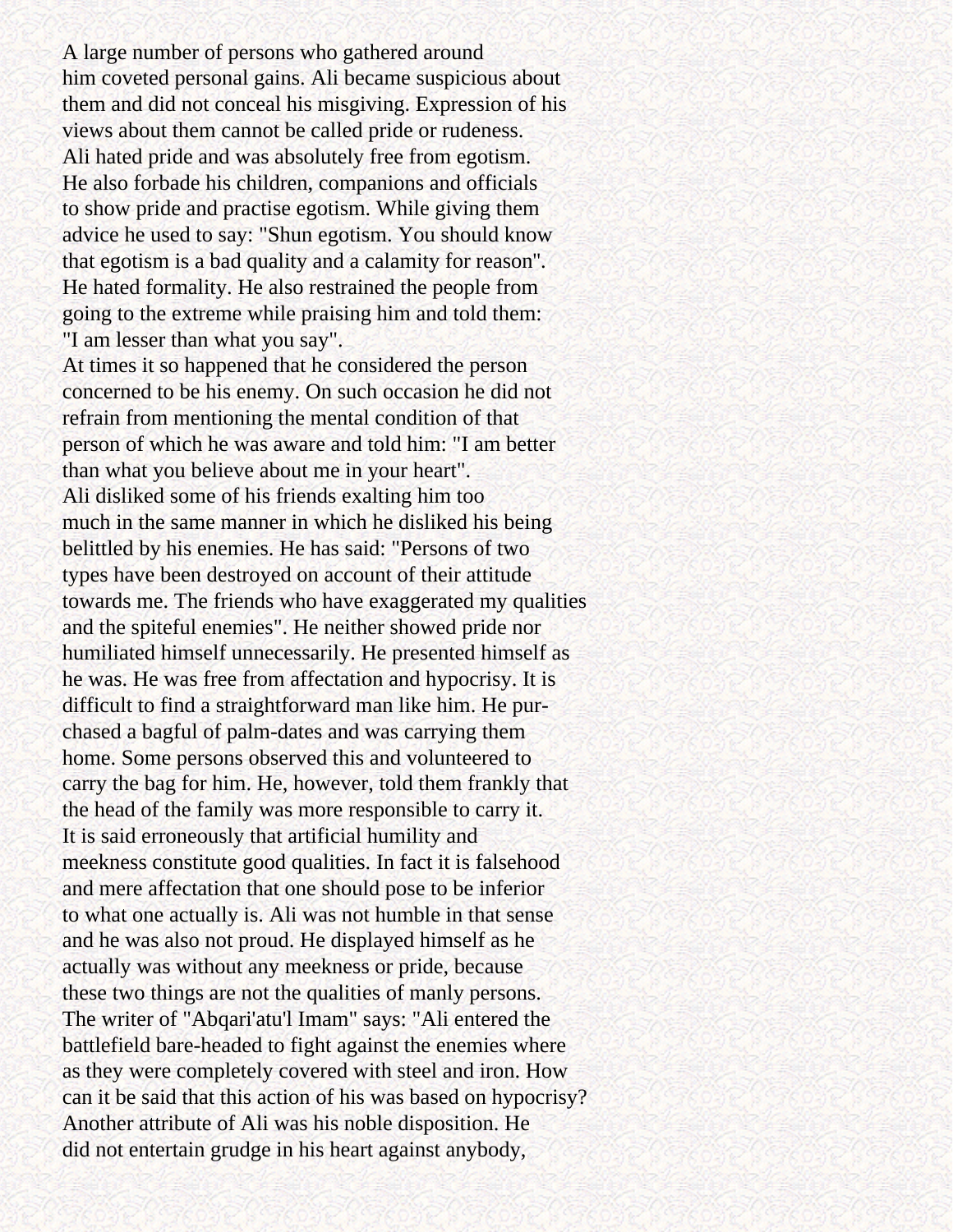A large number of persons who gathered around him coveted personal gains. Ali became suspicious about them and did not conceal his misgiving. Expression of his views about them cannot be called pride or rudeness. Ali hated pride and was absolutely free from egotism. He also forbade his children, companions and officials to show pride and practise egotism. While giving them advice he used to say: "Shun egotism. You should know that egotism is a bad quality and a calamity for reason''. He hated formality. He also restrained the people from going to the extreme while praising him and told them: "I am lesser than what you say".

At times it so happened that he considered the person concerned to be his enemy. On such occasion he did not refrain from mentioning the mental condition of that person of which he was aware and told him: "I am better than what you believe about me in your heart". Ali disliked some of his friends exalting him too much in the same manner in which he disliked his being belittled by his enemies. He has said: "Persons of two types have been destroyed on account of their attitude towards me. The friends who have exaggerated my qualities and the spiteful enemies". He neither showed pride nor humiliated himself unnecessarily. He presented himself as he was. He was free from affectation and hypocrisy. It is difficult to find a straightforward man like him. He purchased a bagful of palm-dates and was carrying them home. Some persons observed this and volunteered to carry the bag for him. He, however, told them frankly that the head of the family was more responsible to carry it. It is said erroneously that artificial humility and meekness constitute good qualities. In fact it is falsehood and mere affectation that one should pose to be inferior to what one actually is. Ali was not humble in that sense and he was also not proud. He displayed himself as he actually was without any meekness or pride, because these two things are not the qualities of manly persons. The writer of "Abqari'atu'l Imam" says: "Ali entered the battlefield bare-headed to fight against the enemies where as they were completely covered with steel and iron. How can it be said that this action of his was based on hypocrisy? Another attribute of Ali was his noble disposition. He did not entertain grudge in his heart against anybody,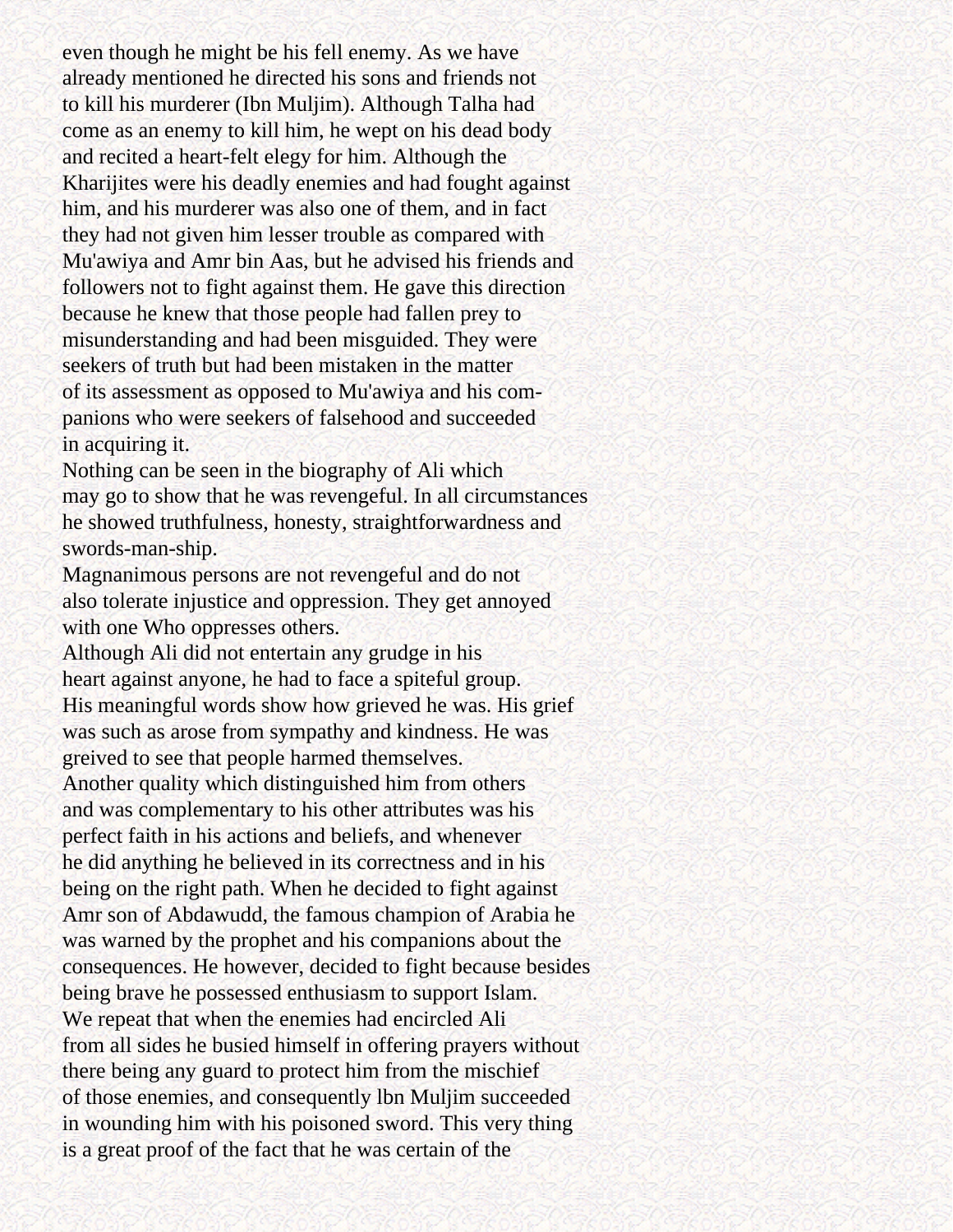even though he might be his fell enemy. As we have already mentioned he directed his sons and friends not to kill his murderer (Ibn Muljim). Although Talha had come as an enemy to kill him, he wept on his dead body and recited a heart-felt elegy for him. Although the Kharijites were his deadly enemies and had fought against him, and his murderer was also one of them, and in fact they had not given him lesser trouble as compared with Mu'awiya and Amr bin Aas, but he advised his friends and followers not to fight against them. He gave this direction because he knew that those people had fallen prey to misunderstanding and had been misguided. They were seekers of truth but had been mistaken in the matter of its assessment as opposed to Mu'awiya and his companions who were seekers of falsehood and succeeded in acquiring it.

Nothing can be seen in the biography of Ali which may go to show that he was revengeful. In all circumstances he showed truthfulness, honesty, straightforwardness and swords-man-ship.

Magnanimous persons are not revengeful and do not also tolerate injustice and oppression. They get annoyed with one Who oppresses others.

Although Ali did not entertain any grudge in his heart against anyone, he had to face a spiteful group. His meaningful words show how grieved he was. His grief was such as arose from sympathy and kindness. He was greived to see that people harmed themselves. Another quality which distinguished him from others and was complementary to his other attributes was his perfect faith in his actions and beliefs, and whenever he did anything he believed in its correctness and in his being on the right path. When he decided to fight against Amr son of Abdawudd, the famous champion of Arabia he was warned by the prophet and his companions about the consequences. He however, decided to fight because besides being brave he possessed enthusiasm to support Islam. We repeat that when the enemies had encircled Ali from all sides he busied himself in offering prayers without there being any guard to protect him from the mischief of those enemies, and consequently lbn Muljim succeeded in wounding him with his poisoned sword. This very thing is a great proof of the fact that he was certain of the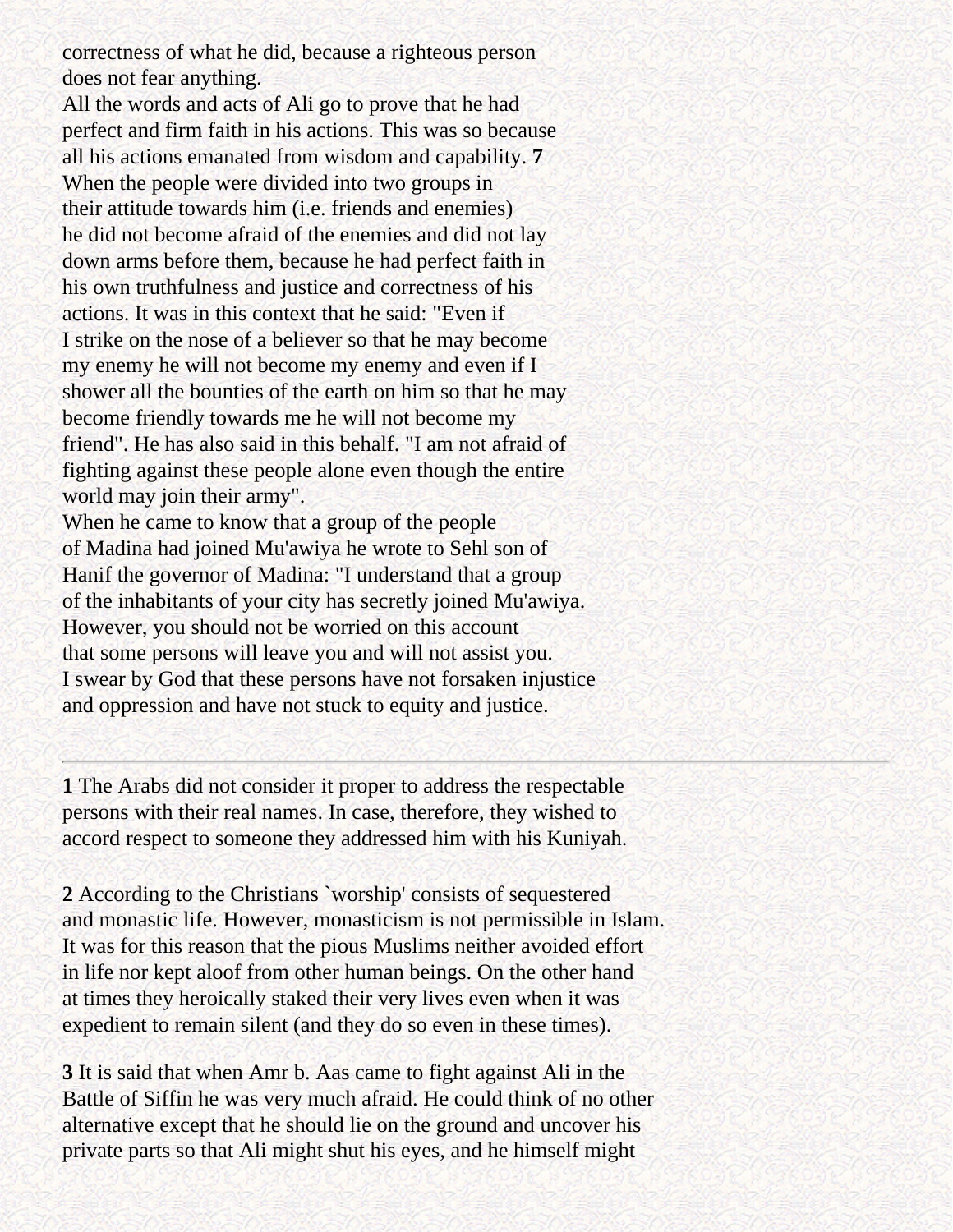correctness of what he did, because a righteous person does not fear anything.

All the words and acts of Ali go to prove that he had perfect and firm faith in his actions. This was so because all his actions emanated from wisdom and capability. **7** When the people were divided into two groups in their attitude towards him (i.e. friends and enemies) he did not become afraid of the enemies and did not lay down arms before them, because he had perfect faith in his own truthfulness and justice and correctness of his actions. It was in this context that he said: "Even if I strike on the nose of a believer so that he may become my enemy he will not become my enemy and even if I shower all the bounties of the earth on him so that he may become friendly towards me he will not become my friend". He has also said in this behalf. "I am not afraid of fighting against these people alone even though the entire world may join their army".

When he came to know that a group of the people of Madina had joined Mu'awiya he wrote to Sehl son of Hanif the governor of Madina: "I understand that a group of the inhabitants of your city has secretly joined Mu'awiya. However, you should not be worried on this account that some persons will leave you and will not assist you. I swear by God that these persons have not forsaken injustice and oppression and have not stuck to equity and justice.

**1** The Arabs did not consider it proper to address the respectable persons with their real names. In case, therefore, they wished to accord respect to someone they addressed him with his Kuniyah.

**2** According to the Christians `worship' consists of sequestered and monastic life. However, monasticism is not permissible in Islam. It was for this reason that the pious Muslims neither avoided effort in life nor kept aloof from other human beings. On the other hand at times they heroically staked their very lives even when it was expedient to remain silent (and they do so even in these times).

**3** It is said that when Amr b. Aas came to fight against Ali in the Battle of Siffin he was very much afraid. He could think of no other alternative except that he should lie on the ground and uncover his private parts so that Ali might shut his eyes, and he himself might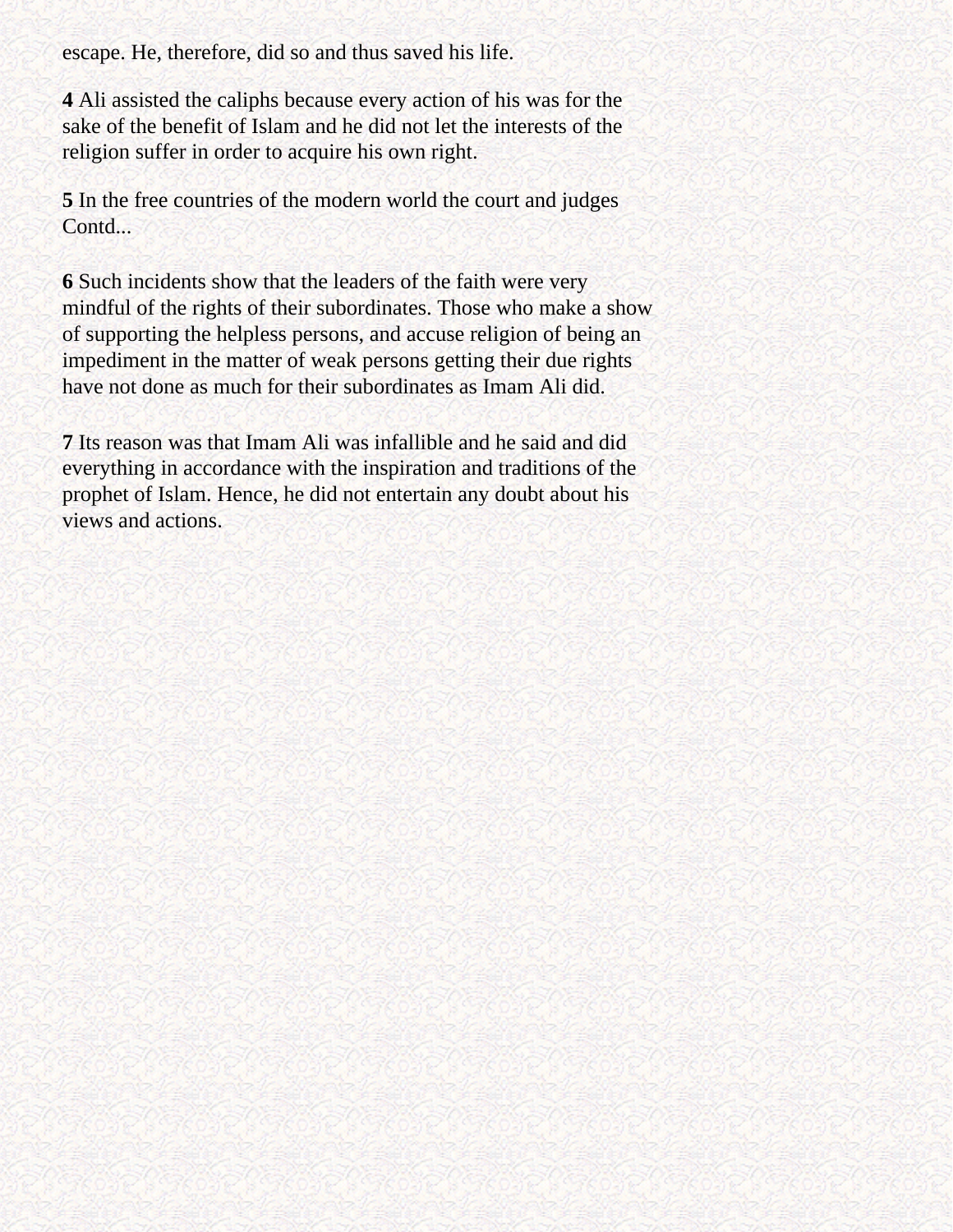escape. He, therefore, did so and thus saved his life.

**4** Ali assisted the caliphs because every action of his was for the sake of the benefit of Islam and he did not let the interests of the religion suffer in order to acquire his own right.

**5** In the free countries of the modern world the court and judges Contd...

**6** Such incidents show that the leaders of the faith were very mindful of the rights of their subordinates. Those who make a show of supporting the helpless persons, and accuse religion of being an impediment in the matter of weak persons getting their due rights have not done as much for their subordinates as Imam Ali did.

**7** Its reason was that Imam Ali was infallible and he said and did everything in accordance with the inspiration and traditions of the prophet of Islam. Hence, he did not entertain any doubt about his views and actions.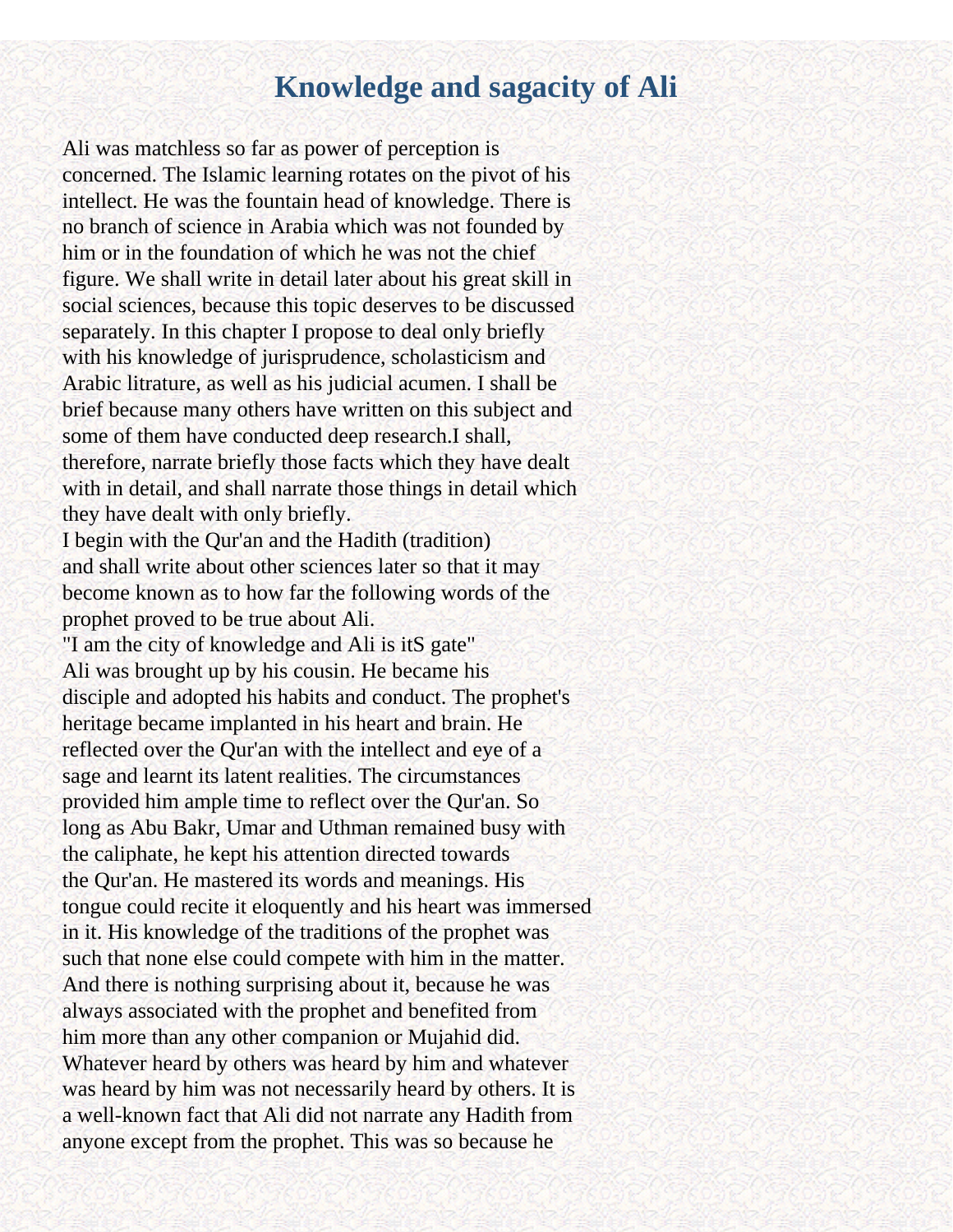## **Knowledge and sagacity of Ali**

Ali was matchless so far as power of perception is concerned. The Islamic learning rotates on the pivot of his intellect. He was the fountain head of knowledge. There is no branch of science in Arabia which was not founded by him or in the foundation of which he was not the chief figure. We shall write in detail later about his great skill in social sciences, because this topic deserves to be discussed separately. In this chapter I propose to deal only briefly with his knowledge of jurisprudence, scholasticism and Arabic litrature, as well as his judicial acumen. I shall be brief because many others have written on this subject and some of them have conducted deep research.I shall, therefore, narrate briefly those facts which they have dealt with in detail, and shall narrate those things in detail which they have dealt with only briefly.

I begin with the Qur'an and the Hadith (tradition) and shall write about other sciences later so that it may become known as to how far the following words of the prophet proved to be true about Ali.

"I am the city of knowledge and Ali is itS gate" Ali was brought up by his cousin. He became his disciple and adopted his habits and conduct. The prophet's heritage became implanted in his heart and brain. He reflected over the Qur'an with the intellect and eye of a sage and learnt its latent realities. The circumstances provided him ample time to reflect over the Qur'an. So long as Abu Bakr, Umar and Uthman remained busy with the caliphate, he kept his attention directed towards the Qur'an. He mastered its words and meanings. His tongue could recite it eloquently and his heart was immersed in it. His knowledge of the traditions of the prophet was such that none else could compete with him in the matter. And there is nothing surprising about it, because he was always associated with the prophet and benefited from him more than any other companion or Mujahid did. Whatever heard by others was heard by him and whatever was heard by him was not necessarily heard by others. It is a well-known fact that Ali did not narrate any Hadith from anyone except from the prophet. This was so because he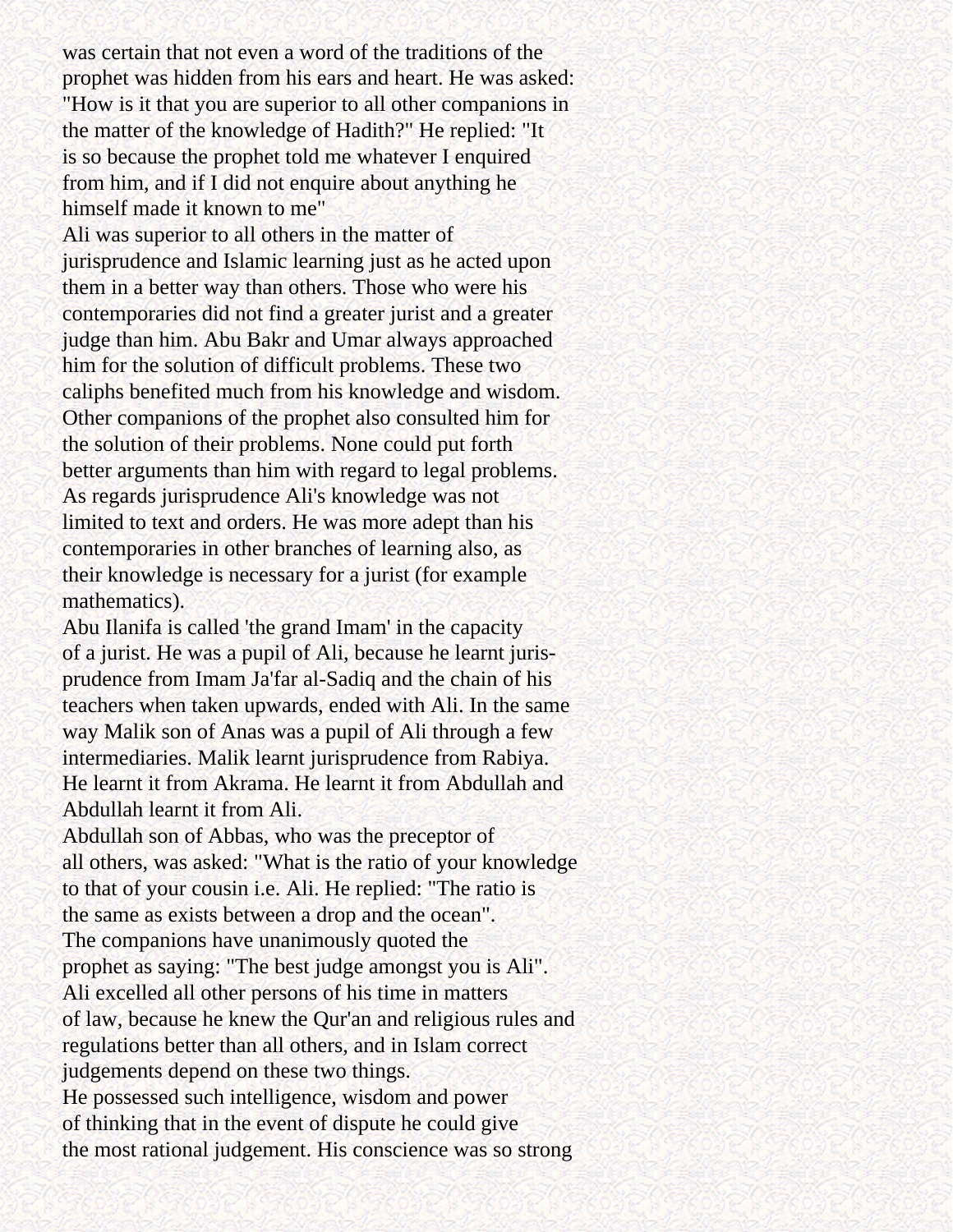was certain that not even a word of the traditions of the prophet was hidden from his ears and heart. He was asked: "How is it that you are superior to all other companions in the matter of the knowledge of Hadith?" He replied: "It is so because the prophet told me whatever I enquired from him, and if I did not enquire about anything he himself made it known to me"

Ali was superior to all others in the matter of jurisprudence and Islamic learning just as he acted upon them in a better way than others. Those who were his contemporaries did not find a greater jurist and a greater judge than him. Abu Bakr and Umar always approached him for the solution of difficult problems. These two caliphs benefited much from his knowledge and wisdom. Other companions of the prophet also consulted him for the solution of their problems. None could put forth better arguments than him with regard to legal problems. As regards jurisprudence Ali's knowledge was not limited to text and orders. He was more adept than his contemporaries in other branches of learning also, as their knowledge is necessary for a jurist (for example mathematics).

Abu Ilanifa is called 'the grand Imam' in the capacity of a jurist. He was a pupil of Ali, because he learnt jurisprudence from Imam Ja'far al-Sadiq and the chain of his teachers when taken upwards, ended with Ali. In the same way Malik son of Anas was a pupil of Ali through a few intermediaries. Malik learnt jurisprudence from Rabiya. He learnt it from Akrama. He learnt it from Abdullah and Abdullah learnt it from Ali.

Abdullah son of Abbas, who was the preceptor of all others, was asked: "What is the ratio of your knowledge to that of your cousin i.e. Ali. He replied: "The ratio is the same as exists between a drop and the ocean". The companions have unanimously quoted the prophet as saying: "The best judge amongst you is Ali". Ali excelled all other persons of his time in matters of law, because he knew the Qur'an and religious rules and regulations better than all others, and in Islam correct judgements depend on these two things. He possessed such intelligence, wisdom and power of thinking that in the event of dispute he could give the most rational judgement. His conscience was so strong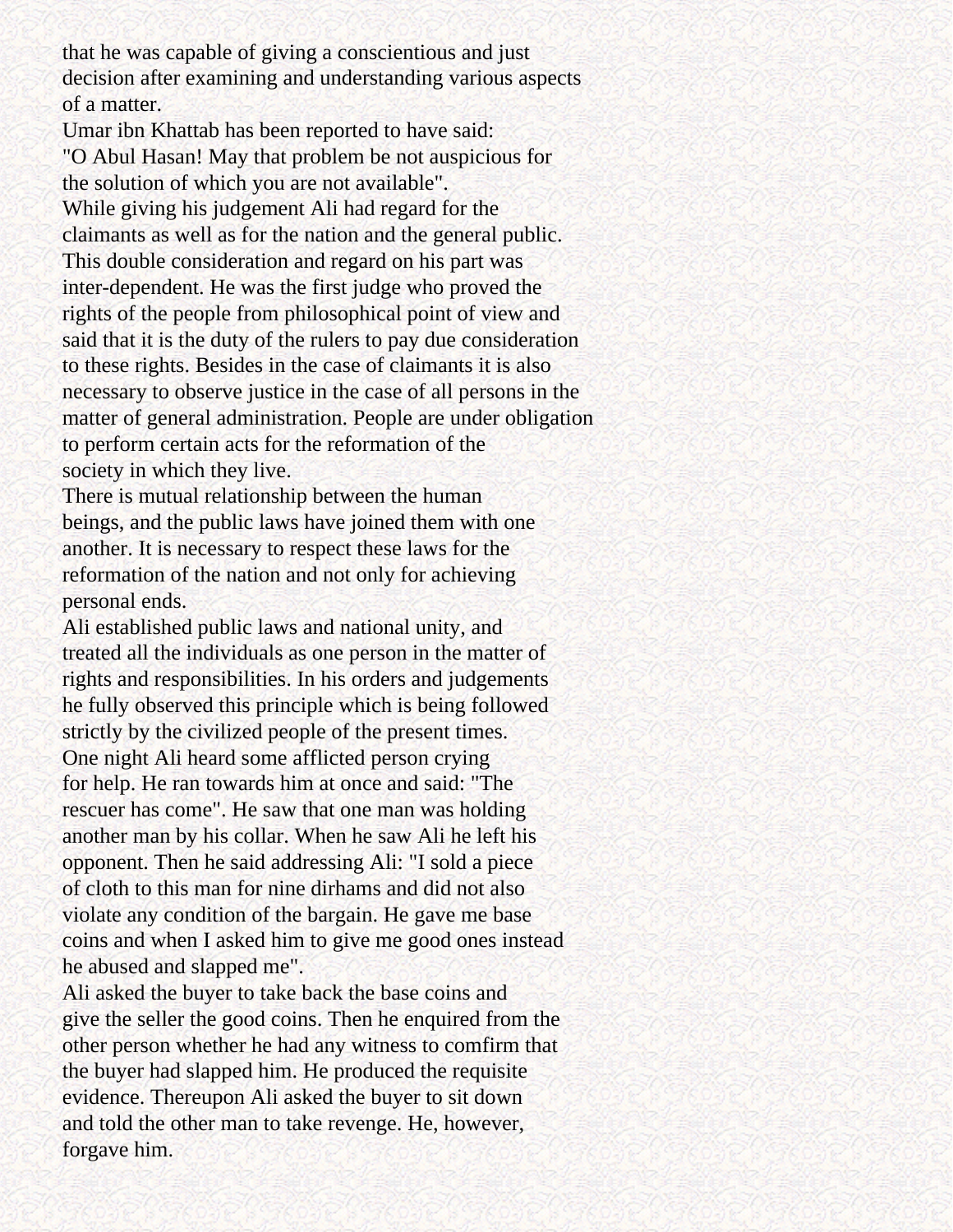that he was capable of giving a conscientious and just decision after examining and understanding various aspects of a matter.

Umar ibn Khattab has been reported to have said: "O Abul Hasan! May that problem be not auspicious for the solution of which you are not available". While giving his judgement Ali had regard for the claimants as well as for the nation and the general public. This double consideration and regard on his part was inter-dependent. He was the first judge who proved the rights of the people from philosophical point of view and said that it is the duty of the rulers to pay due consideration to these rights. Besides in the case of claimants it is also necessary to observe justice in the case of all persons in the matter of general administration. People are under obligation to perform certain acts for the reformation of the society in which they live.

There is mutual relationship between the human beings, and the public laws have joined them with one another. It is necessary to respect these laws for the reformation of the nation and not only for achieving personal ends.

Ali established public laws and national unity, and treated all the individuals as one person in the matter of rights and responsibilities. In his orders and judgements he fully observed this principle which is being followed strictly by the civilized people of the present times. One night Ali heard some afflicted person crying for help. He ran towards him at once and said: "The rescuer has come". He saw that one man was holding another man by his collar. When he saw Ali he left his opponent. Then he said addressing Ali: "I sold a piece of cloth to this man for nine dirhams and did not also violate any condition of the bargain. He gave me base coins and when I asked him to give me good ones instead he abused and slapped me".

Ali asked the buyer to take back the base coins and give the seller the good coins. Then he enquired from the other person whether he had any witness to comfirm that the buyer had slapped him. He produced the requisite evidence. Thereupon Ali asked the buyer to sit down and told the other man to take revenge. He, however, forgave him.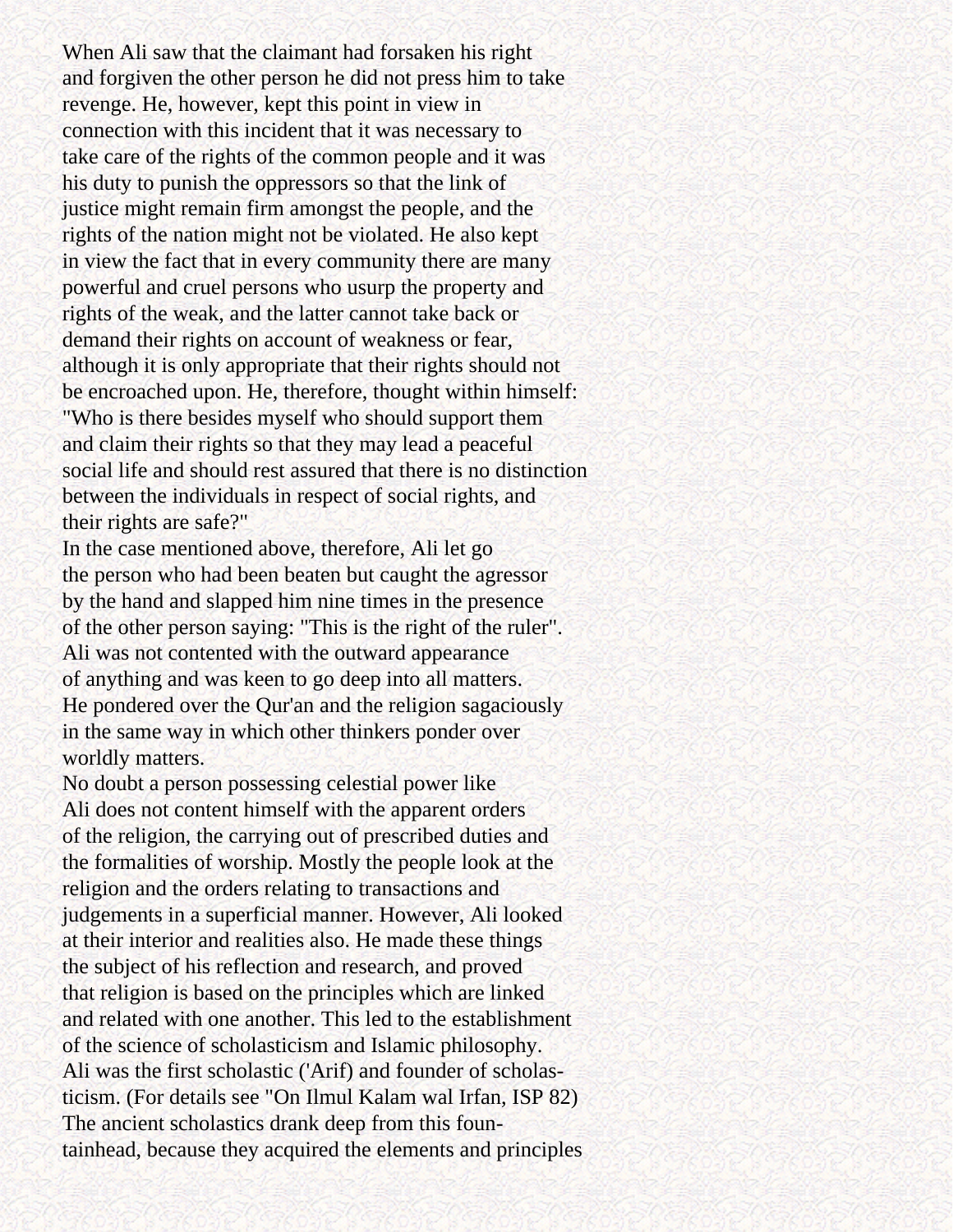When Ali saw that the claimant had forsaken his right and forgiven the other person he did not press him to take revenge. He, however, kept this point in view in connection with this incident that it was necessary to take care of the rights of the common people and it was his duty to punish the oppressors so that the link of justice might remain firm amongst the people, and the rights of the nation might not be violated. He also kept in view the fact that in every community there are many powerful and cruel persons who usurp the property and rights of the weak, and the latter cannot take back or demand their rights on account of weakness or fear, although it is only appropriate that their rights should not be encroached upon. He, therefore, thought within himself: "Who is there besides myself who should support them and claim their rights so that they may lead a peaceful social life and should rest assured that there is no distinction between the individuals in respect of social rights, and their rights are safe?"

In the case mentioned above, therefore, Ali let go the person who had been beaten but caught the agressor by the hand and slapped him nine times in the presence of the other person saying: "This is the right of the ruler". Ali was not contented with the outward appearance of anything and was keen to go deep into all matters. He pondered over the Qur'an and the religion sagaciously in the same way in which other thinkers ponder over worldly matters.

No doubt a person possessing celestial power like Ali does not content himself with the apparent orders of the religion, the carrying out of prescribed duties and the formalities of worship. Mostly the people look at the religion and the orders relating to transactions and judgements in a superficial manner. However, Ali looked at their interior and realities also. He made these things the subject of his reflection and research, and proved that religion is based on the principles which are linked and related with one another. This led to the establishment of the science of scholasticism and Islamic philosophy. Ali was the first scholastic ('Arif) and founder of scholasticism. (For details see "On Ilmul Kalam wal Irfan, ISP 82) The ancient scholastics drank deep from this fountainhead, because they acquired the elements and principles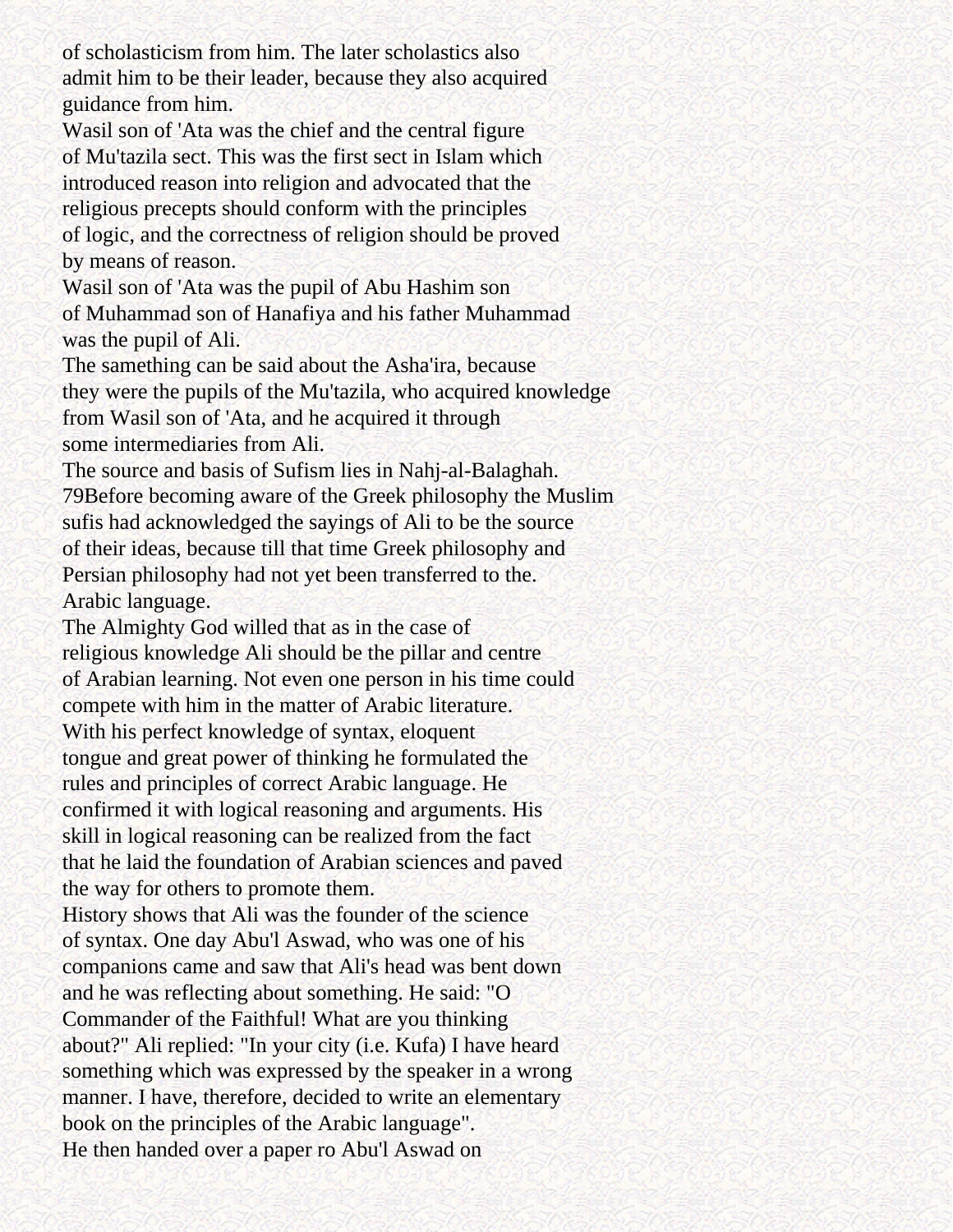of scholasticism from him. The later scholastics also admit him to be their leader, because they also acquired guidance from him.

Wasil son of 'Ata was the chief and the central figure of Mu'tazila sect. This was the first sect in Islam which introduced reason into religion and advocated that the religious precepts should conform with the principles of logic, and the correctness of religion should be proved by means of reason.

Wasil son of 'Ata was the pupil of Abu Hashim son of Muhammad son of Hanafiya and his father Muhammad was the pupil of Ali.

The samething can be said about the Asha'ira, because they were the pupils of the Mu'tazila, who acquired knowledge from Wasil son of 'Ata, and he acquired it through some intermediaries from Ali.

The source and basis of Sufism lies in Nahj-al-Balaghah. 79Before becoming aware of the Greek philosophy the Muslim sufis had acknowledged the sayings of Ali to be the source of their ideas, because till that time Greek philosophy and Persian philosophy had not yet been transferred to the. Arabic language.

The Almighty God willed that as in the case of religious knowledge Ali should be the pillar and centre of Arabian learning. Not even one person in his time could compete with him in the matter of Arabic literature. With his perfect knowledge of syntax, eloquent tongue and great power of thinking he formulated the rules and principles of correct Arabic language. He confirmed it with logical reasoning and arguments. His skill in logical reasoning can be realized from the fact that he laid the foundation of Arabian sciences and paved the way for others to promote them.

History shows that Ali was the founder of the science of syntax. One day Abu'l Aswad, who was one of his companions came and saw that Ali's head was bent down and he was reflecting about something. He said: "O Commander of the Faithful! What are you thinking about?" Ali replied: "In your city (i.e. Kufa) I have heard something which was expressed by the speaker in a wrong manner. I have, therefore, decided to write an elementary book on the principles of the Arabic language". He then handed over a paper ro Abu'l Aswad on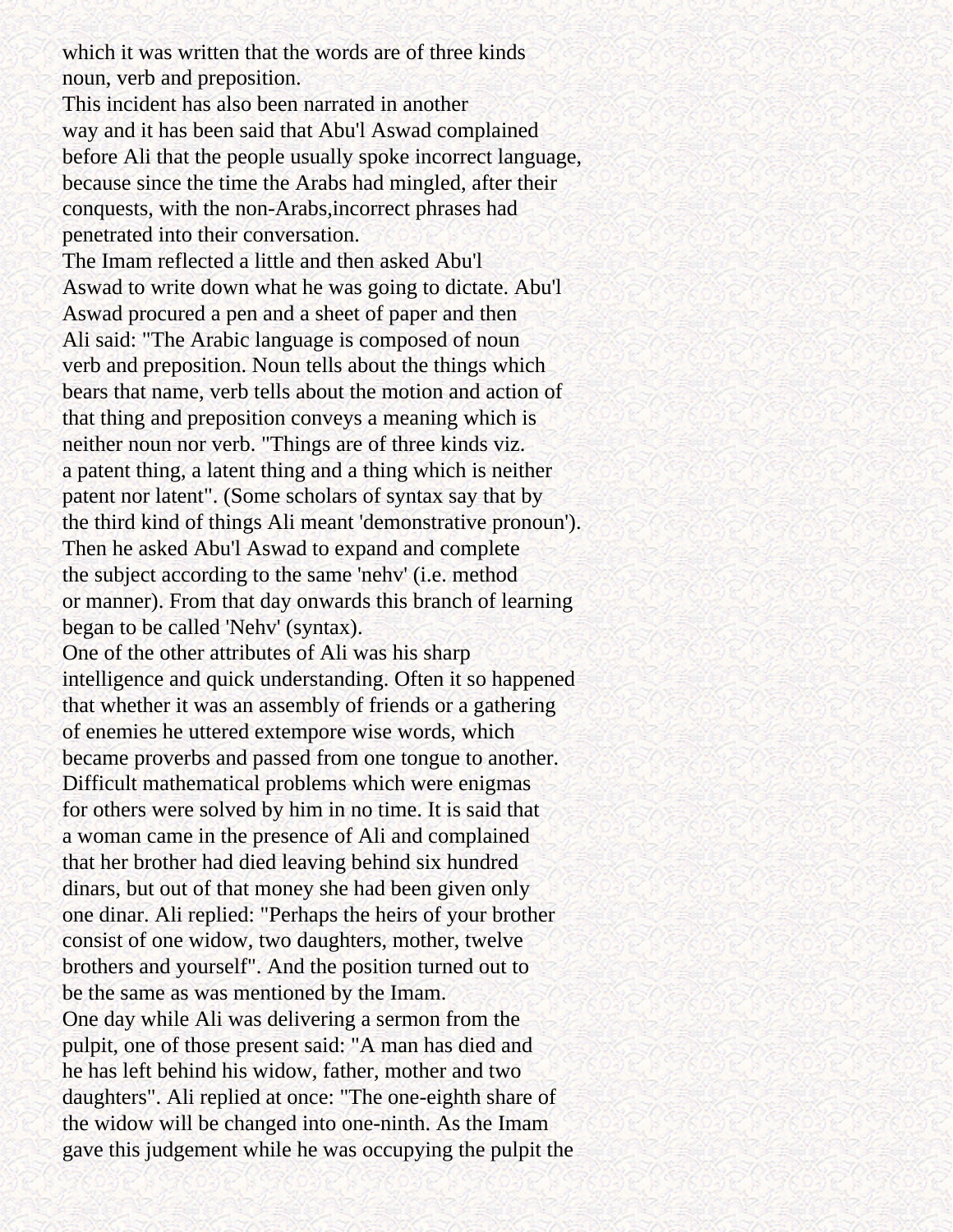which it was written that the words are of three kinds noun, verb and preposition.

This incident has also been narrated in another way and it has been said that Abu'l Aswad complained before Ali that the people usually spoke incorrect language, because since the time the Arabs had mingled, after their conquests, with the non-Arabs,incorrect phrases had penetrated into their conversation.

The Imam reflected a little and then asked Abu'l Aswad to write down what he was going to dictate. Abu'l Aswad procured a pen and a sheet of paper and then Ali said: "The Arabic language is composed of noun verb and preposition. Noun tells about the things which bears that name, verb tells about the motion and action of that thing and preposition conveys a meaning which is neither noun nor verb. "Things are of three kinds viz. a patent thing, a latent thing and a thing which is neither patent nor latent". (Some scholars of syntax say that by the third kind of things Ali meant 'demonstrative pronoun'). Then he asked Abu'l Aswad to expand and complete the subject according to the same 'nehv' (i.e. method or manner). From that day onwards this branch of learning began to be called 'Nehv' (syntax).

One of the other attributes of Ali was his sharp intelligence and quick understanding. Often it so happened that whether it was an assembly of friends or a gathering of enemies he uttered extempore wise words, which became proverbs and passed from one tongue to another. Difficult mathematical problems which were enigmas for others were solved by him in no time. It is said that a woman came in the presence of Ali and complained that her brother had died leaving behind six hundred dinars, but out of that money she had been given only one dinar. Ali replied: "Perhaps the heirs of your brother consist of one widow, two daughters, mother, twelve brothers and yourself". And the position turned out to be the same as was mentioned by the Imam. One day while Ali was delivering a sermon from the pulpit, one of those present said: "A man has died and he has left behind his widow, father, mother and two daughters". Ali replied at once: "The one-eighth share of the widow will be changed into one-ninth. As the Imam gave this judgement while he was occupying the pulpit the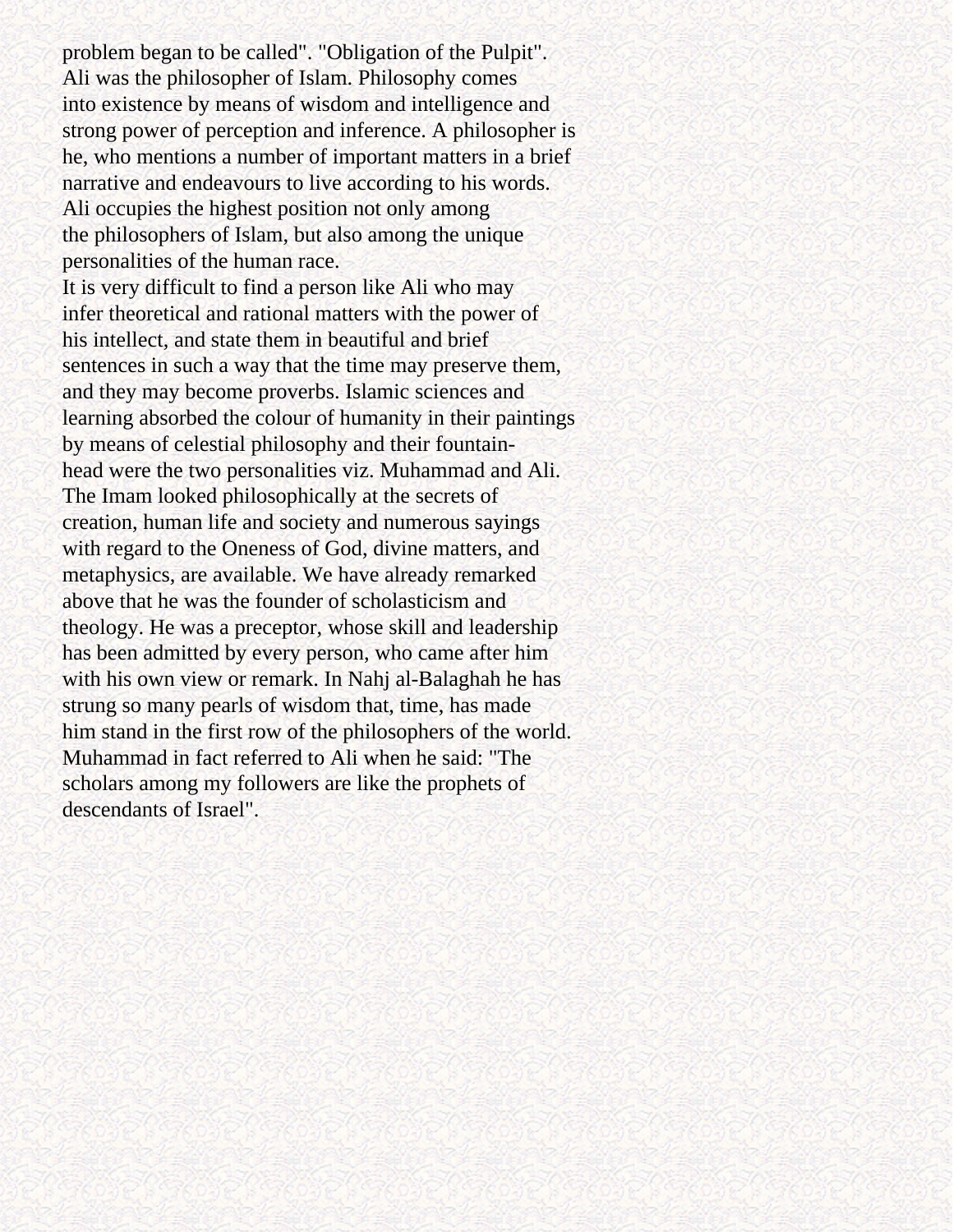problem began to be called". "Obligation of the Pulpit". Ali was the philosopher of Islam. Philosophy comes into existence by means of wisdom and intelligence and strong power of perception and inference. A philosopher is he, who mentions a number of important matters in a brief narrative and endeavours to live according to his words. Ali occupies the highest position not only among the philosophers of Islam, but also among the unique personalities of the human race.

It is very difficult to find a person like Ali who may infer theoretical and rational matters with the power of his intellect, and state them in beautiful and brief sentences in such a way that the time may preserve them, and they may become proverbs. Islamic sciences and learning absorbed the colour of humanity in their paintings by means of celestial philosophy and their fountainhead were the two personalities viz. Muhammad and Ali. The Imam looked philosophically at the secrets of creation, human life and society and numerous sayings with regard to the Oneness of God, divine matters, and metaphysics, are available. We have already remarked above that he was the founder of scholasticism and theology. He was a preceptor, whose skill and leadership has been admitted by every person, who came after him with his own view or remark. In Nahj al-Balaghah he has strung so many pearls of wisdom that, time, has made him stand in the first row of the philosophers of the world. Muhammad in fact referred to Ali when he said: "The scholars among my followers are like the prophets of descendants of Israel".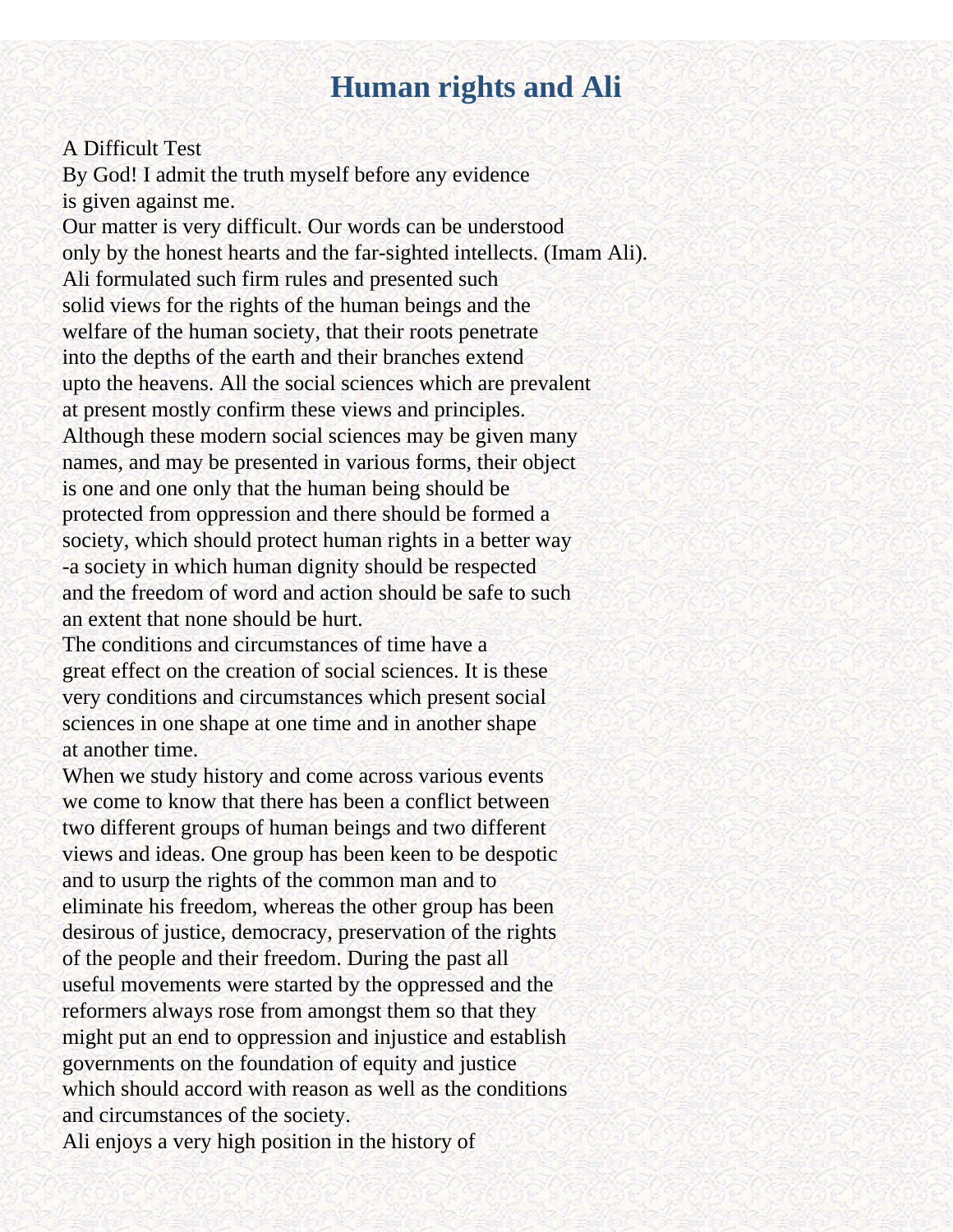## **Human rights and Ali**

A Difficult Test

By God! I admit the truth myself before any evidence is given against me.

Our matter is very difficult. Our words can be understood only by the honest hearts and the far-sighted intellects. (Imam Ali). Ali formulated such firm rules and presented such solid views for the rights of the human beings and the welfare of the human society, that their roots penetrate into the depths of the earth and their branches extend upto the heavens. All the social sciences which are prevalent at present mostly confirm these views and principles. Although these modern social sciences may be given many names, and may be presented in various forms, their object is one and one only that the human being should be protected from oppression and there should be formed a society, which should protect human rights in a better way -a society in which human dignity should be respected and the freedom of word and action should be safe to such an extent that none should be hurt.

The conditions and circumstances of time have a great effect on the creation of social sciences. It is these very conditions and circumstances which present social sciences in one shape at one time and in another shape at another time.

When we study history and come across various events we come to know that there has been a conflict between two different groups of human beings and two different views and ideas. One group has been keen to be despotic and to usurp the rights of the common man and to eliminate his freedom, whereas the other group has been desirous of justice, democracy, preservation of the rights of the people and their freedom. During the past all useful movements were started by the oppressed and the reformers always rose from amongst them so that they might put an end to oppression and injustice and establish governments on the foundation of equity and justice which should accord with reason as well as the conditions and circumstances of the society.

Ali enjoys a very high position in the history of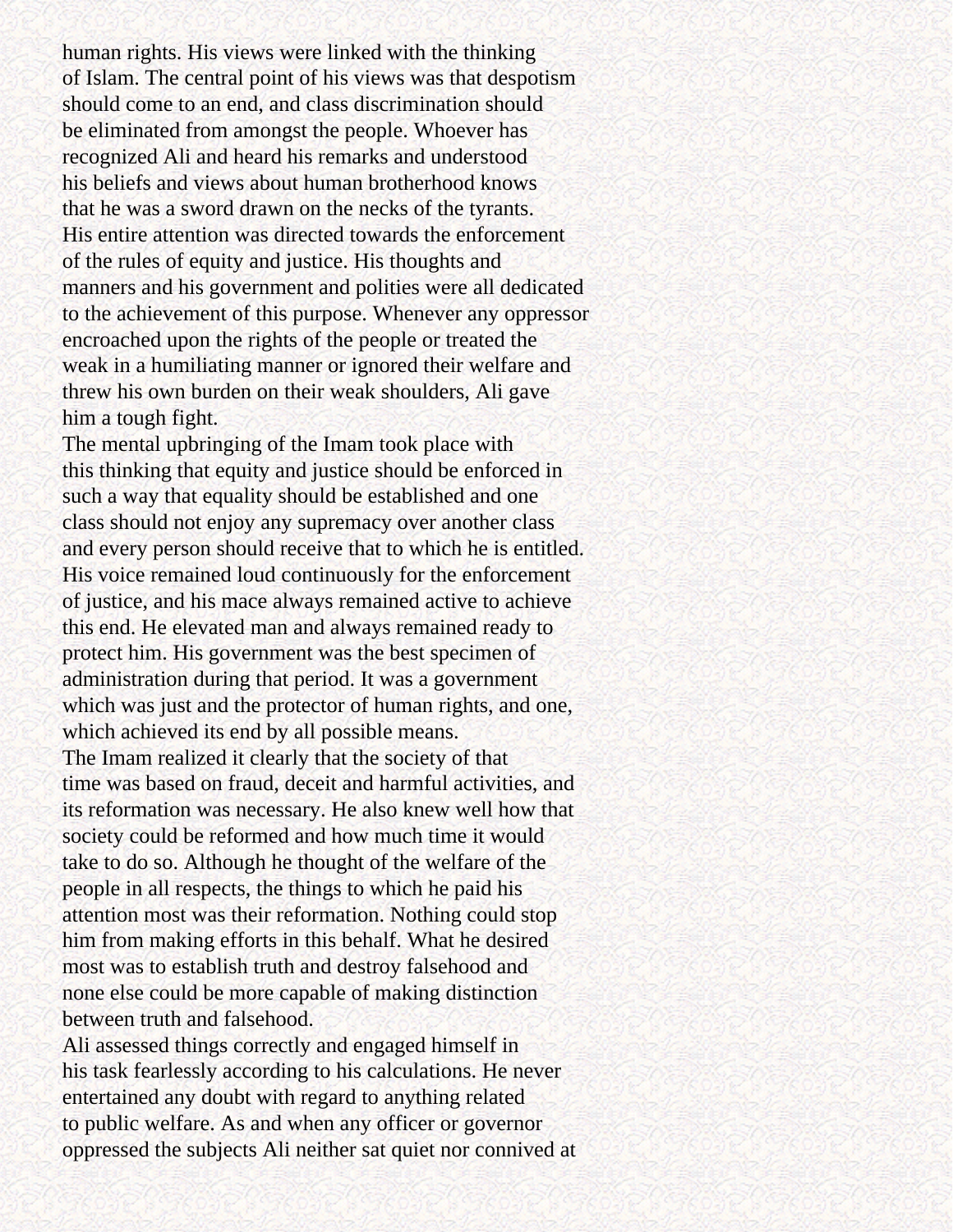human rights. His views were linked with the thinking of Islam. The central point of his views was that despotism should come to an end, and class discrimination should be eliminated from amongst the people. Whoever has recognized Ali and heard his remarks and understood his beliefs and views about human brotherhood knows that he was a sword drawn on the necks of the tyrants. His entire attention was directed towards the enforcement of the rules of equity and justice. His thoughts and manners and his government and polities were all dedicated to the achievement of this purpose. Whenever any oppressor encroached upon the rights of the people or treated the weak in a humiliating manner or ignored their welfare and threw his own burden on their weak shoulders, Ali gave him a tough fight.

The mental upbringing of the Imam took place with this thinking that equity and justice should be enforced in such a way that equality should be established and one class should not enjoy any supremacy over another class and every person should receive that to which he is entitled. His voice remained loud continuously for the enforcement of justice, and his mace always remained active to achieve this end. He elevated man and always remained ready to protect him. His government was the best specimen of administration during that period. It was a government which was just and the protector of human rights, and one, which achieved its end by all possible means. The Imam realized it clearly that the society of that time was based on fraud, deceit and harmful activities, and its reformation was necessary. He also knew well how that society could be reformed and how much time it would take to do so. Although he thought of the welfare of the people in all respects, the things to which he paid his attention most was their reformation. Nothing could stop him from making efforts in this behalf. What he desired most was to establish truth and destroy falsehood and none else could be more capable of making distinction between truth and falsehood.

Ali assessed things correctly and engaged himself in his task fearlessly according to his calculations. He never entertained any doubt with regard to anything related to public welfare. As and when any officer or governor oppressed the subjects Ali neither sat quiet nor connived at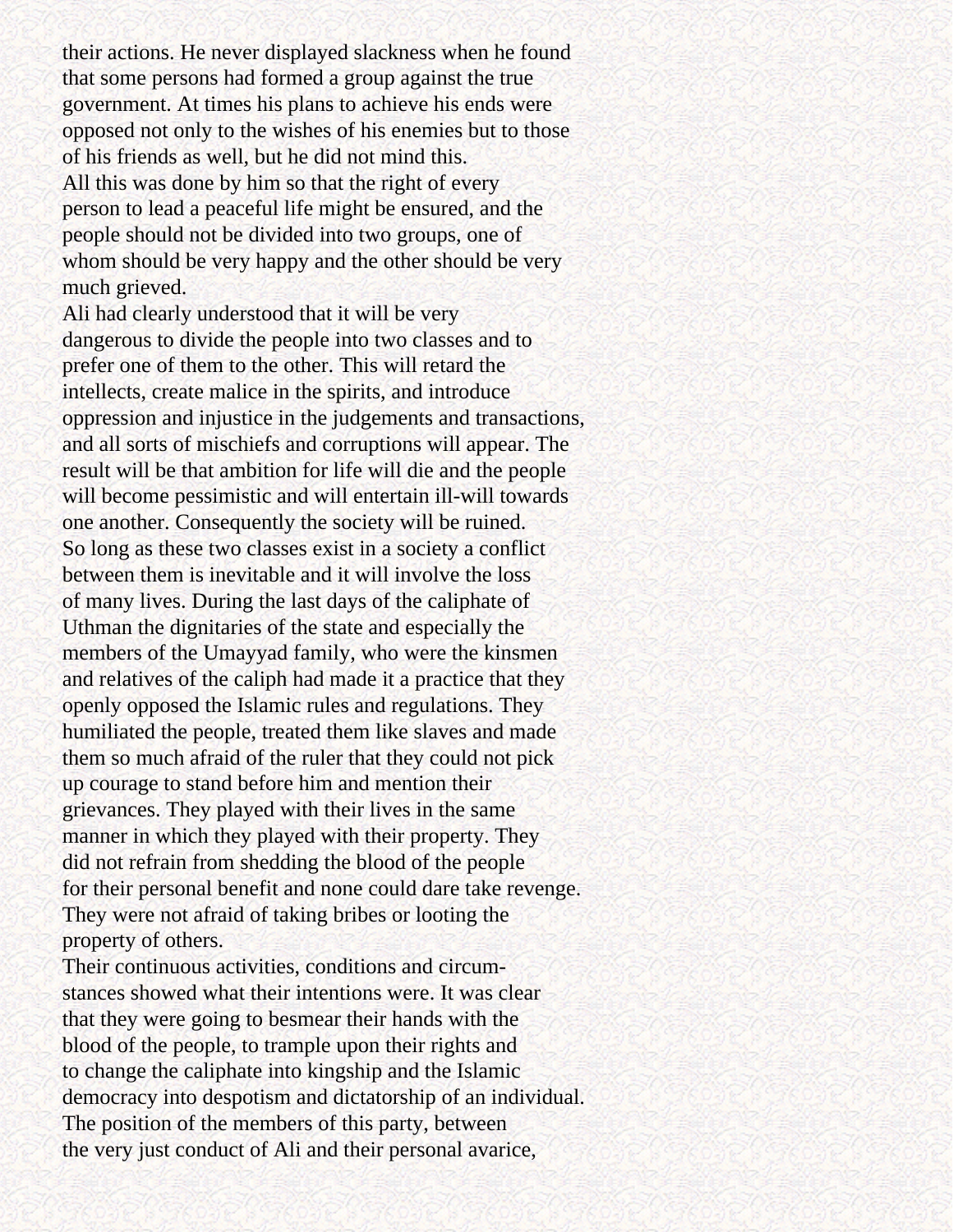their actions. He never displayed slackness when he found that some persons had formed a group against the true government. At times his plans to achieve his ends were opposed not only to the wishes of his enemies but to those of his friends as well, but he did not mind this. All this was done by him so that the right of every person to lead a peaceful life might be ensured, and the people should not be divided into two groups, one of whom should be very happy and the other should be very much grieved.

Ali had clearly understood that it will be very dangerous to divide the people into two classes and to prefer one of them to the other. This will retard the intellects, create malice in the spirits, and introduce oppression and injustice in the judgements and transactions, and all sorts of mischiefs and corruptions will appear. The result will be that ambition for life will die and the people will become pessimistic and will entertain ill-will towards one another. Consequently the society will be ruined. So long as these two classes exist in a society a conflict between them is inevitable and it will involve the loss of many lives. During the last days of the caliphate of Uthman the dignitaries of the state and especially the members of the Umayyad family, who were the kinsmen and relatives of the caliph had made it a practice that they openly opposed the Islamic rules and regulations. They humiliated the people, treated them like slaves and made them so much afraid of the ruler that they could not pick up courage to stand before him and mention their grievances. They played with their lives in the same manner in which they played with their property. They did not refrain from shedding the blood of the people for their personal benefit and none could dare take revenge. They were not afraid of taking bribes or looting the property of others.

Their continuous activities, conditions and circumstances showed what their intentions were. It was clear that they were going to besmear their hands with the blood of the people, to trample upon their rights and to change the caliphate into kingship and the Islamic democracy into despotism and dictatorship of an individual. The position of the members of this party, between the very just conduct of Ali and their personal avarice,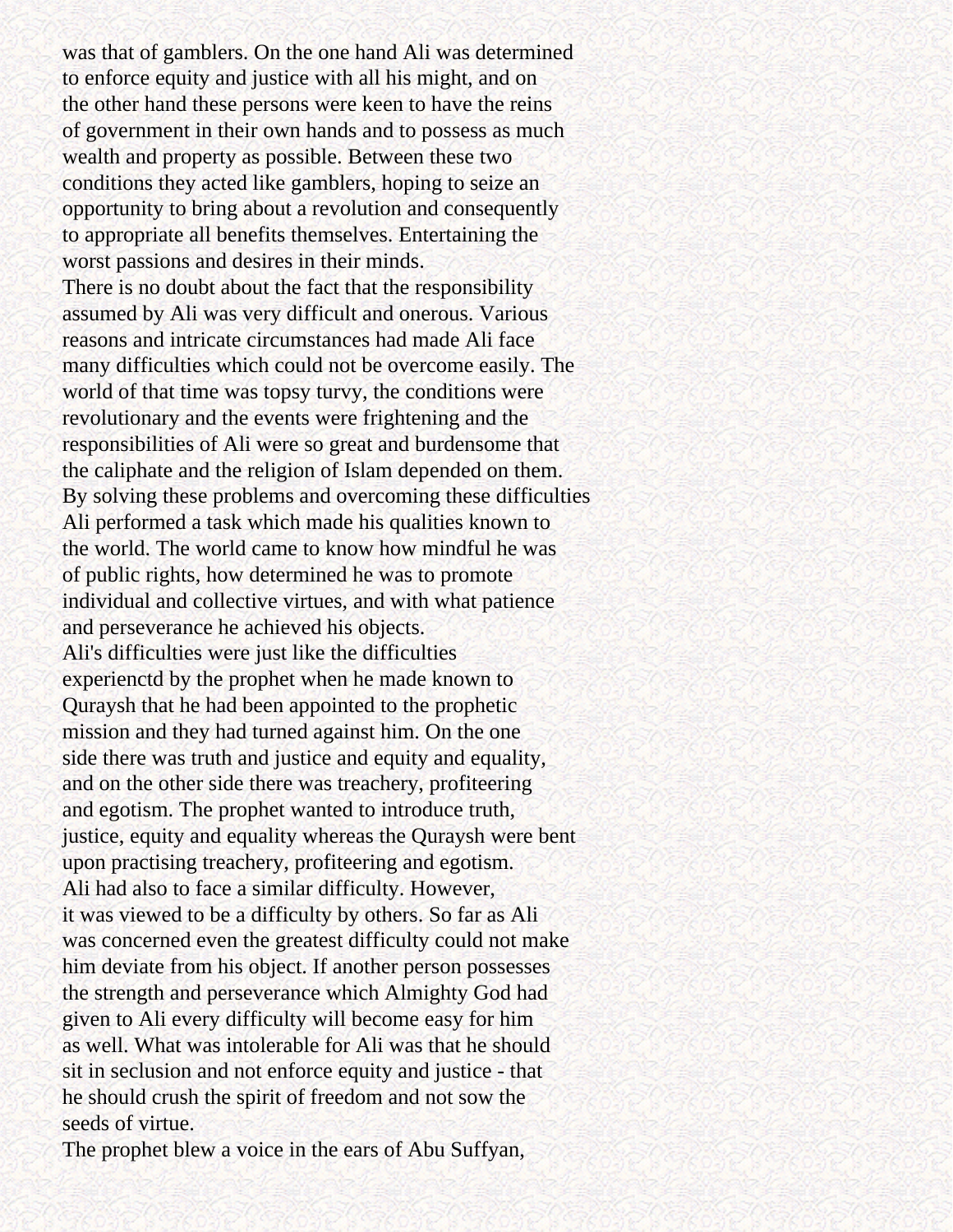was that of gamblers. On the one hand Ali was determined to enforce equity and justice with all his might, and on the other hand these persons were keen to have the reins of government in their own hands and to possess as much wealth and property as possible. Between these two conditions they acted like gamblers, hoping to seize an opportunity to bring about a revolution and consequently to appropriate all benefits themselves. Entertaining the worst passions and desires in their minds. There is no doubt about the fact that the responsibility assumed by Ali was very difficult and onerous. Various reasons and intricate circumstances had made Ali face many difficulties which could not be overcome easily. The world of that time was topsy turvy, the conditions were revolutionary and the events were frightening and the responsibilities of Ali were so great and burdensome that the caliphate and the religion of Islam depended on them. By solving these problems and overcoming these difficulties Ali performed a task which made his qualities known to the world. The world came to know how mindful he was of public rights, how determined he was to promote individual and collective virtues, and with what patience and perseverance he achieved his objects. Ali's difficulties were just like the difficulties experienctd by the prophet when he made known to Quraysh that he had been appointed to the prophetic mission and they had turned against him. On the one side there was truth and justice and equity and equality, and on the other side there was treachery, profiteering and egotism. The prophet wanted to introduce truth, justice, equity and equality whereas the Quraysh were bent upon practising treachery, profiteering and egotism. Ali had also to face a similar difficulty. However, it was viewed to be a difficulty by others. So far as Ali was concerned even the greatest difficulty could not make him deviate from his object. If another person possesses the strength and perseverance which Almighty God had given to Ali every difficulty will become easy for him as well. What was intolerable for Ali was that he should sit in seclusion and not enforce equity and justice - that he should crush the spirit of freedom and not sow the seeds of virtue.

The prophet blew a voice in the ears of Abu Suffyan,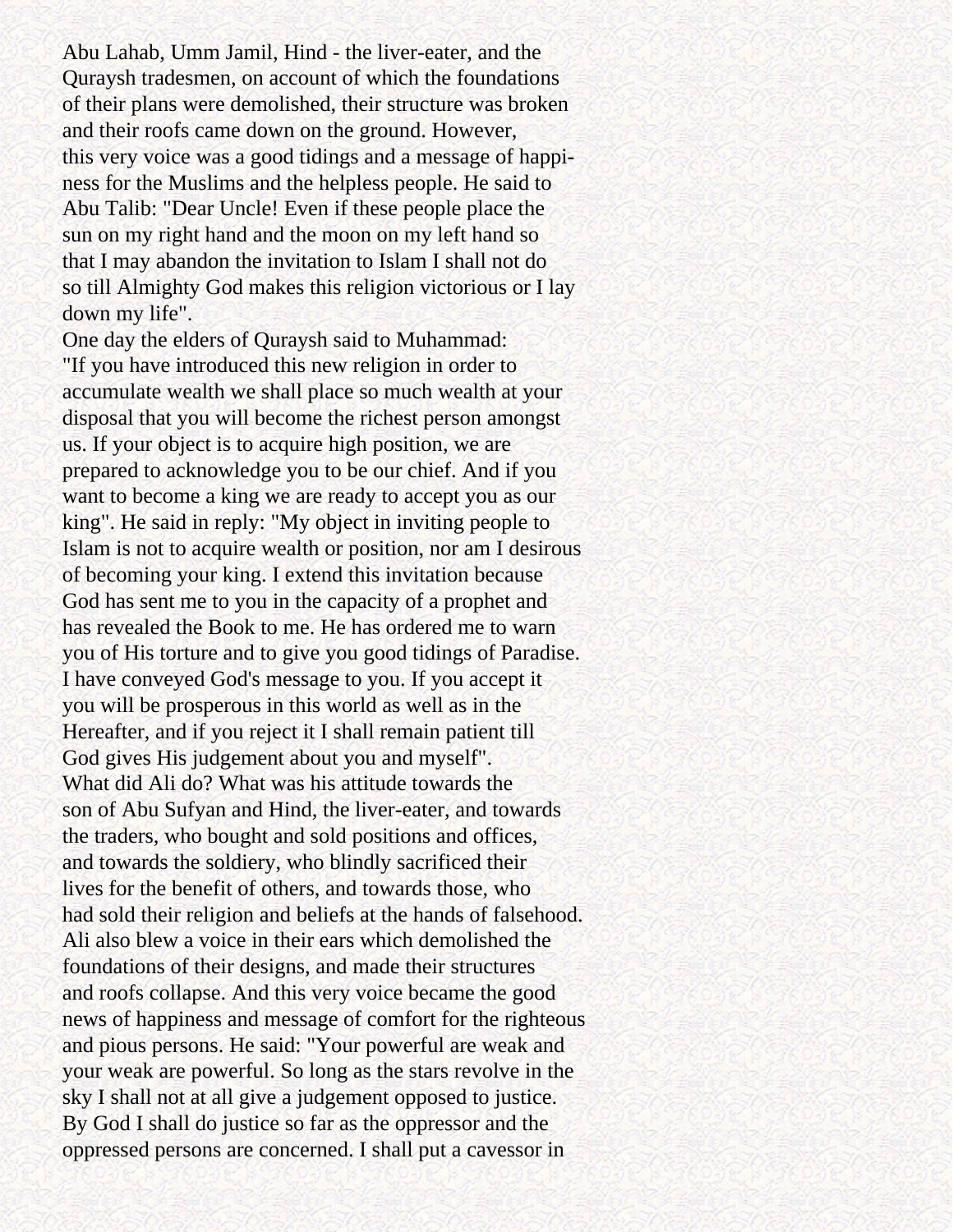Abu Lahab, Umm Jamil, Hind - the liver-eater, and the Quraysh tradesmen, on account of which the foundations of their plans were demolished, their structure was broken and their roofs came down on the ground. However, this very voice was a good tidings and a message of happiness for the Muslims and the helpless people. He said to Abu Talib: "Dear Uncle! Even if these people place the sun on my right hand and the moon on my left hand so that I may abandon the invitation to Islam I shall not do so till Almighty God makes this religion victorious or I lay down my life".

One day the elders of Quraysh said to Muhammad: "If you have introduced this new religion in order to accumulate wealth we shall place so much wealth at your disposal that you will become the richest person amongst us. If your object is to acquire high position, we are prepared to acknowledge you to be our chief. And if you want to become a king we are ready to accept you as our king". He said in reply: "My object in inviting people to Islam is not to acquire wealth or position, nor am I desirous of becoming your king. I extend this invitation because God has sent me to you in the capacity of a prophet and has revealed the Book to me. He has ordered me to warn you of His torture and to give you good tidings of Paradise. I have conveyed God's message to you. If you accept it you will be prosperous in this world as well as in the Hereafter, and if you reject it I shall remain patient till God gives His judgement about you and myself". What did Ali do? What was his attitude towards the son of Abu Sufyan and Hind, the liver-eater, and towards the traders, who bought and sold positions and offices, and towards the soldiery, who blindly sacrificed their lives for the benefit of others, and towards those, who had sold their religion and beliefs at the hands of falsehood. Ali also blew a voice in their ears which demolished the foundations of their designs, and made their structures and roofs collapse. And this very voice became the good news of happiness and message of comfort for the righteous and pious persons. He said: "Your powerful are weak and your weak are powerful. So long as the stars revolve in the sky I shall not at all give a judgement opposed to justice. By God I shall do justice so far as the oppressor and the oppressed persons are concerned. I shall put a cavessor in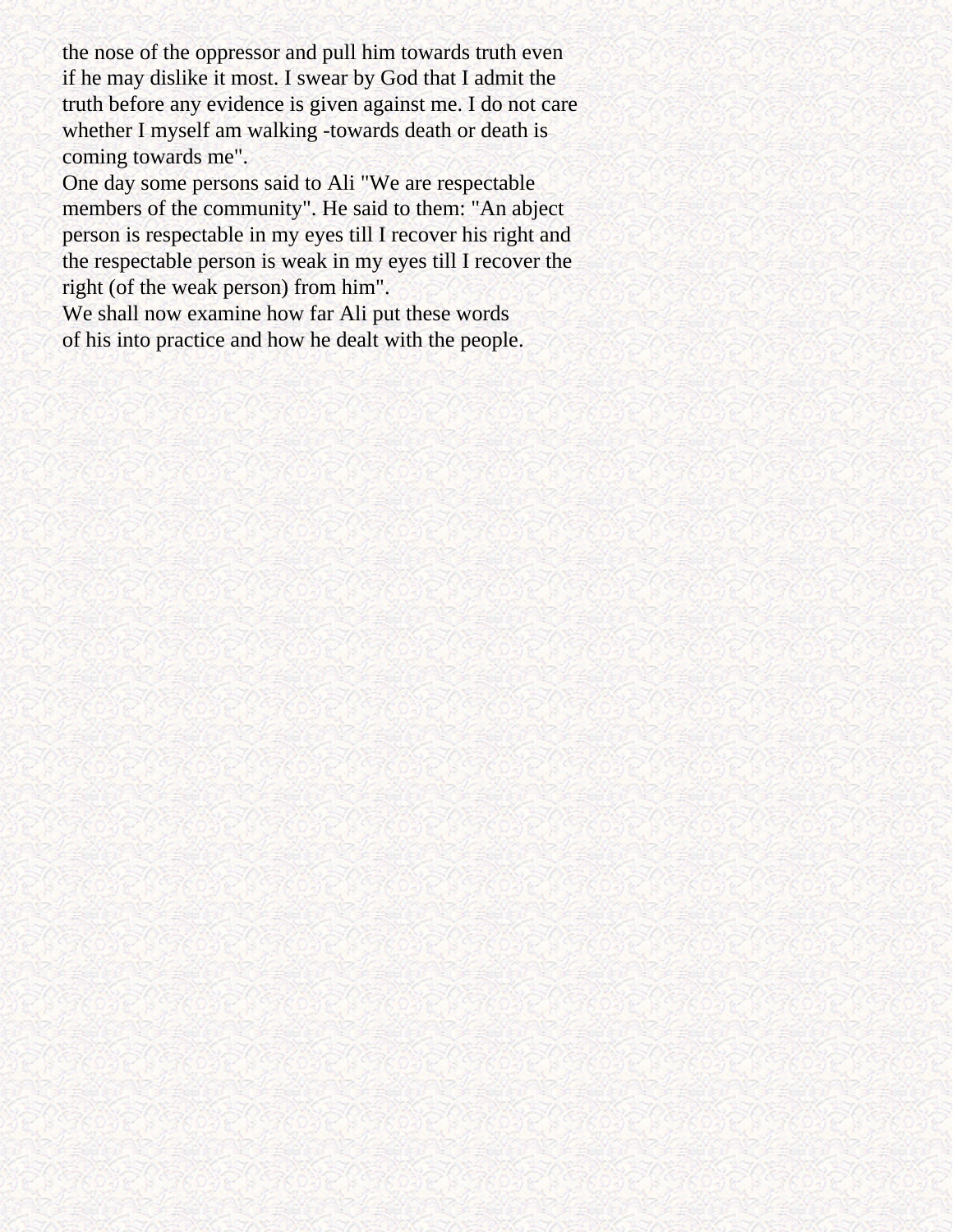the nose of the oppressor and pull him towards truth even if he may dislike it most. I swear by God that I admit the truth before any evidence is given against me. I do not care whether I myself am walking -towards death or death is coming towards me".

One day some persons said to Ali "We are respectable members of the community". He said to them: "An abject person is respectable in my eyes till I recover his right and the respectable person is weak in my eyes till I recover the right (of the weak person) from him".

We shall now examine how far Ali put these words of his into practice and how he dealt with the people.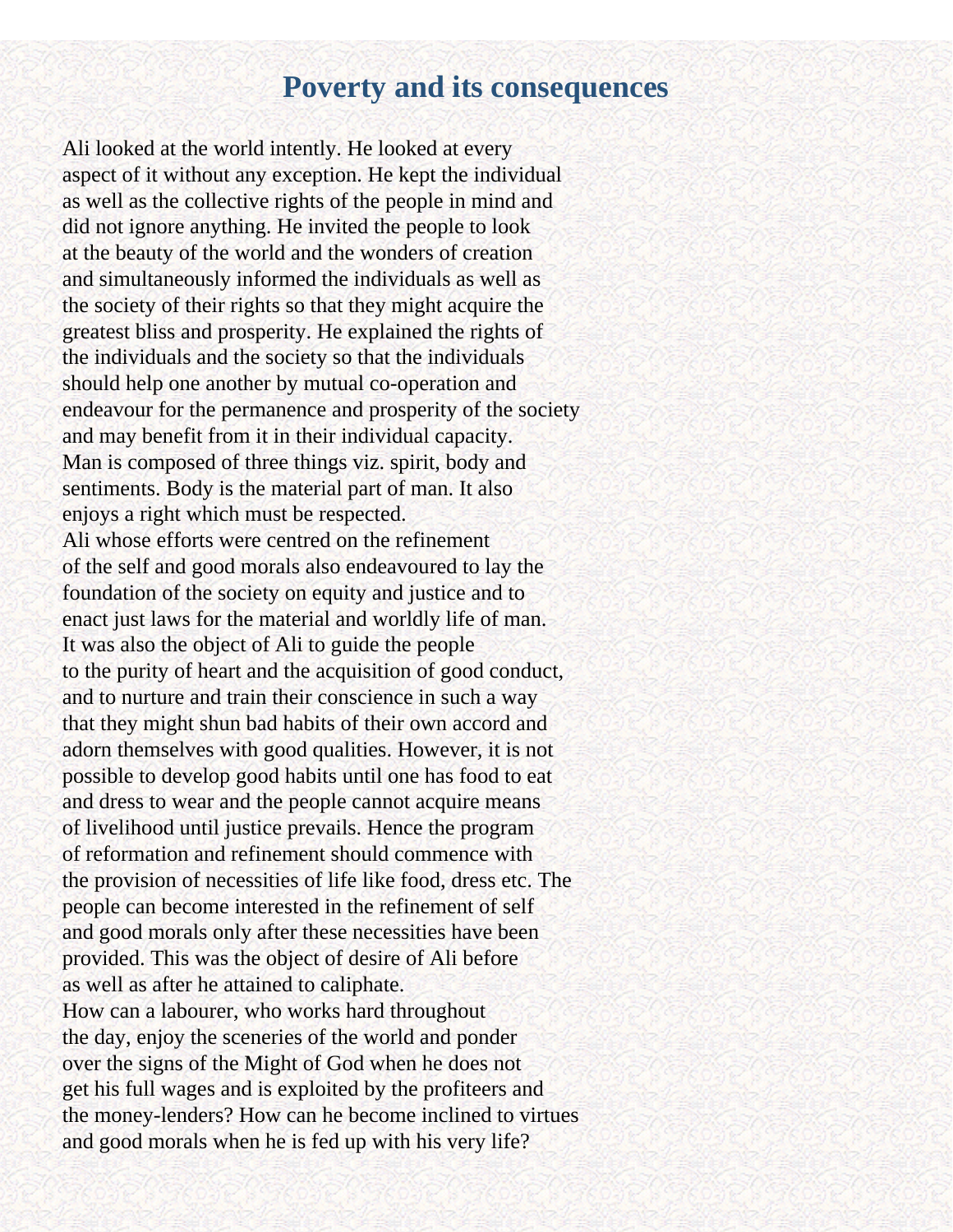## **Poverty and its consequences**

Ali looked at the world intently. He looked at every aspect of it without any exception. He kept the individual as well as the collective rights of the people in mind and did not ignore anything. He invited the people to look at the beauty of the world and the wonders of creation and simultaneously informed the individuals as well as the society of their rights so that they might acquire the greatest bliss and prosperity. He explained the rights of the individuals and the society so that the individuals should help one another by mutual co-operation and endeavour for the permanence and prosperity of the society and may benefit from it in their individual capacity. Man is composed of three things viz. spirit, body and sentiments. Body is the material part of man. It also enjoys a right which must be respected. Ali whose efforts were centred on the refinement of the self and good morals also endeavoured to lay the foundation of the society on equity and justice and to enact just laws for the material and worldly life of man. It was also the object of Ali to guide the people to the purity of heart and the acquisition of good conduct, and to nurture and train their conscience in such a way that they might shun bad habits of their own accord and adorn themselves with good qualities. However, it is not possible to develop good habits until one has food to eat and dress to wear and the people cannot acquire means of livelihood until justice prevails. Hence the program of reformation and refinement should commence with the provision of necessities of life like food, dress etc. The people can become interested in the refinement of self and good morals only after these necessities have been provided. This was the object of desire of Ali before as well as after he attained to caliphate. How can a labourer, who works hard throughout the day, enjoy the sceneries of the world and ponder over the signs of the Might of God when he does not get his full wages and is exploited by the profiteers and the money-lenders? How can he become inclined to virtues and good morals when he is fed up with his very life?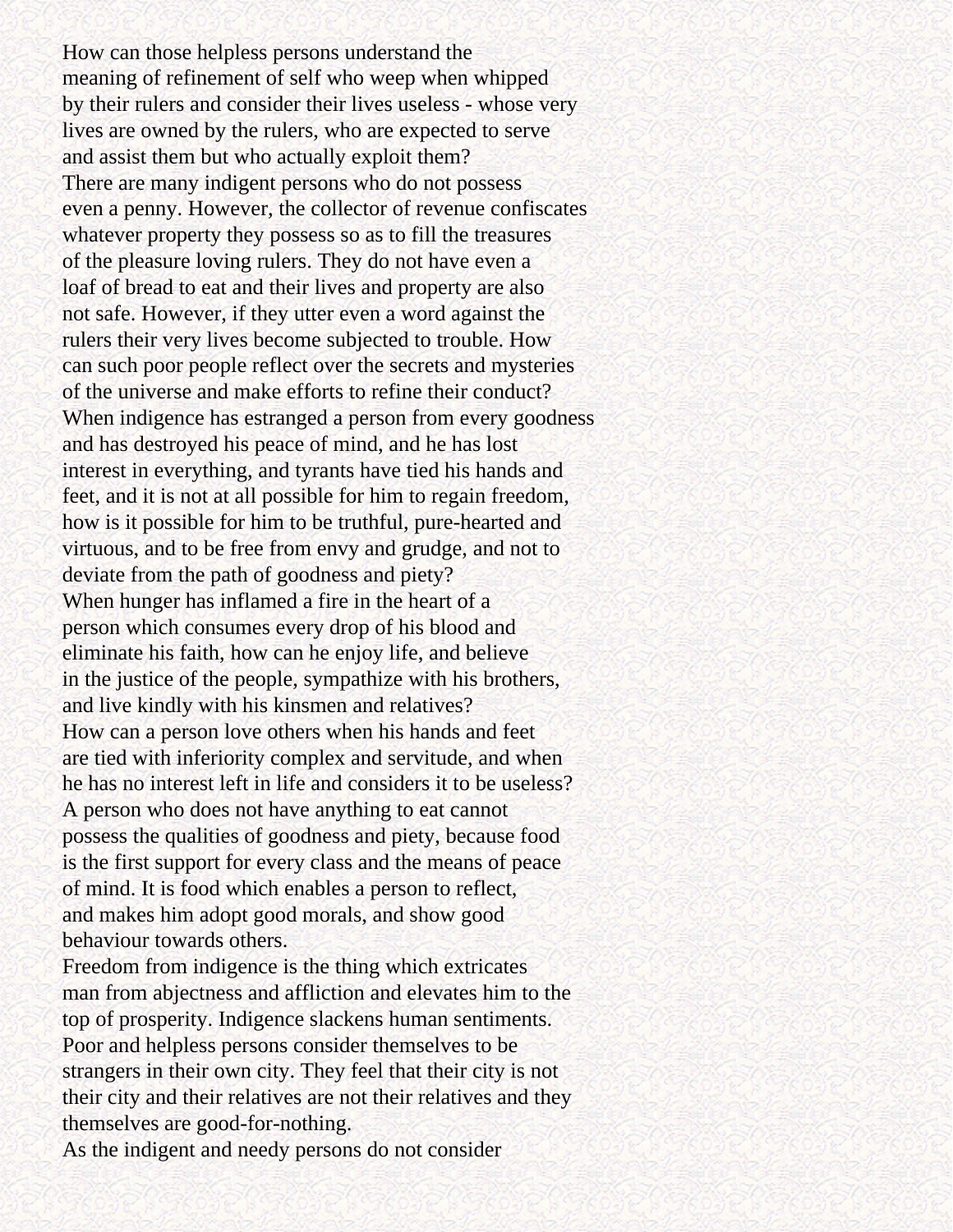How can those helpless persons understand the meaning of refinement of self who weep when whipped by their rulers and consider their lives useless - whose very lives are owned by the rulers, who are expected to serve and assist them but who actually exploit them? There are many indigent persons who do not possess even a penny. However, the collector of revenue confiscates whatever property they possess so as to fill the treasures of the pleasure loving rulers. They do not have even a loaf of bread to eat and their lives and property are also not safe. However, if they utter even a word against the rulers their very lives become subjected to trouble. How can such poor people reflect over the secrets and mysteries of the universe and make efforts to refine their conduct? When indigence has estranged a person from every goodness and has destroyed his peace of mind, and he has lost interest in everything, and tyrants have tied his hands and feet, and it is not at all possible for him to regain freedom, how is it possible for him to be truthful, pure-hearted and virtuous, and to be free from envy and grudge, and not to deviate from the path of goodness and piety? When hunger has inflamed a fire in the heart of a person which consumes every drop of his blood and eliminate his faith, how can he enjoy life, and believe in the justice of the people, sympathize with his brothers, and live kindly with his kinsmen and relatives? How can a person love others when his hands and feet are tied with inferiority complex and servitude, and when he has no interest left in life and considers it to be useless? A person who does not have anything to eat cannot possess the qualities of goodness and piety, because food is the first support for every class and the means of peace of mind. It is food which enables a person to reflect, and makes him adopt good morals, and show good behaviour towards others.

Freedom from indigence is the thing which extricates man from abjectness and affliction and elevates him to the top of prosperity. Indigence slackens human sentiments. Poor and helpless persons consider themselves to be strangers in their own city. They feel that their city is not their city and their relatives are not their relatives and they themselves are good-for-nothing.

As the indigent and needy persons do not consider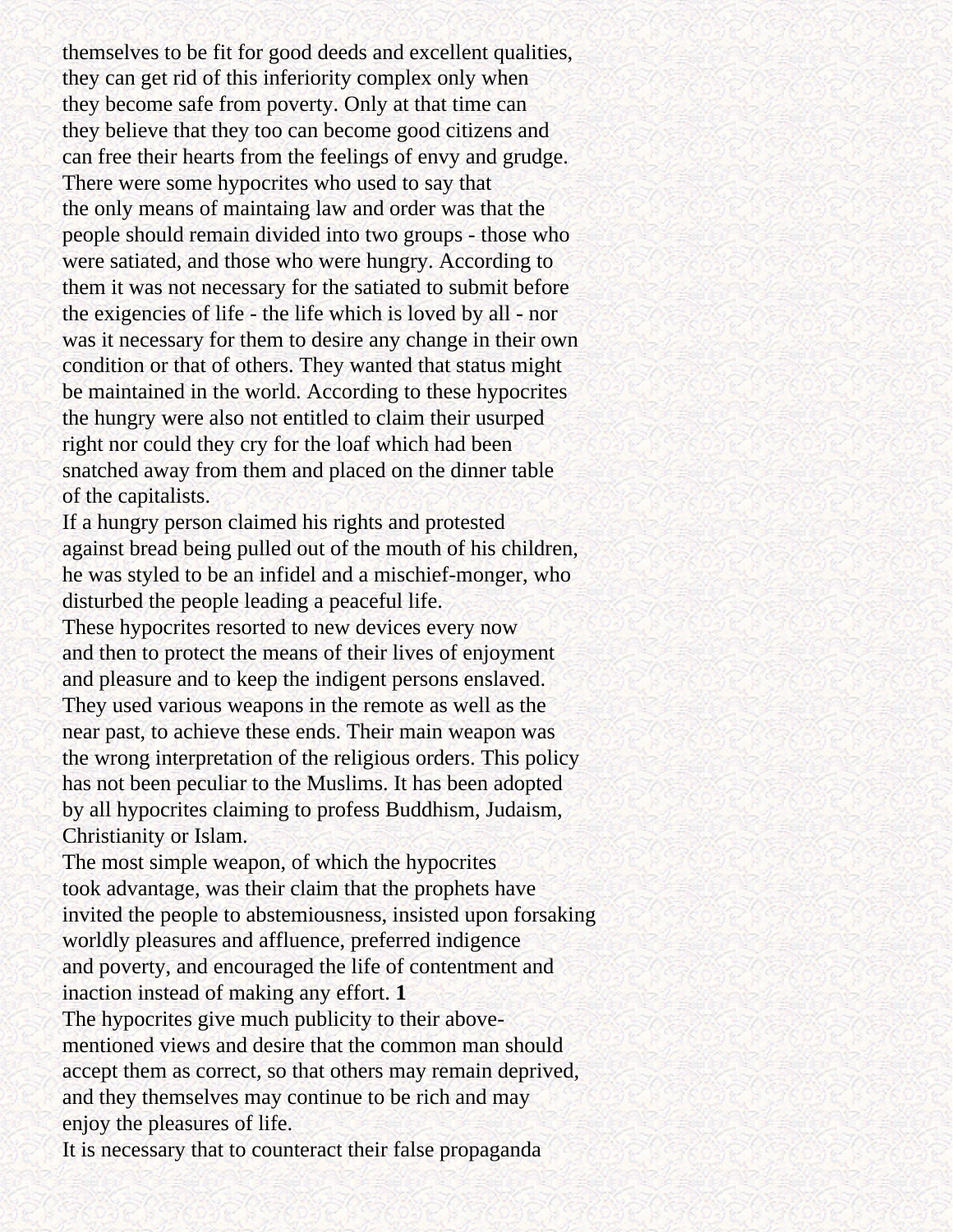themselves to be fit for good deeds and excellent qualities, they can get rid of this inferiority complex only when they become safe from poverty. Only at that time can they believe that they too can become good citizens and can free their hearts from the feelings of envy and grudge. There were some hypocrites who used to say that the only means of maintaing law and order was that the people should remain divided into two groups - those who were satiated, and those who were hungry. According to them it was not necessary for the satiated to submit before the exigencies of life - the life which is loved by all - nor was it necessary for them to desire any change in their own condition or that of others. They wanted that status might be maintained in the world. According to these hypocrites the hungry were also not entitled to claim their usurped right nor could they cry for the loaf which had been snatched away from them and placed on the dinner table of the capitalists.

If a hungry person claimed his rights and protested against bread being pulled out of the mouth of his children, he was styled to be an infidel and a mischief-monger, who disturbed the people leading a peaceful life. These hypocrites resorted to new devices every now and then to protect the means of their lives of enjoyment and pleasure and to keep the indigent persons enslaved. They used various weapons in the remote as well as the near past, to achieve these ends. Their main weapon was the wrong interpretation of the religious orders. This policy has not been peculiar to the Muslims. It has been adopted

by all hypocrites claiming to profess Buddhism, Judaism, Christianity or Islam. The most simple weapon, of which the hypocrites

took advantage, was their claim that the prophets have invited the people to abstemiousness, insisted upon forsaking worldly pleasures and affluence, preferred indigence and poverty, and encouraged the life of contentment and inaction instead of making any effort. **1** The hypocrites give much publicity to their abovementioned views and desire that the common man should accept them as correct, so that others may remain deprived, and they themselves may continue to be rich and may enjoy the pleasures of life.

It is necessary that to counteract their false propaganda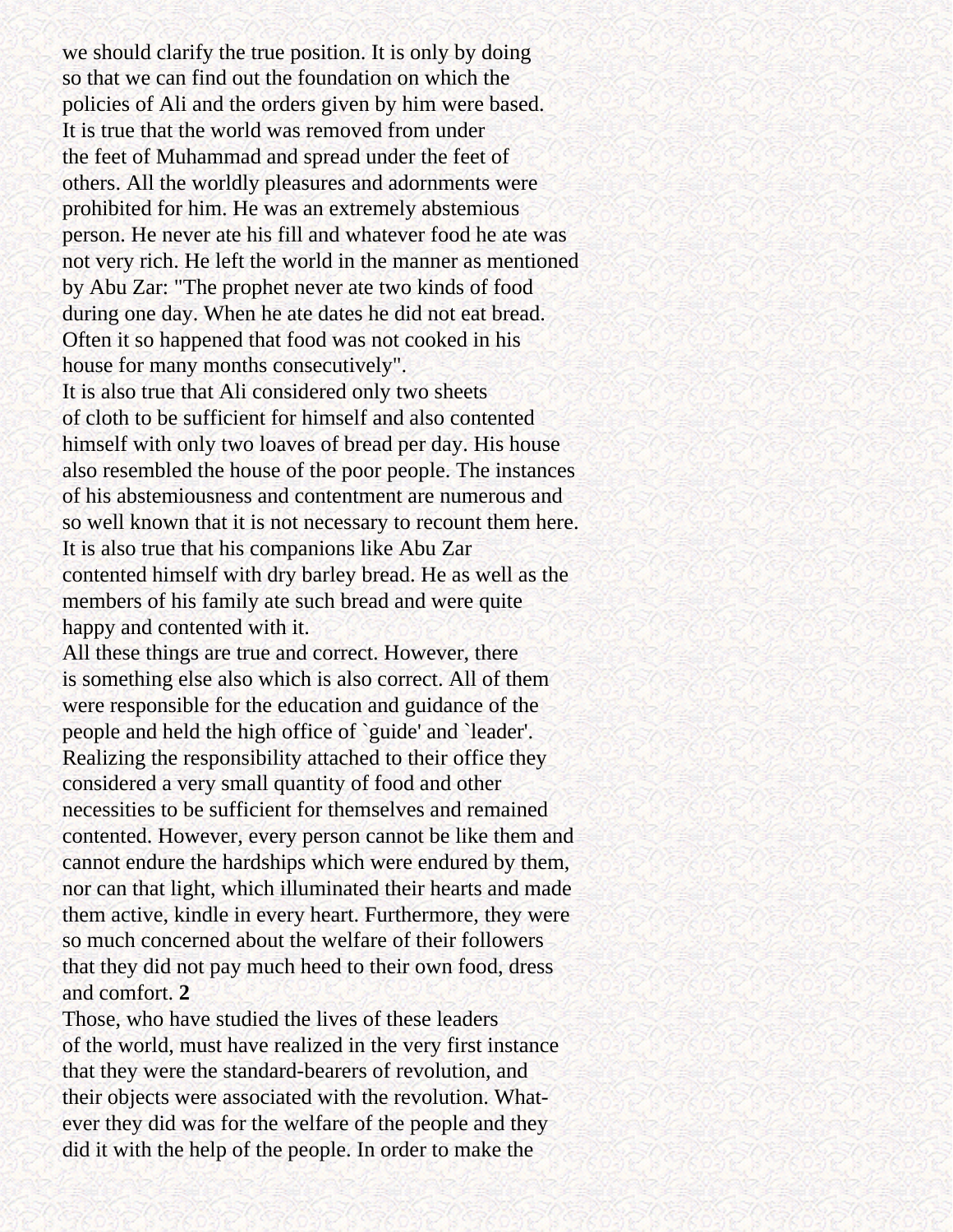we should clarify the true position. It is only by doing so that we can find out the foundation on which the policies of Ali and the orders given by him were based. It is true that the world was removed from under the feet of Muhammad and spread under the feet of others. All the worldly pleasures and adornments were prohibited for him. He was an extremely abstemious person. He never ate his fill and whatever food he ate was not very rich. He left the world in the manner as mentioned by Abu Zar: "The prophet never ate two kinds of food during one day. When he ate dates he did not eat bread. Often it so happened that food was not cooked in his house for many months consecutively".

It is also true that Ali considered only two sheets of cloth to be sufficient for himself and also contented himself with only two loaves of bread per day. His house also resembled the house of the poor people. The instances of his abstemiousness and contentment are numerous and so well known that it is not necessary to recount them here. It is also true that his companions like Abu Zar contented himself with dry barley bread. He as well as the members of his family ate such bread and were quite happy and contented with it.

All these things are true and correct. However, there is something else also which is also correct. All of them were responsible for the education and guidance of the people and held the high office of `guide' and `leader'. Realizing the responsibility attached to their office they considered a very small quantity of food and other necessities to be sufficient for themselves and remained contented. However, every person cannot be like them and cannot endure the hardships which were endured by them, nor can that light, which illuminated their hearts and made them active, kindle in every heart. Furthermore, they were so much concerned about the welfare of their followers that they did not pay much heed to their own food, dress and comfort. **2**

Those, who have studied the lives of these leaders of the world, must have realized in the very first instance that they were the standard-bearers of revolution, and their objects were associated with the revolution. Whatever they did was for the welfare of the people and they did it with the help of the people. In order to make the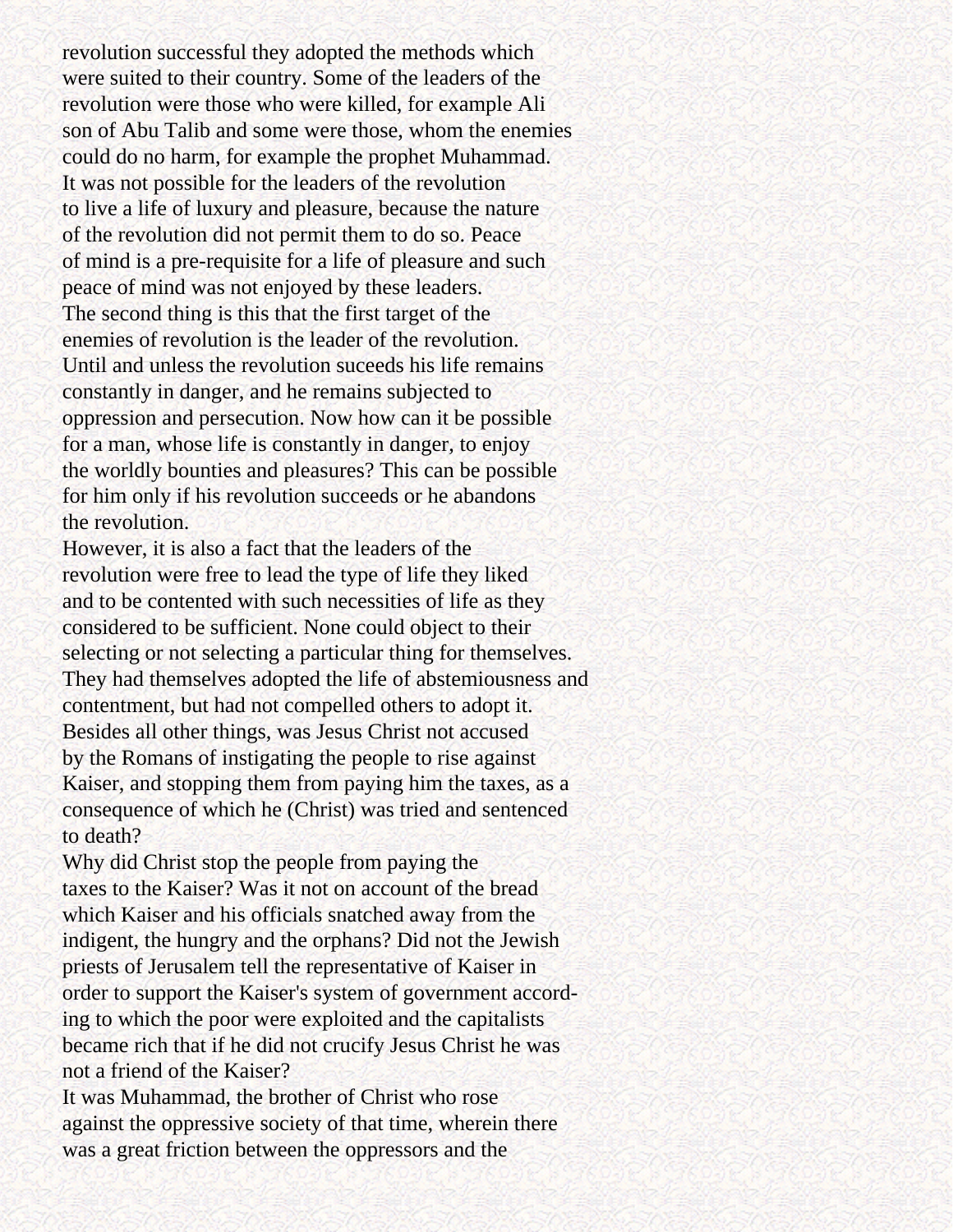revolution successful they adopted the methods which were suited to their country. Some of the leaders of the revolution were those who were killed, for example Ali son of Abu Talib and some were those, whom the enemies could do no harm, for example the prophet Muhammad. It was not possible for the leaders of the revolution to live a life of luxury and pleasure, because the nature of the revolution did not permit them to do so. Peace of mind is a pre-requisite for a life of pleasure and such peace of mind was not enjoyed by these leaders. The second thing is this that the first target of the enemies of revolution is the leader of the revolution. Until and unless the revolution suceeds his life remains constantly in danger, and he remains subjected to oppression and persecution. Now how can it be possible for a man, whose life is constantly in danger, to enjoy the worldly bounties and pleasures? This can be possible for him only if his revolution succeeds or he abandons the revolution.

However, it is also a fact that the leaders of the revolution were free to lead the type of life they liked and to be contented with such necessities of life as they considered to be sufficient. None could object to their selecting or not selecting a particular thing for themselves. They had themselves adopted the life of abstemiousness and contentment, but had not compelled others to adopt it. Besides all other things, was Jesus Christ not accused by the Romans of instigating the people to rise against Kaiser, and stopping them from paying him the taxes, as a consequence of which he (Christ) was tried and sentenced to death?

Why did Christ stop the people from paying the taxes to the Kaiser? Was it not on account of the bread which Kaiser and his officials snatched away from the indigent, the hungry and the orphans? Did not the Jewish priests of Jerusalem tell the representative of Kaiser in order to support the Kaiser's system of government according to which the poor were exploited and the capitalists became rich that if he did not crucify Jesus Christ he was not a friend of the Kaiser?

It was Muhammad, the brother of Christ who rose against the oppressive society of that time, wherein there was a great friction between the oppressors and the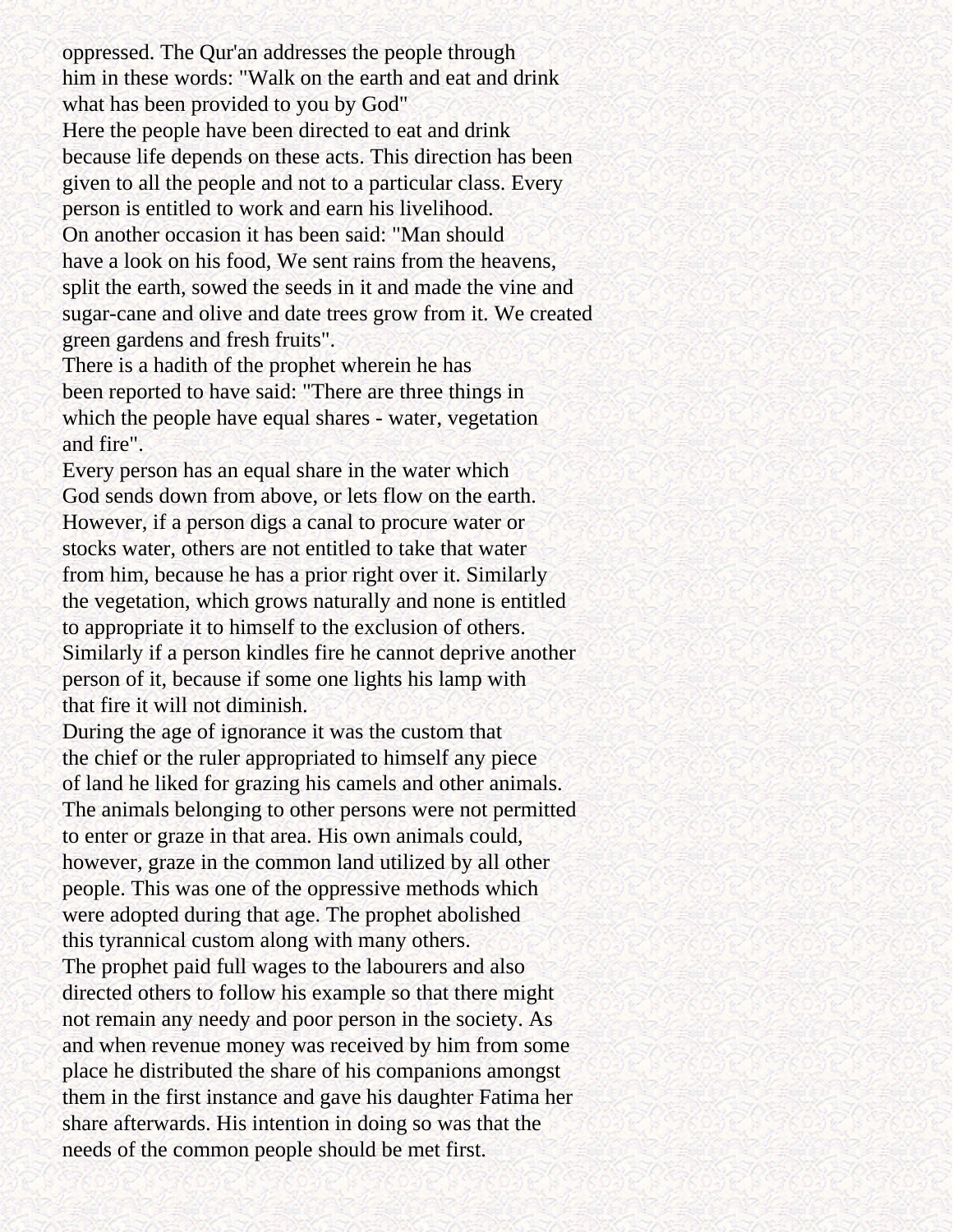oppressed. The Qur'an addresses the people through him in these words: "Walk on the earth and eat and drink what has been provided to you by God" Here the people have been directed to eat and drink because life depends on these acts. This direction has been given to all the people and not to a particular class. Every person is entitled to work and earn his livelihood. On another occasion it has been said: "Man should have a look on his food, We sent rains from the heavens, split the earth, sowed the seeds in it and made the vine and sugar-cane and olive and date trees grow from it. We created green gardens and fresh fruits".

There is a hadith of the prophet wherein he has been reported to have said: "There are three things in which the people have equal shares - water, vegetation and fire".

Every person has an equal share in the water which God sends down from above, or lets flow on the earth. However, if a person digs a canal to procure water or stocks water, others are not entitled to take that water from him, because he has a prior right over it. Similarly the vegetation, which grows naturally and none is entitled to appropriate it to himself to the exclusion of others. Similarly if a person kindles fire he cannot deprive another person of it, because if some one lights his lamp with that fire it will not diminish.

During the age of ignorance it was the custom that the chief or the ruler appropriated to himself any piece of land he liked for grazing his camels and other animals. The animals belonging to other persons were not permitted to enter or graze in that area. His own animals could, however, graze in the common land utilized by all other people. This was one of the oppressive methods which were adopted during that age. The prophet abolished this tyrannical custom along with many others. The prophet paid full wages to the labourers and also directed others to follow his example so that there might not remain any needy and poor person in the society. As and when revenue money was received by him from some place he distributed the share of his companions amongst them in the first instance and gave his daughter Fatima her share afterwards. His intention in doing so was that the

needs of the common people should be met first.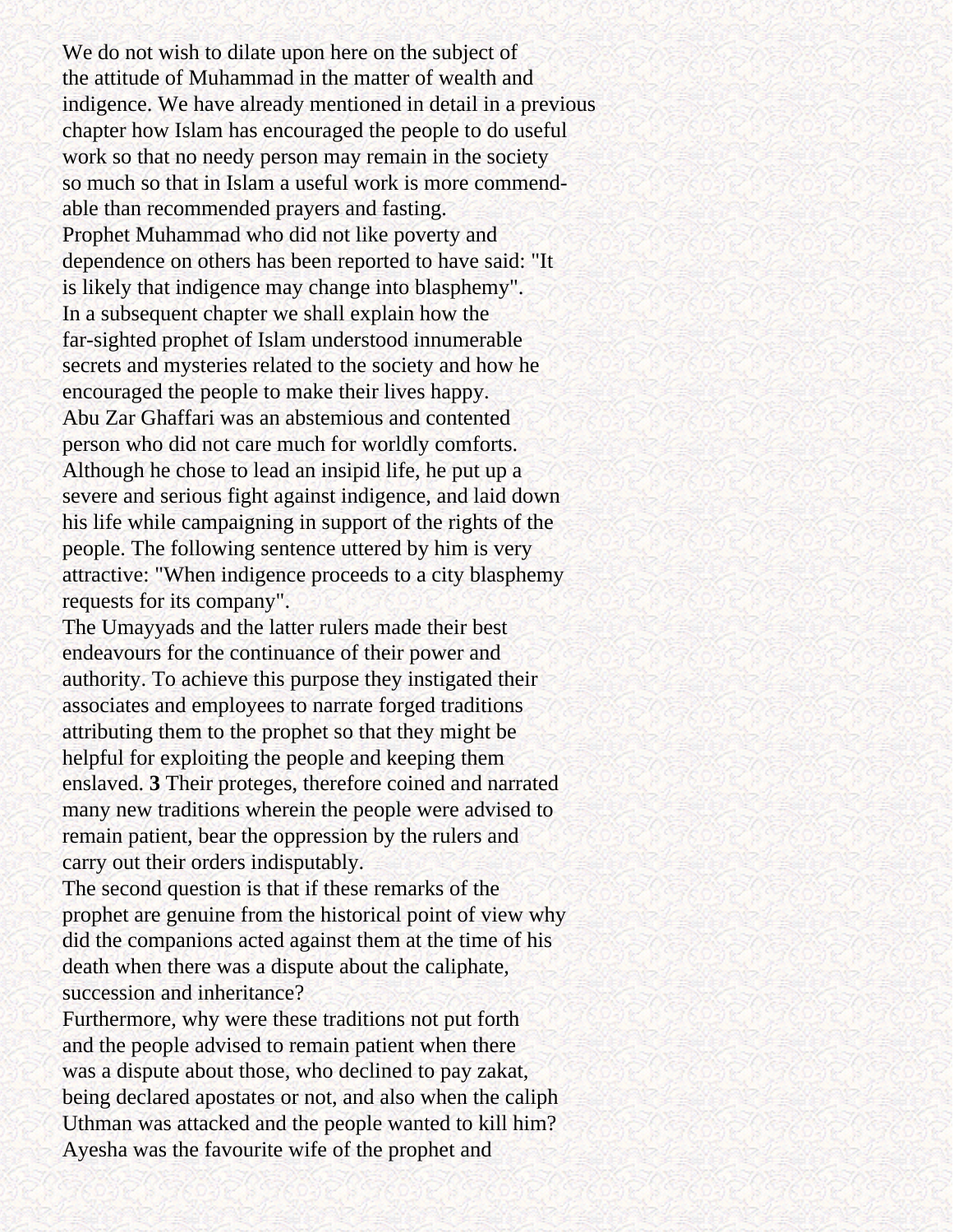We do not wish to dilate upon here on the subject of the attitude of Muhammad in the matter of wealth and indigence. We have already mentioned in detail in a previous chapter how Islam has encouraged the people to do useful work so that no needy person may remain in the society so much so that in Islam a useful work is more commendable than recommended prayers and fasting. Prophet Muhammad who did not like poverty and dependence on others has been reported to have said: "It is likely that indigence may change into blasphemy". In a subsequent chapter we shall explain how the far-sighted prophet of Islam understood innumerable secrets and mysteries related to the society and how he encouraged the people to make their lives happy. Abu Zar Ghaffari was an abstemious and contented person who did not care much for worldly comforts. Although he chose to lead an insipid life, he put up a severe and serious fight against indigence, and laid down his life while campaigning in support of the rights of the people. The following sentence uttered by him is very attractive: "When indigence proceeds to a city blasphemy requests for its company".

The Umayyads and the latter rulers made their best endeavours for the continuance of their power and authority. To achieve this purpose they instigated their associates and employees to narrate forged traditions attributing them to the prophet so that they might be helpful for exploiting the people and keeping them enslaved. **3** Their proteges, therefore coined and narrated many new traditions wherein the people were advised to remain patient, bear the oppression by the rulers and carry out their orders indisputably.

The second question is that if these remarks of the prophet are genuine from the historical point of view why did the companions acted against them at the time of his death when there was a dispute about the caliphate, succession and inheritance?

Furthermore, why were these traditions not put forth and the people advised to remain patient when there was a dispute about those, who declined to pay zakat, being declared apostates or not, and also when the caliph Uthman was attacked and the people wanted to kill him? Ayesha was the favourite wife of the prophet and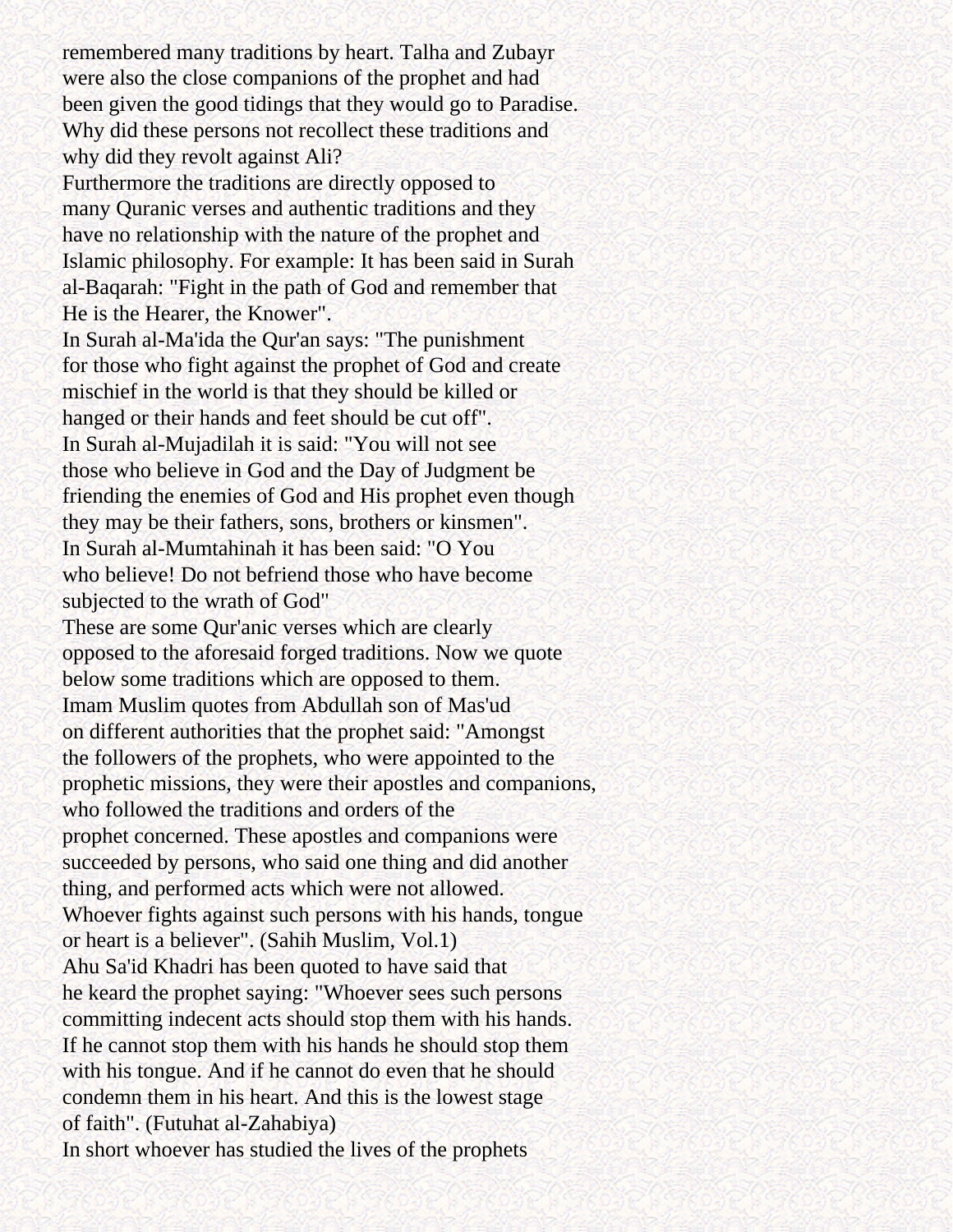remembered many traditions by heart. Talha and Zubayr were also the close companions of the prophet and had been given the good tidings that they would go to Paradise. Why did these persons not recollect these traditions and why did they revolt against Ali?

Furthermore the traditions are directly opposed to many Quranic verses and authentic traditions and they have no relationship with the nature of the prophet and Islamic philosophy. For example: It has been said in Surah al-Baqarah: "Fight in the path of God and remember that He is the Hearer, the Knower".

In Surah al-Ma'ida the Qur'an says: "The punishment for those who fight against the prophet of God and create mischief in the world is that they should be killed or hanged or their hands and feet should be cut off". In Surah al-Mujadilah it is said: "You will not see those who believe in God and the Day of Judgment be friending the enemies of God and His prophet even though they may be their fathers, sons, brothers or kinsmen". In Surah al-Mumtahinah it has been said: "O You who believe! Do not befriend those who have become subjected to the wrath of God"

These are some Qur'anic verses which are clearly opposed to the aforesaid forged traditions. Now we quote below some traditions which are opposed to them. Imam Muslim quotes from Abdullah son of Mas'ud on different authorities that the prophet said: "Amongst the followers of the prophets, who were appointed to the prophetic missions, they were their apostles and companions, who followed the traditions and orders of the prophet concerned. These apostles and companions were succeeded by persons, who said one thing and did another thing, and performed acts which were not allowed. Whoever fights against such persons with his hands, tongue or heart is a believer". (Sahih Muslim, Vol.1) Ahu Sa'id Khadri has been quoted to have said that he keard the prophet saying: "Whoever sees such persons committing indecent acts should stop them with his hands. If he cannot stop them with his hands he should stop them with his tongue. And if he cannot do even that he should condemn them in his heart. And this is the lowest stage of faith". (Futuhat al-Zahabiya) In short whoever has studied the lives of the prophets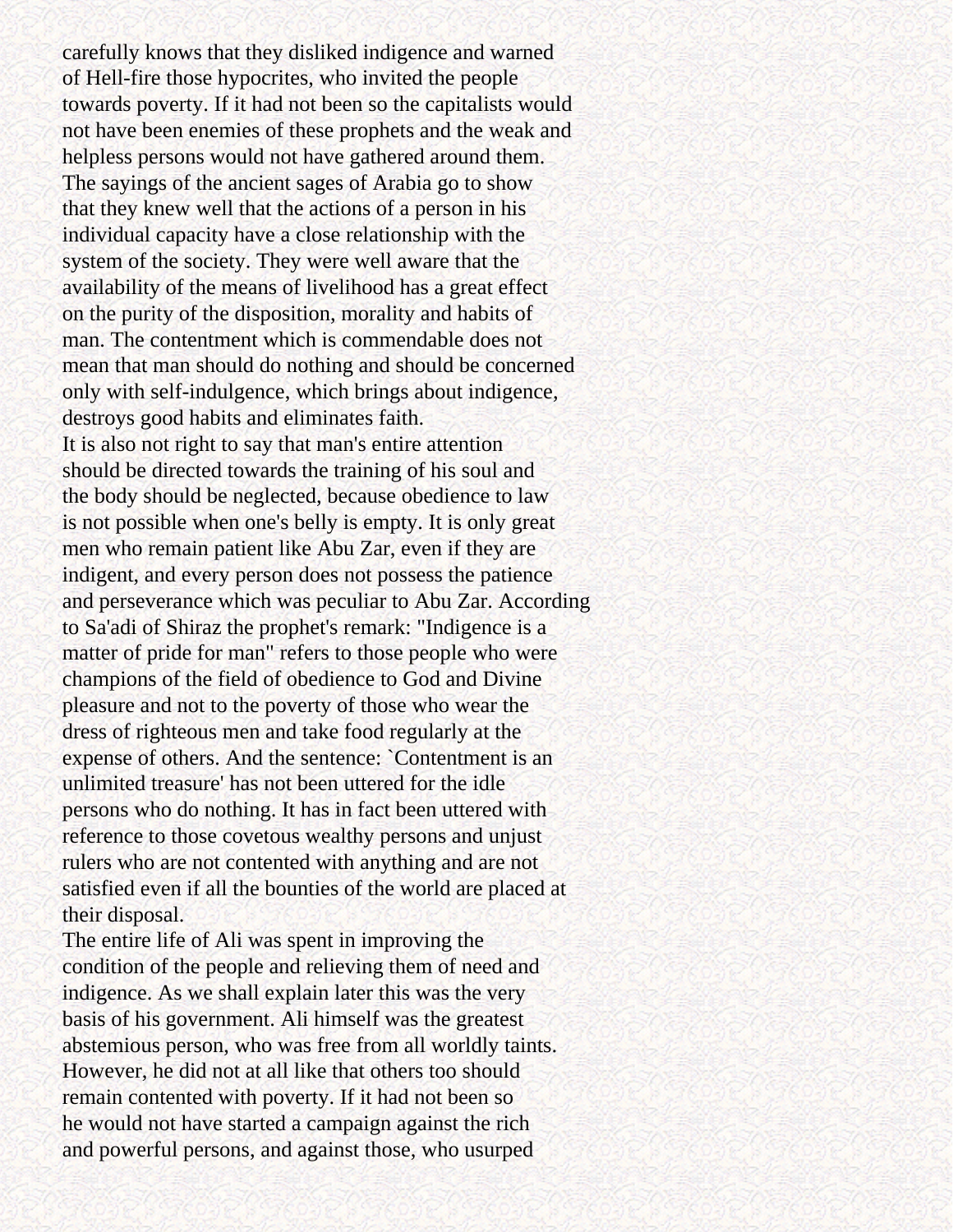carefully knows that they disliked indigence and warned of Hell-fire those hypocrites, who invited the people towards poverty. If it had not been so the capitalists would not have been enemies of these prophets and the weak and helpless persons would not have gathered around them. The sayings of the ancient sages of Arabia go to show that they knew well that the actions of a person in his individual capacity have a close relationship with the system of the society. They were well aware that the availability of the means of livelihood has a great effect on the purity of the disposition, morality and habits of man. The contentment which is commendable does not mean that man should do nothing and should be concerned only with self-indulgence, which brings about indigence, destroys good habits and eliminates faith. It is also not right to say that man's entire attention should be directed towards the training of his soul and the body should be neglected, because obedience to law is not possible when one's belly is empty. It is only great men who remain patient like Abu Zar, even if they are indigent, and every person does not possess the patience and perseverance which was peculiar to Abu Zar. According to Sa'adi of Shiraz the prophet's remark: "Indigence is a matter of pride for man" refers to those people who were champions of the field of obedience to God and Divine pleasure and not to the poverty of those who wear the dress of righteous men and take food regularly at the expense of others. And the sentence: `Contentment is an unlimited treasure' has not been uttered for the idle persons who do nothing. It has in fact been uttered with reference to those covetous wealthy persons and unjust rulers who are not contented with anything and are not satisfied even if all the bounties of the world are placed at their disposal.

The entire life of Ali was spent in improving the condition of the people and relieving them of need and indigence. As we shall explain later this was the very basis of his government. Ali himself was the greatest abstemious person, who was free from all worldly taints. However, he did not at all like that others too should remain contented with poverty. If it had not been so he would not have started a campaign against the rich and powerful persons, and against those, who usurped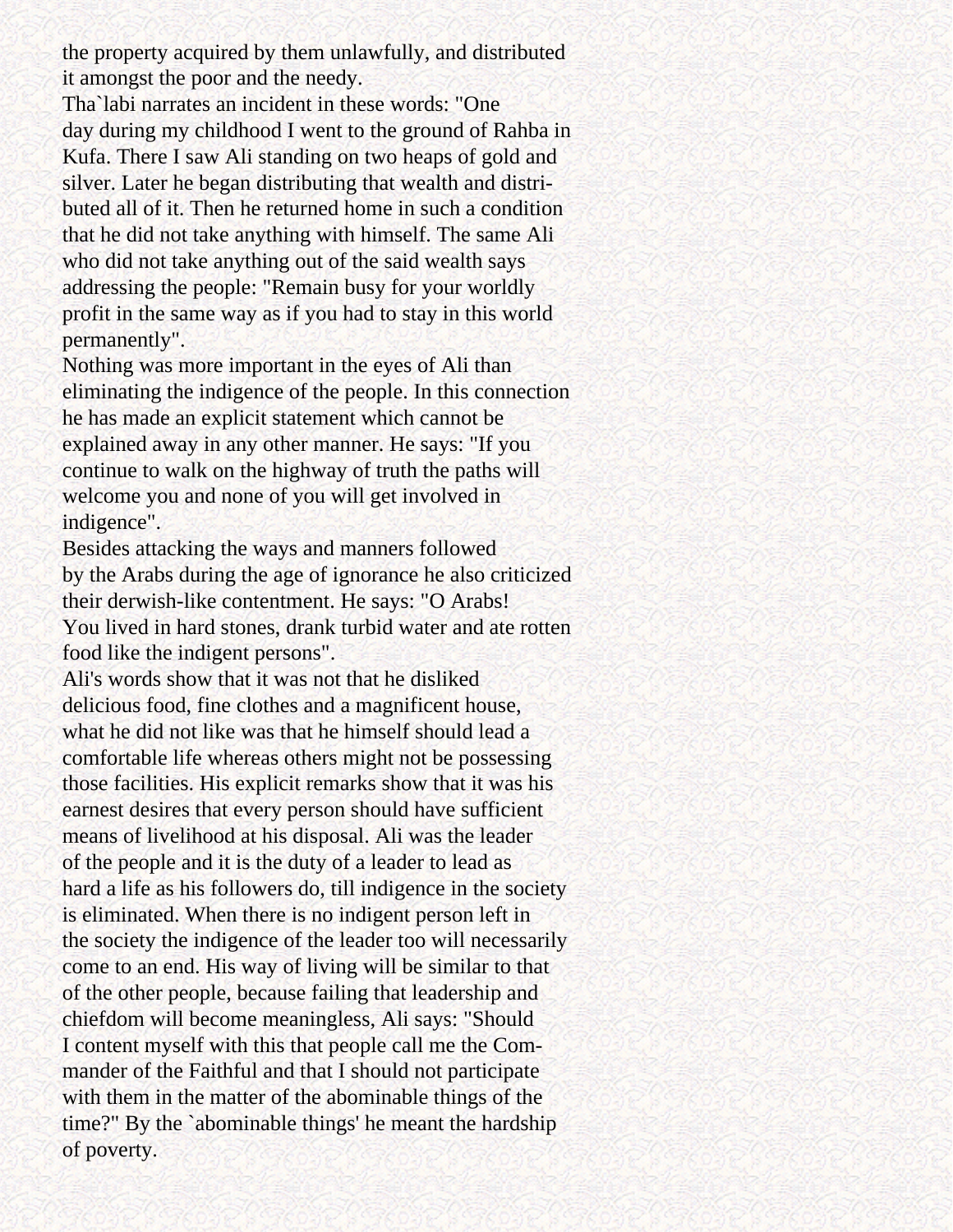the property acquired by them unlawfully, and distributed it amongst the poor and the needy.

Tha`labi narrates an incident in these words: "One day during my childhood I went to the ground of Rahba in Kufa. There I saw Ali standing on two heaps of gold and silver. Later he began distributing that wealth and distributed all of it. Then he returned home in such a condition that he did not take anything with himself. The same Ali who did not take anything out of the said wealth says addressing the people: "Remain busy for your worldly profit in the same way as if you had to stay in this world permanently".

Nothing was more important in the eyes of Ali than eliminating the indigence of the people. In this connection he has made an explicit statement which cannot be explained away in any other manner. He says: "If you continue to walk on the highway of truth the paths will welcome you and none of you will get involved in indigence".

Besides attacking the ways and manners followed by the Arabs during the age of ignorance he also criticized their derwish-like contentment. He says: "O Arabs! You lived in hard stones, drank turbid water and ate rotten food like the indigent persons".

Ali's words show that it was not that he disliked delicious food, fine clothes and a magnificent house, what he did not like was that he himself should lead a comfortable life whereas others might not be possessing those facilities. His explicit remarks show that it was his earnest desires that every person should have sufficient means of livelihood at his disposal. Ali was the leader of the people and it is the duty of a leader to lead as hard a life as his followers do, till indigence in the society is eliminated. When there is no indigent person left in the society the indigence of the leader too will necessarily come to an end. His way of living will be similar to that of the other people, because failing that leadership and chiefdom will become meaningless, Ali says: "Should I content myself with this that people call me the Commander of the Faithful and that I should not participate with them in the matter of the abominable things of the time?" By the `abominable things' he meant the hardship of poverty.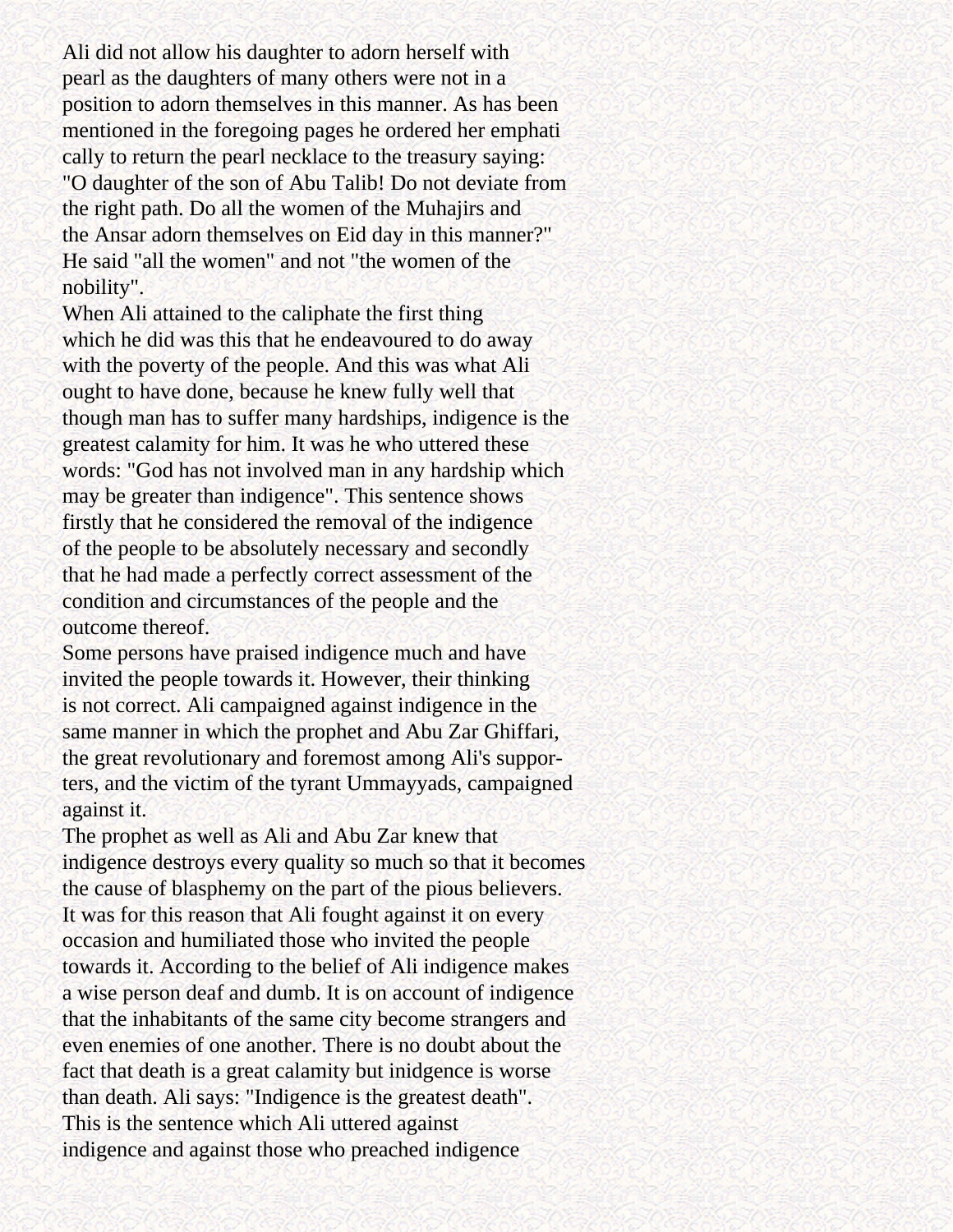Ali did not allow his daughter to adorn herself with pearl as the daughters of many others were not in a position to adorn themselves in this manner. As has been mentioned in the foregoing pages he ordered her emphati cally to return the pearl necklace to the treasury saying: "O daughter of the son of Abu Talib! Do not deviate from the right path. Do all the women of the Muhajirs and the Ansar adorn themselves on Eid day in this manner?" He said "all the women" and not "the women of the nobility".

When Ali attained to the caliphate the first thing which he did was this that he endeavoured to do away with the poverty of the people. And this was what Ali ought to have done, because he knew fully well that though man has to suffer many hardships, indigence is the greatest calamity for him. It was he who uttered these words: "God has not involved man in any hardship which may be greater than indigence". This sentence shows firstly that he considered the removal of the indigence of the people to be absolutely necessary and secondly that he had made a perfectly correct assessment of the condition and circumstances of the people and the outcome thereof.

Some persons have praised indigence much and have invited the people towards it. However, their thinking is not correct. Ali campaigned against indigence in the same manner in which the prophet and Abu Zar Ghiffari, the great revolutionary and foremost among Ali's supporters, and the victim of the tyrant Ummayyads, campaigned against it.

The prophet as well as Ali and Abu Zar knew that indigence destroys every quality so much so that it becomes the cause of blasphemy on the part of the pious believers. It was for this reason that Ali fought against it on every occasion and humiliated those who invited the people towards it. According to the belief of Ali indigence makes a wise person deaf and dumb. It is on account of indigence that the inhabitants of the same city become strangers and even enemies of one another. There is no doubt about the fact that death is a great calamity but inidgence is worse than death. Ali says: "Indigence is the greatest death". This is the sentence which Ali uttered against indigence and against those who preached indigence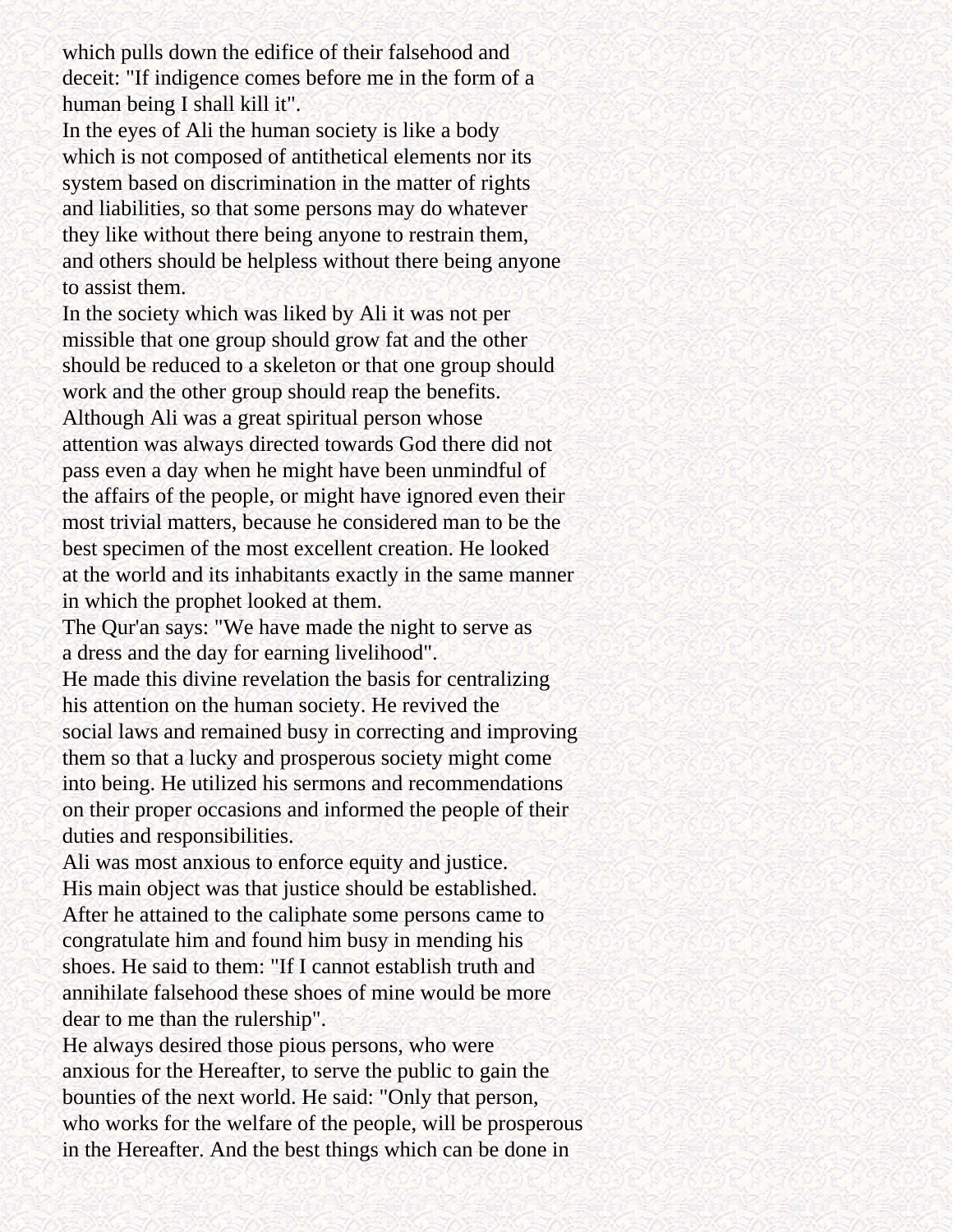which pulls down the edifice of their falsehood and deceit: "If indigence comes before me in the form of a human being I shall kill it".

In the eyes of Ali the human society is like a body which is not composed of antithetical elements nor its system based on discrimination in the matter of rights and liabilities, so that some persons may do whatever they like without there being anyone to restrain them, and others should be helpless without there being anyone to assist them.

In the society which was liked by Ali it was not per missible that one group should grow fat and the other should be reduced to a skeleton or that one group should work and the other group should reap the benefits. Although Ali was a great spiritual person whose attention was always directed towards God there did not pass even a day when he might have been unmindful of the affairs of the people, or might have ignored even their most trivial matters, because he considered man to be the best specimen of the most excellent creation. He looked at the world and its inhabitants exactly in the same manner in which the prophet looked at them.

The Qur'an says: "We have made the night to serve as a dress and the day for earning livelihood".

He made this divine revelation the basis for centralizing his attention on the human society. He revived the social laws and remained busy in correcting and improving them so that a lucky and prosperous society might come into being. He utilized his sermons and recommendations on their proper occasions and informed the people of their duties and responsibilities.

Ali was most anxious to enforce equity and justice. His main object was that justice should be established. After he attained to the caliphate some persons came to congratulate him and found him busy in mending his shoes. He said to them: "If I cannot establish truth and annihilate falsehood these shoes of mine would be more dear to me than the rulership".

He always desired those pious persons, who were anxious for the Hereafter, to serve the public to gain the bounties of the next world. He said: "Only that person, who works for the welfare of the people, will be prosperous in the Hereafter. And the best things which can be done in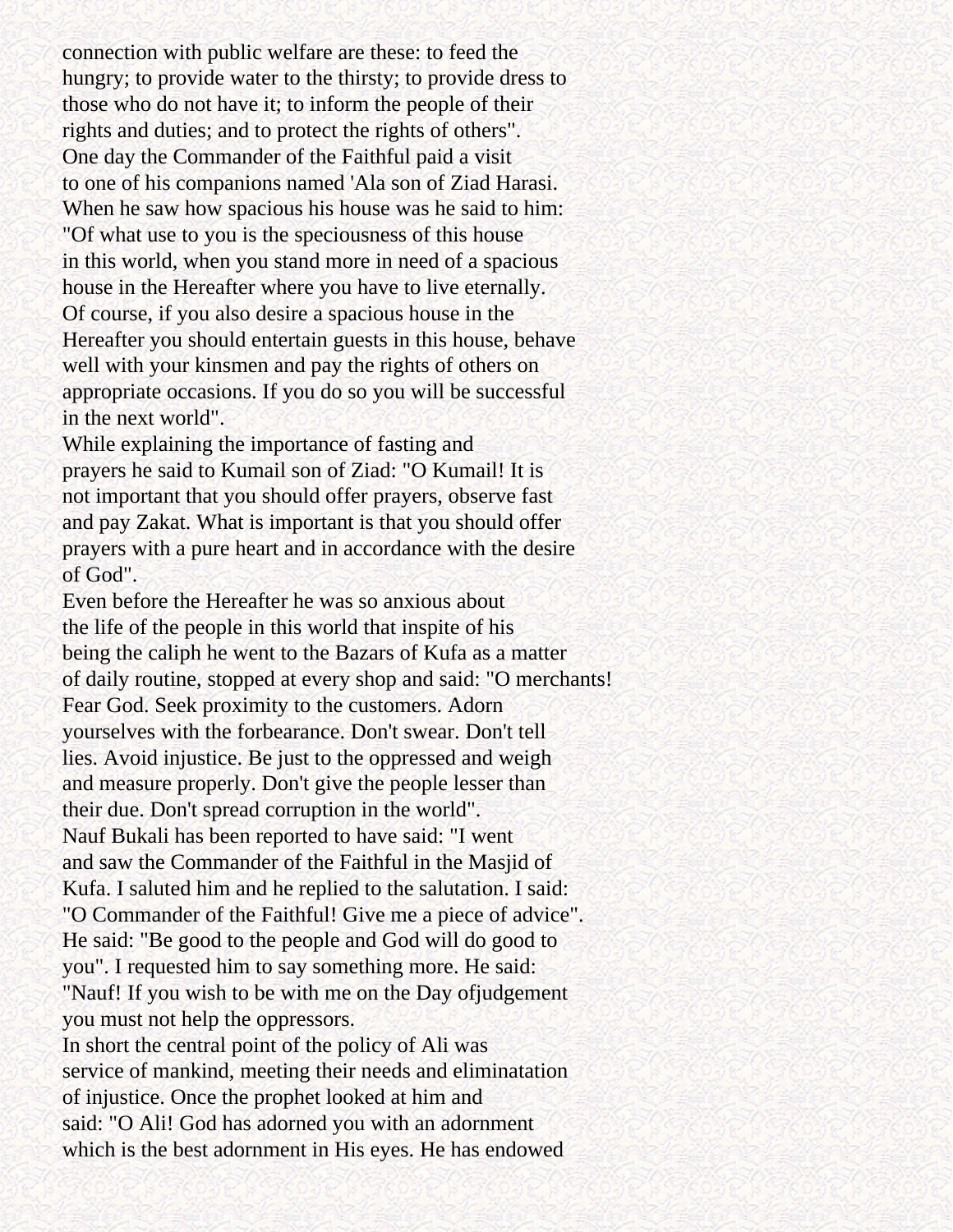connection with public welfare are these: to feed the hungry; to provide water to the thirsty; to provide dress to those who do not have it; to inform the people of their rights and duties; and to protect the rights of others". One day the Commander of the Faithful paid a visit to one of his companions named 'Ala son of Ziad Harasi. When he saw how spacious his house was he said to him: "Of what use to you is the speciousness of this house in this world, when you stand more in need of a spacious house in the Hereafter where you have to live eternally. Of course, if you also desire a spacious house in the Hereafter you should entertain guests in this house, behave well with your kinsmen and pay the rights of others on appropriate occasions. If you do so you will be successful in the next world".

While explaining the importance of fasting and prayers he said to Kumail son of Ziad: "O Kumail! It is not important that you should offer prayers, observe fast and pay Zakat. What is important is that you should offer prayers with a pure heart and in accordance with the desire of God".

Even before the Hereafter he was so anxious about the life of the people in this world that inspite of his being the caliph he went to the Bazars of Kufa as a matter of daily routine, stopped at every shop and said: "O merchants! Fear God. Seek proximity to the customers. Adorn yourselves with the forbearance. Don't swear. Don't tell lies. Avoid injustice. Be just to the oppressed and weigh and measure properly. Don't give the people lesser than their due. Don't spread corruption in the world". Nauf Bukali has been reported to have said: "I went and saw the Commander of the Faithful in the Masjid of Kufa. I saluted him and he replied to the salutation. I said: "O Commander of the Faithful! Give me a piece of advice". He said: "Be good to the people and God will do good to you". I requested him to say something more. He said: "Nauf! If you wish to be with me on the Day ofjudgement you must not help the oppressors. In short the central point of the policy of Ali was service of mankind, meeting their needs and eliminatation

of injustice. Once the prophet looked at him and said: "O Ali! God has adorned you with an adornment which is the best adornment in His eyes. He has endowed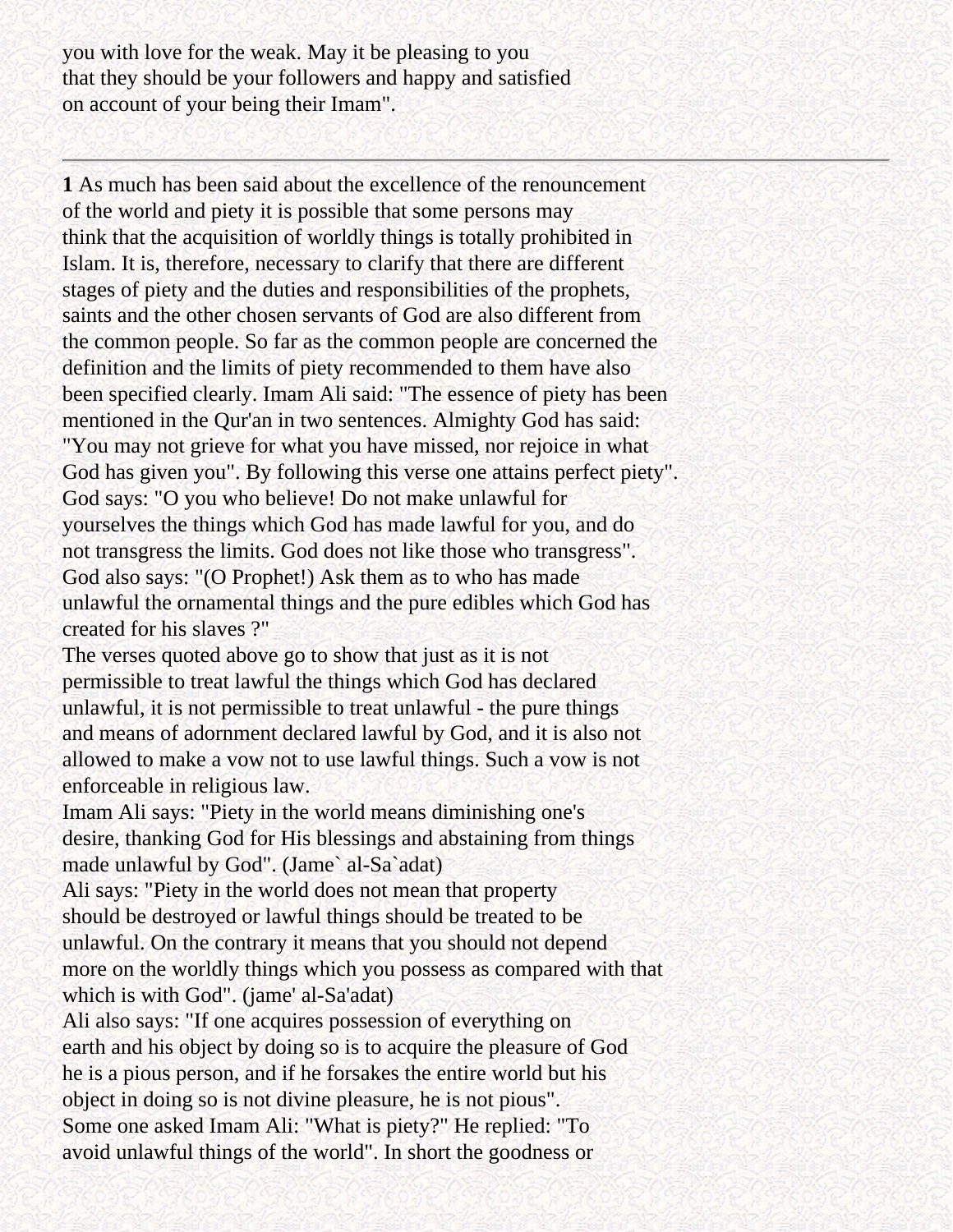you with love for the weak. May it be pleasing to you that they should be your followers and happy and satisfied on account of your being their Imam".

**1** As much has been said about the excellence of the renouncement of the world and piety it is possible that some persons may think that the acquisition of worldly things is totally prohibited in Islam. It is, therefore, necessary to clarify that there are different stages of piety and the duties and responsibilities of the prophets, saints and the other chosen servants of God are also different from the common people. So far as the common people are concerned the definition and the limits of piety recommended to them have also been specified clearly. Imam Ali said: "The essence of piety has been mentioned in the Qur'an in two sentences. Almighty God has said: "You may not grieve for what you have missed, nor rejoice in what God has given you". By following this verse one attains perfect piety". God says: "O you who believe! Do not make unlawful for yourselves the things which God has made lawful for you, and do not transgress the limits. God does not like those who transgress". God also says: "(O Prophet!) Ask them as to who has made unlawful the ornamental things and the pure edibles which God has created for his slaves ?"

The verses quoted above go to show that just as it is not permissible to treat lawful the things which God has declared unlawful, it is not permissible to treat unlawful - the pure things and means of adornment declared lawful by God, and it is also not allowed to make a vow not to use lawful things. Such a vow is not enforceable in religious law.

Imam Ali says: "Piety in the world means diminishing one's desire, thanking God for His blessings and abstaining from things made unlawful by God". (Jame` al-Sa`adat)

Ali says: "Piety in the world does not mean that property should be destroyed or lawful things should be treated to be unlawful. On the contrary it means that you should not depend more on the worldly things which you possess as compared with that which is with God". (jame' al-Sa'adat)

Ali also says: "If one acquires possession of everything on earth and his object by doing so is to acquire the pleasure of God he is a pious person, and if he forsakes the entire world but his object in doing so is not divine pleasure, he is not pious". Some one asked Imam Ali: "What is piety?" He replied: "To avoid unlawful things of the world". In short the goodness or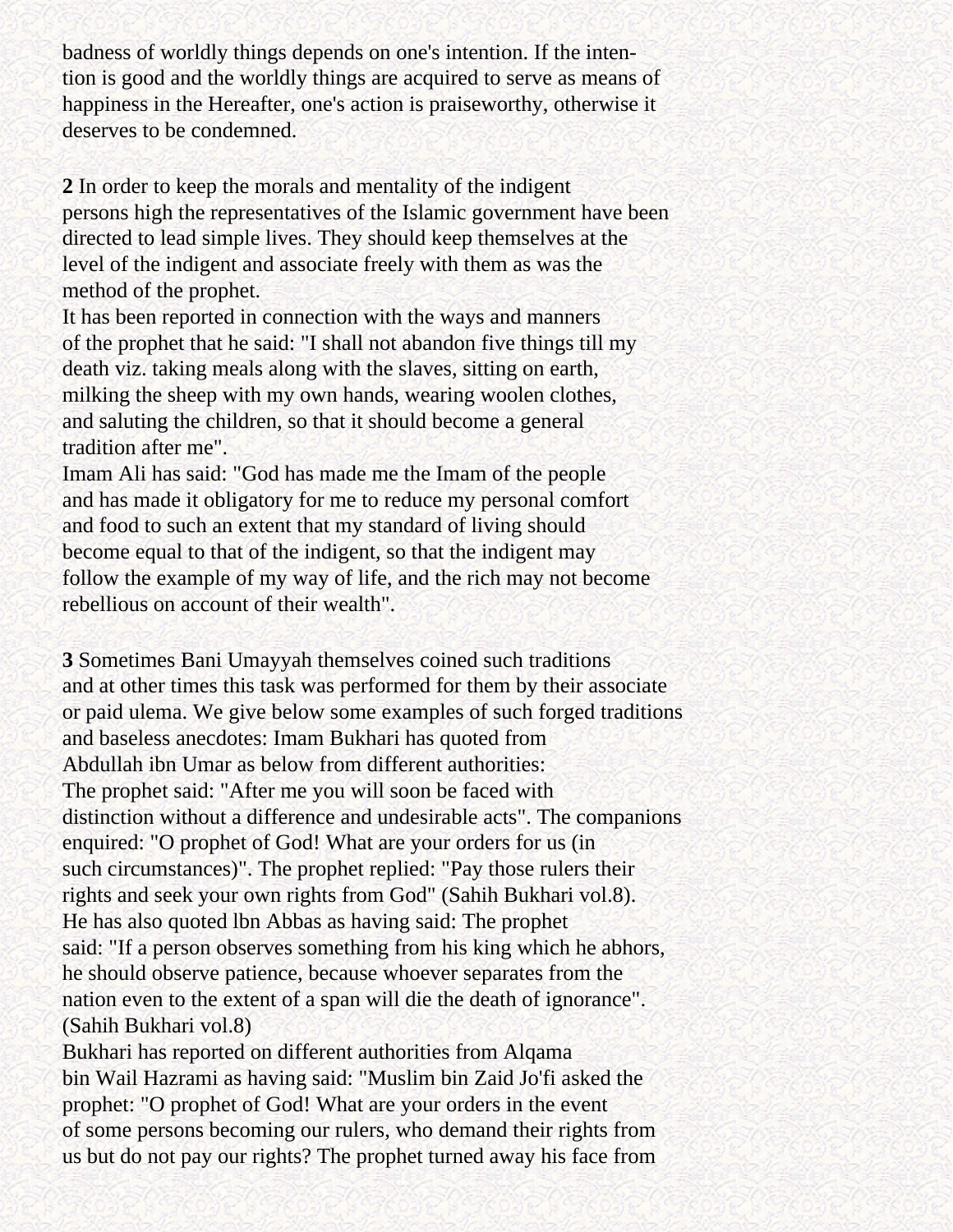badness of worldly things depends on one's intention. If the intention is good and the worldly things are acquired to serve as means of happiness in the Hereafter, one's action is praiseworthy, otherwise it deserves to be condemned.

**2** In order to keep the morals and mentality of the indigent persons high the representatives of the Islamic government have been directed to lead simple lives. They should keep themselves at the level of the indigent and associate freely with them as was the method of the prophet.

It has been reported in connection with the ways and manners of the prophet that he said: "I shall not abandon five things till my death viz. taking meals along with the slaves, sitting on earth, milking the sheep with my own hands, wearing woolen clothes, and saluting the children, so that it should become a general tradition after me".

Imam Ali has said: "God has made me the Imam of the people and has made it obligatory for me to reduce my personal comfort and food to such an extent that my standard of living should become equal to that of the indigent, so that the indigent may follow the example of my way of life, and the rich may not become rebellious on account of their wealth".

**3** Sometimes Bani Umayyah themselves coined such traditions and at other times this task was performed for them by their associate or paid ulema. We give below some examples of such forged traditions and baseless anecdotes: Imam Bukhari has quoted from Abdullah ibn Umar as below from different authorities: The prophet said: "After me you will soon be faced with distinction without a difference and undesirable acts". The companions enquired: "O prophet of God! What are your orders for us (in such circumstances)". The prophet replied: "Pay those rulers their rights and seek your own rights from God" (Sahih Bukhari vol.8). He has also quoted lbn Abbas as having said: The prophet said: "If a person observes something from his king which he abhors, he should observe patience, because whoever separates from the nation even to the extent of a span will die the death of ignorance". (Sahih Bukhari vol.8)

Bukhari has reported on different authorities from Alqama bin Wail Hazrami as having said: "Muslim bin Zaid Jo'fi asked the prophet: "O prophet of God! What are your orders in the event of some persons becoming our rulers, who demand their rights from us but do not pay our rights? The prophet turned away his face from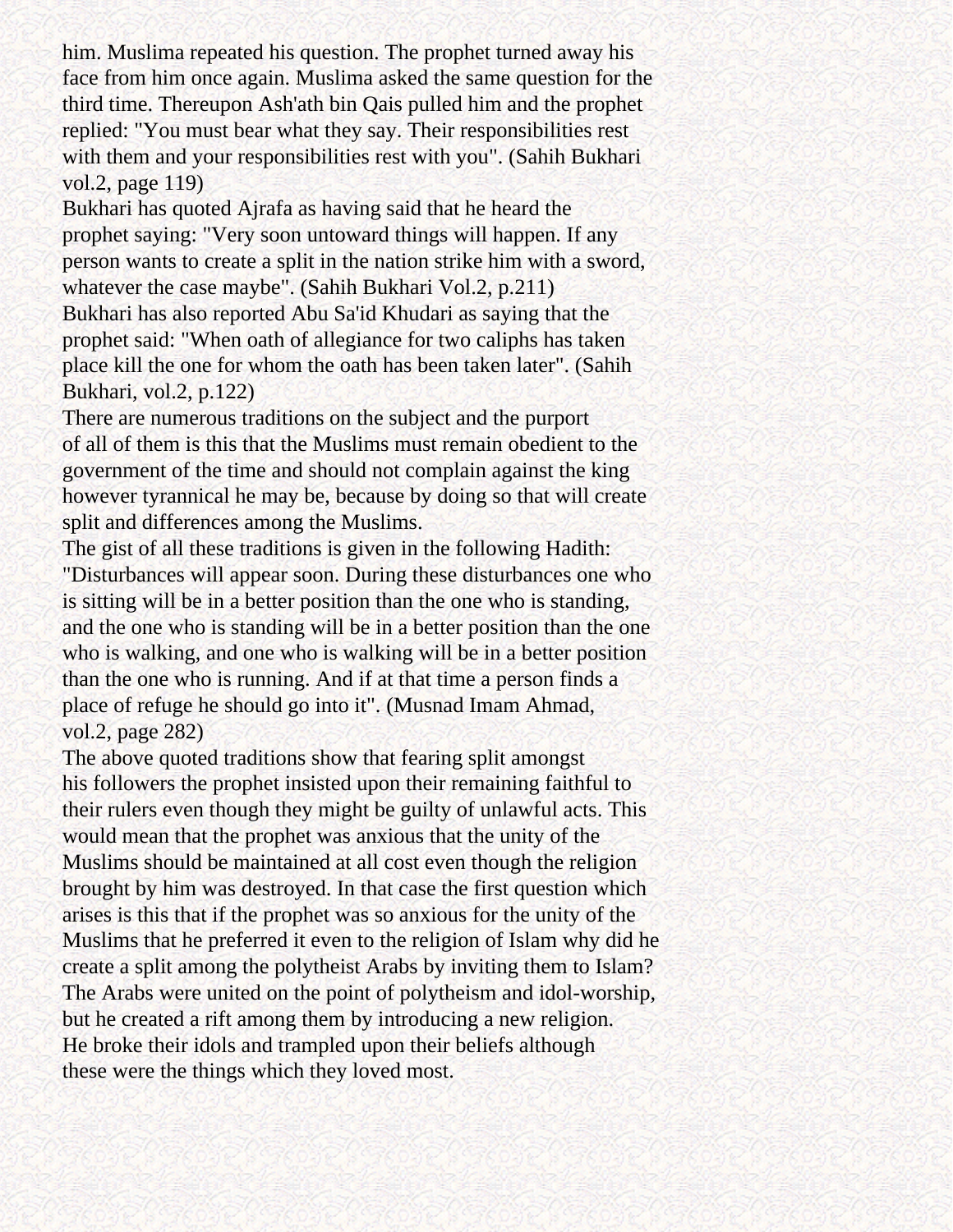him. Muslima repeated his question. The prophet turned away his face from him once again. Muslima asked the same question for the third time. Thereupon Ash'ath bin Qais pulled him and the prophet replied: "You must bear what they say. Their responsibilities rest with them and your responsibilities rest with you". (Sahih Bukhari vol.2, page 119)

Bukhari has quoted Ajrafa as having said that he heard the prophet saying: "Very soon untoward things will happen. If any person wants to create a split in the nation strike him with a sword, whatever the case maybe". (Sahih Bukhari Vol.2, p.211) Bukhari has also reported Abu Sa'id Khudari as saying that the prophet said: "When oath of allegiance for two caliphs has taken place kill the one for whom the oath has been taken later". (Sahih Bukhari, vol.2, p.122)

There are numerous traditions on the subject and the purport of all of them is this that the Muslims must remain obedient to the government of the time and should not complain against the king however tyrannical he may be, because by doing so that will create split and differences among the Muslims.

The gist of all these traditions is given in the following Hadith: "Disturbances will appear soon. During these disturbances one who is sitting will be in a better position than the one who is standing, and the one who is standing will be in a better position than the one who is walking, and one who is walking will be in a better position than the one who is running. And if at that time a person finds a place of refuge he should go into it". (Musnad Imam Ahmad, vol.2, page 282)

The above quoted traditions show that fearing split amongst his followers the prophet insisted upon their remaining faithful to their rulers even though they might be guilty of unlawful acts. This would mean that the prophet was anxious that the unity of the Muslims should be maintained at all cost even though the religion brought by him was destroyed. In that case the first question which arises is this that if the prophet was so anxious for the unity of the Muslims that he preferred it even to the religion of Islam why did he create a split among the polytheist Arabs by inviting them to Islam? The Arabs were united on the point of polytheism and idol-worship, but he created a rift among them by introducing a new religion. He broke their idols and trampled upon their beliefs although these were the things which they loved most.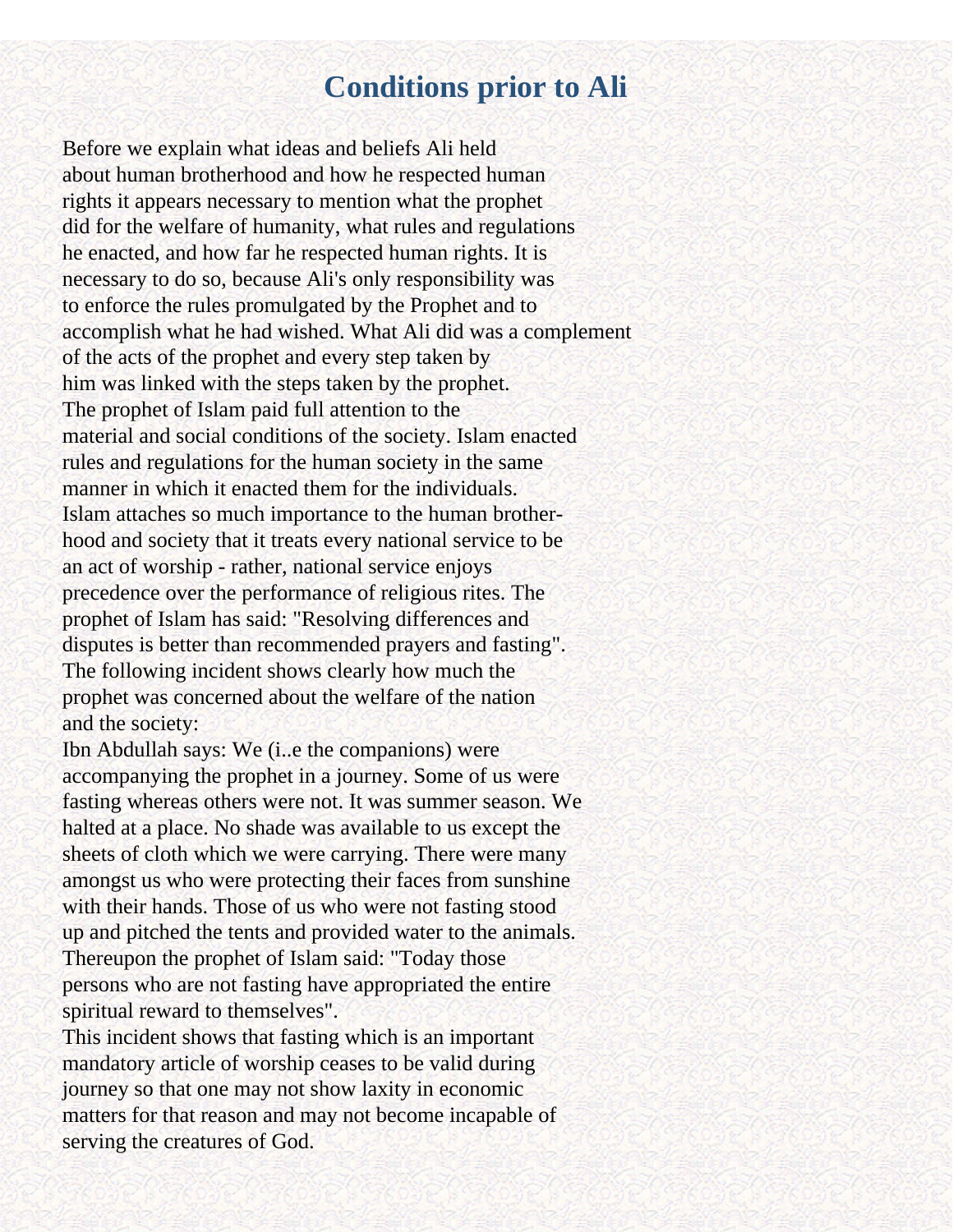# **Conditions prior to Ali**

Before we explain what ideas and beliefs Ali held about human brotherhood and how he respected human rights it appears necessary to mention what the prophet did for the welfare of humanity, what rules and regulations he enacted, and how far he respected human rights. It is necessary to do so, because Ali's only responsibility was to enforce the rules promulgated by the Prophet and to accomplish what he had wished. What Ali did was a complement of the acts of the prophet and every step taken by him was linked with the steps taken by the prophet. The prophet of Islam paid full attention to the material and social conditions of the society. Islam enacted rules and regulations for the human society in the same manner in which it enacted them for the individuals. Islam attaches so much importance to the human brotherhood and society that it treats every national service to be an act of worship - rather, national service enjoys precedence over the performance of religious rites. The prophet of Islam has said: "Resolving differences and disputes is better than recommended prayers and fasting". The following incident shows clearly how much the prophet was concerned about the welfare of the nation and the society:

Ibn Abdullah says: We (i..e the companions) were accompanying the prophet in a journey. Some of us were fasting whereas others were not. It was summer season. We halted at a place. No shade was available to us except the sheets of cloth which we were carrying. There were many amongst us who were protecting their faces from sunshine with their hands. Those of us who were not fasting stood up and pitched the tents and provided water to the animals. Thereupon the prophet of Islam said: "Today those persons who are not fasting have appropriated the entire spiritual reward to themselves".

This incident shows that fasting which is an important mandatory article of worship ceases to be valid during journey so that one may not show laxity in economic matters for that reason and may not become incapable of serving the creatures of God.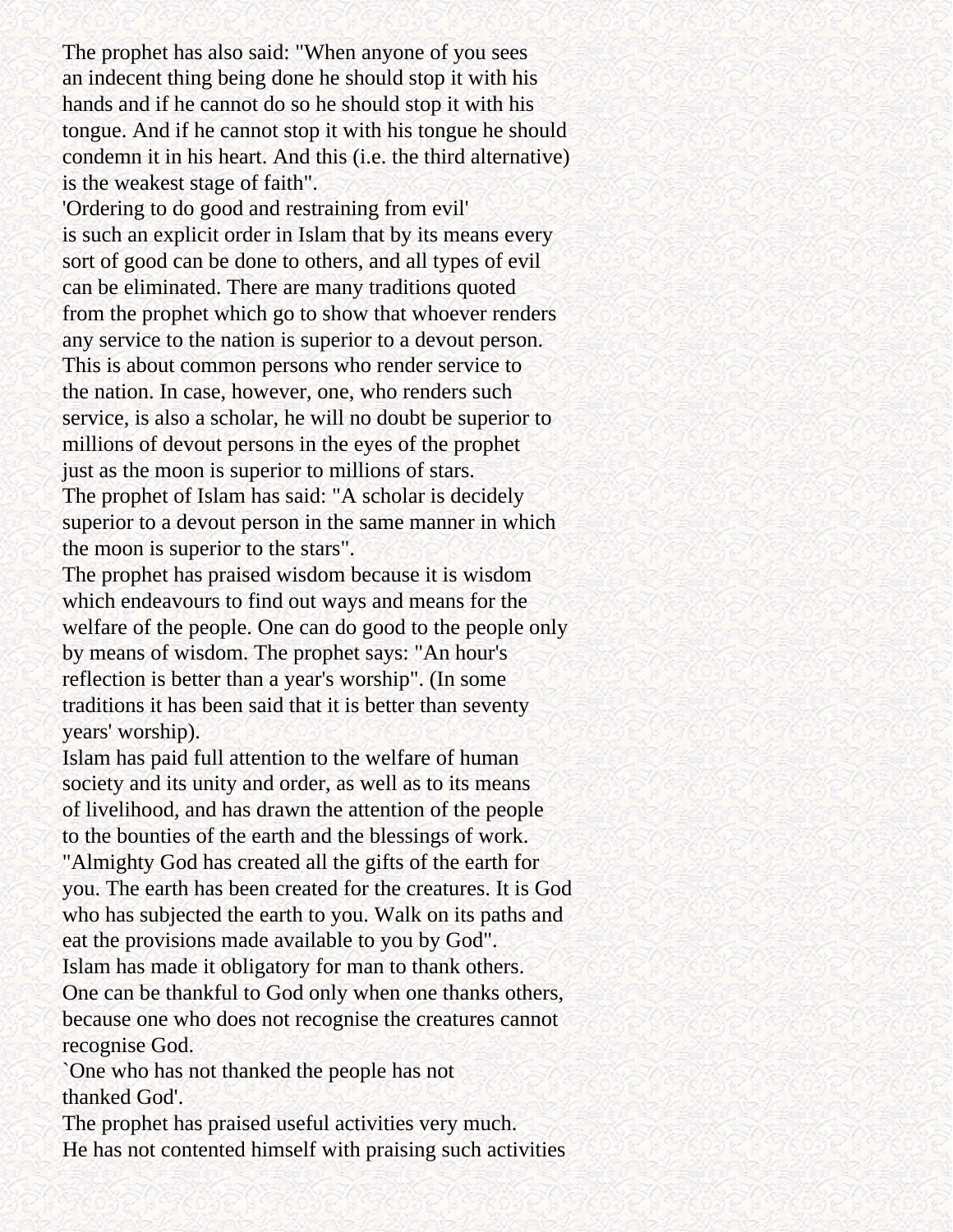The prophet has also said: "When anyone of you sees an indecent thing being done he should stop it with his hands and if he cannot do so he should stop it with his tongue. And if he cannot stop it with his tongue he should condemn it in his heart. And this (i.e. the third alternative) is the weakest stage of faith".

'Ordering to do good and restraining from evil' is such an explicit order in Islam that by its means every sort of good can be done to others, and all types of evil can be eliminated. There are many traditions quoted from the prophet which go to show that whoever renders any service to the nation is superior to a devout person. This is about common persons who render service to the nation. In case, however, one, who renders such service, is also a scholar, he will no doubt be superior to millions of devout persons in the eyes of the prophet just as the moon is superior to millions of stars. The prophet of Islam has said: "A scholar is decidely superior to a devout person in the same manner in which the moon is superior to the stars".

The prophet has praised wisdom because it is wisdom which endeavours to find out ways and means for the welfare of the people. One can do good to the people only by means of wisdom. The prophet says: "An hour's reflection is better than a year's worship". (In some traditions it has been said that it is better than seventy years' worship).

Islam has paid full attention to the welfare of human society and its unity and order, as well as to its means of livelihood, and has drawn the attention of the people to the bounties of the earth and the blessings of work.

"Almighty God has created all the gifts of the earth for you. The earth has been created for the creatures. It is God who has subjected the earth to you. Walk on its paths and eat the provisions made available to you by God".

Islam has made it obligatory for man to thank others. One can be thankful to God only when one thanks others,

because one who does not recognise the creatures cannot recognise God.

`One who has not thanked the people has not thanked God'.

The prophet has praised useful activities very much. He has not contented himself with praising such activities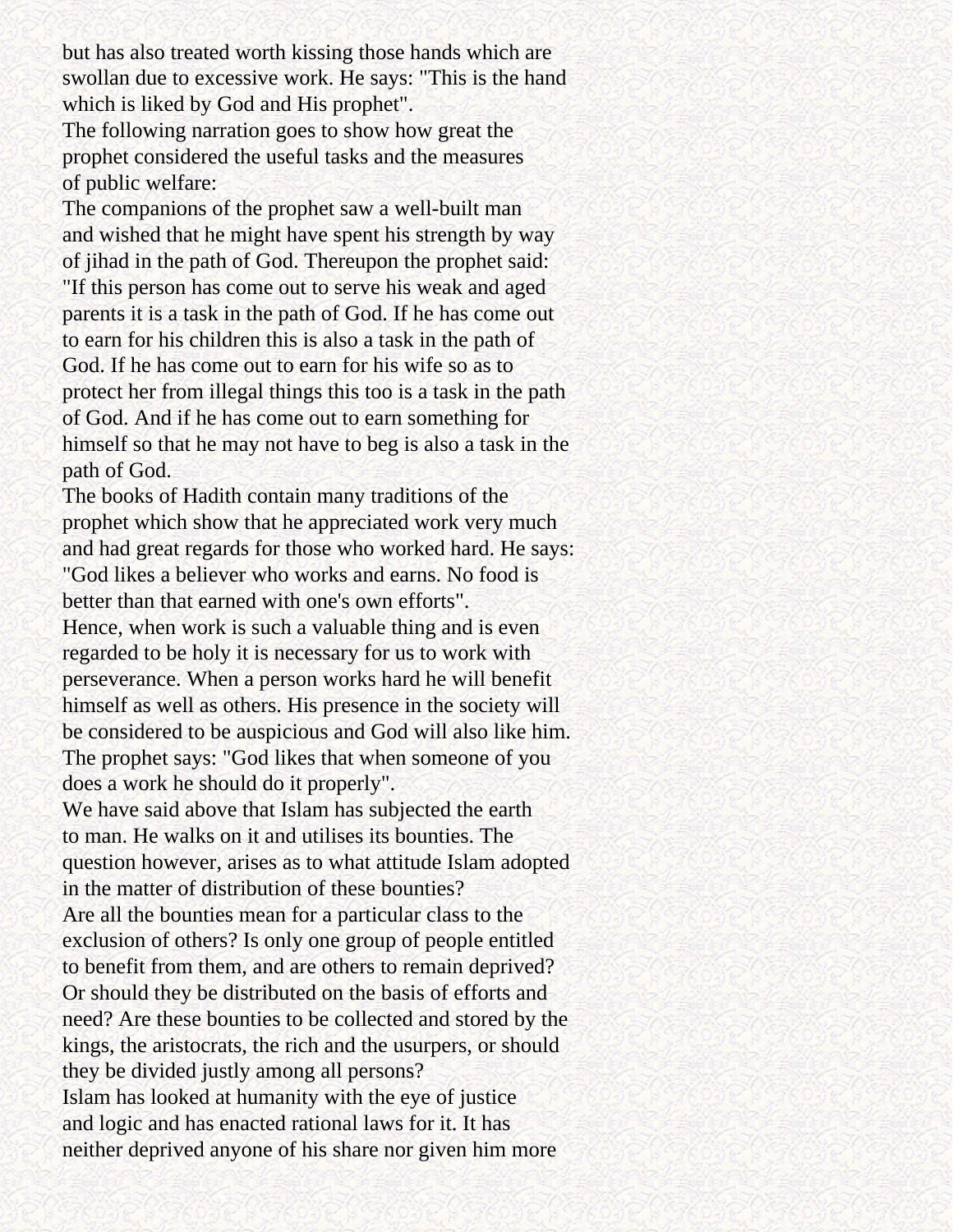but has also treated worth kissing those hands which are swollan due to excessive work. He says: "This is the hand which is liked by God and His prophet".

The following narration goes to show how great the prophet considered the useful tasks and the measures of public welfare:

The companions of the prophet saw a well-built man and wished that he might have spent his strength by way of jihad in the path of God. Thereupon the prophet said: "If this person has come out to serve his weak and aged parents it is a task in the path of God. If he has come out to earn for his children this is also a task in the path of God. If he has come out to earn for his wife so as to protect her from illegal things this too is a task in the path of God. And if he has come out to earn something for himself so that he may not have to beg is also a task in the path of God.

The books of Hadith contain many traditions of the prophet which show that he appreciated work very much and had great regards for those who worked hard. He says: "God likes a believer who works and earns. No food is better than that earned with one's own efforts".

Hence, when work is such a valuable thing and is even regarded to be holy it is necessary for us to work with perseverance. When a person works hard he will benefit himself as well as others. His presence in the society will be considered to be auspicious and God will also like him. The prophet says: "God likes that when someone of you does a work he should do it properly".

We have said above that Islam has subjected the earth to man. He walks on it and utilises its bounties. The question however, arises as to what attitude Islam adopted in the matter of distribution of these bounties? Are all the bounties mean for a particular class to the exclusion of others? Is only one group of people entitled to benefit from them, and are others to remain deprived? Or should they be distributed on the basis of efforts and need? Are these bounties to be collected and stored by the kings, the aristocrats, the rich and the usurpers, or should they be divided justly among all persons? Islam has looked at humanity with the eye of justice and logic and has enacted rational laws for it. It has neither deprived anyone of his share nor given him more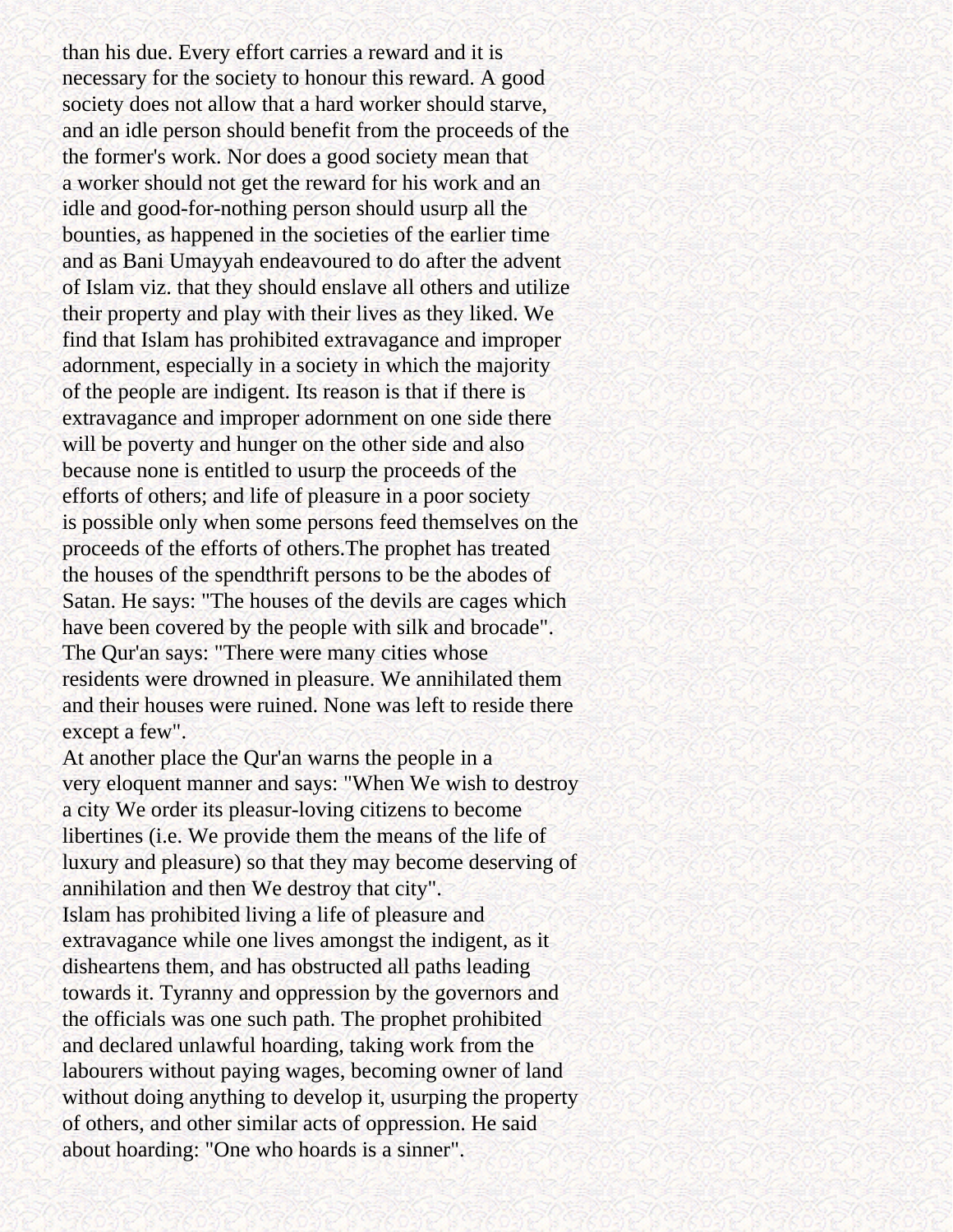than his due. Every effort carries a reward and it is necessary for the society to honour this reward. A good society does not allow that a hard worker should starve, and an idle person should benefit from the proceeds of the the former's work. Nor does a good society mean that a worker should not get the reward for his work and an idle and good-for-nothing person should usurp all the bounties, as happened in the societies of the earlier time and as Bani Umayyah endeavoured to do after the advent of Islam viz. that they should enslave all others and utilize their property and play with their lives as they liked. We find that Islam has prohibited extravagance and improper adornment, especially in a society in which the majority of the people are indigent. Its reason is that if there is extravagance and improper adornment on one side there will be poverty and hunger on the other side and also because none is entitled to usurp the proceeds of the efforts of others; and life of pleasure in a poor society is possible only when some persons feed themselves on the proceeds of the efforts of others.The prophet has treated the houses of the spendthrift persons to be the abodes of Satan. He says: "The houses of the devils are cages which have been covered by the people with silk and brocade". The Qur'an says: "There were many cities whose residents were drowned in pleasure. We annihilated them and their houses were ruined. None was left to reside there except a few".

At another place the Qur'an warns the people in a very eloquent manner and says: "When We wish to destroy a city We order its pleasur-loving citizens to become libertines (i.e. We provide them the means of the life of luxury and pleasure) so that they may become deserving of annihilation and then We destroy that city". Islam has prohibited living a life of pleasure and extravagance while one lives amongst the indigent, as it disheartens them, and has obstructed all paths leading towards it. Tyranny and oppression by the governors and the officials was one such path. The prophet prohibited and declared unlawful hoarding, taking work from the labourers without paying wages, becoming owner of land without doing anything to develop it, usurping the property of others, and other similar acts of oppression. He said about hoarding: "One who hoards is a sinner".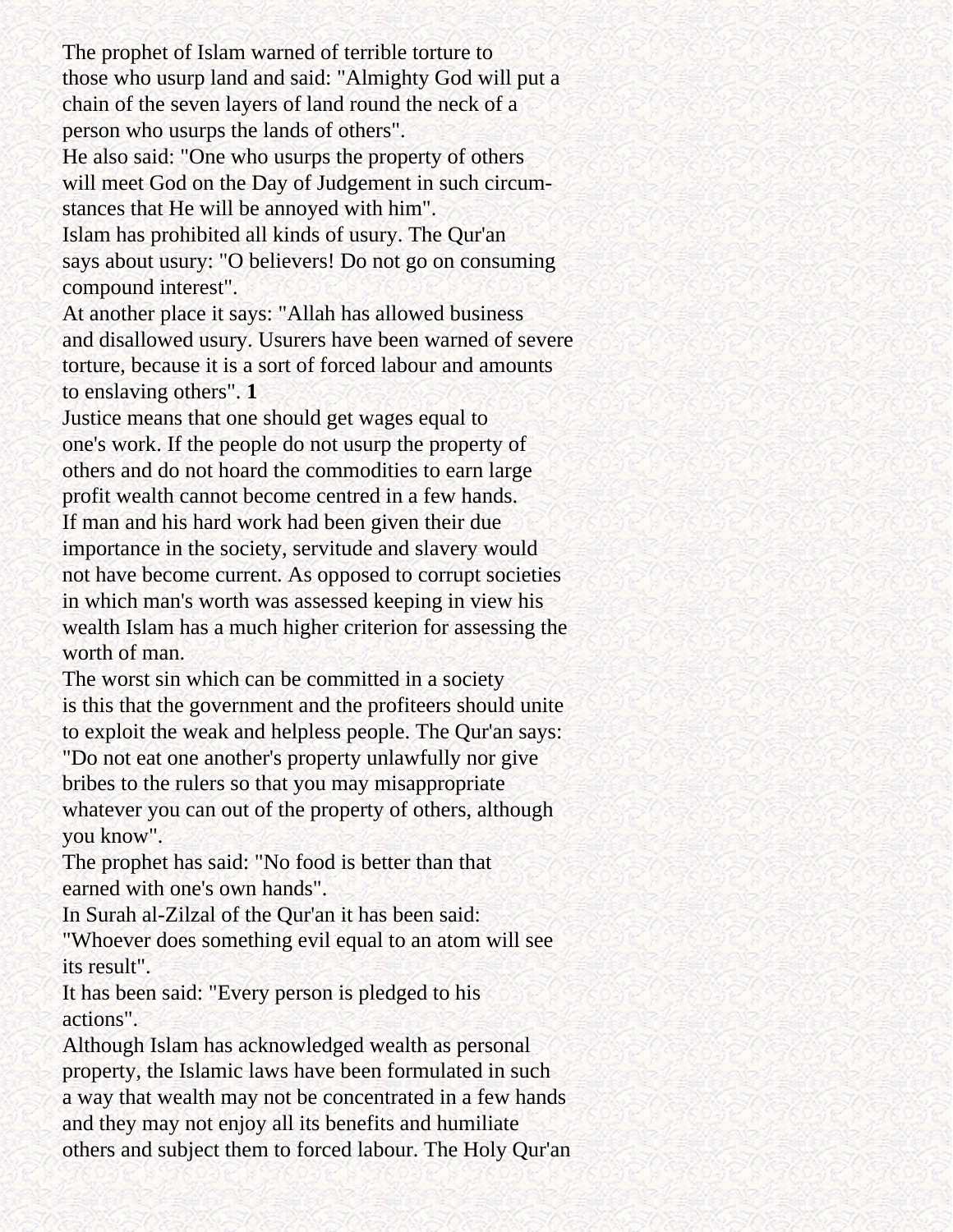The prophet of Islam warned of terrible torture to those who usurp land and said: "Almighty God will put a chain of the seven layers of land round the neck of a person who usurps the lands of others".

He also said: "One who usurps the property of others will meet God on the Day of Judgement in such circumstances that He will be annoyed with him". Islam has prohibited all kinds of usury. The Qur'an says about usury: "O believers! Do not go on consuming

compound interest". At another place it says: "Allah has allowed business and disallowed usury. Usurers have been warned of severe torture, because it is a sort of forced labour and amounts

to enslaving others". **1**

Justice means that one should get wages equal to one's work. If the people do not usurp the property of others and do not hoard the commodities to earn large profit wealth cannot become centred in a few hands. If man and his hard work had been given their due importance in the society, servitude and slavery would not have become current. As opposed to corrupt societies in which man's worth was assessed keeping in view his wealth Islam has a much higher criterion for assessing the worth of man.

The worst sin which can be committed in a society is this that the government and the profiteers should unite to exploit the weak and helpless people. The Qur'an says: "Do not eat one another's property unlawfully nor give bribes to the rulers so that you may misappropriate whatever you can out of the property of others, although you know".

The prophet has said: "No food is better than that earned with one's own hands".

In Surah al-Zilzal of the Qur'an it has been said: "Whoever does something evil equal to an atom will see

its result".

It has been said: "Every person is pledged to his actions".

Although Islam has acknowledged wealth as personal property, the Islamic laws have been formulated in such a way that wealth may not be concentrated in a few hands and they may not enjoy all its benefits and humiliate others and subject them to forced labour. The Holy Qur'an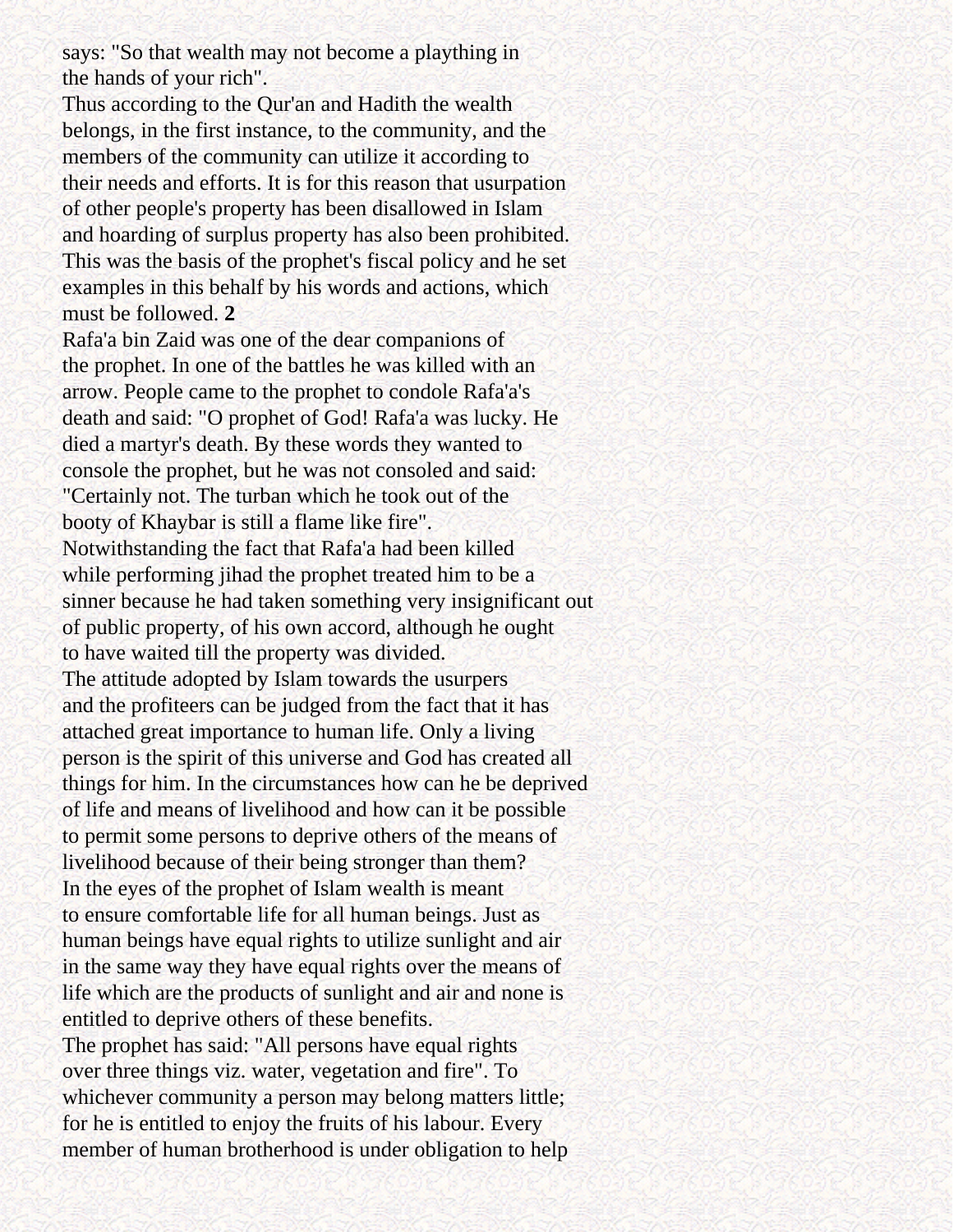says: "So that wealth may not become a plaything in the hands of your rich".

Thus according to the Qur'an and Hadith the wealth belongs, in the first instance, to the community, and the members of the community can utilize it according to their needs and efforts. It is for this reason that usurpation of other people's property has been disallowed in Islam and hoarding of surplus property has also been prohibited. This was the basis of the prophet's fiscal policy and he set examples in this behalf by his words and actions, which must be followed. **2**

Rafa'a bin Zaid was one of the dear companions of the prophet. In one of the battles he was killed with an arrow. People came to the prophet to condole Rafa'a's death and said: "O prophet of God! Rafa'a was lucky. He died a martyr's death. By these words they wanted to console the prophet, but he was not consoled and said: "Certainly not. The turban which he took out of the booty of Khaybar is still a flame like fire". Notwithstanding the fact that Rafa'a had been killed while performing jihad the prophet treated him to be a sinner because he had taken something very insignificant out of public property, of his own accord, although he ought to have waited till the property was divided. The attitude adopted by Islam towards the usurpers and the profiteers can be judged from the fact that it has attached great importance to human life. Only a living person is the spirit of this universe and God has created all things for him. In the circumstances how can he be deprived of life and means of livelihood and how can it be possible to permit some persons to deprive others of the means of livelihood because of their being stronger than them? In the eyes of the prophet of Islam wealth is meant to ensure comfortable life for all human beings. Just as human beings have equal rights to utilize sunlight and air in the same way they have equal rights over the means of life which are the products of sunlight and air and none is entitled to deprive others of these benefits. The prophet has said: "All persons have equal rights over three things viz. water, vegetation and fire". To whichever community a person may belong matters little; for he is entitled to enjoy the fruits of his labour. Every member of human brotherhood is under obligation to help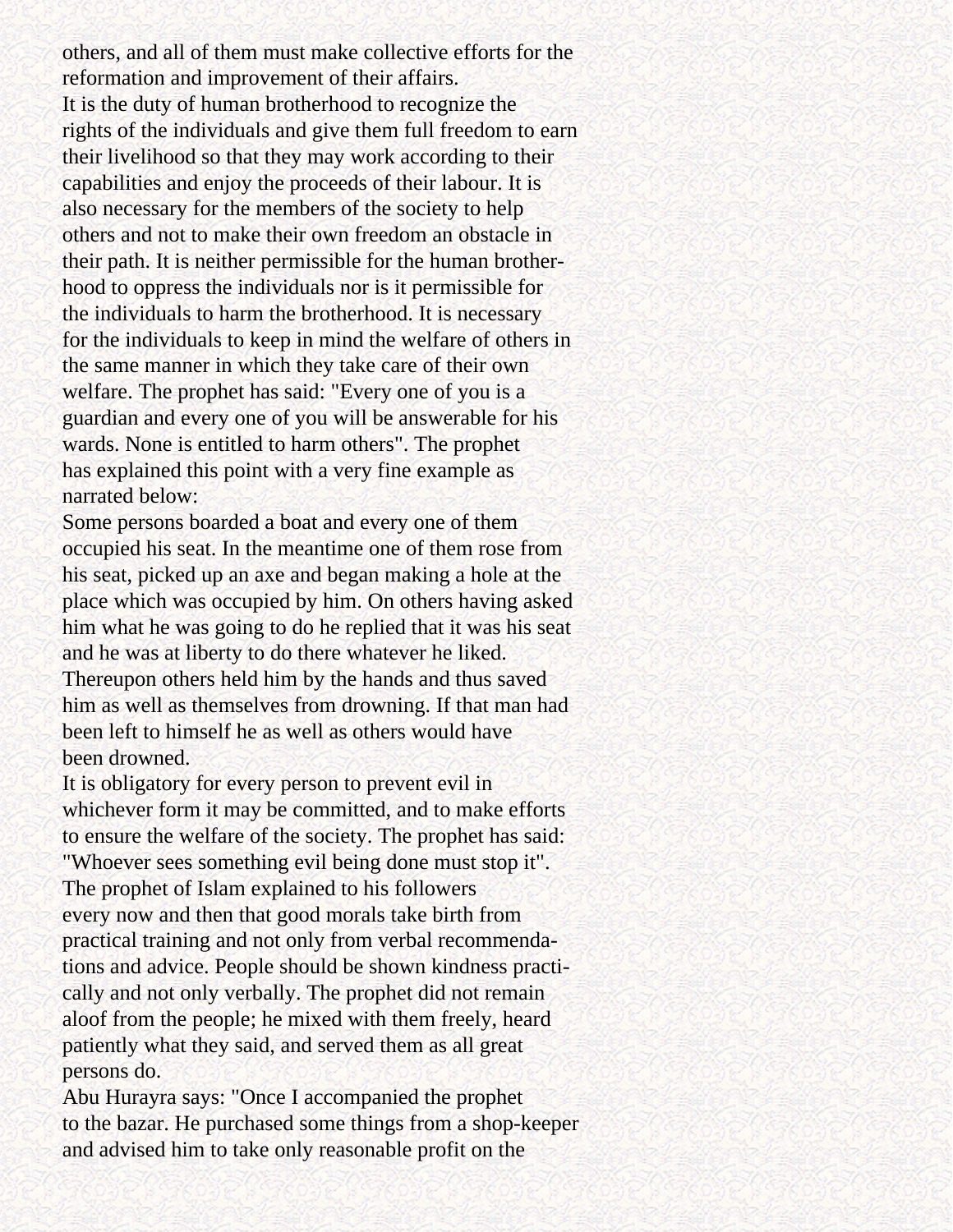others, and all of them must make collective efforts for the reformation and improvement of their affairs. It is the duty of human brotherhood to recognize the rights of the individuals and give them full freedom to earn their livelihood so that they may work according to their capabilities and enjoy the proceeds of their labour. It is also necessary for the members of the society to help others and not to make their own freedom an obstacle in their path. It is neither permissible for the human brotherhood to oppress the individuals nor is it permissible for the individuals to harm the brotherhood. It is necessary for the individuals to keep in mind the welfare of others in the same manner in which they take care of their own welfare. The prophet has said: "Every one of you is a guardian and every one of you will be answerable for his wards. None is entitled to harm others". The prophet has explained this point with a very fine example as narrated below:

Some persons boarded a boat and every one of them occupied his seat. In the meantime one of them rose from his seat, picked up an axe and began making a hole at the place which was occupied by him. On others having asked him what he was going to do he replied that it was his seat and he was at liberty to do there whatever he liked. Thereupon others held him by the hands and thus saved him as well as themselves from drowning. If that man had been left to himself he as well as others would have been drowned.

It is obligatory for every person to prevent evil in whichever form it may be committed, and to make efforts to ensure the welfare of the society. The prophet has said: "Whoever sees something evil being done must stop it". The prophet of Islam explained to his followers every now and then that good morals take birth from practical training and not only from verbal recommendations and advice. People should be shown kindness practically and not only verbally. The prophet did not remain aloof from the people; he mixed with them freely, heard patiently what they said, and served them as all great persons do.

Abu Hurayra says: "Once I accompanied the prophet to the bazar. He purchased some things from a shop-keeper and advised him to take only reasonable profit on the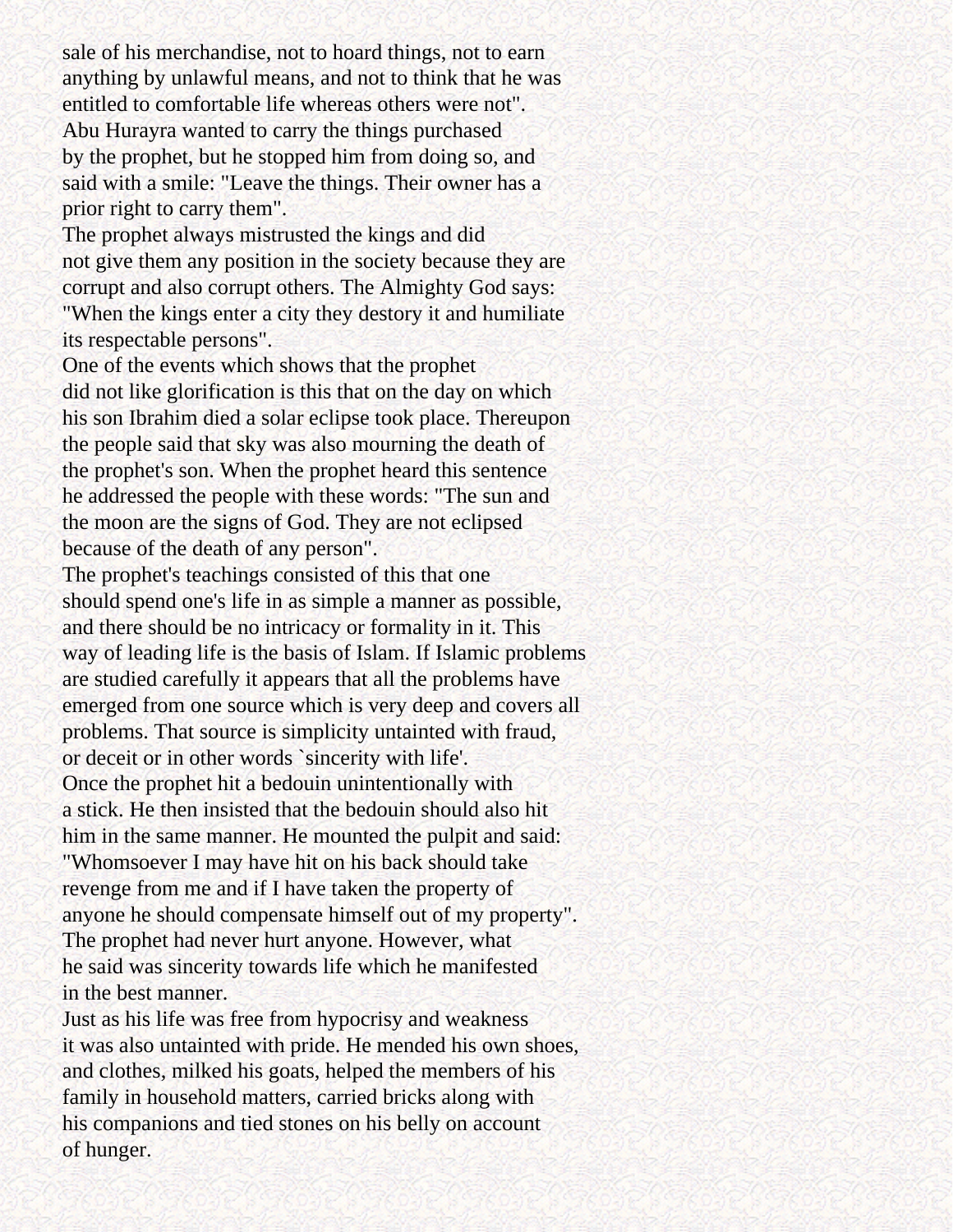sale of his merchandise, not to hoard things, not to earn anything by unlawful means, and not to think that he was entitled to comfortable life whereas others were not". Abu Hurayra wanted to carry the things purchased by the prophet, but he stopped him from doing so, and said with a smile: "Leave the things. Their owner has a prior right to carry them".

The prophet always mistrusted the kings and did not give them any position in the society because they are corrupt and also corrupt others. The Almighty God says: "When the kings enter a city they destory it and humiliate its respectable persons".

One of the events which shows that the prophet did not like glorification is this that on the day on which his son Ibrahim died a solar eclipse took place. Thereupon the people said that sky was also mourning the death of the prophet's son. When the prophet heard this sentence he addressed the people with these words: "The sun and the moon are the signs of God. They are not eclipsed because of the death of any person".

The prophet's teachings consisted of this that one should spend one's life in as simple a manner as possible, and there should be no intricacy or formality in it. This way of leading life is the basis of Islam. If Islamic problems are studied carefully it appears that all the problems have emerged from one source which is very deep and covers all problems. That source is simplicity untainted with fraud, or deceit or in other words `sincerity with life'. Once the prophet hit a bedouin unintentionally with a stick. He then insisted that the bedouin should also hit him in the same manner. He mounted the pulpit and said: "Whomsoever I may have hit on his back should take revenge from me and if I have taken the property of anyone he should compensate himself out of my property". The prophet had never hurt anyone. However, what he said was sincerity towards life which he manifested in the best manner.

Just as his life was free from hypocrisy and weakness it was also untainted with pride. He mended his own shoes, and clothes, milked his goats, helped the members of his family in household matters, carried bricks along with his companions and tied stones on his belly on account of hunger.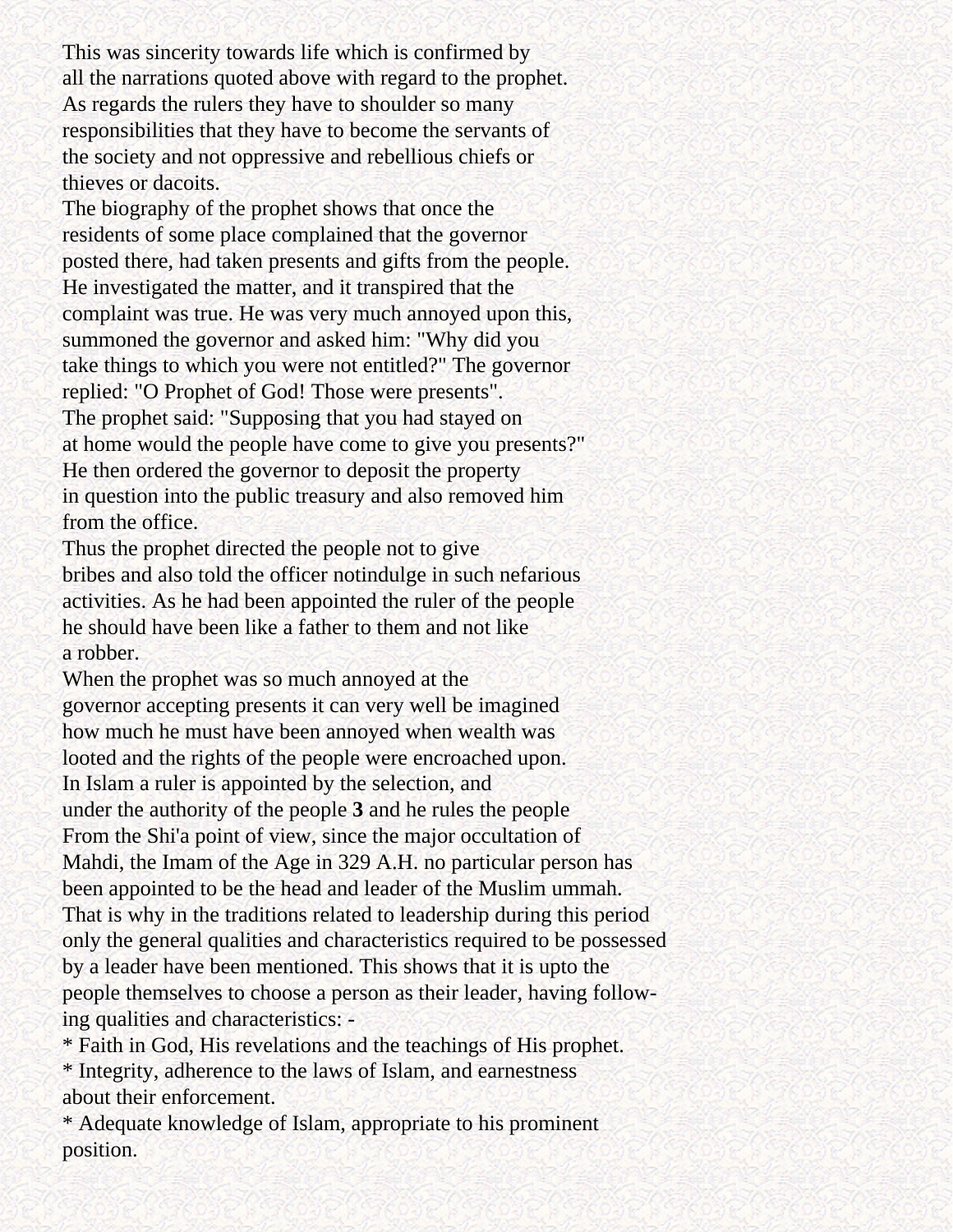This was sincerity towards life which is confirmed by all the narrations quoted above with regard to the prophet. As regards the rulers they have to shoulder so many responsibilities that they have to become the servants of the society and not oppressive and rebellious chiefs or thieves or dacoits.

The biography of the prophet shows that once the residents of some place complained that the governor posted there, had taken presents and gifts from the people. He investigated the matter, and it transpired that the complaint was true. He was very much annoyed upon this, summoned the governor and asked him: "Why did you take things to which you were not entitled?" The governor replied: "O Prophet of God! Those were presents". The prophet said: "Supposing that you had stayed on at home would the people have come to give you presents?" He then ordered the governor to deposit the property in question into the public treasury and also removed him from the office.

Thus the prophet directed the people not to give bribes and also told the officer notindulge in such nefarious activities. As he had been appointed the ruler of the people he should have been like a father to them and not like a robber.

When the prophet was so much annoyed at the governor accepting presents it can very well be imagined how much he must have been annoyed when wealth was looted and the rights of the people were encroached upon. In Islam a ruler is appointed by the selection, and under the authority of the people **3** and he rules the people From the Shi'a point of view, since the major occultation of Mahdi, the Imam of the Age in 329 A.H. no particular person has been appointed to be the head and leader of the Muslim ummah. That is why in the traditions related to leadership during this period only the general qualities and characteristics required to be possessed by a leader have been mentioned. This shows that it is upto the people themselves to choose a person as their leader, having following qualities and characteristics: -

\* Faith in God, His revelations and the teachings of His prophet. \* Integrity, adherence to the laws of Islam, and earnestness about their enforcement.

\* Adequate knowledge of Islam, appropriate to his prominent position.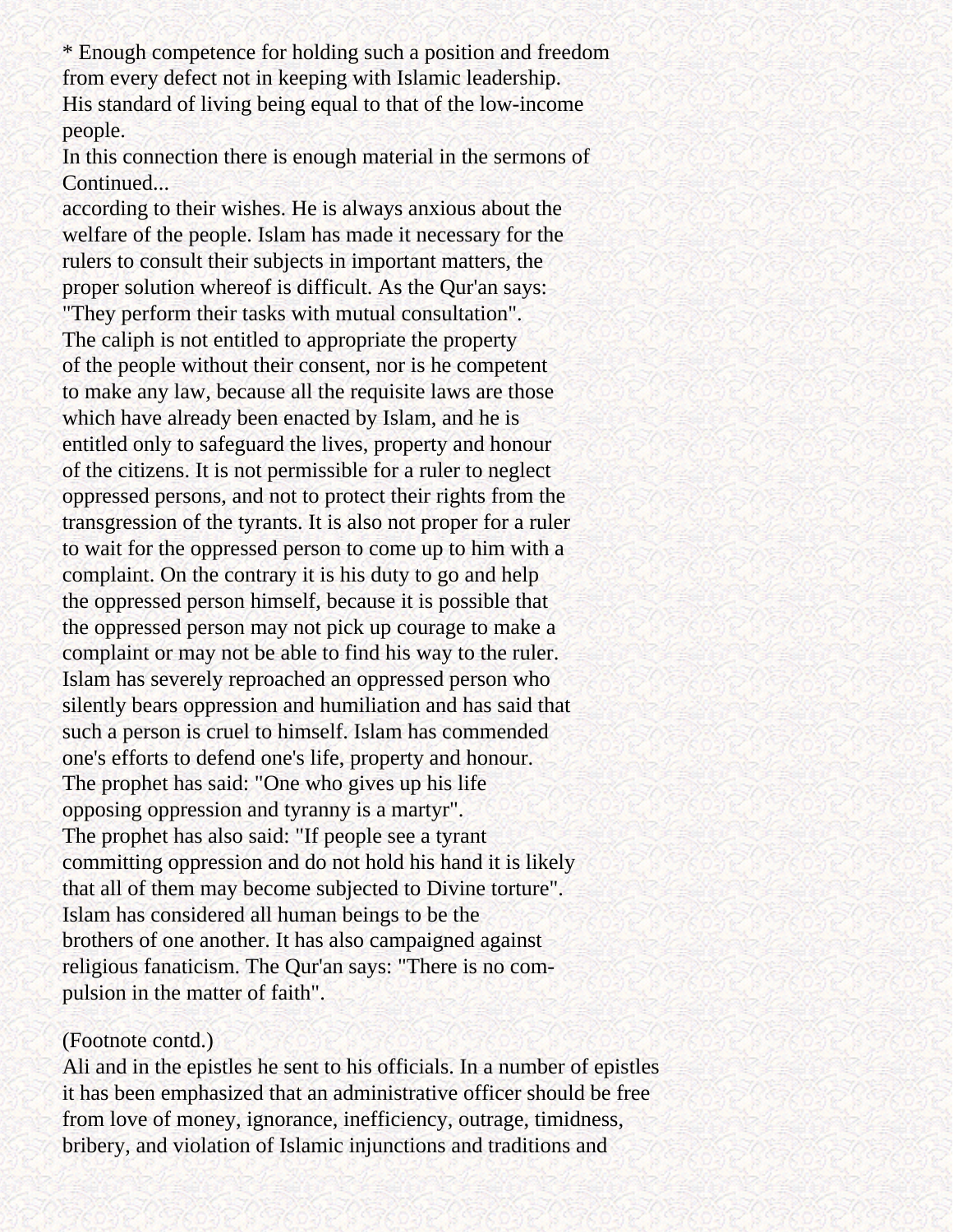\* Enough competence for holding such a position and freedom from every defect not in keeping with Islamic leadership. His standard of living being equal to that of the low-income people.

In this connection there is enough material in the sermons of Continued...

according to their wishes. He is always anxious about the welfare of the people. Islam has made it necessary for the rulers to consult their subjects in important matters, the proper solution whereof is difficult. As the Qur'an says: "They perform their tasks with mutual consultation". The caliph is not entitled to appropriate the property of the people without their consent, nor is he competent to make any law, because all the requisite laws are those which have already been enacted by Islam, and he is entitled only to safeguard the lives, property and honour of the citizens. It is not permissible for a ruler to neglect oppressed persons, and not to protect their rights from the transgression of the tyrants. It is also not proper for a ruler to wait for the oppressed person to come up to him with a complaint. On the contrary it is his duty to go and help the oppressed person himself, because it is possible that the oppressed person may not pick up courage to make a complaint or may not be able to find his way to the ruler. Islam has severely reproached an oppressed person who silently bears oppression and humiliation and has said that such a person is cruel to himself. Islam has commended one's efforts to defend one's life, property and honour. The prophet has said: "One who gives up his life opposing oppression and tyranny is a martyr". The prophet has also said: "If people see a tyrant committing oppression and do not hold his hand it is likely that all of them may become subjected to Divine torture". Islam has considered all human beings to be the brothers of one another. It has also campaigned against religious fanaticism. The Qur'an says: "There is no compulsion in the matter of faith".

#### (Footnote contd.)

Ali and in the epistles he sent to his officials. In a number of epistles it has been emphasized that an administrative officer should be free from love of money, ignorance, inefficiency, outrage, timidness, bribery, and violation of Islamic injunctions and traditions and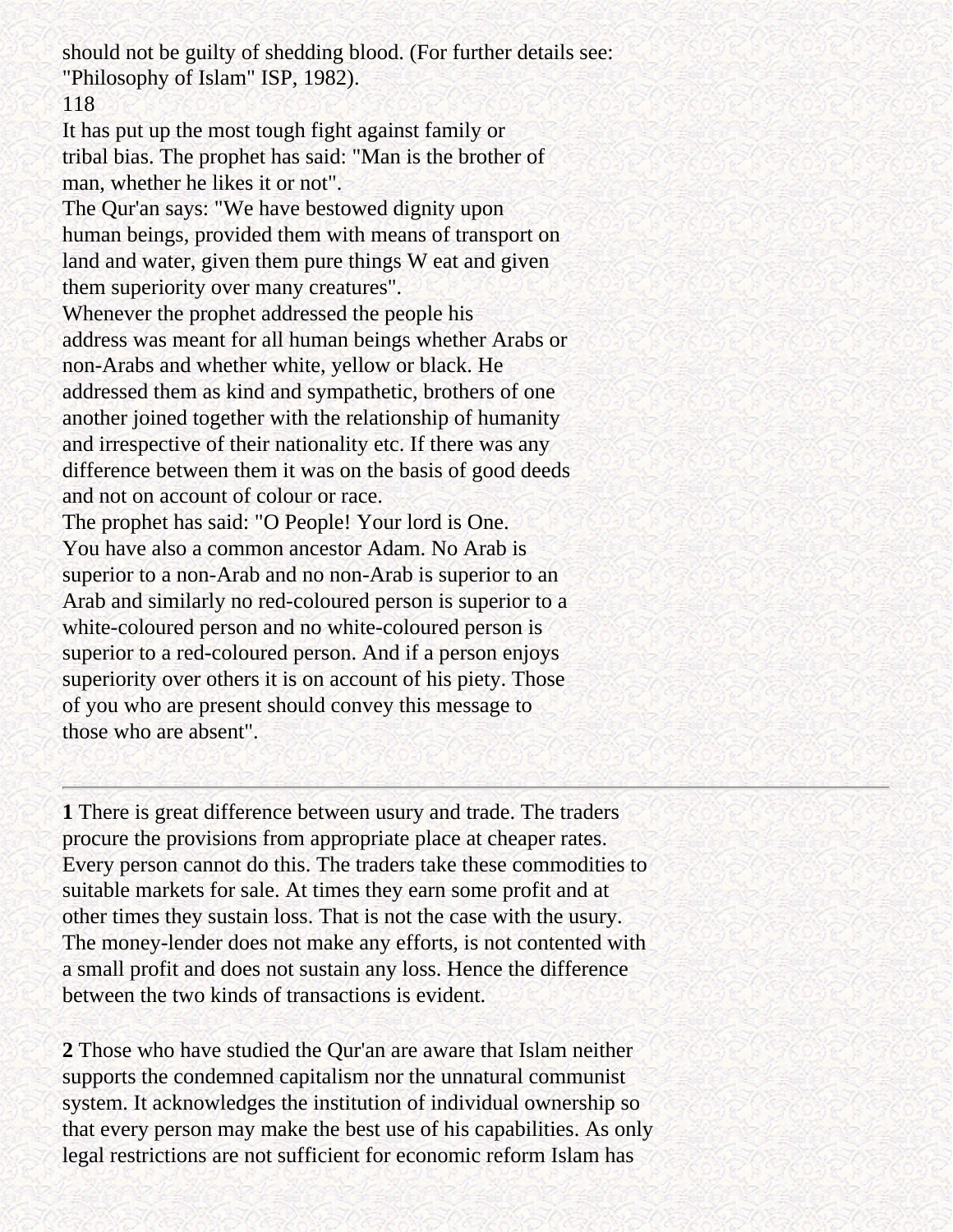should not be guilty of shedding blood. (For further details see: "Philosophy of Islam" ISP, 1982).

### 118

It has put up the most tough fight against family or tribal bias. The prophet has said: "Man is the brother of man, whether he likes it or not".

The Qur'an says: "We have bestowed dignity upon human beings, provided them with means of transport on land and water, given them pure things W eat and given them superiority over many creatures".

Whenever the prophet addressed the people his address was meant for all human beings whether Arabs or non-Arabs and whether white, yellow or black. He addressed them as kind and sympathetic, brothers of one another joined together with the relationship of humanity and irrespective of their nationality etc. If there was any difference between them it was on the basis of good deeds and not on account of colour or race.

The prophet has said: "O People! Your lord is One. You have also a common ancestor Adam. No Arab is superior to a non-Arab and no non-Arab is superior to an Arab and similarly no red-coloured person is superior to a white-coloured person and no white-coloured person is superior to a red-coloured person. And if a person enjoys superiority over others it is on account of his piety. Those of you who are present should convey this message to those who are absent".

**1** There is great difference between usury and trade. The traders procure the provisions from appropriate place at cheaper rates. Every person cannot do this. The traders take these commodities to suitable markets for sale. At times they earn some profit and at other times they sustain loss. That is not the case with the usury. The money-lender does not make any efforts, is not contented with a small profit and does not sustain any loss. Hence the difference between the two kinds of transactions is evident.

**2** Those who have studied the Qur'an are aware that Islam neither supports the condemned capitalism nor the unnatural communist system. It acknowledges the institution of individual ownership so that every person may make the best use of his capabilities. As only legal restrictions are not sufficient for economic reform Islam has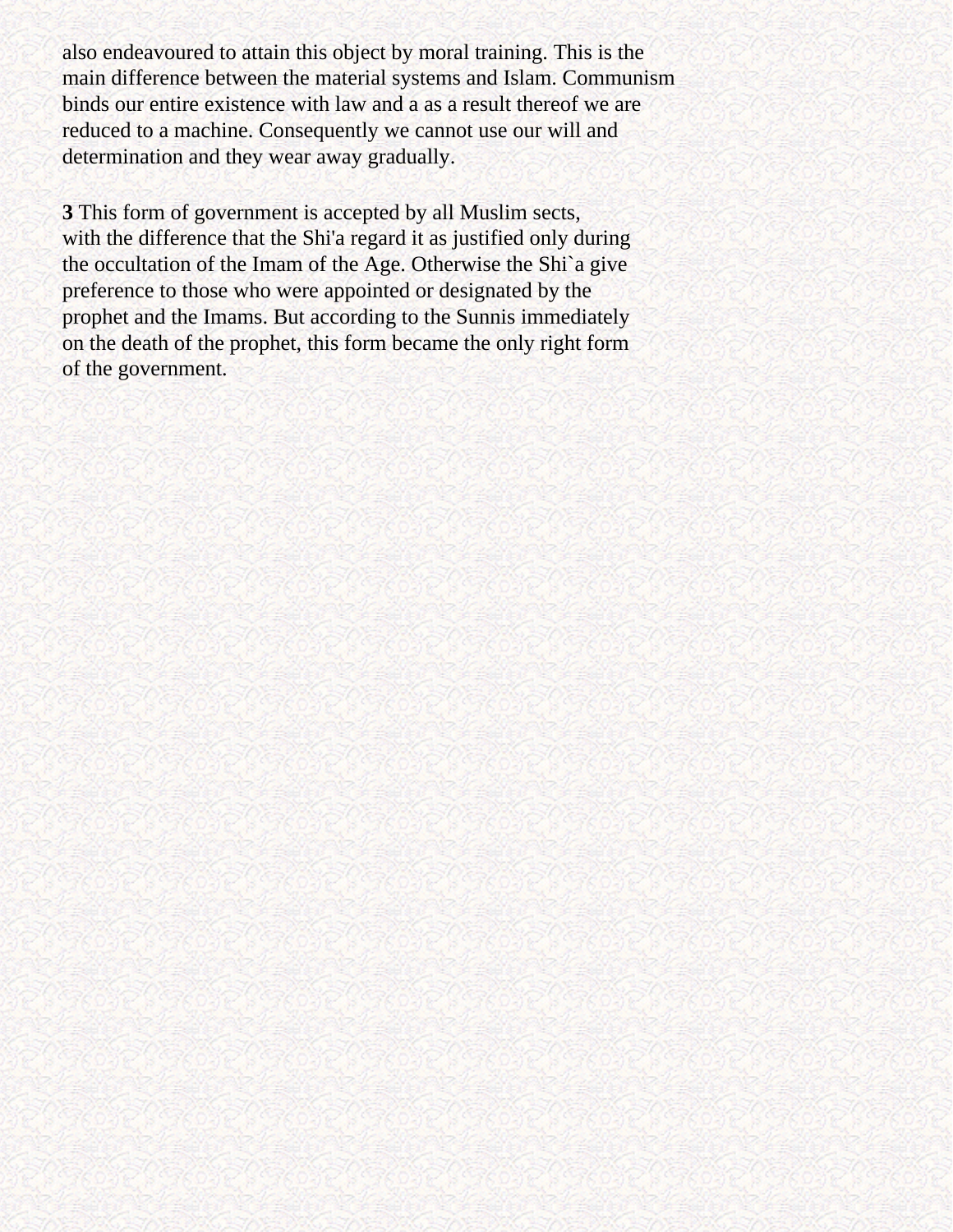also endeavoured to attain this object by moral training. This is the main difference between the material systems and Islam. Communism binds our entire existence with law and a as a result thereof we are reduced to a machine. Consequently we cannot use our will and determination and they wear away gradually.

**3** This form of government is accepted by all Muslim sects, with the difference that the Shi'a regard it as justified only during the occultation of the Imam of the Age. Otherwise the Shi`a give preference to those who were appointed or designated by the prophet and the Imams. But according to the Sunnis immediately on the death of the prophet, this form became the only right form of the government.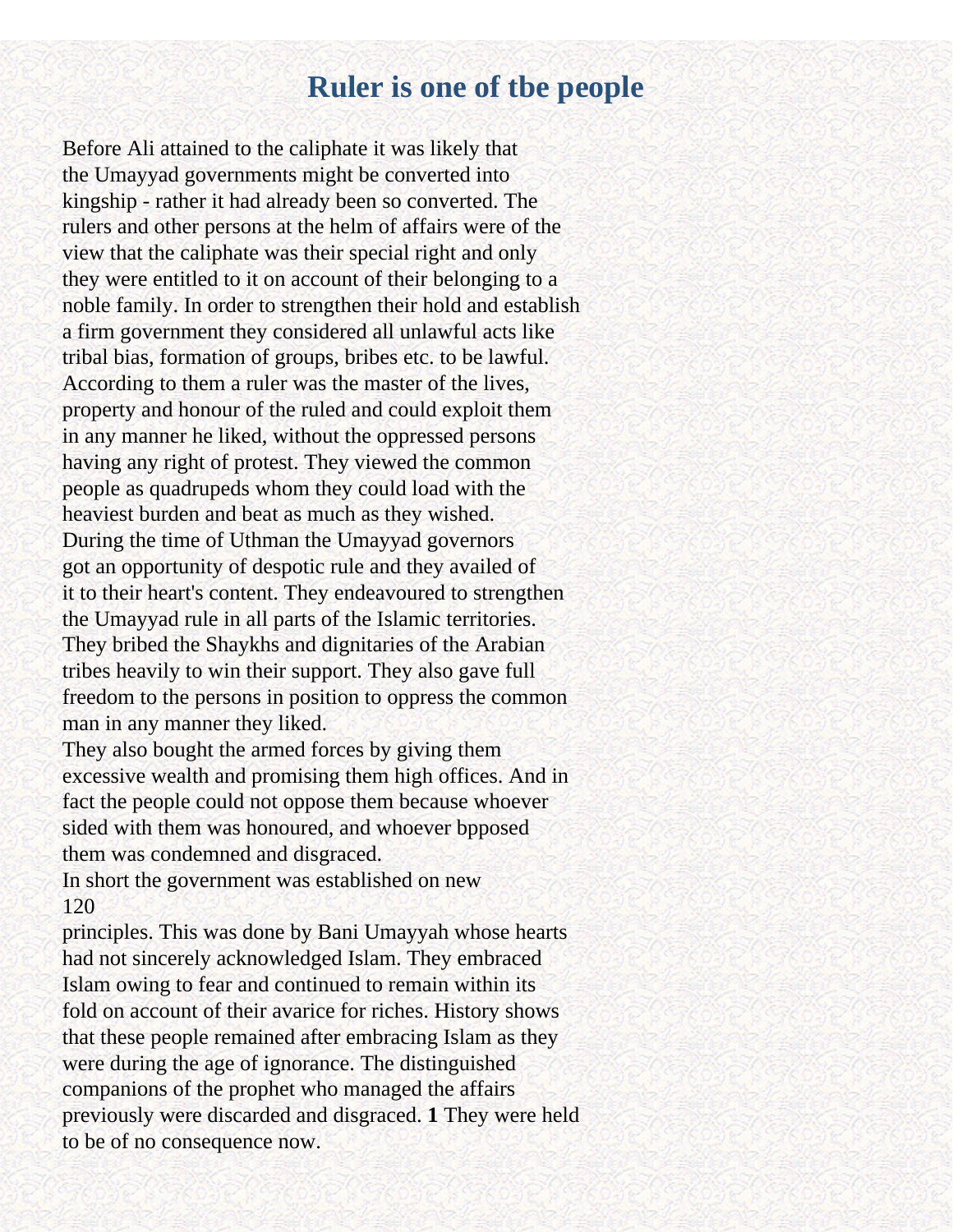### **Ruler is one of tbe people**

Before Ali attained to the caliphate it was likely that the Umayyad governments might be converted into kingship - rather it had already been so converted. The rulers and other persons at the helm of affairs were of the view that the caliphate was their special right and only they were entitled to it on account of their belonging to a noble family. In order to strengthen their hold and establish a firm government they considered all unlawful acts like tribal bias, formation of groups, bribes etc. to be lawful. According to them a ruler was the master of the lives, property and honour of the ruled and could exploit them in any manner he liked, without the oppressed persons having any right of protest. They viewed the common people as quadrupeds whom they could load with the heaviest burden and beat as much as they wished. During the time of Uthman the Umayyad governors got an opportunity of despotic rule and they availed of it to their heart's content. They endeavoured to strengthen the Umayyad rule in all parts of the Islamic territories. They bribed the Shaykhs and dignitaries of the Arabian tribes heavily to win their support. They also gave full freedom to the persons in position to oppress the common man in any manner they liked.

They also bought the armed forces by giving them excessive wealth and promising them high offices. And in fact the people could not oppose them because whoever sided with them was honoured, and whoever bpposed them was condemned and disgraced.

In short the government was established on new 120

principles. This was done by Bani Umayyah whose hearts had not sincerely acknowledged Islam. They embraced Islam owing to fear and continued to remain within its fold on account of their avarice for riches. History shows that these people remained after embracing Islam as they were during the age of ignorance. The distinguished companions of the prophet who managed the affairs previously were discarded and disgraced. **1** They were held to be of no consequence now.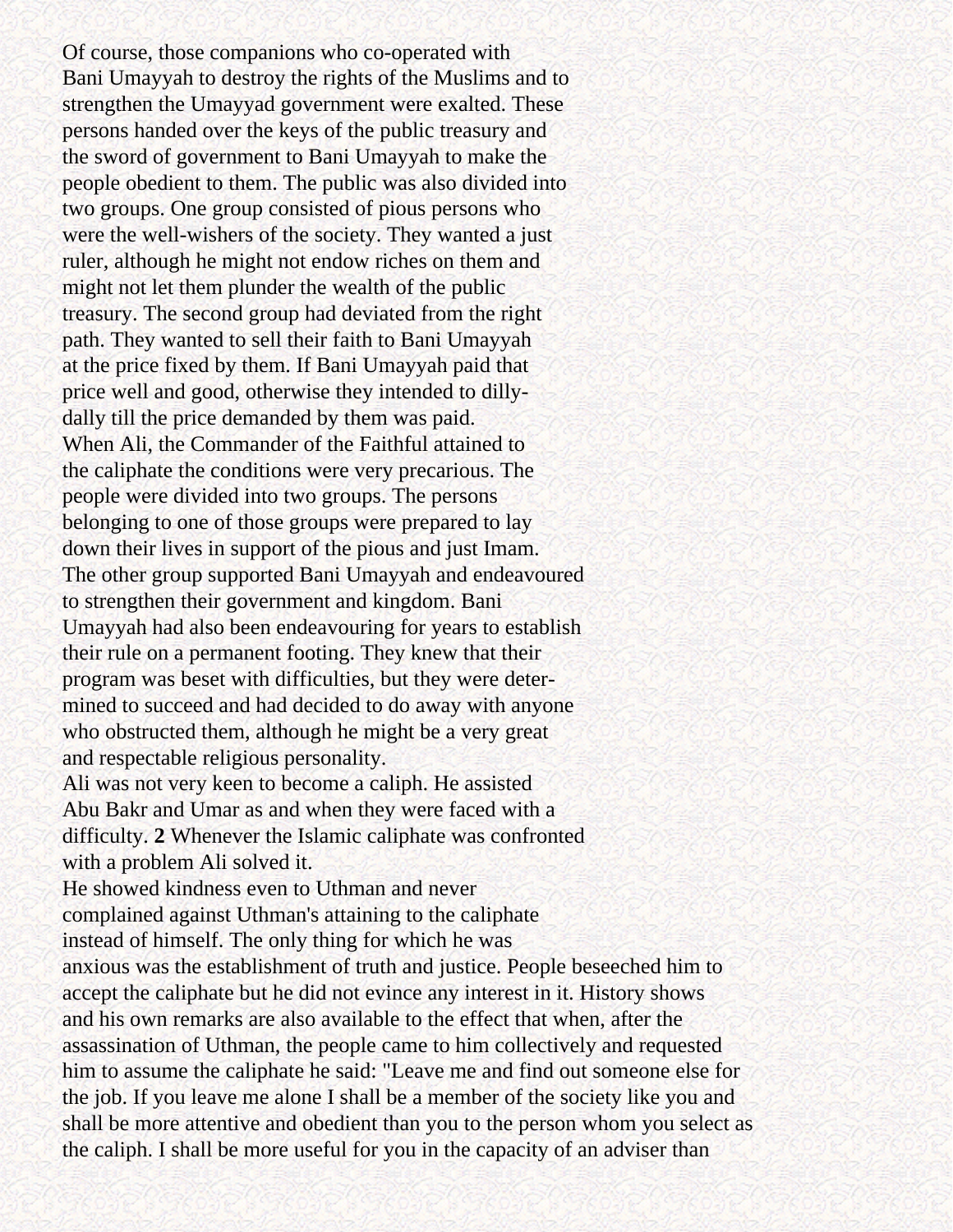Of course, those companions who co-operated with Bani Umayyah to destroy the rights of the Muslims and to strengthen the Umayyad government were exalted. These persons handed over the keys of the public treasury and the sword of government to Bani Umayyah to make the people obedient to them. The public was also divided into two groups. One group consisted of pious persons who were the well-wishers of the society. They wanted a just ruler, although he might not endow riches on them and might not let them plunder the wealth of the public treasury. The second group had deviated from the right path. They wanted to sell their faith to Bani Umayyah at the price fixed by them. If Bani Umayyah paid that price well and good, otherwise they intended to dillydally till the price demanded by them was paid. When Ali, the Commander of the Faithful attained to the caliphate the conditions were very precarious. The people were divided into two groups. The persons belonging to one of those groups were prepared to lay down their lives in support of the pious and just Imam. The other group supported Bani Umayyah and endeavoured to strengthen their government and kingdom. Bani Umayyah had also been endeavouring for years to establish their rule on a permanent footing. They knew that their program was beset with difficulties, but they were determined to succeed and had decided to do away with anyone who obstructed them, although he might be a very great and respectable religious personality.

Ali was not very keen to become a caliph. He assisted Abu Bakr and Umar as and when they were faced with a difficulty. **2** Whenever the Islamic caliphate was confronted with a problem Ali solved it.

He showed kindness even to Uthman and never complained against Uthman's attaining to the caliphate instead of himself. The only thing for which he was anxious was the establishment of truth and justice. People beseeched him to accept the caliphate but he did not evince any interest in it. History shows and his own remarks are also available to the effect that when, after the assassination of Uthman, the people came to him collectively and requested him to assume the caliphate he said: "Leave me and find out someone else for the job. If you leave me alone I shall be a member of the society like you and shall be more attentive and obedient than you to the person whom you select as the caliph. I shall be more useful for you in the capacity of an adviser than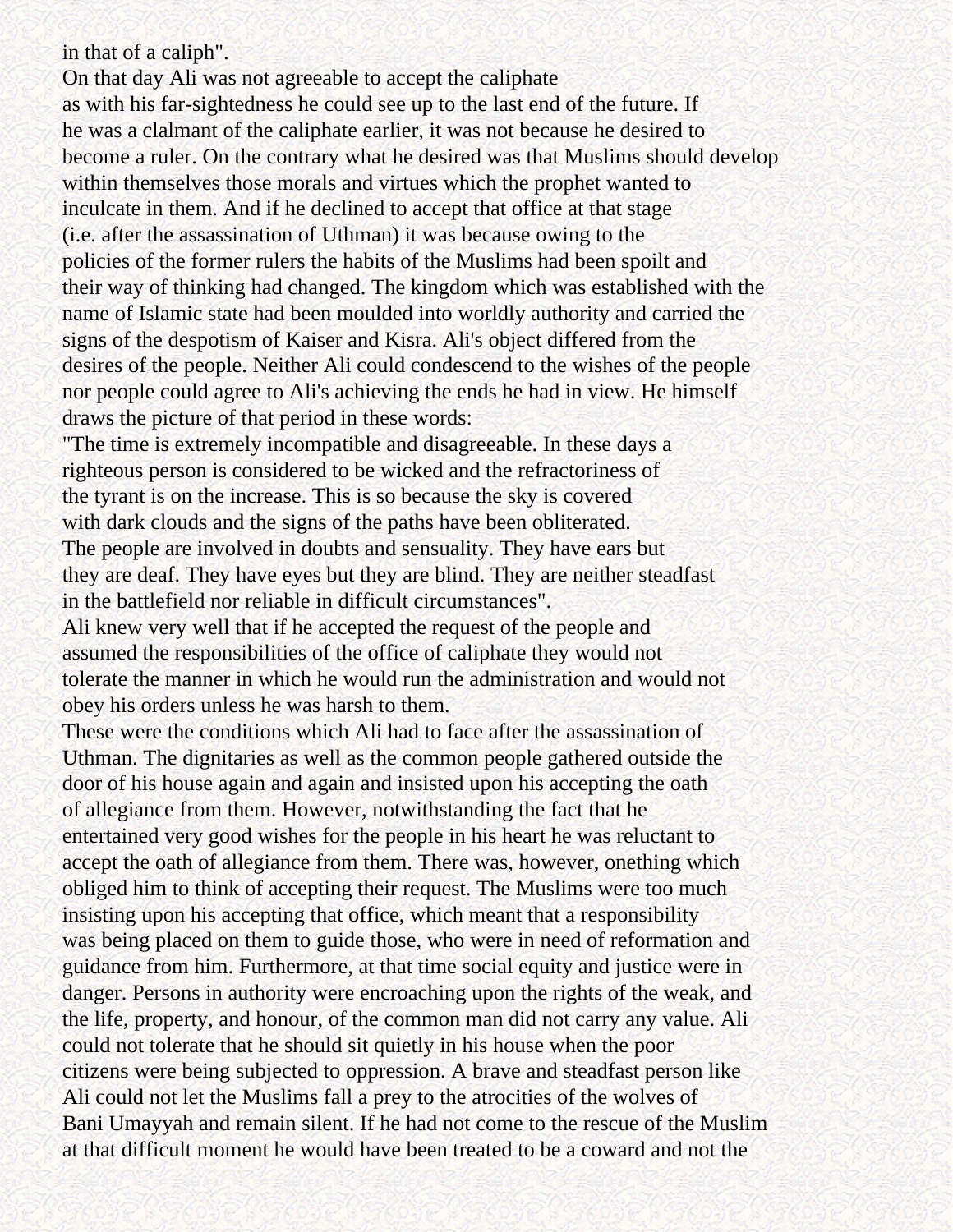in that of a caliph".

On that day Ali was not agreeable to accept the caliphate as with his far-sightedness he could see up to the last end of the future. If he was a clalmant of the caliphate earlier, it was not because he desired to become a ruler. On the contrary what he desired was that Muslims should develop within themselves those morals and virtues which the prophet wanted to inculcate in them. And if he declined to accept that office at that stage (i.e. after the assassination of Uthman) it was because owing to the policies of the former rulers the habits of the Muslims had been spoilt and their way of thinking had changed. The kingdom which was established with the name of Islamic state had been moulded into worldly authority and carried the signs of the despotism of Kaiser and Kisra. Ali's object differed from the desires of the people. Neither Ali could condescend to the wishes of the people nor people could agree to Ali's achieving the ends he had in view. He himself draws the picture of that period in these words:

"The time is extremely incompatible and disagreeable. In these days a righteous person is considered to be wicked and the refractoriness of the tyrant is on the increase. This is so because the sky is covered with dark clouds and the signs of the paths have been obliterated. The people are involved in doubts and sensuality. They have ears but they are deaf. They have eyes but they are blind. They are neither steadfast in the battlefield nor reliable in difficult circumstances".

Ali knew very well that if he accepted the request of the people and assumed the responsibilities of the office of caliphate they would not tolerate the manner in which he would run the administration and would not obey his orders unless he was harsh to them.

These were the conditions which Ali had to face after the assassination of Uthman. The dignitaries as well as the common people gathered outside the door of his house again and again and insisted upon his accepting the oath of allegiance from them. However, notwithstanding the fact that he entertained very good wishes for the people in his heart he was reluctant to accept the oath of allegiance from them. There was, however, onething which obliged him to think of accepting their request. The Muslims were too much insisting upon his accepting that office, which meant that a responsibility was being placed on them to guide those, who were in need of reformation and guidance from him. Furthermore, at that time social equity and justice were in danger. Persons in authority were encroaching upon the rights of the weak, and the life, property, and honour, of the common man did not carry any value. Ali could not tolerate that he should sit quietly in his house when the poor citizens were being subjected to oppression. A brave and steadfast person like Ali could not let the Muslims fall a prey to the atrocities of the wolves of Bani Umayyah and remain silent. If he had not come to the rescue of the Muslim at that difficult moment he would have been treated to be a coward and not the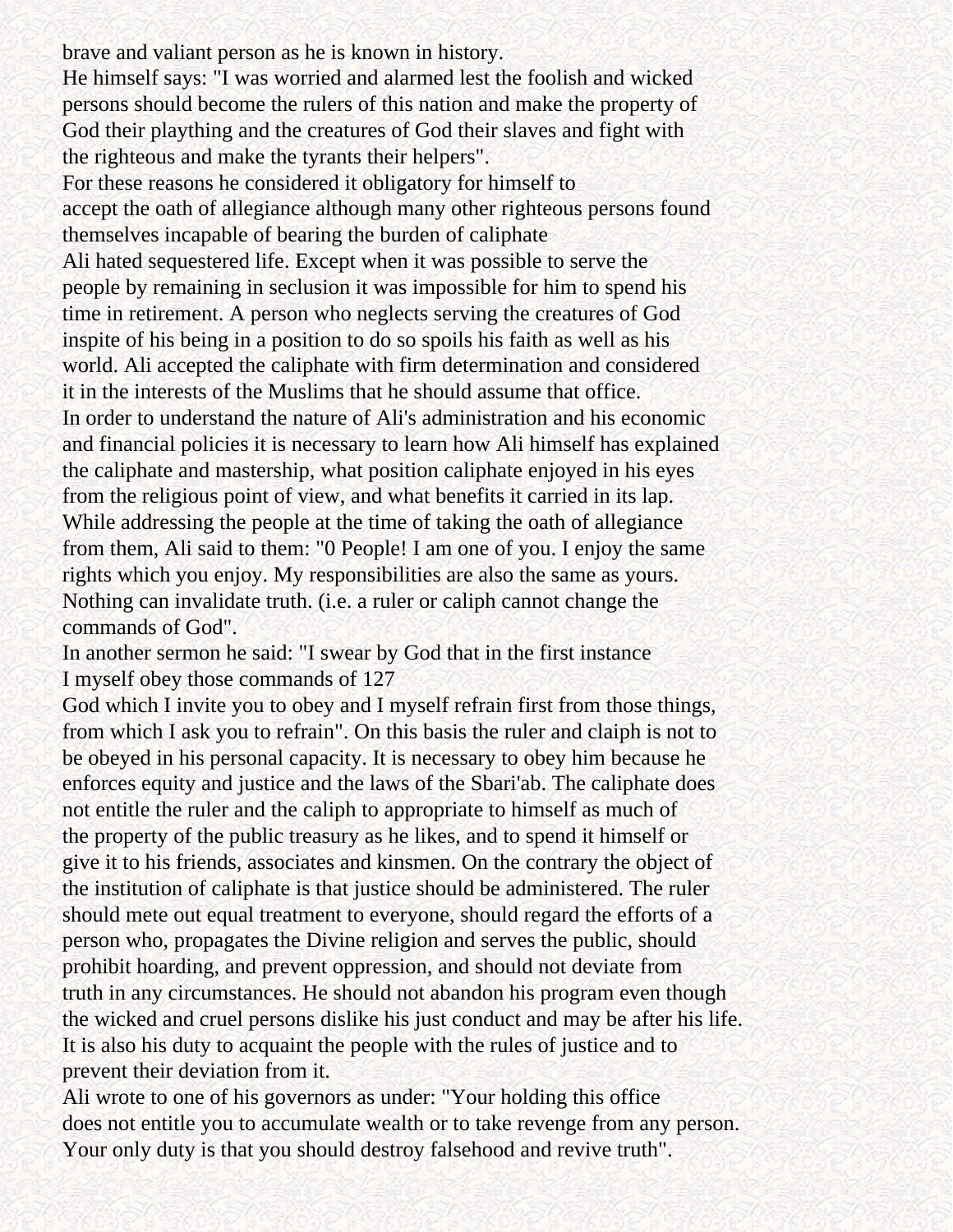brave and valiant person as he is known in history. He himself says: "I was worried and alarmed lest the foolish and wicked persons should become the rulers of this nation and make the property of God their plaything and the creatures of God their slaves and fight with the righteous and make the tyrants their helpers". For these reasons he considered it obligatory for himself to accept the oath of allegiance although many other righteous persons found themselves incapable of bearing the burden of caliphate Ali hated sequestered life. Except when it was possible to serve the people by remaining in seclusion it was impossible for him to spend his time in retirement. A person who neglects serving the creatures of God inspite of his being in a position to do so spoils his faith as well as his world. Ali accepted the caliphate with firm determination and considered it in the interests of the Muslims that he should assume that office. In order to understand the nature of Ali's administration and his economic and financial policies it is necessary to learn how Ali himself has explained the caliphate and mastership, what position caliphate enjoyed in his eyes from the religious point of view, and what benefits it carried in its lap. While addressing the people at the time of taking the oath of allegiance from them, Ali said to them: "0 People! I am one of you. I enjoy the same rights which you enjoy. My responsibilities are also the same as yours. Nothing can invalidate truth. (i.e. a ruler or caliph cannot change the commands of God".

In another sermon he said: "I swear by God that in the first instance I myself obey those commands of 127

God which I invite you to obey and I myself refrain first from those things, from which I ask you to refrain". On this basis the ruler and claiph is not to be obeyed in his personal capacity. It is necessary to obey him because he enforces equity and justice and the laws of the Sbari'ab. The caliphate does not entitle the ruler and the caliph to appropriate to himself as much of the property of the public treasury as he likes, and to spend it himself or give it to his friends, associates and kinsmen. On the contrary the object of the institution of caliphate is that justice should be administered. The ruler should mete out equal treatment to everyone, should regard the efforts of a person who, propagates the Divine religion and serves the public, should prohibit hoarding, and prevent oppression, and should not deviate from truth in any circumstances. He should not abandon his program even though the wicked and cruel persons dislike his just conduct and may be after his life. It is also his duty to acquaint the people with the rules of justice and to prevent their deviation from it.

Ali wrote to one of his governors as under: "Your holding this office does not entitle you to accumulate wealth or to take revenge from any person. Your only duty is that you should destroy falsehood and revive truth".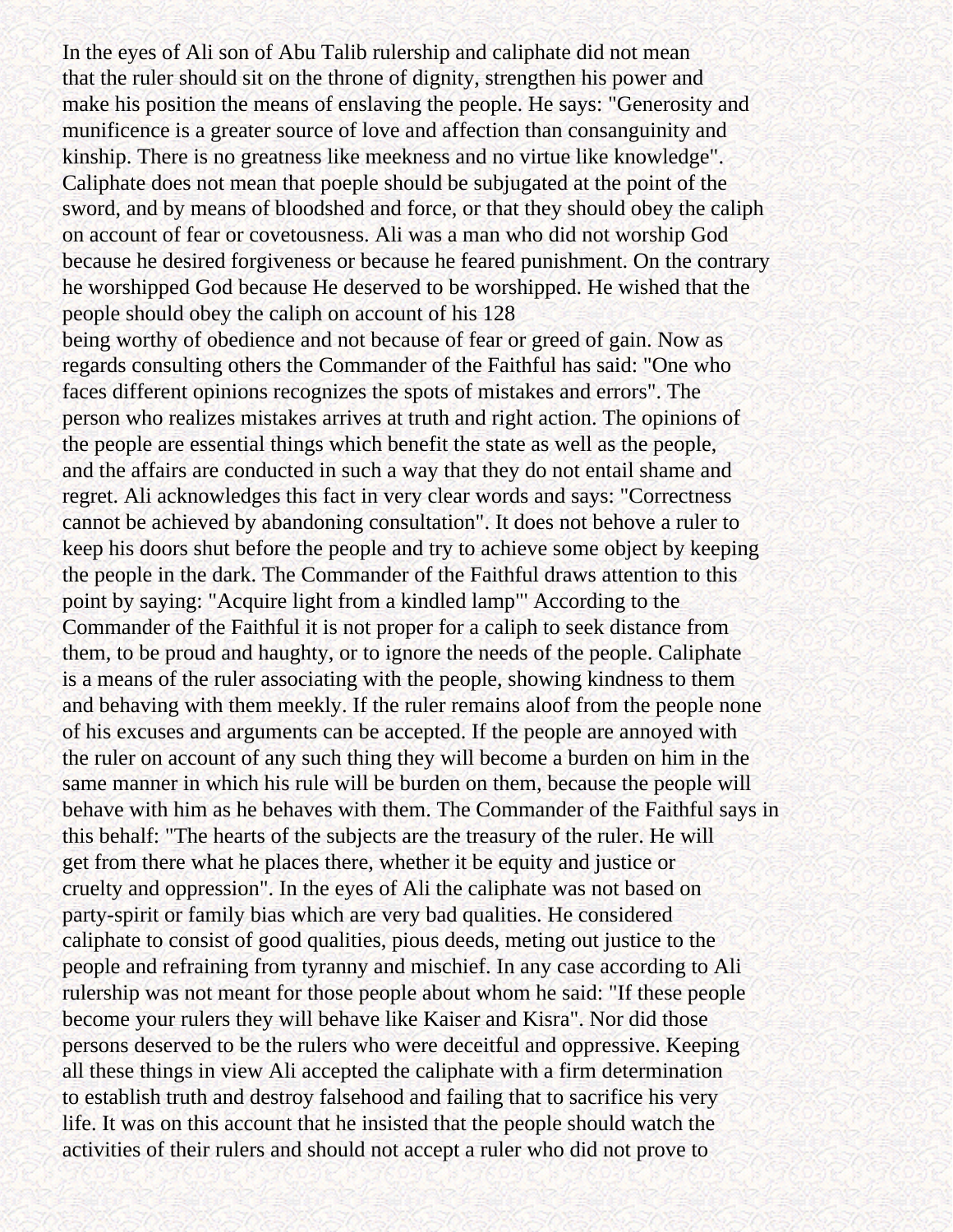In the eyes of Ali son of Abu Talib rulership and caliphate did not mean that the ruler should sit on the throne of dignity, strengthen his power and make his position the means of enslaving the people. He says: "Generosity and munificence is a greater source of love and affection than consanguinity and kinship. There is no greatness like meekness and no virtue like knowledge". Caliphate does not mean that poeple should be subjugated at the point of the sword, and by means of bloodshed and force, or that they should obey the caliph on account of fear or covetousness. Ali was a man who did not worship God because he desired forgiveness or because he feared punishment. On the contrary he worshipped God because He deserved to be worshipped. He wished that the people should obey the caliph on account of his 128

being worthy of obedience and not because of fear or greed of gain. Now as regards consulting others the Commander of the Faithful has said: "One who faces different opinions recognizes the spots of mistakes and errors". The person who realizes mistakes arrives at truth and right action. The opinions of the people are essential things which benefit the state as well as the people, and the affairs are conducted in such a way that they do not entail shame and regret. Ali acknowledges this fact in very clear words and says: "Correctness cannot be achieved by abandoning consultation". It does not behove a ruler to keep his doors shut before the people and try to achieve some object by keeping the people in the dark. The Commander of the Faithful draws attention to this point by saying: "Acquire light from a kindled lamp"' According to the Commander of the Faithful it is not proper for a caliph to seek distance from them, to be proud and haughty, or to ignore the needs of the people. Caliphate is a means of the ruler associating with the people, showing kindness to them and behaving with them meekly. If the ruler remains aloof from the people none of his excuses and arguments can be accepted. If the people are annoyed with the ruler on account of any such thing they will become a burden on him in the same manner in which his rule will be burden on them, because the people will behave with him as he behaves with them. The Commander of the Faithful says in this behalf: "The hearts of the subjects are the treasury of the ruler. He will get from there what he places there, whether it be equity and justice or cruelty and oppression". In the eyes of Ali the caliphate was not based on party-spirit or family bias which are very bad qualities. He considered caliphate to consist of good qualities, pious deeds, meting out justice to the people and refraining from tyranny and mischief. In any case according to Ali rulership was not meant for those people about whom he said: "If these people become your rulers they will behave like Kaiser and Kisra". Nor did those persons deserved to be the rulers who were deceitful and oppressive. Keeping all these things in view Ali accepted the caliphate with a firm determination to establish truth and destroy falsehood and failing that to sacrifice his very life. It was on this account that he insisted that the people should watch the activities of their rulers and should not accept a ruler who did not prove to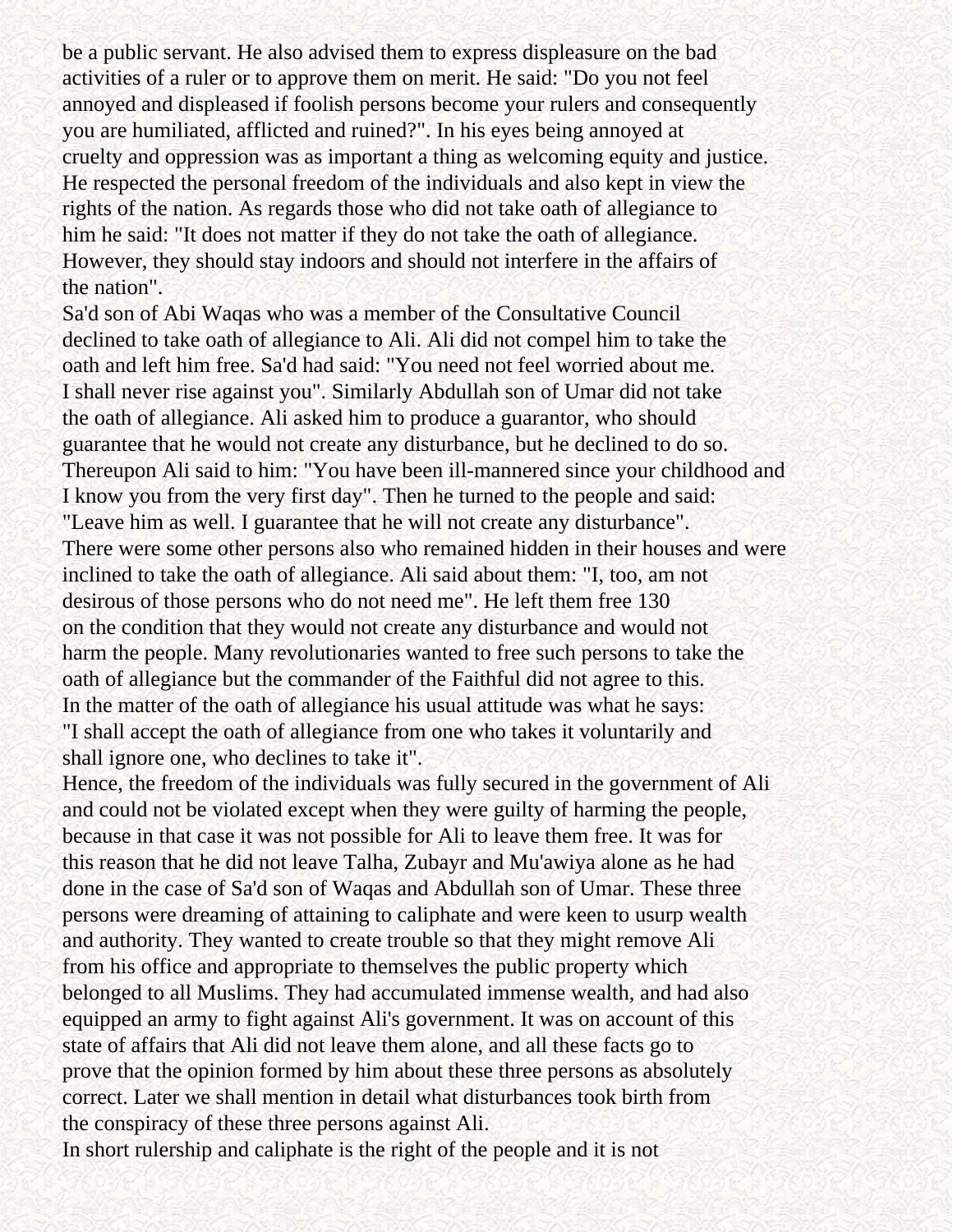be a public servant. He also advised them to express displeasure on the bad activities of a ruler or to approve them on merit. He said: "Do you not feel annoyed and displeased if foolish persons become your rulers and consequently you are humiliated, afflicted and ruined?". In his eyes being annoyed at cruelty and oppression was as important a thing as welcoming equity and justice. He respected the personal freedom of the individuals and also kept in view the rights of the nation. As regards those who did not take oath of allegiance to him he said: "It does not matter if they do not take the oath of allegiance. However, they should stay indoors and should not interfere in the affairs of the nation".

Sa'd son of Abi Waqas who was a member of the Consultative Council declined to take oath of allegiance to Ali. Ali did not compel him to take the oath and left him free. Sa'd had said: "You need not feel worried about me. I shall never rise against you". Similarly Abdullah son of Umar did not take the oath of allegiance. Ali asked him to produce a guarantor, who should guarantee that he would not create any disturbance, but he declined to do so. Thereupon Ali said to him: "You have been ill-mannered since your childhood and I know you from the very first day". Then he turned to the people and said: "Leave him as well. I guarantee that he will not create any disturbance". There were some other persons also who remained hidden in their houses and were inclined to take the oath of allegiance. Ali said about them: "I, too, am not desirous of those persons who do not need me". He left them free 130 on the condition that they would not create any disturbance and would not harm the people. Many revolutionaries wanted to free such persons to take the oath of allegiance but the commander of the Faithful did not agree to this. In the matter of the oath of allegiance his usual attitude was what he says: "I shall accept the oath of allegiance from one who takes it voluntarily and shall ignore one, who declines to take it".

Hence, the freedom of the individuals was fully secured in the government of Ali and could not be violated except when they were guilty of harming the people, because in that case it was not possible for Ali to leave them free. It was for this reason that he did not leave Talha, Zubayr and Mu'awiya alone as he had done in the case of Sa'd son of Waqas and Abdullah son of Umar. These three persons were dreaming of attaining to caliphate and were keen to usurp wealth and authority. They wanted to create trouble so that they might remove Ali from his office and appropriate to themselves the public property which belonged to all Muslims. They had accumulated immense wealth, and had also equipped an army to fight against Ali's government. It was on account of this state of affairs that Ali did not leave them alone, and all these facts go to prove that the opinion formed by him about these three persons as absolutely correct. Later we shall mention in detail what disturbances took birth from the conspiracy of these three persons against Ali.

In short rulership and caliphate is the right of the people and it is not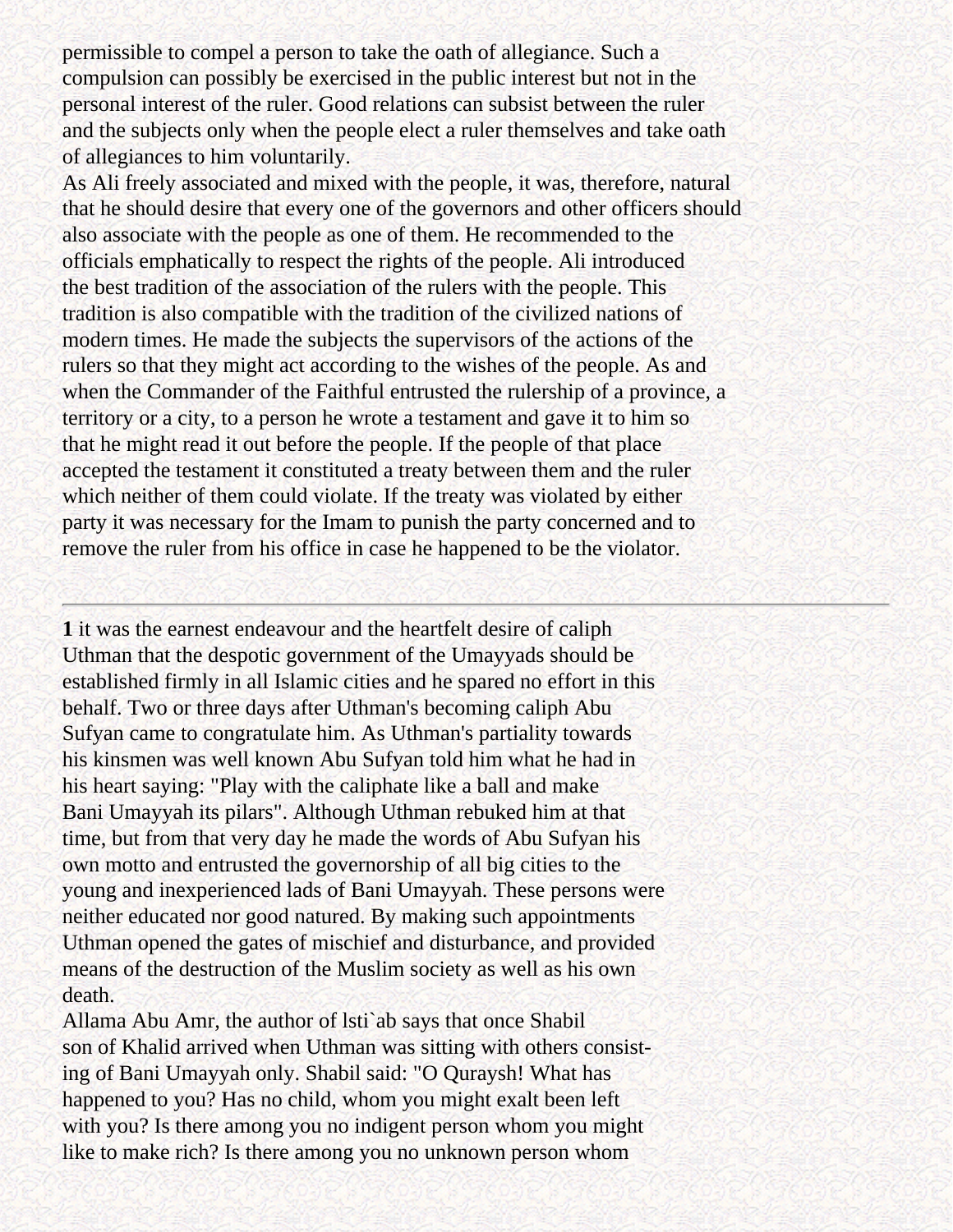permissible to compel a person to take the oath of allegiance. Such a compulsion can possibly be exercised in the public interest but not in the personal interest of the ruler. Good relations can subsist between the ruler and the subjects only when the people elect a ruler themselves and take oath of allegiances to him voluntarily.

As Ali freely associated and mixed with the people, it was, therefore, natural that he should desire that every one of the governors and other officers should also associate with the people as one of them. He recommended to the officials emphatically to respect the rights of the people. Ali introduced the best tradition of the association of the rulers with the people. This tradition is also compatible with the tradition of the civilized nations of modern times. He made the subjects the supervisors of the actions of the rulers so that they might act according to the wishes of the people. As and when the Commander of the Faithful entrusted the rulership of a province, a territory or a city, to a person he wrote a testament and gave it to him so that he might read it out before the people. If the people of that place accepted the testament it constituted a treaty between them and the ruler which neither of them could violate. If the treaty was violated by either party it was necessary for the Imam to punish the party concerned and to remove the ruler from his office in case he happened to be the violator.

**1** it was the earnest endeavour and the heartfelt desire of caliph Uthman that the despotic government of the Umayyads should be established firmly in all Islamic cities and he spared no effort in this behalf. Two or three days after Uthman's becoming caliph Abu Sufyan came to congratulate him. As Uthman's partiality towards his kinsmen was well known Abu Sufyan told him what he had in his heart saying: "Play with the caliphate like a ball and make Bani Umayyah its pilars". Although Uthman rebuked him at that time, but from that very day he made the words of Abu Sufyan his own motto and entrusted the governorship of all big cities to the young and inexperienced lads of Bani Umayyah. These persons were neither educated nor good natured. By making such appointments Uthman opened the gates of mischief and disturbance, and provided means of the destruction of the Muslim society as well as his own death.

Allama Abu Amr, the author of lsti`ab says that once Shabil son of Khalid arrived when Uthman was sitting with others consisting of Bani Umayyah only. Shabil said: "O Quraysh! What has happened to you? Has no child, whom you might exalt been left with you? Is there among you no indigent person whom you might like to make rich? Is there among you no unknown person whom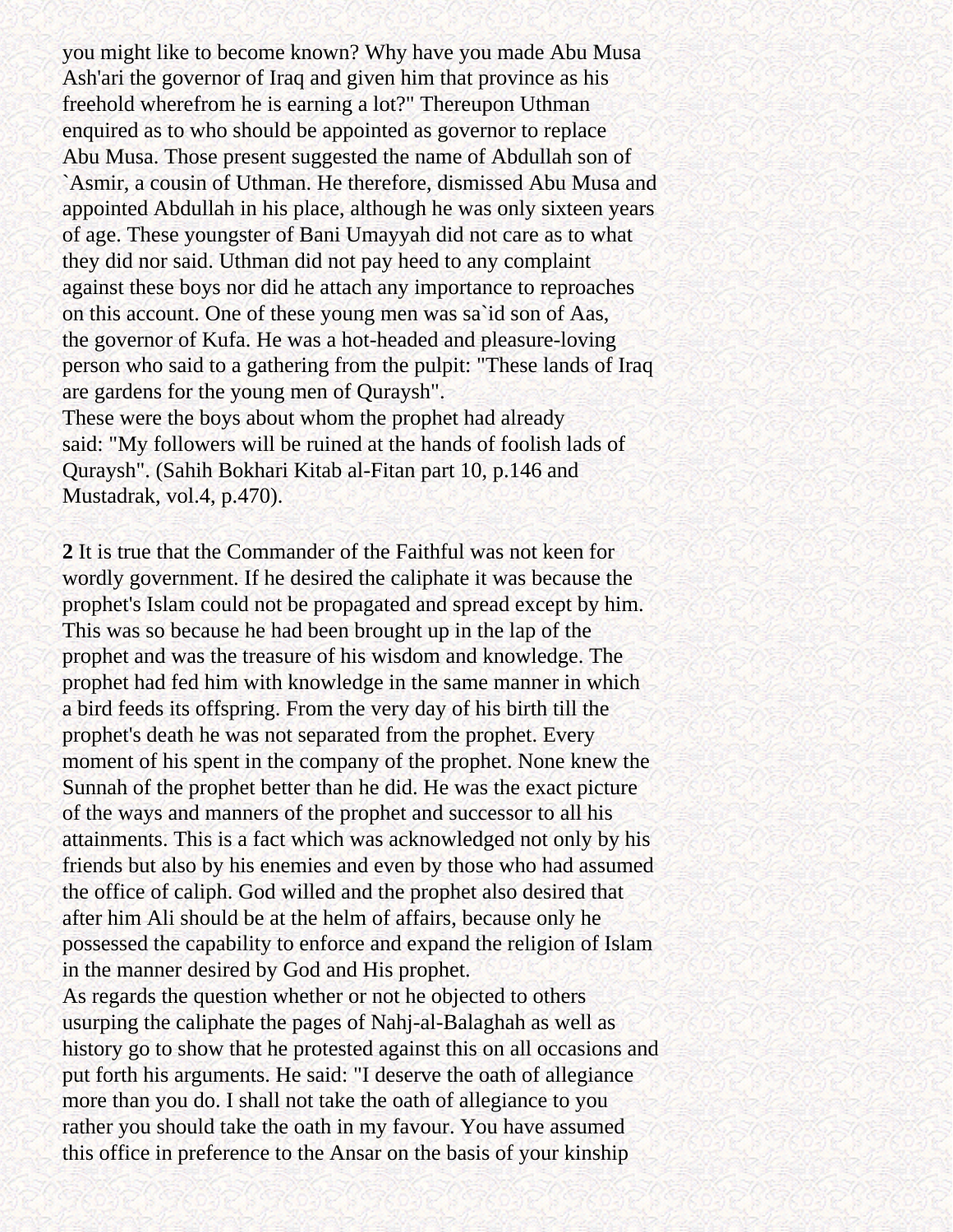you might like to become known? Why have you made Abu Musa Ash'ari the governor of Iraq and given him that province as his freehold wherefrom he is earning a lot?" Thereupon Uthman enquired as to who should be appointed as governor to replace Abu Musa. Those present suggested the name of Abdullah son of `Asmir, a cousin of Uthman. He therefore, dismissed Abu Musa and appointed Abdullah in his place, although he was only sixteen years of age. These youngster of Bani Umayyah did not care as to what they did nor said. Uthman did not pay heed to any complaint against these boys nor did he attach any importance to reproaches on this account. One of these young men was sa`id son of Aas, the governor of Kufa. He was a hot-headed and pleasure-loving person who said to a gathering from the pulpit: "These lands of Iraq are gardens for the young men of Quraysh". These were the boys about whom the prophet had already said: "My followers will be ruined at the hands of foolish lads of Quraysh". (Sahih Bokhari Kitab al-Fitan part 10, p.146 and Mustadrak, vol.4, p.470).

**2** It is true that the Commander of the Faithful was not keen for wordly government. If he desired the caliphate it was because the prophet's Islam could not be propagated and spread except by him. This was so because he had been brought up in the lap of the prophet and was the treasure of his wisdom and knowledge. The prophet had fed him with knowledge in the same manner in which a bird feeds its offspring. From the very day of his birth till the prophet's death he was not separated from the prophet. Every moment of his spent in the company of the prophet. None knew the Sunnah of the prophet better than he did. He was the exact picture of the ways and manners of the prophet and successor to all his attainments. This is a fact which was acknowledged not only by his friends but also by his enemies and even by those who had assumed the office of caliph. God willed and the prophet also desired that after him Ali should be at the helm of affairs, because only he possessed the capability to enforce and expand the religion of Islam in the manner desired by God and His prophet. As regards the question whether or not he objected to others

usurping the caliphate the pages of Nahj-al-Balaghah as well as history go to show that he protested against this on all occasions and put forth his arguments. He said: "I deserve the oath of allegiance more than you do. I shall not take the oath of allegiance to you rather you should take the oath in my favour. You have assumed this office in preference to the Ansar on the basis of your kinship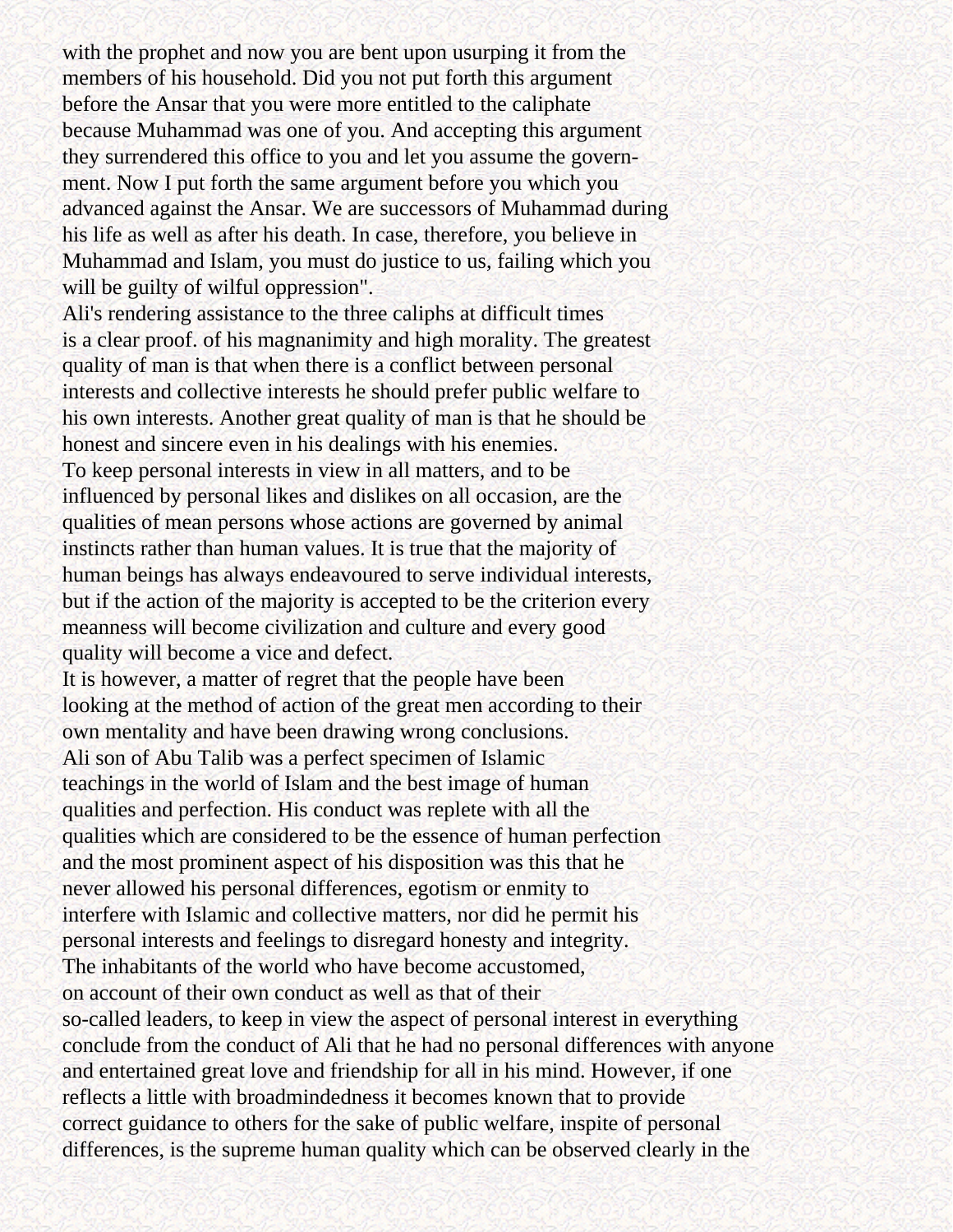with the prophet and now you are bent upon usurping it from the members of his household. Did you not put forth this argument before the Ansar that you were more entitled to the caliphate because Muhammad was one of you. And accepting this argument they surrendered this office to you and let you assume the government. Now I put forth the same argument before you which you advanced against the Ansar. We are successors of Muhammad during his life as well as after his death. In case, therefore, you believe in Muhammad and Islam, you must do justice to us, failing which you will be guilty of wilful oppression".

Ali's rendering assistance to the three caliphs at difficult times is a clear proof. of his magnanimity and high morality. The greatest quality of man is that when there is a conflict between personal interests and collective interests he should prefer public welfare to his own interests. Another great quality of man is that he should be honest and sincere even in his dealings with his enemies. To keep personal interests in view in all matters, and to be influenced by personal likes and dislikes on all occasion, are the qualities of mean persons whose actions are governed by animal instincts rather than human values. It is true that the majority of human beings has always endeavoured to serve individual interests, but if the action of the majority is accepted to be the criterion every meanness will become civilization and culture and every good quality will become a vice and defect.

It is however, a matter of regret that the people have been looking at the method of action of the great men according to their own mentality and have been drawing wrong conclusions. Ali son of Abu Talib was a perfect specimen of Islamic teachings in the world of Islam and the best image of human qualities and perfection. His conduct was replete with all the qualities which are considered to be the essence of human perfection and the most prominent aspect of his disposition was this that he never allowed his personal differences, egotism or enmity to interfere with Islamic and collective matters, nor did he permit his personal interests and feelings to disregard honesty and integrity. The inhabitants of the world who have become accustomed, on account of their own conduct as well as that of their so-called leaders, to keep in view the aspect of personal interest in everything conclude from the conduct of Ali that he had no personal differences with anyone and entertained great love and friendship for all in his mind. However, if one reflects a little with broadmindedness it becomes known that to provide correct guidance to others for the sake of public welfare, inspite of personal differences, is the supreme human quality which can be observed clearly in the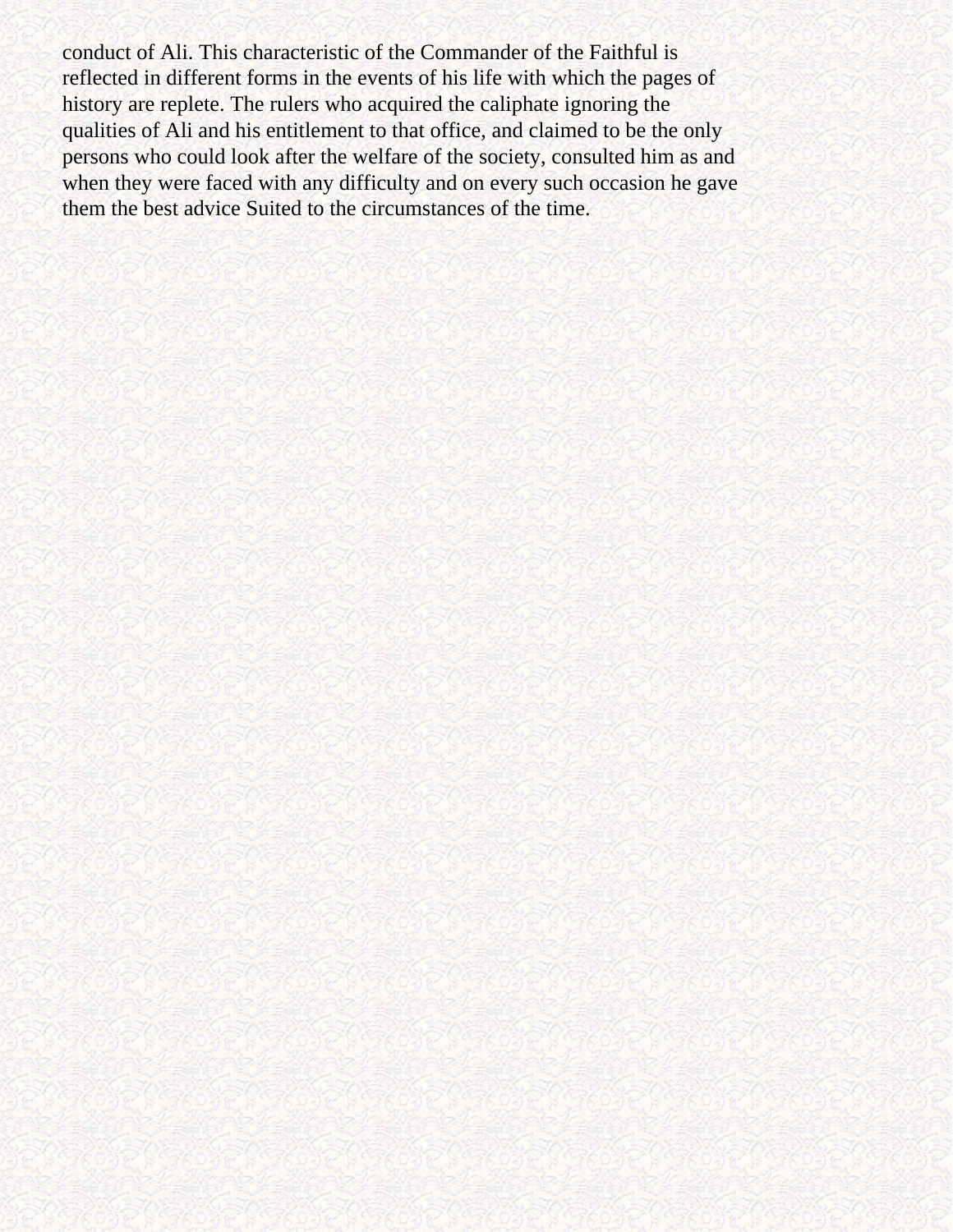conduct of Ali. This characteristic of the Commander of the Faithful is reflected in different forms in the events of his life with which the pages of history are replete. The rulers who acquired the caliphate ignoring the qualities of Ali and his entitlement to that office, and claimed to be the only persons who could look after the welfare of the society, consulted him as and when they were faced with any difficulty and on every such occasion he gave them the best advice Suited to the circumstances of the time.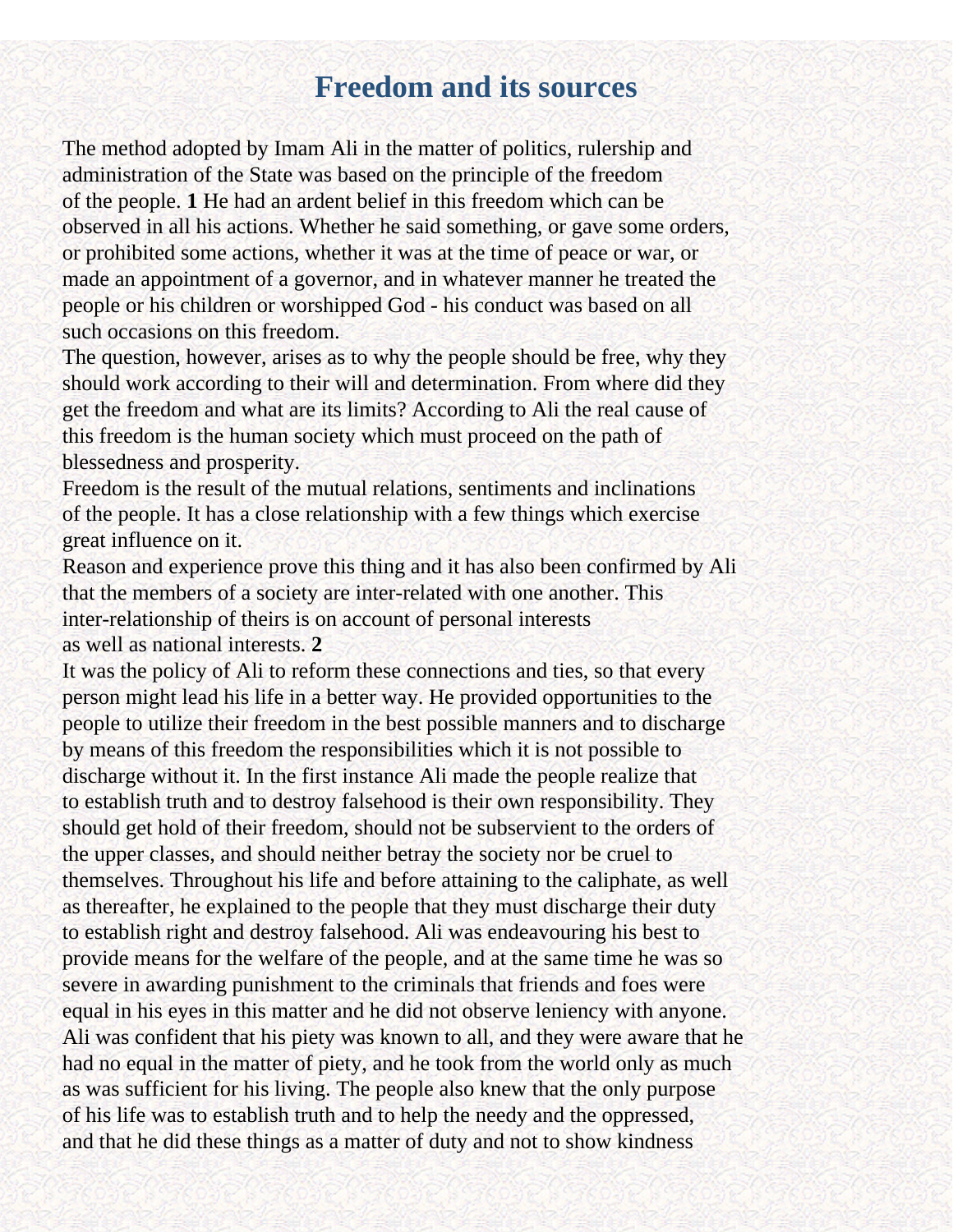## **Freedom and its sources**

The method adopted by Imam Ali in the matter of politics, rulership and administration of the State was based on the principle of the freedom of the people. **1** He had an ardent belief in this freedom which can be observed in all his actions. Whether he said something, or gave some orders, or prohibited some actions, whether it was at the time of peace or war, or made an appointment of a governor, and in whatever manner he treated the people or his children or worshipped God - his conduct was based on all such occasions on this freedom.

The question, however, arises as to why the people should be free, why they should work according to their will and determination. From where did they get the freedom and what are its limits? According to Ali the real cause of this freedom is the human society which must proceed on the path of blessedness and prosperity.

Freedom is the result of the mutual relations, sentiments and inclinations of the people. It has a close relationship with a few things which exercise great influence on it.

Reason and experience prove this thing and it has also been confirmed by Ali that the members of a society are inter-related with one another. This inter-relationship of theirs is on account of personal interests as well as national interests. **2**

It was the policy of Ali to reform these connections and ties, so that every person might lead his life in a better way. He provided opportunities to the people to utilize their freedom in the best possible manners and to discharge by means of this freedom the responsibilities which it is not possible to discharge without it. In the first instance Ali made the people realize that to establish truth and to destroy falsehood is their own responsibility. They should get hold of their freedom, should not be subservient to the orders of the upper classes, and should neither betray the society nor be cruel to themselves. Throughout his life and before attaining to the caliphate, as well as thereafter, he explained to the people that they must discharge their duty to establish right and destroy falsehood. Ali was endeavouring his best to provide means for the welfare of the people, and at the same time he was so severe in awarding punishment to the criminals that friends and foes were equal in his eyes in this matter and he did not observe leniency with anyone. Ali was confident that his piety was known to all, and they were aware that he had no equal in the matter of piety, and he took from the world only as much as was sufficient for his living. The people also knew that the only purpose of his life was to establish truth and to help the needy and the oppressed, and that he did these things as a matter of duty and not to show kindness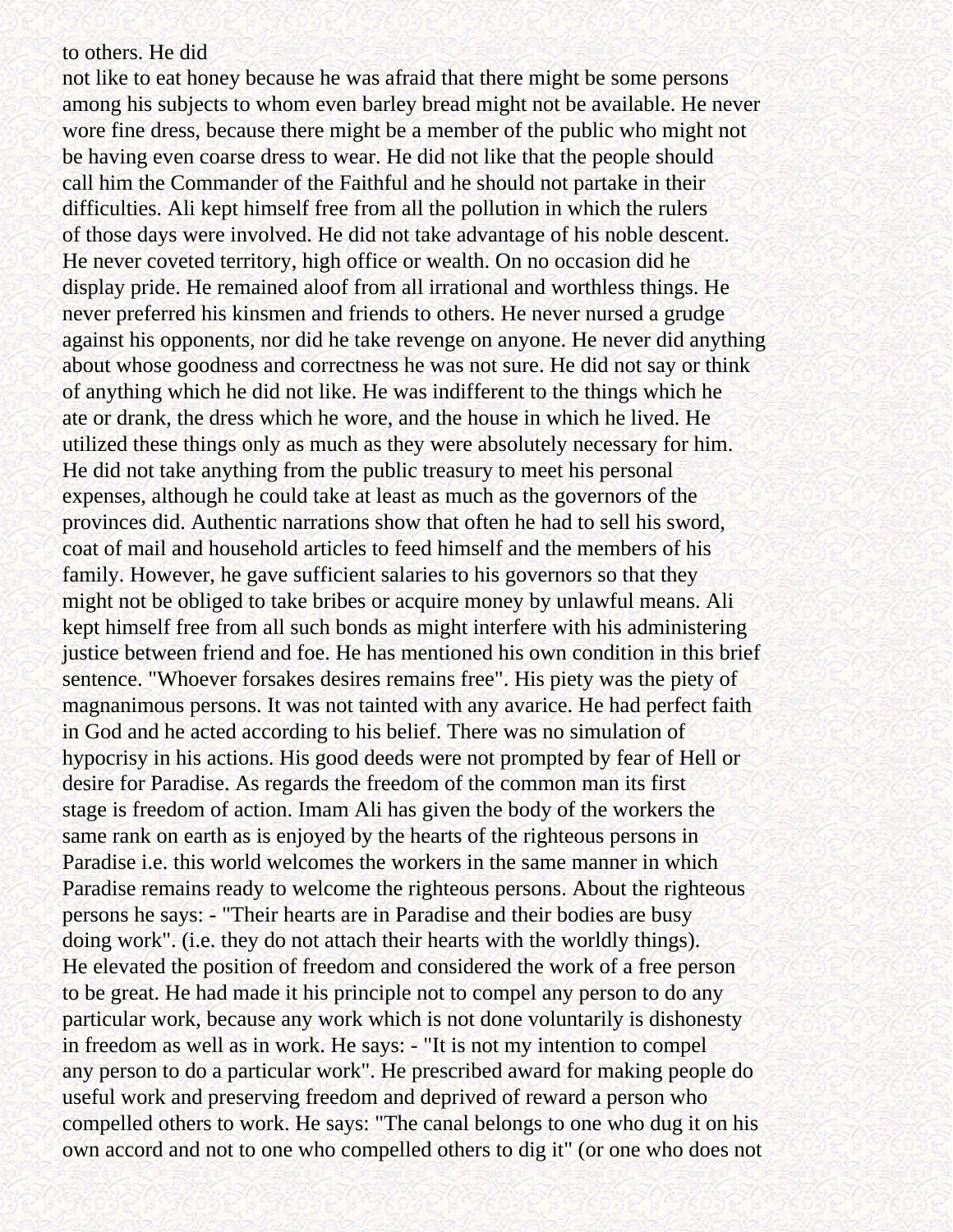#### to others. He did

not like to eat honey because he was afraid that there might be some persons among his subjects to whom even barley bread might not be available. He never wore fine dress, because there might be a member of the public who might not be having even coarse dress to wear. He did not like that the people should call him the Commander of the Faithful and he should not partake in their difficulties. Ali kept himself free from all the pollution in which the rulers of those days were involved. He did not take advantage of his noble descent. He never coveted territory, high office or wealth. On no occasion did he display pride. He remained aloof from all irrational and worthless things. He never preferred his kinsmen and friends to others. He never nursed a grudge against his opponents, nor did he take revenge on anyone. He never did anything about whose goodness and correctness he was not sure. He did not say or think of anything which he did not like. He was indifferent to the things which he ate or drank, the dress which he wore, and the house in which he lived. He utilized these things only as much as they were absolutely necessary for him. He did not take anything from the public treasury to meet his personal expenses, although he could take at least as much as the governors of the provinces did. Authentic narrations show that often he had to sell his sword, coat of mail and household articles to feed himself and the members of his family. However, he gave sufficient salaries to his governors so that they might not be obliged to take bribes or acquire money by unlawful means. Ali kept himself free from all such bonds as might interfere with his administering justice between friend and foe. He has mentioned his own condition in this brief sentence. "Whoever forsakes desires remains free". His piety was the piety of magnanimous persons. It was not tainted with any avarice. He had perfect faith in God and he acted according to his belief. There was no simulation of hypocrisy in his actions. His good deeds were not prompted by fear of Hell or desire for Paradise. As regards the freedom of the common man its first stage is freedom of action. Imam Ali has given the body of the workers the same rank on earth as is enjoyed by the hearts of the righteous persons in Paradise i.e. this world welcomes the workers in the same manner in which Paradise remains ready to welcome the righteous persons. About the righteous persons he says: - "Their hearts are in Paradise and their bodies are busy doing work". (i.e. they do not attach their hearts with the worldly things). He elevated the position of freedom and considered the work of a free person to be great. He had made it his principle not to compel any person to do any particular work, because any work which is not done voluntarily is dishonesty in freedom as well as in work. He says: - "It is not my intention to compel any person to do a particular work". He prescribed award for making people do useful work and preserving freedom and deprived of reward a person who compelled others to work. He says: "The canal belongs to one who dug it on his own accord and not to one who compelled others to dig it" (or one who does not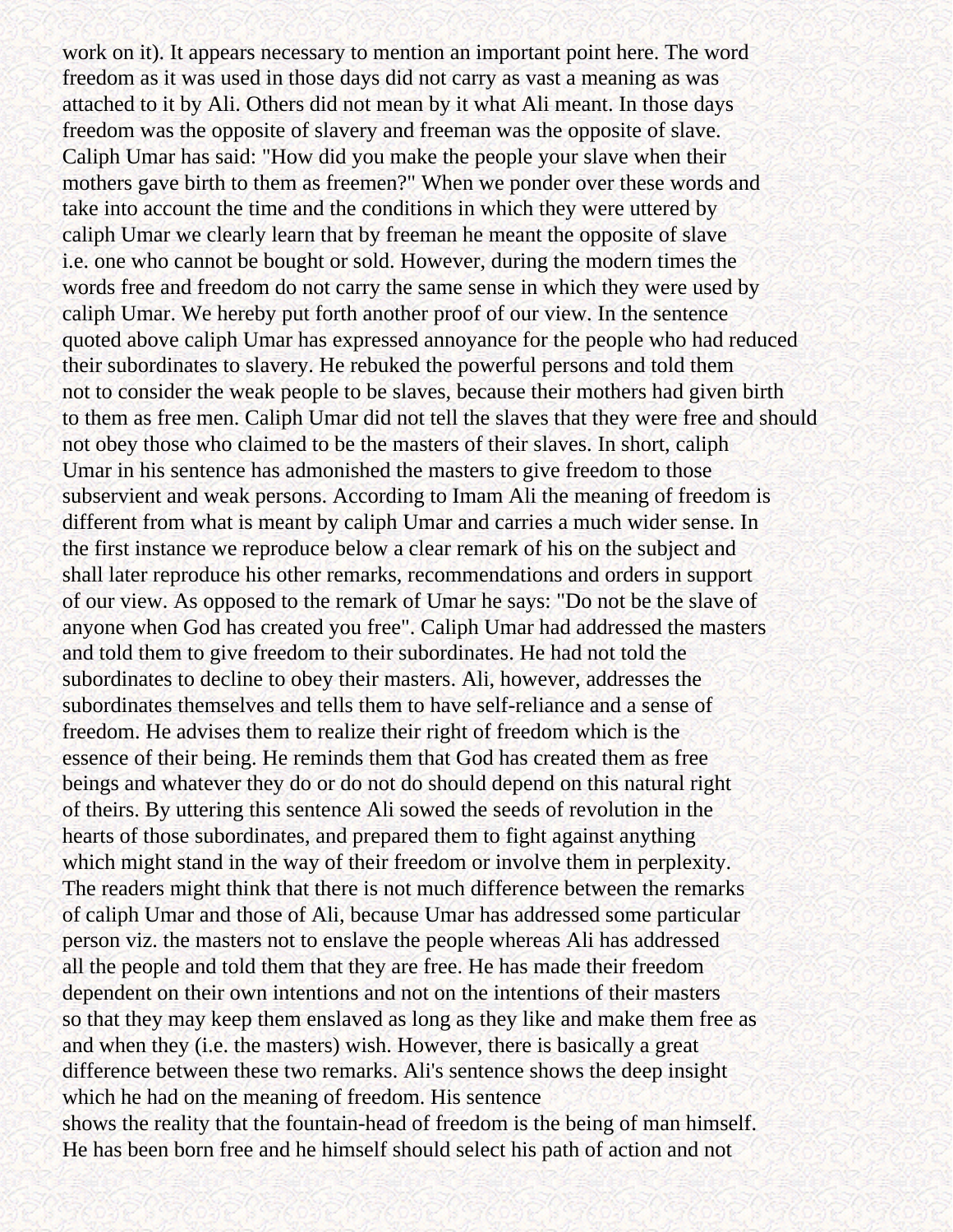work on it). It appears necessary to mention an important point here. The word freedom as it was used in those days did not carry as vast a meaning as was attached to it by Ali. Others did not mean by it what Ali meant. In those days freedom was the opposite of slavery and freeman was the opposite of slave. Caliph Umar has said: "How did you make the people your slave when their mothers gave birth to them as freemen?" When we ponder over these words and take into account the time and the conditions in which they were uttered by caliph Umar we clearly learn that by freeman he meant the opposite of slave i.e. one who cannot be bought or sold. However, during the modern times the words free and freedom do not carry the same sense in which they were used by caliph Umar. We hereby put forth another proof of our view. In the sentence quoted above caliph Umar has expressed annoyance for the people who had reduced their subordinates to slavery. He rebuked the powerful persons and told them not to consider the weak people to be slaves, because their mothers had given birth to them as free men. Caliph Umar did not tell the slaves that they were free and should not obey those who claimed to be the masters of their slaves. In short, caliph Umar in his sentence has admonished the masters to give freedom to those subservient and weak persons. According to Imam Ali the meaning of freedom is different from what is meant by caliph Umar and carries a much wider sense. In the first instance we reproduce below a clear remark of his on the subject and shall later reproduce his other remarks, recommendations and orders in support of our view. As opposed to the remark of Umar he says: "Do not be the slave of anyone when God has created you free". Caliph Umar had addressed the masters and told them to give freedom to their subordinates. He had not told the subordinates to decline to obey their masters. Ali, however, addresses the subordinates themselves and tells them to have self-reliance and a sense of freedom. He advises them to realize their right of freedom which is the essence of their being. He reminds them that God has created them as free beings and whatever they do or do not do should depend on this natural right of theirs. By uttering this sentence Ali sowed the seeds of revolution in the hearts of those subordinates, and prepared them to fight against anything which might stand in the way of their freedom or involve them in perplexity. The readers might think that there is not much difference between the remarks of caliph Umar and those of Ali, because Umar has addressed some particular person viz. the masters not to enslave the people whereas Ali has addressed all the people and told them that they are free. He has made their freedom dependent on their own intentions and not on the intentions of their masters so that they may keep them enslaved as long as they like and make them free as and when they (i.e. the masters) wish. However, there is basically a great difference between these two remarks. Ali's sentence shows the deep insight which he had on the meaning of freedom. His sentence shows the reality that the fountain-head of freedom is the being of man himself. He has been born free and he himself should select his path of action and not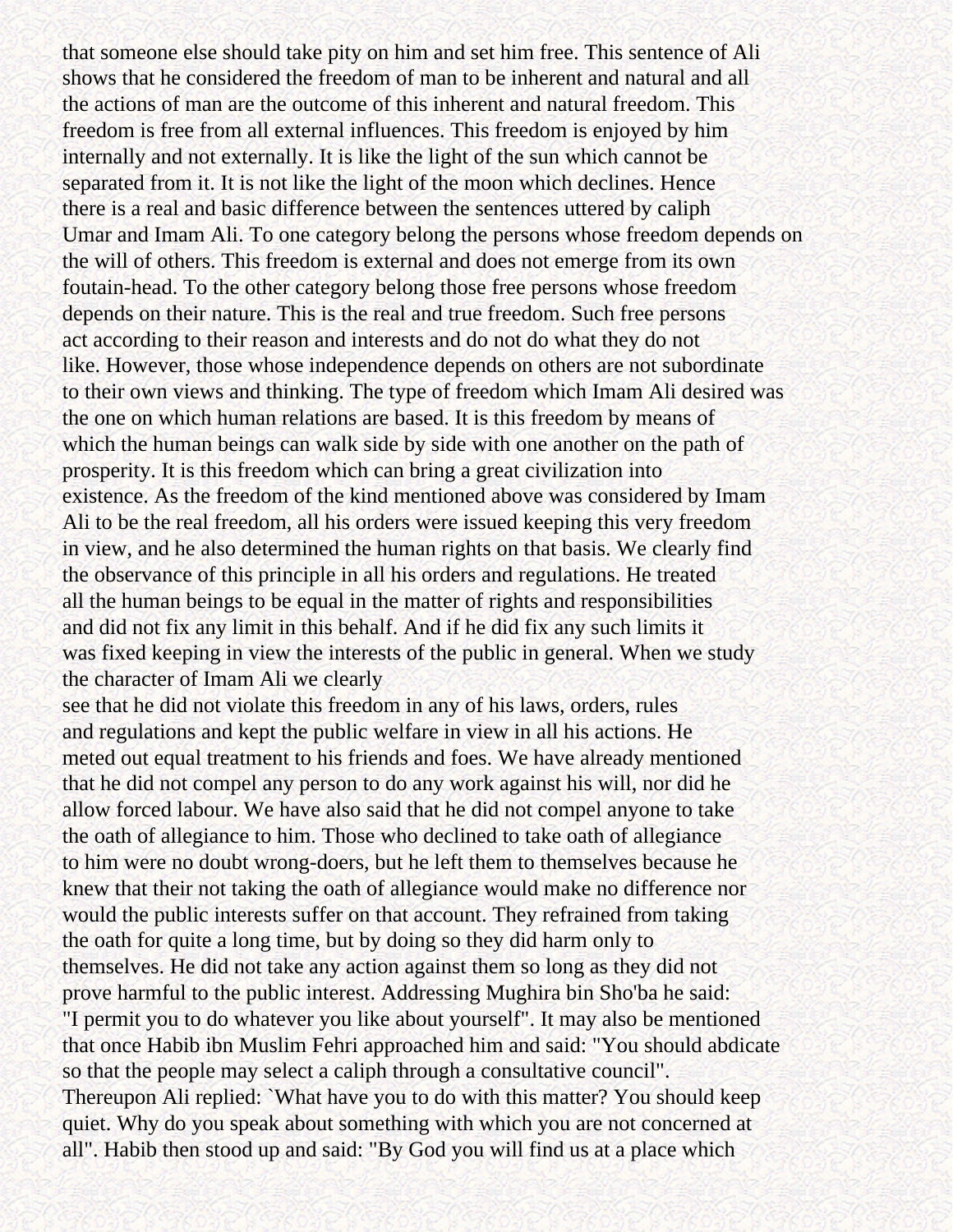that someone else should take pity on him and set him free. This sentence of Ali shows that he considered the freedom of man to be inherent and natural and all the actions of man are the outcome of this inherent and natural freedom. This freedom is free from all external influences. This freedom is enjoyed by him internally and not externally. It is like the light of the sun which cannot be separated from it. It is not like the light of the moon which declines. Hence there is a real and basic difference between the sentences uttered by caliph Umar and Imam Ali. To one category belong the persons whose freedom depends on the will of others. This freedom is external and does not emerge from its own foutain-head. To the other category belong those free persons whose freedom depends on their nature. This is the real and true freedom. Such free persons act according to their reason and interests and do not do what they do not like. However, those whose independence depends on others are not subordinate to their own views and thinking. The type of freedom which Imam Ali desired was the one on which human relations are based. It is this freedom by means of which the human beings can walk side by side with one another on the path of prosperity. It is this freedom which can bring a great civilization into existence. As the freedom of the kind mentioned above was considered by Imam Ali to be the real freedom, all his orders were issued keeping this very freedom in view, and he also determined the human rights on that basis. We clearly find the observance of this principle in all his orders and regulations. He treated all the human beings to be equal in the matter of rights and responsibilities and did not fix any limit in this behalf. And if he did fix any such limits it was fixed keeping in view the interests of the public in general. When we study the character of Imam Ali we clearly

see that he did not violate this freedom in any of his laws, orders, rules and regulations and kept the public welfare in view in all his actions. He meted out equal treatment to his friends and foes. We have already mentioned that he did not compel any person to do any work against his will, nor did he allow forced labour. We have also said that he did not compel anyone to take the oath of allegiance to him. Those who declined to take oath of allegiance to him were no doubt wrong-doers, but he left them to themselves because he knew that their not taking the oath of allegiance would make no difference nor would the public interests suffer on that account. They refrained from taking the oath for quite a long time, but by doing so they did harm only to themselves. He did not take any action against them so long as they did not prove harmful to the public interest. Addressing Mughira bin Sho'ba he said: "I permit you to do whatever you like about yourself". It may also be mentioned that once Habib ibn Muslim Fehri approached him and said: "You should abdicate so that the people may select a caliph through a consultative council". Thereupon Ali replied: `What have you to do with this matter? You should keep quiet. Why do you speak about something with which you are not concerned at all". Habib then stood up and said: "By God you will find us at a place which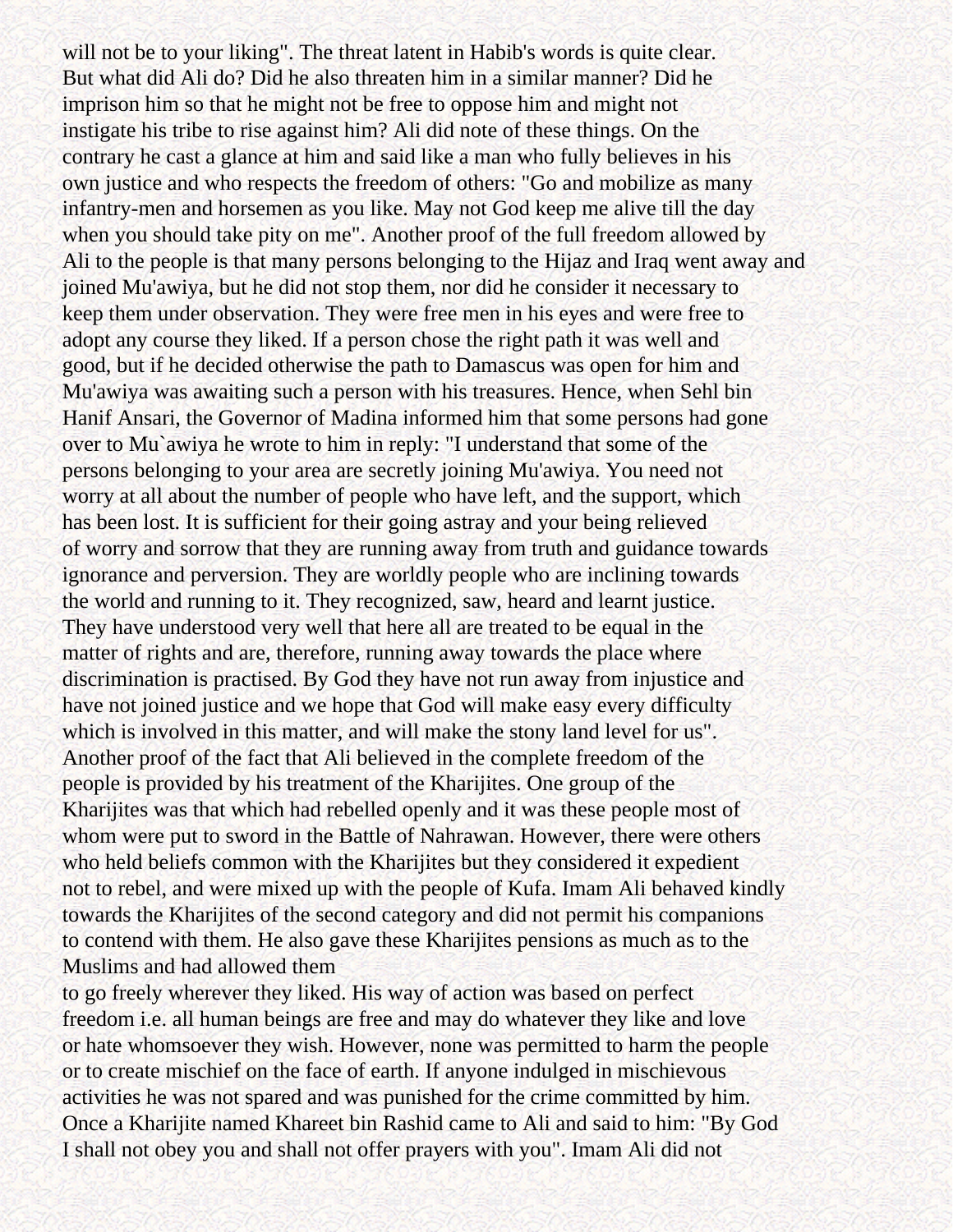will not be to your liking". The threat latent in Habib's words is quite clear. But what did Ali do? Did he also threaten him in a similar manner? Did he imprison him so that he might not be free to oppose him and might not instigate his tribe to rise against him? Ali did note of these things. On the contrary he cast a glance at him and said like a man who fully believes in his own justice and who respects the freedom of others: "Go and mobilize as many infantry-men and horsemen as you like. May not God keep me alive till the day when you should take pity on me". Another proof of the full freedom allowed by Ali to the people is that many persons belonging to the Hijaz and Iraq went away and joined Mu'awiya, but he did not stop them, nor did he consider it necessary to keep them under observation. They were free men in his eyes and were free to adopt any course they liked. If a person chose the right path it was well and good, but if he decided otherwise the path to Damascus was open for him and Mu'awiya was awaiting such a person with his treasures. Hence, when Sehl bin Hanif Ansari, the Governor of Madina informed him that some persons had gone over to Mu`awiya he wrote to him in reply: "I understand that some of the persons belonging to your area are secretly joining Mu'awiya. You need not worry at all about the number of people who have left, and the support, which has been lost. It is sufficient for their going astray and your being relieved of worry and sorrow that they are running away from truth and guidance towards ignorance and perversion. They are worldly people who are inclining towards the world and running to it. They recognized, saw, heard and learnt justice. They have understood very well that here all are treated to be equal in the matter of rights and are, therefore, running away towards the place where discrimination is practised. By God they have not run away from injustice and have not joined justice and we hope that God will make easy every difficulty which is involved in this matter, and will make the stony land level for us". Another proof of the fact that Ali believed in the complete freedom of the people is provided by his treatment of the Kharijites. One group of the Kharijites was that which had rebelled openly and it was these people most of whom were put to sword in the Battle of Nahrawan. However, there were others who held beliefs common with the Kharijites but they considered it expedient not to rebel, and were mixed up with the people of Kufa. Imam Ali behaved kindly towards the Kharijites of the second category and did not permit his companions to contend with them. He also gave these Kharijites pensions as much as to the Muslims and had allowed them

to go freely wherever they liked. His way of action was based on perfect freedom i.e. all human beings are free and may do whatever they like and love or hate whomsoever they wish. However, none was permitted to harm the people or to create mischief on the face of earth. If anyone indulged in mischievous activities he was not spared and was punished for the crime committed by him. Once a Kharijite named Khareet bin Rashid came to Ali and said to him: "By God I shall not obey you and shall not offer prayers with you". Imam Ali did not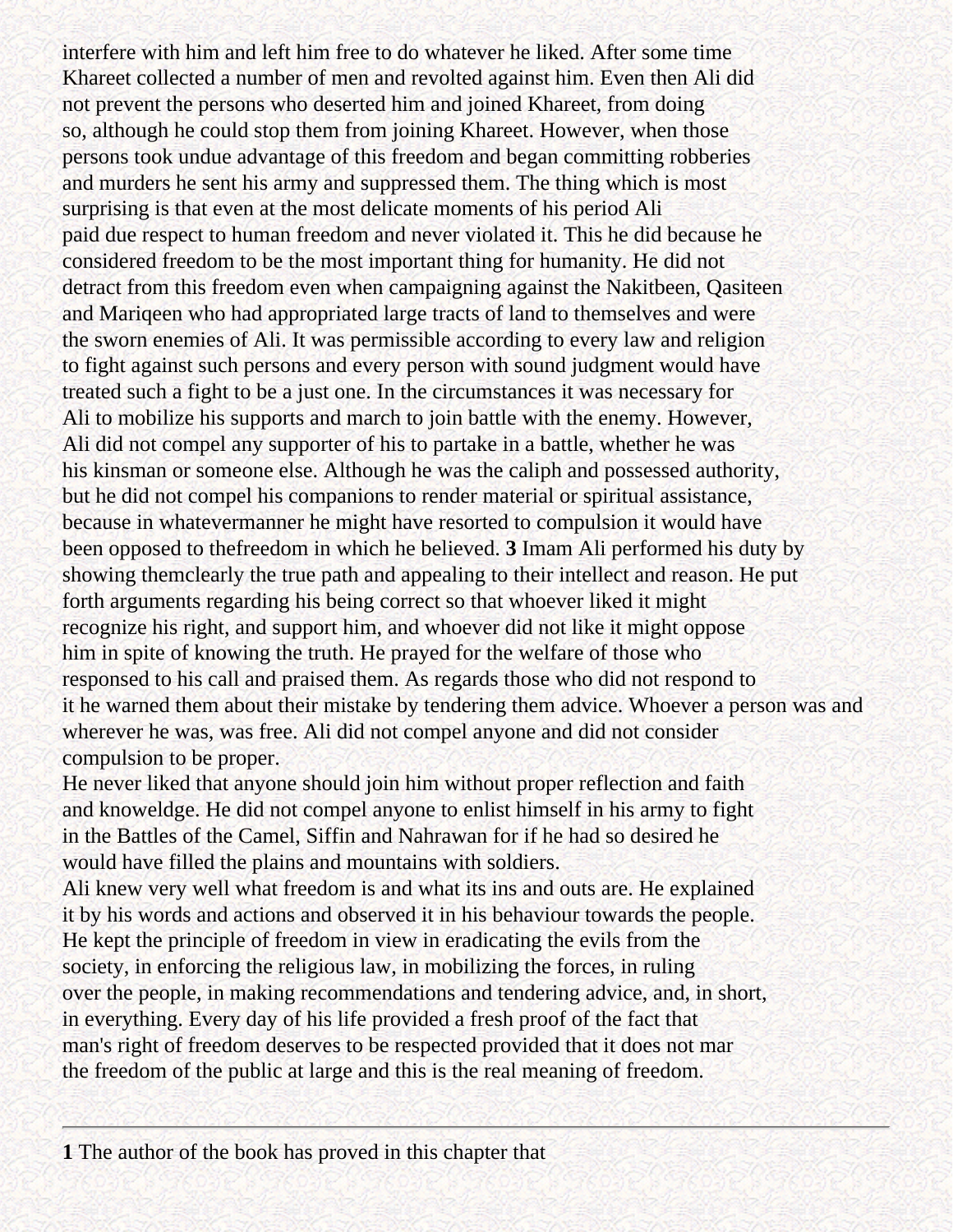interfere with him and left him free to do whatever he liked. After some time Khareet collected a number of men and revolted against him. Even then Ali did not prevent the persons who deserted him and joined Khareet, from doing so, although he could stop them from joining Khareet. However, when those persons took undue advantage of this freedom and began committing robberies and murders he sent his army and suppressed them. The thing which is most surprising is that even at the most delicate moments of his period Ali paid due respect to human freedom and never violated it. This he did because he considered freedom to be the most important thing for humanity. He did not detract from this freedom even when campaigning against the Nakitbeen, Qasiteen and Mariqeen who had appropriated large tracts of land to themselves and were the sworn enemies of Ali. It was permissible according to every law and religion to fight against such persons and every person with sound judgment would have treated such a fight to be a just one. In the circumstances it was necessary for Ali to mobilize his supports and march to join battle with the enemy. However, Ali did not compel any supporter of his to partake in a battle, whether he was his kinsman or someone else. Although he was the caliph and possessed authority, but he did not compel his companions to render material or spiritual assistance, because in whatevermanner he might have resorted to compulsion it would have been opposed to thefreedom in which he believed. **3** Imam Ali performed his duty by showing themclearly the true path and appealing to their intellect and reason. He put forth arguments regarding his being correct so that whoever liked it might recognize his right, and support him, and whoever did not like it might oppose him in spite of knowing the truth. He prayed for the welfare of those who responsed to his call and praised them. As regards those who did not respond to it he warned them about their mistake by tendering them advice. Whoever a person was and wherever he was, was free. Ali did not compel anyone and did not consider compulsion to be proper.

He never liked that anyone should join him without proper reflection and faith and knoweldge. He did not compel anyone to enlist himself in his army to fight in the Battles of the Camel, Siffin and Nahrawan for if he had so desired he would have filled the plains and mountains with soldiers.

Ali knew very well what freedom is and what its ins and outs are. He explained it by his words and actions and observed it in his behaviour towards the people. He kept the principle of freedom in view in eradicating the evils from the society, in enforcing the religious law, in mobilizing the forces, in ruling over the people, in making recommendations and tendering advice, and, in short, in everything. Every day of his life provided a fresh proof of the fact that man's right of freedom deserves to be respected provided that it does not mar the freedom of the public at large and this is the real meaning of freedom.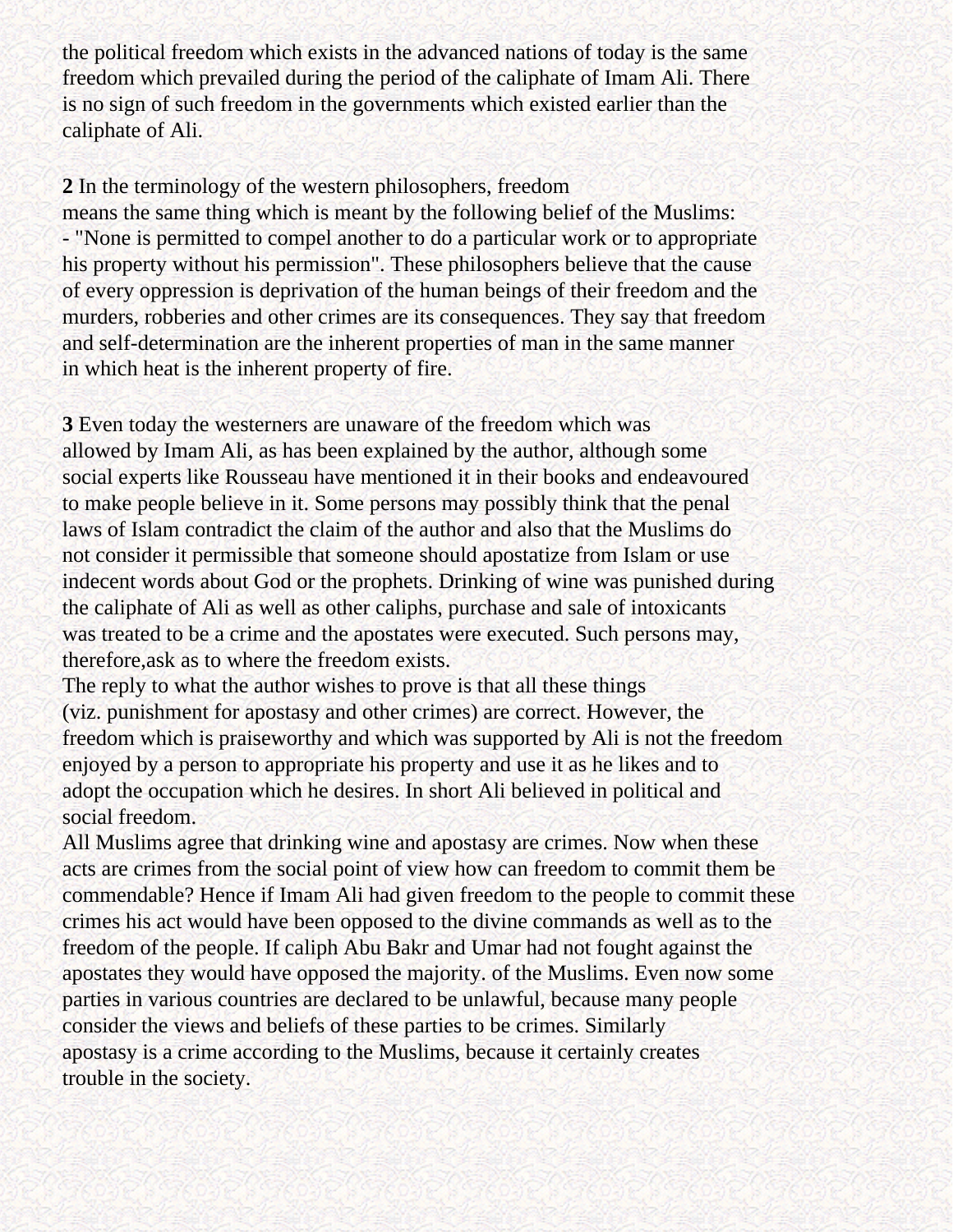the political freedom which exists in the advanced nations of today is the same freedom which prevailed during the period of the caliphate of Imam Ali. There is no sign of such freedom in the governments which existed earlier than the caliphate of Ali.

**2** In the terminology of the western philosophers, freedom means the same thing which is meant by the following belief of the Muslims: - "None is permitted to compel another to do a particular work or to appropriate his property without his permission". These philosophers believe that the cause of every oppression is deprivation of the human beings of their freedom and the murders, robberies and other crimes are its consequences. They say that freedom and self-determination are the inherent properties of man in the same manner in which heat is the inherent property of fire.

**3** Even today the westerners are unaware of the freedom which was allowed by Imam Ali, as has been explained by the author, although some social experts like Rousseau have mentioned it in their books and endeavoured to make people believe in it. Some persons may possibly think that the penal laws of Islam contradict the claim of the author and also that the Muslims do not consider it permissible that someone should apostatize from Islam or use indecent words about God or the prophets. Drinking of wine was punished during the caliphate of Ali as well as other caliphs, purchase and sale of intoxicants was treated to be a crime and the apostates were executed. Such persons may, therefore,ask as to where the freedom exists.

The reply to what the author wishes to prove is that all these things (viz. punishment for apostasy and other crimes) are correct. However, the freedom which is praiseworthy and which was supported by Ali is not the freedom enjoyed by a person to appropriate his property and use it as he likes and to adopt the occupation which he desires. In short Ali believed in political and social freedom.

All Muslims agree that drinking wine and apostasy are crimes. Now when these acts are crimes from the social point of view how can freedom to commit them be commendable? Hence if Imam Ali had given freedom to the people to commit these crimes his act would have been opposed to the divine commands as well as to the freedom of the people. If caliph Abu Bakr and Umar had not fought against the apostates they would have opposed the majority. of the Muslims. Even now some parties in various countries are declared to be unlawful, because many people consider the views and beliefs of these parties to be crimes. Similarly apostasy is a crime according to the Muslims, because it certainly creates trouble in the society.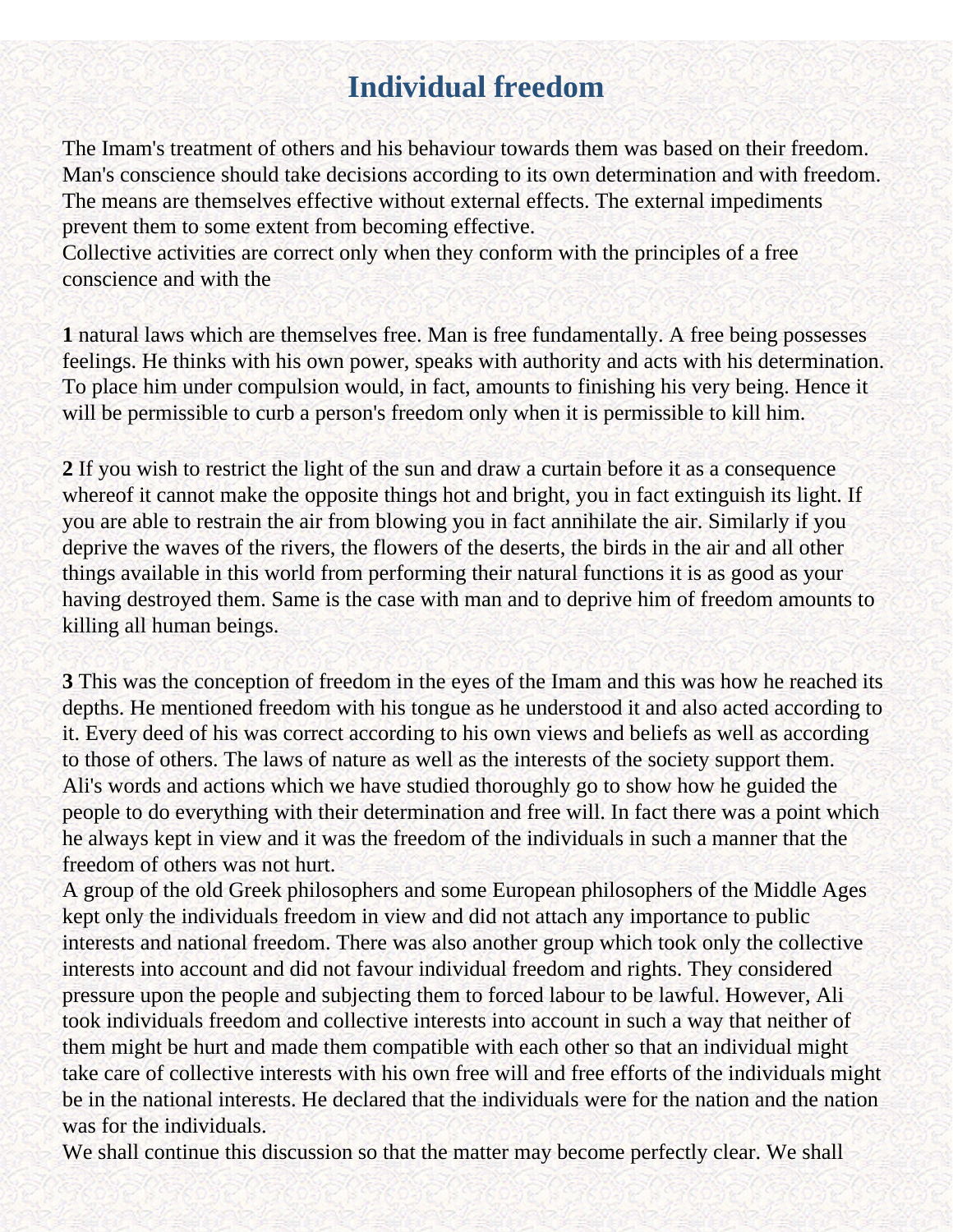## **Individual freedom**

The Imam's treatment of others and his behaviour towards them was based on their freedom. Man's conscience should take decisions according to its own determination and with freedom. The means are themselves effective without external effects. The external impediments prevent them to some extent from becoming effective.

Collective activities are correct only when they conform with the principles of a free conscience and with the

**1** natural laws which are themselves free. Man is free fundamentally. A free being possesses feelings. He thinks with his own power, speaks with authority and acts with his determination. To place him under compulsion would, in fact, amounts to finishing his very being. Hence it will be permissible to curb a person's freedom only when it is permissible to kill him.

**2** If you wish to restrict the light of the sun and draw a curtain before it as a consequence whereof it cannot make the opposite things hot and bright, you in fact extinguish its light. If you are able to restrain the air from blowing you in fact annihilate the air. Similarly if you deprive the waves of the rivers, the flowers of the deserts, the birds in the air and all other things available in this world from performing their natural functions it is as good as your having destroyed them. Same is the case with man and to deprive him of freedom amounts to killing all human beings.

**3** This was the conception of freedom in the eyes of the Imam and this was how he reached its depths. He mentioned freedom with his tongue as he understood it and also acted according to it. Every deed of his was correct according to his own views and beliefs as well as according to those of others. The laws of nature as well as the interests of the society support them. Ali's words and actions which we have studied thoroughly go to show how he guided the people to do everything with their determination and free will. In fact there was a point which he always kept in view and it was the freedom of the individuals in such a manner that the freedom of others was not hurt.

A group of the old Greek philosophers and some European philosophers of the Middle Ages kept only the individuals freedom in view and did not attach any importance to public interests and national freedom. There was also another group which took only the collective interests into account and did not favour individual freedom and rights. They considered pressure upon the people and subjecting them to forced labour to be lawful. However, Ali took individuals freedom and collective interests into account in such a way that neither of them might be hurt and made them compatible with each other so that an individual might take care of collective interests with his own free will and free efforts of the individuals might be in the national interests. He declared that the individuals were for the nation and the nation was for the individuals.

We shall continue this discussion so that the matter may become perfectly clear. We shall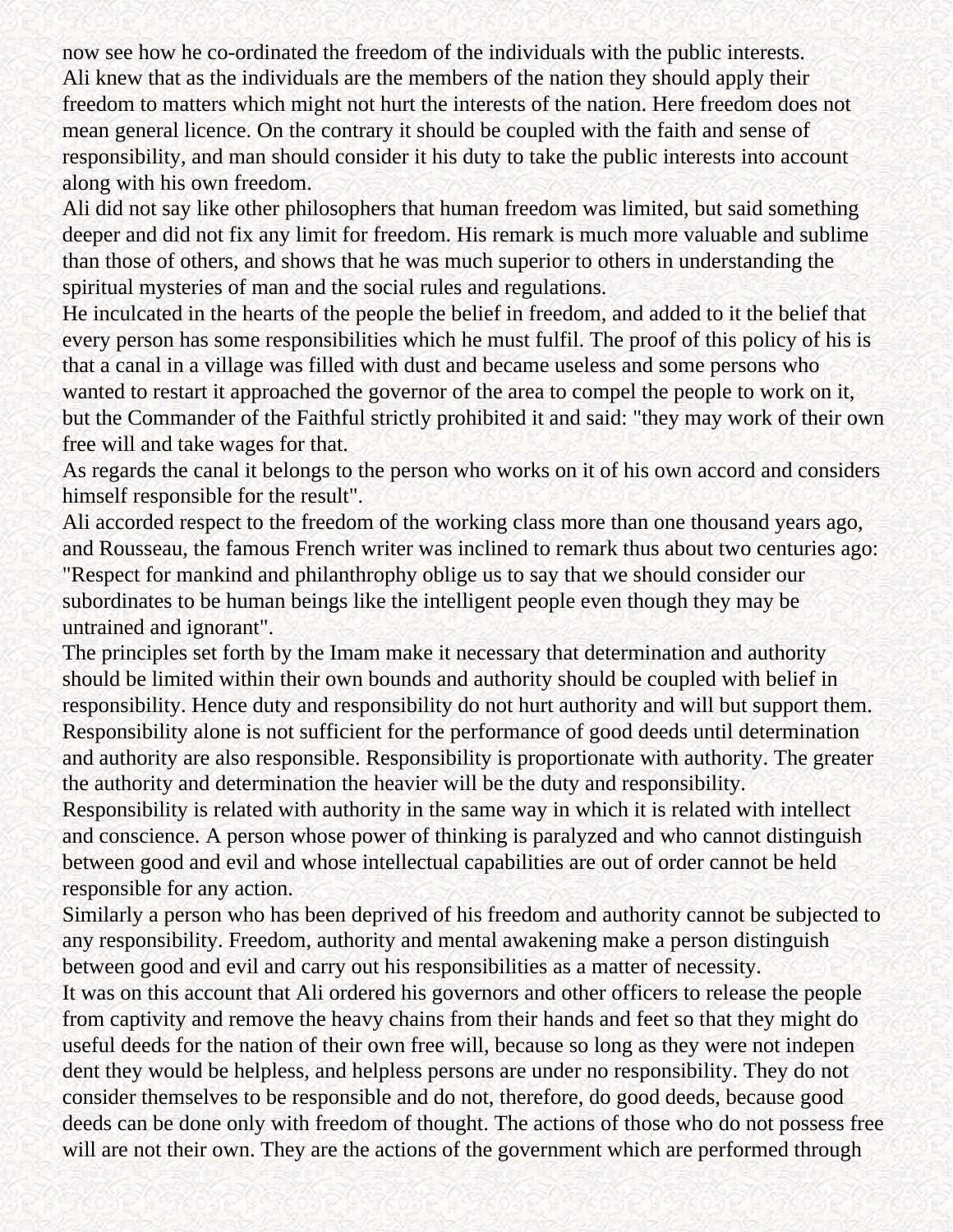now see how he co-ordinated the freedom of the individuals with the public interests. Ali knew that as the individuals are the members of the nation they should apply their freedom to matters which might not hurt the interests of the nation. Here freedom does not mean general licence. On the contrary it should be coupled with the faith and sense of responsibility, and man should consider it his duty to take the public interests into account along with his own freedom.

Ali did not say like other philosophers that human freedom was limited, but said something deeper and did not fix any limit for freedom. His remark is much more valuable and sublime than those of others, and shows that he was much superior to others in understanding the spiritual mysteries of man and the social rules and regulations.

He inculcated in the hearts of the people the belief in freedom, and added to it the belief that every person has some responsibilities which he must fulfil. The proof of this policy of his is that a canal in a village was filled with dust and became useless and some persons who wanted to restart it approached the governor of the area to compel the people to work on it, but the Commander of the Faithful strictly prohibited it and said: "they may work of their own free will and take wages for that.

As regards the canal it belongs to the person who works on it of his own accord and considers himself responsible for the result".

Ali accorded respect to the freedom of the working class more than one thousand years ago, and Rousseau, the famous French writer was inclined to remark thus about two centuries ago: "Respect for mankind and philanthrophy oblige us to say that we should consider our subordinates to be human beings like the intelligent people even though they may be untrained and ignorant".

The principles set forth by the Imam make it necessary that determination and authority should be limited within their own bounds and authority should be coupled with belief in responsibility. Hence duty and responsibility do not hurt authority and will but support them. Responsibility alone is not sufficient for the performance of good deeds until determination and authority are also responsible. Responsibility is proportionate with authority. The greater the authority and determination the heavier will be the duty and responsibility.

Responsibility is related with authority in the same way in which it is related with intellect and conscience. A person whose power of thinking is paralyzed and who cannot distinguish between good and evil and whose intellectual capabilities are out of order cannot be held responsible for any action.

Similarly a person who has been deprived of his freedom and authority cannot be subjected to any responsibility. Freedom, authority and mental awakening make a person distinguish between good and evil and carry out his responsibilities as a matter of necessity.

It was on this account that Ali ordered his governors and other officers to release the people from captivity and remove the heavy chains from their hands and feet so that they might do useful deeds for the nation of their own free will, because so long as they were not indepen dent they would be helpless, and helpless persons are under no responsibility. They do not consider themselves to be responsible and do not, therefore, do good deeds, because good deeds can be done only with freedom of thought. The actions of those who do not possess free will are not their own. They are the actions of the government which are performed through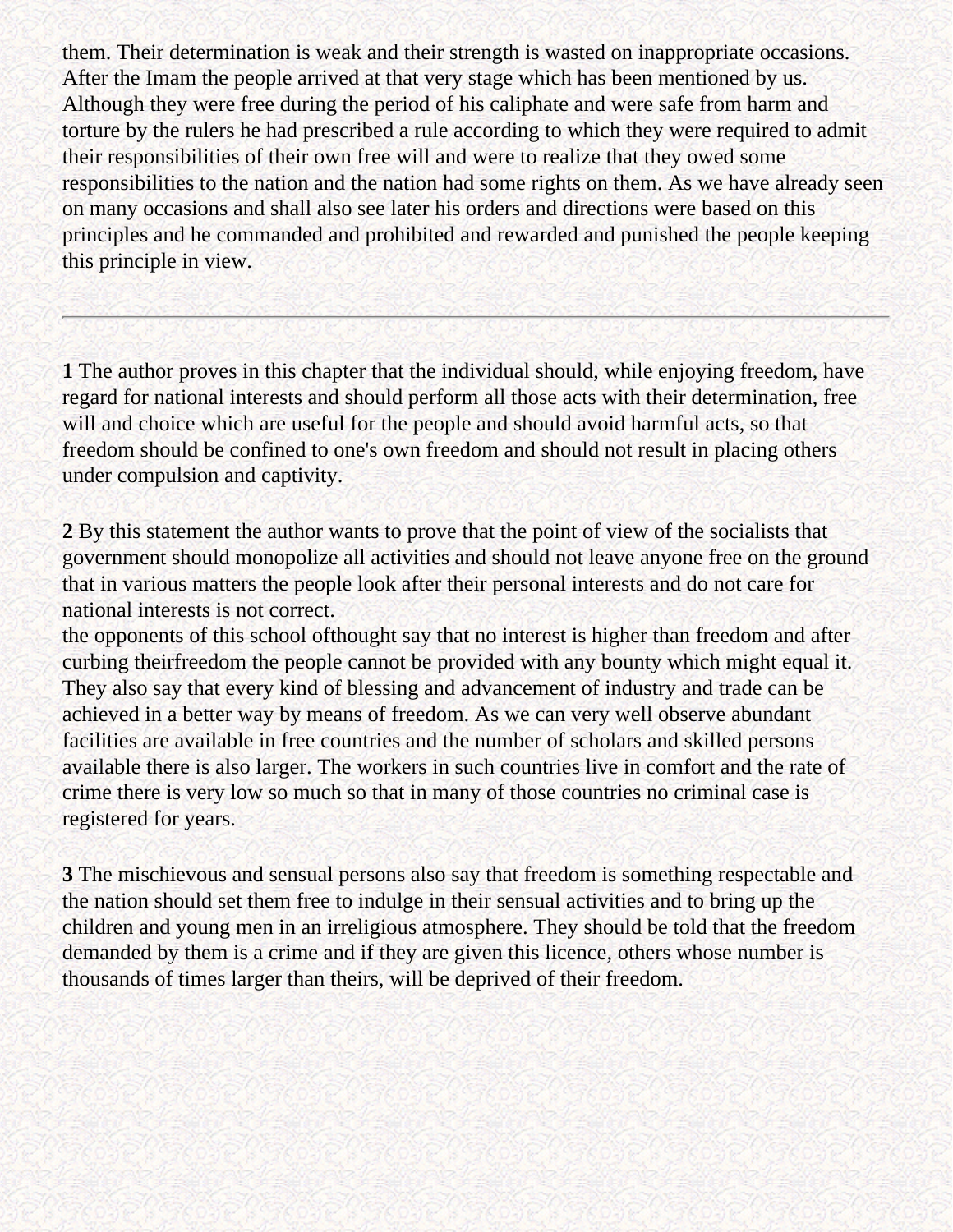them. Their determination is weak and their strength is wasted on inappropriate occasions. After the Imam the people arrived at that very stage which has been mentioned by us. Although they were free during the period of his caliphate and were safe from harm and torture by the rulers he had prescribed a rule according to which they were required to admit their responsibilities of their own free will and were to realize that they owed some responsibilities to the nation and the nation had some rights on them. As we have already seen on many occasions and shall also see later his orders and directions were based on this principles and he commanded and prohibited and rewarded and punished the people keeping this principle in view.

**1** The author proves in this chapter that the individual should, while enjoying freedom, have regard for national interests and should perform all those acts with their determination, free will and choice which are useful for the people and should avoid harmful acts, so that freedom should be confined to one's own freedom and should not result in placing others under compulsion and captivity.

**2** By this statement the author wants to prove that the point of view of the socialists that government should monopolize all activities and should not leave anyone free on the ground that in various matters the people look after their personal interests and do not care for national interests is not correct.

the opponents of this school ofthought say that no interest is higher than freedom and after curbing theirfreedom the people cannot be provided with any bounty which might equal it. They also say that every kind of blessing and advancement of industry and trade can be achieved in a better way by means of freedom. As we can very well observe abundant facilities are available in free countries and the number of scholars and skilled persons available there is also larger. The workers in such countries live in comfort and the rate of crime there is very low so much so that in many of those countries no criminal case is registered for years.

**3** The mischievous and sensual persons also say that freedom is something respectable and the nation should set them free to indulge in their sensual activities and to bring up the children and young men in an irreligious atmosphere. They should be told that the freedom demanded by them is a crime and if they are given this licence, others whose number is thousands of times larger than theirs, will be deprived of their freedom.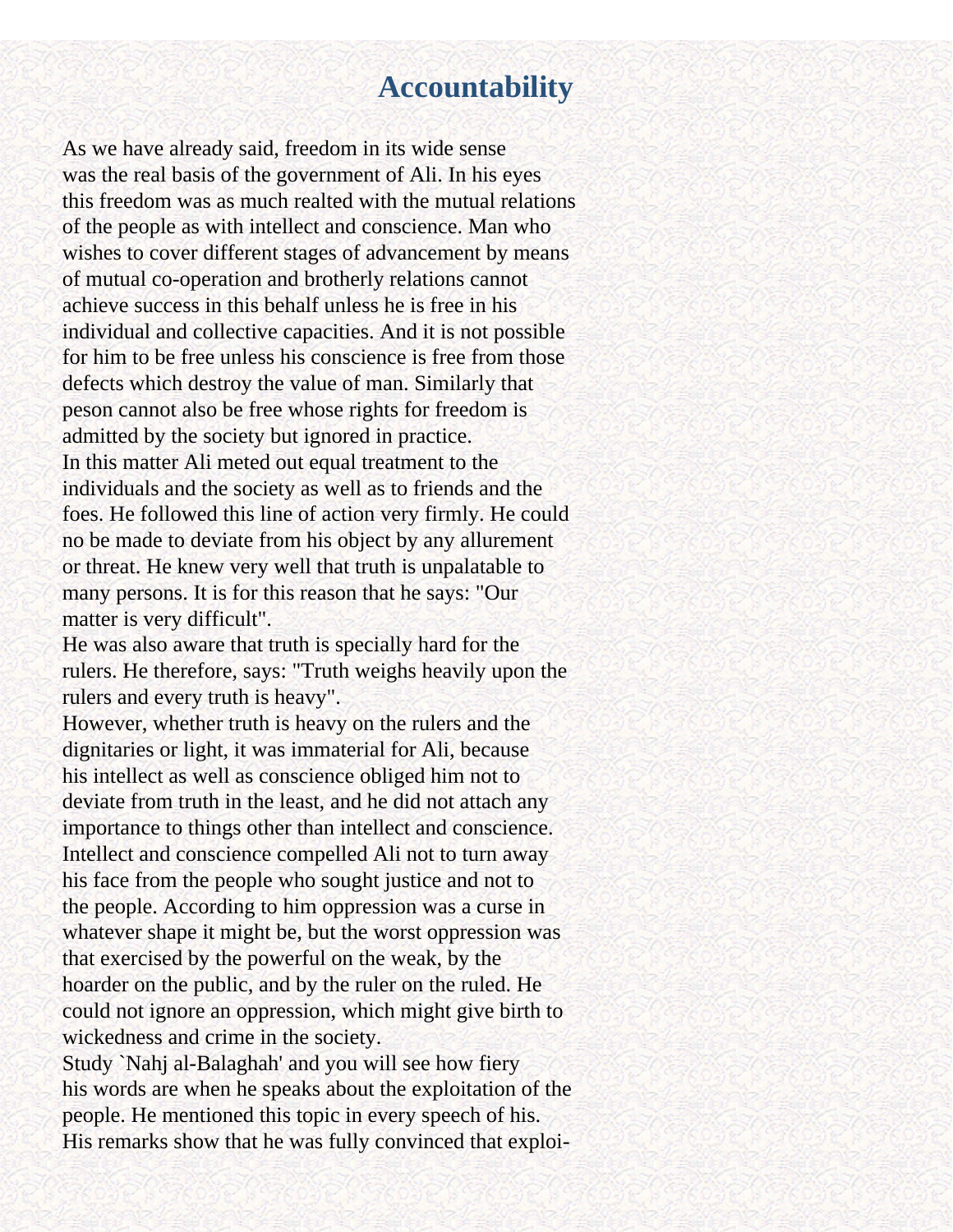## **Accountability**

As we have already said, freedom in its wide sense was the real basis of the government of Ali. In his eyes this freedom was as much realted with the mutual relations of the people as with intellect and conscience. Man who wishes to cover different stages of advancement by means of mutual co-operation and brotherly relations cannot achieve success in this behalf unless he is free in his individual and collective capacities. And it is not possible for him to be free unless his conscience is free from those defects which destroy the value of man. Similarly that peson cannot also be free whose rights for freedom is admitted by the society but ignored in practice. In this matter Ali meted out equal treatment to the individuals and the society as well as to friends and the foes. He followed this line of action very firmly. He could no be made to deviate from his object by any allurement or threat. He knew very well that truth is unpalatable to many persons. It is for this reason that he says: "Our matter is very difficult".

He was also aware that truth is specially hard for the rulers. He therefore, says: "Truth weighs heavily upon the rulers and every truth is heavy".

However, whether truth is heavy on the rulers and the dignitaries or light, it was immaterial for Ali, because his intellect as well as conscience obliged him not to deviate from truth in the least, and he did not attach any importance to things other than intellect and conscience. Intellect and conscience compelled Ali not to turn away his face from the people who sought justice and not to the people. According to him oppression was a curse in whatever shape it might be, but the worst oppression was that exercised by the powerful on the weak, by the hoarder on the public, and by the ruler on the ruled. He could not ignore an oppression, which might give birth to wickedness and crime in the society.

Study `Nahj al-Balaghah' and you will see how fiery his words are when he speaks about the exploitation of the people. He mentioned this topic in every speech of his. His remarks show that he was fully convinced that exploi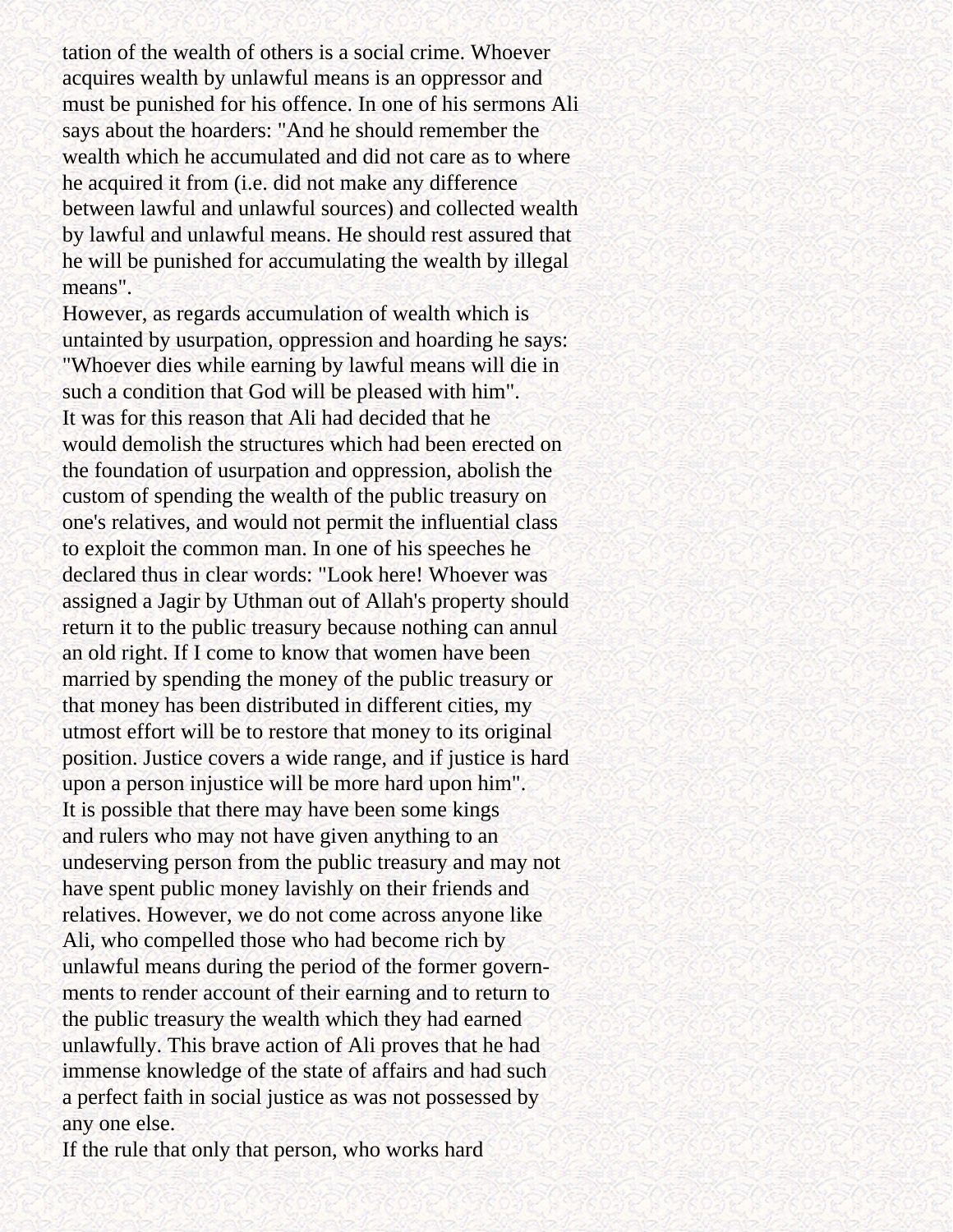tation of the wealth of others is a social crime. Whoever acquires wealth by unlawful means is an oppressor and must be punished for his offence. In one of his sermons Ali says about the hoarders: "And he should remember the wealth which he accumulated and did not care as to where he acquired it from (i.e. did not make any difference between lawful and unlawful sources) and collected wealth by lawful and unlawful means. He should rest assured that he will be punished for accumulating the wealth by illegal means".

However, as regards accumulation of wealth which is untainted by usurpation, oppression and hoarding he says: "Whoever dies while earning by lawful means will die in such a condition that God will be pleased with him". It was for this reason that Ali had decided that he would demolish the structures which had been erected on the foundation of usurpation and oppression, abolish the custom of spending the wealth of the public treasury on one's relatives, and would not permit the influential class to exploit the common man. In one of his speeches he declared thus in clear words: "Look here! Whoever was assigned a Jagir by Uthman out of Allah's property should return it to the public treasury because nothing can annul an old right. If I come to know that women have been married by spending the money of the public treasury or that money has been distributed in different cities, my utmost effort will be to restore that money to its original position. Justice covers a wide range, and if justice is hard upon a person injustice will be more hard upon him". It is possible that there may have been some kings and rulers who may not have given anything to an undeserving person from the public treasury and may not have spent public money lavishly on their friends and relatives. However, we do not come across anyone like Ali, who compelled those who had become rich by unlawful means during the period of the former governments to render account of their earning and to return to the public treasury the wealth which they had earned unlawfully. This brave action of Ali proves that he had immense knowledge of the state of affairs and had such a perfect faith in social justice as was not possessed by any one else.

If the rule that only that person, who works hard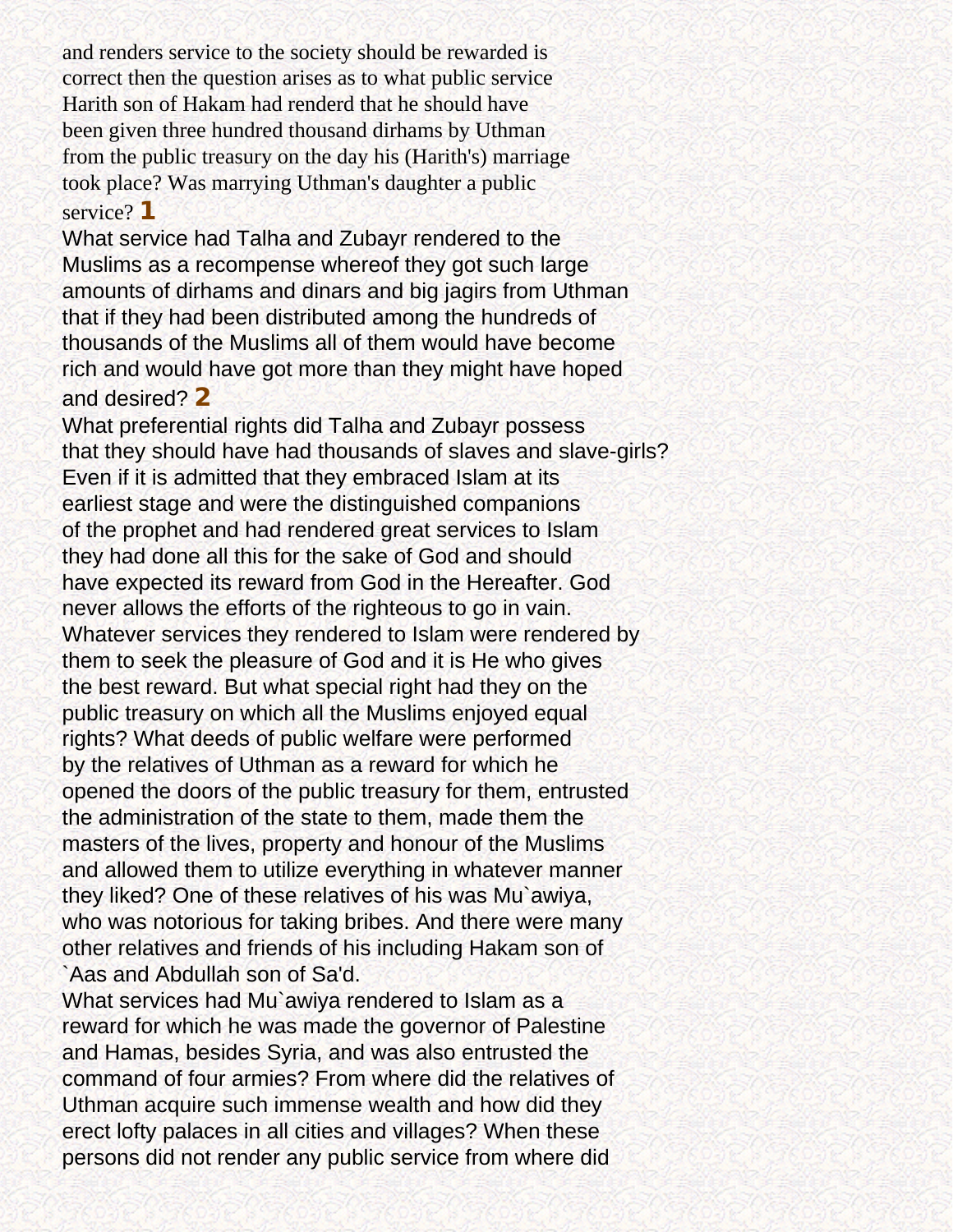and renders service to the society should be rewarded is correct then the question arises as to what public service Harith son of Hakam had renderd that he should have been given three hundred thousand dirhams by Uthman from the public treasury on the day his (Harith's) marriage took place? Was marrying Uthman's daughter a public service? 1

What service had Talha and Zubayr rendered to the Muslims as a recompense whereof they got such large amounts of dirhams and dinars and big jagirs from Uthman that if they had been distributed among the hundreds of thousands of the Muslims all of them would have become rich and would have got more than they might have hoped and desired? 2

What preferential rights did Talha and Zubayr possess that they should have had thousands of slaves and slave-girls? Even if it is admitted that they embraced Islam at its earliest stage and were the distinguished companions of the prophet and had rendered great services to Islam they had done all this for the sake of God and should have expected its reward from God in the Hereafter. God never allows the efforts of the righteous to go in vain. Whatever services they rendered to Islam were rendered by them to seek the pleasure of God and it is He who gives the best reward. But what special right had they on the public treasury on which all the Muslims enjoyed equal rights? What deeds of public welfare were performed by the relatives of Uthman as a reward for which he opened the doors of the public treasury for them, entrusted the administration of the state to them, made them the masters of the lives, property and honour of the Muslims and allowed them to utilize everything in whatever manner they liked? One of these relatives of his was Mu`awiya, who was notorious for taking bribes. And there were many other relatives and friends of his including Hakam son of `Aas and Abdullah son of Sa'd.

What services had Mu`awiya rendered to Islam as a reward for which he was made the governor of Palestine and Hamas, besides Syria, and was also entrusted the command of four armies? From where did the relatives of Uthman acquire such immense wealth and how did they erect lofty palaces in all cities and villages? When these persons did not render any public service from where did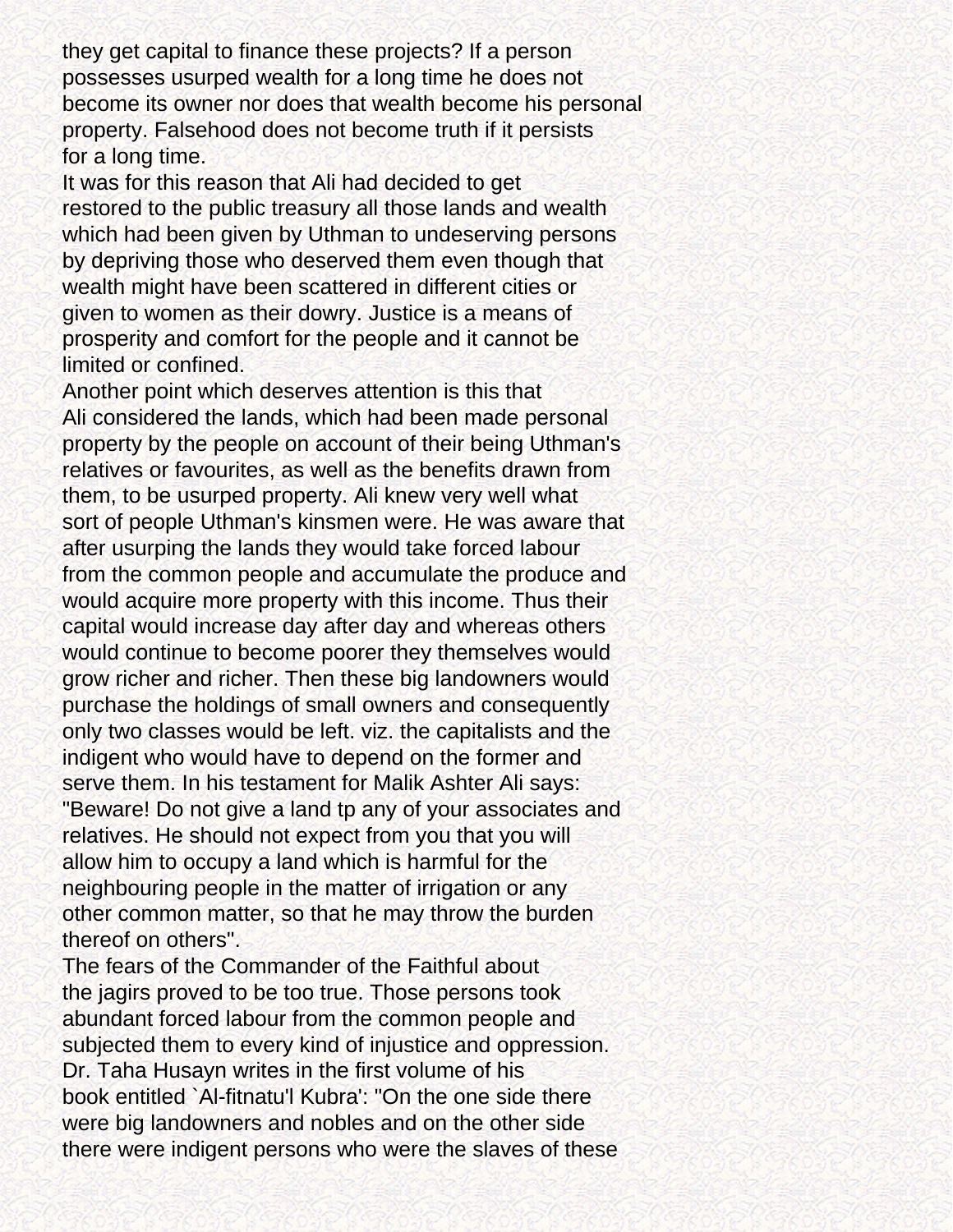they get capital to finance these projects? If a person possesses usurped wealth for a long time he does not become its owner nor does that wealth become his personal property. Falsehood does not become truth if it persists for a long time.

It was for this reason that Ali had decided to get restored to the public treasury all those lands and wealth which had been given by Uthman to undeserving persons by depriving those who deserved them even though that wealth might have been scattered in different cities or given to women as their dowry. Justice is a means of prosperity and comfort for the people and it cannot be limited or confined.

Another point which deserves attention is this that Ali considered the lands, which had been made personal property by the people on account of their being Uthman's relatives or favourites, as well as the benefits drawn from them, to be usurped property. Ali knew very well what sort of people Uthman's kinsmen were. He was aware that after usurping the lands they would take forced labour from the common people and accumulate the produce and would acquire more property with this income. Thus their capital would increase day after day and whereas others would continue to become poorer they themselves would grow richer and richer. Then these big landowners would purchase the holdings of small owners and consequently only two classes would be left. viz. the capitalists and the indigent who would have to depend on the former and serve them. In his testament for Malik Ashter Ali says: "Beware! Do not give a land tp any of your associates and relatives. He should not expect from you that you will allow him to occupy a land which is harmful for the neighbouring people in the matter of irrigation or any other common matter, so that he may throw the burden thereof on others".

The fears of the Commander of the Faithful about the jagirs proved to be too true. Those persons took abundant forced labour from the common people and subjected them to every kind of injustice and oppression. Dr. Taha Husayn writes in the first volume of his book entitled `Al-fitnatu'l Kubra': "On the one side there were big landowners and nobles and on the other side there were indigent persons who were the slaves of these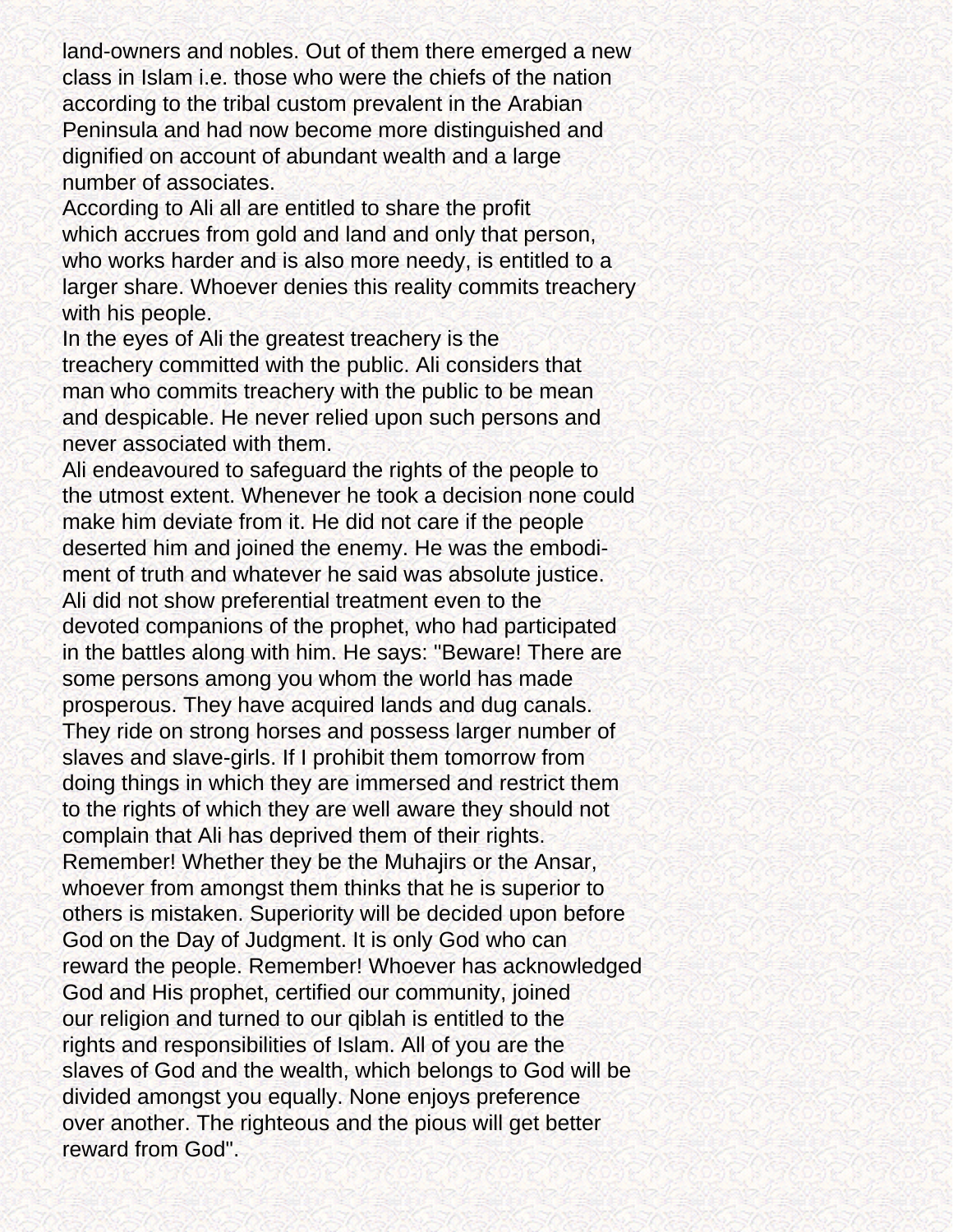land-owners and nobles. Out of them there emerged a new class in Islam i.e. those who were the chiefs of the nation according to the tribal custom prevalent in the Arabian Peninsula and had now become more distinguished and dignified on account of abundant wealth and a large number of associates.

According to Ali all are entitled to share the profit which accrues from gold and land and only that person, who works harder and is also more needy, is entitled to a larger share. Whoever denies this reality commits treachery with his people.

In the eyes of Ali the greatest treachery is the treachery committed with the public. Ali considers that man who commits treachery with the public to be mean and despicable. He never relied upon such persons and never associated with them.

Ali endeavoured to safeguard the rights of the people to the utmost extent. Whenever he took a decision none could make him deviate from it. He did not care if the people deserted him and joined the enemy. He was the embodiment of truth and whatever he said was absolute justice. Ali did not show preferential treatment even to the devoted companions of the prophet, who had participated in the battles along with him. He says: "Beware! There are some persons among you whom the world has made prosperous. They have acquired lands and dug canals. They ride on strong horses and possess larger number of slaves and slave-girls. If I prohibit them tomorrow from doing things in which they are immersed and restrict them to the rights of which they are well aware they should not complain that Ali has deprived them of their rights. Remember! Whether they be the Muhajirs or the Ansar, whoever from amongst them thinks that he is superior to others is mistaken. Superiority will be decided upon before God on the Day of Judgment. It is only God who can reward the people. Remember! Whoever has acknowledged God and His prophet, certified our community, joined our religion and turned to our qiblah is entitled to the rights and responsibilities of Islam. All of you are the slaves of God and the wealth, which belongs to God will be divided amongst you equally. None enjoys preference over another. The righteous and the pious will get better reward from God".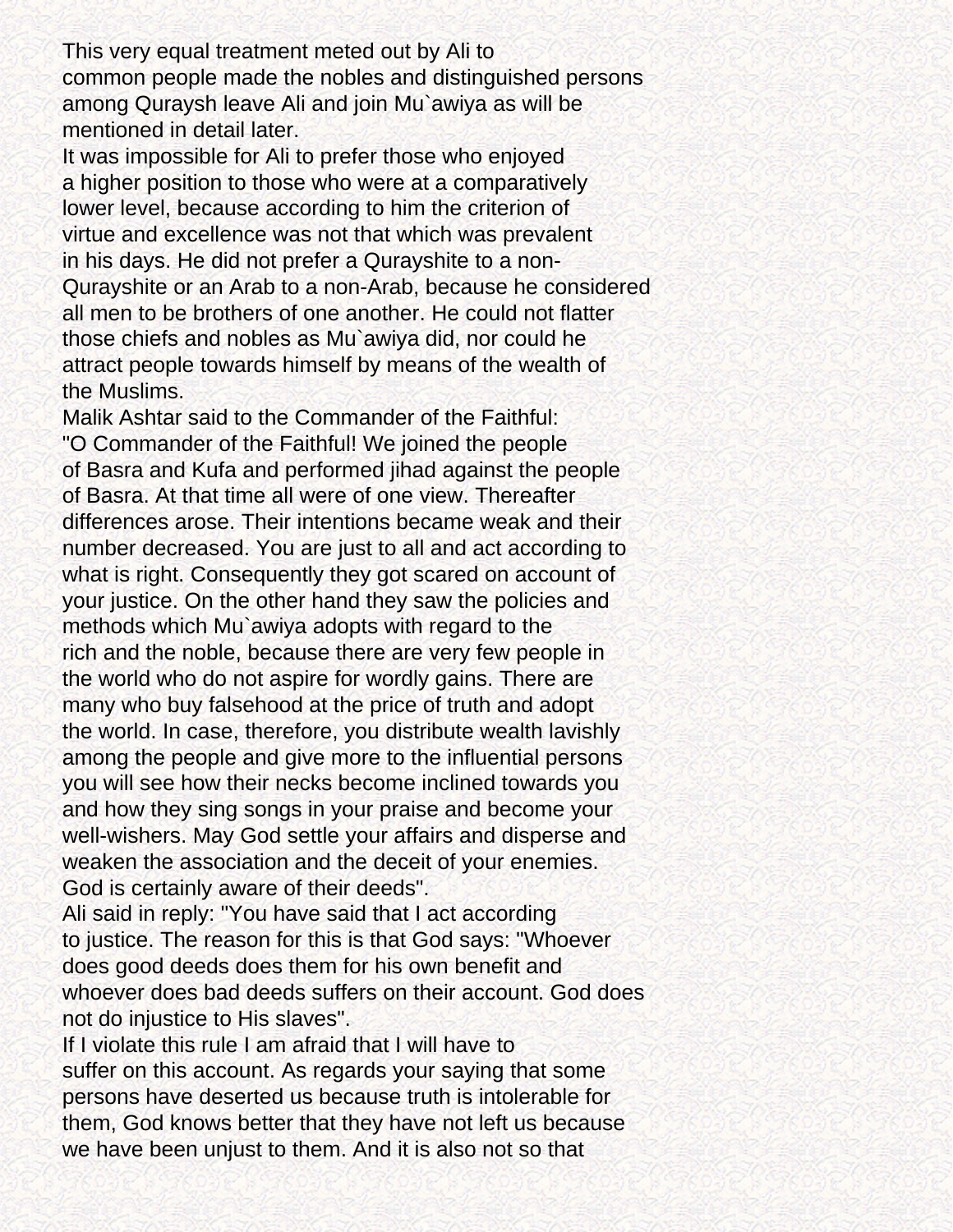This very equal treatment meted out by Ali to common people made the nobles and distinguished persons among Quraysh leave Ali and join Mu`awiya as will be mentioned in detail later.

It was impossible for Ali to prefer those who enjoyed a higher position to those who were at a comparatively lower level, because according to him the criterion of virtue and excellence was not that which was prevalent in his days. He did not prefer a Qurayshite to a non-Qurayshite or an Arab to a non-Arab, because he considered all men to be brothers of one another. He could not flatter those chiefs and nobles as Mu`awiya did, nor could he attract people towards himself by means of the wealth of the Muslims.

Malik Ashtar said to the Commander of the Faithful: "O Commander of the Faithful! We joined the people of Basra and Kufa and performed jihad against the people of Basra. At that time all were of one view. Thereafter differences arose. Their intentions became weak and their number decreased. You are just to all and act according to what is right. Consequently they got scared on account of your justice. On the other hand they saw the policies and methods which Mu`awiya adopts with regard to the rich and the noble, because there are very few people in the world who do not aspire for wordly gains. There are many who buy falsehood at the price of truth and adopt the world. In case, therefore, you distribute wealth lavishly among the people and give more to the influential persons you will see how their necks become inclined towards you and how they sing songs in your praise and become your well-wishers. May God settle your affairs and disperse and weaken the association and the deceit of your enemies. God is certainly aware of their deeds".

Ali said in reply: "You have said that I act according to justice. The reason for this is that God says: "Whoever does good deeds does them for his own benefit and whoever does bad deeds suffers on their account. God does not do injustice to His slaves".

If I violate this rule I am afraid that I will have to suffer on this account. As regards your saying that some persons have deserted us because truth is intolerable for them, God knows better that they have not left us because we have been unjust to them. And it is also not so that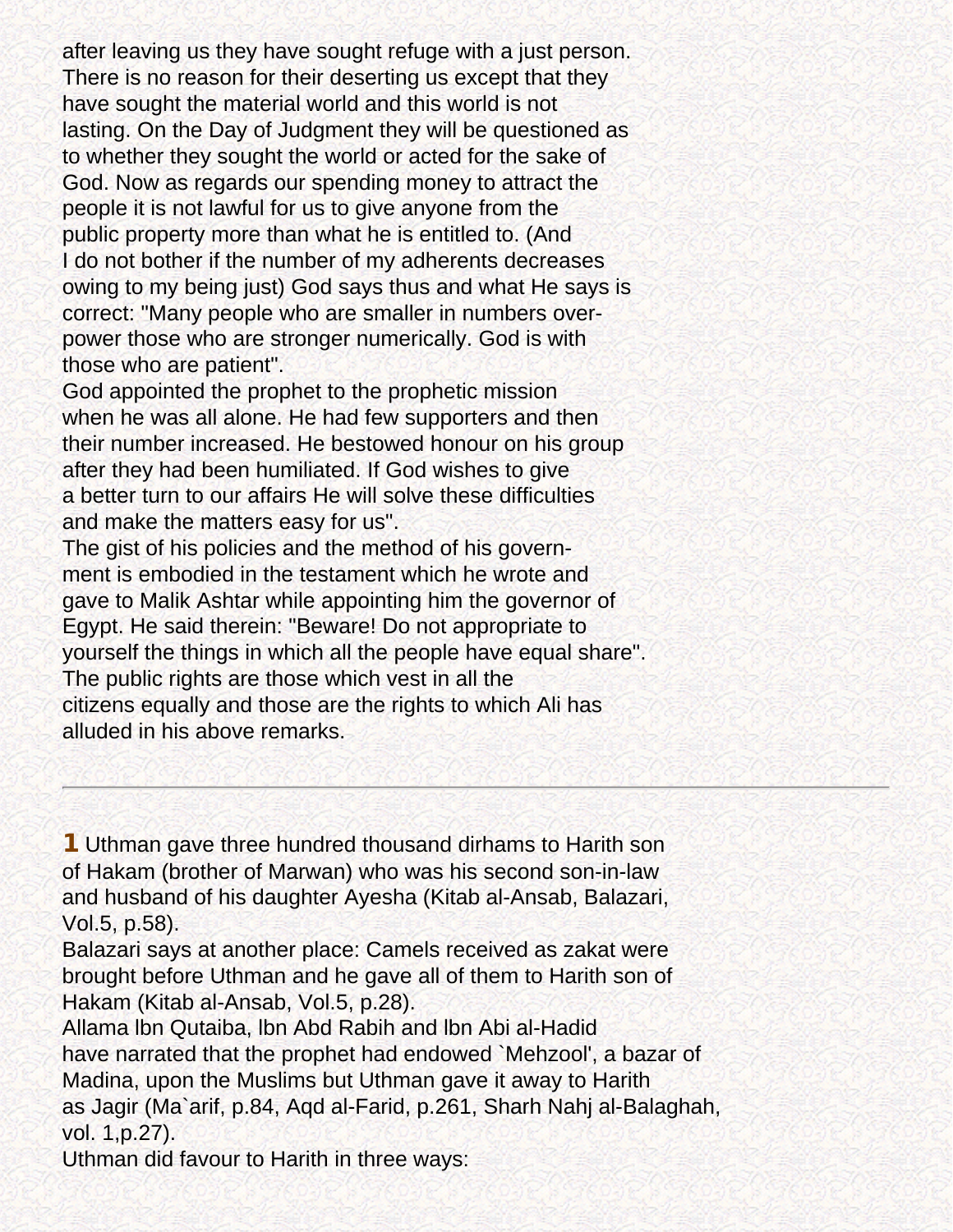after leaving us they have sought refuge with a just person. There is no reason for their deserting us except that they have sought the material world and this world is not lasting. On the Day of Judgment they will be questioned as to whether they sought the world or acted for the sake of God. Now as regards our spending money to attract the people it is not lawful for us to give anyone from the public property more than what he is entitled to. (And I do not bother if the number of my adherents decreases owing to my being just) God says thus and what He says is correct: "Many people who are smaller in numbers overpower those who are stronger numerically. God is with those who are patient".

God appointed the prophet to the prophetic mission when he was all alone. He had few supporters and then their number increased. He bestowed honour on his group after they had been humiliated. If God wishes to give a better turn to our affairs He will solve these difficulties and make the matters easy for us".

The gist of his policies and the method of his government is embodied in the testament which he wrote and gave to Malik Ashtar while appointing him the governor of Egypt. He said therein: "Beware! Do not appropriate to yourself the things in which all the people have equal share". The public rights are those which vest in all the citizens equally and those are the rights to which Ali has alluded in his above remarks.

1 Uthman gave three hundred thousand dirhams to Harith son of Hakam (brother of Marwan) who was his second son-in-law and husband of his daughter Ayesha (Kitab al-Ansab, Balazari, Vol.5, p.58).

Balazari says at another place: Camels received as zakat were brought before Uthman and he gave all of them to Harith son of Hakam (Kitab al-Ansab, Vol.5, p.28).

Allama lbn Qutaiba, lbn Abd Rabih and lbn Abi al-Hadid have narrated that the prophet had endowed `Mehzool', a bazar of Madina, upon the Muslims but Uthman gave it away to Harith as Jagir (Ma`arif, p.84, Aqd al-Farid, p.261, Sharh Nahj al-Balaghah, vol. 1,p.27).

Uthman did favour to Harith in three ways: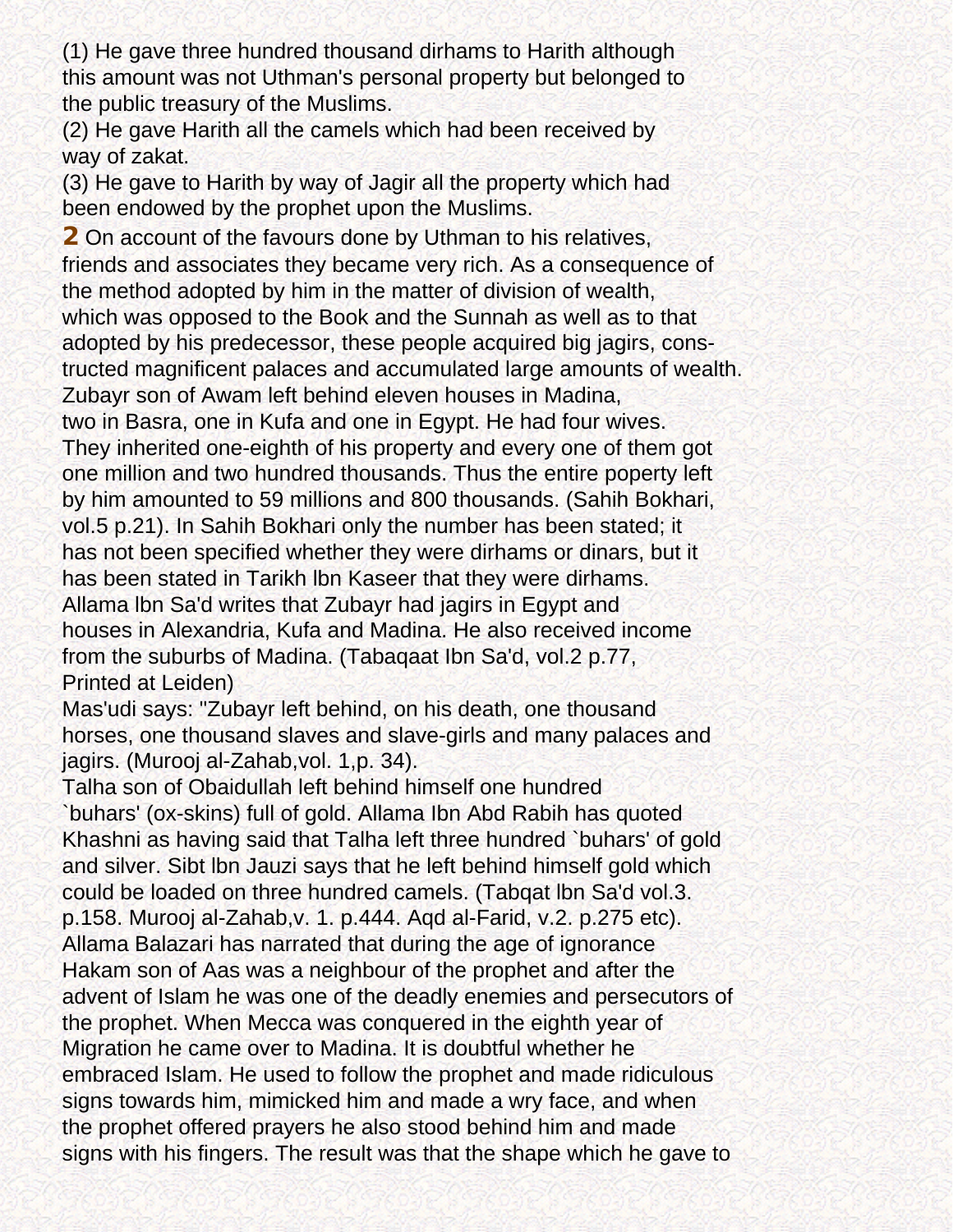(1) He gave three hundred thousand dirhams to Harith although this amount was not Uthman's personal property but belonged to the public treasury of the Muslims.

(2) He gave Harith all the camels which had been received by way of zakat.

(3) He gave to Harith by way of Jagir all the property which had been endowed by the prophet upon the Muslims.

2 On account of the favours done by Uthman to his relatives, friends and associates they became very rich. As a consequence of the method adopted by him in the matter of division of wealth, which was opposed to the Book and the Sunnah as well as to that adopted by his predecessor, these people acquired big jagirs, constructed magnificent palaces and accumulated large amounts of wealth. Zubayr son of Awam left behind eleven houses in Madina, two in Basra, one in Kufa and one in Egypt. He had four wives. They inherited one-eighth of his property and every one of them got one million and two hundred thousands. Thus the entire poperty left by him amounted to 59 millions and 800 thousands. (Sahih Bokhari, vol.5 p.21). In Sahih Bokhari only the number has been stated; it has not been specified whether they were dirhams or dinars, but it has been stated in Tarikh lbn Kaseer that they were dirhams. Allama lbn Sa'd writes that Zubayr had jagirs in Egypt and houses in Alexandria, Kufa and Madina. He also received income from the suburbs of Madina. (Tabaqaat Ibn Sa'd, vol.2 p.77, Printed at Leiden)

Mas'udi says: "Zubayr left behind, on his death, one thousand horses, one thousand slaves and slave-girls and many palaces and jagirs. (Murooj al-Zahab,vol. 1,p. 34).

Talha son of Obaidullah left behind himself one hundred `buhars' (ox-skins) full of gold. Allama Ibn Abd Rabih has quoted Khashni as having said that Talha left three hundred `buhars' of gold and silver. Sibt lbn Jauzi says that he left behind himself gold which could be loaded on three hundred camels. (Tabqat lbn Sa'd vol.3. p.158. Murooj al-Zahab,v. 1. p.444. Aqd al-Farid, v.2. p.275 etc). Allama Balazari has narrated that during the age of ignorance Hakam son of Aas was a neighbour of the prophet and after the advent of Islam he was one of the deadly enemies and persecutors of the prophet. When Mecca was conquered in the eighth year of Migration he came over to Madina. It is doubtful whether he embraced Islam. He used to follow the prophet and made ridiculous signs towards him, mimicked him and made a wry face, and when the prophet offered prayers he also stood behind him and made signs with his fingers. The result was that the shape which he gave to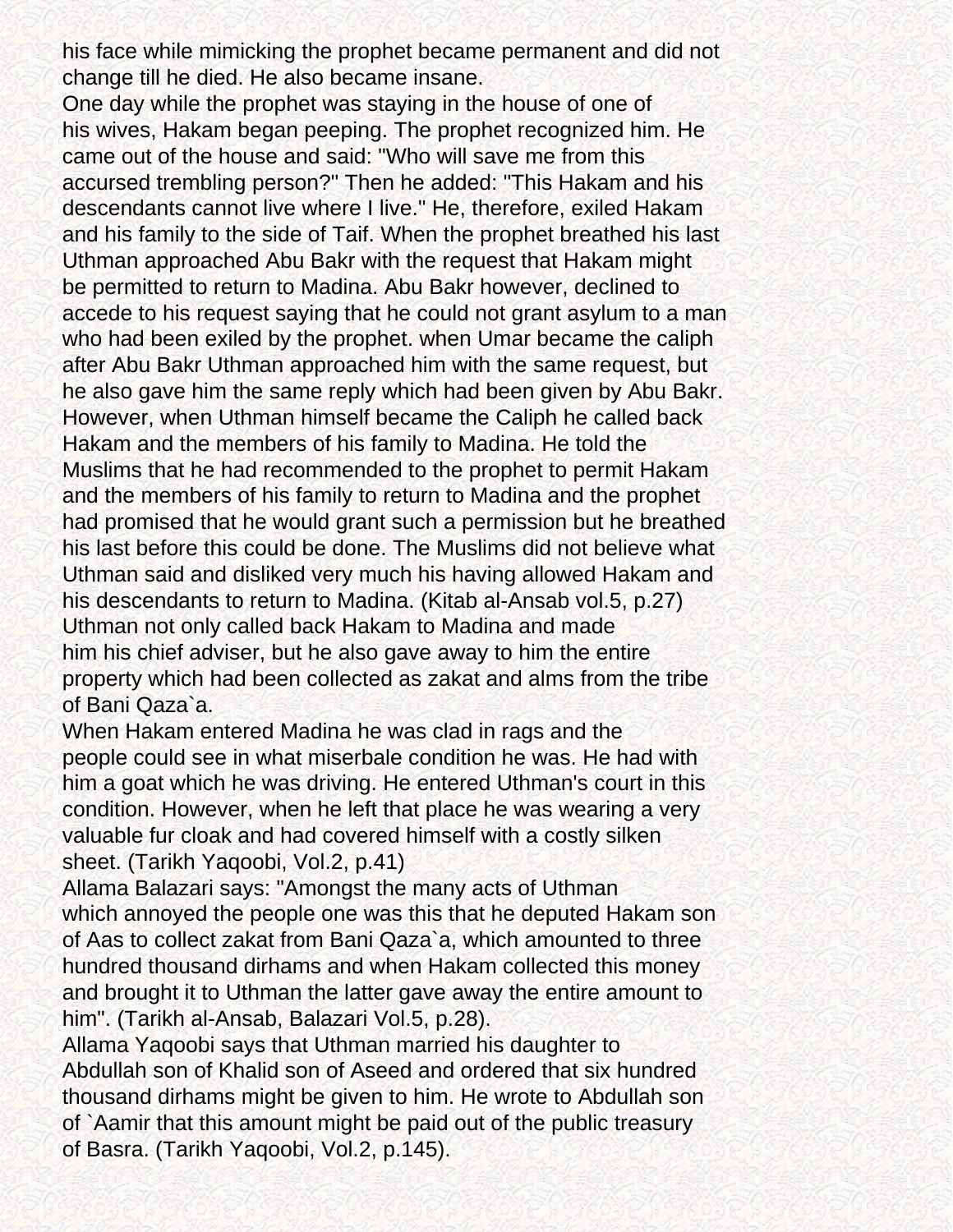his face while mimicking the prophet became permanent and did not change till he died. He also became insane.

One day while the prophet was staying in the house of one of his wives, Hakam began peeping. The prophet recognized him. He came out of the house and said: "Who will save me from this accursed trembling person?" Then he added: "This Hakam and his descendants cannot live where I live." He, therefore, exiled Hakam and his family to the side of Taif. When the prophet breathed his last Uthman approached Abu Bakr with the request that Hakam might be permitted to return to Madina. Abu Bakr however, declined to accede to his request saying that he could not grant asylum to a man who had been exiled by the prophet. when Umar became the caliph after Abu Bakr Uthman approached him with the same request, but he also gave him the same reply which had been given by Abu Bakr. However, when Uthman himself became the Caliph he called back Hakam and the members of his family to Madina. He told the Muslims that he had recommended to the prophet to permit Hakam and the members of his family to return to Madina and the prophet had promised that he would grant such a permission but he breathed his last before this could be done. The Muslims did not believe what Uthman said and disliked very much his having allowed Hakam and his descendants to return to Madina. (Kitab al-Ansab vol.5, p.27) Uthman not only called back Hakam to Madina and made him his chief adviser, but he also gave away to him the entire property which had been collected as zakat and alms from the tribe of Bani Qaza`a.

When Hakam entered Madina he was clad in rags and the people could see in what miserbale condition he was. He had with him a goat which he was driving. He entered Uthman's court in this condition. However, when he left that place he was wearing a very valuable fur cloak and had covered himself with a costly silken sheet. (Tarikh Yaqoobi, Vol.2, p.41)

Allama Balazari says: "Amongst the many acts of Uthman which annoyed the people one was this that he deputed Hakam son of Aas to collect zakat from Bani Qaza`a, which amounted to three hundred thousand dirhams and when Hakam collected this money and brought it to Uthman the latter gave away the entire amount to him". (Tarikh al-Ansab, Balazari Vol.5, p.28).

Allama Yaqoobi says that Uthman married his daughter to Abdullah son of Khalid son of Aseed and ordered that six hundred thousand dirhams might be given to him. He wrote to Abdullah son of `Aamir that this amount might be paid out of the public treasury of Basra. (Tarikh Yaqoobi, Vol.2, p.145).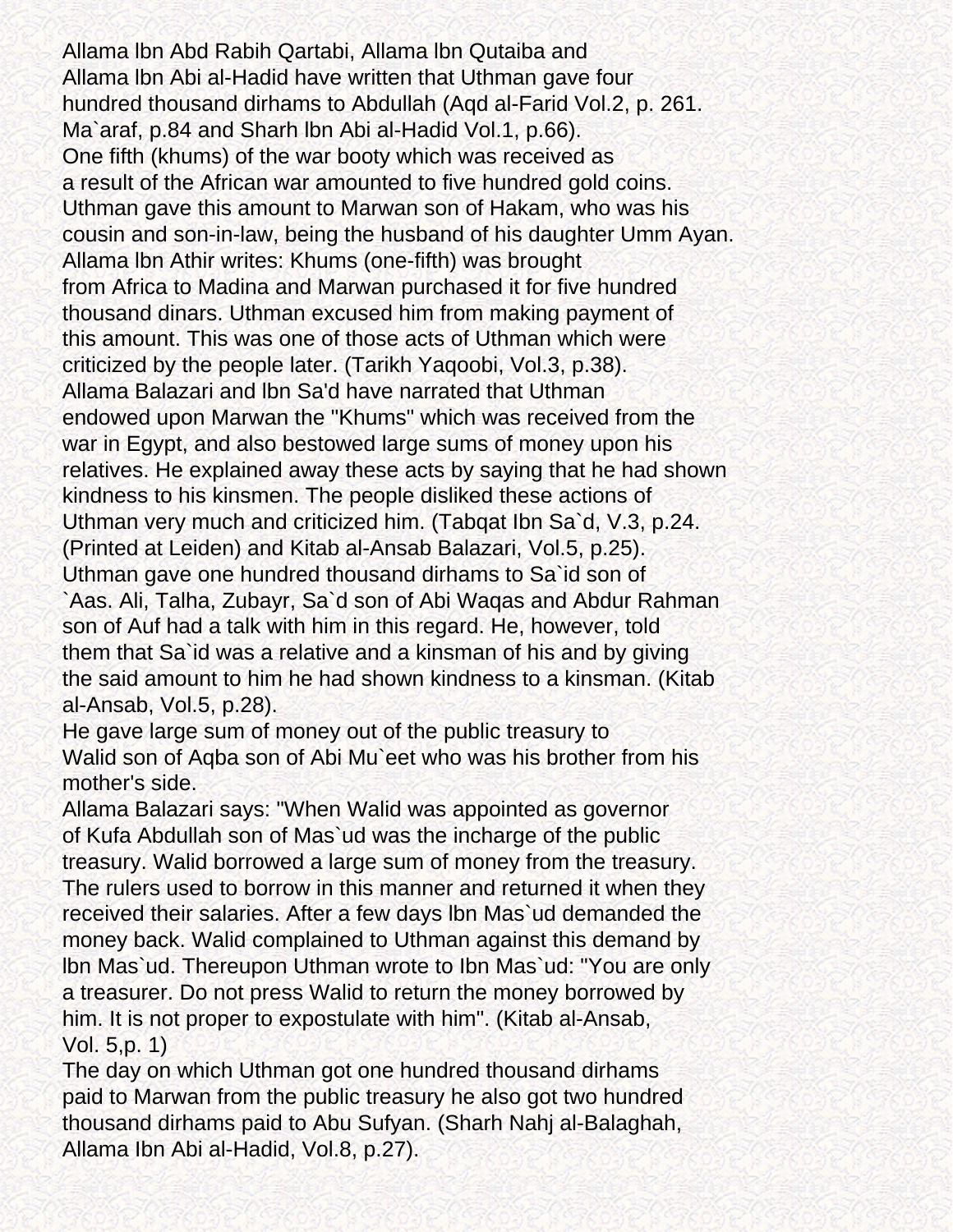Allama lbn Abd Rabih Qartabi, Allama lbn Qutaiba and Allama lbn Abi al-Hadid have written that Uthman gave four hundred thousand dirhams to Abdullah (Aqd al-Farid Vol.2, p. 261. Ma`araf, p.84 and Sharh lbn Abi al-Hadid Vol.1, p.66). One fifth (khums) of the war booty which was received as a result of the African war amounted to five hundred gold coins. Uthman gave this amount to Marwan son of Hakam, who was his cousin and son-in-law, being the husband of his daughter Umm Ayan. Allama lbn Athir writes: Khums (one-fifth) was brought from Africa to Madina and Marwan purchased it for five hundred thousand dinars. Uthman excused him from making payment of this amount. This was one of those acts of Uthman which were criticized by the people later. (Tarikh Yaqoobi, Vol.3, p.38). Allama Balazari and lbn Sa'd have narrated that Uthman endowed upon Marwan the "Khums" which was received from the war in Egypt, and also bestowed large sums of money upon his relatives. He explained away these acts by saying that he had shown kindness to his kinsmen. The people disliked these actions of Uthman very much and criticized him. (Tabqat Ibn Sa`d, V.3, p.24. (Printed at Leiden) and Kitab al-Ansab Balazari, Vol.5, p.25). Uthman gave one hundred thousand dirhams to Sa`id son of `Aas. Ali, Talha, Zubayr, Sa`d son of Abi Waqas and Abdur Rahman son of Auf had a talk with him in this regard. He, however, told them that Sa`id was a relative and a kinsman of his and by giving the said amount to him he had shown kindness to a kinsman. (Kitab al-Ansab, Vol.5, p.28).

He gave large sum of money out of the public treasury to Walid son of Aqba son of Abi Mu`eet who was his brother from his mother's side.

Allama Balazari says: "When Walid was appointed as governor of Kufa Abdullah son of Mas`ud was the incharge of the public treasury. Walid borrowed a large sum of money from the treasury. The rulers used to borrow in this manner and returned it when they received their salaries. After a few days lbn Mas`ud demanded the money back. Walid complained to Uthman against this demand by lbn Mas`ud. Thereupon Uthman wrote to Ibn Mas`ud: "You are only a treasurer. Do not press Walid to return the money borrowed by him. It is not proper to expostulate with him". (Kitab al-Ansab, Vol. 5,p. 1)

The day on which Uthman got one hundred thousand dirhams paid to Marwan from the public treasury he also got two hundred thousand dirhams paid to Abu Sufyan. (Sharh Nahj al-Balaghah, Allama Ibn Abi al-Hadid, Vol.8, p.27).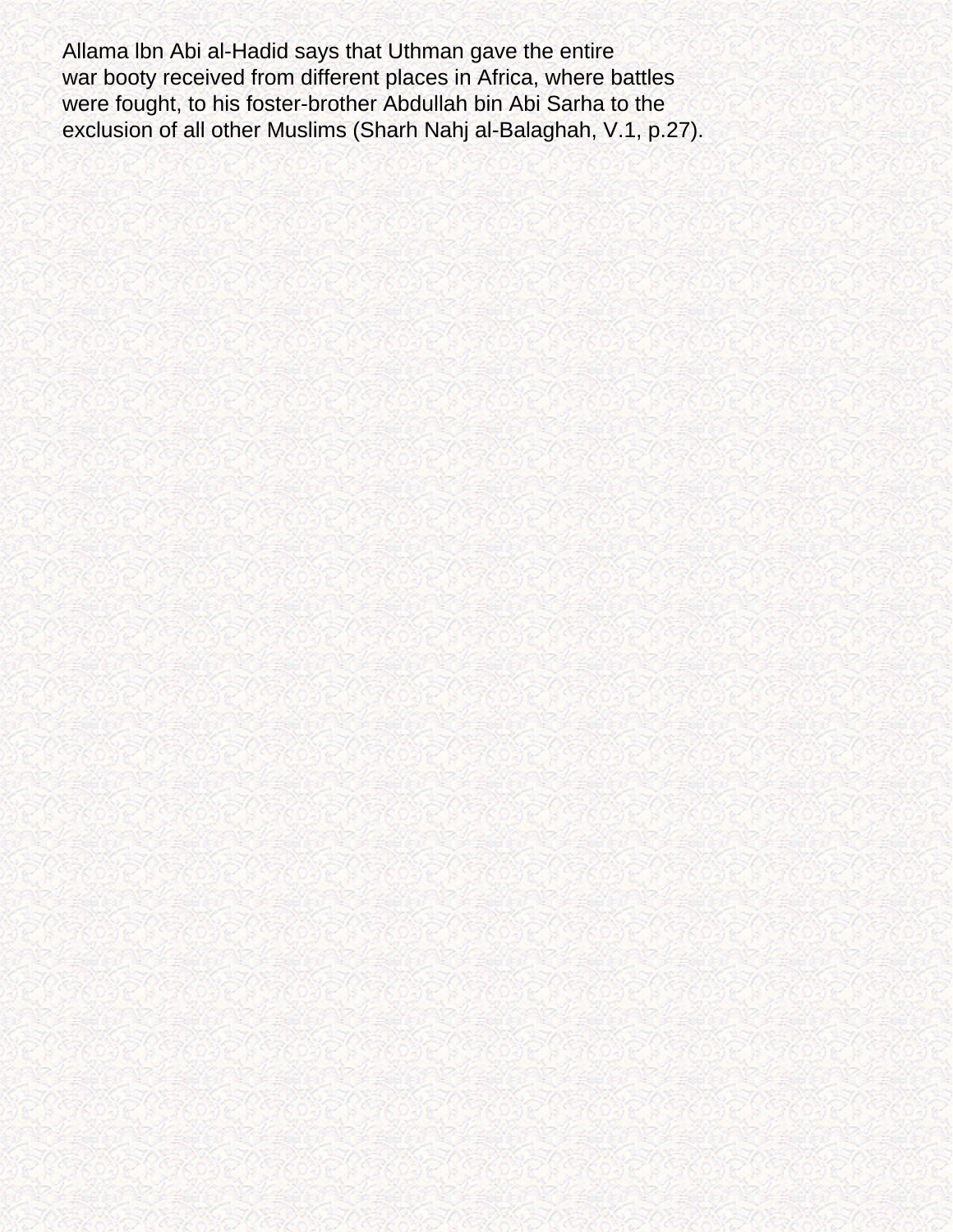Allama lbn Abi al-Hadid says that Uthman gave the entire war booty received from different places in Africa, where battles were fought, to his foster-brother Abdullah bin Abi Sarha to the exclusion of all other Muslims (Sharh Nahj al-Balaghah, V.1, p.27).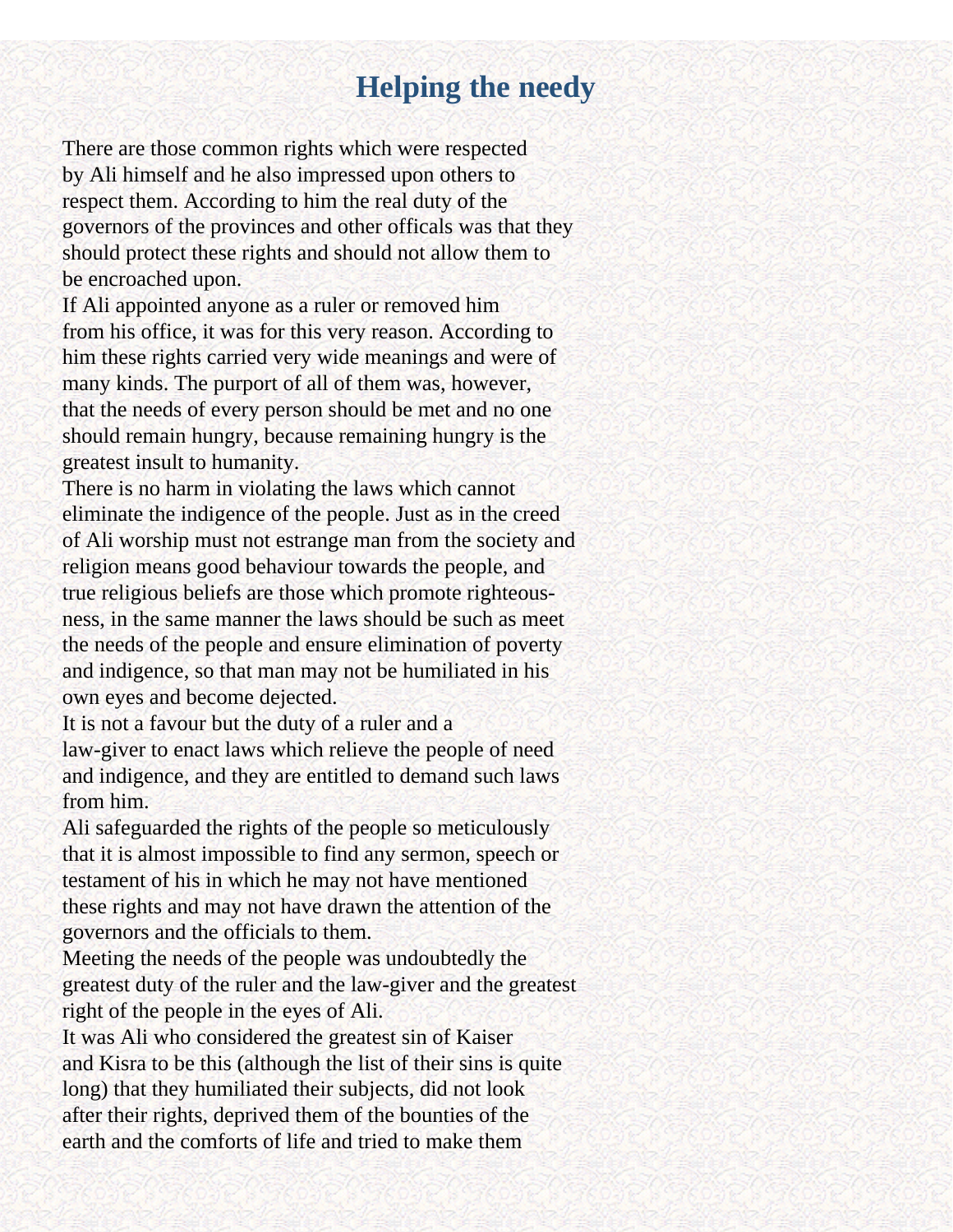## **Helping the needy**

There are those common rights which were respected by Ali himself and he also impressed upon others to respect them. According to him the real duty of the governors of the provinces and other officals was that they should protect these rights and should not allow them to be encroached upon.

If Ali appointed anyone as a ruler or removed him from his office, it was for this very reason. According to him these rights carried very wide meanings and were of many kinds. The purport of all of them was, however, that the needs of every person should be met and no one should remain hungry, because remaining hungry is the greatest insult to humanity.

There is no harm in violating the laws which cannot eliminate the indigence of the people. Just as in the creed of Ali worship must not estrange man from the society and religion means good behaviour towards the people, and true religious beliefs are those which promote righteousness, in the same manner the laws should be such as meet the needs of the people and ensure elimination of poverty and indigence, so that man may not be humiliated in his own eyes and become dejected.

It is not a favour but the duty of a ruler and a law-giver to enact laws which relieve the people of need and indigence, and they are entitled to demand such laws from him.

Ali safeguarded the rights of the people so meticulously that it is almost impossible to find any sermon, speech or testament of his in which he may not have mentioned these rights and may not have drawn the attention of the governors and the officials to them.

Meeting the needs of the people was undoubtedly the greatest duty of the ruler and the law-giver and the greatest right of the people in the eyes of Ali.

It was Ali who considered the greatest sin of Kaiser and Kisra to be this (although the list of their sins is quite long) that they humiliated their subjects, did not look after their rights, deprived them of the bounties of the earth and the comforts of life and tried to make them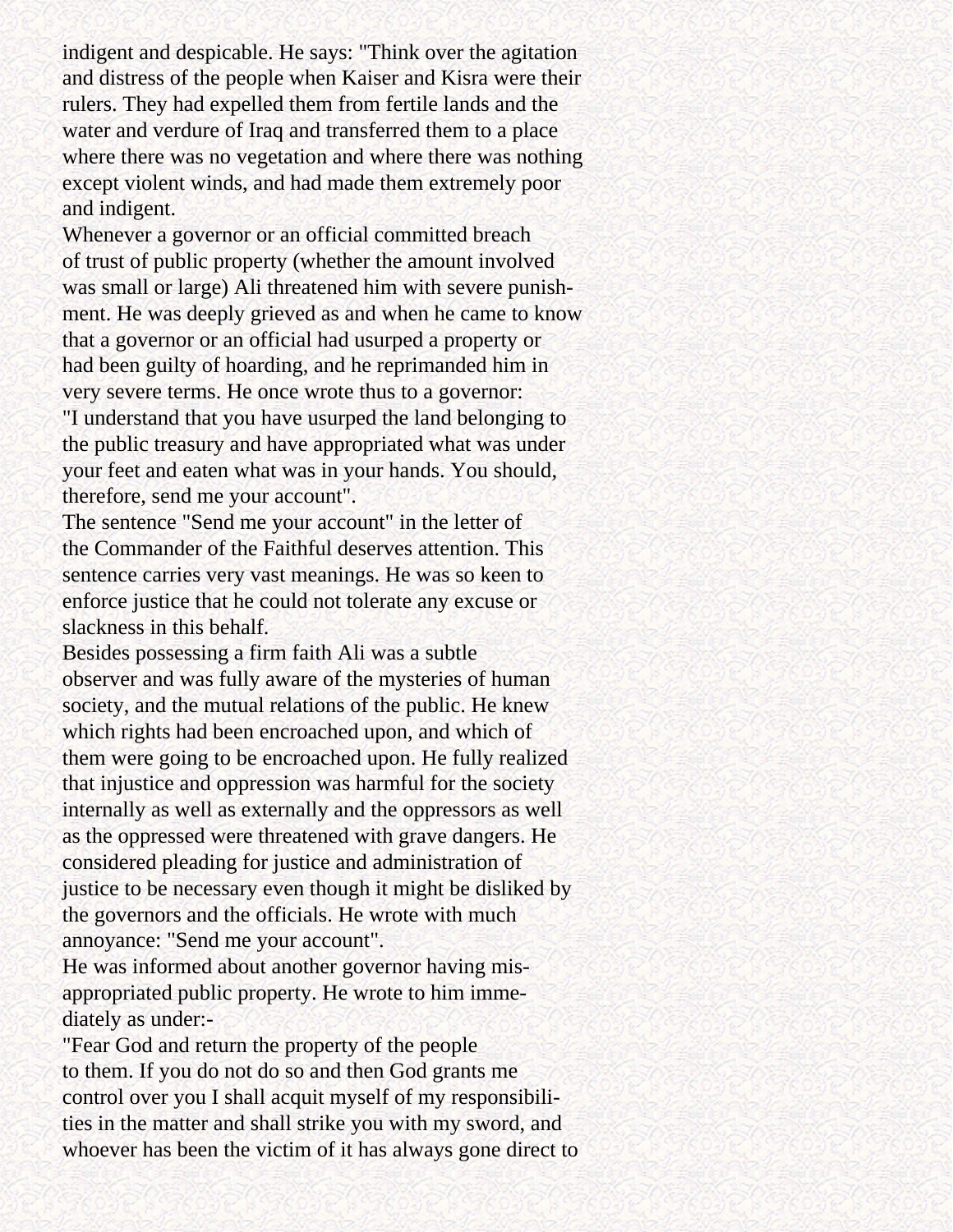indigent and despicable. He says: "Think over the agitation and distress of the people when Kaiser and Kisra were their rulers. They had expelled them from fertile lands and the water and verdure of Iraq and transferred them to a place where there was no vegetation and where there was nothing except violent winds, and had made them extremely poor and indigent.

Whenever a governor or an official committed breach of trust of public property (whether the amount involved was small or large) Ali threatened him with severe punishment. He was deeply grieved as and when he came to know that a governor or an official had usurped a property or had been guilty of hoarding, and he reprimanded him in very severe terms. He once wrote thus to a governor: "I understand that you have usurped the land belonging to the public treasury and have appropriated what was under your feet and eaten what was in your hands. You should, therefore, send me your account".

The sentence "Send me your account" in the letter of the Commander of the Faithful deserves attention. This sentence carries very vast meanings. He was so keen to enforce justice that he could not tolerate any excuse or slackness in this behalf.

Besides possessing a firm faith Ali was a subtle observer and was fully aware of the mysteries of human society, and the mutual relations of the public. He knew which rights had been encroached upon, and which of them were going to be encroached upon. He fully realized that injustice and oppression was harmful for the society internally as well as externally and the oppressors as well as the oppressed were threatened with grave dangers. He considered pleading for justice and administration of justice to be necessary even though it might be disliked by the governors and the officials. He wrote with much annoyance: "Send me your account".

He was informed about another governor having misappropriated public property. He wrote to him immediately as under:-

"Fear God and return the property of the people to them. If you do not do so and then God grants me control over you I shall acquit myself of my responsibilities in the matter and shall strike you with my sword, and whoever has been the victim of it has always gone direct to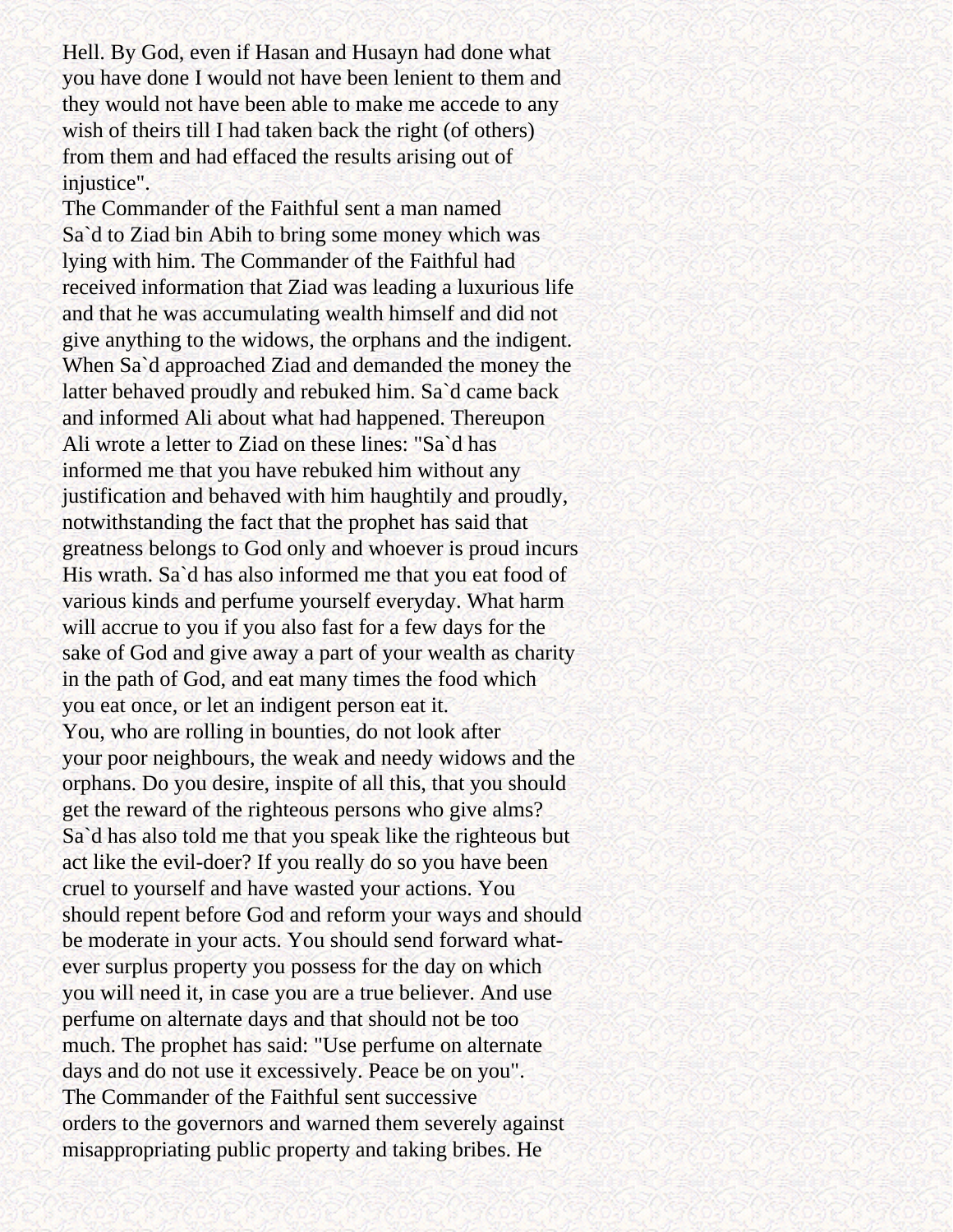Hell. By God, even if Hasan and Husayn had done what you have done I would not have been lenient to them and they would not have been able to make me accede to any wish of theirs till I had taken back the right (of others) from them and had effaced the results arising out of injustice".

The Commander of the Faithful sent a man named Sa`d to Ziad bin Abih to bring some money which was lying with him. The Commander of the Faithful had received information that Ziad was leading a luxurious life and that he was accumulating wealth himself and did not give anything to the widows, the orphans and the indigent. When Sa`d approached Ziad and demanded the money the latter behaved proudly and rebuked him. Sa`d came back and informed Ali about what had happened. Thereupon Ali wrote a letter to Ziad on these lines: "Sa`d has informed me that you have rebuked him without any justification and behaved with him haughtily and proudly, notwithstanding the fact that the prophet has said that greatness belongs to God only and whoever is proud incurs His wrath. Sa`d has also informed me that you eat food of various kinds and perfume yourself everyday. What harm will accrue to you if you also fast for a few days for the sake of God and give away a part of your wealth as charity in the path of God, and eat many times the food which you eat once, or let an indigent person eat it. You, who are rolling in bounties, do not look after your poor neighbours, the weak and needy widows and the orphans. Do you desire, inspite of all this, that you should get the reward of the righteous persons who give alms? Sa`d has also told me that you speak like the righteous but act like the evil-doer? If you really do so you have been cruel to yourself and have wasted your actions. You should repent before God and reform your ways and should be moderate in your acts. You should send forward whatever surplus property you possess for the day on which you will need it, in case you are a true believer. And use perfume on alternate days and that should not be too much. The prophet has said: "Use perfume on alternate days and do not use it excessively. Peace be on you". The Commander of the Faithful sent successive orders to the governors and warned them severely against misappropriating public property and taking bribes. He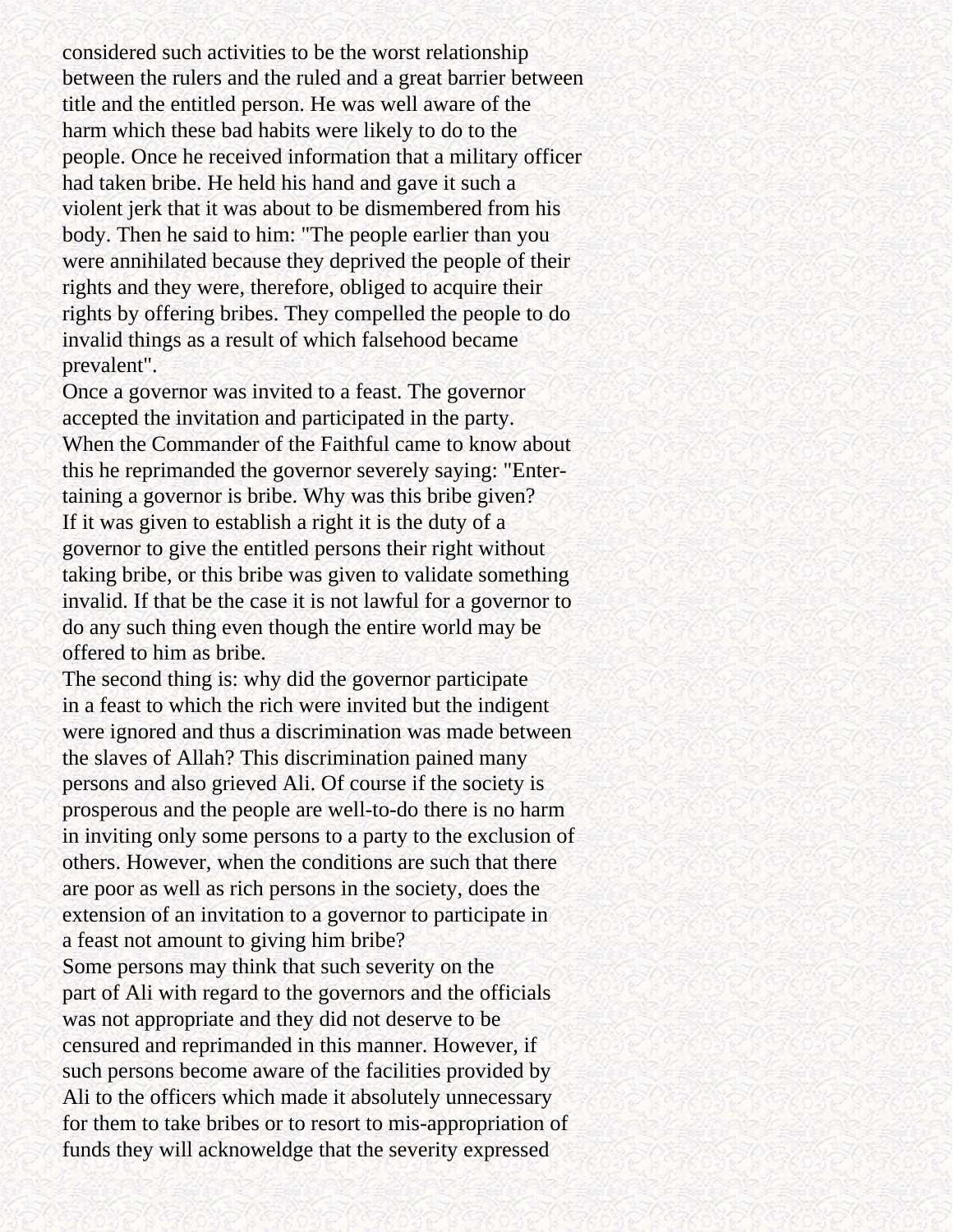considered such activities to be the worst relationship between the rulers and the ruled and a great barrier between title and the entitled person. He was well aware of the harm which these bad habits were likely to do to the people. Once he received information that a military officer had taken bribe. He held his hand and gave it such a violent jerk that it was about to be dismembered from his body. Then he said to him: "The people earlier than you were annihilated because they deprived the people of their rights and they were, therefore, obliged to acquire their rights by offering bribes. They compelled the people to do invalid things as a result of which falsehood became prevalent".

Once a governor was invited to a feast. The governor accepted the invitation and participated in the party. When the Commander of the Faithful came to know about this he reprimanded the governor severely saying: "Entertaining a governor is bribe. Why was this bribe given? If it was given to establish a right it is the duty of a governor to give the entitled persons their right without taking bribe, or this bribe was given to validate something invalid. If that be the case it is not lawful for a governor to do any such thing even though the entire world may be offered to him as bribe.

The second thing is: why did the governor participate in a feast to which the rich were invited but the indigent were ignored and thus a discrimination was made between the slaves of Allah? This discrimination pained many persons and also grieved Ali. Of course if the society is prosperous and the people are well-to-do there is no harm in inviting only some persons to a party to the exclusion of others. However, when the conditions are such that there are poor as well as rich persons in the society, does the extension of an invitation to a governor to participate in a feast not amount to giving him bribe? Some persons may think that such severity on the part of Ali with regard to the governors and the officials was not appropriate and they did not deserve to be censured and reprimanded in this manner. However, if such persons become aware of the facilities provided by Ali to the officers which made it absolutely unnecessary for them to take bribes or to resort to mis-appropriation of funds they will acknoweldge that the severity expressed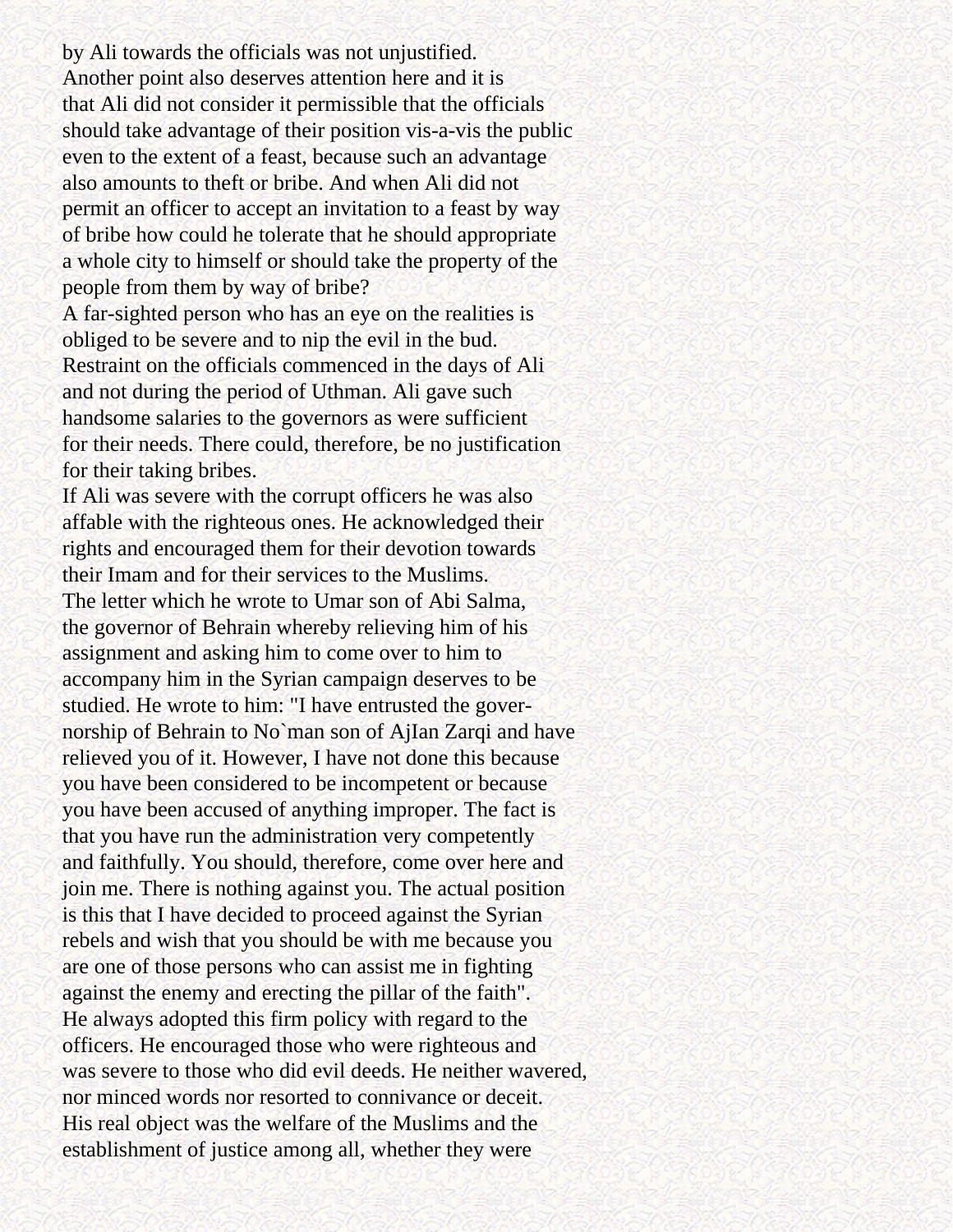by Ali towards the officials was not unjustified. Another point also deserves attention here and it is that Ali did not consider it permissible that the officials should take advantage of their position vis-a-vis the public even to the extent of a feast, because such an advantage also amounts to theft or bribe. And when Ali did not permit an officer to accept an invitation to a feast by way of bribe how could he tolerate that he should appropriate a whole city to himself or should take the property of the people from them by way of bribe?

A far-sighted person who has an eye on the realities is obliged to be severe and to nip the evil in the bud. Restraint on the officials commenced in the days of Ali and not during the period of Uthman. Ali gave such handsome salaries to the governors as were sufficient for their needs. There could, therefore, be no justification for their taking bribes.

If Ali was severe with the corrupt officers he was also affable with the righteous ones. He acknowledged their rights and encouraged them for their devotion towards their Imam and for their services to the Muslims. The letter which he wrote to Umar son of Abi Salma, the governor of Behrain whereby relieving him of his assignment and asking him to come over to him to accompany him in the Syrian campaign deserves to be studied. He wrote to him: "I have entrusted the governorship of Behrain to No`man son of AjIan Zarqi and have relieved you of it. However, I have not done this because you have been considered to be incompetent or because you have been accused of anything improper. The fact is that you have run the administration very competently and faithfully. You should, therefore, come over here and join me. There is nothing against you. The actual position is this that I have decided to proceed against the Syrian rebels and wish that you should be with me because you are one of those persons who can assist me in fighting against the enemy and erecting the pillar of the faith". He always adopted this firm policy with regard to the officers. He encouraged those who were righteous and was severe to those who did evil deeds. He neither wavered, nor minced words nor resorted to connivance or deceit. His real object was the welfare of the Muslims and the establishment of justice among all, whether they were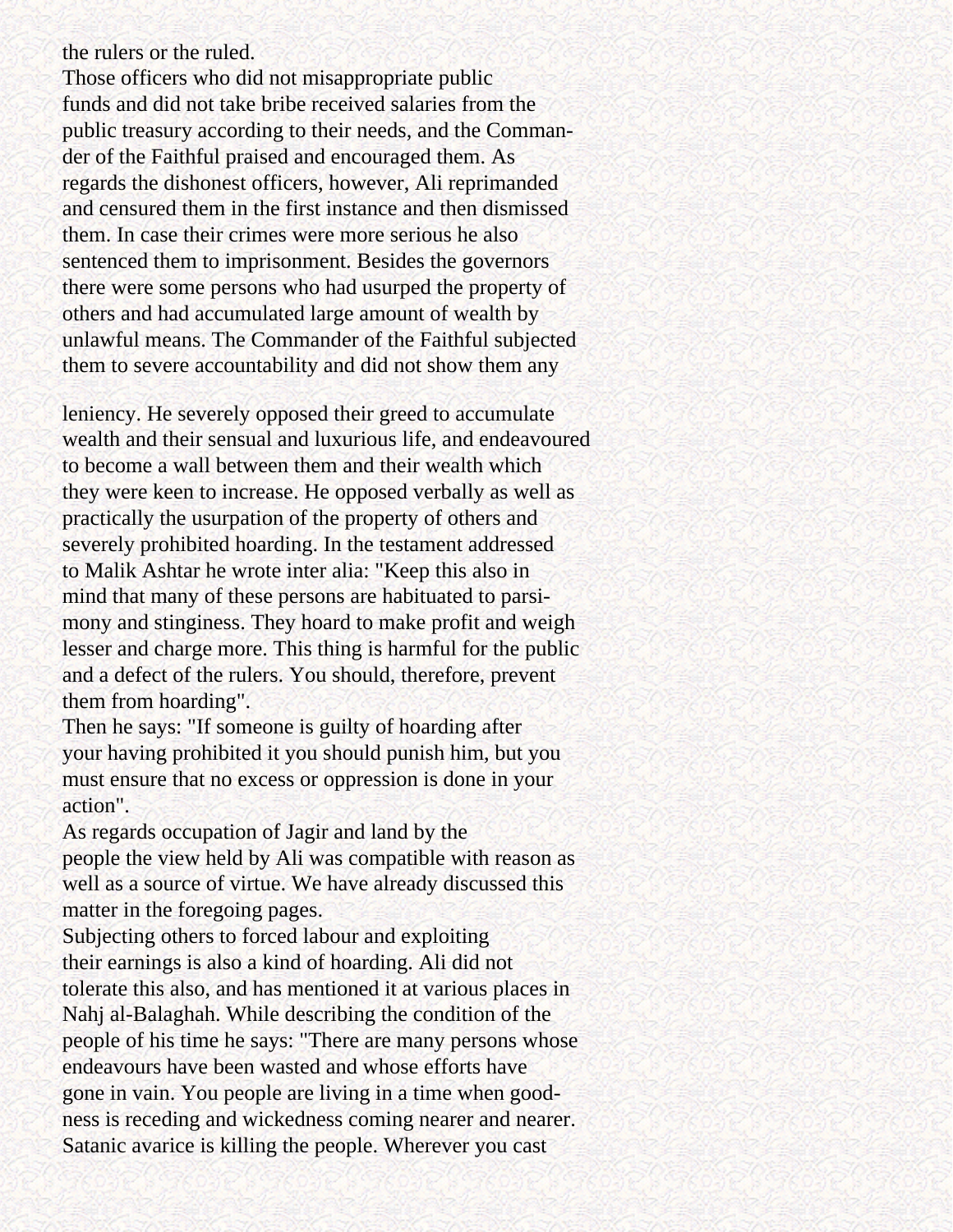the rulers or the ruled.

Those officers who did not misappropriate public funds and did not take bribe received salaries from the public treasury according to their needs, and the Commander of the Faithful praised and encouraged them. As regards the dishonest officers, however, Ali reprimanded and censured them in the first instance and then dismissed them. In case their crimes were more serious he also sentenced them to imprisonment. Besides the governors there were some persons who had usurped the property of others and had accumulated large amount of wealth by unlawful means. The Commander of the Faithful subjected them to severe accountability and did not show them any

leniency. He severely opposed their greed to accumulate wealth and their sensual and luxurious life, and endeavoured to become a wall between them and their wealth which they were keen to increase. He opposed verbally as well as practically the usurpation of the property of others and severely prohibited hoarding. In the testament addressed to Malik Ashtar he wrote inter alia: "Keep this also in mind that many of these persons are habituated to parsimony and stinginess. They hoard to make profit and weigh lesser and charge more. This thing is harmful for the public and a defect of the rulers. You should, therefore, prevent them from hoarding".

Then he says: "If someone is guilty of hoarding after your having prohibited it you should punish him, but you must ensure that no excess or oppression is done in your action".

As regards occupation of Jagir and land by the people the view held by Ali was compatible with reason as well as a source of virtue. We have already discussed this matter in the foregoing pages.

Subjecting others to forced labour and exploiting their earnings is also a kind of hoarding. Ali did not tolerate this also, and has mentioned it at various places in Nahj al-Balaghah. While describing the condition of the people of his time he says: "There are many persons whose endeavours have been wasted and whose efforts have gone in vain. You people are living in a time when goodness is receding and wickedness coming nearer and nearer. Satanic avarice is killing the people. Wherever you cast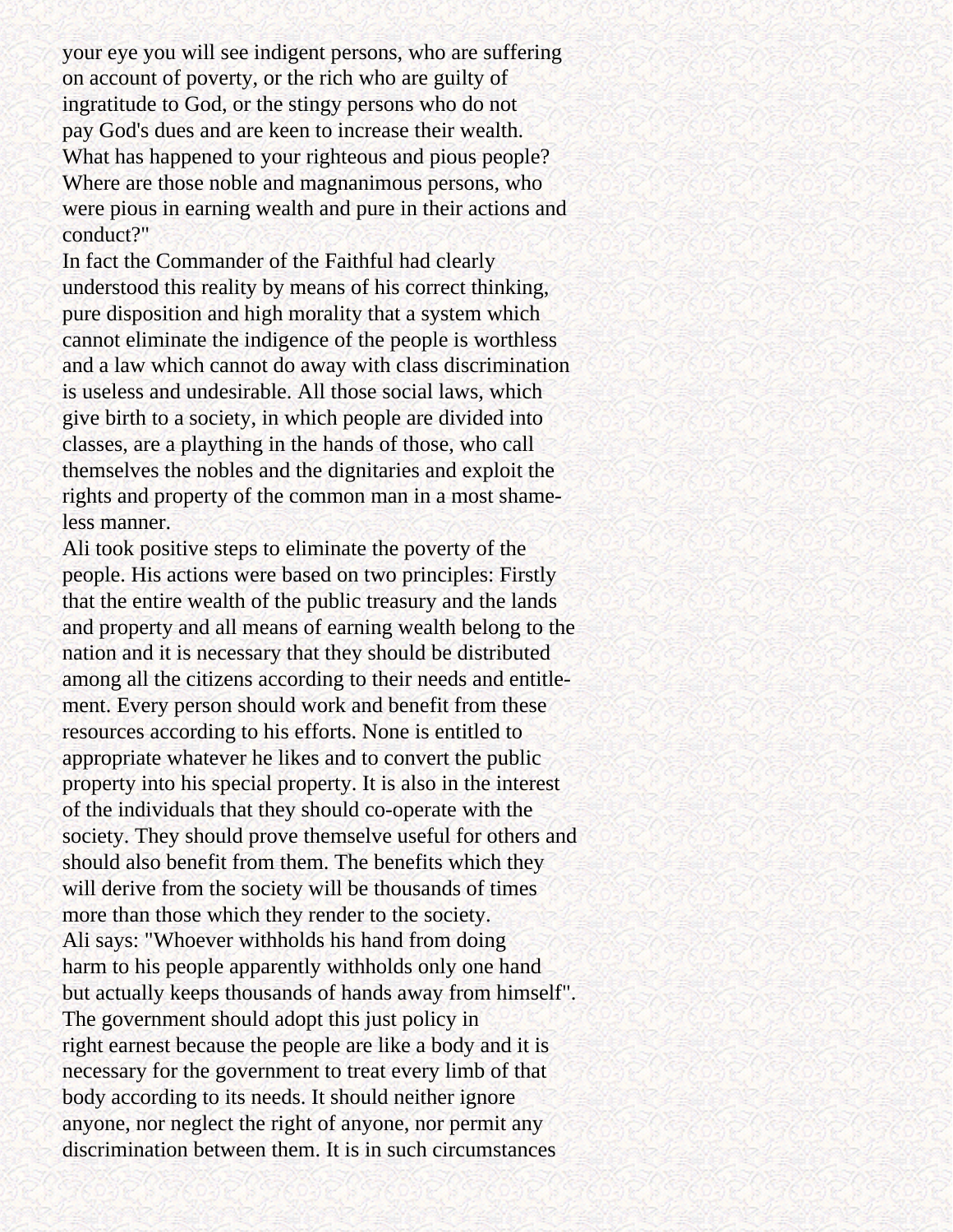your eye you will see indigent persons, who are suffering on account of poverty, or the rich who are guilty of ingratitude to God, or the stingy persons who do not pay God's dues and are keen to increase their wealth. What has happened to your righteous and pious people? Where are those noble and magnanimous persons, who were pious in earning wealth and pure in their actions and conduct?"

In fact the Commander of the Faithful had clearly understood this reality by means of his correct thinking, pure disposition and high morality that a system which cannot eliminate the indigence of the people is worthless and a law which cannot do away with class discrimination is useless and undesirable. All those social laws, which give birth to a society, in which people are divided into classes, are a plaything in the hands of those, who call themselves the nobles and the dignitaries and exploit the rights and property of the common man in a most shameless manner.

Ali took positive steps to eliminate the poverty of the people. His actions were based on two principles: Firstly that the entire wealth of the public treasury and the lands and property and all means of earning wealth belong to the nation and it is necessary that they should be distributed among all the citizens according to their needs and entitlement. Every person should work and benefit from these resources according to his efforts. None is entitled to appropriate whatever he likes and to convert the public property into his special property. It is also in the interest of the individuals that they should co-operate with the society. They should prove themselve useful for others and should also benefit from them. The benefits which they will derive from the society will be thousands of times more than those which they render to the society. Ali says: "Whoever withholds his hand from doing harm to his people apparently withholds only one hand but actually keeps thousands of hands away from himself". The government should adopt this just policy in right earnest because the people are like a body and it is necessary for the government to treat every limb of that body according to its needs. It should neither ignore anyone, nor neglect the right of anyone, nor permit any discrimination between them. It is in such circumstances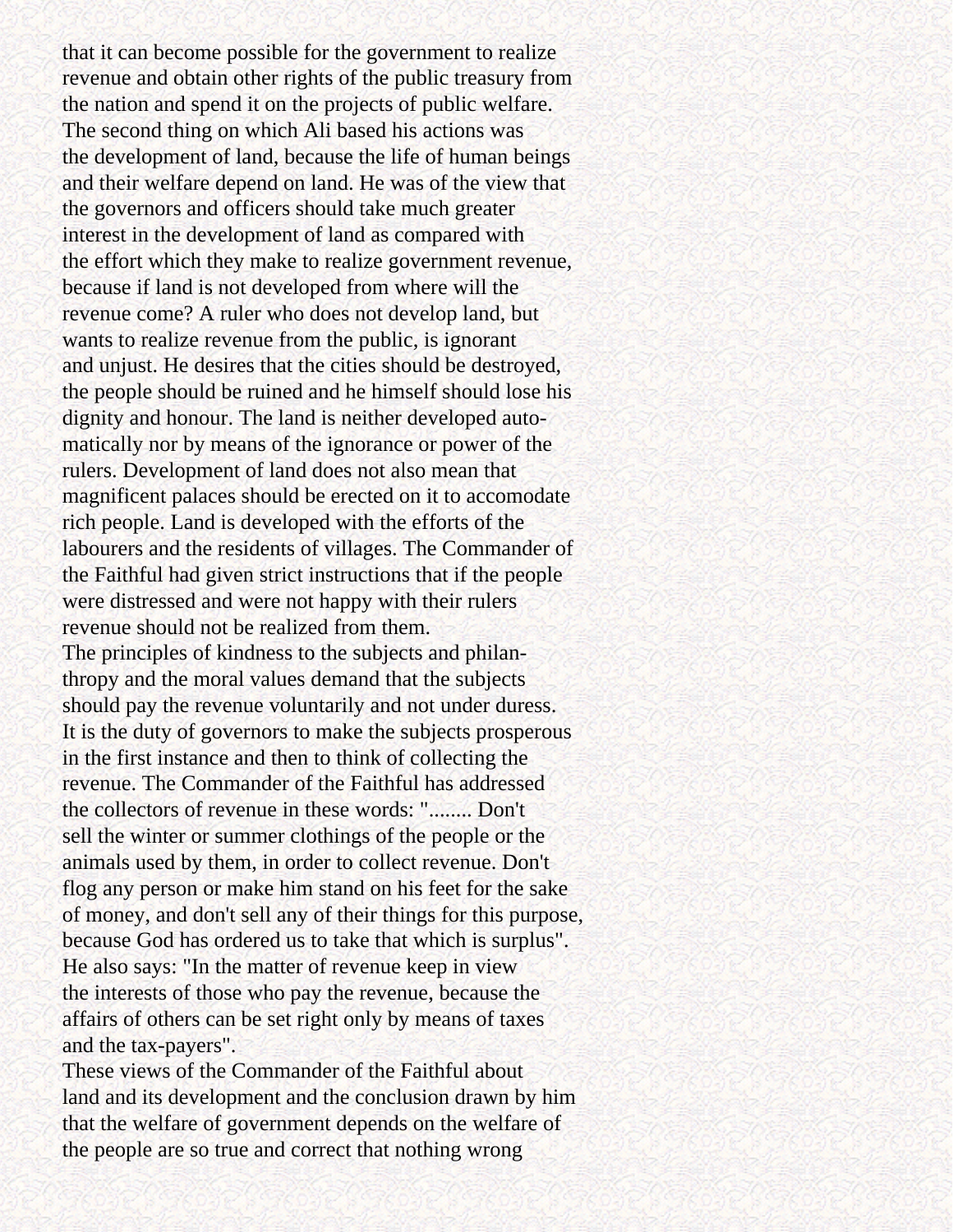that it can become possible for the government to realize revenue and obtain other rights of the public treasury from the nation and spend it on the projects of public welfare. The second thing on which Ali based his actions was the development of land, because the life of human beings and their welfare depend on land. He was of the view that the governors and officers should take much greater interest in the development of land as compared with the effort which they make to realize government revenue, because if land is not developed from where will the revenue come? A ruler who does not develop land, but wants to realize revenue from the public, is ignorant and unjust. He desires that the cities should be destroyed, the people should be ruined and he himself should lose his dignity and honour. The land is neither developed automatically nor by means of the ignorance or power of the rulers. Development of land does not also mean that magnificent palaces should be erected on it to accomodate rich people. Land is developed with the efforts of the labourers and the residents of villages. The Commander of the Faithful had given strict instructions that if the people were distressed and were not happy with their rulers revenue should not be realized from them. The principles of kindness to the subjects and philanthropy and the moral values demand that the subjects should pay the revenue voluntarily and not under duress. It is the duty of governors to make the subjects prosperous in the first instance and then to think of collecting the revenue. The Commander of the Faithful has addressed the collectors of revenue in these words: "........ Don't sell the winter or summer clothings of the people or the animals used by them, in order to collect revenue. Don't flog any person or make him stand on his feet for the sake of money, and don't sell any of their things for this purpose, because God has ordered us to take that which is surplus". He also says: "In the matter of revenue keep in view the interests of those who pay the revenue, because the affairs of others can be set right only by means of taxes and the tax-payers".

These views of the Commander of the Faithful about land and its development and the conclusion drawn by him that the welfare of government depends on the welfare of the people are so true and correct that nothing wrong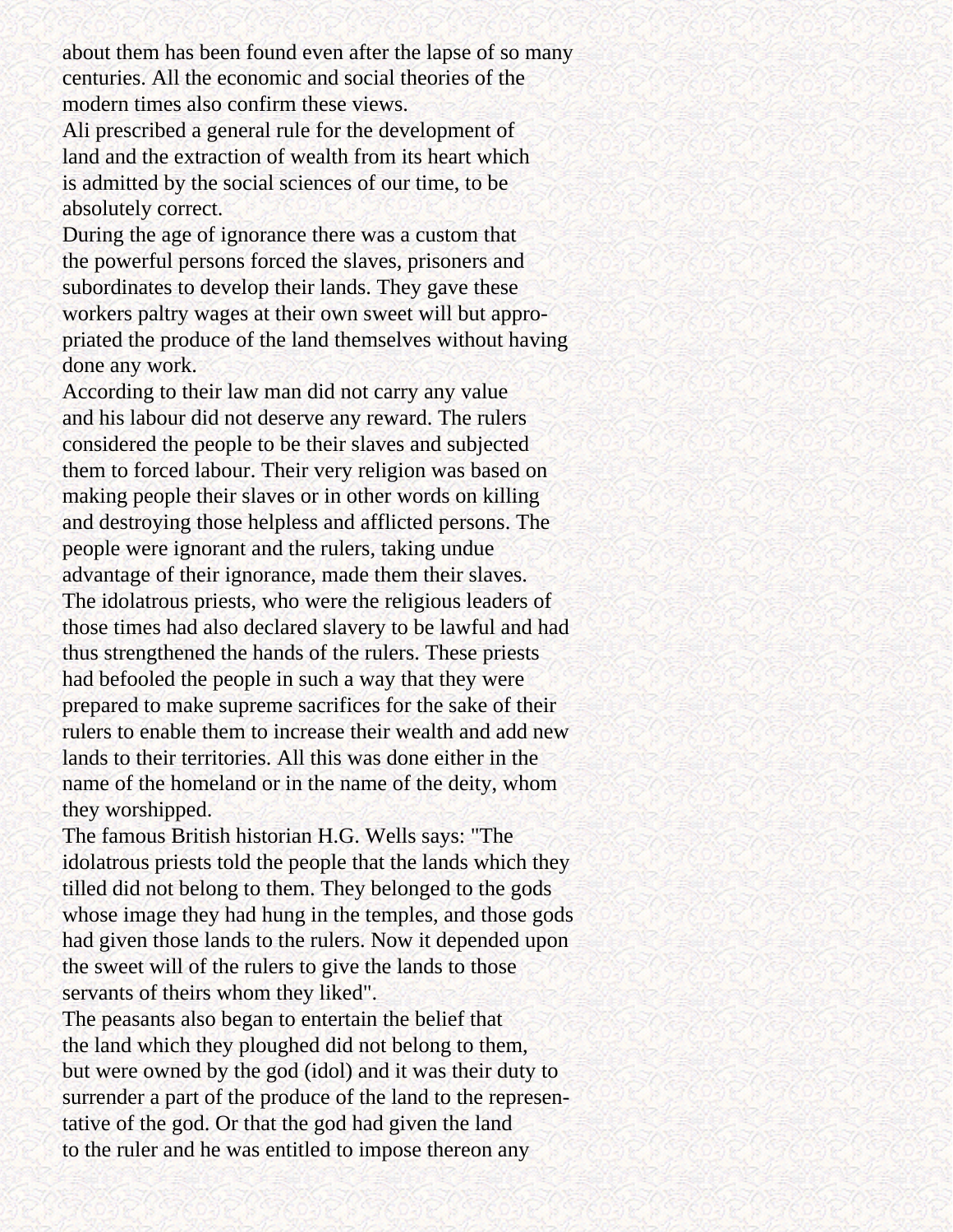about them has been found even after the lapse of so many centuries. All the economic and social theories of the modern times also confirm these views.

Ali prescribed a general rule for the development of land and the extraction of wealth from its heart which is admitted by the social sciences of our time, to be absolutely correct.

During the age of ignorance there was a custom that the powerful persons forced the slaves, prisoners and subordinates to develop their lands. They gave these workers paltry wages at their own sweet will but appropriated the produce of the land themselves without having done any work.

According to their law man did not carry any value and his labour did not deserve any reward. The rulers considered the people to be their slaves and subjected them to forced labour. Their very religion was based on making people their slaves or in other words on killing and destroying those helpless and afflicted persons. The people were ignorant and the rulers, taking undue advantage of their ignorance, made them their slaves. The idolatrous priests, who were the religious leaders of those times had also declared slavery to be lawful and had thus strengthened the hands of the rulers. These priests had befooled the people in such a way that they were prepared to make supreme sacrifices for the sake of their rulers to enable them to increase their wealth and add new lands to their territories. All this was done either in the name of the homeland or in the name of the deity, whom they worshipped.

The famous British historian H.G. Wells says: "The idolatrous priests told the people that the lands which they tilled did not belong to them. They belonged to the gods whose image they had hung in the temples, and those gods had given those lands to the rulers. Now it depended upon the sweet will of the rulers to give the lands to those servants of theirs whom they liked".

The peasants also began to entertain the belief that the land which they ploughed did not belong to them, but were owned by the god (idol) and it was their duty to surrender a part of the produce of the land to the representative of the god. Or that the god had given the land to the ruler and he was entitled to impose thereon any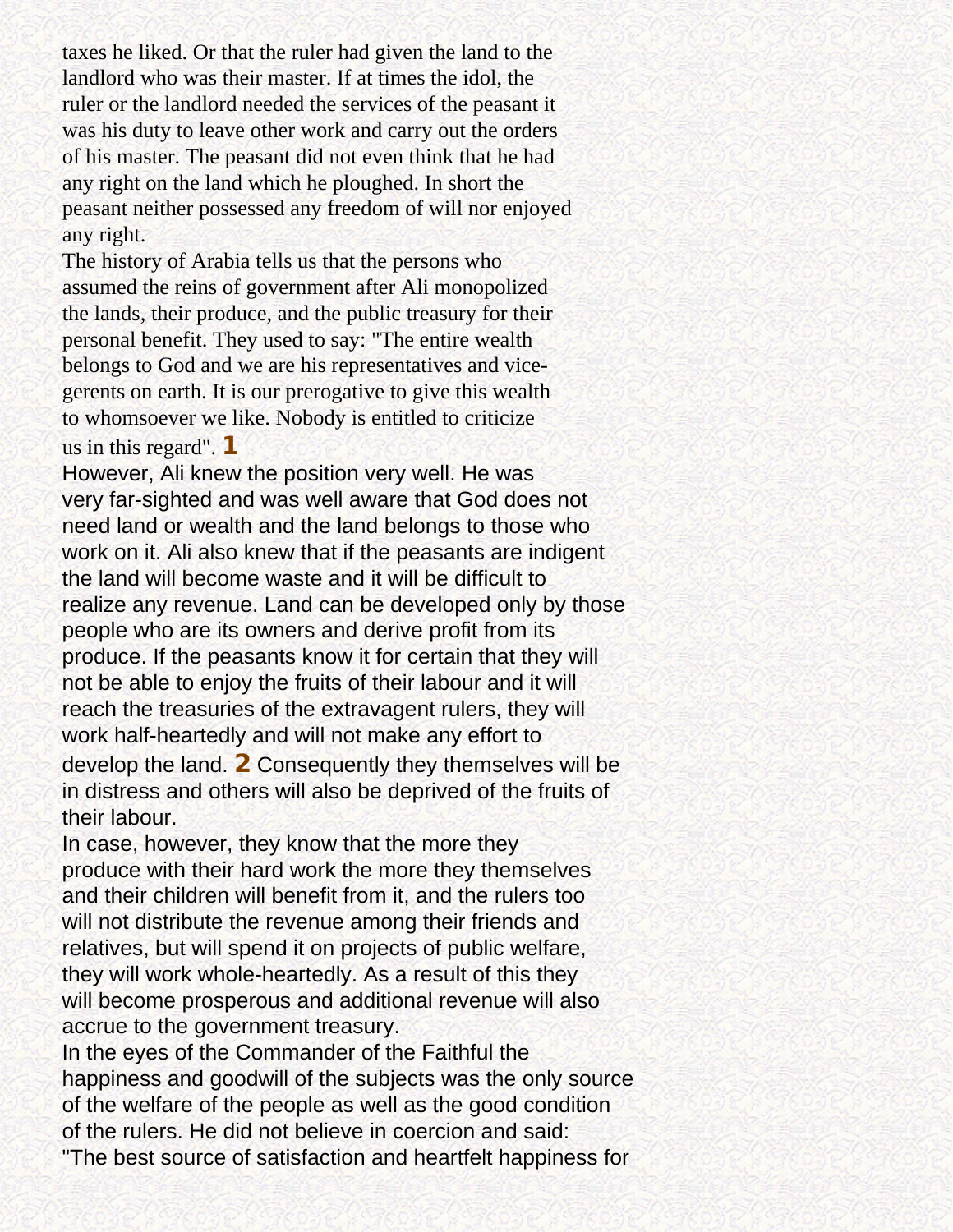taxes he liked. Or that the ruler had given the land to the landlord who was their master. If at times the idol, the ruler or the landlord needed the services of the peasant it was his duty to leave other work and carry out the orders of his master. The peasant did not even think that he had any right on the land which he ploughed. In short the peasant neither possessed any freedom of will nor enjoyed any right.

The history of Arabia tells us that the persons who assumed the reins of government after Ali monopolized the lands, their produce, and the public treasury for their personal benefit. They used to say: "The entire wealth belongs to God and we are his representatives and vicegerents on earth. It is our prerogative to give this wealth to whomsoever we like. Nobody is entitled to criticize us in this regard". 1

However, Ali knew the position very well. He was very far-sighted and was well aware that God does not need land or wealth and the land belongs to those who work on it. Ali also knew that if the peasants are indigent the land will become waste and it will be difficult to realize any revenue. Land can be developed only by those people who are its owners and derive profit from its produce. If the peasants know it for certain that they will not be able to enjoy the fruits of their labour and it will reach the treasuries of the extravagent rulers, they will work half-heartedly and will not make any effort to develop the land. 2 Consequently they themselves will be in distress and others will also be deprived of the fruits of their labour.

In case, however, they know that the more they produce with their hard work the more they themselves and their children will benefit from it, and the rulers too will not distribute the revenue among their friends and relatives, but will spend it on projects of public welfare, they will work whole-heartedly. As a result of this they will become prosperous and additional revenue will also accrue to the government treasury.

In the eyes of the Commander of the Faithful the happiness and goodwill of the subjects was the only source of the welfare of the people as well as the good condition of the rulers. He did not believe in coercion and said:

"The best source of satisfaction and heartfelt happiness for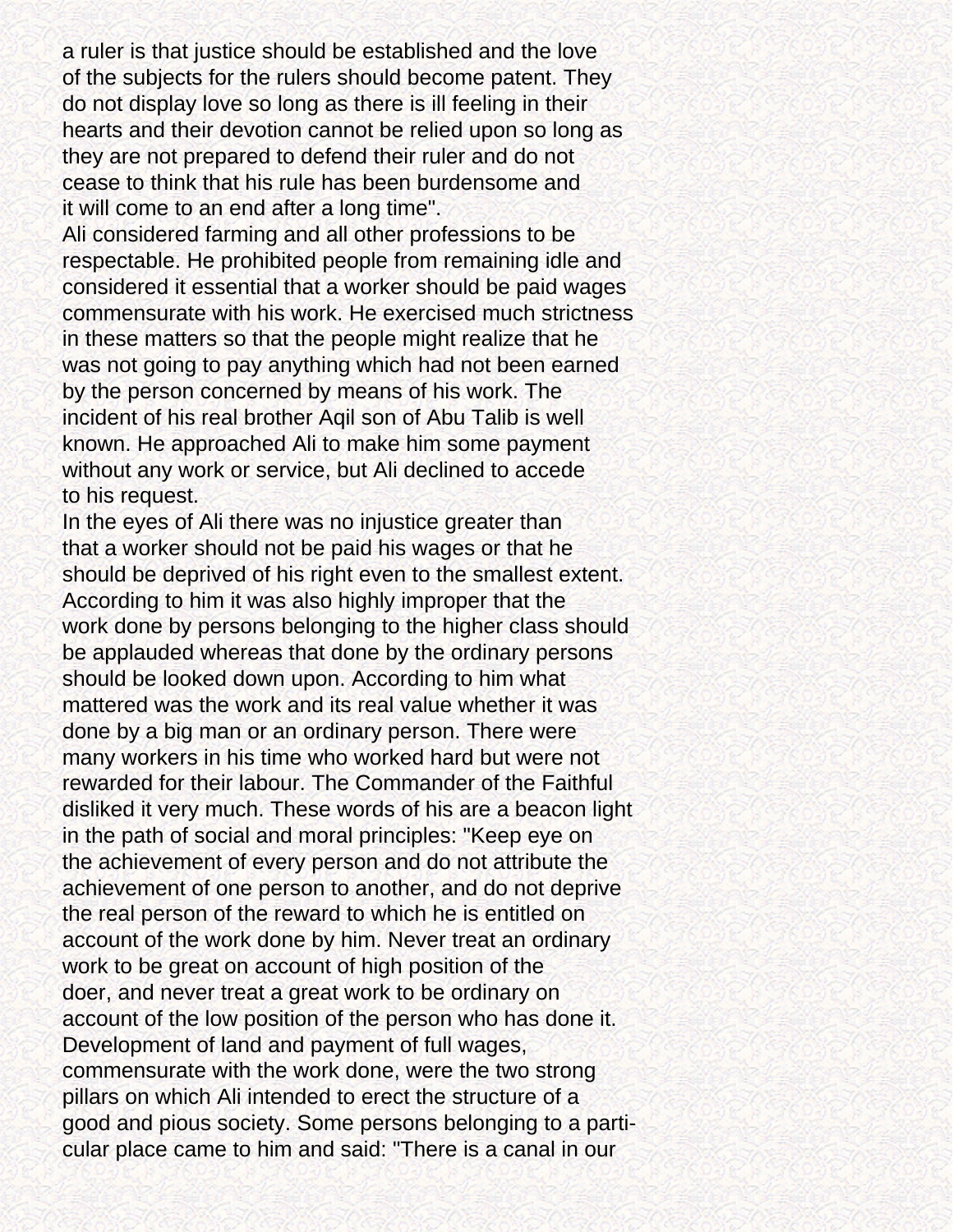a ruler is that justice should be established and the love of the subjects for the rulers should become patent. They do not display love so long as there is ill feeling in their hearts and their devotion cannot be relied upon so long as they are not prepared to defend their ruler and do not cease to think that his rule has been burdensome and it will come to an end after a long time".

Ali considered farming and all other professions to be respectable. He prohibited people from remaining idle and considered it essential that a worker should be paid wages commensurate with his work. He exercised much strictness in these matters so that the people might realize that he was not going to pay anything which had not been earned by the person concerned by means of his work. The incident of his real brother Aqil son of Abu Talib is well known. He approached Ali to make him some payment without any work or service, but Ali declined to accede to his request.

In the eyes of Ali there was no injustice greater than that a worker should not be paid his wages or that he should be deprived of his right even to the smallest extent. According to him it was also highly improper that the work done by persons belonging to the higher class should be applauded whereas that done by the ordinary persons should be looked down upon. According to him what mattered was the work and its real value whether it was done by a big man or an ordinary person. There were many workers in his time who worked hard but were not rewarded for their labour. The Commander of the Faithful disliked it very much. These words of his are a beacon light in the path of social and moral principles: "Keep eye on the achievement of every person and do not attribute the achievement of one person to another, and do not deprive the real person of the reward to which he is entitled on account of the work done by him. Never treat an ordinary work to be great on account of high position of the doer, and never treat a great work to be ordinary on account of the low position of the person who has done it. Development of land and payment of full wages, commensurate with the work done, were the two strong pillars on which Ali intended to erect the structure of a good and pious society. Some persons belonging to a particular place came to him and said: "There is a canal in our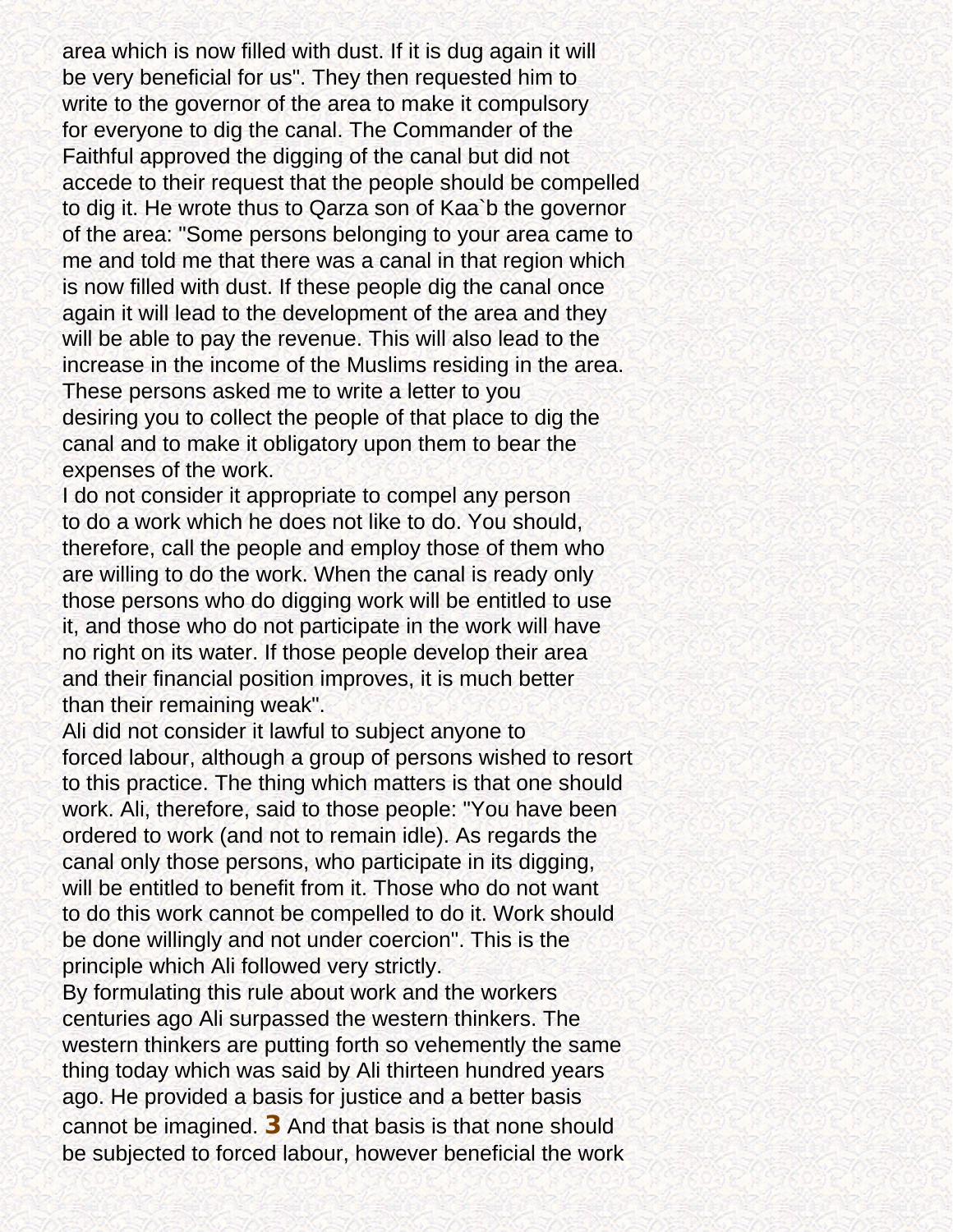area which is now filled with dust. If it is dug again it will be very beneficial for us". They then requested him to write to the governor of the area to make it compulsory for everyone to dig the canal. The Commander of the Faithful approved the digging of the canal but did not accede to their request that the people should be compelled to dig it. He wrote thus to Qarza son of Kaa`b the governor of the area: "Some persons belonging to your area came to me and told me that there was a canal in that region which is now filled with dust. If these people dig the canal once again it will lead to the development of the area and they will be able to pay the revenue. This will also lead to the increase in the income of the Muslims residing in the area. These persons asked me to write a letter to you desiring you to collect the people of that place to dig the canal and to make it obligatory upon them to bear the expenses of the work.

I do not consider it appropriate to compel any person to do a work which he does not like to do. You should, therefore, call the people and employ those of them who are willing to do the work. When the canal is ready only those persons who do digging work will be entitled to use it, and those who do not participate in the work will have no right on its water. If those people develop their area and their financial position improves, it is much better than their remaining weak".

Ali did not consider it lawful to subject anyone to forced labour, although a group of persons wished to resort to this practice. The thing which matters is that one should work. Ali, therefore, said to those people: "You have been ordered to work (and not to remain idle). As regards the canal only those persons, who participate in its digging, will be entitled to benefit from it. Those who do not want to do this work cannot be compelled to do it. Work should be done willingly and not under coercion". This is the principle which Ali followed very strictly.

By formulating this rule about work and the workers centuries ago Ali surpassed the western thinkers. The western thinkers are putting forth so vehemently the same thing today which was said by Ali thirteen hundred years ago. He provided a basis for justice and a better basis cannot be imagined. 3 And that basis is that none should be subjected to forced labour, however beneficial the work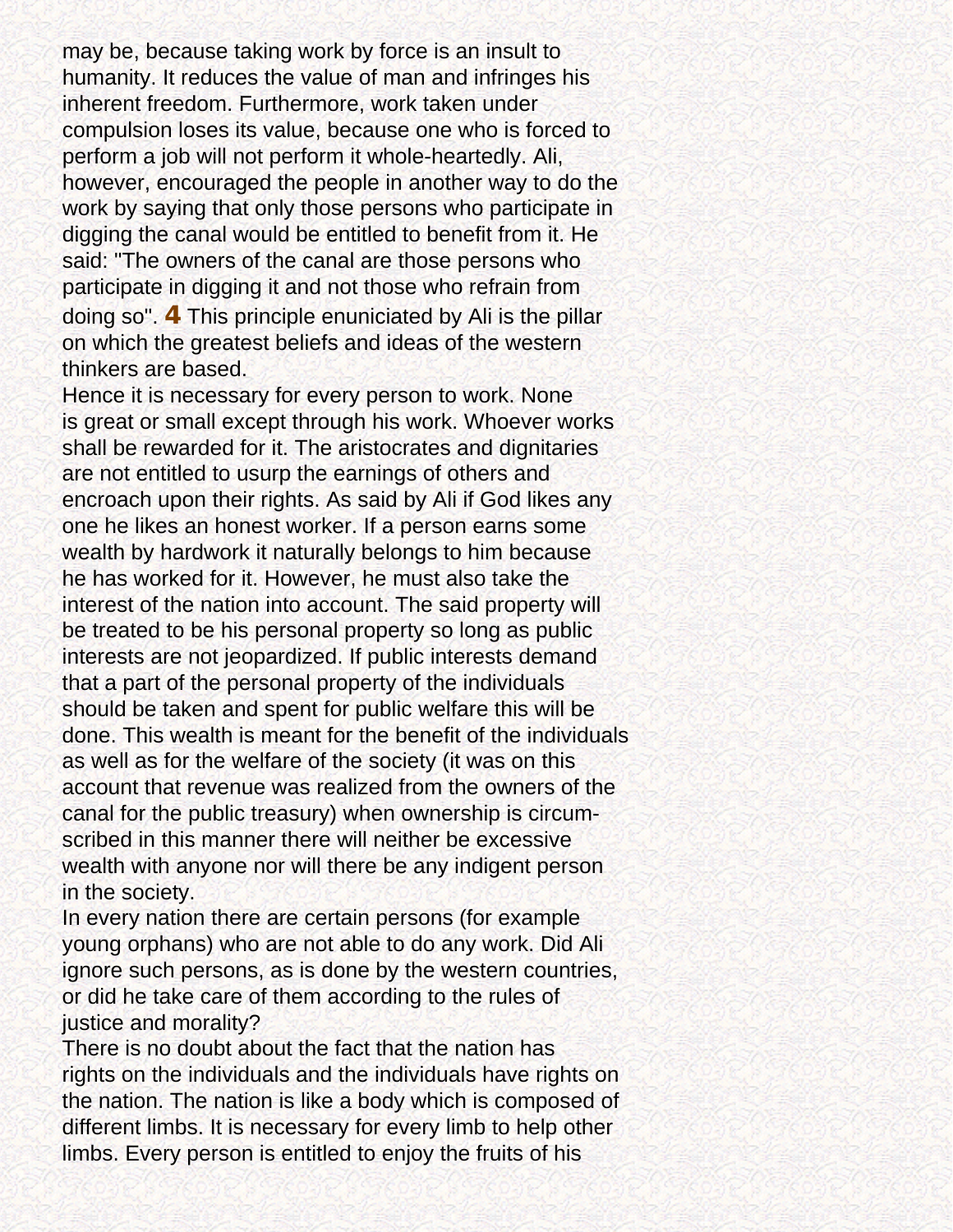may be, because taking work by force is an insult to humanity. It reduces the value of man and infringes his inherent freedom. Furthermore, work taken under compulsion loses its value, because one who is forced to perform a job will not perform it whole-heartedly. Ali, however, encouraged the people in another way to do the work by saying that only those persons who participate in digging the canal would be entitled to benefit from it. He said: "The owners of the canal are those persons who participate in digging it and not those who refrain from doing so". 4 This principle enuniciated by Ali is the pillar on which the greatest beliefs and ideas of the western thinkers are based.

Hence it is necessary for every person to work. None is great or small except through his work. Whoever works shall be rewarded for it. The aristocrates and dignitaries are not entitled to usurp the earnings of others and encroach upon their rights. As said by Ali if God likes any one he likes an honest worker. If a person earns some wealth by hardwork it naturally belongs to him because he has worked for it. However, he must also take the interest of the nation into account. The said property will be treated to be his personal property so long as public interests are not jeopardized. If public interests demand that a part of the personal property of the individuals should be taken and spent for public welfare this will be done. This wealth is meant for the benefit of the individuals as well as for the welfare of the society (it was on this account that revenue was realized from the owners of the canal for the public treasury) when ownership is circumscribed in this manner there will neither be excessive wealth with anyone nor will there be any indigent person in the society.

In every nation there are certain persons (for example young orphans) who are not able to do any work. Did Ali ignore such persons, as is done by the western countries, or did he take care of them according to the rules of justice and morality?

There is no doubt about the fact that the nation has rights on the individuals and the individuals have rights on the nation. The nation is like a body which is composed of different limbs. It is necessary for every limb to help other limbs. Every person is entitled to enjoy the fruits of his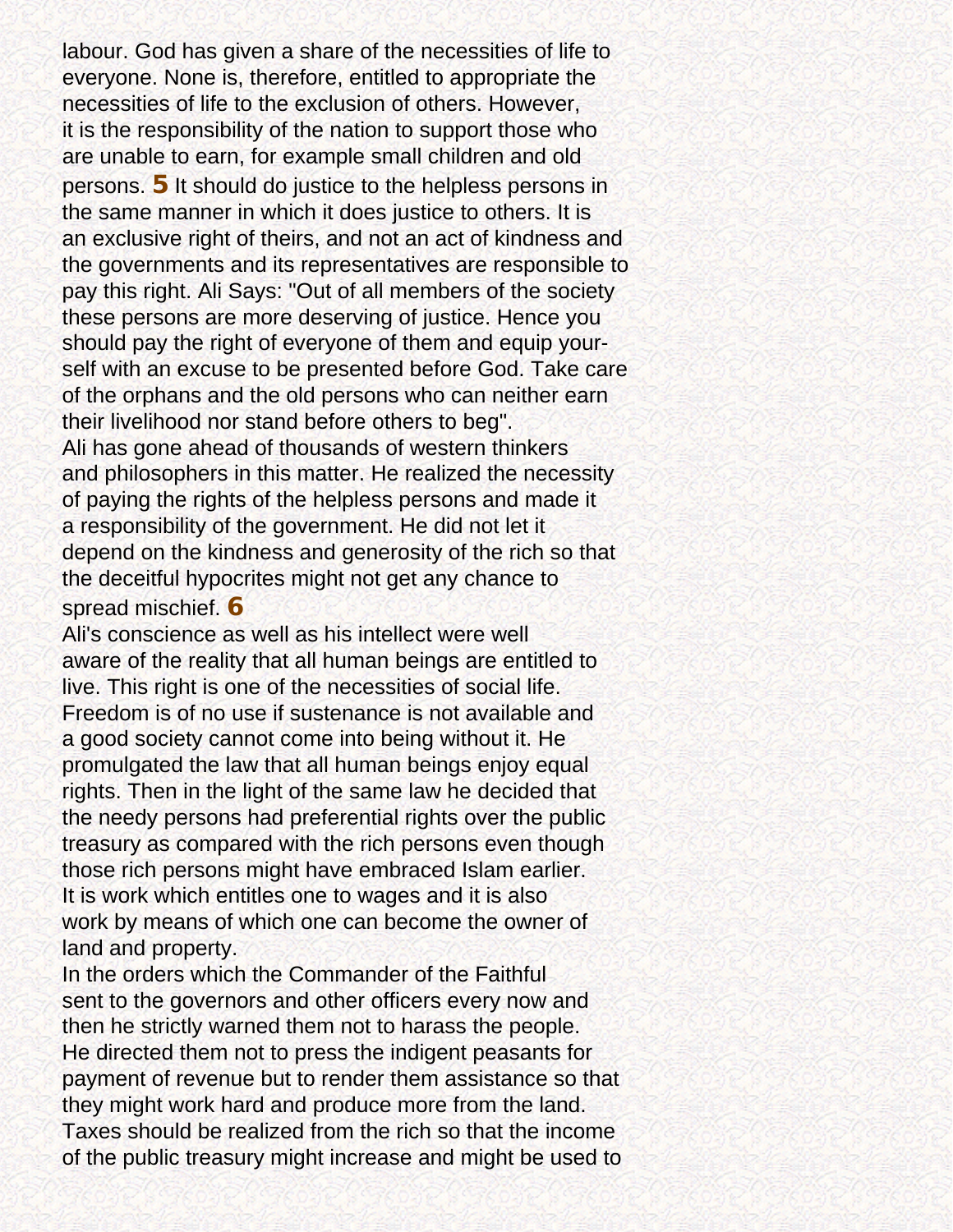labour. God has given a share of the necessities of life to everyone. None is, therefore, entitled to appropriate the necessities of life to the exclusion of others. However, it is the responsibility of the nation to support those who are unable to earn, for example small children and old persons. 5 It should do justice to the helpless persons in the same manner in which it does justice to others. It is an exclusive right of theirs, and not an act of kindness and the governments and its representatives are responsible to pay this right. Ali Says: "Out of all members of the society these persons are more deserving of justice. Hence you should pay the right of everyone of them and equip yourself with an excuse to be presented before God. Take care of the orphans and the old persons who can neither earn their livelihood nor stand before others to beg". Ali has gone ahead of thousands of western thinkers and philosophers in this matter. He realized the necessity of paying the rights of the helpless persons and made it a responsibility of the government. He did not let it depend on the kindness and generosity of the rich so that the deceitful hypocrites might not get any chance to spread mischief 6

Ali's conscience as well as his intellect were well aware of the reality that all human beings are entitled to live. This right is one of the necessities of social life. Freedom is of no use if sustenance is not available and a good society cannot come into being without it. He promulgated the law that all human beings enjoy equal rights. Then in the light of the same law he decided that the needy persons had preferential rights over the public treasury as compared with the rich persons even though those rich persons might have embraced Islam earlier. It is work which entitles one to wages and it is also work by means of which one can become the owner of land and property.

In the orders which the Commander of the Faithful sent to the governors and other officers every now and then he strictly warned them not to harass the people. He directed them not to press the indigent peasants for payment of revenue but to render them assistance so that they might work hard and produce more from the land. Taxes should be realized from the rich so that the income of the public treasury might increase and might be used to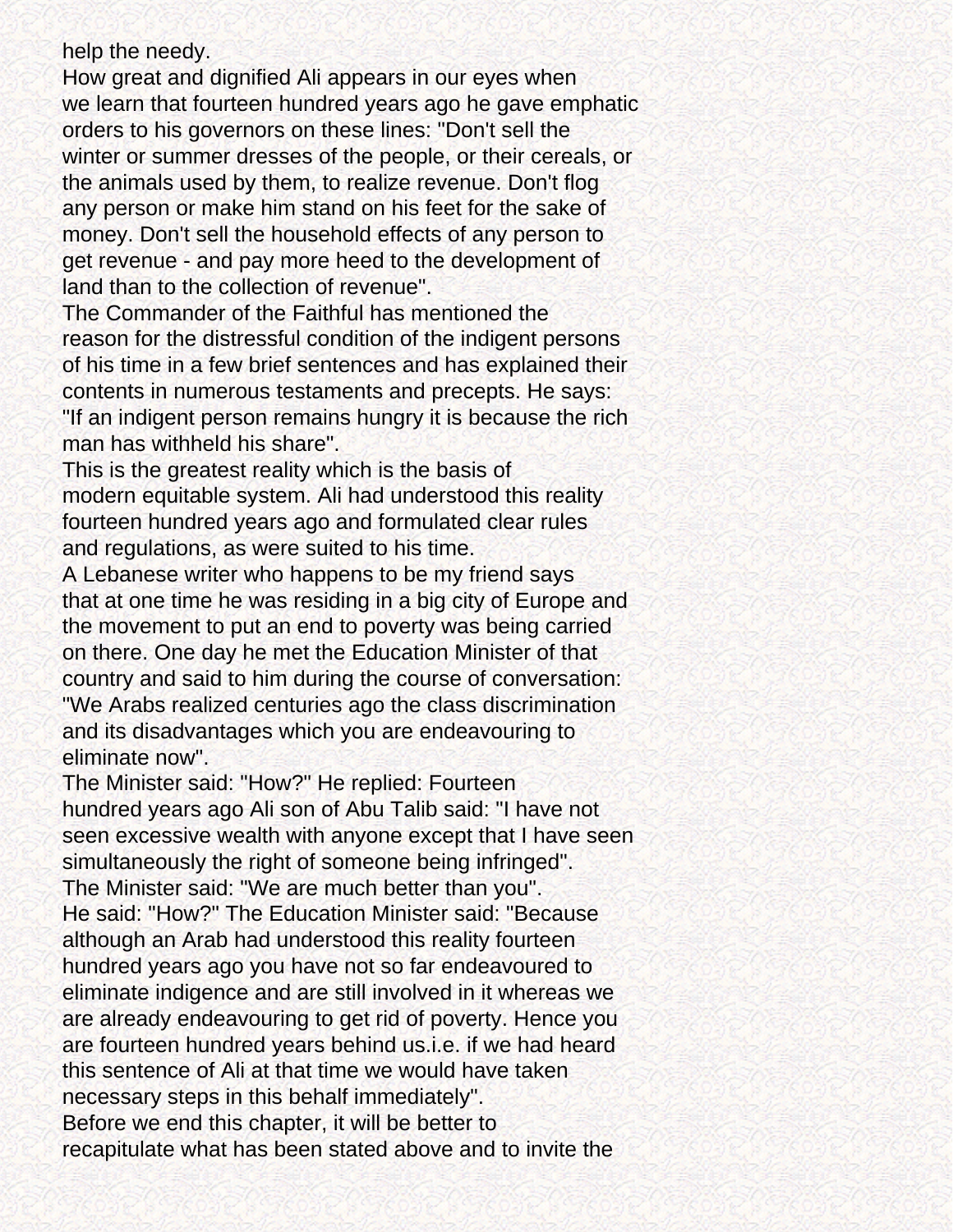help the needy.

How great and dignified Ali appears in our eyes when we learn that fourteen hundred years ago he gave emphatic orders to his governors on these lines: "Don't sell the winter or summer dresses of the people, or their cereals, or the animals used by them, to realize revenue. Don't flog any person or make him stand on his feet for the sake of money. Don't sell the household effects of any person to get revenue - and pay more heed to the development of land than to the collection of revenue".

The Commander of the Faithful has mentioned the reason for the distressful condition of the indigent persons of his time in a few brief sentences and has explained their contents in numerous testaments and precepts. He says: "If an indigent person remains hungry it is because the rich man has withheld his share".

This is the greatest reality which is the basis of modern equitable system. Ali had understood this reality fourteen hundred years ago and formulated clear rules and regulations, as were suited to his time.

A Lebanese writer who happens to be my friend says that at one time he was residing in a big city of Europe and the movement to put an end to poverty was being carried on there. One day he met the Education Minister of that country and said to him during the course of conversation: "We Arabs realized centuries ago the class discrimination and its disadvantages which you are endeavouring to eliminate now".

The Minister said: "How?" He replied: Fourteen hundred years ago Ali son of Abu Talib said: "I have not seen excessive wealth with anyone except that I have seen simultaneously the right of someone being infringed". The Minister said: "We are much better than you". He said: "How?" The Education Minister said: "Because although an Arab had understood this reality fourteen hundred years ago you have not so far endeavoured to eliminate indigence and are still involved in it whereas we are already endeavouring to get rid of poverty. Hence you are fourteen hundred years behind us.i.e. if we had heard this sentence of Ali at that time we would have taken necessary steps in this behalf immediately". Before we end this chapter, it will be better to recapitulate what has been stated above and to invite the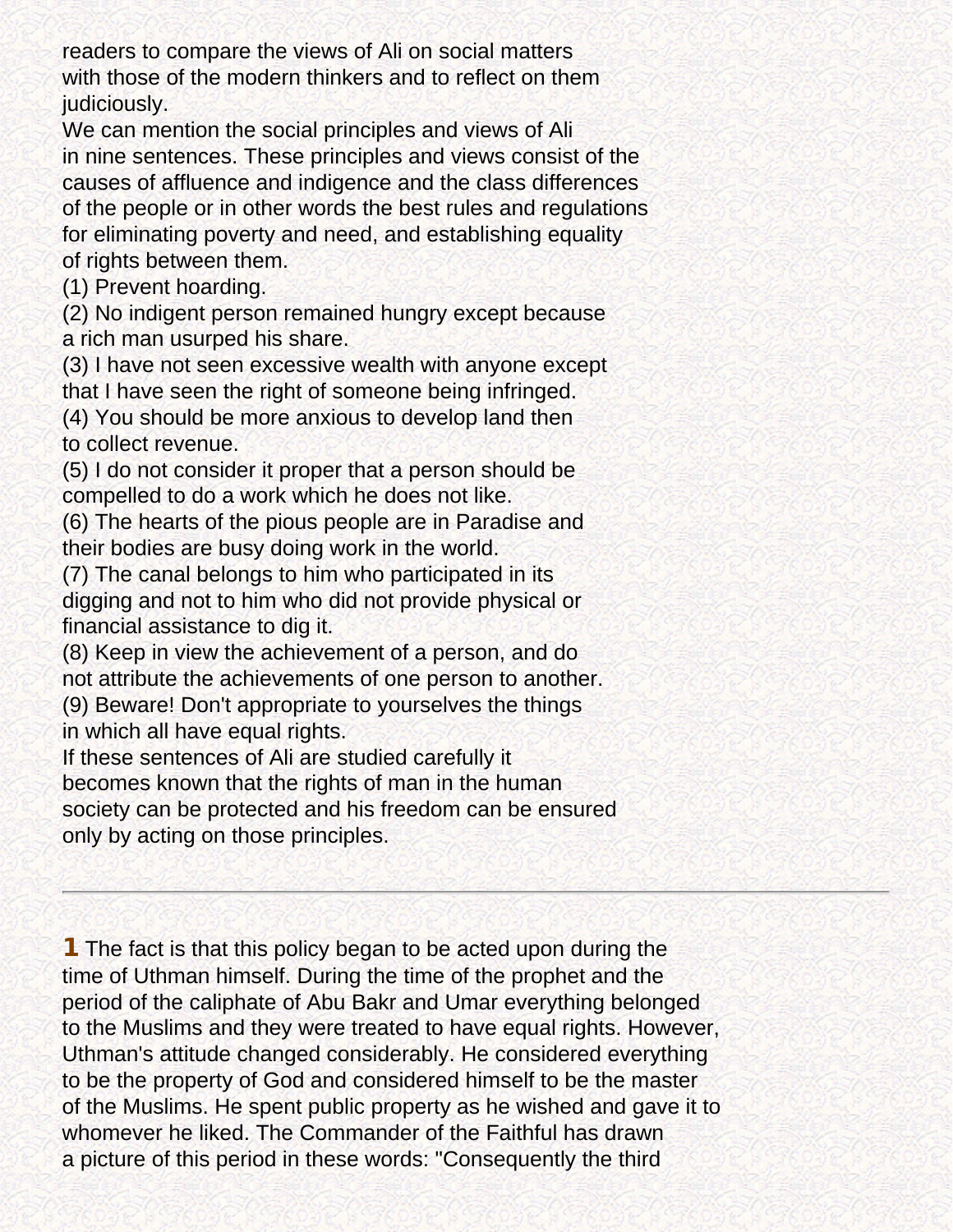readers to compare the views of Ali on social matters with those of the modern thinkers and to reflect on them judiciously.

We can mention the social principles and views of Ali in nine sentences. These principles and views consist of the causes of affluence and indigence and the class differences of the people or in other words the best rules and regulations for eliminating poverty and need, and establishing equality of rights between them.

(1) Prevent hoarding.

(2) No indigent person remained hungry except because a rich man usurped his share.

(3) I have not seen excessive wealth with anyone except that I have seen the right of someone being infringed.

(4) You should be more anxious to develop land then to collect revenue.

(5) I do not consider it proper that a person should be compelled to do a work which he does not like.

(6) The hearts of the pious people are in Paradise and their bodies are busy doing work in the world.

(7) The canal belongs to him who participated in its digging and not to him who did not provide physical or financial assistance to dig it.

(8) Keep in view the achievement of a person, and do not attribute the achievements of one person to another.

(9) Beware! Don't appropriate to yourselves the things in which all have equal rights.

If these sentences of Ali are studied carefully it becomes known that the rights of man in the human society can be protected and his freedom can be ensured only by acting on those principles.

**1** The fact is that this policy began to be acted upon during the time of Uthman himself. During the time of the prophet and the period of the caliphate of Abu Bakr and Umar everything belonged to the Muslims and they were treated to have equal rights. However, Uthman's attitude changed considerably. He considered everything to be the property of God and considered himself to be the master of the Muslims. He spent public property as he wished and gave it to whomever he liked. The Commander of the Faithful has drawn a picture of this period in these words: "Consequently the third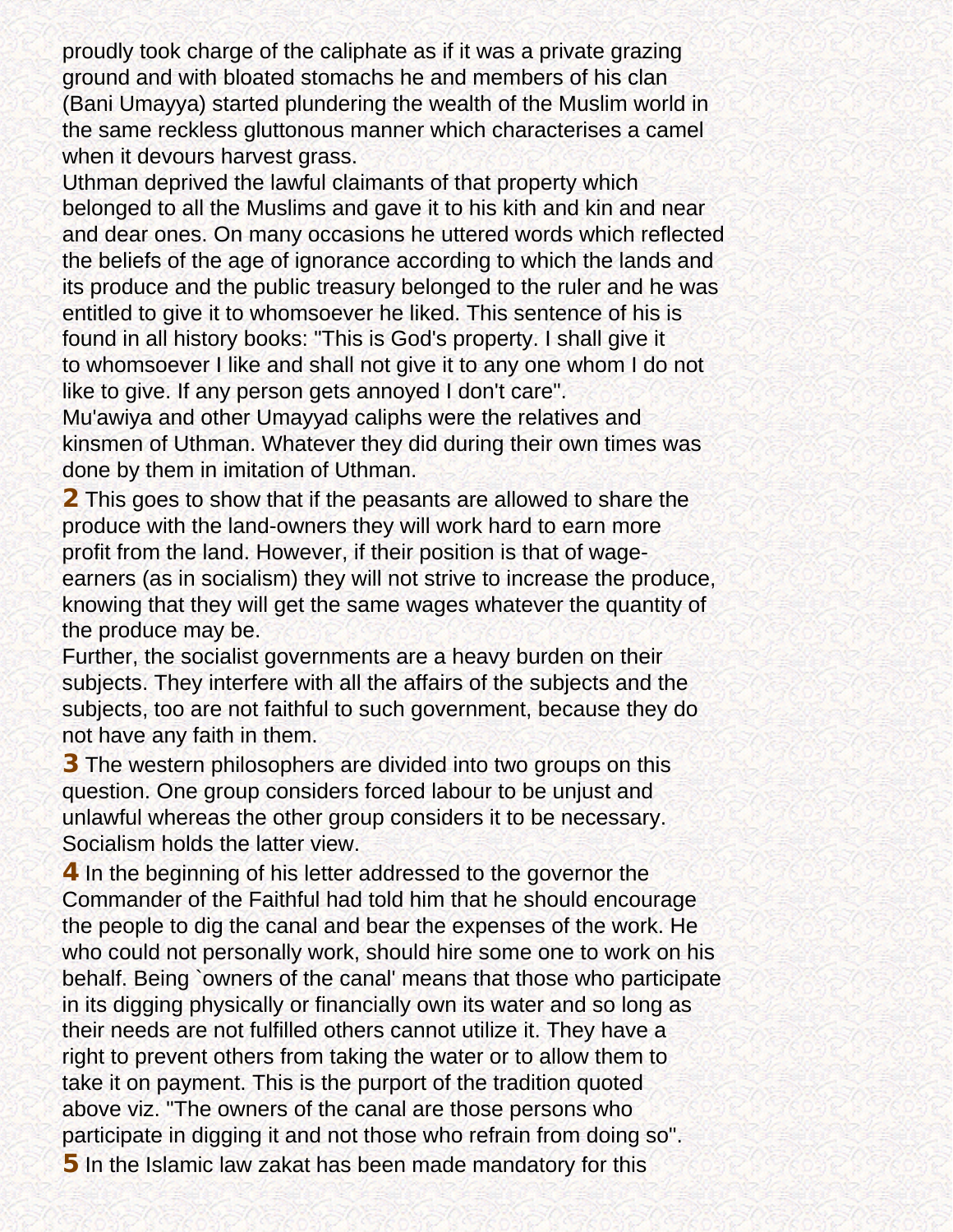proudly took charge of the caliphate as if it was a private grazing ground and with bloated stomachs he and members of his clan (Bani Umayya) started plundering the wealth of the Muslim world in the same reckless gluttonous manner which characterises a camel when it devours harvest grass.

Uthman deprived the lawful claimants of that property which belonged to all the Muslims and gave it to his kith and kin and near and dear ones. On many occasions he uttered words which reflected the beliefs of the age of ignorance according to which the lands and its produce and the public treasury belonged to the ruler and he was entitled to give it to whomsoever he liked. This sentence of his is found in all history books: "This is God's property. I shall give it to whomsoever I like and shall not give it to any one whom I do not like to give. If any person gets annoyed I don't care".

Mu'awiya and other Umayyad caliphs were the relatives and kinsmen of Uthman. Whatever they did during their own times was done by them in imitation of Uthman.

2 This goes to show that if the peasants are allowed to share the produce with the land-owners they will work hard to earn more profit from the land. However, if their position is that of wageearners (as in socialism) they will not strive to increase the produce, knowing that they will get the same wages whatever the quantity of the produce may be.

Further, the socialist governments are a heavy burden on their subjects. They interfere with all the affairs of the subjects and the subjects, too are not faithful to such government, because they do not have any faith in them.

**3** The western philosophers are divided into two groups on this question. One group considers forced labour to be unjust and unlawful whereas the other group considers it to be necessary. Socialism holds the latter view.

4 In the beginning of his letter addressed to the governor the Commander of the Faithful had told him that he should encourage the people to dig the canal and bear the expenses of the work. He who could not personally work, should hire some one to work on his behalf. Being `owners of the canal' means that those who participate in its digging physically or financially own its water and so long as their needs are not fulfilled others cannot utilize it. They have a right to prevent others from taking the water or to allow them to take it on payment. This is the purport of the tradition quoted above viz. "The owners of the canal are those persons who participate in digging it and not those who refrain from doing so". 5 In the Islamic law zakat has been made mandatory for this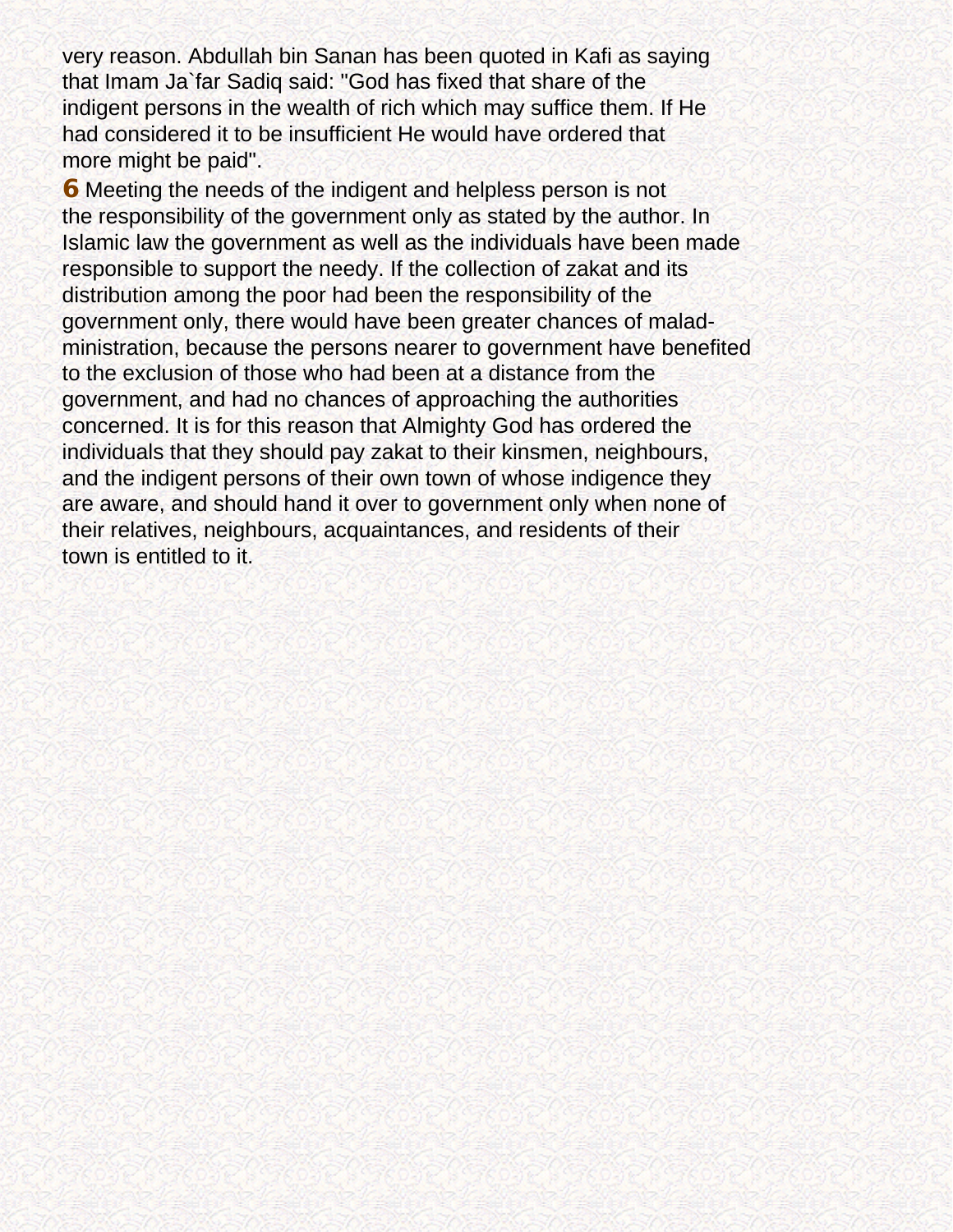very reason. Abdullah bin Sanan has been quoted in Kafi as saying that Imam Ja`far Sadiq said: "God has fixed that share of the indigent persons in the wealth of rich which may suffice them. If He had considered it to be insufficient He would have ordered that more might be paid".

**6** Meeting the needs of the indigent and helpless person is not the responsibility of the government only as stated by the author. In Islamic law the government as well as the individuals have been made responsible to support the needy. If the collection of zakat and its distribution among the poor had been the responsibility of the government only, there would have been greater chances of maladministration, because the persons nearer to government have benefited to the exclusion of those who had been at a distance from the government, and had no chances of approaching the authorities concerned. It is for this reason that Almighty God has ordered the individuals that they should pay zakat to their kinsmen, neighbours, and the indigent persons of their own town of whose indigence they are aware, and should hand it over to government only when none of their relatives, neighbours, acquaintances, and residents of their town is entitled to it.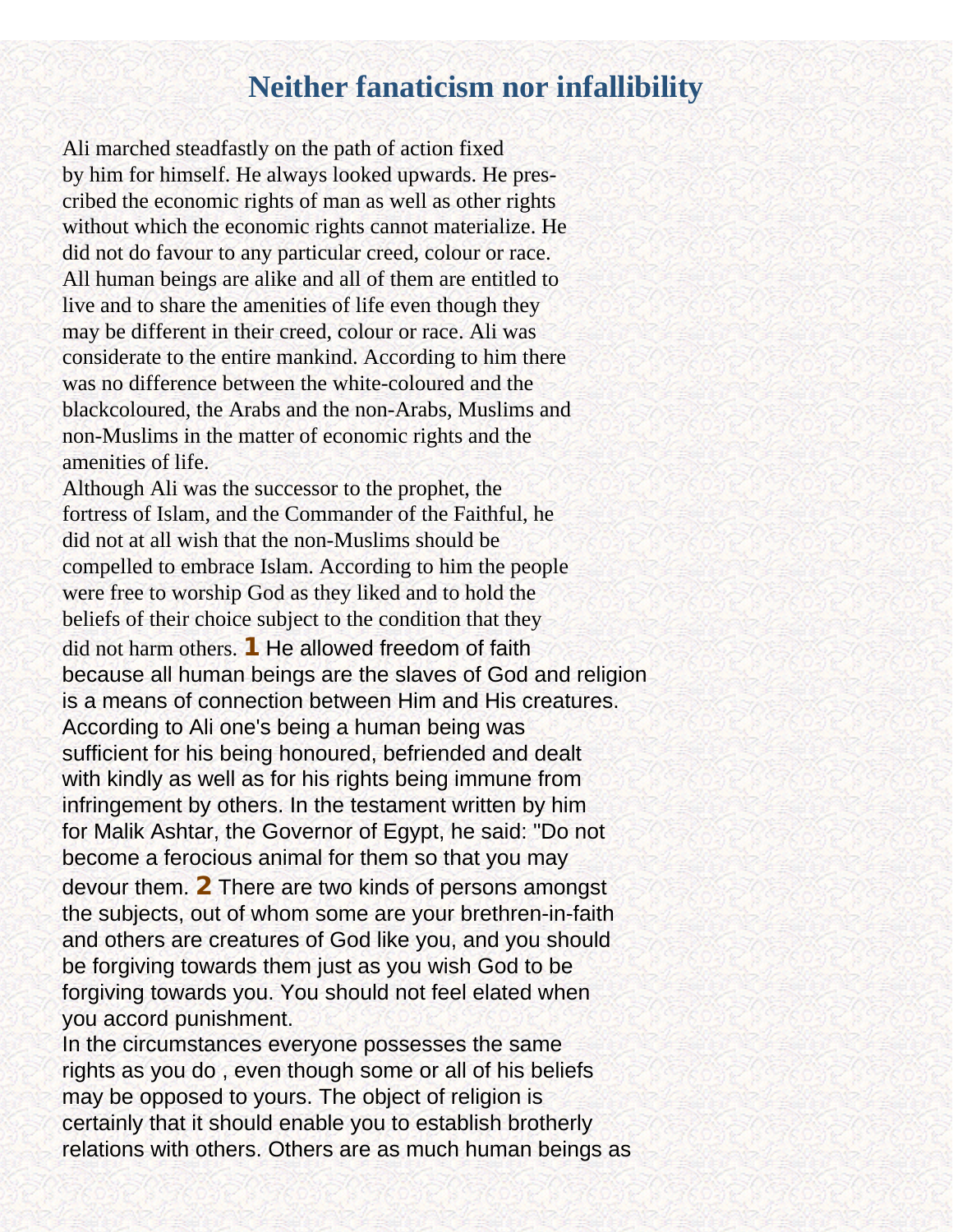## **Neither fanaticism nor infallibility**

Ali marched steadfastly on the path of action fixed by him for himself. He always looked upwards. He prescribed the economic rights of man as well as other rights without which the economic rights cannot materialize. He did not do favour to any particular creed, colour or race. All human beings are alike and all of them are entitled to live and to share the amenities of life even though they may be different in their creed, colour or race. Ali was considerate to the entire mankind. According to him there was no difference between the white-coloured and the blackcoloured, the Arabs and the non-Arabs, Muslims and non-Muslims in the matter of economic rights and the amenities of life.

Although Ali was the successor to the prophet, the fortress of Islam, and the Commander of the Faithful, he did not at all wish that the non-Muslims should be compelled to embrace Islam. According to him the people were free to worship God as they liked and to hold the beliefs of their choice subject to the condition that they did not harm others. **1** He allowed freedom of faith because all human beings are the slaves of God and religion is a means of connection between Him and His creatures. According to Ali one's being a human being was sufficient for his being honoured, befriended and dealt with kindly as well as for his rights being immune from infringement by others. In the testament written by him for Malik Ashtar, the Governor of Egypt, he said: "Do not become a ferocious animal for them so that you may devour them. 2 There are two kinds of persons amongst the subjects, out of whom some are your brethren-in-faith and others are creatures of God like you, and you should be forgiving towards them just as you wish God to be

forgiving towards you. You should not feel elated when you accord punishment.

In the circumstances everyone possesses the same rights as you do , even though some or all of his beliefs may be opposed to yours. The object of religion is certainly that it should enable you to establish brotherly relations with others. Others are as much human beings as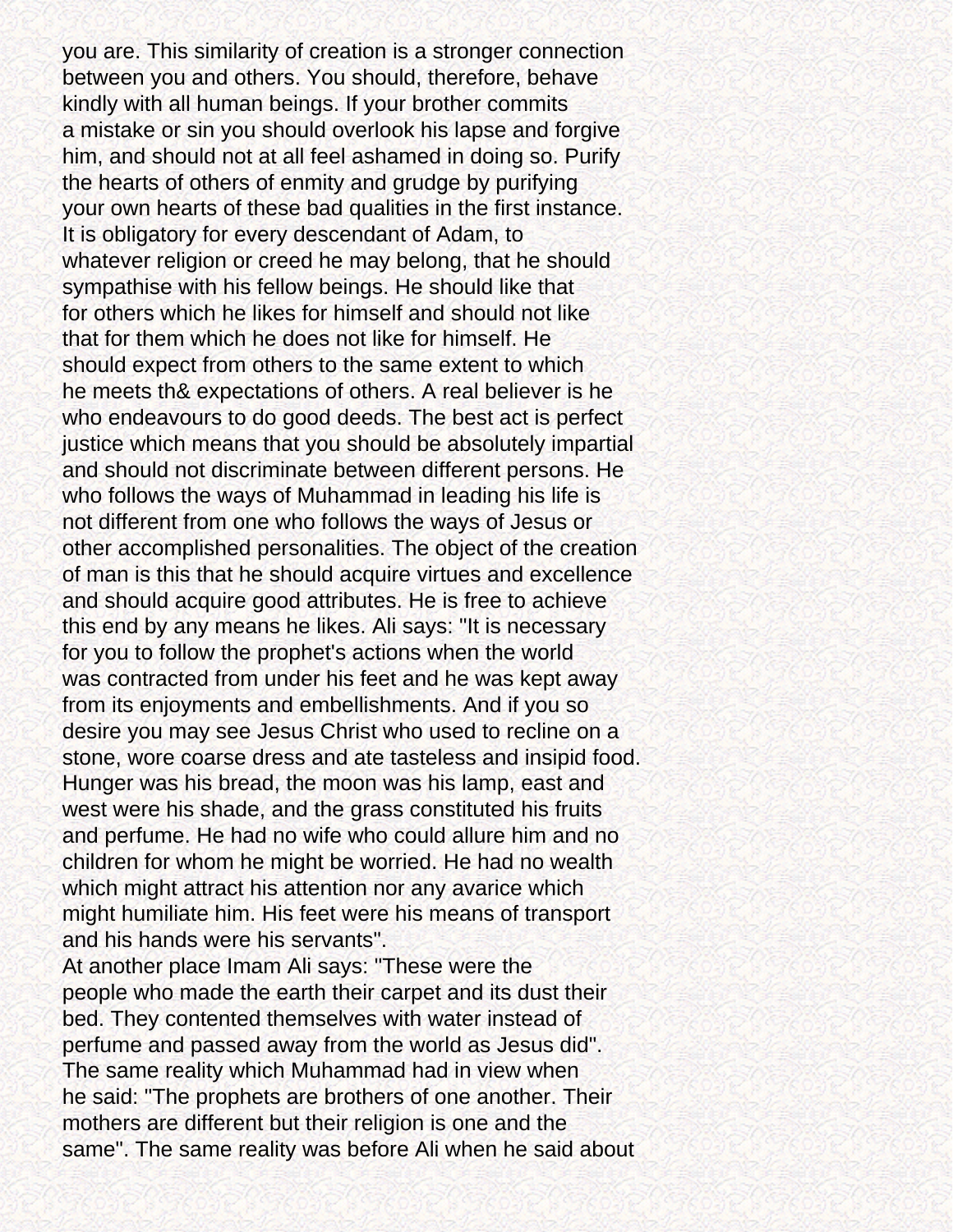you are. This similarity of creation is a stronger connection between you and others. You should, therefore, behave kindly with all human beings. If your brother commits a mistake or sin you should overlook his lapse and forgive him, and should not at all feel ashamed in doing so. Purify the hearts of others of enmity and grudge by purifying your own hearts of these bad qualities in the first instance. It is obligatory for every descendant of Adam, to whatever religion or creed he may belong, that he should sympathise with his fellow beings. He should like that for others which he likes for himself and should not like that for them which he does not like for himself. He should expect from others to the same extent to which he meets th& expectations of others. A real believer is he who endeavours to do good deeds. The best act is perfect justice which means that you should be absolutely impartial and should not discriminate between different persons. He who follows the ways of Muhammad in leading his life is not different from one who follows the ways of Jesus or other accomplished personalities. The object of the creation of man is this that he should acquire virtues and excellence and should acquire good attributes. He is free to achieve this end by any means he likes. Ali says: "It is necessary for you to follow the prophet's actions when the world was contracted from under his feet and he was kept away from its enjoyments and embellishments. And if you so desire you may see Jesus Christ who used to recline on a stone, wore coarse dress and ate tasteless and insipid food. Hunger was his bread, the moon was his lamp, east and west were his shade, and the grass constituted his fruits and perfume. He had no wife who could allure him and no children for whom he might be worried. He had no wealth which might attract his attention nor any avarice which might humiliate him. His feet were his means of transport and his hands were his servants".

At another place Imam Ali says: "These were the people who made the earth their carpet and its dust their bed. They contented themselves with water instead of perfume and passed away from the world as Jesus did". The same reality which Muhammad had in view when he said: "The prophets are brothers of one another. Their mothers are different but their religion is one and the same". The same reality was before Ali when he said about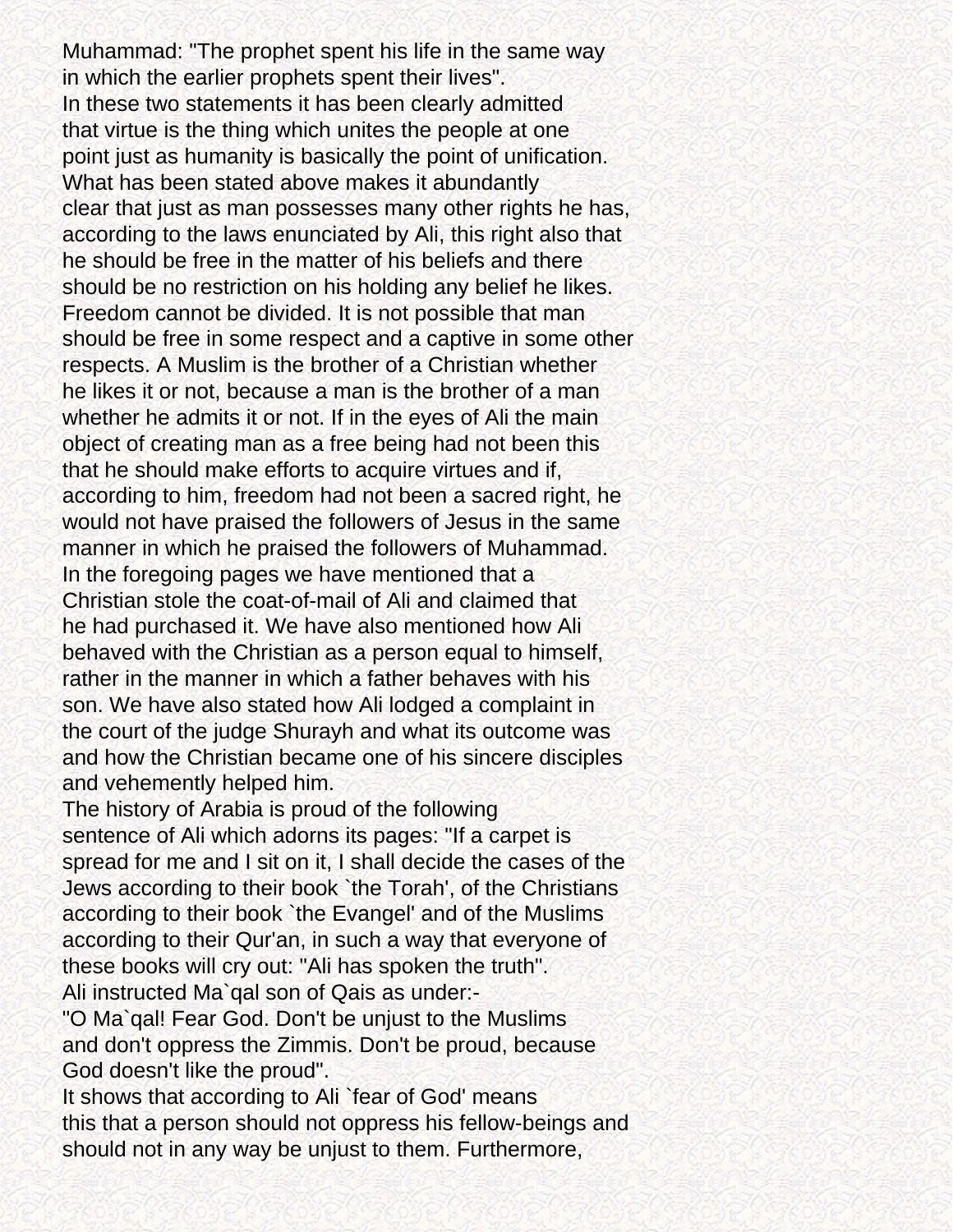Muhammad: "The prophet spent his life in the same way in which the earlier prophets spent their lives". In these two statements it has been clearly admitted that virtue is the thing which unites the people at one point just as humanity is basically the point of unification. What has been stated above makes it abundantly clear that just as man possesses many other rights he has, according to the laws enunciated by Ali, this right also that he should be free in the matter of his beliefs and there should be no restriction on his holding any belief he likes. Freedom cannot be divided. It is not possible that man should be free in some respect and a captive in some other respects. A Muslim is the brother of a Christian whether he likes it or not, because a man is the brother of a man whether he admits it or not. If in the eyes of Ali the main object of creating man as a free being had not been this that he should make efforts to acquire virtues and if, according to him, freedom had not been a sacred right, he would not have praised the followers of Jesus in the same manner in which he praised the followers of Muhammad. In the foregoing pages we have mentioned that a Christian stole the coat-of-mail of Ali and claimed that he had purchased it. We have also mentioned how Ali behaved with the Christian as a person equal to himself, rather in the manner in which a father behaves with his son. We have also stated how Ali lodged a complaint in the court of the judge Shurayh and what its outcome was and how the Christian became one of his sincere disciples and vehemently helped him.

The history of Arabia is proud of the following sentence of Ali which adorns its pages: "If a carpet is spread for me and I sit on it, I shall decide the cases of the Jews according to their book `the Torah', of the Christians according to their book `the Evangel' and of the Muslims according to their Qur'an, in such a way that everyone of these books will cry out: "Ali has spoken the truth". Ali instructed Ma`qal son of Qais as under:-

"O Ma`qal! Fear God. Don't be unjust to the Muslims and don't oppress the Zimmis. Don't be proud, because God doesn't like the proud".

It shows that according to Ali `fear of God' means this that a person should not oppress his fellow-beings and should not in any way be unjust to them. Furthermore,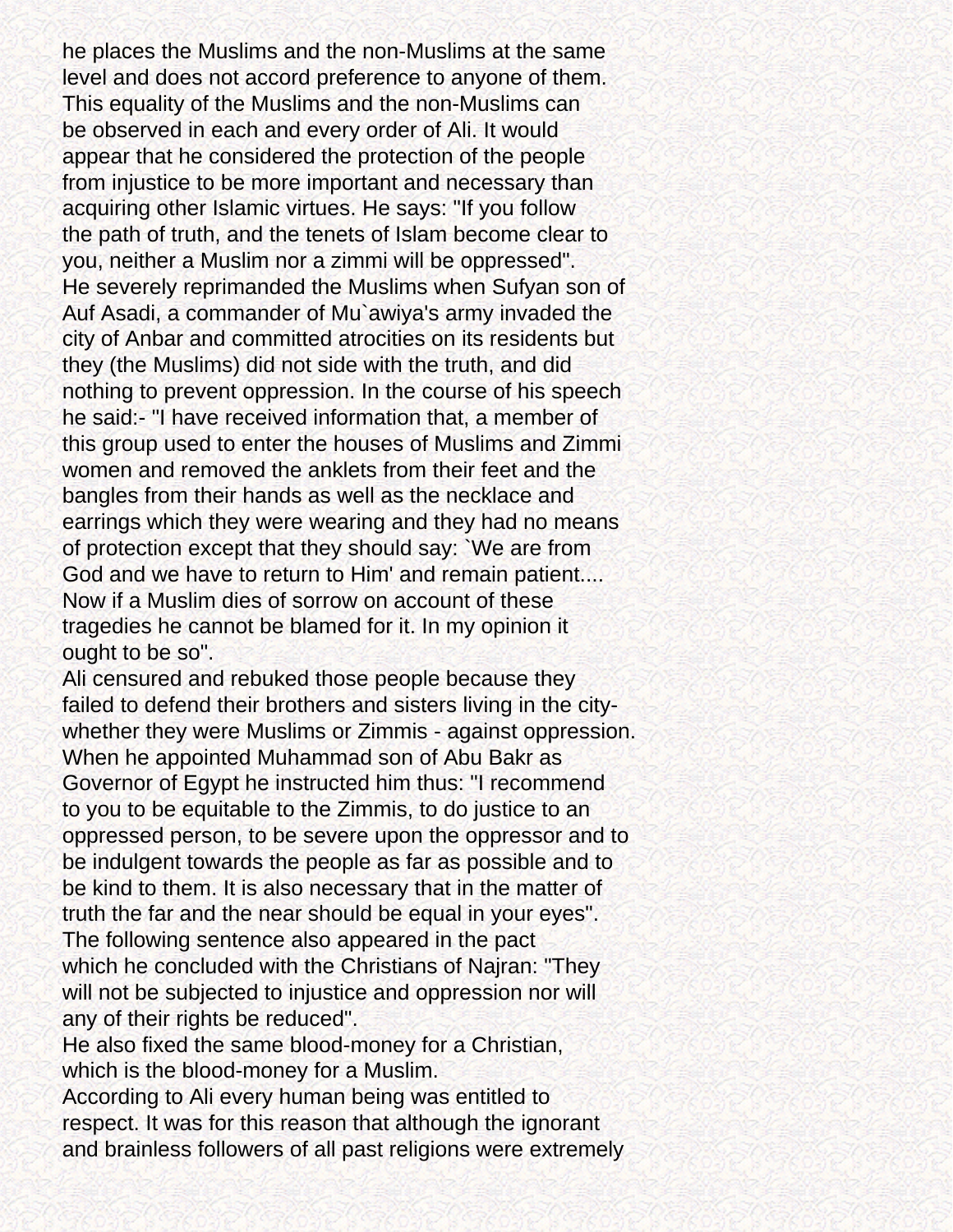he places the Muslims and the non-Muslims at the same level and does not accord preference to anyone of them. This equality of the Muslims and the non-Muslims can be observed in each and every order of Ali. It would appear that he considered the protection of the people from injustice to be more important and necessary than acquiring other Islamic virtues. He says: "If you follow the path of truth, and the tenets of Islam become clear to you, neither a Muslim nor a zimmi will be oppressed". He severely reprimanded the Muslims when Sufyan son of Auf Asadi, a commander of Mu`awiya's army invaded the city of Anbar and committed atrocities on its residents but they (the Muslims) did not side with the truth, and did nothing to prevent oppression. In the course of his speech he said:- "I have received information that, a member of this group used to enter the houses of Muslims and Zimmi women and removed the anklets from their feet and the bangles from their hands as well as the necklace and earrings which they were wearing and they had no means of protection except that they should say: `We are from God and we have to return to Him' and remain patient.... Now if a Muslim dies of sorrow on account of these tragedies he cannot be blamed for it. In my opinion it ought to be so".

Ali censured and rebuked those people because they failed to defend their brothers and sisters living in the citywhether they were Muslims or Zimmis - against oppression. When he appointed Muhammad son of Abu Bakr as Governor of Egypt he instructed him thus: "I recommend to you to be equitable to the Zimmis, to do justice to an oppressed person, to be severe upon the oppressor and to be indulgent towards the people as far as possible and to be kind to them. It is also necessary that in the matter of truth the far and the near should be equal in your eyes". The following sentence also appeared in the pact which he concluded with the Christians of Najran: "They will not be subjected to injustice and oppression nor will any of their rights be reduced".

He also fixed the same blood-money for a Christian, which is the blood-money for a Muslim.

According to Ali every human being was entitled to respect. It was for this reason that although the ignorant and brainless followers of all past religions were extremely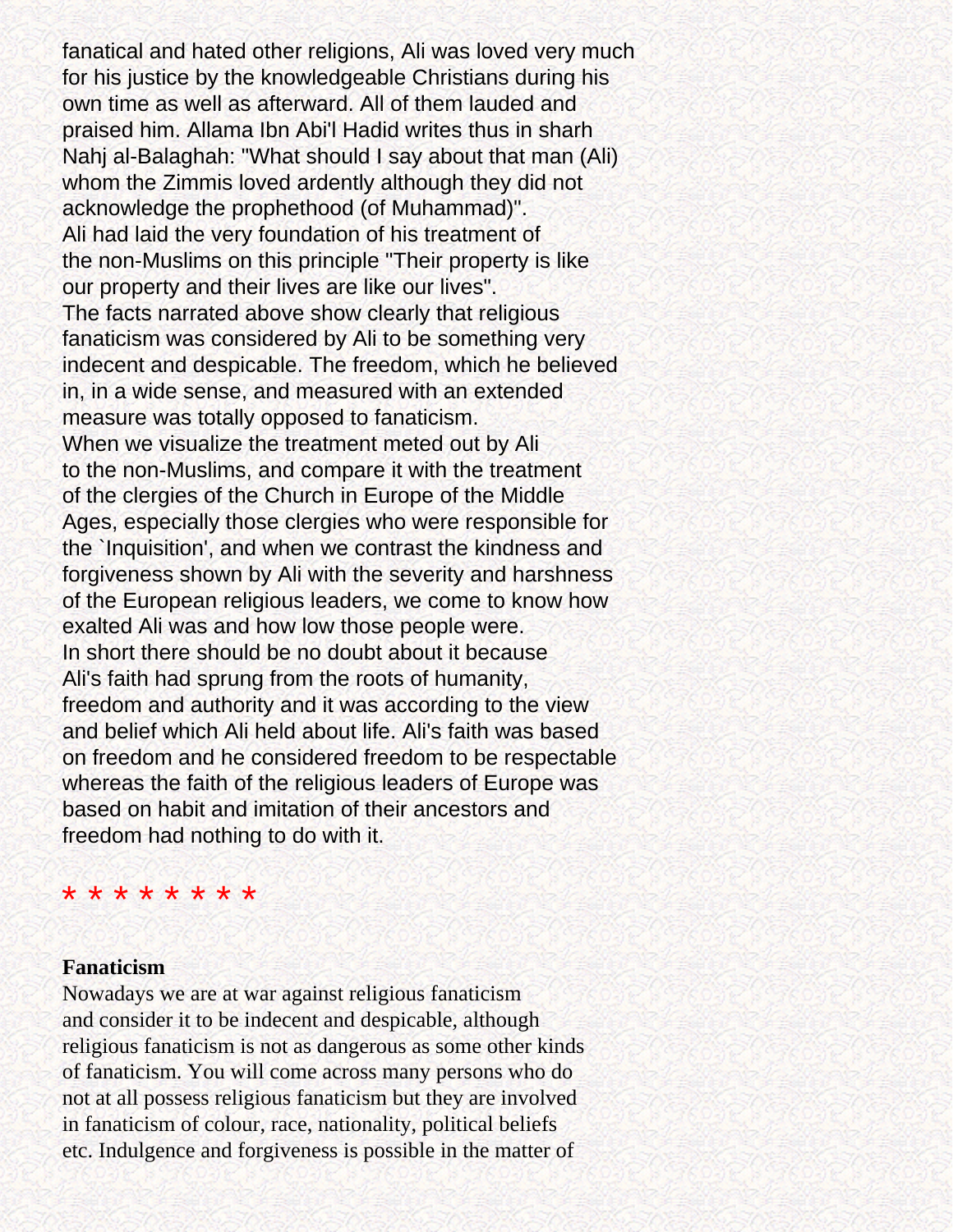fanatical and hated other religions, Ali was loved very much for his justice by the knowledgeable Christians during his own time as well as afterward. All of them lauded and praised him. Allama Ibn Abi'l Hadid writes thus in sharh Nahj al-Balaghah: "What should I say about that man (Ali) whom the Zimmis loved ardently although they did not acknowledge the prophethood (of Muhammad)". Ali had laid the very foundation of his treatment of the non-Muslims on this principle "Their property is like our property and their lives are like our lives". The facts narrated above show clearly that religious fanaticism was considered by Ali to be something very indecent and despicable. The freedom, which he believed in, in a wide sense, and measured with an extended measure was totally opposed to fanaticism. When we visualize the treatment meted out by Ali to the non-Muslims, and compare it with the treatment of the clergies of the Church in Europe of the Middle Ages, especially those clergies who were responsible for the `Inquisition', and when we contrast the kindness and forgiveness shown by Ali with the severity and harshness of the European religious leaders, we come to know how exalted Ali was and how low those people were. In short there should be no doubt about it because Ali's faith had sprung from the roots of humanity, freedom and authority and it was according to the view and belief which Ali held about life. Ali's faith was based on freedom and he considered freedom to be respectable whereas the faith of the religious leaders of Europe was based on habit and imitation of their ancestors and freedom had nothing to do with it.

\* \* \* \* \* \* \*

#### **Fanaticism**

Nowadays we are at war against religious fanaticism and consider it to be indecent and despicable, although religious fanaticism is not as dangerous as some other kinds of fanaticism. You will come across many persons who do not at all possess religious fanaticism but they are involved in fanaticism of colour, race, nationality, political beliefs etc. Indulgence and forgiveness is possible in the matter of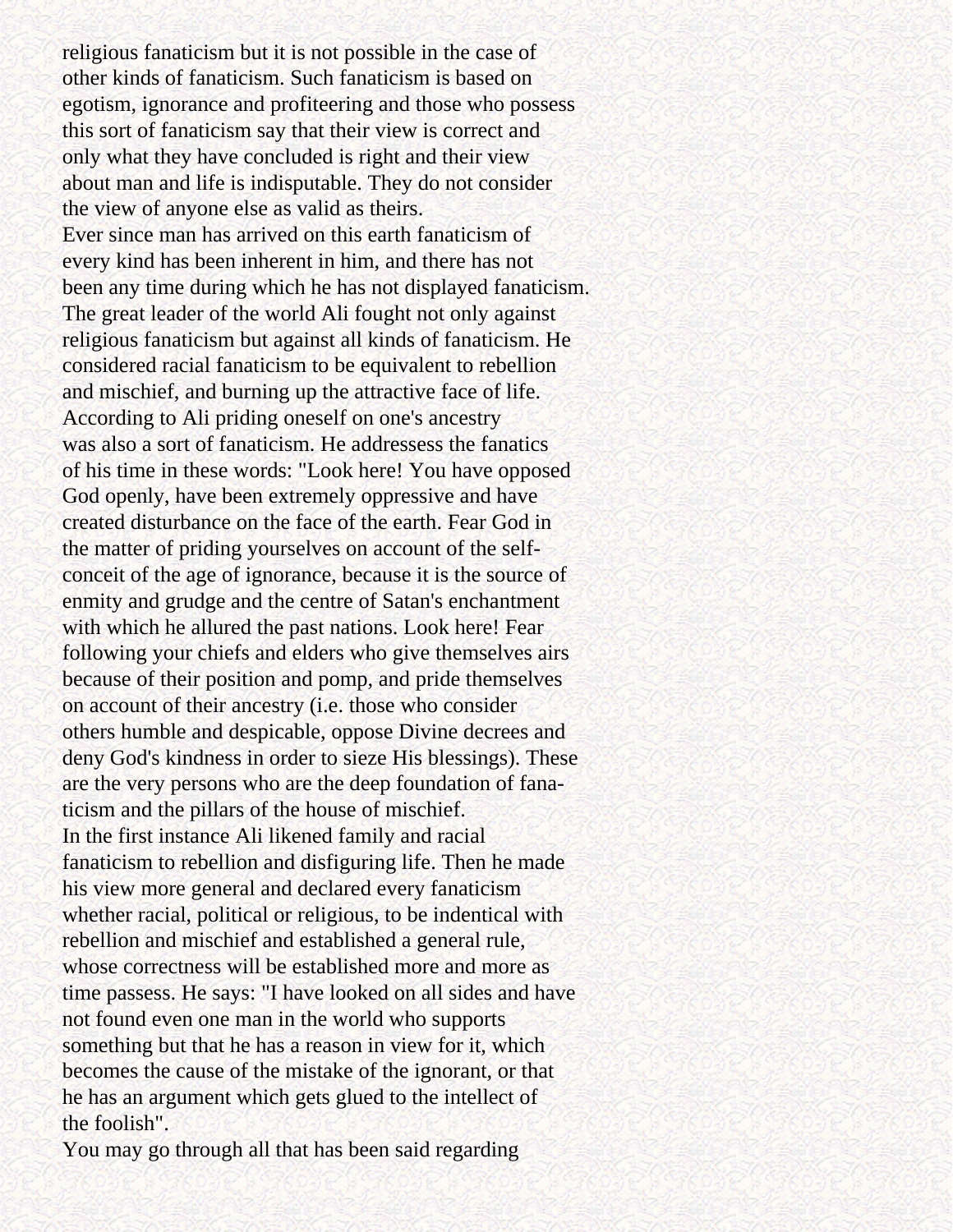religious fanaticism but it is not possible in the case of other kinds of fanaticism. Such fanaticism is based on egotism, ignorance and profiteering and those who possess this sort of fanaticism say that their view is correct and only what they have concluded is right and their view about man and life is indisputable. They do not consider the view of anyone else as valid as theirs. Ever since man has arrived on this earth fanaticism of every kind has been inherent in him, and there has not been any time during which he has not displayed fanaticism. The great leader of the world Ali fought not only against religious fanaticism but against all kinds of fanaticism. He considered racial fanaticism to be equivalent to rebellion and mischief, and burning up the attractive face of life. According to Ali priding oneself on one's ancestry was also a sort of fanaticism. He addressess the fanatics of his time in these words: "Look here! You have opposed God openly, have been extremely oppressive and have created disturbance on the face of the earth. Fear God in the matter of priding yourselves on account of the selfconceit of the age of ignorance, because it is the source of enmity and grudge and the centre of Satan's enchantment with which he allured the past nations. Look here! Fear following your chiefs and elders who give themselves airs because of their position and pomp, and pride themselves on account of their ancestry (i.e. those who consider others humble and despicable, oppose Divine decrees and deny God's kindness in order to sieze His blessings). These are the very persons who are the deep foundation of fanaticism and the pillars of the house of mischief. In the first instance Ali likened family and racial fanaticism to rebellion and disfiguring life. Then he made his view more general and declared every fanaticism whether racial, political or religious, to be indentical with rebellion and mischief and established a general rule, whose correctness will be established more and more as time passess. He says: "I have looked on all sides and have not found even one man in the world who supports something but that he has a reason in view for it, which becomes the cause of the mistake of the ignorant, or that he has an argument which gets glued to the intellect of the foolish".

You may go through all that has been said regarding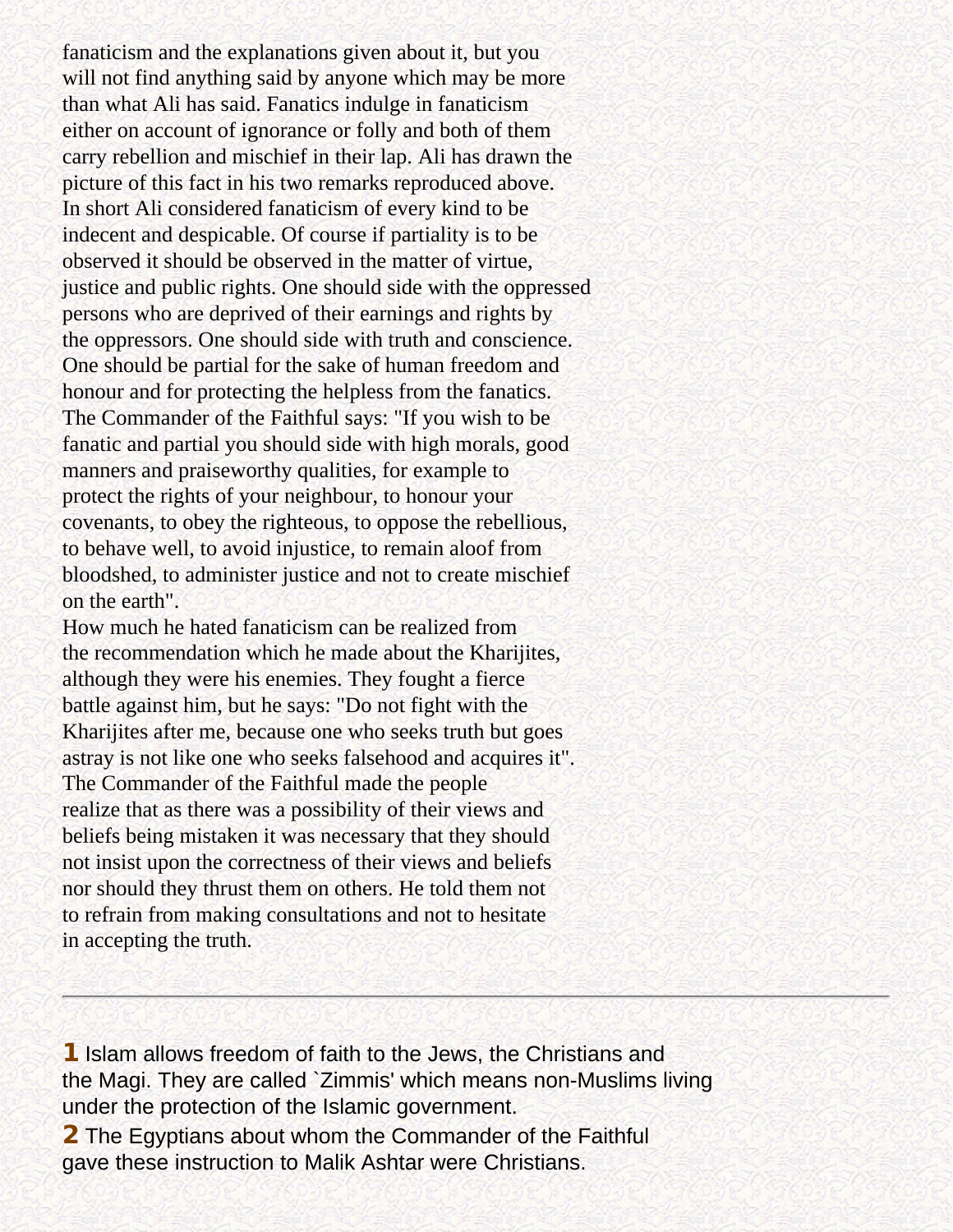fanaticism and the explanations given about it, but you will not find anything said by anyone which may be more than what Ali has said. Fanatics indulge in fanaticism either on account of ignorance or folly and both of them carry rebellion and mischief in their lap. Ali has drawn the picture of this fact in his two remarks reproduced above. In short Ali considered fanaticism of every kind to be indecent and despicable. Of course if partiality is to be observed it should be observed in the matter of virtue, justice and public rights. One should side with the oppressed persons who are deprived of their earnings and rights by the oppressors. One should side with truth and conscience. One should be partial for the sake of human freedom and honour and for protecting the helpless from the fanatics. The Commander of the Faithful says: "If you wish to be fanatic and partial you should side with high morals, good manners and praiseworthy qualities, for example to protect the rights of your neighbour, to honour your covenants, to obey the righteous, to oppose the rebellious, to behave well, to avoid injustice, to remain aloof from bloodshed, to administer justice and not to create mischief on the earth".

How much he hated fanaticism can be realized from the recommendation which he made about the Kharijites, although they were his enemies. They fought a fierce battle against him, but he says: "Do not fight with the Kharijites after me, because one who seeks truth but goes astray is not like one who seeks falsehood and acquires it". The Commander of the Faithful made the people realize that as there was a possibility of their views and beliefs being mistaken it was necessary that they should not insist upon the correctness of their views and beliefs nor should they thrust them on others. He told them not to refrain from making consultations and not to hesitate in accepting the truth.

1 Islam allows freedom of faith to the Jews, the Christians and the Magi. They are called `Zimmis' which means non-Muslims living under the protection of the Islamic government.

2 The Egyptians about whom the Commander of the Faithful gave these instruction to Malik Ashtar were Christians.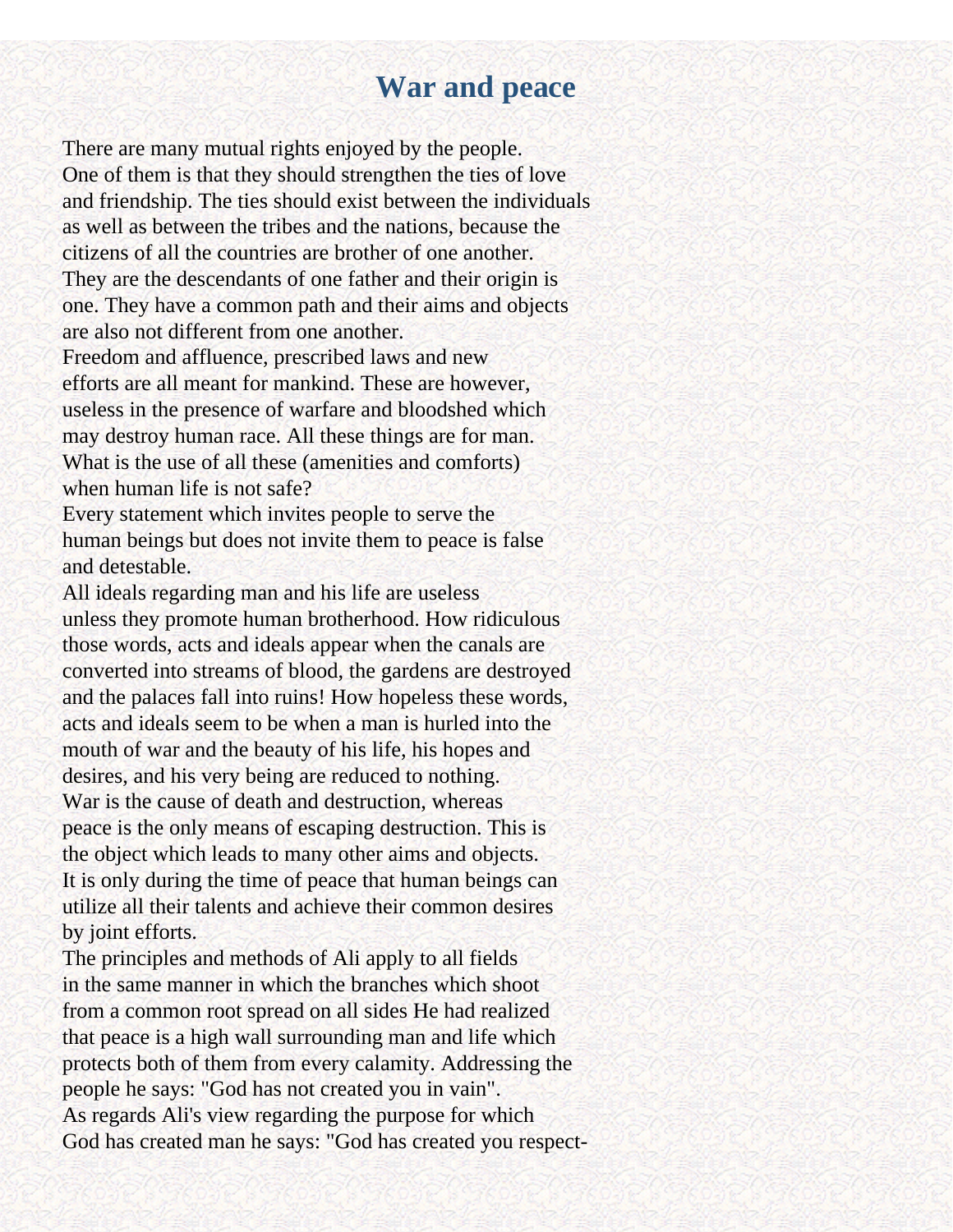## **War and peace**

There are many mutual rights enjoyed by the people. One of them is that they should strengthen the ties of love and friendship. The ties should exist between the individuals as well as between the tribes and the nations, because the citizens of all the countries are brother of one another. They are the descendants of one father and their origin is one. They have a common path and their aims and objects are also not different from one another.

Freedom and affluence, prescribed laws and new efforts are all meant for mankind. These are however, useless in the presence of warfare and bloodshed which may destroy human race. All these things are for man. What is the use of all these (amenities and comforts) when human life is not safe?

Every statement which invites people to serve the human beings but does not invite them to peace is false and detestable.

All ideals regarding man and his life are useless unless they promote human brotherhood. How ridiculous those words, acts and ideals appear when the canals are converted into streams of blood, the gardens are destroyed and the palaces fall into ruins! How hopeless these words, acts and ideals seem to be when a man is hurled into the mouth of war and the beauty of his life, his hopes and desires, and his very being are reduced to nothing. War is the cause of death and destruction, whereas peace is the only means of escaping destruction. This is the object which leads to many other aims and objects. It is only during the time of peace that human beings can utilize all their talents and achieve their common desires by joint efforts.

The principles and methods of Ali apply to all fields in the same manner in which the branches which shoot from a common root spread on all sides He had realized that peace is a high wall surrounding man and life which protects both of them from every calamity. Addressing the people he says: "God has not created you in vain". As regards Ali's view regarding the purpose for which God has created man he says: "God has created you respect-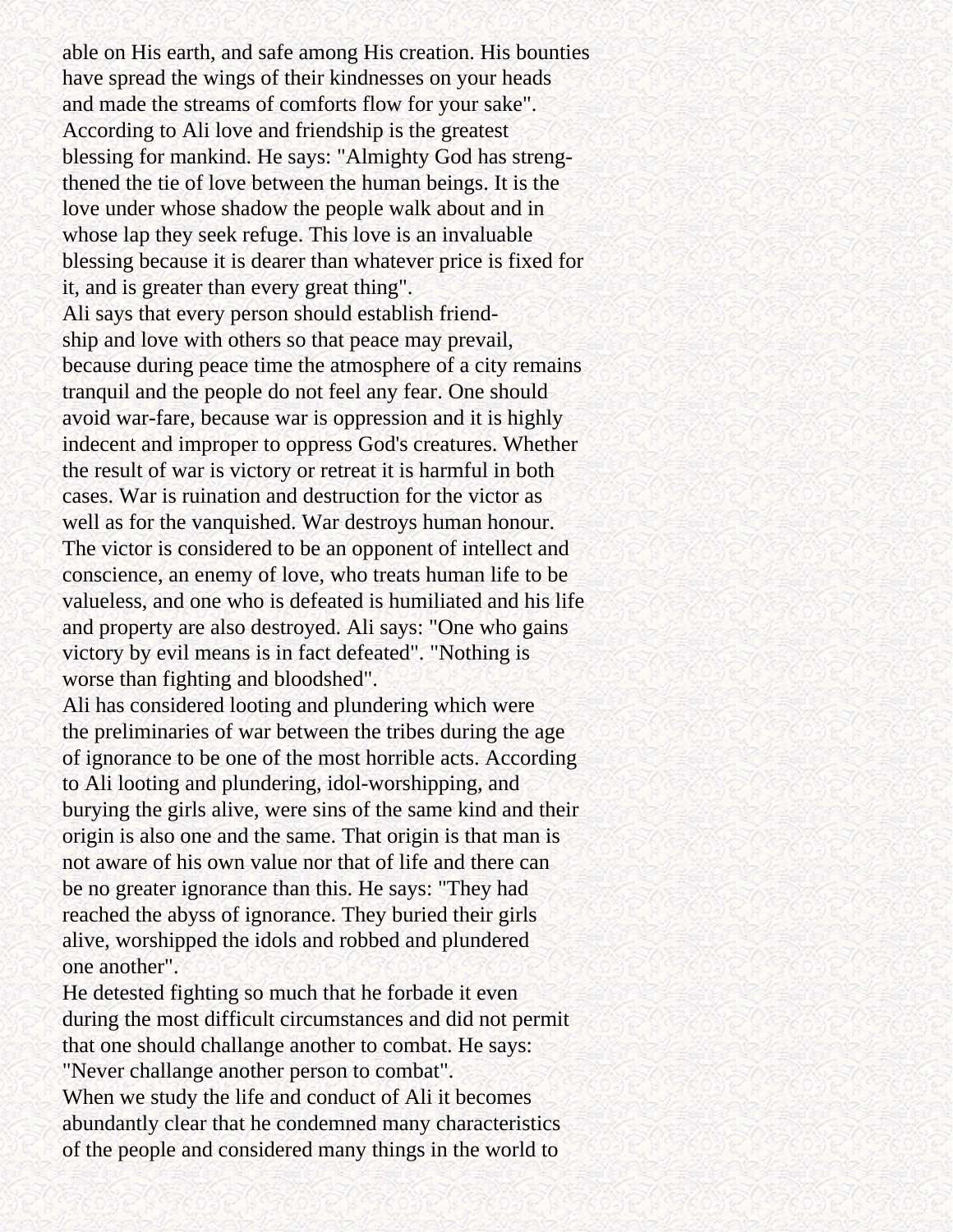able on His earth, and safe among His creation. His bounties have spread the wings of their kindnesses on your heads and made the streams of comforts flow for your sake". According to Ali love and friendship is the greatest blessing for mankind. He says: "Almighty God has strengthened the tie of love between the human beings. It is the love under whose shadow the people walk about and in whose lap they seek refuge. This love is an invaluable blessing because it is dearer than whatever price is fixed for it, and is greater than every great thing". Ali says that every person should establish friendship and love with others so that peace may prevail, because during peace time the atmosphere of a city remains tranquil and the people do not feel any fear. One should avoid war-fare, because war is oppression and it is highly indecent and improper to oppress God's creatures. Whether the result of war is victory or retreat it is harmful in both cases. War is ruination and destruction for the victor as well as for the vanquished. War destroys human honour. The victor is considered to be an opponent of intellect and conscience, an enemy of love, who treats human life to be valueless, and one who is defeated is humiliated and his life and property are also destroyed. Ali says: "One who gains victory by evil means is in fact defeated". "Nothing is worse than fighting and bloodshed".

Ali has considered looting and plundering which were the preliminaries of war between the tribes during the age of ignorance to be one of the most horrible acts. According to Ali looting and plundering, idol-worshipping, and burying the girls alive, were sins of the same kind and their origin is also one and the same. That origin is that man is not aware of his own value nor that of life and there can be no greater ignorance than this. He says: "They had reached the abyss of ignorance. They buried their girls alive, worshipped the idols and robbed and plundered one another".

He detested fighting so much that he forbade it even during the most difficult circumstances and did not permit that one should challange another to combat. He says: "Never challange another person to combat".

When we study the life and conduct of Ali it becomes abundantly clear that he condemned many characteristics of the people and considered many things in the world to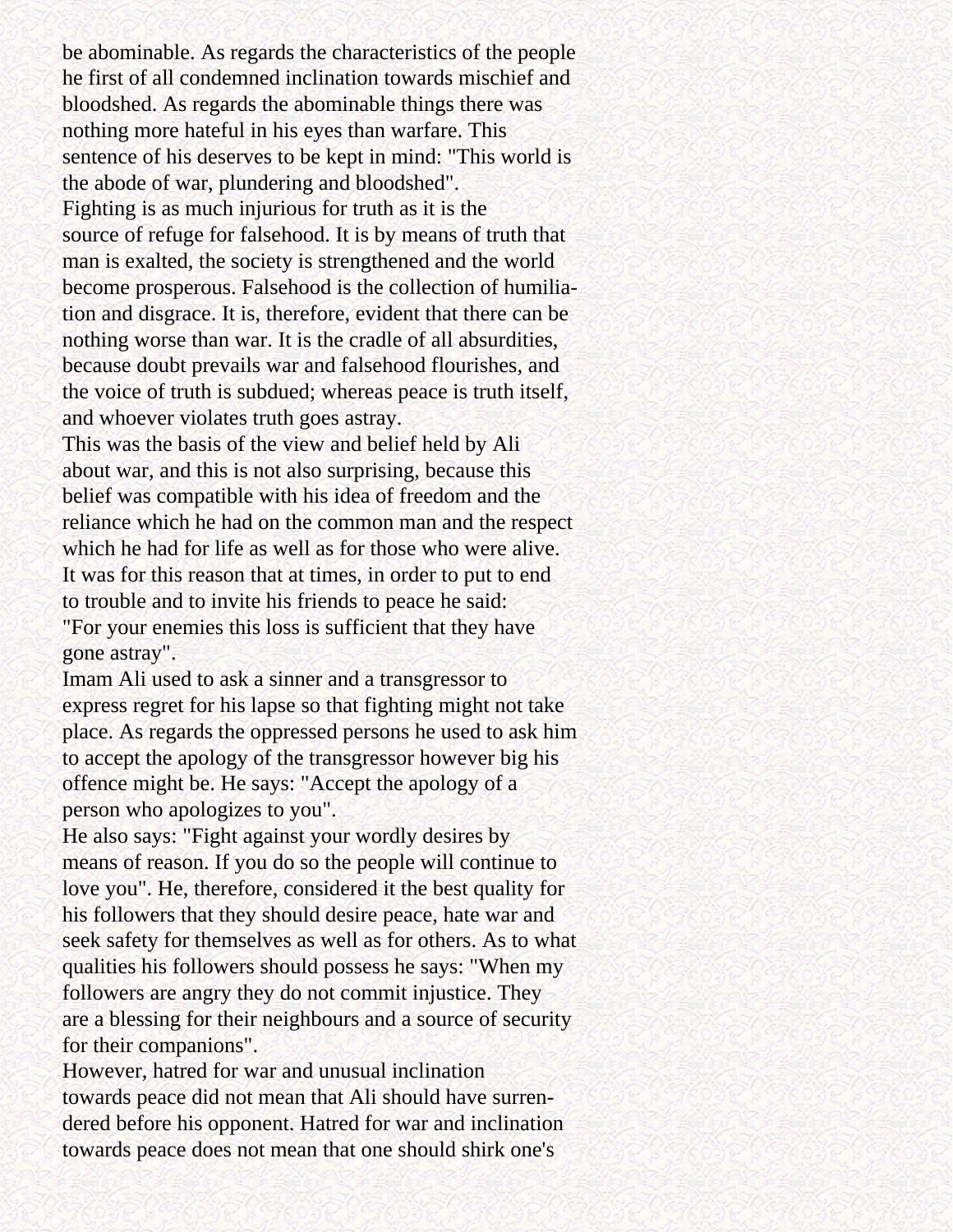be abominable. As regards the characteristics of the people he first of all condemned inclination towards mischief and bloodshed. As regards the abominable things there was nothing more hateful in his eyes than warfare. This sentence of his deserves to be kept in mind: "This world is the abode of war, plundering and bloodshed". Fighting is as much injurious for truth as it is the source of refuge for falsehood. It is by means of truth that man is exalted, the society is strengthened and the world become prosperous. Falsehood is the collection of humiliation and disgrace. It is, therefore, evident that there can be nothing worse than war. It is the cradle of all absurdities, because doubt prevails war and falsehood flourishes, and the voice of truth is subdued; whereas peace is truth itself, and whoever violates truth goes astray.

This was the basis of the view and belief held by Ali about war, and this is not also surprising, because this belief was compatible with his idea of freedom and the reliance which he had on the common man and the respect which he had for life as well as for those who were alive. It was for this reason that at times, in order to put to end to trouble and to invite his friends to peace he said: "For your enemies this loss is sufficient that they have gone astray".

Imam Ali used to ask a sinner and a transgressor to express regret for his lapse so that fighting might not take place. As regards the oppressed persons he used to ask him to accept the apology of the transgressor however big his offence might be. He says: "Accept the apology of a person who apologizes to you".

He also says: "Fight against your wordly desires by means of reason. If you do so the people will continue to love you". He, therefore, considered it the best quality for his followers that they should desire peace, hate war and seek safety for themselves as well as for others. As to what qualities his followers should possess he says: "When my followers are angry they do not commit injustice. They are a blessing for their neighbours and a source of security for their companions".

However, hatred for war and unusual inclination towards peace did not mean that Ali should have surrendered before his opponent. Hatred for war and inclination towards peace does not mean that one should shirk one's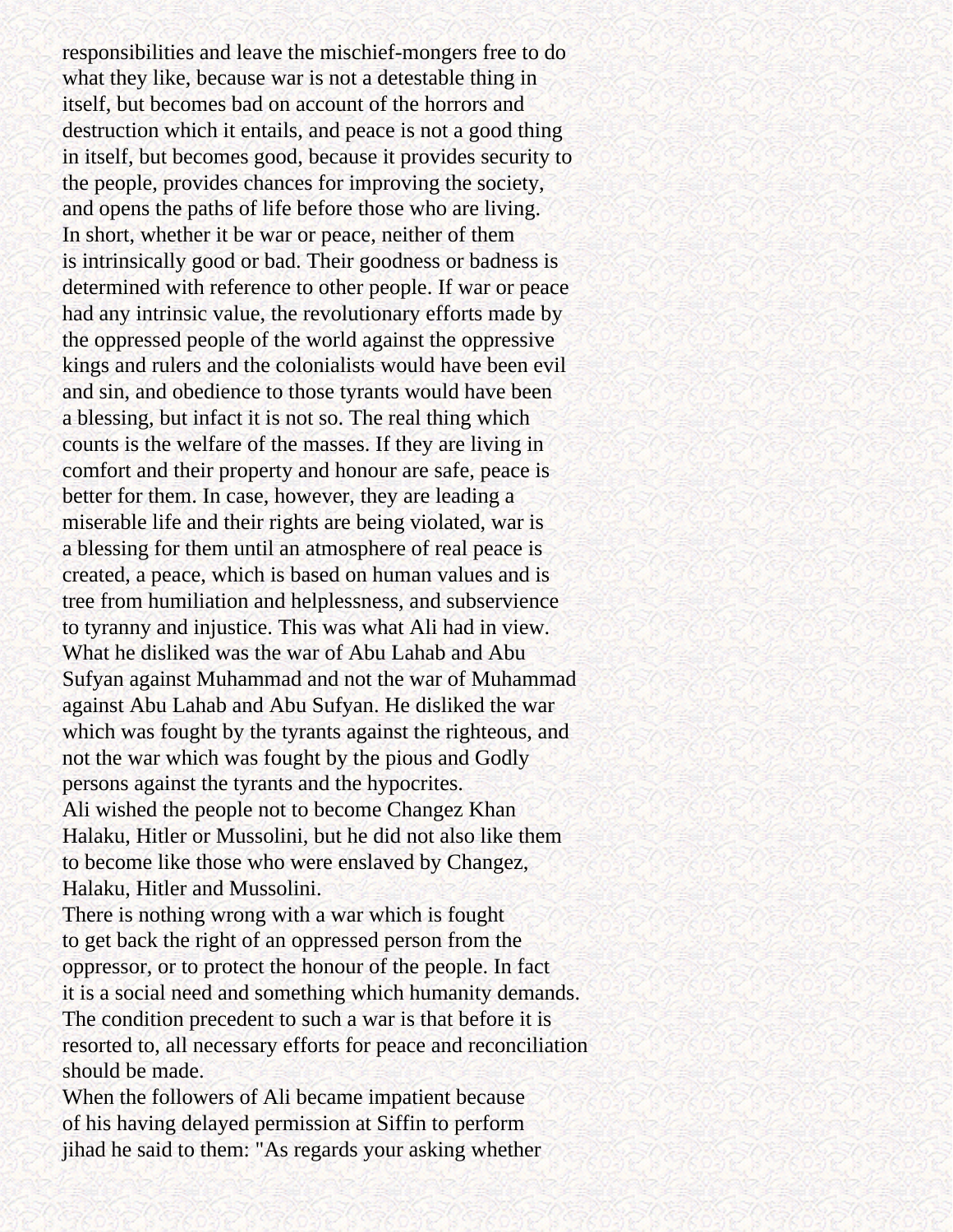responsibilities and leave the mischief-mongers free to do what they like, because war is not a detestable thing in itself, but becomes bad on account of the horrors and destruction which it entails, and peace is not a good thing in itself, but becomes good, because it provides security to the people, provides chances for improving the society, and opens the paths of life before those who are living. In short, whether it be war or peace, neither of them is intrinsically good or bad. Their goodness or badness is determined with reference to other people. If war or peace had any intrinsic value, the revolutionary efforts made by the oppressed people of the world against the oppressive kings and rulers and the colonialists would have been evil and sin, and obedience to those tyrants would have been a blessing, but infact it is not so. The real thing which counts is the welfare of the masses. If they are living in comfort and their property and honour are safe, peace is better for them. In case, however, they are leading a miserable life and their rights are being violated, war is a blessing for them until an atmosphere of real peace is created, a peace, which is based on human values and is tree from humiliation and helplessness, and subservience to tyranny and injustice. This was what Ali had in view. What he disliked was the war of Abu Lahab and Abu Sufyan against Muhammad and not the war of Muhammad against Abu Lahab and Abu Sufyan. He disliked the war which was fought by the tyrants against the righteous, and not the war which was fought by the pious and Godly persons against the tyrants and the hypocrites. Ali wished the people not to become Changez Khan Halaku, Hitler or Mussolini, but he did not also like them to become like those who were enslaved by Changez, Halaku, Hitler and Mussolini.

There is nothing wrong with a war which is fought to get back the right of an oppressed person from the oppressor, or to protect the honour of the people. In fact it is a social need and something which humanity demands. The condition precedent to such a war is that before it is resorted to, all necessary efforts for peace and reconciliation should be made.

When the followers of Ali became impatient because of his having delayed permission at Siffin to perform jihad he said to them: "As regards your asking whether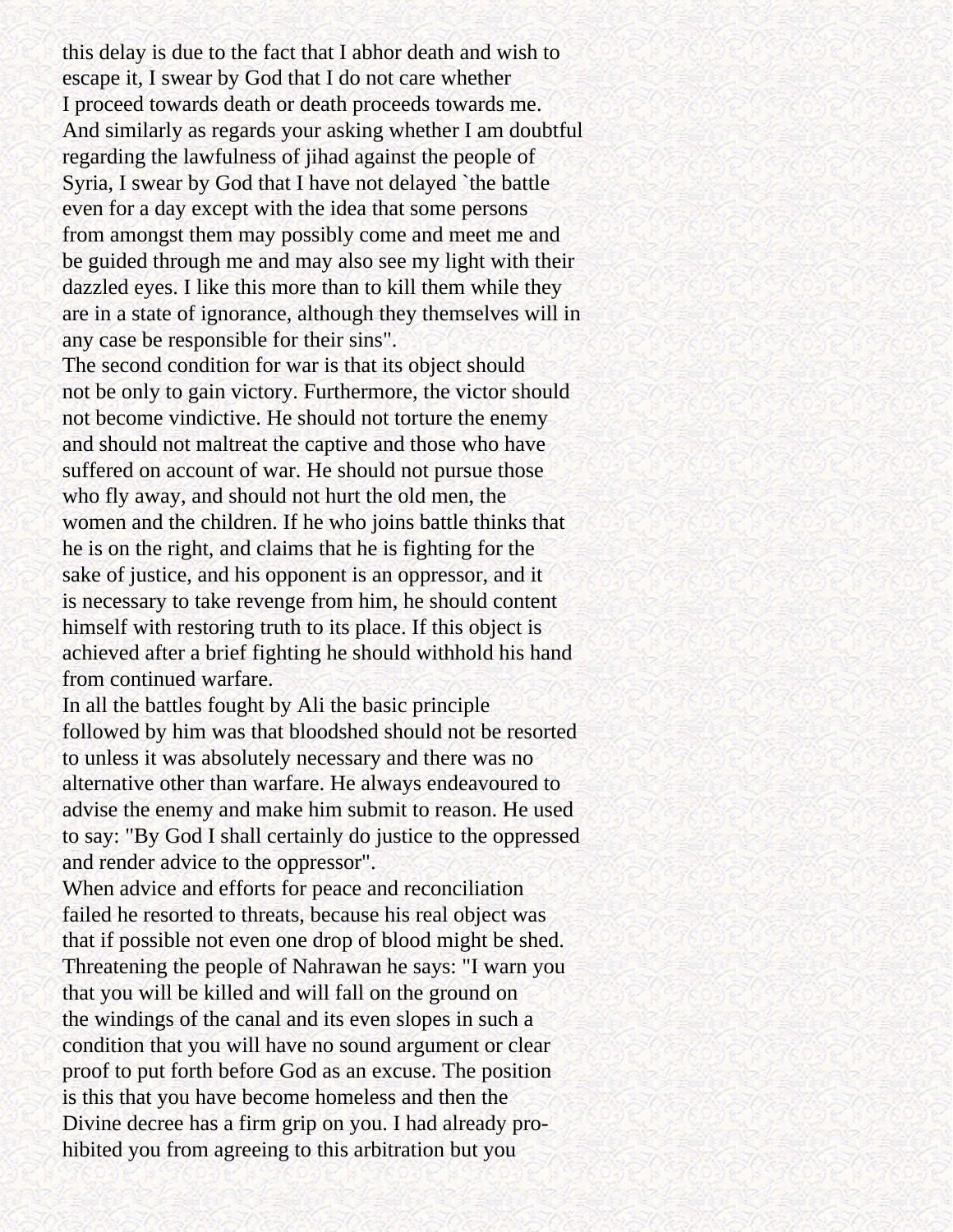this delay is due to the fact that I abhor death and wish to escape it, I swear by God that I do not care whether I proceed towards death or death proceeds towards me. And similarly as regards your asking whether I am doubtful regarding the lawfulness of jihad against the people of Syria, I swear by God that I have not delayed `the battle even for a day except with the idea that some persons from amongst them may possibly come and meet me and be guided through me and may also see my light with their dazzled eyes. I like this more than to kill them while they are in a state of ignorance, although they themselves will in any case be responsible for their sins".

The second condition for war is that its object should not be only to gain victory. Furthermore, the victor should not become vindictive. He should not torture the enemy and should not maltreat the captive and those who have suffered on account of war. He should not pursue those who fly away, and should not hurt the old men, the women and the children. If he who joins battle thinks that he is on the right, and claims that he is fighting for the sake of justice, and his opponent is an oppressor, and it is necessary to take revenge from him, he should content himself with restoring truth to its place. If this object is achieved after a brief fighting he should withhold his hand from continued warfare.

In all the battles fought by Ali the basic principle followed by him was that bloodshed should not be resorted to unless it was absolutely necessary and there was no alternative other than warfare. He always endeavoured to advise the enemy and make him submit to reason. He used to say: "By God I shall certainly do justice to the oppressed and render advice to the oppressor".

When advice and efforts for peace and reconciliation failed he resorted to threats, because his real object was that if possible not even one drop of blood might be shed. Threatening the people of Nahrawan he says: "I warn you that you will be killed and will fall on the ground on the windings of the canal and its even slopes in such a condition that you will have no sound argument or clear proof to put forth before God as an excuse. The position is this that you have become homeless and then the Divine decree has a firm grip on you. I had already prohibited you from agreeing to this arbitration but you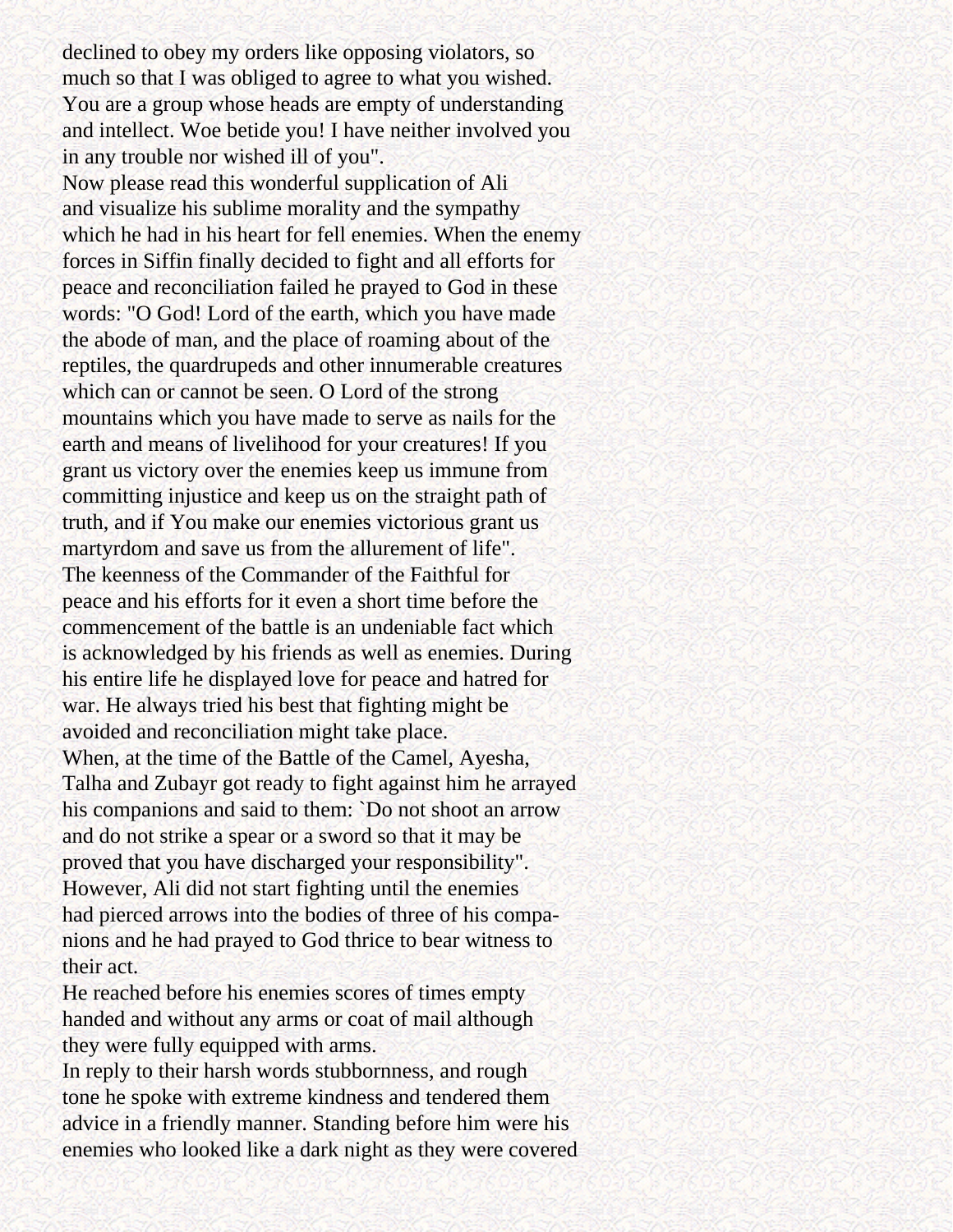declined to obey my orders like opposing violators, so much so that I was obliged to agree to what you wished. You are a group whose heads are empty of understanding and intellect. Woe betide you! I have neither involved you in any trouble nor wished ill of you".

Now please read this wonderful supplication of Ali and visualize his sublime morality and the sympathy which he had in his heart for fell enemies. When the enemy forces in Siffin finally decided to fight and all efforts for peace and reconciliation failed he prayed to God in these words: "O God! Lord of the earth, which you have made the abode of man, and the place of roaming about of the reptiles, the quardrupeds and other innumerable creatures which can or cannot be seen. O Lord of the strong mountains which you have made to serve as nails for the earth and means of livelihood for your creatures! If you grant us victory over the enemies keep us immune from committing injustice and keep us on the straight path of truth, and if You make our enemies victorious grant us martyrdom and save us from the allurement of life". The keenness of the Commander of the Faithful for peace and his efforts for it even a short time before the commencement of the battle is an undeniable fact which is acknowledged by his friends as well as enemies. During his entire life he displayed love for peace and hatred for war. He always tried his best that fighting might be avoided and reconciliation might take place. When, at the time of the Battle of the Camel, Ayesha, Talha and Zubayr got ready to fight against him he arrayed his companions and said to them: `Do not shoot an arrow and do not strike a spear or a sword so that it may be proved that you have discharged your responsibility". However, Ali did not start fighting until the enemies had pierced arrows into the bodies of three of his companions and he had prayed to God thrice to bear witness to their act.

He reached before his enemies scores of times empty handed and without any arms or coat of mail although they were fully equipped with arms.

In reply to their harsh words stubbornness, and rough tone he spoke with extreme kindness and tendered them advice in a friendly manner. Standing before him were his enemies who looked like a dark night as they were covered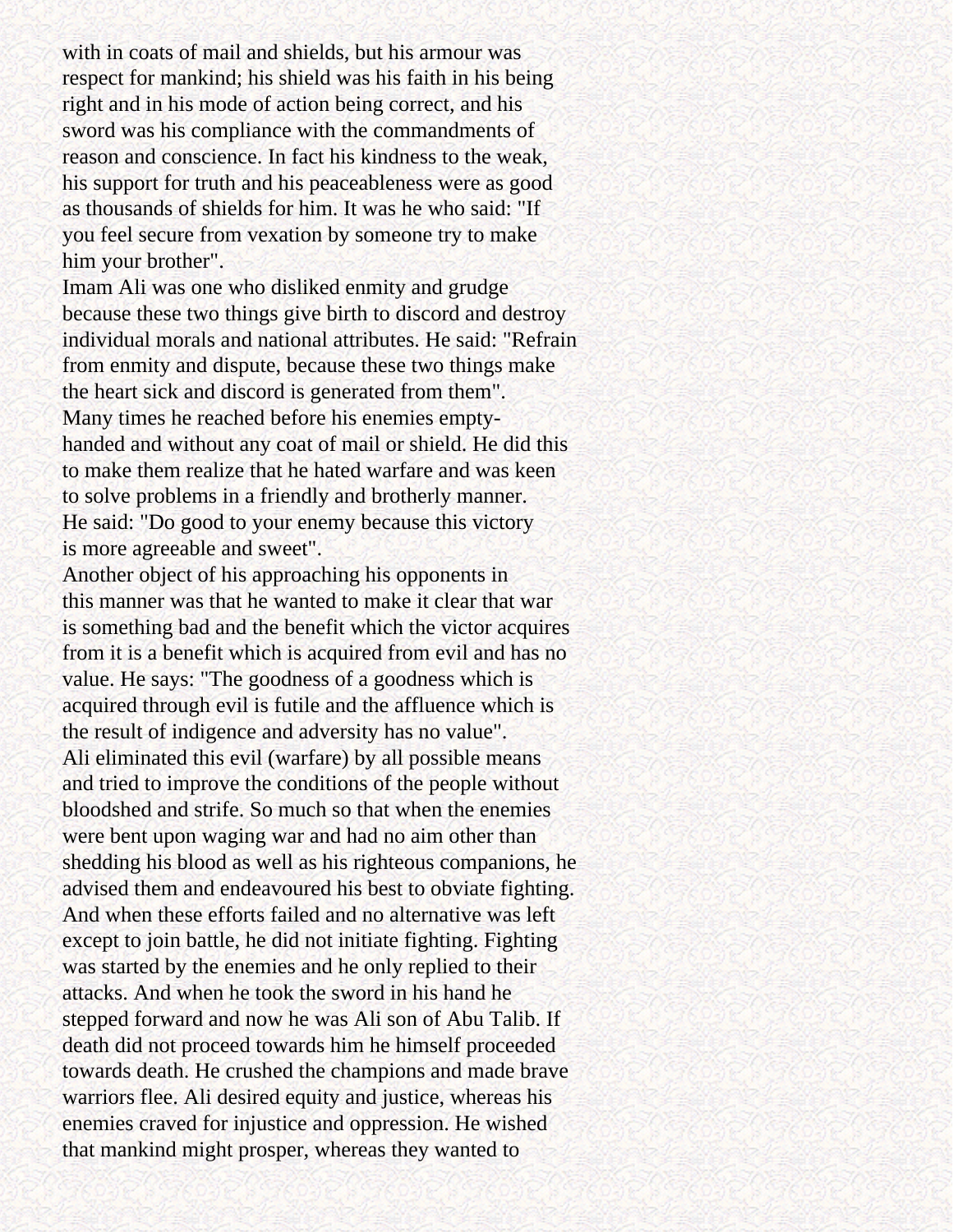with in coats of mail and shields, but his armour was respect for mankind; his shield was his faith in his being right and in his mode of action being correct, and his sword was his compliance with the commandments of reason and conscience. In fact his kindness to the weak, his support for truth and his peaceableness were as good as thousands of shields for him. It was he who said: "If you feel secure from vexation by someone try to make him your brother".

Imam Ali was one who disliked enmity and grudge because these two things give birth to discord and destroy individual morals and national attributes. He said: "Refrain from enmity and dispute, because these two things make the heart sick and discord is generated from them". Many times he reached before his enemies emptyhanded and without any coat of mail or shield. He did this to make them realize that he hated warfare and was keen to solve problems in a friendly and brotherly manner. He said: "Do good to your enemy because this victory is more agreeable and sweet".

Another object of his approaching his opponents in this manner was that he wanted to make it clear that war is something bad and the benefit which the victor acquires from it is a benefit which is acquired from evil and has no value. He says: "The goodness of a goodness which is acquired through evil is futile and the affluence which is the result of indigence and adversity has no value". Ali eliminated this evil (warfare) by all possible means and tried to improve the conditions of the people without bloodshed and strife. So much so that when the enemies were bent upon waging war and had no aim other than shedding his blood as well as his righteous companions, he advised them and endeavoured his best to obviate fighting. And when these efforts failed and no alternative was left except to join battle, he did not initiate fighting. Fighting was started by the enemies and he only replied to their attacks. And when he took the sword in his hand he stepped forward and now he was Ali son of Abu Talib. If death did not proceed towards him he himself proceeded towards death. He crushed the champions and made brave warriors flee. Ali desired equity and justice, whereas his enemies craved for injustice and oppression. He wished that mankind might prosper, whereas they wanted to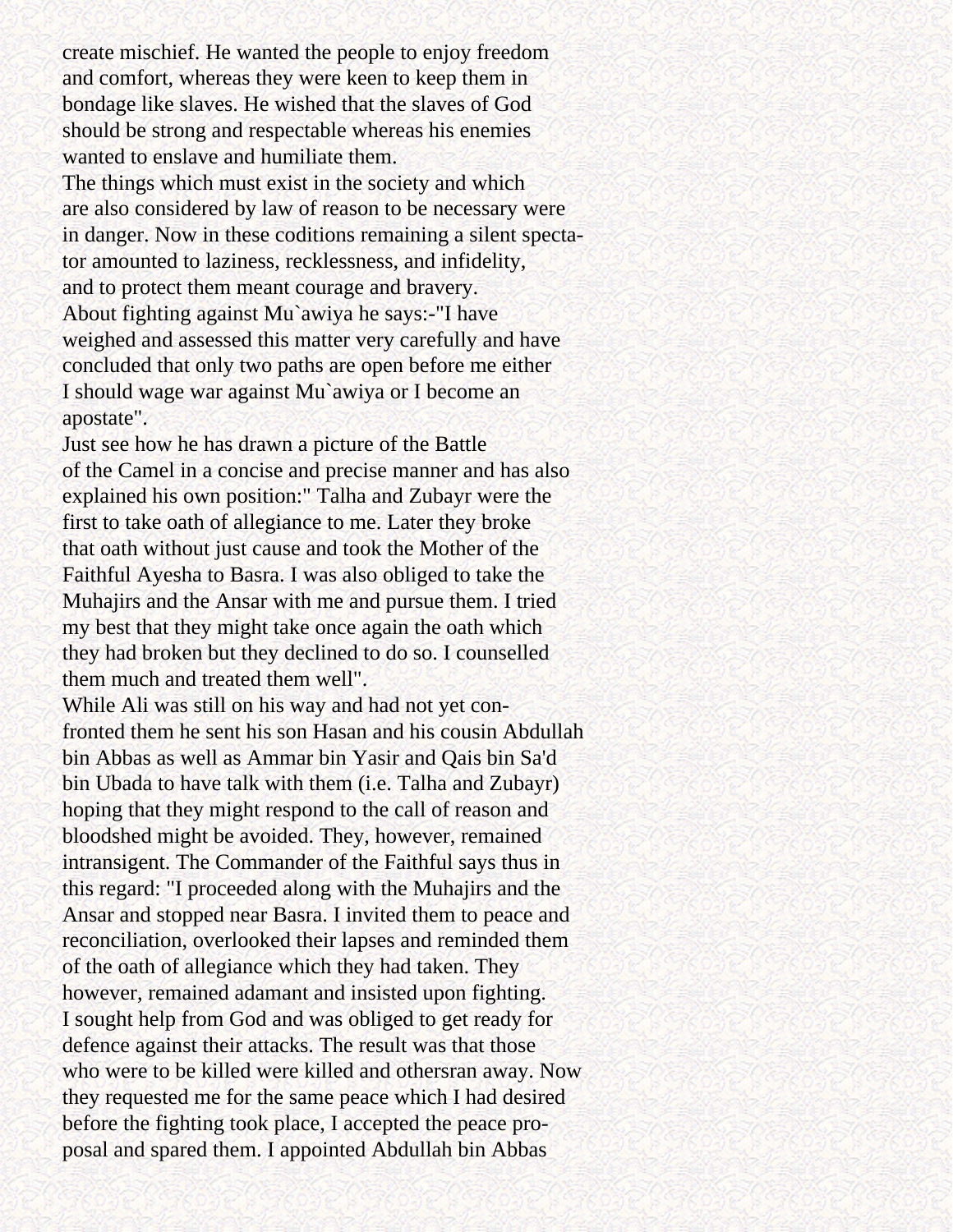create mischief. He wanted the people to enjoy freedom and comfort, whereas they were keen to keep them in bondage like slaves. He wished that the slaves of God should be strong and respectable whereas his enemies wanted to enslave and humiliate them.

The things which must exist in the society and which are also considered by law of reason to be necessary were in danger. Now in these coditions remaining a silent spectator amounted to laziness, recklessness, and infidelity, and to protect them meant courage and bravery.

About fighting against Mu`awiya he says:-"I have weighed and assessed this matter very carefully and have concluded that only two paths are open before me either I should wage war against Mu`awiya or I become an apostate".

Just see how he has drawn a picture of the Battle of the Camel in a concise and precise manner and has also explained his own position:" Talha and Zubayr were the first to take oath of allegiance to me. Later they broke that oath without just cause and took the Mother of the Faithful Ayesha to Basra. I was also obliged to take the Muhajirs and the Ansar with me and pursue them. I tried my best that they might take once again the oath which they had broken but they declined to do so. I counselled them much and treated them well".

While Ali was still on his way and had not yet confronted them he sent his son Hasan and his cousin Abdullah bin Abbas as well as Ammar bin Yasir and Qais bin Sa'd bin Ubada to have talk with them (i.e. Talha and Zubayr) hoping that they might respond to the call of reason and bloodshed might be avoided. They, however, remained intransigent. The Commander of the Faithful says thus in this regard: "I proceeded along with the Muhajirs and the Ansar and stopped near Basra. I invited them to peace and reconciliation, overlooked their lapses and reminded them of the oath of allegiance which they had taken. They however, remained adamant and insisted upon fighting. I sought help from God and was obliged to get ready for defence against their attacks. The result was that those who were to be killed were killed and othersran away. Now they requested me for the same peace which I had desired before the fighting took place, I accepted the peace proposal and spared them. I appointed Abdullah bin Abbas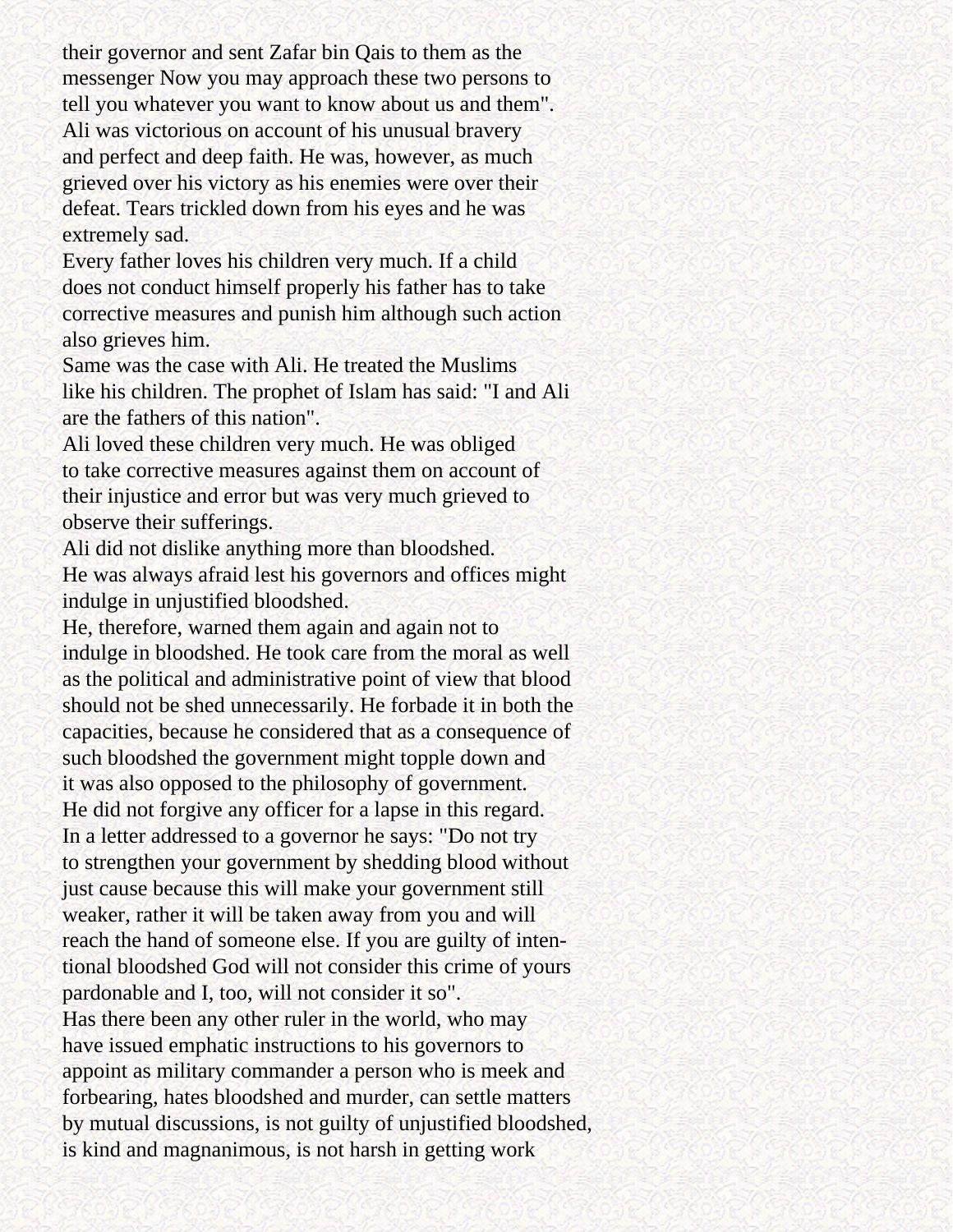their governor and sent Zafar bin Qais to them as the messenger Now you may approach these two persons to tell you whatever you want to know about us and them". Ali was victorious on account of his unusual bravery and perfect and deep faith. He was, however, as much grieved over his victory as his enemies were over their defeat. Tears trickled down from his eyes and he was extremely sad.

Every father loves his children very much. If a child does not conduct himself properly his father has to take corrective measures and punish him although such action also grieves him.

Same was the case with Ali. He treated the Muslims like his children. The prophet of Islam has said: "I and Ali are the fathers of this nation".

Ali loved these children very much. He was obliged to take corrective measures against them on account of their injustice and error but was very much grieved to observe their sufferings.

Ali did not dislike anything more than bloodshed. He was always afraid lest his governors and offices might

indulge in unjustified bloodshed.

He, therefore, warned them again and again not to indulge in bloodshed. He took care from the moral as well as the political and administrative point of view that blood should not be shed unnecessarily. He forbade it in both the capacities, because he considered that as a consequence of such bloodshed the government might topple down and it was also opposed to the philosophy of government. He did not forgive any officer for a lapse in this regard. In a letter addressed to a governor he says: "Do not try to strengthen your government by shedding blood without just cause because this will make your government still weaker, rather it will be taken away from you and will reach the hand of someone else. If you are guilty of intentional bloodshed God will not consider this crime of yours pardonable and I, too, will not consider it so". Has there been any other ruler in the world, who may have issued emphatic instructions to his governors to appoint as military commander a person who is meek and forbearing, hates bloodshed and murder, can settle matters by mutual discussions, is not guilty of unjustified bloodshed, is kind and magnanimous, is not harsh in getting work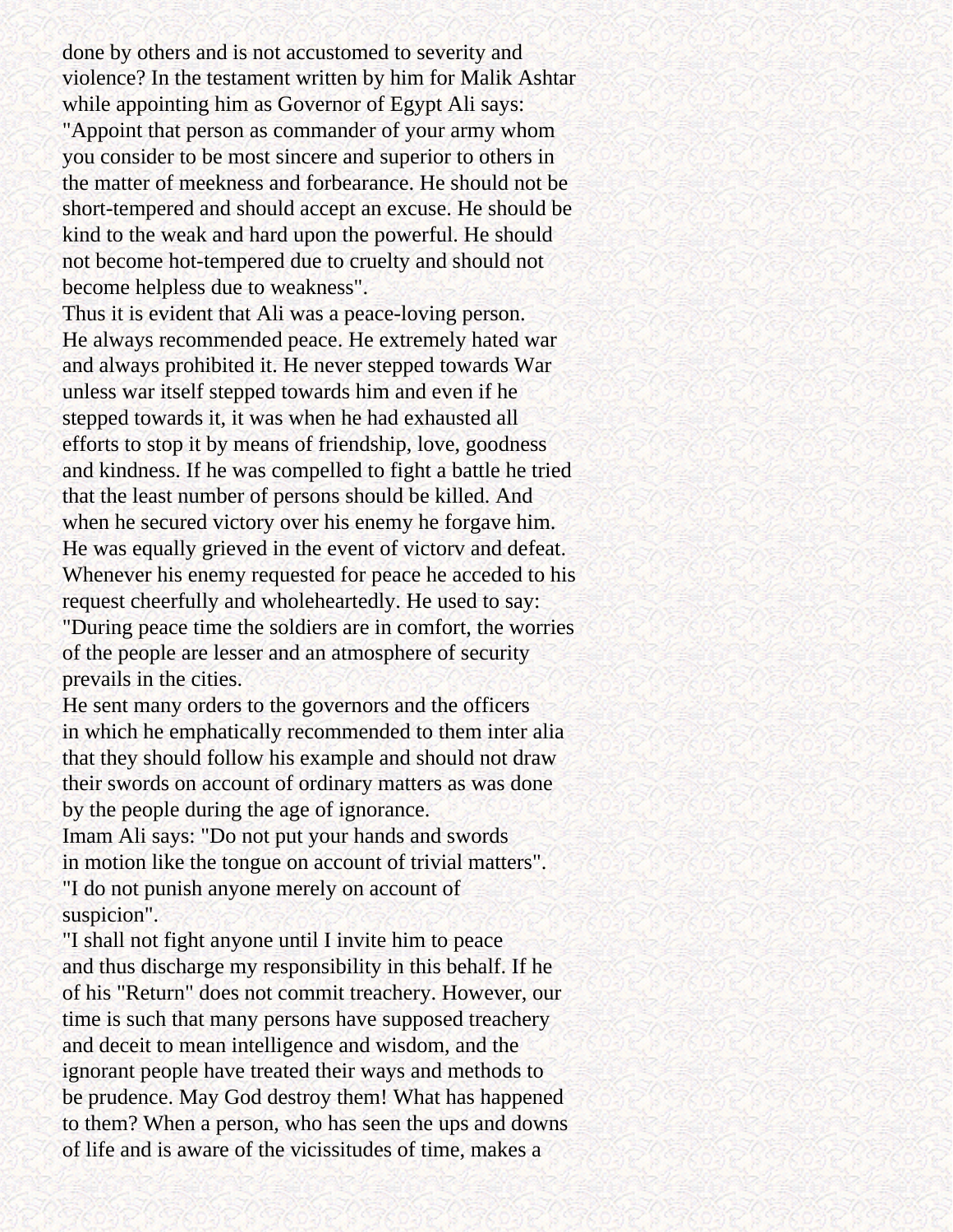done by others and is not accustomed to severity and violence? In the testament written by him for Malik Ashtar while appointing him as Governor of Egypt Ali says:

"Appoint that person as commander of your army whom you consider to be most sincere and superior to others in the matter of meekness and forbearance. He should not be short-tempered and should accept an excuse. He should be kind to the weak and hard upon the powerful. He should not become hot-tempered due to cruelty and should not become helpless due to weakness".

Thus it is evident that Ali was a peace-loving person. He always recommended peace. He extremely hated war and always prohibited it. He never stepped towards War unless war itself stepped towards him and even if he stepped towards it, it was when he had exhausted all efforts to stop it by means of friendship, love, goodness and kindness. If he was compelled to fight a battle he tried that the least number of persons should be killed. And when he secured victory over his enemy he forgave him. He was equally grieved in the event of victorv and defeat. Whenever his enemy requested for peace he acceded to his request cheerfully and wholeheartedly. He used to say: "During peace time the soldiers are in comfort, the worries of the people are lesser and an atmosphere of security prevails in the cities.

He sent many orders to the governors and the officers in which he emphatically recommended to them inter alia that they should follow his example and should not draw their swords on account of ordinary matters as was done by the people during the age of ignorance.

Imam Ali says: "Do not put your hands and swords in motion like the tongue on account of trivial matters". "I do not punish anyone merely on account of suspicion".

"I shall not fight anyone until I invite him to peace and thus discharge my responsibility in this behalf. If he of his "Return" does not commit treachery. However, our time is such that many persons have supposed treachery and deceit to mean intelligence and wisdom, and the ignorant people have treated their ways and methods to be prudence. May God destroy them! What has happened to them? When a person, who has seen the ups and downs of life and is aware of the vicissitudes of time, makes a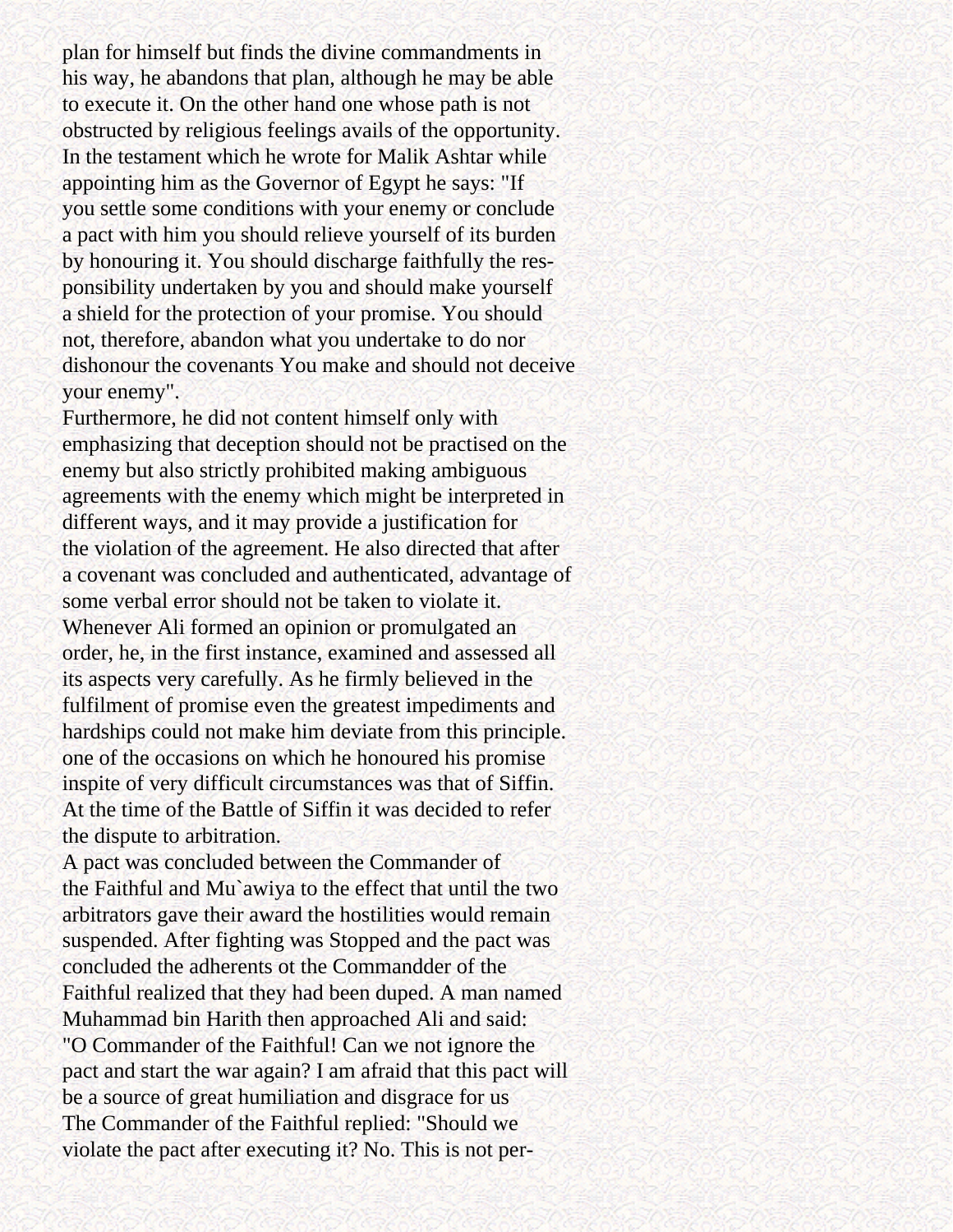plan for himself but finds the divine commandments in his way, he abandons that plan, although he may be able to execute it. On the other hand one whose path is not obstructed by religious feelings avails of the opportunity. In the testament which he wrote for Malik Ashtar while appointing him as the Governor of Egypt he says: "If you settle some conditions with your enemy or conclude a pact with him you should relieve yourself of its burden by honouring it. You should discharge faithfully the responsibility undertaken by you and should make yourself a shield for the protection of your promise. You should not, therefore, abandon what you undertake to do nor dishonour the covenants You make and should not deceive your enemy".

Furthermore, he did not content himself only with emphasizing that deception should not be practised on the enemy but also strictly prohibited making ambiguous agreements with the enemy which might be interpreted in different ways, and it may provide a justification for the violation of the agreement. He also directed that after a covenant was concluded and authenticated, advantage of some verbal error should not be taken to violate it. Whenever Ali formed an opinion or promulgated an order, he, in the first instance, examined and assessed all its aspects very carefully. As he firmly believed in the fulfilment of promise even the greatest impediments and hardships could not make him deviate from this principle. one of the occasions on which he honoured his promise inspite of very difficult circumstances was that of Siffin. At the time of the Battle of Siffin it was decided to refer the dispute to arbitration.

A pact was concluded between the Commander of the Faithful and Mu`awiya to the effect that until the two arbitrators gave their award the hostilities would remain suspended. After fighting was Stopped and the pact was concluded the adherents ot the Commandder of the Faithful realized that they had been duped. A man named Muhammad bin Harith then approached Ali and said: "O Commander of the Faithful! Can we not ignore the pact and start the war again? I am afraid that this pact will be a source of great humiliation and disgrace for us The Commander of the Faithful replied: "Should we violate the pact after executing it? No. This is not per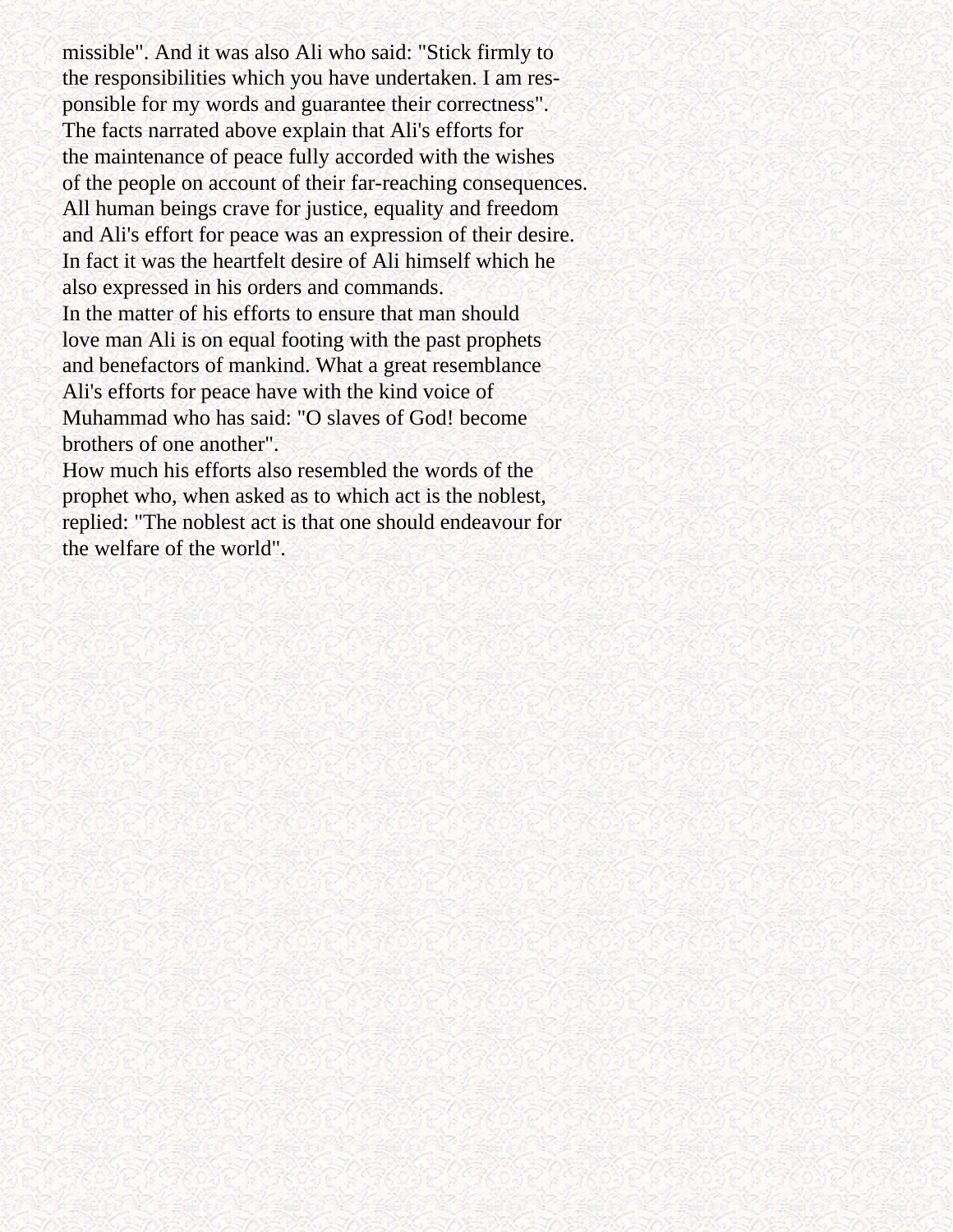missible". And it was also Ali who said: "Stick firmly to the responsibilities which you have undertaken. I am responsible for my words and guarantee their correctness". The facts narrated above explain that Ali's efforts for the maintenance of peace fully accorded with the wishes of the people on account of their far-reaching consequences. All human beings crave for justice, equality and freedom and Ali's effort for peace was an expression of their desire. In fact it was the heartfelt desire of Ali himself which he also expressed in his orders and commands. In the matter of his efforts to ensure that man should love man Ali is on equal footing with the past prophets and benefactors of mankind. What a great resemblance Ali's efforts for peace have with the kind voice of Muhammad who has said: "O slaves of God! become brothers of one another".

How much his efforts also resembled the words of the prophet who, when asked as to which act is the noblest, replied: "The noblest act is that one should endeavour for the welfare of the world".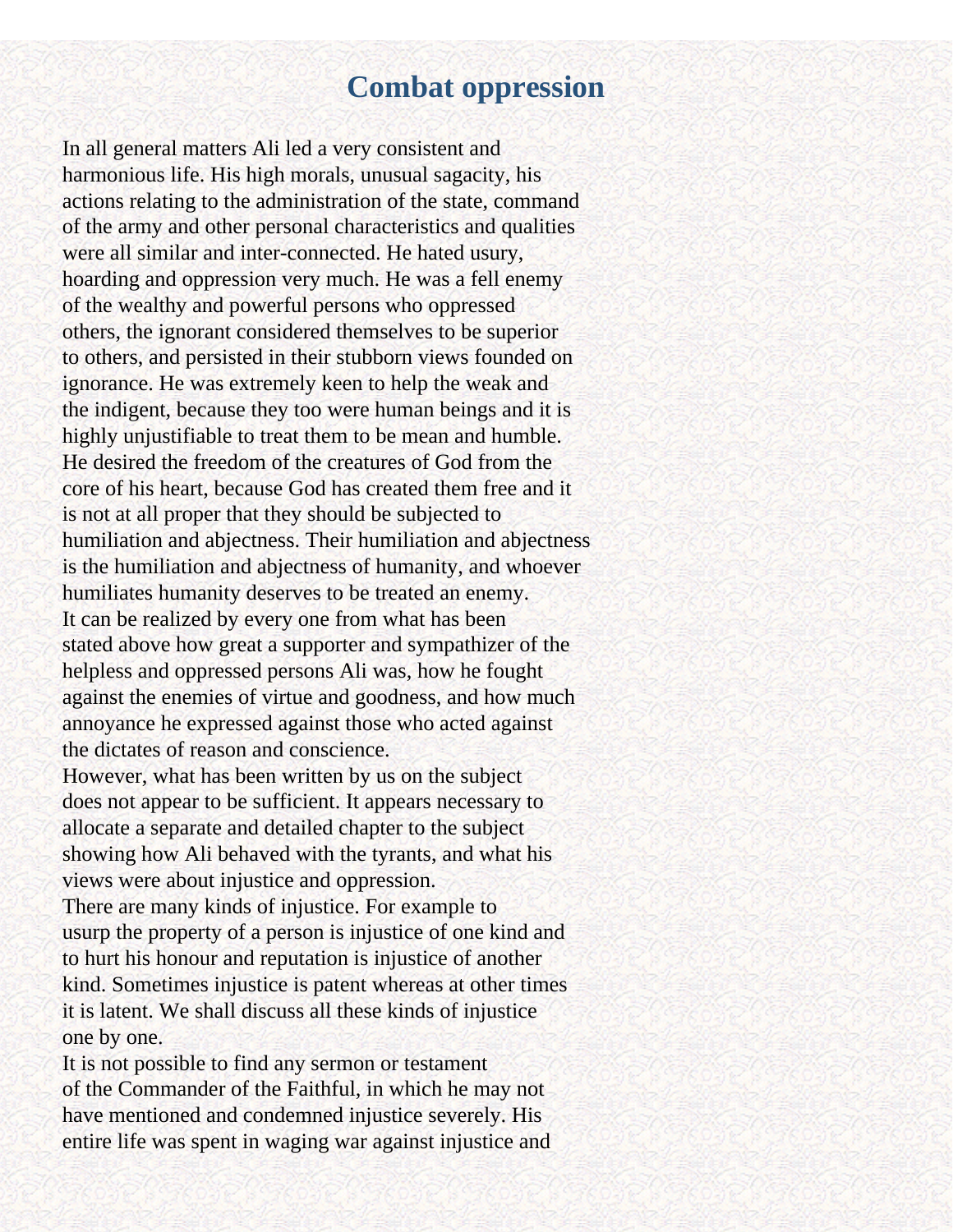## **Combat oppression**

In all general matters Ali led a very consistent and harmonious life. His high morals, unusual sagacity, his actions relating to the administration of the state, command of the army and other personal characteristics and qualities were all similar and inter-connected. He hated usury, hoarding and oppression very much. He was a fell enemy of the wealthy and powerful persons who oppressed others, the ignorant considered themselves to be superior to others, and persisted in their stubborn views founded on ignorance. He was extremely keen to help the weak and the indigent, because they too were human beings and it is highly unjustifiable to treat them to be mean and humble. He desired the freedom of the creatures of God from the core of his heart, because God has created them free and it is not at all proper that they should be subjected to humiliation and abjectness. Their humiliation and abjectness is the humiliation and abjectness of humanity, and whoever humiliates humanity deserves to be treated an enemy. It can be realized by every one from what has been stated above how great a supporter and sympathizer of the helpless and oppressed persons Ali was, how he fought against the enemies of virtue and goodness, and how much annoyance he expressed against those who acted against the dictates of reason and conscience.

However, what has been written by us on the subject does not appear to be sufficient. It appears necessary to allocate a separate and detailed chapter to the subject showing how Ali behaved with the tyrants, and what his views were about injustice and oppression. There are many kinds of injustice. For example to usurp the property of a person is injustice of one kind and to hurt his honour and reputation is injustice of another kind. Sometimes injustice is patent whereas at other times it is latent. We shall discuss all these kinds of injustice one by one.

It is not possible to find any sermon or testament of the Commander of the Faithful, in which he may not have mentioned and condemned injustice severely. His entire life was spent in waging war against injustice and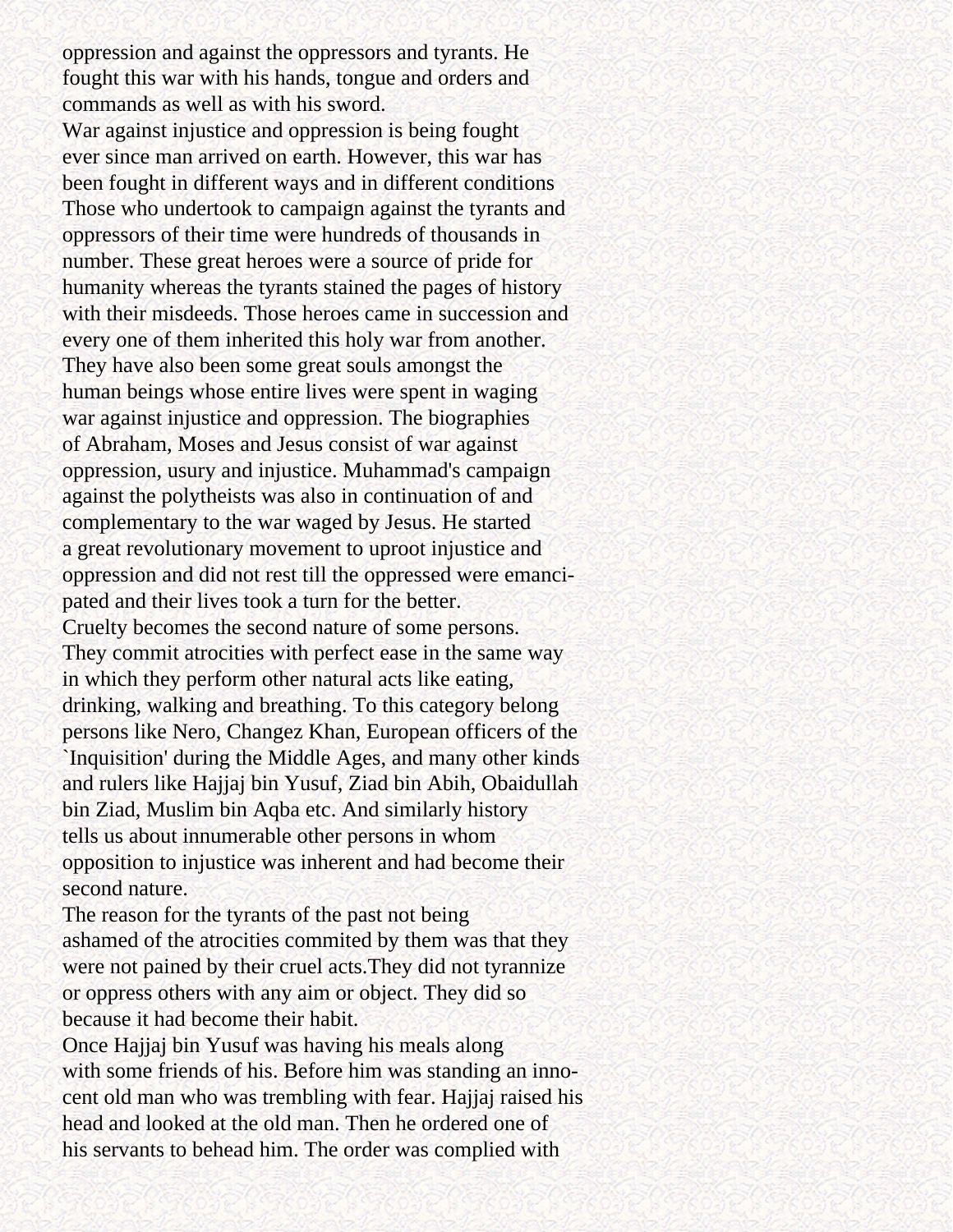oppression and against the oppressors and tyrants. He fought this war with his hands, tongue and orders and commands as well as with his sword.

War against injustice and oppression is being fought ever since man arrived on earth. However, this war has been fought in different ways and in different conditions Those who undertook to campaign against the tyrants and oppressors of their time were hundreds of thousands in number. These great heroes were a source of pride for humanity whereas the tyrants stained the pages of history with their misdeeds. Those heroes came in succession and every one of them inherited this holy war from another. They have also been some great souls amongst the human beings whose entire lives were spent in waging war against injustice and oppression. The biographies of Abraham, Moses and Jesus consist of war against oppression, usury and injustice. Muhammad's campaign against the polytheists was also in continuation of and complementary to the war waged by Jesus. He started a great revolutionary movement to uproot injustice and oppression and did not rest till the oppressed were emancipated and their lives took a turn for the better. Cruelty becomes the second nature of some persons. They commit atrocities with perfect ease in the same way in which they perform other natural acts like eating, drinking, walking and breathing. To this category belong persons like Nero, Changez Khan, European officers of the `Inquisition' during the Middle Ages, and many other kinds and rulers like Hajjaj bin Yusuf, Ziad bin Abih, Obaidullah bin Ziad, Muslim bin Aqba etc. And similarly history tells us about innumerable other persons in whom opposition to injustice was inherent and had become their second nature.

The reason for the tyrants of the past not being ashamed of the atrocities commited by them was that they were not pained by their cruel acts.They did not tyrannize or oppress others with any aim or object. They did so because it had become their habit.

Once Hajjaj bin Yusuf was having his meals along with some friends of his. Before him was standing an innocent old man who was trembling with fear. Hajjaj raised his head and looked at the old man. Then he ordered one of his servants to behead him. The order was complied with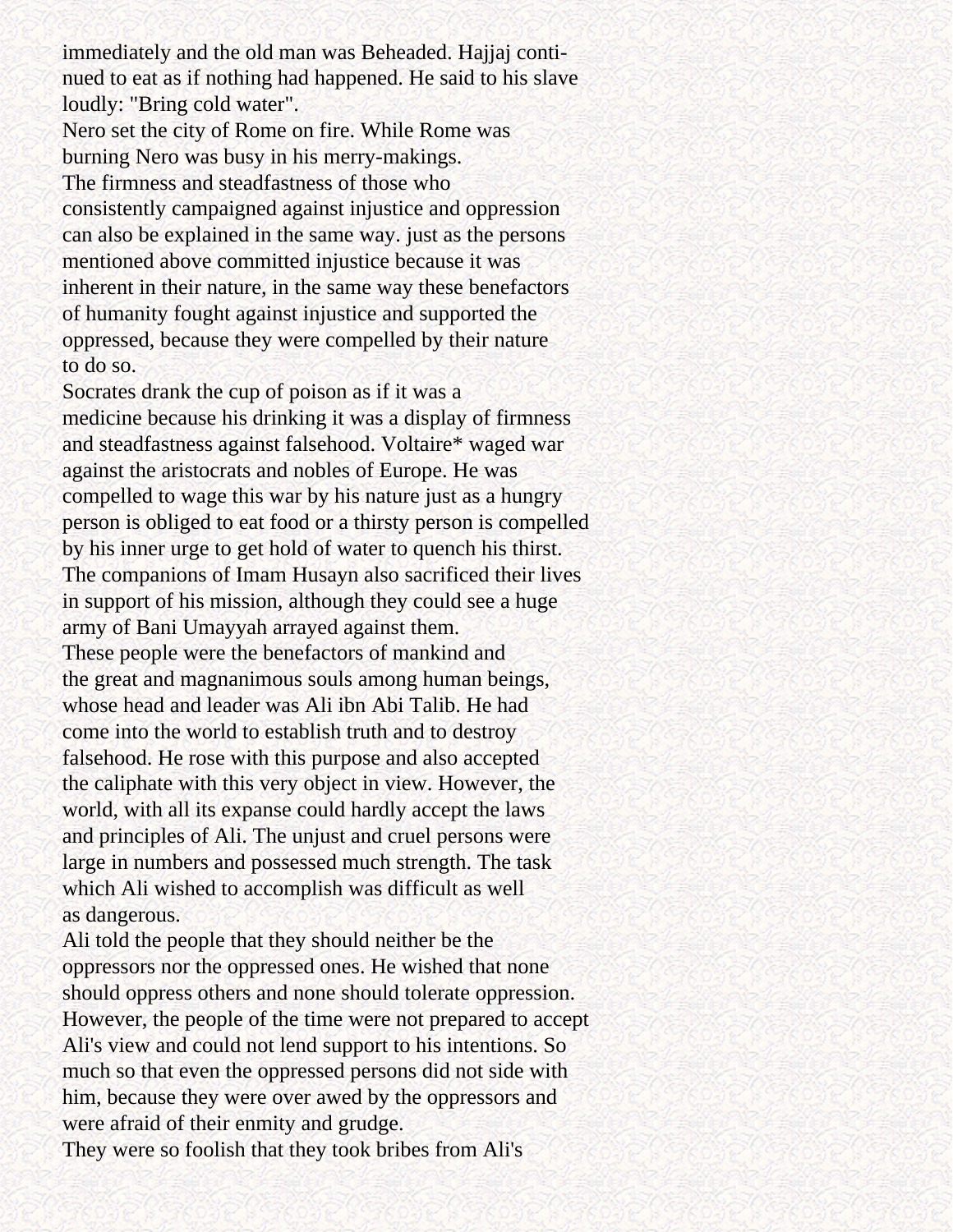immediately and the old man was Beheaded. Hajjaj continued to eat as if nothing had happened. He said to his slave loudly: "Bring cold water".

Nero set the city of Rome on fire. While Rome was burning Nero was busy in his merry-makings. The firmness and steadfastness of those who consistently campaigned against injustice and oppression can also be explained in the same way. just as the persons mentioned above committed injustice because it was inherent in their nature, in the same way these benefactors of humanity fought against injustice and supported the oppressed, because they were compelled by their nature to do so.

Socrates drank the cup of poison as if it was a medicine because his drinking it was a display of firmness and steadfastness against falsehood. Voltaire\* waged war against the aristocrats and nobles of Europe. He was compelled to wage this war by his nature just as a hungry person is obliged to eat food or a thirsty person is compelled by his inner urge to get hold of water to quench his thirst. The companions of Imam Husayn also sacrificed their lives in support of his mission, although they could see a huge army of Bani Umayyah arrayed against them. These people were the benefactors of mankind and the great and magnanimous souls among human beings, whose head and leader was Ali ibn Abi Talib. He had come into the world to establish truth and to destroy falsehood. He rose with this purpose and also accepted the caliphate with this very object in view. However, the world, with all its expanse could hardly accept the laws and principles of Ali. The unjust and cruel persons were large in numbers and possessed much strength. The task which Ali wished to accomplish was difficult as well as dangerous.

Ali told the people that they should neither be the oppressors nor the oppressed ones. He wished that none should oppress others and none should tolerate oppression. However, the people of the time were not prepared to accept Ali's view and could not lend support to his intentions. So much so that even the oppressed persons did not side with him, because they were over awed by the oppressors and were afraid of their enmity and grudge.

They were so foolish that they took bribes from Ali's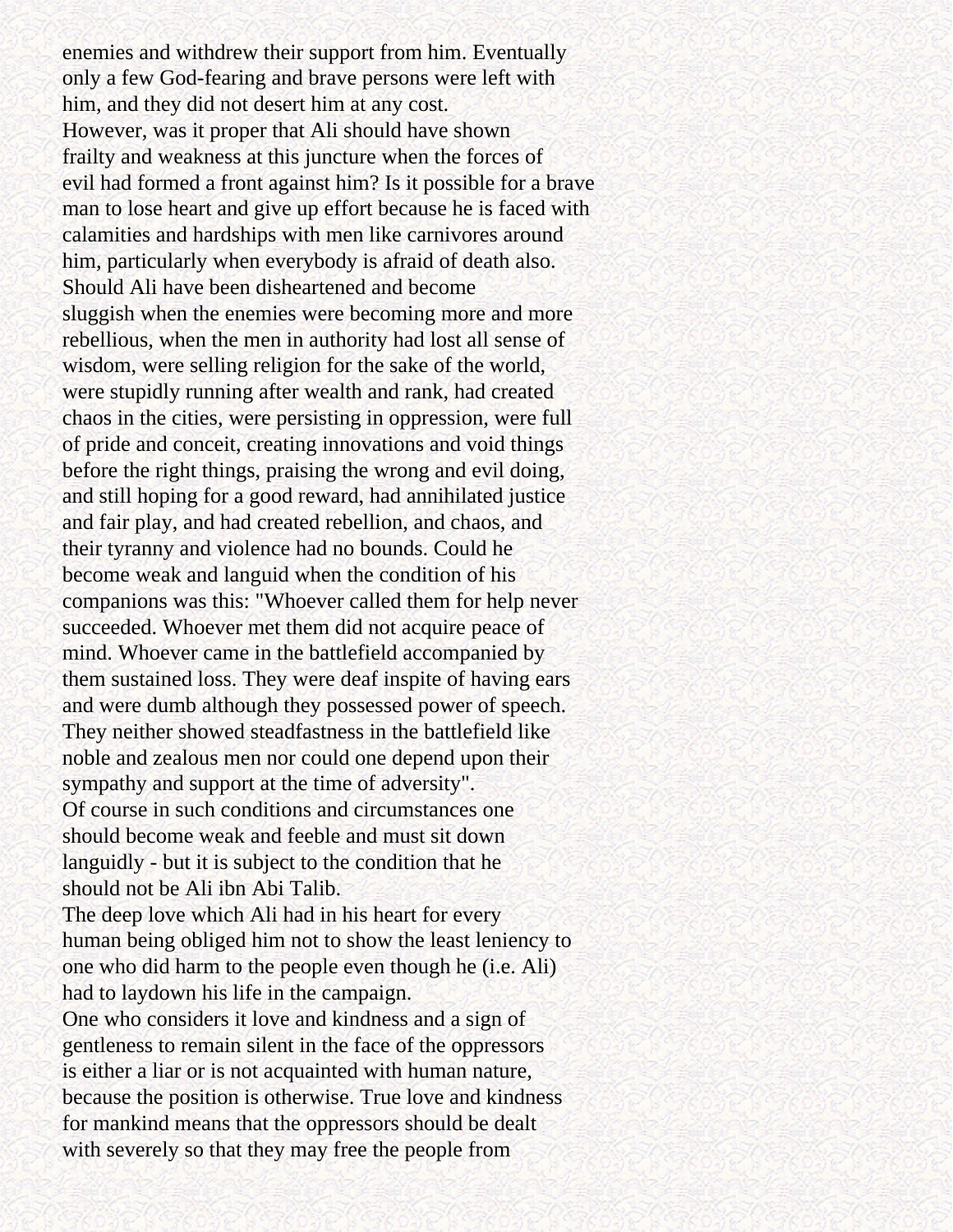enemies and withdrew their support from him. Eventually only a few God-fearing and brave persons were left with him, and they did not desert him at any cost. However, was it proper that Ali should have shown frailty and weakness at this juncture when the forces of evil had formed a front against him? Is it possible for a brave man to lose heart and give up effort because he is faced with calamities and hardships with men like carnivores around him, particularly when everybody is afraid of death also. Should Ali have been disheartened and become sluggish when the enemies were becoming more and more rebellious, when the men in authority had lost all sense of wisdom, were selling religion for the sake of the world, were stupidly running after wealth and rank, had created chaos in the cities, were persisting in oppression, were full of pride and conceit, creating innovations and void things before the right things, praising the wrong and evil doing, and still hoping for a good reward, had annihilated justice and fair play, and had created rebellion, and chaos, and their tyranny and violence had no bounds. Could he become weak and languid when the condition of his companions was this: "Whoever called them for help never succeeded. Whoever met them did not acquire peace of mind. Whoever came in the battlefield accompanied by them sustained loss. They were deaf inspite of having ears and were dumb although they possessed power of speech. They neither showed steadfastness in the battlefield like noble and zealous men nor could one depend upon their sympathy and support at the time of adversity". Of course in such conditions and circumstances one should become weak and feeble and must sit down languidly - but it is subject to the condition that he should not be Ali ibn Abi Talib. The deep love which Ali had in his heart for every

human being obliged him not to show the least leniency to one who did harm to the people even though he (i.e. Ali) had to laydown his life in the campaign.

One who considers it love and kindness and a sign of gentleness to remain silent in the face of the oppressors is either a liar or is not acquainted with human nature, because the position is otherwise. True love and kindness for mankind means that the oppressors should be dealt with severely so that they may free the people from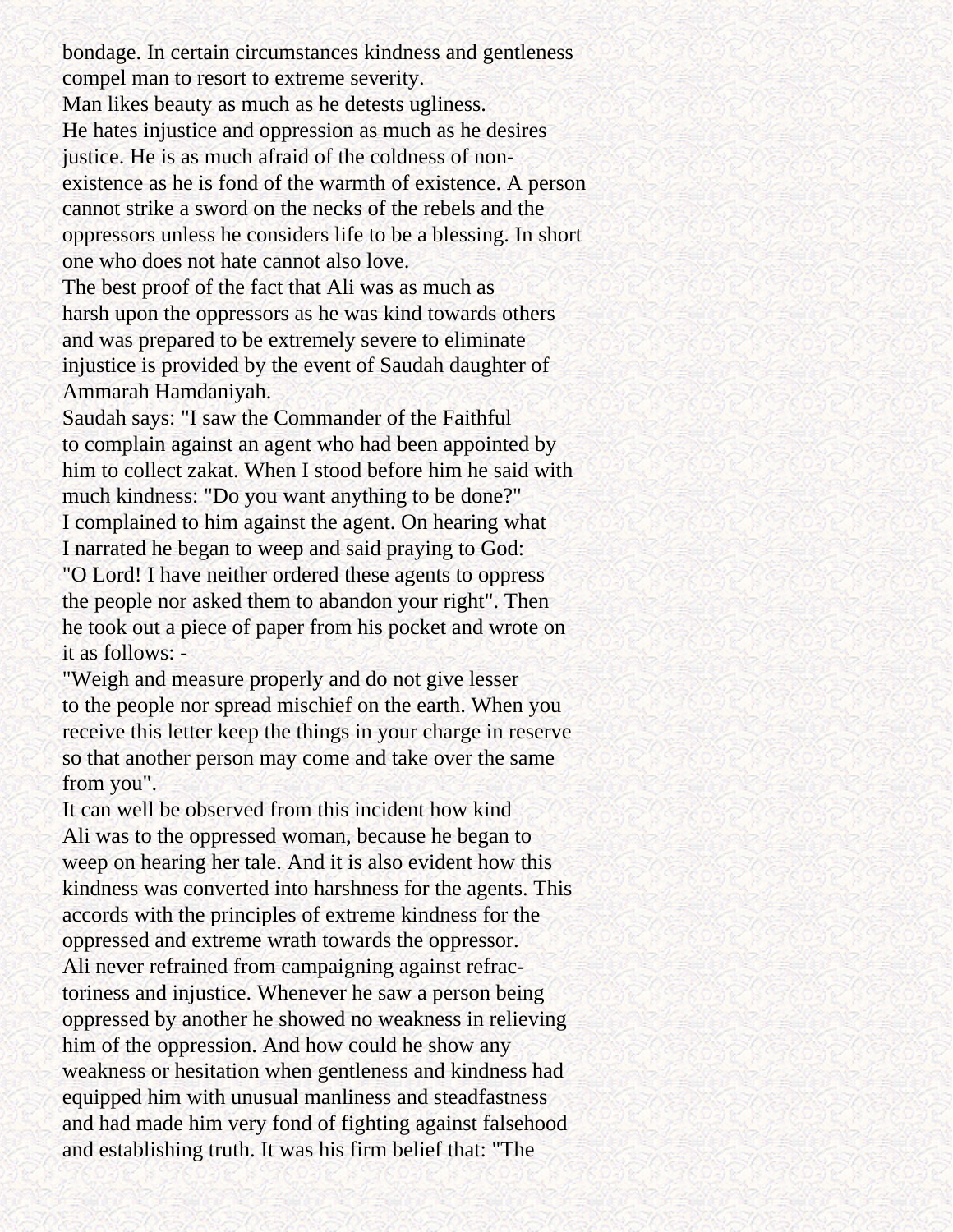bondage. In certain circumstances kindness and gentleness compel man to resort to extreme severity. Man likes beauty as much as he detests ugliness. He hates injustice and oppression as much as he desires justice. He is as much afraid of the coldness of nonexistence as he is fond of the warmth of existence. A person cannot strike a sword on the necks of the rebels and the oppressors unless he considers life to be a blessing. In short one who does not hate cannot also love.

The best proof of the fact that Ali was as much as harsh upon the oppressors as he was kind towards others and was prepared to be extremely severe to eliminate injustice is provided by the event of Saudah daughter of Ammarah Hamdaniyah.

Saudah says: "I saw the Commander of the Faithful to complain against an agent who had been appointed by him to collect zakat. When I stood before him he said with much kindness: "Do you want anything to be done?" I complained to him against the agent. On hearing what I narrated he began to weep and said praying to God:

"O Lord! I have neither ordered these agents to oppress the people nor asked them to abandon your right". Then he took out a piece of paper from his pocket and wrote on it as follows: -

"Weigh and measure properly and do not give lesser to the people nor spread mischief on the earth. When you receive this letter keep the things in your charge in reserve so that another person may come and take over the same from you".

It can well be observed from this incident how kind Ali was to the oppressed woman, because he began to weep on hearing her tale. And it is also evident how this kindness was converted into harshness for the agents. This accords with the principles of extreme kindness for the oppressed and extreme wrath towards the oppressor. Ali never refrained from campaigning against refractoriness and injustice. Whenever he saw a person being oppressed by another he showed no weakness in relieving him of the oppression. And how could he show any weakness or hesitation when gentleness and kindness had equipped him with unusual manliness and steadfastness and had made him very fond of fighting against falsehood and establishing truth. It was his firm belief that: "The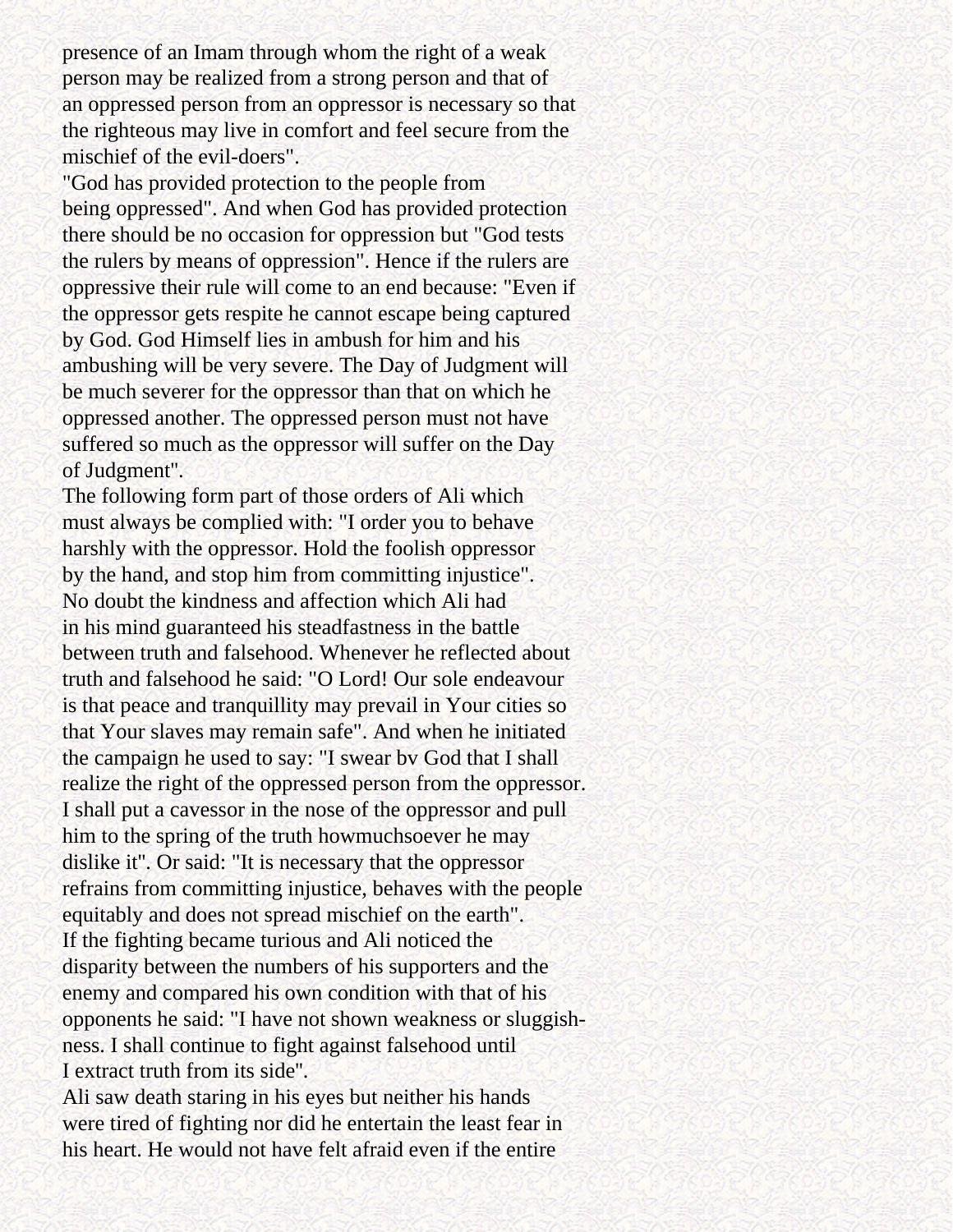presence of an Imam through whom the right of a weak person may be realized from a strong person and that of an oppressed person from an oppressor is necessary so that the righteous may live in comfort and feel secure from the mischief of the evil-doers".

"God has provided protection to the people from being oppressed". And when God has provided protection there should be no occasion for oppression but "God tests the rulers by means of oppression". Hence if the rulers are oppressive their rule will come to an end because: "Even if the oppressor gets respite he cannot escape being captured by God. God Himself lies in ambush for him and his ambushing will be very severe. The Day of Judgment will be much severer for the oppressor than that on which he oppressed another. The oppressed person must not have suffered so much as the oppressor will suffer on the Day of Judgment''.

The following form part of those orders of Ali which must always be complied with: "I order you to behave harshly with the oppressor. Hold the foolish oppressor by the hand, and stop him from committing injustice". No doubt the kindness and affection which Ali had in his mind guaranteed his steadfastness in the battle between truth and falsehood. Whenever he reflected about truth and falsehood he said: "O Lord! Our sole endeavour is that peace and tranquillity may prevail in Your cities so that Your slaves may remain safe". And when he initiated the campaign he used to say: "I swear bv God that I shall realize the right of the oppressed person from the oppressor. I shall put a cavessor in the nose of the oppressor and pull him to the spring of the truth howmuchsoever he may dislike it''. Or said: "It is necessary that the oppressor refrains from committing injustice, behaves with the people equitably and does not spread mischief on the earth". If the fighting became turious and Ali noticed the disparity between the numbers of his supporters and the enemy and compared his own condition with that of his opponents he said: "I have not shown weakness or sluggishness. I shall continue to fight against falsehood until I extract truth from its side''.

Ali saw death staring in his eyes but neither his hands were tired of fighting nor did he entertain the least fear in his heart. He would not have felt afraid even if the entire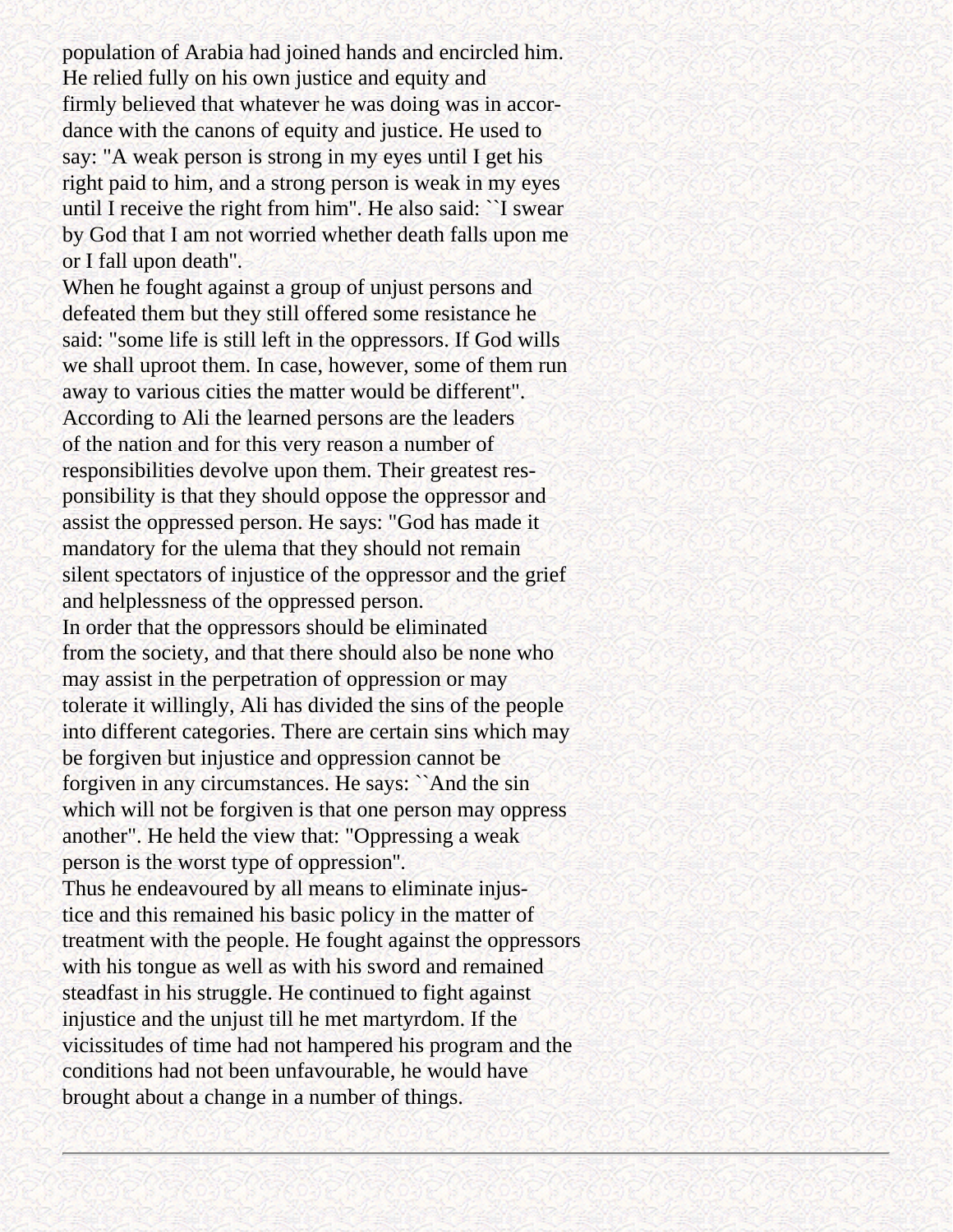population of Arabia had joined hands and encircled him. He relied fully on his own justice and equity and firmly believed that whatever he was doing was in accordance with the canons of equity and justice. He used to say: "A weak person is strong in my eyes until I get his right paid to him, and a strong person is weak in my eyes until I receive the right from him''. He also said: ``I swear by God that I am not worried whether death falls upon me or I fall upon death''.

When he fought against a group of unjust persons and defeated them but they still offered some resistance he said: "some life is still left in the oppressors. If God wills we shall uproot them. In case, however, some of them run away to various cities the matter would be different". According to Ali the learned persons are the leaders of the nation and for this very reason a number of responsibilities devolve upon them. Their greatest responsibility is that they should oppose the oppressor and assist the oppressed person. He says: "God has made it mandatory for the ulema that they should not remain silent spectators of injustice of the oppressor and the grief and helplessness of the oppressed person. In order that the oppressors should be eliminated from the society, and that there should also be none who may assist in the perpetration of oppression or may tolerate it willingly, Ali has divided the sins of the people into different categories. There are certain sins which may be forgiven but injustice and oppression cannot be forgiven in any circumstances. He says: ``And the sin which will not be forgiven is that one person may oppress another". He held the view that: "Oppressing a weak person is the worst type of oppression''. Thus he endeavoured by all means to eliminate injustice and this remained his basic policy in the matter of treatment with the people. He fought against the oppressors with his tongue as well as with his sword and remained steadfast in his struggle. He continued to fight against injustice and the unjust till he met martyrdom. If the vicissitudes of time had not hampered his program and the conditions had not been unfavourable, he would have brought about a change in a number of things.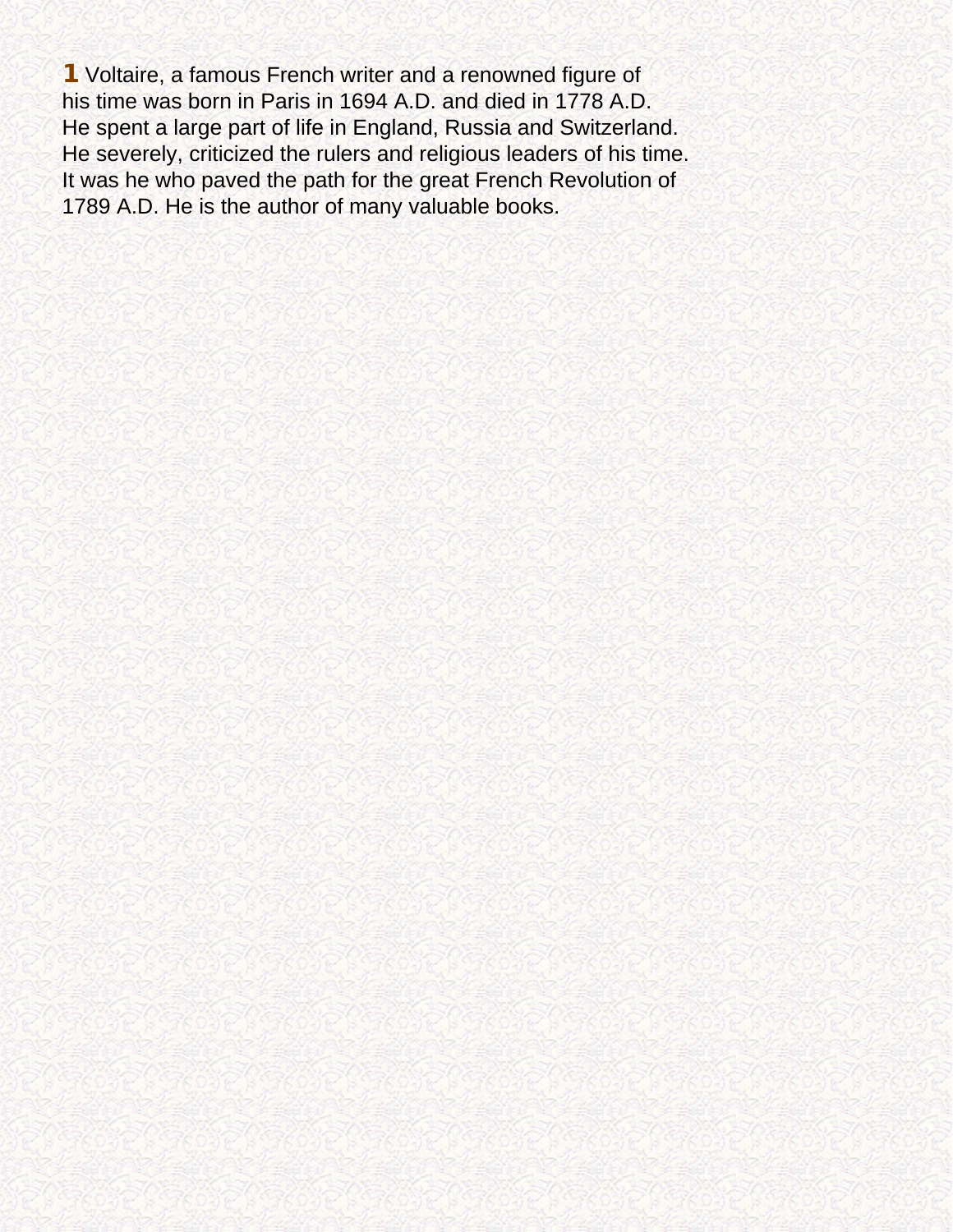1 Voltaire, a famous French writer and a renowned figure of his time was born in Paris in 1694 A.D. and died in 1778 A.D. He spent a large part of life in England, Russia and Switzerland. He severely, criticized the rulers and religious leaders of his time. It was he who paved the path for the great French Revolution of 1789 A.D. He is the author of many valuable books.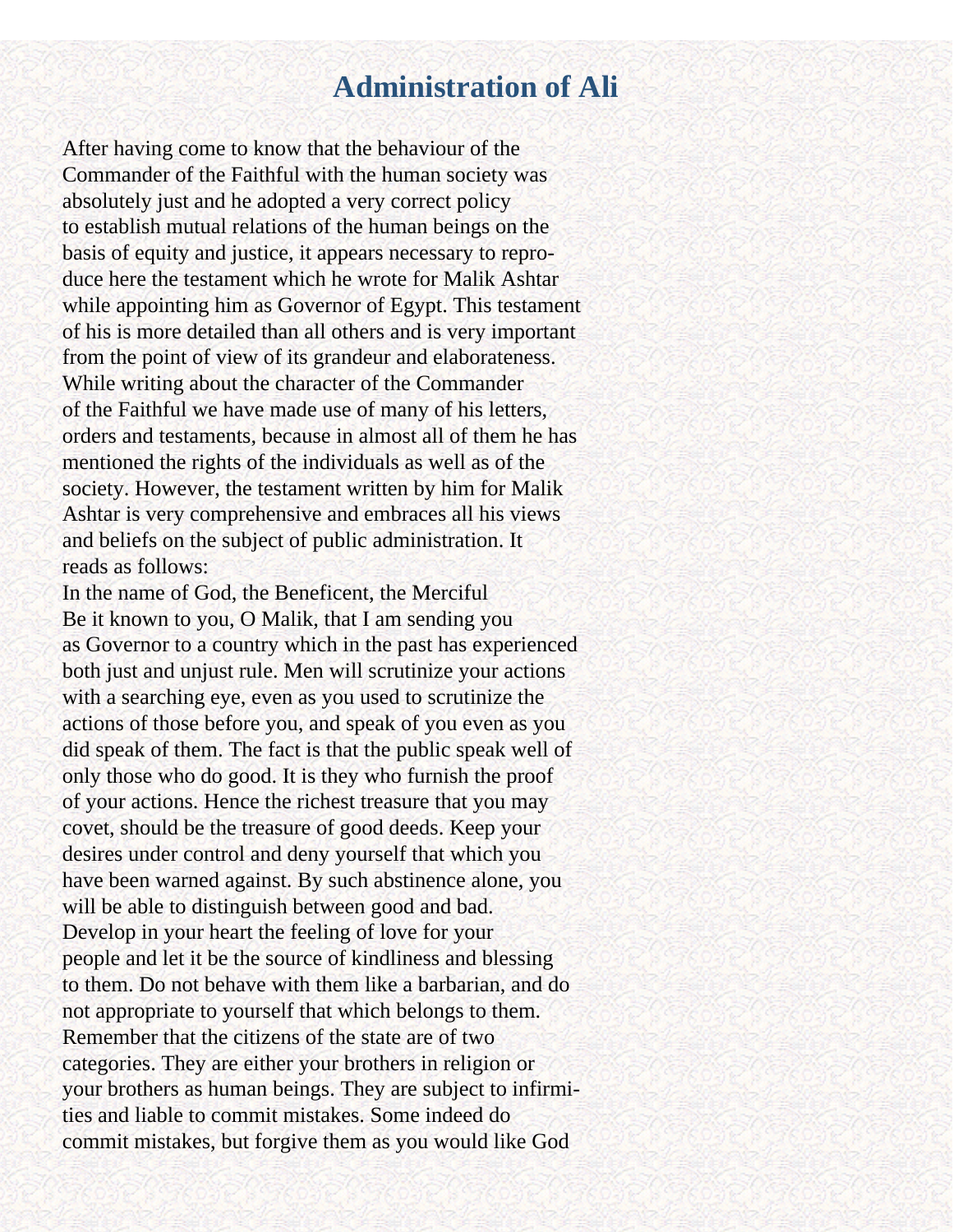# **Administration of Ali**

After having come to know that the behaviour of the Commander of the Faithful with the human society was absolutely just and he adopted a very correct policy to establish mutual relations of the human beings on the basis of equity and justice, it appears necessary to reproduce here the testament which he wrote for Malik Ashtar while appointing him as Governor of Egypt. This testament of his is more detailed than all others and is very important from the point of view of its grandeur and elaborateness. While writing about the character of the Commander of the Faithful we have made use of many of his letters, orders and testaments, because in almost all of them he has mentioned the rights of the individuals as well as of the society. However, the testament written by him for Malik Ashtar is very comprehensive and embraces all his views and beliefs on the subject of public administration. It reads as follows:

In the name of God, the Beneficent, the Merciful Be it known to you, O Malik, that I am sending you as Governor to a country which in the past has experienced both just and unjust rule. Men will scrutinize your actions with a searching eye, even as you used to scrutinize the actions of those before you, and speak of you even as you did speak of them. The fact is that the public speak well of only those who do good. It is they who furnish the proof of your actions. Hence the richest treasure that you may covet, should be the treasure of good deeds. Keep your desires under control and deny yourself that which you have been warned against. By such abstinence alone, you will be able to distinguish between good and bad. Develop in your heart the feeling of love for your people and let it be the source of kindliness and blessing to them. Do not behave with them like a barbarian, and do not appropriate to yourself that which belongs to them. Remember that the citizens of the state are of two categories. They are either your brothers in religion or your brothers as human beings. They are subject to infirmities and liable to commit mistakes. Some indeed do commit mistakes, but forgive them as you would like God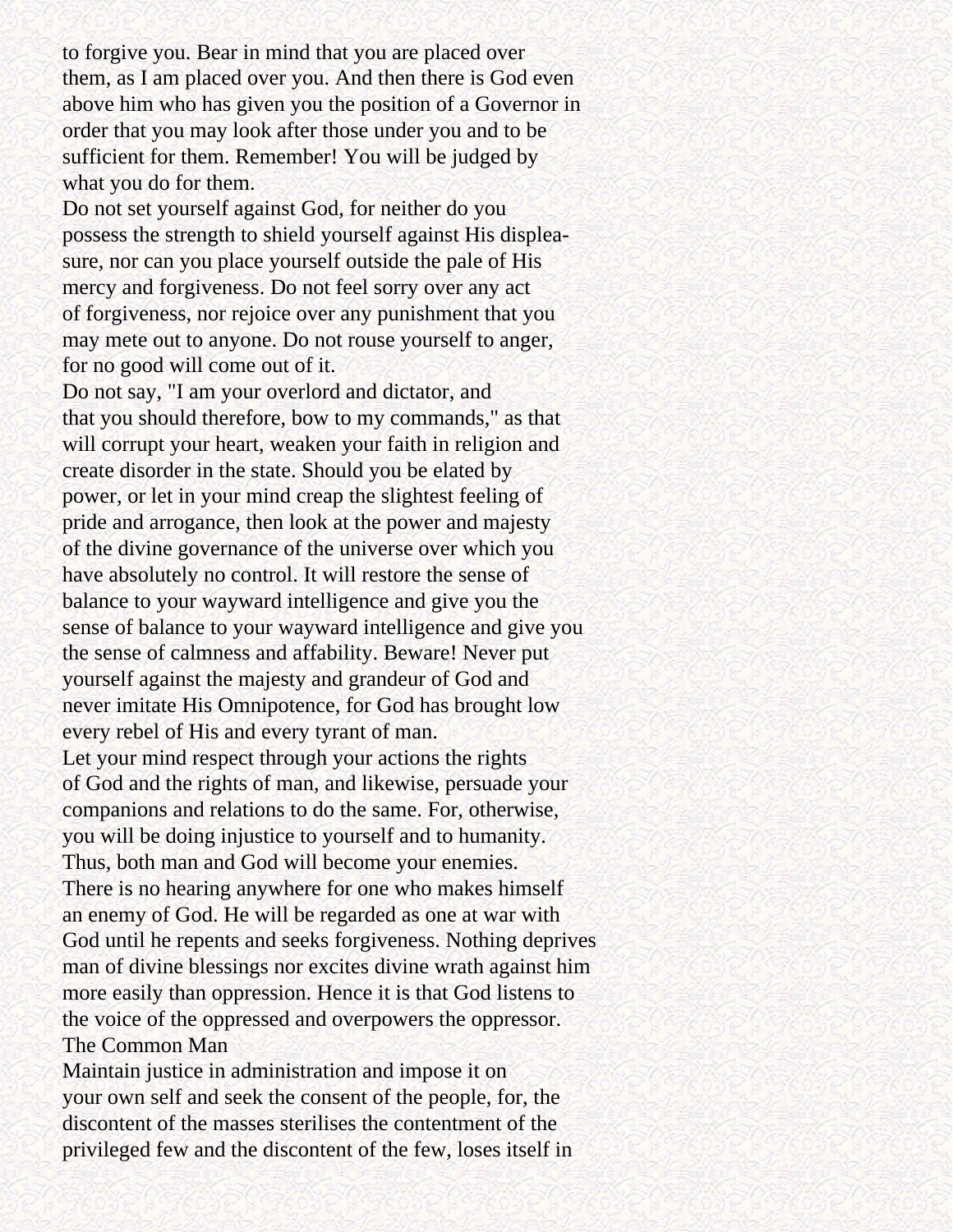to forgive you. Bear in mind that you are placed over them, as I am placed over you. And then there is God even above him who has given you the position of a Governor in order that you may look after those under you and to be sufficient for them. Remember! You will be judged by what you do for them.

Do not set yourself against God, for neither do you possess the strength to shield yourself against His displeasure, nor can you place yourself outside the pale of His mercy and forgiveness. Do not feel sorry over any act of forgiveness, nor rejoice over any punishment that you may mete out to anyone. Do not rouse yourself to anger, for no good will come out of it.

Do not say, "I am your overlord and dictator, and that you should therefore, bow to my commands," as that will corrupt your heart, weaken your faith in religion and create disorder in the state. Should you be elated by power, or let in your mind creap the slightest feeling of pride and arrogance, then look at the power and majesty of the divine governance of the universe over which you have absolutely no control. It will restore the sense of balance to your wayward intelligence and give you the sense of balance to your wayward intelligence and give you the sense of calmness and affability. Beware! Never put yourself against the majesty and grandeur of God and never imitate His Omnipotence, for God has brought low every rebel of His and every tyrant of man. Let your mind respect through your actions the rights of God and the rights of man, and likewise, persuade your companions and relations to do the same. For, otherwise, you will be doing injustice to yourself and to humanity. Thus, both man and God will become your enemies. There is no hearing anywhere for one who makes himself an enemy of God. He will be regarded as one at war with God until he repents and seeks forgiveness. Nothing deprives man of divine blessings nor excites divine wrath against him more easily than oppression. Hence it is that God listens to the voice of the oppressed and overpowers the oppressor. The Common Man

Maintain justice in administration and impose it on your own self and seek the consent of the people, for, the discontent of the masses sterilises the contentment of the privileged few and the discontent of the few, loses itself in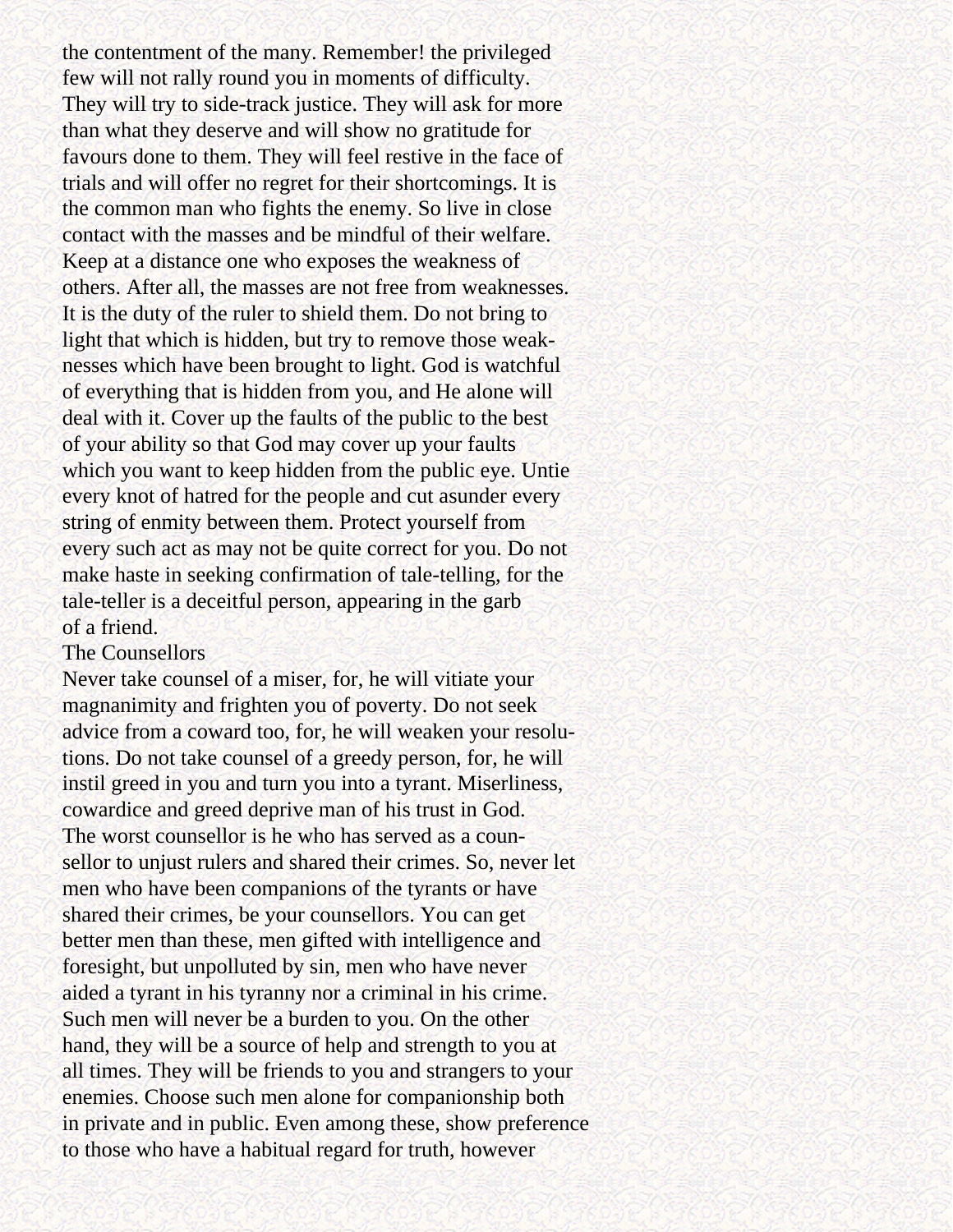the contentment of the many. Remember! the privileged few will not rally round you in moments of difficulty. They will try to side-track justice. They will ask for more than what they deserve and will show no gratitude for favours done to them. They will feel restive in the face of trials and will offer no regret for their shortcomings. It is the common man who fights the enemy. So live in close contact with the masses and be mindful of their welfare. Keep at a distance one who exposes the weakness of others. After all, the masses are not free from weaknesses. It is the duty of the ruler to shield them. Do not bring to light that which is hidden, but try to remove those weaknesses which have been brought to light. God is watchful of everything that is hidden from you, and He alone will deal with it. Cover up the faults of the public to the best of your ability so that God may cover up your faults which you want to keep hidden from the public eye. Untie every knot of hatred for the people and cut asunder every string of enmity between them. Protect yourself from every such act as may not be quite correct for you. Do not make haste in seeking confirmation of tale-telling, for the tale-teller is a deceitful person, appearing in the garb of a friend.

#### The Counsellors

Never take counsel of a miser, for, he will vitiate your magnanimity and frighten you of poverty. Do not seek advice from a coward too, for, he will weaken your resolutions. Do not take counsel of a greedy person, for, he will instil greed in you and turn you into a tyrant. Miserliness, cowardice and greed deprive man of his trust in God. The worst counsellor is he who has served as a counsellor to unjust rulers and shared their crimes. So, never let men who have been companions of the tyrants or have shared their crimes, be your counsellors. You can get better men than these, men gifted with intelligence and foresight, but unpolluted by sin, men who have never aided a tyrant in his tyranny nor a criminal in his crime. Such men will never be a burden to you. On the other hand, they will be a source of help and strength to you at all times. They will be friends to you and strangers to your enemies. Choose such men alone for companionship both in private and in public. Even among these, show preference to those who have a habitual regard for truth, however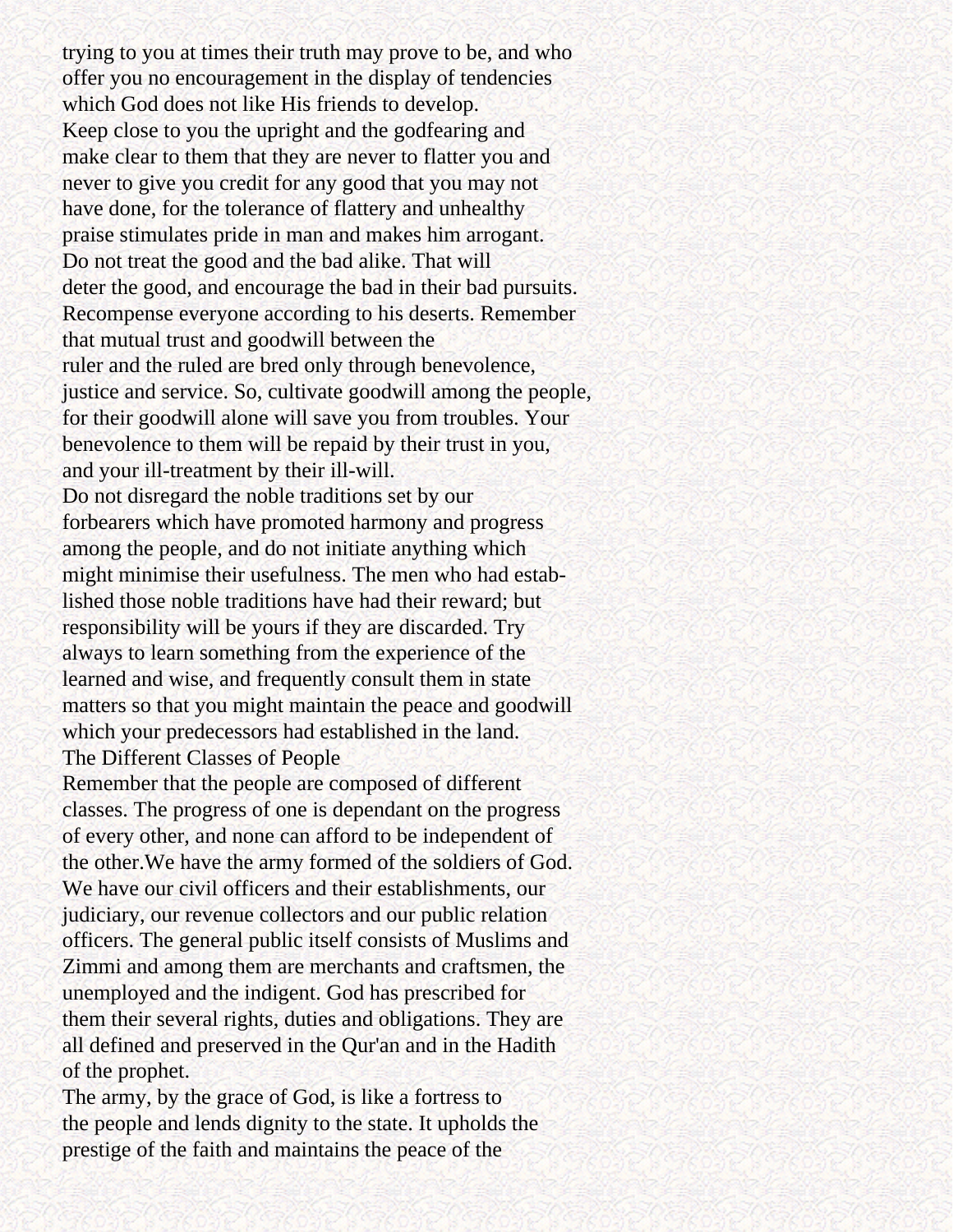trying to you at times their truth may prove to be, and who offer you no encouragement in the display of tendencies which God does not like His friends to develop. Keep close to you the upright and the godfearing and make clear to them that they are never to flatter you and never to give you credit for any good that you may not have done, for the tolerance of flattery and unhealthy praise stimulates pride in man and makes him arrogant. Do not treat the good and the bad alike. That will deter the good, and encourage the bad in their bad pursuits. Recompense everyone according to his deserts. Remember that mutual trust and goodwill between the ruler and the ruled are bred only through benevolence, justice and service. So, cultivate goodwill among the people, for their goodwill alone will save you from troubles. Your benevolence to them will be repaid by their trust in you, and your ill-treatment by their ill-will. Do not disregard the noble traditions set by our forbearers which have promoted harmony and progress among the people, and do not initiate anything which might minimise their usefulness. The men who had established those noble traditions have had their reward; but responsibility will be yours if they are discarded. Try always to learn something from the experience of the learned and wise, and frequently consult them in state matters so that you might maintain the peace and goodwill which your predecessors had established in the land. The Different Classes of People

Remember that the people are composed of different classes. The progress of one is dependant on the progress of every other, and none can afford to be independent of the other.We have the army formed of the soldiers of God. We have our civil officers and their establishments, our judiciary, our revenue collectors and our public relation officers. The general public itself consists of Muslims and Zimmi and among them are merchants and craftsmen, the unemployed and the indigent. God has prescribed for them their several rights, duties and obligations. They are all defined and preserved in the Qur'an and in the Hadith of the prophet.

The army, by the grace of God, is like a fortress to the people and lends dignity to the state. It upholds the prestige of the faith and maintains the peace of the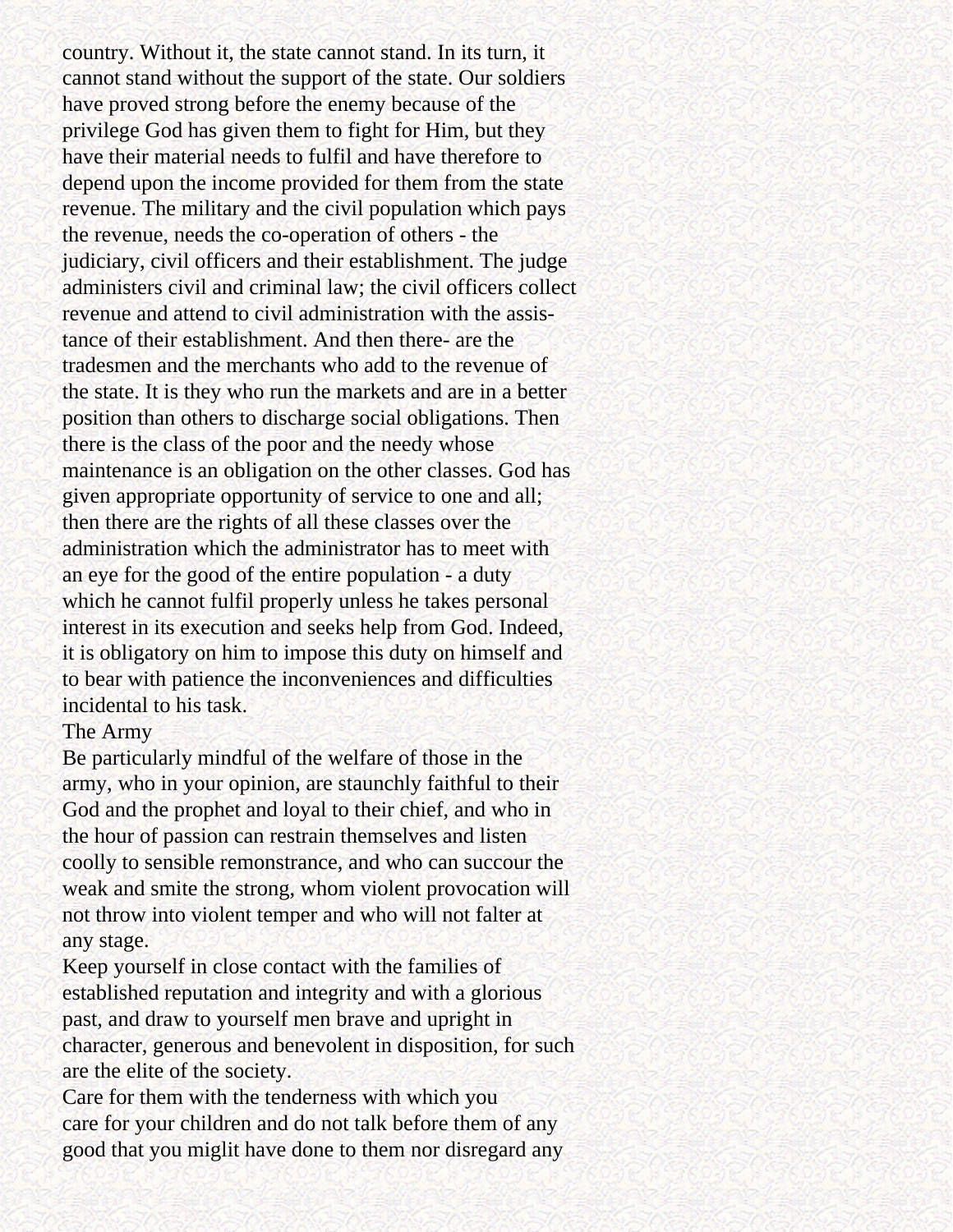country. Without it, the state cannot stand. In its turn, it cannot stand without the support of the state. Our soldiers have proved strong before the enemy because of the privilege God has given them to fight for Him, but they have their material needs to fulfil and have therefore to depend upon the income provided for them from the state revenue. The military and the civil population which pays the revenue, needs the co-operation of others - the judiciary, civil officers and their establishment. The judge administers civil and criminal law; the civil officers collect revenue and attend to civil administration with the assistance of their establishment. And then there- are the tradesmen and the merchants who add to the revenue of the state. It is they who run the markets and are in a better position than others to discharge social obligations. Then there is the class of the poor and the needy whose maintenance is an obligation on the other classes. God has given appropriate opportunity of service to one and all; then there are the rights of all these classes over the administration which the administrator has to meet with an eye for the good of the entire population - a duty which he cannot fulfil properly unless he takes personal interest in its execution and seeks help from God. Indeed, it is obligatory on him to impose this duty on himself and to bear with patience the inconveniences and difficulties incidental to his task.

## The Army

Be particularly mindful of the welfare of those in the army, who in your opinion, are staunchly faithful to their God and the prophet and loyal to their chief, and who in the hour of passion can restrain themselves and listen coolly to sensible remonstrance, and who can succour the weak and smite the strong, whom violent provocation will not throw into violent temper and who will not falter at any stage.

Keep yourself in close contact with the families of established reputation and integrity and with a glorious past, and draw to yourself men brave and upright in character, generous and benevolent in disposition, for such are the elite of the society.

Care for them with the tenderness with which you care for your children and do not talk before them of any good that you miglit have done to them nor disregard any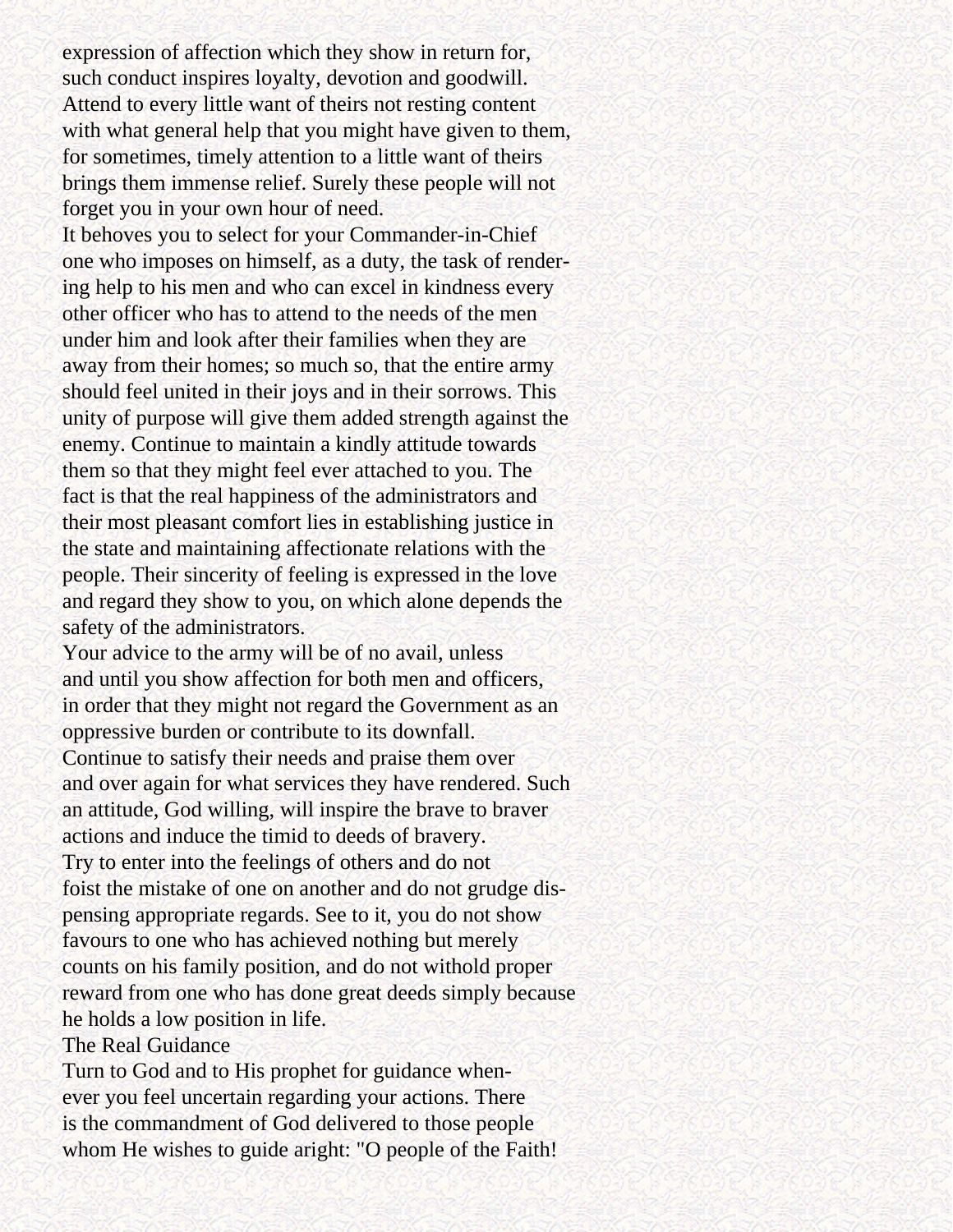expression of affection which they show in return for, such conduct inspires loyalty, devotion and goodwill. Attend to every little want of theirs not resting content with what general help that you might have given to them, for sometimes, timely attention to a little want of theirs brings them immense relief. Surely these people will not forget you in your own hour of need.

It behoves you to select for your Commander-in-Chief one who imposes on himself, as a duty, the task of rendering help to his men and who can excel in kindness every other officer who has to attend to the needs of the men under him and look after their families when they are away from their homes; so much so, that the entire army should feel united in their joys and in their sorrows. This unity of purpose will give them added strength against the enemy. Continue to maintain a kindly attitude towards them so that they might feel ever attached to you. The fact is that the real happiness of the administrators and their most pleasant comfort lies in establishing justice in the state and maintaining affectionate relations with the people. Their sincerity of feeling is expressed in the love and regard they show to you, on which alone depends the safety of the administrators.

Your advice to the army will be of no avail, unless and until you show affection for both men and officers, in order that they might not regard the Government as an oppressive burden or contribute to its downfall. Continue to satisfy their needs and praise them over and over again for what services they have rendered. Such an attitude, God willing, will inspire the brave to braver actions and induce the timid to deeds of bravery. Try to enter into the feelings of others and do not foist the mistake of one on another and do not grudge dispensing appropriate regards. See to it, you do not show favours to one who has achieved nothing but merely counts on his family position, and do not withold proper reward from one who has done great deeds simply because he holds a low position in life.

#### The Real Guidance

Turn to God and to His prophet for guidance whenever you feel uncertain regarding your actions. There is the commandment of God delivered to those people whom He wishes to guide aright: "O people of the Faith!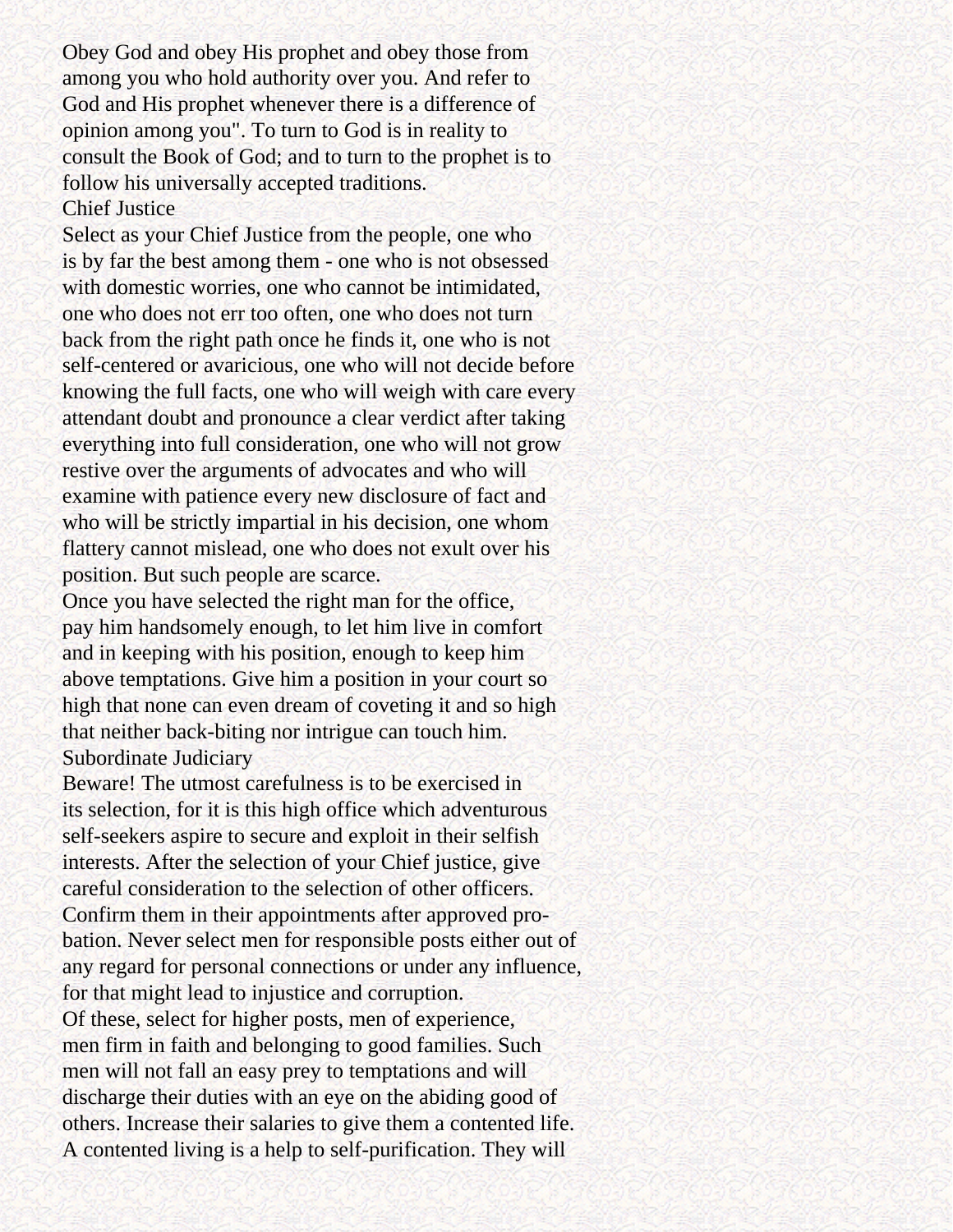Obey God and obey His prophet and obey those from among you who hold authority over you. And refer to God and His prophet whenever there is a difference of opinion among you". To turn to God is in reality to consult the Book of God; and to turn to the prophet is to follow his universally accepted traditions. Chief Justice

Select as your Chief Justice from the people, one who is by far the best among them - one who is not obsessed with domestic worries, one who cannot be intimidated, one who does not err too often, one who does not turn back from the right path once he finds it, one who is not self-centered or avaricious, one who will not decide before knowing the full facts, one who will weigh with care every attendant doubt and pronounce a clear verdict after taking everything into full consideration, one who will not grow restive over the arguments of advocates and who will examine with patience every new disclosure of fact and who will be strictly impartial in his decision, one whom flattery cannot mislead, one who does not exult over his position. But such people are scarce.

Once you have selected the right man for the office, pay him handsomely enough, to let him live in comfort and in keeping with his position, enough to keep him above temptations. Give him a position in your court so high that none can even dream of coveting it and so high that neither back-biting nor intrigue can touch him. Subordinate Judiciary

Beware! The utmost carefulness is to be exercised in its selection, for it is this high office which adventurous self-seekers aspire to secure and exploit in their selfish interests. After the selection of your Chief justice, give careful consideration to the selection of other officers. Confirm them in their appointments after approved pro-

bation. Never select men for responsible posts either out of any regard for personal connections or under any influence, for that might lead to injustice and corruption.

Of these, select for higher posts, men of experience, men firm in faith and belonging to good families. Such men will not fall an easy prey to temptations and will discharge their duties with an eye on the abiding good of others. Increase their salaries to give them a contented life. A contented living is a help to self-purification. They will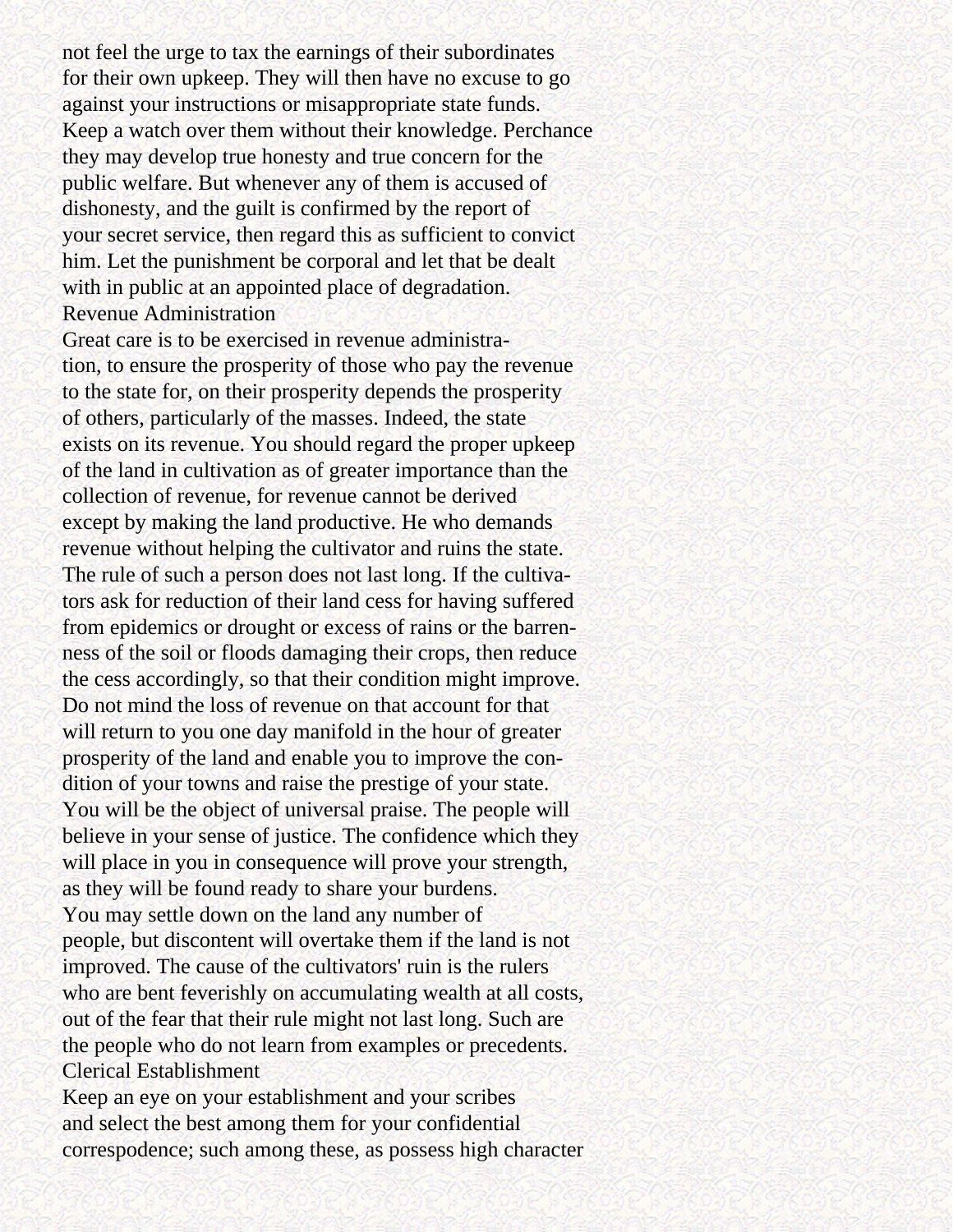not feel the urge to tax the earnings of their subordinates for their own upkeep. They will then have no excuse to go against your instructions or misappropriate state funds. Keep a watch over them without their knowledge. Perchance they may develop true honesty and true concern for the public welfare. But whenever any of them is accused of dishonesty, and the guilt is confirmed by the report of your secret service, then regard this as sufficient to convict him. Let the punishment be corporal and let that be dealt with in public at an appointed place of degradation. Revenue Administration

Great care is to be exercised in revenue administration, to ensure the prosperity of those who pay the revenue to the state for, on their prosperity depends the prosperity of others, particularly of the masses. Indeed, the state exists on its revenue. You should regard the proper upkeep of the land in cultivation as of greater importance than the collection of revenue, for revenue cannot be derived except by making the land productive. He who demands revenue without helping the cultivator and ruins the state. The rule of such a person does not last long. If the cultivators ask for reduction of their land cess for having suffered from epidemics or drought or excess of rains or the barrenness of the soil or floods damaging their crops, then reduce the cess accordingly, so that their condition might improve. Do not mind the loss of revenue on that account for that will return to you one day manifold in the hour of greater prosperity of the land and enable you to improve the condition of your towns and raise the prestige of your state. You will be the object of universal praise. The people will believe in your sense of justice. The confidence which they will place in you in consequence will prove your strength, as they will be found ready to share your burdens. You may settle down on the land any number of people, but discontent will overtake them if the land is not improved. The cause of the cultivators' ruin is the rulers who are bent feverishly on accumulating wealth at all costs, out of the fear that their rule might not last long. Such are the people who do not learn from examples or precedents. Clerical Establishment

Keep an eye on your establishment and your scribes and select the best among them for your confidential correspodence; such among these, as possess high character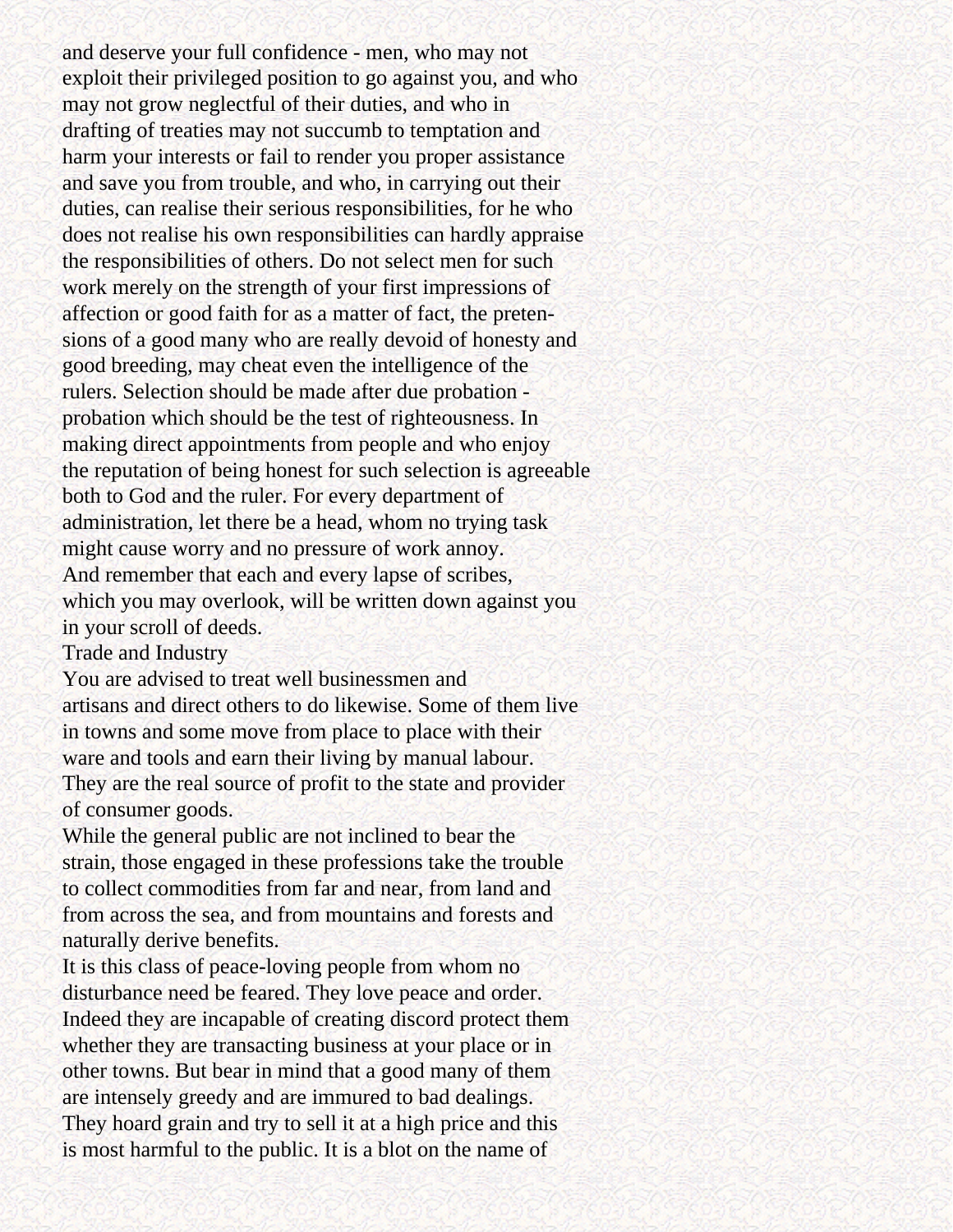and deserve your full confidence - men, who may not exploit their privileged position to go against you, and who may not grow neglectful of their duties, and who in drafting of treaties may not succumb to temptation and harm your interests or fail to render you proper assistance and save you from trouble, and who, in carrying out their duties, can realise their serious responsibilities, for he who does not realise his own responsibilities can hardly appraise the responsibilities of others. Do not select men for such work merely on the strength of your first impressions of affection or good faith for as a matter of fact, the pretensions of a good many who are really devoid of honesty and good breeding, may cheat even the intelligence of the rulers. Selection should be made after due probation probation which should be the test of righteousness. In making direct appointments from people and who enjoy the reputation of being honest for such selection is agreeable both to God and the ruler. For every department of administration, let there be a head, whom no trying task might cause worry and no pressure of work annoy. And remember that each and every lapse of scribes, which you may overlook, will be written down against you in your scroll of deeds.

Trade and Industry

You are advised to treat well businessmen and artisans and direct others to do likewise. Some of them live in towns and some move from place to place with their ware and tools and earn their living by manual labour. They are the real source of profit to the state and provider of consumer goods.

While the general public are not inclined to bear the strain, those engaged in these professions take the trouble to collect commodities from far and near, from land and from across the sea, and from mountains and forests and naturally derive benefits.

It is this class of peace-loving people from whom no disturbance need be feared. They love peace and order. Indeed they are incapable of creating discord protect them whether they are transacting business at your place or in other towns. But bear in mind that a good many of them are intensely greedy and are immured to bad dealings. They hoard grain and try to sell it at a high price and this is most harmful to the public. It is a blot on the name of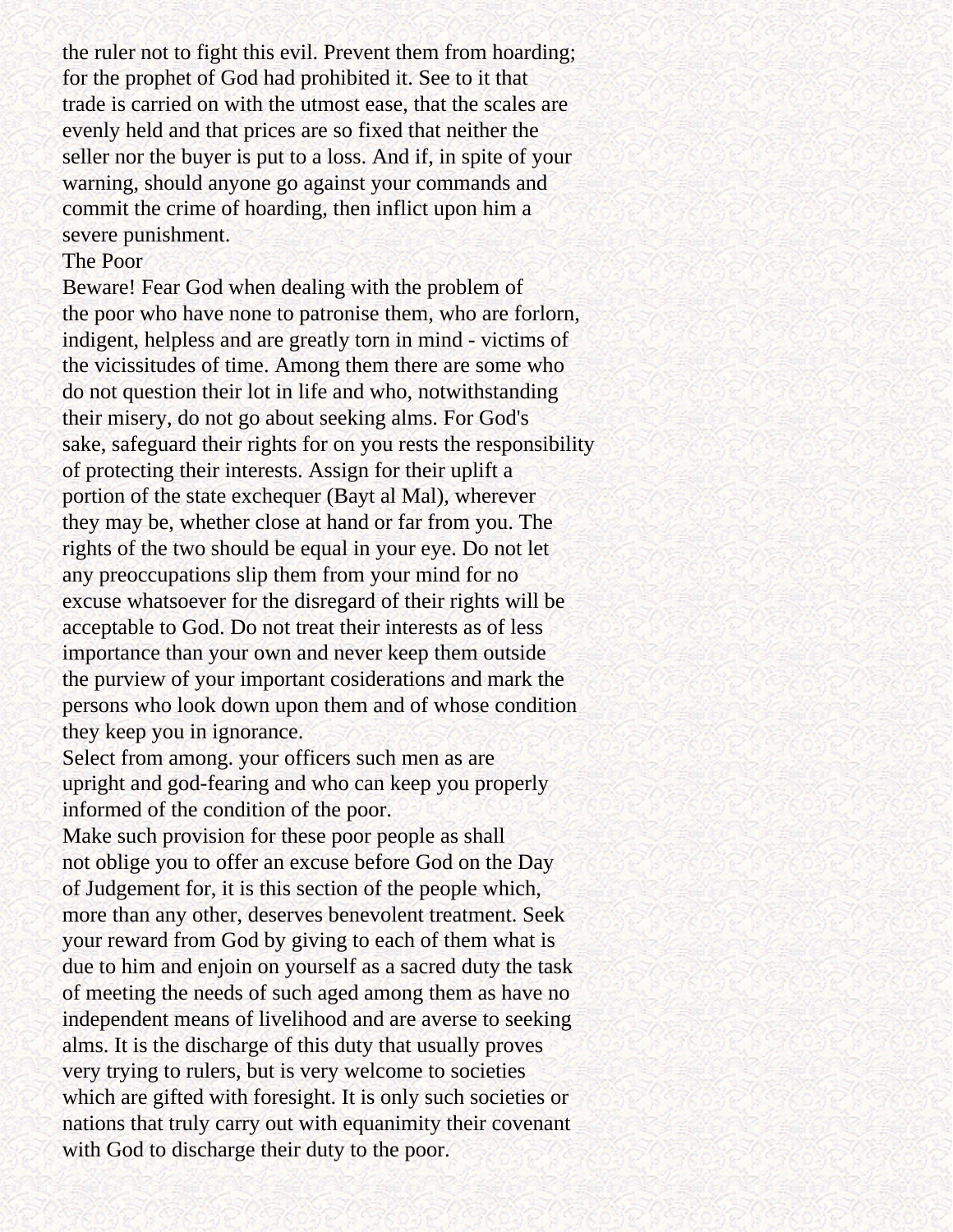the ruler not to fight this evil. Prevent them from hoarding; for the prophet of God had prohibited it. See to it that trade is carried on with the utmost ease, that the scales are evenly held and that prices are so fixed that neither the seller nor the buyer is put to a loss. And if, in spite of your warning, should anyone go against your commands and commit the crime of hoarding, then inflict upon him a severe punishment.

### The Poor

Beware! Fear God when dealing with the problem of the poor who have none to patronise them, who are forlorn, indigent, helpless and are greatly torn in mind - victims of the vicissitudes of time. Among them there are some who do not question their lot in life and who, notwithstanding their misery, do not go about seeking alms. For God's sake, safeguard their rights for on you rests the responsibility of protecting their interests. Assign for their uplift a portion of the state exchequer (Bayt al Mal), wherever they may be, whether close at hand or far from you. The rights of the two should be equal in your eye. Do not let any preoccupations slip them from your mind for no excuse whatsoever for the disregard of their rights will be acceptable to God. Do not treat their interests as of less importance than your own and never keep them outside the purview of your important cosiderations and mark the persons who look down upon them and of whose condition they keep you in ignorance.

Select from among. your officers such men as are upright and god-fearing and who can keep you properly informed of the condition of the poor.

Make such provision for these poor people as shall not oblige you to offer an excuse before God on the Day of Judgement for, it is this section of the people which, more than any other, deserves benevolent treatment. Seek your reward from God by giving to each of them what is due to him and enjoin on yourself as a sacred duty the task of meeting the needs of such aged among them as have no independent means of livelihood and are averse to seeking alms. It is the discharge of this duty that usually proves very trying to rulers, but is very welcome to societies which are gifted with foresight. It is only such societies or nations that truly carry out with equanimity their covenant with God to discharge their duty to the poor.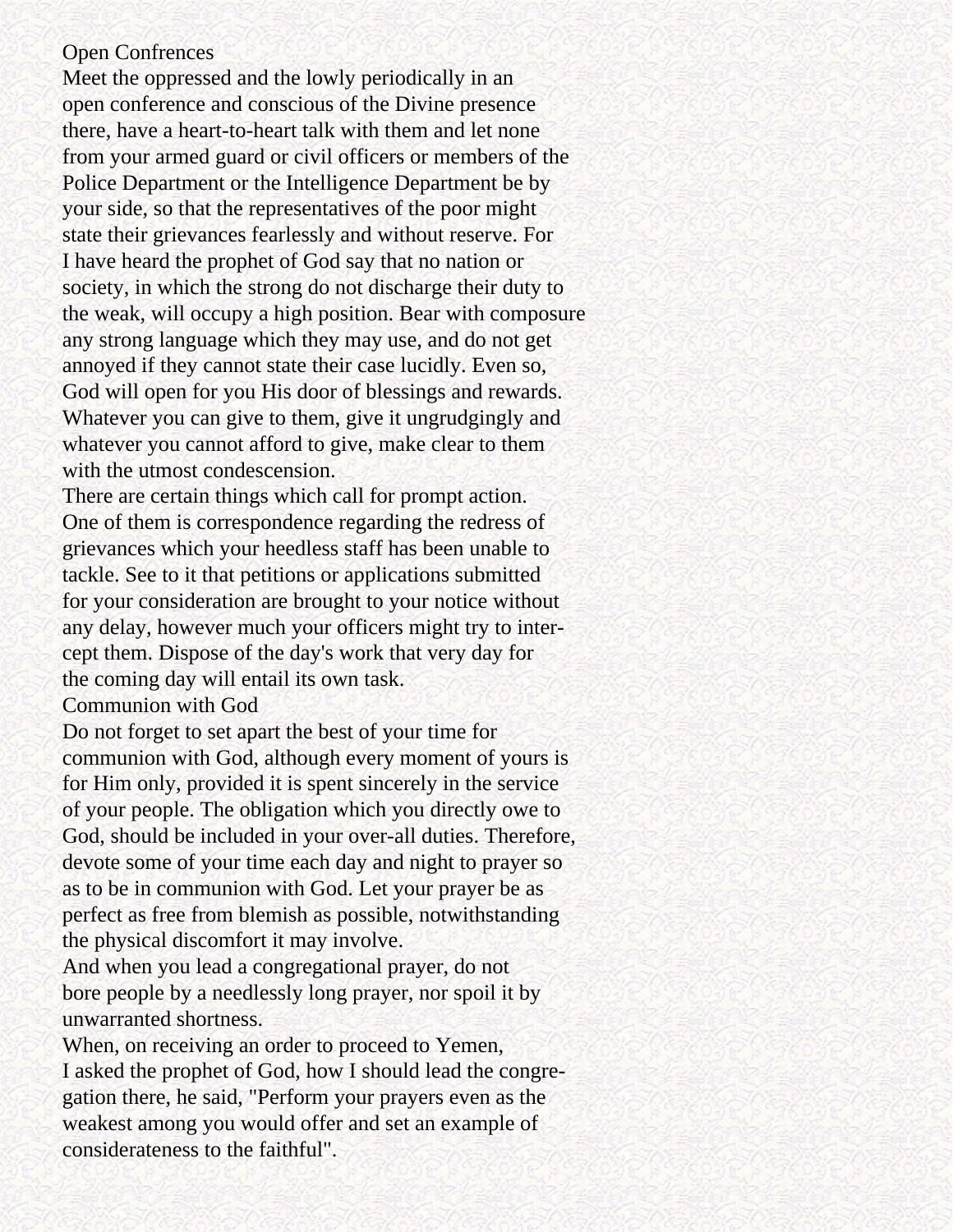## Open Confrences

Meet the oppressed and the lowly periodically in an open conference and conscious of the Divine presence there, have a heart-to-heart talk with them and let none from your armed guard or civil officers or members of the Police Department or the Intelligence Department be by your side, so that the representatives of the poor might state their grievances fearlessly and without reserve. For I have heard the prophet of God say that no nation or society, in which the strong do not discharge their duty to the weak, will occupy a high position. Bear with composure any strong language which they may use, and do not get annoyed if they cannot state their case lucidly. Even so, God will open for you His door of blessings and rewards. Whatever you can give to them, give it ungrudgingly and whatever you cannot afford to give, make clear to them with the utmost condescension.

There are certain things which call for prompt action. One of them is correspondence regarding the redress of grievances which your heedless staff has been unable to tackle. See to it that petitions or applications submitted for your consideration are brought to your notice without any delay, however much your officers might try to intercept them. Dispose of the day's work that very day for the coming day will entail its own task.

### Communion with God

Do not forget to set apart the best of your time for communion with God, although every moment of yours is for Him only, provided it is spent sincerely in the service of your people. The obligation which you directly owe to God, should be included in your over-all duties. Therefore, devote some of your time each day and night to prayer so as to be in communion with God. Let your prayer be as perfect as free from blemish as possible, notwithstanding the physical discomfort it may involve.

And when you lead a congregational prayer, do not bore people by a needlessly long prayer, nor spoil it by unwarranted shortness.

When, on receiving an order to proceed to Yemen, I asked the prophet of God, how I should lead the congregation there, he said, "Perform your prayers even as the weakest among you would offer and set an example of considerateness to the faithful".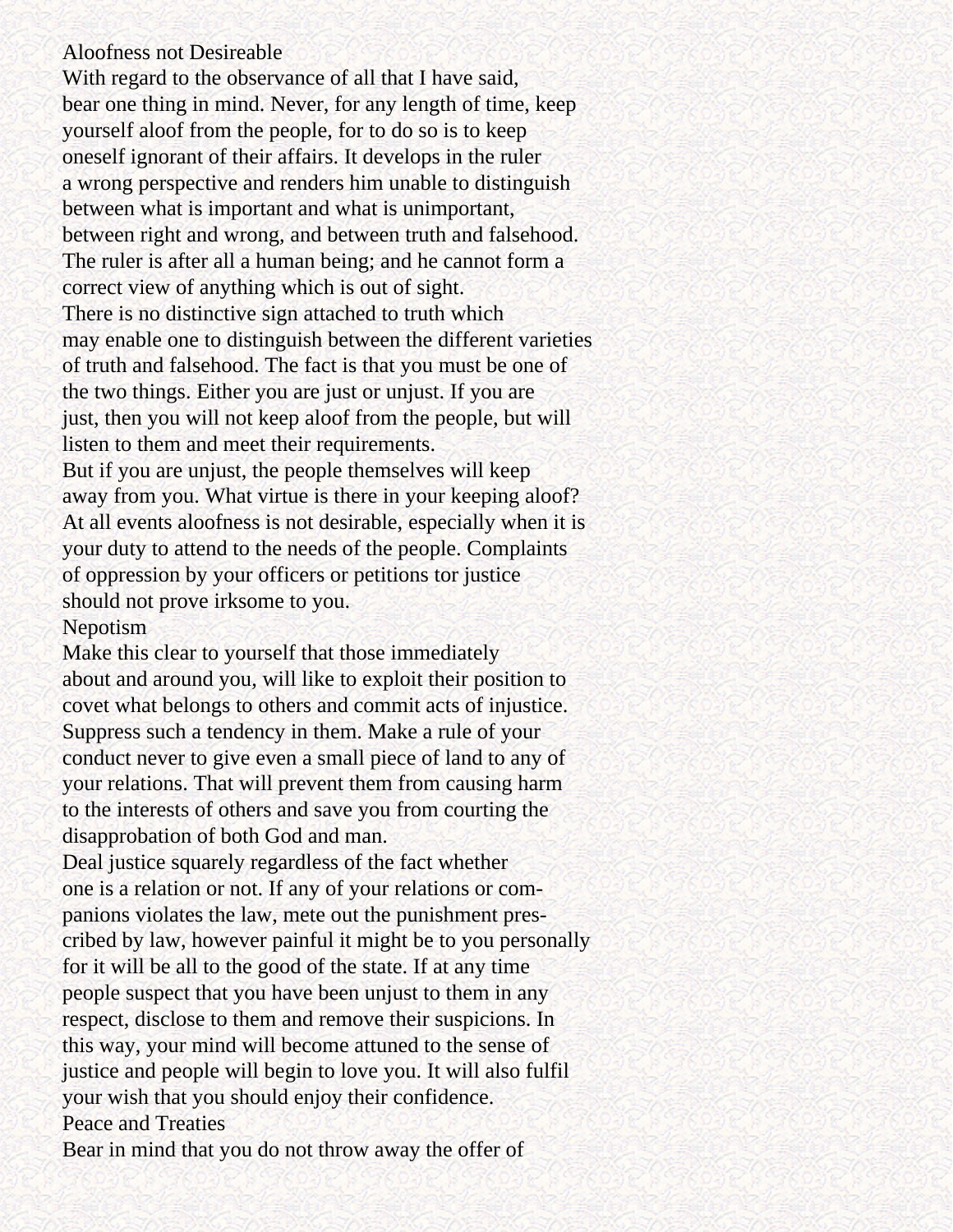## Aloofness not Desireable

With regard to the observance of all that I have said, bear one thing in mind. Never, for any length of time, keep yourself aloof from the people, for to do so is to keep oneself ignorant of their affairs. It develops in the ruler a wrong perspective and renders him unable to distinguish between what is important and what is unimportant, between right and wrong, and between truth and falsehood. The ruler is after all a human being; and he cannot form a correct view of anything which is out of sight. There is no distinctive sign attached to truth which may enable one to distinguish between the different varieties of truth and falsehood. The fact is that you must be one of the two things. Either you are just or unjust. If you are just, then you will not keep aloof from the people, but will listen to them and meet their requirements. But if you are unjust, the people themselves will keep away from you. What virtue is there in your keeping aloof? At all events aloofness is not desirable, especially when it is

your duty to attend to the needs of the people. Complaints of oppression by your officers or petitions tor justice should not prove irksome to you.

Nepotism

Make this clear to yourself that those immediately about and around you, will like to exploit their position to covet what belongs to others and commit acts of injustice. Suppress such a tendency in them. Make a rule of your conduct never to give even a small piece of land to any of your relations. That will prevent them from causing harm to the interests of others and save you from courting the disapprobation of both God and man.

Deal justice squarely regardless of the fact whether one is a relation or not. If any of your relations or companions violates the law, mete out the punishment prescribed by law, however painful it might be to you personally for it will be all to the good of the state. If at any time people suspect that you have been unjust to them in any respect, disclose to them and remove their suspicions. In this way, your mind will become attuned to the sense of justice and people will begin to love you. It will also fulfil your wish that you should enjoy their confidence. Peace and Treaties

Bear in mind that you do not throw away the offer of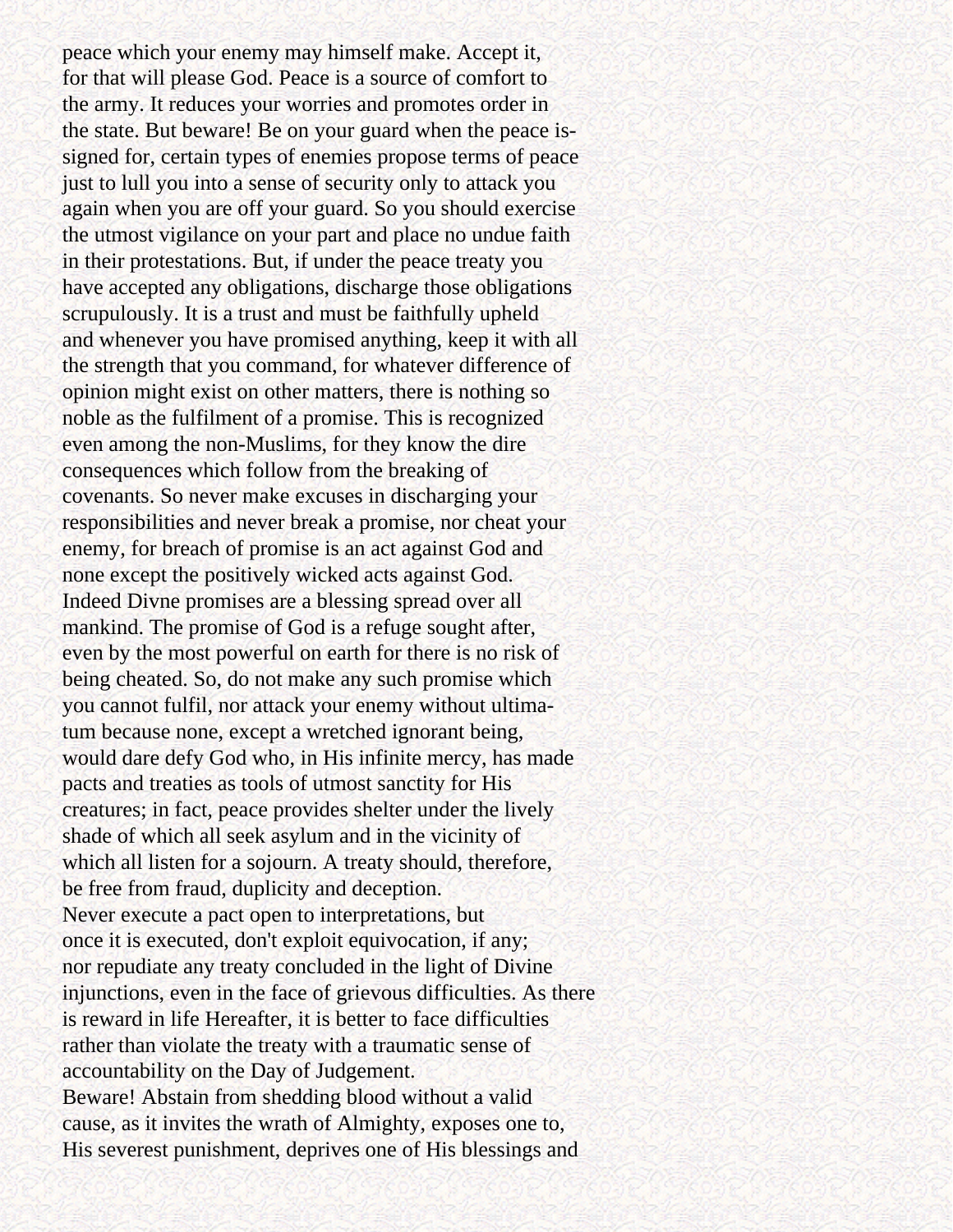peace which your enemy may himself make. Accept it, for that will please God. Peace is a source of comfort to the army. It reduces your worries and promotes order in the state. But beware! Be on your guard when the peace issigned for, certain types of enemies propose terms of peace just to lull you into a sense of security only to attack you again when you are off your guard. So you should exercise the utmost vigilance on your part and place no undue faith in their protestations. But, if under the peace treaty you have accepted any obligations, discharge those obligations scrupulously. It is a trust and must be faithfully upheld and whenever you have promised anything, keep it with all the strength that you command, for whatever difference of opinion might exist on other matters, there is nothing so noble as the fulfilment of a promise. This is recognized even among the non-Muslims, for they know the dire consequences which follow from the breaking of covenants. So never make excuses in discharging your responsibilities and never break a promise, nor cheat your enemy, for breach of promise is an act against God and none except the positively wicked acts against God. Indeed Divne promises are a blessing spread over all mankind. The promise of God is a refuge sought after, even by the most powerful on earth for there is no risk of being cheated. So, do not make any such promise which you cannot fulfil, nor attack your enemy without ultimatum because none, except a wretched ignorant being, would dare defy God who, in His infinite mercy, has made pacts and treaties as tools of utmost sanctity for His creatures; in fact, peace provides shelter under the lively shade of which all seek asylum and in the vicinity of which all listen for a sojourn. A treaty should, therefore, be free from fraud, duplicity and deception. Never execute a pact open to interpretations, but once it is executed, don't exploit equivocation, if any; nor repudiate any treaty concluded in the light of Divine injunctions, even in the face of grievous difficulties. As there is reward in life Hereafter, it is better to face difficulties rather than violate the treaty with a traumatic sense of accountability on the Day of Judgement. Beware! Abstain from shedding blood without a valid cause, as it invites the wrath of Almighty, exposes one to, His severest punishment, deprives one of His blessings and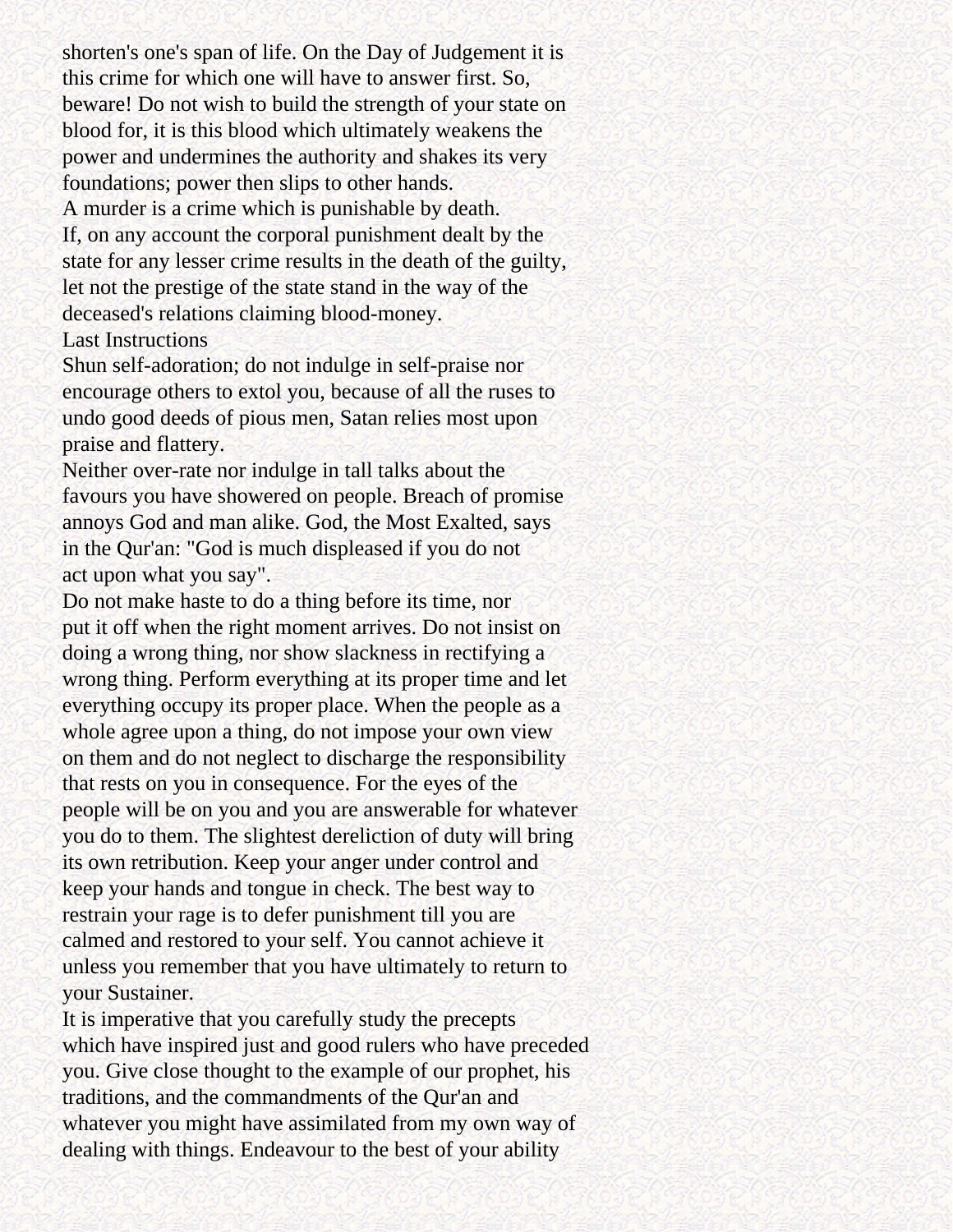shorten's one's span of life. On the Day of Judgement it is this crime for which one will have to answer first. So, beware! Do not wish to build the strength of your state on blood for, it is this blood which ultimately weakens the power and undermines the authority and shakes its very foundations; power then slips to other hands. A murder is a crime which is punishable by death. If, on any account the corporal punishment dealt by the state for any lesser crime results in the death of the guilty, let not the prestige of the state stand in the way of the deceased's relations claiming blood-money. Last Instructions

Shun self-adoration; do not indulge in self-praise nor encourage others to extol you, because of all the ruses to undo good deeds of pious men, Satan relies most upon praise and flattery.

Neither over-rate nor indulge in tall talks about the favours you have showered on people. Breach of promise annoys God and man alike. God, the Most Exalted, says in the Qur'an: "God is much displeased if you do not act upon what you say".

Do not make haste to do a thing before its time, nor put it off when the right moment arrives. Do not insist on doing a wrong thing, nor show slackness in rectifying a wrong thing. Perform everything at its proper time and let everything occupy its proper place. When the people as a whole agree upon a thing, do not impose your own view on them and do not neglect to discharge the responsibility that rests on you in consequence. For the eyes of the people will be on you and you are answerable for whatever you do to them. The slightest dereliction of duty will bring its own retribution. Keep your anger under control and keep your hands and tongue in check. The best way to restrain your rage is to defer punishment till you are calmed and restored to your self. You cannot achieve it unless you remember that you have ultimately to return to your Sustainer.

It is imperative that you carefully study the precepts which have inspired just and good rulers who have preceded you. Give close thought to the example of our prophet, his traditions, and the commandments of the Qur'an and whatever you might have assimilated from my own way of dealing with things. Endeavour to the best of your ability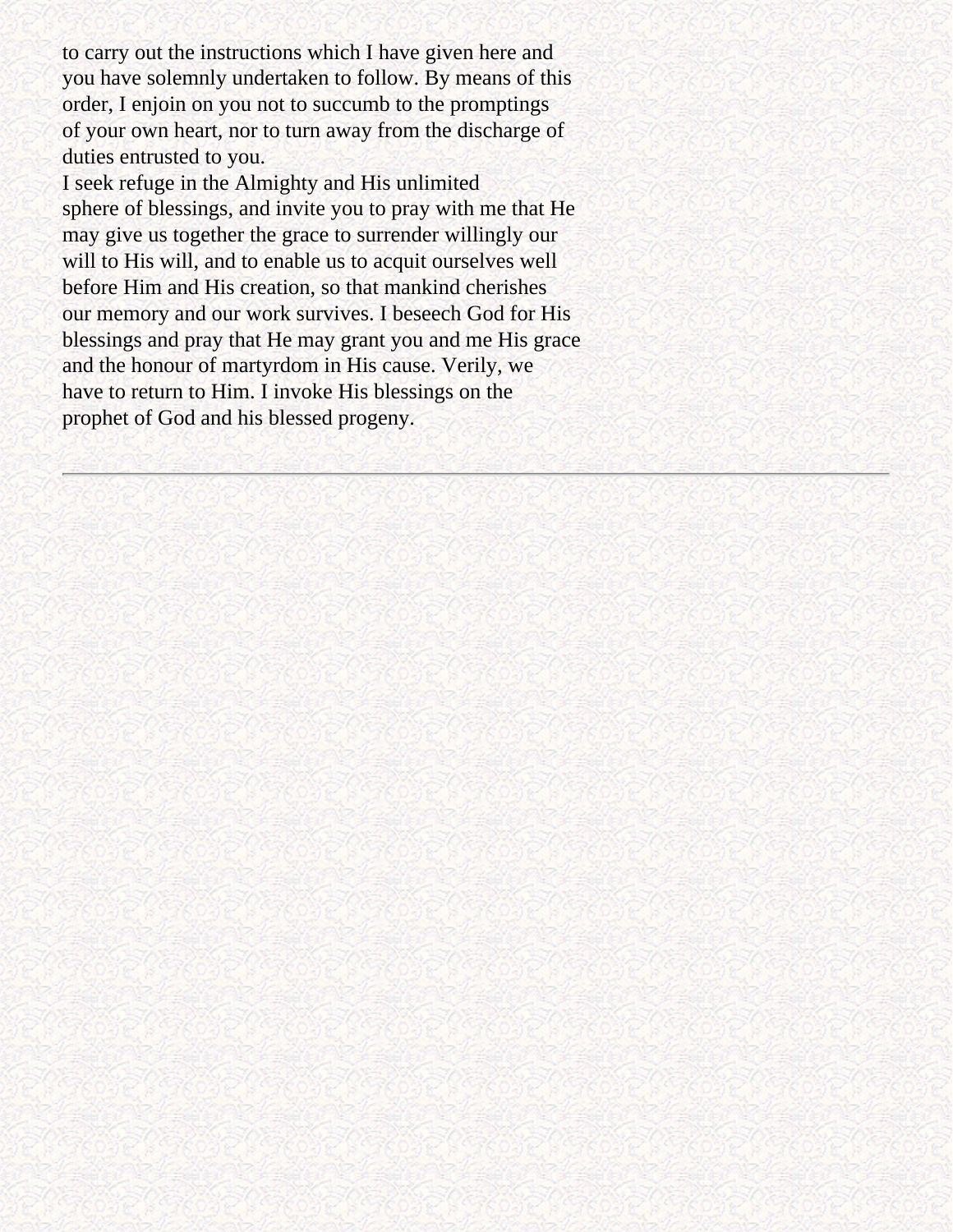to carry out the instructions which I have given here and you have solemnly undertaken to follow. By means of this order, I enjoin on you not to succumb to the promptings of your own heart, nor to turn away from the discharge of duties entrusted to you.

I seek refuge in the Almighty and His unlimited sphere of blessings, and invite you to pray with me that He may give us together the grace to surrender willingly our will to His will, and to enable us to acquit ourselves well before Him and His creation, so that mankind cherishes our memory and our work survives. I beseech God for His blessings and pray that He may grant you and me His grace and the honour of martyrdom in His cause. Verily, we have to return to Him. I invoke His blessings on the prophet of God and his blessed progeny.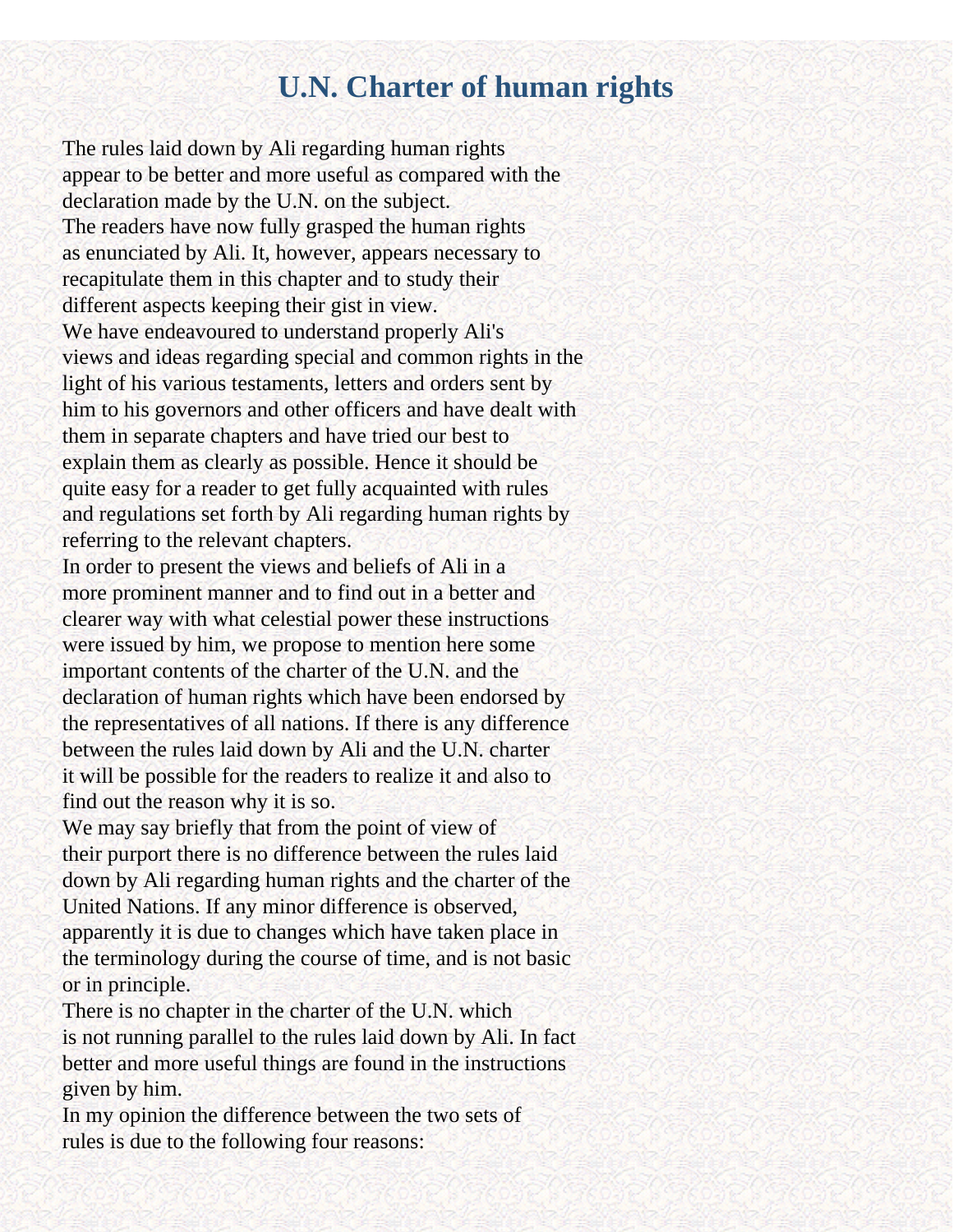## **U.N. Charter of human rights**

The rules laid down by Ali regarding human rights appear to be better and more useful as compared with the declaration made by the U.N. on the subject. The readers have now fully grasped the human rights as enunciated by Ali. It, however, appears necessary to recapitulate them in this chapter and to study their different aspects keeping their gist in view. We have endeavoured to understand properly Ali's views and ideas regarding special and common rights in the light of his various testaments, letters and orders sent by him to his governors and other officers and have dealt with them in separate chapters and have tried our best to explain them as clearly as possible. Hence it should be quite easy for a reader to get fully acquainted with rules and regulations set forth by Ali regarding human rights by referring to the relevant chapters.

In order to present the views and beliefs of Ali in a more prominent manner and to find out in a better and clearer way with what celestial power these instructions were issued by him, we propose to mention here some important contents of the charter of the U.N. and the declaration of human rights which have been endorsed by the representatives of all nations. If there is any difference between the rules laid down by Ali and the U.N. charter it will be possible for the readers to realize it and also to find out the reason why it is so.

We may say briefly that from the point of view of their purport there is no difference between the rules laid down by Ali regarding human rights and the charter of the United Nations. If any minor difference is observed, apparently it is due to changes which have taken place in the terminology during the course of time, and is not basic or in principle.

There is no chapter in the charter of the U.N. which is not running parallel to the rules laid down by Ali. In fact better and more useful things are found in the instructions given by him.

In my opinion the difference between the two sets of rules is due to the following four reasons: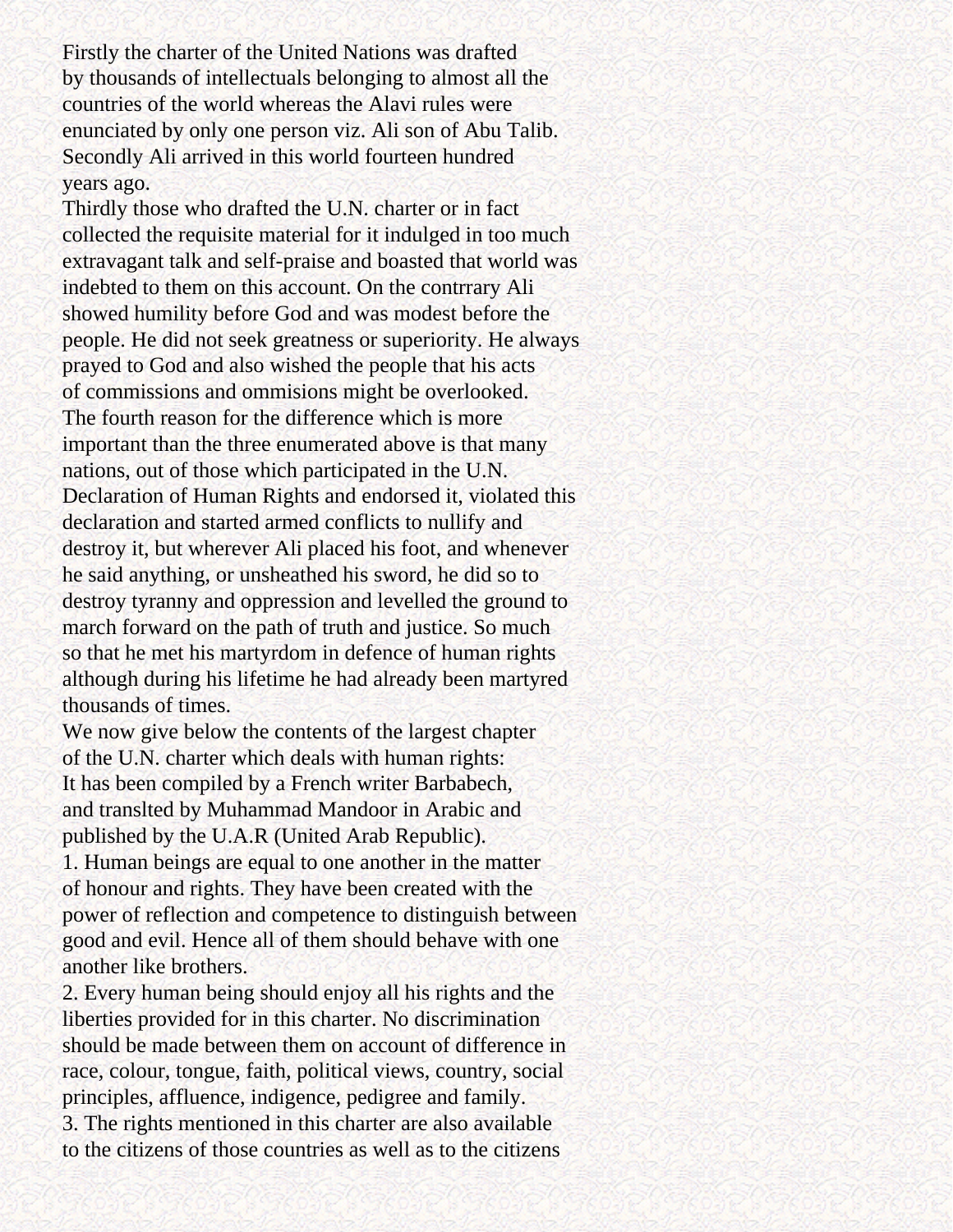Firstly the charter of the United Nations was drafted by thousands of intellectuals belonging to almost all the countries of the world whereas the Alavi rules were enunciated by only one person viz. Ali son of Abu Talib. Secondly Ali arrived in this world fourteen hundred years ago.

Thirdly those who drafted the U.N. charter or in fact collected the requisite material for it indulged in too much extravagant talk and self-praise and boasted that world was indebted to them on this account. On the contrrary Ali showed humility before God and was modest before the people. He did not seek greatness or superiority. He always prayed to God and also wished the people that his acts of commissions and ommisions might be overlooked. The fourth reason for the difference which is more important than the three enumerated above is that many nations, out of those which participated in the U.N. Declaration of Human Rights and endorsed it, violated this declaration and started armed conflicts to nullify and destroy it, but wherever Ali placed his foot, and whenever he said anything, or unsheathed his sword, he did so to destroy tyranny and oppression and levelled the ground to march forward on the path of truth and justice. So much so that he met his martyrdom in defence of human rights although during his lifetime he had already been martyred thousands of times.

We now give below the contents of the largest chapter of the U.N. charter which deals with human rights: It has been compiled by a French writer Barbabech, and translted by Muhammad Mandoor in Arabic and published by the U.A.R (United Arab Republic).

1. Human beings are equal to one another in the matter of honour and rights. They have been created with the power of reflection and competence to distinguish between good and evil. Hence all of them should behave with one another like brothers.

2. Every human being should enjoy all his rights and the liberties provided for in this charter. No discrimination should be made between them on account of difference in race, colour, tongue, faith, political views, country, social principles, affluence, indigence, pedigree and family.

3. The rights mentioned in this charter are also available to the citizens of those countries as well as to the citizens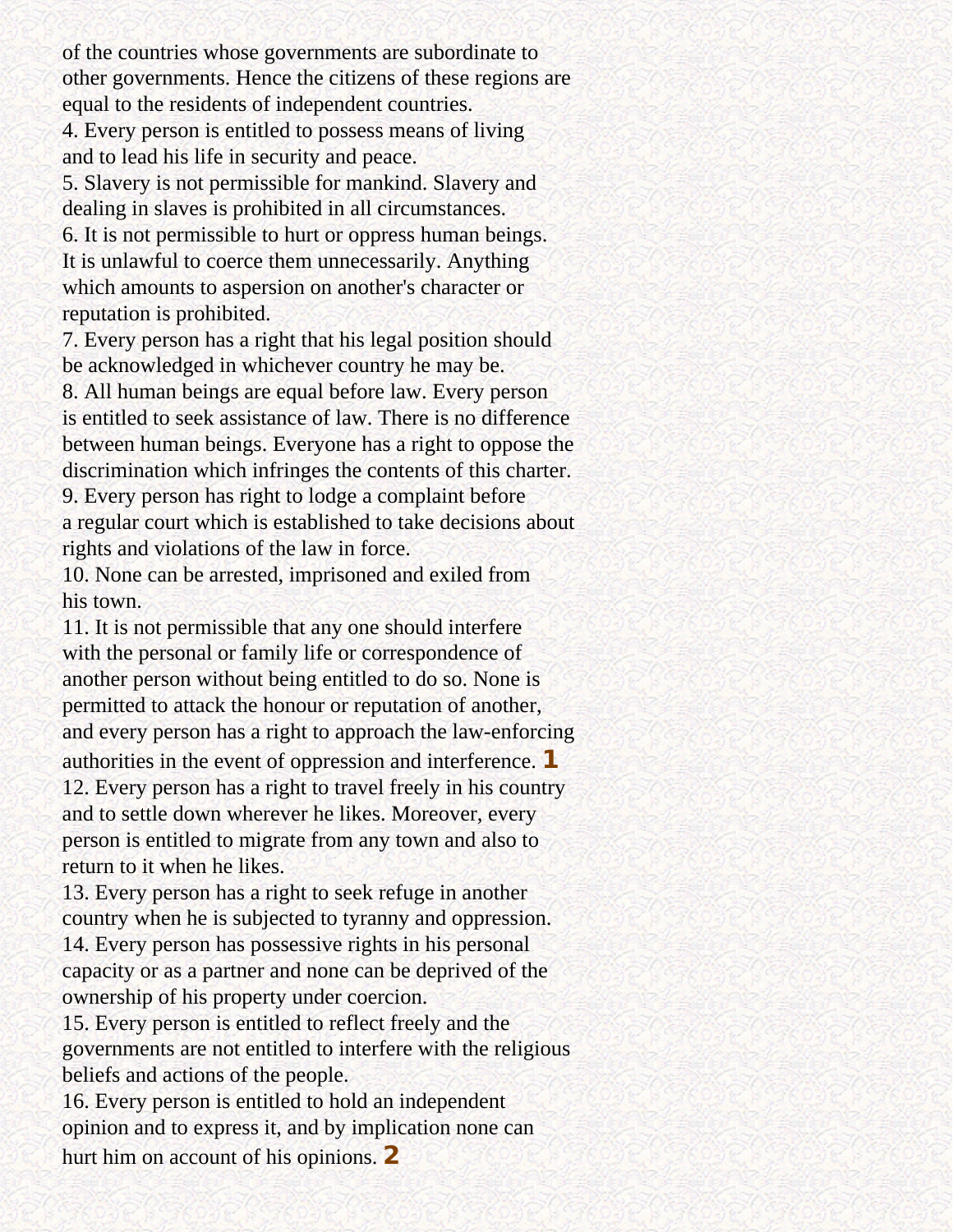of the countries whose governments are subordinate to other governments. Hence the citizens of these regions are equal to the residents of independent countries.

4. Every person is entitled to possess means of living and to lead his life in security and peace.

5. Slavery is not permissible for mankind. Slavery and dealing in slaves is prohibited in all circumstances.

6. It is not permissible to hurt or oppress human beings. It is unlawful to coerce them unnecessarily. Anything which amounts to aspersion on another's character or reputation is prohibited.

7. Every person has a right that his legal position should be acknowledged in whichever country he may be.

8. All human beings are equal before law. Every person is entitled to seek assistance of law. There is no difference between human beings. Everyone has a right to oppose the discrimination which infringes the contents of this charter.

9. Every person has right to lodge a complaint before a regular court which is established to take decisions about rights and violations of the law in force.

10. None can be arrested, imprisoned and exiled from his town.

11. It is not permissible that any one should interfere with the personal or family life or correspondence of another person without being entitled to do so. None is permitted to attack the honour or reputation of another, and every person has a right to approach the law-enforcing authorities in the event of oppression and interference. 1 12. Every person has a right to travel freely in his country and to settle down wherever he likes. Moreover, every person is entitled to migrate from any town and also to return to it when he likes.

13. Every person has a right to seek refuge in another country when he is subjected to tyranny and oppression. 14. Every person has possessive rights in his personal capacity or as a partner and none can be deprived of the ownership of his property under coercion.

15. Every person is entitled to reflect freely and the governments are not entitled to interfere with the religious beliefs and actions of the people.

16. Every person is entitled to hold an independent opinion and to express it, and by implication none can hurt him on account of his opinions. 2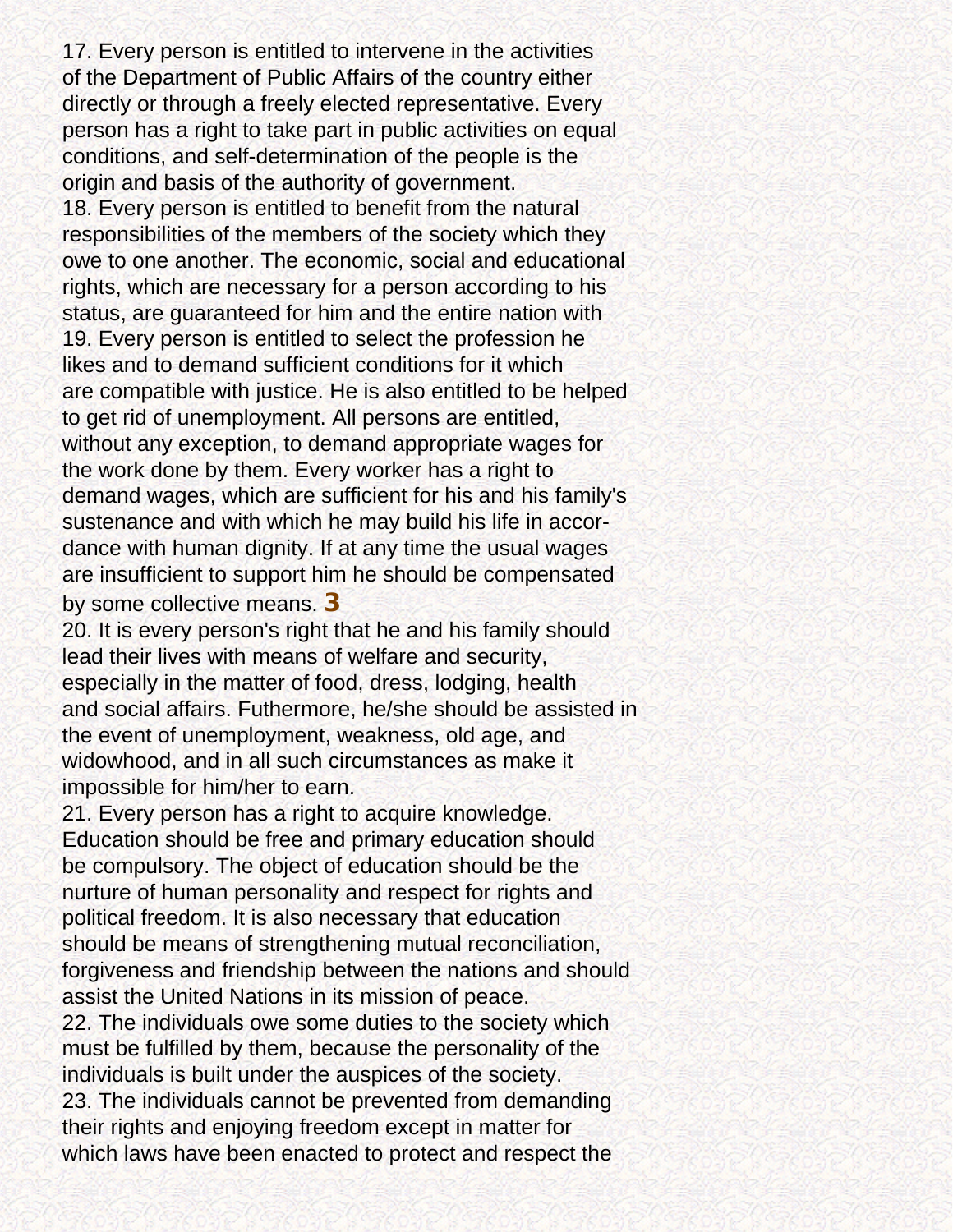17. Every person is entitled to intervene in the activities of the Department of Public Affairs of the country either directly or through a freely elected representative. Every person has a right to take part in public activities on equal conditions, and self-determination of the people is the origin and basis of the authority of government. 18. Every person is entitled to benefit from the natural responsibilities of the members of the society which they owe to one another. The economic, social and educational rights, which are necessary for a person according to his status, are guaranteed for him and the entire nation with 19. Every person is entitled to select the profession he likes and to demand sufficient conditions for it which are compatible with justice. He is also entitled to be helped to get rid of unemployment. All persons are entitled, without any exception, to demand appropriate wages for the work done by them. Every worker has a right to demand wages, which are sufficient for his and his family's sustenance and with which he may build his life in accordance with human dignity. If at any time the usual wages are insufficient to support him he should be compensated by some collective means. 3

20. It is every person's right that he and his family should lead their lives with means of welfare and security, especially in the matter of food, dress, lodging, health and social affairs. Futhermore, he/she should be assisted in the event of unemployment, weakness, old age, and widowhood, and in all such circumstances as make it impossible for him/her to earn.

21. Every person has a right to acquire knowledge. Education should be free and primary education should be compulsory. The object of education should be the nurture of human personality and respect for rights and political freedom. It is also necessary that education should be means of strengthening mutual reconciliation, forgiveness and friendship between the nations and should assist the United Nations in its mission of peace. 22. The individuals owe some duties to the society which must be fulfilled by them, because the personality of the individuals is built under the auspices of the society. 23. The individuals cannot be prevented from demanding their rights and enjoying freedom except in matter for which laws have been enacted to protect and respect the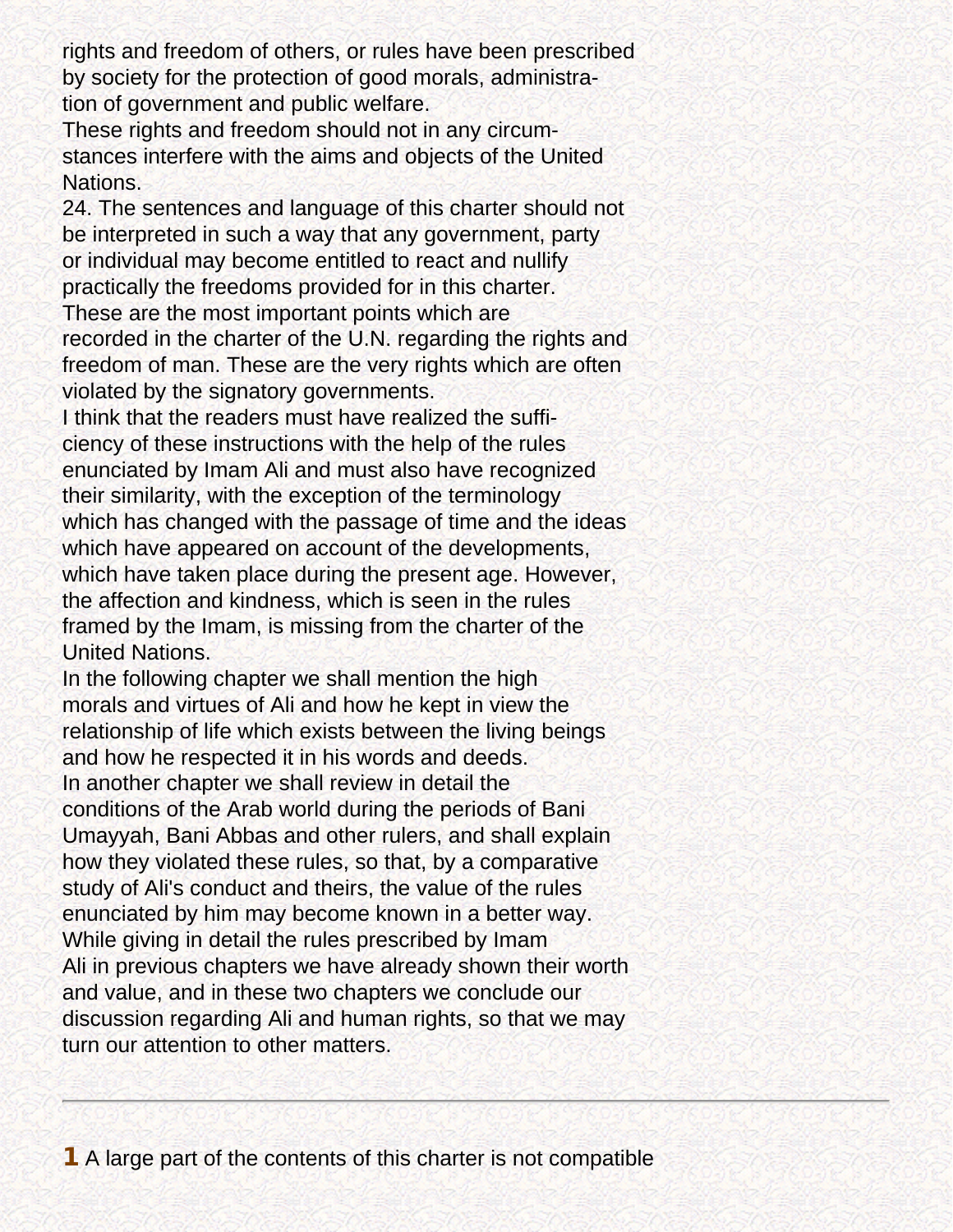rights and freedom of others, or rules have been prescribed by society for the protection of good morals, administration of government and public welfare.

These rights and freedom should not in any circumstances interfere with the aims and objects of the United Nations.

24. The sentences and language of this charter should not be interpreted in such a way that any government, party or individual may become entitled to react and nullify practically the freedoms provided for in this charter. These are the most important points which are recorded in the charter of the U.N. regarding the rights and freedom of man. These are the very rights which are often violated by the signatory governments.

I think that the readers must have realized the sufficiency of these instructions with the help of the rules enunciated by Imam Ali and must also have recognized their similarity, with the exception of the terminology which has changed with the passage of time and the ideas which have appeared on account of the developments, which have taken place during the present age. However, the affection and kindness, which is seen in the rules framed by the Imam, is missing from the charter of the United Nations.

In the following chapter we shall mention the high morals and virtues of Ali and how he kept in view the relationship of life which exists between the living beings and how he respected it in his words and deeds. In another chapter we shall review in detail the conditions of the Arab world during the periods of Bani Umayyah, Bani Abbas and other rulers, and shall explain how they violated these rules, so that, by a comparative study of Ali's conduct and theirs, the value of the rules enunciated by him may become known in a better way. While giving in detail the rules prescribed by Imam Ali in previous chapters we have already shown their worth and value, and in these two chapters we conclude our discussion regarding Ali and human rights, so that we may turn our attention to other matters.

1 A large part of the contents of this charter is not compatible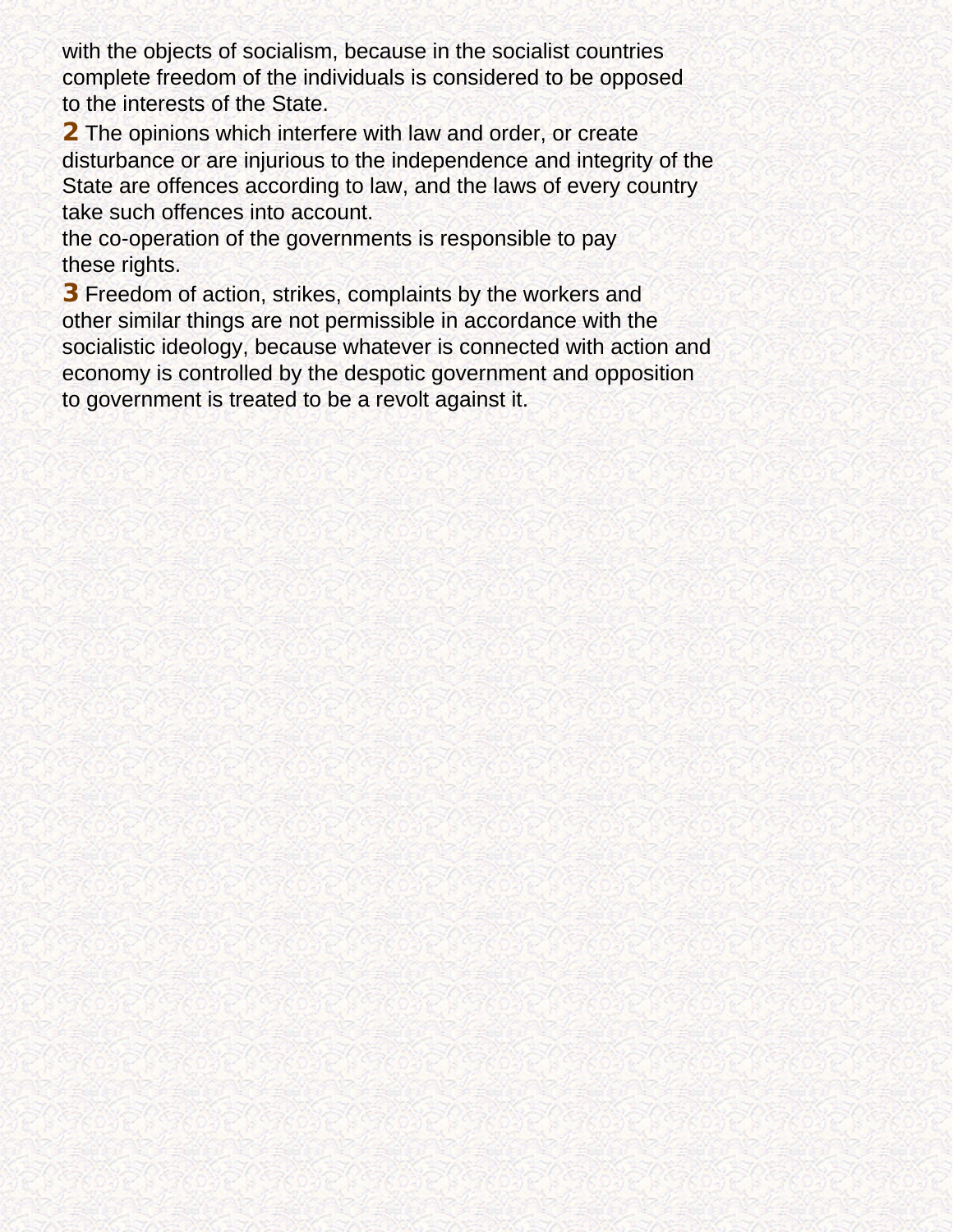with the objects of socialism, because in the socialist countries complete freedom of the individuals is considered to be opposed to the interests of the State.

2 The opinions which interfere with law and order, or create disturbance or are injurious to the independence and integrity of the State are offences according to law, and the laws of every country take such offences into account.

the co-operation of the governments is responsible to pay these rights.

**3** Freedom of action, strikes, complaints by the workers and other similar things are not permissible in accordance with the socialistic ideology, because whatever is connected with action and economy is controlled by the despotic government and opposition to government is treated to be a revolt against it.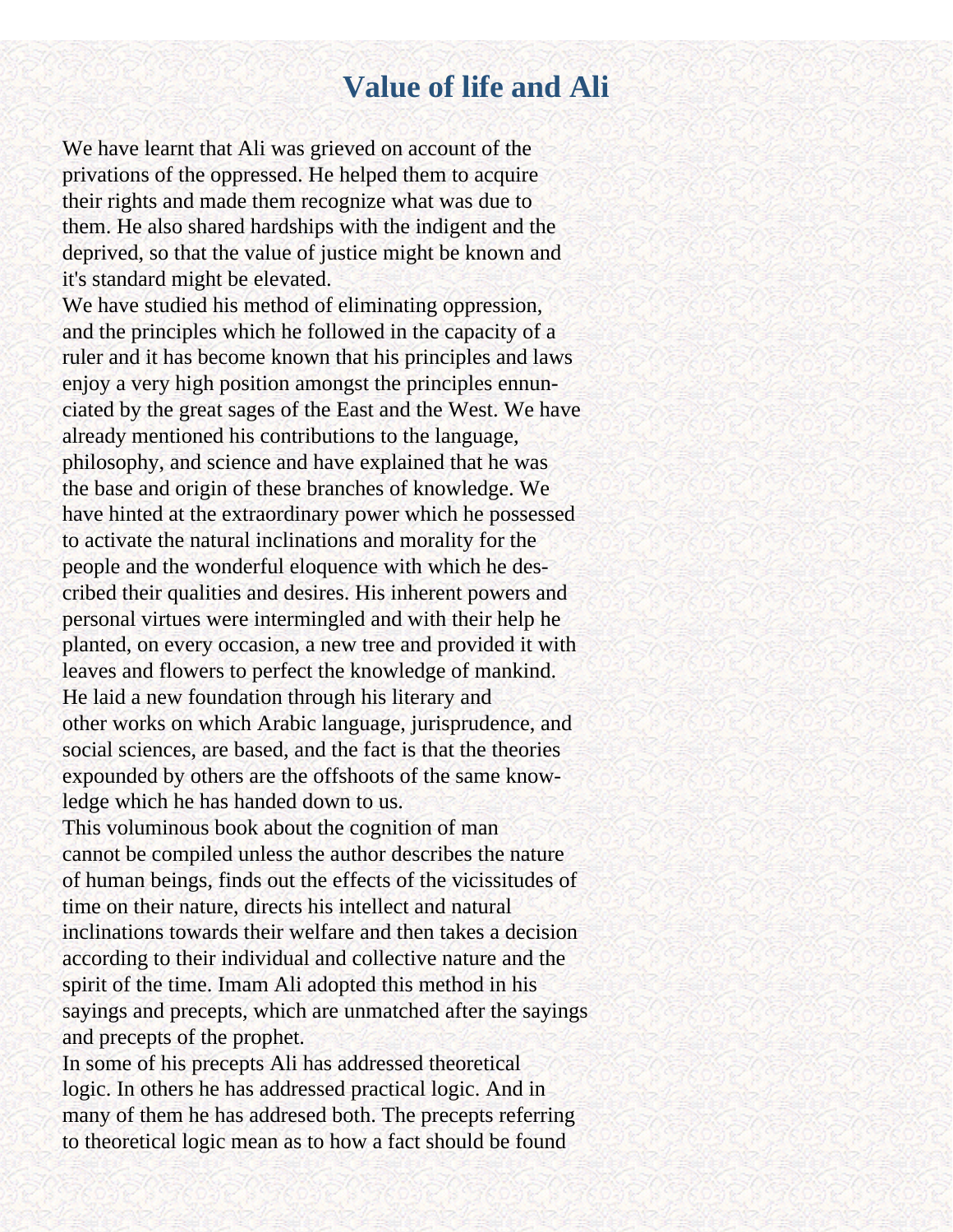## **Value of life and Ali**

We have learnt that Ali was grieved on account of the privations of the oppressed. He helped them to acquire their rights and made them recognize what was due to them. He also shared hardships with the indigent and the deprived, so that the value of justice might be known and it's standard might be elevated.

We have studied his method of eliminating oppression, and the principles which he followed in the capacity of a ruler and it has become known that his principles and laws enjoy a very high position amongst the principles ennunciated by the great sages of the East and the West. We have already mentioned his contributions to the language, philosophy, and science and have explained that he was the base and origin of these branches of knowledge. We have hinted at the extraordinary power which he possessed to activate the natural inclinations and morality for the people and the wonderful eloquence with which he described their qualities and desires. His inherent powers and personal virtues were intermingled and with their help he planted, on every occasion, a new tree and provided it with leaves and flowers to perfect the knowledge of mankind. He laid a new foundation through his literary and other works on which Arabic language, jurisprudence, and social sciences, are based, and the fact is that the theories expounded by others are the offshoots of the same knowledge which he has handed down to us.

This voluminous book about the cognition of man cannot be compiled unless the author describes the nature of human beings, finds out the effects of the vicissitudes of time on their nature, directs his intellect and natural inclinations towards their welfare and then takes a decision according to their individual and collective nature and the spirit of the time. Imam Ali adopted this method in his sayings and precepts, which are unmatched after the sayings and precepts of the prophet.

In some of his precepts Ali has addressed theoretical logic. In others he has addressed practical logic. And in many of them he has addresed both. The precepts referring to theoretical logic mean as to how a fact should be found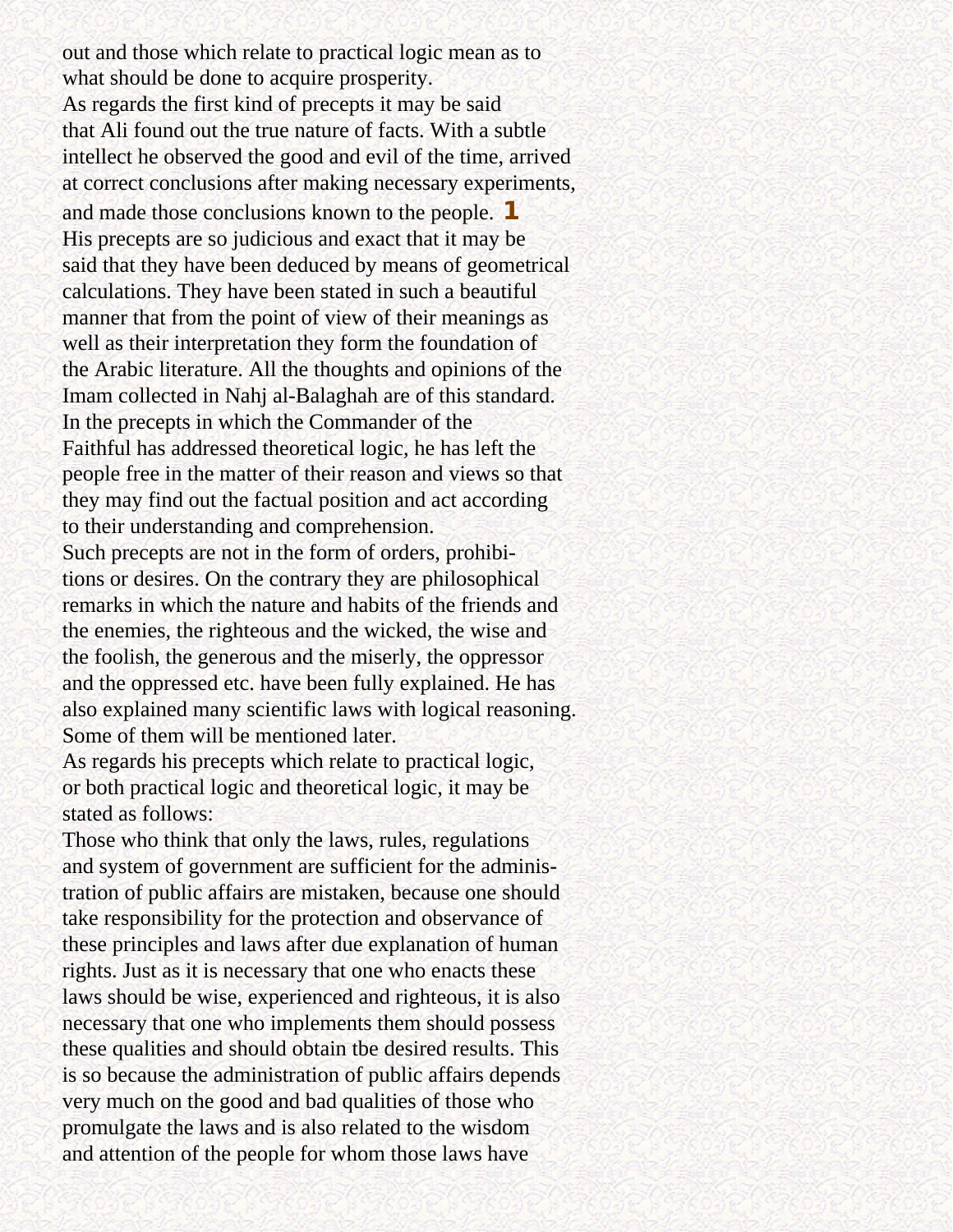out and those which relate to practical logic mean as to what should be done to acquire prosperity. As regards the first kind of precepts it may be said that Ali found out the true nature of facts. With a subtle intellect he observed the good and evil of the time, arrived at correct conclusions after making necessary experiments, and made those conclusions known to the people. **1** His precepts are so judicious and exact that it may be said that they have been deduced by means of geometrical calculations. They have been stated in such a beautiful manner that from the point of view of their meanings as well as their interpretation they form the foundation of the Arabic literature. All the thoughts and opinions of the Imam collected in Nahj al-Balaghah are of this standard. In the precepts in which the Commander of the Faithful has addressed theoretical logic, he has left the people free in the matter of their reason and views so that they may find out the factual position and act according to their understanding and comprehension.

Such precepts are not in the form of orders, prohibitions or desires. On the contrary they are philosophical remarks in which the nature and habits of the friends and the enemies, the righteous and the wicked, the wise and the foolish, the generous and the miserly, the oppressor and the oppressed etc. have been fully explained. He has also explained many scientific laws with logical reasoning. Some of them will be mentioned later.

As regards his precepts which relate to practical logic, or both practical logic and theoretical logic, it may be stated as follows:

Those who think that only the laws, rules, regulations and system of government are sufficient for the administration of public affairs are mistaken, because one should take responsibility for the protection and observance of these principles and laws after due explanation of human rights. Just as it is necessary that one who enacts these laws should be wise, experienced and righteous, it is also necessary that one who implements them should possess these qualities and should obtain tbe desired results. This is so because the administration of public affairs depends very much on the good and bad qualities of those who promulgate the laws and is also related to the wisdom and attention of the people for whom those laws have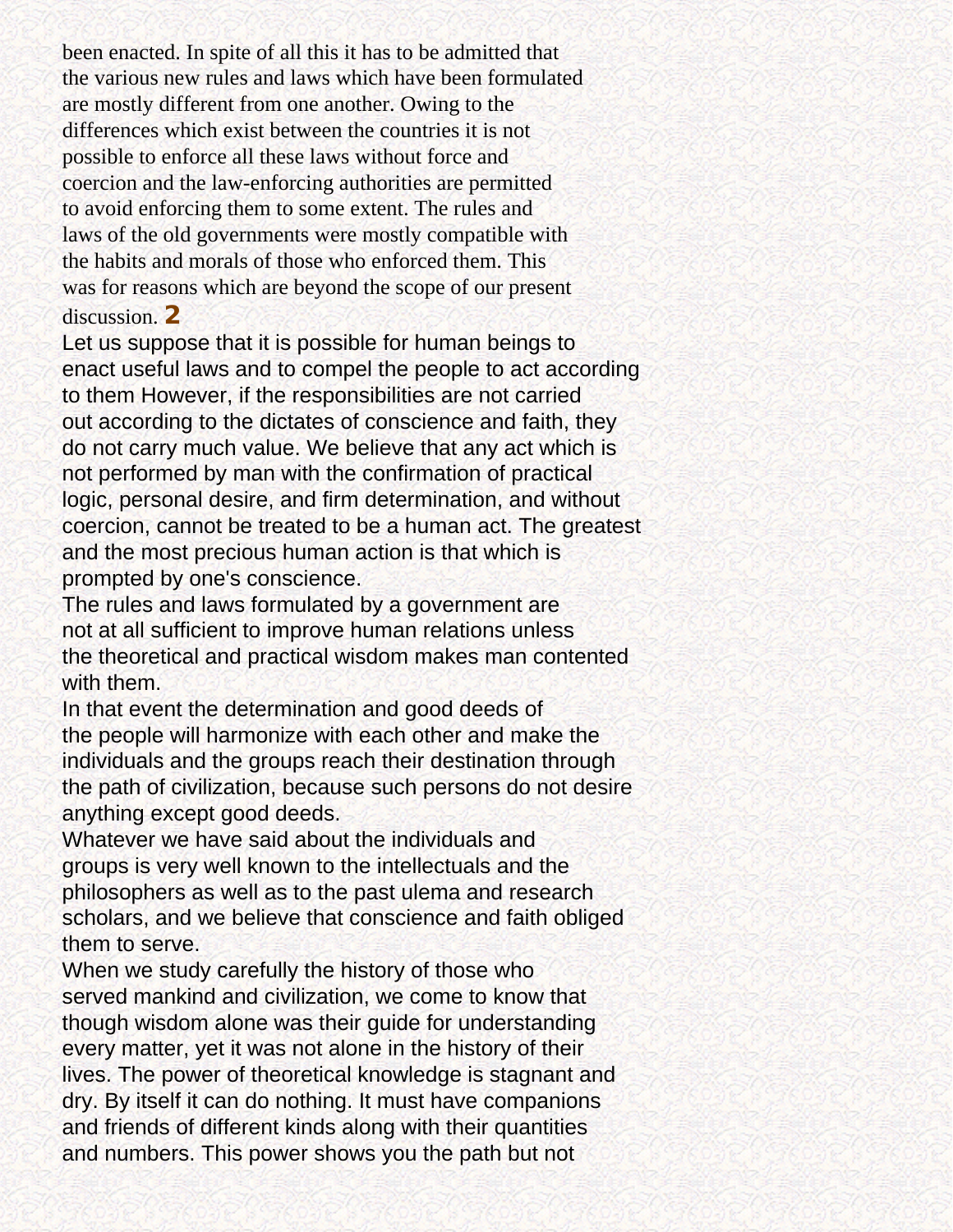been enacted. In spite of all this it has to be admitted that the various new rules and laws which have been formulated are mostly different from one another. Owing to the differences which exist between the countries it is not possible to enforce all these laws without force and coercion and the law-enforcing authorities are permitted to avoid enforcing them to some extent. The rules and laws of the old governments were mostly compatible with the habits and morals of those who enforced them. This was for reasons which are beyond the scope of our present discussion. 2

Let us suppose that it is possible for human beings to enact useful laws and to compel the people to act according to them However, if the responsibilities are not carried out according to the dictates of conscience and faith, they do not carry much value. We believe that any act which is not performed by man with the confirmation of practical logic, personal desire, and firm determination, and without coercion, cannot be treated to be a human act. The greatest and the most precious human action is that which is prompted by one's conscience.

The rules and laws formulated by a government are not at all sufficient to improve human relations unless the theoretical and practical wisdom makes man contented with them.

In that event the determination and good deeds of the people will harmonize with each other and make the individuals and the groups reach their destination through the path of civilization, because such persons do not desire anything except good deeds.

Whatever we have said about the individuals and groups is very well known to the intellectuals and the philosophers as well as to the past ulema and research scholars, and we believe that conscience and faith obliged them to serve.

When we study carefully the history of those who served mankind and civilization, we come to know that though wisdom alone was their guide for understanding every matter, yet it was not alone in the history of their lives. The power of theoretical knowledge is stagnant and dry. By itself it can do nothing. It must have companions and friends of different kinds along with their quantities and numbers. This power shows you the path but not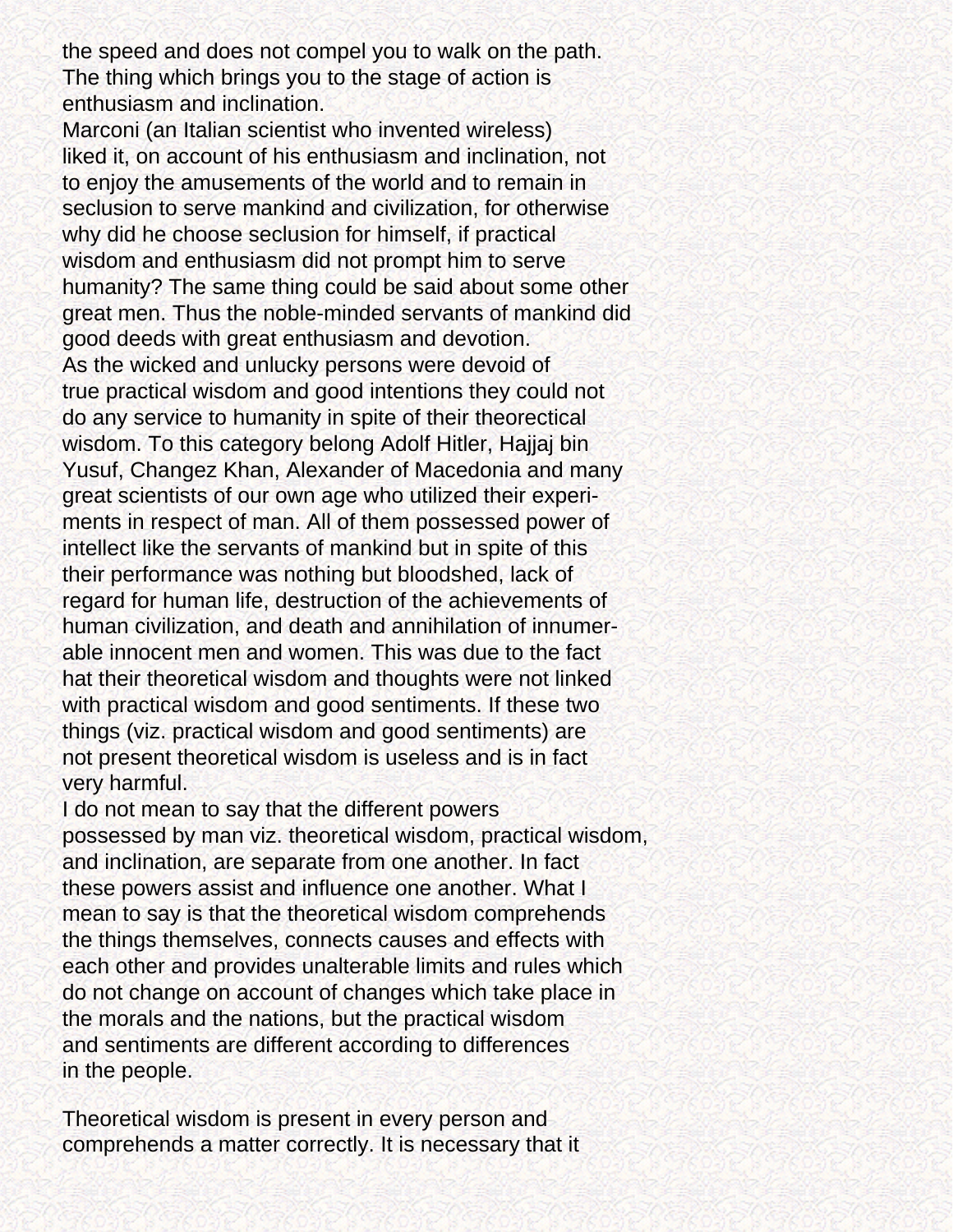the speed and does not compel you to walk on the path. The thing which brings you to the stage of action is enthusiasm and inclination.

Marconi (an Italian scientist who invented wireless) liked it, on account of his enthusiasm and inclination, not to enjoy the amusements of the world and to remain in seclusion to serve mankind and civilization, for otherwise why did he choose seclusion for himself, if practical wisdom and enthusiasm did not prompt him to serve humanity? The same thing could be said about some other great men. Thus the noble-minded servants of mankind did good deeds with great enthusiasm and devotion. As the wicked and unlucky persons were devoid of true practical wisdom and good intentions they could not do any service to humanity in spite of their theorectical wisdom. To this category belong Adolf Hitler, Hajjaj bin Yusuf, Changez Khan, Alexander of Macedonia and many great scientists of our own age who utilized their experiments in respect of man. All of them possessed power of intellect like the servants of mankind but in spite of this their performance was nothing but bloodshed, lack of regard for human life, destruction of the achievements of human civilization, and death and annihilation of innumerable innocent men and women. This was due to the fact hat their theoretical wisdom and thoughts were not linked with practical wisdom and good sentiments. If these two things (viz. practical wisdom and good sentiments) are not present theoretical wisdom is useless and is in fact very harmful.

I do not mean to say that the different powers possessed by man viz. theoretical wisdom, practical wisdom, and inclination, are separate from one another. In fact these powers assist and influence one another. What I mean to say is that the theoretical wisdom comprehends the things themselves, connects causes and effects with each other and provides unalterable limits and rules which do not change on account of changes which take place in the morals and the nations, but the practical wisdom and sentiments are different according to differences in the people.

Theoretical wisdom is present in every person and comprehends a matter correctly. It is necessary that it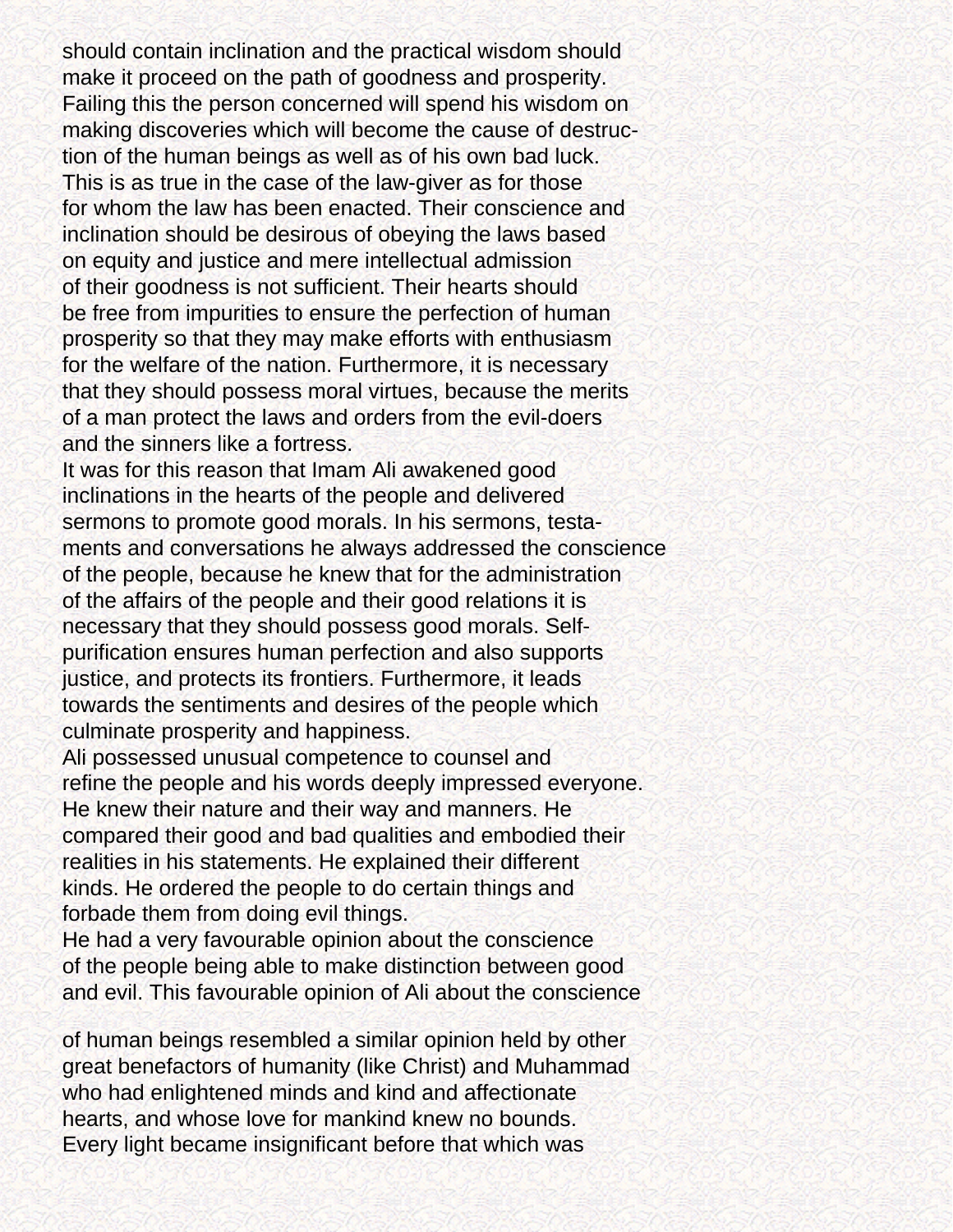should contain inclination and the practical wisdom should make it proceed on the path of goodness and prosperity. Failing this the person concerned will spend his wisdom on making discoveries which will become the cause of destruction of the human beings as well as of his own bad luck. This is as true in the case of the law-giver as for those for whom the law has been enacted. Their conscience and inclination should be desirous of obeying the laws based on equity and justice and mere intellectual admission of their goodness is not sufficient. Their hearts should be free from impurities to ensure the perfection of human prosperity so that they may make efforts with enthusiasm for the welfare of the nation. Furthermore, it is necessary that they should possess moral virtues, because the merits of a man protect the laws and orders from the evil-doers and the sinners like a fortress.

It was for this reason that Imam Ali awakened good inclinations in the hearts of the people and delivered sermons to promote good morals. In his sermons, testaments and conversations he always addressed the conscience of the people, because he knew that for the administration of the affairs of the people and their good relations it is necessary that they should possess good morals. Selfpurification ensures human perfection and also supports justice, and protects its frontiers. Furthermore, it leads towards the sentiments and desires of the people which culminate prosperity and happiness.

Ali possessed unusual competence to counsel and refine the people and his words deeply impressed everyone. He knew their nature and their way and manners. He compared their good and bad qualities and embodied their realities in his statements. He explained their different kinds. He ordered the people to do certain things and forbade them from doing evil things.

He had a very favourable opinion about the conscience of the people being able to make distinction between good and evil. This favourable opinion of Ali about the conscience

of human beings resembled a similar opinion held by other great benefactors of humanity (like Christ) and Muhammad who had enlightened minds and kind and affectionate hearts, and whose love for mankind knew no bounds. Every light became insignificant before that which was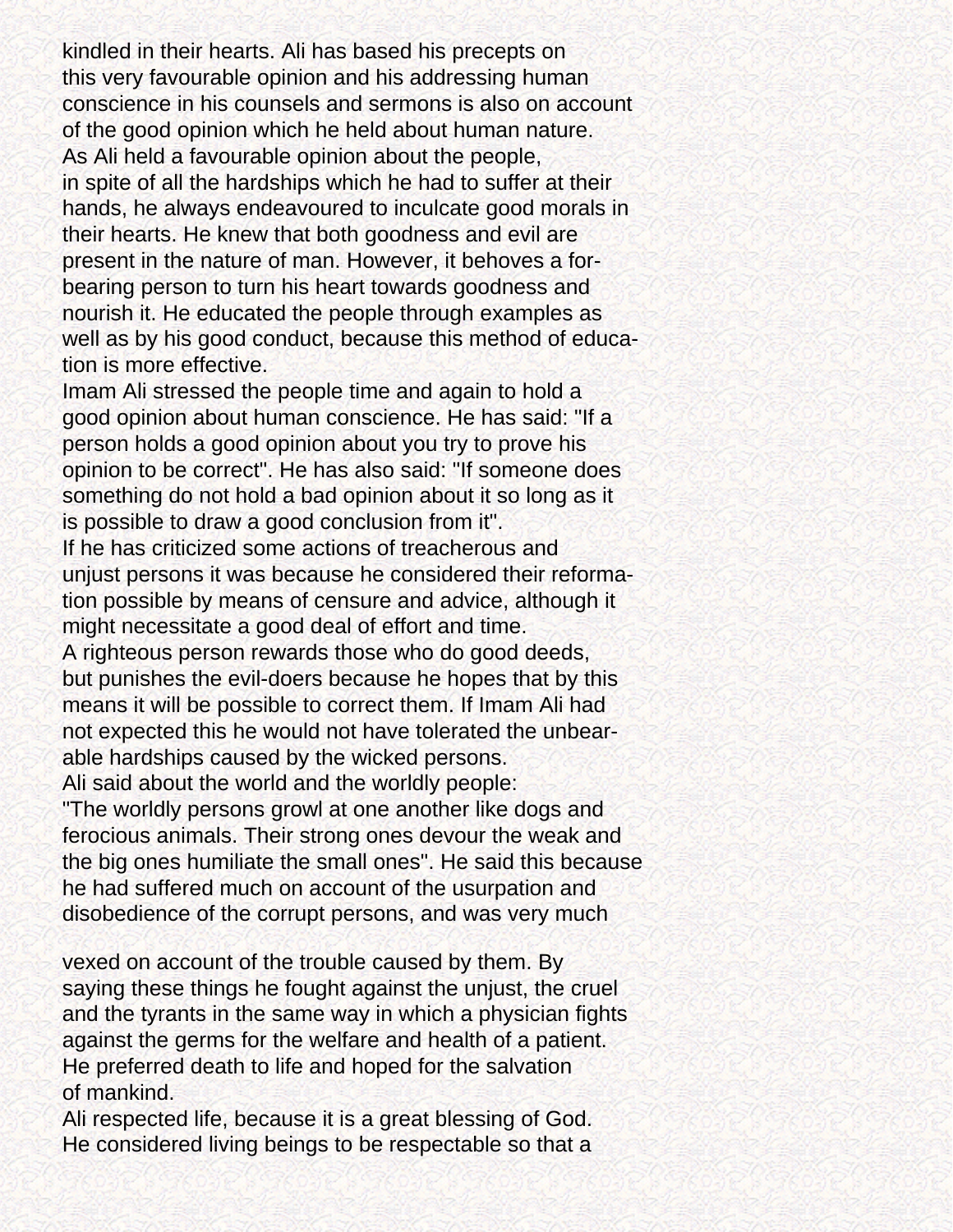kindled in their hearts. Ali has based his precepts on this very favourable opinion and his addressing human conscience in his counsels and sermons is also on account of the good opinion which he held about human nature. As Ali held a favourable opinion about the people, in spite of all the hardships which he had to suffer at their hands, he always endeavoured to inculcate good morals in their hearts. He knew that both goodness and evil are present in the nature of man. However, it behoves a forbearing person to turn his heart towards goodness and nourish it. He educated the people through examples as well as by his good conduct, because this method of education is more effective.

Imam Ali stressed the people time and again to hold a good opinion about human conscience. He has said: "If a person holds a good opinion about you try to prove his opinion to be correct". He has also said: "If someone does something do not hold a bad opinion about it so long as it is possible to draw a good conclusion from it".

If he has criticized some actions of treacherous and unjust persons it was because he considered their reformation possible by means of censure and advice, although it might necessitate a good deal of effort and time.

A righteous person rewards those who do good deeds, but punishes the evil-doers because he hopes that by this means it will be possible to correct them. If Imam Ali had not expected this he would not have tolerated the unbearable hardships caused by the wicked persons.

Ali said about the world and the worldly people:

"The worldly persons growl at one another like dogs and ferocious animals. Their strong ones devour the weak and the big ones humiliate the small ones". He said this because he had suffered much on account of the usurpation and disobedience of the corrupt persons, and was very much

vexed on account of the trouble caused by them. By saying these things he fought against the unjust, the cruel and the tyrants in the same way in which a physician fights against the germs for the welfare and health of a patient. He preferred death to life and hoped for the salvation of mankind.

Ali respected life, because it is a great blessing of God. He considered living beings to be respectable so that a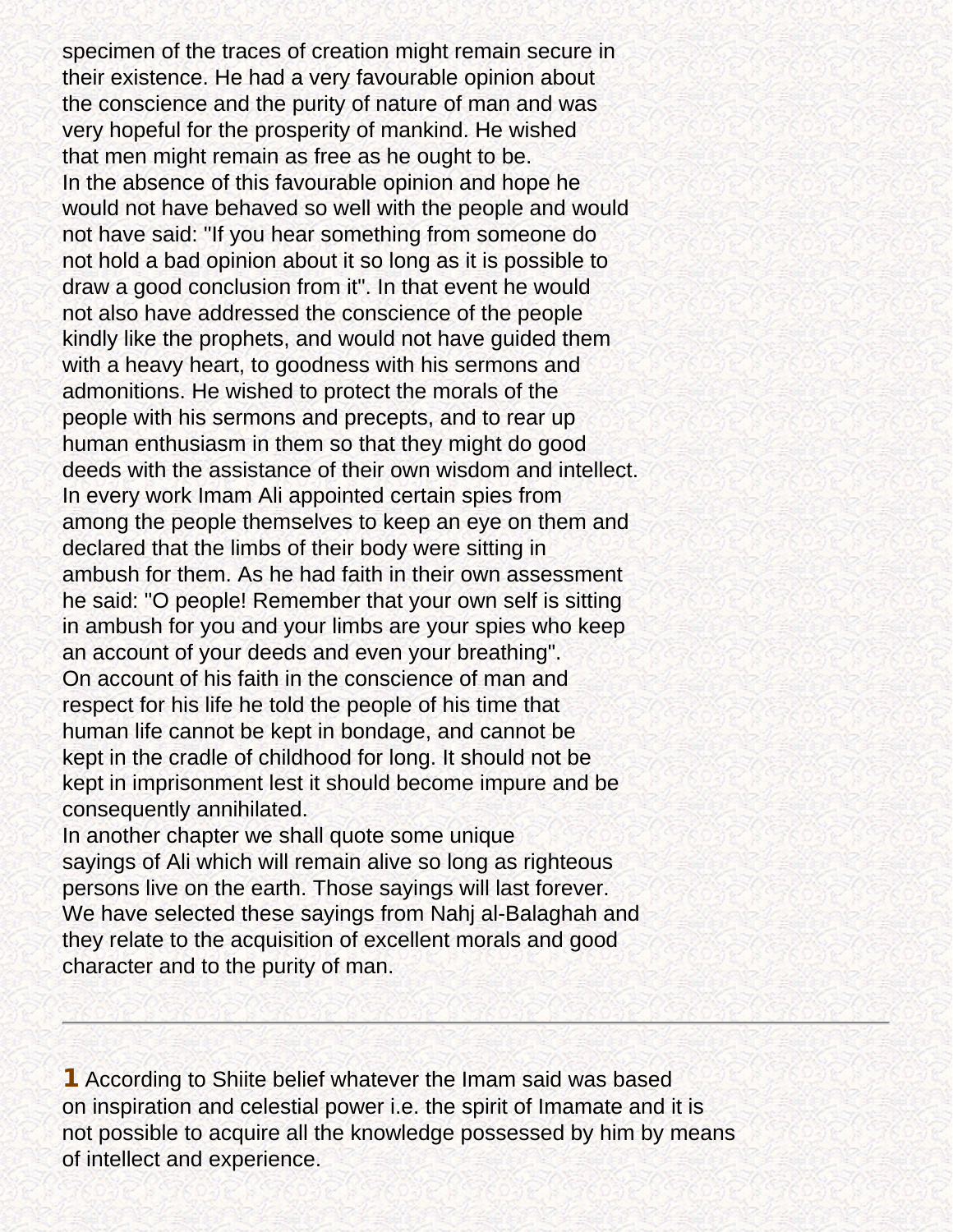specimen of the traces of creation might remain secure in their existence. He had a very favourable opinion about the conscience and the purity of nature of man and was very hopeful for the prosperity of mankind. He wished that men might remain as free as he ought to be. In the absence of this favourable opinion and hope he would not have behaved so well with the people and would not have said: "If you hear something from someone do not hold a bad opinion about it so long as it is possible to draw a good conclusion from it". In that event he would not also have addressed the conscience of the people kindly like the prophets, and would not have guided them with a heavy heart, to goodness with his sermons and admonitions. He wished to protect the morals of the people with his sermons and precepts, and to rear up human enthusiasm in them so that they might do good deeds with the assistance of their own wisdom and intellect. In every work Imam Ali appointed certain spies from among the people themselves to keep an eye on them and declared that the limbs of their body were sitting in ambush for them. As he had faith in their own assessment he said: "O people! Remember that your own self is sitting in ambush for you and your limbs are your spies who keep an account of your deeds and even your breathing". On account of his faith in the conscience of man and respect for his life he told the people of his time that human life cannot be kept in bondage, and cannot be kept in the cradle of childhood for long. It should not be kept in imprisonment lest it should become impure and be consequently annihilated.

In another chapter we shall quote some unique sayings of Ali which will remain alive so long as righteous persons live on the earth. Those sayings will last forever. We have selected these sayings from Nahj al-Balaghah and they relate to the acquisition of excellent morals and good character and to the purity of man.

1 According to Shiite belief whatever the Imam said was based on inspiration and celestial power i.e. the spirit of Imamate and it is not possible to acquire all the knowledge possessed by him by means of intellect and experience.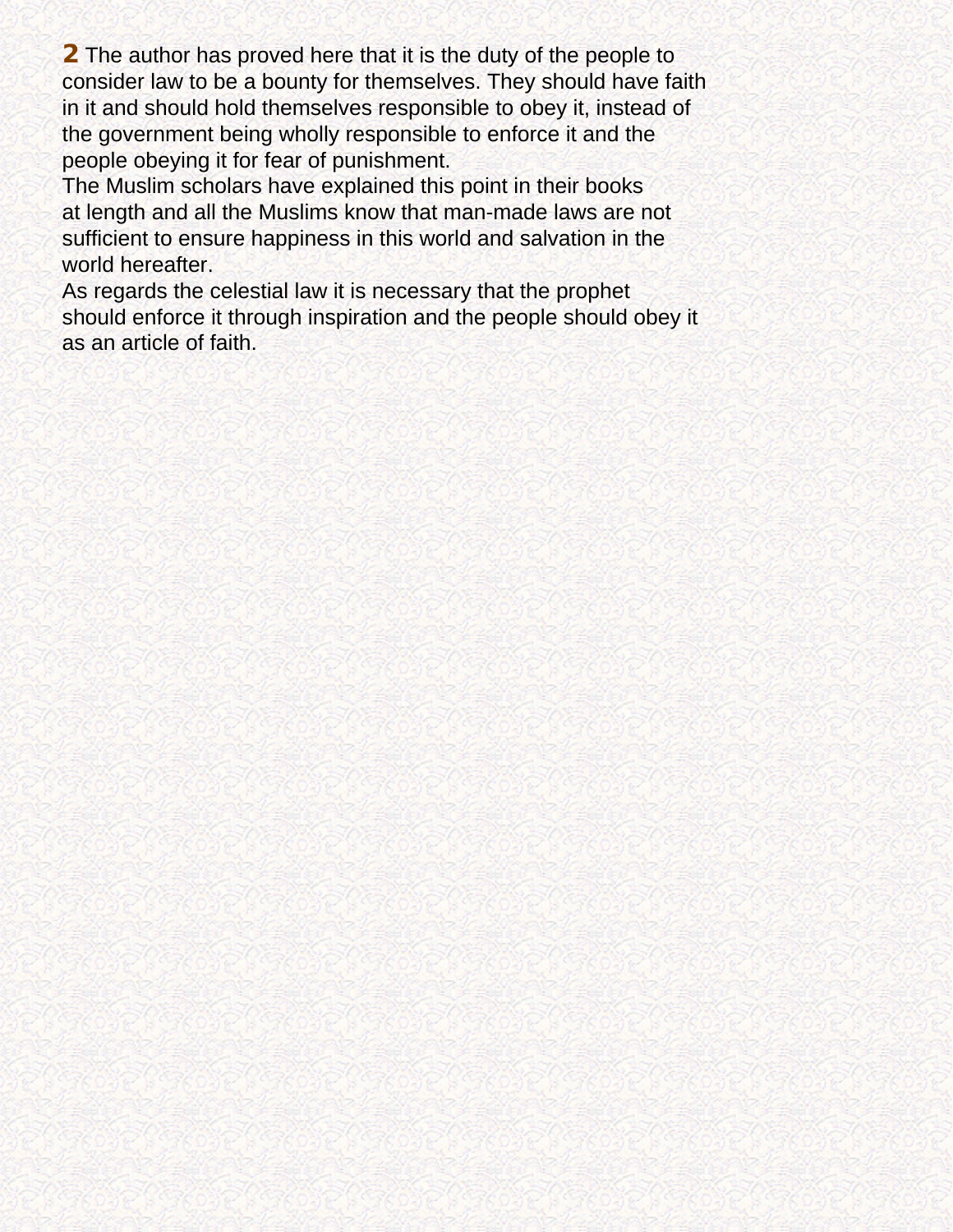2 The author has proved here that it is the duty of the people to consider law to be a bounty for themselves. They should have faith in it and should hold themselves responsible to obey it, instead of the government being wholly responsible to enforce it and the people obeying it for fear of punishment.

The Muslim scholars have explained this point in their books at length and all the Muslims know that man-made laws are not sufficient to ensure happiness in this world and salvation in the world hereafter.

As regards the celestial law it is necessary that the prophet should enforce it through inspiration and the people should obey it as an article of faith.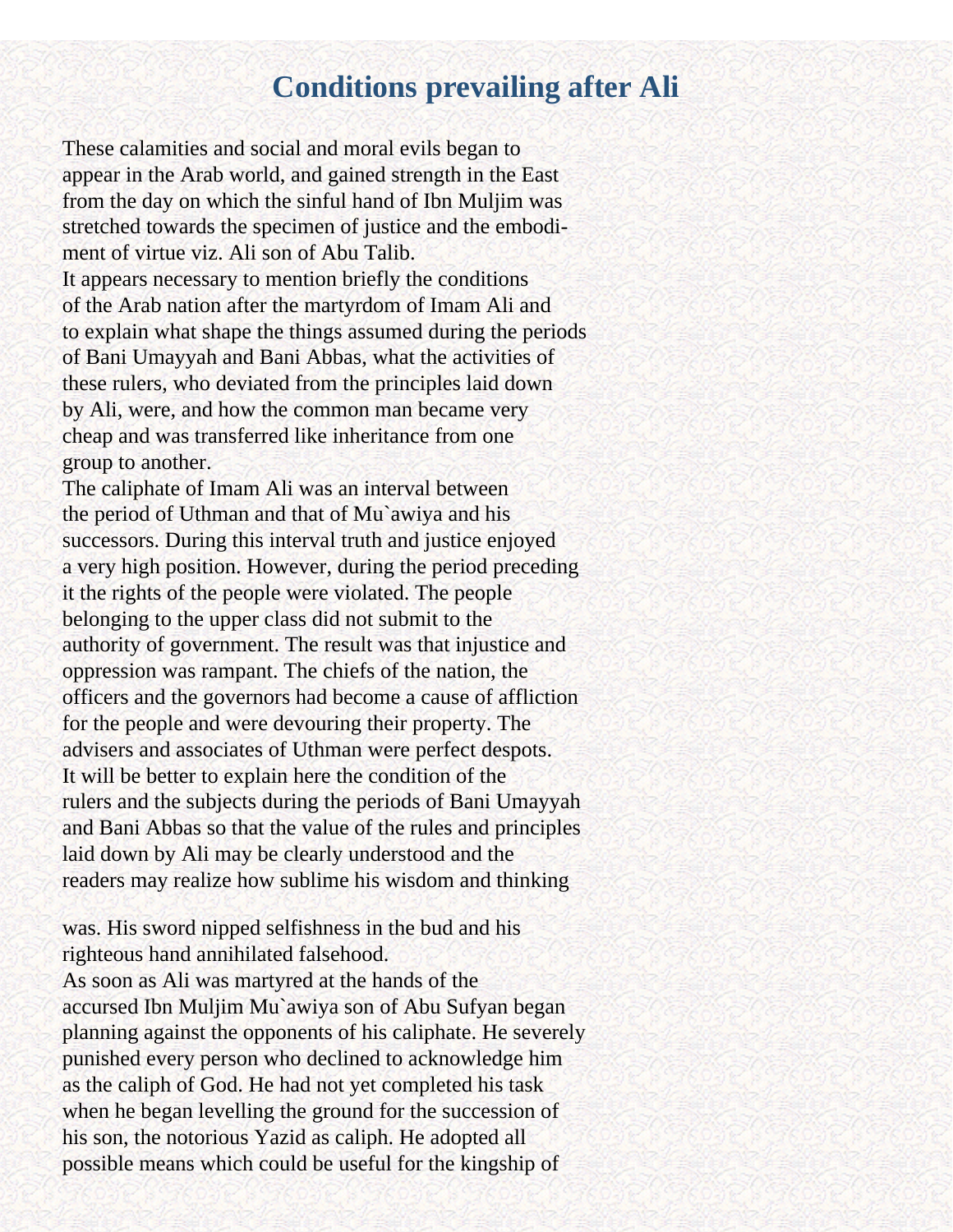## **Conditions prevailing after Ali**

These calamities and social and moral evils began to appear in the Arab world, and gained strength in the East from the day on which the sinful hand of Ibn Muljim was stretched towards the specimen of justice and the embodiment of virtue viz. Ali son of Abu Talib.

It appears necessary to mention briefly the conditions of the Arab nation after the martyrdom of Imam Ali and to explain what shape the things assumed during the periods of Bani Umayyah and Bani Abbas, what the activities of these rulers, who deviated from the principles laid down by Ali, were, and how the common man became very cheap and was transferred like inheritance from one group to another.

The caliphate of Imam Ali was an interval between the period of Uthman and that of Mu`awiya and his successors. During this interval truth and justice enjoyed a very high position. However, during the period preceding it the rights of the people were violated. The people belonging to the upper class did not submit to the authority of government. The result was that injustice and oppression was rampant. The chiefs of the nation, the officers and the governors had become a cause of affliction for the people and were devouring their property. The advisers and associates of Uthman were perfect despots. It will be better to explain here the condition of the rulers and the subjects during the periods of Bani Umayyah and Bani Abbas so that the value of the rules and principles laid down by Ali may be clearly understood and the readers may realize how sublime his wisdom and thinking

was. His sword nipped selfishness in the bud and his righteous hand annihilated falsehood. As soon as Ali was martyred at the hands of the accursed Ibn Muljim Mu`awiya son of Abu Sufyan began planning against the opponents of his caliphate. He severely punished every person who declined to acknowledge him as the caliph of God. He had not yet completed his task when he began levelling the ground for the succession of his son, the notorious Yazid as caliph. He adopted all possible means which could be useful for the kingship of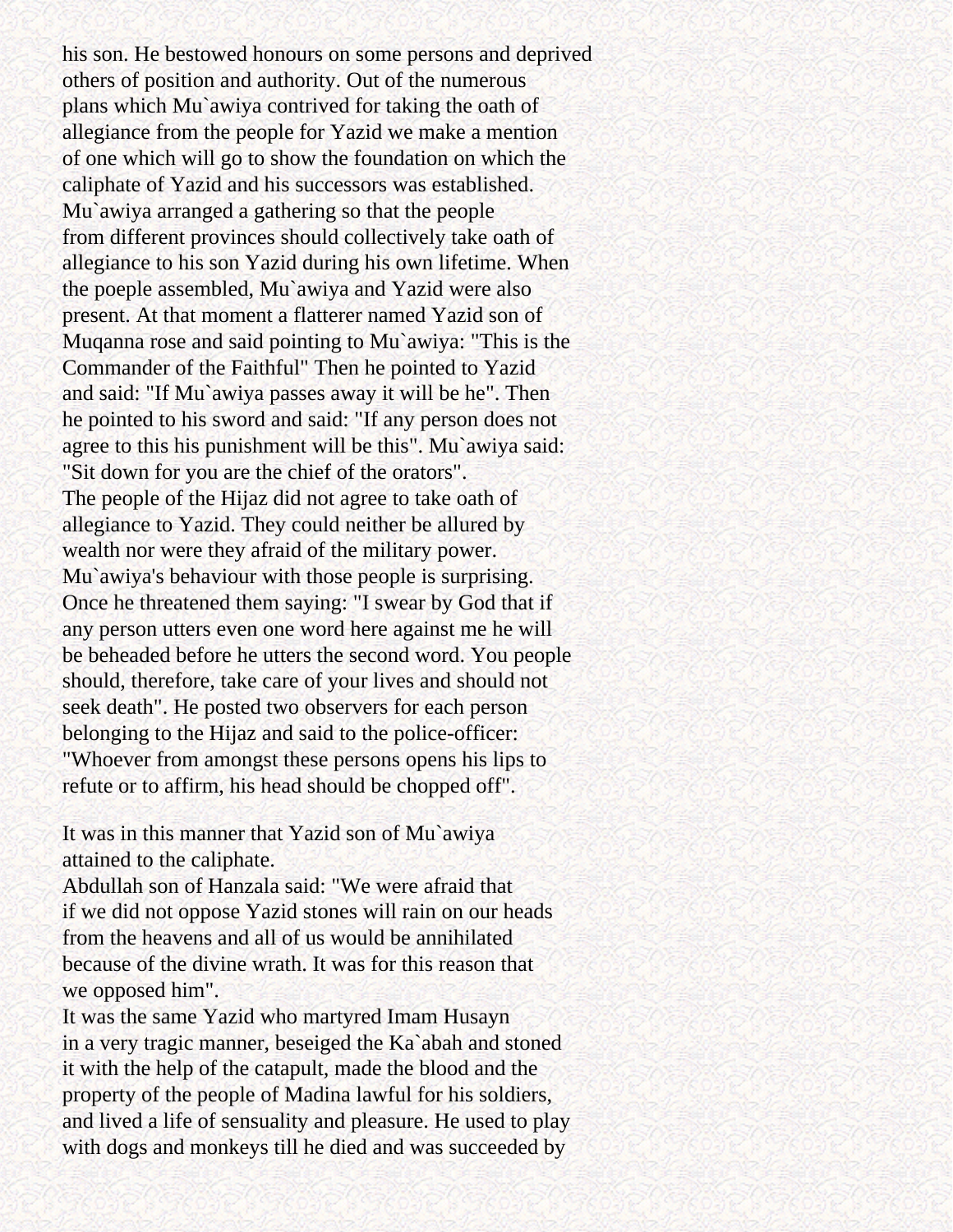his son. He bestowed honours on some persons and deprived others of position and authority. Out of the numerous plans which Mu`awiya contrived for taking the oath of allegiance from the people for Yazid we make a mention of one which will go to show the foundation on which the caliphate of Yazid and his successors was established. Mu`awiya arranged a gathering so that the people from different provinces should collectively take oath of allegiance to his son Yazid during his own lifetime. When the poeple assembled, Mu`awiya and Yazid were also present. At that moment a flatterer named Yazid son of Muqanna rose and said pointing to Mu`awiya: "This is the Commander of the Faithful" Then he pointed to Yazid and said: "If Mu`awiya passes away it will be he". Then he pointed to his sword and said: "If any person does not agree to this his punishment will be this". Mu`awiya said: "Sit down for you are the chief of the orators". The people of the Hijaz did not agree to take oath of allegiance to Yazid. They could neither be allured by wealth nor were they afraid of the military power. Mu`awiya's behaviour with those people is surprising. Once he threatened them saying: "I swear by God that if any person utters even one word here against me he will be beheaded before he utters the second word. You people should, therefore, take care of your lives and should not seek death". He posted two observers for each person belonging to the Hijaz and said to the police-officer: "Whoever from amongst these persons opens his lips to refute or to affirm, his head should be chopped off".

It was in this manner that Yazid son of Mu`awiya attained to the caliphate.

Abdullah son of Hanzala said: "We were afraid that if we did not oppose Yazid stones will rain on our heads from the heavens and all of us would be annihilated because of the divine wrath. It was for this reason that we opposed him".

It was the same Yazid who martyred Imam Husayn in a very tragic manner, beseiged the Ka`abah and stoned it with the help of the catapult, made the blood and the property of the people of Madina lawful for his soldiers, and lived a life of sensuality and pleasure. He used to play with dogs and monkeys till he died and was succeeded by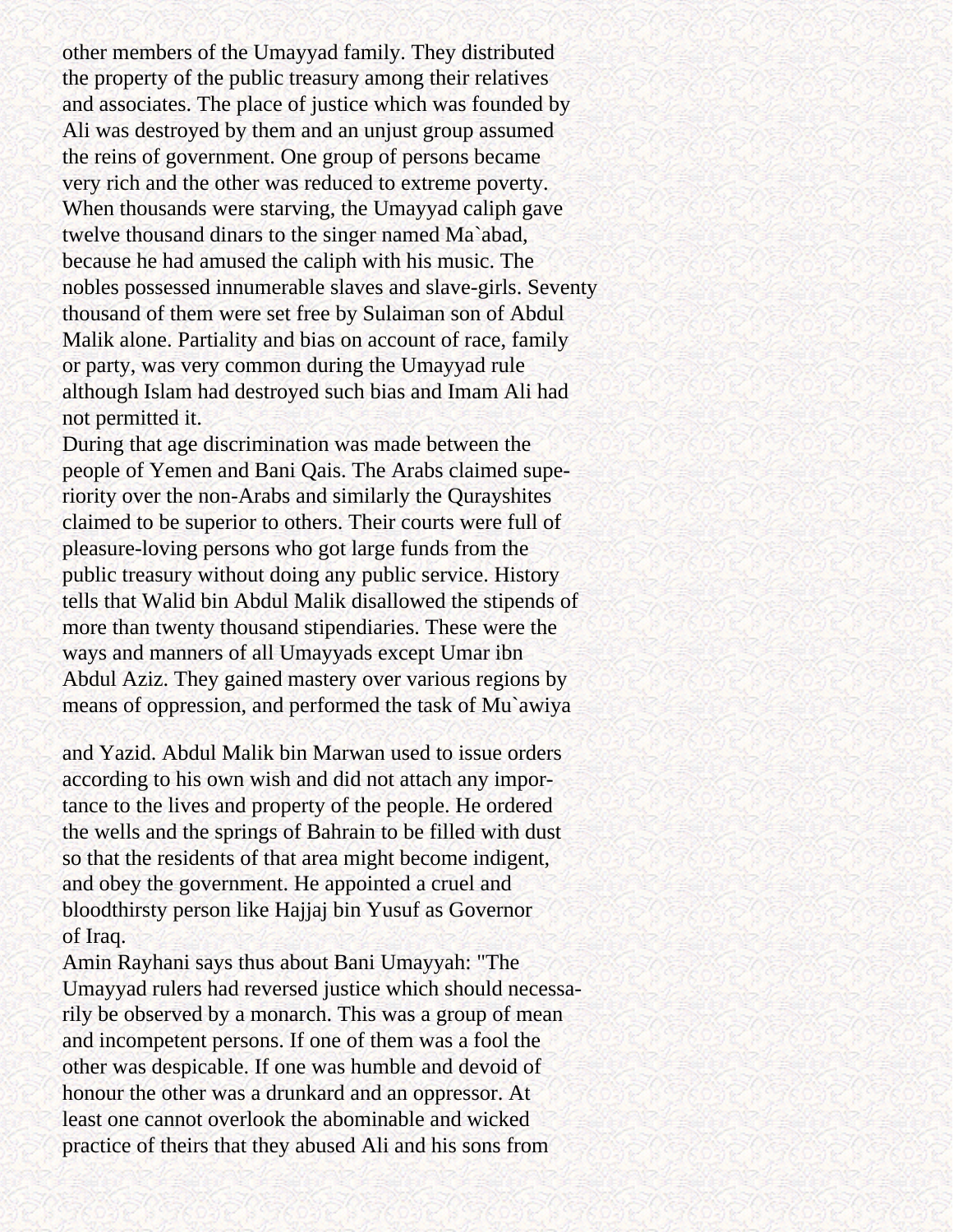other members of the Umayyad family. They distributed the property of the public treasury among their relatives and associates. The place of justice which was founded by Ali was destroyed by them and an unjust group assumed the reins of government. One group of persons became very rich and the other was reduced to extreme poverty. When thousands were starving, the Umayyad caliph gave twelve thousand dinars to the singer named Ma`abad, because he had amused the caliph with his music. The nobles possessed innumerable slaves and slave-girls. Seventy thousand of them were set free by Sulaiman son of Abdul Malik alone. Partiality and bias on account of race, family or party, was very common during the Umayyad rule although Islam had destroyed such bias and Imam Ali had not permitted it.

During that age discrimination was made between the people of Yemen and Bani Qais. The Arabs claimed superiority over the non-Arabs and similarly the Qurayshites claimed to be superior to others. Their courts were full of pleasure-loving persons who got large funds from the public treasury without doing any public service. History tells that Walid bin Abdul Malik disallowed the stipends of more than twenty thousand stipendiaries. These were the ways and manners of all Umayyads except Umar ibn Abdul Aziz. They gained mastery over various regions by means of oppression, and performed the task of Mu`awiya

and Yazid. Abdul Malik bin Marwan used to issue orders according to his own wish and did not attach any importance to the lives and property of the people. He ordered the wells and the springs of Bahrain to be filled with dust so that the residents of that area might become indigent, and obey the government. He appointed a cruel and bloodthirsty person like Hajjaj bin Yusuf as Governor of Iraq.

Amin Rayhani says thus about Bani Umayyah: "The Umayyad rulers had reversed justice which should necessarily be observed by a monarch. This was a group of mean and incompetent persons. If one of them was a fool the other was despicable. If one was humble and devoid of honour the other was a drunkard and an oppressor. At least one cannot overlook the abominable and wicked practice of theirs that they abused Ali and his sons from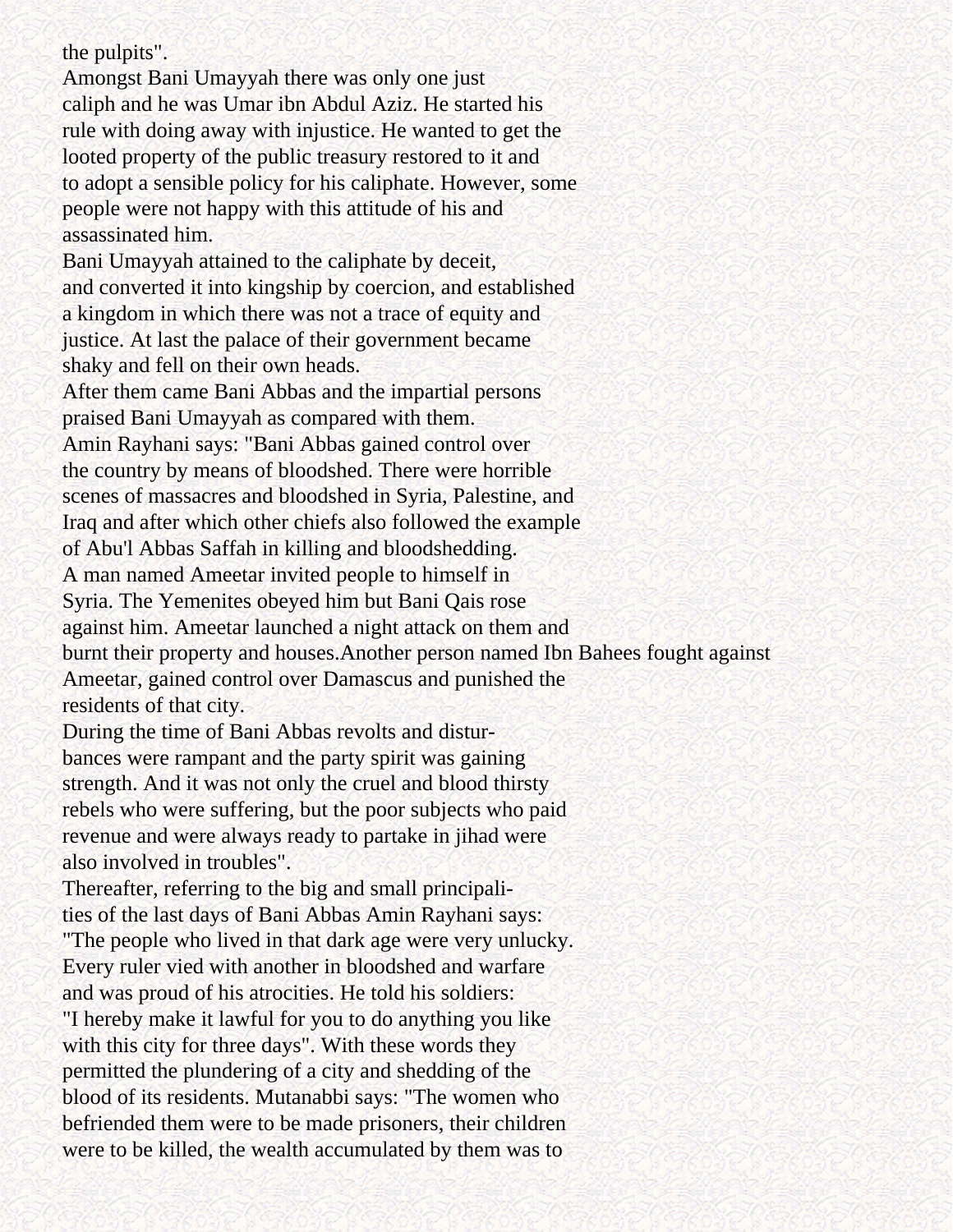the pulpits".

Amongst Bani Umayyah there was only one just caliph and he was Umar ibn Abdul Aziz. He started his rule with doing away with injustice. He wanted to get the looted property of the public treasury restored to it and to adopt a sensible policy for his caliphate. However, some people were not happy with this attitude of his and assassinated him.

Bani Umayyah attained to the caliphate by deceit, and converted it into kingship by coercion, and established a kingdom in which there was not a trace of equity and justice. At last the palace of their government became shaky and fell on their own heads.

After them came Bani Abbas and the impartial persons praised Bani Umayyah as compared with them.

Amin Rayhani says: "Bani Abbas gained control over the country by means of bloodshed. There were horrible scenes of massacres and bloodshed in Syria, Palestine, and Iraq and after which other chiefs also followed the example of Abu'l Abbas Saffah in killing and bloodshedding. A man named Ameetar invited people to himself in Syria. The Yemenites obeyed him but Bani Qais rose against him. Ameetar launched a night attack on them and burnt their property and houses.Another person named Ibn Bahees fought against Ameetar, gained control over Damascus and punished the residents of that city.

During the time of Bani Abbas revolts and disturbances were rampant and the party spirit was gaining strength. And it was not only the cruel and blood thirsty rebels who were suffering, but the poor subjects who paid revenue and were always ready to partake in jihad were also involved in troubles".

Thereafter, referring to the big and small principalities of the last days of Bani Abbas Amin Rayhani says: "The people who lived in that dark age were very unlucky. Every ruler vied with another in bloodshed and warfare and was proud of his atrocities. He told his soldiers: "I hereby make it lawful for you to do anything you like with this city for three days". With these words they permitted the plundering of a city and shedding of the blood of its residents. Mutanabbi says: "The women who befriended them were to be made prisoners, their children were to be killed, the wealth accumulated by them was to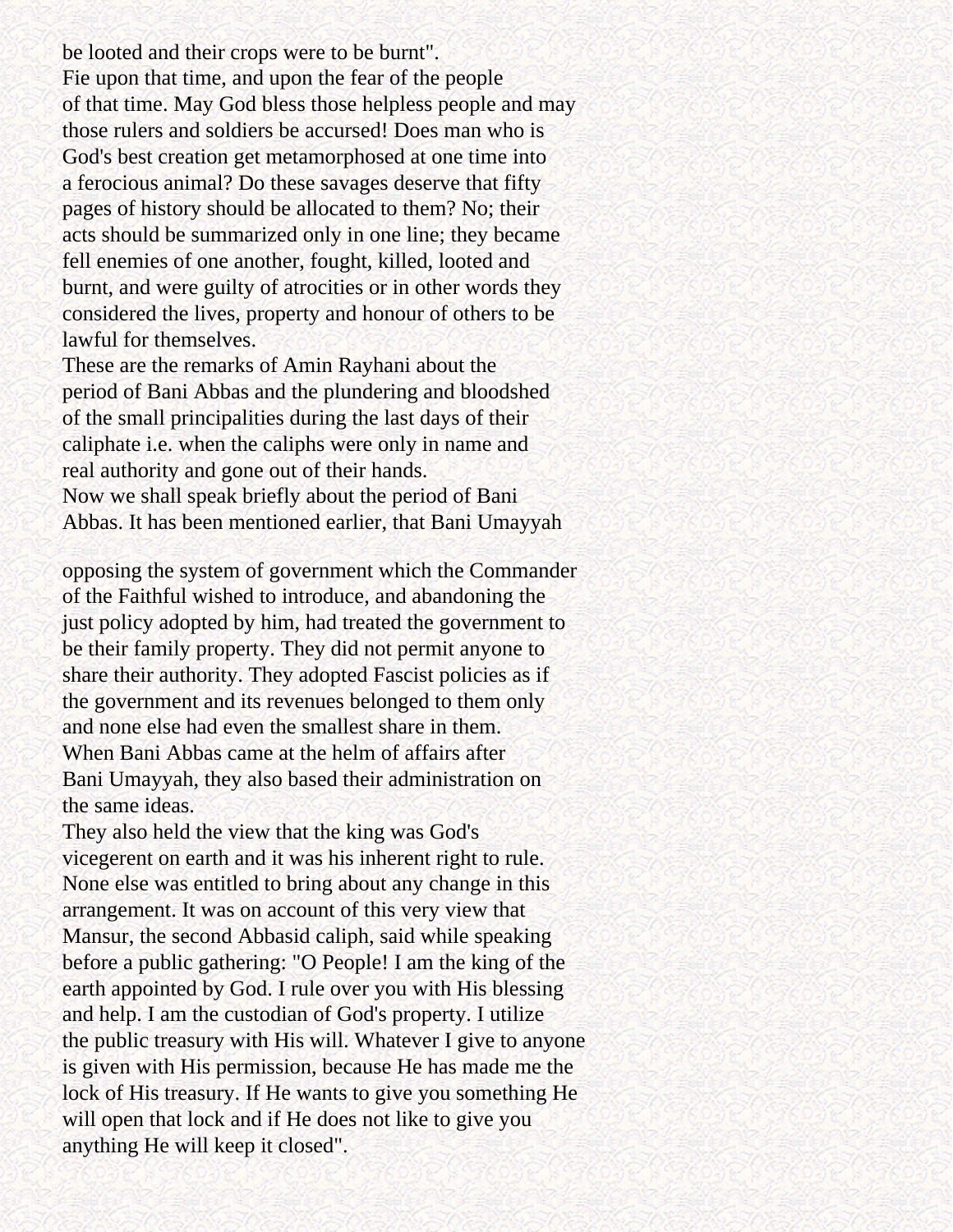be looted and their crops were to be burnt". Fie upon that time, and upon the fear of the people of that time. May God bless those helpless people and may those rulers and soldiers be accursed! Does man who is God's best creation get metamorphosed at one time into a ferocious animal? Do these savages deserve that fifty pages of history should be allocated to them? No; their acts should be summarized only in one line; they became fell enemies of one another, fought, killed, looted and burnt, and were guilty of atrocities or in other words they considered the lives, property and honour of others to be lawful for themselves.

These are the remarks of Amin Rayhani about the period of Bani Abbas and the plundering and bloodshed of the small principalities during the last days of their caliphate i.e. when the caliphs were only in name and real authority and gone out of their hands. Now we shall speak briefly about the period of Bani Abbas. It has been mentioned earlier, that Bani Umayyah

opposing the system of government which the Commander of the Faithful wished to introduce, and abandoning the just policy adopted by him, had treated the government to be their family property. They did not permit anyone to share their authority. They adopted Fascist policies as if the government and its revenues belonged to them only and none else had even the smallest share in them. When Bani Abbas came at the helm of affairs after Bani Umayyah, they also based their administration on the same ideas.

They also held the view that the king was God's vicegerent on earth and it was his inherent right to rule. None else was entitled to bring about any change in this arrangement. It was on account of this very view that Mansur, the second Abbasid caliph, said while speaking before a public gathering: "O People! I am the king of the earth appointed by God. I rule over you with His blessing and help. I am the custodian of God's property. I utilize the public treasury with His will. Whatever I give to anyone is given with His permission, because He has made me the lock of His treasury. If He wants to give you something He will open that lock and if He does not like to give you anything He will keep it closed".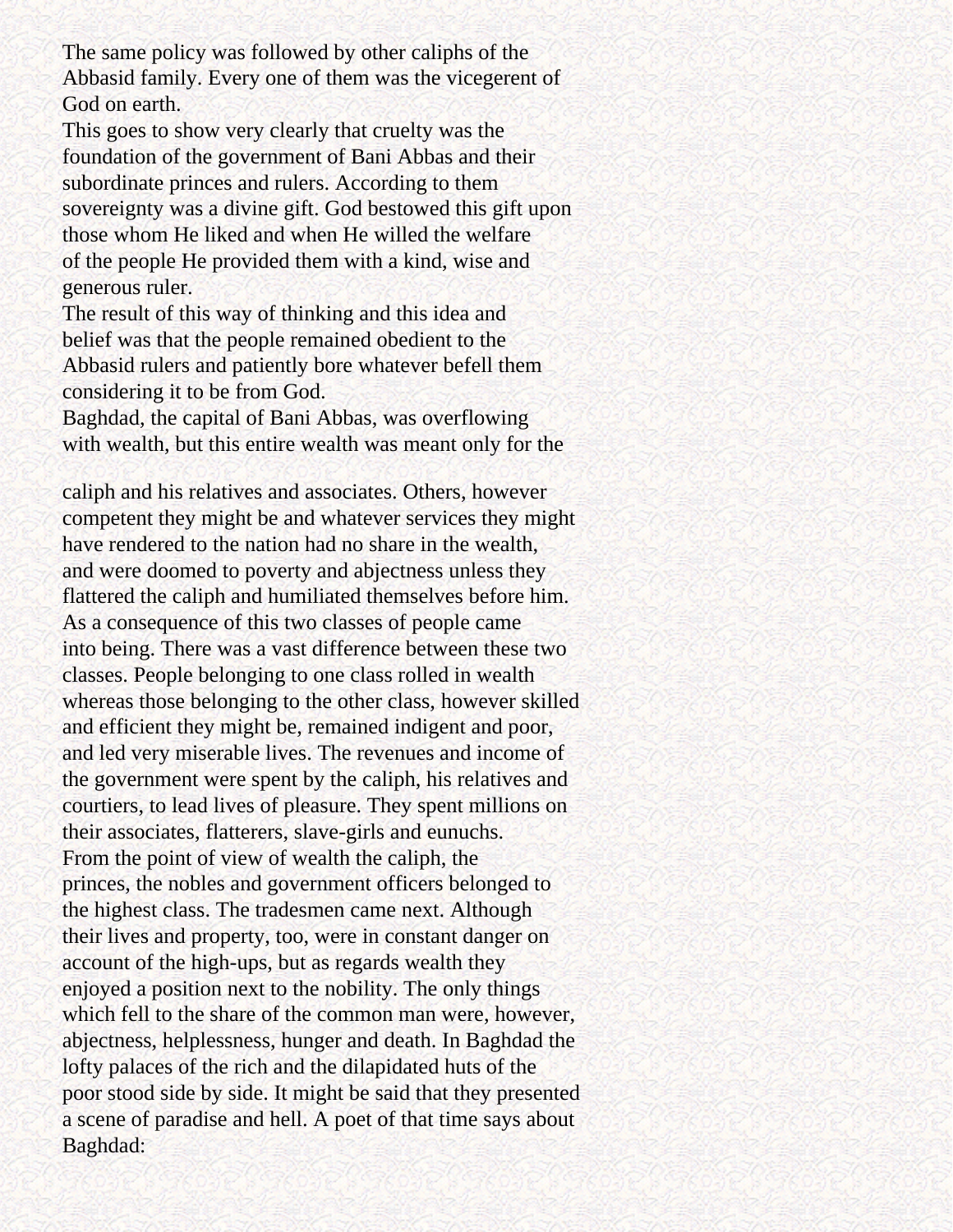The same policy was followed by other caliphs of the Abbasid family. Every one of them was the vicegerent of God on earth.

This goes to show very clearly that cruelty was the foundation of the government of Bani Abbas and their subordinate princes and rulers. According to them sovereignty was a divine gift. God bestowed this gift upon those whom He liked and when He willed the welfare of the people He provided them with a kind, wise and generous ruler.

The result of this way of thinking and this idea and belief was that the people remained obedient to the Abbasid rulers and patiently bore whatever befell them considering it to be from God.

Baghdad, the capital of Bani Abbas, was overflowing with wealth, but this entire wealth was meant only for the

caliph and his relatives and associates. Others, however competent they might be and whatever services they might have rendered to the nation had no share in the wealth, and were doomed to poverty and abjectness unless they flattered the caliph and humiliated themselves before him. As a consequence of this two classes of people came into being. There was a vast difference between these two classes. People belonging to one class rolled in wealth whereas those belonging to the other class, however skilled and efficient they might be, remained indigent and poor, and led very miserable lives. The revenues and income of the government were spent by the caliph, his relatives and courtiers, to lead lives of pleasure. They spent millions on their associates, flatterers, slave-girls and eunuchs. From the point of view of wealth the caliph, the princes, the nobles and government officers belonged to the highest class. The tradesmen came next. Although their lives and property, too, were in constant danger on account of the high-ups, but as regards wealth they enjoyed a position next to the nobility. The only things which fell to the share of the common man were, however, abjectness, helplessness, hunger and death. In Baghdad the lofty palaces of the rich and the dilapidated huts of the poor stood side by side. It might be said that they presented a scene of paradise and hell. A poet of that time says about Baghdad: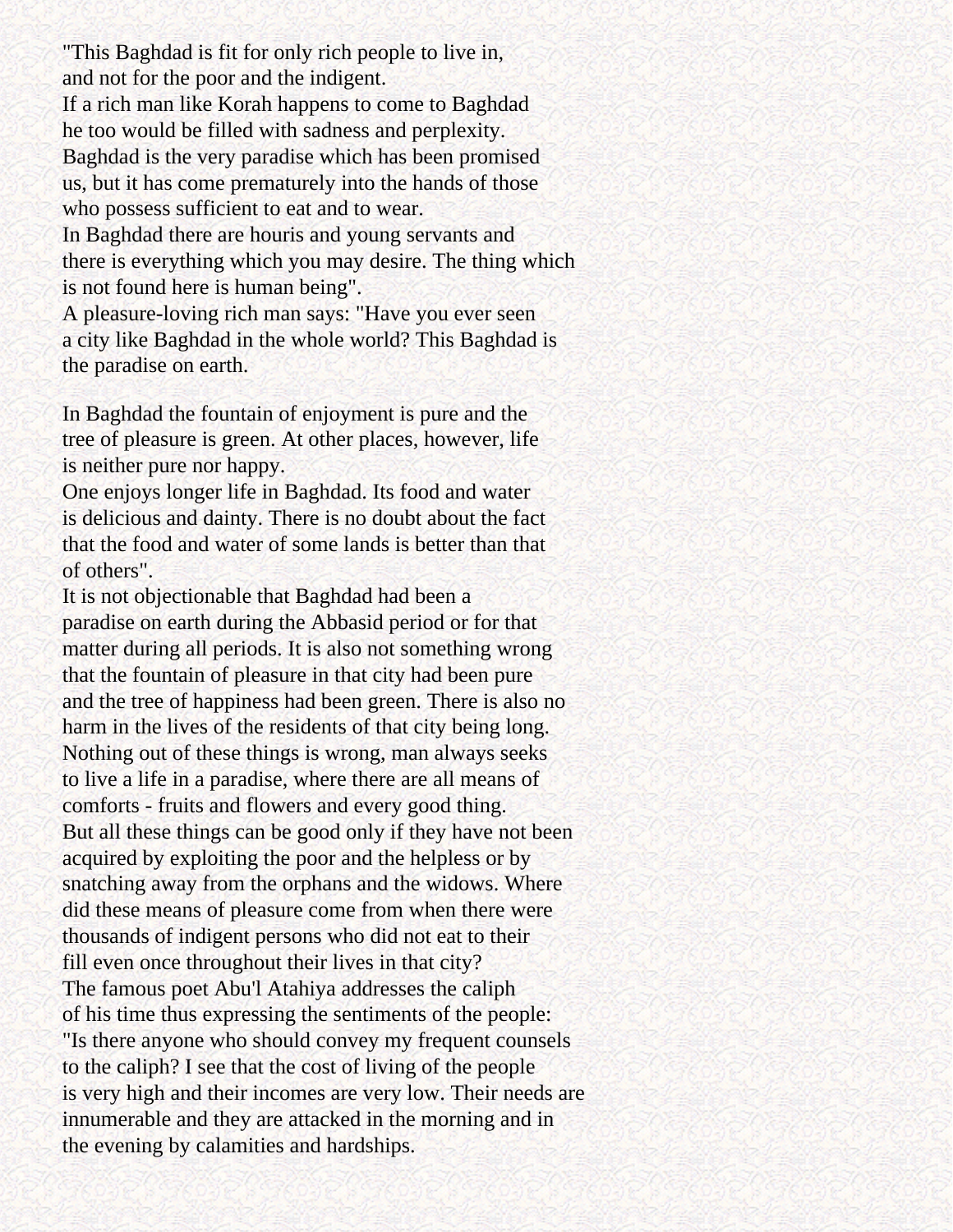"This Baghdad is fit for only rich people to live in, and not for the poor and the indigent. If a rich man like Korah happens to come to Baghdad he too would be filled with sadness and perplexity. Baghdad is the very paradise which has been promised us, but it has come prematurely into the hands of those

who possess sufficient to eat and to wear.

In Baghdad there are houris and young servants and there is everything which you may desire. The thing which is not found here is human being".

A pleasure-loving rich man says: "Have you ever seen a city like Baghdad in the whole world? This Baghdad is the paradise on earth.

In Baghdad the fountain of enjoyment is pure and the tree of pleasure is green. At other places, however, life is neither pure nor happy.

One enjoys longer life in Baghdad. Its food and water is delicious and dainty. There is no doubt about the fact that the food and water of some lands is better than that of others".

It is not objectionable that Baghdad had been a paradise on earth during the Abbasid period or for that matter during all periods. It is also not something wrong that the fountain of pleasure in that city had been pure and the tree of happiness had been green. There is also no harm in the lives of the residents of that city being long. Nothing out of these things is wrong, man always seeks to live a life in a paradise, where there are all means of comforts - fruits and flowers and every good thing. But all these things can be good only if they have not been acquired by exploiting the poor and the helpless or by snatching away from the orphans and the widows. Where did these means of pleasure come from when there were thousands of indigent persons who did not eat to their fill even once throughout their lives in that city? The famous poet Abu'l Atahiya addresses the caliph of his time thus expressing the sentiments of the people: "Is there anyone who should convey my frequent counsels to the caliph? I see that the cost of living of the people is very high and their incomes are very low. Their needs are innumerable and they are attacked in the morning and in the evening by calamities and hardships.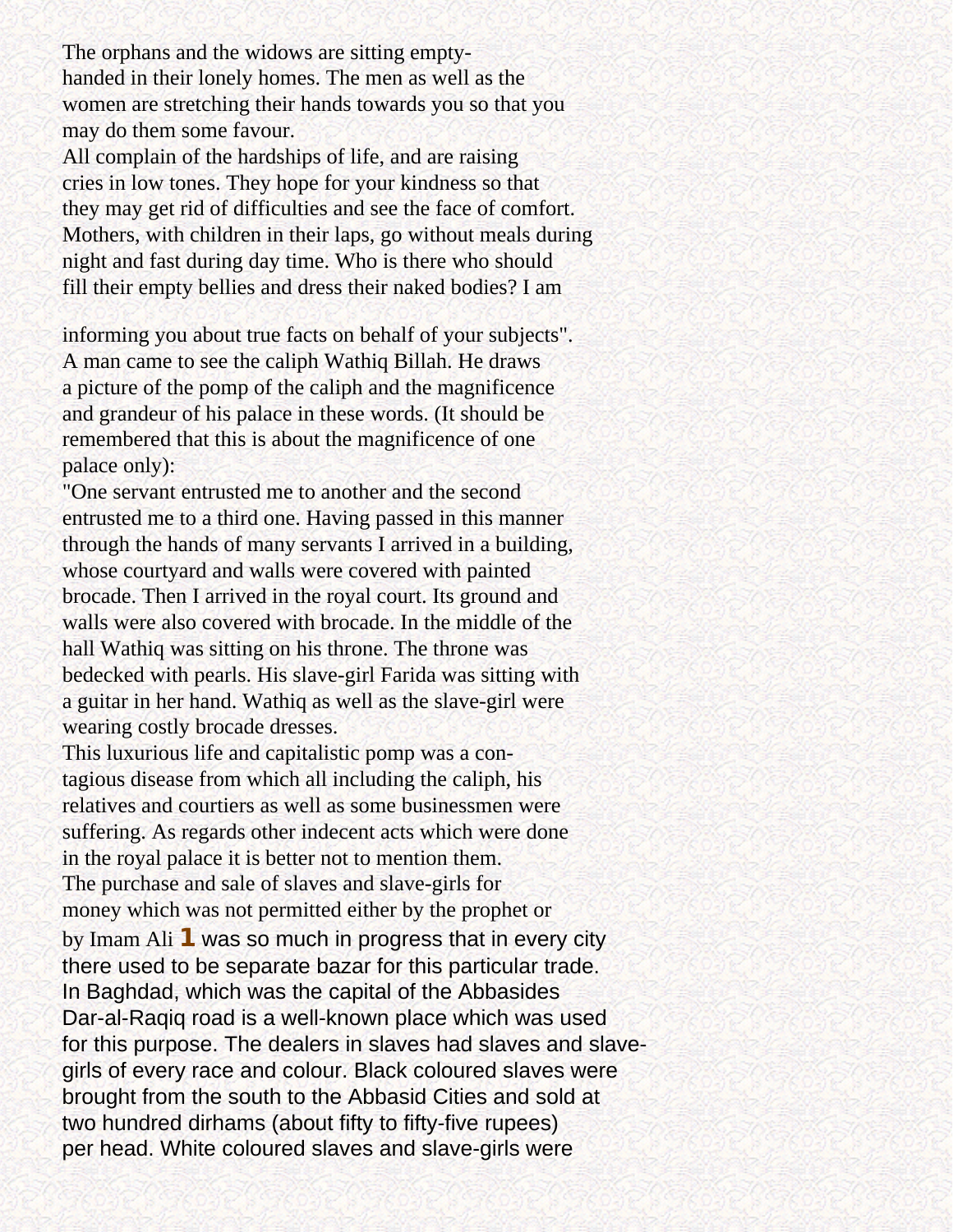The orphans and the widows are sitting emptyhanded in their lonely homes. The men as well as the women are stretching their hands towards you so that you may do them some favour.

All complain of the hardships of life, and are raising cries in low tones. They hope for your kindness so that they may get rid of difficulties and see the face of comfort. Mothers, with children in their laps, go without meals during night and fast during day time. Who is there who should fill their empty bellies and dress their naked bodies? I am

informing you about true facts on behalf of your subjects". A man came to see the caliph Wathiq Billah. He draws a picture of the pomp of the caliph and the magnificence and grandeur of his palace in these words. (It should be remembered that this is about the magnificence of one palace only):

"One servant entrusted me to another and the second entrusted me to a third one. Having passed in this manner through the hands of many servants I arrived in a building, whose courtyard and walls were covered with painted brocade. Then I arrived in the royal court. Its ground and walls were also covered with brocade. In the middle of the hall Wathiq was sitting on his throne. The throne was bedecked with pearls. His slave-girl Farida was sitting with a guitar in her hand. Wathiq as well as the slave-girl were wearing costly brocade dresses.

This luxurious life and capitalistic pomp was a contagious disease from which all including the caliph, his relatives and courtiers as well as some businessmen were suffering. As regards other indecent acts which were done in the royal palace it is better not to mention them. The purchase and sale of slaves and slave-girls for money which was not permitted either by the prophet or by Imam Ali 1 was so much in progress that in every city there used to be separate bazar for this particular trade. In Baghdad, which was the capital of the Abbasides Dar-al-Raqiq road is a well-known place which was used for this purpose. The dealers in slaves had slaves and slavegirls of every race and colour. Black coloured slaves were brought from the south to the Abbasid Cities and sold at two hundred dirhams (about fifty to fifty-five rupees) per head. White coloured slaves and slave-girls were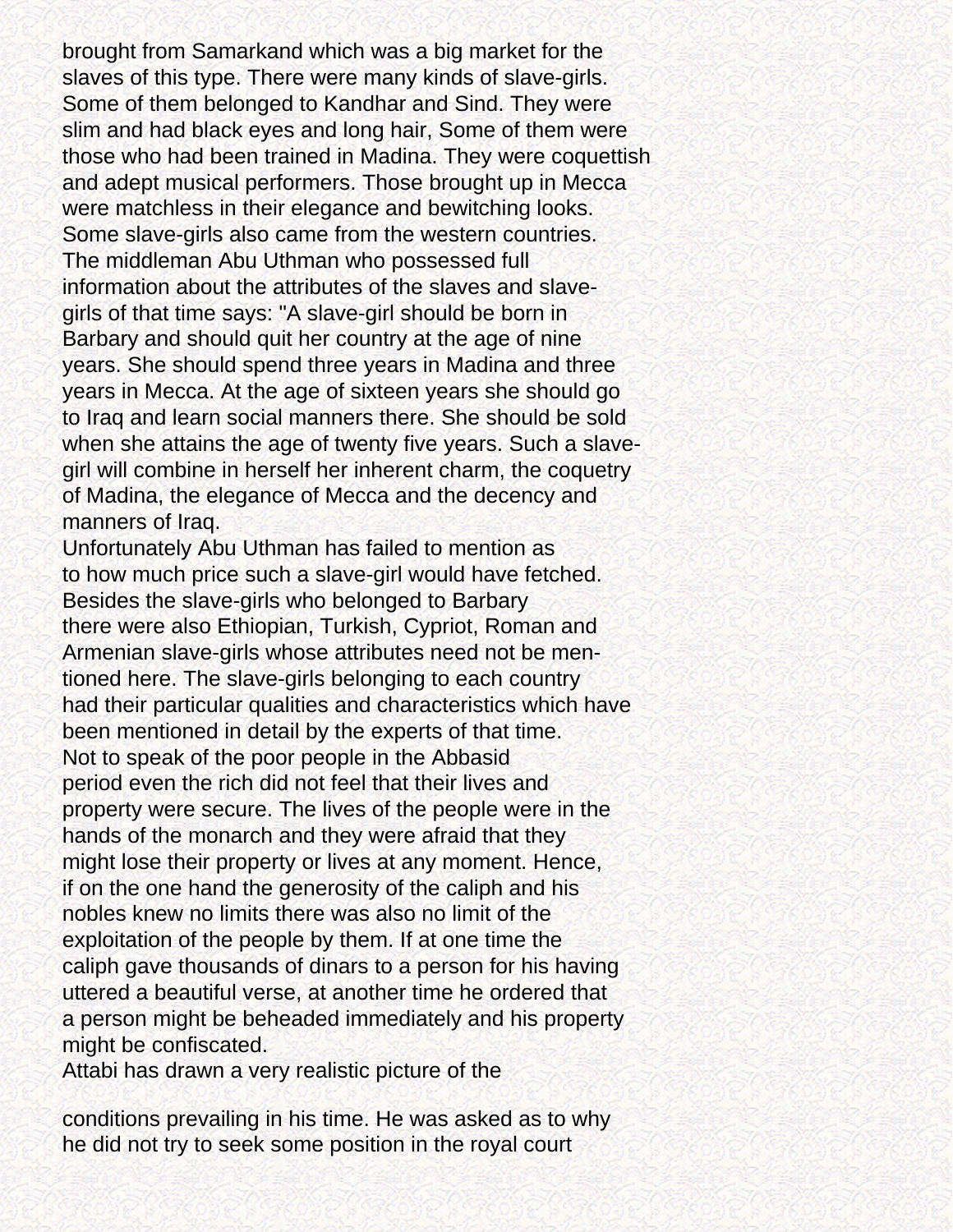brought from Samarkand which was a big market for the slaves of this type. There were many kinds of slave-girls. Some of them belonged to Kandhar and Sind. They were slim and had black eyes and long hair, Some of them were those who had been trained in Madina. They were coquettish and adept musical performers. Those brought up in Mecca were matchless in their elegance and bewitching looks. Some slave-girls also came from the western countries. The middleman Abu Uthman who possessed full information about the attributes of the slaves and slavegirls of that time says: "A slave-girl should be born in Barbary and should quit her country at the age of nine years. She should spend three years in Madina and three years in Mecca. At the age of sixteen years she should go to Iraq and learn social manners there. She should be sold when she attains the age of twenty five years. Such a slavegirl will combine in herself her inherent charm, the coquetry of Madina, the elegance of Mecca and the decency and manners of Iraq.

Unfortunately Abu Uthman has failed to mention as to how much price such a slave-girl would have fetched. Besides the slave-girls who belonged to Barbary there were also Ethiopian, Turkish, Cypriot, Roman and Armenian slave-girls whose attributes need not be mentioned here. The slave-girls belonging to each country had their particular qualities and characteristics which have been mentioned in detail by the experts of that time. Not to speak of the poor people in the Abbasid period even the rich did not feel that their lives and property were secure. The lives of the people were in the hands of the monarch and they were afraid that they might lose their property or lives at any moment. Hence, if on the one hand the generosity of the caliph and his nobles knew no limits there was also no limit of the exploitation of the people by them. If at one time the caliph gave thousands of dinars to a person for his having uttered a beautiful verse, at another time he ordered that a person might be beheaded immediately and his property might be confiscated.

Attabi has drawn a very realistic picture of the

conditions prevailing in his time. He was asked as to why he did not try to seek some position in the royal court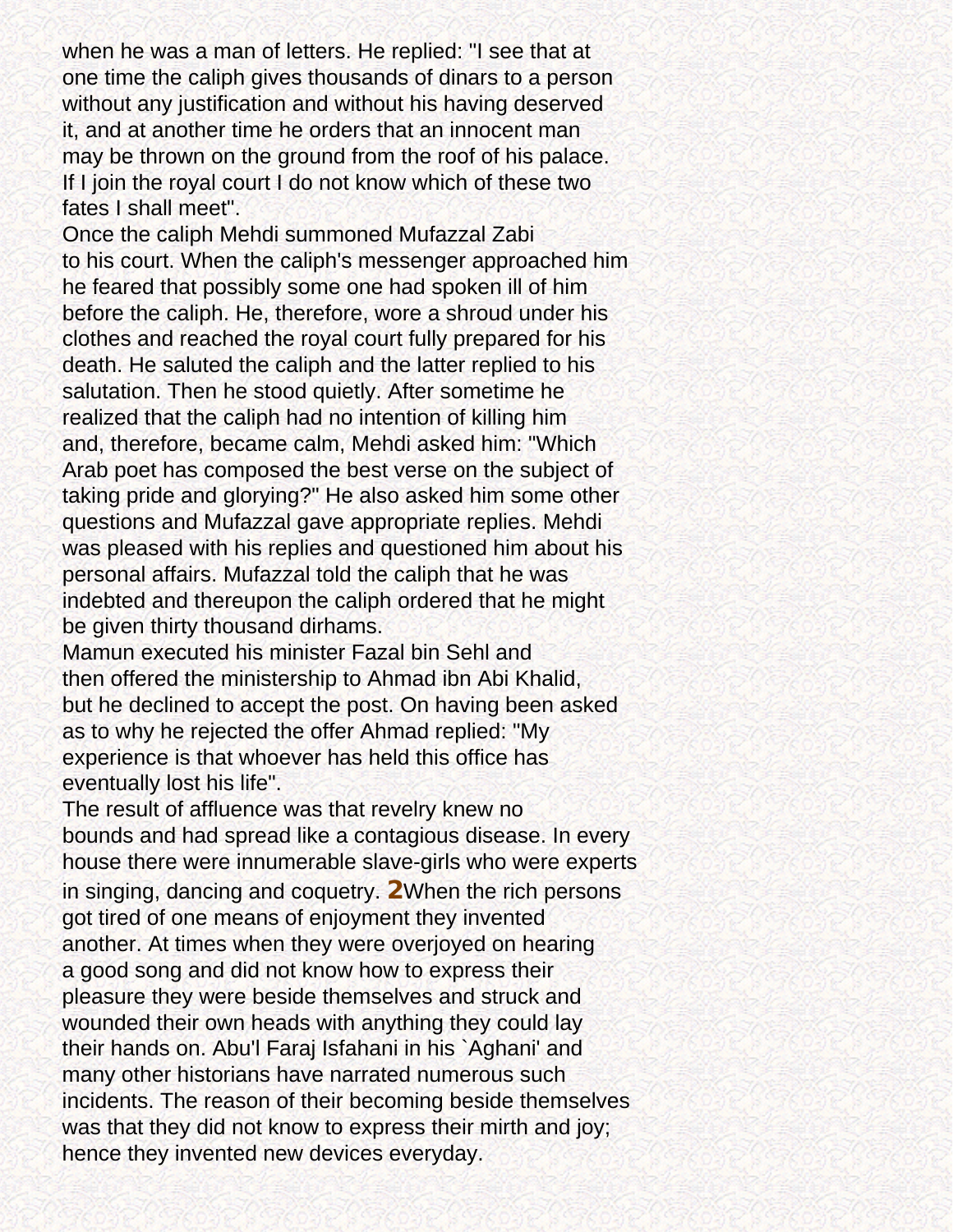when he was a man of letters. He replied: "I see that at one time the caliph gives thousands of dinars to a person without any justification and without his having deserved it, and at another time he orders that an innocent man may be thrown on the ground from the roof of his palace. If I join the royal court I do not know which of these two fates I shall meet".

Once the caliph Mehdi summoned Mufazzal Zabi to his court. When the caliph's messenger approached him he feared that possibly some one had spoken ill of him before the caliph. He, therefore, wore a shroud under his clothes and reached the royal court fully prepared for his death. He saluted the caliph and the latter replied to his salutation. Then he stood quietly. After sometime he realized that the caliph had no intention of killing him and, therefore, became calm, Mehdi asked him: "Which Arab poet has composed the best verse on the subject of taking pride and glorying?" He also asked him some other questions and Mufazzal gave appropriate replies. Mehdi was pleased with his replies and questioned him about his personal affairs. Mufazzal told the caliph that he was indebted and thereupon the caliph ordered that he might be given thirty thousand dirhams.

Mamun executed his minister Fazal bin Sehl and then offered the ministership to Ahmad ibn Abi Khalid, but he declined to accept the post. On having been asked as to why he rejected the offer Ahmad replied: "My experience is that whoever has held this office has eventually lost his life".

The result of affluence was that revelry knew no bounds and had spread like a contagious disease. In every house there were innumerable slave-girls who were experts in singing, dancing and coquetry. 2When the rich persons got tired of one means of enjoyment they invented another. At times when they were overjoyed on hearing a good song and did not know how to express their pleasure they were beside themselves and struck and wounded their own heads with anything they could lay their hands on. Abu'l Faraj Isfahani in his `Aghani' and many other historians have narrated numerous such incidents. The reason of their becoming beside themselves was that they did not know to express their mirth and joy; hence they invented new devices everyday.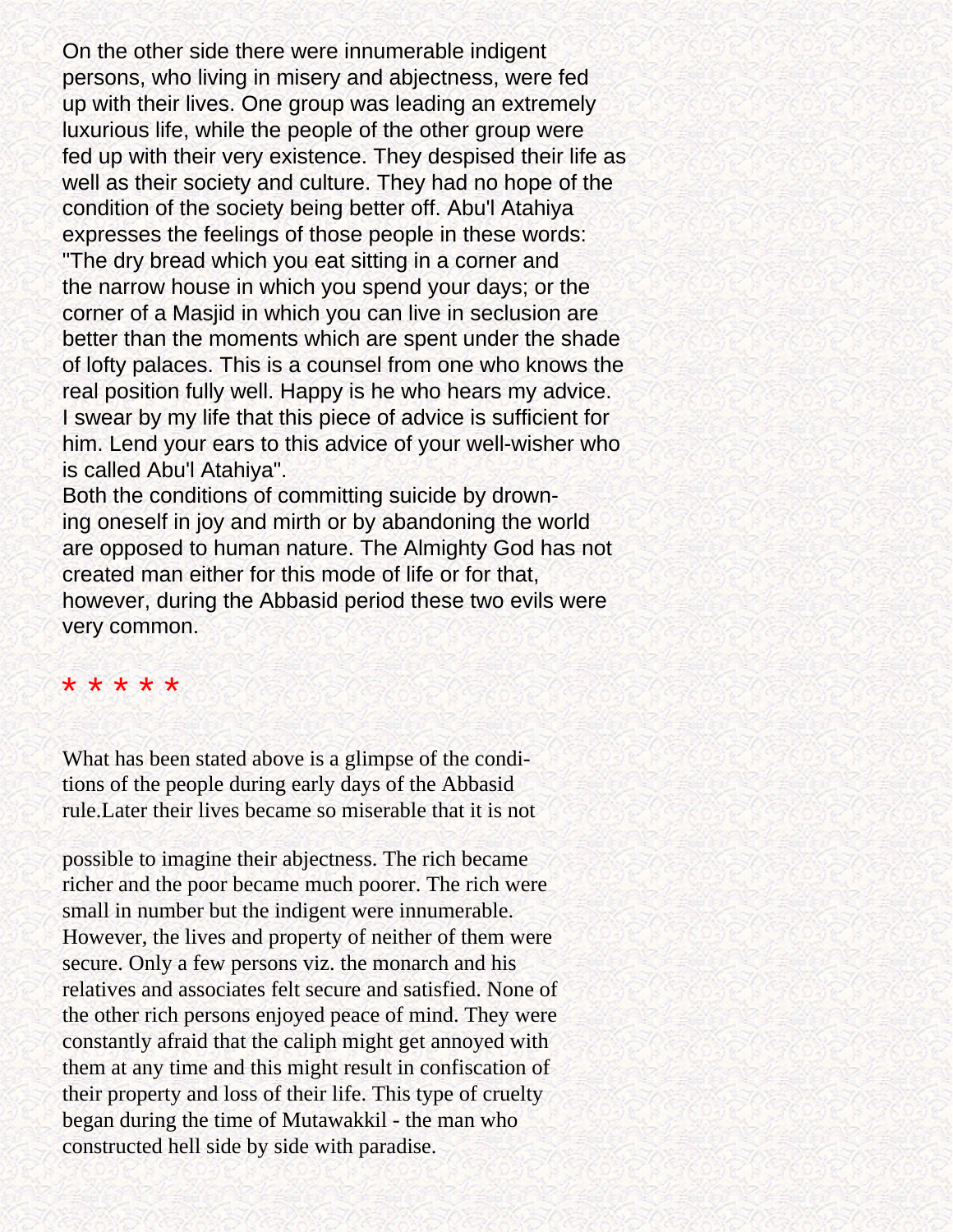On the other side there were innumerable indigent persons, who living in misery and abjectness, were fed up with their lives. One group was leading an extremely luxurious life, while the people of the other group were fed up with their very existence. They despised their life as well as their society and culture. They had no hope of the condition of the society being better off. Abu'l Atahiya expresses the feelings of those people in these words: "The dry bread which you eat sitting in a corner and the narrow house in which you spend your days; or the corner of a Masjid in which you can live in seclusion are better than the moments which are spent under the shade of lofty palaces. This is a counsel from one who knows the real position fully well. Happy is he who hears my advice. I swear by my life that this piece of advice is sufficient for him. Lend your ears to this advice of your well-wisher who is called Abu'l Atahiya".

Both the conditions of committing suicide by drowning oneself in joy and mirth or by abandoning the world are opposed to human nature. The Almighty God has not created man either for this mode of life or for that, however, during the Abbasid period these two evils were very common.

\* \* \* \* \*

What has been stated above is a glimpse of the conditions of the people during early days of the Abbasid rule.Later their lives became so miserable that it is not

possible to imagine their abjectness. The rich became richer and the poor became much poorer. The rich were small in number but the indigent were innumerable. However, the lives and property of neither of them were secure. Only a few persons viz. the monarch and his relatives and associates felt secure and satisfied. None of the other rich persons enjoyed peace of mind. They were constantly afraid that the caliph might get annoyed with them at any time and this might result in confiscation of their property and loss of their life. This type of cruelty began during the time of Mutawakkil - the man who constructed hell side by side with paradise.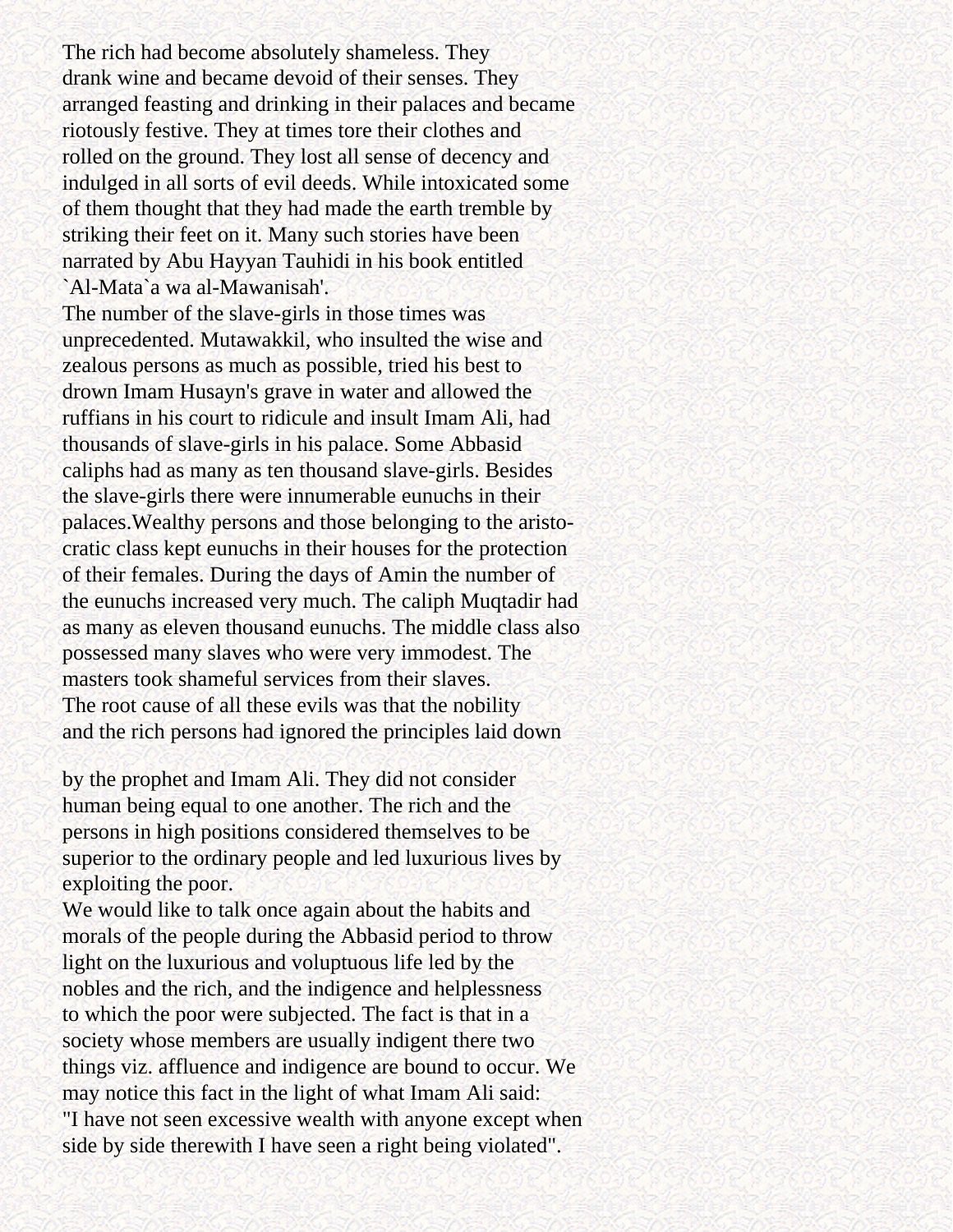The rich had become absolutely shameless. They drank wine and became devoid of their senses. They arranged feasting and drinking in their palaces and became riotously festive. They at times tore their clothes and rolled on the ground. They lost all sense of decency and indulged in all sorts of evil deeds. While intoxicated some of them thought that they had made the earth tremble by striking their feet on it. Many such stories have been narrated by Abu Hayyan Tauhidi in his book entitled `Al-Mata`a wa al-Mawanisah'.

The number of the slave-girls in those times was unprecedented. Mutawakkil, who insulted the wise and zealous persons as much as possible, tried his best to drown Imam Husayn's grave in water and allowed the ruffians in his court to ridicule and insult Imam Ali, had thousands of slave-girls in his palace. Some Abbasid caliphs had as many as ten thousand slave-girls. Besides the slave-girls there were innumerable eunuchs in their palaces.Wealthy persons and those belonging to the aristocratic class kept eunuchs in their houses for the protection of their females. During the days of Amin the number of the eunuchs increased very much. The caliph Muqtadir had as many as eleven thousand eunuchs. The middle class also possessed many slaves who were very immodest. The masters took shameful services from their slaves. The root cause of all these evils was that the nobility and the rich persons had ignored the principles laid down

by the prophet and Imam Ali. They did not consider human being equal to one another. The rich and the persons in high positions considered themselves to be superior to the ordinary people and led luxurious lives by exploiting the poor.

We would like to talk once again about the habits and morals of the people during the Abbasid period to throw light on the luxurious and voluptuous life led by the nobles and the rich, and the indigence and helplessness to which the poor were subjected. The fact is that in a society whose members are usually indigent there two things viz. affluence and indigence are bound to occur. We may notice this fact in the light of what Imam Ali said: "I have not seen excessive wealth with anyone except when side by side therewith I have seen a right being violated".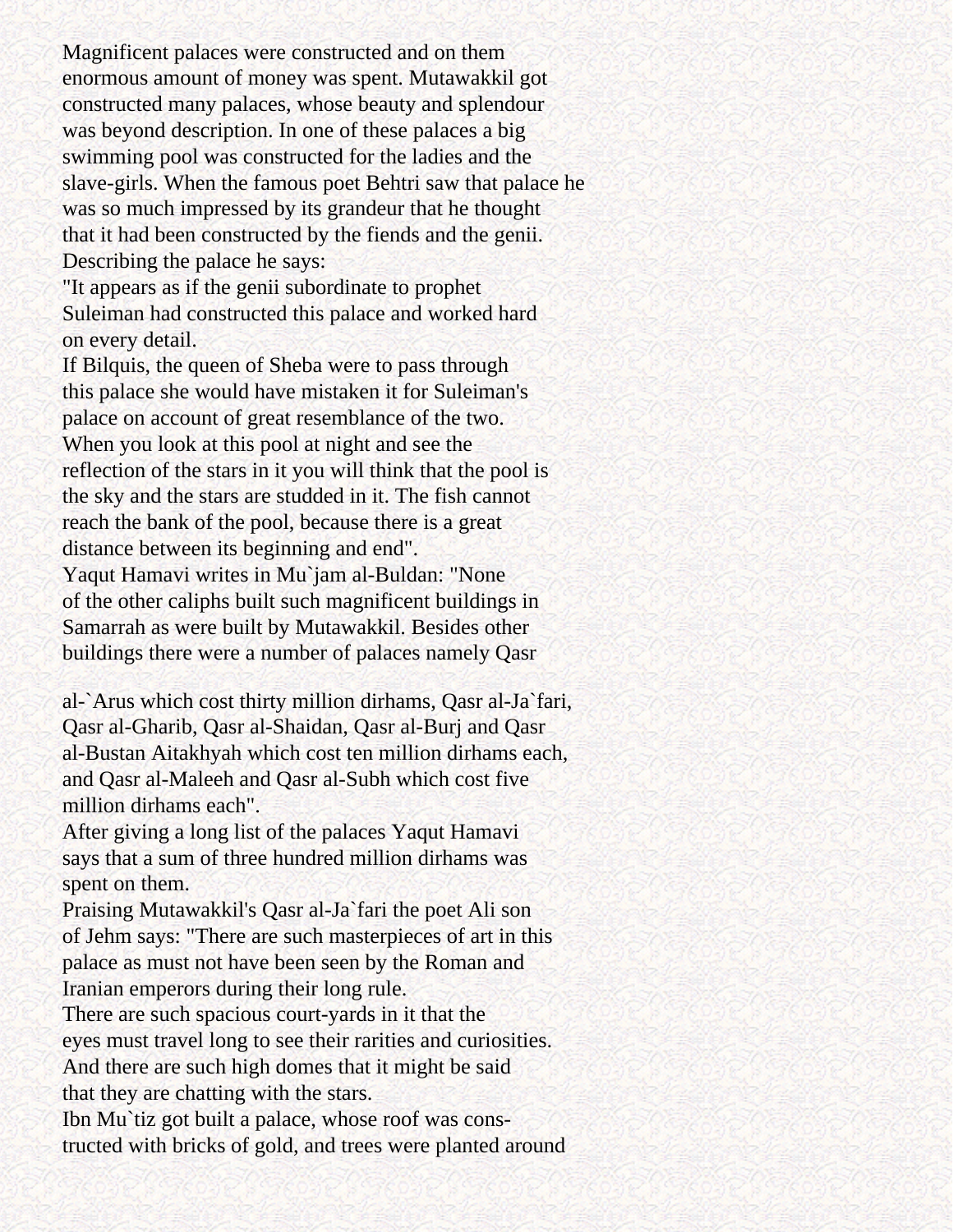Magnificent palaces were constructed and on them enormous amount of money was spent. Mutawakkil got constructed many palaces, whose beauty and splendour was beyond description. In one of these palaces a big swimming pool was constructed for the ladies and the slave-girls. When the famous poet Behtri saw that palace he was so much impressed by its grandeur that he thought that it had been constructed by the fiends and the genii. Describing the palace he says:

"It appears as if the genii subordinate to prophet Suleiman had constructed this palace and worked hard on every detail.

If Bilquis, the queen of Sheba were to pass through this palace she would have mistaken it for Suleiman's palace on account of great resemblance of the two. When you look at this pool at night and see the reflection of the stars in it you will think that the pool is the sky and the stars are studded in it. The fish cannot reach the bank of the pool, because there is a great distance between its beginning and end".

Yaqut Hamavi writes in Mu`jam al-Buldan: "None of the other caliphs built such magnificent buildings in Samarrah as were built by Mutawakkil. Besides other buildings there were a number of palaces namely Qasr

al-`Arus which cost thirty million dirhams, Qasr al-Ja`fari, Qasr al-Gharib, Qasr al-Shaidan, Qasr al-Burj and Qasr al-Bustan Aitakhyah which cost ten million dirhams each, and Qasr al-Maleeh and Qasr al-Subh which cost five million dirhams each".

After giving a long list of the palaces Yaqut Hamavi says that a sum of three hundred million dirhams was spent on them.

Praising Mutawakkil's Qasr al-Ja`fari the poet Ali son of Jehm says: "There are such masterpieces of art in this palace as must not have been seen by the Roman and Iranian emperors during their long rule.

There are such spacious court-yards in it that the eyes must travel long to see their rarities and curiosities. And there are such high domes that it might be said that they are chatting with the stars.

Ibn Mu`tiz got built a palace, whose roof was constructed with bricks of gold, and trees were planted around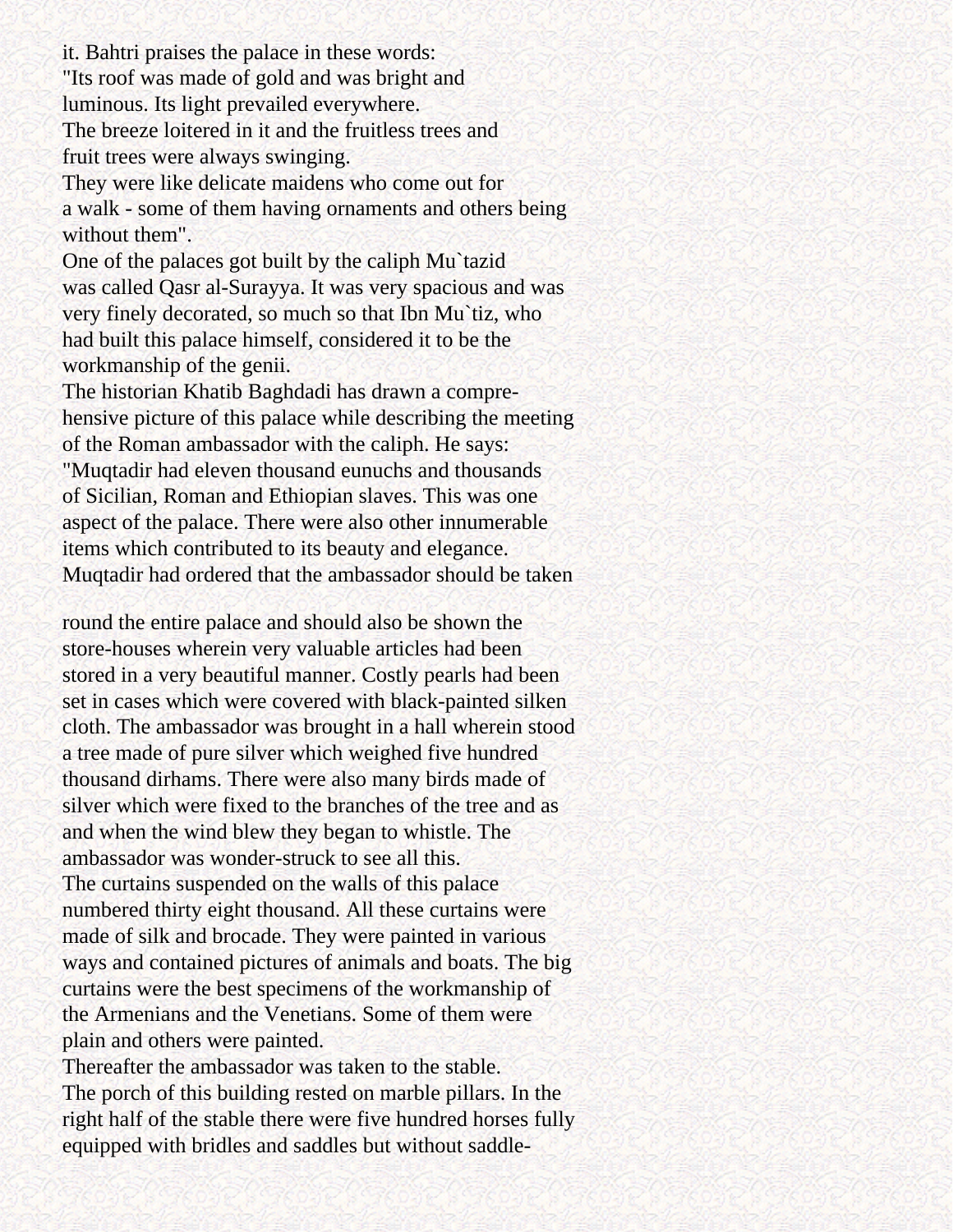it. Bahtri praises the palace in these words: "Its roof was made of gold and was bright and luminous. Its light prevailed everywhere. The breeze loitered in it and the fruitless trees and fruit trees were always swinging. They were like delicate maidens who come out for

a walk - some of them having ornaments and others being without them".

One of the palaces got built by the caliph Mu`tazid was called Qasr al-Surayya. It was very spacious and was very finely decorated, so much so that Ibn Mu`tiz, who had built this palace himself, considered it to be the workmanship of the genii.

The historian Khatib Baghdadi has drawn a comprehensive picture of this palace while describing the meeting of the Roman ambassador with the caliph. He says: "Muqtadir had eleven thousand eunuchs and thousands of Sicilian, Roman and Ethiopian slaves. This was one aspect of the palace. There were also other innumerable items which contributed to its beauty and elegance. Muqtadir had ordered that the ambassador should be taken

round the entire palace and should also be shown the store-houses wherein very valuable articles had been stored in a very beautiful manner. Costly pearls had been set in cases which were covered with black-painted silken cloth. The ambassador was brought in a hall wherein stood a tree made of pure silver which weighed five hundred thousand dirhams. There were also many birds made of silver which were fixed to the branches of the tree and as and when the wind blew they began to whistle. The ambassador was wonder-struck to see all this. The curtains suspended on the walls of this palace numbered thirty eight thousand. All these curtains were made of silk and brocade. They were painted in various ways and contained pictures of animals and boats. The big curtains were the best specimens of the workmanship of the Armenians and the Venetians. Some of them were plain and others were painted.

Thereafter the ambassador was taken to the stable. The porch of this building rested on marble pillars. In the right half of the stable there were five hundred horses fully equipped with bridles and saddles but without saddle-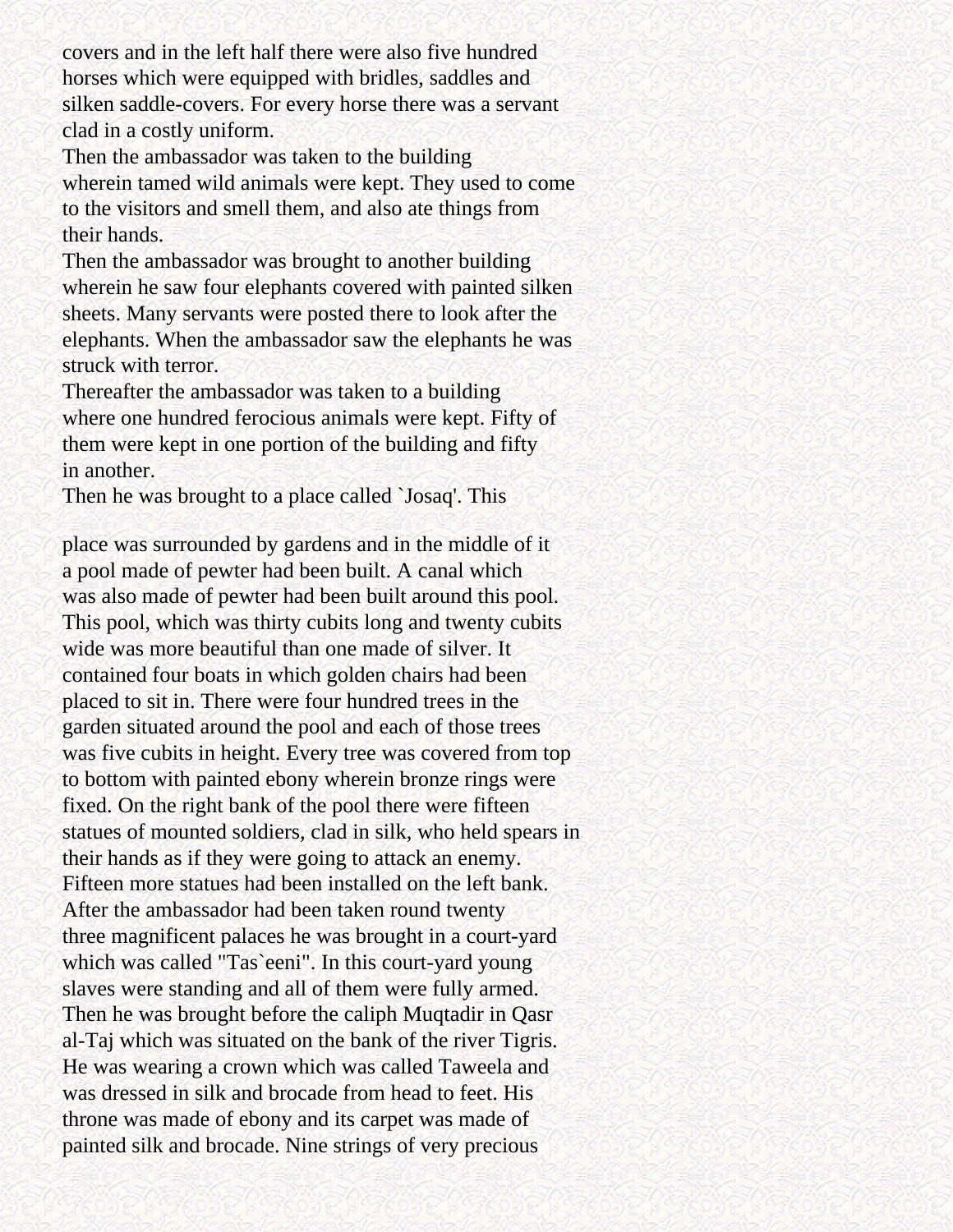covers and in the left half there were also five hundred horses which were equipped with bridles, saddles and silken saddle-covers. For every horse there was a servant clad in a costly uniform.

Then the ambassador was taken to the building wherein tamed wild animals were kept. They used to come to the visitors and smell them, and also ate things from their hands.

Then the ambassador was brought to another building wherein he saw four elephants covered with painted silken sheets. Many servants were posted there to look after the elephants. When the ambassador saw the elephants he was struck with terror.

Thereafter the ambassador was taken to a building where one hundred ferocious animals were kept. Fifty of them were kept in one portion of the building and fifty in another.

Then he was brought to a place called `Josaq'. This

place was surrounded by gardens and in the middle of it a pool made of pewter had been built. A canal which was also made of pewter had been built around this pool. This pool, which was thirty cubits long and twenty cubits wide was more beautiful than one made of silver. It contained four boats in which golden chairs had been placed to sit in. There were four hundred trees in the garden situated around the pool and each of those trees was five cubits in height. Every tree was covered from top to bottom with painted ebony wherein bronze rings were fixed. On the right bank of the pool there were fifteen statues of mounted soldiers, clad in silk, who held spears in their hands as if they were going to attack an enemy. Fifteen more statues had been installed on the left bank. After the ambassador had been taken round twenty three magnificent palaces he was brought in a court-yard which was called "Tas`eeni". In this court-yard young slaves were standing and all of them were fully armed. Then he was brought before the caliph Muqtadir in Qasr al-Taj which was situated on the bank of the river Tigris. He was wearing a crown which was called Taweela and was dressed in silk and brocade from head to feet. His throne was made of ebony and its carpet was made of painted silk and brocade. Nine strings of very precious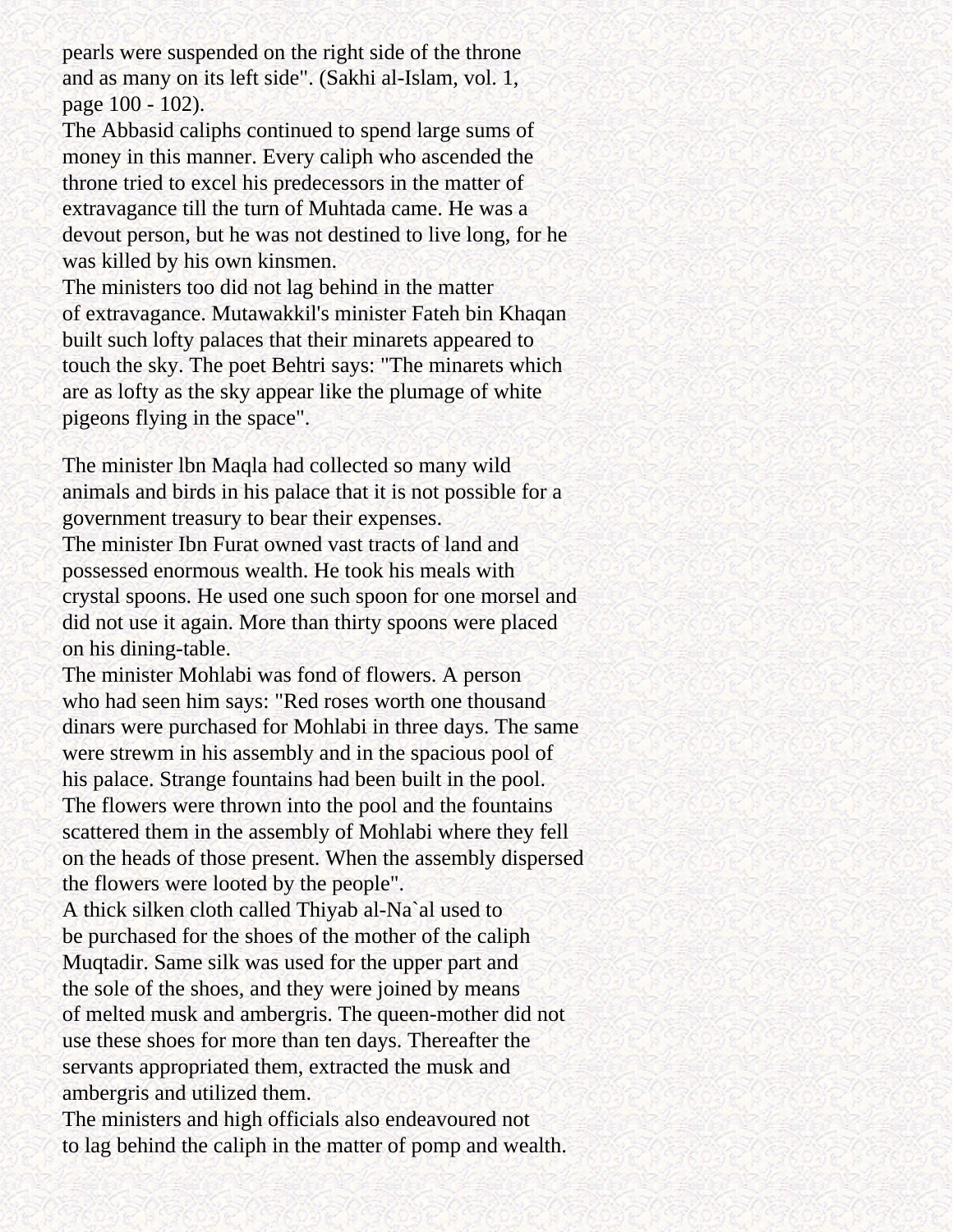pearls were suspended on the right side of the throne and as many on its left side". (Sakhi al-Islam, vol. 1, page 100 - 102).

The Abbasid caliphs continued to spend large sums of money in this manner. Every caliph who ascended the throne tried to excel his predecessors in the matter of extravagance till the turn of Muhtada came. He was a devout person, but he was not destined to live long, for he was killed by his own kinsmen.

The ministers too did not lag behind in the matter of extravagance. Mutawakkil's minister Fateh bin Khaqan built such lofty palaces that their minarets appeared to touch the sky. The poet Behtri says: "The minarets which are as lofty as the sky appear like the plumage of white pigeons flying in the space".

The minister lbn Maqla had collected so many wild animals and birds in his palace that it is not possible for a government treasury to bear their expenses.

The minister Ibn Furat owned vast tracts of land and possessed enormous wealth. He took his meals with crystal spoons. He used one such spoon for one morsel and did not use it again. More than thirty spoons were placed on his dining-table.

The minister Mohlabi was fond of flowers. A person who had seen him says: "Red roses worth one thousand dinars were purchased for Mohlabi in three days. The same were strewm in his assembly and in the spacious pool of his palace. Strange fountains had been built in the pool. The flowers were thrown into the pool and the fountains scattered them in the assembly of Mohlabi where they fell on the heads of those present. When the assembly dispersed the flowers were looted by the people".

A thick silken cloth called Thiyab al-Na`al used to be purchased for the shoes of the mother of the caliph Muqtadir. Same silk was used for the upper part and the sole of the shoes, and they were joined by means of melted musk and ambergris. The queen-mother did not use these shoes for more than ten days. Thereafter the servants appropriated them, extracted the musk and ambergris and utilized them.

The ministers and high officials also endeavoured not to lag behind the caliph in the matter of pomp and wealth.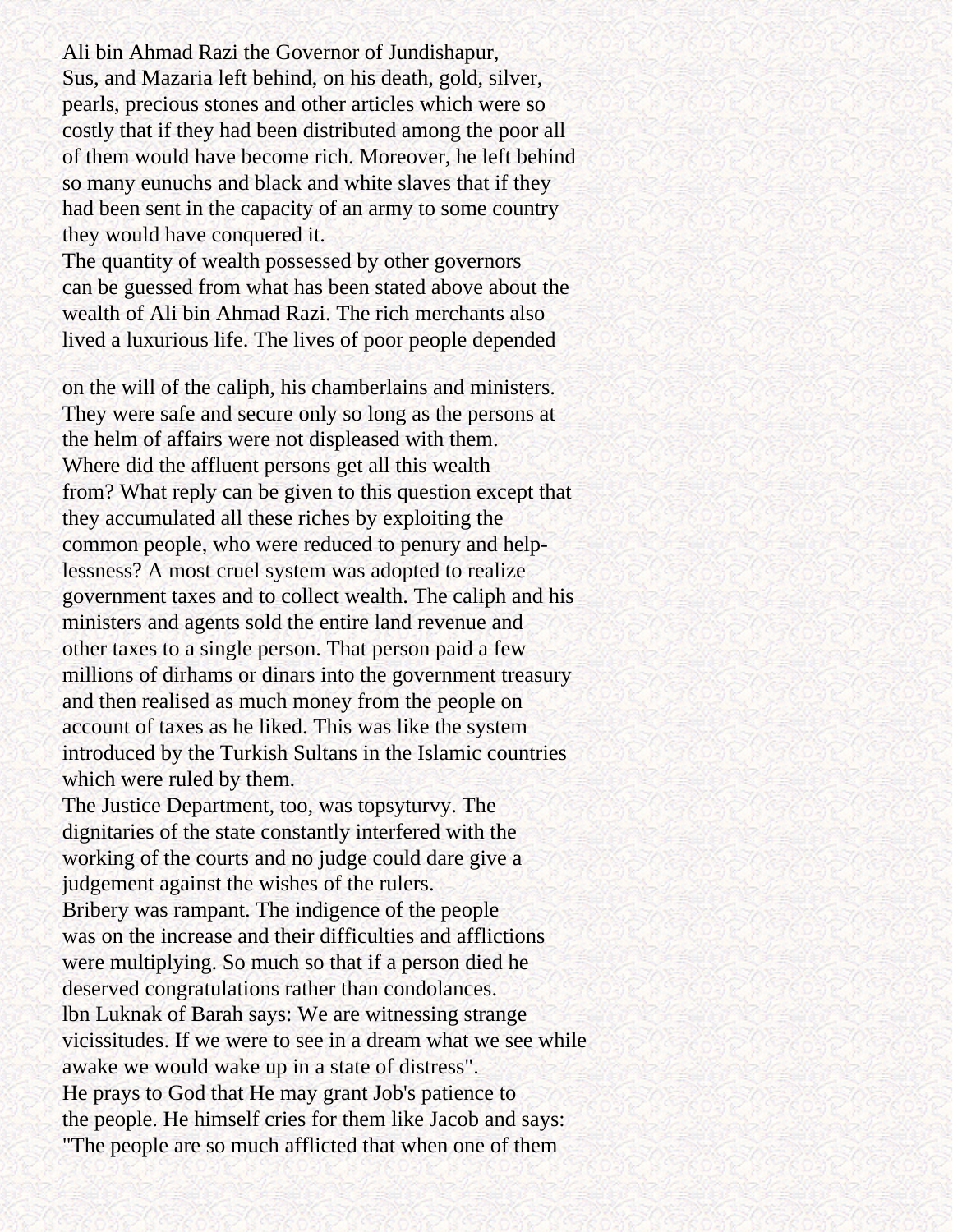Ali bin Ahmad Razi the Governor of Jundishapur, Sus, and Mazaria left behind, on his death, gold, silver, pearls, precious stones and other articles which were so costly that if they had been distributed among the poor all of them would have become rich. Moreover, he left behind so many eunuchs and black and white slaves that if they had been sent in the capacity of an army to some country they would have conquered it.

The quantity of wealth possessed by other governors can be guessed from what has been stated above about the wealth of Ali bin Ahmad Razi. The rich merchants also lived a luxurious life. The lives of poor people depended

on the will of the caliph, his chamberlains and ministers. They were safe and secure only so long as the persons at the helm of affairs were not displeased with them. Where did the affluent persons get all this wealth from? What reply can be given to this question except that they accumulated all these riches by exploiting the common people, who were reduced to penury and helplessness? A most cruel system was adopted to realize government taxes and to collect wealth. The caliph and his ministers and agents sold the entire land revenue and other taxes to a single person. That person paid a few millions of dirhams or dinars into the government treasury and then realised as much money from the people on account of taxes as he liked. This was like the system introduced by the Turkish Sultans in the Islamic countries which were ruled by them.

The Justice Department, too, was topsyturvy. The dignitaries of the state constantly interfered with the working of the courts and no judge could dare give a judgement against the wishes of the rulers. Bribery was rampant. The indigence of the people was on the increase and their difficulties and afflictions were multiplying. So much so that if a person died he deserved congratulations rather than condolances. lbn Luknak of Barah says: We are witnessing strange vicissitudes. If we were to see in a dream what we see while awake we would wake up in a state of distress". He prays to God that He may grant Job's patience to the people. He himself cries for them like Jacob and says: "The people are so much afflicted that when one of them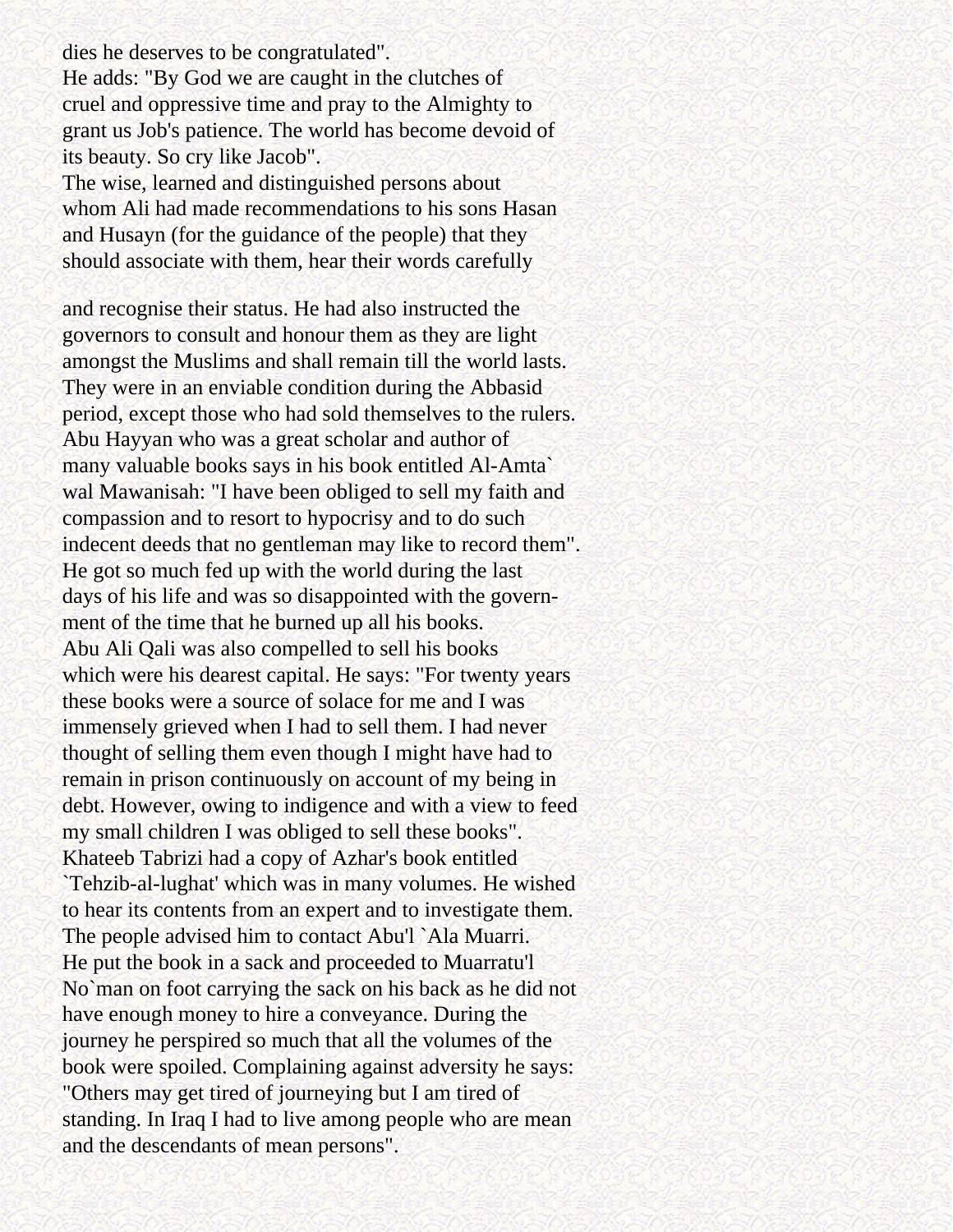dies he deserves to be congratulated". He adds: "By God we are caught in the clutches of cruel and oppressive time and pray to the Almighty to grant us Job's patience. The world has become devoid of its beauty. So cry like Jacob".

The wise, learned and distinguished persons about whom Ali had made recommendations to his sons Hasan and Husayn (for the guidance of the people) that they should associate with them, hear their words carefully

and recognise their status. He had also instructed the governors to consult and honour them as they are light amongst the Muslims and shall remain till the world lasts. They were in an enviable condition during the Abbasid period, except those who had sold themselves to the rulers. Abu Hayyan who was a great scholar and author of many valuable books says in his book entitled Al-Amta` wal Mawanisah: "I have been obliged to sell my faith and compassion and to resort to hypocrisy and to do such indecent deeds that no gentleman may like to record them". He got so much fed up with the world during the last days of his life and was so disappointed with the government of the time that he burned up all his books. Abu Ali Qali was also compelled to sell his books which were his dearest capital. He says: "For twenty years these books were a source of solace for me and I was immensely grieved when I had to sell them. I had never thought of selling them even though I might have had to remain in prison continuously on account of my being in debt. However, owing to indigence and with a view to feed my small children I was obliged to sell these books". Khateeb Tabrizi had a copy of Azhar's book entitled `Tehzib-al-lughat' which was in many volumes. He wished to hear its contents from an expert and to investigate them. The people advised him to contact Abu'l `Ala Muarri. He put the book in a sack and proceeded to Muarratu'l No`man on foot carrying the sack on his back as he did not have enough money to hire a conveyance. During the journey he perspired so much that all the volumes of the book were spoiled. Complaining against adversity he says: "Others may get tired of journeying but I am tired of standing. In Iraq I had to live among people who are mean and the descendants of mean persons".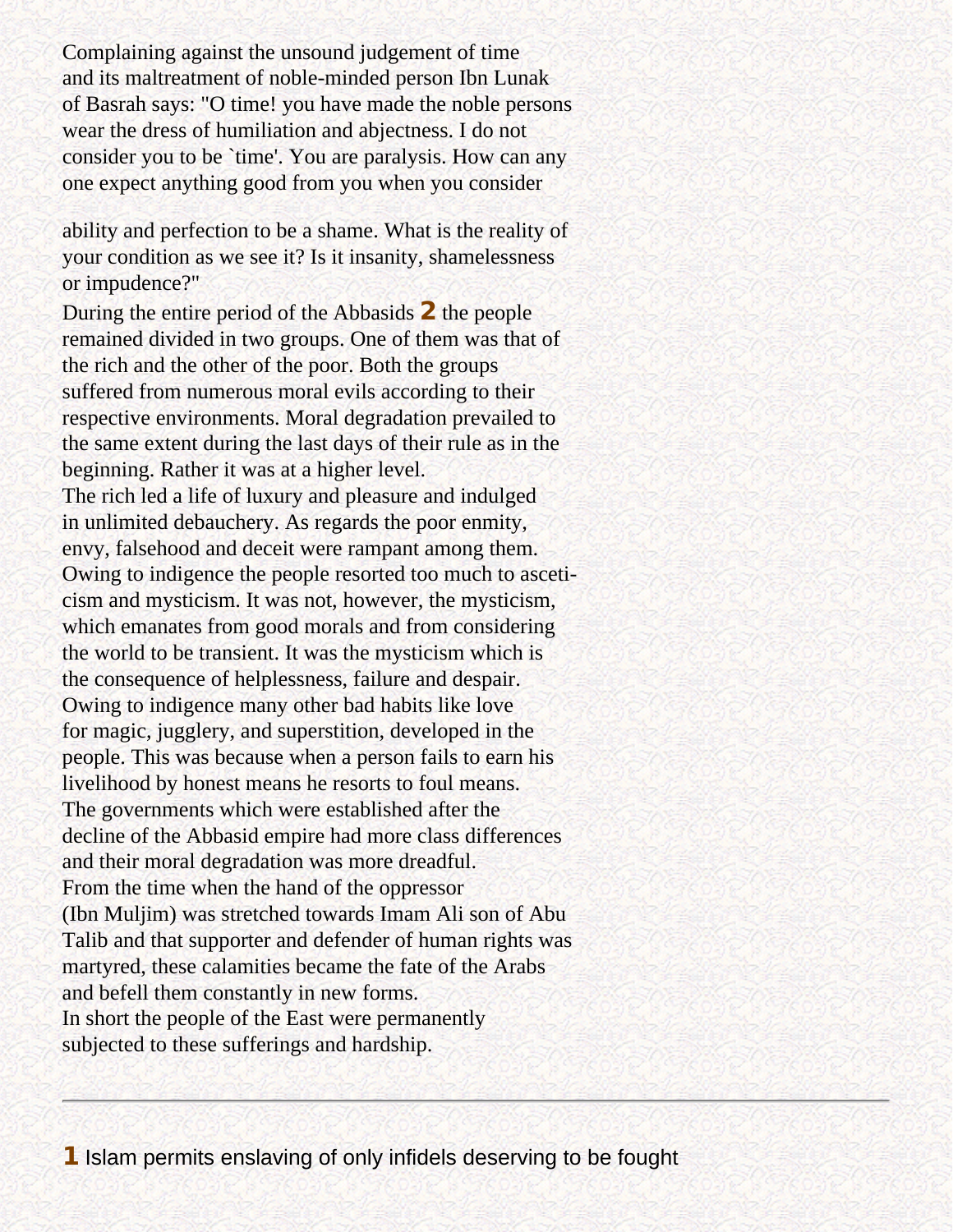Complaining against the unsound judgement of time and its maltreatment of noble-minded person Ibn Lunak of Basrah says: "O time! you have made the noble persons wear the dress of humiliation and abjectness. I do not consider you to be `time'. You are paralysis. How can any one expect anything good from you when you consider

ability and perfection to be a shame. What is the reality of your condition as we see it? Is it insanity, shamelessness or impudence?"

During the entire period of the Abbasids 2 the people remained divided in two groups. One of them was that of the rich and the other of the poor. Both the groups suffered from numerous moral evils according to their respective environments. Moral degradation prevailed to the same extent during the last days of their rule as in the beginning. Rather it was at a higher level. The rich led a life of luxury and pleasure and indulged in unlimited debauchery. As regards the poor enmity, envy, falsehood and deceit were rampant among them. Owing to indigence the people resorted too much to asceticism and mysticism. It was not, however, the mysticism, which emanates from good morals and from considering the world to be transient. It was the mysticism which is the consequence of helplessness, failure and despair. Owing to indigence many other bad habits like love for magic, jugglery, and superstition, developed in the people. This was because when a person fails to earn his livelihood by honest means he resorts to foul means. The governments which were established after the decline of the Abbasid empire had more class differences and their moral degradation was more dreadful. From the time when the hand of the oppressor (Ibn Muljim) was stretched towards Imam Ali son of Abu Talib and that supporter and defender of human rights was martyred, these calamities became the fate of the Arabs and befell them constantly in new forms. In short the people of the East were permanently subjected to these sufferings and hardship.

1 Islam permits enslaving of only infidels deserving to be fought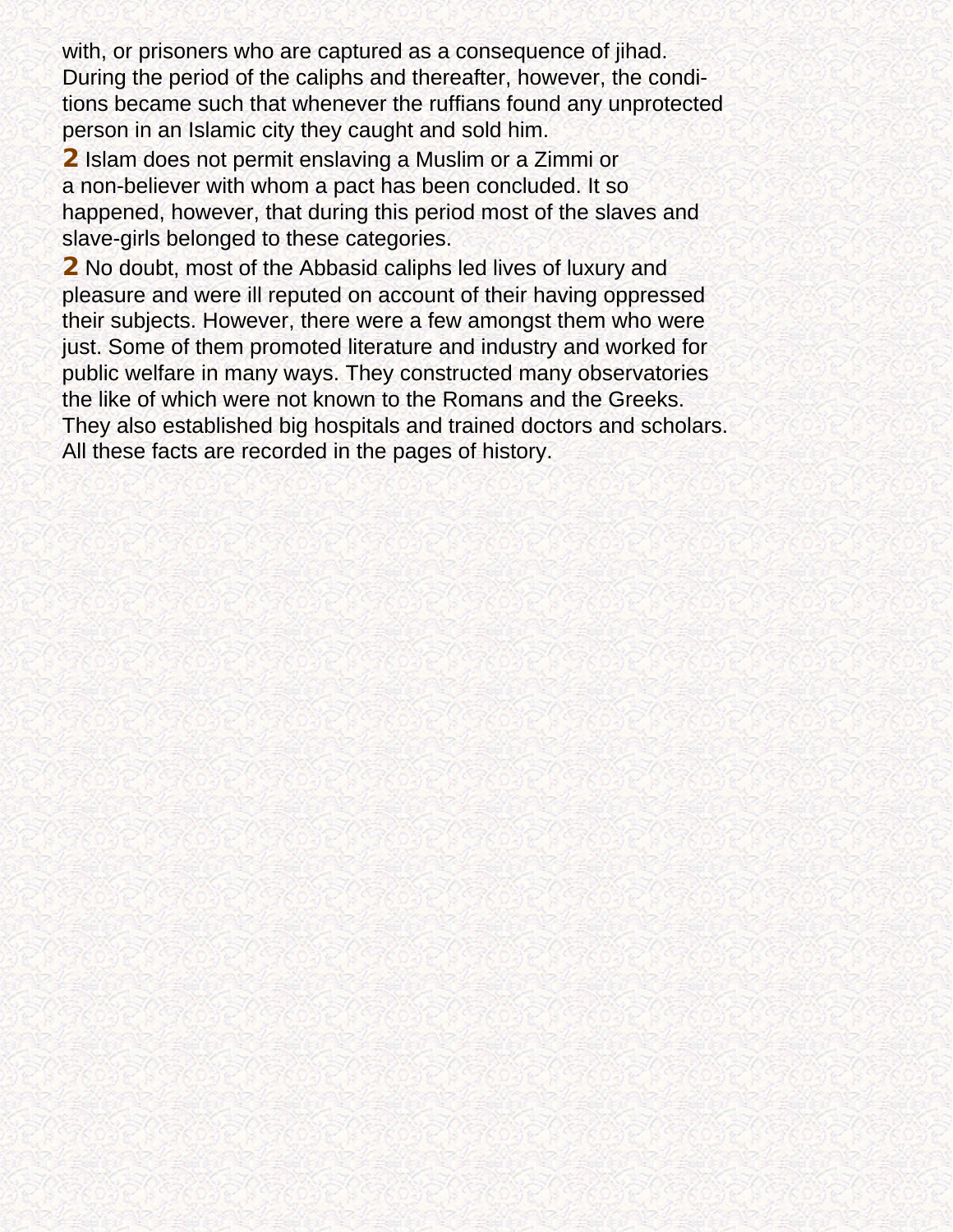with, or prisoners who are captured as a consequence of jihad. During the period of the caliphs and thereafter, however, the conditions became such that whenever the ruffians found any unprotected person in an Islamic city they caught and sold him.

2 Islam does not permit enslaving a Muslim or a Zimmi or a non-believer with whom a pact has been concluded. It so happened, however, that during this period most of the slaves and slave-girls belonged to these categories.

2 No doubt, most of the Abbasid caliphs led lives of luxury and pleasure and were ill reputed on account of their having oppressed their subjects. However, there were a few amongst them who were just. Some of them promoted literature and industry and worked for public welfare in many ways. They constructed many observatories the like of which were not known to the Romans and the Greeks. They also established big hospitals and trained doctors and scholars. All these facts are recorded in the pages of history.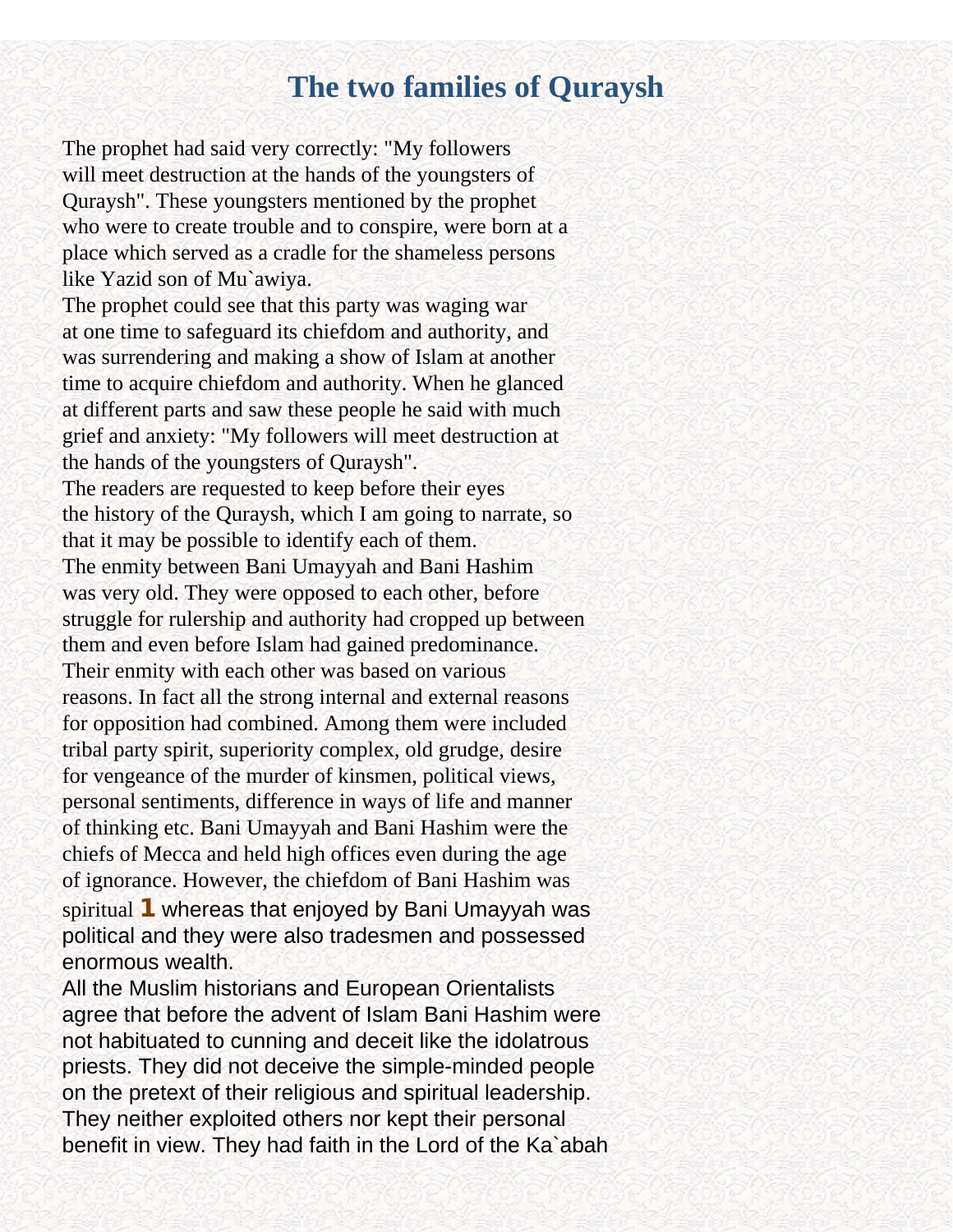## **The two families of Quraysh**

The prophet had said very correctly: "My followers will meet destruction at the hands of the youngsters of Quraysh". These youngsters mentioned by the prophet who were to create trouble and to conspire, were born at a place which served as a cradle for the shameless persons like Yazid son of Mu`awiya.

The prophet could see that this party was waging war at one time to safeguard its chiefdom and authority, and was surrendering and making a show of Islam at another time to acquire chiefdom and authority. When he glanced at different parts and saw these people he said with much grief and anxiety: "My followers will meet destruction at the hands of the youngsters of Quraysh".

The readers are requested to keep before their eyes the history of the Quraysh, which I am going to narrate, so that it may be possible to identify each of them. The enmity between Bani Umayyah and Bani Hashim was very old. They were opposed to each other, before struggle for rulership and authority had cropped up between them and even before Islam had gained predominance. Their enmity with each other was based on various reasons. In fact all the strong internal and external reasons for opposition had combined. Among them were included tribal party spirit, superiority complex, old grudge, desire for vengeance of the murder of kinsmen, political views, personal sentiments, difference in ways of life and manner of thinking etc. Bani Umayyah and Bani Hashim were the chiefs of Mecca and held high offices even during the age of ignorance. However, the chiefdom of Bani Hashim was spiritual 1 whereas that enjoyed by Bani Umayyah was political and they were also tradesmen and possessed enormous wealth.

All the Muslim historians and European Orientalists agree that before the advent of Islam Bani Hashim were not habituated to cunning and deceit like the idolatrous priests. They did not deceive the simple-minded people on the pretext of their religious and spiritual leadership. They neither exploited others nor kept their personal benefit in view. They had faith in the Lord of the Ka`abah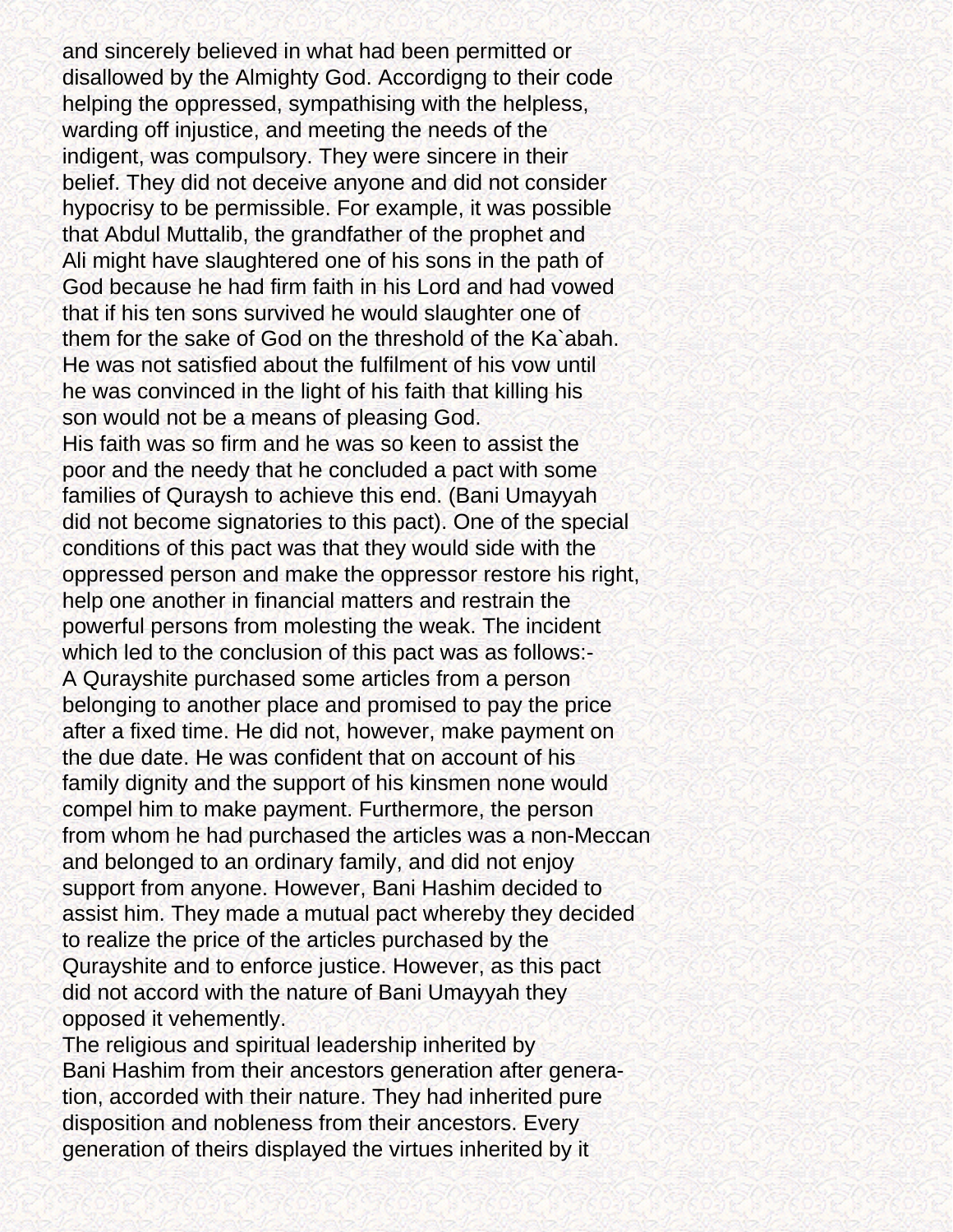and sincerely believed in what had been permitted or disallowed by the Almighty God. Accordigng to their code helping the oppressed, sympathising with the helpless, warding off injustice, and meeting the needs of the indigent, was compulsory. They were sincere in their belief. They did not deceive anyone and did not consider hypocrisy to be permissible. For example, it was possible that Abdul Muttalib, the grandfather of the prophet and Ali might have slaughtered one of his sons in the path of God because he had firm faith in his Lord and had vowed that if his ten sons survived he would slaughter one of them for the sake of God on the threshold of the Ka`abah. He was not satisfied about the fulfilment of his vow until he was convinced in the light of his faith that killing his son would not be a means of pleasing God. His faith was so firm and he was so keen to assist the poor and the needy that he concluded a pact with some families of Quraysh to achieve this end. (Bani Umayyah did not become signatories to this pact). One of the special conditions of this pact was that they would side with the oppressed person and make the oppressor restore his right, help one another in financial matters and restrain the powerful persons from molesting the weak. The incident which led to the conclusion of this pact was as follows:- A Qurayshite purchased some articles from a person belonging to another place and promised to pay the price after a fixed time. He did not, however, make payment on the due date. He was confident that on account of his family dignity and the support of his kinsmen none would compel him to make payment. Furthermore, the person from whom he had purchased the articles was a non-Meccan and belonged to an ordinary family, and did not enjoy support from anyone. However, Bani Hashim decided to assist him. They made a mutual pact whereby they decided to realize the price of the articles purchased by the Qurayshite and to enforce justice. However, as this pact did not accord with the nature of Bani Umayyah they opposed it vehemently.

The religious and spiritual leadership inherited by Bani Hashim from their ancestors generation after generation, accorded with their nature. They had inherited pure disposition and nobleness from their ancestors. Every generation of theirs displayed the virtues inherited by it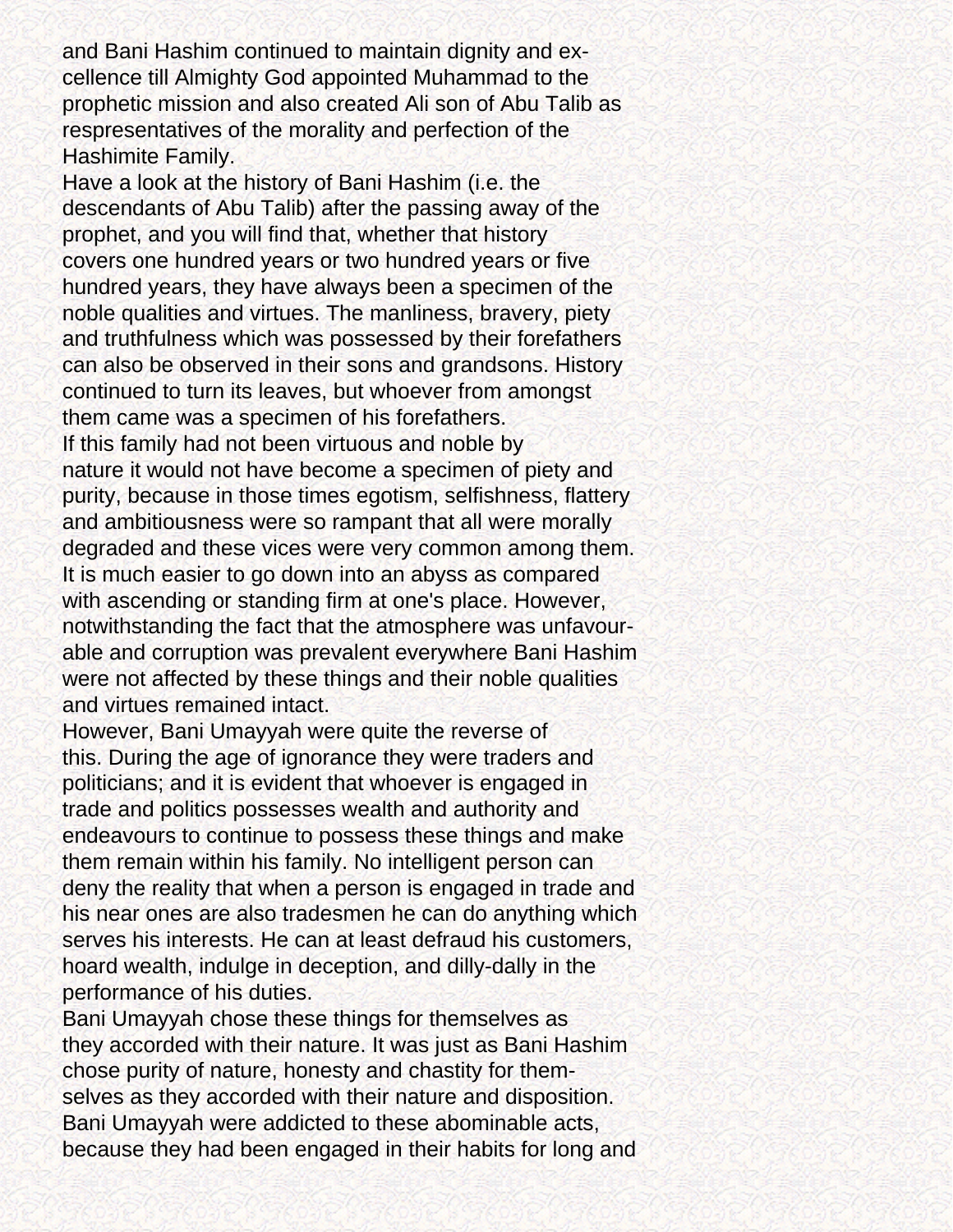and Bani Hashim continued to maintain dignity and excellence till Almighty God appointed Muhammad to the prophetic mission and also created Ali son of Abu Talib as respresentatives of the morality and perfection of the Hashimite Family.

Have a look at the history of Bani Hashim (i.e. the descendants of Abu Talib) after the passing away of the prophet, and you will find that, whether that history covers one hundred years or two hundred years or five hundred years, they have always been a specimen of the noble qualities and virtues. The manliness, bravery, piety and truthfulness which was possessed by their forefathers can also be observed in their sons and grandsons. History continued to turn its leaves, but whoever from amongst them came was a specimen of his forefathers.

If this family had not been virtuous and noble by nature it would not have become a specimen of piety and purity, because in those times egotism, selfishness, flattery and ambitiousness were so rampant that all were morally degraded and these vices were very common among them. It is much easier to go down into an abyss as compared with ascending or standing firm at one's place. However, notwithstanding the fact that the atmosphere was unfavourable and corruption was prevalent everywhere Bani Hashim were not affected by these things and their noble qualities and virtues remained intact.

However, Bani Umayyah were quite the reverse of this. During the age of ignorance they were traders and politicians; and it is evident that whoever is engaged in trade and politics possesses wealth and authority and endeavours to continue to possess these things and make them remain within his family. No intelligent person can deny the reality that when a person is engaged in trade and his near ones are also tradesmen he can do anything which serves his interests. He can at least defraud his customers, hoard wealth, indulge in deception, and dilly-dally in the performance of his duties.

Bani Umayyah chose these things for themselves as they accorded with their nature. It was just as Bani Hashim chose purity of nature, honesty and chastity for themselves as they accorded with their nature and disposition. Bani Umayyah were addicted to these abominable acts, because they had been engaged in their habits for long and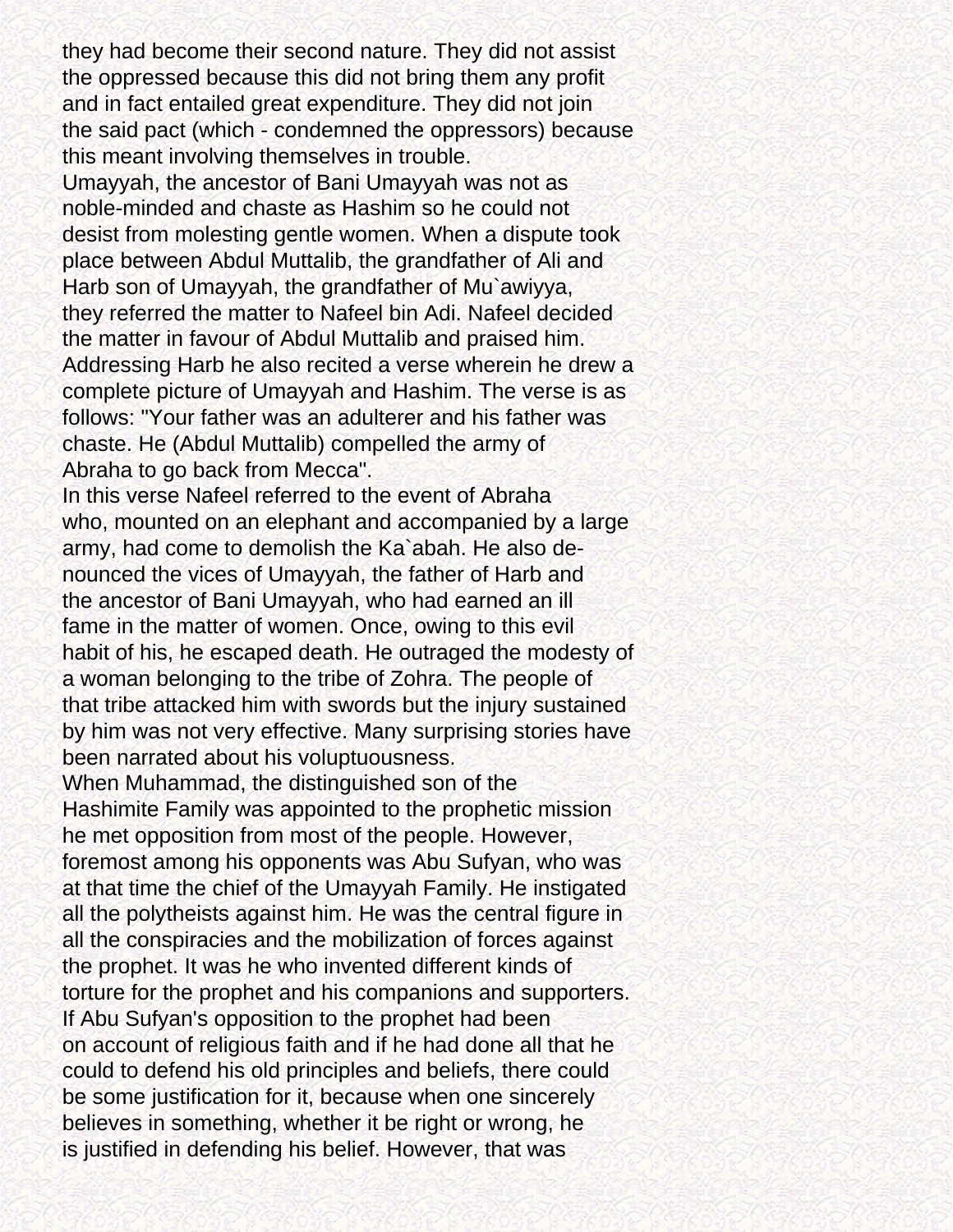they had become their second nature. They did not assist the oppressed because this did not bring them any profit and in fact entailed great expenditure. They did not join the said pact (which - condemned the oppressors) because this meant involving themselves in trouble.

Umayyah, the ancestor of Bani Umayyah was not as noble-minded and chaste as Hashim so he could not desist from molesting gentle women. When a dispute took place between Abdul Muttalib, the grandfather of Ali and Harb son of Umayyah, the grandfather of Mu`awiyya, they referred the matter to Nafeel bin Adi. Nafeel decided the matter in favour of Abdul Muttalib and praised him. Addressing Harb he also recited a verse wherein he drew a complete picture of Umayyah and Hashim. The verse is as follows: "Your father was an adulterer and his father was chaste. He (Abdul Muttalib) compelled the army of Abraha to go back from Mecca".

In this verse Nafeel referred to the event of Abraha who, mounted on an elephant and accompanied by a large army, had come to demolish the Ka`abah. He also denounced the vices of Umayyah, the father of Harb and the ancestor of Bani Umayyah, who had earned an ill fame in the matter of women. Once, owing to this evil habit of his, he escaped death. He outraged the modesty of a woman belonging to the tribe of Zohra. The people of that tribe attacked him with swords but the injury sustained by him was not very effective. Many surprising stories have been narrated about his voluptuousness.

When Muhammad, the distinguished son of the Hashimite Family was appointed to the prophetic mission he met opposition from most of the people. However, foremost among his opponents was Abu Sufyan, who was at that time the chief of the Umayyah Family. He instigated all the polytheists against him. He was the central figure in all the conspiracies and the mobilization of forces against the prophet. It was he who invented different kinds of torture for the prophet and his companions and supporters. If Abu Sufyan's opposition to the prophet had been on account of religious faith and if he had done all that he could to defend his old principles and beliefs, there could be some justification for it, because when one sincerely believes in something, whether it be right or wrong, he is justified in defending his belief. However, that was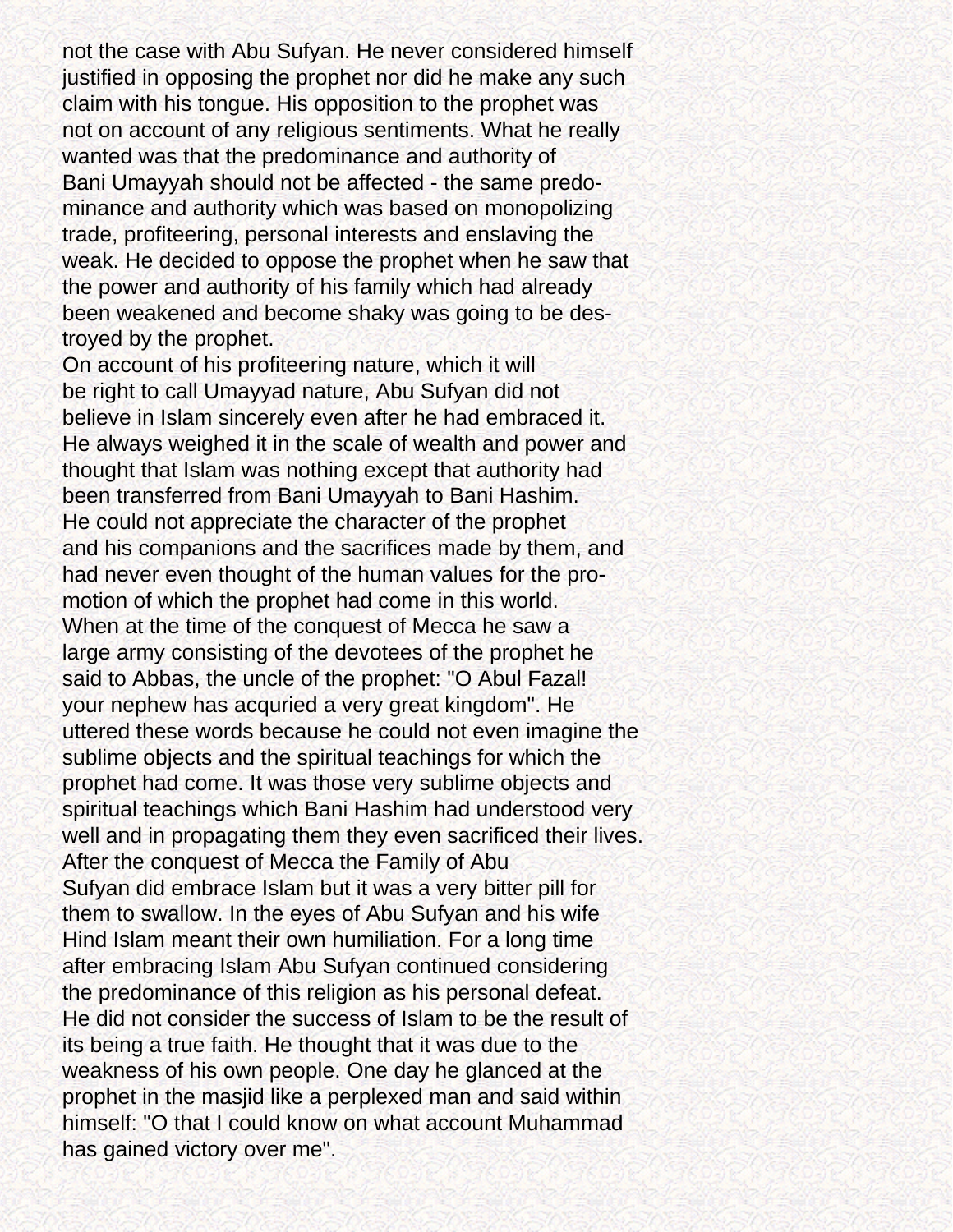not the case with Abu Sufyan. He never considered himself justified in opposing the prophet nor did he make any such claim with his tongue. His opposition to the prophet was not on account of any religious sentiments. What he really wanted was that the predominance and authority of Bani Umayyah should not be affected - the same predominance and authority which was based on monopolizing trade, profiteering, personal interests and enslaving the weak. He decided to oppose the prophet when he saw that the power and authority of his family which had already been weakened and become shaky was going to be destroyed by the prophet.

On account of his profiteering nature, which it will be right to call Umayyad nature, Abu Sufyan did not believe in Islam sincerely even after he had embraced it. He always weighed it in the scale of wealth and power and thought that Islam was nothing except that authority had been transferred from Bani Umayyah to Bani Hashim. He could not appreciate the character of the prophet and his companions and the sacrifices made by them, and had never even thought of the human values for the promotion of which the prophet had come in this world. When at the time of the conquest of Mecca he saw a large army consisting of the devotees of the prophet he said to Abbas, the uncle of the prophet: "O Abul Fazal! your nephew has acquried a very great kingdom". He uttered these words because he could not even imagine the sublime objects and the spiritual teachings for which the prophet had come. It was those very sublime objects and spiritual teachings which Bani Hashim had understood very well and in propagating them they even sacrificed their lives. After the conquest of Mecca the Family of Abu Sufyan did embrace Islam but it was a very bitter pill for them to swallow. In the eyes of Abu Sufyan and his wife Hind Islam meant their own humiliation. For a long time after embracing Islam Abu Sufyan continued considering the predominance of this religion as his personal defeat. He did not consider the success of Islam to be the result of its being a true faith. He thought that it was due to the weakness of his own people. One day he glanced at the prophet in the masjid like a perplexed man and said within himself: "O that I could know on what account Muhammad has gained victory over me".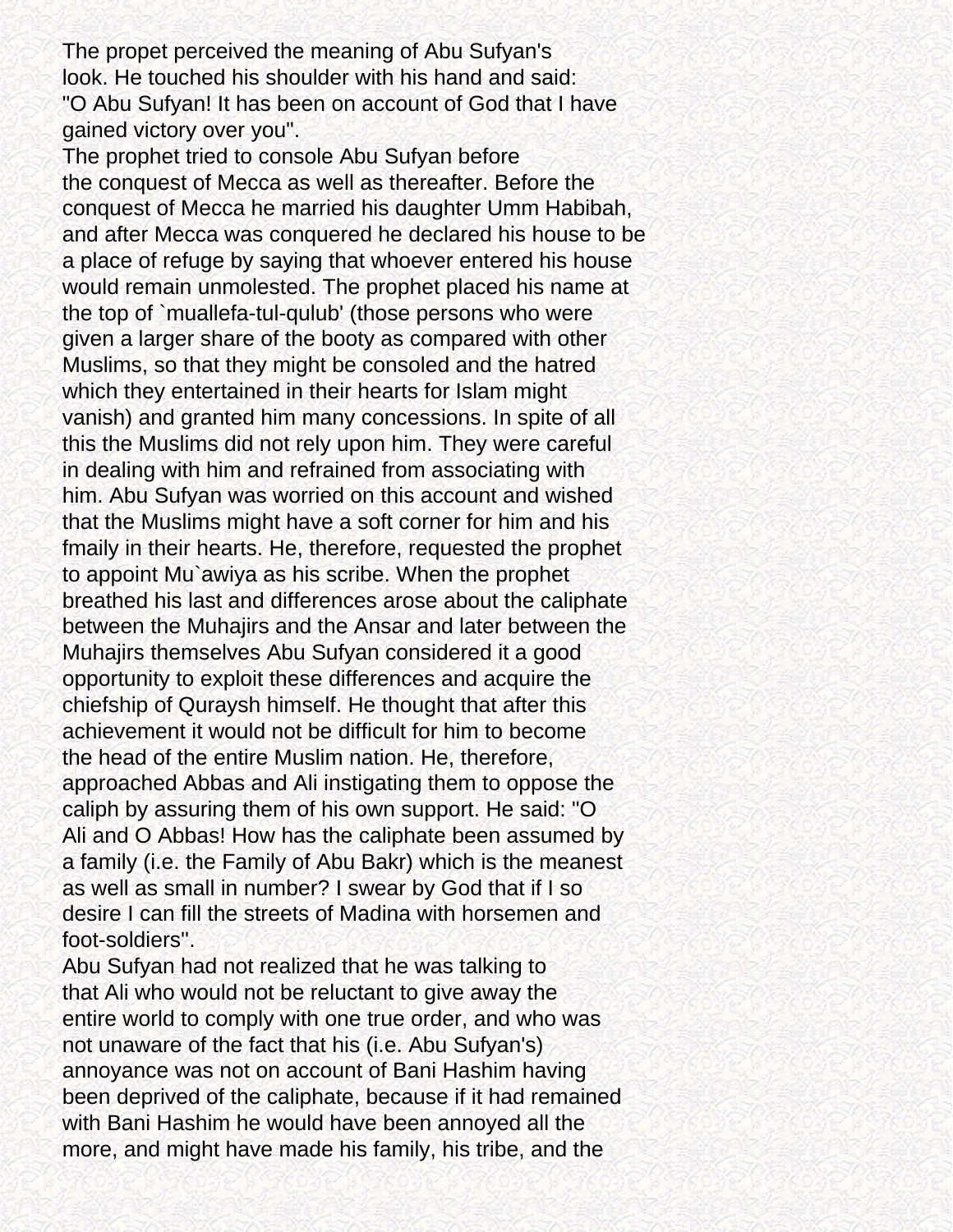The propet perceived the meaning of Abu Sufyan's look. He touched his shoulder with his hand and said: "O Abu Sufyan! It has been on account of God that I have gained victory over you".

The prophet tried to console Abu Sufyan before the conquest of Mecca as well as thereafter. Before the conquest of Mecca he married his daughter Umm Habibah, and after Mecca was conquered he declared his house to be a place of refuge by saying that whoever entered his house would remain unmolested. The prophet placed his name at the top of `muallefa-tul-qulub' (those persons who were given a larger share of the booty as compared with other Muslims, so that they might be consoled and the hatred which they entertained in their hearts for Islam might vanish) and granted him many concessions. In spite of all this the Muslims did not rely upon him. They were careful in dealing with him and refrained from associating with him. Abu Sufyan was worried on this account and wished that the Muslims might have a soft corner for him and his fmaily in their hearts. He, therefore, requested the prophet to appoint Mu`awiya as his scribe. When the prophet breathed his last and differences arose about the caliphate between the Muhajirs and the Ansar and later between the Muhajirs themselves Abu Sufyan considered it a good opportunity to exploit these differences and acquire the chiefship of Quraysh himself. He thought that after this achievement it would not be difficult for him to become the head of the entire Muslim nation. He, therefore, approached Abbas and Ali instigating them to oppose the caliph by assuring them of his own support. He said: "O Ali and O Abbas! How has the caliphate been assumed by a family (i.e. the Family of Abu Bakr) which is the meanest as well as small in number? I swear by God that if I so desire I can fill the streets of Madina with horsemen and foot-soldiers''.

Abu Sufyan had not realized that he was talking to that Ali who would not be reluctant to give away the entire world to comply with one true order, and who was not unaware of the fact that his (i.e. Abu Sufyan's) annoyance was not on account of Bani Hashim having been deprived of the caliphate, because if it had remained with Bani Hashim he would have been annoyed all the more, and might have made his family, his tribe, and the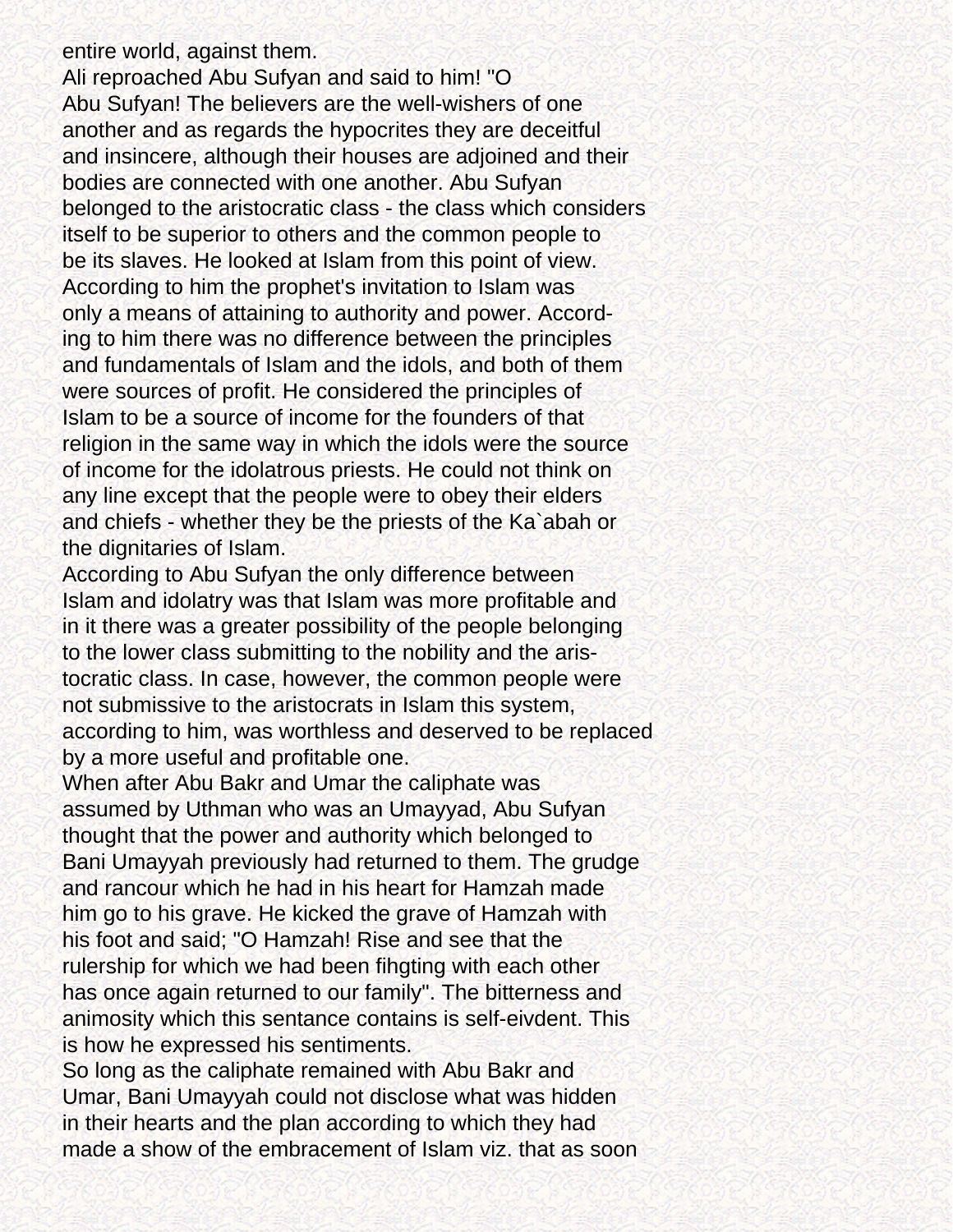entire world, against them.

Ali reproached Abu Sufyan and said to him! "O Abu Sufyan! The believers are the well-wishers of one another and as regards the hypocrites they are deceitful and insincere, although their houses are adjoined and their bodies are connected with one another. Abu Sufyan belonged to the aristocratic class - the class which considers itself to be superior to others and the common people to be its slaves. He looked at Islam from this point of view. According to him the prophet's invitation to Islam was only a means of attaining to authority and power. According to him there was no difference between the principles and fundamentals of Islam and the idols, and both of them were sources of profit. He considered the principles of Islam to be a source of income for the founders of that religion in the same way in which the idols were the source of income for the idolatrous priests. He could not think on any line except that the people were to obey their elders and chiefs - whether they be the priests of the Ka`abah or the dignitaries of Islam.

According to Abu Sufyan the only difference between Islam and idolatry was that Islam was more profitable and in it there was a greater possibility of the people belonging to the lower class submitting to the nobility and the aristocratic class. In case, however, the common people were not submissive to the aristocrats in Islam this system, according to him, was worthless and deserved to be replaced by a more useful and profitable one.

When after Abu Bakr and Umar the caliphate was assumed by Uthman who was an Umayyad, Abu Sufyan thought that the power and authority which belonged to Bani Umayyah previously had returned to them. The grudge and rancour which he had in his heart for Hamzah made him go to his grave. He kicked the grave of Hamzah with his foot and said; "O Hamzah! Rise and see that the rulership for which we had been fihgting with each other has once again returned to our family". The bitterness and animosity which this sentance contains is self-eivdent. This is how he expressed his sentiments.

So long as the caliphate remained with Abu Bakr and Umar, Bani Umayyah could not disclose what was hidden in their hearts and the plan according to which they had made a show of the embracement of Islam viz. that as soon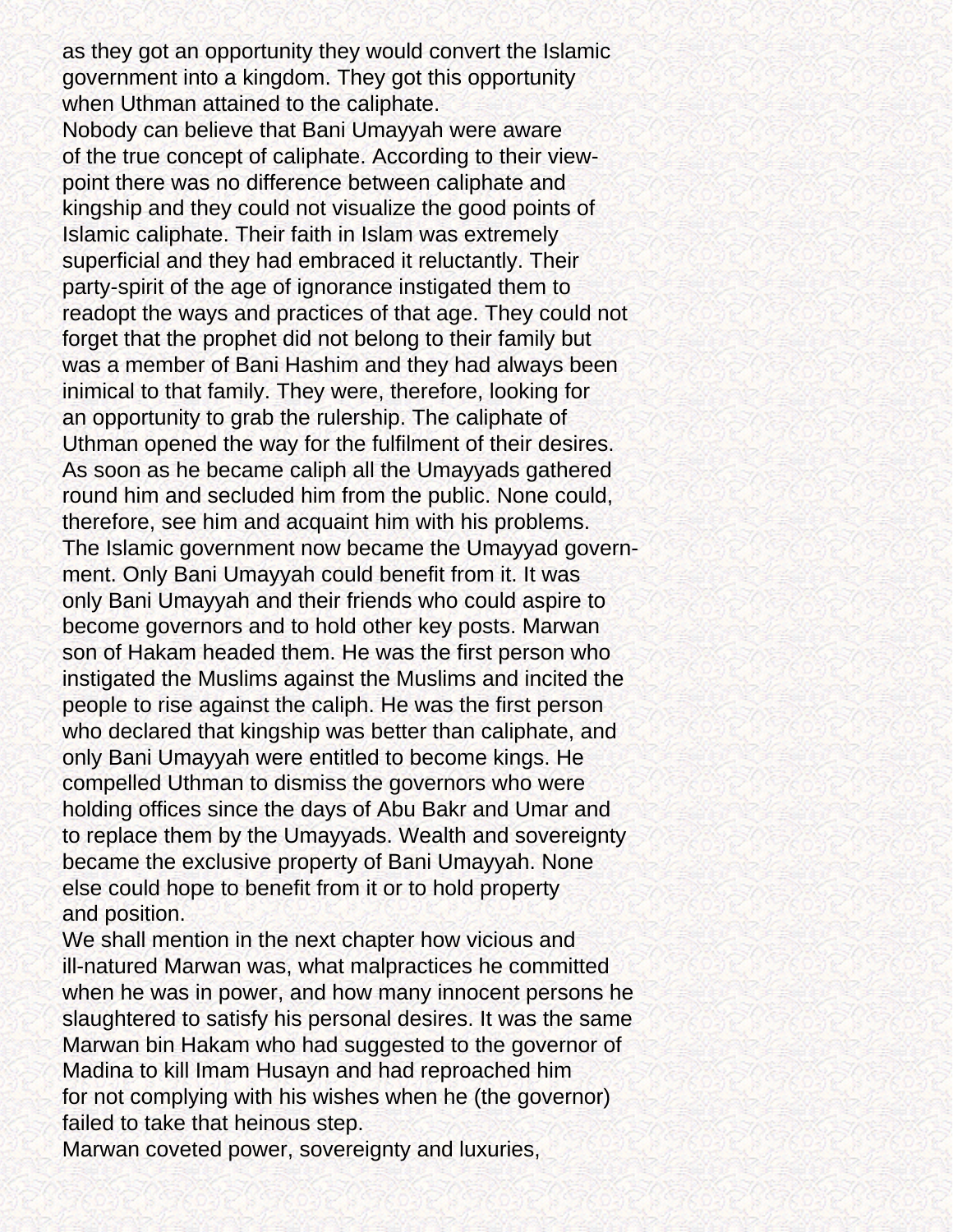as they got an opportunity they would convert the Islamic government into a kingdom. They got this opportunity when Uthman attained to the caliphate.

Nobody can believe that Bani Umayyah were aware of the true concept of caliphate. According to their viewpoint there was no difference between caliphate and kingship and they could not visualize the good points of Islamic caliphate. Their faith in Islam was extremely superficial and they had embraced it reluctantly. Their party-spirit of the age of ignorance instigated them to readopt the ways and practices of that age. They could not forget that the prophet did not belong to their family but was a member of Bani Hashim and they had always been inimical to that family. They were, therefore, looking for an opportunity to grab the rulership. The caliphate of Uthman opened the way for the fulfilment of their desires. As soon as he became caliph all the Umayyads gathered round him and secluded him from the public. None could, therefore, see him and acquaint him with his problems. The Islamic government now became the Umayyad government. Only Bani Umayyah could benefit from it. It was only Bani Umayyah and their friends who could aspire to become governors and to hold other key posts. Marwan son of Hakam headed them. He was the first person who instigated the Muslims against the Muslims and incited the people to rise against the caliph. He was the first person who declared that kingship was better than caliphate, and only Bani Umayyah were entitled to become kings. He compelled Uthman to dismiss the governors who were holding offices since the days of Abu Bakr and Umar and to replace them by the Umayyads. Wealth and sovereignty became the exclusive property of Bani Umayyah. None else could hope to benefit from it or to hold property and position.

We shall mention in the next chapter how vicious and ill-natured Marwan was, what malpractices he committed when he was in power, and how many innocent persons he slaughtered to satisfy his personal desires. It was the same Marwan bin Hakam who had suggested to the governor of Madina to kill Imam Husayn and had reproached him for not complying with his wishes when he (the governor) failed to take that heinous step.

Marwan coveted power, sovereignty and luxuries,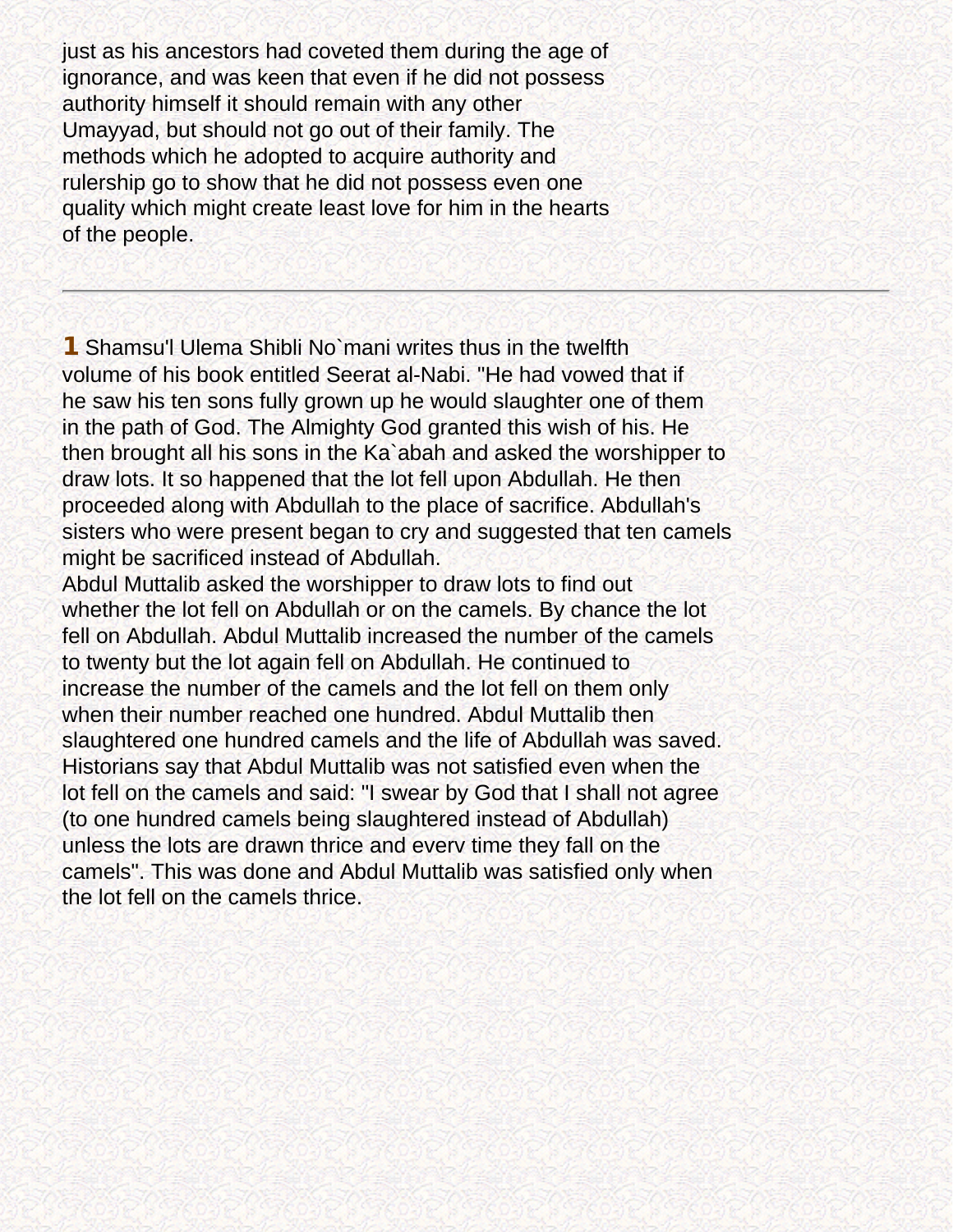just as his ancestors had coveted them during the age of ignorance, and was keen that even if he did not possess authority himself it should remain with any other Umayyad, but should not go out of their family. The methods which he adopted to acquire authority and rulership go to show that he did not possess even one quality which might create least love for him in the hearts of the people.

1 Shamsu'l Ulema Shibli No`mani writes thus in the twelfth volume of his book entitled Seerat al-Nabi. "He had vowed that if he saw his ten sons fully grown up he would slaughter one of them in the path of God. The Almighty God granted this wish of his. He then brought all his sons in the Ka`abah and asked the worshipper to draw lots. It so happened that the lot fell upon Abdullah. He then proceeded along with Abdullah to the place of sacrifice. Abdullah's sisters who were present began to cry and suggested that ten camels might be sacrificed instead of Abdullah.

Abdul Muttalib asked the worshipper to draw lots to find out whether the lot fell on Abdullah or on the camels. By chance the lot fell on Abdullah. Abdul Muttalib increased the number of the camels to twenty but the lot again fell on Abdullah. He continued to increase the number of the camels and the lot fell on them only when their number reached one hundred. Abdul Muttalib then slaughtered one hundred camels and the life of Abdullah was saved. Historians say that Abdul Muttalib was not satisfied even when the lot fell on the camels and said: "I swear by God that I shall not agree (to one hundred camels being slaughtered instead of Abdullah) unless the lots are drawn thrice and everv time they fall on the camels". This was done and Abdul Muttalib was satisfied only when the lot fell on the camels thrice.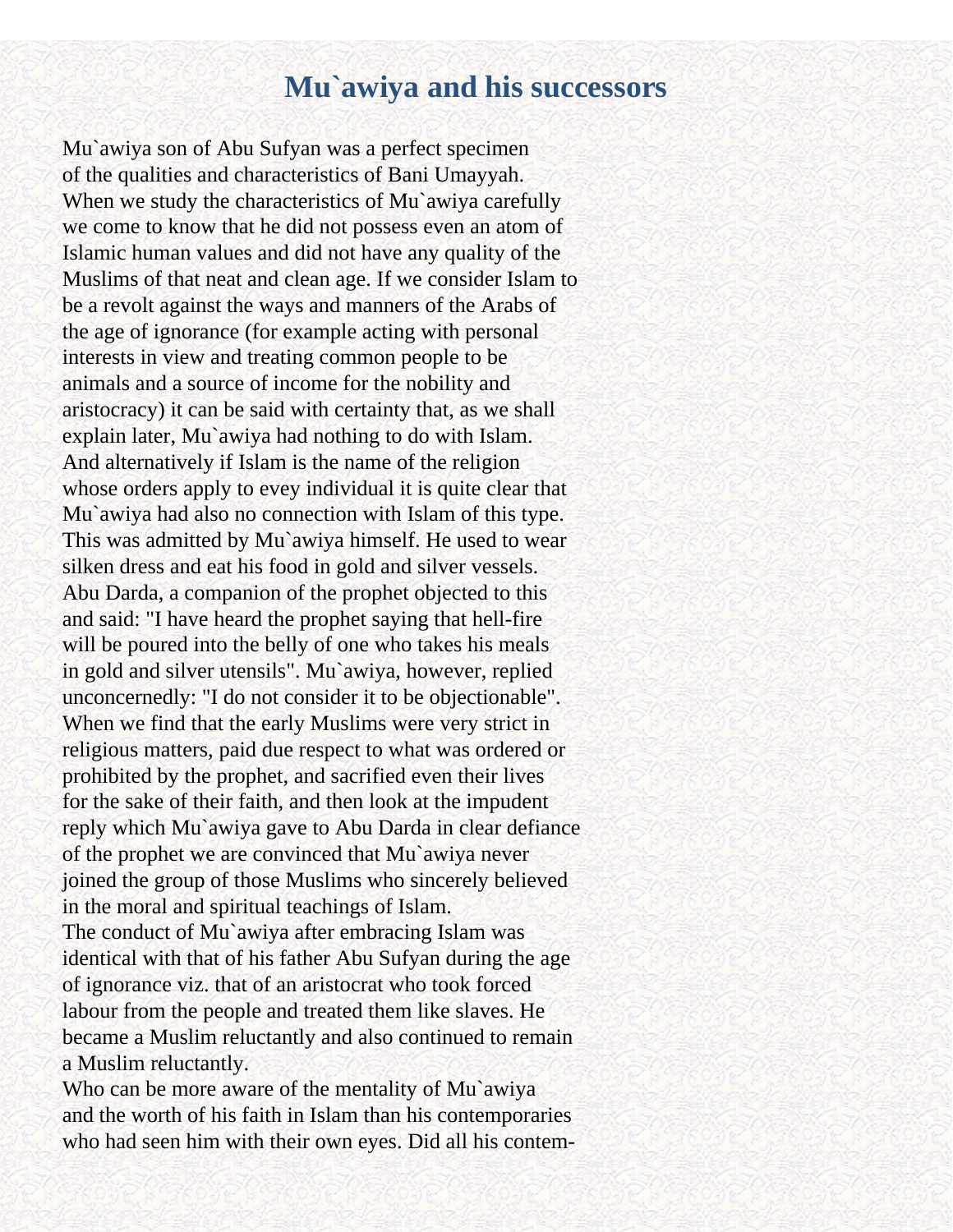## **Mu`awiya and his successors**

Mu`awiya son of Abu Sufyan was a perfect specimen of the qualities and characteristics of Bani Umayyah. When we study the characteristics of Mu`awiya carefully we come to know that he did not possess even an atom of Islamic human values and did not have any quality of the Muslims of that neat and clean age. If we consider Islam to be a revolt against the ways and manners of the Arabs of the age of ignorance (for example acting with personal interests in view and treating common people to be animals and a source of income for the nobility and aristocracy) it can be said with certainty that, as we shall explain later, Mu`awiya had nothing to do with Islam. And alternatively if Islam is the name of the religion whose orders apply to evey individual it is quite clear that Mu`awiya had also no connection with Islam of this type. This was admitted by Mu`awiya himself. He used to wear silken dress and eat his food in gold and silver vessels. Abu Darda, a companion of the prophet objected to this and said: "I have heard the prophet saying that hell-fire will be poured into the belly of one who takes his meals in gold and silver utensils". Mu`awiya, however, replied unconcernedly: "I do not consider it to be objectionable". When we find that the early Muslims were very strict in religious matters, paid due respect to what was ordered or prohibited by the prophet, and sacrified even their lives for the sake of their faith, and then look at the impudent reply which Mu`awiya gave to Abu Darda in clear defiance of the prophet we are convinced that Mu`awiya never joined the group of those Muslims who sincerely believed in the moral and spiritual teachings of Islam. The conduct of Mu`awiya after embracing Islam was identical with that of his father Abu Sufyan during the age of ignorance viz. that of an aristocrat who took forced labour from the people and treated them like slaves. He became a Muslim reluctantly and also continued to remain a Muslim reluctantly.

Who can be more aware of the mentality of Mu`awiya and the worth of his faith in Islam than his contemporaries who had seen him with their own eyes. Did all his contem-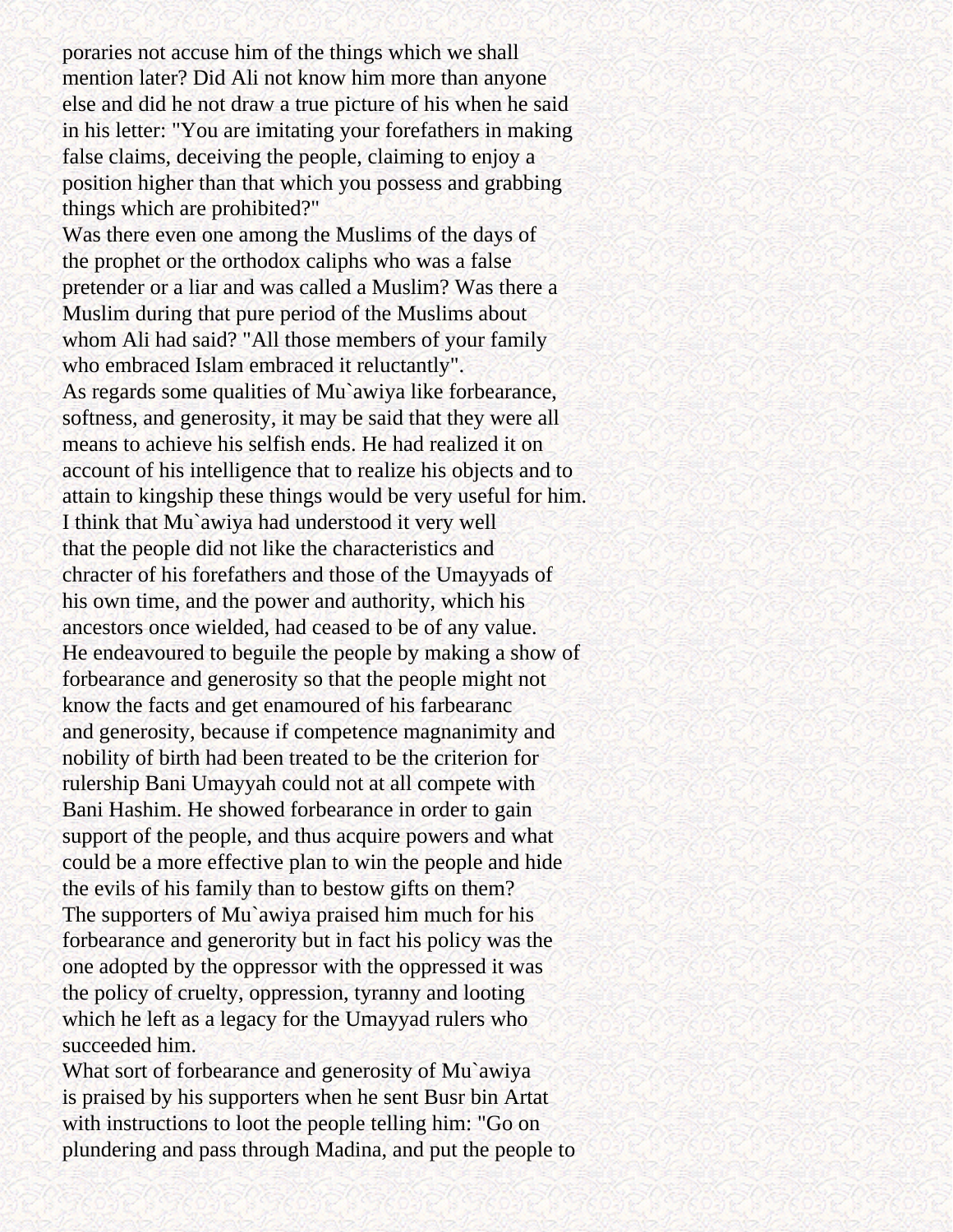poraries not accuse him of the things which we shall mention later? Did Ali not know him more than anyone else and did he not draw a true picture of his when he said in his letter: "You are imitating your forefathers in making false claims, deceiving the people, claiming to enjoy a position higher than that which you possess and grabbing things which are prohibited?"

Was there even one among the Muslims of the days of the prophet or the orthodox caliphs who was a false pretender or a liar and was called a Muslim? Was there a Muslim during that pure period of the Muslims about whom Ali had said? "All those members of your family who embraced Islam embraced it reluctantly". As regards some qualities of Mu`awiya like forbearance, softness, and generosity, it may be said that they were all means to achieve his selfish ends. He had realized it on account of his intelligence that to realize his objects and to attain to kingship these things would be very useful for him. I think that Mu`awiya had understood it very well that the people did not like the characteristics and chracter of his forefathers and those of the Umayyads of his own time, and the power and authority, which his ancestors once wielded, had ceased to be of any value. He endeavoured to beguile the people by making a show of forbearance and generosity so that the people might not know the facts and get enamoured of his farbearanc and generosity, because if competence magnanimity and nobility of birth had been treated to be the criterion for rulership Bani Umayyah could not at all compete with Bani Hashim. He showed forbearance in order to gain support of the people, and thus acquire powers and what could be a more effective plan to win the people and hide the evils of his family than to bestow gifts on them? The supporters of Mu`awiya praised him much for his forbearance and generority but in fact his policy was the one adopted by the oppressor with the oppressed it was the policy of cruelty, oppression, tyranny and looting which he left as a legacy for the Umayyad rulers who succeeded him.

What sort of forbearance and generosity of Mu`awiya is praised by his supporters when he sent Busr bin Artat with instructions to loot the people telling him: "Go on plundering and pass through Madina, and put the people to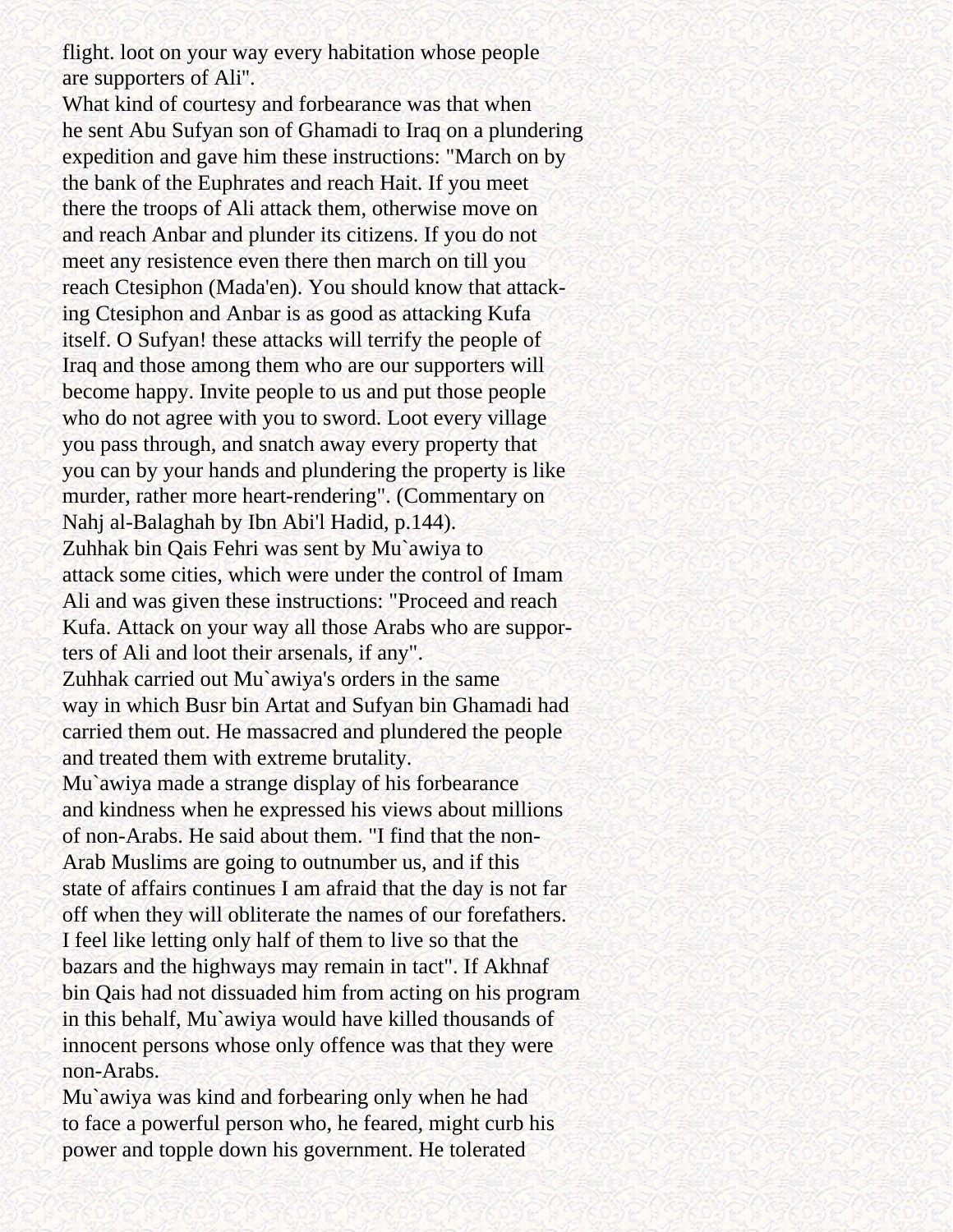flight. loot on your way every habitation whose people are supporters of Ali''.

What kind of courtesy and forbearance was that when he sent Abu Sufyan son of Ghamadi to Iraq on a plundering expedition and gave him these instructions: "March on by the bank of the Euphrates and reach Hait. If you meet there the troops of Ali attack them, otherwise move on and reach Anbar and plunder its citizens. If you do not meet any resistence even there then march on till you reach Ctesiphon (Mada'en). You should know that attacking Ctesiphon and Anbar is as good as attacking Kufa itself. O Sufyan! these attacks will terrify the people of Iraq and those among them who are our supporters will become happy. Invite people to us and put those people who do not agree with you to sword. Loot every village you pass through, and snatch away every property that you can by your hands and plundering the property is like murder, rather more heart-rendering". (Commentary on Nahj al-Balaghah by Ibn Abi'l Hadid, p.144). Zuhhak bin Qais Fehri was sent by Mu`awiya to attack some cities, which were under the control of Imam Ali and was given these instructions: "Proceed and reach Kufa. Attack on your way all those Arabs who are supporters of Ali and loot their arsenals, if any". Zuhhak carried out Mu`awiya's orders in the same way in which Busr bin Artat and Sufyan bin Ghamadi had carried them out. He massacred and plundered the people and treated them with extreme brutality. Mu`awiya made a strange display of his forbearance and kindness when he expressed his views about millions of non-Arabs. He said about them. "I find that the non-Arab Muslims are going to outnumber us, and if this state of affairs continues I am afraid that the day is not far off when they will obliterate the names of our forefathers. I feel like letting only half of them to live so that the bazars and the highways may remain in tact". If Akhnaf bin Qais had not dissuaded him from acting on his program in this behalf, Mu`awiya would have killed thousands of innocent persons whose only offence was that they were non-Arabs.

Mu`awiya was kind and forbearing only when he had to face a powerful person who, he feared, might curb his power and topple down his government. He tolerated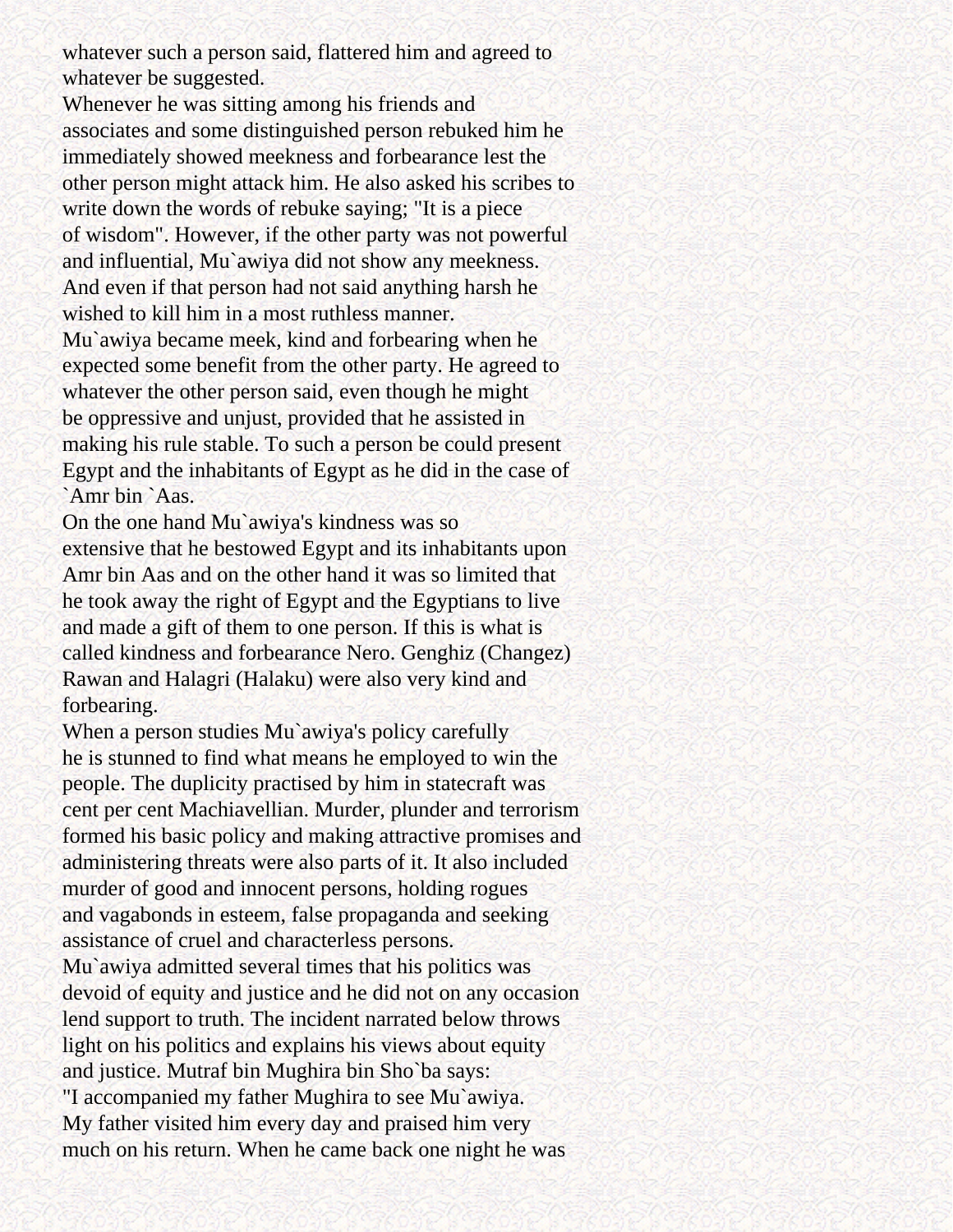whatever such a person said, flattered him and agreed to whatever be suggested.

Whenever he was sitting among his friends and associates and some distinguished person rebuked him he immediately showed meekness and forbearance lest the other person might attack him. He also asked his scribes to write down the words of rebuke saying; "It is a piece" of wisdom". However, if the other party was not powerful and influential, Mu`awiya did not show any meekness. And even if that person had not said anything harsh he wished to kill him in a most ruthless manner. Mu`awiya became meek, kind and forbearing when he expected some benefit from the other party. He agreed to whatever the other person said, even though he might be oppressive and unjust, provided that he assisted in making his rule stable. To such a person be could present Egypt and the inhabitants of Egypt as he did in the case of

`Amr bin `Aas.

On the one hand Mu`awiya's kindness was so extensive that he bestowed Egypt and its inhabitants upon Amr bin Aas and on the other hand it was so limited that he took away the right of Egypt and the Egyptians to live and made a gift of them to one person. If this is what is called kindness and forbearance Nero. Genghiz (Changez) Rawan and Halagri (Halaku) were also very kind and forbearing.

When a person studies Mu`awiya's policy carefully he is stunned to find what means he employed to win the people. The duplicity practised by him in statecraft was cent per cent Machiavellian. Murder, plunder and terrorism formed his basic policy and making attractive promises and administering threats were also parts of it. It also included murder of good and innocent persons, holding rogues and vagabonds in esteem, false propaganda and seeking assistance of cruel and characterless persons.

Mu`awiya admitted several times that his politics was devoid of equity and justice and he did not on any occasion lend support to truth. The incident narrated below throws light on his politics and explains his views about equity and justice. Mutraf bin Mughira bin Sho`ba says: "I accompanied my father Mughira to see Mu`awiya. My father visited him every day and praised him very much on his return. When he came back one night he was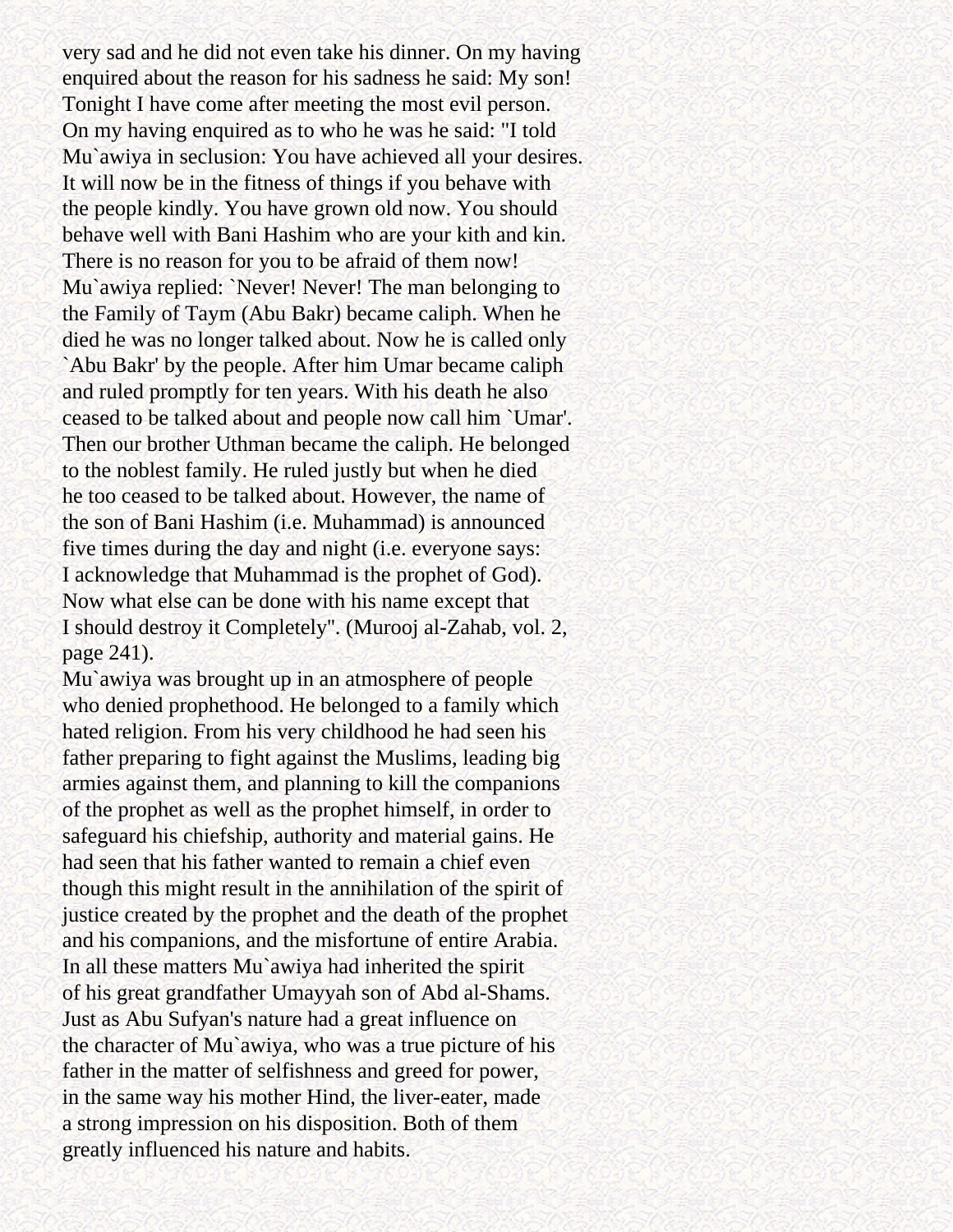very sad and he did not even take his dinner. On my having enquired about the reason for his sadness he said: My son! Tonight I have come after meeting the most evil person. On my having enquired as to who he was he said: "I told Mu`awiya in seclusion: You have achieved all your desires. It will now be in the fitness of things if you behave with the people kindly. You have grown old now. You should behave well with Bani Hashim who are your kith and kin. There is no reason for you to be afraid of them now! Mu`awiya replied: `Never! Never! The man belonging to the Family of Taym (Abu Bakr) became caliph. When he died he was no longer talked about. Now he is called only `Abu Bakr' by the people. After him Umar became caliph and ruled promptly for ten years. With his death he also ceased to be talked about and people now call him `Umar'. Then our brother Uthman became the caliph. He belonged to the noblest family. He ruled justly but when he died he too ceased to be talked about. However, the name of the son of Bani Hashim (i.e. Muhammad) is announced five times during the day and night (i.e. everyone says: I acknowledge that Muhammad is the prophet of God). Now what else can be done with his name except that I should destroy it Completely''. (Murooj al-Zahab, vol. 2, page 241).

Mu`awiya was brought up in an atmosphere of people who denied prophethood. He belonged to a family which hated religion. From his very childhood he had seen his father preparing to fight against the Muslims, leading big armies against them, and planning to kill the companions of the prophet as well as the prophet himself, in order to safeguard his chiefship, authority and material gains. He had seen that his father wanted to remain a chief even though this might result in the annihilation of the spirit of justice created by the prophet and the death of the prophet and his companions, and the misfortune of entire Arabia. In all these matters Mu`awiya had inherited the spirit of his great grandfather Umayyah son of Abd al-Shams. Just as Abu Sufyan's nature had a great influence on the character of Mu`awiya, who was a true picture of his father in the matter of selfishness and greed for power, in the same way his mother Hind, the liver-eater, made a strong impression on his disposition. Both of them greatly influenced his nature and habits.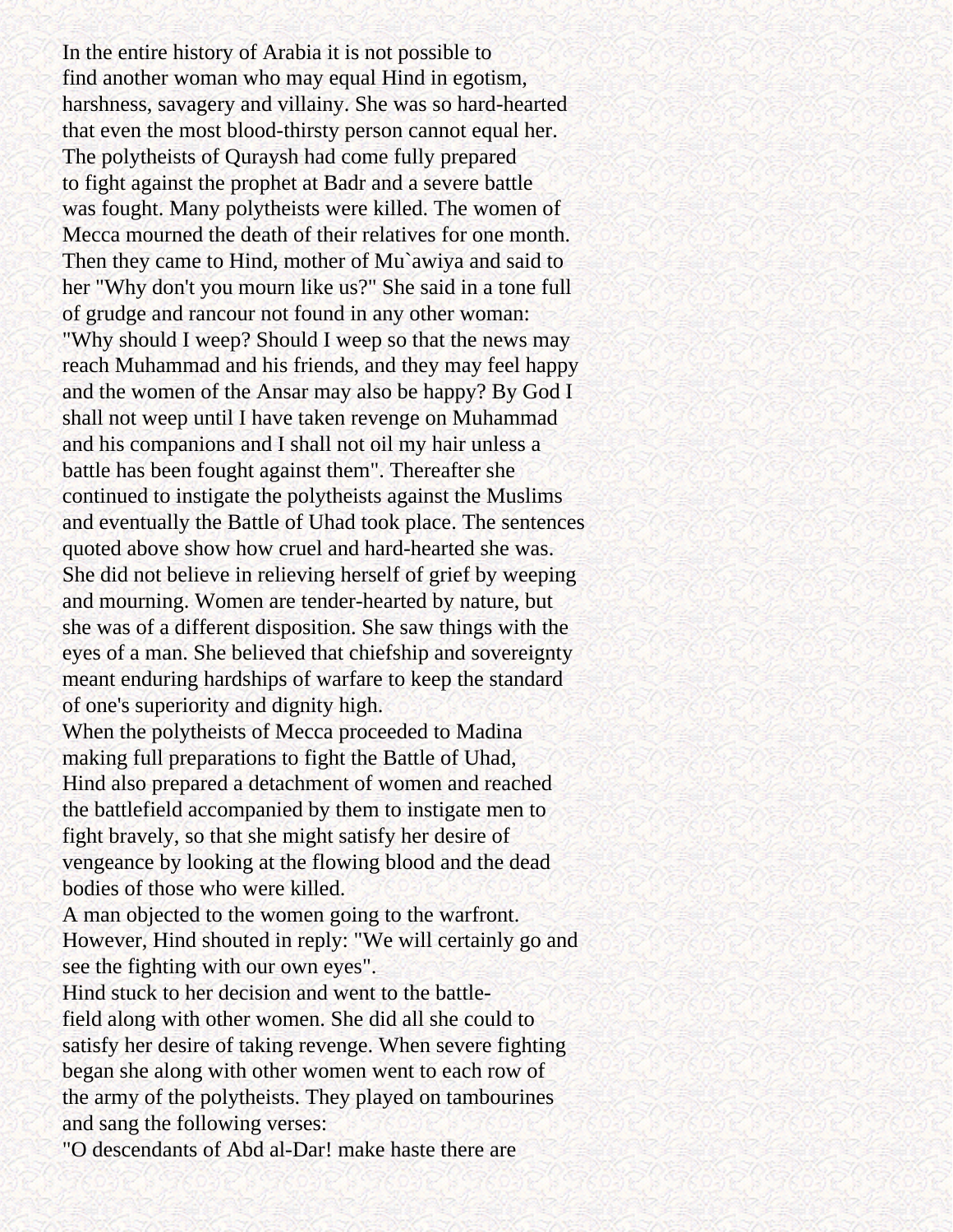In the entire history of Arabia it is not possible to find another woman who may equal Hind in egotism, harshness, savagery and villainy. She was so hard-hearted that even the most blood-thirsty person cannot equal her. The polytheists of Quraysh had come fully prepared to fight against the prophet at Badr and a severe battle was fought. Many polytheists were killed. The women of Mecca mourned the death of their relatives for one month. Then they came to Hind, mother of Mu`awiya and said to her "Why don't you mourn like us?" She said in a tone full of grudge and rancour not found in any other woman: "Why should I weep? Should I weep so that the news may reach Muhammad and his friends, and they may feel happy and the women of the Ansar may also be happy? By God I shall not weep until I have taken revenge on Muhammad and his companions and I shall not oil my hair unless a battle has been fought against them". Thereafter she continued to instigate the polytheists against the Muslims and eventually the Battle of Uhad took place. The sentences quoted above show how cruel and hard-hearted she was. She did not believe in relieving herself of grief by weeping and mourning. Women are tender-hearted by nature, but she was of a different disposition. She saw things with the eyes of a man. She believed that chiefship and sovereignty meant enduring hardships of warfare to keep the standard of one's superiority and dignity high.

When the polytheists of Mecca proceeded to Madina making full preparations to fight the Battle of Uhad, Hind also prepared a detachment of women and reached the battlefield accompanied by them to instigate men to fight bravely, so that she might satisfy her desire of vengeance by looking at the flowing blood and the dead bodies of those who were killed.

A man objected to the women going to the warfront. However, Hind shouted in reply: "We will certainly go and see the fighting with our own eyes".

Hind stuck to her decision and went to the battlefield along with other women. She did all she could to satisfy her desire of taking revenge. When severe fighting began she along with other women went to each row of the army of the polytheists. They played on tambourines and sang the following verses:

"O descendants of Abd al-Dar! make haste there are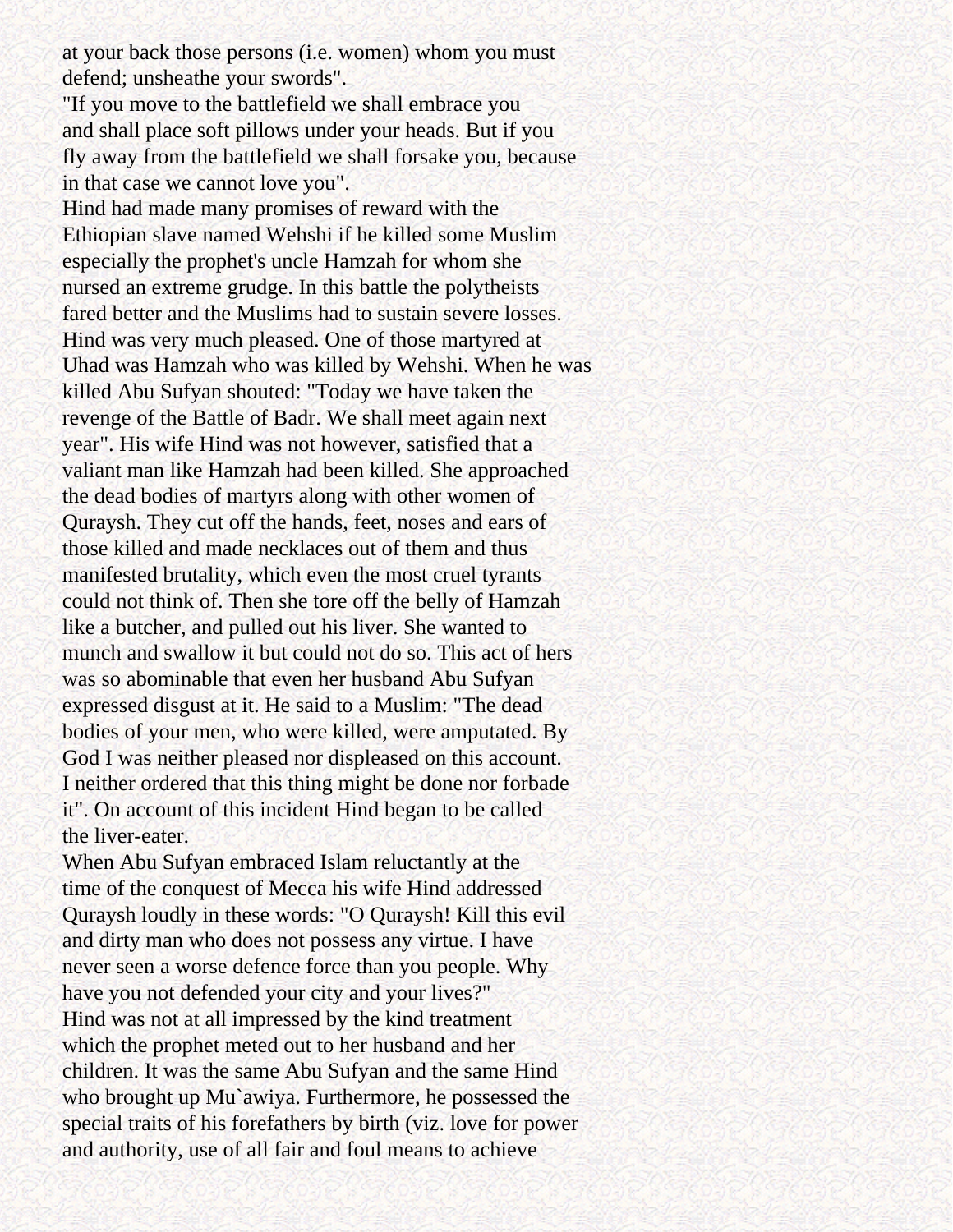at your back those persons (i.e. women) whom you must defend; unsheathe your swords".

"If you move to the battlefield we shall embrace you and shall place soft pillows under your heads. But if you fly away from the battlefield we shall forsake you, because in that case we cannot love you".

Hind had made many promises of reward with the Ethiopian slave named Wehshi if he killed some Muslim especially the prophet's uncle Hamzah for whom she nursed an extreme grudge. In this battle the polytheists fared better and the Muslims had to sustain severe losses. Hind was very much pleased. One of those martyred at Uhad was Hamzah who was killed by Wehshi. When he was killed Abu Sufyan shouted: "Today we have taken the revenge of the Battle of Badr. We shall meet again next year". His wife Hind was not however, satisfied that a valiant man like Hamzah had been killed. She approached the dead bodies of martyrs along with other women of Quraysh. They cut off the hands, feet, noses and ears of those killed and made necklaces out of them and thus manifested brutality, which even the most cruel tyrants could not think of. Then she tore off the belly of Hamzah like a butcher, and pulled out his liver. She wanted to munch and swallow it but could not do so. This act of hers was so abominable that even her husband Abu Sufyan expressed disgust at it. He said to a Muslim: "The dead bodies of your men, who were killed, were amputated. By God I was neither pleased nor displeased on this account. I neither ordered that this thing might be done nor forbade it". On account of this incident Hind began to be called the liver-eater.

When Abu Sufyan embraced Islam reluctantly at the time of the conquest of Mecca his wife Hind addressed Quraysh loudly in these words: "O Quraysh! Kill this evil and dirty man who does not possess any virtue. I have never seen a worse defence force than you people. Why have you not defended your city and your lives?" Hind was not at all impressed by the kind treatment which the prophet meted out to her husband and her children. It was the same Abu Sufyan and the same Hind who brought up Mu`awiya. Furthermore, he possessed the special traits of his forefathers by birth (viz. love for power and authority, use of all fair and foul means to achieve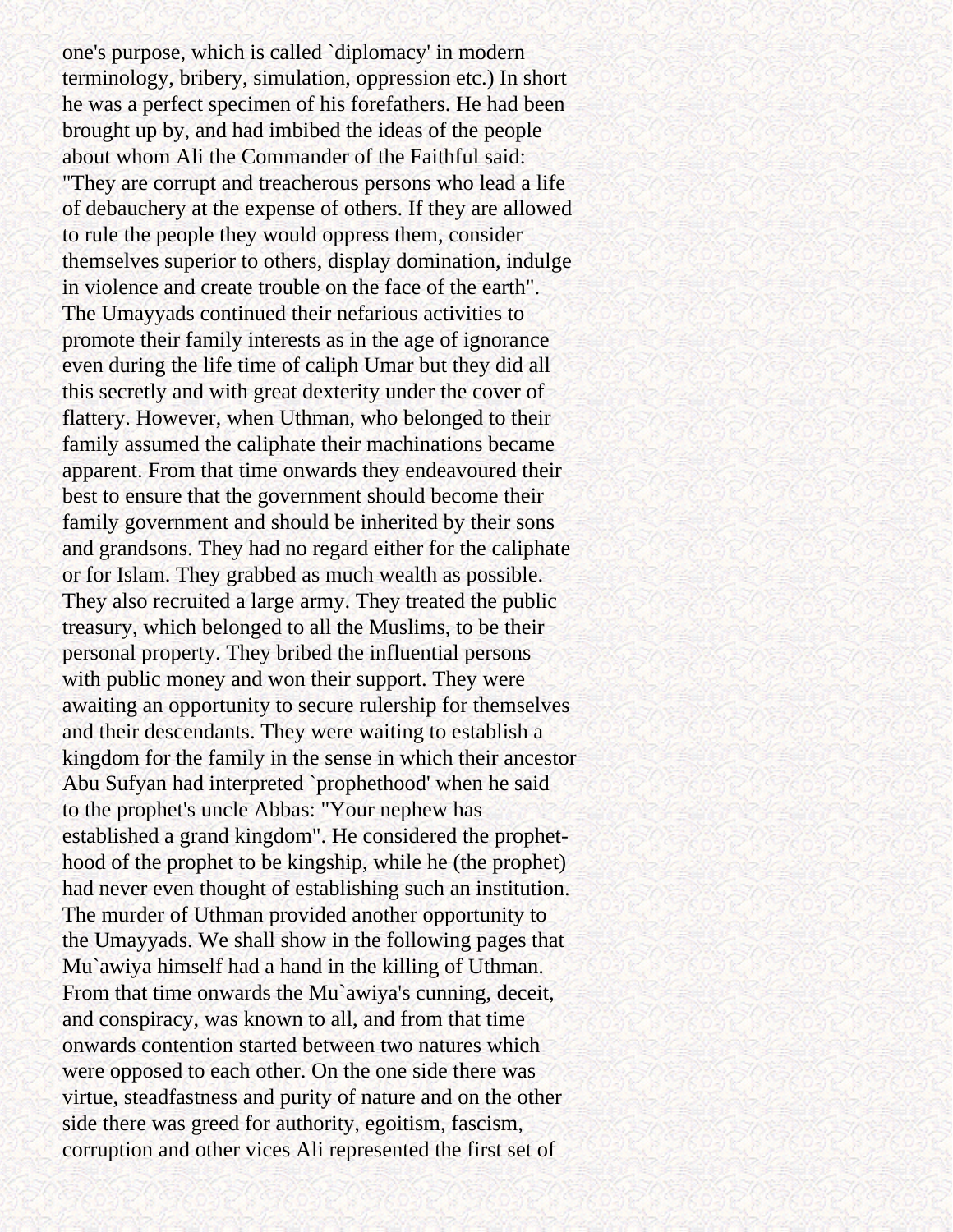one's purpose, which is called `diplomacy' in modern terminology, bribery, simulation, oppression etc.) In short he was a perfect specimen of his forefathers. He had been brought up by, and had imbibed the ideas of the people about whom Ali the Commander of the Faithful said:

"They are corrupt and treacherous persons who lead a life of debauchery at the expense of others. If they are allowed to rule the people they would oppress them, consider themselves superior to others, display domination, indulge in violence and create trouble on the face of the earth". The Umayyads continued their nefarious activities to promote their family interests as in the age of ignorance even during the life time of caliph Umar but they did all this secretly and with great dexterity under the cover of flattery. However, when Uthman, who belonged to their family assumed the caliphate their machinations became apparent. From that time onwards they endeavoured their best to ensure that the government should become their family government and should be inherited by their sons and grandsons. They had no regard either for the caliphate or for Islam. They grabbed as much wealth as possible. They also recruited a large army. They treated the public treasury, which belonged to all the Muslims, to be their personal property. They bribed the influential persons with public money and won their support. They were awaiting an opportunity to secure rulership for themselves and their descendants. They were waiting to establish a kingdom for the family in the sense in which their ancestor Abu Sufyan had interpreted `prophethood' when he said to the prophet's uncle Abbas: "Your nephew has established a grand kingdom". He considered the prophethood of the prophet to be kingship, while he (the prophet) had never even thought of establishing such an institution. The murder of Uthman provided another opportunity to the Umayyads. We shall show in the following pages that Mu`awiya himself had a hand in the killing of Uthman. From that time onwards the Mu`awiya's cunning, deceit, and conspiracy, was known to all, and from that time onwards contention started between two natures which were opposed to each other. On the one side there was virtue, steadfastness and purity of nature and on the other side there was greed for authority, egoitism, fascism, corruption and other vices Ali represented the first set of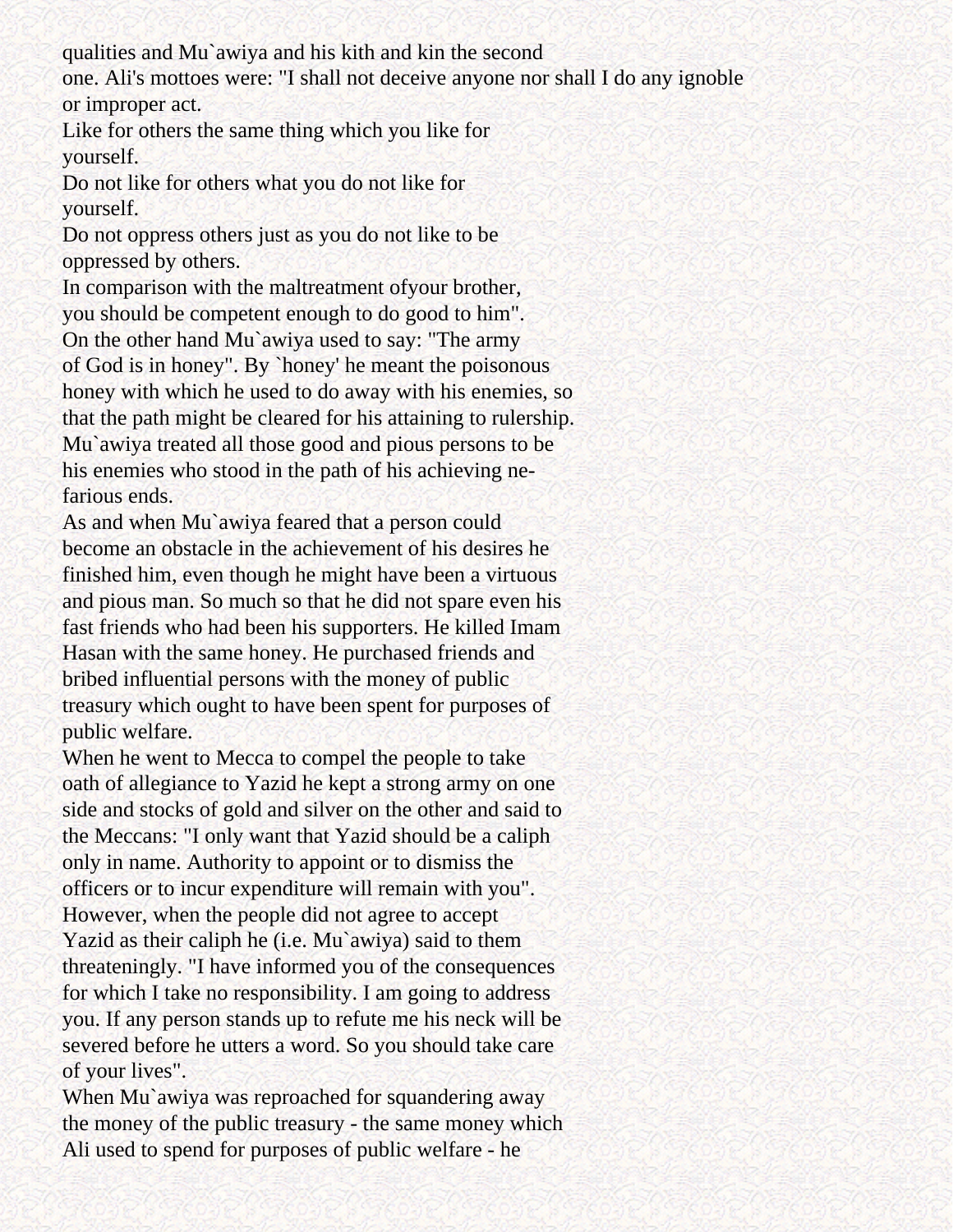qualities and Mu`awiya and his kith and kin the second

one. Ali's mottoes were: "I shall not deceive anyone nor shall I do any ignoble or improper act.

Like for others the same thing which you like for yourself.

Do not like for others what you do not like for yourself.

Do not oppress others just as you do not like to be oppressed by others.

In comparison with the maltreatment ofyour brother, you should be competent enough to do good to him". On the other hand Mu`awiya used to say: "The army of God is in honey". By `honey' he meant the poisonous honey with which he used to do away with his enemies, so that the path might be cleared for his attaining to rulership. Mu`awiya treated all those good and pious persons to be his enemies who stood in the path of his achieving nefarious ends.

As and when Mu`awiya feared that a person could become an obstacle in the achievement of his desires he finished him, even though he might have been a virtuous and pious man. So much so that he did not spare even his fast friends who had been his supporters. He killed Imam Hasan with the same honey. He purchased friends and bribed influential persons with the money of public treasury which ought to have been spent for purposes of public welfare.

When he went to Mecca to compel the people to take oath of allegiance to Yazid he kept a strong army on one side and stocks of gold and silver on the other and said to the Meccans: "I only want that Yazid should be a caliph only in name. Authority to appoint or to dismiss the officers or to incur expenditure will remain with you". However, when the people did not agree to accept Yazid as their caliph he (i.e. Mu`awiya) said to them threateningly. "I have informed you of the consequences for which I take no responsibility. I am going to address you. If any person stands up to refute me his neck will be severed before he utters a word. So you should take care of your lives".

When Mu`awiya was reproached for squandering away the money of the public treasury - the same money which Ali used to spend for purposes of public welfare - he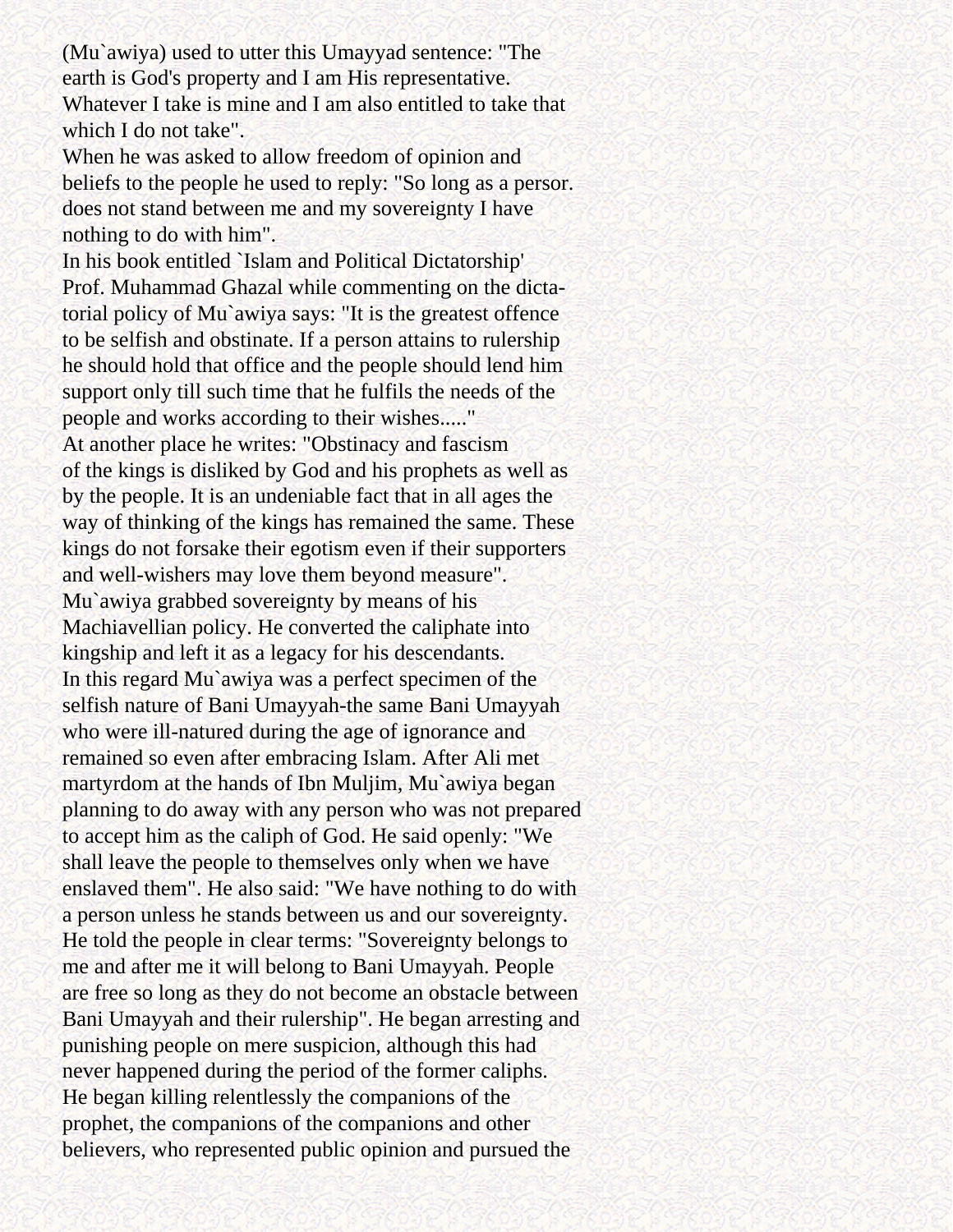(Mu`awiya) used to utter this Umayyad sentence: "The earth is God's property and I am His representative. Whatever I take is mine and I am also entitled to take that which I do not take".

When he was asked to allow freedom of opinion and beliefs to the people he used to reply: "So long as a persor. does not stand between me and my sovereignty I have nothing to do with him".

In his book entitled `Islam and Political Dictatorship' Prof. Muhammad Ghazal while commenting on the dictatorial policy of Mu`awiya says: "It is the greatest offence to be selfish and obstinate. If a person attains to rulership he should hold that office and the people should lend him support only till such time that he fulfils the needs of the people and works according to their wishes....."

At another place he writes: "Obstinacy and fascism of the kings is disliked by God and his prophets as well as by the people. It is an undeniable fact that in all ages the way of thinking of the kings has remained the same. These kings do not forsake their egotism even if their supporters and well-wishers may love them beyond measure". Mu`awiya grabbed sovereignty by means of his Machiavellian policy. He converted the caliphate into kingship and left it as a legacy for his descendants. In this regard Mu`awiya was a perfect specimen of the selfish nature of Bani Umayyah-the same Bani Umayyah who were ill-natured during the age of ignorance and remained so even after embracing Islam. After Ali met martyrdom at the hands of Ibn Muljim, Mu`awiya began planning to do away with any person who was not prepared to accept him as the caliph of God. He said openly: "We shall leave the people to themselves only when we have enslaved them". He also said: "We have nothing to do with a person unless he stands between us and our sovereignty. He told the people in clear terms: "Sovereignty belongs to me and after me it will belong to Bani Umayyah. People are free so long as they do not become an obstacle between Bani Umayyah and their rulership". He began arresting and punishing people on mere suspicion, although this had never happened during the period of the former caliphs. He began killing relentlessly the companions of the prophet, the companions of the companions and other believers, who represented public opinion and pursued the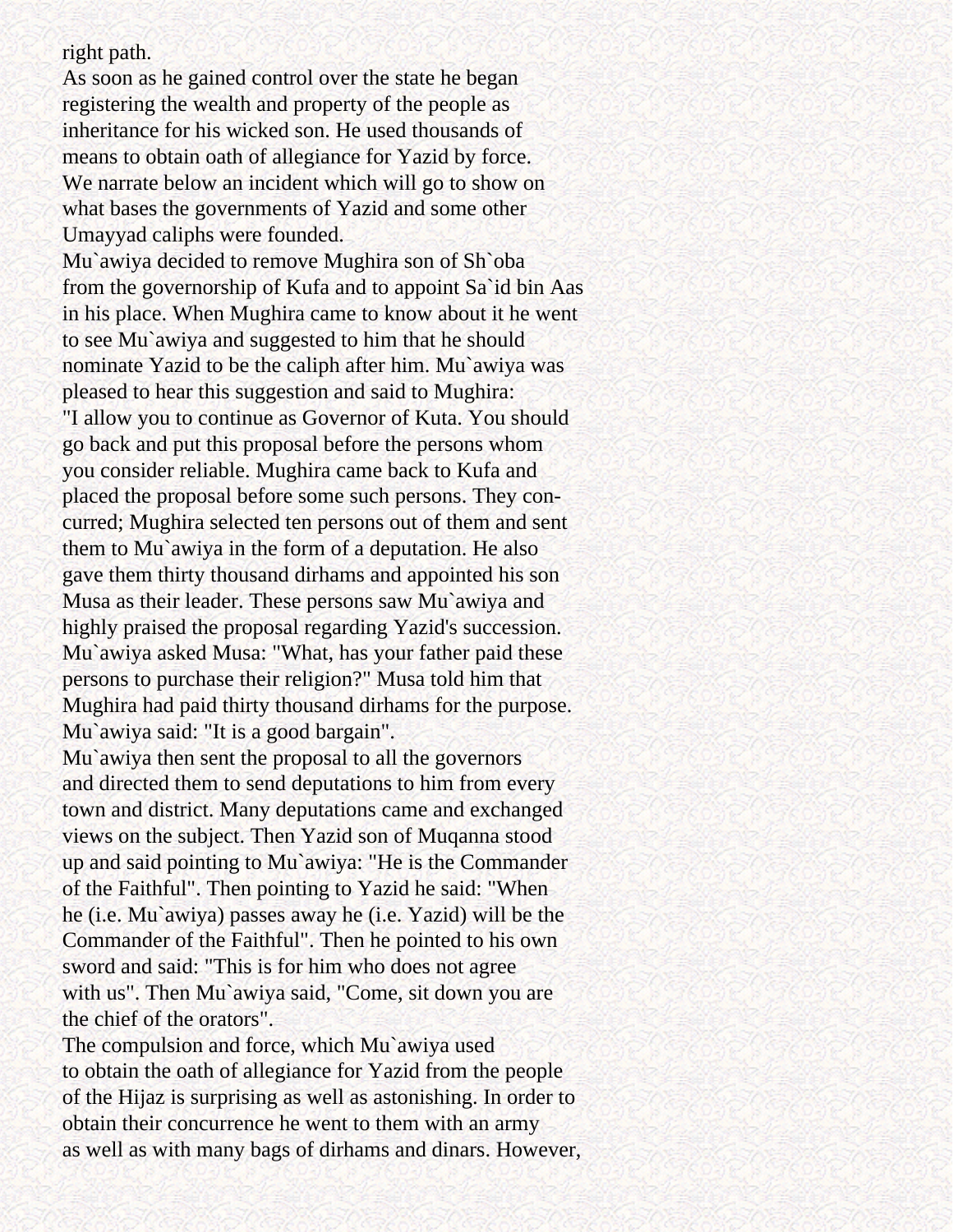right path.

As soon as he gained control over the state he began registering the wealth and property of the people as inheritance for his wicked son. He used thousands of means to obtain oath of allegiance for Yazid by force. We narrate below an incident which will go to show on what bases the governments of Yazid and some other Umayyad caliphs were founded.

Mu`awiya decided to remove Mughira son of Sh`oba from the governorship of Kufa and to appoint Sa`id bin Aas in his place. When Mughira came to know about it he went to see Mu`awiya and suggested to him that he should nominate Yazid to be the caliph after him. Mu`awiya was pleased to hear this suggestion and said to Mughira: "I allow you to continue as Governor of Kuta. You should go back and put this proposal before the persons whom you consider reliable. Mughira came back to Kufa and placed the proposal before some such persons. They concurred; Mughira selected ten persons out of them and sent them to Mu`awiya in the form of a deputation. He also gave them thirty thousand dirhams and appointed his son Musa as their leader. These persons saw Mu`awiya and highly praised the proposal regarding Yazid's succession. Mu`awiya asked Musa: "What, has your father paid these persons to purchase their religion?" Musa told him that Mughira had paid thirty thousand dirhams for the purpose. Mu`awiya said: "It is a good bargain".

Mu`awiya then sent the proposal to all the governors and directed them to send deputations to him from every town and district. Many deputations came and exchanged views on the subject. Then Yazid son of Muqanna stood up and said pointing to Mu`awiya: "He is the Commander of the Faithful". Then pointing to Yazid he said: "When he (i.e. Mu`awiya) passes away he (i.e. Yazid) will be the Commander of the Faithful". Then he pointed to his own sword and said: "This is for him who does not agree with us". Then Mu`awiya said, "Come, sit down you are the chief of the orators".

The compulsion and force, which Mu`awiya used to obtain the oath of allegiance for Yazid from the people of the Hijaz is surprising as well as astonishing. In order to obtain their concurrence he went to them with an army as well as with many bags of dirhams and dinars. However,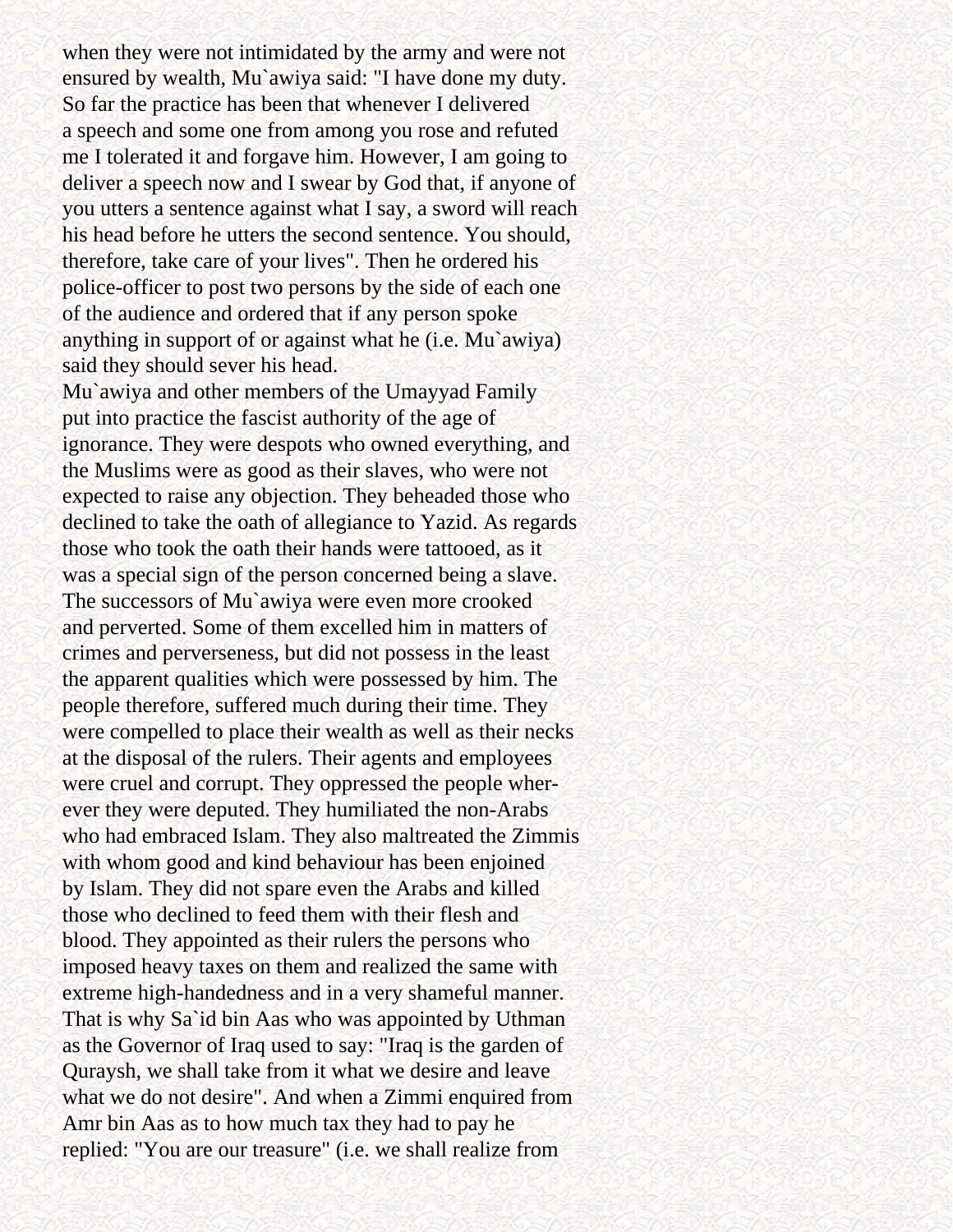when they were not intimidated by the army and were not ensured by wealth, Mu`awiya said: "I have done my duty. So far the practice has been that whenever I delivered a speech and some one from among you rose and refuted me I tolerated it and forgave him. However, I am going to deliver a speech now and I swear by God that, if anyone of you utters a sentence against what I say, a sword will reach his head before he utters the second sentence. You should, therefore, take care of your lives". Then he ordered his police-officer to post two persons by the side of each one of the audience and ordered that if any person spoke anything in support of or against what he (i.e. Mu`awiya) said they should sever his head.

Mu`awiya and other members of the Umayyad Family put into practice the fascist authority of the age of ignorance. They were despots who owned everything, and the Muslims were as good as their slaves, who were not expected to raise any objection. They beheaded those who declined to take the oath of allegiance to Yazid. As regards those who took the oath their hands were tattooed, as it was a special sign of the person concerned being a slave. The successors of Mu`awiya were even more crooked and perverted. Some of them excelled him in matters of crimes and perverseness, but did not possess in the least the apparent qualities which were possessed by him. The people therefore, suffered much during their time. They were compelled to place their wealth as well as their necks at the disposal of the rulers. Their agents and employees were cruel and corrupt. They oppressed the people wherever they were deputed. They humiliated the non-Arabs who had embraced Islam. They also maltreated the Zimmis with whom good and kind behaviour has been enjoined by Islam. They did not spare even the Arabs and killed those who declined to feed them with their flesh and blood. They appointed as their rulers the persons who imposed heavy taxes on them and realized the same with extreme high-handedness and in a very shameful manner. That is why Sa`id bin Aas who was appointed by Uthman as the Governor of Iraq used to say: "Iraq is the garden of Quraysh, we shall take from it what we desire and leave what we do not desire". And when a Zimmi enquired from Amr bin Aas as to how much tax they had to pay he replied: "You are our treasure" (i.e. we shall realize from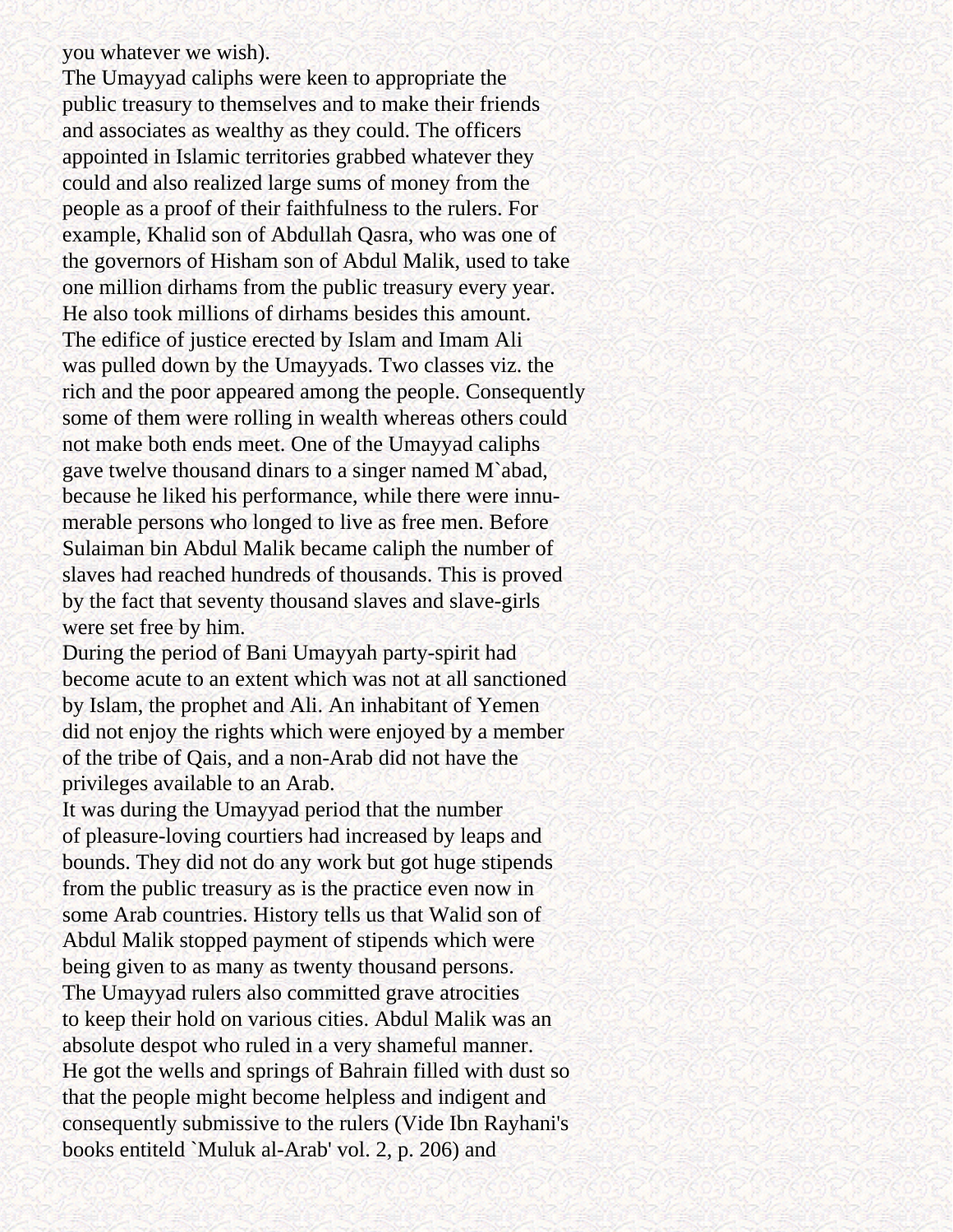you whatever we wish).

The Umayyad caliphs were keen to appropriate the public treasury to themselves and to make their friends and associates as wealthy as they could. The officers appointed in Islamic territories grabbed whatever they could and also realized large sums of money from the people as a proof of their faithfulness to the rulers. For example, Khalid son of Abdullah Qasra, who was one of the governors of Hisham son of Abdul Malik, used to take one million dirhams from the public treasury every year. He also took millions of dirhams besides this amount. The edifice of justice erected by Islam and Imam Ali was pulled down by the Umayyads. Two classes viz. the rich and the poor appeared among the people. Consequently some of them were rolling in wealth whereas others could not make both ends meet. One of the Umayyad caliphs gave twelve thousand dinars to a singer named M`abad, because he liked his performance, while there were innumerable persons who longed to live as free men. Before Sulaiman bin Abdul Malik became caliph the number of slaves had reached hundreds of thousands. This is proved by the fact that seventy thousand slaves and slave-girls were set free by him.

During the period of Bani Umayyah party-spirit had become acute to an extent which was not at all sanctioned by Islam, the prophet and Ali. An inhabitant of Yemen did not enjoy the rights which were enjoyed by a member of the tribe of Qais, and a non-Arab did not have the privileges available to an Arab.

It was during the Umayyad period that the number of pleasure-loving courtiers had increased by leaps and bounds. They did not do any work but got huge stipends from the public treasury as is the practice even now in some Arab countries. History tells us that Walid son of Abdul Malik stopped payment of stipends which were being given to as many as twenty thousand persons. The Umayyad rulers also committed grave atrocities to keep their hold on various cities. Abdul Malik was an absolute despot who ruled in a very shameful manner. He got the wells and springs of Bahrain filled with dust so that the people might become helpless and indigent and consequently submissive to the rulers (Vide Ibn Rayhani's books entiteld `Muluk al-Arab' vol. 2, p. 206) and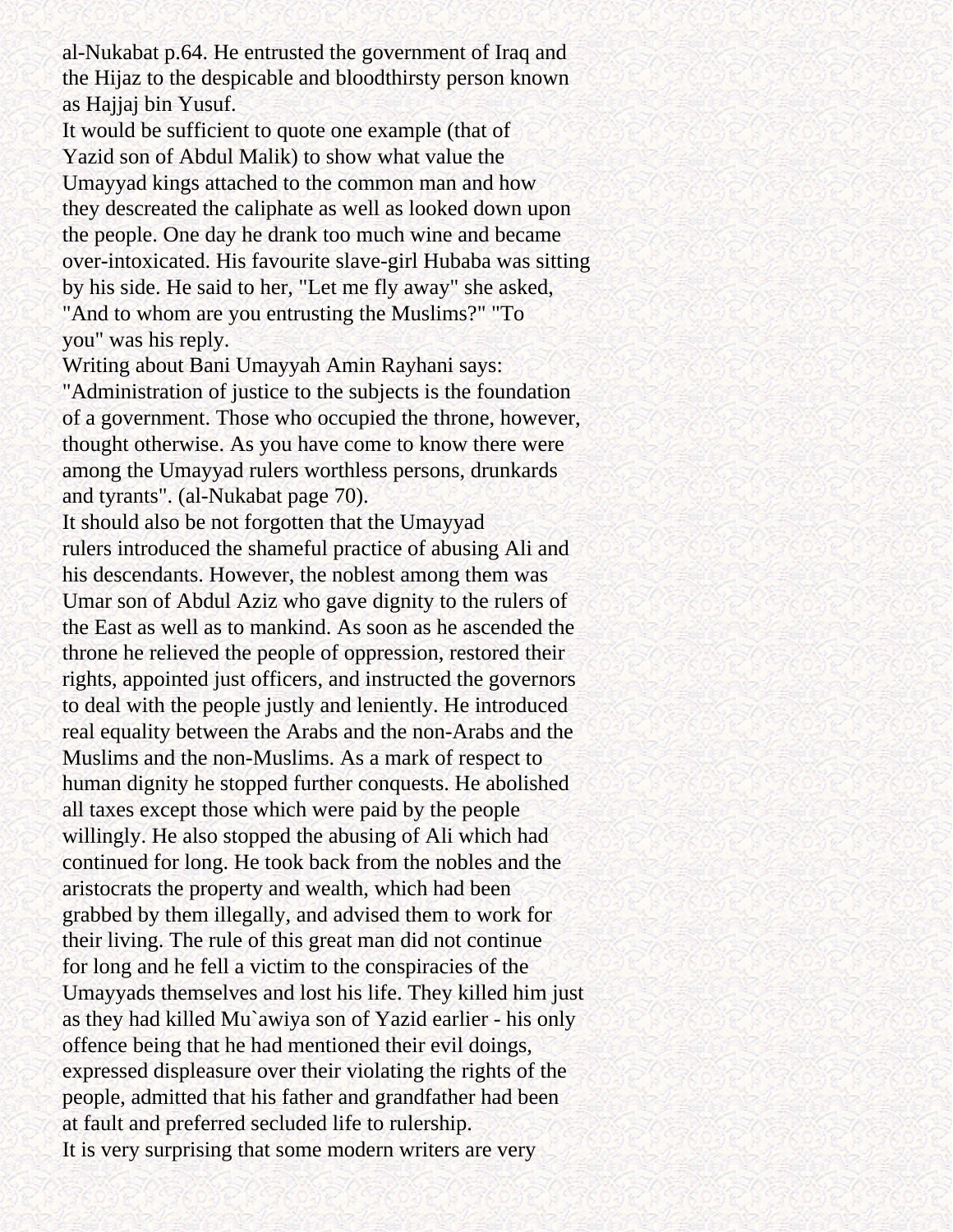al-Nukabat p.64. He entrusted the government of Iraq and the Hijaz to the despicable and bloodthirsty person known as Hajjaj bin Yusuf.

It would be sufficient to quote one example (that of Yazid son of Abdul Malik) to show what value the Umayyad kings attached to the common man and how they descreated the caliphate as well as looked down upon the people. One day he drank too much wine and became over-intoxicated. His favourite slave-girl Hubaba was sitting by his side. He said to her, "Let me fly away" she asked, "And to whom are you entrusting the Muslims?" "To you" was his reply.

Writing about Bani Umayyah Amin Rayhani says: "Administration of justice to the subjects is the foundation of a government. Those who occupied the throne, however, thought otherwise. As you have come to know there were among the Umayyad rulers worthless persons, drunkards and tyrants". (al-Nukabat page 70).

It should also be not forgotten that the Umayyad rulers introduced the shameful practice of abusing Ali and his descendants. However, the noblest among them was Umar son of Abdul Aziz who gave dignity to the rulers of the East as well as to mankind. As soon as he ascended the throne he relieved the people of oppression, restored their rights, appointed just officers, and instructed the governors to deal with the people justly and leniently. He introduced real equality between the Arabs and the non-Arabs and the Muslims and the non-Muslims. As a mark of respect to human dignity he stopped further conquests. He abolished all taxes except those which were paid by the people willingly. He also stopped the abusing of Ali which had continued for long. He took back from the nobles and the aristocrats the property and wealth, which had been grabbed by them illegally, and advised them to work for their living. The rule of this great man did not continue for long and he fell a victim to the conspiracies of the Umayyads themselves and lost his life. They killed him just as they had killed Mu`awiya son of Yazid earlier - his only offence being that he had mentioned their evil doings, expressed displeasure over their violating the rights of the people, admitted that his father and grandfather had been at fault and preferred secluded life to rulership. It is very surprising that some modern writers are very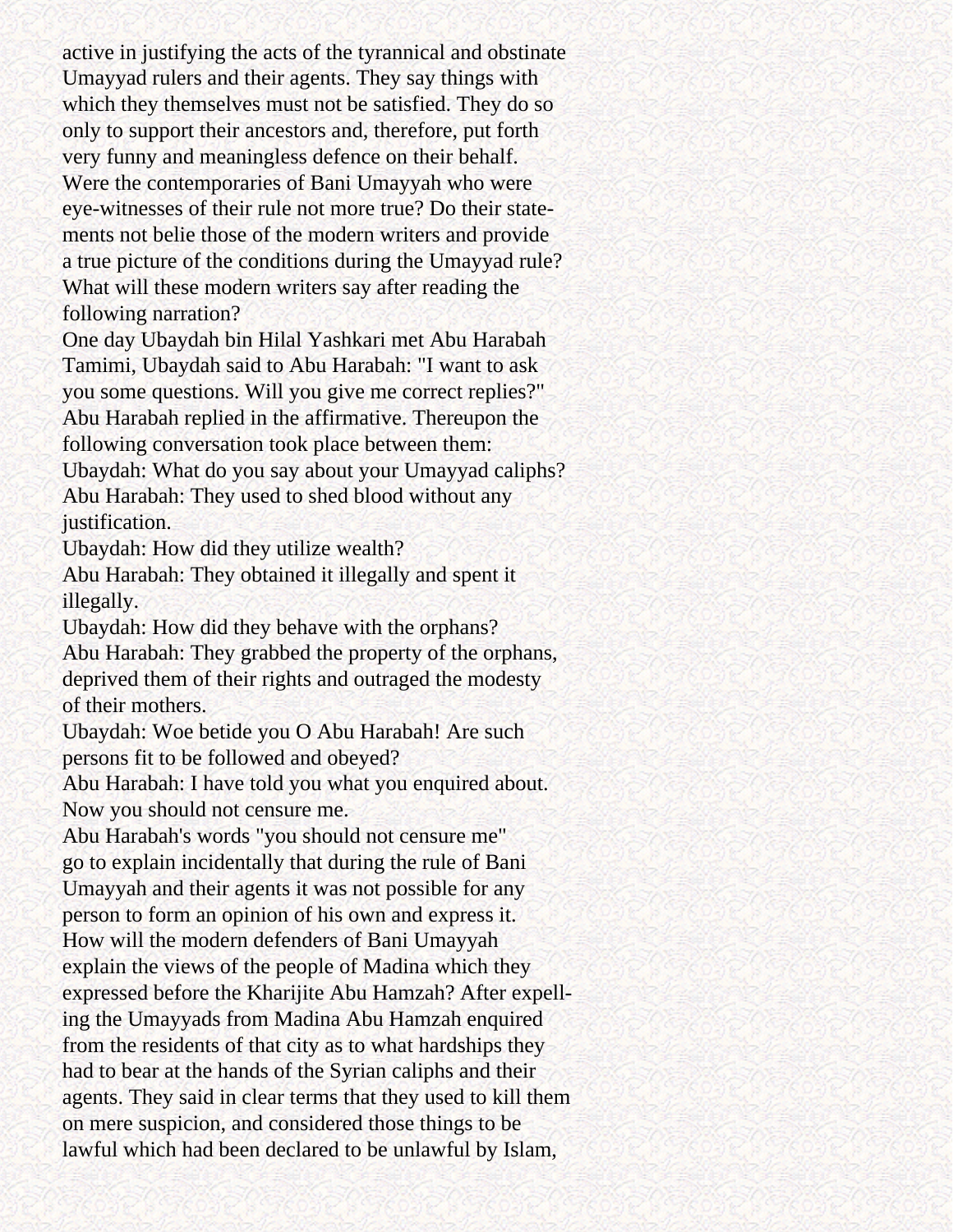active in justifying the acts of the tyrannical and obstinate Umayyad rulers and their agents. They say things with which they themselves must not be satisfied. They do so only to support their ancestors and, therefore, put forth very funny and meaningless defence on their behalf. Were the contemporaries of Bani Umayyah who were eye-witnesses of their rule not more true? Do their statements not belie those of the modern writers and provide a true picture of the conditions during the Umayyad rule? What will these modern writers say after reading the following narration?

One day Ubaydah bin Hilal Yashkari met Abu Harabah Tamimi, Ubaydah said to Abu Harabah: "I want to ask you some questions. Will you give me correct replies?" Abu Harabah replied in the affirmative. Thereupon the following conversation took place between them:

Ubaydah: What do you say about your Umayyad caliphs? Abu Harabah: They used to shed blood without any justification.

Ubaydah: How did they utilize wealth?

Abu Harabah: They obtained it illegally and spent it illegally.

Ubaydah: How did they behave with the orphans? Abu Harabah: They grabbed the property of the orphans, deprived them of their rights and outraged the modesty of their mothers.

Ubaydah: Woe betide you O Abu Harabah! Are such persons fit to be followed and obeyed?

Abu Harabah: I have told you what you enquired about. Now you should not censure me.

Abu Harabah's words "you should not censure me" go to explain incidentally that during the rule of Bani Umayyah and their agents it was not possible for any person to form an opinion of his own and express it. How will the modern defenders of Bani Umayyah explain the views of the people of Madina which they expressed before the Kharijite Abu Hamzah? After expelling the Umayyads from Madina Abu Hamzah enquired from the residents of that city as to what hardships they had to bear at the hands of the Syrian caliphs and their agents. They said in clear terms that they used to kill them on mere suspicion, and considered those things to be lawful which had been declared to be unlawful by Islam,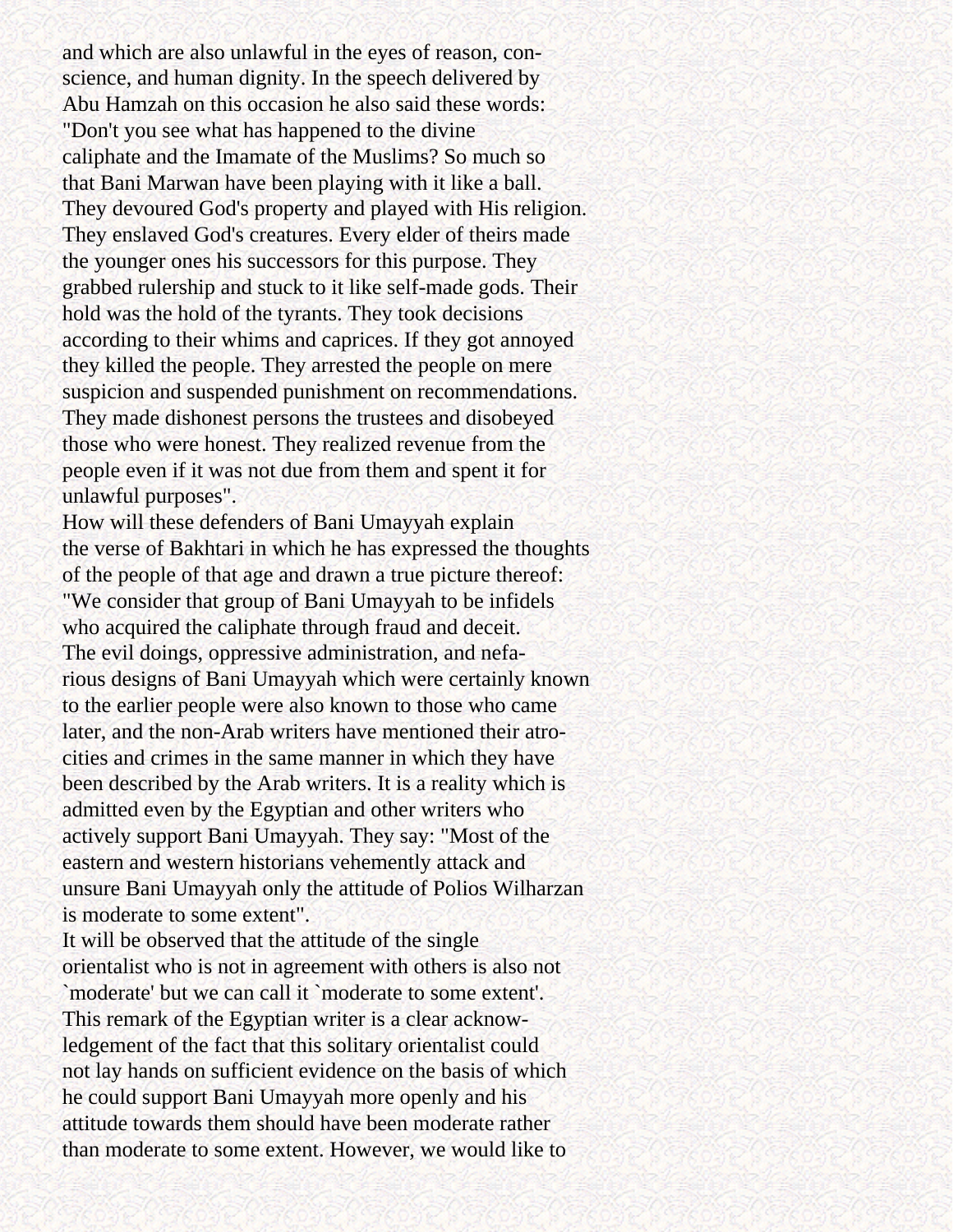and which are also unlawful in the eyes of reason, conscience, and human dignity. In the speech delivered by Abu Hamzah on this occasion he also said these words: "Don't you see what has happened to the divine caliphate and the Imamate of the Muslims? So much so that Bani Marwan have been playing with it like a ball. They devoured God's property and played with His religion. They enslaved God's creatures. Every elder of theirs made the younger ones his successors for this purpose. They grabbed rulership and stuck to it like self-made gods. Their hold was the hold of the tyrants. They took decisions according to their whims and caprices. If they got annoyed they killed the people. They arrested the people on mere suspicion and suspended punishment on recommendations. They made dishonest persons the trustees and disobeyed those who were honest. They realized revenue from the people even if it was not due from them and spent it for unlawful purposes".

How will these defenders of Bani Umayyah explain the verse of Bakhtari in which he has expressed the thoughts of the people of that age and drawn a true picture thereof: "We consider that group of Bani Umayyah to be infidels who acquired the caliphate through fraud and deceit. The evil doings, oppressive administration, and nefarious designs of Bani Umayyah which were certainly known to the earlier people were also known to those who came later, and the non-Arab writers have mentioned their atrocities and crimes in the same manner in which they have been described by the Arab writers. It is a reality which is admitted even by the Egyptian and other writers who actively support Bani Umayyah. They say: "Most of the eastern and western historians vehemently attack and unsure Bani Umayyah only the attitude of Polios Wilharzan is moderate to some extent".

It will be observed that the attitude of the single orientalist who is not in agreement with others is also not `moderate' but we can call it `moderate to some extent'. This remark of the Egyptian writer is a clear acknowledgement of the fact that this solitary orientalist could not lay hands on sufficient evidence on the basis of which he could support Bani Umayyah more openly and his attitude towards them should have been moderate rather than moderate to some extent. However, we would like to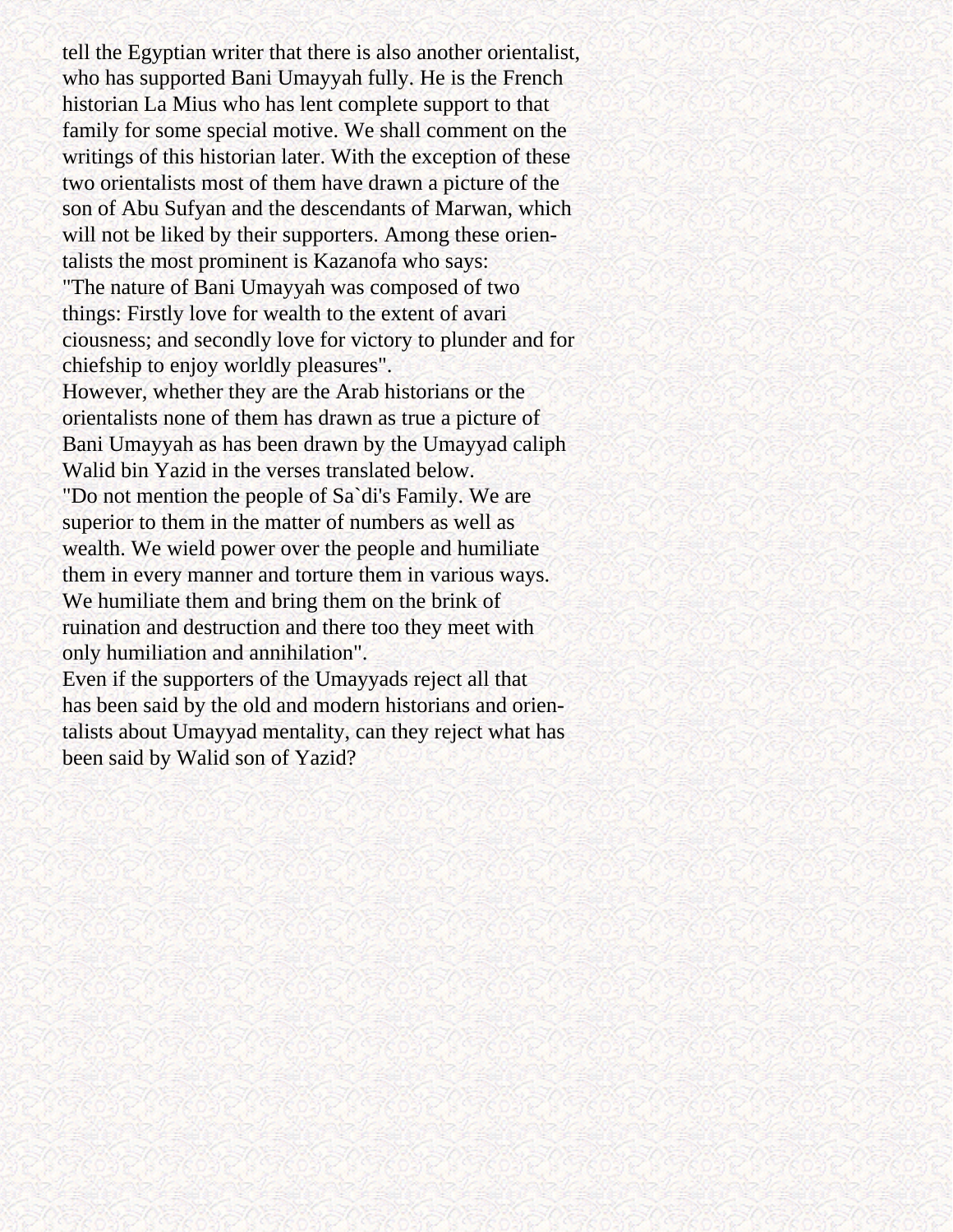tell the Egyptian writer that there is also another orientalist, who has supported Bani Umayyah fully. He is the French historian La Mius who has lent complete support to that family for some special motive. We shall comment on the writings of this historian later. With the exception of these two orientalists most of them have drawn a picture of the son of Abu Sufyan and the descendants of Marwan, which will not be liked by their supporters. Among these orientalists the most prominent is Kazanofa who says: "The nature of Bani Umayyah was composed of two things: Firstly love for wealth to the extent of avari ciousness; and secondly love for victory to plunder and for chiefship to enjoy worldly pleasures". However, whether they are the Arab historians or the orientalists none of them has drawn as true a picture of Bani Umayyah as has been drawn by the Umayyad caliph Walid bin Yazid in the verses translated below. "Do not mention the people of Sa`di's Family. We are superior to them in the matter of numbers as well as wealth. We wield power over the people and humiliate them in every manner and torture them in various ways. We humiliate them and bring them on the brink of ruination and destruction and there too they meet with only humiliation and annihilation". Even if the supporters of the Umayyads reject all that

has been said by the old and modern historians and orientalists about Umayyad mentality, can they reject what has been said by Walid son of Yazid?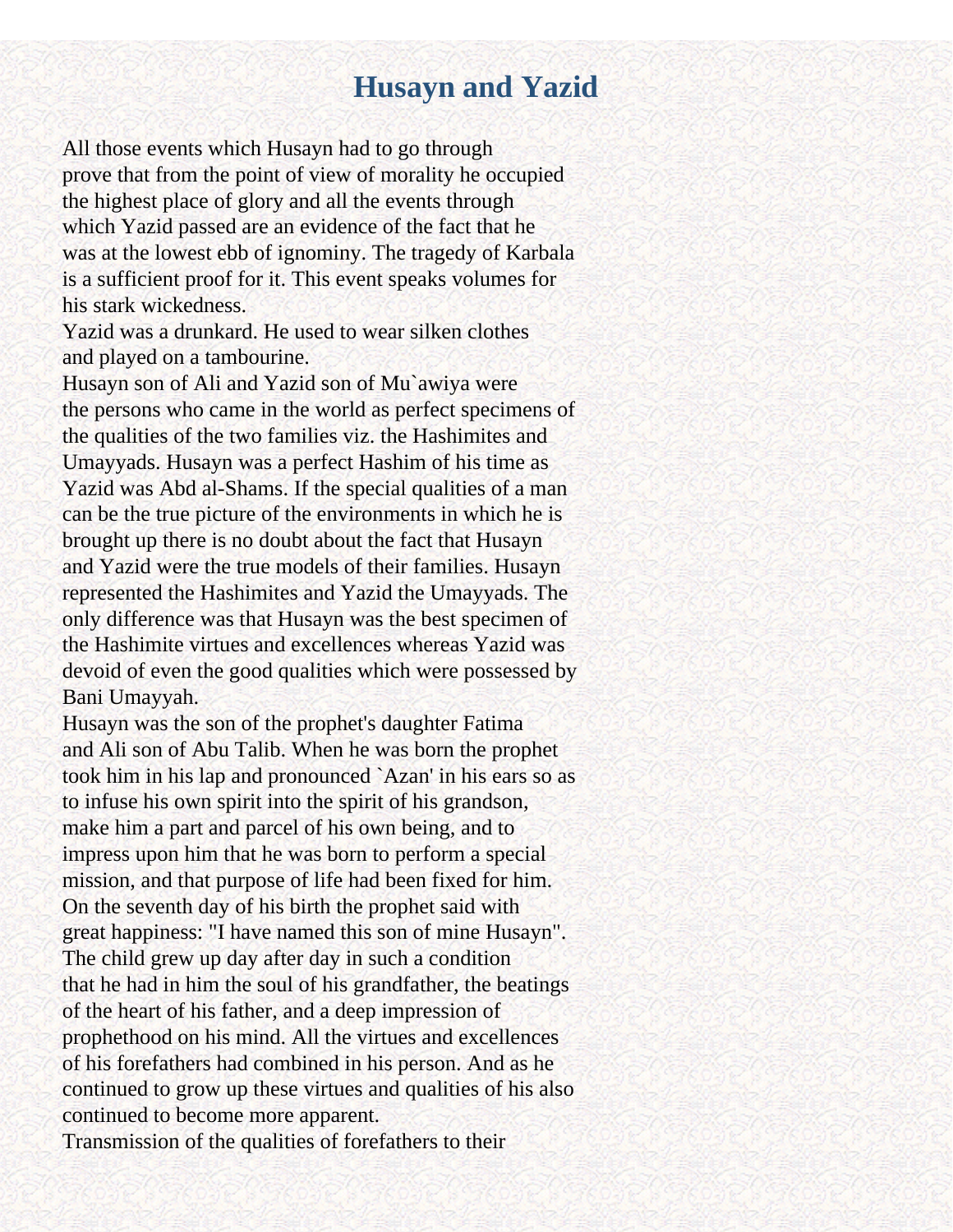## **Husayn and Yazid**

All those events which Husayn had to go through prove that from the point of view of morality he occupied the highest place of glory and all the events through which Yazid passed are an evidence of the fact that he was at the lowest ebb of ignominy. The tragedy of Karbala is a sufficient proof for it. This event speaks volumes for his stark wickedness.

Yazid was a drunkard. He used to wear silken clothes and played on a tambourine.

Husayn son of Ali and Yazid son of Mu`awiya were the persons who came in the world as perfect specimens of the qualities of the two families viz. the Hashimites and Umayyads. Husayn was a perfect Hashim of his time as Yazid was Abd al-Shams. If the special qualities of a man can be the true picture of the environments in which he is brought up there is no doubt about the fact that Husayn and Yazid were the true models of their families. Husayn represented the Hashimites and Yazid the Umayyads. The only difference was that Husayn was the best specimen of the Hashimite virtues and excellences whereas Yazid was devoid of even the good qualities which were possessed by Bani Umayyah.

Husayn was the son of the prophet's daughter Fatima and Ali son of Abu Talib. When he was born the prophet took him in his lap and pronounced `Azan' in his ears so as to infuse his own spirit into the spirit of his grandson, make him a part and parcel of his own being, and to impress upon him that he was born to perform a special mission, and that purpose of life had been fixed for him. On the seventh day of his birth the prophet said with great happiness: "I have named this son of mine Husayn". The child grew up day after day in such a condition that he had in him the soul of his grandfather, the beatings of the heart of his father, and a deep impression of prophethood on his mind. All the virtues and excellences of his forefathers had combined in his person. And as he continued to grow up these virtues and qualities of his also continued to become more apparent.

Transmission of the qualities of forefathers to their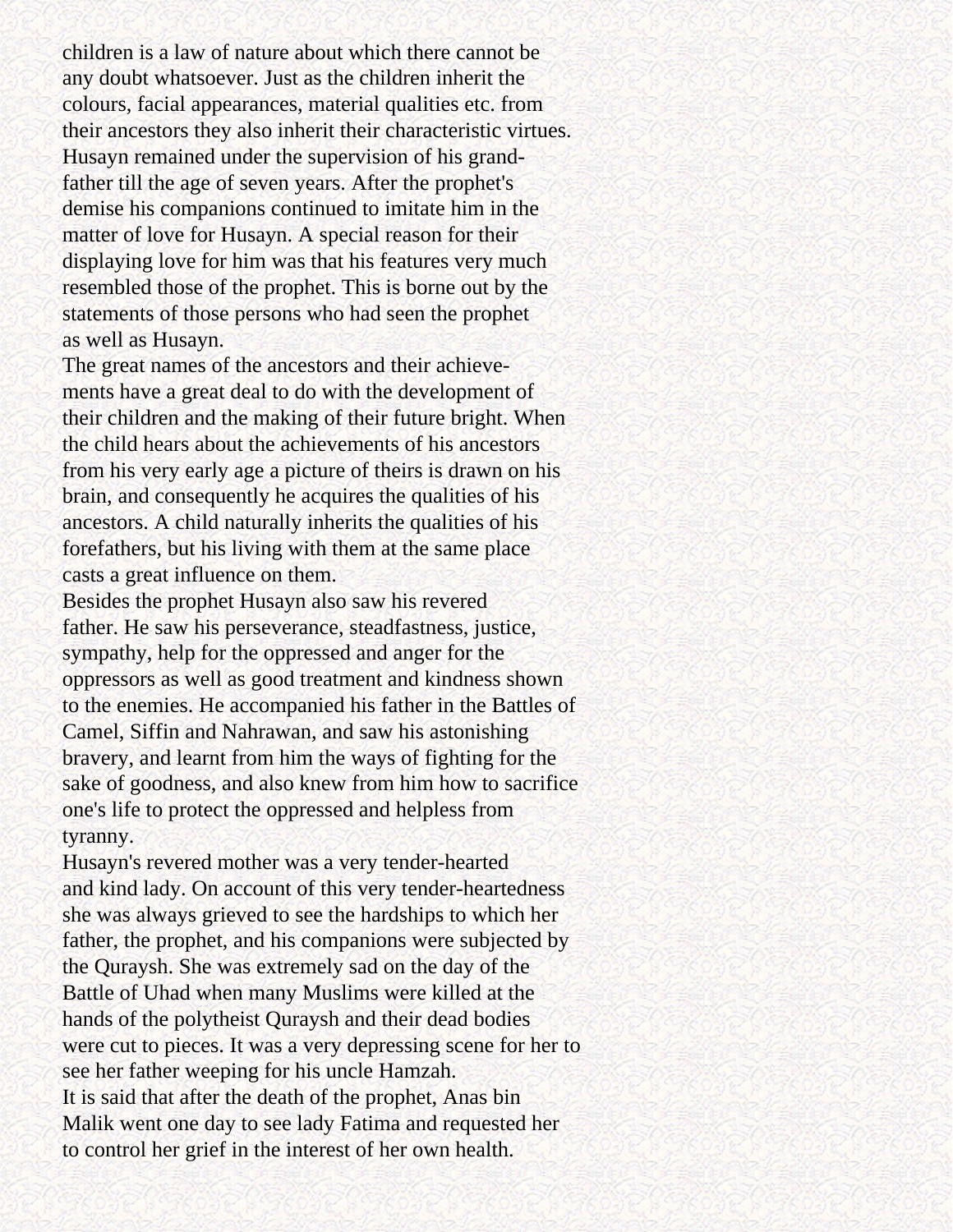children is a law of nature about which there cannot be any doubt whatsoever. Just as the children inherit the colours, facial appearances, material qualities etc. from their ancestors they also inherit their characteristic virtues. Husayn remained under the supervision of his grandfather till the age of seven years. After the prophet's demise his companions continued to imitate him in the matter of love for Husayn. A special reason for their displaying love for him was that his features very much resembled those of the prophet. This is borne out by the statements of those persons who had seen the prophet as well as Husayn.

The great names of the ancestors and their achievements have a great deal to do with the development of their children and the making of their future bright. When the child hears about the achievements of his ancestors from his very early age a picture of theirs is drawn on his brain, and consequently he acquires the qualities of his ancestors. A child naturally inherits the qualities of his forefathers, but his living with them at the same place casts a great influence on them.

Besides the prophet Husayn also saw his revered father. He saw his perseverance, steadfastness, justice, sympathy, help for the oppressed and anger for the oppressors as well as good treatment and kindness shown to the enemies. He accompanied his father in the Battles of Camel, Siffin and Nahrawan, and saw his astonishing bravery, and learnt from him the ways of fighting for the sake of goodness, and also knew from him how to sacrifice one's life to protect the oppressed and helpless from tyranny.

Husayn's revered mother was a very tender-hearted and kind lady. On account of this very tender-heartedness she was always grieved to see the hardships to which her father, the prophet, and his companions were subjected by the Quraysh. She was extremely sad on the day of the Battle of Uhad when many Muslims were killed at the hands of the polytheist Quraysh and their dead bodies were cut to pieces. It was a very depressing scene for her to see her father weeping for his uncle Hamzah. It is said that after the death of the prophet, Anas bin Malik went one day to see lady Fatima and requested her to control her grief in the interest of her own health.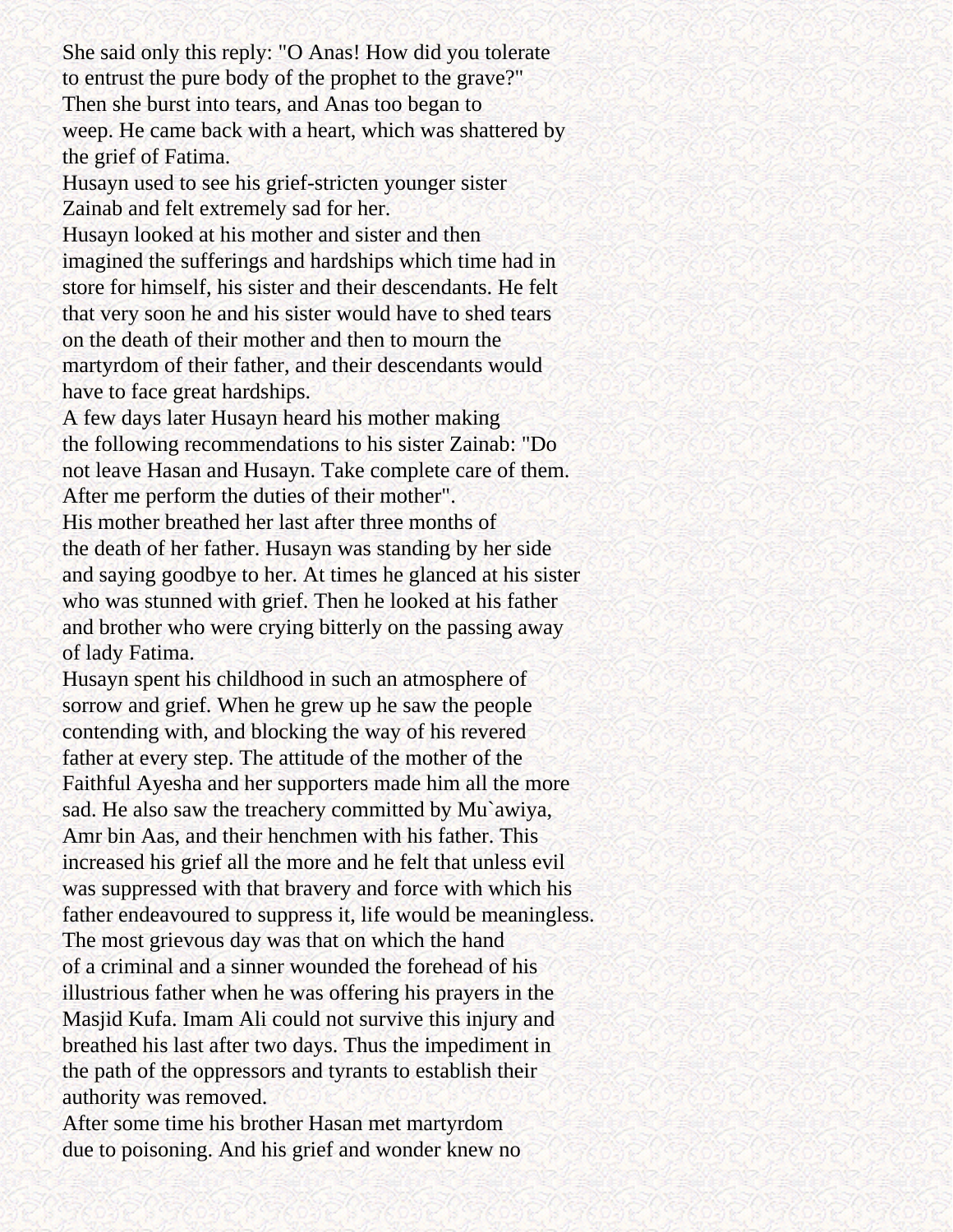She said only this reply: "O Anas! How did you tolerate to entrust the pure body of the prophet to the grave?" Then she burst into tears, and Anas too began to weep. He came back with a heart, which was shattered by the grief of Fatima.

Husayn used to see his grief-stricten younger sister Zainab and felt extremely sad for her.

Husayn looked at his mother and sister and then imagined the sufferings and hardships which time had in store for himself, his sister and their descendants. He felt that very soon he and his sister would have to shed tears on the death of their mother and then to mourn the martyrdom of their father, and their descendants would have to face great hardships.

A few days later Husayn heard his mother making the following recommendations to his sister Zainab: "Do not leave Hasan and Husayn. Take complete care of them. After me perform the duties of their mother".

His mother breathed her last after three months of the death of her father. Husayn was standing by her side and saying goodbye to her. At times he glanced at his sister who was stunned with grief. Then he looked at his father and brother who were crying bitterly on the passing away of lady Fatima.

Husayn spent his childhood in such an atmosphere of sorrow and grief. When he grew up he saw the people contending with, and blocking the way of his revered father at every step. The attitude of the mother of the Faithful Ayesha and her supporters made him all the more sad. He also saw the treachery committed by Mu`awiya, Amr bin Aas, and their henchmen with his father. This increased his grief all the more and he felt that unless evil was suppressed with that bravery and force with which his father endeavoured to suppress it, life would be meaningless. The most grievous day was that on which the hand of a criminal and a sinner wounded the forehead of his illustrious father when he was offering his prayers in the Masjid Kufa. Imam Ali could not survive this injury and breathed his last after two days. Thus the impediment in the path of the oppressors and tyrants to establish their authority was removed.

After some time his brother Hasan met martyrdom due to poisoning. And his grief and wonder knew no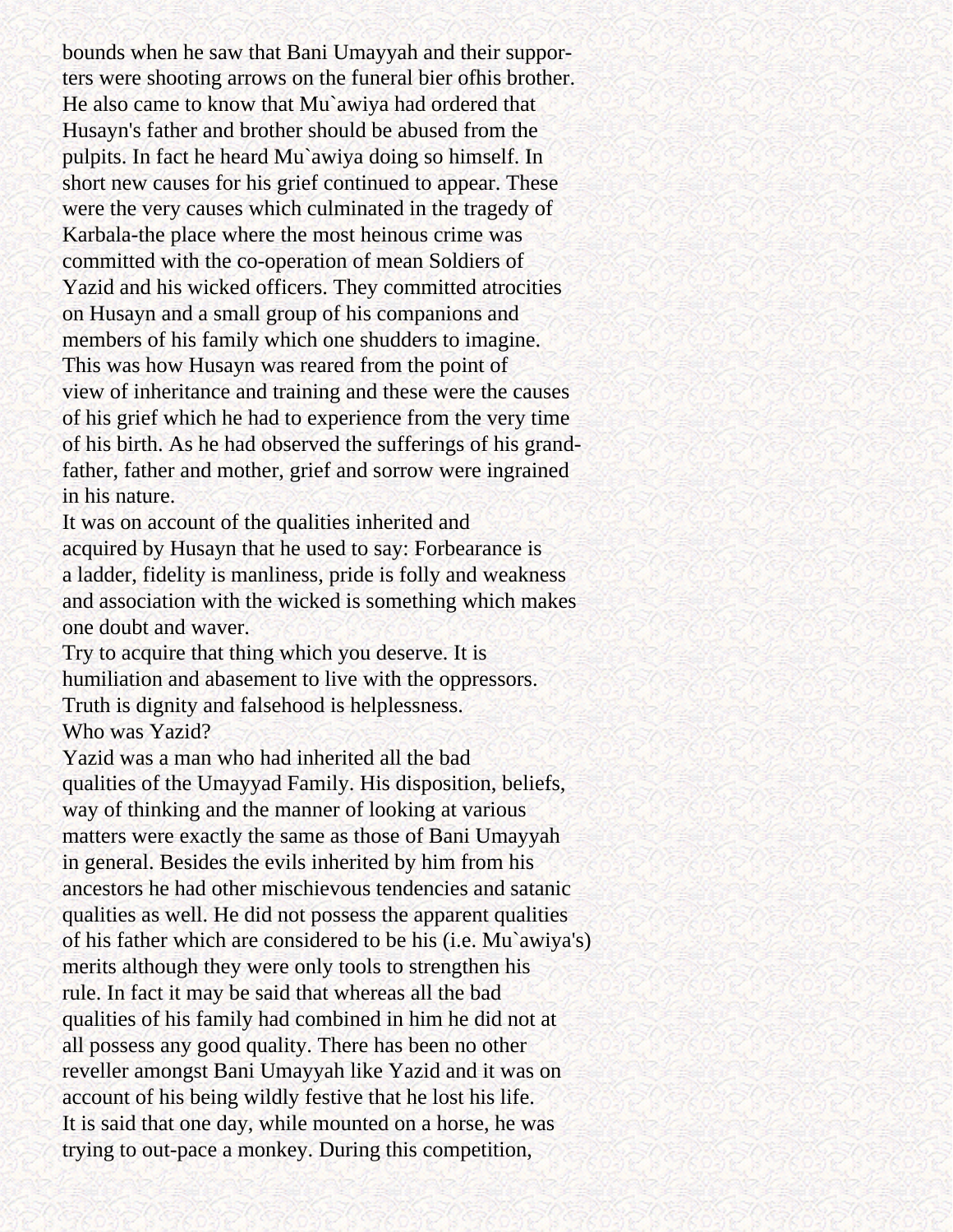bounds when he saw that Bani Umayyah and their supporters were shooting arrows on the funeral bier ofhis brother. He also came to know that Mu`awiya had ordered that Husayn's father and brother should be abused from the pulpits. In fact he heard Mu`awiya doing so himself. In short new causes for his grief continued to appear. These were the very causes which culminated in the tragedy of Karbala-the place where the most heinous crime was committed with the co-operation of mean Soldiers of Yazid and his wicked officers. They committed atrocities on Husayn and a small group of his companions and members of his family which one shudders to imagine. This was how Husayn was reared from the point of view of inheritance and training and these were the causes of his grief which he had to experience from the very time of his birth. As he had observed the sufferings of his grandfather, father and mother, grief and sorrow were ingrained in his nature.

It was on account of the qualities inherited and acquired by Husayn that he used to say: Forbearance is a ladder, fidelity is manliness, pride is folly and weakness and association with the wicked is something which makes one doubt and waver.

Try to acquire that thing which you deserve. It is humiliation and abasement to live with the oppressors. Truth is dignity and falsehood is helplessness. Who was Yazid?

Yazid was a man who had inherited all the bad qualities of the Umayyad Family. His disposition, beliefs, way of thinking and the manner of looking at various matters were exactly the same as those of Bani Umayyah in general. Besides the evils inherited by him from his ancestors he had other mischievous tendencies and satanic qualities as well. He did not possess the apparent qualities of his father which are considered to be his (i.e. Mu`awiya's) merits although they were only tools to strengthen his rule. In fact it may be said that whereas all the bad qualities of his family had combined in him he did not at all possess any good quality. There has been no other reveller amongst Bani Umayyah like Yazid and it was on account of his being wildly festive that he lost his life. It is said that one day, while mounted on a horse, he was trying to out-pace a monkey. During this competition,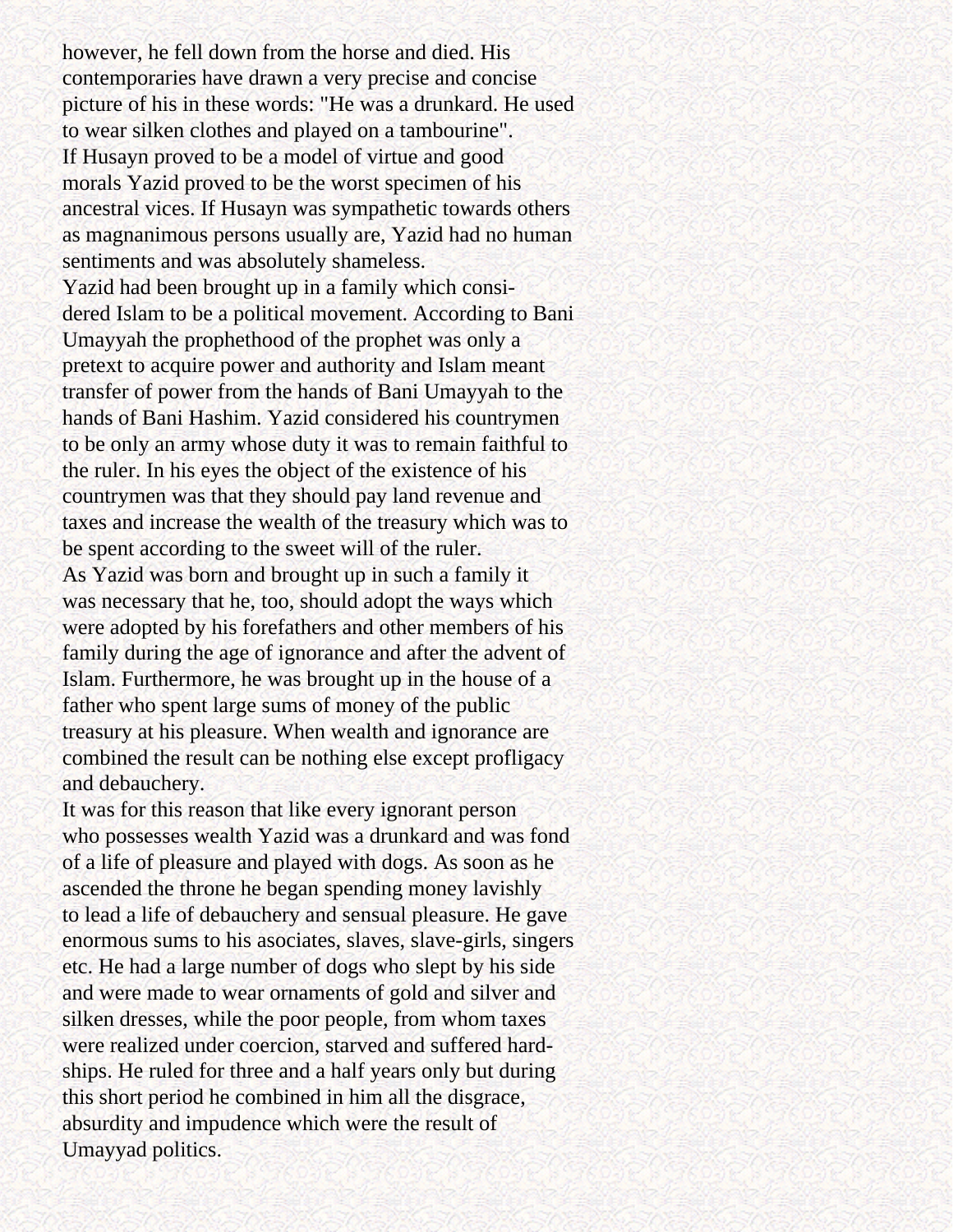however, he fell down from the horse and died. His contemporaries have drawn a very precise and concise picture of his in these words: "He was a drunkard. He used to wear silken clothes and played on a tambourine". If Husayn proved to be a model of virtue and good morals Yazid proved to be the worst specimen of his ancestral vices. If Husayn was sympathetic towards others as magnanimous persons usually are, Yazid had no human sentiments and was absolutely shameless. Yazid had been brought up in a family which considered Islam to be a political movement. According to Bani Umayyah the prophethood of the prophet was only a pretext to acquire power and authority and Islam meant transfer of power from the hands of Bani Umayyah to the hands of Bani Hashim. Yazid considered his countrymen to be only an army whose duty it was to remain faithful to the ruler. In his eyes the object of the existence of his countrymen was that they should pay land revenue and taxes and increase the wealth of the treasury which was to be spent according to the sweet will of the ruler. As Yazid was born and brought up in such a family it was necessary that he, too, should adopt the ways which were adopted by his forefathers and other members of his

family during the age of ignorance and after the advent of Islam. Furthermore, he was brought up in the house of a father who spent large sums of money of the public treasury at his pleasure. When wealth and ignorance are combined the result can be nothing else except profligacy and debauchery.

It was for this reason that like every ignorant person who possesses wealth Yazid was a drunkard and was fond of a life of pleasure and played with dogs. As soon as he ascended the throne he began spending money lavishly to lead a life of debauchery and sensual pleasure. He gave enormous sums to his asociates, slaves, slave-girls, singers etc. He had a large number of dogs who slept by his side and were made to wear ornaments of gold and silver and silken dresses, while the poor people, from whom taxes were realized under coercion, starved and suffered hardships. He ruled for three and a half years only but during this short period he combined in him all the disgrace, absurdity and impudence which were the result of Umayyad politics.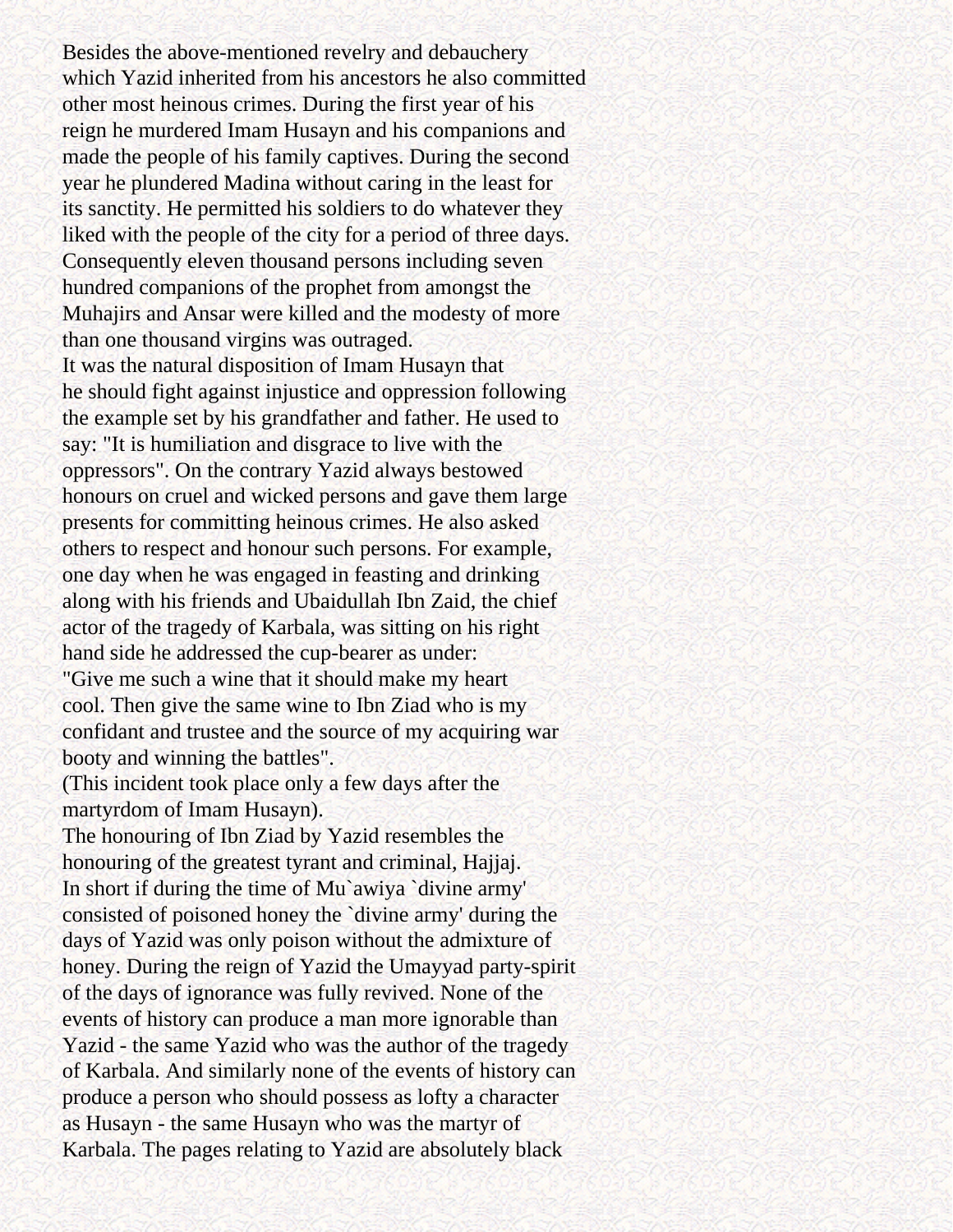Besides the above-mentioned revelry and debauchery which Yazid inherited from his ancestors he also committed other most heinous crimes. During the first year of his reign he murdered Imam Husayn and his companions and made the people of his family captives. During the second year he plundered Madina without caring in the least for its sanctity. He permitted his soldiers to do whatever they liked with the people of the city for a period of three days. Consequently eleven thousand persons including seven hundred companions of the prophet from amongst the Muhajirs and Ansar were killed and the modesty of more than one thousand virgins was outraged. It was the natural disposition of Imam Husayn that he should fight against injustice and oppression following the example set by his grandfather and father. He used to say: "It is humiliation and disgrace to live with the oppressors". On the contrary Yazid always bestowed honours on cruel and wicked persons and gave them large presents for committing heinous crimes. He also asked others to respect and honour such persons. For example, one day when he was engaged in feasting and drinking along with his friends and Ubaidullah Ibn Zaid, the chief actor of the tragedy of Karbala, was sitting on his right hand side he addressed the cup-bearer as under: "Give me such a wine that it should make my heart cool. Then give the same wine to Ibn Ziad who is my confidant and trustee and the source of my acquiring war booty and winning the battles".

(This incident took place only a few days after the martyrdom of Imam Husayn).

The honouring of Ibn Ziad by Yazid resembles the honouring of the greatest tyrant and criminal, Hajjaj. In short if during the time of Mu`awiya `divine army' consisted of poisoned honey the `divine army' during the days of Yazid was only poison without the admixture of honey. During the reign of Yazid the Umayyad party-spirit of the days of ignorance was fully revived. None of the events of history can produce a man more ignorable than Yazid - the same Yazid who was the author of the tragedy of Karbala. And similarly none of the events of history can produce a person who should possess as lofty a character as Husayn - the same Husayn who was the martyr of Karbala. The pages relating to Yazid are absolutely black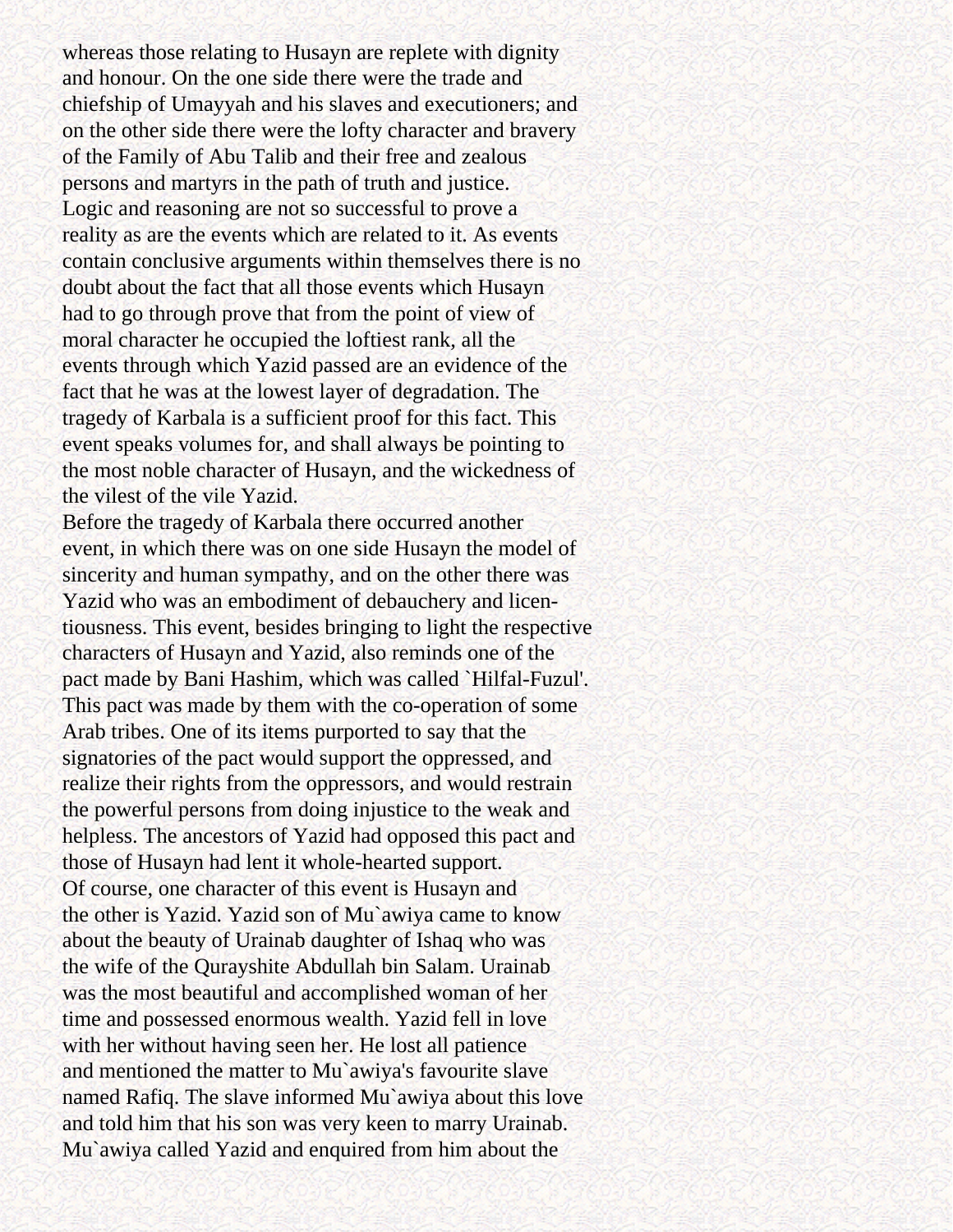whereas those relating to Husayn are replete with dignity and honour. On the one side there were the trade and chiefship of Umayyah and his slaves and executioners; and on the other side there were the lofty character and bravery of the Family of Abu Talib and their free and zealous persons and martyrs in the path of truth and justice. Logic and reasoning are not so successful to prove a reality as are the events which are related to it. As events contain conclusive arguments within themselves there is no doubt about the fact that all those events which Husayn had to go through prove that from the point of view of moral character he occupied the loftiest rank, all the events through which Yazid passed are an evidence of the fact that he was at the lowest layer of degradation. The tragedy of Karbala is a sufficient proof for this fact. This event speaks volumes for, and shall always be pointing to the most noble character of Husayn, and the wickedness of the vilest of the vile Yazid.

Before the tragedy of Karbala there occurred another event, in which there was on one side Husayn the model of sincerity and human sympathy, and on the other there was Yazid who was an embodiment of debauchery and licentiousness. This event, besides bringing to light the respective characters of Husayn and Yazid, also reminds one of the pact made by Bani Hashim, which was called `Hilfal-Fuzul'. This pact was made by them with the co-operation of some Arab tribes. One of its items purported to say that the signatories of the pact would support the oppressed, and realize their rights from the oppressors, and would restrain the powerful persons from doing injustice to the weak and helpless. The ancestors of Yazid had opposed this pact and those of Husayn had lent it whole-hearted support. Of course, one character of this event is Husayn and the other is Yazid. Yazid son of Mu`awiya came to know about the beauty of Urainab daughter of Ishaq who was the wife of the Qurayshite Abdullah bin Salam. Urainab was the most beautiful and accomplished woman of her time and possessed enormous wealth. Yazid fell in love with her without having seen her. He lost all patience and mentioned the matter to Mu`awiya's favourite slave named Rafiq. The slave informed Mu`awiya about this love and told him that his son was very keen to marry Urainab. Mu`awiya called Yazid and enquired from him about the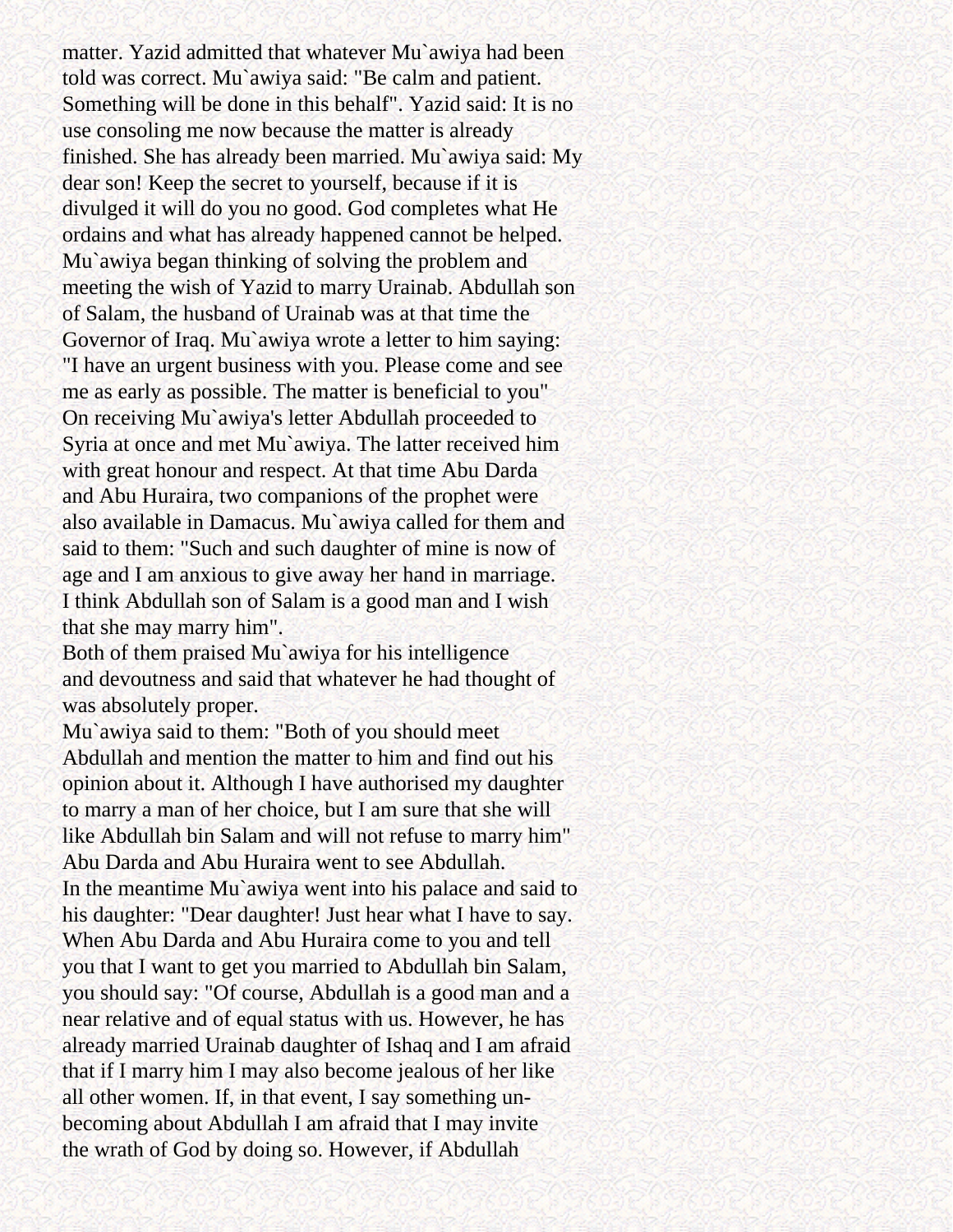matter. Yazid admitted that whatever Mu`awiya had been told was correct. Mu`awiya said: "Be calm and patient. Something will be done in this behalf". Yazid said: It is no use consoling me now because the matter is already finished. She has already been married. Mu`awiya said: My dear son! Keep the secret to yourself, because if it is divulged it will do you no good. God completes what He ordains and what has already happened cannot be helped. Mu`awiya began thinking of solving the problem and meeting the wish of Yazid to marry Urainab. Abdullah son of Salam, the husband of Urainab was at that time the Governor of Iraq. Mu`awiya wrote a letter to him saying: "I have an urgent business with you. Please come and see me as early as possible. The matter is beneficial to you" On receiving Mu`awiya's letter Abdullah proceeded to Syria at once and met Mu`awiya. The latter received him with great honour and respect. At that time Abu Darda and Abu Huraira, two companions of the prophet were also available in Damacus. Mu`awiya called for them and said to them: "Such and such daughter of mine is now of age and I am anxious to give away her hand in marriage. I think Abdullah son of Salam is a good man and I wish that she may marry him".

Both of them praised Mu`awiya for his intelligence and devoutness and said that whatever he had thought of was absolutely proper.

Mu`awiya said to them: "Both of you should meet Abdullah and mention the matter to him and find out his opinion about it. Although I have authorised my daughter to marry a man of her choice, but I am sure that she will like Abdullah bin Salam and will not refuse to marry him" Abu Darda and Abu Huraira went to see Abdullah. In the meantime Mu`awiya went into his palace and said to his daughter: "Dear daughter! Just hear what I have to say. When Abu Darda and Abu Huraira come to you and tell you that I want to get you married to Abdullah bin Salam, you should say: "Of course, Abdullah is a good man and a near relative and of equal status with us. However, he has already married Urainab daughter of Ishaq and I am afraid that if I marry him I may also become jealous of her like all other women. If, in that event, I say something unbecoming about Abdullah I am afraid that I may invite the wrath of God by doing so. However, if Abdullah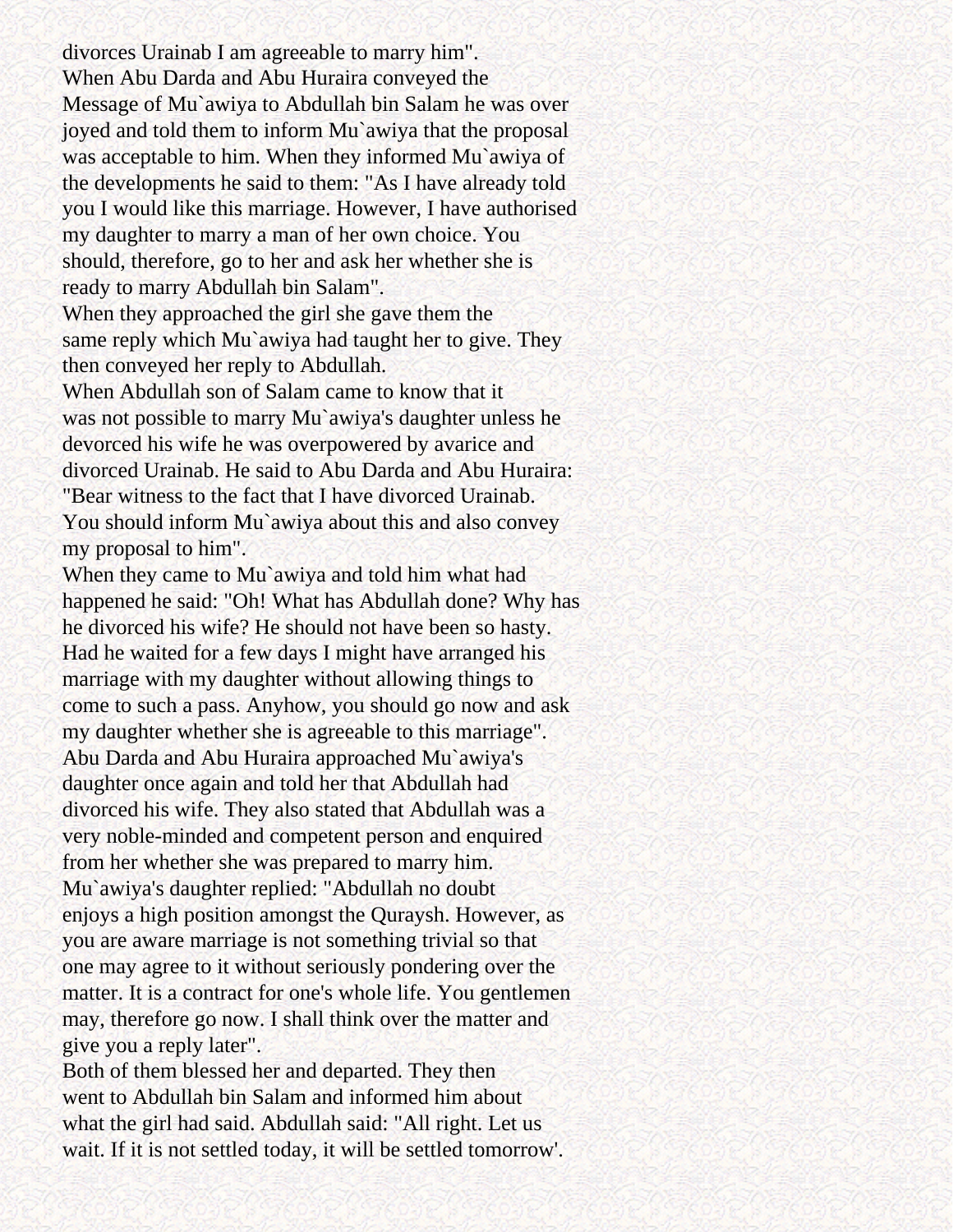divorces Urainab I am agreeable to marry him". When Abu Darda and Abu Huraira conveyed the Message of Mu`awiya to Abdullah bin Salam he was over joyed and told them to inform Mu`awiya that the proposal was acceptable to him. When they informed Mu`awiya of the developments he said to them: "As I have already told you I would like this marriage. However, I have authorised my daughter to marry a man of her own choice. You should, therefore, go to her and ask her whether she is ready to marry Abdullah bin Salam".

When they approached the girl she gave them the same reply which Mu`awiya had taught her to give. They then conveyed her reply to Abdullah.

When Abdullah son of Salam came to know that it was not possible to marry Mu`awiya's daughter unless he devorced his wife he was overpowered by avarice and divorced Urainab. He said to Abu Darda and Abu Huraira: "Bear witness to the fact that I have divorced Urainab. You should inform Mu`awiya about this and also convey my proposal to him".

When they came to Mu`awiya and told him what had happened he said: "Oh! What has Abdullah done? Why has he divorced his wife? He should not have been so hasty. Had he waited for a few days I might have arranged his marriage with my daughter without allowing things to come to such a pass. Anyhow, you should go now and ask my daughter whether she is agreeable to this marriage". Abu Darda and Abu Huraira approached Mu`awiya's daughter once again and told her that Abdullah had divorced his wife. They also stated that Abdullah was a very noble-minded and competent person and enquired from her whether she was prepared to marry him. Mu`awiya's daughter replied: "Abdullah no doubt enjoys a high position amongst the Quraysh. However, as you are aware marriage is not something trivial so that one may agree to it without seriously pondering over the matter. It is a contract for one's whole life. You gentlemen may, therefore go now. I shall think over the matter and give you a reply later".

Both of them blessed her and departed. They then went to Abdullah bin Salam and informed him about what the girl had said. Abdullah said: "All right. Let us wait. If it is not settled today, it will be settled tomorrow'.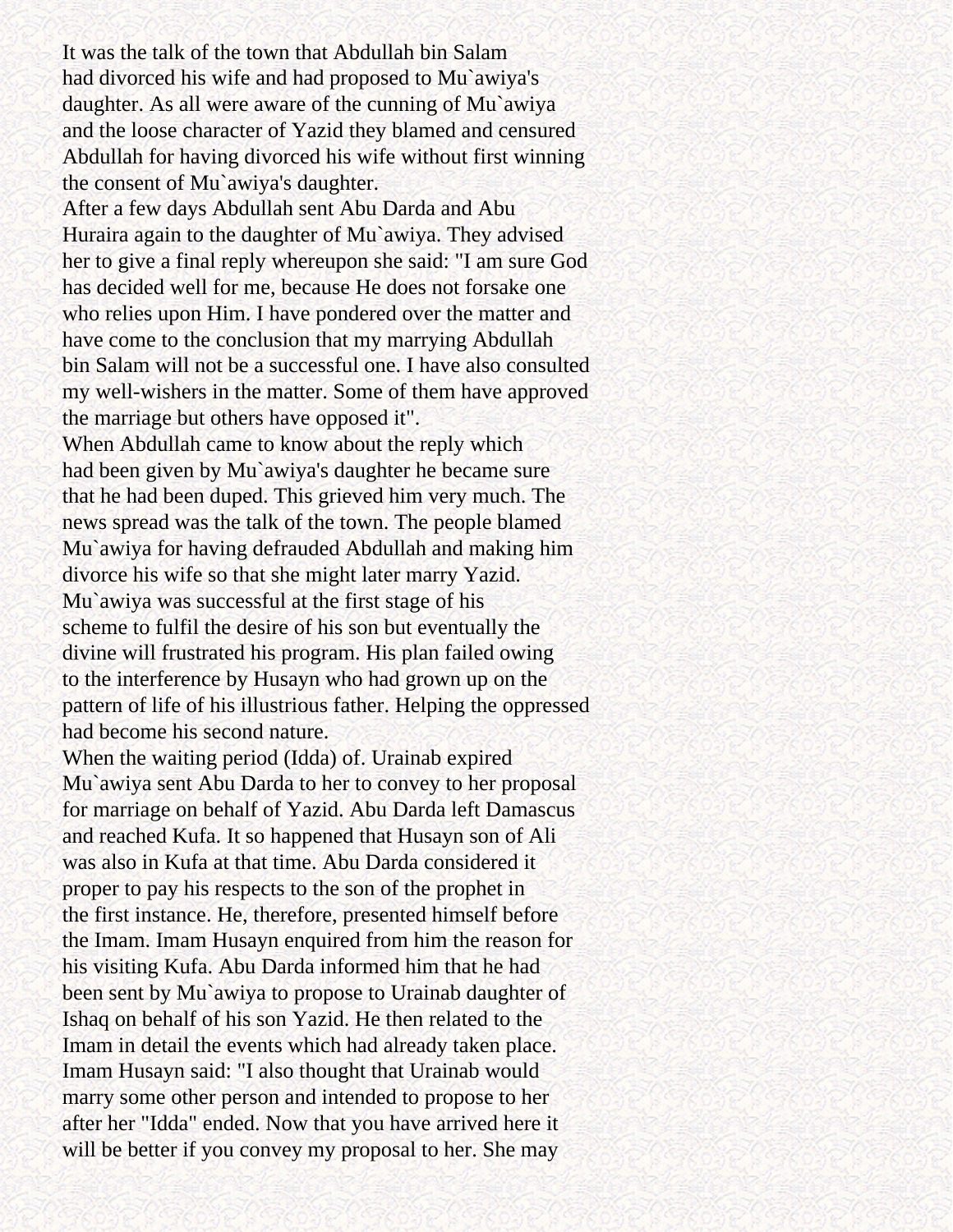It was the talk of the town that Abdullah bin Salam had divorced his wife and had proposed to Mu`awiya's daughter. As all were aware of the cunning of Mu`awiya and the loose character of Yazid they blamed and censured Abdullah for having divorced his wife without first winning the consent of Mu`awiya's daughter.

After a few days Abdullah sent Abu Darda and Abu Huraira again to the daughter of Mu`awiya. They advised her to give a final reply whereupon she said: "I am sure God has decided well for me, because He does not forsake one who relies upon Him. I have pondered over the matter and have come to the conclusion that my marrying Abdullah bin Salam will not be a successful one. I have also consulted my well-wishers in the matter. Some of them have approved the marriage but others have opposed it".

When Abdullah came to know about the reply which had been given by Mu`awiya's daughter he became sure that he had been duped. This grieved him very much. The news spread was the talk of the town. The people blamed Mu`awiya for having defrauded Abdullah and making him divorce his wife so that she might later marry Yazid. Mu`awiya was successful at the first stage of his scheme to fulfil the desire of his son but eventually the divine will frustrated his program. His plan failed owing to the interference by Husayn who had grown up on the pattern of life of his illustrious father. Helping the oppressed had become his second nature.

When the waiting period (Idda) of. Urainab expired Mu`awiya sent Abu Darda to her to convey to her proposal for marriage on behalf of Yazid. Abu Darda left Damascus and reached Kufa. It so happened that Husayn son of Ali was also in Kufa at that time. Abu Darda considered it proper to pay his respects to the son of the prophet in the first instance. He, therefore, presented himself before the Imam. Imam Husayn enquired from him the reason for his visiting Kufa. Abu Darda informed him that he had been sent by Mu`awiya to propose to Urainab daughter of Ishaq on behalf of his son Yazid. He then related to the Imam in detail the events which had already taken place. Imam Husayn said: "I also thought that Urainab would marry some other person and intended to propose to her after her "Idda" ended. Now that you have arrived here it will be better if you convey my proposal to her. She may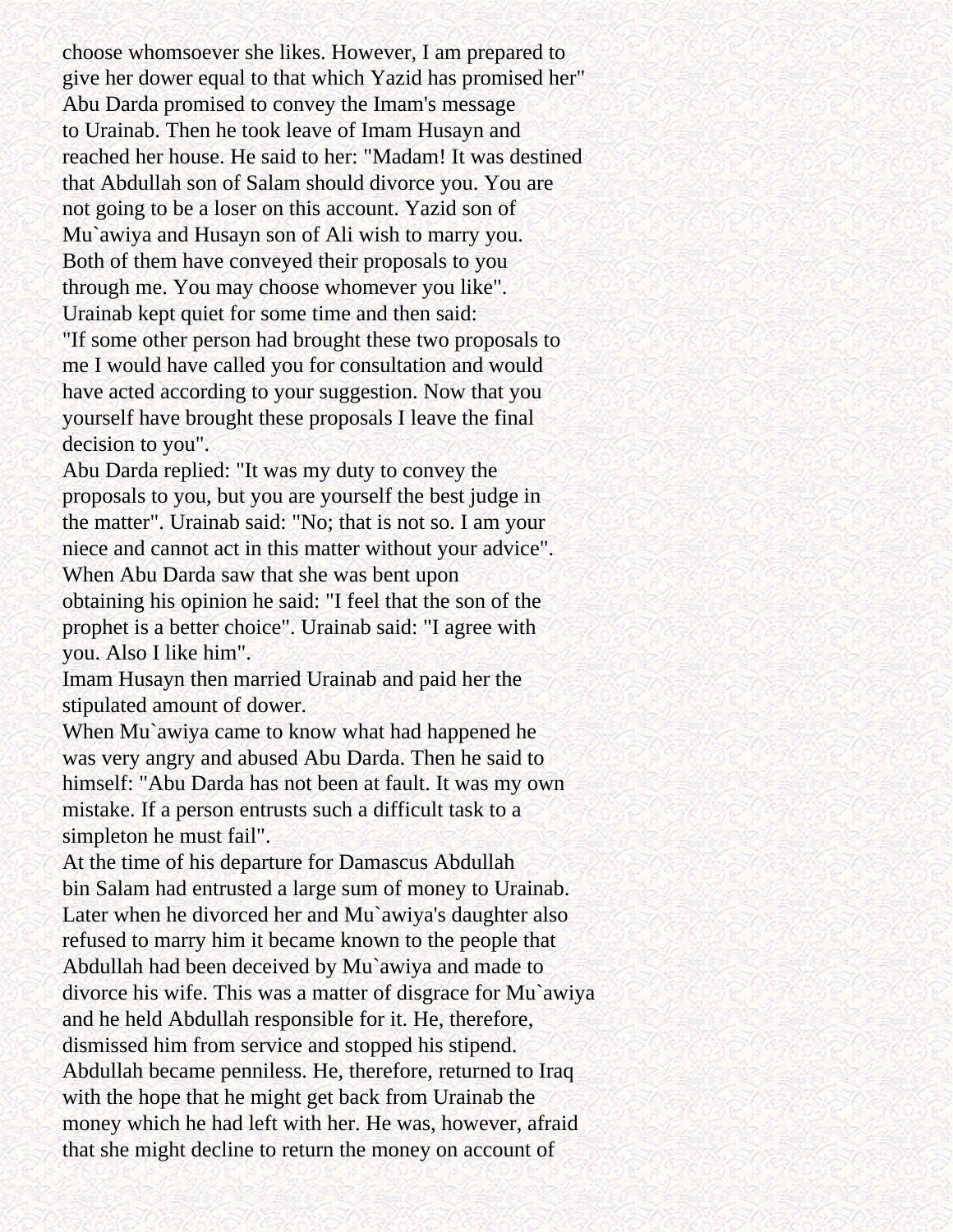choose whomsoever she likes. However, I am prepared to give her dower equal to that which Yazid has promised her" Abu Darda promised to convey the Imam's message to Urainab. Then he took leave of Imam Husayn and reached her house. He said to her: "Madam! It was destined that Abdullah son of Salam should divorce you. You are not going to be a loser on this account. Yazid son of Mu`awiya and Husayn son of Ali wish to marry you. Both of them have conveyed their proposals to you through me. You may choose whomever you like". Urainab kept quiet for some time and then said: "If some other person had brought these two proposals to me I would have called you for consultation and would have acted according to your suggestion. Now that you yourself have brought these proposals I leave the final decision to you".

Abu Darda replied: "It was my duty to convey the proposals to you, but you are yourself the best judge in the matter". Urainab said: "No; that is not so. I am your niece and cannot act in this matter without your advice". When Abu Darda saw that she was bent upon obtaining his opinion he said: "I feel that the son of the prophet is a better choice". Urainab said: "I agree with you. Also I like him".

Imam Husayn then married Urainab and paid her the stipulated amount of dower.

When Mu`awiya came to know what had happened he was very angry and abused Abu Darda. Then he said to himself: "Abu Darda has not been at fault. It was my own mistake. If a person entrusts such a difficult task to a simpleton he must fail".

At the time of his departure for Damascus Abdullah bin Salam had entrusted a large sum of money to Urainab. Later when he divorced her and Mu`awiya's daughter also refused to marry him it became known to the people that Abdullah had been deceived by Mu`awiya and made to divorce his wife. This was a matter of disgrace for Mu`awiya and he held Abdullah responsible for it. He, therefore, dismissed him from service and stopped his stipend. Abdullah became penniless. He, therefore, returned to Iraq with the hope that he might get back from Urainab the money which he had left with her. He was, however, afraid that she might decline to return the money on account of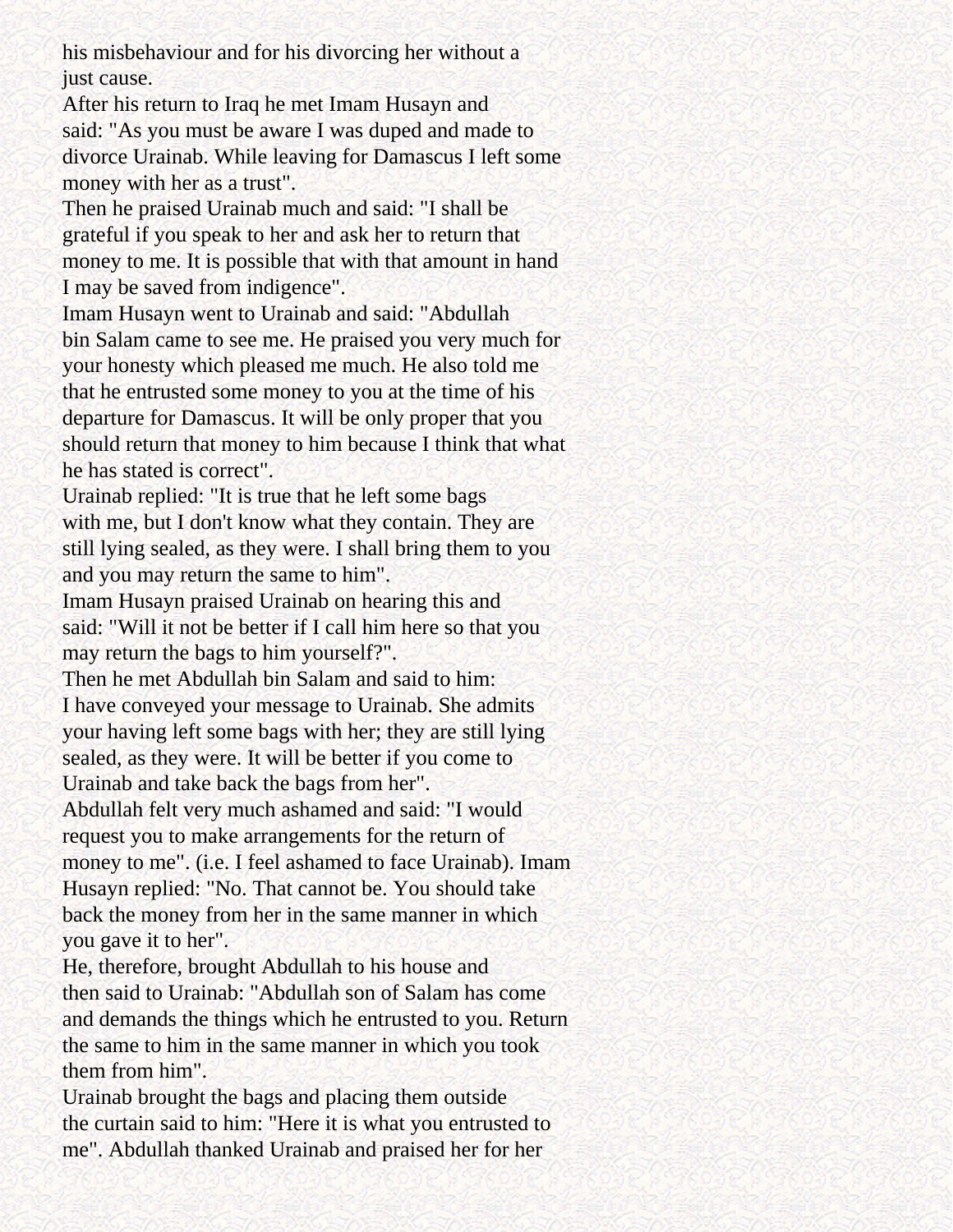his misbehaviour and for his divorcing her without a just cause.

After his return to Iraq he met Imam Husayn and said: "As you must be aware I was duped and made to divorce Urainab. While leaving for Damascus I left some money with her as a trust".

Then he praised Urainab much and said: "I shall be grateful if you speak to her and ask her to return that money to me. It is possible that with that amount in hand I may be saved from indigence".

Imam Husayn went to Urainab and said: "Abdullah bin Salam came to see me. He praised you very much for your honesty which pleased me much. He also told me that he entrusted some money to you at the time of his departure for Damascus. It will be only proper that you should return that money to him because I think that what he has stated is correct".

Urainab replied: "It is true that he left some bags with me, but I don't know what they contain. They are still lying sealed, as they were. I shall bring them to you and you may return the same to him".

Imam Husayn praised Urainab on hearing this and said: "Will it not be better if I call him here so that you may return the bags to him yourself?".

Then he met Abdullah bin Salam and said to him: I have conveyed your message to Urainab. She admits your having left some bags with her; they are still lying sealed, as they were. It will be better if you come to Urainab and take back the bags from her". Abdullah felt very much ashamed and said: "I would request you to make arrangements for the return of

money to me". (i.e. I feel ashamed to face Urainab). Imam Husayn replied: "No. That cannot be. You should take back the money from her in the same manner in which you gave it to her".

He, therefore, brought Abdullah to his house and then said to Urainab: "Abdullah son of Salam has come and demands the things which he entrusted to you. Return the same to him in the same manner in which you took them from him".

Urainab brought the bags and placing them outside the curtain said to him: "Here it is what you entrusted to me". Abdullah thanked Urainab and praised her for her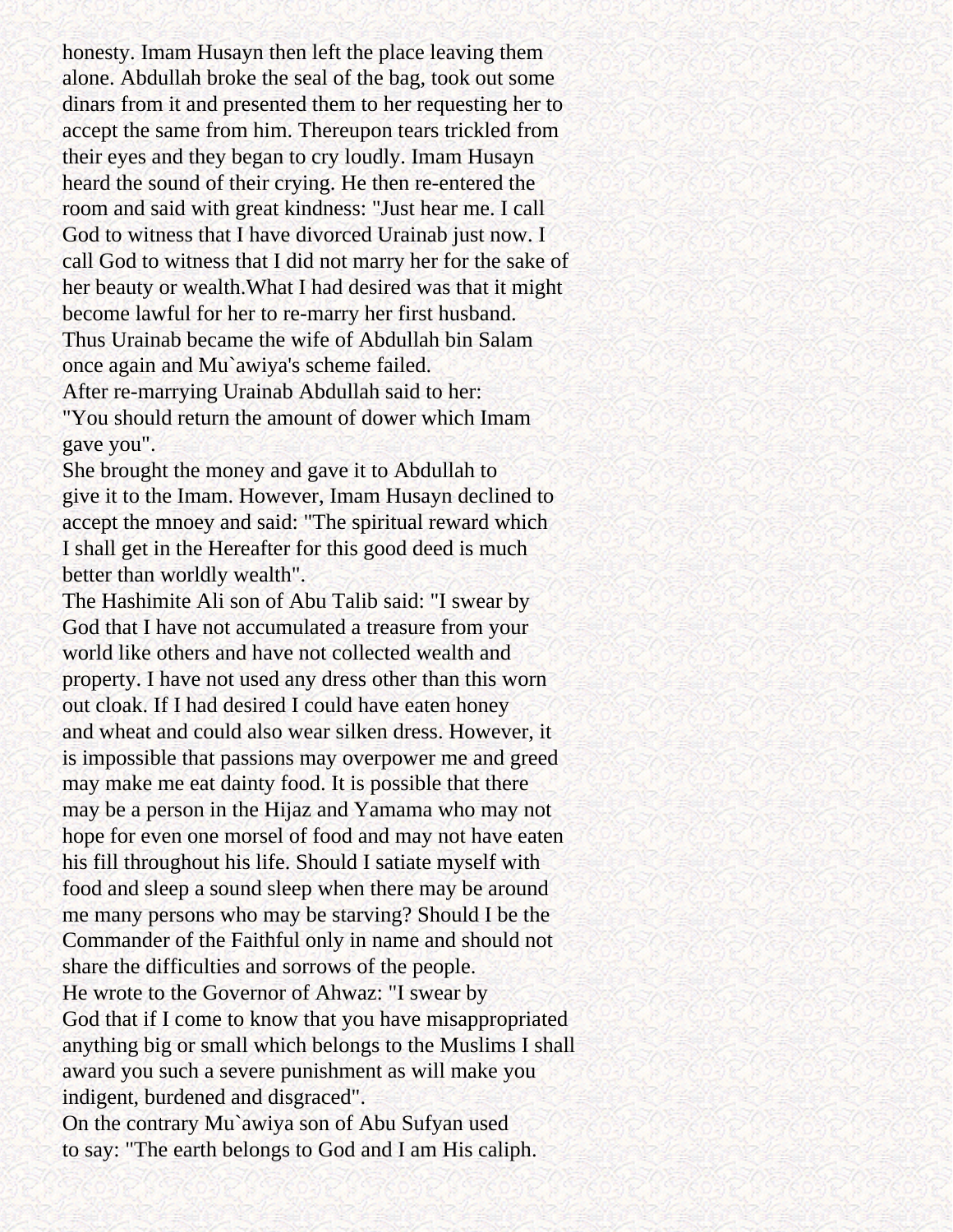honesty. Imam Husayn then left the place leaving them alone. Abdullah broke the seal of the bag, took out some dinars from it and presented them to her requesting her to accept the same from him. Thereupon tears trickled from their eyes and they began to cry loudly. Imam Husayn heard the sound of their crying. He then re-entered the room and said with great kindness: "Just hear me. I call God to witness that I have divorced Urainab just now. I call God to witness that I did not marry her for the sake of her beauty or wealth.What I had desired was that it might become lawful for her to re-marry her first husband. Thus Urainab became the wife of Abdullah bin Salam once again and Mu`awiya's scheme failed. After re-marrying Urainab Abdullah said to her:

"You should return the amount of dower which Imam gave you".

She brought the money and gave it to Abdullah to give it to the Imam. However, Imam Husayn declined to accept the mnoey and said: "The spiritual reward which I shall get in the Hereafter for this good deed is much better than worldly wealth".

The Hashimite Ali son of Abu Talib said: "I swear by God that I have not accumulated a treasure from your world like others and have not collected wealth and property. I have not used any dress other than this worn out cloak. If I had desired I could have eaten honey and wheat and could also wear silken dress. However, it is impossible that passions may overpower me and greed may make me eat dainty food. It is possible that there may be a person in the Hijaz and Yamama who may not hope for even one morsel of food and may not have eaten his fill throughout his life. Should I satiate myself with food and sleep a sound sleep when there may be around me many persons who may be starving? Should I be the Commander of the Faithful only in name and should not share the difficulties and sorrows of the people. He wrote to the Governor of Ahwaz: "I swear by God that if I come to know that you have misappropriated anything big or small which belongs to the Muslims I shall award you such a severe punishment as will make you indigent, burdened and disgraced".

On the contrary Mu`awiya son of Abu Sufyan used to say: "The earth belongs to God and I am His caliph.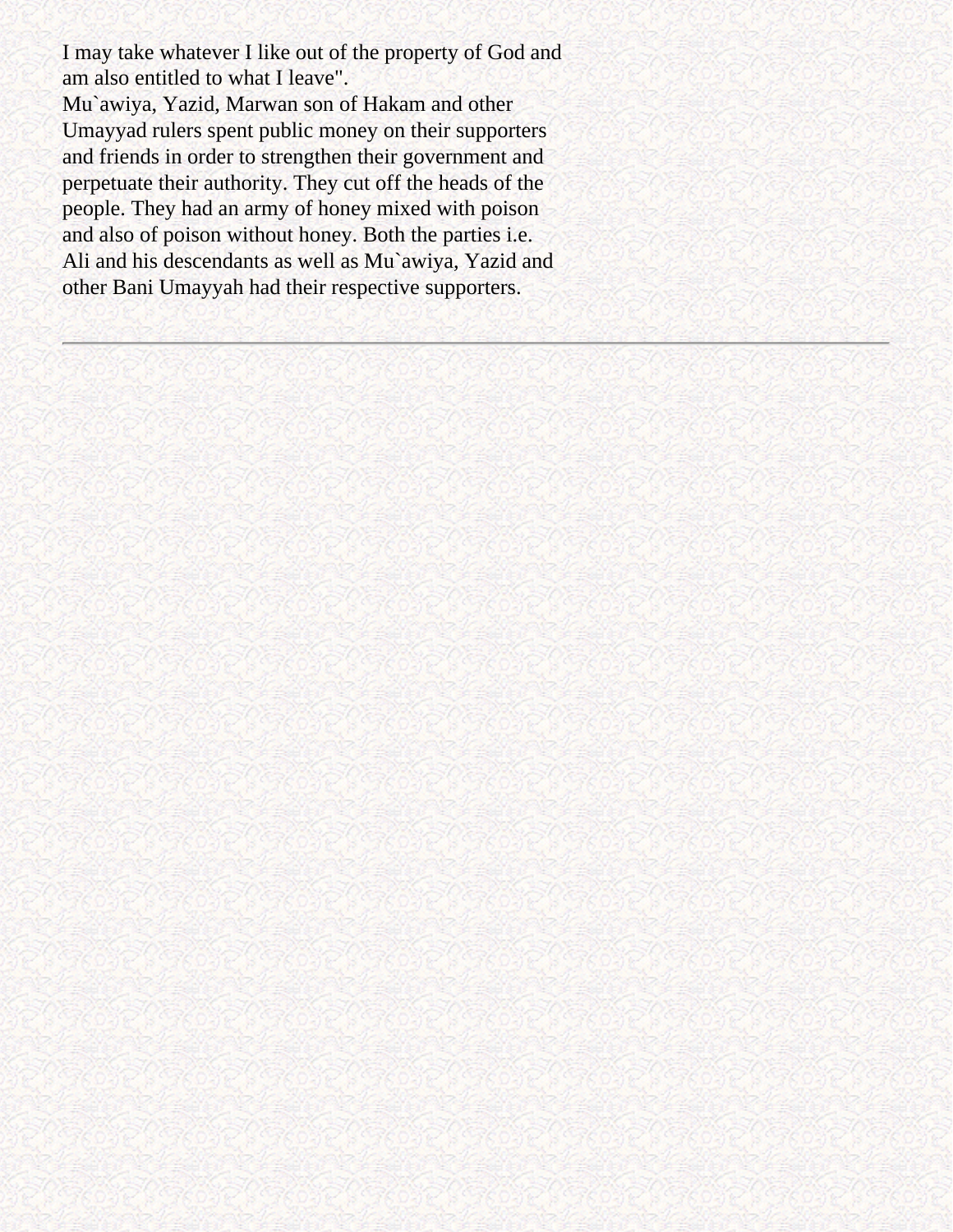I may take whatever I like out of the property of God and am also entitled to what I leave".

Mu`awiya, Yazid, Marwan son of Hakam and other Umayyad rulers spent public money on their supporters and friends in order to strengthen their government and perpetuate their authority. They cut off the heads of the people. They had an army of honey mixed with poison and also of poison without honey. Both the parties i.e. Ali and his descendants as well as Mu`awiya, Yazid and other Bani Umayyah had their respective supporters.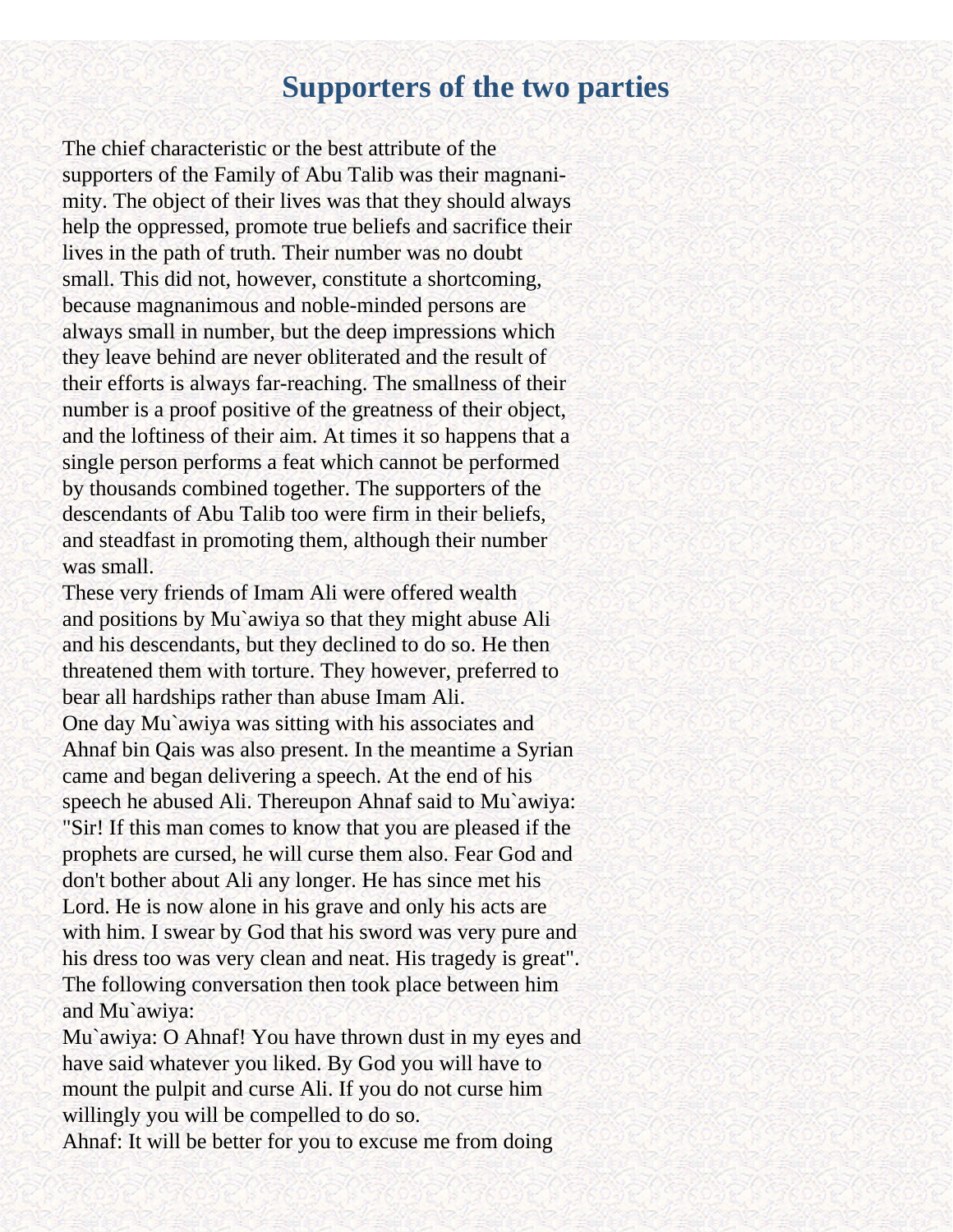## **Supporters of the two parties**

The chief characteristic or the best attribute of the supporters of the Family of Abu Talib was their magnanimity. The object of their lives was that they should always help the oppressed, promote true beliefs and sacrifice their lives in the path of truth. Their number was no doubt small. This did not, however, constitute a shortcoming, because magnanimous and noble-minded persons are always small in number, but the deep impressions which they leave behind are never obliterated and the result of their efforts is always far-reaching. The smallness of their number is a proof positive of the greatness of their object, and the loftiness of their aim. At times it so happens that a single person performs a feat which cannot be performed by thousands combined together. The supporters of the descendants of Abu Talib too were firm in their beliefs, and steadfast in promoting them, although their number was small.

These very friends of Imam Ali were offered wealth and positions by Mu`awiya so that they might abuse Ali and his descendants, but they declined to do so. He then threatened them with torture. They however, preferred to bear all hardships rather than abuse Imam Ali. One day Mu`awiya was sitting with his associates and Ahnaf bin Qais was also present. In the meantime a Syrian came and began delivering a speech. At the end of his speech he abused Ali. Thereupon Ahnaf said to Mu`awiya: "Sir! If this man comes to know that you are pleased if the prophets are cursed, he will curse them also. Fear God and don't bother about Ali any longer. He has since met his Lord. He is now alone in his grave and only his acts are

with him. I swear by God that his sword was very pure and his dress too was very clean and neat. His tragedy is great". The following conversation then took place between him and Mu`awiya:

Mu`awiya: O Ahnaf! You have thrown dust in my eyes and have said whatever you liked. By God you will have to mount the pulpit and curse Ali. If you do not curse him willingly you will be compelled to do so.

Ahnaf: It will be better for you to excuse me from doing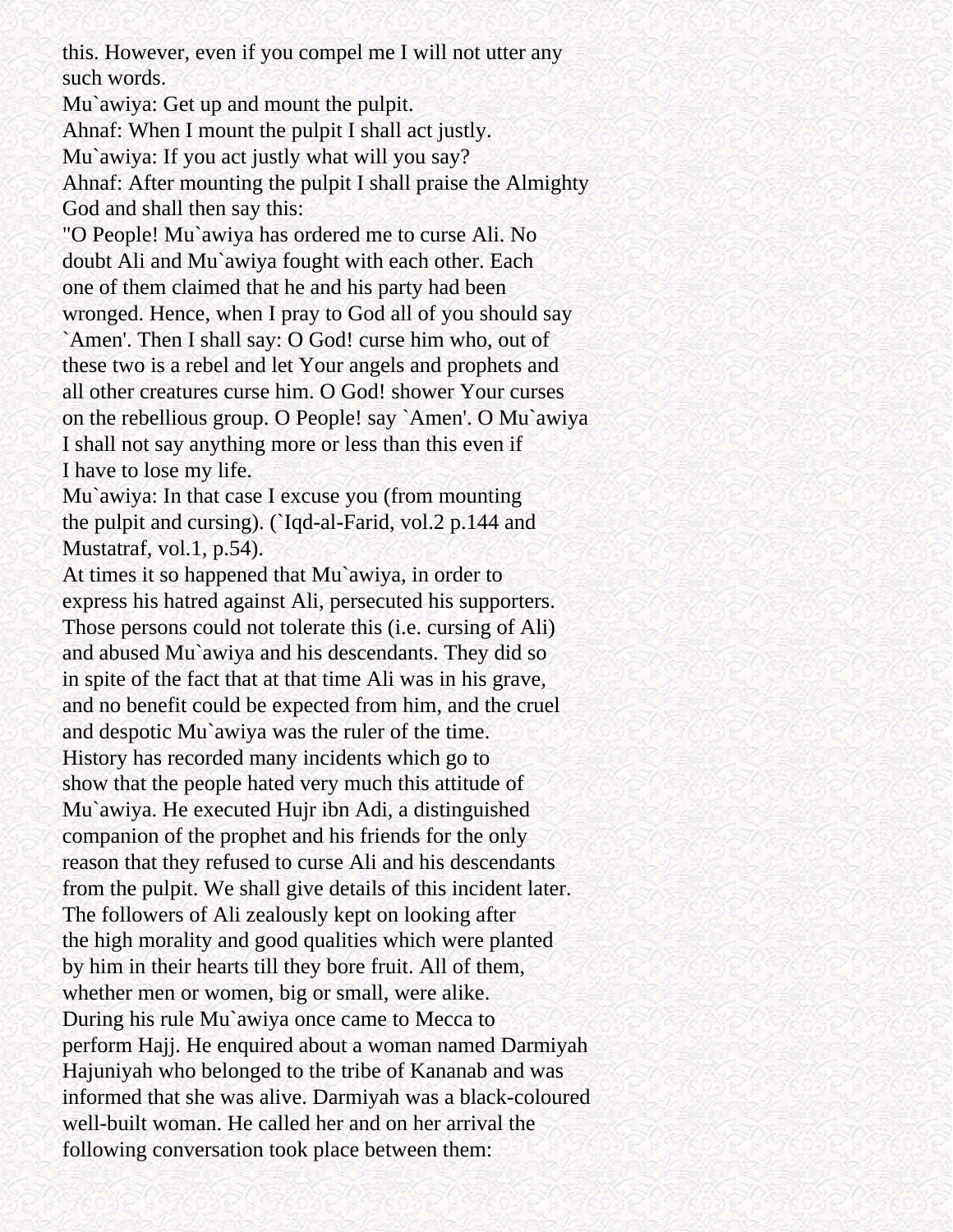this. However, even if you compel me I will not utter any such words.

Mu`awiya: Get up and mount the pulpit.

Ahnaf: When I mount the pulpit I shall act justly.

Mu`awiya: If you act justly what will you say?

Ahnaf: After mounting the pulpit I shall praise the Almighty God and shall then say this:

"O People! Mu`awiya has ordered me to curse Ali. No doubt Ali and Mu`awiya fought with each other. Each one of them claimed that he and his party had been wronged. Hence, when I pray to God all of you should say `Amen'. Then I shall say: O God! curse him who, out of these two is a rebel and let Your angels and prophets and all other creatures curse him. O God! shower Your curses on the rebellious group. O People! say `Amen'. O Mu`awiya I shall not say anything more or less than this even if I have to lose my life.

Mu`awiya: In that case I excuse you (from mounting the pulpit and cursing). (`Iqd-al-Farid, vol.2 p.144 and Mustatraf, vol.1, p.54).

At times it so happened that Mu`awiya, in order to express his hatred against Ali, persecuted his supporters. Those persons could not tolerate this (i.e. cursing of Ali) and abused Mu`awiya and his descendants. They did so in spite of the fact that at that time Ali was in his grave, and no benefit could be expected from him, and the cruel and despotic Mu`awiya was the ruler of the time. History has recorded many incidents which go to show that the people hated very much this attitude of Mu`awiya. He executed Hujr ibn Adi, a distinguished companion of the prophet and his friends for the only reason that they refused to curse Ali and his descendants from the pulpit. We shall give details of this incident later. The followers of Ali zealously kept on looking after the high morality and good qualities which were planted by him in their hearts till they bore fruit. All of them, whether men or women, big or small, were alike. During his rule Mu`awiya once came to Mecca to perform Hajj. He enquired about a woman named Darmiyah Hajuniyah who belonged to the tribe of Kananab and was informed that she was alive. Darmiyah was a black-coloured well-built woman. He called her and on her arrival the following conversation took place between them: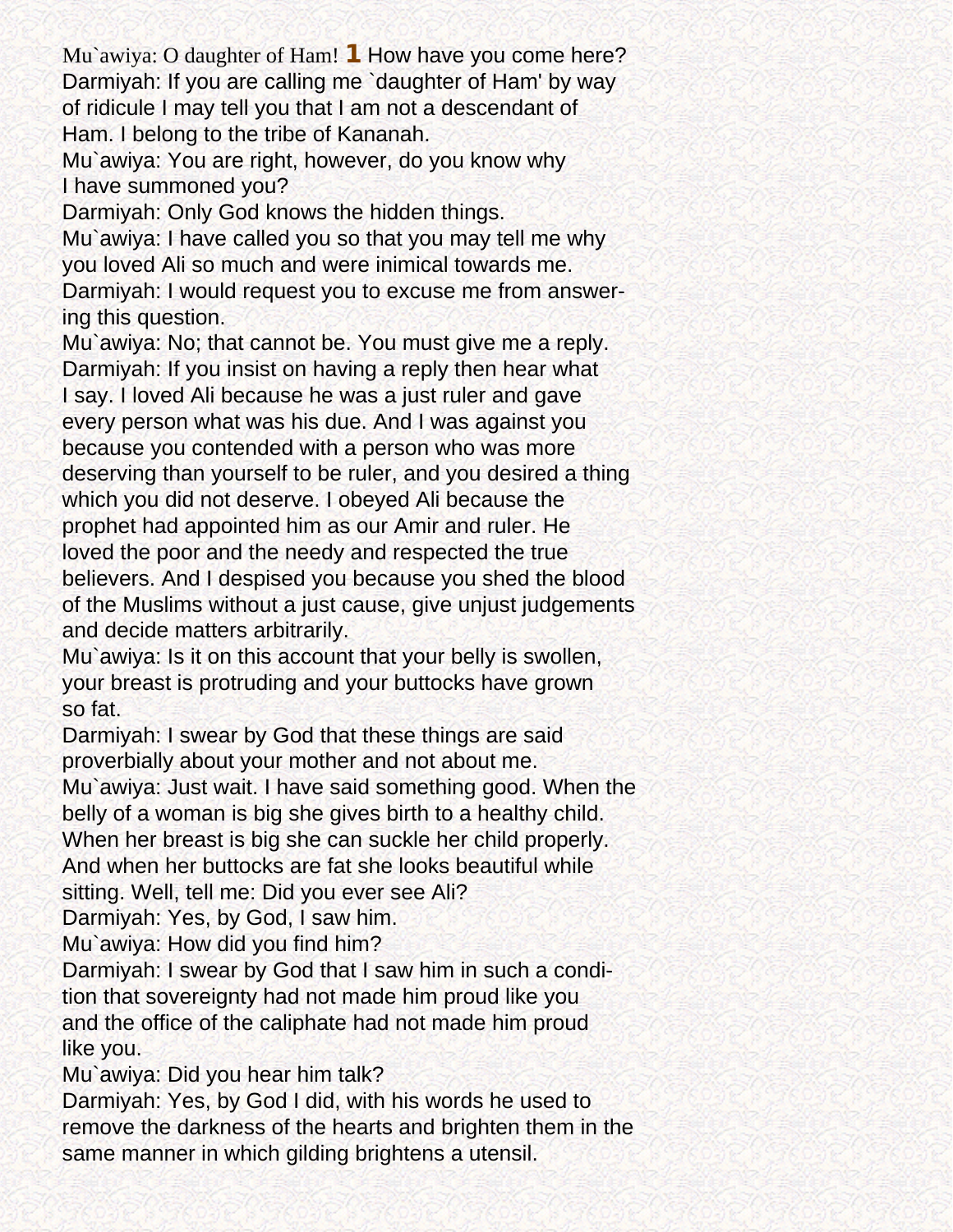Mu`awiya: O daughter of Ham! **1** How have you come here? Darmiyah: If you are calling me `daughter of Ham' by way of ridicule I may tell you that I am not a descendant of Ham. I belong to the tribe of Kananah.

Mu`awiya: You are right, however, do you know why I have summoned you?

Darmiyah: Only God knows the hidden things.

Mu`awiya: I have called you so that you may tell me why you loved Ali so much and were inimical towards me. Darmiyah: I would request you to excuse me from answering this question.

Mu`awiya: No; that cannot be. You must give me a reply. Darmiyah: If you insist on having a reply then hear what I say. I loved Ali because he was a just ruler and gave every person what was his due. And I was against you because you contended with a person who was more deserving than yourself to be ruler, and you desired a thing which you did not deserve. I obeyed Ali because the prophet had appointed him as our Amir and ruler. He loved the poor and the needy and respected the true believers. And I despised you because you shed the blood of the Muslims without a just cause, give unjust judgements and decide matters arbitrarily.

Mu`awiya: Is it on this account that your belly is swollen, your breast is protruding and your buttocks have grown so fat.

Darmiyah: I swear by God that these things are said proverbially about your mother and not about me.

Mu`awiya: Just wait. I have said something good. When the belly of a woman is big she gives birth to a healthy child.

When her breast is big she can suckle her child properly. And when her buttocks are fat she looks beautiful while

sitting. Well, tell me: Did you ever see Ali?

Darmiyah: Yes, by God, I saw him.

Mu`awiya: How did you find him?

Darmiyah: I swear by God that I saw him in such a condition that sovereignty had not made him proud like you and the office of the caliphate had not made him proud like you.

Mu`awiya: Did you hear him talk?

Darmiyah: Yes, by God I did, with his words he used to remove the darkness of the hearts and brighten them in the same manner in which gilding brightens a utensil.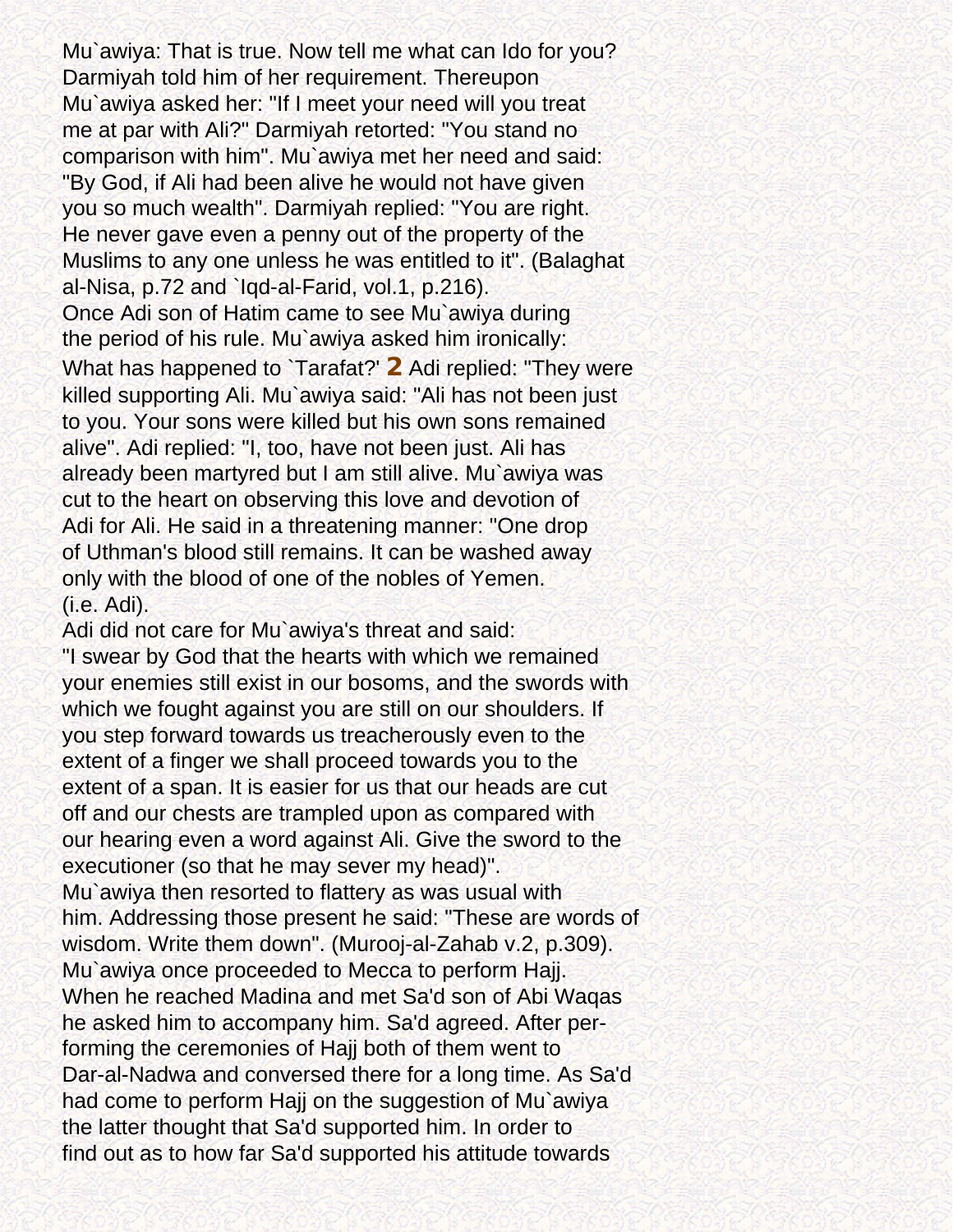Mu`awiya: That is true. Now tell me what can Ido for you? Darmiyah told him of her requirement. Thereupon Mu`awiya asked her: "If I meet your need will you treat me at par with Ali?" Darmiyah retorted: "You stand no comparison with him". Mu`awiya met her need and said: "By God, if Ali had been alive he would not have given you so much wealth". Darmiyah replied: "You are right. He never gave even a penny out of the property of the Muslims to any one unless he was entitled to it". (Balaghat al-Nisa, p.72 and `Iqd-al-Farid, vol.1, p.216). Once Adi son of Hatim came to see Mu`awiya during the period of his rule. Mu`awiya asked him ironically: What has happened to `Tarafat?' 2 Adi replied: "They were killed supporting Ali. Mu`awiya said: "Ali has not been just to you. Your sons were killed but his own sons remained alive". Adi replied: "I, too, have not been just. Ali has already been martyred but I am still alive. Mu`awiya was cut to the heart on observing this love and devotion of Adi for Ali. He said in a threatening manner: "One drop of Uthman's blood still remains. It can be washed away only with the blood of one of the nobles of Yemen. (i.e. Adi).

Adi did not care for Mu`awiya's threat and said: "I swear by God that the hearts with which we remained your enemies still exist in our bosoms, and the swords with which we fought against you are still on our shoulders. If you step forward towards us treacherously even to the extent of a finger we shall proceed towards you to the extent of a span. It is easier for us that our heads are cut off and our chests are trampled upon as compared with our hearing even a word against Ali. Give the sword to the executioner (so that he may sever my head)". Mu`awiya then resorted to flattery as was usual with him. Addressing those present he said: "These are words of wisdom. Write them down". (Murooj-al-Zahab v.2, p.309). Mu`awiya once proceeded to Mecca to perform Hajj. When he reached Madina and met Sa'd son of Abi Waqas he asked him to accompany him. Sa'd agreed. After performing the ceremonies of Hajj both of them went to Dar-al-Nadwa and conversed there for a long time. As Sa'd had come to perform Hajj on the suggestion of Mu`awiya the latter thought that Sa'd supported him. In order to find out as to how far Sa'd supported his attitude towards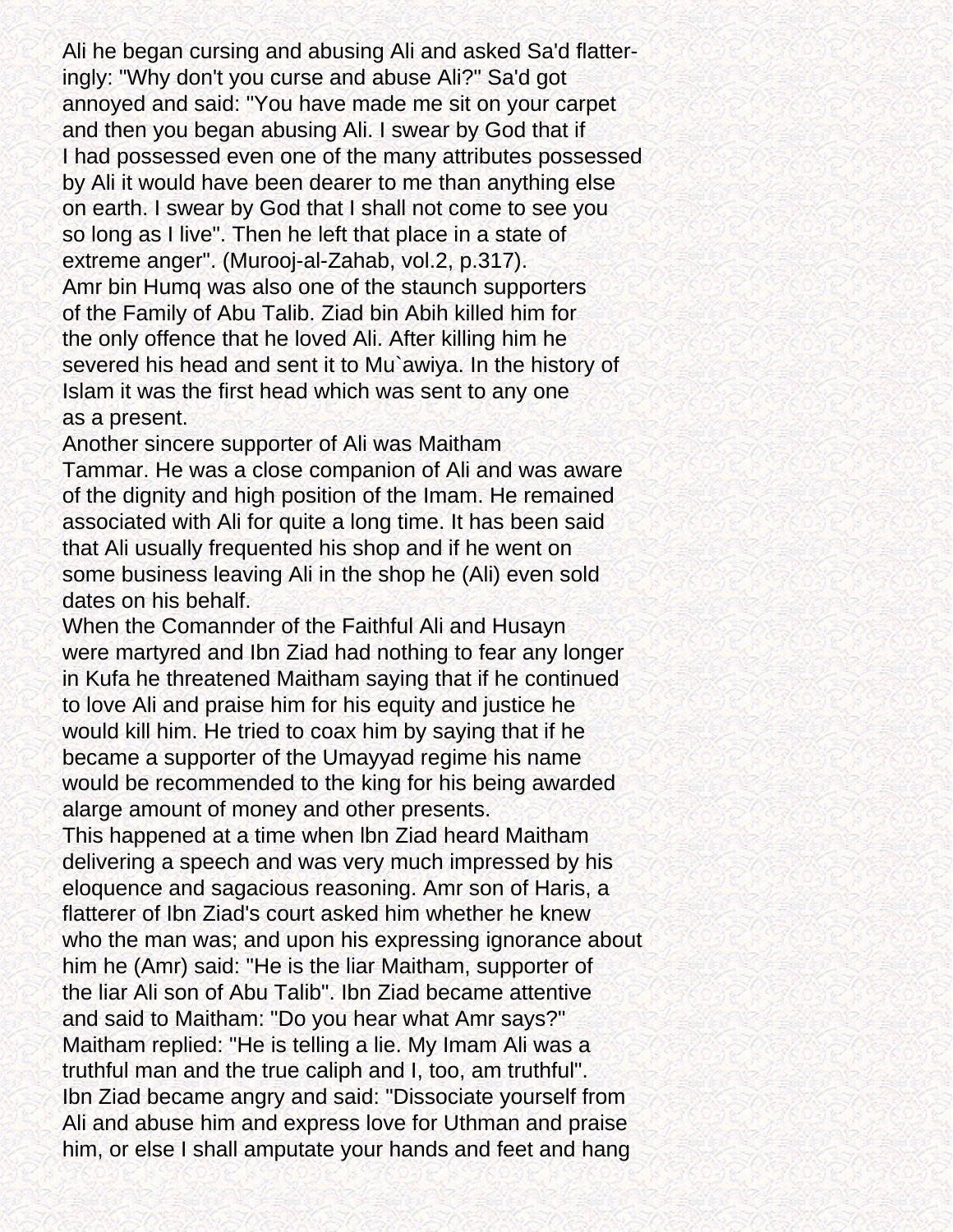Ali he began cursing and abusing Ali and asked Sa'd flatteringly: "Why don't you curse and abuse Ali?" Sa'd got annoyed and said: "You have made me sit on your carpet and then you began abusing Ali. I swear by God that if I had possessed even one of the many attributes possessed by Ali it would have been dearer to me than anything else on earth. I swear by God that I shall not come to see you so long as I live". Then he left that place in a state of extreme anger". (Murooj-al-Zahab, vol.2, p.317). Amr bin Humq was also one of the staunch supporters of the Family of Abu Talib. Ziad bin Abih killed him for the only offence that he loved Ali. After killing him he severed his head and sent it to Mu`awiya. In the history of Islam it was the first head which was sent to any one as a present.

Another sincere supporter of Ali was Maitham Tammar. He was a close companion of Ali and was aware of the dignity and high position of the Imam. He remained associated with Ali for quite a long time. It has been said that Ali usually frequented his shop and if he went on some business leaving Ali in the shop he (Ali) even sold dates on his behalf.

When the Comannder of the Faithful Ali and Husayn were martyred and Ibn Ziad had nothing to fear any longer in Kufa he threatened Maitham saying that if he continued to love Ali and praise him for his equity and justice he would kill him. He tried to coax him by saying that if he became a supporter of the Umayyad regime his name would be recommended to the king for his being awarded alarge amount of money and other presents.

This happened at a time when lbn Ziad heard Maitham delivering a speech and was very much impressed by his eloquence and sagacious reasoning. Amr son of Haris, a flatterer of Ibn Ziad's court asked him whether he knew who the man was; and upon his expressing ignorance about him he (Amr) said: "He is the liar Maitham, supporter of the liar Ali son of Abu Talib". Ibn Ziad became attentive and said to Maitham: "Do you hear what Amr says?" Maitham replied: "He is telling a lie. My Imam Ali was a truthful man and the true caliph and I, too, am truthful". Ibn Ziad became angry and said: "Dissociate yourself from Ali and abuse him and express love for Uthman and praise him, or else I shall amputate your hands and feet and hang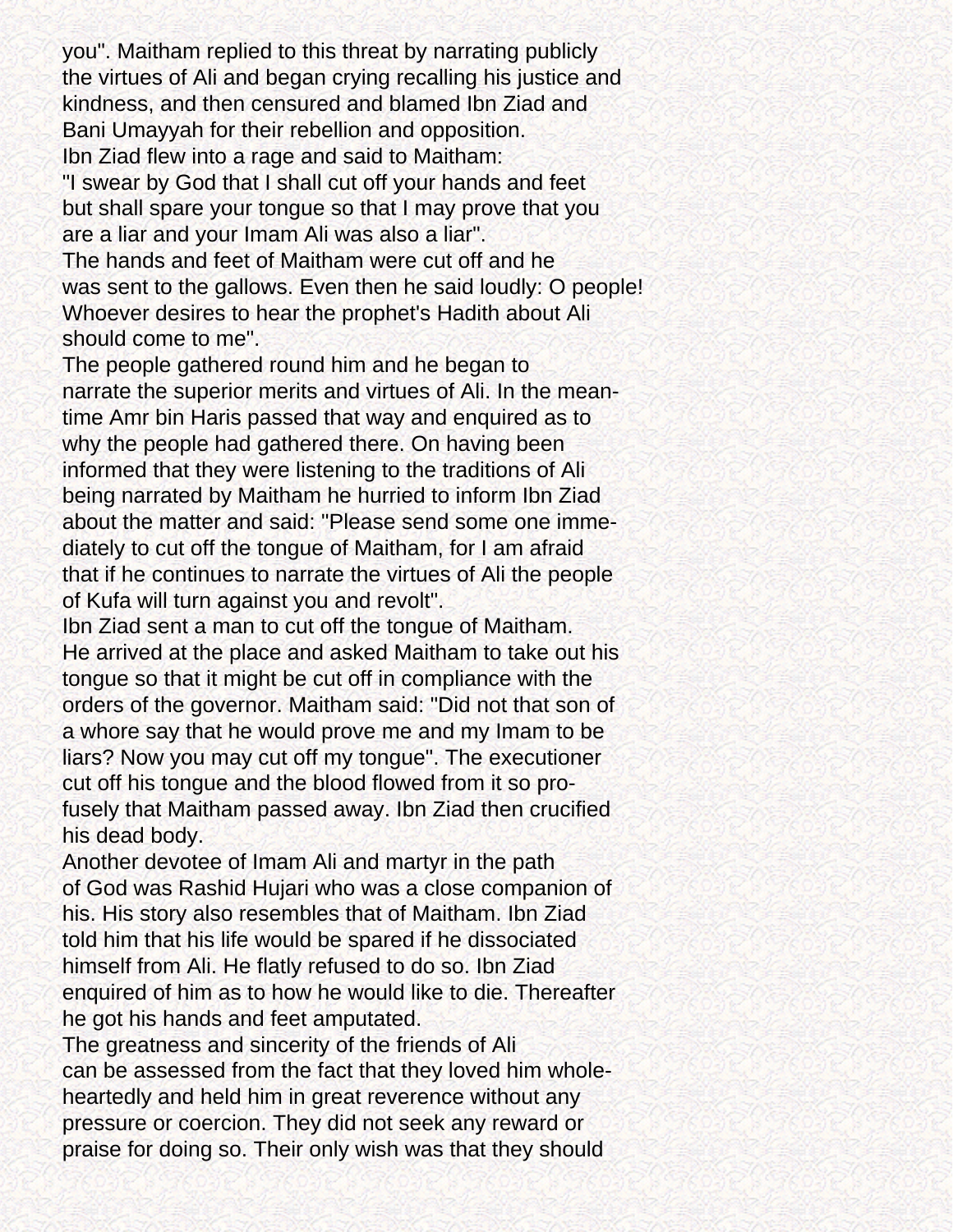you". Maitham replied to this threat by narrating publicly the virtues of Ali and began crying recalling his justice and kindness, and then censured and blamed Ibn Ziad and Bani Umayyah for their rebellion and opposition. Ibn Ziad flew into a rage and said to Maitham:

"I swear by God that I shall cut off your hands and feet but shall spare your tongue so that I may prove that you are a liar and your Imam Ali was also a liar".

The hands and feet of Maitham were cut off and he was sent to the gallows. Even then he said loudly: O people! Whoever desires to hear the prophet's Hadith about Ali should come to me".

The people gathered round him and he began to narrate the superior merits and virtues of Ali. In the meantime Amr bin Haris passed that way and enquired as to why the people had gathered there. On having been informed that they were listening to the traditions of Ali being narrated by Maitham he hurried to inform Ibn Ziad about the matter and said: "Please send some one immediately to cut off the tongue of Maitham, for I am afraid that if he continues to narrate the virtues of Ali the people of Kufa will turn against you and revolt".

Ibn Ziad sent a man to cut off the tongue of Maitham. He arrived at the place and asked Maitham to take out his tongue so that it might be cut off in compliance with the orders of the governor. Maitham said: "Did not that son of a whore say that he would prove me and my Imam to be liars? Now you may cut off my tongue". The executioner cut off his tongue and the blood flowed from it so profusely that Maitham passed away. Ibn Ziad then crucified his dead body.

Another devotee of Imam Ali and martyr in the path of God was Rashid Hujari who was a close companion of his. His story also resembles that of Maitham. Ibn Ziad told him that his life would be spared if he dissociated himself from Ali. He flatly refused to do so. Ibn Ziad enquired of him as to how he would like to die. Thereafter he got his hands and feet amputated.

The greatness and sincerity of the friends of Ali can be assessed from the fact that they loved him wholeheartedly and held him in great reverence without any pressure or coercion. They did not seek any reward or praise for doing so. Their only wish was that they should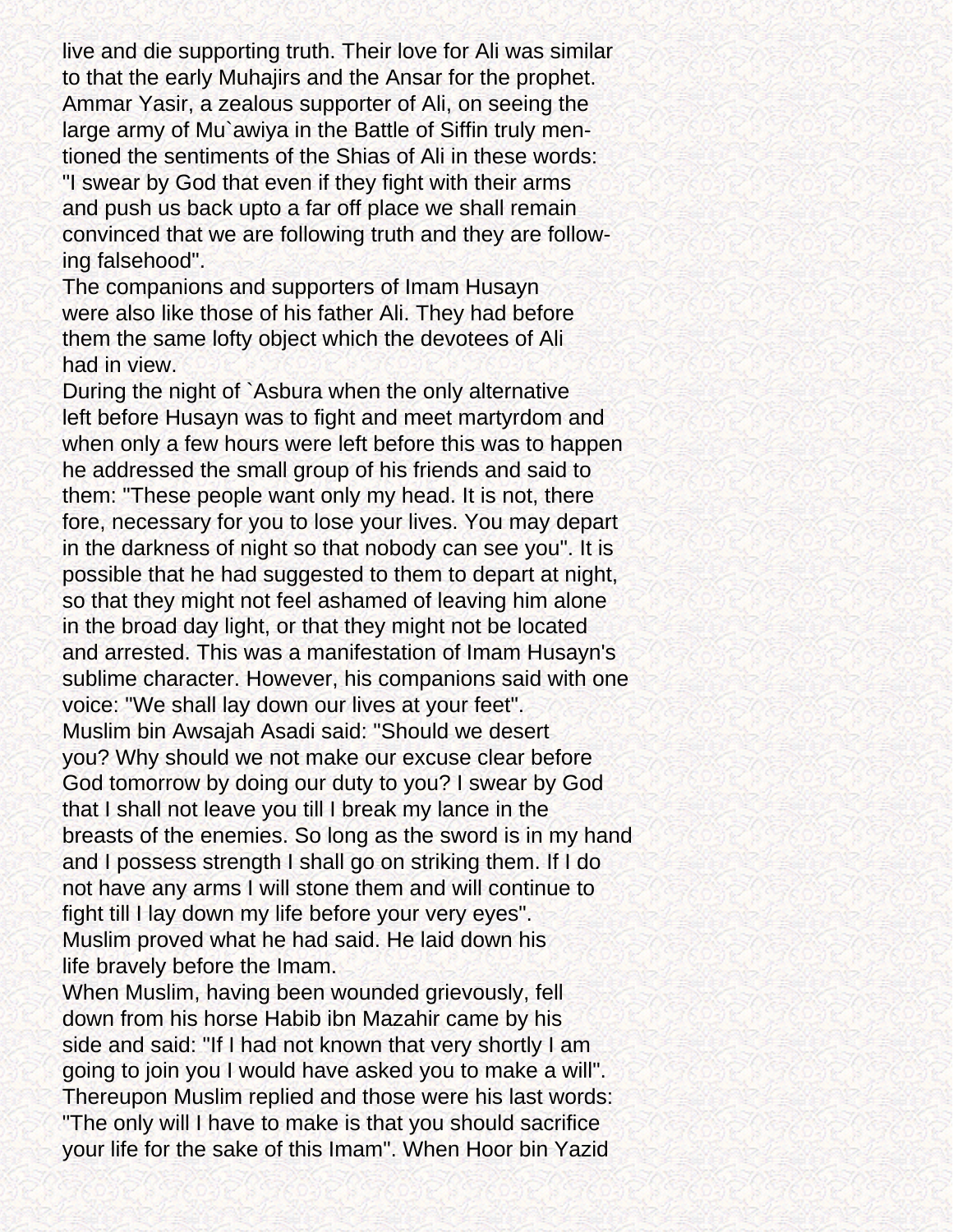live and die supporting truth. Their love for Ali was similar to that the early Muhajirs and the Ansar for the prophet. Ammar Yasir, a zealous supporter of Ali, on seeing the large army of Mu`awiya in the Battle of Siffin truly mentioned the sentiments of the Shias of Ali in these words: "I swear by God that even if they fight with their arms and push us back upto a far off place we shall remain convinced that we are following truth and they are following falsehood".

The companions and supporters of Imam Husayn were also like those of his father Ali. They had before them the same lofty object which the devotees of Ali had in view.

During the night of `Asbura when the only alternative left before Husayn was to fight and meet martyrdom and when only a few hours were left before this was to happen he addressed the small group of his friends and said to them: "These people want only my head. It is not, there fore, necessary for you to lose your lives. You may depart in the darkness of night so that nobody can see you". It is possible that he had suggested to them to depart at night, so that they might not feel ashamed of leaving him alone in the broad day light, or that they might not be located and arrested. This was a manifestation of Imam Husayn's sublime character. However, his companions said with one voice: "We shall lay down our lives at your feet". Muslim bin Awsajah Asadi said: "Should we desert you? Why should we not make our excuse clear before God tomorrow by doing our duty to you? I swear by God that I shall not leave you till I break my lance in the breasts of the enemies. So long as the sword is in my hand and I possess strength I shall go on striking them. If I do not have any arms I will stone them and will continue to fight till I lay down my life before your very eyes". Muslim proved what he had said. He laid down his life bravely before the Imam.

When Muslim, having been wounded grievously, fell down from his horse Habib ibn Mazahir came by his side and said: "If I had not known that very shortly I am going to join you I would have asked you to make a will". Thereupon Muslim replied and those were his last words: "The only will I have to make is that you should sacrifice your life for the sake of this Imam". When Hoor bin Yazid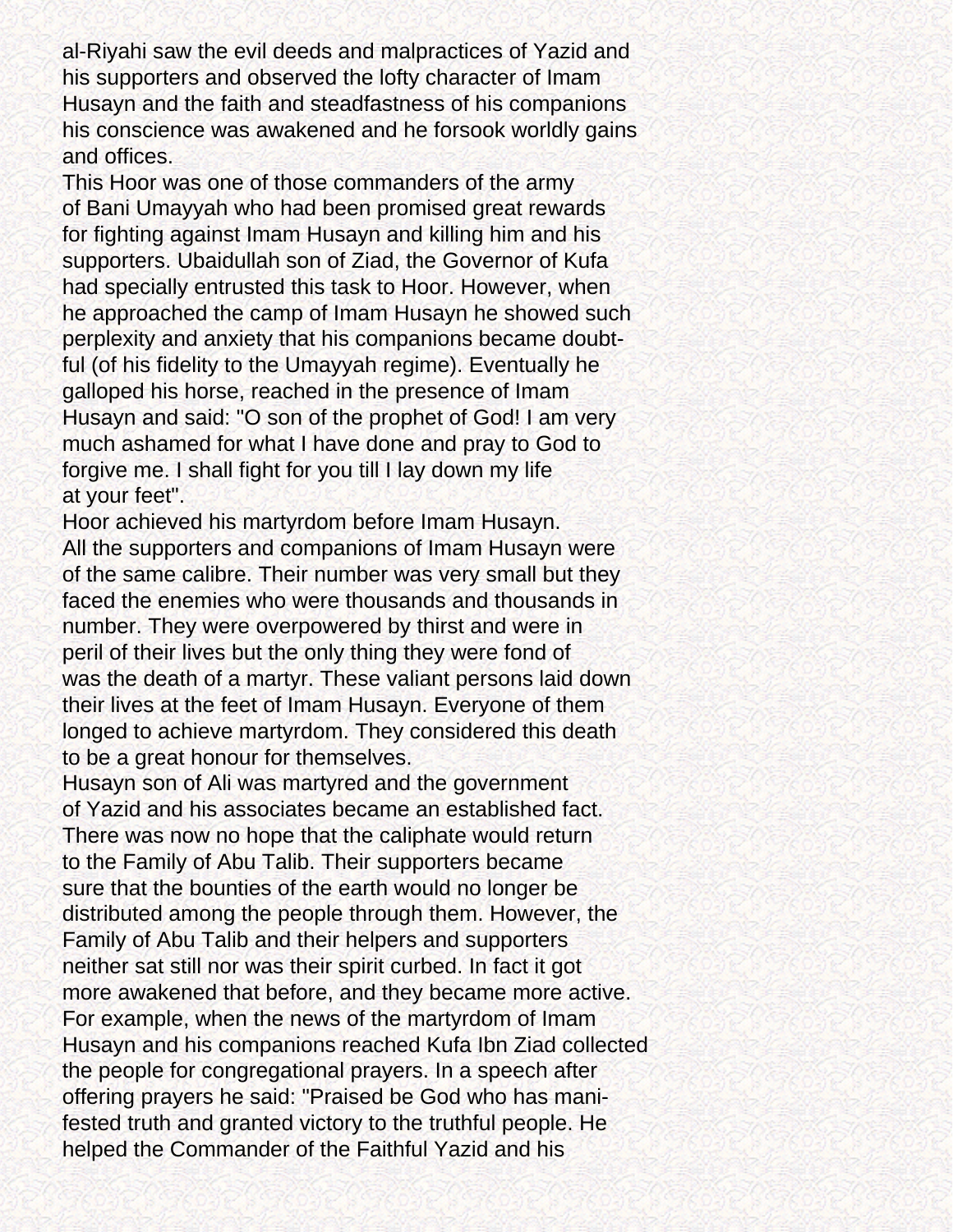al-Riyahi saw the evil deeds and malpractices of Yazid and his supporters and observed the lofty character of Imam Husayn and the faith and steadfastness of his companions his conscience was awakened and he forsook worldly gains and offices.

This Hoor was one of those commanders of the army of Bani Umayyah who had been promised great rewards for fighting against Imam Husayn and killing him and his supporters. Ubaidullah son of Ziad, the Governor of Kufa had specially entrusted this task to Hoor. However, when he approached the camp of Imam Husayn he showed such perplexity and anxiety that his companions became doubtful (of his fidelity to the Umayyah regime). Eventually he galloped his horse, reached in the presence of Imam Husayn and said: "O son of the prophet of God! I am very much ashamed for what I have done and pray to God to forgive me. I shall fight for you till I lay down my life at your feet".

Hoor achieved his martyrdom before Imam Husayn. All the supporters and companions of Imam Husayn were of the same calibre. Their number was very small but they faced the enemies who were thousands and thousands in number. They were overpowered by thirst and were in peril of their lives but the only thing they were fond of was the death of a martyr. These valiant persons laid down their lives at the feet of Imam Husayn. Everyone of them longed to achieve martyrdom. They considered this death to be a great honour for themselves.

Husayn son of Ali was martyred and the government of Yazid and his associates became an established fact. There was now no hope that the caliphate would return to the Family of Abu Talib. Their supporters became sure that the bounties of the earth would no longer be distributed among the people through them. However, the Family of Abu Talib and their helpers and supporters neither sat still nor was their spirit curbed. In fact it got more awakened that before, and they became more active. For example, when the news of the martyrdom of Imam Husayn and his companions reached Kufa Ibn Ziad collected the people for congregational prayers. In a speech after offering prayers he said: "Praised be God who has manifested truth and granted victory to the truthful people. He helped the Commander of the Faithful Yazid and his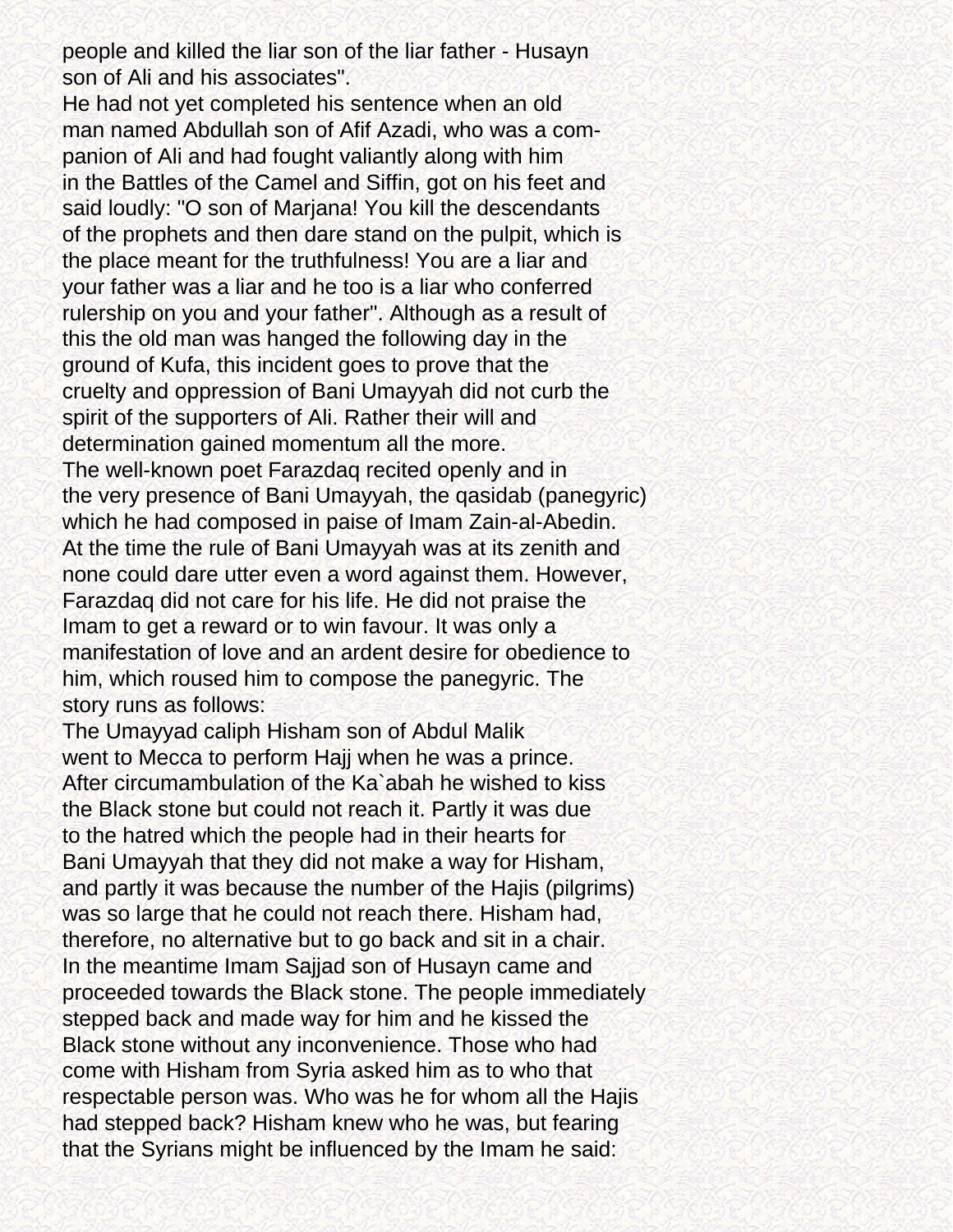people and killed the liar son of the liar father - Husayn son of Ali and his associates".

He had not yet completed his sentence when an old man named Abdullah son of Afif Azadi, who was a companion of Ali and had fought valiantly along with him in the Battles of the Camel and Siffin, got on his feet and said loudly: "O son of Marjana! You kill the descendants of the prophets and then dare stand on the pulpit, which is the place meant for the truthfulness! You are a liar and your father was a liar and he too is a liar who conferred rulership on you and your father". Although as a result of this the old man was hanged the following day in the ground of Kufa, this incident goes to prove that the cruelty and oppression of Bani Umayyah did not curb the spirit of the supporters of Ali. Rather their will and determination gained momentum all the more. The well-known poet Farazdaq recited openly and in the very presence of Bani Umayyah, the qasidab (panegyric) which he had composed in paise of Imam Zain-al-Abedin. At the time the rule of Bani Umayyah was at its zenith and none could dare utter even a word against them. However, Farazdaq did not care for his life. He did not praise the Imam to get a reward or to win favour. It was only a manifestation of love and an ardent desire for obedience to him, which roused him to compose the panegyric. The story runs as follows:

The Umayyad caliph Hisham son of Abdul Malik went to Mecca to perform Hajj when he was a prince. After circumambulation of the Ka`abah he wished to kiss the Black stone but could not reach it. Partly it was due to the hatred which the people had in their hearts for Bani Umayyah that they did not make a way for Hisham, and partly it was because the number of the Hajis (pilgrims) was so large that he could not reach there. Hisham had, therefore, no alternative but to go back and sit in a chair. In the meantime Imam Sajjad son of Husayn came and proceeded towards the Black stone. The people immediately stepped back and made way for him and he kissed the Black stone without any inconvenience. Those who had come with Hisham from Syria asked him as to who that respectable person was. Who was he for whom all the Hajis had stepped back? Hisham knew who he was, but fearing that the Syrians might be influenced by the Imam he said: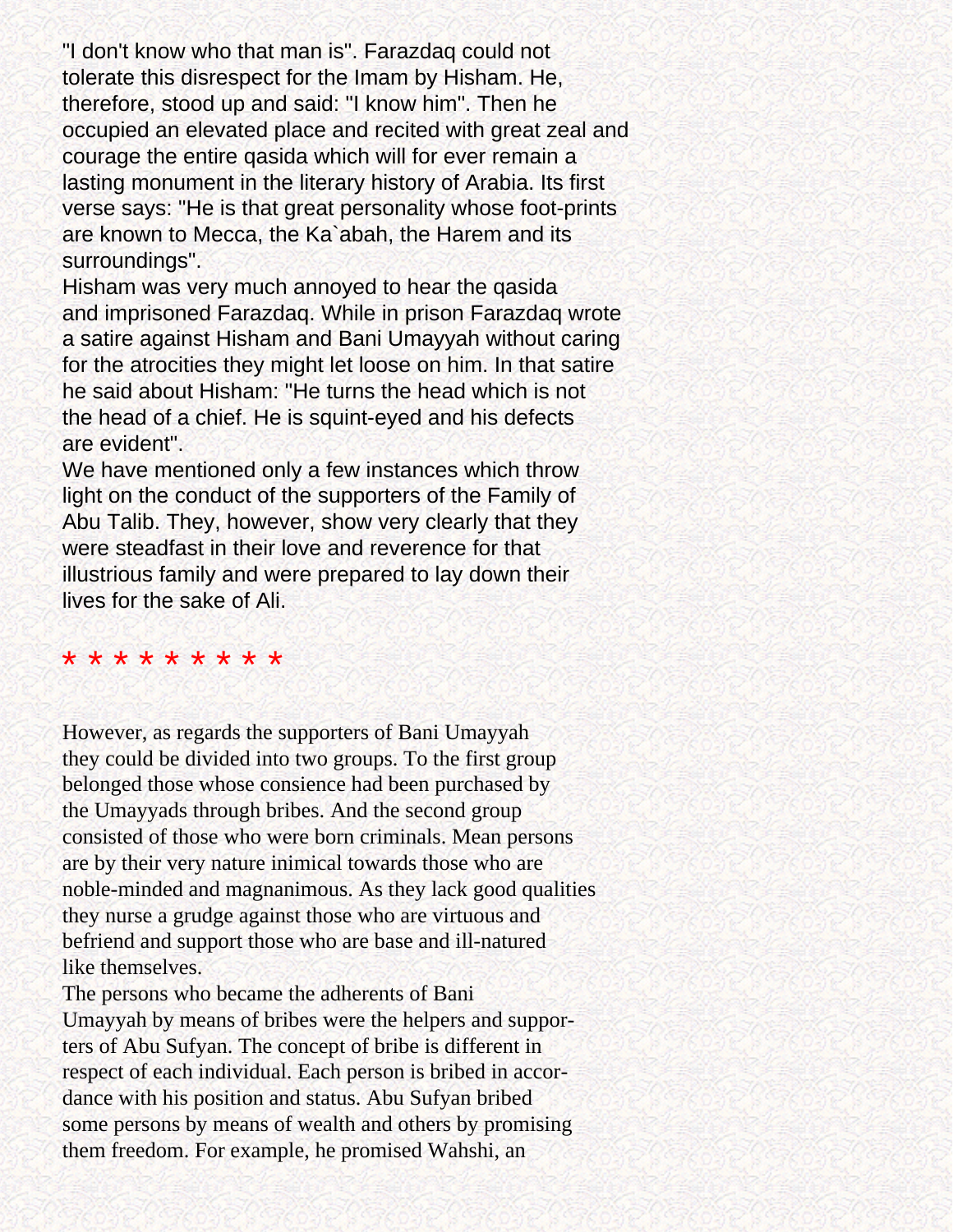"I don't know who that man is". Farazdaq could not tolerate this disrespect for the Imam by Hisham. He, therefore, stood up and said: "I know him". Then he occupied an elevated place and recited with great zeal and courage the entire qasida which will for ever remain a lasting monument in the literary history of Arabia. Its first verse says: "He is that great personality whose foot-prints are known to Mecca, the Ka`abah, the Harem and its surroundings".

Hisham was very much annoyed to hear the qasida and imprisoned Farazdaq. While in prison Farazdaq wrote a satire against Hisham and Bani Umayyah without caring for the atrocities they might let loose on him. In that satire he said about Hisham: "He turns the head which is not the head of a chief. He is squint-eyed and his defects are evident".

We have mentioned only a few instances which throw light on the conduct of the supporters of the Family of Abu Talib. They, however, show very clearly that they were steadfast in their love and reverence for that illustrious family and were prepared to lay down their lives for the sake of Ali.

## \* \* \* \* \* \* \* \*

However, as regards the supporters of Bani Umayyah they could be divided into two groups. To the first group belonged those whose consience had been purchased by the Umayyads through bribes. And the second group consisted of those who were born criminals. Mean persons are by their very nature inimical towards those who are noble-minded and magnanimous. As they lack good qualities they nurse a grudge against those who are virtuous and befriend and support those who are base and ill-natured like themselves.

The persons who became the adherents of Bani Umayyah by means of bribes were the helpers and supporters of Abu Sufyan. The concept of bribe is different in respect of each individual. Each person is bribed in accordance with his position and status. Abu Sufyan bribed some persons by means of wealth and others by promising them freedom. For example, he promised Wahshi, an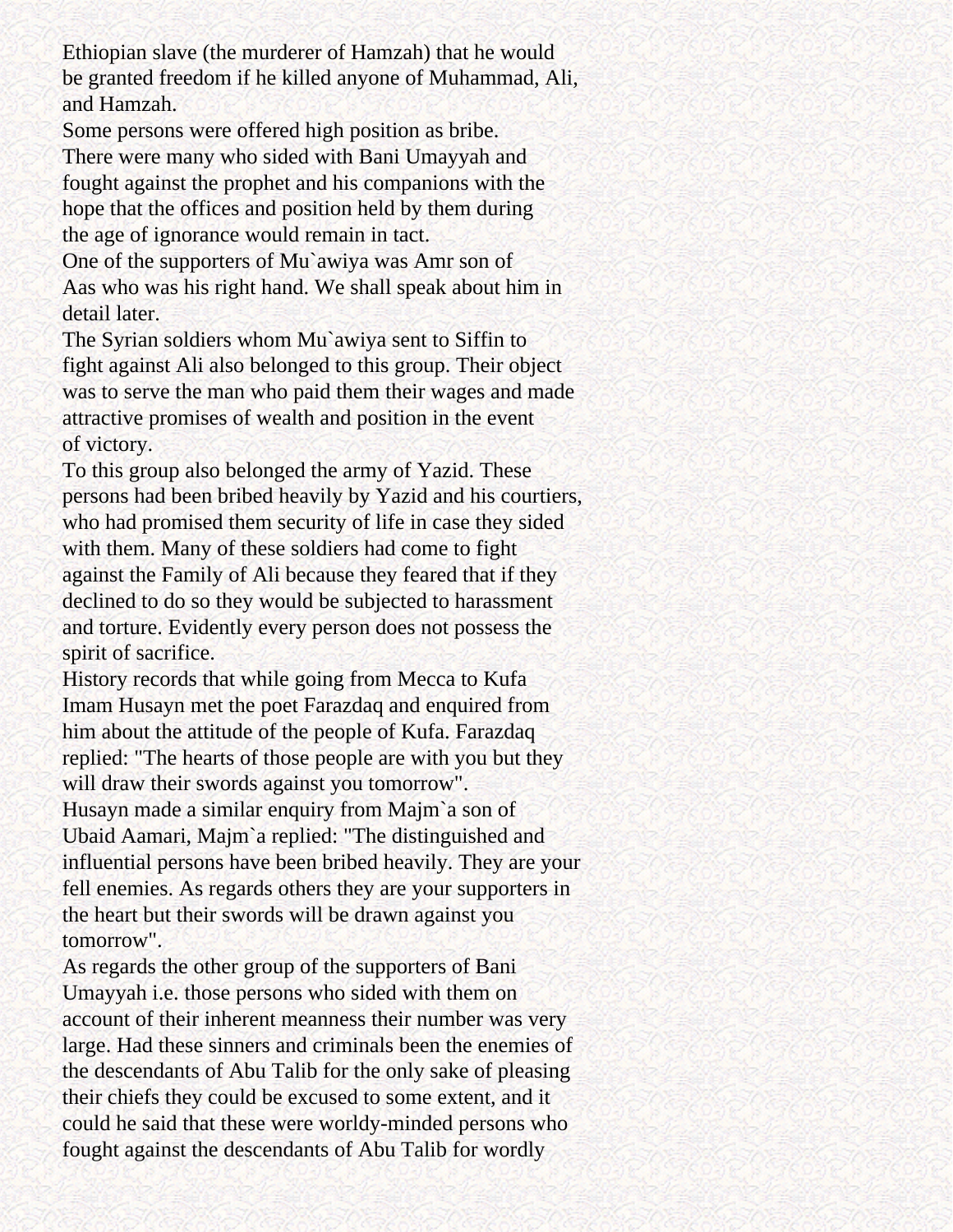Ethiopian slave (the murderer of Hamzah) that he would be granted freedom if he killed anyone of Muhammad, Ali, and Hamzah.

Some persons were offered high position as bribe. There were many who sided with Bani Umayyah and fought against the prophet and his companions with the hope that the offices and position held by them during the age of ignorance would remain in tact.

One of the supporters of Mu`awiya was Amr son of Aas who was his right hand. We shall speak about him in detail later.

The Syrian soldiers whom Mu`awiya sent to Siffin to fight against Ali also belonged to this group. Their object was to serve the man who paid them their wages and made attractive promises of wealth and position in the event of victory.

To this group also belonged the army of Yazid. These persons had been bribed heavily by Yazid and his courtiers, who had promised them security of life in case they sided with them. Many of these soldiers had come to fight against the Family of Ali because they feared that if they declined to do so they would be subjected to harassment and torture. Evidently every person does not possess the spirit of sacrifice.

History records that while going from Mecca to Kufa Imam Husayn met the poet Farazdaq and enquired from him about the attitude of the people of Kufa. Farazdaq replied: "The hearts of those people are with you but they will draw their swords against you tomorrow".

Husayn made a similar enquiry from Majm`a son of Ubaid Aamari, Majm`a replied: "The distinguished and influential persons have been bribed heavily. They are your fell enemies. As regards others they are your supporters in the heart but their swords will be drawn against you tomorrow".

As regards the other group of the supporters of Bani Umayyah i.e. those persons who sided with them on account of their inherent meanness their number was very large. Had these sinners and criminals been the enemies of the descendants of Abu Talib for the only sake of pleasing their chiefs they could be excused to some extent, and it could he said that these were worldy-minded persons who fought against the descendants of Abu Talib for wordly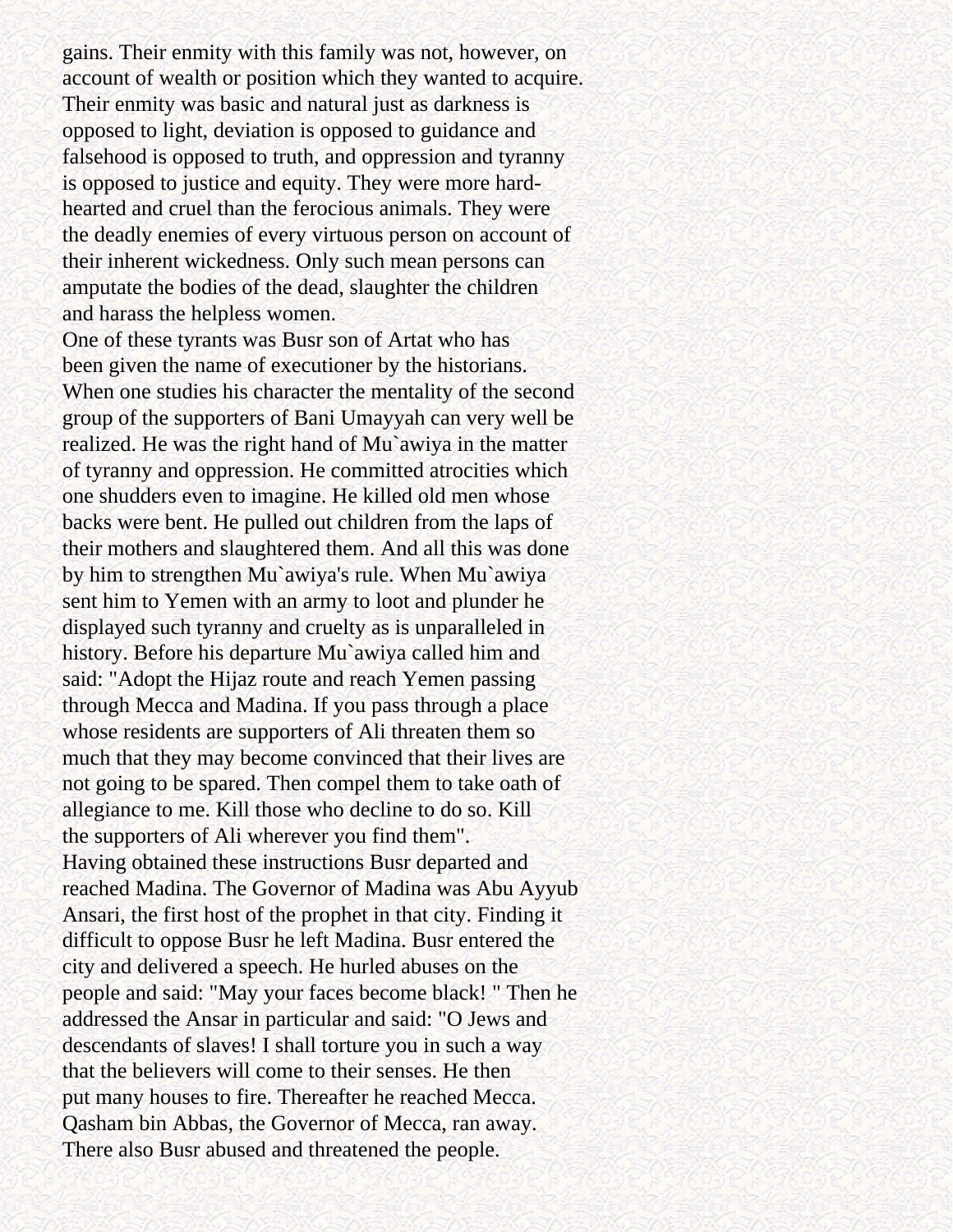gains. Their enmity with this family was not, however, on account of wealth or position which they wanted to acquire. Their enmity was basic and natural just as darkness is opposed to light, deviation is opposed to guidance and falsehood is opposed to truth, and oppression and tyranny is opposed to justice and equity. They were more hardhearted and cruel than the ferocious animals. They were the deadly enemies of every virtuous person on account of their inherent wickedness. Only such mean persons can amputate the bodies of the dead, slaughter the children and harass the helpless women.

One of these tyrants was Busr son of Artat who has been given the name of executioner by the historians. When one studies his character the mentality of the second group of the supporters of Bani Umayyah can very well be realized. He was the right hand of Mu`awiya in the matter of tyranny and oppression. He committed atrocities which one shudders even to imagine. He killed old men whose backs were bent. He pulled out children from the laps of their mothers and slaughtered them. And all this was done by him to strengthen Mu`awiya's rule. When Mu`awiya sent him to Yemen with an army to loot and plunder he displayed such tyranny and cruelty as is unparalleled in history. Before his departure Mu`awiya called him and said: "Adopt the Hijaz route and reach Yemen passing through Mecca and Madina. If you pass through a place whose residents are supporters of Ali threaten them so much that they may become convinced that their lives are not going to be spared. Then compel them to take oath of allegiance to me. Kill those who decline to do so. Kill the supporters of Ali wherever you find them". Having obtained these instructions Busr departed and reached Madina. The Governor of Madina was Abu Ayyub Ansari, the first host of the prophet in that city. Finding it difficult to oppose Busr he left Madina. Busr entered the city and delivered a speech. He hurled abuses on the people and said: "May your faces become black! " Then he addressed the Ansar in particular and said: "O Jews and descendants of slaves! I shall torture you in such a way that the believers will come to their senses. He then put many houses to fire. Thereafter he reached Mecca. Qasham bin Abbas, the Governor of Mecca, ran away. There also Busr abused and threatened the people.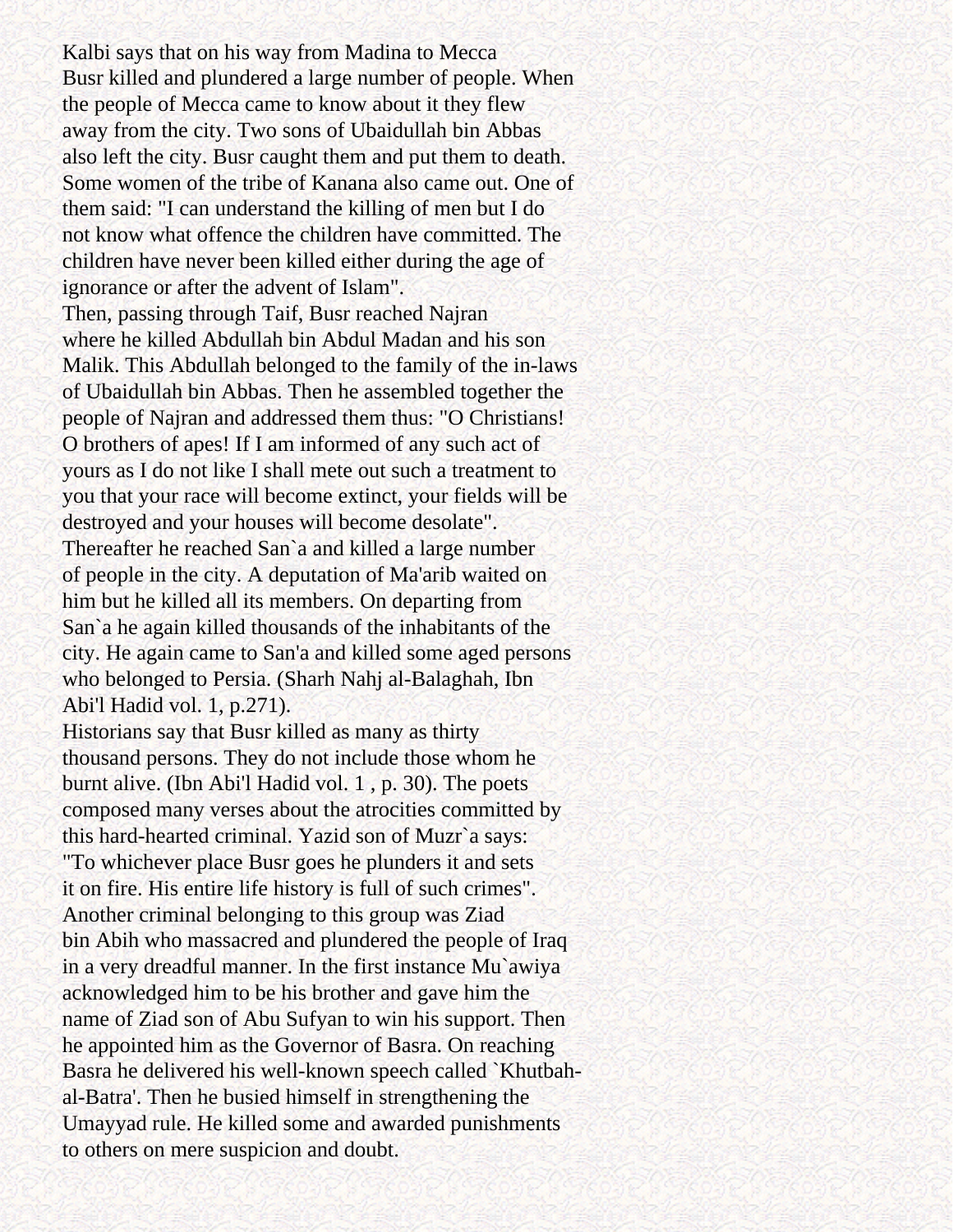Kalbi says that on his way from Madina to Mecca Busr killed and plundered a large number of people. When the people of Mecca came to know about it they flew away from the city. Two sons of Ubaidullah bin Abbas also left the city. Busr caught them and put them to death. Some women of the tribe of Kanana also came out. One of them said: "I can understand the killing of men but I do not know what offence the children have committed. The children have never been killed either during the age of ignorance or after the advent of Islam".

Then, passing through Taif, Busr reached Najran where he killed Abdullah bin Abdul Madan and his son Malik. This Abdullah belonged to the family of the in-laws of Ubaidullah bin Abbas. Then he assembled together the people of Najran and addressed them thus: "O Christians! O brothers of apes! If I am informed of any such act of yours as I do not like I shall mete out such a treatment to you that your race will become extinct, your fields will be destroyed and your houses will become desolate". Thereafter he reached San`a and killed a large number of people in the city. A deputation of Ma'arib waited on him but he killed all its members. On departing from San`a he again killed thousands of the inhabitants of the city. He again came to San'a and killed some aged persons who belonged to Persia. (Sharh Nahj al-Balaghah, Ibn Abi'l Hadid vol. 1, p.271).

Historians say that Busr killed as many as thirty thousand persons. They do not include those whom he burnt alive. (Ibn Abi'l Hadid vol. 1 , p. 30). The poets composed many verses about the atrocities committed by this hard-hearted criminal. Yazid son of Muzr`a says: "To whichever place Busr goes he plunders it and sets it on fire. His entire life history is full of such crimes". Another criminal belonging to this group was Ziad bin Abih who massacred and plundered the people of Iraq in a very dreadful manner. In the first instance Mu`awiya acknowledged him to be his brother and gave him the name of Ziad son of Abu Sufyan to win his support. Then he appointed him as the Governor of Basra. On reaching Basra he delivered his well-known speech called `Khutbahal-Batra'. Then he busied himself in strengthening the Umayyad rule. He killed some and awarded punishments to others on mere suspicion and doubt.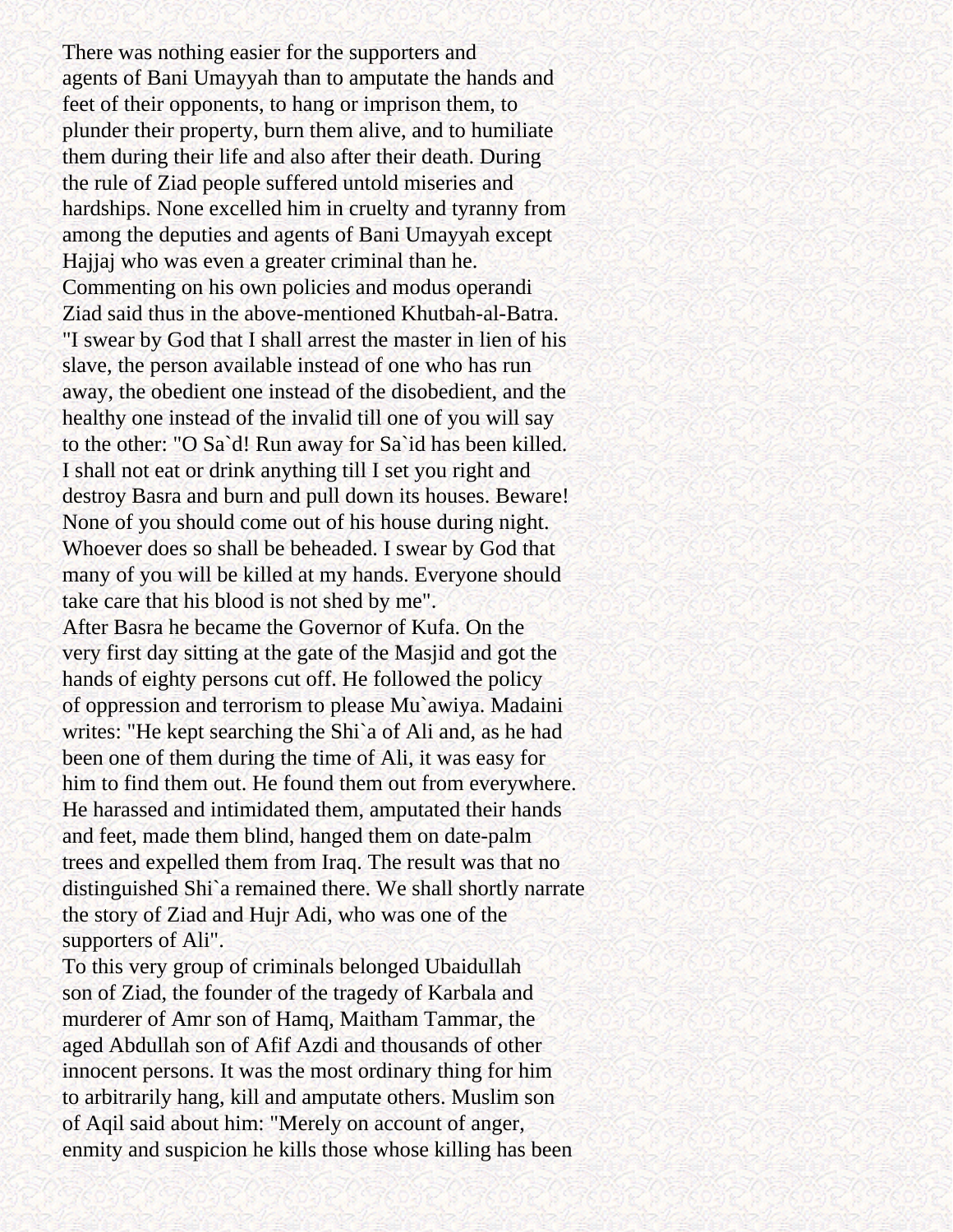There was nothing easier for the supporters and agents of Bani Umayyah than to amputate the hands and feet of their opponents, to hang or imprison them, to plunder their property, burn them alive, and to humiliate them during their life and also after their death. During the rule of Ziad people suffered untold miseries and hardships. None excelled him in cruelty and tyranny from among the deputies and agents of Bani Umayyah except Hajjaj who was even a greater criminal than he. Commenting on his own policies and modus operandi Ziad said thus in the above-mentioned Khutbah-al-Batra. "I swear by God that I shall arrest the master in lien of his slave, the person available instead of one who has run away, the obedient one instead of the disobedient, and the healthy one instead of the invalid till one of you will say to the other: "O Sa`d! Run away for Sa`id has been killed. I shall not eat or drink anything till I set you right and destroy Basra and burn and pull down its houses. Beware! None of you should come out of his house during night. Whoever does so shall be beheaded. I swear by God that many of you will be killed at my hands. Everyone should take care that his blood is not shed by me". After Basra he became the Governor of Kufa. On the very first day sitting at the gate of the Masjid and got the hands of eighty persons cut off. He followed the policy of oppression and terrorism to please Mu`awiya. Madaini writes: "He kept searching the Shi`a of Ali and, as he had been one of them during the time of Ali, it was easy for him to find them out. He found them out from everywhere. He harassed and intimidated them, amputated their hands and feet, made them blind, hanged them on date-palm trees and expelled them from Iraq. The result was that no distinguished Shi`a remained there. We shall shortly narrate the story of Ziad and Hujr Adi, who was one of the supporters of Ali".

To this very group of criminals belonged Ubaidullah son of Ziad, the founder of the tragedy of Karbala and murderer of Amr son of Hamq, Maitham Tammar, the aged Abdullah son of Afif Azdi and thousands of other innocent persons. It was the most ordinary thing for him to arbitrarily hang, kill and amputate others. Muslim son of Aqil said about him: "Merely on account of anger, enmity and suspicion he kills those whose killing has been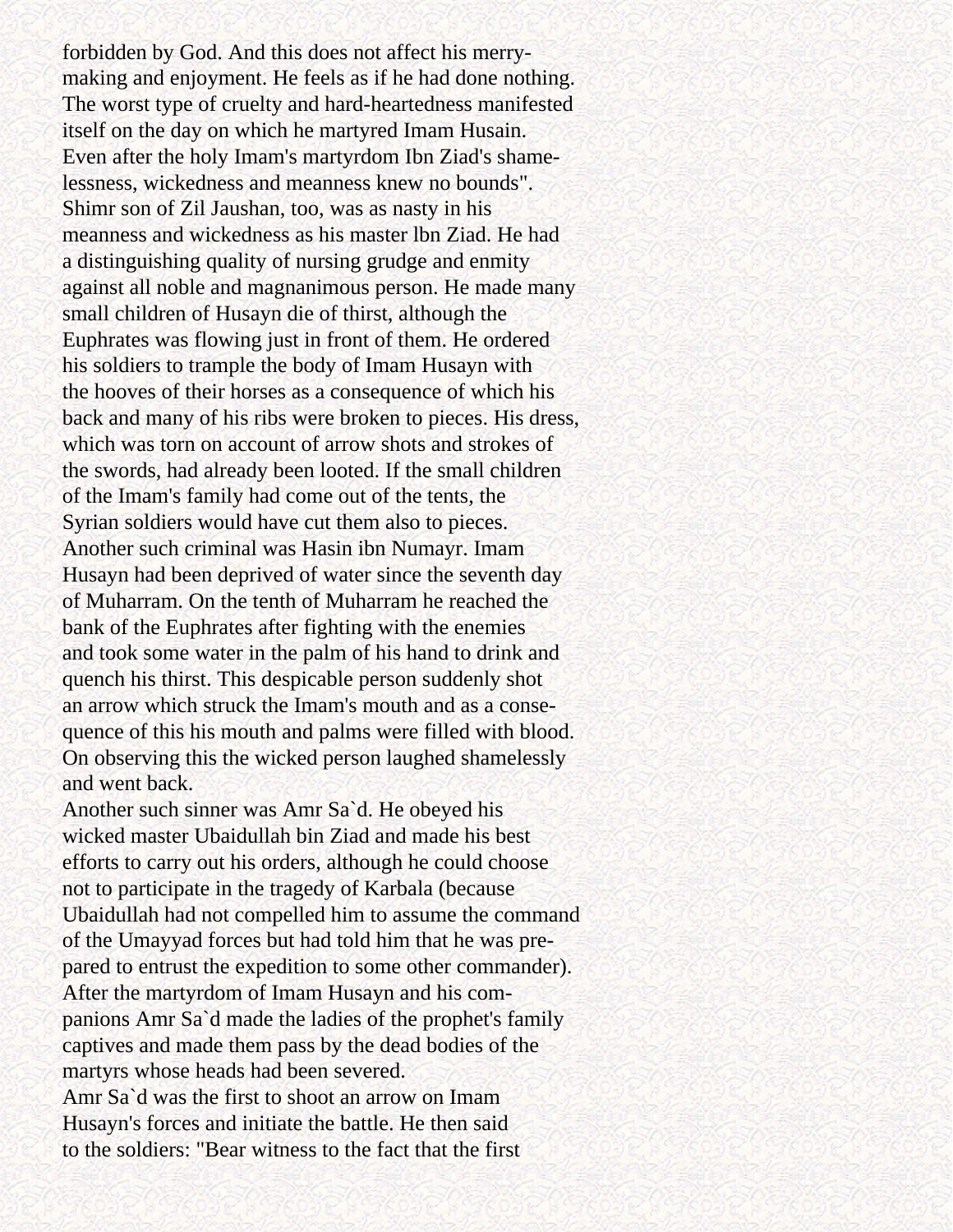forbidden by God. And this does not affect his merrymaking and enjoyment. He feels as if he had done nothing. The worst type of cruelty and hard-heartedness manifested itself on the day on which he martyred Imam Husain. Even after the holy Imam's martyrdom Ibn Ziad's shamelessness, wickedness and meanness knew no bounds". Shimr son of Zil Jaushan, too, was as nasty in his meanness and wickedness as his master lbn Ziad. He had a distinguishing quality of nursing grudge and enmity against all noble and magnanimous person. He made many small children of Husayn die of thirst, although the Euphrates was flowing just in front of them. He ordered his soldiers to trample the body of Imam Husayn with the hooves of their horses as a consequence of which his back and many of his ribs were broken to pieces. His dress, which was torn on account of arrow shots and strokes of the swords, had already been looted. If the small children of the Imam's family had come out of the tents, the Syrian soldiers would have cut them also to pieces. Another such criminal was Hasin ibn Numayr. Imam Husayn had been deprived of water since the seventh day of Muharram. On the tenth of Muharram he reached the bank of the Euphrates after fighting with the enemies and took some water in the palm of his hand to drink and quench his thirst. This despicable person suddenly shot an arrow which struck the Imam's mouth and as a consequence of this his mouth and palms were filled with blood. On observing this the wicked person laughed shamelessly and went back.

Another such sinner was Amr Sa`d. He obeyed his wicked master Ubaidullah bin Ziad and made his best efforts to carry out his orders, although he could choose not to participate in the tragedy of Karbala (because Ubaidullah had not compelled him to assume the command of the Umayyad forces but had told him that he was prepared to entrust the expedition to some other commander). After the martyrdom of Imam Husayn and his companions Amr Sa`d made the ladies of the prophet's family captives and made them pass by the dead bodies of the martyrs whose heads had been severed.

Amr Sa`d was the first to shoot an arrow on Imam Husayn's forces and initiate the battle. He then said to the soldiers: "Bear witness to the fact that the first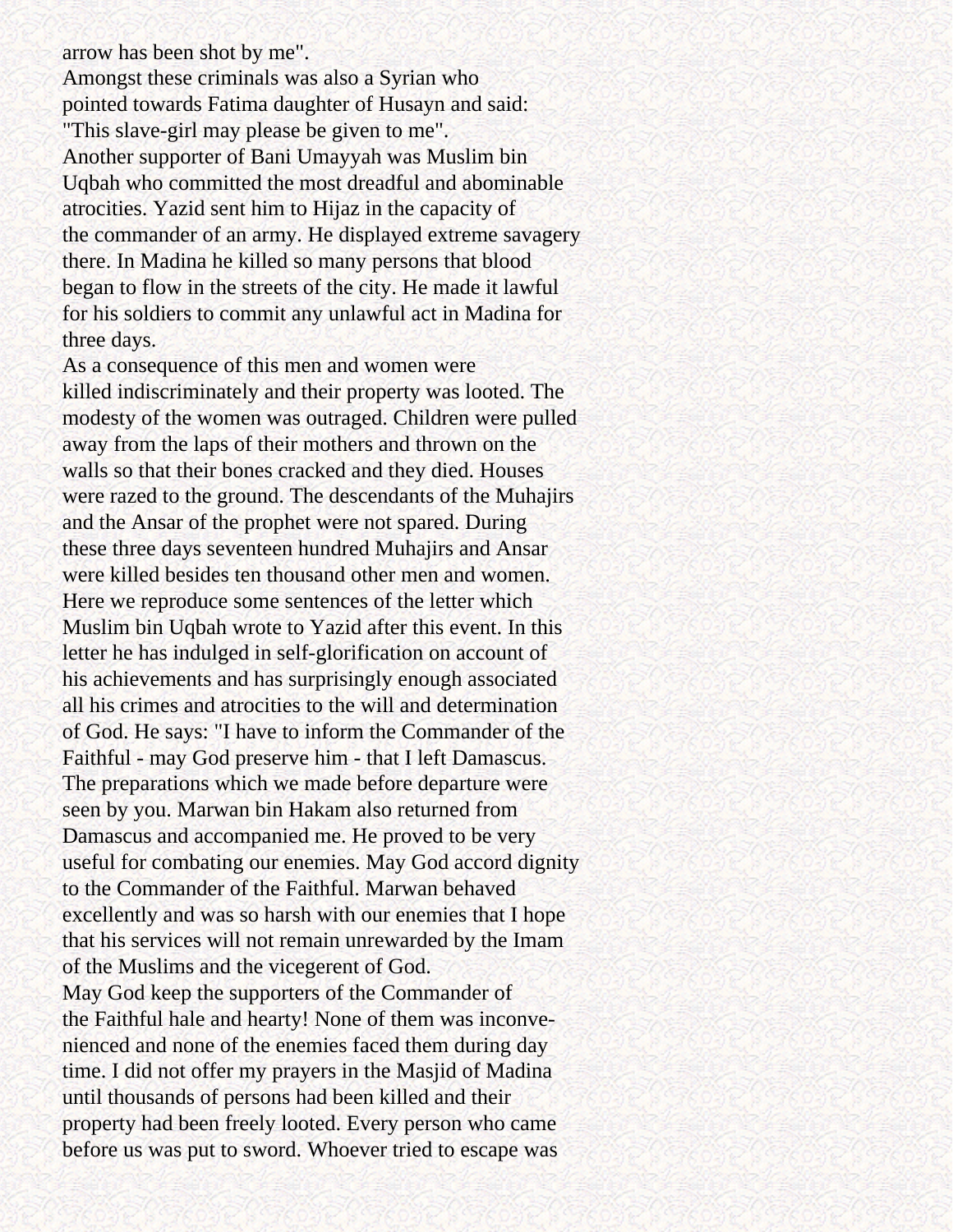arrow has been shot by me".

Amongst these criminals was also a Syrian who pointed towards Fatima daughter of Husayn and said: "This slave-girl may please be given to me". Another supporter of Bani Umayyah was Muslim bin Uqbah who committed the most dreadful and abominable atrocities. Yazid sent him to Hijaz in the capacity of the commander of an army. He displayed extreme savagery there. In Madina he killed so many persons that blood began to flow in the streets of the city. He made it lawful for his soldiers to commit any unlawful act in Madina for three days.

As a consequence of this men and women were killed indiscriminately and their property was looted. The modesty of the women was outraged. Children were pulled away from the laps of their mothers and thrown on the walls so that their bones cracked and they died. Houses were razed to the ground. The descendants of the Muhajirs and the Ansar of the prophet were not spared. During these three days seventeen hundred Muhajirs and Ansar were killed besides ten thousand other men and women. Here we reproduce some sentences of the letter which Muslim bin Uqbah wrote to Yazid after this event. In this letter he has indulged in self-glorification on account of his achievements and has surprisingly enough associated all his crimes and atrocities to the will and determination of God. He says: "I have to inform the Commander of the Faithful - may God preserve him - that I left Damascus. The preparations which we made before departure were seen by you. Marwan bin Hakam also returned from Damascus and accompanied me. He proved to be very useful for combating our enemies. May God accord dignity to the Commander of the Faithful. Marwan behaved excellently and was so harsh with our enemies that I hope that his services will not remain unrewarded by the Imam of the Muslims and the vicegerent of God. May God keep the supporters of the Commander of the Faithful hale and hearty! None of them was inconvenienced and none of the enemies faced them during day time. I did not offer my prayers in the Masjid of Madina until thousands of persons had been killed and their property had been freely looted. Every person who came before us was put to sword. Whoever tried to escape was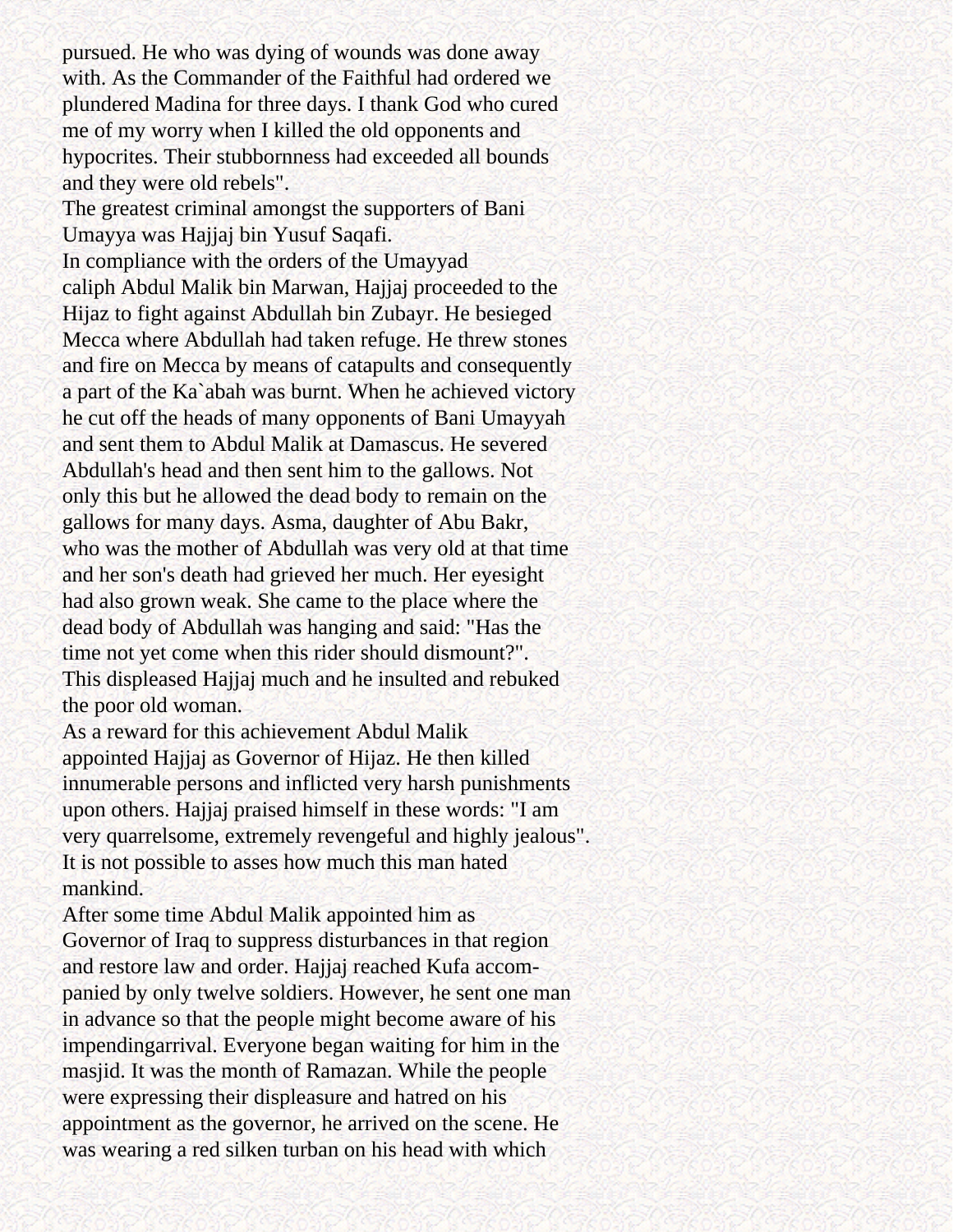pursued. He who was dying of wounds was done away with. As the Commander of the Faithful had ordered we plundered Madina for three days. I thank God who cured me of my worry when I killed the old opponents and hypocrites. Their stubbornness had exceeded all bounds and they were old rebels".

The greatest criminal amongst the supporters of Bani Umayya was Hajjaj bin Yusuf Saqafi.

In compliance with the orders of the Umayyad caliph Abdul Malik bin Marwan, Hajjaj proceeded to the Hijaz to fight against Abdullah bin Zubayr. He besieged Mecca where Abdullah had taken refuge. He threw stones and fire on Mecca by means of catapults and consequently a part of the Ka`abah was burnt. When he achieved victory he cut off the heads of many opponents of Bani Umayyah and sent them to Abdul Malik at Damascus. He severed Abdullah's head and then sent him to the gallows. Not only this but he allowed the dead body to remain on the gallows for many days. Asma, daughter of Abu Bakr, who was the mother of Abdullah was very old at that time and her son's death had grieved her much. Her eyesight had also grown weak. She came to the place where the dead body of Abdullah was hanging and said: "Has the time not yet come when this rider should dismount?". This displeased Hajjaj much and he insulted and rebuked the poor old woman.

As a reward for this achievement Abdul Malik appointed Hajjaj as Governor of Hijaz. He then killed innumerable persons and inflicted very harsh punishments upon others. Hajjaj praised himself in these words: "I am very quarrelsome, extremely revengeful and highly jealous". It is not possible to asses how much this man hated mankind.

After some time Abdul Malik appointed him as Governor of Iraq to suppress disturbances in that region and restore law and order. Hajjaj reached Kufa accompanied by only twelve soldiers. However, he sent one man in advance so that the people might become aware of his impendingarrival. Everyone began waiting for him in the masjid. It was the month of Ramazan. While the people were expressing their displeasure and hatred on his appointment as the governor, he arrived on the scene. He was wearing a red silken turban on his head with which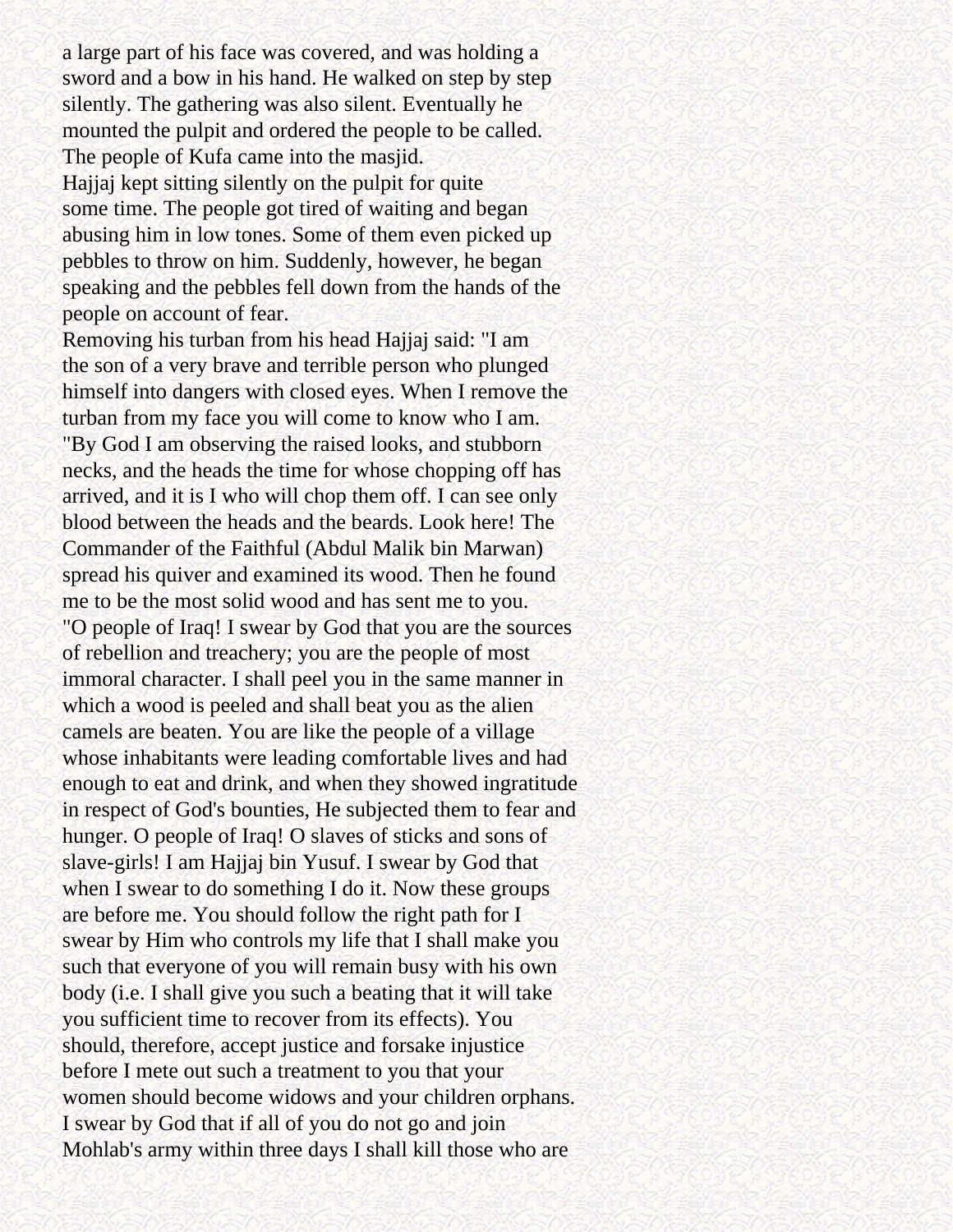a large part of his face was covered, and was holding a sword and a bow in his hand. He walked on step by step silently. The gathering was also silent. Eventually he mounted the pulpit and ordered the people to be called. The people of Kufa came into the masjid. Hajjaj kept sitting silently on the pulpit for quite some time. The people got tired of waiting and began abusing him in low tones. Some of them even picked up pebbles to throw on him. Suddenly, however, he began speaking and the pebbles fell down from the hands of the people on account of fear.

Removing his turban from his head Hajjaj said: "I am the son of a very brave and terrible person who plunged himself into dangers with closed eyes. When I remove the turban from my face you will come to know who I am. "By God I am observing the raised looks, and stubborn necks, and the heads the time for whose chopping off has arrived, and it is I who will chop them off. I can see only blood between the heads and the beards. Look here! The Commander of the Faithful (Abdul Malik bin Marwan) spread his quiver and examined its wood. Then he found me to be the most solid wood and has sent me to you. "O people of Iraq! I swear by God that you are the sources of rebellion and treachery; you are the people of most immoral character. I shall peel you in the same manner in which a wood is peeled and shall beat you as the alien camels are beaten. You are like the people of a village whose inhabitants were leading comfortable lives and had enough to eat and drink, and when they showed ingratitude in respect of God's bounties, He subjected them to fear and hunger. O people of Iraq! O slaves of sticks and sons of slave-girls! I am Hajjaj bin Yusuf. I swear by God that when I swear to do something I do it. Now these groups are before me. You should follow the right path for I swear by Him who controls my life that I shall make you such that everyone of you will remain busy with his own body (i.e. I shall give you such a beating that it will take you sufficient time to recover from its effects). You should, therefore, accept justice and forsake injustice before I mete out such a treatment to you that your women should become widows and your children orphans. I swear by God that if all of you do not go and join Mohlab's army within three days I shall kill those who are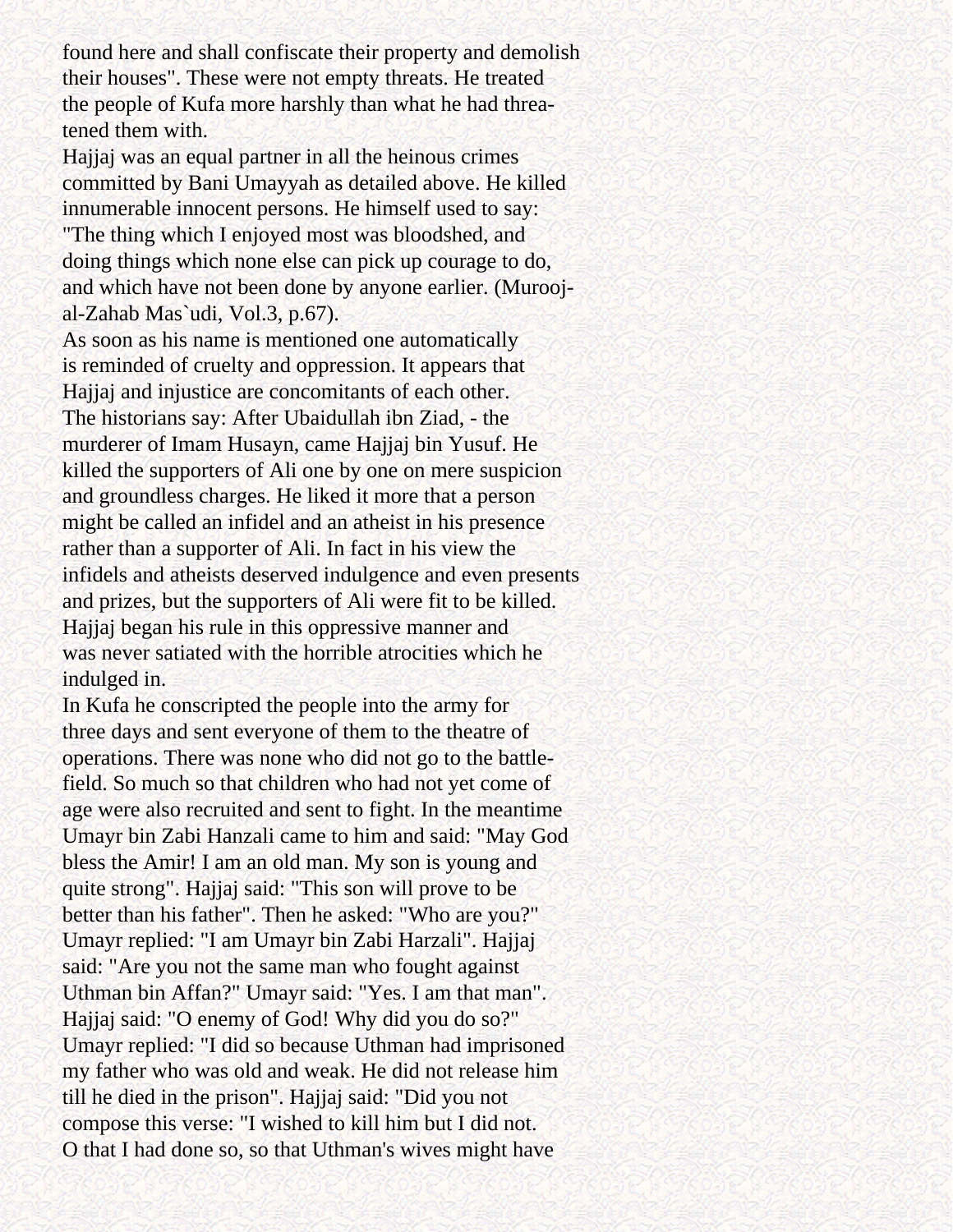found here and shall confiscate their property and demolish their houses". These were not empty threats. He treated the people of Kufa more harshly than what he had threatened them with.

Hajjaj was an equal partner in all the heinous crimes committed by Bani Umayyah as detailed above. He killed innumerable innocent persons. He himself used to say: "The thing which I enjoyed most was bloodshed, and doing things which none else can pick up courage to do, and which have not been done by anyone earlier. (Muroojal-Zahab Mas`udi, Vol.3, p.67).

As soon as his name is mentioned one automatically is reminded of cruelty and oppression. It appears that Hajjaj and injustice are concomitants of each other. The historians say: After Ubaidullah ibn Ziad, - the murderer of Imam Husayn, came Hajjaj bin Yusuf. He killed the supporters of Ali one by one on mere suspicion and groundless charges. He liked it more that a person might be called an infidel and an atheist in his presence rather than a supporter of Ali. In fact in his view the infidels and atheists deserved indulgence and even presents and prizes, but the supporters of Ali were fit to be killed. Hajjaj began his rule in this oppressive manner and was never satiated with the horrible atrocities which he indulged in.

In Kufa he conscripted the people into the army for three days and sent everyone of them to the theatre of operations. There was none who did not go to the battlefield. So much so that children who had not yet come of age were also recruited and sent to fight. In the meantime Umayr bin Zabi Hanzali came to him and said: "May God bless the Amir! I am an old man. My son is young and quite strong". Hajjaj said: "This son will prove to be better than his father". Then he asked: "Who are you?" Umayr replied: "I am Umayr bin Zabi Harzali". Hajjaj said: "Are you not the same man who fought against Uthman bin Affan?" Umayr said: "Yes. I am that man". Hajjaj said: "O enemy of God! Why did you do so?" Umayr replied: "I did so because Uthman had imprisoned my father who was old and weak. He did not release him till he died in the prison". Hajjaj said: "Did you not compose this verse: "I wished to kill him but I did not. O that I had done so, so that Uthman's wives might have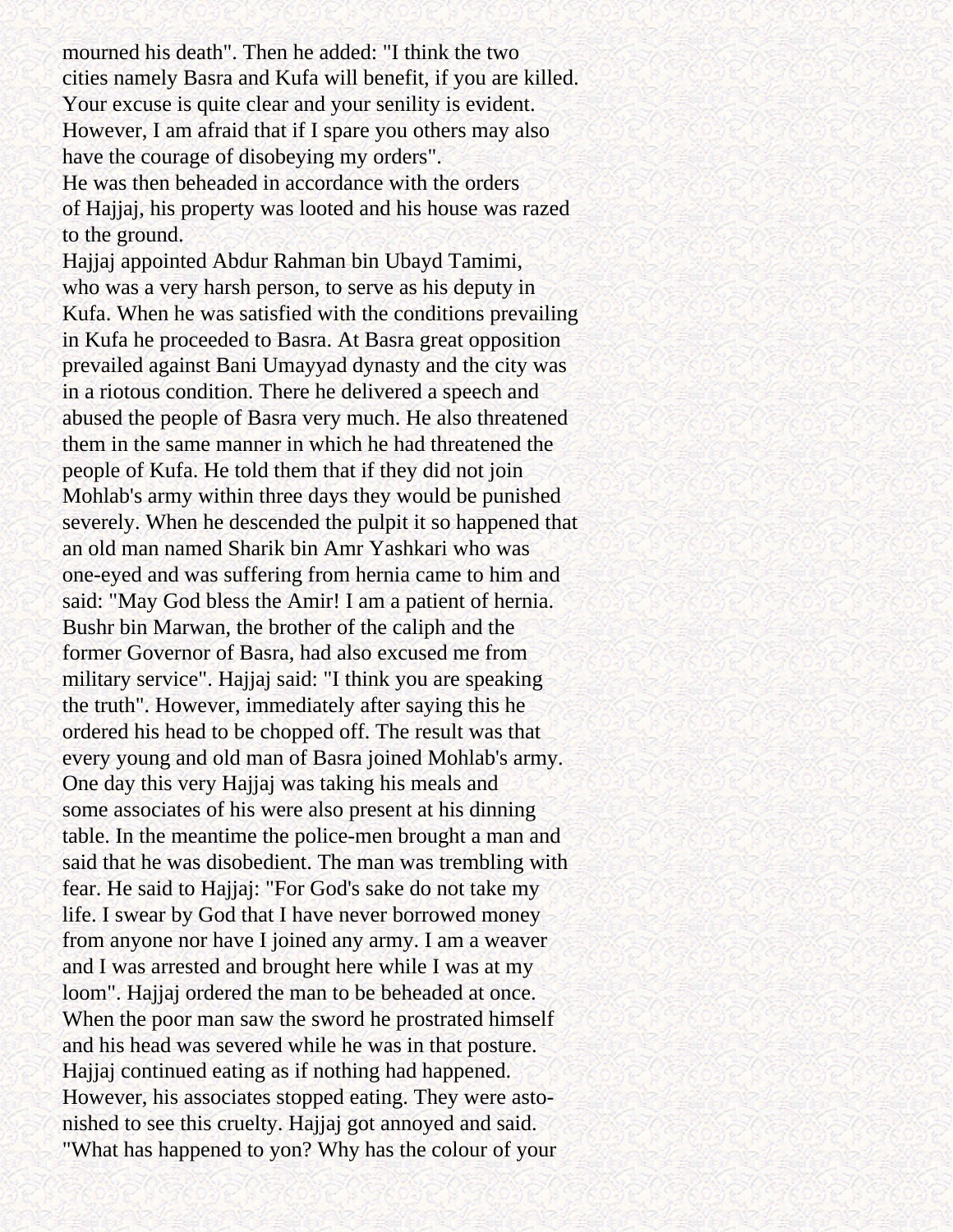mourned his death". Then he added: "I think the two cities namely Basra and Kufa will benefit, if you are killed. Your excuse is quite clear and your senility is evident. However, I am afraid that if I spare you others may also have the courage of disobeying my orders". He was then beheaded in accordance with the orders of Hajjaj, his property was looted and his house was razed to the ground.

Hajjaj appointed Abdur Rahman bin Ubayd Tamimi, who was a very harsh person, to serve as his deputy in Kufa. When he was satisfied with the conditions prevailing in Kufa he proceeded to Basra. At Basra great opposition prevailed against Bani Umayyad dynasty and the city was in a riotous condition. There he delivered a speech and abused the people of Basra very much. He also threatened them in the same manner in which he had threatened the people of Kufa. He told them that if they did not join Mohlab's army within three days they would be punished severely. When he descended the pulpit it so happened that an old man named Sharik bin Amr Yashkari who was one-eyed and was suffering from hernia came to him and said: "May God bless the Amir! I am a patient of hernia. Bushr bin Marwan, the brother of the caliph and the former Governor of Basra, had also excused me from military service". Hajjaj said: "I think you are speaking the truth". However, immediately after saying this he ordered his head to be chopped off. The result was that every young and old man of Basra joined Mohlab's army. One day this very Hajjaj was taking his meals and some associates of his were also present at his dinning table. In the meantime the police-men brought a man and said that he was disobedient. The man was trembling with fear. He said to Hajjaj: "For God's sake do not take my life. I swear by God that I have never borrowed money from anyone nor have I joined any army. I am a weaver and I was arrested and brought here while I was at my loom". Hajjaj ordered the man to be beheaded at once. When the poor man saw the sword he prostrated himself and his head was severed while he was in that posture. Hajjaj continued eating as if nothing had happened. However, his associates stopped eating. They were astonished to see this cruelty. Hajjaj got annoyed and said. "What has happened to yon? Why has the colour of your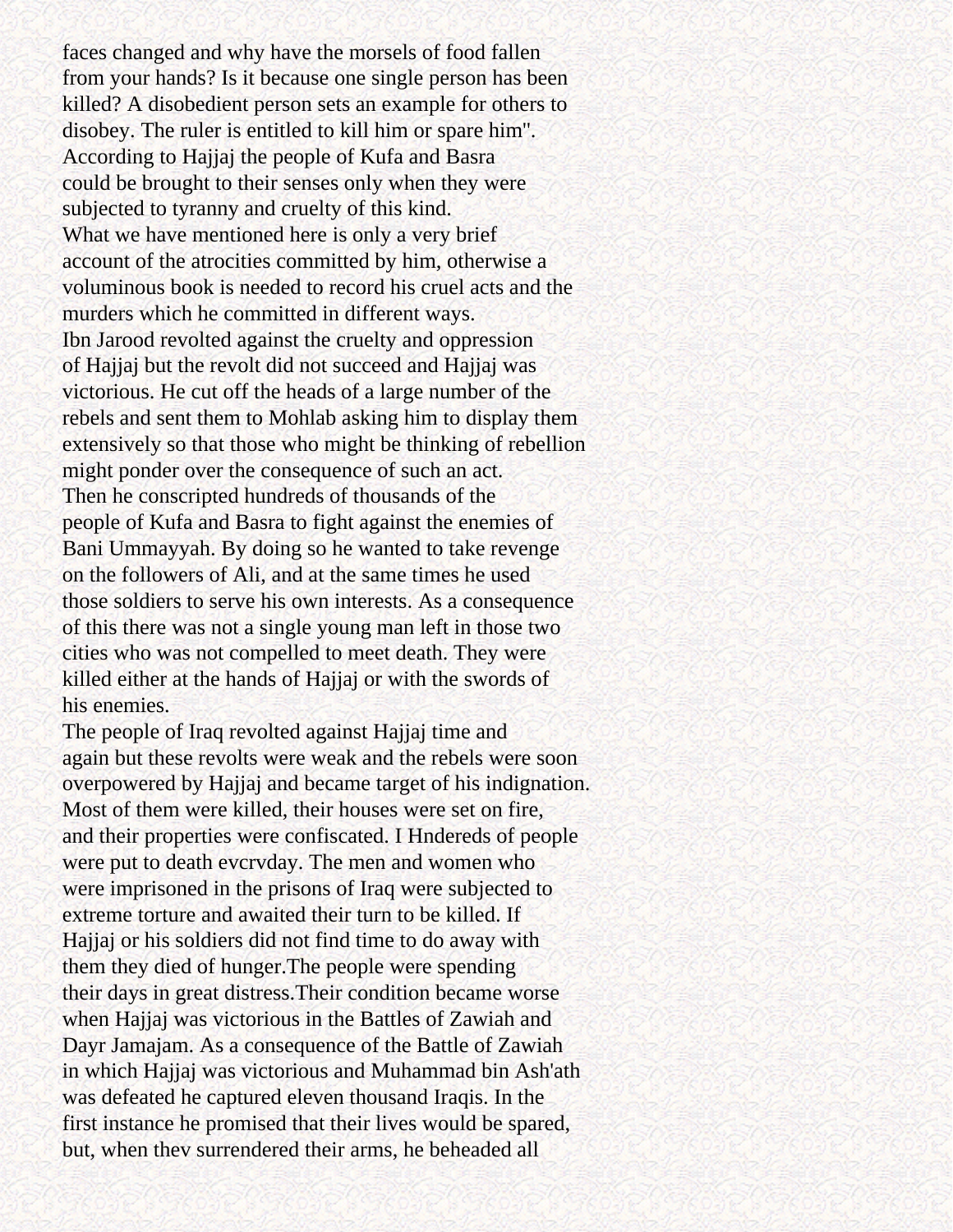faces changed and why have the morsels of food fallen from your hands? Is it because one single person has been killed? A disobedient person sets an example for others to disobey. The ruler is entitled to kill him or spare him''. According to Hajjaj the people of Kufa and Basra could be brought to their senses only when they were subjected to tyranny and cruelty of this kind. What we have mentioned here is only a very brief account of the atrocities committed by him, otherwise a voluminous book is needed to record his cruel acts and the murders which he committed in different ways. Ibn Jarood revolted against the cruelty and oppression of Hajjaj but the revolt did not succeed and Hajjaj was victorious. He cut off the heads of a large number of the rebels and sent them to Mohlab asking him to display them extensively so that those who might be thinking of rebellion might ponder over the consequence of such an act. Then he conscripted hundreds of thousands of the people of Kufa and Basra to fight against the enemies of Bani Ummayyah. By doing so he wanted to take revenge on the followers of Ali, and at the same times he used those soldiers to serve his own interests. As a consequence of this there was not a single young man left in those two cities who was not compelled to meet death. They were killed either at the hands of Hajjaj or with the swords of his enemies.

The people of Iraq revolted against Hajjaj time and again but these revolts were weak and the rebels were soon overpowered by Hajjaj and became target of his indignation. Most of them were killed, their houses were set on fire, and their properties were confiscated. I Hndereds of people were put to death evcrvday. The men and women who were imprisoned in the prisons of Iraq were subjected to extreme torture and awaited their turn to be killed. If Hajjaj or his soldiers did not find time to do away with them they died of hunger.The people were spending their days in great distress.Their condition became worse when Hajjaj was victorious in the Battles of Zawiah and Dayr Jamajam. As a consequence of the Battle of Zawiah in which Hajjaj was victorious and Muhammad bin Ash'ath was defeated he captured eleven thousand Iraqis. In the first instance he promised that their lives would be spared, but, when thev surrendered their arms, he beheaded all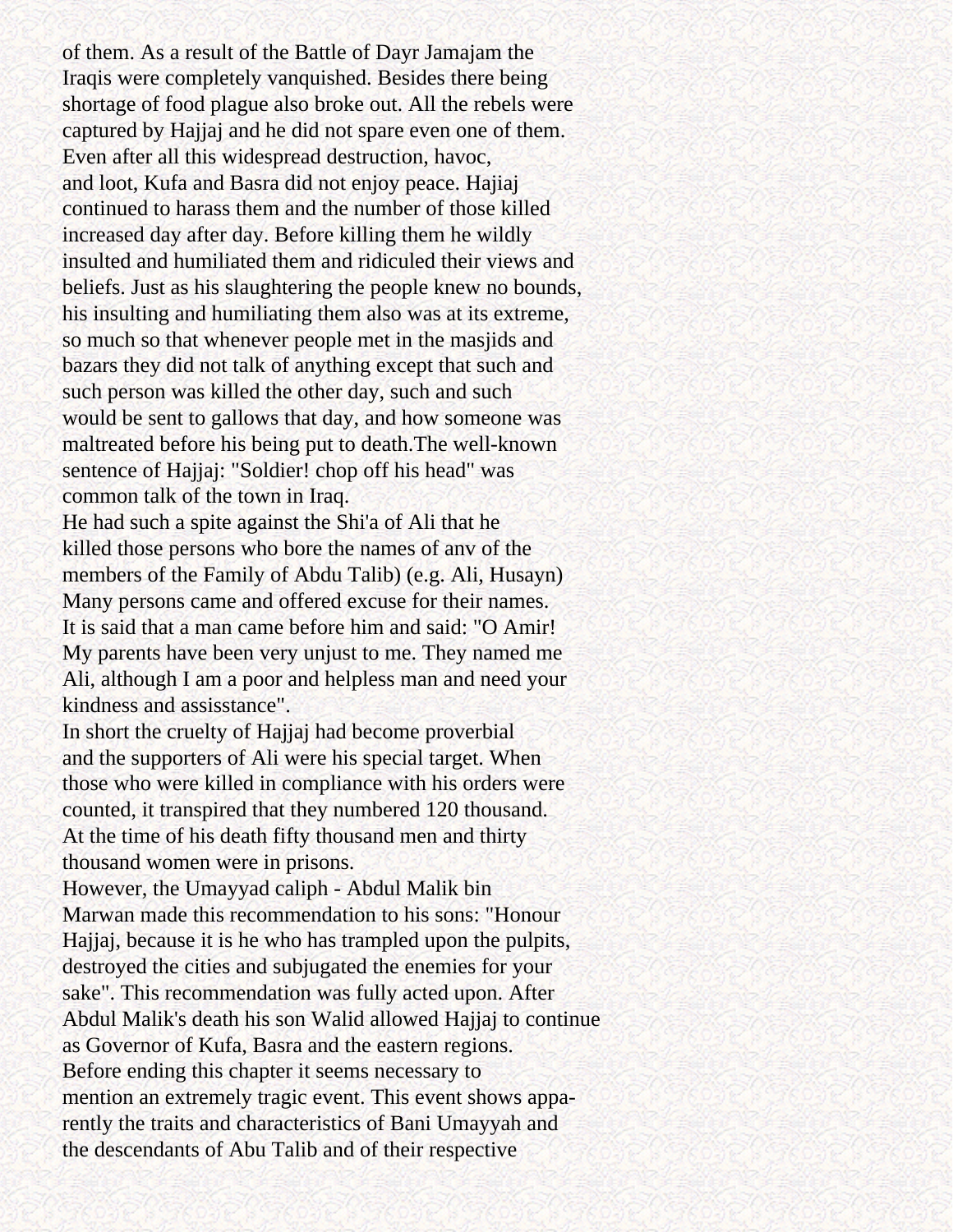of them. As a result of the Battle of Dayr Jamajam the Iraqis were completely vanquished. Besides there being shortage of food plague also broke out. All the rebels were captured by Hajjaj and he did not spare even one of them. Even after all this widespread destruction, havoc, and loot, Kufa and Basra did not enjoy peace. Hajiaj continued to harass them and the number of those killed increased day after day. Before killing them he wildly insulted and humiliated them and ridiculed their views and beliefs. Just as his slaughtering the people knew no bounds, his insulting and humiliating them also was at its extreme, so much so that whenever people met in the masjids and bazars they did not talk of anything except that such and such person was killed the other day, such and such would be sent to gallows that day, and how someone was maltreated before his being put to death.The well-known sentence of Hajjaj: "Soldier! chop off his head" was common talk of the town in Iraq.

He had such a spite against the Shi'a of Ali that he killed those persons who bore the names of anv of the members of the Family of Abdu Talib) (e.g. Ali, Husayn) Many persons came and offered excuse for their names. It is said that a man came before him and said: "O Amir! My parents have been very unjust to me. They named me Ali, although I am a poor and helpless man and need your kindness and assisstance".

In short the cruelty of Hajjaj had become proverbial and the supporters of Ali were his special target. When those who were killed in compliance with his orders were counted, it transpired that they numbered 120 thousand. At the time of his death fifty thousand men and thirty thousand women were in prisons.

However, the Umayyad caliph - Abdul Malik bin Marwan made this recommendation to his sons: "Honour Hajjaj, because it is he who has trampled upon the pulpits, destroyed the cities and subjugated the enemies for your sake". This recommendation was fully acted upon. After Abdul Malik's death his son Walid allowed Hajjaj to continue as Governor of Kufa, Basra and the eastern regions. Before ending this chapter it seems necessary to mention an extremely tragic event. This event shows apparently the traits and characteristics of Bani Umayyah and the descendants of Abu Talib and of their respective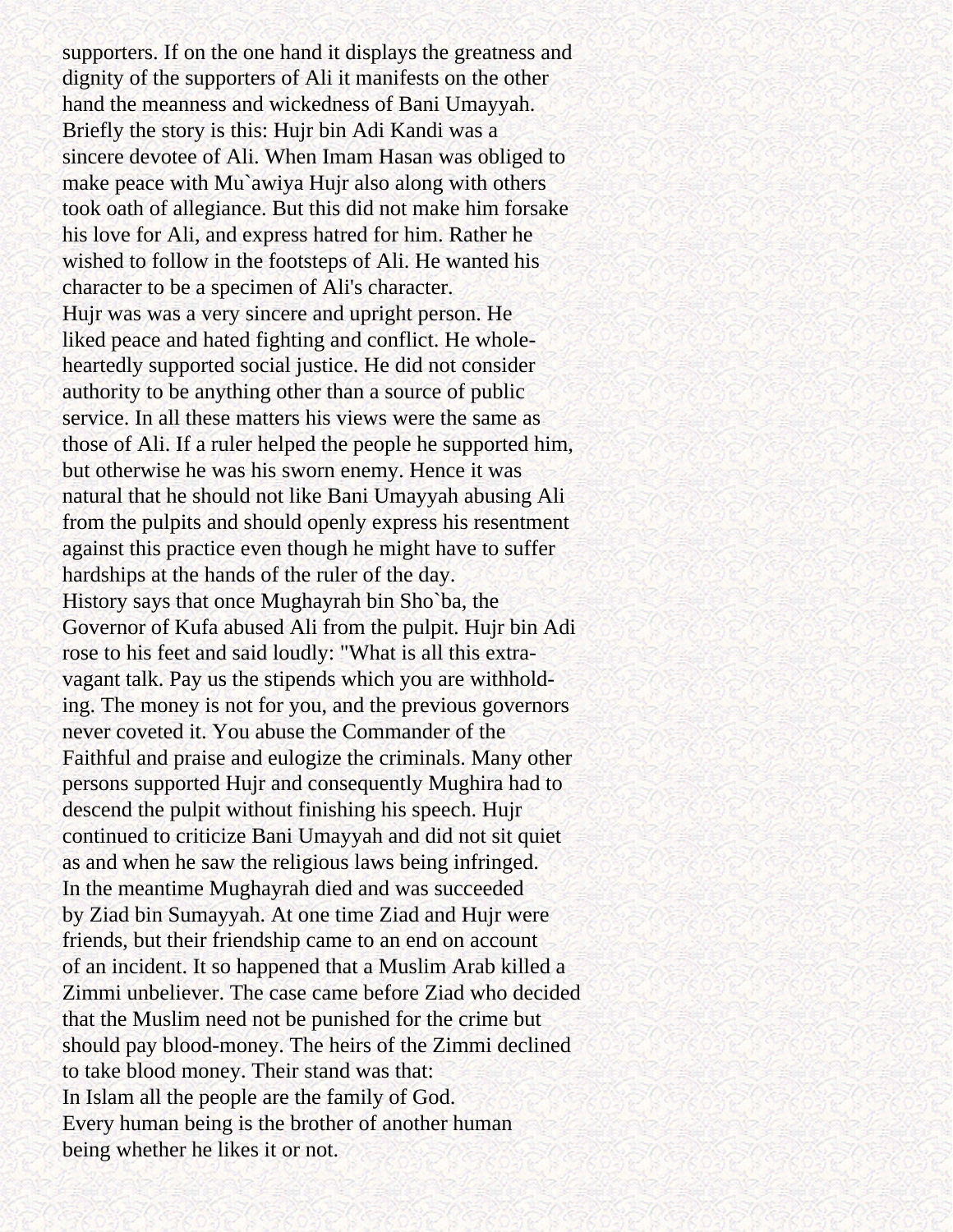supporters. If on the one hand it displays the greatness and dignity of the supporters of Ali it manifests on the other hand the meanness and wickedness of Bani Umayyah. Briefly the story is this: Hujr bin Adi Kandi was a sincere devotee of Ali. When Imam Hasan was obliged to make peace with Mu`awiya Hujr also along with others took oath of allegiance. But this did not make him forsake his love for Ali, and express hatred for him. Rather he wished to follow in the footsteps of Ali. He wanted his character to be a specimen of Ali's character. Hujr was was a very sincere and upright person. He liked peace and hated fighting and conflict. He wholeheartedly supported social justice. He did not consider authority to be anything other than a source of public service. In all these matters his views were the same as those of Ali. If a ruler helped the people he supported him, but otherwise he was his sworn enemy. Hence it was natural that he should not like Bani Umayyah abusing Ali from the pulpits and should openly express his resentment against this practice even though he might have to suffer hardships at the hands of the ruler of the day. History says that once Mughayrah bin Sho`ba, the Governor of Kufa abused Ali from the pulpit. Hujr bin Adi rose to his feet and said loudly: "What is all this extravagant talk. Pay us the stipends which you are withholding. The money is not for you, and the previous governors never coveted it. You abuse the Commander of the Faithful and praise and eulogize the criminals. Many other persons supported Hujr and consequently Mughira had to descend the pulpit without finishing his speech. Hujr continued to criticize Bani Umayyah and did not sit quiet as and when he saw the religious laws being infringed. In the meantime Mughayrah died and was succeeded by Ziad bin Sumayyah. At one time Ziad and Hujr were friends, but their friendship came to an end on account of an incident. It so happened that a Muslim Arab killed a Zimmi unbeliever. The case came before Ziad who decided that the Muslim need not be punished for the crime but should pay blood-money. The heirs of the Zimmi declined to take blood money. Their stand was that: In Islam all the people are the family of God. Every human being is the brother of another human being whether he likes it or not.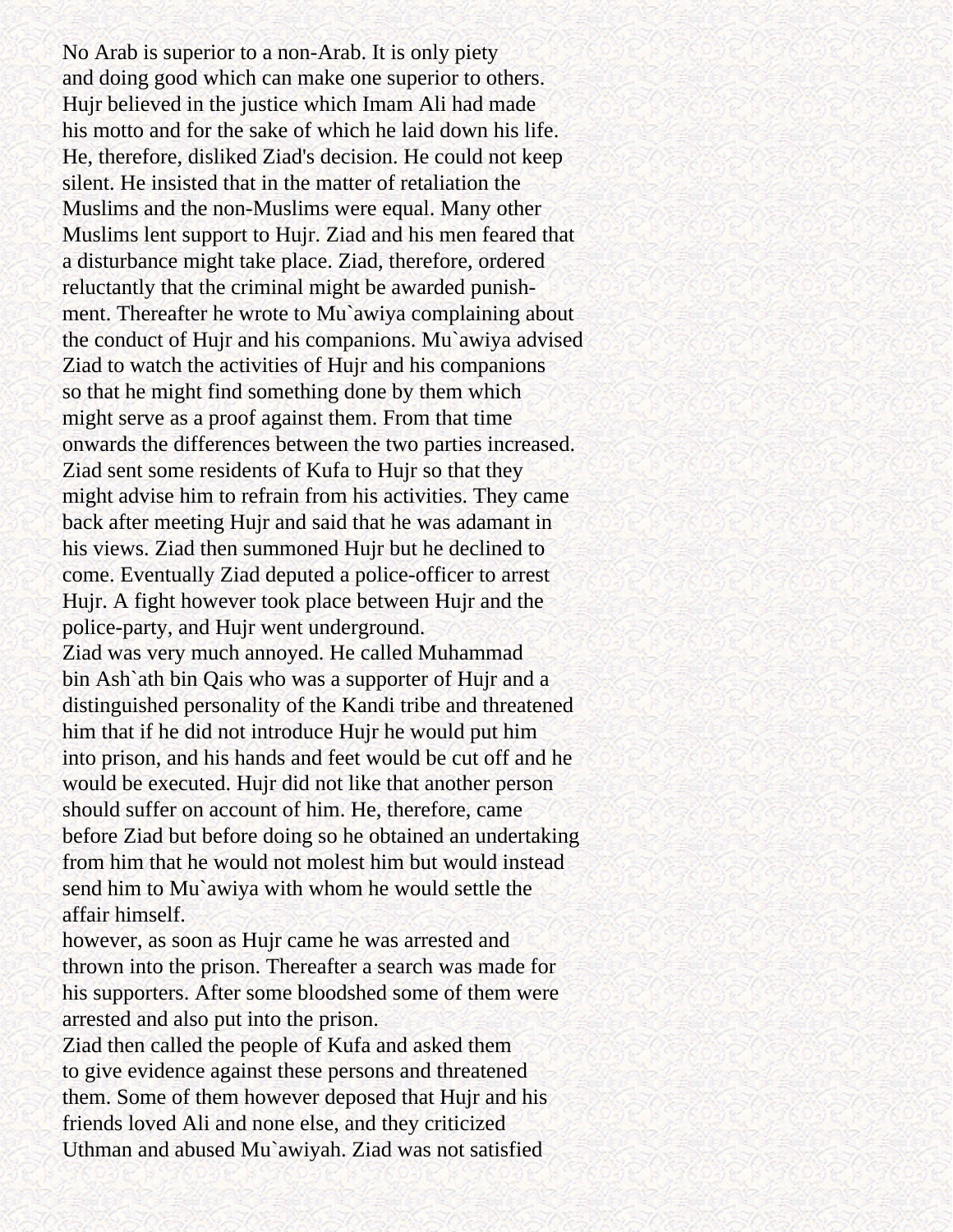No Arab is superior to a non-Arab. It is only piety and doing good which can make one superior to others. Hujr believed in the justice which Imam Ali had made his motto and for the sake of which he laid down his life. He, therefore, disliked Ziad's decision. He could not keep silent. He insisted that in the matter of retaliation the Muslims and the non-Muslims were equal. Many other Muslims lent support to Hujr. Ziad and his men feared that a disturbance might take place. Ziad, therefore, ordered reluctantly that the criminal might be awarded punishment. Thereafter he wrote to Mu`awiya complaining about the conduct of Hujr and his companions. Mu`awiya advised Ziad to watch the activities of Hujr and his companions so that he might find something done by them which might serve as a proof against them. From that time onwards the differences between the two parties increased. Ziad sent some residents of Kufa to Hujr so that they might advise him to refrain from his activities. They came back after meeting Hujr and said that he was adamant in his views. Ziad then summoned Hujr but he declined to come. Eventually Ziad deputed a police-officer to arrest Hujr. A fight however took place between Hujr and the police-party, and Hujr went underground. Ziad was very much annoyed. He called Muhammad bin Ash`ath bin Qais who was a supporter of Hujr and a distinguished personality of the Kandi tribe and threatened him that if he did not introduce Hujr he would put him into prison, and his hands and feet would be cut off and he would be executed. Hujr did not like that another person should suffer on account of him. He, therefore, came before Ziad but before doing so he obtained an undertaking from him that he would not molest him but would instead send him to Mu`awiya with whom he would settle the affair himself.

however, as soon as Hujr came he was arrested and thrown into the prison. Thereafter a search was made for his supporters. After some bloodshed some of them were arrested and also put into the prison.

Ziad then called the people of Kufa and asked them to give evidence against these persons and threatened them. Some of them however deposed that Hujr and his friends loved Ali and none else, and they criticized Uthman and abused Mu`awiyah. Ziad was not satisfied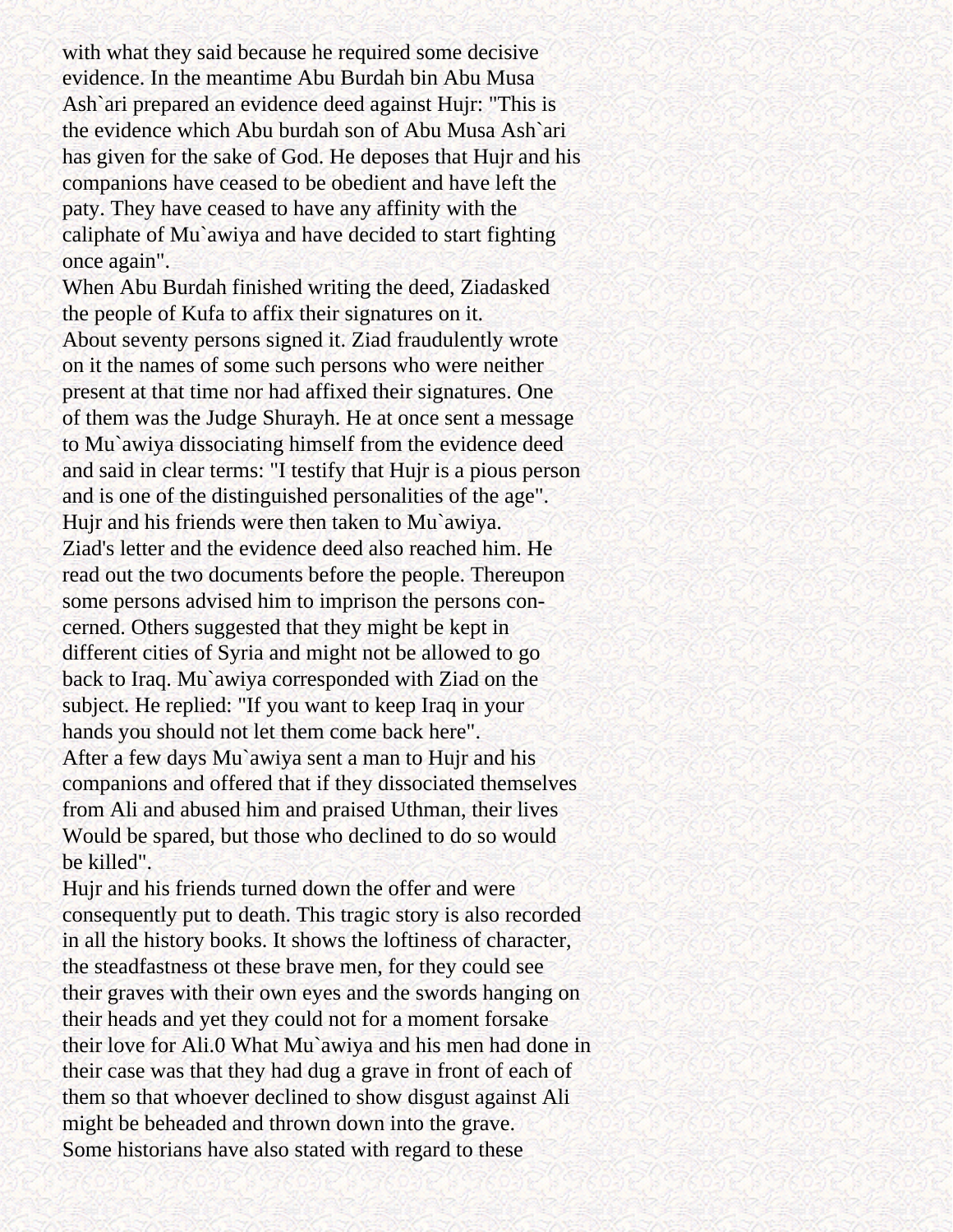with what they said because he required some decisive evidence. In the meantime Abu Burdah bin Abu Musa Ash`ari prepared an evidence deed against Hujr: "This is the evidence which Abu burdah son of Abu Musa Ash`ari has given for the sake of God. He deposes that Hujr and his companions have ceased to be obedient and have left the paty. They have ceased to have any affinity with the caliphate of Mu`awiya and have decided to start fighting once again".

When Abu Burdah finished writing the deed, Ziadasked the people of Kufa to affix their signatures on it. About seventy persons signed it. Ziad fraudulently wrote on it the names of some such persons who were neither present at that time nor had affixed their signatures. One of them was the Judge Shurayh. He at once sent a message to Mu`awiya dissociating himself from the evidence deed and said in clear terms: "I testify that Hujr is a pious person and is one of the distinguished personalities of the age". Hujr and his friends were then taken to Mu`awiya. Ziad's letter and the evidence deed also reached him. He read out the two documents before the people. Thereupon some persons advised him to imprison the persons concerned. Others suggested that they might be kept in different cities of Syria and might not be allowed to go back to Iraq. Mu`awiya corresponded with Ziad on the subject. He replied: "If you want to keep Iraq in your hands you should not let them come back here". After a few days Mu`awiya sent a man to Hujr and his companions and offered that if they dissociated themselves from Ali and abused him and praised Uthman, their lives Would be spared, but those who declined to do so would be killed".

Hujr and his friends turned down the offer and were consequently put to death. This tragic story is also recorded in all the history books. It shows the loftiness of character, the steadfastness ot these brave men, for they could see their graves with their own eyes and the swords hanging on their heads and yet they could not for a moment forsake their love for Ali.0 What Mu`awiya and his men had done in their case was that they had dug a grave in front of each of them so that whoever declined to show disgust against Ali might be beheaded and thrown down into the grave. Some historians have also stated with regard to these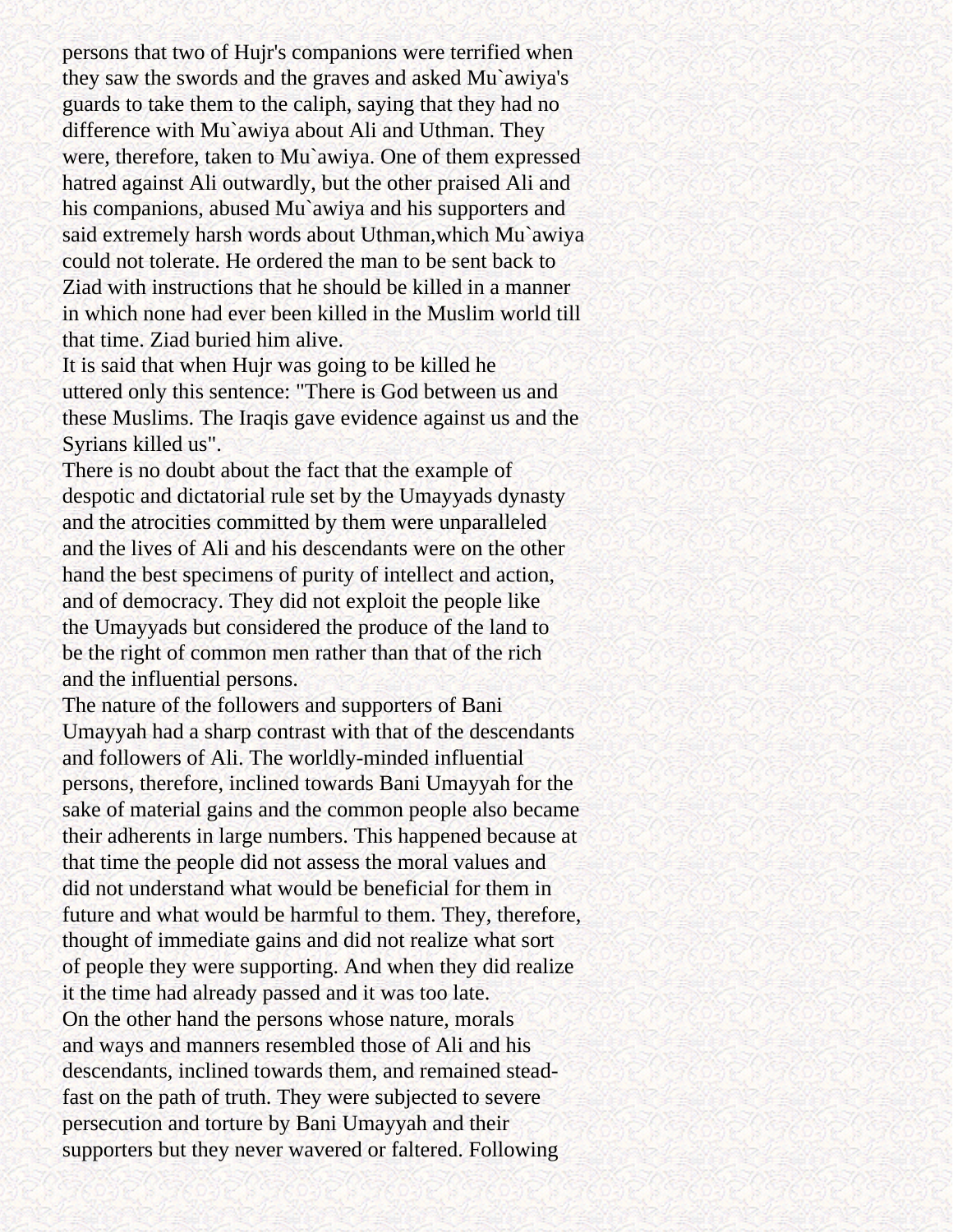persons that two of Hujr's companions were terrified when they saw the swords and the graves and asked Mu`awiya's guards to take them to the caliph, saying that they had no difference with Mu`awiya about Ali and Uthman. They were, therefore, taken to Mu`awiya. One of them expressed hatred against Ali outwardly, but the other praised Ali and his companions, abused Mu`awiya and his supporters and said extremely harsh words about Uthman,which Mu`awiya could not tolerate. He ordered the man to be sent back to Ziad with instructions that he should be killed in a manner in which none had ever been killed in the Muslim world till that time. Ziad buried him alive.

It is said that when Hujr was going to be killed he uttered only this sentence: "There is God between us and these Muslims. The Iraqis gave evidence against us and the Syrians killed us".

There is no doubt about the fact that the example of despotic and dictatorial rule set by the Umayyads dynasty and the atrocities committed by them were unparalleled and the lives of Ali and his descendants were on the other hand the best specimens of purity of intellect and action, and of democracy. They did not exploit the people like the Umayyads but considered the produce of the land to be the right of common men rather than that of the rich and the influential persons.

The nature of the followers and supporters of Bani Umayyah had a sharp contrast with that of the descendants and followers of Ali. The worldly-minded influential persons, therefore, inclined towards Bani Umayyah for the sake of material gains and the common people also became their adherents in large numbers. This happened because at that time the people did not assess the moral values and did not understand what would be beneficial for them in future and what would be harmful to them. They, therefore, thought of immediate gains and did not realize what sort of people they were supporting. And when they did realize it the time had already passed and it was too late. On the other hand the persons whose nature, morals and ways and manners resembled those of Ali and his descendants, inclined towards them, and remained steadfast on the path of truth. They were subjected to severe persecution and torture by Bani Umayyah and their supporters but they never wavered or faltered. Following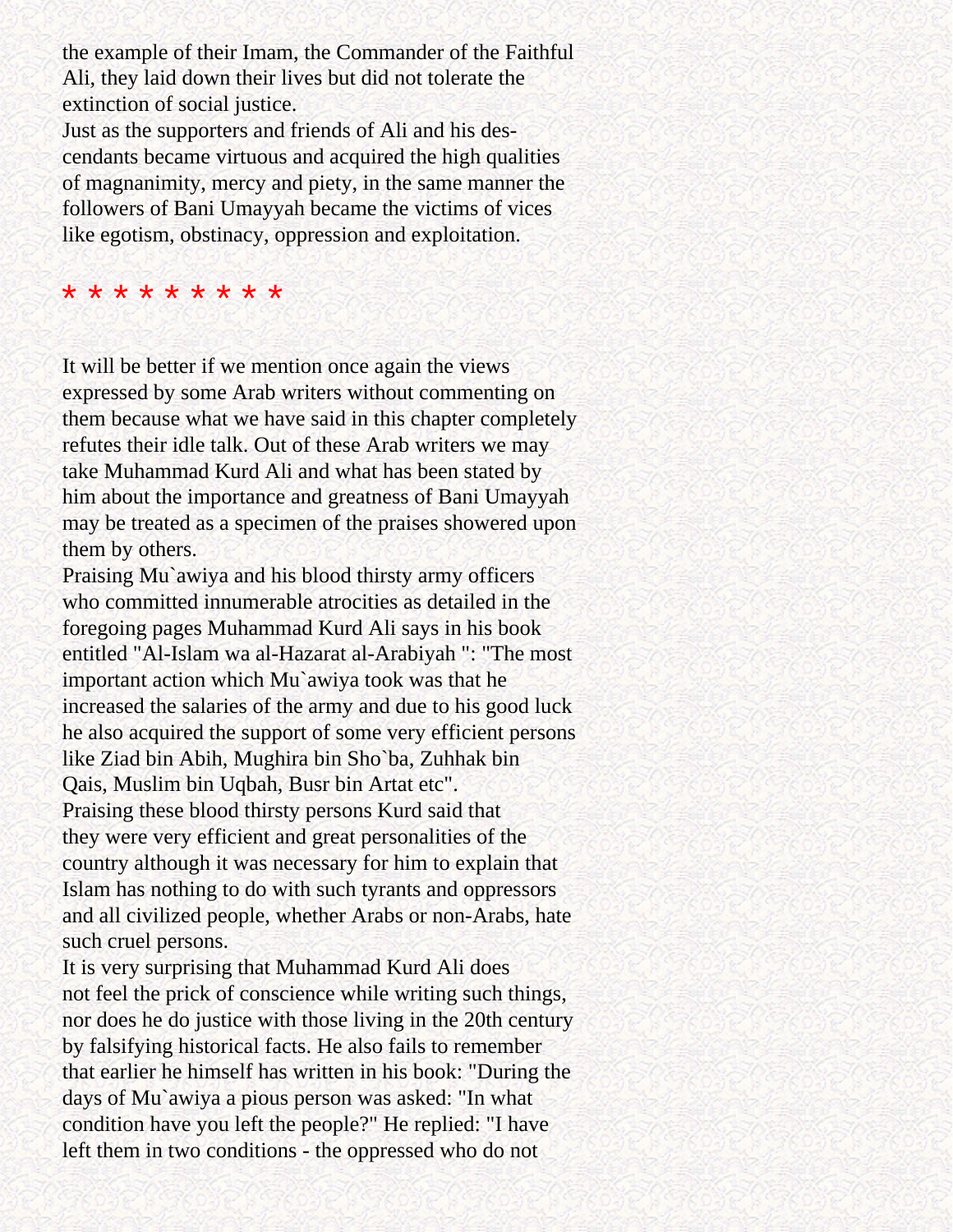the example of their Imam, the Commander of the Faithful Ali, they laid down their lives but did not tolerate the extinction of social justice.

Just as the supporters and friends of Ali and his descendants became virtuous and acquired the high qualities of magnanimity, mercy and piety, in the same manner the followers of Bani Umayyah became the victims of vices like egotism, obstinacy, oppression and exploitation.

\* \* \* \* \* \* \* \*

It will be better if we mention once again the views expressed by some Arab writers without commenting on them because what we have said in this chapter completely refutes their idle talk. Out of these Arab writers we may take Muhammad Kurd Ali and what has been stated by him about the importance and greatness of Bani Umayyah may be treated as a specimen of the praises showered upon them by others.

Praising Mu`awiya and his blood thirsty army officers who committed innumerable atrocities as detailed in the foregoing pages Muhammad Kurd Ali says in his book entitled "Al-Islam wa al-Hazarat al-Arabiyah ": "The most important action which Mu`awiya took was that he increased the salaries of the army and due to his good luck he also acquired the support of some very efficient persons like Ziad bin Abih, Mughira bin Sho`ba, Zuhhak bin Qais, Muslim bin Uqbah, Busr bin Artat etc". Praising these blood thirsty persons Kurd said that they were very efficient and great personalities of the country although it was necessary for him to explain that Islam has nothing to do with such tyrants and oppressors and all civilized people, whether Arabs or non-Arabs, hate such cruel persons.

It is very surprising that Muhammad Kurd Ali does not feel the prick of conscience while writing such things, nor does he do justice with those living in the 20th century by falsifying historical facts. He also fails to remember that earlier he himself has written in his book: "During the days of Mu`awiya a pious person was asked: "In what condition have you left the people?" He replied: "I have left them in two conditions - the oppressed who do not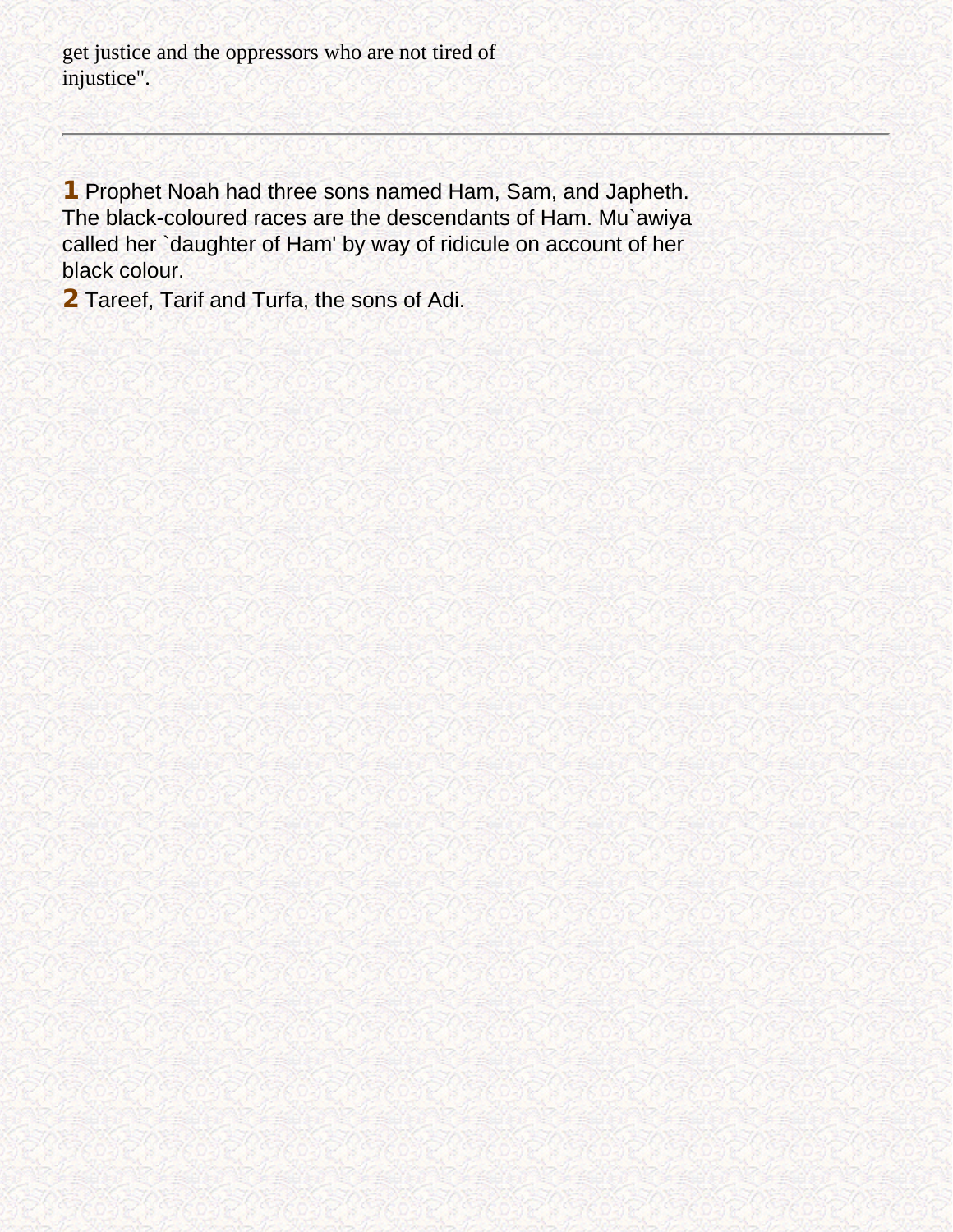1 Prophet Noah had three sons named Ham, Sam, and Japheth. The black-coloured races are the descendants of Ham. Mu`awiya called her `daughter of Ham' by way of ridicule on account of her black colour.

2 Tareef, Tarif and Turfa, the sons of Adi.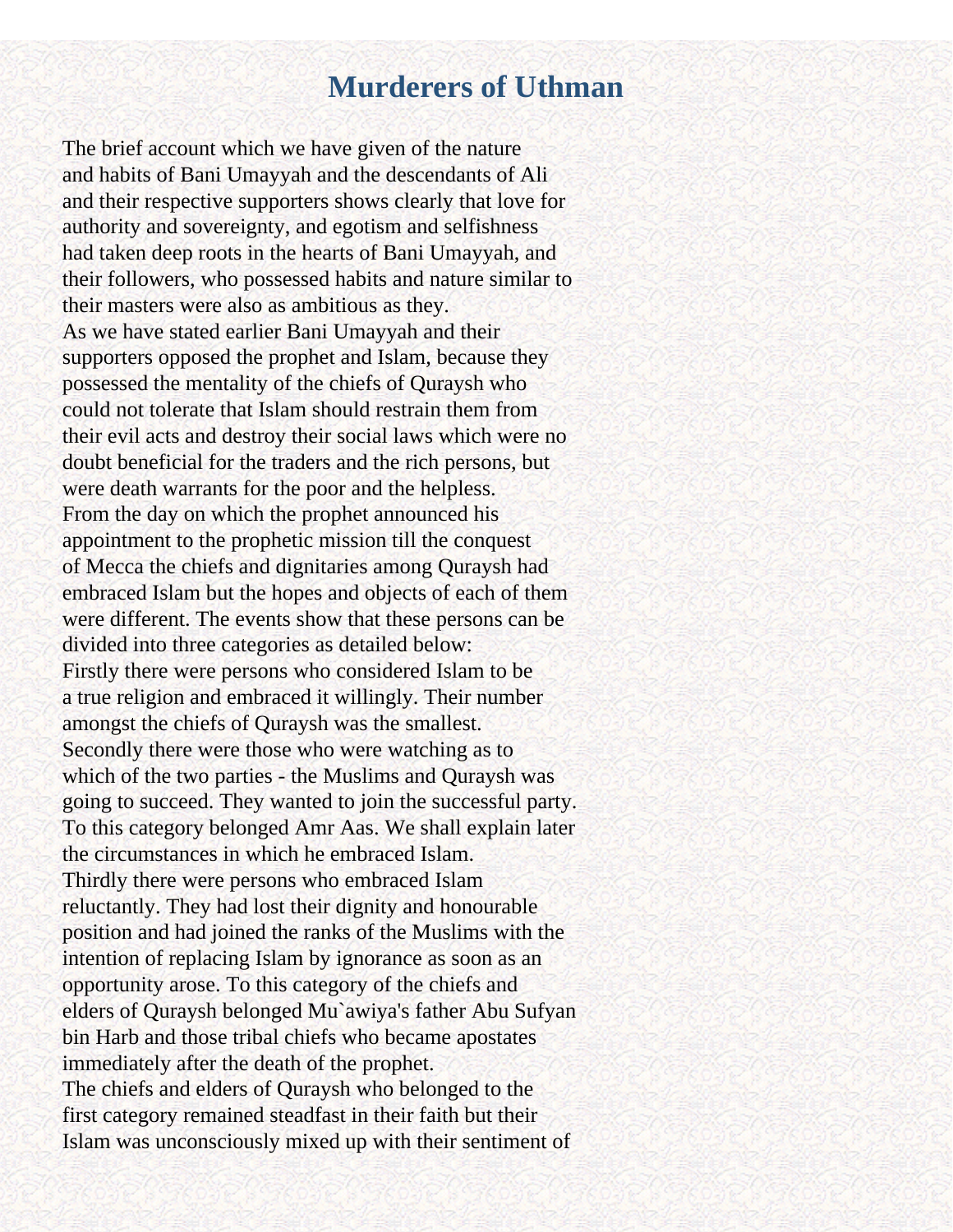## **Murderers of Uthman**

The brief account which we have given of the nature and habits of Bani Umayyah and the descendants of Ali and their respective supporters shows clearly that love for authority and sovereignty, and egotism and selfishness had taken deep roots in the hearts of Bani Umayyah, and their followers, who possessed habits and nature similar to their masters were also as ambitious as they. As we have stated earlier Bani Umayyah and their supporters opposed the prophet and Islam, because they possessed the mentality of the chiefs of Quraysh who could not tolerate that Islam should restrain them from their evil acts and destroy their social laws which were no doubt beneficial for the traders and the rich persons, but were death warrants for the poor and the helpless. From the day on which the prophet announced his appointment to the prophetic mission till the conquest of Mecca the chiefs and dignitaries among Quraysh had embraced Islam but the hopes and objects of each of them were different. The events show that these persons can be divided into three categories as detailed below: Firstly there were persons who considered Islam to be a true religion and embraced it willingly. Their number amongst the chiefs of Quraysh was the smallest. Secondly there were those who were watching as to which of the two parties - the Muslims and Quraysh was going to succeed. They wanted to join the successful party. To this category belonged Amr Aas. We shall explain later the circumstances in which he embraced Islam. Thirdly there were persons who embraced Islam reluctantly. They had lost their dignity and honourable position and had joined the ranks of the Muslims with the intention of replacing Islam by ignorance as soon as an opportunity arose. To this category of the chiefs and elders of Quraysh belonged Mu`awiya's father Abu Sufyan bin Harb and those tribal chiefs who became apostates immediately after the death of the prophet. The chiefs and elders of Quraysh who belonged to the first category remained steadfast in their faith but their Islam was unconsciously mixed up with their sentiment of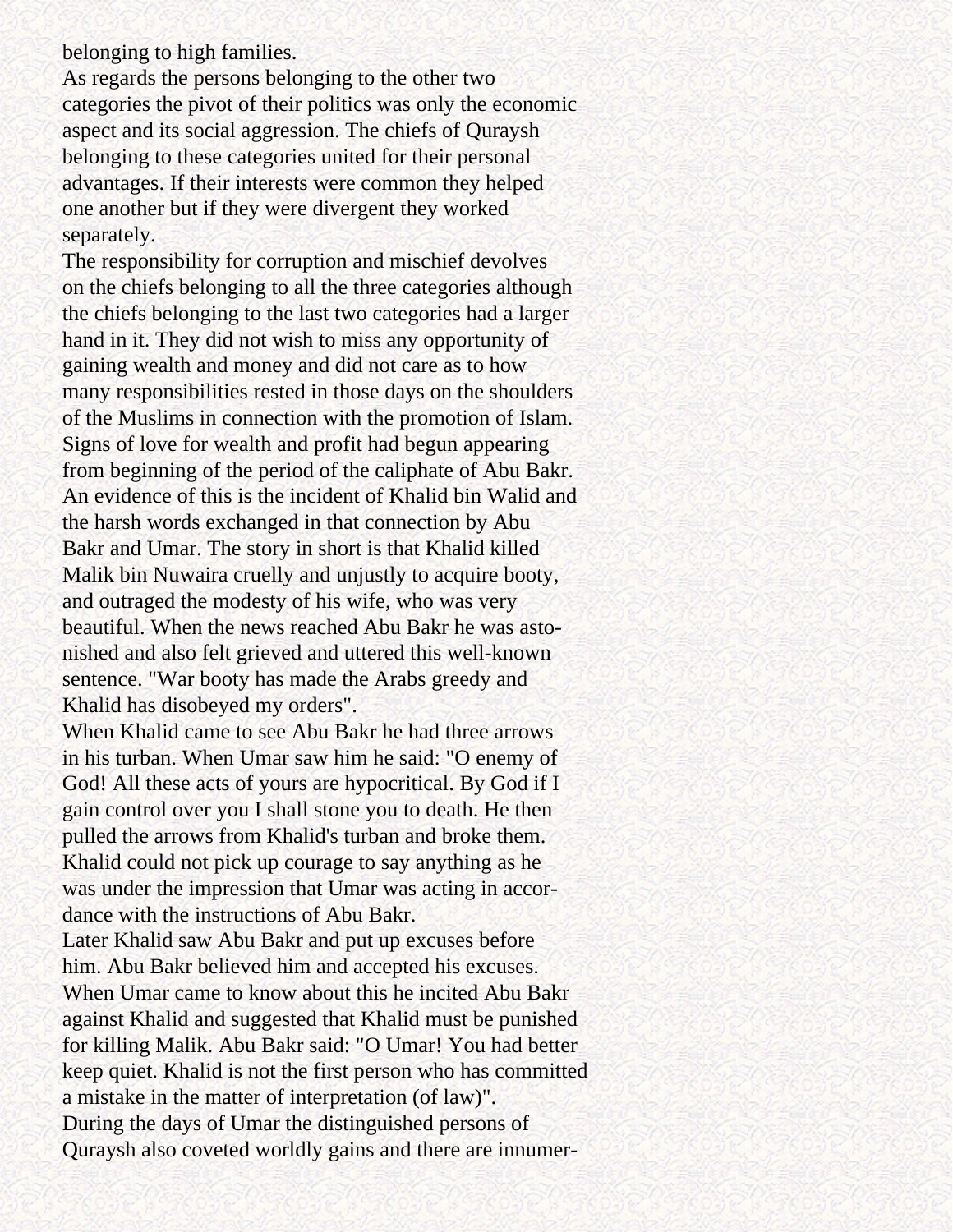belonging to high families.

As regards the persons belonging to the other two categories the pivot of their politics was only the economic aspect and its social aggression. The chiefs of Quraysh belonging to these categories united for their personal advantages. If their interests were common they helped one another but if they were divergent they worked separately.

The responsibility for corruption and mischief devolves on the chiefs belonging to all the three categories although the chiefs belonging to the last two categories had a larger hand in it. They did not wish to miss any opportunity of gaining wealth and money and did not care as to how many responsibilities rested in those days on the shoulders of the Muslims in connection with the promotion of Islam. Signs of love for wealth and profit had begun appearing from beginning of the period of the caliphate of Abu Bakr. An evidence of this is the incident of Khalid bin Walid and the harsh words exchanged in that connection by Abu Bakr and Umar. The story in short is that Khalid killed Malik bin Nuwaira cruelly and unjustly to acquire booty, and outraged the modesty of his wife, who was very beautiful. When the news reached Abu Bakr he was astonished and also felt grieved and uttered this well-known sentence. "War booty has made the Arabs greedy and Khalid has disobeyed my orders".

When Khalid came to see Abu Bakr he had three arrows in his turban. When Umar saw him he said: "O enemy of God! All these acts of yours are hypocritical. By God if I gain control over you I shall stone you to death. He then pulled the arrows from Khalid's turban and broke them. Khalid could not pick up courage to say anything as he was under the impression that Umar was acting in accordance with the instructions of Abu Bakr.

Later Khalid saw Abu Bakr and put up excuses before him. Abu Bakr believed him and accepted his excuses. When Umar came to know about this he incited Abu Bakr against Khalid and suggested that Khalid must be punished for killing Malik. Abu Bakr said: "O Umar! You had better keep quiet. Khalid is not the first person who has committed a mistake in the matter of interpretation (of law)". During the days of Umar the distinguished persons of Quraysh also coveted worldly gains and there are innumer-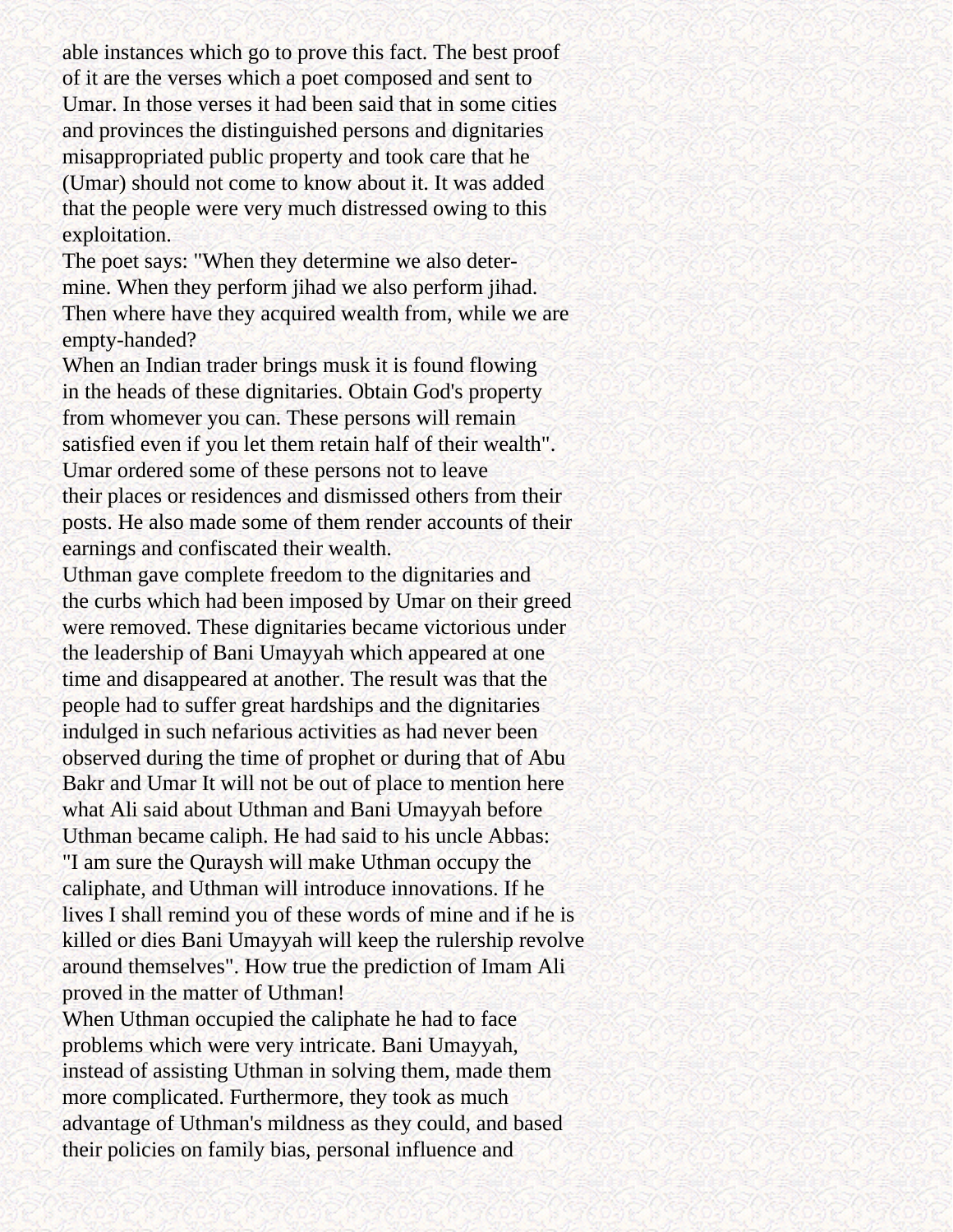able instances which go to prove this fact. The best proof of it are the verses which a poet composed and sent to Umar. In those verses it had been said that in some cities and provinces the distinguished persons and dignitaries misappropriated public property and took care that he (Umar) should not come to know about it. It was added that the people were very much distressed owing to this exploitation.

The poet says: "When they determine we also determine. When they perform jihad we also perform jihad. Then where have they acquired wealth from, while we are empty-handed?

When an Indian trader brings musk it is found flowing in the heads of these dignitaries. Obtain God's property from whomever you can. These persons will remain satisfied even if you let them retain half of their wealth". Umar ordered some of these persons not to leave their places or residences and dismissed others from their posts. He also made some of them render accounts of their earnings and confiscated their wealth.

Uthman gave complete freedom to the dignitaries and the curbs which had been imposed by Umar on their greed were removed. These dignitaries became victorious under the leadership of Bani Umayyah which appeared at one time and disappeared at another. The result was that the people had to suffer great hardships and the dignitaries indulged in such nefarious activities as had never been observed during the time of prophet or during that of Abu Bakr and Umar It will not be out of place to mention here what Ali said about Uthman and Bani Umayyah before Uthman became caliph. He had said to his uncle Abbas: "I am sure the Quraysh will make Uthman occupy the caliphate, and Uthman will introduce innovations. If he lives I shall remind you of these words of mine and if he is killed or dies Bani Umayyah will keep the rulership revolve around themselves". How true the prediction of Imam Ali proved in the matter of Uthman!

When Uthman occupied the caliphate he had to face problems which were very intricate. Bani Umayyah, instead of assisting Uthman in solving them, made them more complicated. Furthermore, they took as much advantage of Uthman's mildness as they could, and based their policies on family bias, personal influence and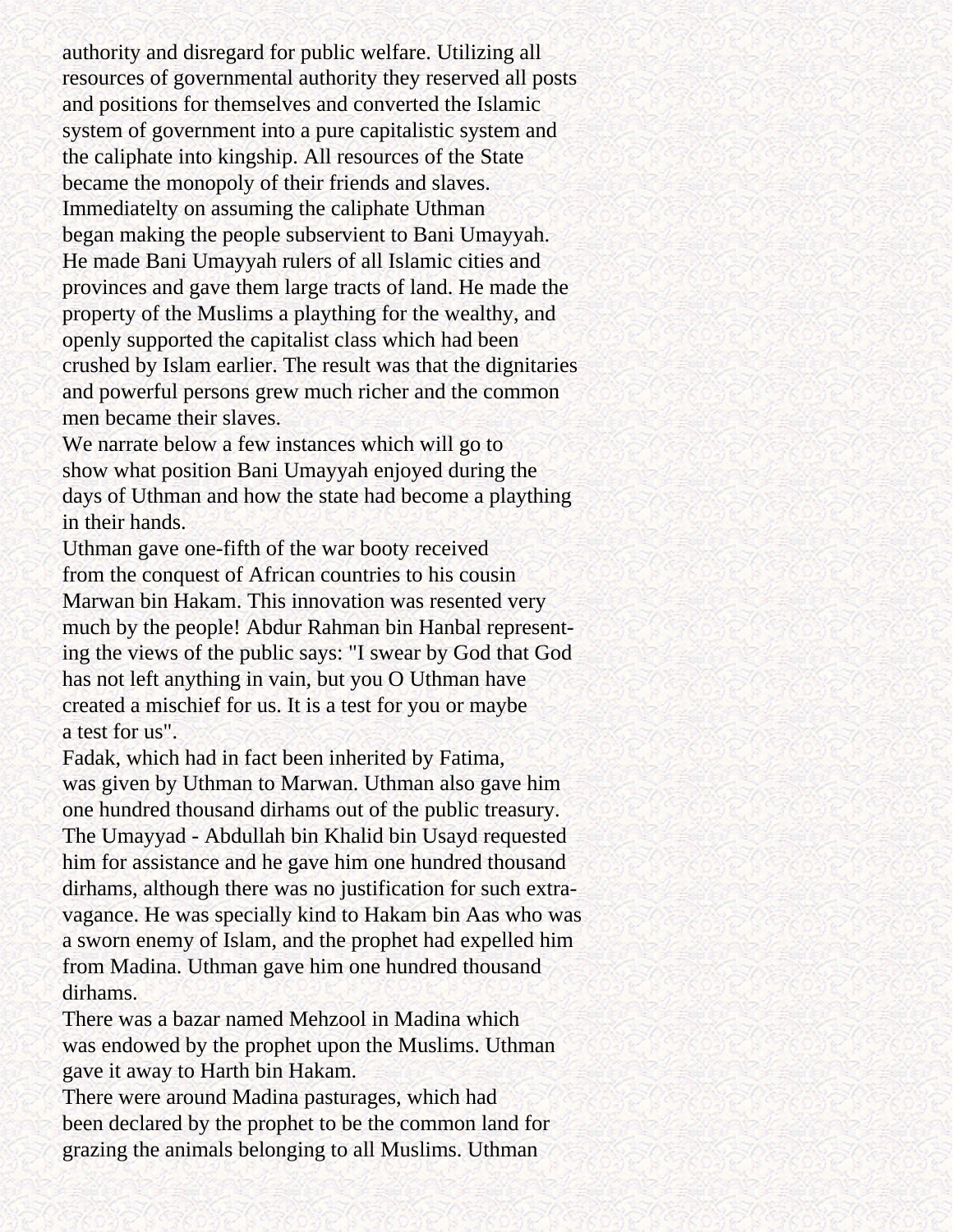authority and disregard for public welfare. Utilizing all resources of governmental authority they reserved all posts and positions for themselves and converted the Islamic system of government into a pure capitalistic system and the caliphate into kingship. All resources of the State became the monopoly of their friends and slaves. Immediatelty on assuming the caliphate Uthman began making the people subservient to Bani Umayyah. He made Bani Umayyah rulers of all Islamic cities and provinces and gave them large tracts of land. He made the property of the Muslims a plaything for the wealthy, and openly supported the capitalist class which had been crushed by Islam earlier. The result was that the dignitaries and powerful persons grew much richer and the common men became their slaves.

We narrate below a few instances which will go to show what position Bani Umayyah enjoyed during the days of Uthman and how the state had become a plaything in their hands.

Uthman gave one-fifth of the war booty received from the conquest of African countries to his cousin Marwan bin Hakam. This innovation was resented very much by the people! Abdur Rahman bin Hanbal representing the views of the public says: "I swear by God that God has not left anything in vain, but you O Uthman have created a mischief for us. It is a test for you or maybe a test for us".

Fadak, which had in fact been inherited by Fatima, was given by Uthman to Marwan. Uthman also gave him one hundred thousand dirhams out of the public treasury. The Umayyad - Abdullah bin Khalid bin Usayd requested him for assistance and he gave him one hundred thousand dirhams, although there was no justification for such extravagance. He was specially kind to Hakam bin Aas who was a sworn enemy of Islam, and the prophet had expelled him from Madina. Uthman gave him one hundred thousand dirhams.

There was a bazar named Mehzool in Madina which was endowed by the prophet upon the Muslims. Uthman gave it away to Harth bin Hakam.

There were around Madina pasturages, which had been declared by the prophet to be the common land for grazing the animals belonging to all Muslims. Uthman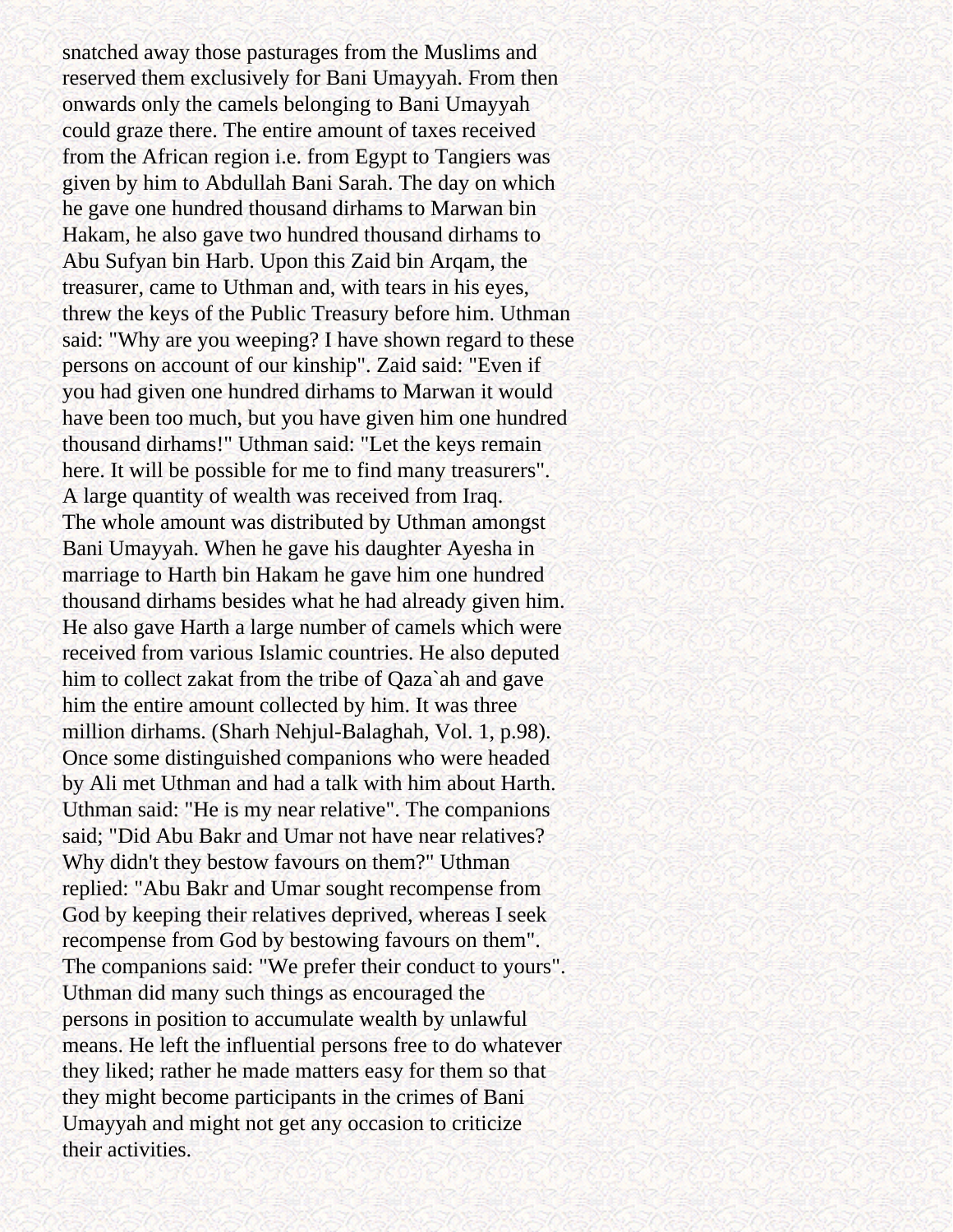snatched away those pasturages from the Muslims and reserved them exclusively for Bani Umayyah. From then onwards only the camels belonging to Bani Umayyah could graze there. The entire amount of taxes received from the African region i.e. from Egypt to Tangiers was given by him to Abdullah Bani Sarah. The day on which he gave one hundred thousand dirhams to Marwan bin Hakam, he also gave two hundred thousand dirhams to Abu Sufyan bin Harb. Upon this Zaid bin Arqam, the treasurer, came to Uthman and, with tears in his eyes, threw the keys of the Public Treasury before him. Uthman said: "Why are you weeping? I have shown regard to these persons on account of our kinship". Zaid said: "Even if you had given one hundred dirhams to Marwan it would have been too much, but you have given him one hundred thousand dirhams!" Uthman said: "Let the keys remain here. It will be possible for me to find many treasurers". A large quantity of wealth was received from Iraq. The whole amount was distributed by Uthman amongst Bani Umayyah. When he gave his daughter Ayesha in marriage to Harth bin Hakam he gave him one hundred thousand dirhams besides what he had already given him. He also gave Harth a large number of camels which were received from various Islamic countries. He also deputed him to collect zakat from the tribe of Qaza`ah and gave him the entire amount collected by him. It was three million dirhams. (Sharh Nehjul-Balaghah, Vol. 1, p.98). Once some distinguished companions who were headed by Ali met Uthman and had a talk with him about Harth. Uthman said: "He is my near relative". The companions said; "Did Abu Bakr and Umar not have near relatives? Why didn't they bestow favours on them?" Uthman replied: "Abu Bakr and Umar sought recompense from God by keeping their relatives deprived, whereas I seek recompense from God by bestowing favours on them". The companions said: "We prefer their conduct to yours". Uthman did many such things as encouraged the persons in position to accumulate wealth by unlawful means. He left the influential persons free to do whatever they liked; rather he made matters easy for them so that they might become participants in the crimes of Bani Umayyah and might not get any occasion to criticize their activities.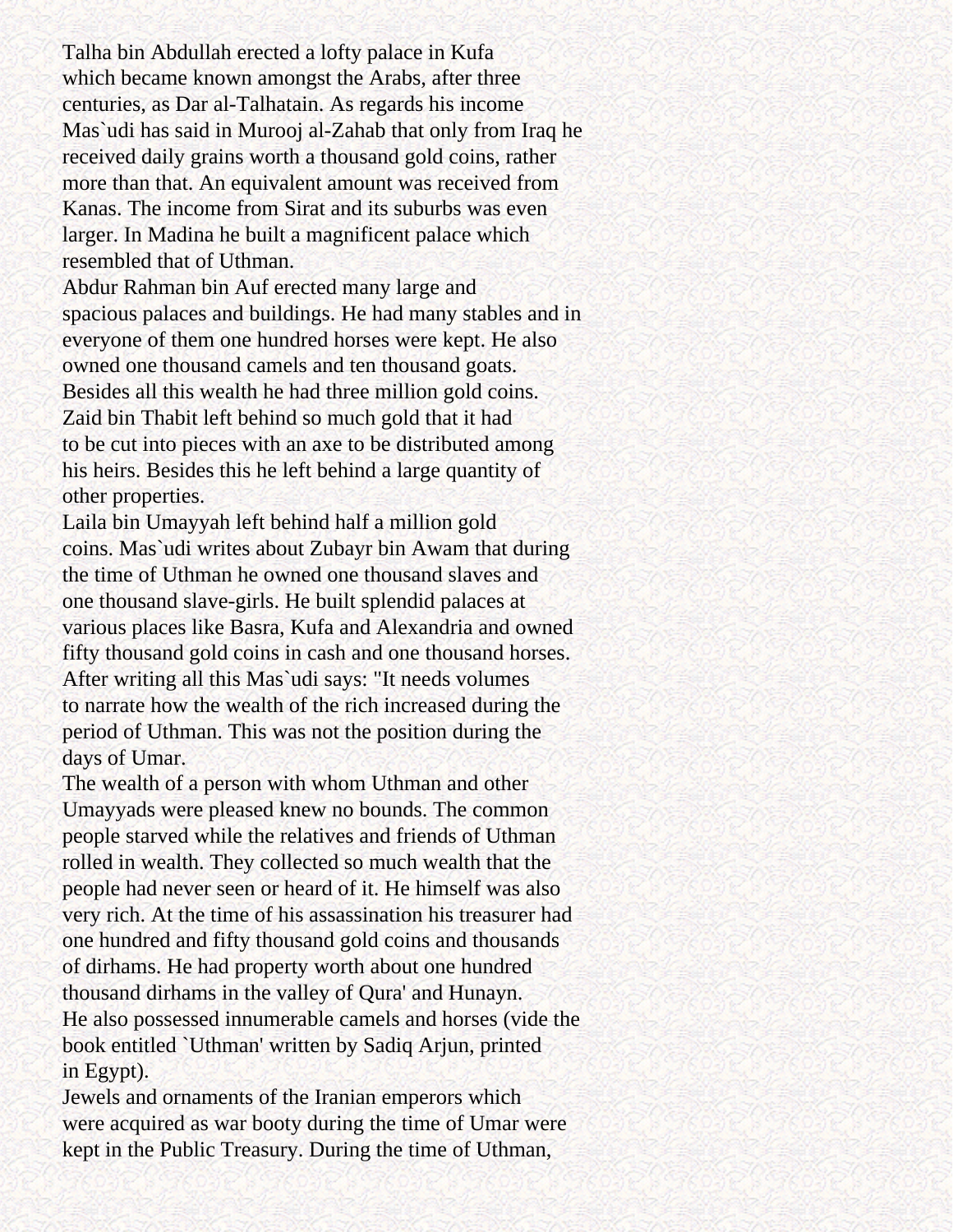Talha bin Abdullah erected a lofty palace in Kufa which became known amongst the Arabs, after three centuries, as Dar al-Talhatain. As regards his income Mas`udi has said in Murooj al-Zahab that only from Iraq he received daily grains worth a thousand gold coins, rather more than that. An equivalent amount was received from Kanas. The income from Sirat and its suburbs was even larger. In Madina he built a magnificent palace which resembled that of Uthman.

Abdur Rahman bin Auf erected many large and spacious palaces and buildings. He had many stables and in everyone of them one hundred horses were kept. He also owned one thousand camels and ten thousand goats. Besides all this wealth he had three million gold coins. Zaid bin Thabit left behind so much gold that it had to be cut into pieces with an axe to be distributed among his heirs. Besides this he left behind a large quantity of other properties.

Laila bin Umayyah left behind half a million gold coins. Mas`udi writes about Zubayr bin Awam that during the time of Uthman he owned one thousand slaves and one thousand slave-girls. He built splendid palaces at various places like Basra, Kufa and Alexandria and owned fifty thousand gold coins in cash and one thousand horses. After writing all this Mas`udi says: "It needs volumes to narrate how the wealth of the rich increased during the period of Uthman. This was not the position during the days of Umar.

The wealth of a person with whom Uthman and other Umayyads were pleased knew no bounds. The common people starved while the relatives and friends of Uthman rolled in wealth. They collected so much wealth that the people had never seen or heard of it. He himself was also very rich. At the time of his assassination his treasurer had one hundred and fifty thousand gold coins and thousands of dirhams. He had property worth about one hundred thousand dirhams in the valley of Qura' and Hunayn. He also possessed innumerable camels and horses (vide the book entitled `Uthman' written by Sadiq Arjun, printed in Egypt).

Jewels and ornaments of the Iranian emperors which were acquired as war booty during the time of Umar were kept in the Public Treasury. During the time of Uthman,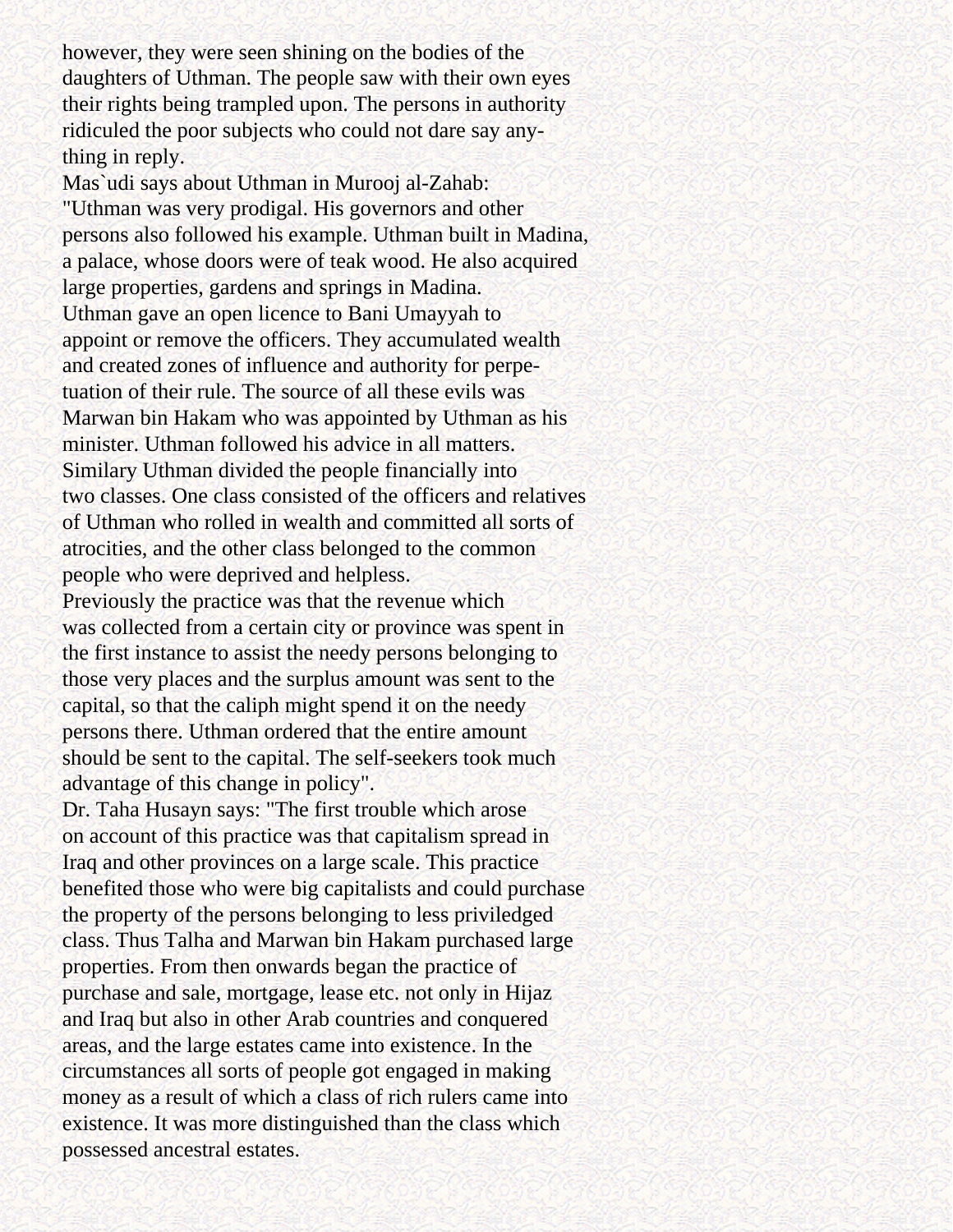however, they were seen shining on the bodies of the daughters of Uthman. The people saw with their own eyes their rights being trampled upon. The persons in authority ridiculed the poor subjects who could not dare say anything in reply.

Mas`udi says about Uthman in Murooj al-Zahab: "Uthman was very prodigal. His governors and other persons also followed his example. Uthman built in Madina, a palace, whose doors were of teak wood. He also acquired large properties, gardens and springs in Madina. Uthman gave an open licence to Bani Umayyah to appoint or remove the officers. They accumulated wealth and created zones of influence and authority for perpetuation of their rule. The source of all these evils was Marwan bin Hakam who was appointed by Uthman as his minister. Uthman followed his advice in all matters. Similary Uthman divided the people financially into two classes. One class consisted of the officers and relatives of Uthman who rolled in wealth and committed all sorts of atrocities, and the other class belonged to the common people who were deprived and helpless.

Previously the practice was that the revenue which was collected from a certain city or province was spent in the first instance to assist the needy persons belonging to those very places and the surplus amount was sent to the capital, so that the caliph might spend it on the needy persons there. Uthman ordered that the entire amount should be sent to the capital. The self-seekers took much advantage of this change in policy".

Dr. Taha Husayn says: "The first trouble which arose on account of this practice was that capitalism spread in Iraq and other provinces on a large scale. This practice benefited those who were big capitalists and could purchase the property of the persons belonging to less priviledged class. Thus Talha and Marwan bin Hakam purchased large properties. From then onwards began the practice of purchase and sale, mortgage, lease etc. not only in Hijaz and Iraq but also in other Arab countries and conquered areas, and the large estates came into existence. In the circumstances all sorts of people got engaged in making money as a result of which a class of rich rulers came into existence. It was more distinguished than the class which possessed ancestral estates.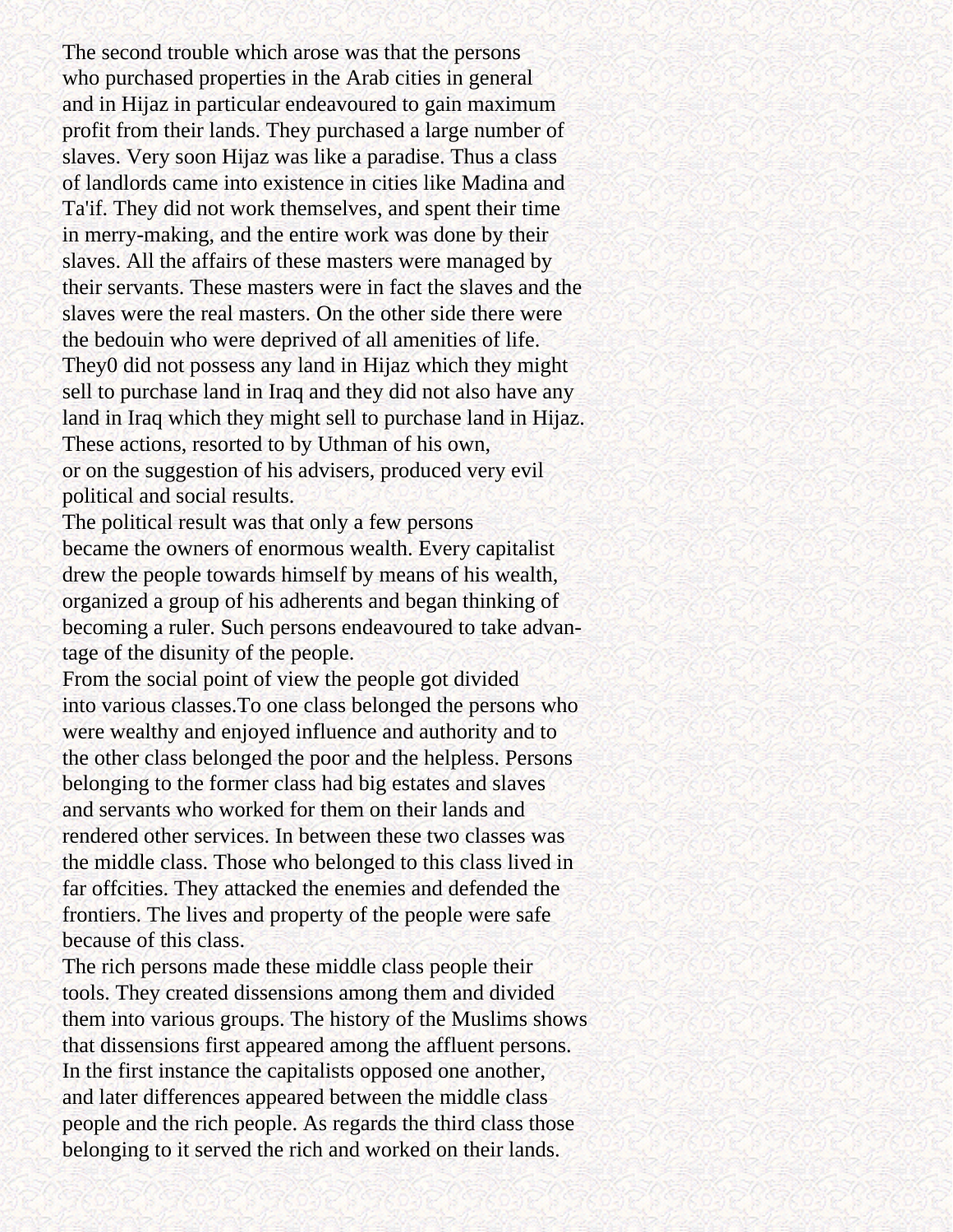The second trouble which arose was that the persons who purchased properties in the Arab cities in general and in Hijaz in particular endeavoured to gain maximum profit from their lands. They purchased a large number of slaves. Very soon Hijaz was like a paradise. Thus a class of landlords came into existence in cities like Madina and Ta'if. They did not work themselves, and spent their time in merry-making, and the entire work was done by their slaves. All the affairs of these masters were managed by their servants. These masters were in fact the slaves and the slaves were the real masters. On the other side there were the bedouin who were deprived of all amenities of life. They0 did not possess any land in Hijaz which they might sell to purchase land in Iraq and they did not also have any land in Iraq which they might sell to purchase land in Hijaz. These actions, resorted to by Uthman of his own, or on the suggestion of his advisers, produced very evil political and social results.

The political result was that only a few persons became the owners of enormous wealth. Every capitalist drew the people towards himself by means of his wealth, organized a group of his adherents and began thinking of becoming a ruler. Such persons endeavoured to take advantage of the disunity of the people.

From the social point of view the people got divided into various classes.To one class belonged the persons who were wealthy and enjoyed influence and authority and to the other class belonged the poor and the helpless. Persons belonging to the former class had big estates and slaves and servants who worked for them on their lands and rendered other services. In between these two classes was the middle class. Those who belonged to this class lived in far offcities. They attacked the enemies and defended the frontiers. The lives and property of the people were safe because of this class.

The rich persons made these middle class people their tools. They created dissensions among them and divided them into various groups. The history of the Muslims shows that dissensions first appeared among the affluent persons. In the first instance the capitalists opposed one another, and later differences appeared between the middle class people and the rich people. As regards the third class those belonging to it served the rich and worked on their lands.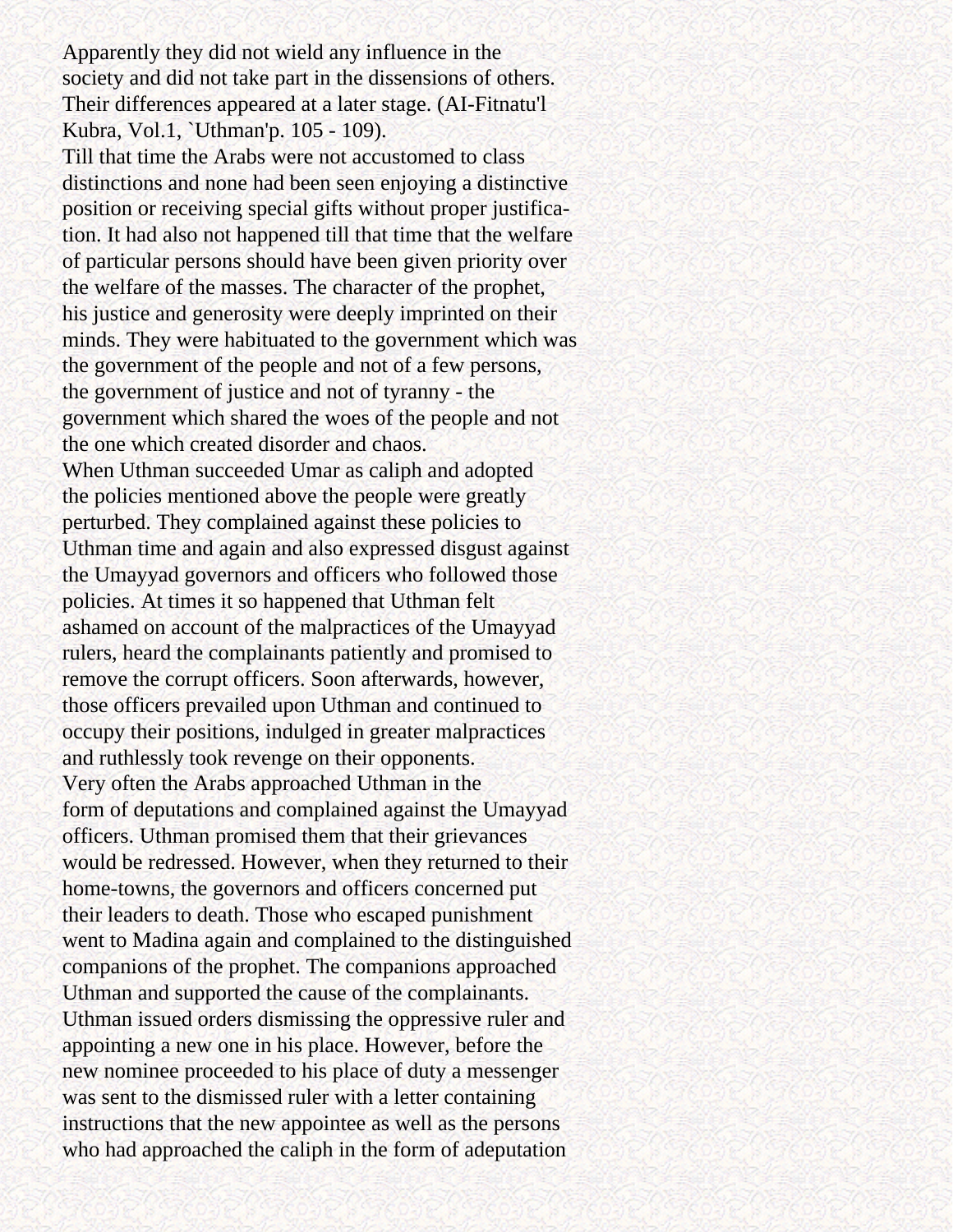Apparently they did not wield any influence in the society and did not take part in the dissensions of others. Their differences appeared at a later stage. (AI-Fitnatu'l Kubra, Vol.1, `Uthman'p. 105 - 109).

Till that time the Arabs were not accustomed to class distinctions and none had been seen enjoying a distinctive position or receiving special gifts without proper justification. It had also not happened till that time that the welfare of particular persons should have been given priority over the welfare of the masses. The character of the prophet, his justice and generosity were deeply imprinted on their minds. They were habituated to the government which was the government of the people and not of a few persons, the government of justice and not of tyranny - the government which shared the woes of the people and not the one which created disorder and chaos. When Uthman succeeded Umar as caliph and adopted the policies mentioned above the people were greatly perturbed. They complained against these policies to Uthman time and again and also expressed disgust against the Umayyad governors and officers who followed those policies. At times it so happened that Uthman felt ashamed on account of the malpractices of the Umayyad rulers, heard the complainants patiently and promised to remove the corrupt officers. Soon afterwards, however, those officers prevailed upon Uthman and continued to occupy their positions, indulged in greater malpractices and ruthlessly took revenge on their opponents. Very often the Arabs approached Uthman in the form of deputations and complained against the Umayyad officers. Uthman promised them that their grievances would be redressed. However, when they returned to their home-towns, the governors and officers concerned put their leaders to death. Those who escaped punishment went to Madina again and complained to the distinguished companions of the prophet. The companions approached Uthman and supported the cause of the complainants. Uthman issued orders dismissing the oppressive ruler and appointing a new one in his place. However, before the new nominee proceeded to his place of duty a messenger was sent to the dismissed ruler with a letter containing instructions that the new appointee as well as the persons who had approached the caliph in the form of adeputation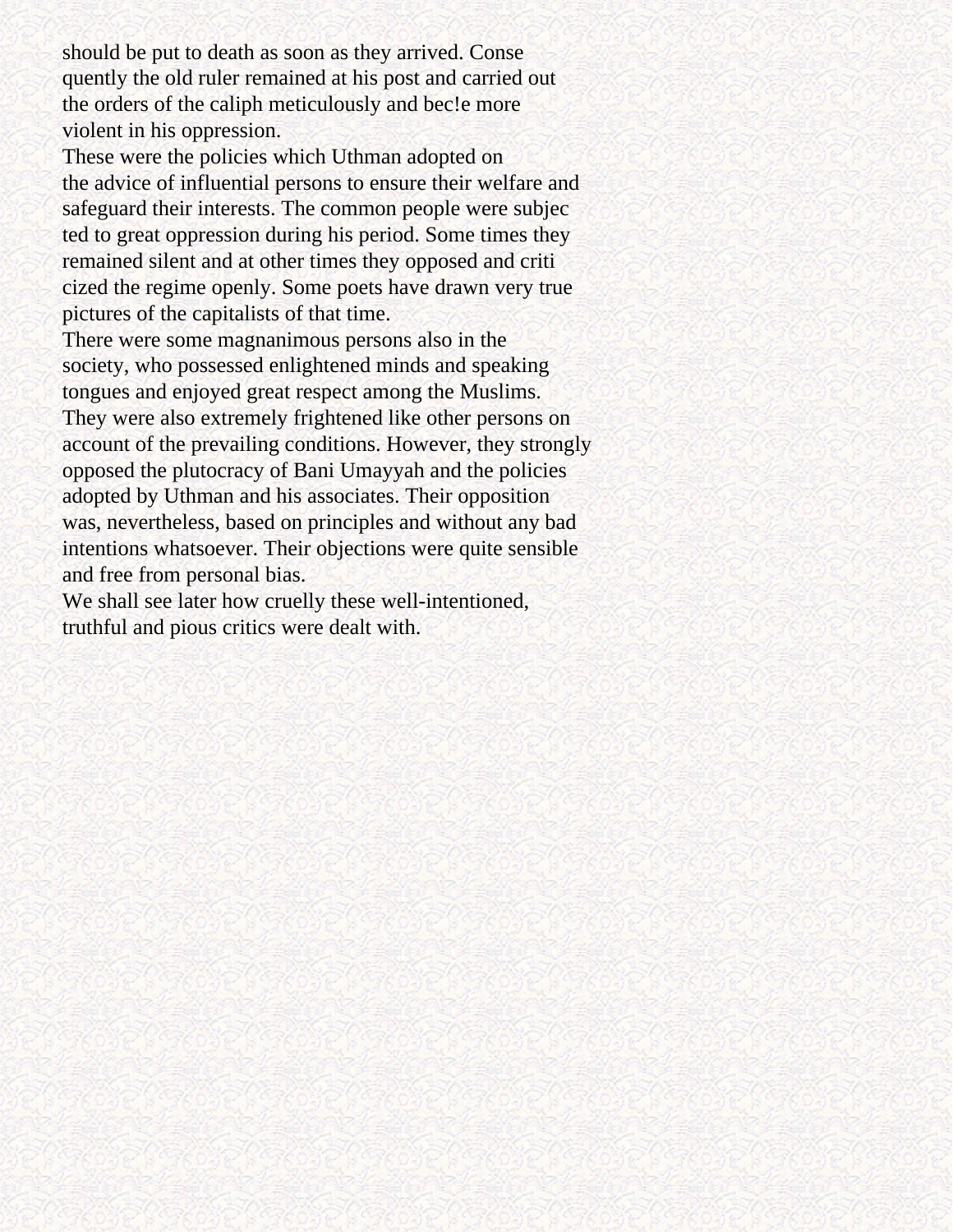should be put to death as soon as they arrived. Conse quently the old ruler remained at his post and carried out the orders of the caliph meticulously and bec!e more violent in his oppression.

These were the policies which Uthman adopted on the advice of influential persons to ensure their welfare and safeguard their interests. The common people were subjec ted to great oppression during his period. Some times they remained silent and at other times they opposed and criti cized the regime openly. Some poets have drawn very true pictures of the capitalists of that time.

There were some magnanimous persons also in the society, who possessed enlightened minds and speaking tongues and enjoyed great respect among the Muslims. They were also extremely frightened like other persons on account of the prevailing conditions. However, they strongly opposed the plutocracy of Bani Umayyah and the policies adopted by Uthman and his associates. Their opposition was, nevertheless, based on principles and without any bad intentions whatsoever. Their objections were quite sensible and free from personal bias.

We shall see later how cruelly these well-intentioned, truthful and pious critics were dealt with.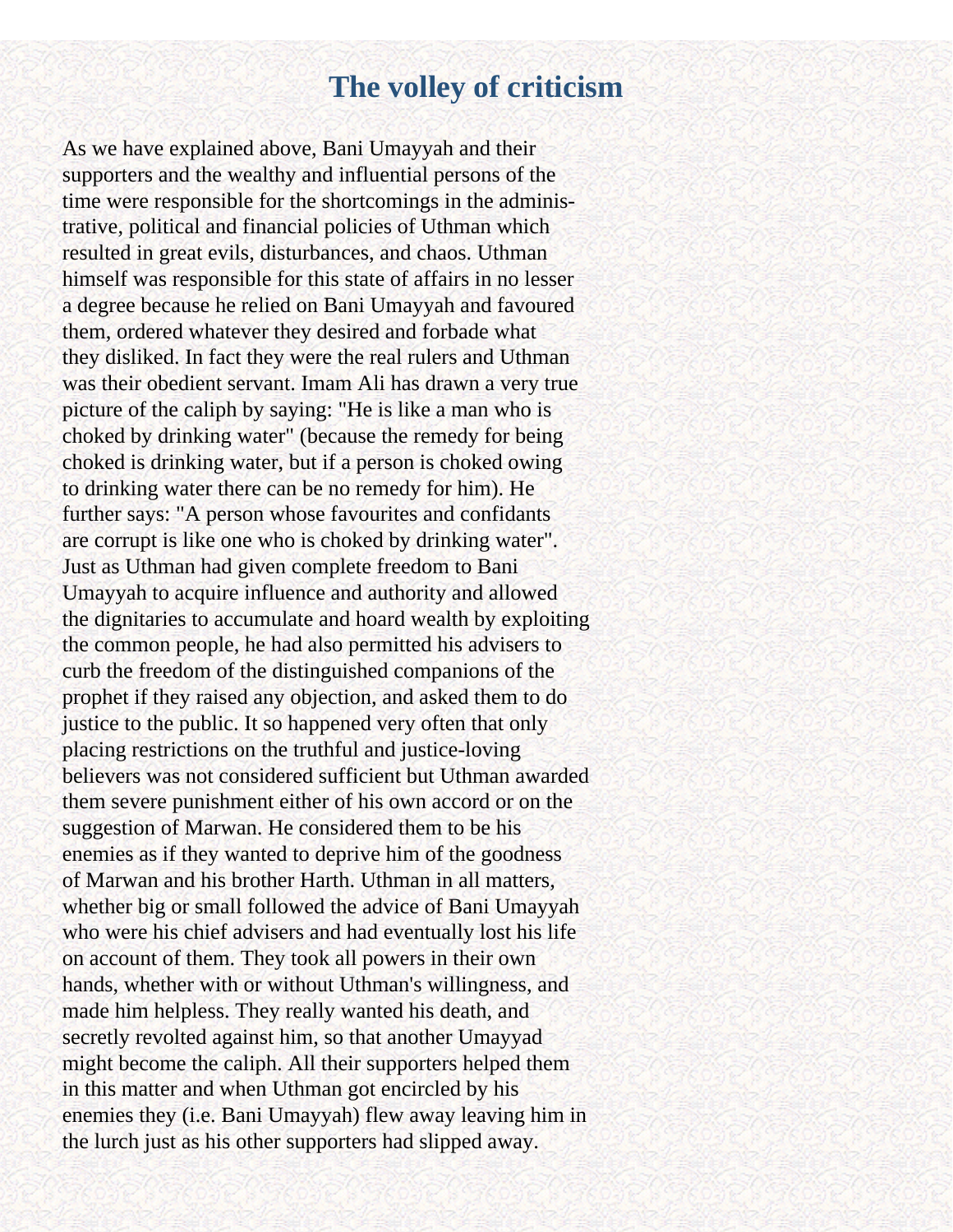## **The volley of criticism**

As we have explained above, Bani Umayyah and their supporters and the wealthy and influential persons of the time were responsible for the shortcomings in the administrative, political and financial policies of Uthman which resulted in great evils, disturbances, and chaos. Uthman himself was responsible for this state of affairs in no lesser a degree because he relied on Bani Umayyah and favoured them, ordered whatever they desired and forbade what they disliked. In fact they were the real rulers and Uthman was their obedient servant. Imam Ali has drawn a very true picture of the caliph by saying: "He is like a man who is choked by drinking water" (because the remedy for being choked is drinking water, but if a person is choked owing to drinking water there can be no remedy for him). He further says: "A person whose favourites and confidants are corrupt is like one who is choked by drinking water". Just as Uthman had given complete freedom to Bani Umayyah to acquire influence and authority and allowed the dignitaries to accumulate and hoard wealth by exploiting the common people, he had also permitted his advisers to curb the freedom of the distinguished companions of the prophet if they raised any objection, and asked them to do justice to the public. It so happened very often that only placing restrictions on the truthful and justice-loving believers was not considered sufficient but Uthman awarded them severe punishment either of his own accord or on the suggestion of Marwan. He considered them to be his enemies as if they wanted to deprive him of the goodness of Marwan and his brother Harth. Uthman in all matters, whether big or small followed the advice of Bani Umayyah who were his chief advisers and had eventually lost his life on account of them. They took all powers in their own hands, whether with or without Uthman's willingness, and made him helpless. They really wanted his death, and secretly revolted against him, so that another Umayyad might become the caliph. All their supporters helped them in this matter and when Uthman got encircled by his enemies they (i.e. Bani Umayyah) flew away leaving him in the lurch just as his other supporters had slipped away.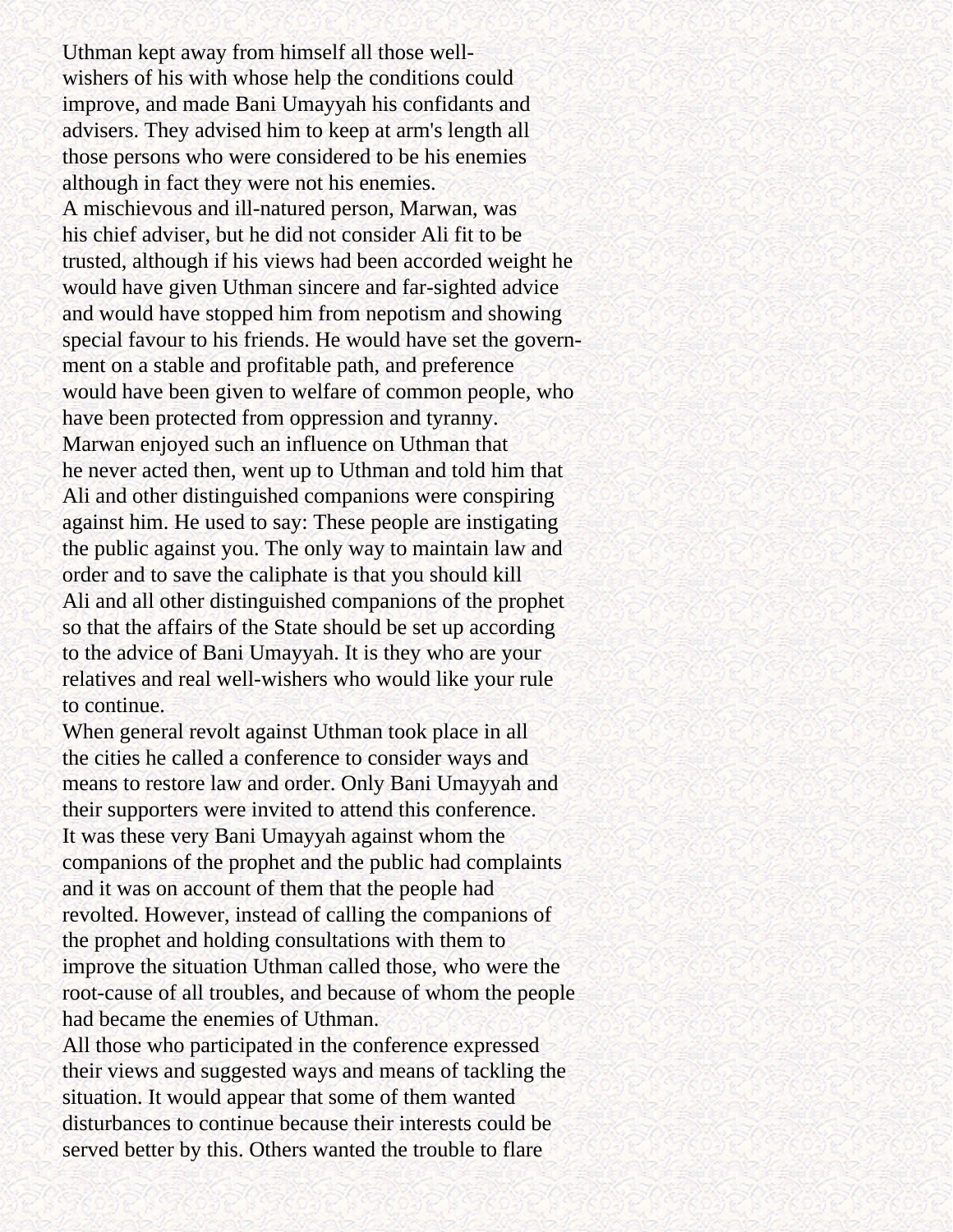Uthman kept away from himself all those wellwishers of his with whose help the conditions could improve, and made Bani Umayyah his confidants and advisers. They advised him to keep at arm's length all those persons who were considered to be his enemies although in fact they were not his enemies. A mischievous and ill-natured person, Marwan, was his chief adviser, but he did not consider Ali fit to be trusted, although if his views had been accorded weight he would have given Uthman sincere and far-sighted advice and would have stopped him from nepotism and showing special favour to his friends. He would have set the government on a stable and profitable path, and preference would have been given to welfare of common people, who have been protected from oppression and tyranny. Marwan enjoyed such an influence on Uthman that he never acted then, went up to Uthman and told him that Ali and other distinguished companions were conspiring against him. He used to say: These people are instigating the public against you. The only way to maintain law and order and to save the caliphate is that you should kill Ali and all other distinguished companions of the prophet so that the affairs of the State should be set up according to the advice of Bani Umayyah. It is they who are your relatives and real well-wishers who would like your rule to continue.

When general revolt against Uthman took place in all the cities he called a conference to consider ways and means to restore law and order. Only Bani Umayyah and their supporters were invited to attend this conference. It was these very Bani Umayyah against whom the companions of the prophet and the public had complaints and it was on account of them that the people had revolted. However, instead of calling the companions of the prophet and holding consultations with them to improve the situation Uthman called those, who were the root-cause of all troubles, and because of whom the people had became the enemies of Uthman.

All those who participated in the conference expressed their views and suggested ways and means of tackling the situation. It would appear that some of them wanted disturbances to continue because their interests could be served better by this. Others wanted the trouble to flare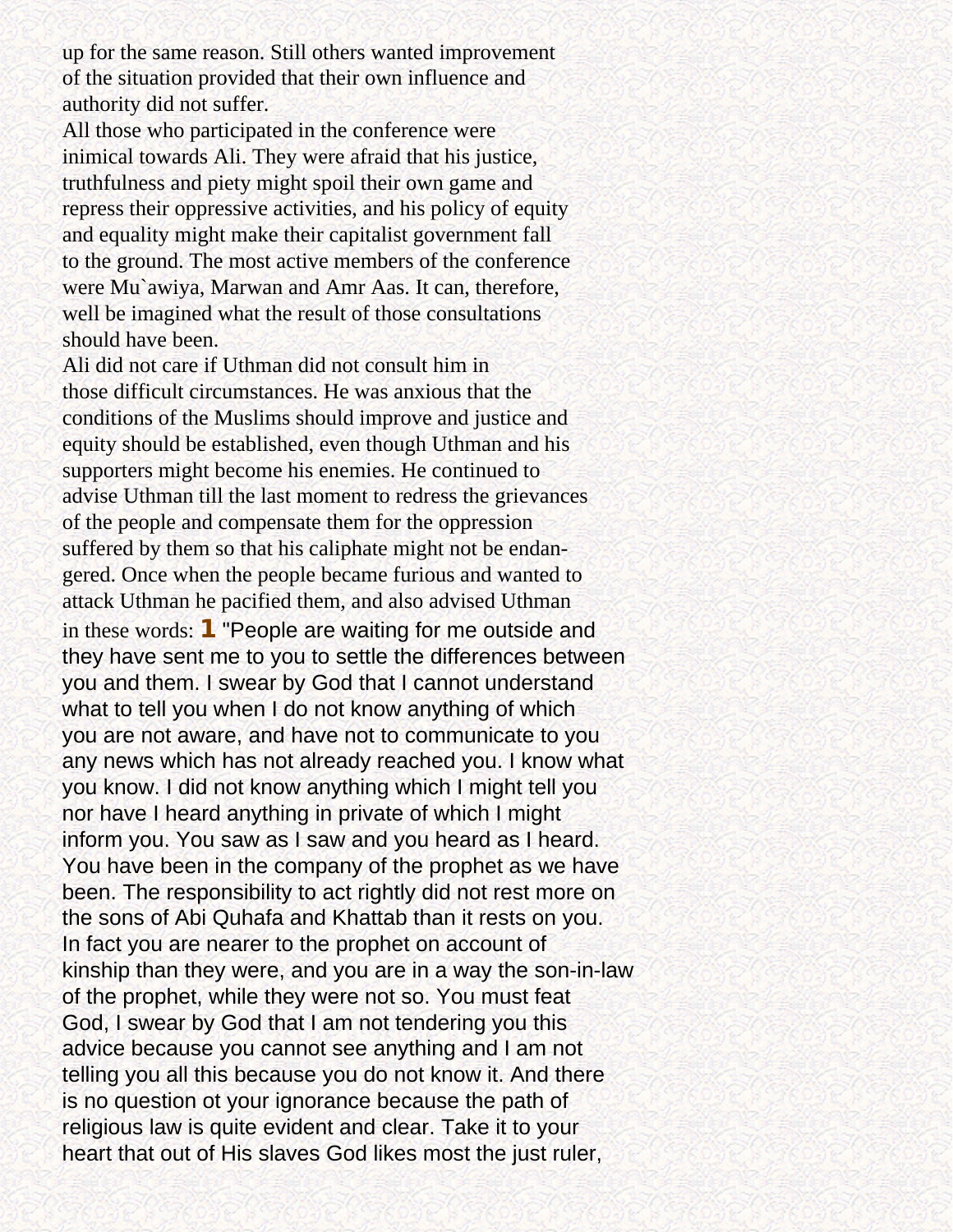up for the same reason. Still others wanted improvement of the situation provided that their own influence and authority did not suffer.

All those who participated in the conference were inimical towards Ali. They were afraid that his justice, truthfulness and piety might spoil their own game and repress their oppressive activities, and his policy of equity and equality might make their capitalist government fall to the ground. The most active members of the conference were Mu`awiya, Marwan and Amr Aas. It can, therefore, well be imagined what the result of those consultations should have been.

Ali did not care if Uthman did not consult him in those difficult circumstances. He was anxious that the conditions of the Muslims should improve and justice and equity should be established, even though Uthman and his supporters might become his enemies. He continued to advise Uthman till the last moment to redress the grievances of the people and compensate them for the oppression suffered by them so that his caliphate might not be endangered. Once when the people became furious and wanted to attack Uthman he pacified them, and also advised Uthman in these words: 1 "People are waiting for me outside and they have sent me to you to settle the differences between you and them. I swear by God that I cannot understand what to tell you when I do not know anything of which you are not aware, and have not to communicate to you any news which has not already reached you. I know what you know. I did not know anything which I might tell you nor have I heard anything in private of which I might inform you. You saw as I saw and you heard as I heard. You have been in the company of the prophet as we have been. The responsibility to act rightly did not rest more on the sons of Abi Quhafa and Khattab than it rests on you. In fact you are nearer to the prophet on account of kinship than they were, and you are in a way the son-in-law of the prophet, while they were not so. You must feat God, I swear by God that I am not tendering you this advice because you cannot see anything and I am not telling you all this because you do not know it. And there is no question ot your ignorance because the path of religious law is quite evident and clear. Take it to your heart that out of His slaves God likes most the just ruler,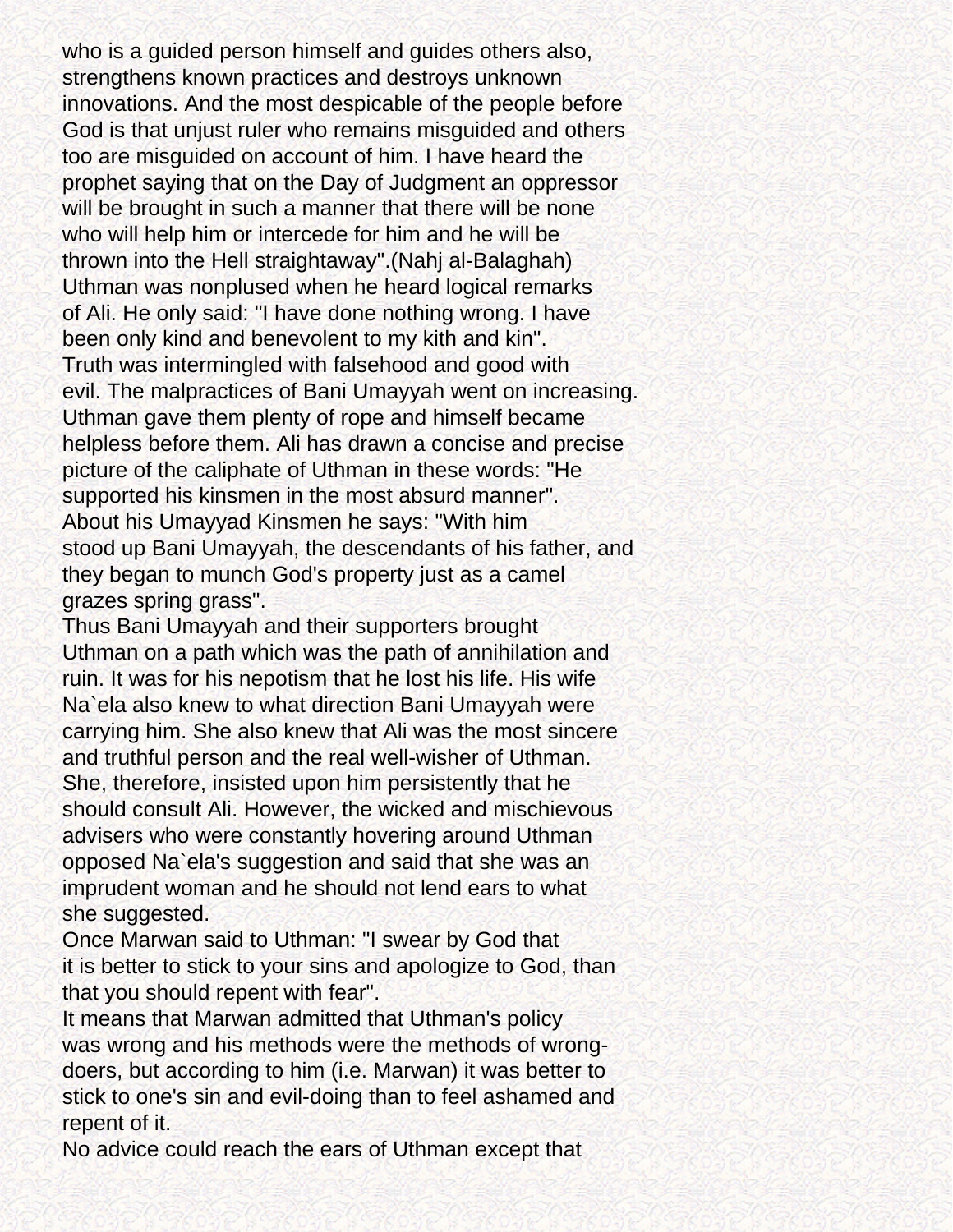who is a guided person himself and guides others also, strengthens known practices and destroys unknown innovations. And the most despicable of the people before God is that unjust ruler who remains misguided and others too are misguided on account of him. I have heard the prophet saying that on the Day of Judgment an oppressor will be brought in such a manner that there will be none who will help him or intercede for him and he will be thrown into the Hell straightaway".(Nahj al-Balaghah) Uthman was nonplused when he heard logical remarks of Ali. He only said: "I have done nothing wrong. I have been only kind and benevolent to my kith and kin". Truth was intermingled with falsehood and good with evil. The malpractices of Bani Umayyah went on increasing. Uthman gave them plenty of rope and himself became helpless before them. Ali has drawn a concise and precise picture of the caliphate of Uthman in these words: "He supported his kinsmen in the most absurd manner". About his Umayyad Kinsmen he says: "With him stood up Bani Umayyah, the descendants of his father, and they began to munch God's property just as a camel grazes spring grass".

Thus Bani Umayyah and their supporters brought Uthman on a path which was the path of annihilation and ruin. It was for his nepotism that he lost his life. His wife Na`ela also knew to what direction Bani Umayyah were carrying him. She also knew that Ali was the most sincere and truthful person and the real well-wisher of Uthman. She, therefore, insisted upon him persistently that he should consult Ali. However, the wicked and mischievous advisers who were constantly hovering around Uthman opposed Na`ela's suggestion and said that she was an imprudent woman and he should not lend ears to what she suggested.

Once Marwan said to Uthman: "I swear by God that it is better to stick to your sins and apologize to God, than that you should repent with fear".

It means that Marwan admitted that Uthman's policy was wrong and his methods were the methods of wrongdoers, but according to him (i.e. Marwan) it was better to stick to one's sin and evil-doing than to feel ashamed and repent of it.

No advice could reach the ears of Uthman except that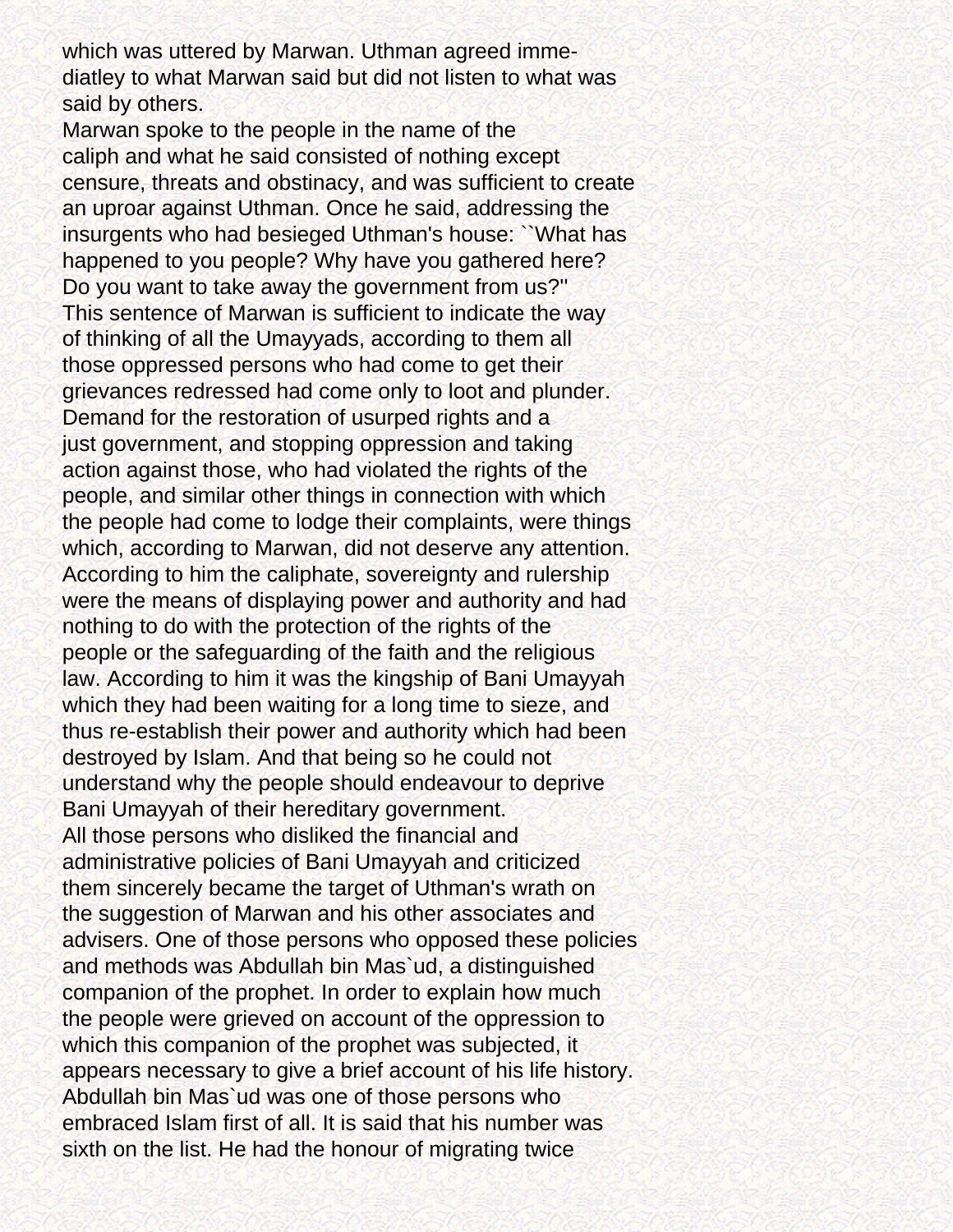which was uttered by Marwan. Uthman agreed immediatley to what Marwan said but did not listen to what was said by others.

Marwan spoke to the people in the name of the caliph and what he said consisted of nothing except censure, threats and obstinacy, and was sufficient to create an uproar against Uthman. Once he said, addressing the insurgents who had besieged Uthman's house: ``What has happened to you people? Why have you gathered here? Do you want to take away the government from us?'' This sentence of Marwan is sufficient to indicate the way of thinking of all the Umayyads, according to them all those oppressed persons who had come to get their grievances redressed had come only to loot and plunder. Demand for the restoration of usurped rights and a just government, and stopping oppression and taking action against those, who had violated the rights of the people, and similar other things in connection with which the people had come to lodge their complaints, were things which, according to Marwan, did not deserve any attention. According to him the caliphate, sovereignty and rulership were the means of displaying power and authority and had nothing to do with the protection of the rights of the people or the safeguarding of the faith and the religious law. According to him it was the kingship of Bani Umayyah which they had been waiting for a long time to sieze, and thus re-establish their power and authority which had been destroyed by Islam. And that being so he could not understand why the people should endeavour to deprive Bani Umayyah of their hereditary government. All those persons who disliked the financial and administrative policies of Bani Umayyah and criticized them sincerely became the target of Uthman's wrath on the suggestion of Marwan and his other associates and advisers. One of those persons who opposed these policies and methods was Abdullah bin Mas`ud, a distinguished companion of the prophet. In order to explain how much the people were grieved on account of the oppression to which this companion of the prophet was subjected, it appears necessary to give a brief account of his life history. Abdullah bin Mas`ud was one of those persons who embraced Islam first of all. It is said that his number was sixth on the list. He had the honour of migrating twice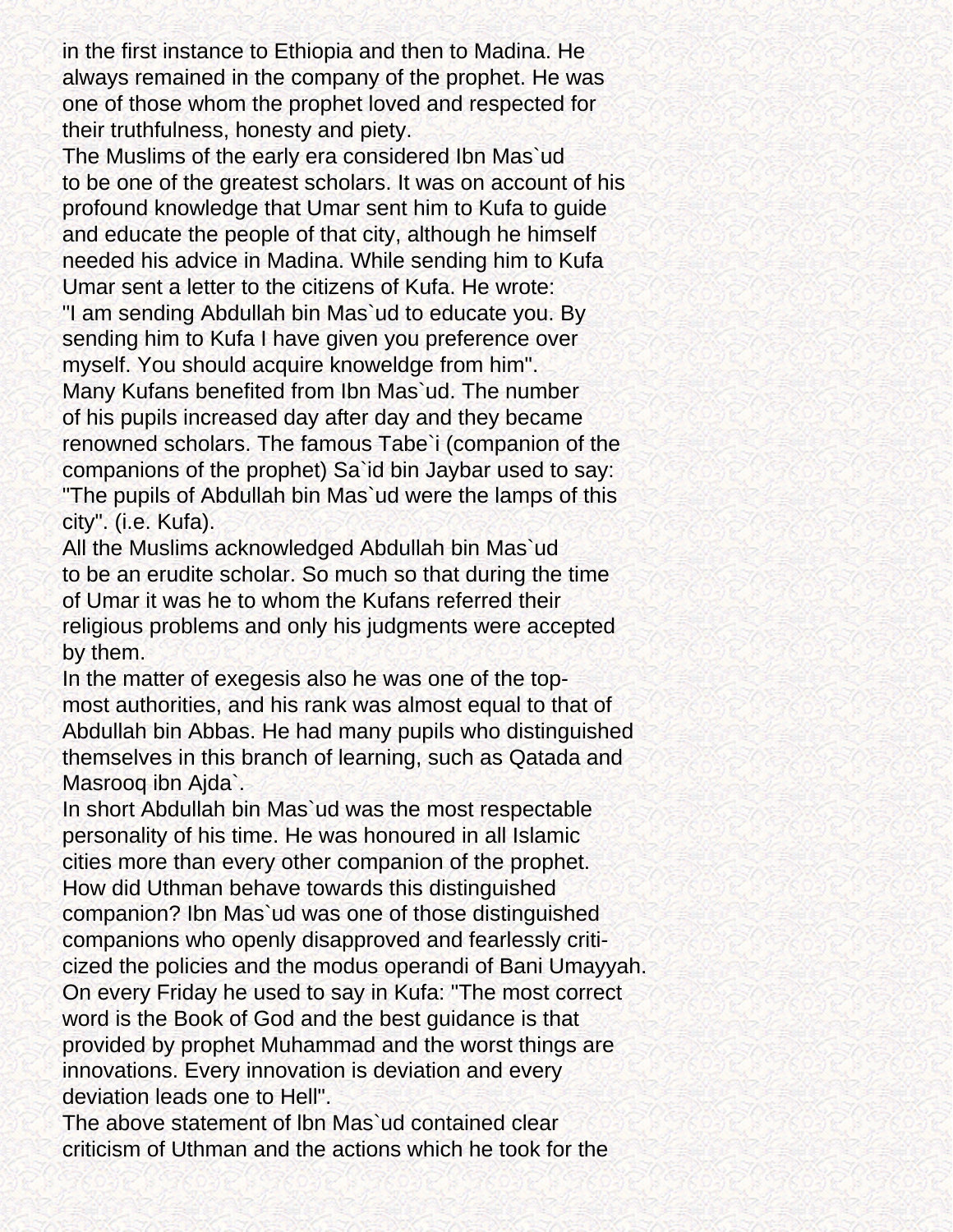in the first instance to Ethiopia and then to Madina. He always remained in the company of the prophet. He was one of those whom the prophet loved and respected for their truthfulness, honesty and piety.

The Muslims of the early era considered Ibn Mas`ud to be one of the greatest scholars. It was on account of his profound knowledge that Umar sent him to Kufa to guide and educate the people of that city, although he himself needed his advice in Madina. While sending him to Kufa Umar sent a letter to the citizens of Kufa. He wrote: "I am sending Abdullah bin Mas`ud to educate you. By sending him to Kufa I have given you preference over myself. You should acquire knoweldge from him". Many Kufans benefited from Ibn Mas`ud. The number of his pupils increased day after day and they became renowned scholars. The famous Tabe`i (companion of the companions of the prophet) Sa`id bin Jaybar used to say: "The pupils of Abdullah bin Mas`ud were the lamps of this city". (i.e. Kufa).

All the Muslims acknowledged Abdullah bin Mas`ud to be an erudite scholar. So much so that during the time of Umar it was he to whom the Kufans referred their religious problems and only his judgments were accepted by them.

In the matter of exegesis also he was one of the topmost authorities, and his rank was almost equal to that of Abdullah bin Abbas. He had many pupils who distinguished themselves in this branch of learning, such as Qatada and Masrooq ibn Ajda`.

In short Abdullah bin Mas`ud was the most respectable personality of his time. He was honoured in all Islamic cities more than every other companion of the prophet. How did Uthman behave towards this distinguished companion? Ibn Mas`ud was one of those distinguished companions who openly disapproved and fearlessly criticized the policies and the modus operandi of Bani Umayyah. On every Friday he used to say in Kufa: "The most correct word is the Book of God and the best guidance is that provided by prophet Muhammad and the worst things are innovations. Every innovation is deviation and every deviation leads one to Hell".

The above statement of lbn Mas`ud contained clear criticism of Uthman and the actions which he took for the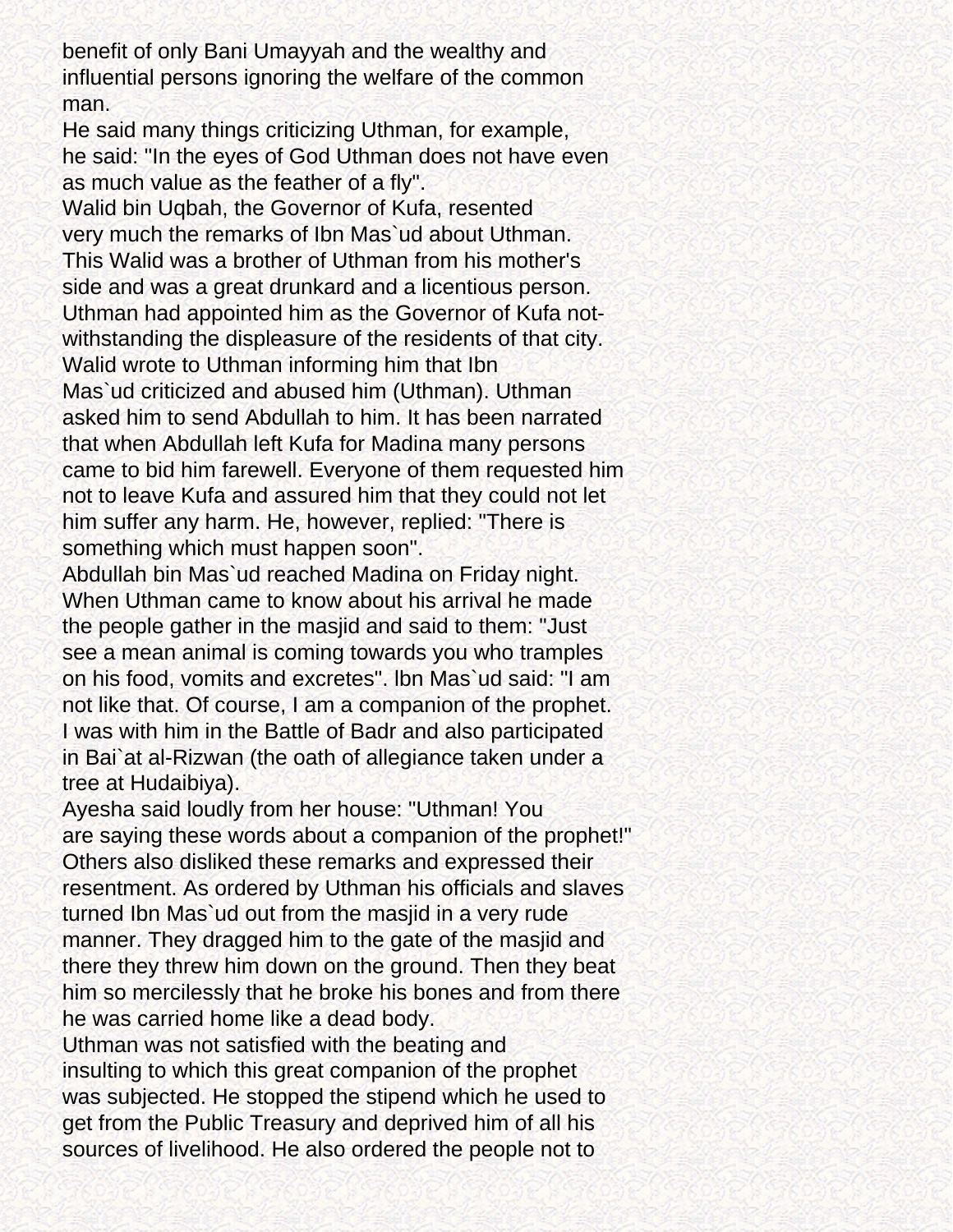benefit of only Bani Umayyah and the wealthy and influential persons ignoring the welfare of the common man.

He said many things criticizing Uthman, for example, he said: "In the eyes of God Uthman does not have even as much value as the feather of a fly".

Walid bin Uqbah, the Governor of Kufa, resented very much the remarks of Ibn Mas`ud about Uthman. This Walid was a brother of Uthman from his mother's side and was a great drunkard and a licentious person. Uthman had appointed him as the Governor of Kufa notwithstanding the displeasure of the residents of that city. Walid wrote to Uthman informing him that Ibn Mas`ud criticized and abused him (Uthman). Uthman asked him to send Abdullah to him. It has been narrated that when Abdullah left Kufa for Madina many persons came to bid him farewell. Everyone of them requested him not to leave Kufa and assured him that they could not let him suffer any harm. He, however, replied: "There is something which must happen soon".

Abdullah bin Mas`ud reached Madina on Friday night. When Uthman came to know about his arrival he made the people gather in the masjid and said to them: "Just see a mean animal is coming towards you who tramples on his food, vomits and excretes". lbn Mas`ud said: "I am not like that. Of course, I am a companion of the prophet. I was with him in the Battle of Badr and also participated in Bai`at al-Rizwan (the oath of allegiance taken under a tree at Hudaibiya).

Ayesha said loudly from her house: "Uthman! You are saying these words about a companion of the prophet!" Others also disliked these remarks and expressed their resentment. As ordered by Uthman his officials and slaves turned Ibn Mas`ud out from the masjid in a very rude manner. They dragged him to the gate of the masjid and there they threw him down on the ground. Then they beat him so mercilessly that he broke his bones and from there he was carried home like a dead body.

Uthman was not satisfied with the beating and insulting to which this great companion of the prophet was subjected. He stopped the stipend which he used to get from the Public Treasury and deprived him of all his sources of livelihood. He also ordered the people not to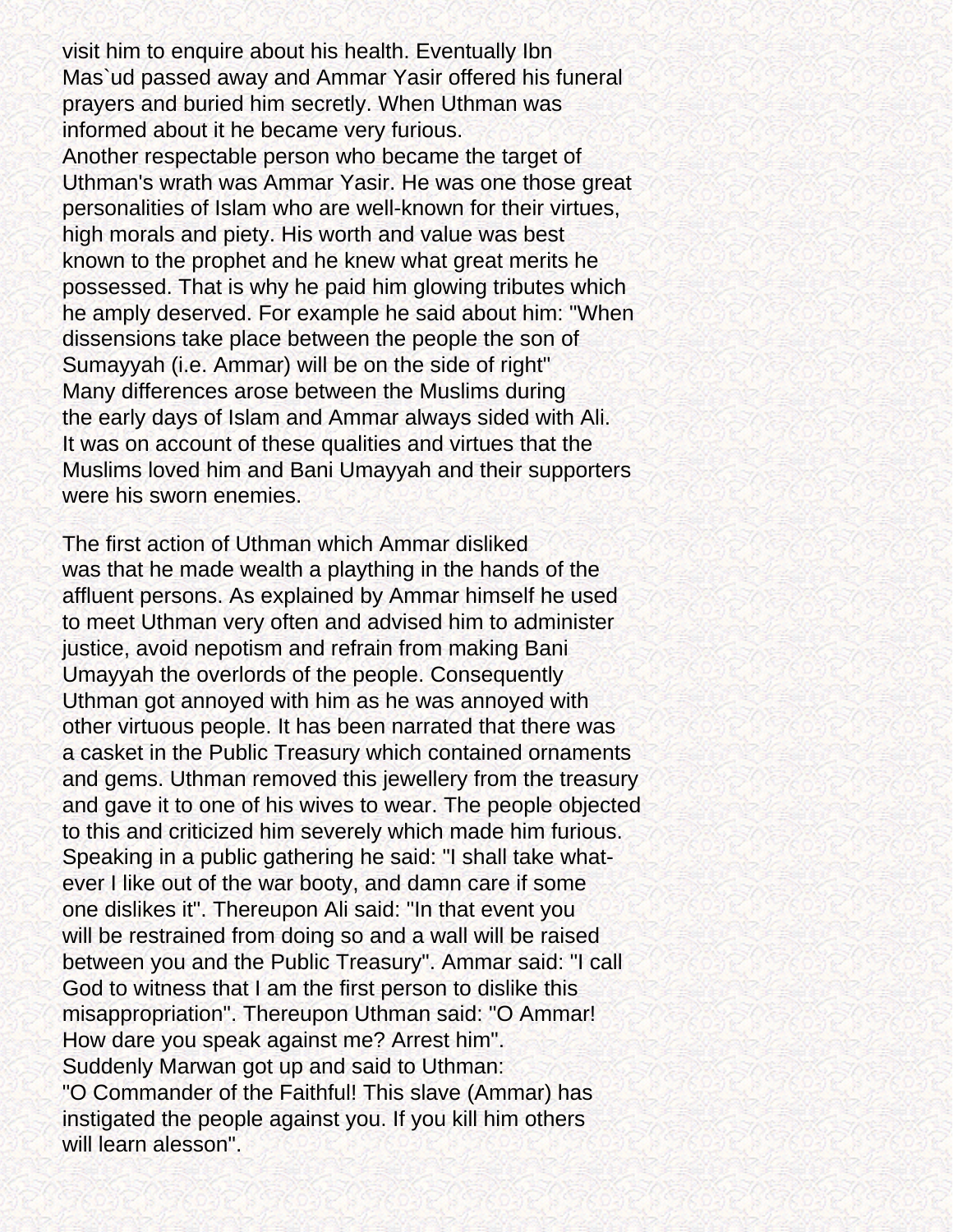visit him to enquire about his health. Eventually Ibn Mas`ud passed away and Ammar Yasir offered his funeral prayers and buried him secretly. When Uthman was informed about it he became very furious. Another respectable person who became the target of Uthman's wrath was Ammar Yasir. He was one those great personalities of Islam who are well-known for their virtues, high morals and piety. His worth and value was best known to the prophet and he knew what great merits he possessed. That is why he paid him glowing tributes which he amply deserved. For example he said about him: "When dissensions take place between the people the son of Sumayyah (i.e. Ammar) will be on the side of right" Many differences arose between the Muslims during the early days of Islam and Ammar always sided with Ali. It was on account of these qualities and virtues that the Muslims loved him and Bani Umayyah and their supporters were his sworn enemies.

The first action of Uthman which Ammar disliked was that he made wealth a plaything in the hands of the affluent persons. As explained by Ammar himself he used to meet Uthman very often and advised him to administer justice, avoid nepotism and refrain from making Bani Umayyah the overlords of the people. Consequently Uthman got annoyed with him as he was annoyed with other virtuous people. It has been narrated that there was a casket in the Public Treasury which contained ornaments and gems. Uthman removed this jewellery from the treasury and gave it to one of his wives to wear. The people objected to this and criticized him severely which made him furious. Speaking in a public gathering he said: "I shall take whatever I like out of the war booty, and damn care if some one dislikes it". Thereupon Ali said: "In that event you will be restrained from doing so and a wall will be raised between you and the Public Treasury". Ammar said: "I call God to witness that I am the first person to dislike this misappropriation". Thereupon Uthman said: "O Ammar! How dare you speak against me? Arrest him". Suddenly Marwan got up and said to Uthman: "O Commander of the Faithful! This slave (Ammar) has instigated the people against you. If you kill him others will learn alesson".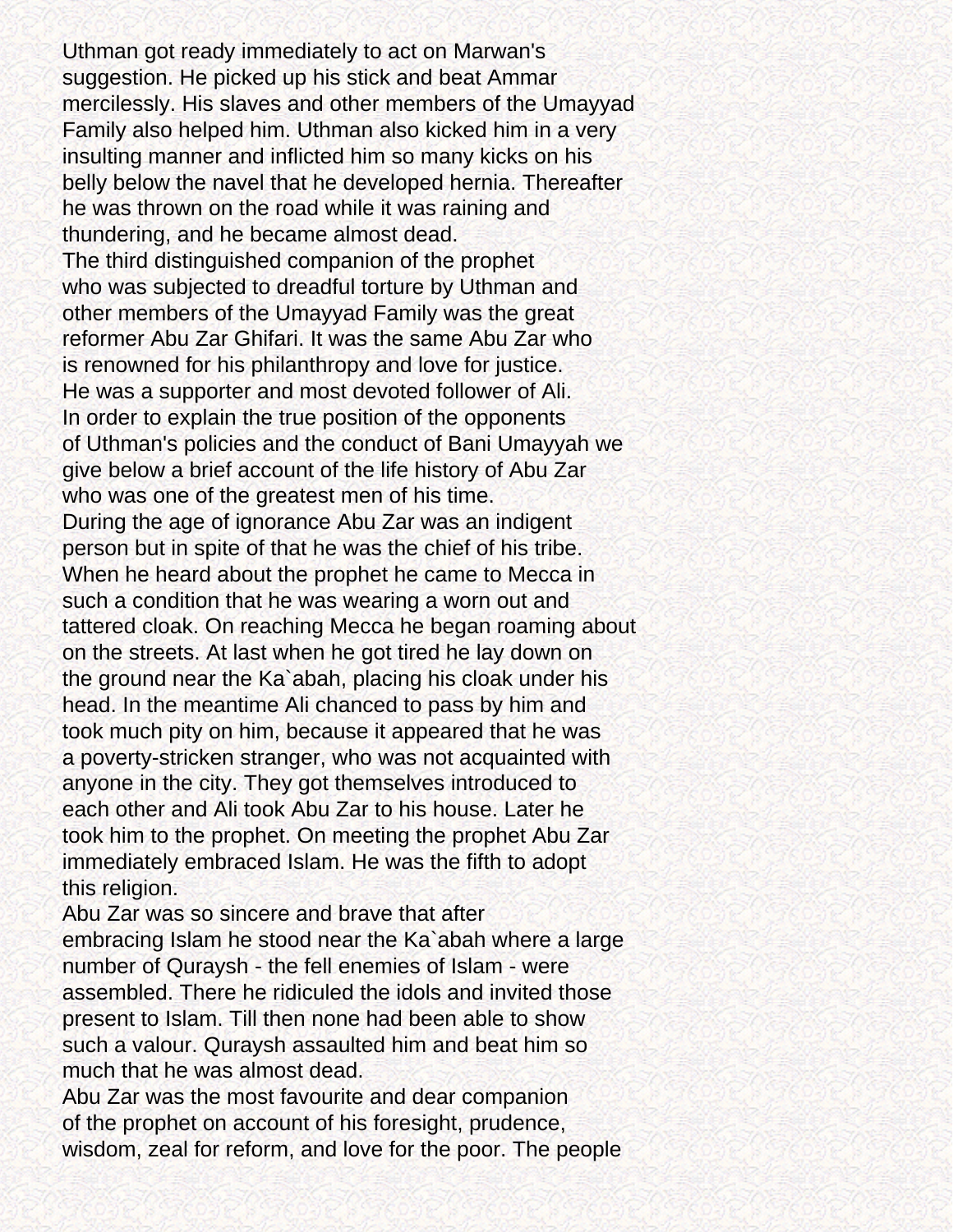Uthman got ready immediately to act on Marwan's suggestion. He picked up his stick and beat Ammar mercilessly. His slaves and other members of the Umayyad Family also helped him. Uthman also kicked him in a very insulting manner and inflicted him so many kicks on his belly below the navel that he developed hernia. Thereafter he was thrown on the road while it was raining and thundering, and he became almost dead. The third distinguished companion of the prophet who was subjected to dreadful torture by Uthman and other members of the Umayyad Family was the great reformer Abu Zar Ghifari. It was the same Abu Zar who is renowned for his philanthropy and love for justice. He was a supporter and most devoted follower of Ali. In order to explain the true position of the opponents of Uthman's policies and the conduct of Bani Umayyah we give below a brief account of the life history of Abu Zar who was one of the greatest men of his time. During the age of ignorance Abu Zar was an indigent person but in spite of that he was the chief of his tribe. When he heard about the prophet he came to Mecca in such a condition that he was wearing a worn out and tattered cloak. On reaching Mecca he began roaming about on the streets. At last when he got tired he lay down on the ground near the Ka`abah, placing his cloak under his head. In the meantime Ali chanced to pass by him and took much pity on him, because it appeared that he was a poverty-stricken stranger, who was not acquainted with anyone in the city. They got themselves introduced to each other and Ali took Abu Zar to his house. Later he took him to the prophet. On meeting the prophet Abu Zar immediately embraced Islam. He was the fifth to adopt this religion.

Abu Zar was so sincere and brave that after embracing Islam he stood near the Ka`abah where a large number of Quraysh - the fell enemies of Islam - were assembled. There he ridiculed the idols and invited those present to Islam. Till then none had been able to show such a valour. Quraysh assaulted him and beat him so much that he was almost dead.

Abu Zar was the most favourite and dear companion of the prophet on account of his foresight, prudence, wisdom, zeal for reform, and love for the poor. The people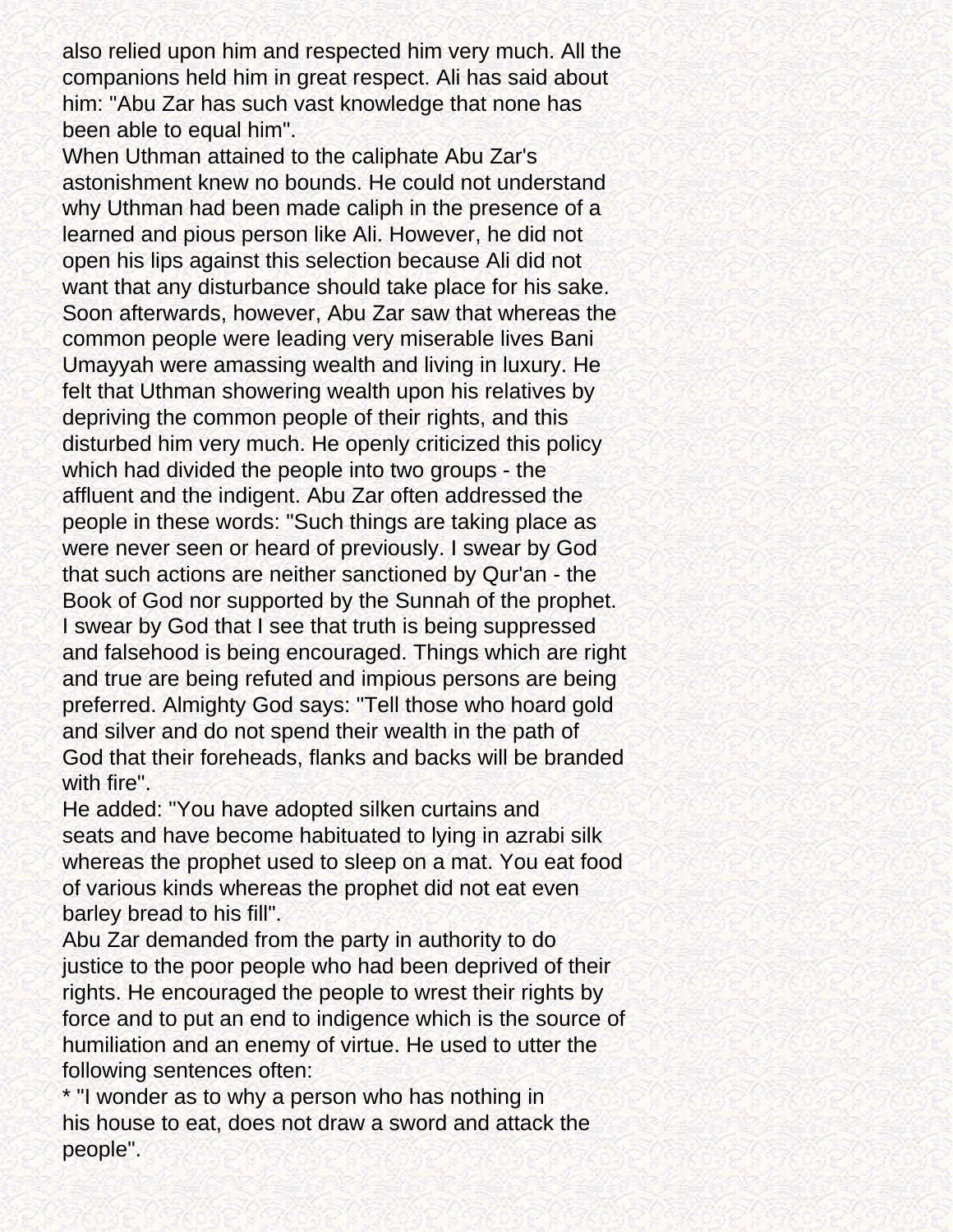also relied upon him and respected him very much. All the companions held him in great respect. Ali has said about him: "Abu Zar has such vast knowledge that none has been able to equal him".

When Uthman attained to the caliphate Abu Zar's astonishment knew no bounds. He could not understand why Uthman had been made caliph in the presence of a learned and pious person like Ali. However, he did not open his lips against this selection because Ali did not want that any disturbance should take place for his sake. Soon afterwards, however, Abu Zar saw that whereas the common people were leading very miserable lives Bani Umayyah were amassing wealth and living in luxury. He felt that Uthman showering wealth upon his relatives by depriving the common people of their rights, and this disturbed him very much. He openly criticized this policy which had divided the people into two groups - the affluent and the indigent. Abu Zar often addressed the people in these words: "Such things are taking place as were never seen or heard of previously. I swear by God that such actions are neither sanctioned by Qur'an - the Book of God nor supported by the Sunnah of the prophet. I swear by God that I see that truth is being suppressed and falsehood is being encouraged. Things which are right and true are being refuted and impious persons are being preferred. Almighty God says: "Tell those who hoard gold and silver and do not spend their wealth in the path of God that their foreheads, flanks and backs will be branded with fire".

He added: "You have adopted silken curtains and seats and have become habituated to lying in azrabi silk whereas the prophet used to sleep on a mat. You eat food of various kinds whereas the prophet did not eat even barley bread to his fill".

Abu Zar demanded from the party in authority to do justice to the poor people who had been deprived of their rights. He encouraged the people to wrest their rights by force and to put an end to indigence which is the source of humiliation and an enemy of virtue. He used to utter the following sentences often:

\* "I wonder as to why a person who has nothing in his house to eat, does not draw a sword and attack the people".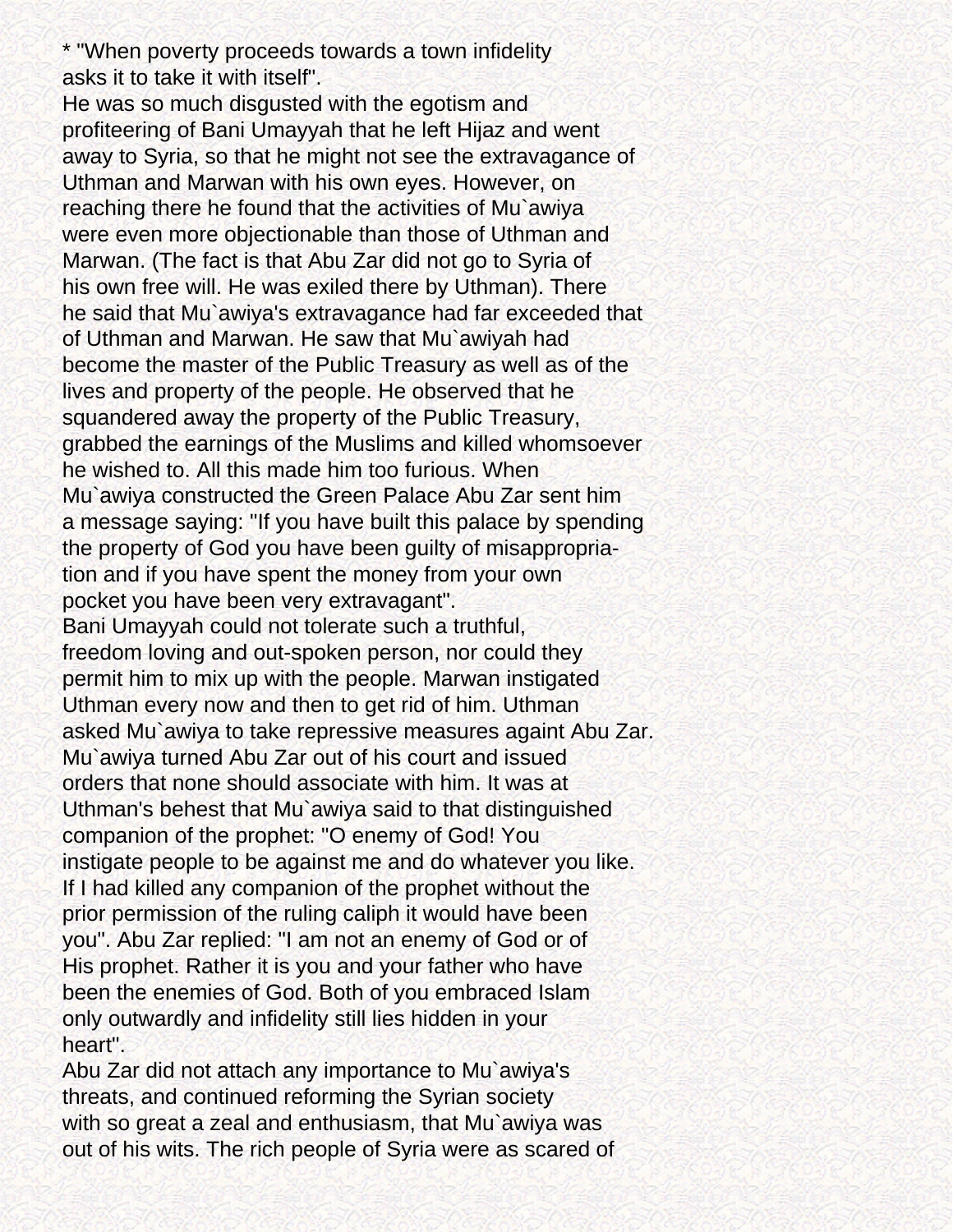\* "When poverty proceeds towards a town infidelity asks it to take it with itself".

He was so much disgusted with the egotism and profiteering of Bani Umayyah that he left Hijaz and went away to Syria, so that he might not see the extravagance of Uthman and Marwan with his own eyes. However, on reaching there he found that the activities of Mu`awiya were even more objectionable than those of Uthman and Marwan. (The fact is that Abu Zar did not go to Syria of his own free will. He was exiled there by Uthman). There he said that Mu`awiya's extravagance had far exceeded that of Uthman and Marwan. He saw that Mu`awiyah had become the master of the Public Treasury as well as of the lives and property of the people. He observed that he squandered away the property of the Public Treasury, grabbed the earnings of the Muslims and killed whomsoever he wished to. All this made him too furious. When Mu`awiya constructed the Green Palace Abu Zar sent him a message saying: "If you have built this palace by spending the property of God you have been guilty of misappropriation and if you have spent the money from your own pocket you have been very extravagant". Bani Umayyah could not tolerate such a truthful, freedom loving and out-spoken person, nor could they permit him to mix up with the people. Marwan instigated Uthman every now and then to get rid of him. Uthman asked Mu`awiya to take repressive measures againt Abu Zar. Mu`awiya turned Abu Zar out of his court and issued orders that none should associate with him. It was at Uthman's behest that Mu`awiya said to that distinguished companion of the prophet: "O enemy of God! You instigate people to be against me and do whatever you like. If I had killed any companion of the prophet without the prior permission of the ruling caliph it would have been you". Abu Zar replied: "I am not an enemy of God or of His prophet. Rather it is you and your father who have been the enemies of God. Both of you embraced Islam only outwardly and infidelity still lies hidden in your heart".

Abu Zar did not attach any importance to Mu`awiya's threats, and continued reforming the Syrian society with so great a zeal and enthusiasm, that Mu`awiya was out of his wits. The rich people of Syria were as scared of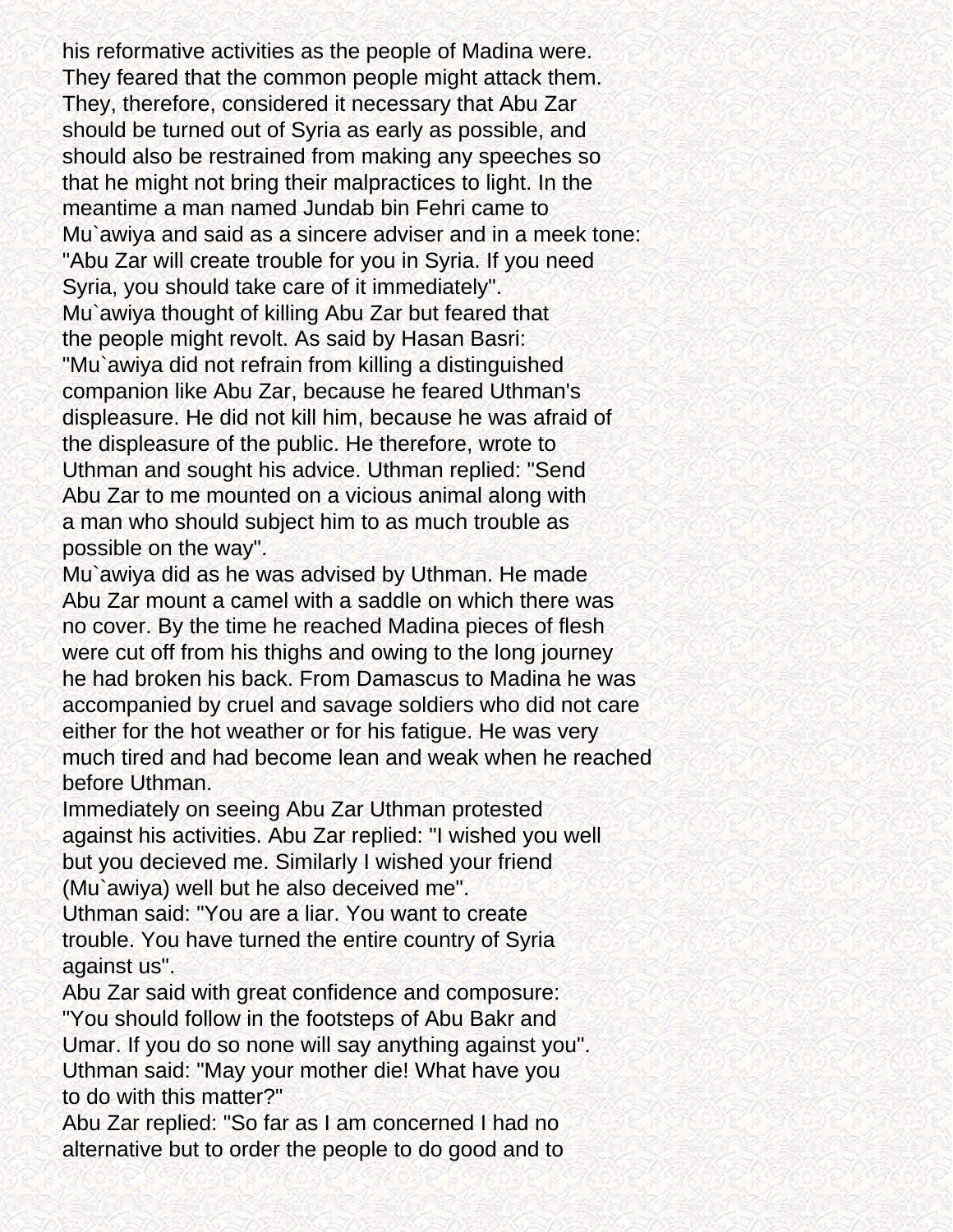his reformative activities as the people of Madina were. They feared that the common people might attack them. They, therefore, considered it necessary that Abu Zar should be turned out of Syria as early as possible, and should also be restrained from making any speeches so that he might not bring their malpractices to light. In the meantime a man named Jundab bin Fehri came to Mu`awiya and said as a sincere adviser and in a meek tone: "Abu Zar will create trouble for you in Syria. If you need Syria, you should take care of it immediately". Mu`awiya thought of killing Abu Zar but feared that the people might revolt. As said by Hasan Basri: "Mu`awiya did not refrain from killing a distinguished companion like Abu Zar, because he feared Uthman's displeasure. He did not kill him, because he was afraid of the displeasure of the public. He therefore, wrote to Uthman and sought his advice. Uthman replied: "Send Abu Zar to me mounted on a vicious animal along with a man who should subject him to as much trouble as possible on the way".

Mu`awiya did as he was advised by Uthman. He made Abu Zar mount a camel with a saddle on which there was no cover. By the time he reached Madina pieces of flesh were cut off from his thighs and owing to the long journey he had broken his back. From Damascus to Madina he was accompanied by cruel and savage soldiers who did not care either for the hot weather or for his fatigue. He was very much tired and had become lean and weak when he reached before Uthman.

Immediately on seeing Abu Zar Uthman protested against his activities. Abu Zar replied: "I wished you well but you decieved me. Similarly I wished your friend (Mu`awiya) well but he also deceived me".

Uthman said: "You are a liar. You want to create trouble. You have turned the entire country of Syria against us".

Abu Zar said with great confidence and composure: "You should follow in the footsteps of Abu Bakr and Umar. If you do so none will say anything against you". Uthman said: "May your mother die! What have you to do with this matter?"

Abu Zar replied: "So far as I am concerned I had no alternative but to order the people to do good and to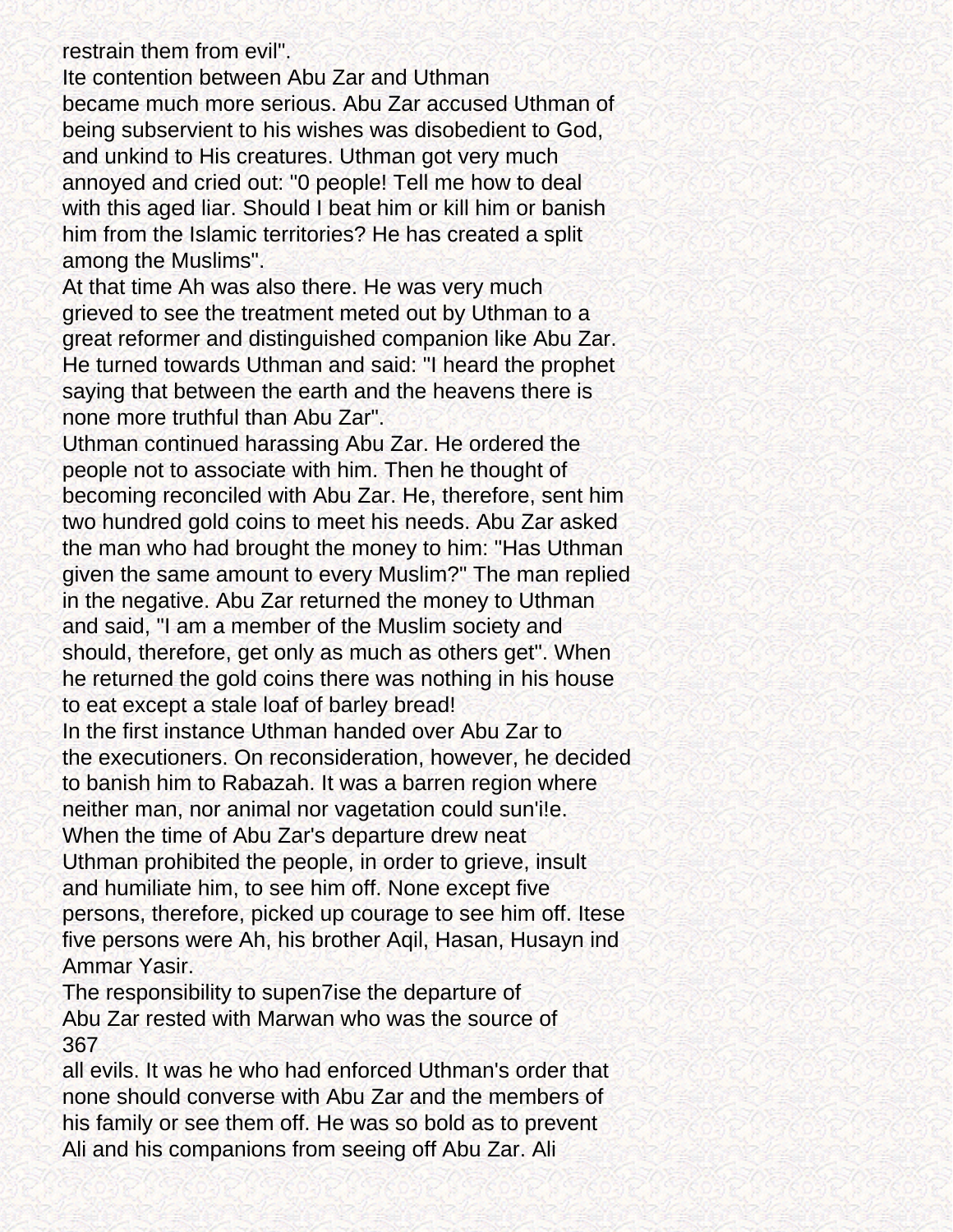restrain them from evil".

Ite contention between Abu Zar and Uthman became much more serious. Abu Zar accused Uthman of being subservient to his wishes was disobedient to God, and unkind to His creatures. Uthman got very much annoyed and cried out: "0 people! Tell me how to deal with this aged liar. Should I beat him or kill him or banish him from the Islamic territories? He has created a split among the Muslims".

At that time Ah was also there. He was very much grieved to see the treatment meted out by Uthman to a great reformer and distinguished companion like Abu Zar. He turned towards Uthman and said: "I heard the prophet saying that between the earth and the heavens there is none more truthful than Abu Zar".

Uthman continued harassing Abu Zar. He ordered the people not to associate with him. Then he thought of becoming reconciled with Abu Zar. He, therefore, sent him two hundred gold coins to meet his needs. Abu Zar asked the man who had brought the money to him: "Has Uthman given the same amount to every Muslim?" The man replied in the negative. Abu Zar returned the money to Uthman and said, "I am a member of the Muslim society and should, therefore, get only as much as others get". When he returned the gold coins there was nothing in his house to eat except a stale loaf of barley bread!

In the first instance Uthman handed over Abu Zar to the executioners. On reconsideration, however, he decided to banish him to Rabazah. It was a barren region where neither man, nor animal nor vagetation could sun'i!e. When the time of Abu Zar's departure drew neat Uthman prohibited the people, in order to grieve, insult and humiliate him, to see him off. None except five persons, therefore, picked up courage to see him off. Itese five persons were Ah, his brother Aqil, Hasan, Husayn ind

Ammar Yasir.

The responsibility to supen7ise the departure of Abu Zar rested with Marwan who was the source of 367

all evils. It was he who had enforced Uthman's order that none should converse with Abu Zar and the members of his family or see them off. He was so bold as to prevent Ali and his companions from seeing off Abu Zar. Ali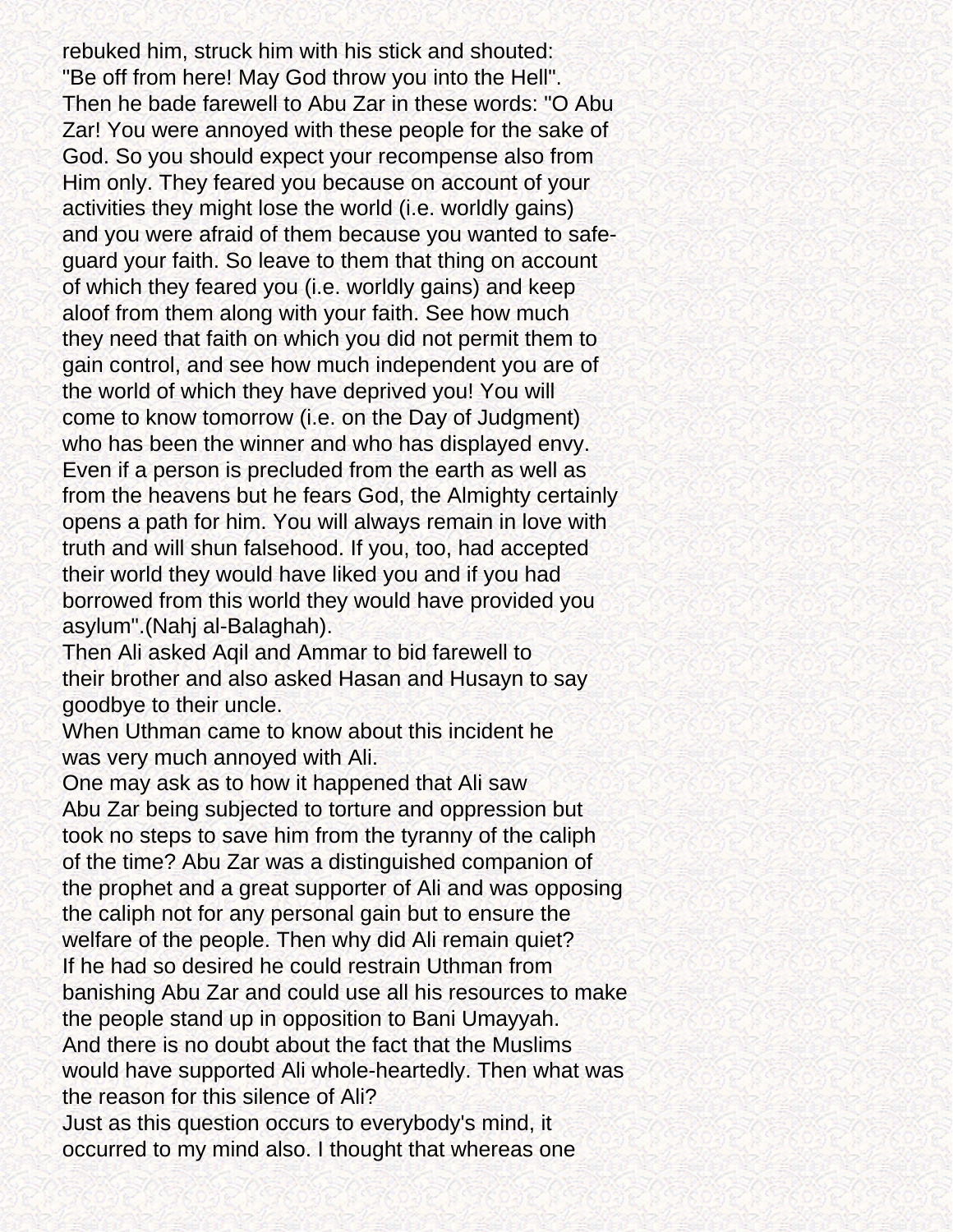rebuked him, struck him with his stick and shouted: "Be off from here! May God throw you into the Hell". Then he bade farewell to Abu Zar in these words: "O Abu Zar! You were annoyed with these people for the sake of God. So you should expect your recompense also from Him only. They feared you because on account of your activities they might lose the world (i.e. worldly gains) and you were afraid of them because you wanted to safeguard your faith. So leave to them that thing on account of which they feared you (i.e. worldly gains) and keep aloof from them along with your faith. See how much they need that faith on which you did not permit them to gain control, and see how much independent you are of the world of which they have deprived you! You will come to know tomorrow (i.e. on the Day of Judgment) who has been the winner and who has displayed envy. Even if a person is precluded from the earth as well as from the heavens but he fears God, the Almighty certainly opens a path for him. You will always remain in love with truth and will shun falsehood. If you, too, had accepted their world they would have liked you and if you had borrowed from this world they would have provided you asylum".(Nahj al-Balaghah).

Then Ali asked Aqil and Ammar to bid farewell to their brother and also asked Hasan and Husayn to say goodbye to their uncle.

When Uthman came to know about this incident he was very much annoyed with Ali.

One may ask as to how it happened that Ali saw Abu Zar being subjected to torture and oppression but took no steps to save him from the tyranny of the caliph of the time? Abu Zar was a distinguished companion of the prophet and a great supporter of Ali and was opposing the caliph not for any personal gain but to ensure the welfare of the people. Then why did Ali remain quiet? If he had so desired he could restrain Uthman from banishing Abu Zar and could use all his resources to make the people stand up in opposition to Bani Umayyah. And there is no doubt about the fact that the Muslims would have supported Ali whole-heartedly. Then what was the reason for this silence of Ali? Just as this question occurs to everybody's mind, it occurred to my mind also. I thought that whereas one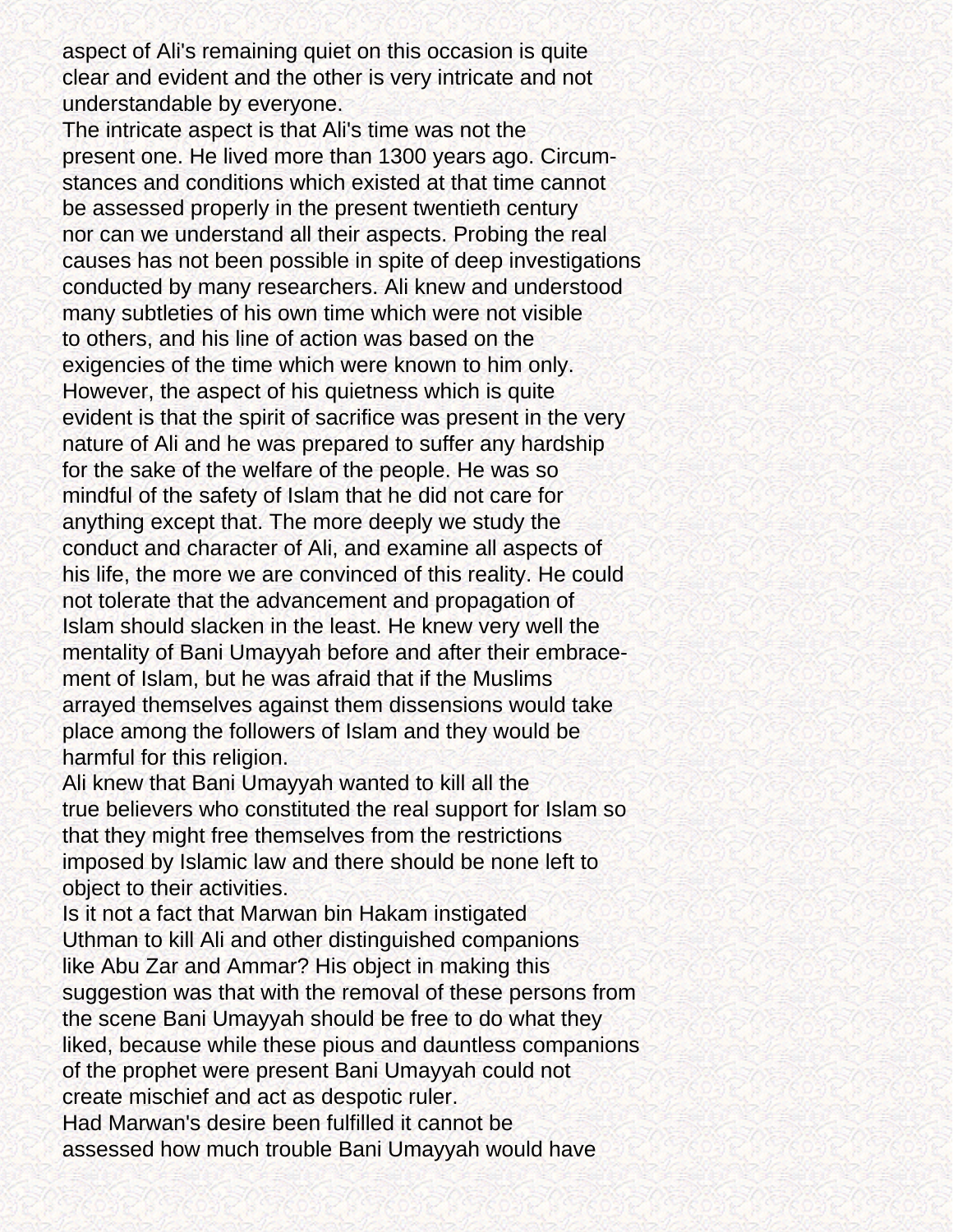aspect of Ali's remaining quiet on this occasion is quite clear and evident and the other is very intricate and not understandable by everyone.

The intricate aspect is that Ali's time was not the present one. He lived more than 1300 years ago. Circumstances and conditions which existed at that time cannot be assessed properly in the present twentieth century nor can we understand all their aspects. Probing the real causes has not been possible in spite of deep investigations conducted by many researchers. Ali knew and understood many subtleties of his own time which were not visible to others, and his line of action was based on the exigencies of the time which were known to him only. However, the aspect of his quietness which is quite evident is that the spirit of sacrifice was present in the very nature of Ali and he was prepared to suffer any hardship for the sake of the welfare of the people. He was so mindful of the safety of Islam that he did not care for anything except that. The more deeply we study the conduct and character of Ali, and examine all aspects of his life, the more we are convinced of this reality. He could not tolerate that the advancement and propagation of Islam should slacken in the least. He knew very well the mentality of Bani Umayyah before and after their embracement of Islam, but he was afraid that if the Muslims arrayed themselves against them dissensions would take place among the followers of Islam and they would be harmful for this religion.

Ali knew that Bani Umayyah wanted to kill all the true believers who constituted the real support for Islam so that they might free themselves from the restrictions imposed by Islamic law and there should be none left to object to their activities.

Is it not a fact that Marwan bin Hakam instigated Uthman to kill Ali and other distinguished companions like Abu Zar and Ammar? His object in making this suggestion was that with the removal of these persons from the scene Bani Umayyah should be free to do what they liked, because while these pious and dauntless companions of the prophet were present Bani Umayyah could not create mischief and act as despotic ruler. Had Marwan's desire been fulfilled it cannot be assessed how much trouble Bani Umayyah would have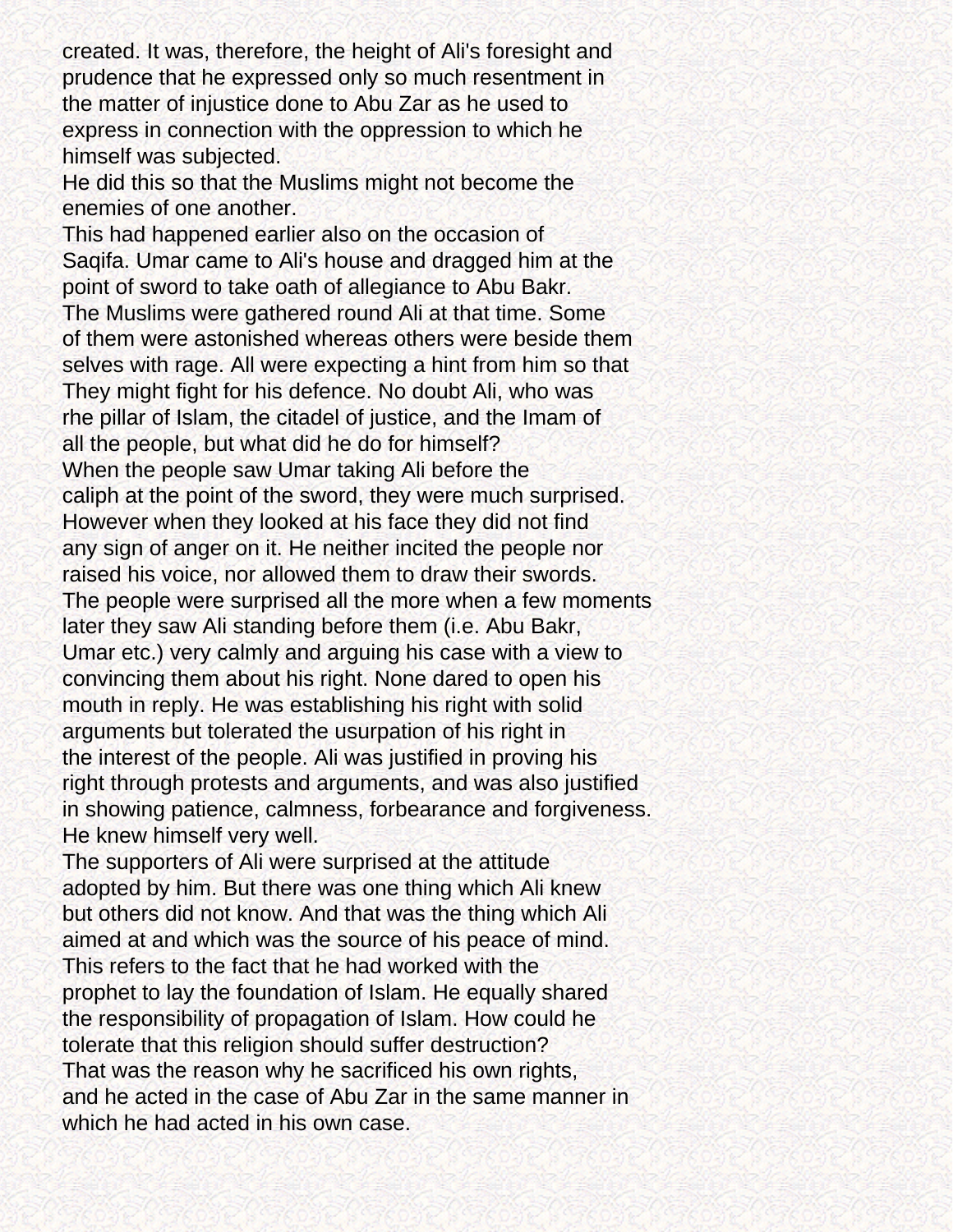created. It was, therefore, the height of Ali's foresight and prudence that he expressed only so much resentment in the matter of injustice done to Abu Zar as he used to express in connection with the oppression to which he himself was subjected.

He did this so that the Muslims might not become the enemies of one another.

This had happened earlier also on the occasion of Saqifa. Umar came to Ali's house and dragged him at the point of sword to take oath of allegiance to Abu Bakr. The Muslims were gathered round Ali at that time. Some of them were astonished whereas others were beside them selves with rage. All were expecting a hint from him so that They might fight for his defence. No doubt Ali, who was rhe pillar of Islam, the citadel of justice, and the Imam of all the people, but what did he do for himself? When the people saw Umar taking Ali before the caliph at the point of the sword, they were much surprised. However when they looked at his face they did not find any sign of anger on it. He neither incited the people nor raised his voice, nor allowed them to draw their swords. The people were surprised all the more when a few moments later they saw Ali standing before them (i.e. Abu Bakr, Umar etc.) very calmly and arguing his case with a view to convincing them about his right. None dared to open his mouth in reply. He was establishing his right with solid arguments but tolerated the usurpation of his right in the interest of the people. Ali was justified in proving his right through protests and arguments, and was also justified in showing patience, calmness, forbearance and forgiveness. He knew himself very well.

The supporters of Ali were surprised at the attitude adopted by him. But there was one thing which Ali knew but others did not know. And that was the thing which Ali aimed at and which was the source of his peace of mind. This refers to the fact that he had worked with the prophet to lay the foundation of Islam. He equally shared the responsibility of propagation of Islam. How could he tolerate that this religion should suffer destruction? That was the reason why he sacrificed his own rights, and he acted in the case of Abu Zar in the same manner in which he had acted in his own case.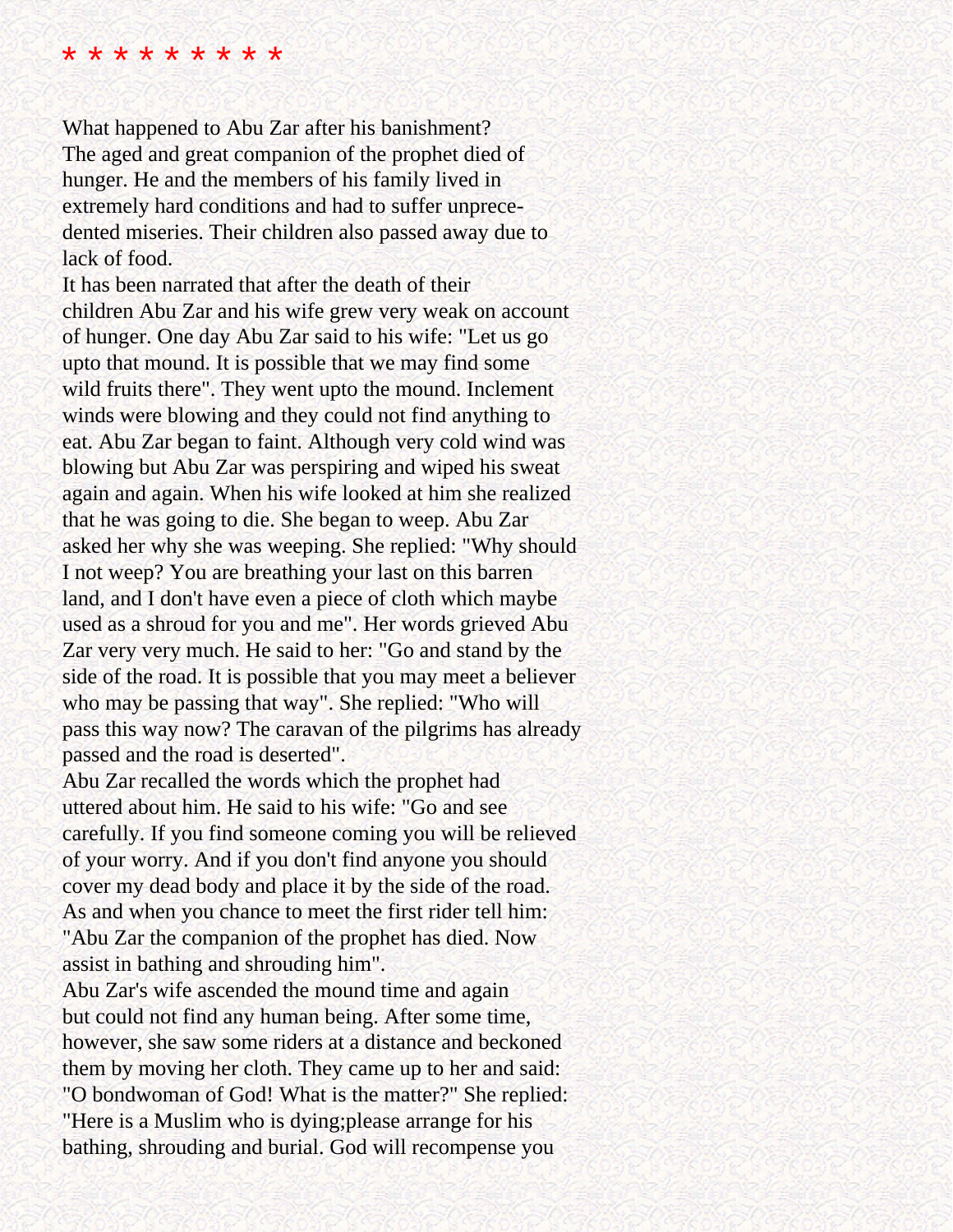What happened to Abu Zar after his banishment? The aged and great companion of the prophet died of hunger. He and the members of his family lived in extremely hard conditions and had to suffer unprecedented miseries. Their children also passed away due to lack of food.

It has been narrated that after the death of their children Abu Zar and his wife grew very weak on account of hunger. One day Abu Zar said to his wife: "Let us go upto that mound. It is possible that we may find some wild fruits there". They went upto the mound. Inclement winds were blowing and they could not find anything to eat. Abu Zar began to faint. Although very cold wind was blowing but Abu Zar was perspiring and wiped his sweat again and again. When his wife looked at him she realized that he was going to die. She began to weep. Abu Zar asked her why she was weeping. She replied: "Why should I not weep? You are breathing your last on this barren land, and I don't have even a piece of cloth which maybe used as a shroud for you and me". Her words grieved Abu Zar very very much. He said to her: "Go and stand by the side of the road. It is possible that you may meet a believer who may be passing that way". She replied: "Who will pass this way now? The caravan of the pilgrims has already passed and the road is deserted".

Abu Zar recalled the words which the prophet had uttered about him. He said to his wife: "Go and see carefully. If you find someone coming you will be relieved of your worry. And if you don't find anyone you should cover my dead body and place it by the side of the road. As and when you chance to meet the first rider tell him: "Abu Zar the companion of the prophet has died. Now assist in bathing and shrouding him".

Abu Zar's wife ascended the mound time and again but could not find any human being. After some time, however, she saw some riders at a distance and beckoned them by moving her cloth. They came up to her and said: "O bondwoman of God! What is the matter?" She replied: "Here is a Muslim who is dying;please arrange for his bathing, shrouding and burial. God will recompense you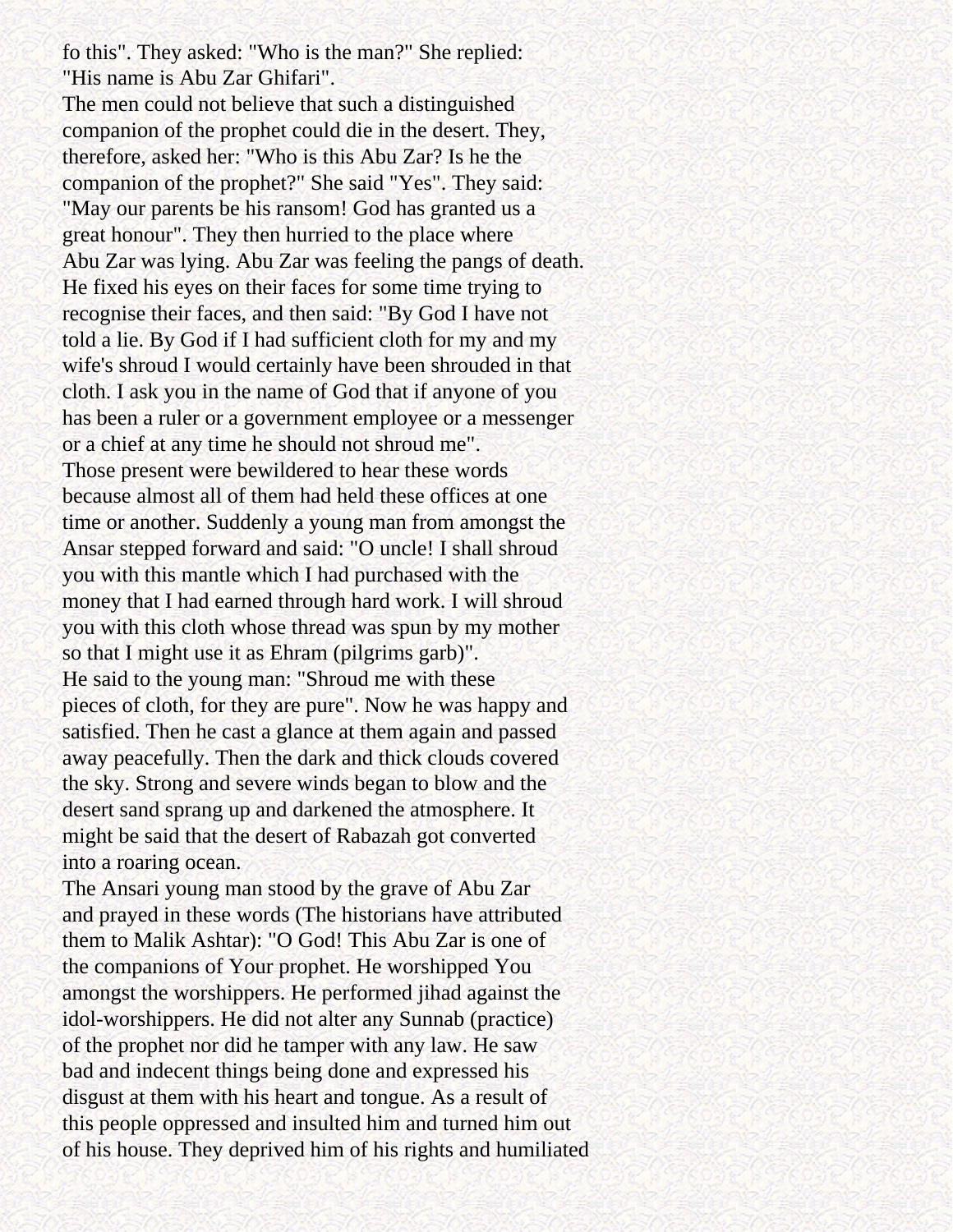fo this". They asked: "Who is the man?" She replied: "His name is Abu Zar Ghifari".

The men could not believe that such a distinguished companion of the prophet could die in the desert. They, therefore, asked her: "Who is this Abu Zar? Is he the companion of the prophet?" She said "Yes". They said: "May our parents be his ransom! God has granted us a great honour". They then hurried to the place where Abu Zar was lying. Abu Zar was feeling the pangs of death. He fixed his eyes on their faces for some time trying to recognise their faces, and then said: "By God I have not told a lie. By God if I had sufficient cloth for my and my wife's shroud I would certainly have been shrouded in that cloth. I ask you in the name of God that if anyone of you has been a ruler or a government employee or a messenger or a chief at any time he should not shroud me". Those present were bewildered to hear these words because almost all of them had held these offices at one time or another. Suddenly a young man from amongst the Ansar stepped forward and said: "O uncle! I shall shroud you with this mantle which I had purchased with the money that I had earned through hard work. I will shroud you with this cloth whose thread was spun by my mother so that I might use it as Ehram (pilgrims garb)". He said to the young man: "Shroud me with these pieces of cloth, for they are pure". Now he was happy and satisfied. Then he cast a glance at them again and passed away peacefully. Then the dark and thick clouds covered the sky. Strong and severe winds began to blow and the desert sand sprang up and darkened the atmosphere. It might be said that the desert of Rabazah got converted into a roaring ocean.

The Ansari young man stood by the grave of Abu Zar and prayed in these words (The historians have attributed them to Malik Ashtar): "O God! This Abu Zar is one of the companions of Your prophet. He worshipped You amongst the worshippers. He performed jihad against the idol-worshippers. He did not alter any Sunnab (practice) of the prophet nor did he tamper with any law. He saw bad and indecent things being done and expressed his disgust at them with his heart and tongue. As a result of this people oppressed and insulted him and turned him out of his house. They deprived him of his rights and humiliated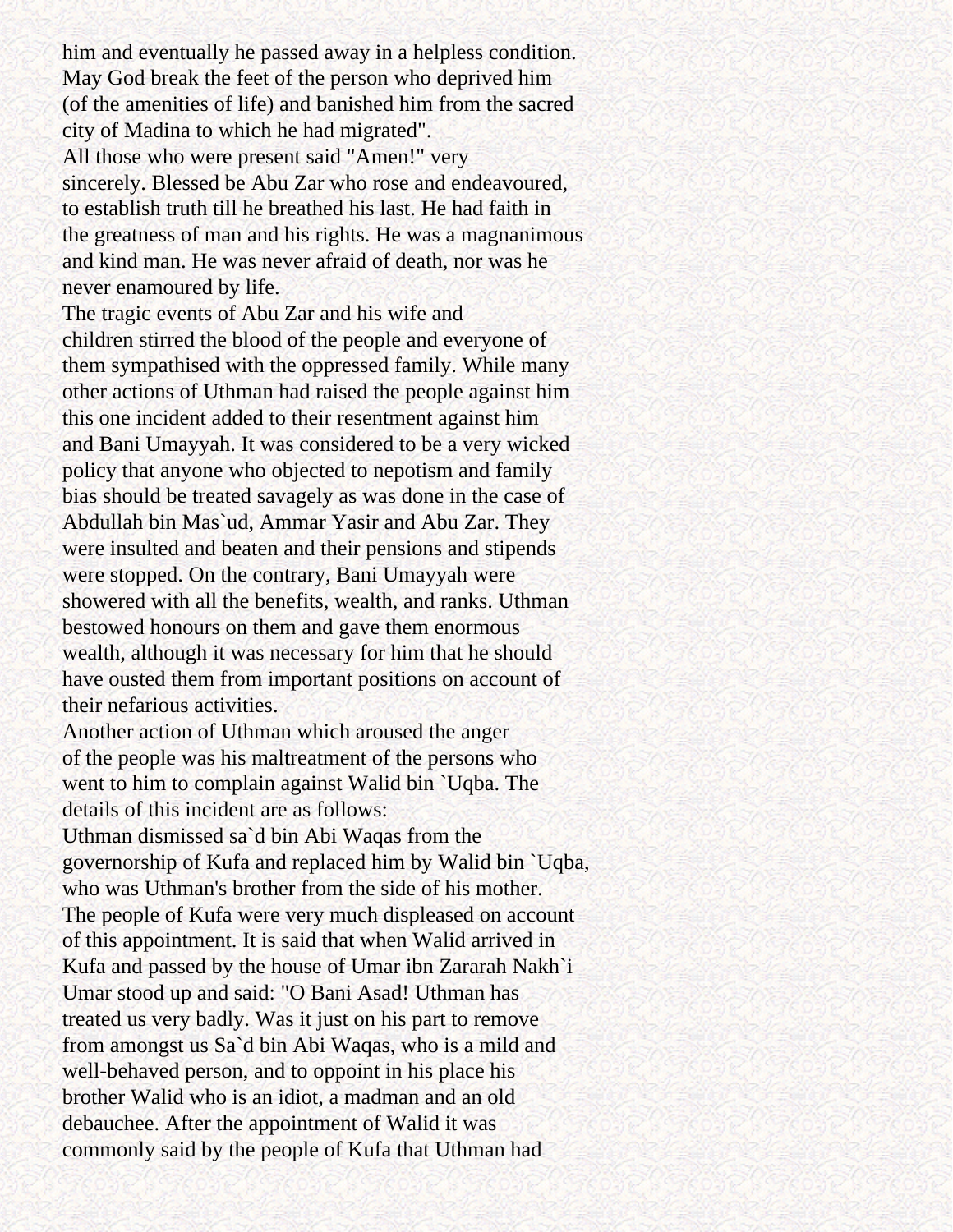him and eventually he passed away in a helpless condition. May God break the feet of the person who deprived him (of the amenities of life) and banished him from the sacred city of Madina to which he had migrated". All those who were present said "Amen!" very sincerely. Blessed be Abu Zar who rose and endeavoured, to establish truth till he breathed his last. He had faith in the greatness of man and his rights. He was a magnanimous and kind man. He was never afraid of death, nor was he never enamoured by life.

The tragic events of Abu Zar and his wife and children stirred the blood of the people and everyone of them sympathised with the oppressed family. While many other actions of Uthman had raised the people against him this one incident added to their resentment against him and Bani Umayyah. It was considered to be a very wicked policy that anyone who objected to nepotism and family bias should be treated savagely as was done in the case of Abdullah bin Mas`ud, Ammar Yasir and Abu Zar. They were insulted and beaten and their pensions and stipends were stopped. On the contrary, Bani Umayyah were showered with all the benefits, wealth, and ranks. Uthman bestowed honours on them and gave them enormous wealth, although it was necessary for him that he should have ousted them from important positions on account of their nefarious activities.

Another action of Uthman which aroused the anger of the people was his maltreatment of the persons who went to him to complain against Walid bin `Uqba. The details of this incident are as follows:

Uthman dismissed sa`d bin Abi Waqas from the governorship of Kufa and replaced him by Walid bin `Uqba, who was Uthman's brother from the side of his mother. The people of Kufa were very much displeased on account of this appointment. It is said that when Walid arrived in Kufa and passed by the house of Umar ibn Zararah Nakh`i Umar stood up and said: "O Bani Asad! Uthman has treated us very badly. Was it just on his part to remove from amongst us Sa`d bin Abi Waqas, who is a mild and well-behaved person, and to oppoint in his place his brother Walid who is an idiot, a madman and an old debauchee. After the appointment of Walid it was commonly said by the people of Kufa that Uthman had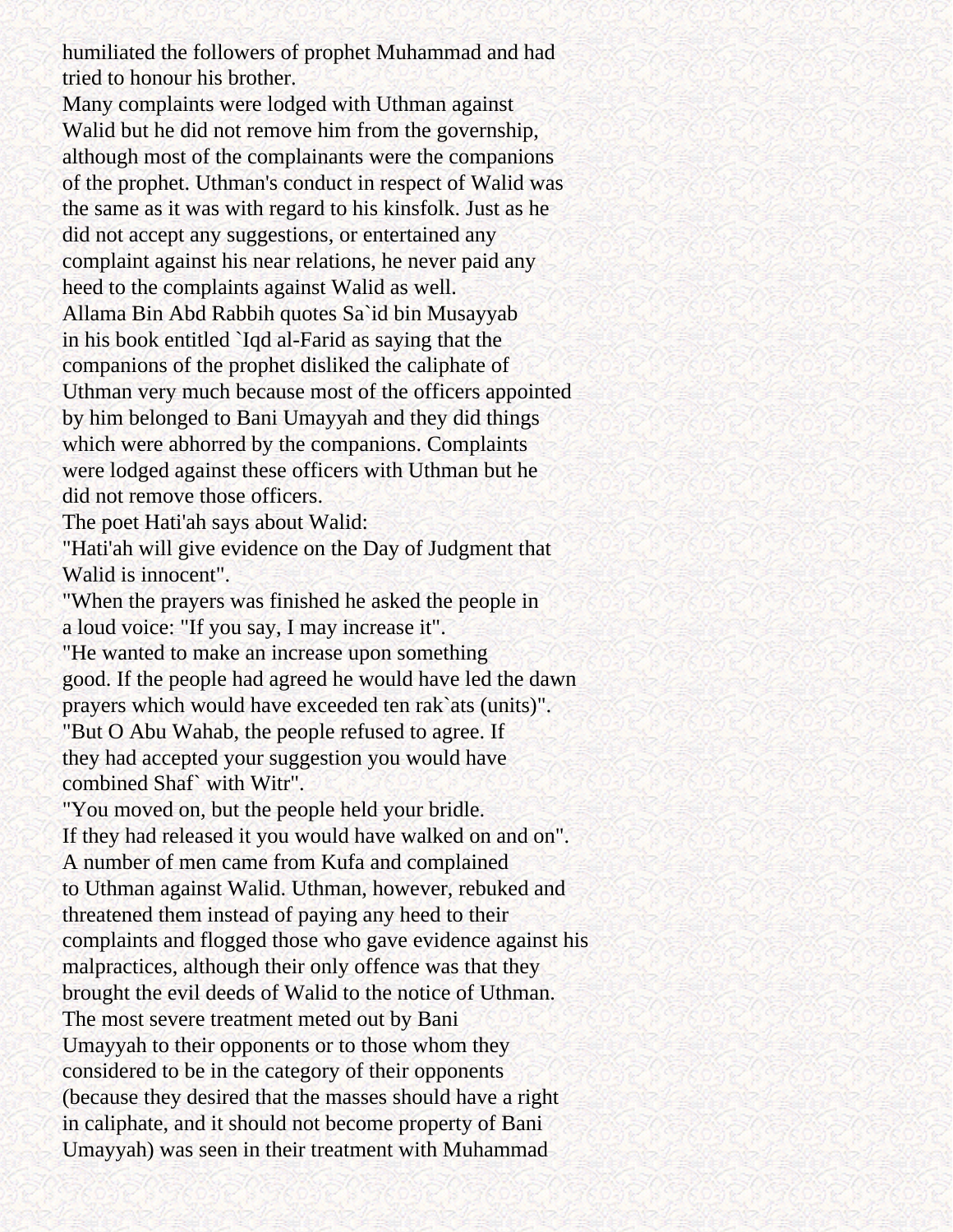humiliated the followers of prophet Muhammad and had tried to honour his brother.

Many complaints were lodged with Uthman against Walid but he did not remove him from the governship, although most of the complainants were the companions of the prophet. Uthman's conduct in respect of Walid was the same as it was with regard to his kinsfolk. Just as he did not accept any suggestions, or entertained any complaint against his near relations, he never paid any heed to the complaints against Walid as well. Allama Bin Abd Rabbih quotes Sa`id bin Musayyab in his book entitled `Iqd al-Farid as saying that the companions of the prophet disliked the caliphate of Uthman very much because most of the officers appointed by him belonged to Bani Umayyah and they did things which were abhorred by the companions. Complaints were lodged against these officers with Uthman but he did not remove those officers.

The poet Hati'ah says about Walid:

"Hati'ah will give evidence on the Day of Judgment that Walid is innocent".

"When the prayers was finished he asked the people in a loud voice: "If you say, I may increase it".

"He wanted to make an increase upon something good. If the people had agreed he would have led the dawn prayers which would have exceeded ten rak`ats (units)". "But O Abu Wahab, the people refused to agree. If they had accepted your suggestion you would have combined Shaf` with Witr".

"You moved on, but the people held your bridle. If they had released it you would have walked on and on". A number of men came from Kufa and complained to Uthman against Walid. Uthman, however, rebuked and threatened them instead of paying any heed to their complaints and flogged those who gave evidence against his malpractices, although their only offence was that they brought the evil deeds of Walid to the notice of Uthman. The most severe treatment meted out by Bani Umayyah to their opponents or to those whom they considered to be in the category of their opponents (because they desired that the masses should have a right in caliphate, and it should not become property of Bani Umayyah) was seen in their treatment with Muhammad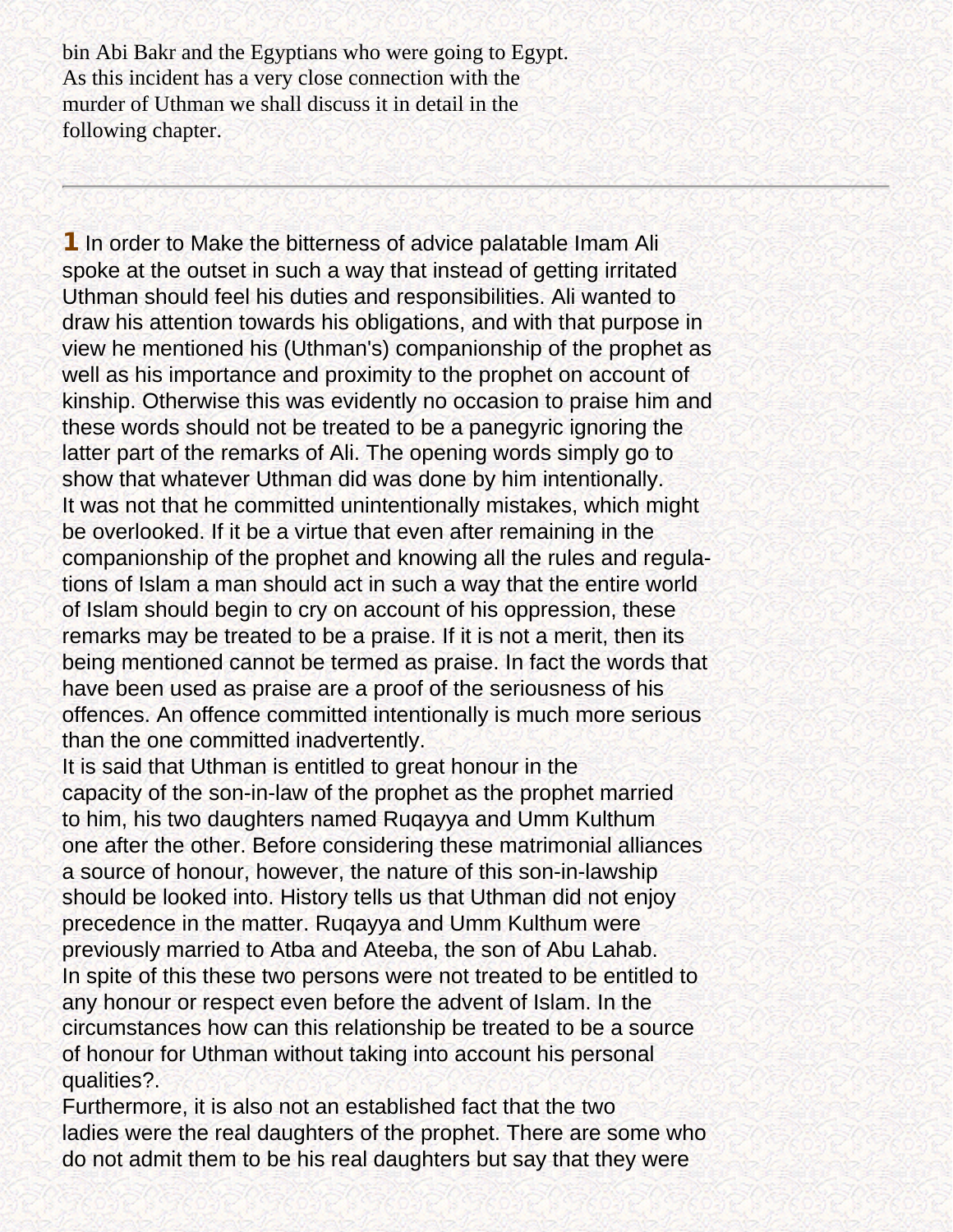bin Abi Bakr and the Egyptians who were going to Egypt. As this incident has a very close connection with the murder of Uthman we shall discuss it in detail in the following chapter.

1 In order to Make the bitterness of advice palatable Imam Ali spoke at the outset in such a way that instead of getting irritated Uthman should feel his duties and responsibilities. Ali wanted to draw his attention towards his obligations, and with that purpose in view he mentioned his (Uthman's) companionship of the prophet as well as his importance and proximity to the prophet on account of kinship. Otherwise this was evidently no occasion to praise him and these words should not be treated to be a panegyric ignoring the latter part of the remarks of Ali. The opening words simply go to show that whatever Uthman did was done by him intentionally. It was not that he committed unintentionally mistakes, which might be overlooked. If it be a virtue that even after remaining in the companionship of the prophet and knowing all the rules and regulations of Islam a man should act in such a way that the entire world of Islam should begin to cry on account of his oppression, these remarks may be treated to be a praise. If it is not a merit, then its being mentioned cannot be termed as praise. In fact the words that have been used as praise are a proof of the seriousness of his offences. An offence committed intentionally is much more serious than the one committed inadvertently.

It is said that Uthman is entitled to great honour in the capacity of the son-in-law of the prophet as the prophet married to him, his two daughters named Ruqayya and Umm Kulthum one after the other. Before considering these matrimonial alliances a source of honour, however, the nature of this son-in-lawship should be looked into. History tells us that Uthman did not enjoy precedence in the matter. Ruqayya and Umm Kulthum were previously married to Atba and Ateeba, the son of Abu Lahab. In spite of this these two persons were not treated to be entitled to any honour or respect even before the advent of Islam. In the circumstances how can this relationship be treated to be a source of honour for Uthman without taking into account his personal qualities?.

Furthermore, it is also not an established fact that the two ladies were the real daughters of the prophet. There are some who do not admit them to be his real daughters but say that they were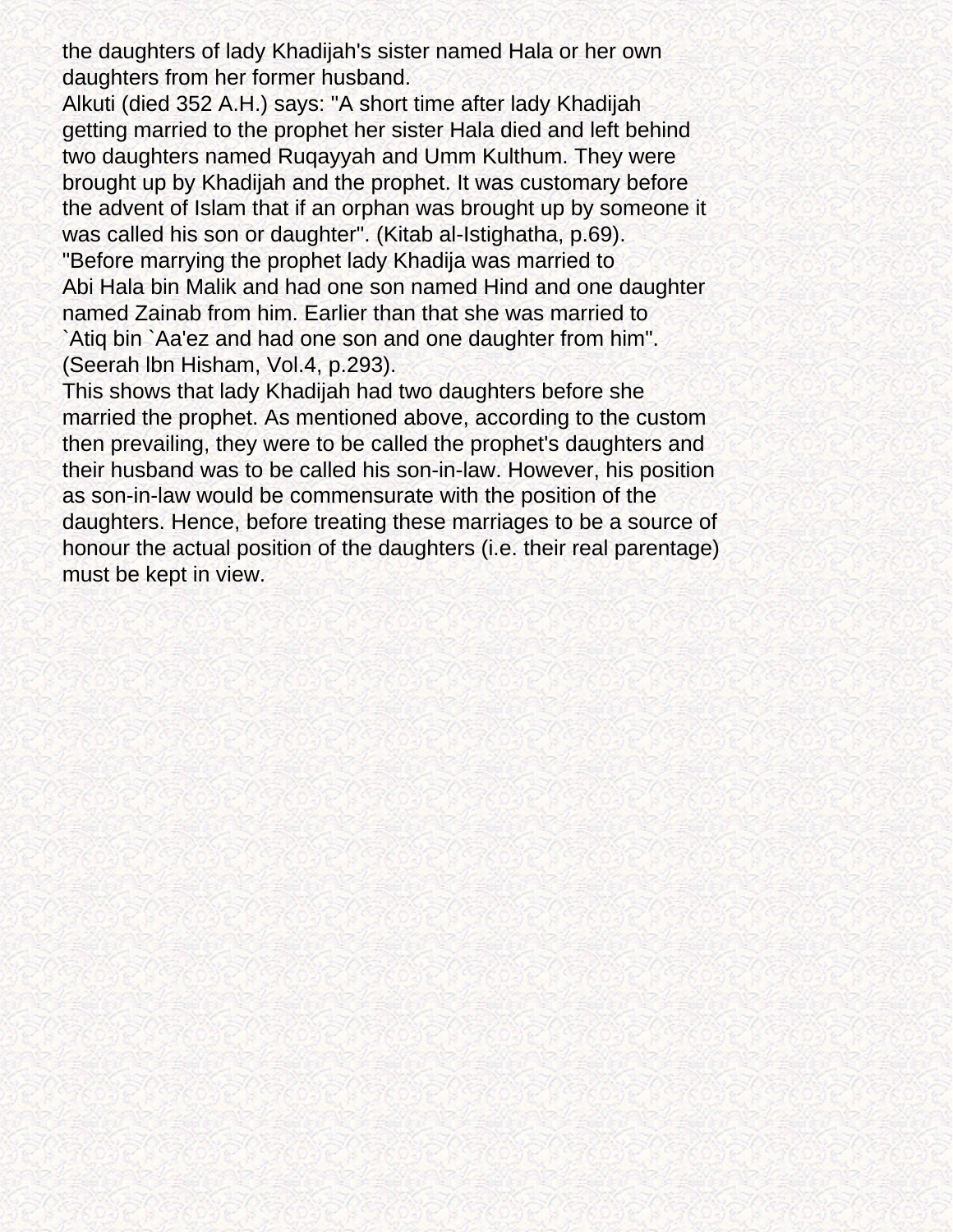the daughters of lady Khadijah's sister named Hala or her own daughters from her former husband.

Alkuti (died 352 A.H.) says: "A short time after lady Khadijah getting married to the prophet her sister Hala died and left behind two daughters named Ruqayyah and Umm Kulthum. They were brought up by Khadijah and the prophet. It was customary before the advent of Islam that if an orphan was brought up by someone it was called his son or daughter". (Kitab al-Istighatha, p.69). "Before marrying the prophet lady Khadija was married to Abi Hala bin Malik and had one son named Hind and one daughter named Zainab from him. Earlier than that she was married to `Atiq bin `Aa'ez and had one son and one daughter from him". (Seerah lbn Hisham, Vol.4, p.293).

This shows that lady Khadijah had two daughters before she married the prophet. As mentioned above, according to the custom then prevailing, they were to be called the prophet's daughters and their husband was to be called his son-in-law. However, his position as son-in-law would be commensurate with the position of the daughters. Hence, before treating these marriages to be a source of honour the actual position of the daughters (i.e. their real parentage) must be kept in view.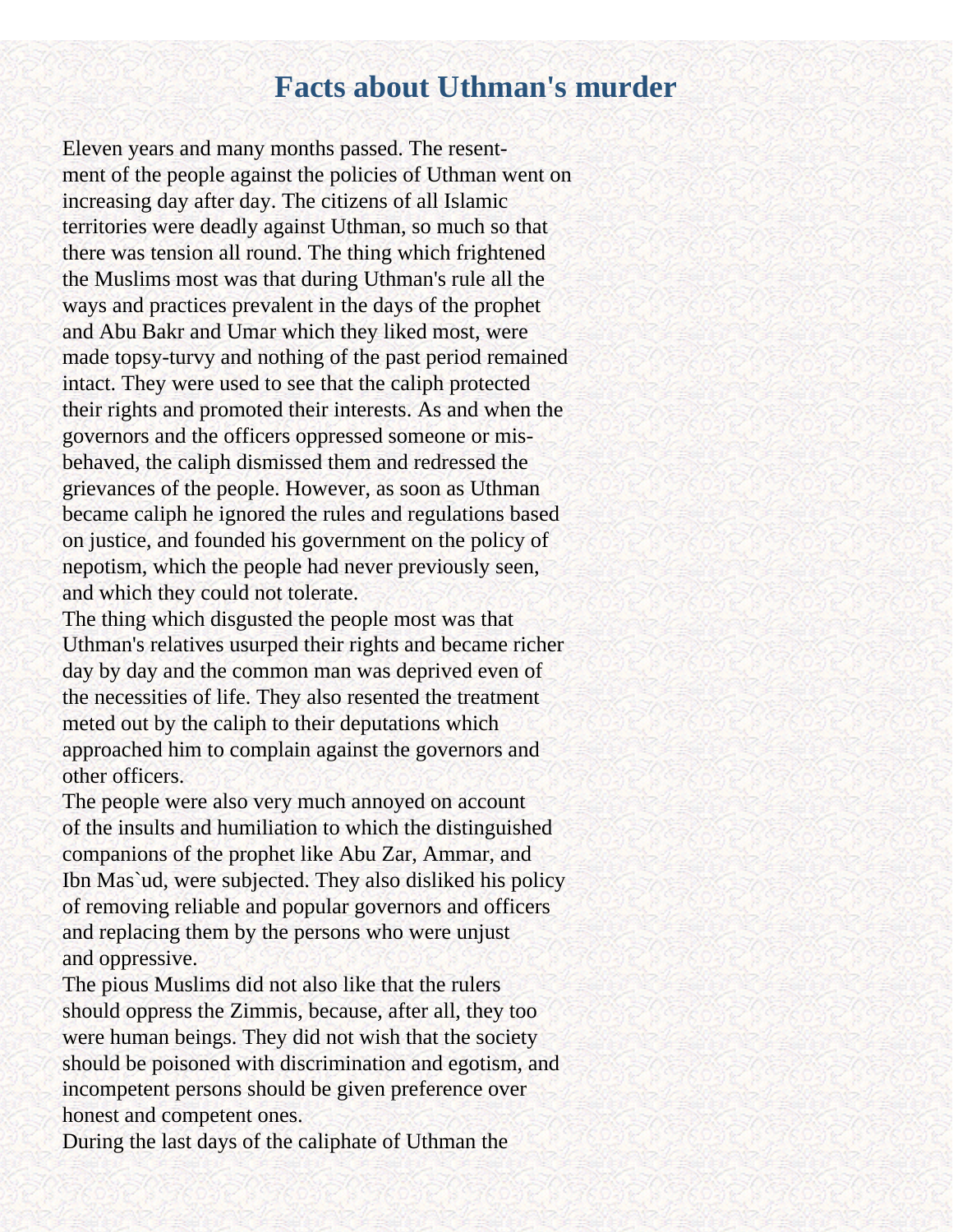## **Facts about Uthman's murder**

Eleven years and many months passed. The resentment of the people against the policies of Uthman went on increasing day after day. The citizens of all Islamic territories were deadly against Uthman, so much so that there was tension all round. The thing which frightened the Muslims most was that during Uthman's rule all the ways and practices prevalent in the days of the prophet and Abu Bakr and Umar which they liked most, were made topsy-turvy and nothing of the past period remained intact. They were used to see that the caliph protected their rights and promoted their interests. As and when the governors and the officers oppressed someone or misbehaved, the caliph dismissed them and redressed the grievances of the people. However, as soon as Uthman became caliph he ignored the rules and regulations based on justice, and founded his government on the policy of nepotism, which the people had never previously seen, and which they could not tolerate.

The thing which disgusted the people most was that Uthman's relatives usurped their rights and became richer day by day and the common man was deprived even of the necessities of life. They also resented the treatment meted out by the caliph to their deputations which approached him to complain against the governors and other officers.

The people were also very much annoyed on account of the insults and humiliation to which the distinguished companions of the prophet like Abu Zar, Ammar, and Ibn Mas`ud, were subjected. They also disliked his policy of removing reliable and popular governors and officers and replacing them by the persons who were unjust and oppressive.

The pious Muslims did not also like that the rulers should oppress the Zimmis, because, after all, they too were human beings. They did not wish that the society should be poisoned with discrimination and egotism, and incompetent persons should be given preference over honest and competent ones.

During the last days of the caliphate of Uthman the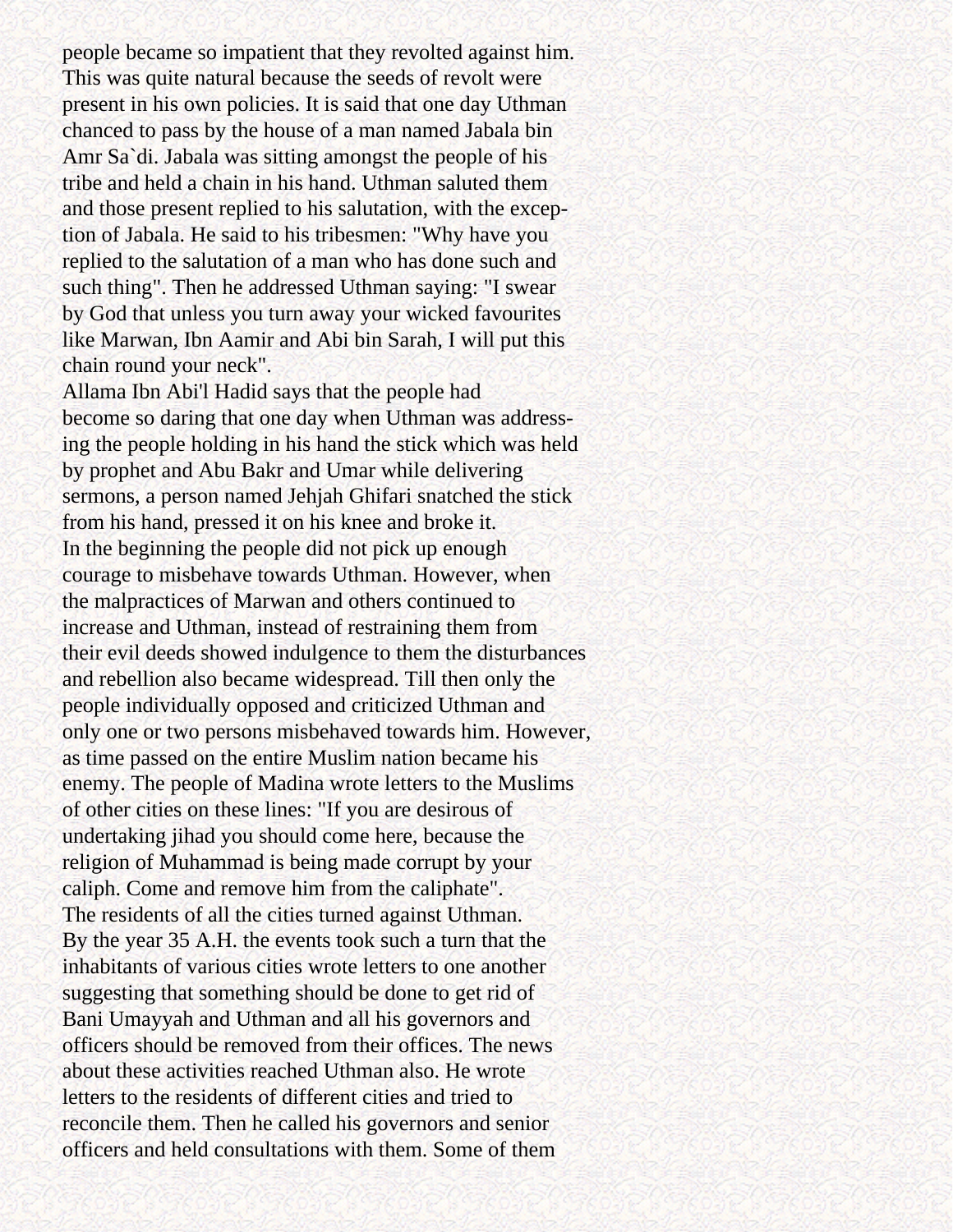people became so impatient that they revolted against him. This was quite natural because the seeds of revolt were present in his own policies. It is said that one day Uthman chanced to pass by the house of a man named Jabala bin Amr Sa`di. Jabala was sitting amongst the people of his tribe and held a chain in his hand. Uthman saluted them and those present replied to his salutation, with the exception of Jabala. He said to his tribesmen: "Why have you replied to the salutation of a man who has done such and such thing". Then he addressed Uthman saying: "I swear by God that unless you turn away your wicked favourites like Marwan, Ibn Aamir and Abi bin Sarah, I will put this chain round your neck".

Allama Ibn Abi'l Hadid says that the people had become so daring that one day when Uthman was addressing the people holding in his hand the stick which was held by prophet and Abu Bakr and Umar while delivering sermons, a person named Jehjah Ghifari snatched the stick from his hand, pressed it on his knee and broke it. In the beginning the people did not pick up enough courage to misbehave towards Uthman. However, when the malpractices of Marwan and others continued to increase and Uthman, instead of restraining them from their evil deeds showed indulgence to them the disturbances and rebellion also became widespread. Till then only the people individually opposed and criticized Uthman and only one or two persons misbehaved towards him. However, as time passed on the entire Muslim nation became his enemy. The people of Madina wrote letters to the Muslims of other cities on these lines: "If you are desirous of undertaking jihad you should come here, because the religion of Muhammad is being made corrupt by your caliph. Come and remove him from the caliphate". The residents of all the cities turned against Uthman. By the year 35 A.H. the events took such a turn that the inhabitants of various cities wrote letters to one another suggesting that something should be done to get rid of Bani Umayyah and Uthman and all his governors and officers should be removed from their offices. The news about these activities reached Uthman also. He wrote letters to the residents of different cities and tried to reconcile them. Then he called his governors and senior officers and held consultations with them. Some of them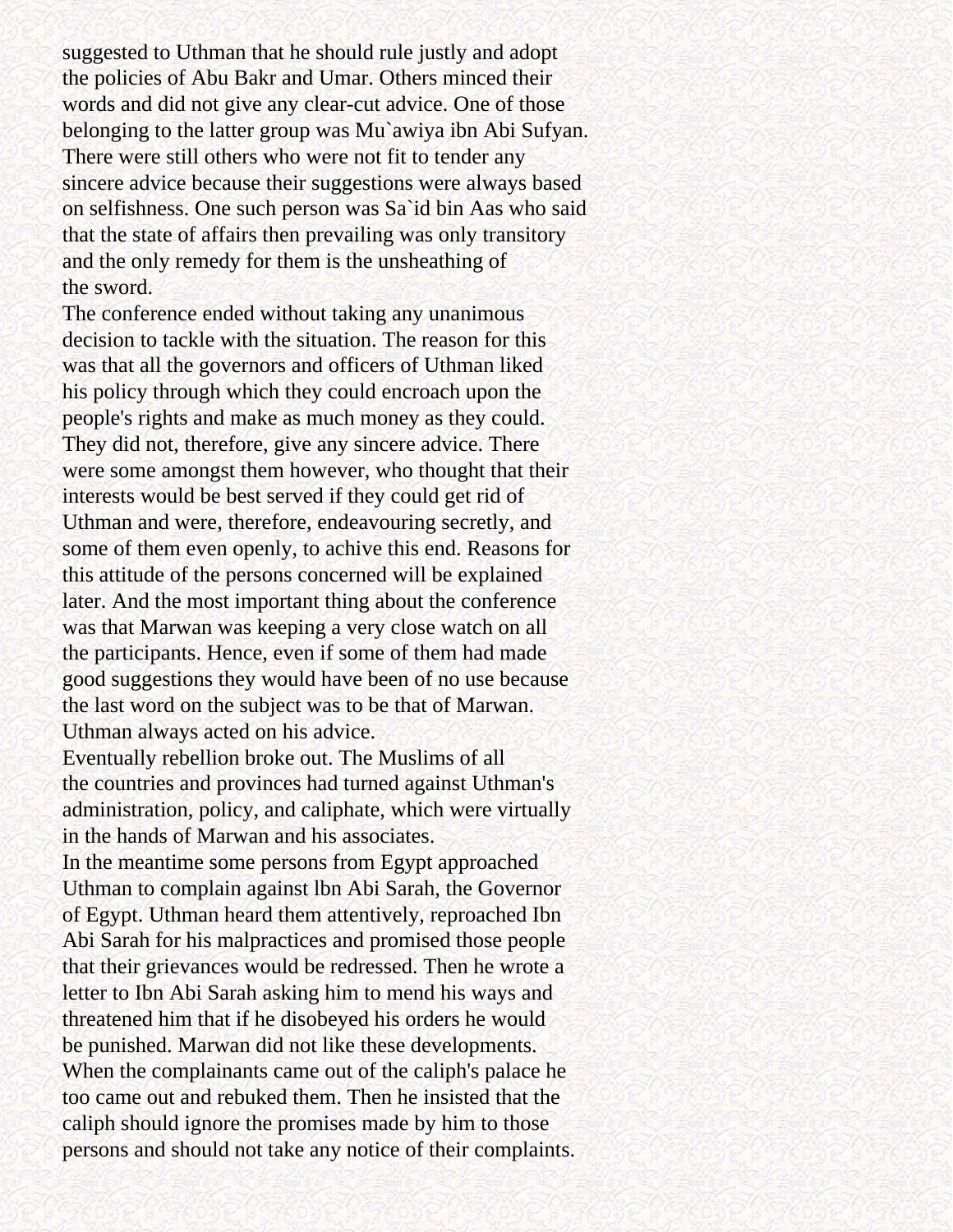suggested to Uthman that he should rule justly and adopt the policies of Abu Bakr and Umar. Others minced their words and did not give any clear-cut advice. One of those belonging to the latter group was Mu`awiya ibn Abi Sufyan. There were still others who were not fit to tender any sincere advice because their suggestions were always based on selfishness. One such person was Sa`id bin Aas who said that the state of affairs then prevailing was only transitory and the only remedy for them is the unsheathing of the sword.

The conference ended without taking any unanimous decision to tackle with the situation. The reason for this was that all the governors and officers of Uthman liked his policy through which they could encroach upon the people's rights and make as much money as they could. They did not, therefore, give any sincere advice. There were some amongst them however, who thought that their interests would be best served if they could get rid of Uthman and were, therefore, endeavouring secretly, and some of them even openly, to achive this end. Reasons for this attitude of the persons concerned will be explained later. And the most important thing about the conference was that Marwan was keeping a very close watch on all the participants. Hence, even if some of them had made good suggestions they would have been of no use because the last word on the subject was to be that of Marwan. Uthman always acted on his advice.

Eventually rebellion broke out. The Muslims of all the countries and provinces had turned against Uthman's administration, policy, and caliphate, which were virtually in the hands of Marwan and his associates.

In the meantime some persons from Egypt approached Uthman to complain against lbn Abi Sarah, the Governor of Egypt. Uthman heard them attentively, reproached Ibn Abi Sarah for his malpractices and promised those people that their grievances would be redressed. Then he wrote a letter to Ibn Abi Sarah asking him to mend his ways and threatened him that if he disobeyed his orders he would be punished. Marwan did not like these developments. When the complainants came out of the caliph's palace he too came out and rebuked them. Then he insisted that the caliph should ignore the promises made by him to those persons and should not take any notice of their complaints.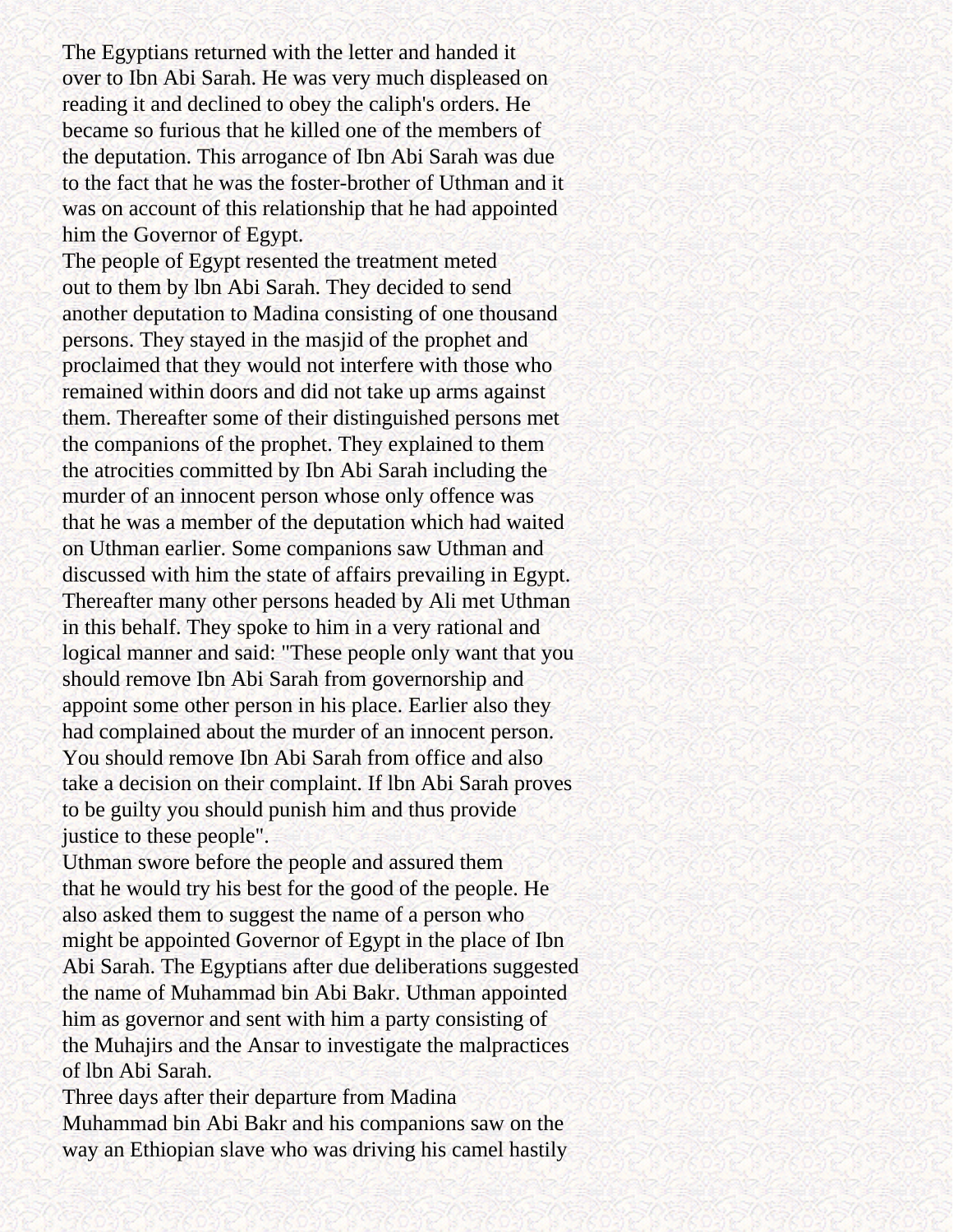The Egyptians returned with the letter and handed it over to Ibn Abi Sarah. He was very much displeased on reading it and declined to obey the caliph's orders. He became so furious that he killed one of the members of the deputation. This arrogance of Ibn Abi Sarah was due to the fact that he was the foster-brother of Uthman and it was on account of this relationship that he had appointed him the Governor of Egypt.

The people of Egypt resented the treatment meted out to them by lbn Abi Sarah. They decided to send another deputation to Madina consisting of one thousand persons. They stayed in the masjid of the prophet and proclaimed that they would not interfere with those who remained within doors and did not take up arms against them. Thereafter some of their distinguished persons met the companions of the prophet. They explained to them the atrocities committed by Ibn Abi Sarah including the murder of an innocent person whose only offence was that he was a member of the deputation which had waited on Uthman earlier. Some companions saw Uthman and discussed with him the state of affairs prevailing in Egypt. Thereafter many other persons headed by Ali met Uthman in this behalf. They spoke to him in a very rational and logical manner and said: "These people only want that you should remove Ibn Abi Sarah from governorship and appoint some other person in his place. Earlier also they had complained about the murder of an innocent person. You should remove Ibn Abi Sarah from office and also take a decision on their complaint. If lbn Abi Sarah proves to be guilty you should punish him and thus provide justice to these people".

Uthman swore before the people and assured them that he would try his best for the good of the people. He also asked them to suggest the name of a person who might be appointed Governor of Egypt in the place of Ibn Abi Sarah. The Egyptians after due deliberations suggested the name of Muhammad bin Abi Bakr. Uthman appointed him as governor and sent with him a party consisting of the Muhajirs and the Ansar to investigate the malpractices of lbn Abi Sarah.

Three days after their departure from Madina Muhammad bin Abi Bakr and his companions saw on the way an Ethiopian slave who was driving his camel hastily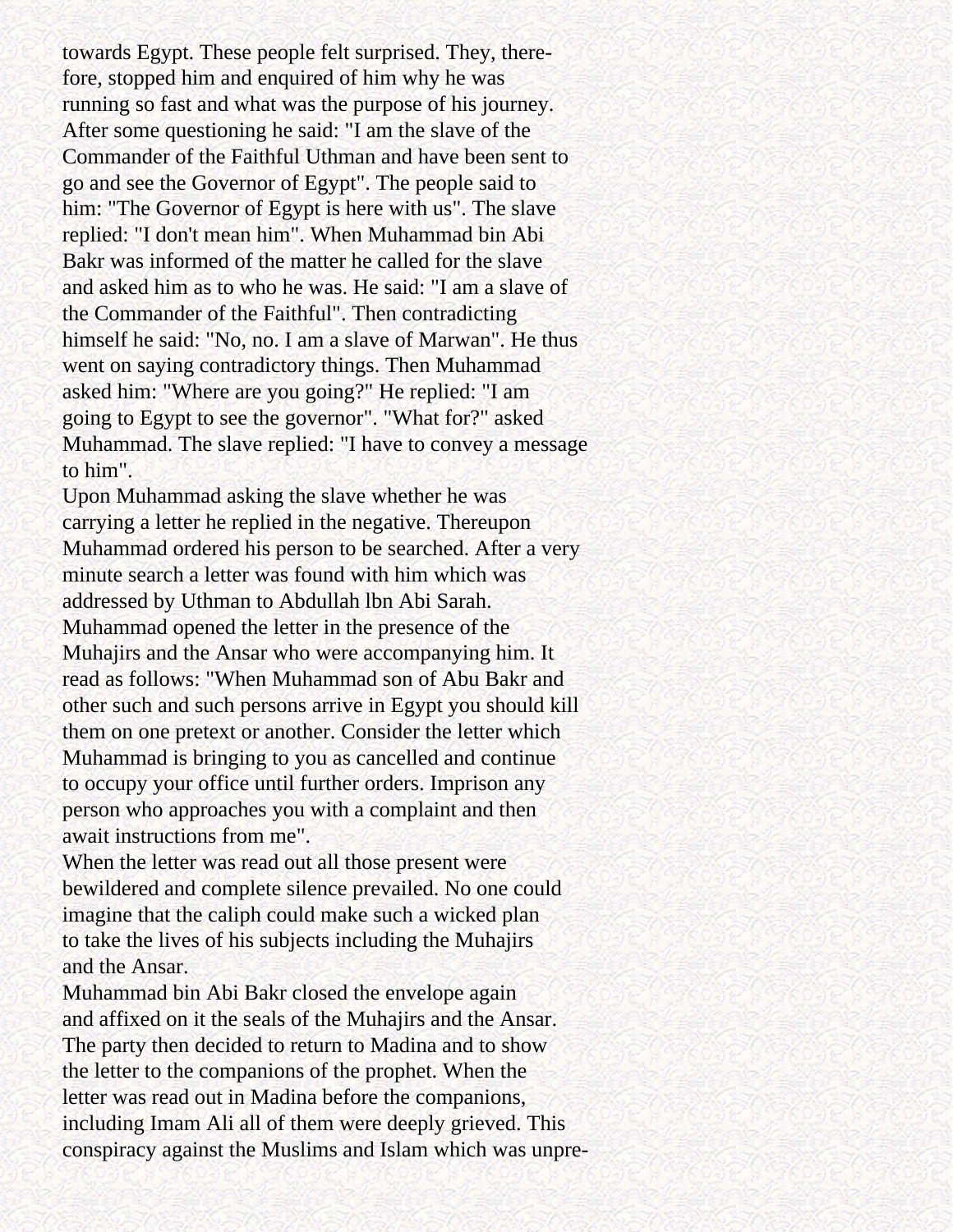towards Egypt. These people felt surprised. They, therefore, stopped him and enquired of him why he was running so fast and what was the purpose of his journey. After some questioning he said: "I am the slave of the Commander of the Faithful Uthman and have been sent to go and see the Governor of Egypt". The people said to him: "The Governor of Egypt is here with us". The slave replied: "I don't mean him". When Muhammad bin Abi Bakr was informed of the matter he called for the slave and asked him as to who he was. He said: "I am a slave of the Commander of the Faithful". Then contradicting himself he said: "No, no. I am a slave of Marwan". He thus went on saying contradictory things. Then Muhammad asked him: "Where are you going?" He replied: "I am going to Egypt to see the governor". "What for?" asked Muhammad. The slave replied: "I have to convey a message to him".

Upon Muhammad asking the slave whether he was carrying a letter he replied in the negative. Thereupon Muhammad ordered his person to be searched. After a very minute search a letter was found with him which was addressed by Uthman to Abdullah lbn Abi Sarah. Muhammad opened the letter in the presence of the Muhajirs and the Ansar who were accompanying him. It read as follows: "When Muhammad son of Abu Bakr and other such and such persons arrive in Egypt you should kill them on one pretext or another. Consider the letter which Muhammad is bringing to you as cancelled and continue to occupy your office until further orders. Imprison any person who approaches you with a complaint and then await instructions from me".

When the letter was read out all those present were bewildered and complete silence prevailed. No one could imagine that the caliph could make such a wicked plan to take the lives of his subjects including the Muhajirs and the Ansar.

Muhammad bin Abi Bakr closed the envelope again and affixed on it the seals of the Muhajirs and the Ansar. The party then decided to return to Madina and to show the letter to the companions of the prophet. When the letter was read out in Madina before the companions, including Imam Ali all of them were deeply grieved. This conspiracy against the Muslims and Islam which was unpre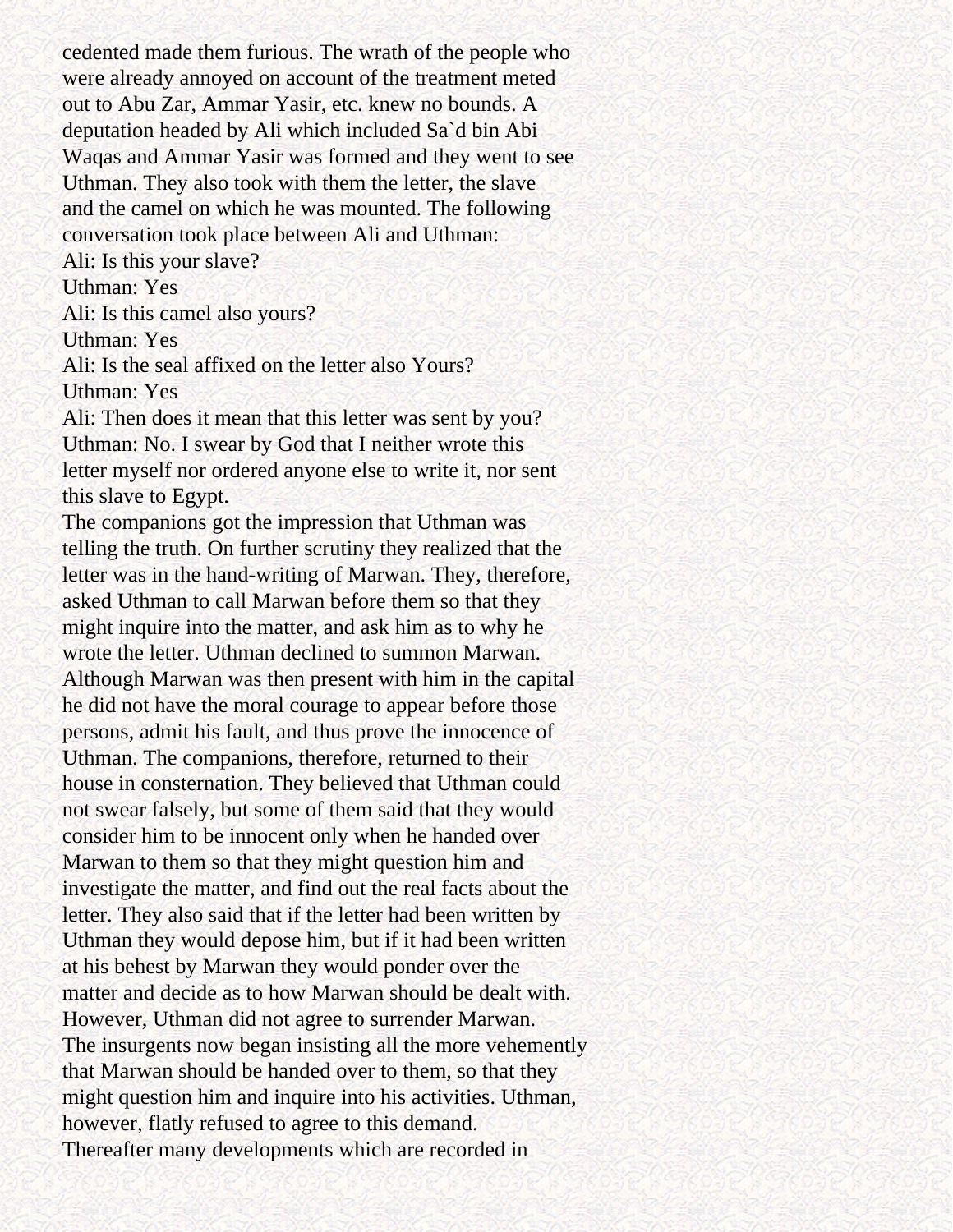cedented made them furious. The wrath of the people who were already annoyed on account of the treatment meted out to Abu Zar, Ammar Yasir, etc. knew no bounds. A deputation headed by Ali which included Sa`d bin Abi Waqas and Ammar Yasir was formed and they went to see Uthman. They also took with them the letter, the slave and the camel on which he was mounted. The following conversation took place between Ali and Uthman: Ali: Is this your slave?

Uthman: Yes

Ali: Is this camel also yours?

Uthman: Yes

Ali: Is the seal affixed on the letter also Yours? Uthman: Yes

Ali: Then does it mean that this letter was sent by you? Uthman: No. I swear by God that I neither wrote this letter myself nor ordered anyone else to write it, nor sent this slave to Egypt.

The companions got the impression that Uthman was telling the truth. On further scrutiny they realized that the letter was in the hand-writing of Marwan. They, therefore, asked Uthman to call Marwan before them so that they might inquire into the matter, and ask him as to why he wrote the letter. Uthman declined to summon Marwan. Although Marwan was then present with him in the capital he did not have the moral courage to appear before those persons, admit his fault, and thus prove the innocence of Uthman. The companions, therefore, returned to their house in consternation. They believed that Uthman could not swear falsely, but some of them said that they would consider him to be innocent only when he handed over Marwan to them so that they might question him and investigate the matter, and find out the real facts about the letter. They also said that if the letter had been written by Uthman they would depose him, but if it had been written at his behest by Marwan they would ponder over the matter and decide as to how Marwan should be dealt with. However, Uthman did not agree to surrender Marwan. The insurgents now began insisting all the more vehemently that Marwan should be handed over to them, so that they might question him and inquire into his activities. Uthman, however, flatly refused to agree to this demand. Thereafter many developments which are recorded in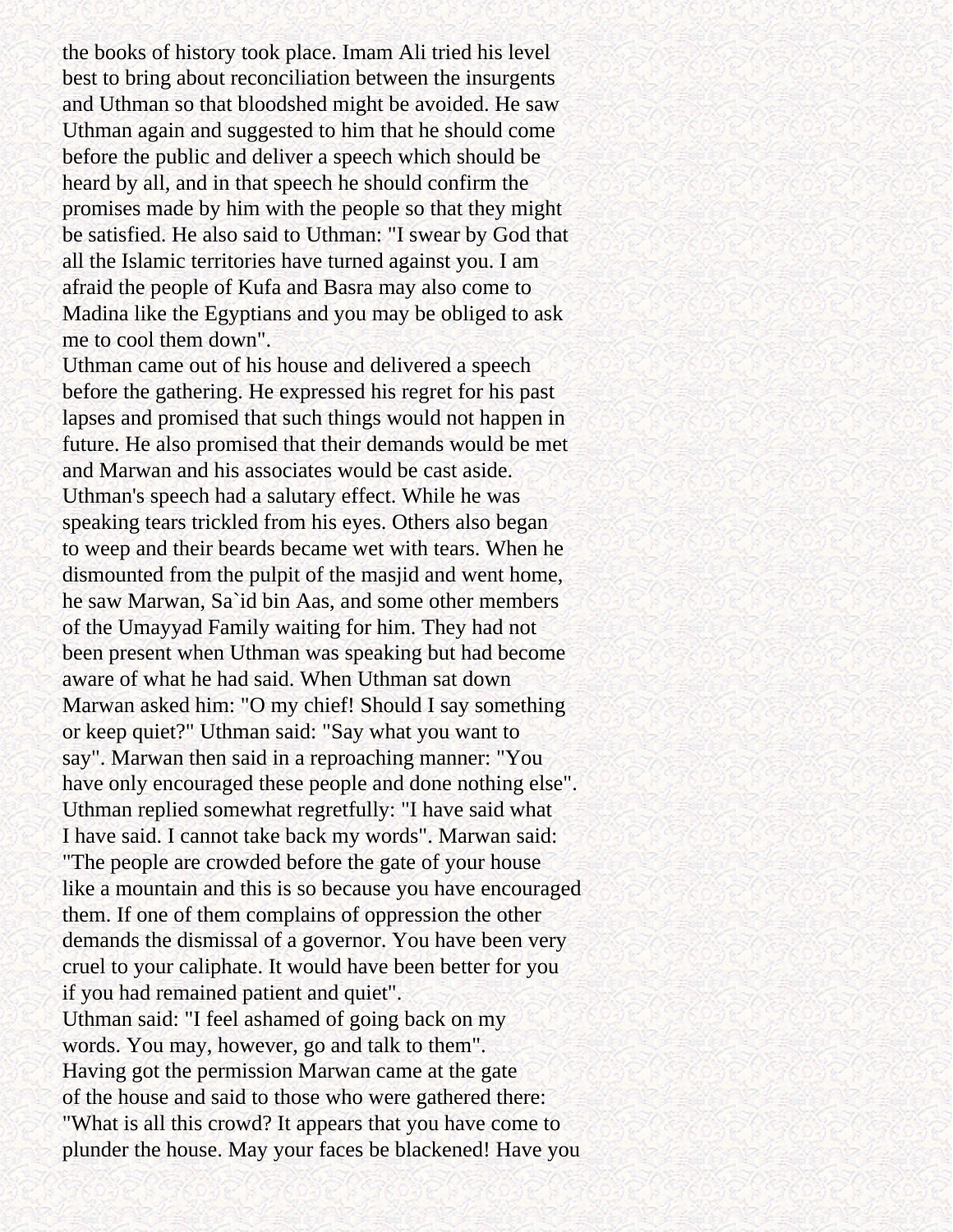the books of history took place. Imam Ali tried his level best to bring about reconciliation between the insurgents and Uthman so that bloodshed might be avoided. He saw Uthman again and suggested to him that he should come before the public and deliver a speech which should be heard by all, and in that speech he should confirm the promises made by him with the people so that they might be satisfied. He also said to Uthman: "I swear by God that all the Islamic territories have turned against you. I am afraid the people of Kufa and Basra may also come to Madina like the Egyptians and you may be obliged to ask me to cool them down".

Uthman came out of his house and delivered a speech before the gathering. He expressed his regret for his past lapses and promised that such things would not happen in future. He also promised that their demands would be met and Marwan and his associates would be cast aside. Uthman's speech had a salutary effect. While he was speaking tears trickled from his eyes. Others also began to weep and their beards became wet with tears. When he dismounted from the pulpit of the masjid and went home, he saw Marwan, Sa`id bin Aas, and some other members of the Umayyad Family waiting for him. They had not been present when Uthman was speaking but had become aware of what he had said. When Uthman sat down Marwan asked him: "O my chief! Should I say something or keep quiet?" Uthman said: "Say what you want to say". Marwan then said in a reproaching manner: "You have only encouraged these people and done nothing else". Uthman replied somewhat regretfully: "I have said what I have said. I cannot take back my words". Marwan said: "The people are crowded before the gate of your house like a mountain and this is so because you have encouraged them. If one of them complains of oppression the other demands the dismissal of a governor. You have been very cruel to your caliphate. It would have been better for you if you had remained patient and quiet". Uthman said: "I feel ashamed of going back on my words. You may, however, go and talk to them". Having got the permission Marwan came at the gate of the house and said to those who were gathered there:

"What is all this crowd? It appears that you have come to plunder the house. May your faces be blackened! Have you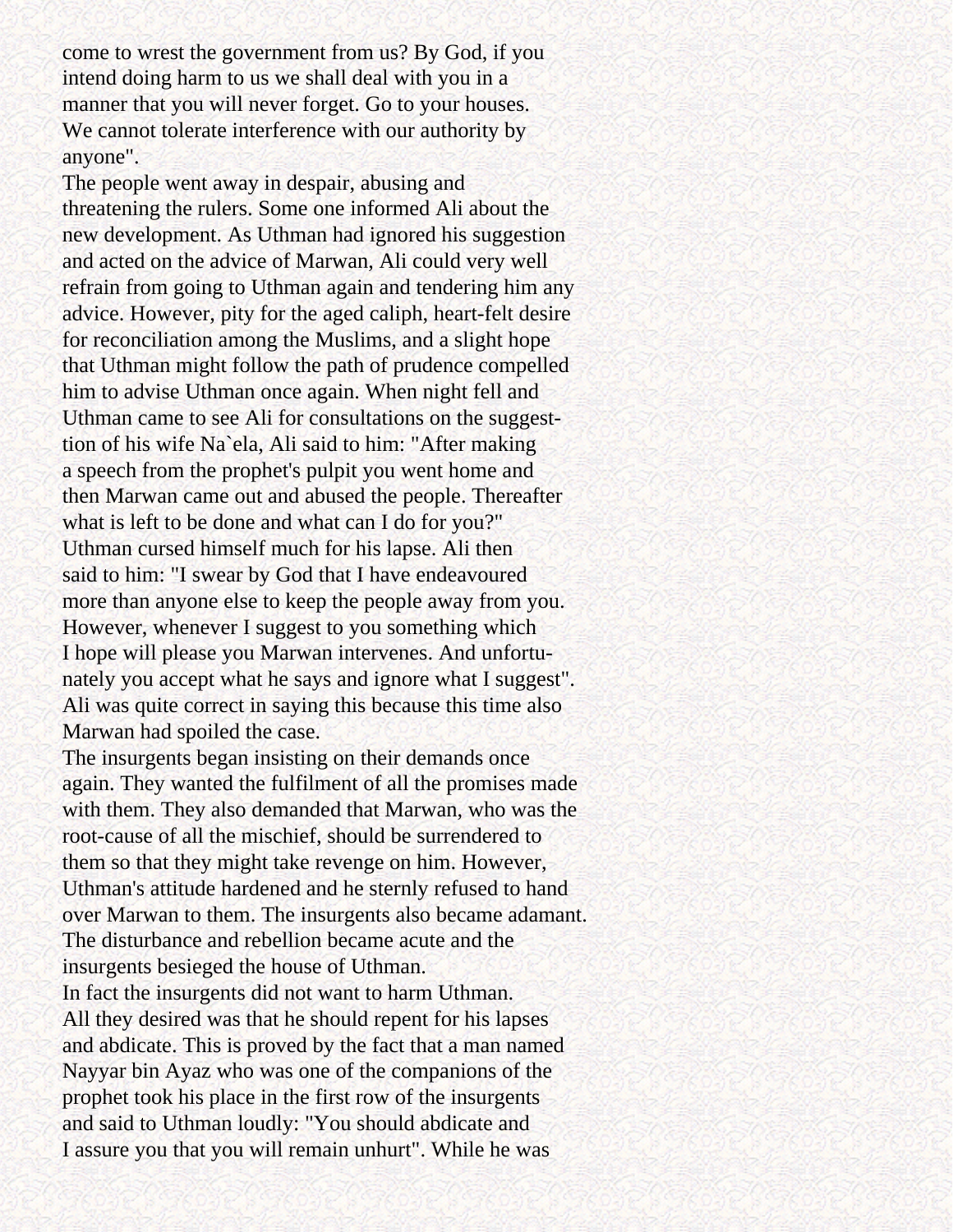come to wrest the government from us? By God, if you intend doing harm to us we shall deal with you in a manner that you will never forget. Go to your houses. We cannot tolerate interference with our authority by anyone".

The people went away in despair, abusing and threatening the rulers. Some one informed Ali about the new development. As Uthman had ignored his suggestion and acted on the advice of Marwan, Ali could very well refrain from going to Uthman again and tendering him any advice. However, pity for the aged caliph, heart-felt desire for reconciliation among the Muslims, and a slight hope that Uthman might follow the path of prudence compelled him to advise Uthman once again. When night fell and Uthman came to see Ali for consultations on the suggesttion of his wife Na`ela, Ali said to him: "After making a speech from the prophet's pulpit you went home and then Marwan came out and abused the people. Thereafter what is left to be done and what can I do for you?" Uthman cursed himself much for his lapse. Ali then said to him: "I swear by God that I have endeavoured more than anyone else to keep the people away from you. However, whenever I suggest to you something which I hope will please you Marwan intervenes. And unfortunately you accept what he says and ignore what I suggest". Ali was quite correct in saying this because this time also Marwan had spoiled the case.

The insurgents began insisting on their demands once again. They wanted the fulfilment of all the promises made with them. They also demanded that Marwan, who was the root-cause of all the mischief, should be surrendered to them so that they might take revenge on him. However, Uthman's attitude hardened and he sternly refused to hand over Marwan to them. The insurgents also became adamant. The disturbance and rebellion became acute and the insurgents besieged the house of Uthman. In fact the insurgents did not want to harm Uthman. All they desired was that he should repent for his lapses and abdicate. This is proved by the fact that a man named Nayyar bin Ayaz who was one of the companions of the prophet took his place in the first row of the insurgents and said to Uthman loudly: "You should abdicate and I assure you that you will remain unhurt". While he was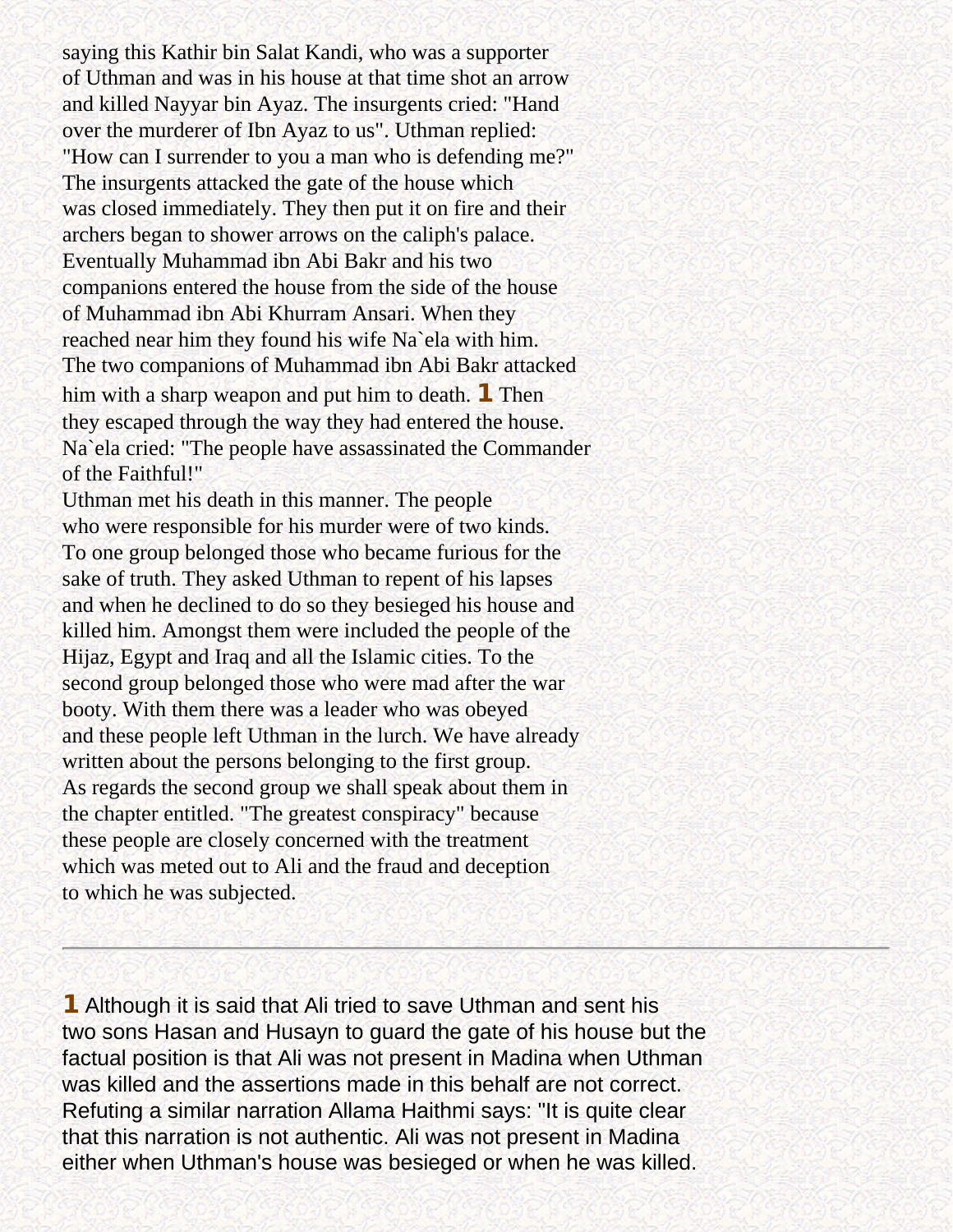saying this Kathir bin Salat Kandi, who was a supporter of Uthman and was in his house at that time shot an arrow and killed Nayyar bin Ayaz. The insurgents cried: "Hand over the murderer of Ibn Ayaz to us". Uthman replied: "How can I surrender to you a man who is defending me?" The insurgents attacked the gate of the house which was closed immediately. They then put it on fire and their archers began to shower arrows on the caliph's palace. Eventually Muhammad ibn Abi Bakr and his two companions entered the house from the side of the house of Muhammad ibn Abi Khurram Ansari. When they reached near him they found his wife Na`ela with him. The two companions of Muhammad ibn Abi Bakr attacked him with a sharp weapon and put him to death. **1** Then they escaped through the way they had entered the house. Na`ela cried: "The people have assassinated the Commander

Uthman met his death in this manner. The people who were responsible for his murder were of two kinds. To one group belonged those who became furious for the sake of truth. They asked Uthman to repent of his lapses and when he declined to do so they besieged his house and killed him. Amongst them were included the people of the Hijaz, Egypt and Iraq and all the Islamic cities. To the second group belonged those who were mad after the war booty. With them there was a leader who was obeyed and these people left Uthman in the lurch. We have already written about the persons belonging to the first group. As regards the second group we shall speak about them in the chapter entitled. "The greatest conspiracy" because these people are closely concerned with the treatment which was meted out to Ali and the fraud and deception to which he was subjected.

of the Faithful!"

1 Although it is said that Ali tried to save Uthman and sent his two sons Hasan and Husayn to guard the gate of his house but the factual position is that Ali was not present in Madina when Uthman was killed and the assertions made in this behalf are not correct. Refuting a similar narration Allama Haithmi says: "It is quite clear that this narration is not authentic. Ali was not present in Madina either when Uthman's house was besieged or when he was killed.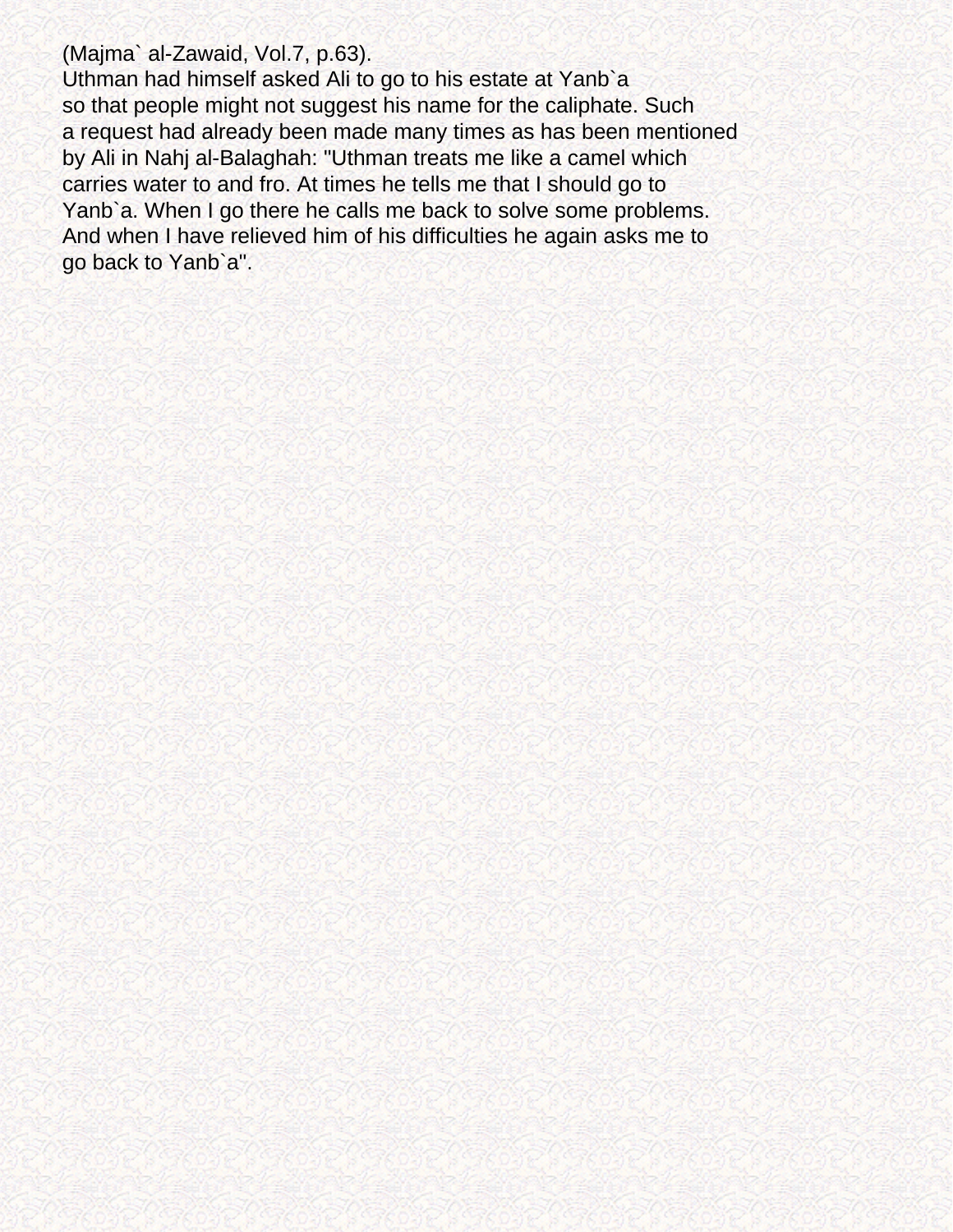(Majma` al-Zawaid, Vol.7, p.63).

Uthman had himself asked Ali to go to his estate at Yanb`a so that people might not suggest his name for the caliphate. Such a request had already been made many times as has been mentioned by Ali in Nahj al-Balaghah: "Uthman treats me like a camel which carries water to and fro. At times he tells me that I should go to Yanb`a. When I go there he calls me back to solve some problems. And when I have relieved him of his difficulties he again asks me to go back to Yanb`a".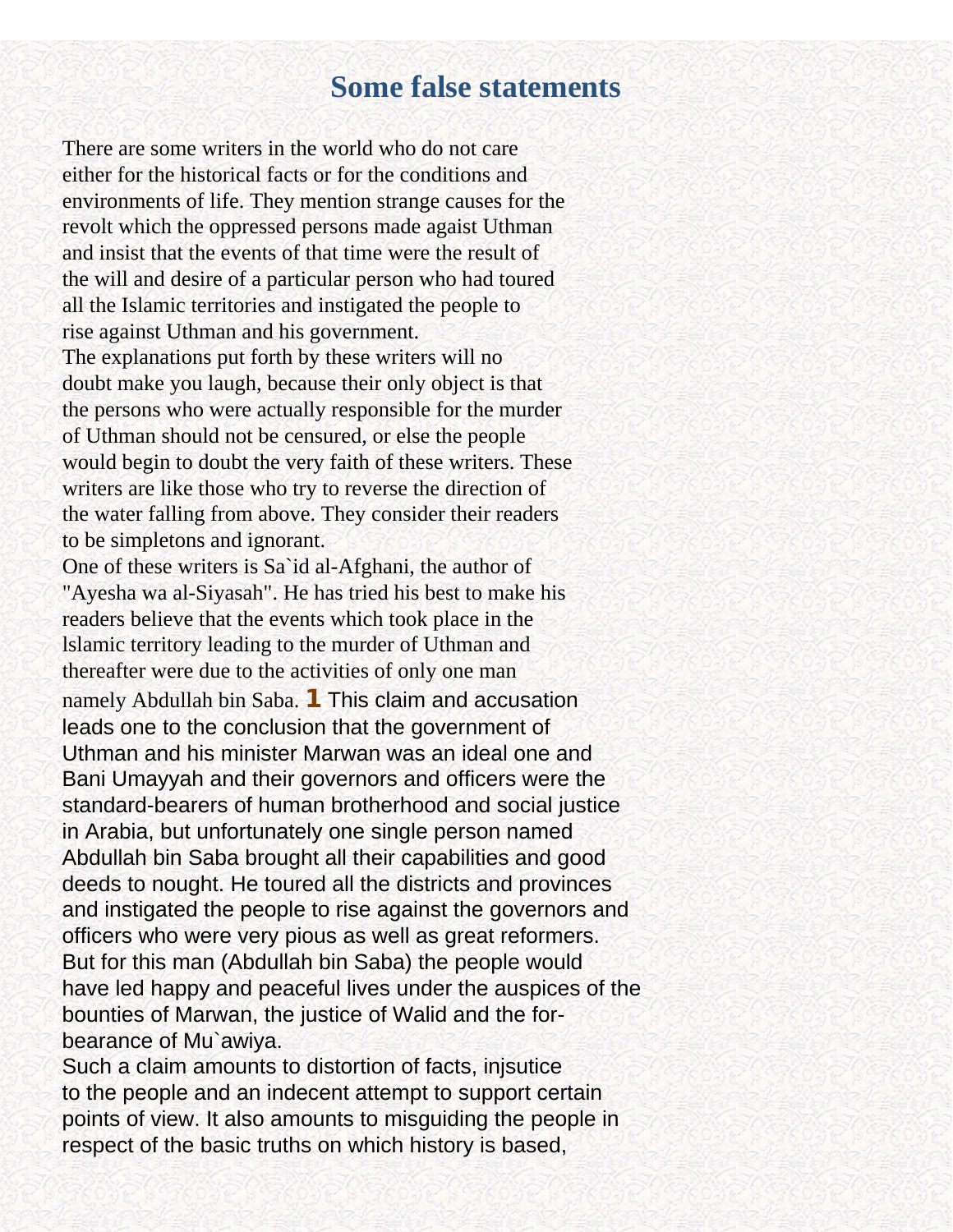## **Some false statements**

There are some writers in the world who do not care either for the historical facts or for the conditions and environments of life. They mention strange causes for the revolt which the oppressed persons made agaist Uthman and insist that the events of that time were the result of the will and desire of a particular person who had toured all the Islamic territories and instigated the people to rise against Uthman and his government. The explanations put forth by these writers will no doubt make you laugh, because their only object is that the persons who were actually responsible for the murder of Uthman should not be censured, or else the people would begin to doubt the very faith of these writers. These writers are like those who try to reverse the direction of the water falling from above. They consider their readers to be simpletons and ignorant.

One of these writers is Sa`id al-Afghani, the author of "Ayesha wa al-Siyasah". He has tried his best to make his readers believe that the events which took place in the lslamic territory leading to the murder of Uthman and thereafter were due to the activities of only one man namely Abdullah bin Saba. 1 This claim and accusation leads one to the conclusion that the government of Uthman and his minister Marwan was an ideal one and Bani Umayyah and their governors and officers were the standard-bearers of human brotherhood and social justice in Arabia, but unfortunately one single person named Abdullah bin Saba brought all their capabilities and good deeds to nought. He toured all the districts and provinces and instigated the people to rise against the governors and officers who were very pious as well as great reformers. But for this man (Abdullah bin Saba) the people would have led happy and peaceful lives under the auspices of the bounties of Marwan, the justice of Walid and the forbearance of Mu`awiya.

Such a claim amounts to distortion of facts, injsutice to the people and an indecent attempt to support certain points of view. It also amounts to misguiding the people in respect of the basic truths on which history is based,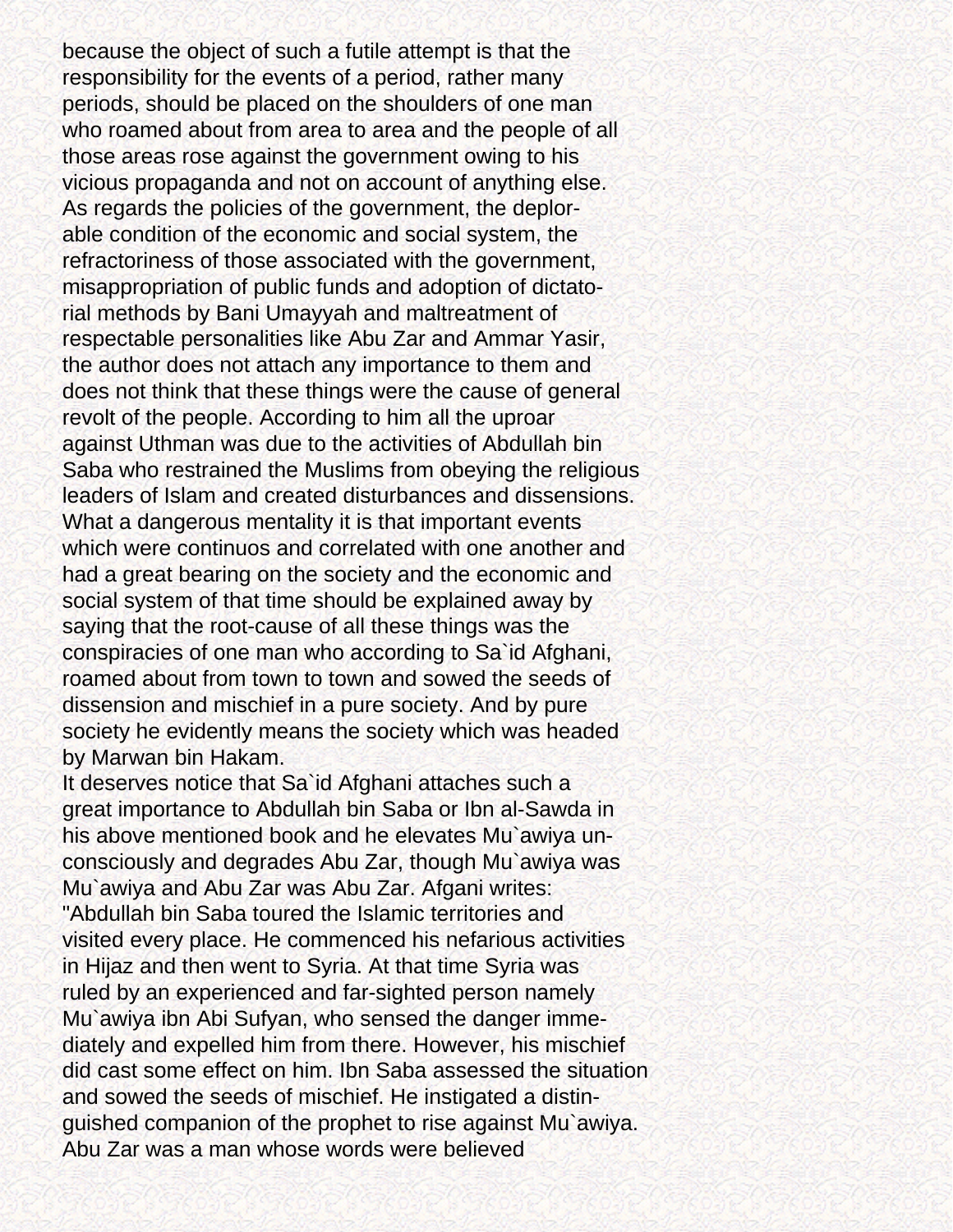because the object of such a futile attempt is that the responsibility for the events of a period, rather many periods, should be placed on the shoulders of one man who roamed about from area to area and the people of all those areas rose against the government owing to his vicious propaganda and not on account of anything else. As regards the policies of the government, the deplorable condition of the economic and social system, the refractoriness of those associated with the government, misappropriation of public funds and adoption of dictatorial methods by Bani Umayyah and maltreatment of respectable personalities like Abu Zar and Ammar Yasir, the author does not attach any importance to them and does not think that these things were the cause of general revolt of the people. According to him all the uproar against Uthman was due to the activities of Abdullah bin Saba who restrained the Muslims from obeying the religious leaders of Islam and created disturbances and dissensions. What a dangerous mentality it is that important events which were continuos and correlated with one another and had a great bearing on the society and the economic and social system of that time should be explained away by saying that the root-cause of all these things was the conspiracies of one man who according to Sa`id Afghani, roamed about from town to town and sowed the seeds of dissension and mischief in a pure society. And by pure society he evidently means the society which was headed by Marwan bin Hakam.

It deserves notice that Sa`id Afghani attaches such a great importance to Abdullah bin Saba or Ibn al-Sawda in his above mentioned book and he elevates Mu`awiya unconsciously and degrades Abu Zar, though Mu`awiya was Mu`awiya and Abu Zar was Abu Zar. Afgani writes: "Abdullah bin Saba toured the Islamic territories and visited every place. He commenced his nefarious activities in Hijaz and then went to Syria. At that time Syria was ruled by an experienced and far-sighted person namely Mu`awiya ibn Abi Sufyan, who sensed the danger immediately and expelled him from there. However, his mischief did cast some effect on him. Ibn Saba assessed the situation and sowed the seeds of mischief. He instigated a distinguished companion of the prophet to rise against Mu`awiya. Abu Zar was a man whose words were believed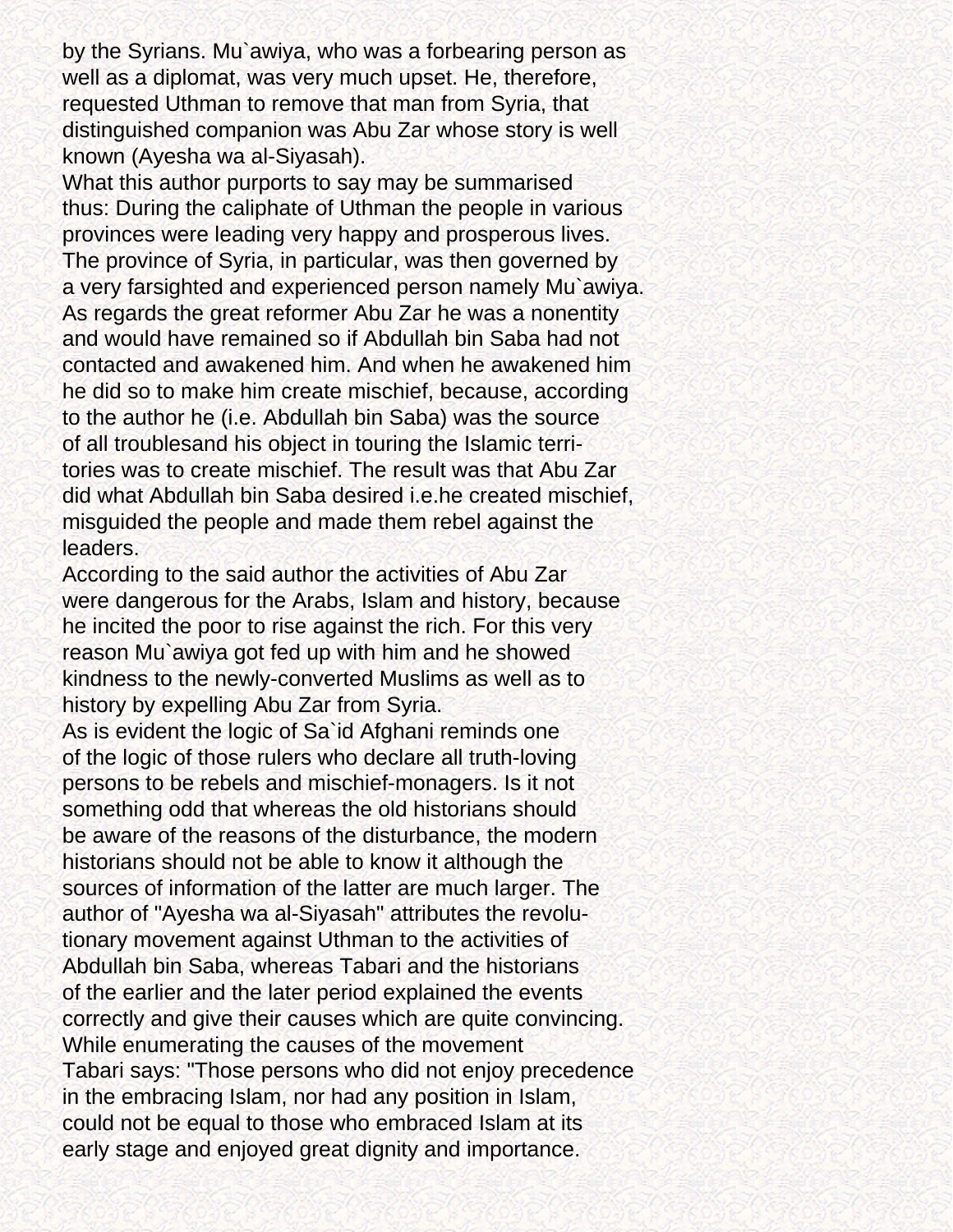by the Syrians. Mu`awiya, who was a forbearing person as well as a diplomat, was very much upset. He, therefore, requested Uthman to remove that man from Syria, that distinguished companion was Abu Zar whose story is well known (Ayesha wa al-Siyasah).

What this author purports to say may be summarised thus: During the caliphate of Uthman the people in various provinces were leading very happy and prosperous lives. The province of Syria, in particular, was then governed by a very farsighted and experienced person namely Mu`awiya. As regards the great reformer Abu Zar he was a nonentity and would have remained so if Abdullah bin Saba had not contacted and awakened him. And when he awakened him he did so to make him create mischief, because, according to the author he (i.e. Abdullah bin Saba) was the source of all troublesand his object in touring the Islamic territories was to create mischief. The result was that Abu Zar did what Abdullah bin Saba desired i.e.he created mischief, misguided the people and made them rebel against the leaders.

According to the said author the activities of Abu Zar were dangerous for the Arabs, Islam and history, because he incited the poor to rise against the rich. For this very reason Mu`awiya got fed up with him and he showed kindness to the newly-converted Muslims as well as to history by expelling Abu Zar from Syria.

As is evident the logic of Sa`id Afghani reminds one of the logic of those rulers who declare all truth-loving persons to be rebels and mischief-monagers. Is it not something odd that whereas the old historians should be aware of the reasons of the disturbance, the modern historians should not be able to know it although the sources of information of the latter are much larger. The author of "Ayesha wa al-Siyasah" attributes the revolutionary movement against Uthman to the activities of Abdullah bin Saba, whereas Tabari and the historians of the earlier and the later period explained the events correctly and give their causes which are quite convincing. While enumerating the causes of the movement Tabari says: "Those persons who did not enjoy precedence in the embracing Islam, nor had any position in Islam, could not be equal to those who embraced Islam at its early stage and enjoyed great dignity and importance.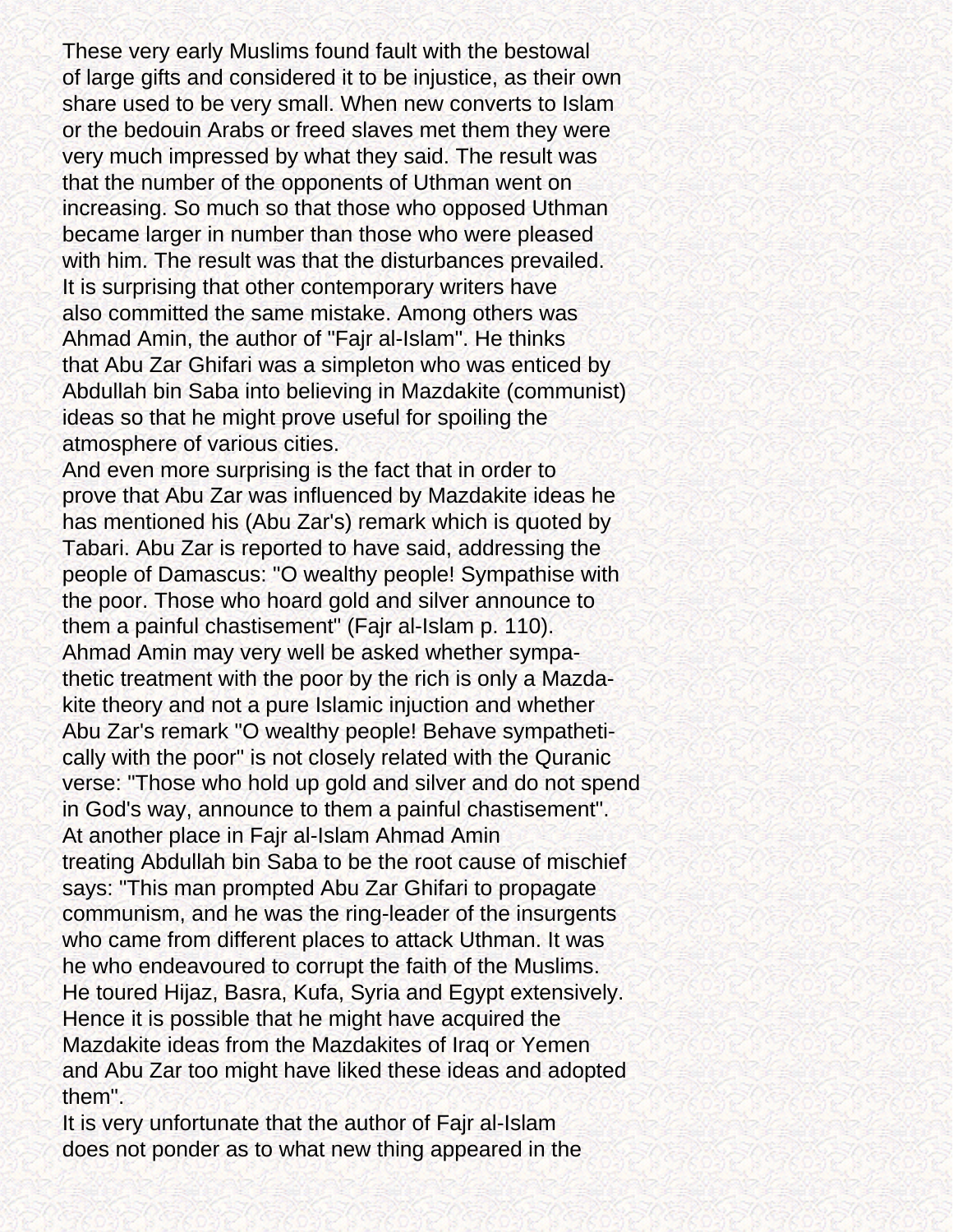These very early Muslims found fault with the bestowal of large gifts and considered it to be injustice, as their own share used to be very small. When new converts to Islam or the bedouin Arabs or freed slaves met them they were very much impressed by what they said. The result was that the number of the opponents of Uthman went on increasing. So much so that those who opposed Uthman became larger in number than those who were pleased with him. The result was that the disturbances prevailed. It is surprising that other contemporary writers have also committed the same mistake. Among others was Ahmad Amin, the author of "Fajr al-Islam". He thinks that Abu Zar Ghifari was a simpleton who was enticed by Abdullah bin Saba into believing in Mazdakite (communist) ideas so that he might prove useful for spoiling the atmosphere of various cities.

And even more surprising is the fact that in order to prove that Abu Zar was influenced by Mazdakite ideas he has mentioned his (Abu Zar's) remark which is quoted by Tabari. Abu Zar is reported to have said, addressing the people of Damascus: "O wealthy people! Sympathise with the poor. Those who hoard gold and silver announce to them a painful chastisement" (Fajr al-Islam p. 110). Ahmad Amin may very well be asked whether sympathetic treatment with the poor by the rich is only a Mazdakite theory and not a pure Islamic injuction and whether Abu Zar's remark "O wealthy people! Behave sympathetically with the poor" is not closely related with the Quranic verse: "Those who hold up gold and silver and do not spend in God's way, announce to them a painful chastisement". At another place in Fajr al-Islam Ahmad Amin treating Abdullah bin Saba to be the root cause of mischief says: "This man prompted Abu Zar Ghifari to propagate communism, and he was the ring-leader of the insurgents who came from different places to attack Uthman. It was he who endeavoured to corrupt the faith of the Muslims. He toured Hijaz, Basra, Kufa, Syria and Egypt extensively. Hence it is possible that he might have acquired the Mazdakite ideas from the Mazdakites of Iraq or Yemen and Abu Zar too might have liked these ideas and adopted them".

It is very unfortunate that the author of Fajr al-Islam does not ponder as to what new thing appeared in the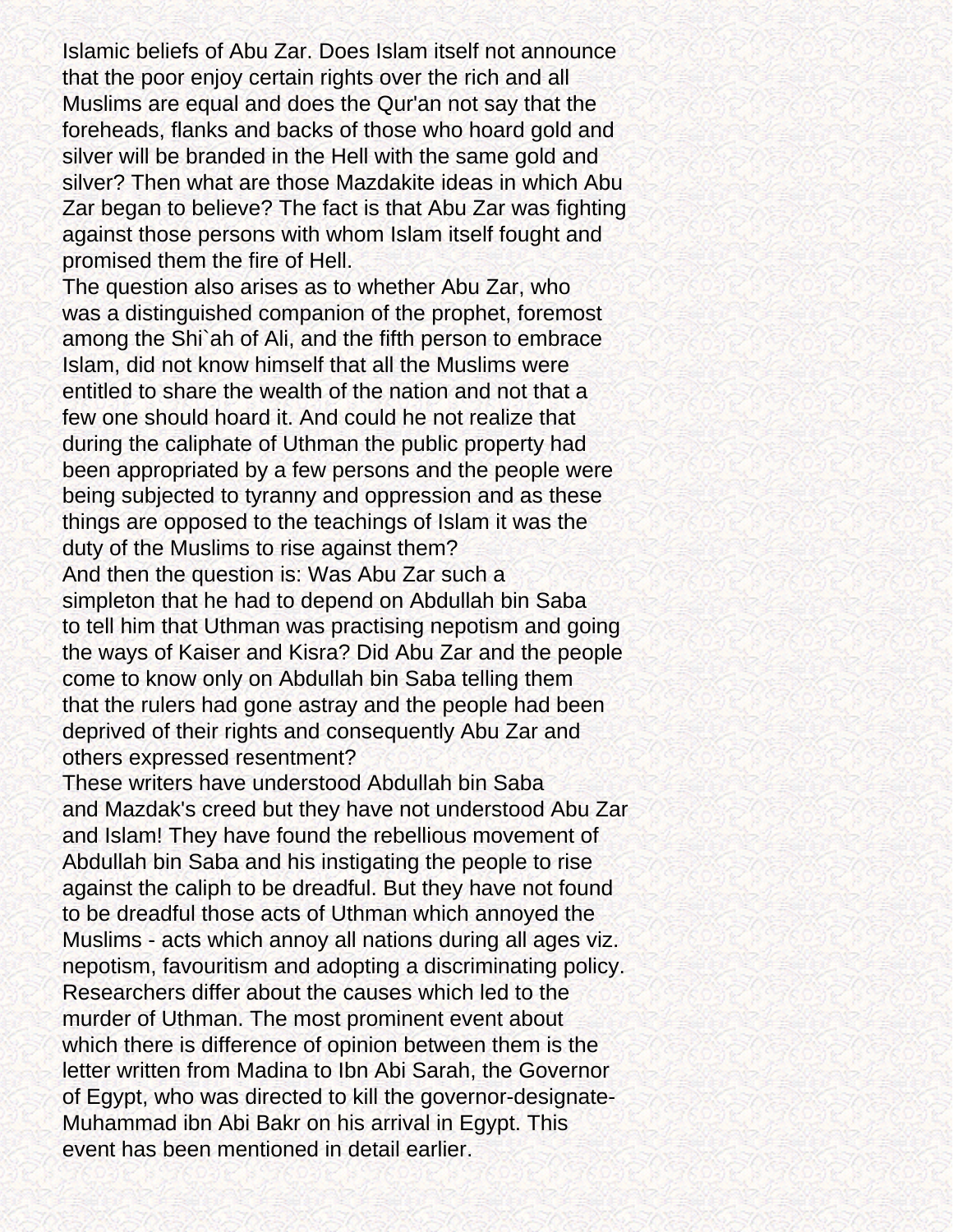Islamic beliefs of Abu Zar. Does Islam itself not announce that the poor enjoy certain rights over the rich and all Muslims are equal and does the Qur'an not say that the foreheads, flanks and backs of those who hoard gold and silver will be branded in the Hell with the same gold and silver? Then what are those Mazdakite ideas in which Abu Zar began to believe? The fact is that Abu Zar was fighting against those persons with whom Islam itself fought and promised them the fire of Hell.

The question also arises as to whether Abu Zar, who was a distinguished companion of the prophet, foremost among the Shi`ah of Ali, and the fifth person to embrace Islam, did not know himself that all the Muslims were entitled to share the wealth of the nation and not that a few one should hoard it. And could he not realize that during the caliphate of Uthman the public property had been appropriated by a few persons and the people were being subjected to tyranny and oppression and as these things are opposed to the teachings of Islam it was the duty of the Muslims to rise against them?

And then the question is: Was Abu Zar such a simpleton that he had to depend on Abdullah bin Saba to tell him that Uthman was practising nepotism and going the ways of Kaiser and Kisra? Did Abu Zar and the people come to know only on Abdullah bin Saba telling them that the rulers had gone astray and the people had been deprived of their rights and consequently Abu Zar and others expressed resentment?

These writers have understood Abdullah bin Saba and Mazdak's creed but they have not understood Abu Zar and Islam! They have found the rebellious movement of Abdullah bin Saba and his instigating the people to rise against the caliph to be dreadful. But they have not found to be dreadful those acts of Uthman which annoyed the Muslims - acts which annoy all nations during all ages viz. nepotism, favouritism and adopting a discriminating policy. Researchers differ about the causes which led to the murder of Uthman. The most prominent event about which there is difference of opinion between them is the letter written from Madina to Ibn Abi Sarah, the Governor of Egypt, who was directed to kill the governor-designate-Muhammad ibn Abi Bakr on his arrival in Egypt. This event has been mentioned in detail earlier.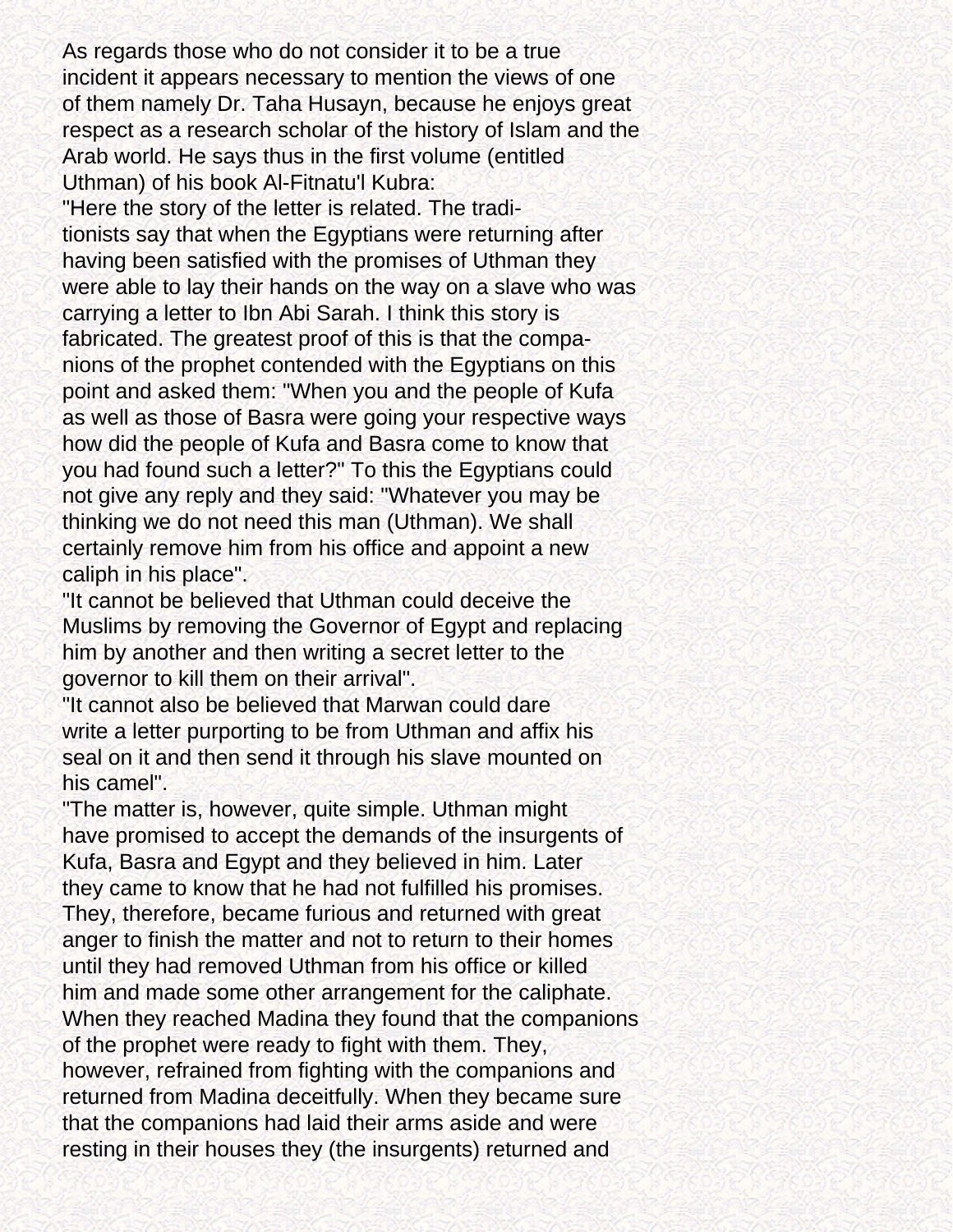As regards those who do not consider it to be a true incident it appears necessary to mention the views of one of them namely Dr. Taha Husayn, because he enjoys great respect as a research scholar of the history of Islam and the Arab world. He says thus in the first volume (entitled Uthman) of his book Al-Fitnatu'l Kubra:

"Here the story of the letter is related. The traditionists say that when the Egyptians were returning after having been satisfied with the promises of Uthman they were able to lay their hands on the way on a slave who was carrying a letter to Ibn Abi Sarah. I think this story is fabricated. The greatest proof of this is that the companions of the prophet contended with the Egyptians on this point and asked them: "When you and the people of Kufa as well as those of Basra were going your respective ways how did the people of Kufa and Basra come to know that you had found such a letter?" To this the Egyptians could not give any reply and they said: "Whatever you may be thinking we do not need this man (Uthman). We shall certainly remove him from his office and appoint a new caliph in his place".

"It cannot be believed that Uthman could deceive the Muslims by removing the Governor of Egypt and replacing him by another and then writing a secret letter to the governor to kill them on their arrival".

"It cannot also be believed that Marwan could dare write a letter purporting to be from Uthman and affix his seal on it and then send it through his slave mounted on his camel".

"The matter is, however, quite simple. Uthman might have promised to accept the demands of the insurgents of Kufa, Basra and Egypt and they believed in him. Later they came to know that he had not fulfilled his promises. They, therefore, became furious and returned with great anger to finish the matter and not to return to their homes until they had removed Uthman from his office or killed him and made some other arrangement for the caliphate. When they reached Madina they found that the companions of the prophet were ready to fight with them. They, however, refrained from fighting with the companions and returned from Madina deceitfully. When they became sure that the companions had laid their arms aside and were resting in their houses they (the insurgents) returned and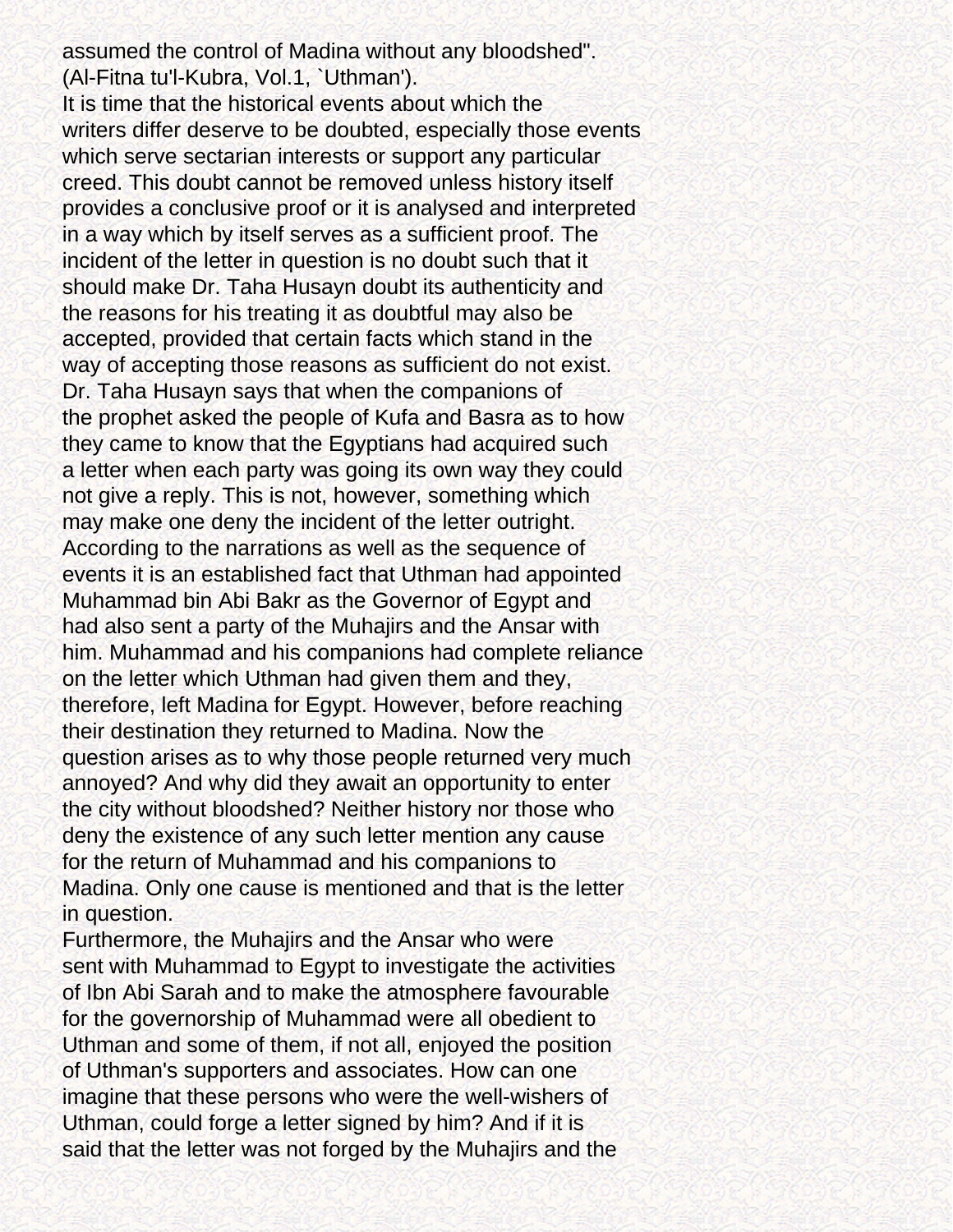assumed the control of Madina without any bloodshed". (Al-Fitna tu'l-Kubra, Vol.1, `Uthman'). It is time that the historical events about which the writers differ deserve to be doubted, especially those events which serve sectarian interests or support any particular creed. This doubt cannot be removed unless history itself provides a conclusive proof or it is analysed and interpreted in a way which by itself serves as a sufficient proof. The incident of the letter in question is no doubt such that it should make Dr. Taha Husayn doubt its authenticity and the reasons for his treating it as doubtful may also be accepted, provided that certain facts which stand in the way of accepting those reasons as sufficient do not exist. Dr. Taha Husayn says that when the companions of the prophet asked the people of Kufa and Basra as to how they came to know that the Egyptians had acquired such a letter when each party was going its own way they could not give a reply. This is not, however, something which may make one deny the incident of the letter outright. According to the narrations as well as the sequence of events it is an established fact that Uthman had appointed Muhammad bin Abi Bakr as the Governor of Egypt and had also sent a party of the Muhajirs and the Ansar with him. Muhammad and his companions had complete reliance on the letter which Uthman had given them and they, therefore, left Madina for Egypt. However, before reaching their destination they returned to Madina. Now the question arises as to why those people returned very much annoyed? And why did they await an opportunity to enter the city without bloodshed? Neither history nor those who deny the existence of any such letter mention any cause for the return of Muhammad and his companions to Madina. Only one cause is mentioned and that is the letter in question.

Furthermore, the Muhajirs and the Ansar who were sent with Muhammad to Egypt to investigate the activities of Ibn Abi Sarah and to make the atmosphere favourable for the governorship of Muhammad were all obedient to Uthman and some of them, if not all, enjoyed the position of Uthman's supporters and associates. How can one imagine that these persons who were the well-wishers of Uthman, could forge a letter signed by him? And if it is said that the letter was not forged by the Muhajirs and the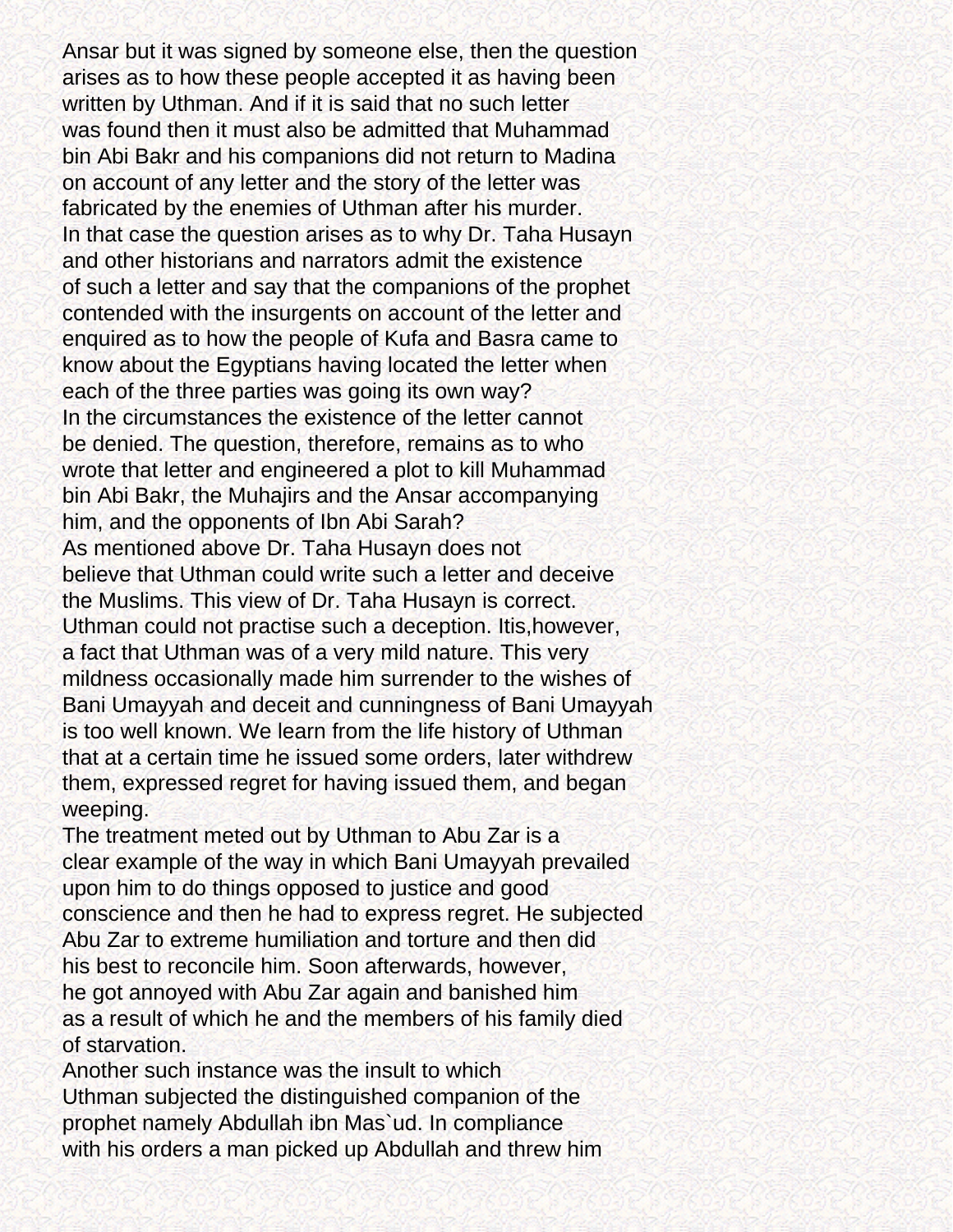Ansar but it was signed by someone else, then the question arises as to how these people accepted it as having been written by Uthman. And if it is said that no such letter was found then it must also be admitted that Muhammad bin Abi Bakr and his companions did not return to Madina on account of any letter and the story of the letter was fabricated by the enemies of Uthman after his murder. In that case the question arises as to why Dr. Taha Husayn and other historians and narrators admit the existence of such a letter and say that the companions of the prophet contended with the insurgents on account of the letter and enquired as to how the people of Kufa and Basra came to know about the Egyptians having located the letter when each of the three parties was going its own way? In the circumstances the existence of the letter cannot be denied. The question, therefore, remains as to who wrote that letter and engineered a plot to kill Muhammad bin Abi Bakr, the Muhajirs and the Ansar accompanying him, and the opponents of Ibn Abi Sarah? As mentioned above Dr. Taha Husayn does not believe that Uthman could write such a letter and deceive the Muslims. This view of Dr. Taha Husayn is correct. Uthman could not practise such a deception. Itis,however, a fact that Uthman was of a very mild nature. This very mildness occasionally made him surrender to the wishes of Bani Umayyah and deceit and cunningness of Bani Umayyah is too well known. We learn from the life history of Uthman that at a certain time he issued some orders, later withdrew them, expressed regret for having issued them, and began weeping.

The treatment meted out by Uthman to Abu Zar is a clear example of the way in which Bani Umayyah prevailed upon him to do things opposed to justice and good conscience and then he had to express regret. He subjected Abu Zar to extreme humiliation and torture and then did his best to reconcile him. Soon afterwards, however, he got annoyed with Abu Zar again and banished him as a result of which he and the members of his family died of starvation.

Another such instance was the insult to which Uthman subjected the distinguished companion of the prophet namely Abdullah ibn Mas`ud. In compliance with his orders a man picked up Abdullah and threw him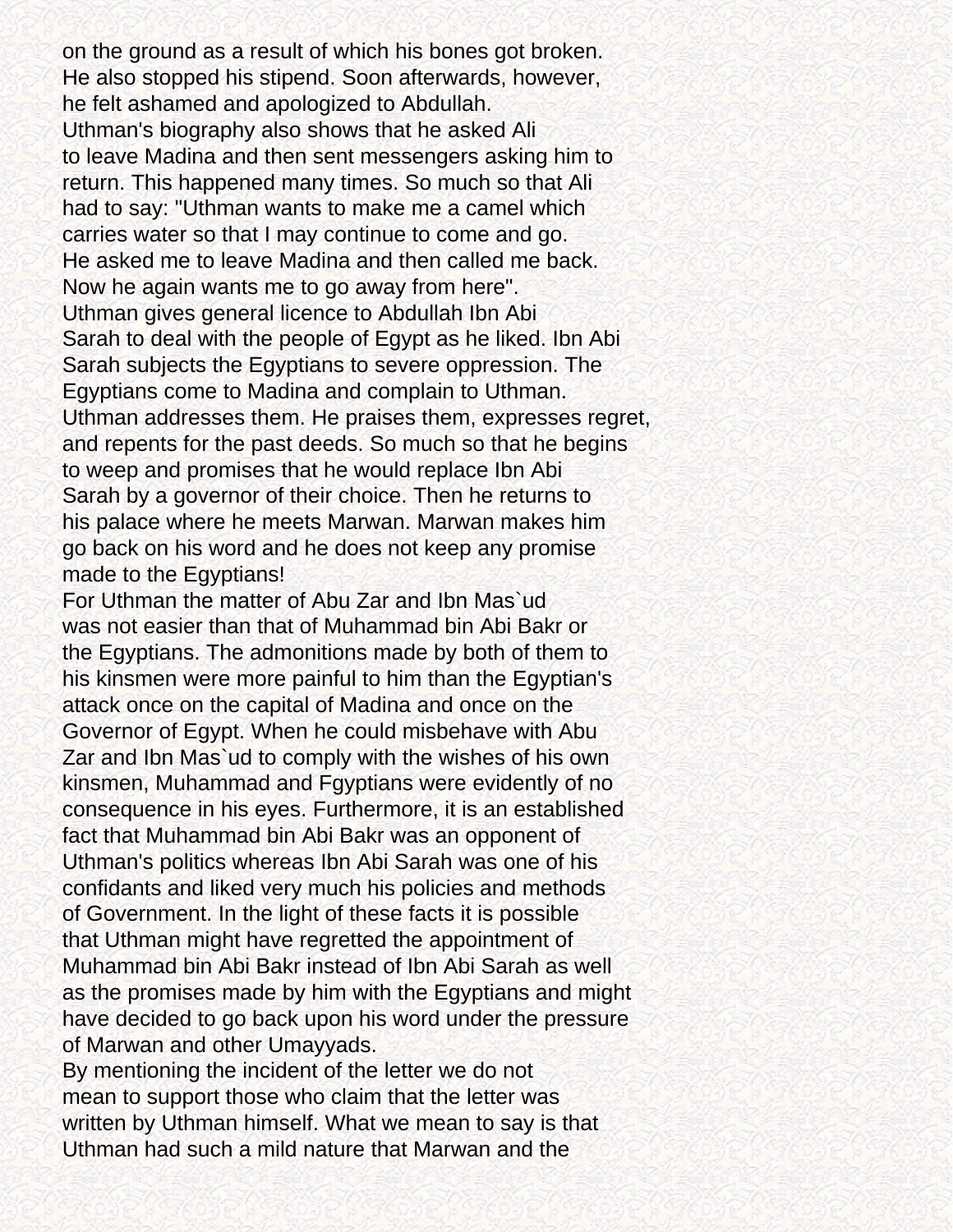on the ground as a result of which his bones got broken. He also stopped his stipend. Soon afterwards, however, he felt ashamed and apologized to Abdullah. Uthman's biography also shows that he asked Ali to leave Madina and then sent messengers asking him to return. This happened many times. So much so that Ali had to say: "Uthman wants to make me a camel which carries water so that I may continue to come and go. He asked me to leave Madina and then called me back. Now he again wants me to go away from here". Uthman gives general licence to Abdullah Ibn Abi Sarah to deal with the people of Egypt as he liked. Ibn Abi Sarah subjects the Egyptians to severe oppression. The Egyptians come to Madina and complain to Uthman. Uthman addresses them. He praises them, expresses regret, and repents for the past deeds. So much so that he begins to weep and promises that he would replace Ibn Abi Sarah by a governor of their choice. Then he returns to his palace where he meets Marwan. Marwan makes him go back on his word and he does not keep any promise made to the Egyptians!

For Uthman the matter of Abu Zar and Ibn Mas`ud was not easier than that of Muhammad bin Abi Bakr or the Egyptians. The admonitions made by both of them to his kinsmen were more painful to him than the Egyptian's attack once on the capital of Madina and once on the Governor of Egypt. When he could misbehave with Abu Zar and Ibn Mas`ud to comply with the wishes of his own kinsmen, Muhammad and Fgyptians were evidently of no consequence in his eyes. Furthermore, it is an established fact that Muhammad bin Abi Bakr was an opponent of Uthman's politics whereas Ibn Abi Sarah was one of his confidants and liked very much his policies and methods of Government. In the light of these facts it is possible that Uthman might have regretted the appointment of Muhammad bin Abi Bakr instead of Ibn Abi Sarah as well as the promises made by him with the Egyptians and might have decided to go back upon his word under the pressure of Marwan and other Umayyads.

By mentioning the incident of the letter we do not mean to support those who claim that the letter was written by Uthman himself. What we mean to say is that Uthman had such a mild nature that Marwan and the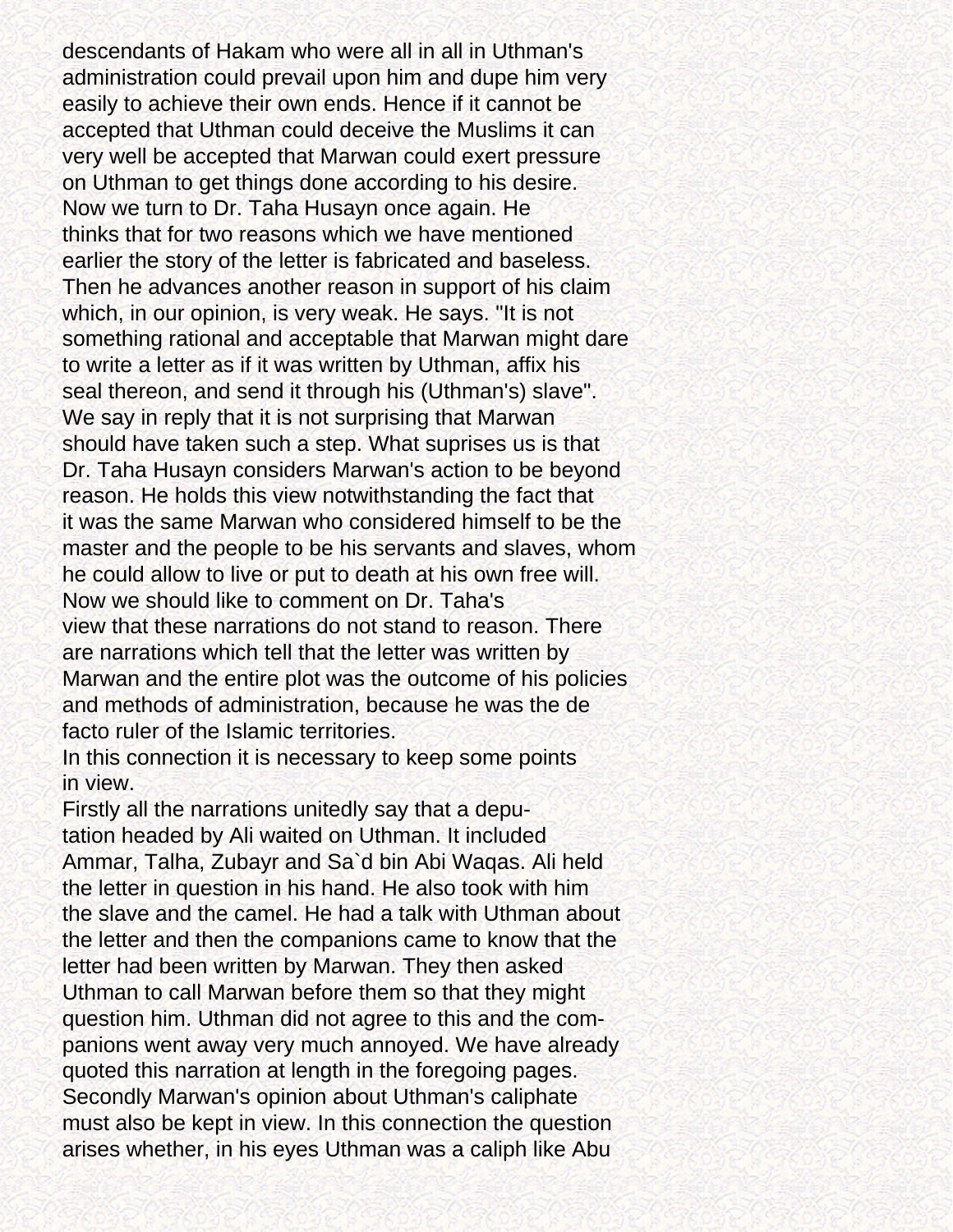descendants of Hakam who were all in all in Uthman's administration could prevail upon him and dupe him very easily to achieve their own ends. Hence if it cannot be accepted that Uthman could deceive the Muslims it can very well be accepted that Marwan could exert pressure on Uthman to get things done according to his desire. Now we turn to Dr. Taha Husayn once again. He thinks that for two reasons which we have mentioned earlier the story of the letter is fabricated and baseless. Then he advances another reason in support of his claim which, in our opinion, is very weak. He says. "It is not something rational and acceptable that Marwan might dare to write a letter as if it was written by Uthman, affix his seal thereon, and send it through his (Uthman's) slave". We say in reply that it is not surprising that Marwan should have taken such a step. What suprises us is that Dr. Taha Husayn considers Marwan's action to be beyond reason. He holds this view notwithstanding the fact that it was the same Marwan who considered himself to be the master and the people to be his servants and slaves, whom he could allow to live or put to death at his own free will. Now we should like to comment on Dr. Taha's view that these narrations do not stand to reason. There are narrations which tell that the letter was written by Marwan and the entire plot was the outcome of his policies and methods of administration, because he was the de facto ruler of the Islamic territories.

In this connection it is necessary to keep some points in view.

Firstly all the narrations unitedly say that a deputation headed by Ali waited on Uthman. It included Ammar, Talha, Zubayr and Sa`d bin Abi Waqas. Ali held the letter in question in his hand. He also took with him the slave and the camel. He had a talk with Uthman about the letter and then the companions came to know that the letter had been written by Marwan. They then asked Uthman to call Marwan before them so that they might question him. Uthman did not agree to this and the companions went away very much annoyed. We have already quoted this narration at length in the foregoing pages. Secondly Marwan's opinion about Uthman's caliphate must also be kept in view. In this connection the question arises whether, in his eyes Uthman was a caliph like Abu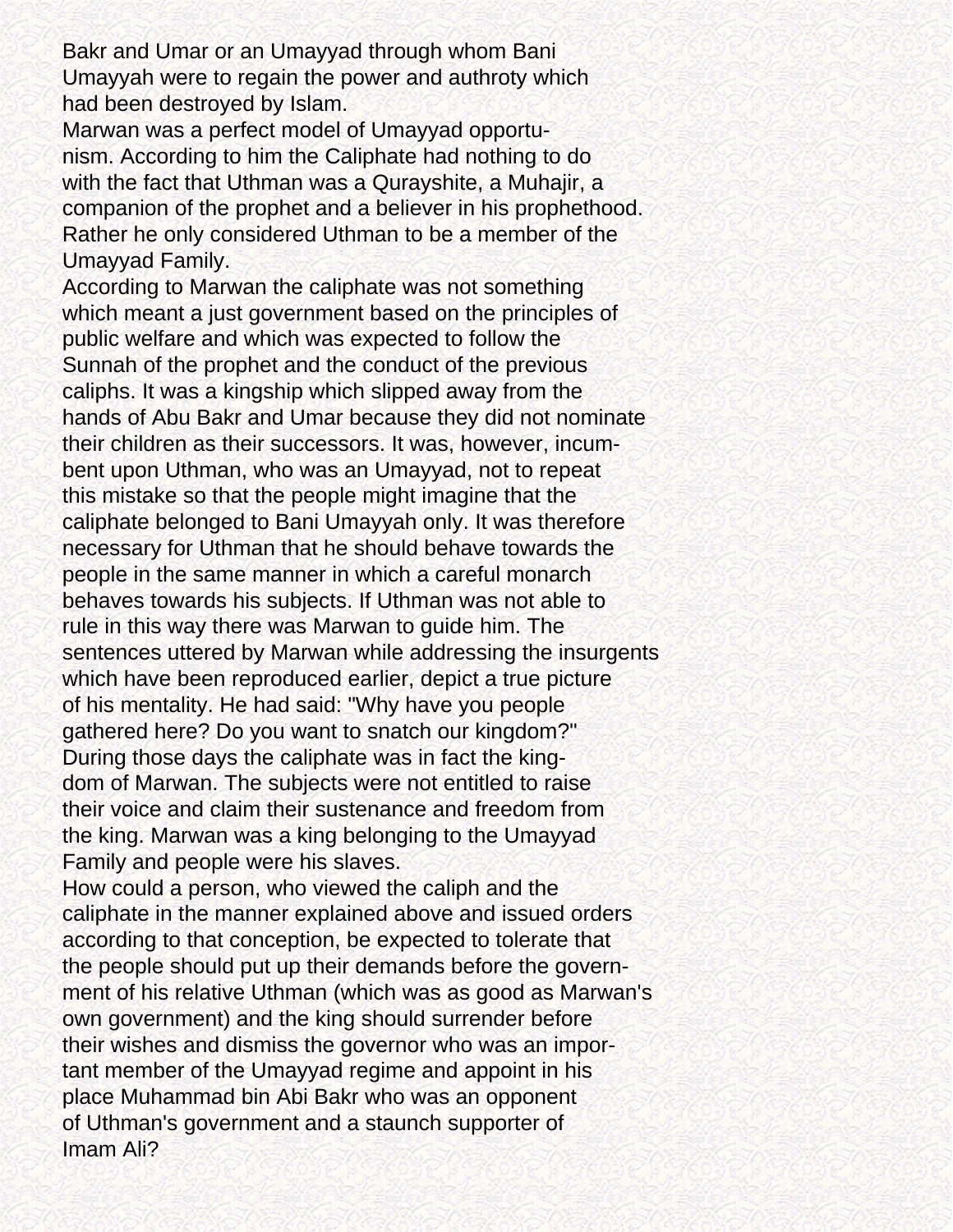Bakr and Umar or an Umayyad through whom Bani Umayyah were to regain the power and authroty which had been destroyed by Islam.

Marwan was a perfect model of Umayyad opportunism. According to him the Caliphate had nothing to do with the fact that Uthman was a Qurayshite, a Muhajir, a companion of the prophet and a believer in his prophethood. Rather he only considered Uthman to be a member of the Umayyad Family.

According to Marwan the caliphate was not something which meant a just government based on the principles of public welfare and which was expected to follow the Sunnah of the prophet and the conduct of the previous caliphs. It was a kingship which slipped away from the hands of Abu Bakr and Umar because they did not nominate their children as their successors. It was, however, incumbent upon Uthman, who was an Umayyad, not to repeat this mistake so that the people might imagine that the caliphate belonged to Bani Umayyah only. It was therefore necessary for Uthman that he should behave towards the people in the same manner in which a careful monarch behaves towards his subjects. If Uthman was not able to rule in this way there was Marwan to guide him. The sentences uttered by Marwan while addressing the insurgents which have been reproduced earlier, depict a true picture of his mentality. He had said: "Why have you people gathered here? Do you want to snatch our kingdom?" During those days the caliphate was in fact the kingdom of Marwan. The subjects were not entitled to raise their voice and claim their sustenance and freedom from the king. Marwan was a king belonging to the Umayyad Family and people were his slaves.

How could a person, who viewed the caliph and the caliphate in the manner explained above and issued orders according to that conception, be expected to tolerate that the people should put up their demands before the government of his relative Uthman (which was as good as Marwan's own government) and the king should surrender before their wishes and dismiss the governor who was an important member of the Umayyad regime and appoint in his place Muhammad bin Abi Bakr who was an opponent of Uthman's government and a staunch supporter of Imam Ali?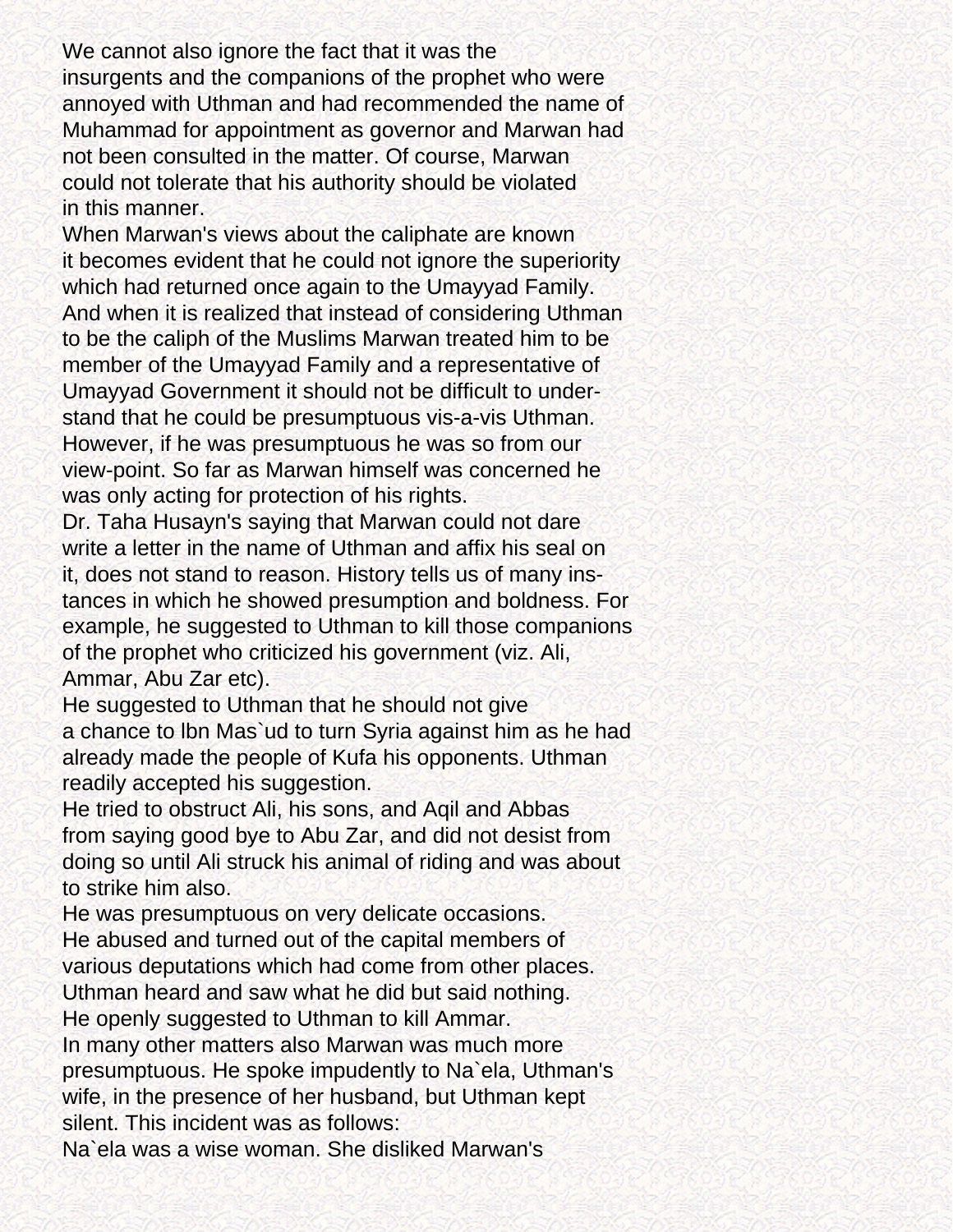We cannot also ignore the fact that it was the insurgents and the companions of the prophet who were annoyed with Uthman and had recommended the name of Muhammad for appointment as governor and Marwan had not been consulted in the matter. Of course, Marwan could not tolerate that his authority should be violated in this manner.

When Marwan's views about the caliphate are known it becomes evident that he could not ignore the superiority which had returned once again to the Umayyad Family. And when it is realized that instead of considering Uthman to be the caliph of the Muslims Marwan treated him to be member of the Umayyad Family and a representative of Umayyad Government it should not be difficult to understand that he could be presumptuous vis-a-vis Uthman. However, if he was presumptuous he was so from our view-point. So far as Marwan himself was concerned he was only acting for protection of his rights.

Dr. Taha Husayn's saying that Marwan could not dare write a letter in the name of Uthman and affix his seal on it, does not stand to reason. History tells us of many instances in which he showed presumption and boldness. For example, he suggested to Uthman to kill those companions of the prophet who criticized his government (viz. Ali, Ammar, Abu Zar etc).

He suggested to Uthman that he should not give a chance to lbn Mas`ud to turn Syria against him as he had already made the people of Kufa his opponents. Uthman readily accepted his suggestion.

He tried to obstruct Ali, his sons, and Aqil and Abbas from saying good bye to Abu Zar, and did not desist from doing so until Ali struck his animal of riding and was about to strike him also.

He was presumptuous on very delicate occasions. He abused and turned out of the capital members of various deputations which had come from other places. Uthman heard and saw what he did but said nothing.

He openly suggested to Uthman to kill Ammar.

In many other matters also Marwan was much more presumptuous. He spoke impudently to Na`ela, Uthman's wife, in the presence of her husband, but Uthman kept silent. This incident was as follows:

Na`ela was a wise woman. She disliked Marwan's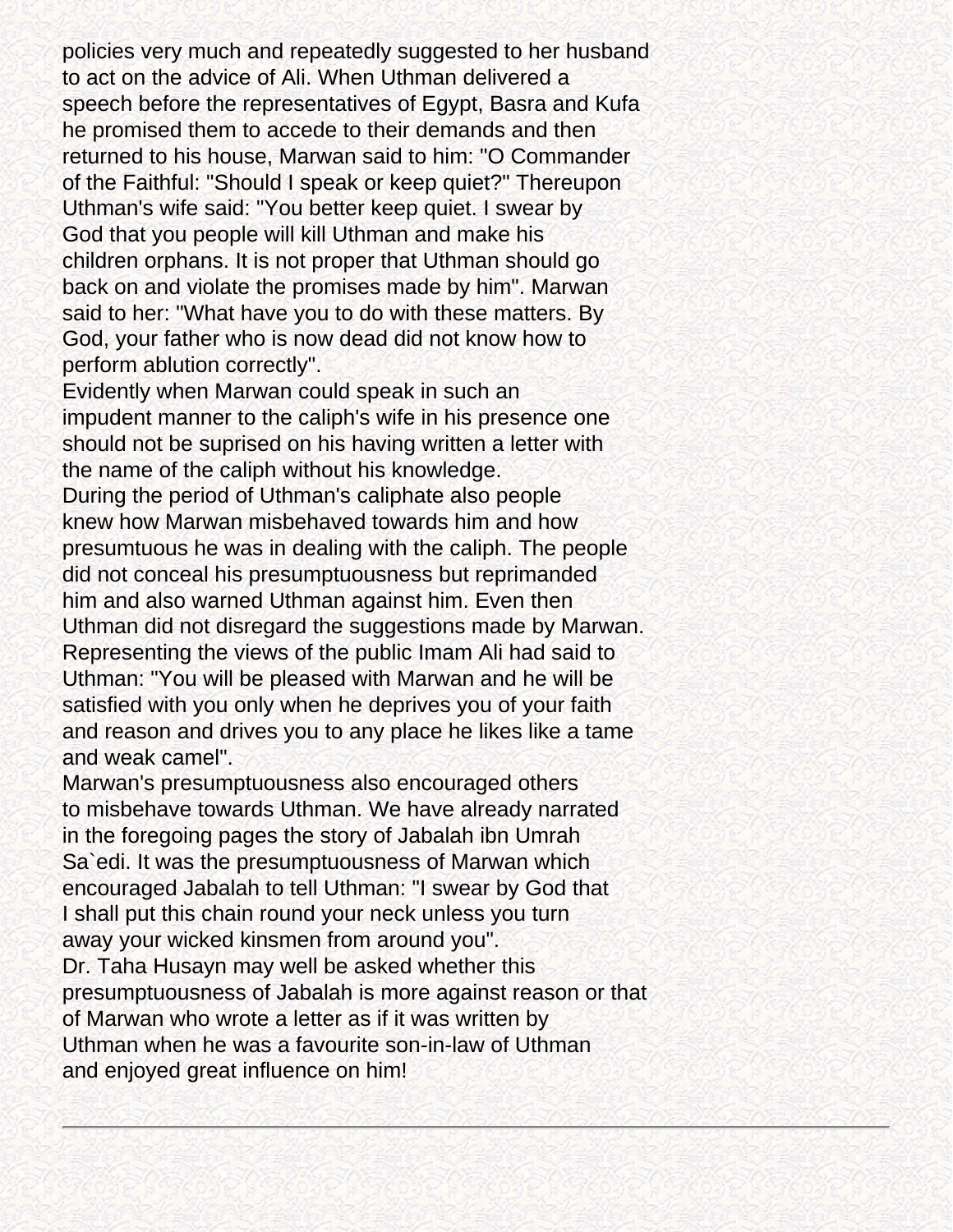policies very much and repeatedly suggested to her husband to act on the advice of Ali. When Uthman delivered a speech before the representatives of Egypt, Basra and Kufa he promised them to accede to their demands and then returned to his house, Marwan said to him: "O Commander of the Faithful: "Should I speak or keep quiet?" Thereupon Uthman's wife said: "You better keep quiet. I swear by God that you people will kill Uthman and make his children orphans. It is not proper that Uthman should go back on and violate the promises made by him". Marwan said to her: "What have you to do with these matters. By God, your father who is now dead did not know how to perform ablution correctly".

Evidently when Marwan could speak in such an impudent manner to the caliph's wife in his presence one should not be suprised on his having written a letter with the name of the caliph without his knowledge. During the period of Uthman's caliphate also people knew how Marwan misbehaved towards him and how presumtuous he was in dealing with the caliph. The people did not conceal his presumptuousness but reprimanded him and also warned Uthman against him. Even then Uthman did not disregard the suggestions made by Marwan. Representing the views of the public Imam Ali had said to Uthman: "You will be pleased with Marwan and he will be satisfied with you only when he deprives you of your faith and reason and drives you to any place he likes like a tame and weak camel".

Marwan's presumptuousness also encouraged others to misbehave towards Uthman. We have already narrated in the foregoing pages the story of Jabalah ibn Umrah Sa`edi. It was the presumptuousness of Marwan which encouraged Jabalah to tell Uthman: "I swear by God that I shall put this chain round your neck unless you turn away your wicked kinsmen from around you". Dr. Taha Husayn may well be asked whether this presumptuousness of Jabalah is more against reason or that of Marwan who wrote a letter as if it was written by Uthman when he was a favourite son-in-law of Uthman and enjoyed great influence on him!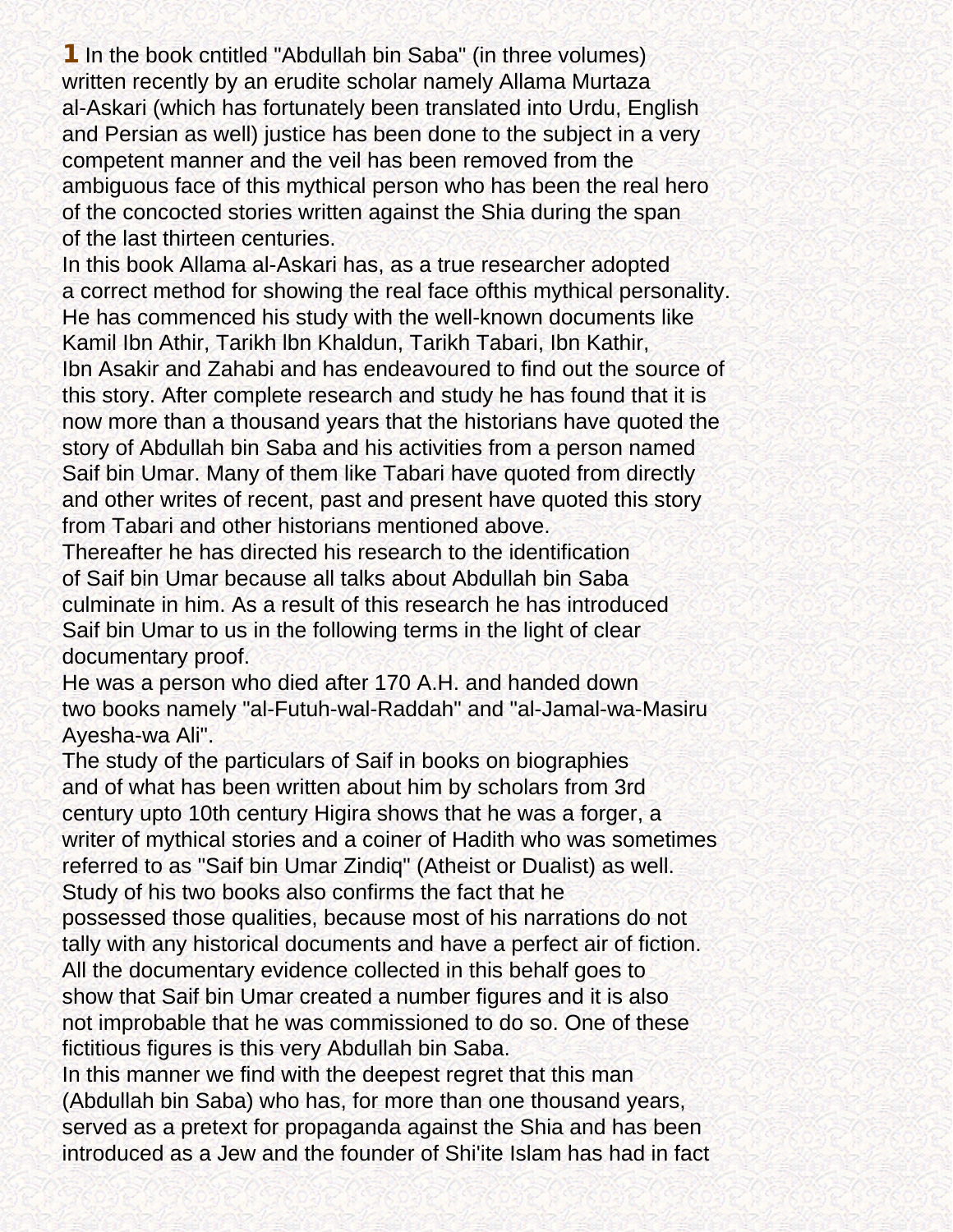1 In the book cntitled "Abdullah bin Saba" (in three volumes) written recently by an erudite scholar namely Allama Murtaza al-Askari (which has fortunately been translated into Urdu, English and Persian as well) justice has been done to the subject in a very competent manner and the veil has been removed from the ambiguous face of this mythical person who has been the real hero of the concocted stories written against the Shia during the span of the last thirteen centuries.

In this book Allama al-Askari has, as a true researcher adopted a correct method for showing the real face ofthis mythical personality. He has commenced his study with the well-known documents like Kamil Ibn Athir, Tarikh lbn Khaldun, Tarikh Tabari, Ibn Kathir, Ibn Asakir and Zahabi and has endeavoured to find out the source of this story. After complete research and study he has found that it is now more than a thousand years that the historians have quoted the story of Abdullah bin Saba and his activities from a person named Saif bin Umar. Many of them like Tabari have quoted from directly and other writes of recent, past and present have quoted this story from Tabari and other historians mentioned above.

Thereafter he has directed his research to the identification of Saif bin Umar because all talks about Abdullah bin Saba culminate in him. As a result of this research he has introduced Saif bin Umar to us in the following terms in the light of clear documentary proof.

He was a person who died after 170 A.H. and handed down two books namely "al-Futuh-wal-Raddah" and "al-Jamal-wa-Masiru Ayesha-wa Ali".

The study of the particulars of Saif in books on biographies and of what has been written about him by scholars from 3rd century upto 10th century Higira shows that he was a forger, a writer of mythical stories and a coiner of Hadith who was sometimes referred to as "Saif bin Umar Zindiq" (Atheist or Dualist) as well. Study of his two books also confirms the fact that he possessed those qualities, because most of his narrations do not tally with any historical documents and have a perfect air of fiction. All the documentary evidence collected in this behalf goes to show that Saif bin Umar created a number figures and it is also not improbable that he was commissioned to do so. One of these fictitious figures is this very Abdullah bin Saba.

In this manner we find with the deepest regret that this man (Abdullah bin Saba) who has, for more than one thousand years, served as a pretext for propaganda against the Shia and has been introduced as a Jew and the founder of Shi'ite Islam has had in fact